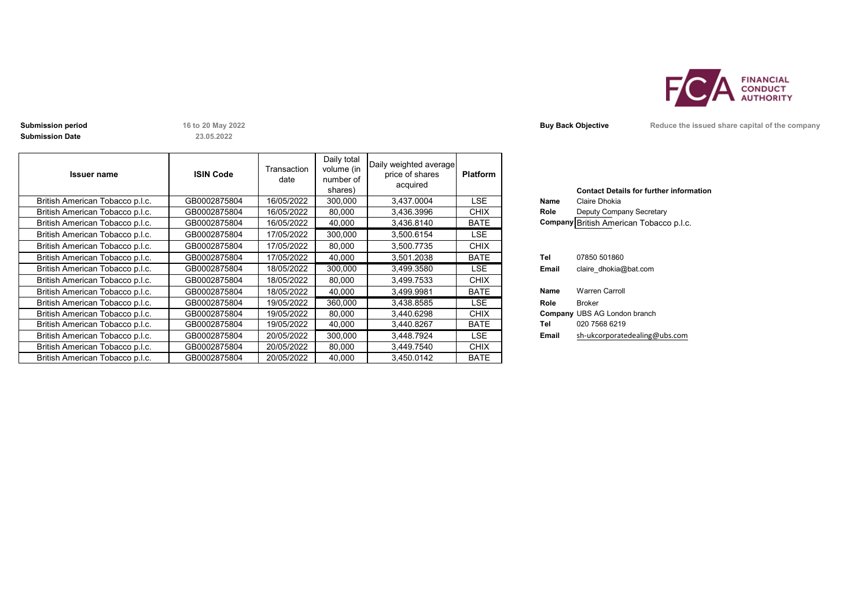

**Submission Date**

**23.05.2022**

| <b>Issuer name</b>              | <b>ISIN Code</b> | Transaction<br>date | Daily total<br>volume (in<br>number of<br>shares) | Daily weighted average<br>price of shares<br>acquired | <b>Platform</b> |       | <b>Contact Details for further inforn</b> |
|---------------------------------|------------------|---------------------|---------------------------------------------------|-------------------------------------------------------|-----------------|-------|-------------------------------------------|
| British American Tobacco p.l.c. | GB0002875804     | 16/05/2022          | 300,000                                           | 3,437.0004                                            | <b>LSE</b>      | Name  | Claire Dhokia                             |
| British American Tobacco p.l.c. | GB0002875804     | 16/05/2022          | 80,000                                            | 3,436.3996                                            | <b>CHIX</b>     | Role  | Deputy Company Secretary                  |
| British American Tobacco p.l.c. | GB0002875804     | 16/05/2022          | 40,000                                            | 3,436.8140                                            | <b>BATE</b>     |       | Company British American Tobacco p.l.c.   |
| British American Tobacco p.l.c. | GB0002875804     | 17/05/2022          | 300,000                                           | 3,500.6154                                            | LSE             |       |                                           |
| British American Tobacco p.l.c. | GB0002875804     | 17/05/2022          | 80,000                                            | 3,500.7735                                            | <b>CHIX</b>     |       |                                           |
| British American Tobacco p.l.c. | GB0002875804     | 17/05/2022          | 40,000                                            | 3,501.2038                                            | <b>BATE</b>     | Tel   | 07850 501860                              |
| British American Tobacco p.l.c. | GB0002875804     | 18/05/2022          | 300,000                                           | 3,499.3580                                            | LSE.            | Email | claire dhokia@bat.com                     |
| British American Tobacco p.l.c. | GB0002875804     | 18/05/2022          | 80,000                                            | 3,499.7533                                            | <b>CHIX</b>     |       |                                           |
| British American Tobacco p.l.c. | GB0002875804     | 18/05/2022          | 40,000                                            | 3,499.9981                                            | <b>BATE</b>     | Name  | <b>Warren Carroll</b>                     |
| British American Tobacco p.l.c. | GB0002875804     | 19/05/2022          | 360,000                                           | 3,438.8585                                            | LSE.            | Role  | Broker                                    |
| British American Tobacco p.l.c. | GB0002875804     | 19/05/2022          | 80,000                                            | 3,440.6298                                            | <b>CHIX</b>     |       | <b>Company UBS AG London branch</b>       |
| British American Tobacco p.l.c. | GB0002875804     | 19/05/2022          | 40,000                                            | 3,440.8267                                            | <b>BATE</b>     | Tel   | 020 7568 6219                             |
| British American Tobacco p.l.c. | GB0002875804     | 20/05/2022          | 300,000                                           | 3,448.7924                                            | LSE.            | Email | sh-ukcorporatedealing@ubs.com             |
| British American Tobacco p.l.c. | GB0002875804     | 20/05/2022          | 80,000                                            | 3.449.7540                                            | <b>CHIX</b>     |       |                                           |
| British American Tobacco p.l.c. | GB0002875804     | 20/05/2022          | 40,000                                            | 3.450.0142                                            | <b>BATE</b>     |       |                                           |

| Name<br>Role               | <b>Contact Details for further information</b><br>Claire Dhokia<br>Deputy Company Secretary<br>Company British American Tobacco p.l.c. |
|----------------------------|----------------------------------------------------------------------------------------------------------------------------------------|
| Tel<br>Email               | 07850 501860<br>claire dhokia@bat.com                                                                                                  |
| <b>Name</b><br>Role<br>Tel | <b>Warren Carroll</b><br><b>Broker</b><br><b>Company UBS AG London branch</b><br>020 7568 6219                                         |
| Email                      | sh-ukcorporatedealing@ubs.com                                                                                                          |

**Submission period 16 to 20 May 2022 Buy Back Objective Buy Back Objective Reduce the issued share capital of the company**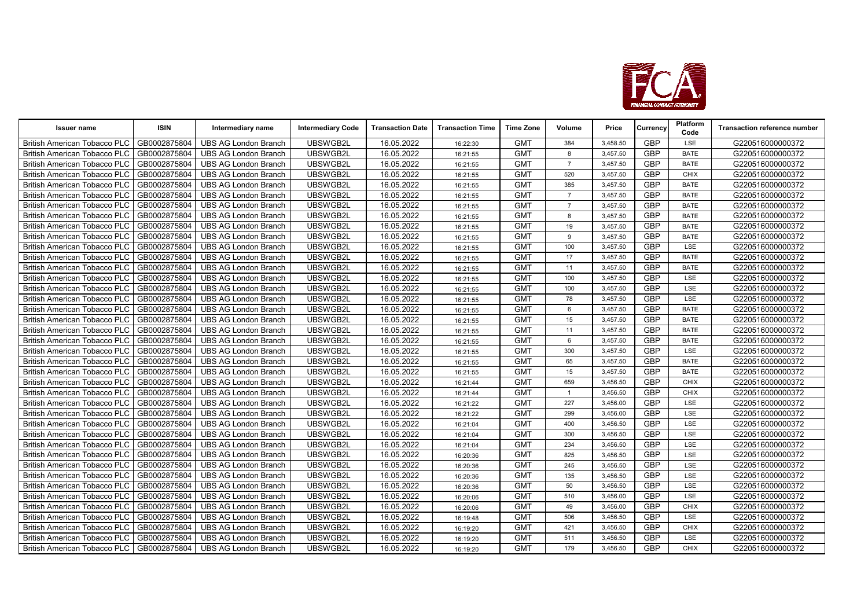

| <b>Issuer name</b>                  | <b>ISIN</b>  | Intermediary name           | <b>Intermediary Code</b> | <b>Transaction Date</b> | <b>Transaction Time</b> | <b>Time Zone</b> | Volume         | Price    | Currency   | <b>Platform</b><br>Code | <b>Transaction reference number</b> |
|-------------------------------------|--------------|-----------------------------|--------------------------|-------------------------|-------------------------|------------------|----------------|----------|------------|-------------------------|-------------------------------------|
| <b>British American Tobacco PLC</b> | GB0002875804 | <b>UBS AG London Branch</b> | UBSWGB2L                 | 16.05.2022              | 16:22:30                | <b>GMT</b>       | 384            | 3,458.50 | <b>GBP</b> | <b>LSE</b>              | G220516000000372                    |
| <b>British American Tobacco PLC</b> | GB0002875804 | <b>UBS AG London Branch</b> | UBSWGB2L                 | 16.05.2022              | 16:21:55                | <b>GMT</b>       | 8              | 3,457.50 | <b>GBP</b> | <b>BATE</b>             | G220516000000372                    |
| <b>British American Tobacco PLC</b> | GB0002875804 | <b>UBS AG London Branch</b> | UBSWGB2L                 | 16.05.2022              | 16:21:55                | <b>GMT</b>       | $\overline{7}$ | 3,457.50 | <b>GBP</b> | <b>BATE</b>             | G220516000000372                    |
| <b>British American Tobacco PLC</b> | GB0002875804 | <b>UBS AG London Branch</b> | UBSWGB2L                 | 16.05.2022              | 16:21:55                | <b>GMT</b>       | 520            | 3,457.50 | <b>GBP</b> | <b>CHIX</b>             | G220516000000372                    |
| <b>British American Tobacco PLC</b> | GB0002875804 | UBS AG London Branch        | UBSWGB2L                 | 16.05.2022              | 16:21:55                | <b>GMT</b>       | 385            | 3,457.50 | GBP        | <b>BATE</b>             | G220516000000372                    |
| <b>British American Tobacco PLC</b> | GB0002875804 | <b>UBS AG London Branch</b> | UBSWGB2L                 | 16.05.2022              | 16:21:55                | <b>GMT</b>       | $\overline{7}$ | 3,457.50 | <b>GBP</b> | <b>BATE</b>             | G220516000000372                    |
| <b>British American Tobacco PLC</b> | GB0002875804 | <b>UBS AG London Branch</b> | UBSWGB2L                 | 16.05.2022              | 16:21:55                | <b>GMT</b>       | $\overline{7}$ | 3,457.50 | GBP        | <b>BATE</b>             | G220516000000372                    |
| <b>British American Tobacco PLC</b> | GB0002875804 | <b>UBS AG London Branch</b> | UBSWGB2L                 | 16.05.2022              | 16:21:55                | <b>GMT</b>       | 8              | 3,457.50 | <b>GBP</b> | <b>BATE</b>             | G220516000000372                    |
| <b>British American Tobacco PLC</b> | GB0002875804 | <b>UBS AG London Branch</b> | UBSWGB2L                 | 16.05.2022              | 16:21:55                | <b>GMT</b>       | 19             | 3,457.50 | <b>GBP</b> | <b>BATE</b>             | G220516000000372                    |
| <b>British American Tobacco PLC</b> | GB0002875804 | <b>UBS AG London Branch</b> | UBSWGB2L                 | 16.05.2022              | 16:21:55                | <b>GMT</b>       | 9              | 3,457.50 | <b>GBP</b> | <b>BATE</b>             | G220516000000372                    |
| <b>British American Tobacco PLC</b> | GB0002875804 | <b>UBS AG London Branch</b> | UBSWGB2L                 | 16.05.2022              | 16:21:55                | <b>GMT</b>       | 100            | 3,457.50 | <b>GBP</b> | LSE                     | G220516000000372                    |
| British American Tobacco PLC        | GB0002875804 | <b>UBS AG London Branch</b> | UBSWGB2L                 | 16.05.2022              | 16:21:55                | <b>GMT</b>       | 17             | 3,457.50 | <b>GBP</b> | <b>BATE</b>             | G220516000000372                    |
| <b>British American Tobacco PLC</b> | GB0002875804 | <b>UBS AG London Branch</b> | UBSWGB2L                 | 16.05.2022              | 16:21:55                | <b>GMT</b>       | 11             | 3,457.50 | GBP        | <b>BATE</b>             | G220516000000372                    |
| <b>British American Tobacco PLC</b> | GB0002875804 | <b>UBS AG London Branch</b> | UBSWGB2L                 | 16.05.2022              | 16:21:55                | <b>GMT</b>       | 100            | 3,457.50 | <b>GBP</b> | LSE                     | G220516000000372                    |
| <b>British American Tobacco PLC</b> | GB0002875804 | <b>UBS AG London Branch</b> | UBSWGB2L                 | 16.05.2022              | 16:21:55                | <b>GMT</b>       | 100            | 3,457.50 | <b>GBP</b> | LSE                     | G220516000000372                    |
| <b>British American Tobacco PLC</b> | GB0002875804 | <b>UBS AG London Branch</b> | UBSWGB2L                 | 16.05.2022              | 16:21:55                | <b>GMT</b>       | 78             | 3,457.50 | <b>GBP</b> | <b>LSE</b>              | G220516000000372                    |
| <b>British American Tobacco PLC</b> | GB0002875804 | <b>UBS AG London Branch</b> | UBSWGB2L                 | 16.05.2022              | 16:21:55                | <b>GMT</b>       | 6              | 3,457.50 | <b>GBP</b> | <b>BATE</b>             | G220516000000372                    |
| <b>British American Tobacco PLC</b> | GB0002875804 | <b>UBS AG London Branch</b> | UBSWGB2L                 | 16.05.2022              | 16:21:55                | <b>GMT</b>       | 15             | 3,457.50 | GBP        | <b>BATE</b>             | G220516000000372                    |
| <b>British American Tobacco PLC</b> | GB0002875804 | <b>UBS AG London Branch</b> | UBSWGB2L                 | 16.05.2022              | 16:21:55                | <b>GMT</b>       | 11             | 3,457.50 | GBP        | <b>BATE</b>             | G220516000000372                    |
| <b>British American Tobacco PLC</b> | GB0002875804 | <b>UBS AG London Branch</b> | UBSWGB2L                 | 16.05.2022              | 16:21:55                | <b>GMT</b>       | 6              | 3,457.50 | <b>GBP</b> | <b>BATE</b>             | G220516000000372                    |
| <b>British American Tobacco PLC</b> | GB0002875804 | <b>UBS AG London Branch</b> | UBSWGB2L                 | 16.05.2022              | 16:21:55                | <b>GMT</b>       | 300            | 3,457.50 | <b>GBP</b> | LSE                     | G220516000000372                    |
| <b>British American Tobacco PLC</b> | GB0002875804 | <b>UBS AG London Branch</b> | UBSWGB2L                 | 16.05.2022              | 16:21:55                | <b>GMT</b>       | 65             | 3,457.50 | <b>GBP</b> | <b>BATE</b>             | G220516000000372                    |
| <b>British American Tobacco PLC</b> | GB0002875804 | <b>UBS AG London Branch</b> | UBSWGB2L                 | 16.05.2022              | 16:21:55                | <b>GMT</b>       | 15             | 3,457.50 | <b>GBP</b> | <b>BATE</b>             | G220516000000372                    |
| British American Tobacco PLC        | GB0002875804 | <b>UBS AG London Branch</b> | UBSWGB2L                 | 16.05.2022              | 16:21:44                | <b>GMT</b>       | 659            | 3,456.50 | <b>GBP</b> | <b>CHIX</b>             | G220516000000372                    |
| <b>British American Tobacco PLC</b> | GB0002875804 | <b>UBS AG London Branch</b> | UBSWGB2L                 | 16.05.2022              | 16:21:44                | <b>GMT</b>       | $\overline{1}$ | 3,456.50 | <b>GBP</b> | <b>CHIX</b>             | G220516000000372                    |
| <b>British American Tobacco PLC</b> | GB0002875804 | <b>UBS AG London Branch</b> | UBSWGB2L                 | 16.05.2022              | 16:21:22                | <b>GMT</b>       | 227            | 3,456.00 | <b>GBP</b> | LSE                     | G220516000000372                    |
| <b>British American Tobacco PLC</b> | GB0002875804 | <b>UBS AG London Branch</b> | UBSWGB2L                 | 16.05.2022              | 16:21:22                | <b>GMT</b>       | 299            | 3,456.00 | <b>GBP</b> | LSE                     | G220516000000372                    |
| <b>British American Tobacco PLC</b> | GB0002875804 | <b>UBS AG London Branch</b> | UBSWGB2L                 | 16.05.2022              | 16:21:04                | <b>GMT</b>       | 400            | 3,456.50 | <b>GBP</b> | LSE                     | G220516000000372                    |
| <b>British American Tobacco PLC</b> | GB0002875804 | <b>UBS AG London Branch</b> | UBSWGB2L                 | 16.05.2022              | 16:21:04                | <b>GMT</b>       | 300            | 3,456.50 | <b>GBP</b> | LSE                     | G220516000000372                    |
| <b>British American Tobacco PLC</b> | GB0002875804 | <b>UBS AG London Branch</b> | UBSWGB2L                 | 16.05.2022              | 16:21:04                | <b>GMT</b>       | 234            | 3,456.50 | <b>GBP</b> | <b>LSE</b>              | G220516000000372                    |
| <b>British American Tobacco PLC</b> | GB0002875804 | <b>UBS AG London Branch</b> | UBSWGB2L                 | 16.05.2022              | 16:20:36                | <b>GMT</b>       | 825            | 3,456.50 | <b>GBP</b> | LSE                     | G220516000000372                    |
| <b>British American Tobacco PLC</b> | GB0002875804 | <b>UBS AG London Branch</b> | UBSWGB2L                 | 16.05.2022              | 16:20:36                | <b>GMT</b>       | 245            | 3,456.50 | <b>GBP</b> | LSE                     | G220516000000372                    |
| <b>British American Tobacco PLC</b> | GB0002875804 | <b>UBS AG London Branch</b> | UBSWGB2L                 | 16.05.2022              | 16:20:36                | <b>GMT</b>       | 135            | 3,456.50 | <b>GBP</b> | LSE                     | G220516000000372                    |
| <b>British American Tobacco PLC</b> | GB0002875804 | <b>UBS AG London Branch</b> | UBSWGB2L                 | 16.05.2022              | 16:20:36                | <b>GMT</b>       | 50             | 3,456.50 | GBP        | LSE                     | G220516000000372                    |
| <b>British American Tobacco PLC</b> | GB0002875804 | <b>UBS AG London Branch</b> | UBSWGB2L                 | 16.05.2022              | 16:20:06                | <b>GMT</b>       | 510            | 3,456.00 | <b>GBP</b> | LSE                     | G220516000000372                    |
| <b>British American Tobacco PLC</b> | GB0002875804 | <b>UBS AG London Branch</b> | UBSWGB2L                 | 16.05.2022              | 16:20:06                | <b>GMT</b>       | 49             | 3,456.00 | <b>GBP</b> | <b>CHIX</b>             | G220516000000372                    |
| <b>British American Tobacco PLC</b> | GB0002875804 | <b>UBS AG London Branch</b> | UBSWGB2L                 | 16.05.2022              | 16:19:48                | <b>GMT</b>       | 506            | 3,456.50 | <b>GBP</b> | LSE                     | G220516000000372                    |
| <b>British American Tobacco PLC</b> | GB0002875804 | <b>UBS AG London Branch</b> | UBSWGB2L                 | 16.05.2022              | 16:19:20                | <b>GMT</b>       | 421            | 3,456.50 | GBP        | <b>CHIX</b>             | G220516000000372                    |
| <b>British American Tobacco PLC</b> | GB0002875804 | <b>UBS AG London Branch</b> | UBSWGB2L                 | 16.05.2022              | 16:19:20                | <b>GMT</b>       | 511            | 3,456.50 | GBP        | LSE                     | G220516000000372                    |
| British American Tobacco PLC        | GB0002875804 | <b>UBS AG London Branch</b> | UBSWGB2L                 | 16.05.2022              | 16:19:20                | <b>GMT</b>       | 179            | 3,456.50 | <b>GBP</b> | <b>CHIX</b>             | G220516000000372                    |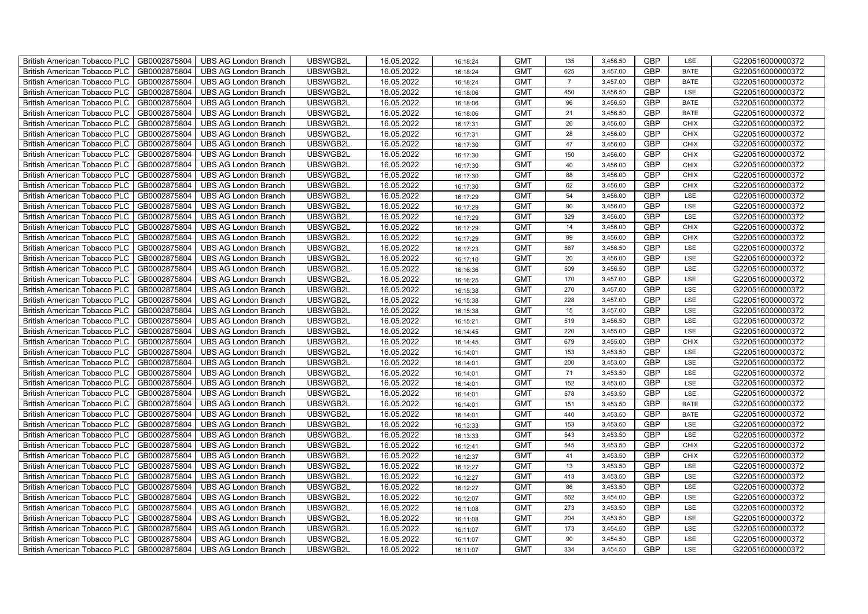| British American Tobacco PLC        | GB0002875804 | <b>UBS AG London Branch</b> | UBSWGB2L | 16.05.2022 | 16:18:24 | <b>GMT</b> | 135            | 3,456.50 | <b>GBP</b> | LSE         | G220516000000372 |
|-------------------------------------|--------------|-----------------------------|----------|------------|----------|------------|----------------|----------|------------|-------------|------------------|
| <b>British American Tobacco PLC</b> | GB0002875804 | <b>UBS AG London Branch</b> | UBSWGB2L | 16.05.2022 | 16:18:24 | <b>GMT</b> | 625            | 3,457.00 | <b>GBP</b> | <b>BATE</b> | G220516000000372 |
| <b>British American Tobacco PLC</b> | GB0002875804 | <b>UBS AG London Branch</b> | UBSWGB2L | 16.05.2022 | 16:18:24 | <b>GMT</b> | $\overline{7}$ | 3,457.00 | <b>GBP</b> | <b>BATE</b> | G220516000000372 |
| British American Tobacco PLC        | GB0002875804 | <b>UBS AG London Branch</b> | UBSWGB2L | 16.05.2022 | 16:18:06 | <b>GMT</b> | 450            | 3,456.50 | <b>GBP</b> | LSE         | G220516000000372 |
| <b>British American Tobacco PLC</b> | GB0002875804 | <b>UBS AG London Branch</b> | UBSWGB2L | 16.05.2022 | 16:18:06 | <b>GMT</b> | 96             | 3,456.50 | <b>GBP</b> | <b>BATE</b> | G220516000000372 |
| British American Tobacco PLC        | GB0002875804 | <b>UBS AG London Branch</b> | UBSWGB2L | 16.05.2022 | 16:18:06 | <b>GMT</b> | 21             | 3,456.50 | <b>GBP</b> | <b>BATE</b> | G220516000000372 |
| <b>British American Tobacco PLC</b> | GB0002875804 | <b>UBS AG London Branch</b> | UBSWGB2L | 16.05.2022 | 16:17:31 | <b>GMT</b> | 26             | 3,456.00 | <b>GBP</b> | <b>CHIX</b> | G220516000000372 |
| British American Tobacco PLC        | GB0002875804 | <b>UBS AG London Branch</b> | UBSWGB2L | 16.05.2022 | 16:17:31 | <b>GMT</b> | 28             | 3,456.00 | <b>GBP</b> | <b>CHIX</b> | G220516000000372 |
| <b>British American Tobacco PLC</b> | GB0002875804 | <b>UBS AG London Branch</b> | UBSWGB2L | 16.05.2022 | 16:17:30 | <b>GMT</b> | 47             | 3,456.00 | <b>GBP</b> | <b>CHIX</b> | G220516000000372 |
| British American Tobacco PLC        | GB0002875804 | <b>UBS AG London Branch</b> | UBSWGB2L | 16.05.2022 | 16:17:30 | <b>GMT</b> | 150            | 3,456.00 | <b>GBP</b> | <b>CHIX</b> | G220516000000372 |
| <b>British American Tobacco PLC</b> | GB0002875804 | <b>UBS AG London Branch</b> | UBSWGB2L | 16.05.2022 | 16:17:30 | <b>GMT</b> | 40             | 3,456.00 | <b>GBP</b> | <b>CHIX</b> | G220516000000372 |
| <b>British American Tobacco PLC</b> | GB0002875804 | <b>UBS AG London Branch</b> | UBSWGB2L | 16.05.2022 | 16:17:30 | <b>GMT</b> | 88             | 3,456.00 | <b>GBP</b> | <b>CHIX</b> | G220516000000372 |
| British American Tobacco PLC        | GB0002875804 | <b>UBS AG London Branch</b> | UBSWGB2L | 16.05.2022 | 16:17:30 | <b>GMT</b> | 62             | 3,456.00 | <b>GBP</b> | <b>CHIX</b> | G220516000000372 |
| British American Tobacco PLC        | GB0002875804 | <b>UBS AG London Branch</b> | UBSWGB2L | 16.05.2022 | 16:17:29 | <b>GMT</b> | 54             | 3,456.00 | <b>GBP</b> | LSE         | G220516000000372 |
| British American Tobacco PLC        | GB0002875804 | <b>UBS AG London Branch</b> | UBSWGB2L | 16.05.2022 | 16:17:29 | <b>GMT</b> | 90             | 3,456.00 | <b>GBP</b> | LSE         | G220516000000372 |
| British American Tobacco PLC        | GB0002875804 | <b>UBS AG London Branch</b> | UBSWGB2L | 16.05.2022 | 16:17:29 | <b>GMT</b> | 329            | 3,456.00 | <b>GBP</b> | LSE         | G220516000000372 |
| British American Tobacco PLC        | GB0002875804 | <b>UBS AG London Branch</b> | UBSWGB2L | 16.05.2022 | 16:17:29 | <b>GMT</b> | 14             | 3,456.00 | <b>GBP</b> | <b>CHIX</b> | G220516000000372 |
| British American Tobacco PLC        | GB0002875804 | <b>UBS AG London Branch</b> | UBSWGB2L | 16.05.2022 | 16:17:29 | <b>GMT</b> | 99             | 3,456.00 | <b>GBP</b> | <b>CHIX</b> | G220516000000372 |
| British American Tobacco PLC        | GB0002875804 | <b>UBS AG London Branch</b> | UBSWGB2L | 16.05.2022 | 16:17:23 | <b>GMT</b> | 567            | 3,456.50 | <b>GBP</b> | LSE         | G220516000000372 |
| British American Tobacco PLC        | GB0002875804 | <b>UBS AG London Branch</b> | UBSWGB2L | 16.05.2022 | 16:17:10 | <b>GMT</b> | 20             | 3,456.00 | <b>GBP</b> | LSE         | G220516000000372 |
| <b>British American Tobacco PLC</b> | GB0002875804 | UBS AG London Branch        | UBSWGB2L | 16.05.2022 | 16:16:36 | <b>GMT</b> | 509            | 3,456.50 | <b>GBP</b> | <b>LSE</b>  | G220516000000372 |
| British American Tobacco PLC        | GB0002875804 | <b>UBS AG London Branch</b> | UBSWGB2L | 16.05.2022 | 16:16:25 | <b>GMT</b> | 170            | 3,457.00 | <b>GBP</b> | LSE         | G220516000000372 |
| British American Tobacco PLC        | GB0002875804 | <b>UBS AG London Branch</b> | UBSWGB2L | 16.05.2022 | 16:15:38 | <b>GMT</b> | 270            | 3,457.00 | GBP        | LSE         | G220516000000372 |
| British American Tobacco PLC        | GB0002875804 | <b>UBS AG London Branch</b> | UBSWGB2L | 16.05.2022 | 16:15:38 | <b>GMT</b> | 228            | 3,457.00 | <b>GBP</b> | LSE         | G220516000000372 |
| British American Tobacco PLC        | GB0002875804 | <b>UBS AG London Branch</b> | UBSWGB2L | 16.05.2022 | 16:15:38 | <b>GMT</b> | 15             | 3,457.00 | <b>GBP</b> | LSE         | G220516000000372 |
| British American Tobacco PLC        | GB0002875804 | <b>UBS AG London Branch</b> | UBSWGB2L | 16.05.2022 | 16:15:21 | <b>GMT</b> | 519            | 3,456.50 | <b>GBP</b> | LSE         | G220516000000372 |
| British American Tobacco PLC        | GB0002875804 | <b>UBS AG London Branch</b> | UBSWGB2L | 16.05.2022 | 16:14:45 | <b>GMT</b> | 220            | 3,455.00 | <b>GBP</b> | LSE         | G220516000000372 |
| British American Tobacco PLC        | GB0002875804 | <b>UBS AG London Branch</b> | UBSWGB2L | 16.05.2022 | 16:14:45 | <b>GMT</b> | 679            | 3,455.00 | <b>GBP</b> | <b>CHIX</b> | G220516000000372 |
| <b>British American Tobacco PLC</b> | GB0002875804 | <b>UBS AG London Branch</b> | UBSWGB2L | 16.05.2022 | 16:14:01 | <b>GMT</b> | 153            | 3,453.50 | <b>GBP</b> | LSE         | G220516000000372 |
| <b>British American Tobacco PLC</b> | GB0002875804 | <b>UBS AG London Branch</b> | UBSWGB2L | 16.05.2022 | 16:14:01 | <b>GMT</b> | 200            | 3,453.00 | <b>GBP</b> | LSE         | G220516000000372 |
| British American Tobacco PLC        | GB0002875804 | <b>UBS AG London Branch</b> | UBSWGB2L | 16.05.2022 | 16:14:01 | <b>GMT</b> | 71             | 3,453.50 | <b>GBP</b> | LSE         | G220516000000372 |
| British American Tobacco PLC        | GB0002875804 | <b>UBS AG London Branch</b> | UBSWGB2L | 16.05.2022 | 16:14:01 | <b>GMT</b> | 152            | 3,453.00 | <b>GBP</b> | LSE         | G220516000000372 |
| British American Tobacco PLC        | GB0002875804 | <b>UBS AG London Branch</b> | UBSWGB2L | 16.05.2022 | 16:14:01 | <b>GMT</b> | 578            | 3,453.50 | <b>GBP</b> | LSE         | G220516000000372 |
| British American Tobacco PLC        | GB0002875804 | <b>UBS AG London Branch</b> | UBSWGB2L | 16.05.2022 | 16:14:01 | <b>GMT</b> | 151            | 3,453.50 | <b>GBP</b> | <b>BATE</b> | G220516000000372 |
| British American Tobacco PLC        | GB0002875804 | <b>UBS AG London Branch</b> | UBSWGB2L | 16.05.2022 | 16:14:01 | <b>GMT</b> | 440            | 3,453.50 | <b>GBP</b> | <b>BATE</b> | G220516000000372 |
| British American Tobacco PLC        | GB0002875804 | <b>UBS AG London Branch</b> | UBSWGB2L | 16.05.2022 | 16:13:33 | <b>GMT</b> | 153            | 3,453.50 | <b>GBP</b> | LSE         | G220516000000372 |
| British American Tobacco PLC        | GB0002875804 | <b>UBS AG London Branch</b> | UBSWGB2L | 16.05.2022 | 16:13:33 | <b>GMT</b> | 543            | 3,453.50 | <b>GBP</b> | LSE         | G220516000000372 |
| <b>British American Tobacco PLC</b> | GB0002875804 | <b>UBS AG London Branch</b> | UBSWGB2L | 16.05.2022 | 16:12:41 | <b>GMT</b> | 545            | 3,453.50 | <b>GBP</b> | <b>CHIX</b> | G220516000000372 |
| British American Tobacco PLC        | GB0002875804 | <b>UBS AG London Branch</b> | UBSWGB2L | 16.05.2022 | 16:12:37 | <b>GMT</b> | 41             | 3,453.50 | <b>GBP</b> | <b>CHIX</b> | G220516000000372 |
| <b>British American Tobacco PLC</b> | GB0002875804 | <b>UBS AG London Branch</b> | UBSWGB2L | 16.05.2022 | 16:12:27 | <b>GMT</b> | 13             | 3,453.50 | <b>GBP</b> | LSE         | G220516000000372 |
| British American Tobacco PLC        | GB0002875804 | UBS AG London Branch        | UBSWGB2L | 16.05.2022 | 16:12:27 | <b>GMT</b> | 413            | 3,453.50 | GBP        | LSE         | G220516000000372 |
| British American Tobacco PLC        | GB0002875804 | <b>UBS AG London Branch</b> | UBSWGB2L | 16.05.2022 | 16:12:27 | <b>GMT</b> | 86             | 3,453.50 | <b>GBP</b> | LSE         | G220516000000372 |
| British American Tobacco PLC        | GB0002875804 | <b>UBS AG London Branch</b> | UBSWGB2L | 16.05.2022 | 16:12:07 | <b>GMT</b> | 562            | 3,454.00 | <b>GBP</b> | LSE         | G220516000000372 |
| British American Tobacco PLC        | GB0002875804 | <b>UBS AG London Branch</b> | UBSWGB2L | 16.05.2022 | 16:11:08 | <b>GMT</b> | 273            | 3,453.50 | <b>GBP</b> | LSE         | G220516000000372 |
| <b>British American Tobacco PLC</b> | GB0002875804 | <b>UBS AG London Branch</b> | UBSWGB2L | 16.05.2022 | 16:11:08 | <b>GMT</b> | 204            | 3,453.50 | <b>GBP</b> | LSE         | G220516000000372 |
| <b>British American Tobacco PLC</b> | GB0002875804 | <b>UBS AG London Branch</b> | UBSWGB2L | 16.05.2022 | 16:11:07 | <b>GMT</b> | 173            | 3,454.50 | <b>GBP</b> | LSE         | G220516000000372 |
| British American Tobacco PLC        | GB0002875804 | <b>UBS AG London Branch</b> | UBSWGB2L | 16.05.2022 | 16:11:07 | <b>GMT</b> | 90             | 3,454.50 | <b>GBP</b> | LSE         | G220516000000372 |
| British American Tobacco PLC        | GB0002875804 | UBS AG London Branch        | UBSWGB2L | 16.05.2022 | 16:11:07 | <b>GMT</b> | 334            | 3,454.50 | <b>GBP</b> | LSE         | G220516000000372 |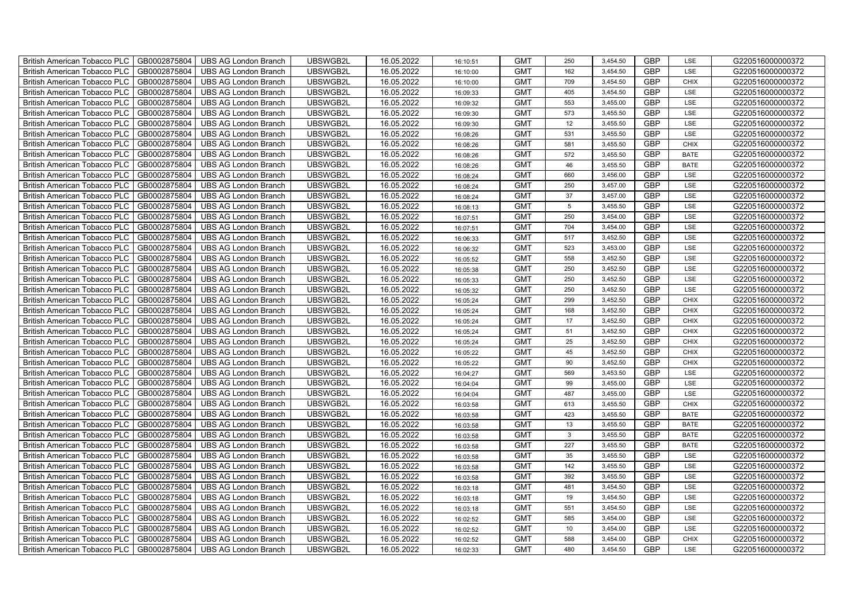| British American Tobacco PLC        | GB0002875804 | <b>UBS AG London Branch</b> | UBSWGB2L | 16.05.2022 | 16:10:51 | <b>GMT</b> | 250            | 3,454.50 | <b>GBP</b> | LSE         | G220516000000372 |
|-------------------------------------|--------------|-----------------------------|----------|------------|----------|------------|----------------|----------|------------|-------------|------------------|
| <b>British American Tobacco PLC</b> | GB0002875804 | <b>UBS AG London Branch</b> | UBSWGB2L | 16.05.2022 | 16:10:00 | <b>GMT</b> | 162            | 3,454.50 | <b>GBP</b> | <b>LSE</b>  | G220516000000372 |
| <b>British American Tobacco PLC</b> | GB0002875804 | <b>UBS AG London Branch</b> | UBSWGB2L | 16.05.2022 | 16:10:00 | <b>GMT</b> | 709            | 3,454.50 | <b>GBP</b> | <b>CHIX</b> | G220516000000372 |
| British American Tobacco PLC        | GB0002875804 | <b>UBS AG London Branch</b> | UBSWGB2L | 16.05.2022 | 16:09:33 | <b>GMT</b> | 405            | 3,454.50 | <b>GBP</b> | LSE         | G220516000000372 |
| <b>British American Tobacco PLC</b> | GB0002875804 | <b>UBS AG London Branch</b> | UBSWGB2L | 16.05.2022 | 16:09:32 | <b>GMT</b> | 553            | 3,455.00 | <b>GBP</b> | LSE         | G220516000000372 |
| British American Tobacco PLC        | GB0002875804 | <b>UBS AG London Branch</b> | UBSWGB2L | 16.05.2022 | 16:09:30 | <b>GMT</b> | 573            | 3,455.50 | <b>GBP</b> | LSE         | G220516000000372 |
| <b>British American Tobacco PLC</b> | GB0002875804 | <b>UBS AG London Branch</b> | UBSWGB2L | 16.05.2022 | 16:09:30 | <b>GMT</b> | 12             | 3,455.50 | <b>GBP</b> | LSE         | G220516000000372 |
| British American Tobacco PLC        | GB0002875804 | <b>UBS AG London Branch</b> | UBSWGB2L | 16.05.2022 | 16:08:26 | <b>GMT</b> | 531            | 3,455.50 | <b>GBP</b> | LSE         | G220516000000372 |
| <b>British American Tobacco PLC</b> | GB0002875804 | <b>UBS AG London Branch</b> | UBSWGB2L | 16.05.2022 | 16:08:26 | <b>GMT</b> | 581            | 3,455.50 | <b>GBP</b> | <b>CHIX</b> | G220516000000372 |
| British American Tobacco PLC        | GB0002875804 | <b>UBS AG London Branch</b> | UBSWGB2L | 16.05.2022 | 16:08:26 | <b>GMT</b> | 572            | 3,455.50 | <b>GBP</b> | <b>BATE</b> | G220516000000372 |
| <b>British American Tobacco PLC</b> | GB0002875804 | <b>UBS AG London Branch</b> | UBSWGB2L | 16.05.2022 | 16:08:26 | <b>GMT</b> | 46             | 3,455.50 | <b>GBP</b> | <b>BATE</b> | G220516000000372 |
| <b>British American Tobacco PLC</b> | GB0002875804 | <b>UBS AG London Branch</b> | UBSWGB2L | 16.05.2022 | 16:08:24 | <b>GMT</b> | 660            | 3,456.00 | <b>GBP</b> | LSE         | G220516000000372 |
| British American Tobacco PLC        | GB0002875804 | <b>UBS AG London Branch</b> | UBSWGB2L | 16.05.2022 | 16:08:24 | <b>GMT</b> | 250            | 3,457.00 | <b>GBP</b> | LSE         | G220516000000372 |
| British American Tobacco PLC        | GB0002875804 | <b>UBS AG London Branch</b> | UBSWGB2L | 16.05.2022 | 16:08:24 | <b>GMT</b> | 37             | 3,457.00 | <b>GBP</b> | LSE         | G220516000000372 |
| British American Tobacco PLC        | GB0002875804 | <b>UBS AG London Branch</b> | UBSWGB2L | 16.05.2022 | 16:08:13 | <b>GMT</b> | 5 <sub>5</sub> | 3,455.50 | <b>GBP</b> | LSE         | G220516000000372 |
| British American Tobacco PLC        | GB0002875804 | <b>UBS AG London Branch</b> | UBSWGB2L | 16.05.2022 | 16:07:51 | <b>GMT</b> | 250            | 3,454.00 | <b>GBP</b> | LSE         | G220516000000372 |
| British American Tobacco PLC        | GB0002875804 | <b>UBS AG London Branch</b> | UBSWGB2L | 16.05.2022 | 16:07:51 | <b>GMT</b> | 704            | 3,454.00 | <b>GBP</b> | LSE         | G220516000000372 |
| British American Tobacco PLC        | GB0002875804 | <b>UBS AG London Branch</b> | UBSWGB2L | 16.05.2022 | 16:06:33 | <b>GMT</b> | 517            | 3,452.50 | <b>GBP</b> | LSE         | G220516000000372 |
| British American Tobacco PLC        | GB0002875804 | <b>UBS AG London Branch</b> | UBSWGB2L | 16.05.2022 | 16:06:32 | <b>GMT</b> | 523            | 3,453.00 | <b>GBP</b> | LSE         | G220516000000372 |
| British American Tobacco PLC        | GB0002875804 | <b>UBS AG London Branch</b> | UBSWGB2L | 16.05.2022 | 16:05:52 | <b>GMT</b> | 558            | 3,452.50 | <b>GBP</b> | LSE         | G220516000000372 |
| <b>British American Tobacco PLC</b> | GB0002875804 | <b>UBS AG London Branch</b> | UBSWGB2L | 16.05.2022 | 16:05:38 | <b>GMT</b> | 250            | 3,452.50 | <b>GBP</b> | <b>LSE</b>  | G220516000000372 |
| British American Tobacco PLC        | GB0002875804 | <b>UBS AG London Branch</b> | UBSWGB2L | 16.05.2022 | 16:05:33 | <b>GMT</b> | 250            | 3,452.50 | <b>GBP</b> | LSE         | G220516000000372 |
| British American Tobacco PLC        | GB0002875804 | <b>UBS AG London Branch</b> | UBSWGB2L | 16.05.2022 | 16:05:32 | <b>GMT</b> | 250            | 3,452.50 | GBP        | LSE         | G220516000000372 |
| British American Tobacco PLC        | GB0002875804 | <b>UBS AG London Branch</b> | UBSWGB2L | 16.05.2022 | 16:05:24 | <b>GMT</b> | 299            | 3,452.50 | <b>GBP</b> | CHIX        | G220516000000372 |
| <b>British American Tobacco PLC</b> | GB0002875804 | <b>UBS AG London Branch</b> | UBSWGB2L | 16.05.2022 | 16:05:24 | <b>GMT</b> | 168            | 3,452.50 | <b>GBP</b> | CHIX        | G220516000000372 |
| British American Tobacco PLC        | GB0002875804 | <b>UBS AG London Branch</b> | UBSWGB2L | 16.05.2022 | 16:05:24 | <b>GMT</b> | 17             | 3,452.50 | <b>GBP</b> | <b>CHIX</b> | G220516000000372 |
| British American Tobacco PLC        | GB0002875804 | <b>UBS AG London Branch</b> | UBSWGB2L | 16.05.2022 | 16:05:24 | <b>GMT</b> | 51             | 3,452.50 | <b>GBP</b> | CHIX        | G220516000000372 |
| British American Tobacco PLC        | GB0002875804 | <b>UBS AG London Branch</b> | UBSWGB2L | 16.05.2022 | 16:05:24 | <b>GMT</b> | 25             | 3,452.50 | <b>GBP</b> | <b>CHIX</b> | G220516000000372 |
| <b>British American Tobacco PLC</b> | GB0002875804 | <b>UBS AG London Branch</b> | UBSWGB2L | 16.05.2022 | 16:05:22 | <b>GMT</b> | 45             | 3,452.50 | <b>GBP</b> | CHIX        | G220516000000372 |
| <b>British American Tobacco PLC</b> | GB0002875804 | <b>UBS AG London Branch</b> | UBSWGB2L | 16.05.2022 | 16:05:22 | <b>GMT</b> | 90             | 3,452.50 | <b>GBP</b> | <b>CHIX</b> | G220516000000372 |
| British American Tobacco PLC        | GB0002875804 | <b>UBS AG London Branch</b> | UBSWGB2L | 16.05.2022 | 16:04:27 | <b>GMT</b> | 569            | 3,453.50 | <b>GBP</b> | LSE         | G220516000000372 |
| British American Tobacco PLC        | GB0002875804 | UBS AG London Branch        | UBSWGB2L | 16.05.2022 | 16:04:04 | <b>GMT</b> | 99             | 3,455.00 | <b>GBP</b> | LSE         | G220516000000372 |
| British American Tobacco PLC        | GB0002875804 | <b>UBS AG London Branch</b> | UBSWGB2L | 16.05.2022 | 16:04:04 | <b>GMT</b> | 487            | 3,455.00 | <b>GBP</b> | LSE         | G220516000000372 |
| British American Tobacco PLC        | GB0002875804 | <b>UBS AG London Branch</b> | UBSWGB2L | 16.05.2022 | 16:03:58 | <b>GMT</b> | 613            | 3,455.50 | <b>GBP</b> | CHIX        | G220516000000372 |
| British American Tobacco PLC        | GB0002875804 | <b>UBS AG London Branch</b> | UBSWGB2L | 16.05.2022 | 16:03:58 | <b>GMT</b> | 423            | 3,455.50 | <b>GBP</b> | <b>BATE</b> | G220516000000372 |
| British American Tobacco PLC        | GB0002875804 | <b>UBS AG London Branch</b> | UBSWGB2L | 16.05.2022 | 16:03:58 | <b>GMT</b> | 13             | 3,455.50 | <b>GBP</b> | <b>BATE</b> | G220516000000372 |
| British American Tobacco PLC        | GB0002875804 | <b>UBS AG London Branch</b> | UBSWGB2L | 16.05.2022 | 16:03:58 | <b>GMT</b> | $\mathbf{3}$   | 3,455.50 | <b>GBP</b> | <b>BATE</b> | G220516000000372 |
| <b>British American Tobacco PLC</b> | GB0002875804 | <b>UBS AG London Branch</b> | UBSWGB2L | 16.05.2022 | 16:03:58 | <b>GMT</b> | 227            | 3,455.50 | <b>GBP</b> | <b>BATE</b> | G220516000000372 |
| British American Tobacco PLC        | GB0002875804 | <b>UBS AG London Branch</b> | UBSWGB2L | 16.05.2022 | 16:03:58 | <b>GMT</b> | 35             | 3,455.50 | <b>GBP</b> | LSE         | G220516000000372 |
| <b>British American Tobacco PLC</b> | GB0002875804 | <b>UBS AG London Branch</b> | UBSWGB2L | 16.05.2022 | 16:03:58 | <b>GMT</b> | 142            | 3,455.50 | <b>GBP</b> | LSE         | G220516000000372 |
| British American Tobacco PLC        | GB0002875804 | UBS AG London Branch        | UBSWGB2L | 16.05.2022 | 16:03:58 | <b>GMT</b> | 392            | 3,455.50 | GBP        | LSE         | G220516000000372 |
| British American Tobacco PLC        | GB0002875804 | <b>UBS AG London Branch</b> | UBSWGB2L | 16.05.2022 | 16:03:18 | <b>GMT</b> | 481            | 3,454.50 | <b>GBP</b> | LSE         | G220516000000372 |
| British American Tobacco PLC        | GB0002875804 | <b>UBS AG London Branch</b> | UBSWGB2L | 16.05.2022 | 16:03:18 | <b>GMT</b> | 19             | 3,454.50 | <b>GBP</b> | LSE         | G220516000000372 |
| <b>British American Tobacco PLC</b> | GB0002875804 | <b>UBS AG London Branch</b> | UBSWGB2L | 16.05.2022 | 16:03:18 | <b>GMT</b> | 551            | 3,454.50 | <b>GBP</b> | LSE         | G220516000000372 |
| <b>British American Tobacco PLC</b> | GB0002875804 | <b>UBS AG London Branch</b> | UBSWGB2L | 16.05.2022 | 16:02:52 | <b>GMT</b> | 585            | 3,454.00 | <b>GBP</b> | LSE         | G220516000000372 |
| <b>British American Tobacco PLC</b> | GB0002875804 | <b>UBS AG London Branch</b> | UBSWGB2L | 16.05.2022 | 16:02:52 | <b>GMT</b> | 10             | 3,454.00 | <b>GBP</b> | LSE         | G220516000000372 |
| <b>British American Tobacco PLC</b> | GB0002875804 | <b>UBS AG London Branch</b> | UBSWGB2L | 16.05.2022 | 16:02:52 | <b>GMT</b> | 588            | 3,454.00 | <b>GBP</b> | <b>CHIX</b> | G220516000000372 |
| British American Tobacco PLC        | GB0002875804 | UBS AG London Branch        | UBSWGB2L | 16.05.2022 | 16:02:33 | <b>GMT</b> | 480            | 3,454.50 | <b>GBP</b> | LSE         | G220516000000372 |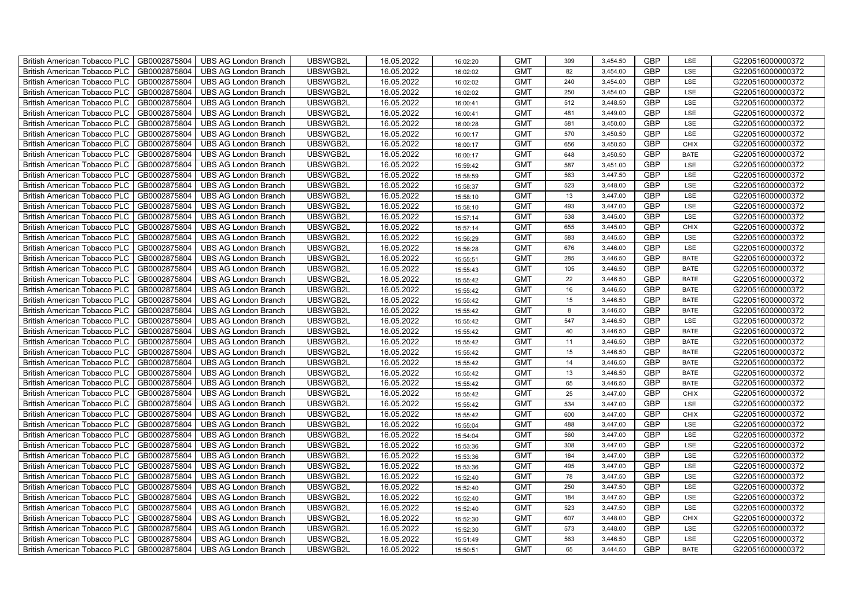| British American Tobacco PLC        | GB0002875804 | <b>UBS AG London Branch</b> | UBSWGB2L | 16.05.2022 | 16:02:20 | <b>GMT</b> | 399 | 3,454.50 | <b>GBP</b> | LSE         | G220516000000372 |
|-------------------------------------|--------------|-----------------------------|----------|------------|----------|------------|-----|----------|------------|-------------|------------------|
| <b>British American Tobacco PLC</b> | GB0002875804 | <b>UBS AG London Branch</b> | UBSWGB2L | 16.05.2022 | 16:02:02 | <b>GMT</b> | 82  | 3,454.00 | <b>GBP</b> | <b>LSE</b>  | G220516000000372 |
| <b>British American Tobacco PLC</b> | GB0002875804 | <b>UBS AG London Branch</b> | UBSWGB2L | 16.05.2022 | 16:02:02 | <b>GMT</b> | 240 | 3,454.00 | <b>GBP</b> | LSE         | G220516000000372 |
| British American Tobacco PLC        | GB0002875804 | <b>UBS AG London Branch</b> | UBSWGB2L | 16.05.2022 | 16:02:02 | <b>GMT</b> | 250 | 3,454.00 | <b>GBP</b> | LSE         | G220516000000372 |
| <b>British American Tobacco PLC</b> | GB0002875804 | UBS AG London Branch        | UBSWGB2L | 16.05.2022 | 16:00:41 | <b>GMT</b> | 512 | 3,448.50 | <b>GBP</b> | LSE         | G220516000000372 |
| British American Tobacco PLC        | GB0002875804 | <b>UBS AG London Branch</b> | UBSWGB2L | 16.05.2022 | 16:00:41 | <b>GMT</b> | 481 | 3,449.00 | <b>GBP</b> | LSE         | G220516000000372 |
| <b>British American Tobacco PLC</b> | GB0002875804 | <b>UBS AG London Branch</b> | UBSWGB2L | 16.05.2022 | 16:00:28 | <b>GMT</b> | 581 | 3,450.00 | <b>GBP</b> | LSE         | G220516000000372 |
| British American Tobacco PLC        | GB0002875804 | <b>UBS AG London Branch</b> | UBSWGB2L | 16.05.2022 | 16:00:17 | <b>GMT</b> | 570 | 3,450.50 | <b>GBP</b> | LSE         | G220516000000372 |
| <b>British American Tobacco PLC</b> | GB0002875804 | <b>UBS AG London Branch</b> | UBSWGB2L | 16.05.2022 | 16:00:17 | <b>GMT</b> | 656 | 3,450.50 | <b>GBP</b> | <b>CHIX</b> | G220516000000372 |
| British American Tobacco PLC        | GB0002875804 | <b>UBS AG London Branch</b> | UBSWGB2L | 16.05.2022 | 16:00:17 | <b>GMT</b> | 648 | 3,450.50 | <b>GBP</b> | <b>BATE</b> | G220516000000372 |
| <b>British American Tobacco PLC</b> | GB0002875804 | <b>UBS AG London Branch</b> | UBSWGB2L | 16.05.2022 | 15:59:42 | <b>GMT</b> | 587 | 3,451.00 | <b>GBP</b> | LSE         | G220516000000372 |
| <b>British American Tobacco PLC</b> | GB0002875804 | <b>UBS AG London Branch</b> | UBSWGB2L | 16.05.2022 | 15:58:59 | <b>GMT</b> | 563 | 3,447.50 | <b>GBP</b> | LSE         | G220516000000372 |
| British American Tobacco PLC        | GB0002875804 | <b>UBS AG London Branch</b> | UBSWGB2L | 16.05.2022 | 15:58:37 | <b>GMT</b> | 523 | 3,448.00 | <b>GBP</b> | LSE         | G220516000000372 |
| British American Tobacco PLC        | GB0002875804 | <b>UBS AG London Branch</b> | UBSWGB2L | 16.05.2022 | 15:58:10 | <b>GMT</b> | 13  | 3,447.00 | <b>GBP</b> | LSE         | G220516000000372 |
| British American Tobacco PLC        | GB0002875804 | <b>UBS AG London Branch</b> | UBSWGB2L | 16.05.2022 | 15:58:10 | <b>GMT</b> | 493 | 3,447.00 | <b>GBP</b> | LSE         | G220516000000372 |
| British American Tobacco PLC        | GB0002875804 | <b>UBS AG London Branch</b> | UBSWGB2L | 16.05.2022 | 15:57:14 | <b>GMT</b> | 538 | 3,445.00 | <b>GBP</b> | LSE         | G220516000000372 |
| British American Tobacco PLC        | GB0002875804 | <b>UBS AG London Branch</b> | UBSWGB2L | 16.05.2022 | 15:57:14 | <b>GMT</b> | 655 | 3,445.00 | <b>GBP</b> | <b>CHIX</b> | G220516000000372 |
| British American Tobacco PLC        | GB0002875804 | <b>UBS AG London Branch</b> | UBSWGB2L | 16.05.2022 | 15:56:29 | <b>GMT</b> | 583 | 3,445.50 | <b>GBP</b> | LSE         | G220516000000372 |
| British American Tobacco PLC        | GB0002875804 | <b>UBS AG London Branch</b> | UBSWGB2L | 16.05.2022 | 15:56:28 | <b>GMT</b> | 676 | 3,446.00 | <b>GBP</b> | LSE         | G220516000000372 |
| British American Tobacco PLC        | GB0002875804 | <b>UBS AG London Branch</b> | UBSWGB2L | 16.05.2022 | 15:55:51 | <b>GMT</b> | 285 | 3,446.50 | <b>GBP</b> | <b>BATE</b> | G220516000000372 |
| <b>British American Tobacco PLC</b> | GB0002875804 | <b>UBS AG London Branch</b> | UBSWGB2L | 16.05.2022 | 15:55:43 | <b>GMT</b> | 105 | 3,446.50 | <b>GBP</b> | <b>BATE</b> | G220516000000372 |
| British American Tobacco PLC        | GB0002875804 | <b>UBS AG London Branch</b> | UBSWGB2L | 16.05.2022 | 15:55:42 | <b>GMT</b> | 22  | 3,446.50 | <b>GBP</b> | <b>BATE</b> | G220516000000372 |
| British American Tobacco PLC        | GB0002875804 | <b>UBS AG London Branch</b> | UBSWGB2L | 16.05.2022 | 15:55:42 | <b>GMT</b> | 16  | 3,446.50 | GBP        | <b>BATE</b> | G220516000000372 |
| British American Tobacco PLC        | GB0002875804 | <b>UBS AG London Branch</b> | UBSWGB2L | 16.05.2022 | 15:55:42 | <b>GMT</b> | 15  | 3,446.50 | <b>GBP</b> | <b>BATE</b> | G220516000000372 |
| <b>British American Tobacco PLC</b> | GB0002875804 | <b>UBS AG London Branch</b> | UBSWGB2L | 16.05.2022 | 15:55:42 | <b>GMT</b> | 8   | 3,446.50 | <b>GBP</b> | <b>BATE</b> | G220516000000372 |
| British American Tobacco PLC        | GB0002875804 | <b>UBS AG London Branch</b> | UBSWGB2L | 16.05.2022 | 15:55:42 | <b>GMT</b> | 547 | 3,446.50 | <b>GBP</b> | LSE         | G220516000000372 |
| British American Tobacco PLC        | GB0002875804 | <b>UBS AG London Branch</b> | UBSWGB2L | 16.05.2022 | 15:55:42 | <b>GMT</b> | 40  | 3,446.50 | <b>GBP</b> | <b>BATE</b> | G220516000000372 |
| British American Tobacco PLC        | GB0002875804 | <b>UBS AG London Branch</b> | UBSWGB2L | 16.05.2022 | 15:55:42 | <b>GMT</b> | 11  | 3,446.50 | GBP        | <b>BATE</b> | G220516000000372 |
| <b>British American Tobacco PLC</b> | GB0002875804 | <b>UBS AG London Branch</b> | UBSWGB2L | 16.05.2022 | 15:55:42 | <b>GMT</b> | 15  | 3,446.50 | <b>GBP</b> | <b>BATE</b> | G220516000000372 |
| <b>British American Tobacco PLC</b> | GB0002875804 | <b>UBS AG London Branch</b> | UBSWGB2L | 16.05.2022 | 15:55:42 | <b>GMT</b> | 14  | 3,446.50 | <b>GBP</b> | <b>BATE</b> | G220516000000372 |
| British American Tobacco PLC        | GB0002875804 | <b>UBS AG London Branch</b> | UBSWGB2L | 16.05.2022 | 15:55:42 | <b>GMT</b> | 13  | 3,446.50 | <b>GBP</b> | <b>BATE</b> | G220516000000372 |
| British American Tobacco PLC        | GB0002875804 | <b>UBS AG London Branch</b> | UBSWGB2L | 16.05.2022 | 15:55:42 | <b>GMT</b> | 65  | 3,446.50 | GBP        | <b>BATE</b> | G220516000000372 |
| British American Tobacco PLC        | GB0002875804 | <b>UBS AG London Branch</b> | UBSWGB2L | 16.05.2022 | 15:55:42 | <b>GMT</b> | 25  | 3,447.00 | <b>GBP</b> | <b>CHIX</b> | G220516000000372 |
| British American Tobacco PLC        | GB0002875804 | <b>UBS AG London Branch</b> | UBSWGB2L | 16.05.2022 | 15:55:42 | <b>GMT</b> | 534 | 3,447.00 | <b>GBP</b> | LSE         | G220516000000372 |
| British American Tobacco PLC        | GB0002875804 | <b>UBS AG London Branch</b> | UBSWGB2L | 16.05.2022 | 15:55:42 | <b>GMT</b> | 600 | 3,447.00 | <b>GBP</b> | CHIX        | G220516000000372 |
| British American Tobacco PLC        | GB0002875804 | <b>UBS AG London Branch</b> | UBSWGB2L | 16.05.2022 | 15:55:04 | <b>GMT</b> | 488 | 3,447.00 | <b>GBP</b> | LSE         | G220516000000372 |
| British American Tobacco PLC        | GB0002875804 | <b>UBS AG London Branch</b> | UBSWGB2L | 16.05.2022 | 15:54:04 | <b>GMT</b> | 560 | 3,447.00 | <b>GBP</b> | LSE         | G220516000000372 |
| <b>British American Tobacco PLC</b> | GB0002875804 | <b>UBS AG London Branch</b> | UBSWGB2L | 16.05.2022 | 15:53:36 | <b>GMT</b> | 308 | 3,447.00 | <b>GBP</b> | LSE         | G220516000000372 |
| British American Tobacco PLC        | GB0002875804 | <b>UBS AG London Branch</b> | UBSWGB2L | 16.05.2022 | 15:53:36 | <b>GMT</b> | 184 | 3,447.00 | <b>GBP</b> | LSE         | G220516000000372 |
| <b>British American Tobacco PLC</b> | GB0002875804 | <b>UBS AG London Branch</b> | UBSWGB2L | 16.05.2022 | 15:53:36 | <b>GMT</b> | 495 | 3,447.00 | <b>GBP</b> | LSE         | G220516000000372 |
| British American Tobacco PLC        | GB0002875804 | UBS AG London Branch        | UBSWGB2L | 16.05.2022 | 15:52:40 | <b>GMT</b> | 78  | 3,447.50 | GBP        | LSE         | G220516000000372 |
| British American Tobacco PLC        | GB0002875804 | <b>UBS AG London Branch</b> | UBSWGB2L | 16.05.2022 | 15:52:40 | <b>GMT</b> | 250 | 3,447.50 | <b>GBP</b> | LSE         | G220516000000372 |
| British American Tobacco PLC        | GB0002875804 | <b>UBS AG London Branch</b> | UBSWGB2L | 16.05.2022 | 15:52:40 | <b>GMT</b> | 184 | 3,447.50 | <b>GBP</b> | LSE         | G220516000000372 |
| <b>British American Tobacco PLC</b> | GB0002875804 | <b>UBS AG London Branch</b> | UBSWGB2L | 16.05.2022 | 15:52:40 | <b>GMT</b> | 523 | 3,447.50 | <b>GBP</b> | LSE         | G220516000000372 |
| <b>British American Tobacco PLC</b> | GB0002875804 | <b>UBS AG London Branch</b> | UBSWGB2L | 16.05.2022 | 15:52:30 | <b>GMT</b> | 607 | 3,448.00 | <b>GBP</b> | <b>CHIX</b> | G220516000000372 |
| <b>British American Tobacco PLC</b> | GB0002875804 | <b>UBS AG London Branch</b> | UBSWGB2L | 16.05.2022 | 15:52:30 | <b>GMT</b> | 573 | 3,448.00 | <b>GBP</b> | LSE         | G220516000000372 |
| British American Tobacco PLC        | GB0002875804 | <b>UBS AG London Branch</b> | UBSWGB2L | 16.05.2022 | 15:51:49 | <b>GMT</b> | 563 | 3,446.50 | <b>GBP</b> | LSE         | G220516000000372 |
| British American Tobacco PLC        | GB0002875804 | UBS AG London Branch        | UBSWGB2L | 16.05.2022 | 15:50:51 | <b>GMT</b> | 65  | 3,444.50 | <b>GBP</b> | <b>BATE</b> | G220516000000372 |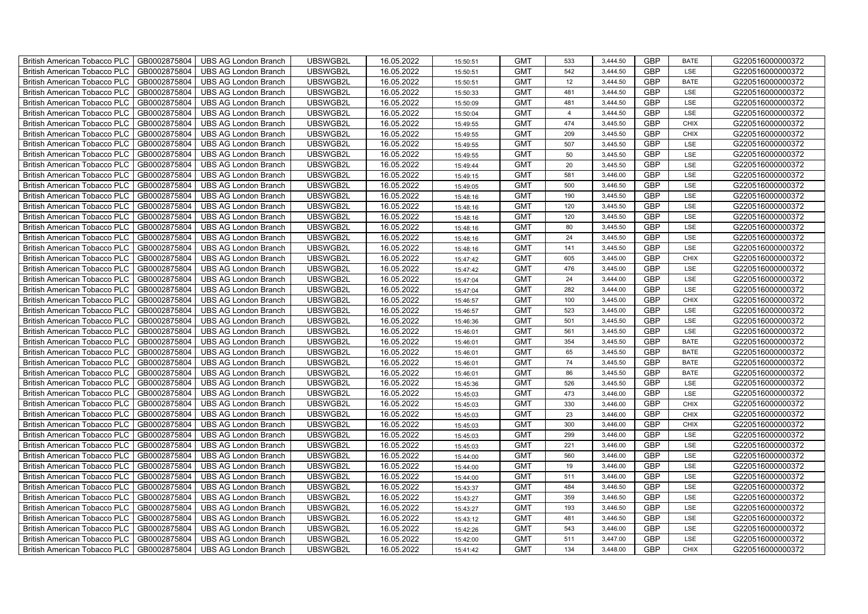| British American Tobacco PLC        | GB0002875804 | <b>UBS AG London Branch</b> | UBSWGB2L | 16.05.2022 | 15:50:51 | <b>GMT</b> | 533            | 3,444.50 | <b>GBP</b> | <b>BATE</b> | G220516000000372 |
|-------------------------------------|--------------|-----------------------------|----------|------------|----------|------------|----------------|----------|------------|-------------|------------------|
| <b>British American Tobacco PLC</b> | GB0002875804 | <b>UBS AG London Branch</b> | UBSWGB2L | 16.05.2022 | 15:50:51 | <b>GMT</b> | 542            | 3.444.50 | <b>GBP</b> | <b>LSE</b>  | G220516000000372 |
| <b>British American Tobacco PLC</b> | GB0002875804 | <b>UBS AG London Branch</b> | UBSWGB2L | 16.05.2022 | 15:50:51 | <b>GMT</b> | 12             | 3,444.50 | <b>GBP</b> | <b>BATE</b> | G220516000000372 |
| British American Tobacco PLC        | GB0002875804 | <b>UBS AG London Branch</b> | UBSWGB2L | 16.05.2022 | 15:50:33 | <b>GMT</b> | 481            | 3,444.50 | <b>GBP</b> | LSE         | G220516000000372 |
| <b>British American Tobacco PLC</b> | GB0002875804 | UBS AG London Branch        | UBSWGB2L | 16.05.2022 | 15:50:09 | <b>GMT</b> | 481            | 3,444.50 | <b>GBP</b> | LSE         | G220516000000372 |
| British American Tobacco PLC        | GB0002875804 | <b>UBS AG London Branch</b> | UBSWGB2L | 16.05.2022 | 15:50:04 | <b>GMT</b> | $\overline{4}$ | 3,444.50 | <b>GBP</b> | LSE         | G220516000000372 |
| <b>British American Tobacco PLC</b> | GB0002875804 | <b>UBS AG London Branch</b> | UBSWGB2L | 16.05.2022 | 15:49:55 | <b>GMT</b> | 474            | 3,445.50 | <b>GBP</b> | <b>CHIX</b> | G220516000000372 |
| British American Tobacco PLC        | GB0002875804 | <b>UBS AG London Branch</b> | UBSWGB2L | 16.05.2022 | 15:49:55 | <b>GMT</b> | 209            | 3,445.50 | <b>GBP</b> | <b>CHIX</b> | G220516000000372 |
| <b>British American Tobacco PLC</b> | GB0002875804 | <b>UBS AG London Branch</b> | UBSWGB2L | 16.05.2022 | 15:49:55 | <b>GMT</b> | 507            | 3,445.50 | <b>GBP</b> | LSE         | G220516000000372 |
| British American Tobacco PLC        | GB0002875804 | <b>UBS AG London Branch</b> | UBSWGB2L | 16.05.2022 | 15:49:55 | <b>GMT</b> | 50             | 3,445.50 | <b>GBP</b> | LSE         | G220516000000372 |
| <b>British American Tobacco PLC</b> | GB0002875804 | <b>UBS AG London Branch</b> | UBSWGB2L | 16.05.2022 | 15:49:44 | <b>GMT</b> | 20             | 3,445.50 | <b>GBP</b> | LSE         | G220516000000372 |
| <b>British American Tobacco PLC</b> | GB0002875804 | <b>UBS AG London Branch</b> | UBSWGB2L | 16.05.2022 | 15:49:15 | <b>GMT</b> | 581            | 3,446.00 | <b>GBP</b> | LSE         | G220516000000372 |
| British American Tobacco PLC        | GB0002875804 | <b>UBS AG London Branch</b> | UBSWGB2L | 16.05.2022 | 15:49:05 | <b>GMT</b> | 500            | 3,446.50 | <b>GBP</b> | LSE         | G220516000000372 |
| British American Tobacco PLC        | GB0002875804 | <b>UBS AG London Branch</b> | UBSWGB2L | 16.05.2022 | 15:48:16 | <b>GMT</b> | 190            | 3,445.50 | <b>GBP</b> | LSE         | G220516000000372 |
| British American Tobacco PLC        | GB0002875804 | <b>UBS AG London Branch</b> | UBSWGB2L | 16.05.2022 | 15:48:16 | <b>GMT</b> | 120            | 3,445.50 | <b>GBP</b> | LSE         | G220516000000372 |
| British American Tobacco PLC        | GB0002875804 | <b>UBS AG London Branch</b> | UBSWGB2L | 16.05.2022 | 15:48:16 | <b>GMT</b> | 120            | 3,445.50 | <b>GBP</b> | LSE         | G220516000000372 |
| British American Tobacco PLC        | GB0002875804 | <b>UBS AG London Branch</b> | UBSWGB2L | 16.05.2022 | 15:48:16 | <b>GMT</b> | 80             | 3,445.50 | <b>GBP</b> | LSE         | G220516000000372 |
| British American Tobacco PLC        | GB0002875804 | <b>UBS AG London Branch</b> | UBSWGB2L | 16.05.2022 | 15:48:16 | <b>GMT</b> | 24             | 3,445.50 | <b>GBP</b> | LSE         | G220516000000372 |
| British American Tobacco PLC        | GB0002875804 | <b>UBS AG London Branch</b> | UBSWGB2L | 16.05.2022 | 15:48:16 | <b>GMT</b> | 141            | 3,445.50 | <b>GBP</b> | LSE         | G220516000000372 |
| British American Tobacco PLC        | GB0002875804 | <b>UBS AG London Branch</b> | UBSWGB2L | 16.05.2022 | 15:47:42 | <b>GMT</b> | 605            | 3,445.00 | GBP        | CHIX        | G220516000000372 |
| <b>British American Tobacco PLC</b> | GB0002875804 | UBS AG London Branch        | UBSWGB2L | 16.05.2022 | 15:47:42 | <b>GMT</b> | 476            | 3,445.00 | <b>GBP</b> | <b>LSE</b>  | G220516000000372 |
| British American Tobacco PLC        | GB0002875804 | <b>UBS AG London Branch</b> | UBSWGB2L | 16.05.2022 | 15:47:04 | <b>GMT</b> | 24             | 3,444.00 | <b>GBP</b> | LSE         | G220516000000372 |
| British American Tobacco PLC        | GB0002875804 | <b>UBS AG London Branch</b> | UBSWGB2L | 16.05.2022 | 15:47:04 | <b>GMT</b> | 282            | 3,444.00 | GBP        | LSE         | G220516000000372 |
| British American Tobacco PLC        | GB0002875804 | <b>UBS AG London Branch</b> | UBSWGB2L | 16.05.2022 | 15:46:57 | <b>GMT</b> | 100            | 3,445.00 | <b>GBP</b> | CHIX        | G220516000000372 |
| <b>British American Tobacco PLC</b> | GB0002875804 | <b>UBS AG London Branch</b> | UBSWGB2L | 16.05.2022 | 15:46:57 | <b>GMT</b> | 523            | 3,445.00 | <b>GBP</b> | LSE         | G220516000000372 |
| British American Tobacco PLC        | GB0002875804 | <b>UBS AG London Branch</b> | UBSWGB2L | 16.05.2022 | 15:46:36 | <b>GMT</b> | 501            | 3,445.50 | <b>GBP</b> | LSE         | G220516000000372 |
| British American Tobacco PLC        | GB0002875804 | <b>UBS AG London Branch</b> | UBSWGB2L | 16.05.2022 | 15:46:01 | <b>GMT</b> | 561            | 3,445.50 | <b>GBP</b> | LSE         | G220516000000372 |
| British American Tobacco PLC        | GB0002875804 | <b>UBS AG London Branch</b> | UBSWGB2L | 16.05.2022 | 15:46:01 | <b>GMT</b> | 354            | 3,445.50 | <b>GBP</b> | <b>BATE</b> | G220516000000372 |
| <b>British American Tobacco PLC</b> | GB0002875804 | <b>UBS AG London Branch</b> | UBSWGB2L | 16.05.2022 | 15:46:01 | <b>GMT</b> | 65             | 3,445.50 | <b>GBP</b> | <b>BATE</b> | G220516000000372 |
| <b>British American Tobacco PLC</b> | GB0002875804 | <b>UBS AG London Branch</b> | UBSWGB2L | 16.05.2022 | 15:46:01 | <b>GMT</b> | 74             | 3,445.50 | <b>GBP</b> | <b>BATE</b> | G220516000000372 |
| British American Tobacco PLC        | GB0002875804 | <b>UBS AG London Branch</b> | UBSWGB2L | 16.05.2022 | 15:46:01 | <b>GMT</b> | 86             | 3,445.50 | <b>GBP</b> | <b>BATE</b> | G220516000000372 |
| British American Tobacco PLC        | GB0002875804 | UBS AG London Branch        | UBSWGB2L | 16.05.2022 | 15:45:36 | <b>GMT</b> | 526            | 3,445.50 | GBP        | LSE         | G220516000000372 |
| British American Tobacco PLC        | GB0002875804 | <b>UBS AG London Branch</b> | UBSWGB2L | 16.05.2022 | 15:45:03 | <b>GMT</b> | 473            | 3,446.00 | <b>GBP</b> | LSE         | G220516000000372 |
| British American Tobacco PLC        | GB0002875804 | <b>UBS AG London Branch</b> | UBSWGB2L | 16.05.2022 | 15:45:03 | <b>GMT</b> | 330            | 3,446.00 | <b>GBP</b> | CHIX        | G220516000000372 |
| British American Tobacco PLC        | GB0002875804 | <b>UBS AG London Branch</b> | UBSWGB2L | 16.05.2022 | 15:45:03 | <b>GMT</b> | 23             | 3,446.00 | <b>GBP</b> | CHIX        | G220516000000372 |
| British American Tobacco PLC        | GB0002875804 | <b>UBS AG London Branch</b> | UBSWGB2L | 16.05.2022 | 15:45:03 | <b>GMT</b> | 300            | 3,446.00 | <b>GBP</b> | CHIX        | G220516000000372 |
| British American Tobacco PLC        | GB0002875804 | <b>UBS AG London Branch</b> | UBSWGB2L | 16.05.2022 | 15:45:03 | <b>GMT</b> | 299            | 3,446.00 | <b>GBP</b> | LSE         | G220516000000372 |
| <b>British American Tobacco PLC</b> | GB0002875804 | <b>UBS AG London Branch</b> | UBSWGB2L | 16.05.2022 | 15:45:03 | <b>GMT</b> | 221            | 3,446.00 | <b>GBP</b> | LSE         | G220516000000372 |
| British American Tobacco PLC        | GB0002875804 | <b>UBS AG London Branch</b> | UBSWGB2L | 16.05.2022 | 15:44:00 | <b>GMT</b> | 560            | 3,446.00 | <b>GBP</b> | LSE         | G220516000000372 |
| British American Tobacco PLC        | GB0002875804 | <b>UBS AG London Branch</b> | UBSWGB2L | 16.05.2022 | 15:44:00 | <b>GMT</b> | 19             | 3,446.00 | <b>GBP</b> | LSE         | G220516000000372 |
| British American Tobacco PLC        | GB0002875804 | UBS AG London Branch        | UBSWGB2L | 16.05.2022 | 15:44:00 | <b>GMT</b> | 511            | 3,446.00 | GBP        | LSE         | G220516000000372 |
| British American Tobacco PLC        | GB0002875804 | <b>UBS AG London Branch</b> | UBSWGB2L | 16.05.2022 | 15:43:37 | <b>GMT</b> | 484            | 3,446.50 | <b>GBP</b> | LSE         | G220516000000372 |
| British American Tobacco PLC        | GB0002875804 | <b>UBS AG London Branch</b> | UBSWGB2L | 16.05.2022 | 15:43:27 | <b>GMT</b> | 359            | 3,446.50 | <b>GBP</b> | LSE         | G220516000000372 |
| British American Tobacco PLC        | GB0002875804 | <b>UBS AG London Branch</b> | UBSWGB2L | 16.05.2022 | 15:43:27 | <b>GMT</b> | 193            | 3,446.50 | <b>GBP</b> | LSE         | G220516000000372 |
| <b>British American Tobacco PLC</b> | GB0002875804 | <b>UBS AG London Branch</b> | UBSWGB2L | 16.05.2022 | 15:43:12 | <b>GMT</b> | 481            | 3,446.50 | <b>GBP</b> | LSE         | G220516000000372 |
| <b>British American Tobacco PLC</b> | GB0002875804 | <b>UBS AG London Branch</b> | UBSWGB2L | 16.05.2022 | 15:42:26 | <b>GMT</b> | 543            | 3,446.00 | <b>GBP</b> | LSE         | G220516000000372 |
| <b>British American Tobacco PLC</b> | GB0002875804 | <b>UBS AG London Branch</b> | UBSWGB2L | 16.05.2022 | 15:42:00 | <b>GMT</b> | 511            | 3,447.00 | <b>GBP</b> | LSE         | G220516000000372 |
| British American Tobacco PLC        | GB0002875804 | UBS AG London Branch        | UBSWGB2L | 16.05.2022 | 15:41:42 | <b>GMT</b> | 134            | 3,448.00 | <b>GBP</b> | <b>CHIX</b> | G220516000000372 |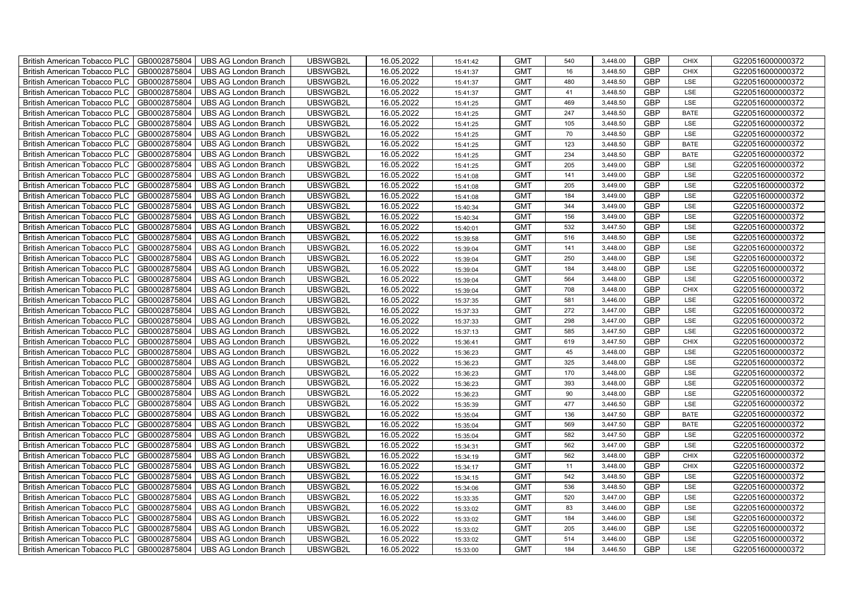| British American Tobacco PLC        | GB0002875804 | <b>UBS AG London Branch</b> | UBSWGB2L | 16.05.2022 | 15:41:42 | <b>GMT</b> | 540 | 3,448.00 | <b>GBP</b> | <b>CHIX</b> | G220516000000372 |
|-------------------------------------|--------------|-----------------------------|----------|------------|----------|------------|-----|----------|------------|-------------|------------------|
| <b>British American Tobacco PLC</b> | GB0002875804 | <b>UBS AG London Branch</b> | UBSWGB2L | 16.05.2022 | 15:41:37 | <b>GMT</b> | 16  | 3,448.50 | <b>GBP</b> | <b>CHIX</b> | G220516000000372 |
| <b>British American Tobacco PLC</b> | GB0002875804 | <b>UBS AG London Branch</b> | UBSWGB2L | 16.05.2022 | 15:41:37 | <b>GMT</b> | 480 | 3,448.50 | <b>GBP</b> | LSE         | G220516000000372 |
| British American Tobacco PLC        | GB0002875804 | <b>UBS AG London Branch</b> | UBSWGB2L | 16.05.2022 | 15:41:37 | <b>GMT</b> | 41  | 3,448.50 | <b>GBP</b> | LSE         | G220516000000372 |
| British American Tobacco PLC        | GB0002875804 | <b>UBS AG London Branch</b> | UBSWGB2L | 16.05.2022 | 15:41:25 | <b>GMT</b> | 469 | 3,448.50 | <b>GBP</b> | LSE         | G220516000000372 |
| British American Tobacco PLC        | GB0002875804 | <b>UBS AG London Branch</b> | UBSWGB2L | 16.05.2022 | 15:41:25 | <b>GMT</b> | 247 | 3,448.50 | <b>GBP</b> | <b>BATE</b> | G220516000000372 |
| British American Tobacco PLC        | GB0002875804 | <b>UBS AG London Branch</b> | UBSWGB2L | 16.05.2022 | 15:41:25 | <b>GMT</b> | 105 | 3,448.50 | <b>GBP</b> | LSE         | G220516000000372 |
| British American Tobacco PLC        | GB0002875804 | <b>UBS AG London Branch</b> | UBSWGB2L | 16.05.2022 | 15:41:25 | <b>GMT</b> | 70  | 3,448.50 | <b>GBP</b> | LSE         | G220516000000372 |
| British American Tobacco PLC        | GB0002875804 | <b>UBS AG London Branch</b> | UBSWGB2L | 16.05.2022 | 15:41:25 | <b>GMT</b> | 123 | 3,448.50 | <b>GBP</b> | <b>BATE</b> | G220516000000372 |
| British American Tobacco PLC        | GB0002875804 | <b>UBS AG London Branch</b> | UBSWGB2L | 16.05.2022 | 15:41:25 | <b>GMT</b> | 234 | 3,448.50 | GBP        | <b>BATE</b> | G220516000000372 |
| <b>British American Tobacco PLC</b> | GB0002875804 | <b>UBS AG London Branch</b> | UBSWGB2L | 16.05.2022 | 15:41:25 | <b>GMT</b> | 205 | 3,449.00 | <b>GBP</b> | LSE         | G220516000000372 |
| <b>British American Tobacco PLC</b> | GB0002875804 | <b>UBS AG London Branch</b> | UBSWGB2L | 16.05.2022 | 15:41:08 | <b>GMT</b> | 141 | 3,449.00 | <b>GBP</b> | LSE         | G220516000000372 |
| British American Tobacco PLC        | GB0002875804 | <b>UBS AG London Branch</b> | UBSWGB2L | 16.05.2022 | 15:41:08 | <b>GMT</b> | 205 | 3,449.00 | <b>GBP</b> | LSE         | G220516000000372 |
| British American Tobacco PLC        | GB0002875804 | <b>UBS AG London Branch</b> | UBSWGB2L | 16.05.2022 | 15:41:08 | <b>GMT</b> | 184 | 3,449.00 | <b>GBP</b> | LSE         | G220516000000372 |
| British American Tobacco PLC        | GB0002875804 | <b>UBS AG London Branch</b> | UBSWGB2L | 16.05.2022 | 15:40:34 | <b>GMT</b> | 344 | 3,449.00 | <b>GBP</b> | LSE         | G220516000000372 |
| British American Tobacco PLC        | GB0002875804 | <b>UBS AG London Branch</b> | UBSWGB2L | 16.05.2022 | 15:40:34 | <b>GMT</b> | 156 | 3,449.00 | <b>GBP</b> | LSE         | G220516000000372 |
| British American Tobacco PLC        | GB0002875804 | <b>UBS AG London Branch</b> | UBSWGB2L | 16.05.2022 | 15:40:01 | <b>GMT</b> | 532 | 3,447.50 | <b>GBP</b> | LSE         | G220516000000372 |
| British American Tobacco PLC        | GB0002875804 | <b>UBS AG London Branch</b> | UBSWGB2L | 16.05.2022 | 15:39:58 | <b>GMT</b> | 516 | 3,448.50 | <b>GBP</b> | LSE         | G220516000000372 |
| British American Tobacco PLC        | GB0002875804 | <b>UBS AG London Branch</b> | UBSWGB2L | 16.05.2022 | 15:39:04 | <b>GMT</b> | 141 | 3,448.00 | <b>GBP</b> | LSE         | G220516000000372 |
| <b>British American Tobacco PLC</b> | GB0002875804 | <b>UBS AG London Branch</b> | UBSWGB2L | 16.05.2022 | 15:39:04 | <b>GMT</b> | 250 | 3,448.00 | <b>GBP</b> | LSE         | G220516000000372 |
| <b>British American Tobacco PLC</b> | GB0002875804 | <b>UBS AG London Branch</b> | UBSWGB2L | 16.05.2022 | 15:39:04 | <b>GMT</b> | 184 | 3,448.00 | <b>GBP</b> | LSE         | G220516000000372 |
| British American Tobacco PLC        | GB0002875804 | <b>UBS AG London Branch</b> | UBSWGB2L | 16.05.2022 | 15:39:04 | <b>GMT</b> | 564 | 3,448.00 | GBP        | LSE         | G220516000000372 |
| British American Tobacco PLC        | GB0002875804 | <b>UBS AG London Branch</b> | UBSWGB2L | 16.05.2022 | 15:39:04 | <b>GMT</b> | 708 | 3,448.00 | GBP        | <b>CHIX</b> | G220516000000372 |
| British American Tobacco PLC        | GB0002875804 | <b>UBS AG London Branch</b> | UBSWGB2L | 16.05.2022 | 15:37:35 | <b>GMT</b> | 581 | 3,446.00 | <b>GBP</b> | LSE         | G220516000000372 |
| British American Tobacco PLC        | GB0002875804 | <b>UBS AG London Branch</b> | UBSWGB2L | 16.05.2022 | 15:37:33 | <b>GMT</b> | 272 | 3,447.00 | <b>GBP</b> | LSE         | G220516000000372 |
| British American Tobacco PLC        | GB0002875804 | <b>UBS AG London Branch</b> | UBSWGB2L | 16.05.2022 | 15:37:33 | <b>GMT</b> | 298 | 3,447.00 | <b>GBP</b> | LSE         | G220516000000372 |
| British American Tobacco PLC        | GB0002875804 | <b>UBS AG London Branch</b> | UBSWGB2L | 16.05.2022 | 15:37:13 | <b>GMT</b> | 585 | 3,447.50 | <b>GBP</b> | LSE         | G220516000000372 |
| British American Tobacco PLC        | GB0002875804 | <b>UBS AG London Branch</b> | UBSWGB2L | 16.05.2022 | 15:36:41 | <b>GMT</b> | 619 | 3,447.50 | <b>GBP</b> | <b>CHIX</b> | G220516000000372 |
| <b>British American Tobacco PLC</b> | GB0002875804 | <b>UBS AG London Branch</b> | UBSWGB2L | 16.05.2022 | 15:36:23 | <b>GMT</b> | 45  | 3,448.00 | <b>GBP</b> | LSE         | G220516000000372 |
| <b>British American Tobacco PLC</b> | GB0002875804 | <b>UBS AG London Branch</b> | UBSWGB2L | 16.05.2022 | 15:36:23 | <b>GMT</b> | 325 | 3,448.00 | <b>GBP</b> | LSE         | G220516000000372 |
| <b>British American Tobacco PLC</b> | GB0002875804 | <b>UBS AG London Branch</b> | UBSWGB2L | 16.05.2022 | 15:36:23 | <b>GMT</b> | 170 | 3,448.00 | <b>GBP</b> | LSE         | G220516000000372 |
| British American Tobacco PLC        | GB0002875804 | UBS AG London Branch        | UBSWGB2L | 16.05.2022 | 15:36:23 | <b>GMT</b> | 393 | 3,448.00 | GBP        | LSE         | G220516000000372 |
| <b>British American Tobacco PLC</b> | GB0002875804 | <b>UBS AG London Branch</b> | UBSWGB2L | 16.05.2022 | 15:36:23 | <b>GMT</b> | 90  | 3,448.00 | <b>GBP</b> | LSE         | G220516000000372 |
| <b>British American Tobacco PLC</b> | GB0002875804 | <b>UBS AG London Branch</b> | UBSWGB2L | 16.05.2022 | 15:35:39 | <b>GMT</b> | 477 | 3,446.50 | <b>GBP</b> | LSE         | G220516000000372 |
| <b>British American Tobacco PLC</b> | GB0002875804 | <b>UBS AG London Branch</b> | UBSWGB2L | 16.05.2022 | 15:35:04 | <b>GMT</b> | 136 | 3,447.50 | <b>GBP</b> | <b>BATE</b> | G220516000000372 |
| British American Tobacco PLC        | GB0002875804 | <b>UBS AG London Branch</b> | UBSWGB2L | 16.05.2022 | 15:35:04 | <b>GMT</b> | 569 | 3,447.50 | <b>GBP</b> | <b>BATE</b> | G220516000000372 |
| British American Tobacco PLC        | GB0002875804 | <b>UBS AG London Branch</b> | UBSWGB2L | 16.05.2022 | 15:35:04 | <b>GMT</b> | 582 | 3,447.50 | <b>GBP</b> | LSE         | G220516000000372 |
| British American Tobacco PLC        | GB0002875804 | <b>UBS AG London Branch</b> | UBSWGB2L | 16.05.2022 | 15:34:31 | <b>GMT</b> | 562 | 3,447.00 | <b>GBP</b> | LSE         | G220516000000372 |
| <b>British American Tobacco PLC</b> | GB0002875804 | <b>UBS AG London Branch</b> | UBSWGB2L | 16.05.2022 | 15:34:19 | <b>GMT</b> | 562 | 3,448.00 | <b>GBP</b> | <b>CHIX</b> | G220516000000372 |
| British American Tobacco PLC        | GB0002875804 | <b>UBS AG London Branch</b> | UBSWGB2L | 16.05.2022 | 15:34:17 | <b>GMT</b> | 11  | 3,448.00 | <b>GBP</b> | <b>CHIX</b> | G220516000000372 |
| British American Tobacco PLC        | GB0002875804 | <b>UBS AG London Branch</b> | UBSWGB2L | 16.05.2022 | 15:34:15 | <b>GMT</b> | 542 | 3,448.50 | GBP        | LSE         | G220516000000372 |
| British American Tobacco PLC        | GB0002875804 | <b>UBS AG London Branch</b> | UBSWGB2L | 16.05.2022 | 15:34:06 | <b>GMT</b> | 536 | 3,448.50 | <b>GBP</b> | LSE         | G220516000000372 |
| British American Tobacco PLC        | GB0002875804 | <b>UBS AG London Branch</b> | UBSWGB2L | 16.05.2022 | 15:33:35 | <b>GMT</b> | 520 | 3,447.00 | <b>GBP</b> | LSE         | G220516000000372 |
| British American Tobacco PLC        | GB0002875804 | <b>UBS AG London Branch</b> | UBSWGB2L | 16.05.2022 | 15:33:02 | <b>GMT</b> | 83  | 3,446.00 | <b>GBP</b> | LSE         | G220516000000372 |
| British American Tobacco PLC        | GB0002875804 | <b>UBS AG London Branch</b> | UBSWGB2L | 16.05.2022 | 15:33:02 | <b>GMT</b> | 184 | 3,446.00 | GBP        | LSE         | G220516000000372 |
| British American Tobacco PLC        | GB0002875804 | <b>UBS AG London Branch</b> | UBSWGB2L | 16.05.2022 | 15:33:02 | <b>GMT</b> | 205 | 3,446.00 | <b>GBP</b> | LSE         | G220516000000372 |
| <b>British American Tobacco PLC</b> | GB0002875804 | <b>UBS AG London Branch</b> | UBSWGB2L | 16.05.2022 | 15:33:02 | <b>GMT</b> | 514 | 3,446.00 | <b>GBP</b> | LSE         | G220516000000372 |
| <b>British American Tobacco PLC</b> | GB0002875804 | <b>UBS AG London Branch</b> | UBSWGB2L | 16.05.2022 | 15:33:00 | <b>GMT</b> | 184 | 3,446.50 | <b>GBP</b> | LSE         | G220516000000372 |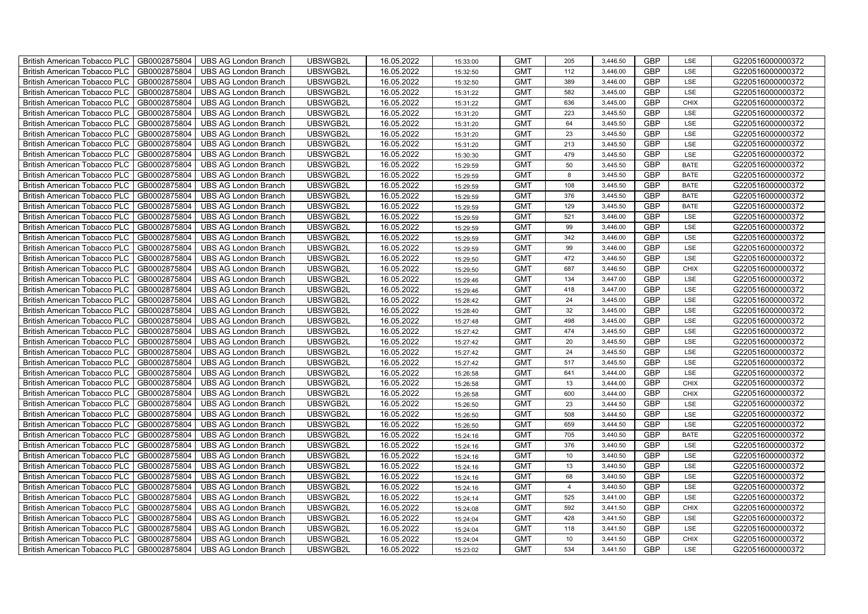| British American Tobacco PLC        | GB0002875804 | <b>UBS AG London Branch</b> | UBSWGB2L | 16.05.2022 | 15:33:00 | <b>GMT</b> | 205            | 3,446.50 | <b>GBP</b> | LSE         | G220516000000372 |
|-------------------------------------|--------------|-----------------------------|----------|------------|----------|------------|----------------|----------|------------|-------------|------------------|
| <b>British American Tobacco PLC</b> | GB0002875804 | <b>UBS AG London Branch</b> | UBSWGB2L | 16.05.2022 | 15:32:50 | <b>GMT</b> | 112            | 3,446.00 | <b>GBP</b> | <b>LSE</b>  | G220516000000372 |
| <b>British American Tobacco PLC</b> | GB0002875804 | UBS AG London Branch        | UBSWGB2L | 16.05.2022 | 15:32:50 | <b>GMT</b> | 389            | 3,446.00 | <b>GBP</b> | LSE         | G220516000000372 |
| British American Tobacco PLC        | GB0002875804 | <b>UBS AG London Branch</b> | UBSWGB2L | 16.05.2022 | 15:31:22 | <b>GMT</b> | 582            | 3,445.00 | <b>GBP</b> | LSE         | G220516000000372 |
| <b>British American Tobacco PLC</b> | GB0002875804 | UBS AG London Branch        | UBSWGB2L | 16.05.2022 | 15:31:22 | <b>GMT</b> | 636            | 3,445.00 | <b>GBP</b> | <b>CHIX</b> | G220516000000372 |
| British American Tobacco PLC        | GB0002875804 | <b>UBS AG London Branch</b> | UBSWGB2L | 16.05.2022 | 15:31:20 | <b>GMT</b> | 223            | 3,445.50 | <b>GBP</b> | LSE         | G220516000000372 |
| <b>British American Tobacco PLC</b> | GB0002875804 | <b>UBS AG London Branch</b> | UBSWGB2L | 16.05.2022 | 15:31:20 | <b>GMT</b> | 64             | 3,445.50 | <b>GBP</b> | LSE         | G220516000000372 |
| British American Tobacco PLC        | GB0002875804 | <b>UBS AG London Branch</b> | UBSWGB2L | 16.05.2022 | 15:31:20 | <b>GMT</b> | 23             | 3,445.50 | <b>GBP</b> | LSE         | G220516000000372 |
| <b>British American Tobacco PLC</b> | GB0002875804 | <b>UBS AG London Branch</b> | UBSWGB2L | 16.05.2022 | 15:31:20 | <b>GMT</b> | 213            | 3,445.50 | <b>GBP</b> | LSE         | G220516000000372 |
| British American Tobacco PLC        | GB0002875804 | <b>UBS AG London Branch</b> | UBSWGB2L | 16.05.2022 | 15:30:30 | <b>GMT</b> | 479            | 3,445.50 | <b>GBP</b> | LSE         | G220516000000372 |
| <b>British American Tobacco PLC</b> | GB0002875804 | <b>UBS AG London Branch</b> | UBSWGB2L | 16.05.2022 | 15:29:59 | <b>GMT</b> | 50             | 3,445.50 | <b>GBP</b> | <b>BATE</b> | G220516000000372 |
| <b>British American Tobacco PLC</b> | GB0002875804 | <b>UBS AG London Branch</b> | UBSWGB2L | 16.05.2022 | 15:29:59 | <b>GMT</b> | 8              | 3,445.50 | <b>GBP</b> | <b>BATE</b> | G220516000000372 |
| British American Tobacco PLC        | GB0002875804 | <b>UBS AG London Branch</b> | UBSWGB2L | 16.05.2022 | 15:29:59 | <b>GMT</b> | 108            | 3,445.50 | <b>GBP</b> | <b>BATE</b> | G220516000000372 |
| British American Tobacco PLC        | GB0002875804 | <b>UBS AG London Branch</b> | UBSWGB2L | 16.05.2022 | 15:29:59 | <b>GMT</b> | 376            | 3,445.50 | <b>GBP</b> | <b>BATE</b> | G220516000000372 |
| British American Tobacco PLC        | GB0002875804 | <b>UBS AG London Branch</b> | UBSWGB2L | 16.05.2022 | 15:29:59 | <b>GMT</b> | 129            | 3,445.50 | <b>GBP</b> | <b>BATE</b> | G220516000000372 |
| British American Tobacco PLC        | GB0002875804 | <b>UBS AG London Branch</b> | UBSWGB2L | 16.05.2022 | 15:29:59 | <b>GMT</b> | 521            | 3,446.00 | <b>GBP</b> | LSE         | G220516000000372 |
| British American Tobacco PLC        | GB0002875804 | <b>UBS AG London Branch</b> | UBSWGB2L | 16.05.2022 | 15:29:59 | <b>GMT</b> | 99             | 3,446.00 | <b>GBP</b> | LSE         | G220516000000372 |
| British American Tobacco PLC        | GB0002875804 | <b>UBS AG London Branch</b> | UBSWGB2L | 16.05.2022 | 15:29:59 | <b>GMT</b> | 342            | 3,446.00 | <b>GBP</b> | LSE         | G220516000000372 |
| British American Tobacco PLC        | GB0002875804 | <b>UBS AG London Branch</b> | UBSWGB2L | 16.05.2022 | 15:29:59 | <b>GMT</b> | 99             | 3,446.00 | <b>GBP</b> | LSE         | G220516000000372 |
| British American Tobacco PLC        | GB0002875804 | <b>UBS AG London Branch</b> | UBSWGB2L | 16.05.2022 | 15:29:50 | <b>GMT</b> | 472            | 3,446.50 | <b>GBP</b> | LSE         | G220516000000372 |
| <b>British American Tobacco PLC</b> | GB0002875804 | <b>UBS AG London Branch</b> | UBSWGB2L | 16.05.2022 | 15:29:50 | <b>GMT</b> | 687            | 3,446.50 | <b>GBP</b> | <b>CHIX</b> | G220516000000372 |
| British American Tobacco PLC        | GB0002875804 | <b>UBS AG London Branch</b> | UBSWGB2L | 16.05.2022 | 15:29:46 | <b>GMT</b> | 134            | 3,447.00 | GBP        | LSE         | G220516000000372 |
| British American Tobacco PLC        | GB0002875804 | <b>UBS AG London Branch</b> | UBSWGB2L | 16.05.2022 | 15:29:46 | <b>GMT</b> | 418            | 3,447.00 | GBP        | LSE         | G220516000000372 |
| British American Tobacco PLC        | GB0002875804 | <b>UBS AG London Branch</b> | UBSWGB2L | 16.05.2022 | 15:28:42 | <b>GMT</b> | 24             | 3,445.00 | <b>GBP</b> | LSE         | G220516000000372 |
| <b>British American Tobacco PLC</b> | GB0002875804 | <b>UBS AG London Branch</b> | UBSWGB2L | 16.05.2022 | 15:28:40 | <b>GMT</b> | 32             | 3,445.00 | <b>GBP</b> | LSE         | G220516000000372 |
| British American Tobacco PLC        | GB0002875804 | <b>UBS AG London Branch</b> | UBSWGB2L | 16.05.2022 | 15:27:48 | <b>GMT</b> | 498            | 3,445.00 | <b>GBP</b> | LSE         | G220516000000372 |
| British American Tobacco PLC        | GB0002875804 | <b>UBS AG London Branch</b> | UBSWGB2L | 16.05.2022 | 15:27:42 | <b>GMT</b> | 474            | 3,445.50 | <b>GBP</b> | LSE         | G220516000000372 |
| British American Tobacco PLC        | GB0002875804 | <b>UBS AG London Branch</b> | UBSWGB2L | 16.05.2022 | 15:27:42 | <b>GMT</b> | 20             | 3,445.50 | <b>GBP</b> | LSE         | G220516000000372 |
| <b>British American Tobacco PLC</b> | GB0002875804 | <b>UBS AG London Branch</b> | UBSWGB2L | 16.05.2022 | 15:27:42 | <b>GMT</b> | 24             | 3,445.50 | <b>GBP</b> | LSE         | G220516000000372 |
| <b>British American Tobacco PLC</b> | GB0002875804 | <b>UBS AG London Branch</b> | UBSWGB2L | 16.05.2022 | 15:27:42 | <b>GMT</b> | 517            | 3,445.50 | <b>GBP</b> | LSE         | G220516000000372 |
| British American Tobacco PLC        | GB0002875804 | <b>UBS AG London Branch</b> | UBSWGB2L | 16.05.2022 | 15:26:58 | <b>GMT</b> | 641            | 3,444.00 | <b>GBP</b> | LSE         | G220516000000372 |
| British American Tobacco PLC        | GB0002875804 | UBS AG London Branch        | UBSWGB2L | 16.05.2022 | 15:26:58 | <b>GMT</b> | 13             | 3,444.00 | <b>GBP</b> | CHIX        | G220516000000372 |
| British American Tobacco PLC        | GB0002875804 | <b>UBS AG London Branch</b> | UBSWGB2L | 16.05.2022 | 15:26:58 | <b>GMT</b> | 600            | 3,444.00 | <b>GBP</b> | CHIX        | G220516000000372 |
| British American Tobacco PLC        | GB0002875804 | <b>UBS AG London Branch</b> | UBSWGB2L | 16.05.2022 | 15:26:50 | <b>GMT</b> | 23             | 3,444.50 | <b>GBP</b> | LSE         | G220516000000372 |
| British American Tobacco PLC        | GB0002875804 | <b>UBS AG London Branch</b> | UBSWGB2L | 16.05.2022 | 15:26:50 | <b>GMT</b> | 508            | 3,444.50 | <b>GBP</b> | LSE         | G220516000000372 |
| British American Tobacco PLC        | GB0002875804 | <b>UBS AG London Branch</b> | UBSWGB2L | 16.05.2022 | 15:26:50 | <b>GMT</b> | 659            | 3,444.50 | <b>GBP</b> | LSE         | G220516000000372 |
| British American Tobacco PLC        | GB0002875804 | <b>UBS AG London Branch</b> | UBSWGB2L | 16.05.2022 | 15:24:16 | <b>GMT</b> | 705            | 3,440.50 | <b>GBP</b> | <b>BATE</b> | G220516000000372 |
| <b>British American Tobacco PLC</b> | GB0002875804 | <b>UBS AG London Branch</b> | UBSWGB2L | 16.05.2022 | 15:24:16 | <b>GMT</b> | 376            | 3,440.50 | <b>GBP</b> | LSE         | G220516000000372 |
| British American Tobacco PLC        | GB0002875804 | <b>UBS AG London Branch</b> | UBSWGB2L | 16.05.2022 | 15:24:16 | <b>GMT</b> | 10             | 3,440.50 | <b>GBP</b> | LSE         | G220516000000372 |
| <b>British American Tobacco PLC</b> | GB0002875804 | <b>UBS AG London Branch</b> | UBSWGB2L | 16.05.2022 | 15:24:16 | <b>GMT</b> | 13             | 3,440.50 | <b>GBP</b> | LSE         | G220516000000372 |
| British American Tobacco PLC        | GB0002875804 | UBS AG London Branch        | UBSWGB2L | 16.05.2022 | 15:24:16 | <b>GMT</b> | 68             | 3,440.50 | GBP        | LSE         | G220516000000372 |
| British American Tobacco PLC        | GB0002875804 | <b>UBS AG London Branch</b> | UBSWGB2L | 16.05.2022 | 15:24:16 | <b>GMT</b> | $\overline{4}$ | 3,440.50 | <b>GBP</b> | LSE         | G220516000000372 |
| British American Tobacco PLC        | GB0002875804 | <b>UBS AG London Branch</b> | UBSWGB2L | 16.05.2022 | 15:24:14 | <b>GMT</b> | 525            | 3,441.00 | <b>GBP</b> | LSE         | G220516000000372 |
| <b>British American Tobacco PLC</b> | GB0002875804 | <b>UBS AG London Branch</b> | UBSWGB2L | 16.05.2022 | 15:24:08 | <b>GMT</b> | 592            | 3,441.50 | <b>GBP</b> | <b>CHIX</b> | G220516000000372 |
| <b>British American Tobacco PLC</b> | GB0002875804 | <b>UBS AG London Branch</b> | UBSWGB2L | 16.05.2022 | 15:24:04 | <b>GMT</b> | 428            | 3,441.50 | <b>GBP</b> | LSE         | G220516000000372 |
| <b>British American Tobacco PLC</b> | GB0002875804 | <b>UBS AG London Branch</b> | UBSWGB2L | 16.05.2022 | 15:24:04 | <b>GMT</b> | 118            | 3,441.50 | <b>GBP</b> | LSE         | G220516000000372 |
| British American Tobacco PLC        | GB0002875804 | <b>UBS AG London Branch</b> | UBSWGB2L | 16.05.2022 | 15:24:04 | <b>GMT</b> | 10             | 3,441.50 | <b>GBP</b> | <b>CHIX</b> | G220516000000372 |
| British American Tobacco PLC        | GB0002875804 | UBS AG London Branch        | UBSWGB2L | 16.05.2022 | 15:23:02 | <b>GMT</b> | 534            | 3,441.50 | <b>GBP</b> | LSE         | G220516000000372 |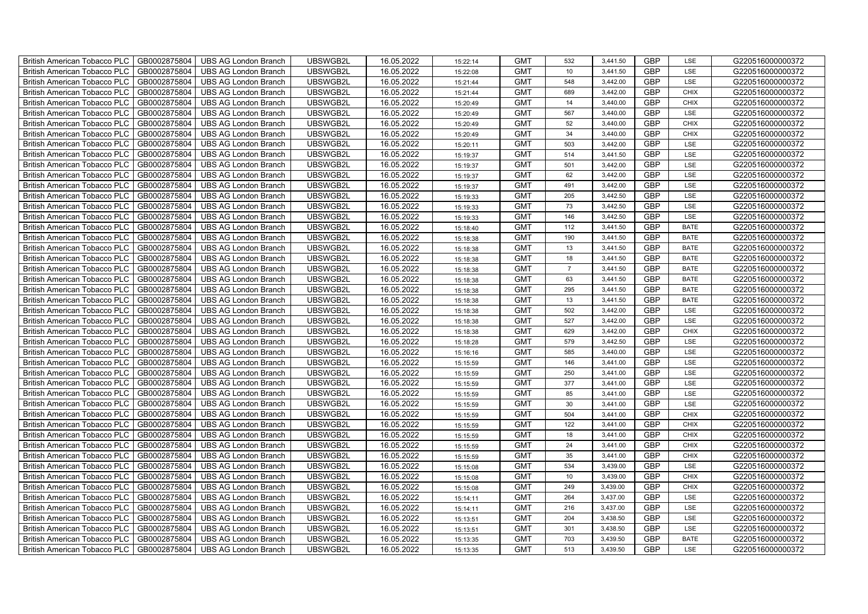| British American Tobacco PLC        | GB0002875804 | <b>UBS AG London Branch</b> | UBSWGB2L | 16.05.2022 | 15:22:14 | <b>GMT</b> | 532             | 3,441.50 | <b>GBP</b> | LSE         | G220516000000372 |
|-------------------------------------|--------------|-----------------------------|----------|------------|----------|------------|-----------------|----------|------------|-------------|------------------|
| <b>British American Tobacco PLC</b> | GB0002875804 | <b>UBS AG London Branch</b> | UBSWGB2L | 16.05.2022 | 15:22:08 | <b>GMT</b> | 10 <sup>1</sup> | 3,441.50 | <b>GBP</b> | <b>LSE</b>  | G220516000000372 |
| <b>British American Tobacco PLC</b> | GB0002875804 | <b>UBS AG London Branch</b> | UBSWGB2L | 16.05.2022 | 15:21:44 | <b>GMT</b> | 548             | 3,442.00 | <b>GBP</b> | LSE         | G220516000000372 |
| British American Tobacco PLC        | GB0002875804 | <b>UBS AG London Branch</b> | UBSWGB2L | 16.05.2022 | 15:21:44 | <b>GMT</b> | 689             | 3,442.00 | <b>GBP</b> | <b>CHIX</b> | G220516000000372 |
| <b>British American Tobacco PLC</b> | GB0002875804 | <b>UBS AG London Branch</b> | UBSWGB2L | 16.05.2022 | 15:20:49 | <b>GMT</b> | 14              | 3,440.00 | <b>GBP</b> | <b>CHIX</b> | G220516000000372 |
| British American Tobacco PLC        | GB0002875804 | <b>UBS AG London Branch</b> | UBSWGB2L | 16.05.2022 | 15:20:49 | <b>GMT</b> | 567             | 3,440.00 | <b>GBP</b> | LSE         | G220516000000372 |
| <b>British American Tobacco PLC</b> | GB0002875804 | <b>UBS AG London Branch</b> | UBSWGB2L | 16.05.2022 | 15:20:49 | <b>GMT</b> | 52              | 3,440.00 | <b>GBP</b> | <b>CHIX</b> | G220516000000372 |
| British American Tobacco PLC        | GB0002875804 | <b>UBS AG London Branch</b> | UBSWGB2L | 16.05.2022 | 15:20:49 | <b>GMT</b> | 34              | 3,440.00 | <b>GBP</b> | <b>CHIX</b> | G220516000000372 |
| <b>British American Tobacco PLC</b> | GB0002875804 | <b>UBS AG London Branch</b> | UBSWGB2L | 16.05.2022 | 15:20:11 | <b>GMT</b> | 503             | 3,442.00 | <b>GBP</b> | LSE         | G220516000000372 |
| British American Tobacco PLC        | GB0002875804 | <b>UBS AG London Branch</b> | UBSWGB2L | 16.05.2022 | 15:19:37 | <b>GMT</b> | 514             | 3,441.50 | <b>GBP</b> | LSE         | G220516000000372 |
| <b>British American Tobacco PLC</b> | GB0002875804 | <b>UBS AG London Branch</b> | UBSWGB2L | 16.05.2022 | 15:19:37 | <b>GMT</b> | 501             | 3,442.00 | <b>GBP</b> | LSE         | G220516000000372 |
| <b>British American Tobacco PLC</b> | GB0002875804 | <b>UBS AG London Branch</b> | UBSWGB2L | 16.05.2022 | 15:19:37 | <b>GMT</b> | 62              | 3,442.00 | <b>GBP</b> | LSE         | G220516000000372 |
| British American Tobacco PLC        | GB0002875804 | <b>UBS AG London Branch</b> | UBSWGB2L | 16.05.2022 | 15:19:37 | <b>GMT</b> | 491             | 3,442.00 | <b>GBP</b> | LSE         | G220516000000372 |
| British American Tobacco PLC        | GB0002875804 | <b>UBS AG London Branch</b> | UBSWGB2L | 16.05.2022 | 15:19:33 | <b>GMT</b> | 205             | 3,442.50 | <b>GBP</b> | LSE         | G220516000000372 |
| British American Tobacco PLC        | GB0002875804 | <b>UBS AG London Branch</b> | UBSWGB2L | 16.05.2022 | 15:19:33 | <b>GMT</b> | 73              | 3,442.50 | <b>GBP</b> | LSE         | G220516000000372 |
| British American Tobacco PLC        | GB0002875804 | <b>UBS AG London Branch</b> | UBSWGB2L | 16.05.2022 | 15:19:33 | <b>GMT</b> | 146             | 3,442.50 | <b>GBP</b> | LSE         | G220516000000372 |
| British American Tobacco PLC        | GB0002875804 | <b>UBS AG London Branch</b> | UBSWGB2L | 16.05.2022 | 15:18:40 | <b>GMT</b> | 112             | 3,441.50 | <b>GBP</b> | <b>BATE</b> | G220516000000372 |
| British American Tobacco PLC        | GB0002875804 | <b>UBS AG London Branch</b> | UBSWGB2L | 16.05.2022 | 15:18:38 | <b>GMT</b> | 190             | 3,441.50 | <b>GBP</b> | <b>BATE</b> | G220516000000372 |
| British American Tobacco PLC        | GB0002875804 | <b>UBS AG London Branch</b> | UBSWGB2L | 16.05.2022 | 15:18:38 | <b>GMT</b> | 13              | 3,441.50 | <b>GBP</b> | <b>BATE</b> | G220516000000372 |
| British American Tobacco PLC        | GB0002875804 | <b>UBS AG London Branch</b> | UBSWGB2L | 16.05.2022 | 15:18:38 | <b>GMT</b> | 18              | 3,441.50 | <b>GBP</b> | <b>BATE</b> | G220516000000372 |
| <b>British American Tobacco PLC</b> | GB0002875804 | <b>UBS AG London Branch</b> | UBSWGB2L | 16.05.2022 | 15:18:38 | <b>GMT</b> | $\overline{7}$  | 3,441.50 | <b>GBP</b> | <b>BATE</b> | G220516000000372 |
| British American Tobacco PLC        | GB0002875804 | <b>UBS AG London Branch</b> | UBSWGB2L | 16.05.2022 | 15:18:38 | <b>GMT</b> | 63              | 3,441.50 | <b>GBP</b> | <b>BATE</b> | G220516000000372 |
| British American Tobacco PLC        | GB0002875804 | <b>UBS AG London Branch</b> | UBSWGB2L | 16.05.2022 | 15:18:38 | <b>GMT</b> | 295             | 3,441.50 | GBP        | <b>BATE</b> | G220516000000372 |
| British American Tobacco PLC        | GB0002875804 | <b>UBS AG London Branch</b> | UBSWGB2L | 16.05.2022 | 15:18:38 | <b>GMT</b> | 13              | 3,441.50 | <b>GBP</b> | <b>BATE</b> | G220516000000372 |
| <b>British American Tobacco PLC</b> | GB0002875804 | <b>UBS AG London Branch</b> | UBSWGB2L | 16.05.2022 | 15:18:38 | <b>GMT</b> | 502             | 3,442.00 | <b>GBP</b> | LSE         | G220516000000372 |
| British American Tobacco PLC        | GB0002875804 | <b>UBS AG London Branch</b> | UBSWGB2L | 16.05.2022 | 15:18:38 | <b>GMT</b> | 527             | 3,442.00 | <b>GBP</b> | LSE         | G220516000000372 |
| British American Tobacco PLC        | GB0002875804 | <b>UBS AG London Branch</b> | UBSWGB2L | 16.05.2022 | 15:18:38 | <b>GMT</b> | 629             | 3,442.00 | <b>GBP</b> | CHIX        | G220516000000372 |
| British American Tobacco PLC        | GB0002875804 | <b>UBS AG London Branch</b> | UBSWGB2L | 16.05.2022 | 15:18:28 | <b>GMT</b> | 579             | 3,442.50 | <b>GBP</b> | LSE         | G220516000000372 |
| <b>British American Tobacco PLC</b> | GB0002875804 | <b>UBS AG London Branch</b> | UBSWGB2L | 16.05.2022 | 15:16:16 | <b>GMT</b> | 585             | 3,440.00 | <b>GBP</b> | LSE         | G220516000000372 |
| <b>British American Tobacco PLC</b> | GB0002875804 | <b>UBS AG London Branch</b> | UBSWGB2L | 16.05.2022 | 15:15:59 | <b>GMT</b> | 146             | 3,441.00 | <b>GBP</b> | LSE         | G220516000000372 |
| British American Tobacco PLC        | GB0002875804 | <b>UBS AG London Branch</b> | UBSWGB2L | 16.05.2022 | 15:15:59 | <b>GMT</b> | 250             | 3,441.00 | <b>GBP</b> | LSE         | G220516000000372 |
| British American Tobacco PLC        | GB0002875804 | <b>UBS AG London Branch</b> | UBSWGB2L | 16.05.2022 | 15:15:59 | <b>GMT</b> | 377             | 3,441.00 | <b>GBP</b> | LSE         | G220516000000372 |
| British American Tobacco PLC        | GB0002875804 | <b>UBS AG London Branch</b> | UBSWGB2L | 16.05.2022 | 15:15:59 | <b>GMT</b> | 85              | 3,441.00 | <b>GBP</b> | LSE         | G220516000000372 |
| British American Tobacco PLC        | GB0002875804 | <b>UBS AG London Branch</b> | UBSWGB2L | 16.05.2022 | 15:15:59 | <b>GMT</b> | 30              | 3,441.00 | <b>GBP</b> | LSE         | G220516000000372 |
| British American Tobacco PLC        | GB0002875804 | <b>UBS AG London Branch</b> | UBSWGB2L | 16.05.2022 | 15:15:59 | <b>GMT</b> | 504             | 3,441.00 | <b>GBP</b> | CHIX        | G220516000000372 |
| British American Tobacco PLC        | GB0002875804 | <b>UBS AG London Branch</b> | UBSWGB2L | 16.05.2022 | 15:15:59 | <b>GMT</b> | 122             | 3,441.00 | <b>GBP</b> | CHIX        | G220516000000372 |
| British American Tobacco PLC        | GB0002875804 | <b>UBS AG London Branch</b> | UBSWGB2L | 16.05.2022 | 15:15:59 | <b>GMT</b> | 18              | 3,441.00 | <b>GBP</b> | <b>CHIX</b> | G220516000000372 |
| <b>British American Tobacco PLC</b> | GB0002875804 | <b>UBS AG London Branch</b> | UBSWGB2L | 16.05.2022 | 15:15:59 | <b>GMT</b> | 24              | 3,441.00 | <b>GBP</b> | <b>CHIX</b> | G220516000000372 |
| British American Tobacco PLC        | GB0002875804 | <b>UBS AG London Branch</b> | UBSWGB2L | 16.05.2022 | 15:15:59 | <b>GMT</b> | 35              | 3,441.00 | <b>GBP</b> | <b>CHIX</b> | G220516000000372 |
| British American Tobacco PLC        | GB0002875804 | <b>UBS AG London Branch</b> | UBSWGB2L | 16.05.2022 | 15:15:08 | <b>GMT</b> | 534             | 3,439.00 | <b>GBP</b> | LSE         | G220516000000372 |
| British American Tobacco PLC        | GB0002875804 | UBS AG London Branch        | UBSWGB2L | 16.05.2022 | 15:15:08 | <b>GMT</b> | 10 <sub>1</sub> | 3,439.00 | GBP        | <b>CHIX</b> | G220516000000372 |
| British American Tobacco PLC        | GB0002875804 | <b>UBS AG London Branch</b> | UBSWGB2L | 16.05.2022 | 15:15:08 | <b>GMT</b> | 249             | 3,439.00 | <b>GBP</b> | <b>CHIX</b> | G220516000000372 |
| British American Tobacco PLC        | GB0002875804 | <b>UBS AG London Branch</b> | UBSWGB2L | 16.05.2022 | 15:14:11 | <b>GMT</b> | 264             | 3,437.00 | <b>GBP</b> | LSE         | G220516000000372 |
| British American Tobacco PLC        | GB0002875804 | <b>UBS AG London Branch</b> | UBSWGB2L | 16.05.2022 | 15:14:11 | <b>GMT</b> | 216             | 3,437.00 | <b>GBP</b> | LSE         | G220516000000372 |
| <b>British American Tobacco PLC</b> | GB0002875804 | <b>UBS AG London Branch</b> | UBSWGB2L | 16.05.2022 | 15:13:51 | <b>GMT</b> | 204             | 3,438.50 | <b>GBP</b> | LSE         | G220516000000372 |
| <b>British American Tobacco PLC</b> | GB0002875804 | <b>UBS AG London Branch</b> | UBSWGB2L | 16.05.2022 | 15:13:51 | <b>GMT</b> | 301             | 3,438.50 | <b>GBP</b> | LSE         | G220516000000372 |
| British American Tobacco PLC        | GB0002875804 | <b>UBS AG London Branch</b> | UBSWGB2L | 16.05.2022 | 15:13:35 | <b>GMT</b> | 703             | 3,439.50 | <b>GBP</b> | <b>BATE</b> | G220516000000372 |
| British American Tobacco PLC        | GB0002875804 | UBS AG London Branch        | UBSWGB2L | 16.05.2022 | 15:13:35 | <b>GMT</b> | 513             | 3,439.50 | <b>GBP</b> | LSE         | G220516000000372 |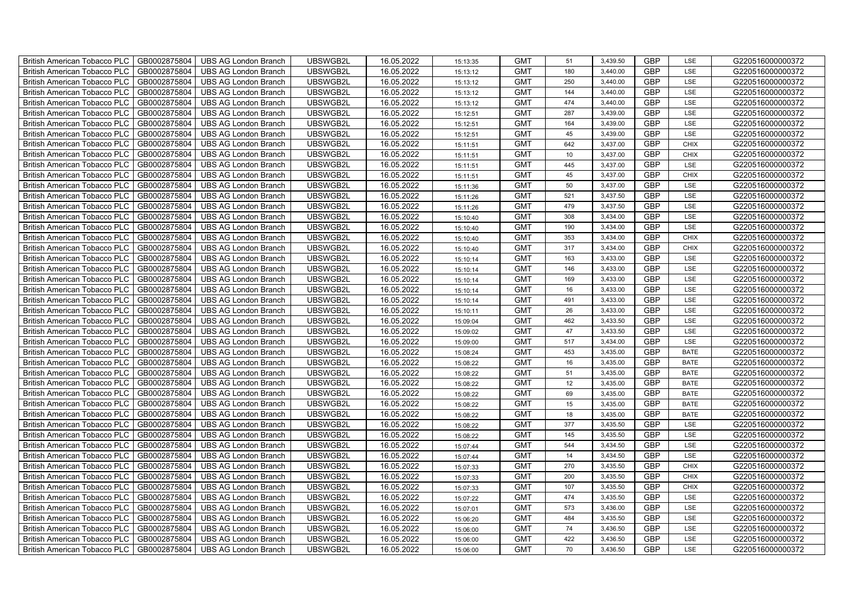| British American Tobacco PLC        | GB0002875804 | <b>UBS AG London Branch</b> | UBSWGB2L | 16.05.2022 | 15:13:35 | <b>GMT</b> | 51  | 3,439.50 | <b>GBP</b> | LSE         | G220516000000372 |
|-------------------------------------|--------------|-----------------------------|----------|------------|----------|------------|-----|----------|------------|-------------|------------------|
| <b>British American Tobacco PLC</b> | GB0002875804 | <b>UBS AG London Branch</b> | UBSWGB2L | 16.05.2022 | 15:13:12 | <b>GMT</b> | 180 | 3,440.00 | <b>GBP</b> | <b>LSE</b>  | G220516000000372 |
| <b>British American Tobacco PLC</b> | GB0002875804 | <b>UBS AG London Branch</b> | UBSWGB2L | 16.05.2022 | 15:13:12 | <b>GMT</b> | 250 | 3,440.00 | <b>GBP</b> | LSE         | G220516000000372 |
| British American Tobacco PLC        | GB0002875804 | <b>UBS AG London Branch</b> | UBSWGB2L | 16.05.2022 | 15:13:12 | <b>GMT</b> | 144 | 3,440.00 | <b>GBP</b> | LSE         | G220516000000372 |
| <b>British American Tobacco PLC</b> | GB0002875804 | <b>UBS AG London Branch</b> | UBSWGB2L | 16.05.2022 | 15:13:12 | <b>GMT</b> | 474 | 3,440.00 | <b>GBP</b> | LSE         | G220516000000372 |
| British American Tobacco PLC        | GB0002875804 | <b>UBS AG London Branch</b> | UBSWGB2L | 16.05.2022 | 15:12:51 | <b>GMT</b> | 287 | 3,439.00 | <b>GBP</b> | LSE         | G220516000000372 |
| <b>British American Tobacco PLC</b> | GB0002875804 | <b>UBS AG London Branch</b> | UBSWGB2L | 16.05.2022 | 15:12:51 | <b>GMT</b> | 164 | 3,439.00 | <b>GBP</b> | LSE         | G220516000000372 |
| British American Tobacco PLC        | GB0002875804 | <b>UBS AG London Branch</b> | UBSWGB2L | 16.05.2022 | 15:12:51 | <b>GMT</b> | 45  | 3,439.00 | <b>GBP</b> | LSE         | G220516000000372 |
| <b>British American Tobacco PLC</b> | GB0002875804 | <b>UBS AG London Branch</b> | UBSWGB2L | 16.05.2022 | 15:11:51 | <b>GMT</b> | 642 | 3,437.00 | <b>GBP</b> | <b>CHIX</b> | G220516000000372 |
| British American Tobacco PLC        | GB0002875804 | <b>UBS AG London Branch</b> | UBSWGB2L | 16.05.2022 | 15:11:51 | <b>GMT</b> | 10  | 3,437.00 | <b>GBP</b> | <b>CHIX</b> | G220516000000372 |
| <b>British American Tobacco PLC</b> | GB0002875804 | <b>UBS AG London Branch</b> | UBSWGB2L | 16.05.2022 | 15:11:51 | <b>GMT</b> | 445 | 3,437.00 | <b>GBP</b> | LSE         | G220516000000372 |
| <b>British American Tobacco PLC</b> | GB0002875804 | <b>UBS AG London Branch</b> | UBSWGB2L | 16.05.2022 | 15:11:51 | <b>GMT</b> | 45  | 3,437.00 | <b>GBP</b> | <b>CHIX</b> | G220516000000372 |
| British American Tobacco PLC        | GB0002875804 | <b>UBS AG London Branch</b> | UBSWGB2L | 16.05.2022 | 15:11:36 | <b>GMT</b> | 50  | 3,437.00 | <b>GBP</b> | LSE         | G220516000000372 |
| British American Tobacco PLC        | GB0002875804 | <b>UBS AG London Branch</b> | UBSWGB2L | 16.05.2022 | 15:11:26 | <b>GMT</b> | 521 | 3,437.50 | <b>GBP</b> | LSE         | G220516000000372 |
| British American Tobacco PLC        | GB0002875804 | <b>UBS AG London Branch</b> | UBSWGB2L | 16.05.2022 | 15:11:26 | <b>GMT</b> | 479 | 3,437.50 | <b>GBP</b> | LSE         | G220516000000372 |
| British American Tobacco PLC        | GB0002875804 | <b>UBS AG London Branch</b> | UBSWGB2L | 16.05.2022 | 15:10:40 | <b>GMT</b> | 308 | 3,434.00 | <b>GBP</b> | LSE         | G220516000000372 |
| British American Tobacco PLC        | GB0002875804 | <b>UBS AG London Branch</b> | UBSWGB2L | 16.05.2022 | 15:10:40 | <b>GMT</b> | 190 | 3,434.00 | <b>GBP</b> | LSE         | G220516000000372 |
| British American Tobacco PLC        | GB0002875804 | <b>UBS AG London Branch</b> | UBSWGB2L | 16.05.2022 | 15:10:40 | <b>GMT</b> | 353 | 3,434.00 | <b>GBP</b> | <b>CHIX</b> | G220516000000372 |
| British American Tobacco PLC        | GB0002875804 | <b>UBS AG London Branch</b> | UBSWGB2L | 16.05.2022 | 15:10:40 | <b>GMT</b> | 317 | 3,434.00 | <b>GBP</b> | <b>CHIX</b> | G220516000000372 |
| British American Tobacco PLC        | GB0002875804 | <b>UBS AG London Branch</b> | UBSWGB2L | 16.05.2022 | 15:10:14 | <b>GMT</b> | 163 | 3,433.00 | <b>GBP</b> | LSE         | G220516000000372 |
| <b>British American Tobacco PLC</b> | GB0002875804 | <b>UBS AG London Branch</b> | UBSWGB2L | 16.05.2022 | 15:10:14 | <b>GMT</b> | 146 | 3,433.00 | <b>GBP</b> | <b>LSE</b>  | G220516000000372 |
| British American Tobacco PLC        | GB0002875804 | <b>UBS AG London Branch</b> | UBSWGB2L | 16.05.2022 | 15:10:14 | <b>GMT</b> | 169 | 3,433.00 | GBP        | LSE         | G220516000000372 |
| British American Tobacco PLC        | GB0002875804 | UBS AG London Branch        | UBSWGB2L | 16.05.2022 | 15:10:14 | <b>GMT</b> | 16  | 3,433.00 | GBP        | LSE         | G220516000000372 |
| British American Tobacco PLC        | GB0002875804 | <b>UBS AG London Branch</b> | UBSWGB2L | 16.05.2022 | 15:10:14 | <b>GMT</b> | 491 | 3,433.00 | <b>GBP</b> | LSE         | G220516000000372 |
| <b>British American Tobacco PLC</b> | GB0002875804 | <b>UBS AG London Branch</b> | UBSWGB2L | 16.05.2022 | 15:10:11 | <b>GMT</b> | 26  | 3,433.00 | <b>GBP</b> | LSE         | G220516000000372 |
| British American Tobacco PLC        | GB0002875804 | <b>UBS AG London Branch</b> | UBSWGB2L | 16.05.2022 | 15:09:04 | <b>GMT</b> | 462 | 3,433.50 | <b>GBP</b> | LSE         | G220516000000372 |
| British American Tobacco PLC        | GB0002875804 | <b>UBS AG London Branch</b> | UBSWGB2L | 16.05.2022 | 15:09:02 | <b>GMT</b> | 47  | 3,433.50 | <b>GBP</b> | LSE         | G220516000000372 |
| British American Tobacco PLC        | GB0002875804 | <b>UBS AG London Branch</b> | UBSWGB2L | 16.05.2022 | 15:09:00 | <b>GMT</b> | 517 | 3,434.00 | <b>GBP</b> | LSE         | G220516000000372 |
| <b>British American Tobacco PLC</b> | GB0002875804 | <b>UBS AG London Branch</b> | UBSWGB2L | 16.05.2022 | 15:08:24 | <b>GMT</b> | 453 | 3,435.00 | <b>GBP</b> | <b>BATE</b> | G220516000000372 |
| <b>British American Tobacco PLC</b> | GB0002875804 | <b>UBS AG London Branch</b> | UBSWGB2L | 16.05.2022 | 15:08:22 | <b>GMT</b> | 16  | 3,435.00 | <b>GBP</b> | <b>BATE</b> | G220516000000372 |
| British American Tobacco PLC        | GB0002875804 | <b>UBS AG London Branch</b> | UBSWGB2L | 16.05.2022 | 15:08:22 | <b>GMT</b> | 51  | 3,435.00 | <b>GBP</b> | <b>BATE</b> | G220516000000372 |
| British American Tobacco PLC        | GB0002875804 | UBS AG London Branch        | UBSWGB2L | 16.05.2022 | 15:08:22 | <b>GMT</b> | 12  | 3,435.00 | <b>GBP</b> | <b>BATE</b> | G220516000000372 |
| British American Tobacco PLC        | GB0002875804 | <b>UBS AG London Branch</b> | UBSWGB2L | 16.05.2022 | 15:08:22 | <b>GMT</b> | 69  | 3,435.00 | <b>GBP</b> | <b>BATE</b> | G220516000000372 |
| British American Tobacco PLC        | GB0002875804 | <b>UBS AG London Branch</b> | UBSWGB2L | 16.05.2022 | 15:08:22 | <b>GMT</b> | 15  | 3,435.00 | <b>GBP</b> | <b>BATE</b> | G220516000000372 |
| British American Tobacco PLC        | GB0002875804 | <b>UBS AG London Branch</b> | UBSWGB2L | 16.05.2022 | 15:08:22 | <b>GMT</b> | 18  | 3,435.00 | <b>GBP</b> | <b>BATE</b> | G220516000000372 |
| British American Tobacco PLC        | GB0002875804 | <b>UBS AG London Branch</b> | UBSWGB2L | 16.05.2022 | 15:08:22 | <b>GMT</b> | 377 | 3,435.50 | <b>GBP</b> | LSE         | G220516000000372 |
| British American Tobacco PLC        | GB0002875804 | <b>UBS AG London Branch</b> | UBSWGB2L | 16.05.2022 | 15:08:22 | <b>GMT</b> | 145 | 3,435.50 | <b>GBP</b> | LSE         | G220516000000372 |
| <b>British American Tobacco PLC</b> | GB0002875804 | <b>UBS AG London Branch</b> | UBSWGB2L | 16.05.2022 | 15:07:44 | <b>GMT</b> | 544 | 3,434.50 | <b>GBP</b> | LSE         | G220516000000372 |
| British American Tobacco PLC        | GB0002875804 | <b>UBS AG London Branch</b> | UBSWGB2L | 16.05.2022 | 15:07:44 | <b>GMT</b> | 14  | 3,434.50 | <b>GBP</b> | LSE         | G220516000000372 |
| <b>British American Tobacco PLC</b> | GB0002875804 | <b>UBS AG London Branch</b> | UBSWGB2L | 16.05.2022 | 15:07:33 | <b>GMT</b> | 270 | 3,435.50 | <b>GBP</b> | <b>CHIX</b> | G220516000000372 |
| British American Tobacco PLC        | GB0002875804 | UBS AG London Branch        | UBSWGB2L | 16.05.2022 | 15:07:33 | <b>GMT</b> | 200 | 3,435.50 | GBP        | <b>CHIX</b> | G220516000000372 |
| British American Tobacco PLC        | GB0002875804 | <b>UBS AG London Branch</b> | UBSWGB2L | 16.05.2022 | 15:07:33 | <b>GMT</b> | 107 | 3,435.50 | <b>GBP</b> | <b>CHIX</b> | G220516000000372 |
| British American Tobacco PLC        | GB0002875804 | <b>UBS AG London Branch</b> | UBSWGB2L | 16.05.2022 | 15:07:22 | <b>GMT</b> | 474 | 3,435.50 | <b>GBP</b> | LSE         | G220516000000372 |
| <b>British American Tobacco PLC</b> | GB0002875804 | <b>UBS AG London Branch</b> | UBSWGB2L | 16.05.2022 | 15:07:01 | <b>GMT</b> | 573 | 3,436.00 | <b>GBP</b> | LSE         | G220516000000372 |
| <b>British American Tobacco PLC</b> | GB0002875804 | <b>UBS AG London Branch</b> | UBSWGB2L | 16.05.2022 | 15:06:20 | <b>GMT</b> | 484 | 3,435.50 | <b>GBP</b> | LSE         | G220516000000372 |
| <b>British American Tobacco PLC</b> | GB0002875804 | <b>UBS AG London Branch</b> | UBSWGB2L | 16.05.2022 | 15:06:00 | <b>GMT</b> | 74  | 3,436.50 | <b>GBP</b> | LSE         | G220516000000372 |
| <b>British American Tobacco PLC</b> | GB0002875804 | <b>UBS AG London Branch</b> | UBSWGB2L | 16.05.2022 | 15:06:00 | <b>GMT</b> | 422 | 3,436.50 | <b>GBP</b> | LSE         | G220516000000372 |
| British American Tobacco PLC        | GB0002875804 | UBS AG London Branch        | UBSWGB2L | 16.05.2022 | 15:06:00 | <b>GMT</b> | 70  | 3,436.50 | <b>GBP</b> | LSE         | G220516000000372 |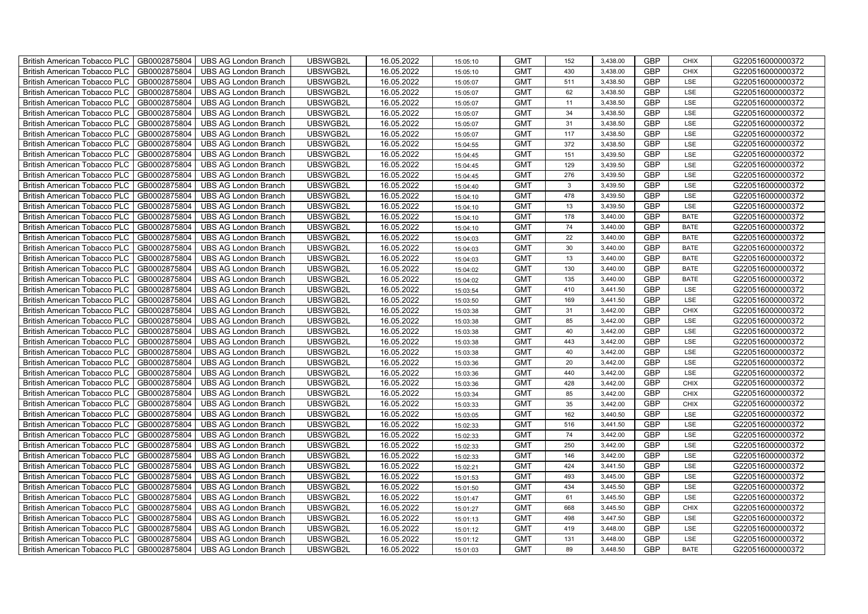| British American Tobacco PLC        | GB0002875804 | <b>UBS AG London Branch</b> | UBSWGB2L | 16.05.2022 | 15:05:10 | <b>GMT</b> | 152          | 3,438.00 | <b>GBP</b> | <b>CHIX</b> | G220516000000372 |
|-------------------------------------|--------------|-----------------------------|----------|------------|----------|------------|--------------|----------|------------|-------------|------------------|
| <b>British American Tobacco PLC</b> | GB0002875804 | <b>UBS AG London Branch</b> | UBSWGB2L | 16.05.2022 | 15:05:10 | <b>GMT</b> | 430          | 3,438.00 | <b>GBP</b> | <b>CHIX</b> | G220516000000372 |
| <b>British American Tobacco PLC</b> | GB0002875804 | <b>UBS AG London Branch</b> | UBSWGB2L | 16.05.2022 | 15:05:07 | <b>GMT</b> | 511          | 3,438.50 | <b>GBP</b> | LSE         | G220516000000372 |
| British American Tobacco PLC        | GB0002875804 | <b>UBS AG London Branch</b> | UBSWGB2L | 16.05.2022 | 15:05:07 | <b>GMT</b> | 62           | 3,438.50 | <b>GBP</b> | LSE         | G220516000000372 |
| <b>British American Tobacco PLC</b> | GB0002875804 | <b>UBS AG London Branch</b> | UBSWGB2L | 16.05.2022 | 15:05:07 | <b>GMT</b> | 11           | 3,438.50 | <b>GBP</b> | LSE         | G220516000000372 |
| British American Tobacco PLC        | GB0002875804 | <b>UBS AG London Branch</b> | UBSWGB2L | 16.05.2022 | 15:05:07 | <b>GMT</b> | 34           | 3,438.50 | <b>GBP</b> | LSE         | G220516000000372 |
| <b>British American Tobacco PLC</b> | GB0002875804 | <b>UBS AG London Branch</b> | UBSWGB2L | 16.05.2022 | 15:05:07 | <b>GMT</b> | 31           | 3,438.50 | <b>GBP</b> | LSE         | G220516000000372 |
| British American Tobacco PLC        | GB0002875804 | <b>UBS AG London Branch</b> | UBSWGB2L | 16.05.2022 | 15:05:07 | <b>GMT</b> | 117          | 3,438.50 | <b>GBP</b> | LSE         | G220516000000372 |
| <b>British American Tobacco PLC</b> | GB0002875804 | <b>UBS AG London Branch</b> | UBSWGB2L | 16.05.2022 | 15:04:55 | <b>GMT</b> | 372          | 3,438.50 | <b>GBP</b> | LSE         | G220516000000372 |
| British American Tobacco PLC        | GB0002875804 | <b>UBS AG London Branch</b> | UBSWGB2L | 16.05.2022 | 15:04:45 | <b>GMT</b> | 151          | 3,439.50 | <b>GBP</b> | LSE         | G220516000000372 |
| <b>British American Tobacco PLC</b> | GB0002875804 | <b>UBS AG London Branch</b> | UBSWGB2L | 16.05.2022 | 15:04:45 | <b>GMT</b> | 129          | 3,439.50 | <b>GBP</b> | LSE         | G220516000000372 |
| <b>British American Tobacco PLC</b> | GB0002875804 | <b>UBS AG London Branch</b> | UBSWGB2L | 16.05.2022 | 15:04:45 | <b>GMT</b> | 276          | 3,439.50 | <b>GBP</b> | LSE         | G220516000000372 |
| British American Tobacco PLC        | GB0002875804 | <b>UBS AG London Branch</b> | UBSWGB2L | 16.05.2022 | 15:04:40 | <b>GMT</b> | $\mathbf{3}$ | 3,439.50 | <b>GBP</b> | LSE         | G220516000000372 |
| British American Tobacco PLC        | GB0002875804 | <b>UBS AG London Branch</b> | UBSWGB2L | 16.05.2022 | 15:04:10 | <b>GMT</b> | 478          | 3,439.50 | <b>GBP</b> | LSE         | G220516000000372 |
| British American Tobacco PLC        | GB0002875804 | <b>UBS AG London Branch</b> | UBSWGB2L | 16.05.2022 | 15:04:10 | <b>GMT</b> | 13           | 3,439.50 | <b>GBP</b> | LSE         | G220516000000372 |
| British American Tobacco PLC        | GB0002875804 | <b>UBS AG London Branch</b> | UBSWGB2L | 16.05.2022 | 15:04:10 | <b>GMT</b> | 178          | 3,440.00 | <b>GBP</b> | <b>BATE</b> | G220516000000372 |
| British American Tobacco PLC        | GB0002875804 | <b>UBS AG London Branch</b> | UBSWGB2L | 16.05.2022 | 15:04:10 | <b>GMT</b> | 74           | 3,440.00 | <b>GBP</b> | <b>BATE</b> | G220516000000372 |
| British American Tobacco PLC        | GB0002875804 | <b>UBS AG London Branch</b> | UBSWGB2L | 16.05.2022 | 15:04:03 | <b>GMT</b> | 22           | 3,440.00 | <b>GBP</b> | <b>BATE</b> | G220516000000372 |
| British American Tobacco PLC        | GB0002875804 | <b>UBS AG London Branch</b> | UBSWGB2L | 16.05.2022 | 15:04:03 | <b>GMT</b> | 30           | 3,440.00 | <b>GBP</b> | <b>BATE</b> | G220516000000372 |
| British American Tobacco PLC        | GB0002875804 | <b>UBS AG London Branch</b> | UBSWGB2L | 16.05.2022 | 15:04:03 | <b>GMT</b> | 13           | 3,440.00 | <b>GBP</b> | <b>BATE</b> | G220516000000372 |
| <b>British American Tobacco PLC</b> | GB0002875804 | <b>UBS AG London Branch</b> | UBSWGB2L | 16.05.2022 | 15:04:02 | <b>GMT</b> | 130          | 3,440.00 | <b>GBP</b> | <b>BATE</b> | G220516000000372 |
| British American Tobacco PLC        | GB0002875804 | <b>UBS AG London Branch</b> | UBSWGB2L | 16.05.2022 | 15:04:02 | <b>GMT</b> | 135          | 3,440.00 | GBP        | <b>BATE</b> | G220516000000372 |
| British American Tobacco PLC        | GB0002875804 | UBS AG London Branch        | UBSWGB2L | 16.05.2022 | 15:03:54 | <b>GMT</b> | 410          | 3,441.50 | GBP        | LSE         | G220516000000372 |
| British American Tobacco PLC        | GB0002875804 | <b>UBS AG London Branch</b> | UBSWGB2L | 16.05.2022 | 15:03:50 | <b>GMT</b> | 169          | 3,441.50 | <b>GBP</b> | LSE         | G220516000000372 |
| <b>British American Tobacco PLC</b> | GB0002875804 | <b>UBS AG London Branch</b> | UBSWGB2L | 16.05.2022 | 15:03:38 | <b>GMT</b> | 31           | 3,442.00 | <b>GBP</b> | CHIX        | G220516000000372 |
| British American Tobacco PLC        | GB0002875804 | <b>UBS AG London Branch</b> | UBSWGB2L | 16.05.2022 | 15:03:38 | <b>GMT</b> | 85           | 3,442.00 | <b>GBP</b> | LSE         | G220516000000372 |
| British American Tobacco PLC        | GB0002875804 | <b>UBS AG London Branch</b> | UBSWGB2L | 16.05.2022 | 15:03:38 | <b>GMT</b> | 40           | 3,442.00 | <b>GBP</b> | LSE         | G220516000000372 |
| British American Tobacco PLC        | GB0002875804 | <b>UBS AG London Branch</b> | UBSWGB2L | 16.05.2022 | 15:03:38 | <b>GMT</b> | 443          | 3,442.00 | <b>GBP</b> | LSE         | G220516000000372 |
| <b>British American Tobacco PLC</b> | GB0002875804 | <b>UBS AG London Branch</b> | UBSWGB2L | 16.05.2022 | 15:03:38 | <b>GMT</b> | 40           | 3,442.00 | <b>GBP</b> | LSE         | G220516000000372 |
| <b>British American Tobacco PLC</b> | GB0002875804 | <b>UBS AG London Branch</b> | UBSWGB2L | 16.05.2022 | 15:03:36 | <b>GMT</b> | 20           | 3,442.00 | <b>GBP</b> | LSE         | G220516000000372 |
| British American Tobacco PLC        | GB0002875804 | <b>UBS AG London Branch</b> | UBSWGB2L | 16.05.2022 | 15:03:36 | <b>GMT</b> | 440          | 3,442.00 | <b>GBP</b> | LSE         | G220516000000372 |
| British American Tobacco PLC        | GB0002875804 | UBS AG London Branch        | UBSWGB2L | 16.05.2022 | 15:03:36 | <b>GMT</b> | 428          | 3,442.00 | <b>GBP</b> | CHIX        | G220516000000372 |
| British American Tobacco PLC        | GB0002875804 | <b>UBS AG London Branch</b> | UBSWGB2L | 16.05.2022 | 15:03:34 | <b>GMT</b> | 85           | 3,442.00 | <b>GBP</b> | CHIX        | G220516000000372 |
| British American Tobacco PLC        | GB0002875804 | <b>UBS AG London Branch</b> | UBSWGB2L | 16.05.2022 | 15:03:33 | <b>GMT</b> | 35           | 3,442.00 | <b>GBP</b> | CHIX        | G220516000000372 |
| British American Tobacco PLC        | GB0002875804 | <b>UBS AG London Branch</b> | UBSWGB2L | 16.05.2022 | 15:03:05 | <b>GMT</b> | 162          | 3,440.50 | <b>GBP</b> | LSE         | G220516000000372 |
| British American Tobacco PLC        | GB0002875804 | <b>UBS AG London Branch</b> | UBSWGB2L | 16.05.2022 | 15:02:33 | <b>GMT</b> | 516          | 3,441.50 | <b>GBP</b> | LSE         | G220516000000372 |
| British American Tobacco PLC        | GB0002875804 | <b>UBS AG London Branch</b> | UBSWGB2L | 16.05.2022 | 15:02:33 | <b>GMT</b> | 74           | 3,442.00 | <b>GBP</b> | LSE         | G220516000000372 |
| <b>British American Tobacco PLC</b> | GB0002875804 | <b>UBS AG London Branch</b> | UBSWGB2L | 16.05.2022 | 15:02:33 | <b>GMT</b> | 250          | 3,442.00 | <b>GBP</b> | LSE         | G220516000000372 |
| British American Tobacco PLC        | GB0002875804 | <b>UBS AG London Branch</b> | UBSWGB2L | 16.05.2022 | 15:02:33 | <b>GMT</b> | 146          | 3,442.00 | <b>GBP</b> | LSE         | G220516000000372 |
| British American Tobacco PLC        | GB0002875804 | <b>UBS AG London Branch</b> | UBSWGB2L | 16.05.2022 | 15:02:21 | <b>GMT</b> | 424          | 3,441.50 | <b>GBP</b> | LSE         | G220516000000372 |
| British American Tobacco PLC        | GB0002875804 | UBS AG London Branch        | UBSWGB2L | 16.05.2022 | 15:01:53 | <b>GMT</b> | 493          | 3,445.00 | GBP        | LSE         | G220516000000372 |
| British American Tobacco PLC        | GB0002875804 | <b>UBS AG London Branch</b> | UBSWGB2L | 16.05.2022 | 15:01:50 | <b>GMT</b> | 434          | 3,445.50 | <b>GBP</b> | LSE         | G220516000000372 |
| British American Tobacco PLC        | GB0002875804 | <b>UBS AG London Branch</b> | UBSWGB2L | 16.05.2022 | 15:01:47 | <b>GMT</b> | 61           | 3,445.50 | <b>GBP</b> | LSE         | G220516000000372 |
| British American Tobacco PLC        | GB0002875804 | <b>UBS AG London Branch</b> | UBSWGB2L | 16.05.2022 | 15:01:27 | <b>GMT</b> | 668          | 3,445.50 | <b>GBP</b> | <b>CHIX</b> | G220516000000372 |
| <b>British American Tobacco PLC</b> | GB0002875804 | <b>UBS AG London Branch</b> | UBSWGB2L | 16.05.2022 | 15:01:13 | <b>GMT</b> | 498          | 3,447.50 | <b>GBP</b> | LSE         | G220516000000372 |
| <b>British American Tobacco PLC</b> | GB0002875804 | <b>UBS AG London Branch</b> | UBSWGB2L | 16.05.2022 | 15:01:12 | <b>GMT</b> | 419          | 3,448.00 | <b>GBP</b> | LSE         | G220516000000372 |
| <b>British American Tobacco PLC</b> | GB0002875804 | <b>UBS AG London Branch</b> | UBSWGB2L | 16.05.2022 | 15:01:12 | <b>GMT</b> | 131          | 3,448.00 | <b>GBP</b> | LSE         | G220516000000372 |
| British American Tobacco PLC        | GB0002875804 | UBS AG London Branch        | UBSWGB2L | 16.05.2022 | 15:01:03 | <b>GMT</b> | 89           | 3,448.50 | <b>GBP</b> | <b>BATE</b> | G220516000000372 |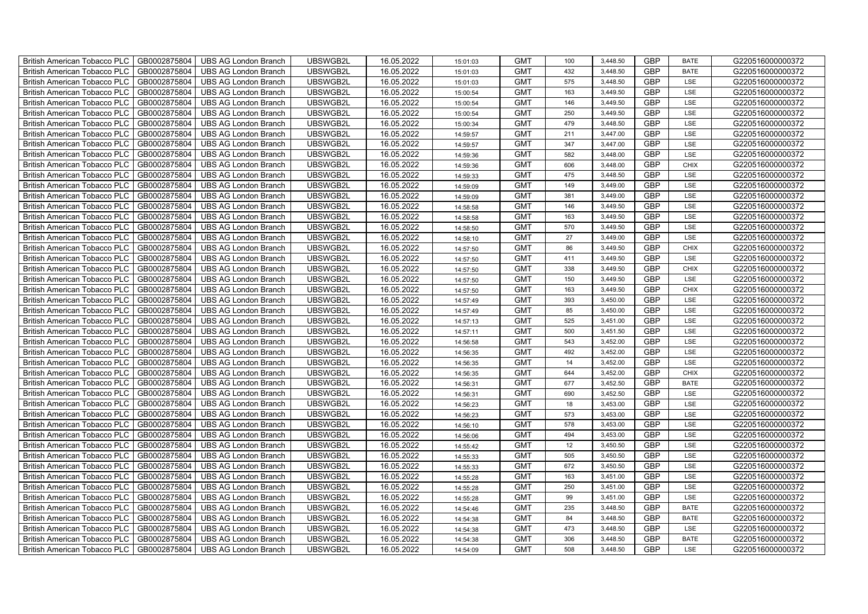| British American Tobacco PLC        | GB0002875804 | <b>UBS AG London Branch</b> | UBSWGB2L | 16.05.2022 | 15:01:03 | <b>GMT</b> | 100 | 3,448.50 | <b>GBP</b> | <b>BATE</b> | G220516000000372 |
|-------------------------------------|--------------|-----------------------------|----------|------------|----------|------------|-----|----------|------------|-------------|------------------|
| <b>British American Tobacco PLC</b> | GB0002875804 | <b>UBS AG London Branch</b> | UBSWGB2L | 16.05.2022 | 15:01:03 | <b>GMT</b> | 432 | 3,448.50 | <b>GBP</b> | <b>BATE</b> | G220516000000372 |
| <b>British American Tobacco PLC</b> | GB0002875804 | <b>UBS AG London Branch</b> | UBSWGB2L | 16.05.2022 | 15:01:03 | <b>GMT</b> | 575 | 3,448.50 | <b>GBP</b> | LSE         | G220516000000372 |
| British American Tobacco PLC        | GB0002875804 | <b>UBS AG London Branch</b> | UBSWGB2L | 16.05.2022 | 15:00:54 | <b>GMT</b> | 163 | 3,449.50 | <b>GBP</b> | LSE         | G220516000000372 |
| <b>British American Tobacco PLC</b> | GB0002875804 | <b>UBS AG London Branch</b> | UBSWGB2L | 16.05.2022 | 15:00:54 | <b>GMT</b> | 146 | 3,449.50 | <b>GBP</b> | LSE         | G220516000000372 |
| British American Tobacco PLC        | GB0002875804 | <b>UBS AG London Branch</b> | UBSWGB2L | 16.05.2022 | 15:00:54 | <b>GMT</b> | 250 | 3,449.50 | <b>GBP</b> | LSE         | G220516000000372 |
| <b>British American Tobacco PLC</b> | GB0002875804 | <b>UBS AG London Branch</b> | UBSWGB2L | 16.05.2022 | 15:00:34 | <b>GMT</b> | 479 | 3,448.50 | <b>GBP</b> | LSE         | G220516000000372 |
| British American Tobacco PLC        | GB0002875804 | <b>UBS AG London Branch</b> | UBSWGB2L | 16.05.2022 | 14:59:57 | <b>GMT</b> | 211 | 3,447.00 | <b>GBP</b> | LSE         | G220516000000372 |
| <b>British American Tobacco PLC</b> | GB0002875804 | <b>UBS AG London Branch</b> | UBSWGB2L | 16.05.2022 | 14:59:57 | <b>GMT</b> | 347 | 3,447.00 | <b>GBP</b> | LSE         | G220516000000372 |
| British American Tobacco PLC        | GB0002875804 | <b>UBS AG London Branch</b> | UBSWGB2L | 16.05.2022 | 14:59:36 | <b>GMT</b> | 582 | 3,448.00 | <b>GBP</b> | LSE         | G220516000000372 |
| <b>British American Tobacco PLC</b> | GB0002875804 | <b>UBS AG London Branch</b> | UBSWGB2L | 16.05.2022 | 14:59:36 | <b>GMT</b> | 606 | 3,448.00 | <b>GBP</b> | <b>CHIX</b> | G220516000000372 |
| <b>British American Tobacco PLC</b> | GB0002875804 | <b>UBS AG London Branch</b> | UBSWGB2L | 16.05.2022 | 14:59:33 | <b>GMT</b> | 475 | 3,448.50 | <b>GBP</b> | LSE         | G220516000000372 |
| British American Tobacco PLC        | GB0002875804 | <b>UBS AG London Branch</b> | UBSWGB2L | 16.05.2022 | 14:59:09 | <b>GMT</b> | 149 | 3,449.00 | <b>GBP</b> | LSE         | G220516000000372 |
| British American Tobacco PLC        | GB0002875804 | <b>UBS AG London Branch</b> | UBSWGB2L | 16.05.2022 | 14:59:09 | <b>GMT</b> | 381 | 3,449.00 | <b>GBP</b> | LSE         | G220516000000372 |
| British American Tobacco PLC        | GB0002875804 | <b>UBS AG London Branch</b> | UBSWGB2L | 16.05.2022 | 14:58:58 | <b>GMT</b> | 146 | 3,449.50 | <b>GBP</b> | LSE         | G220516000000372 |
| British American Tobacco PLC        | GB0002875804 | <b>UBS AG London Branch</b> | UBSWGB2L | 16.05.2022 | 14:58:58 | <b>GMT</b> | 163 | 3,449.50 | <b>GBP</b> | LSE         | G220516000000372 |
| British American Tobacco PLC        | GB0002875804 | <b>UBS AG London Branch</b> | UBSWGB2L | 16.05.2022 | 14:58:50 | <b>GMT</b> | 570 | 3,449.50 | <b>GBP</b> | LSE         | G220516000000372 |
| British American Tobacco PLC        | GB0002875804 | <b>UBS AG London Branch</b> | UBSWGB2L | 16.05.2022 | 14:58:10 | <b>GMT</b> | 27  | 3,449.00 | <b>GBP</b> | LSE         | G220516000000372 |
| British American Tobacco PLC        | GB0002875804 | <b>UBS AG London Branch</b> | UBSWGB2L | 16.05.2022 | 14:57:50 | <b>GMT</b> | 86  | 3,449.50 | <b>GBP</b> | <b>CHIX</b> | G220516000000372 |
| British American Tobacco PLC        | GB0002875804 | <b>UBS AG London Branch</b> | UBSWGB2L | 16.05.2022 | 14:57:50 | <b>GMT</b> | 411 | 3,449.50 | <b>GBP</b> | LSE         | G220516000000372 |
| <b>British American Tobacco PLC</b> | GB0002875804 | <b>UBS AG London Branch</b> | UBSWGB2L | 16.05.2022 | 14:57:50 | <b>GMT</b> | 338 | 3,449.50 | <b>GBP</b> | <b>CHIX</b> | G220516000000372 |
| British American Tobacco PLC        | GB0002875804 | <b>UBS AG London Branch</b> | UBSWGB2L | 16.05.2022 | 14:57:50 | <b>GMT</b> | 150 | 3,449.50 | GBP        | LSE         | G220516000000372 |
| British American Tobacco PLC        | GB0002875804 | <b>UBS AG London Branch</b> | UBSWGB2L | 16.05.2022 | 14:57:50 | <b>GMT</b> | 163 | 3,449.50 | GBP        | CHIX        | G220516000000372 |
| British American Tobacco PLC        | GB0002875804 | <b>UBS AG London Branch</b> | UBSWGB2L | 16.05.2022 | 14:57:49 | <b>GMT</b> | 393 | 3,450.00 | <b>GBP</b> | LSE         | G220516000000372 |
| <b>British American Tobacco PLC</b> | GB0002875804 | <b>UBS AG London Branch</b> | UBSWGB2L | 16.05.2022 | 14:57:49 | <b>GMT</b> | 85  | 3,450.00 | <b>GBP</b> | LSE         | G220516000000372 |
| British American Tobacco PLC        | GB0002875804 | <b>UBS AG London Branch</b> | UBSWGB2L | 16.05.2022 | 14:57:13 | <b>GMT</b> | 525 | 3,451.00 | <b>GBP</b> | LSE         | G220516000000372 |
| British American Tobacco PLC        | GB0002875804 | <b>UBS AG London Branch</b> | UBSWGB2L | 16.05.2022 | 14:57:11 | <b>GMT</b> | 500 | 3,451.50 | <b>GBP</b> | LSE         | G220516000000372 |
| British American Tobacco PLC        | GB0002875804 | <b>UBS AG London Branch</b> | UBSWGB2L | 16.05.2022 | 14:56:58 | <b>GMT</b> | 543 | 3,452.00 | <b>GBP</b> | LSE         | G220516000000372 |
| <b>British American Tobacco PLC</b> | GB0002875804 | <b>UBS AG London Branch</b> | UBSWGB2L | 16.05.2022 | 14:56:35 | <b>GMT</b> | 492 | 3,452.00 | <b>GBP</b> | LSE         | G220516000000372 |
| <b>British American Tobacco PLC</b> | GB0002875804 | <b>UBS AG London Branch</b> | UBSWGB2L | 16.05.2022 | 14:56:35 | <b>GMT</b> | 14  | 3,452.00 | <b>GBP</b> | LSE         | G220516000000372 |
| British American Tobacco PLC        | GB0002875804 | <b>UBS AG London Branch</b> | UBSWGB2L | 16.05.2022 | 14:56:35 | <b>GMT</b> | 644 | 3,452.00 | <b>GBP</b> | CHIX        | G220516000000372 |
| British American Tobacco PLC        | GB0002875804 | UBS AG London Branch        | UBSWGB2L | 16.05.2022 | 14:56:31 | <b>GMT</b> | 677 | 3,452.50 | <b>GBP</b> | <b>BATE</b> | G220516000000372 |
| British American Tobacco PLC        | GB0002875804 | <b>UBS AG London Branch</b> | UBSWGB2L | 16.05.2022 | 14:56:31 | <b>GMT</b> | 690 | 3,452.50 | <b>GBP</b> | LSE         | G220516000000372 |
| British American Tobacco PLC        | GB0002875804 | <b>UBS AG London Branch</b> | UBSWGB2L | 16.05.2022 | 14:56:23 | <b>GMT</b> | 18  | 3,453.00 | <b>GBP</b> | LSE         | G220516000000372 |
| British American Tobacco PLC        | GB0002875804 | <b>UBS AG London Branch</b> | UBSWGB2L | 16.05.2022 | 14:56:23 | <b>GMT</b> | 573 | 3,453.00 | <b>GBP</b> | LSE         | G220516000000372 |
| British American Tobacco PLC        | GB0002875804 | <b>UBS AG London Branch</b> | UBSWGB2L | 16.05.2022 | 14:56:10 | <b>GMT</b> | 578 | 3,453.00 | <b>GBP</b> | LSE         | G220516000000372 |
| British American Tobacco PLC        | GB0002875804 | <b>UBS AG London Branch</b> | UBSWGB2L | 16.05.2022 | 14:56:06 | <b>GMT</b> | 494 | 3,453.00 | <b>GBP</b> | LSE         | G220516000000372 |
| <b>British American Tobacco PLC</b> | GB0002875804 | <b>UBS AG London Branch</b> | UBSWGB2L | 16.05.2022 | 14:55:42 | <b>GMT</b> | 12  | 3,450.50 | <b>GBP</b> | LSE         | G220516000000372 |
| British American Tobacco PLC        | GB0002875804 | <b>UBS AG London Branch</b> | UBSWGB2L | 16.05.2022 | 14:55:33 | <b>GMT</b> | 505 | 3,450.50 | <b>GBP</b> | LSE         | G220516000000372 |
| British American Tobacco PLC        | GB0002875804 | <b>UBS AG London Branch</b> | UBSWGB2L | 16.05.2022 | 14:55:33 | <b>GMT</b> | 672 | 3,450.50 | <b>GBP</b> | LSE         | G220516000000372 |
| British American Tobacco PLC        | GB0002875804 | UBS AG London Branch        | UBSWGB2L | 16.05.2022 | 14:55:28 | <b>GMT</b> | 163 | 3,451.00 | GBP        | LSE         | G220516000000372 |
| British American Tobacco PLC        | GB0002875804 | <b>UBS AG London Branch</b> | UBSWGB2L | 16.05.2022 | 14:55:28 | <b>GMT</b> | 250 | 3,451.00 | <b>GBP</b> | LSE         | G220516000000372 |
| British American Tobacco PLC        | GB0002875804 | <b>UBS AG London Branch</b> | UBSWGB2L | 16.05.2022 | 14:55:28 | <b>GMT</b> | 99  | 3,451.00 | <b>GBP</b> | LSE         | G220516000000372 |
| British American Tobacco PLC        | GB0002875804 | <b>UBS AG London Branch</b> | UBSWGB2L | 16.05.2022 | 14:54:46 | <b>GMT</b> | 235 | 3,448.50 | <b>GBP</b> | <b>BATE</b> | G220516000000372 |
| <b>British American Tobacco PLC</b> | GB0002875804 | <b>UBS AG London Branch</b> | UBSWGB2L | 16.05.2022 | 14:54:38 | <b>GMT</b> | 84  | 3,448.50 | <b>GBP</b> | <b>BATE</b> | G220516000000372 |
| <b>British American Tobacco PLC</b> | GB0002875804 | <b>UBS AG London Branch</b> | UBSWGB2L | 16.05.2022 | 14:54:38 | <b>GMT</b> | 473 | 3,448.50 | <b>GBP</b> | LSE         | G220516000000372 |
| <b>British American Tobacco PLC</b> | GB0002875804 | <b>UBS AG London Branch</b> | UBSWGB2L | 16.05.2022 | 14:54:38 | <b>GMT</b> | 306 | 3,448.50 | <b>GBP</b> | <b>BATE</b> | G220516000000372 |
| British American Tobacco PLC        | GB0002875804 | UBS AG London Branch        | UBSWGB2L | 16.05.2022 | 14:54:09 | <b>GMT</b> | 508 | 3,448.50 | <b>GBP</b> | LSE         | G220516000000372 |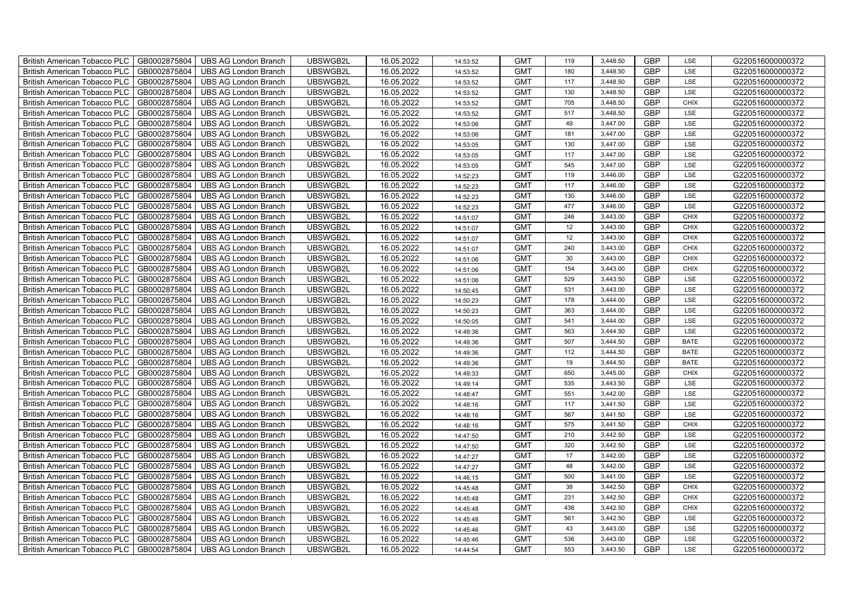| British American Tobacco PLC        | GB0002875804 | <b>UBS AG London Branch</b> | UBSWGB2L | 16.05.2022 | 14:53:52 | <b>GMT</b> | 119 | 3,448.50 | <b>GBP</b> | LSE         | G220516000000372 |
|-------------------------------------|--------------|-----------------------------|----------|------------|----------|------------|-----|----------|------------|-------------|------------------|
| <b>British American Tobacco PLC</b> | GB0002875804 | <b>UBS AG London Branch</b> | UBSWGB2L | 16.05.2022 | 14:53:52 | <b>GMT</b> | 180 | 3,448.50 | <b>GBP</b> | <b>LSE</b>  | G220516000000372 |
| <b>British American Tobacco PLC</b> | GB0002875804 | <b>UBS AG London Branch</b> | UBSWGB2L | 16.05.2022 | 14:53:52 | <b>GMT</b> | 117 | 3,448.50 | <b>GBP</b> | LSE         | G220516000000372 |
| British American Tobacco PLC        | GB0002875804 | <b>UBS AG London Branch</b> | UBSWGB2L | 16.05.2022 | 14:53:52 | <b>GMT</b> | 130 | 3,448.50 | <b>GBP</b> | LSE         | G220516000000372 |
| <b>British American Tobacco PLC</b> | GB0002875804 | <b>UBS AG London Branch</b> | UBSWGB2L | 16.05.2022 | 14:53:52 | <b>GMT</b> | 705 | 3,448.50 | <b>GBP</b> | <b>CHIX</b> | G220516000000372 |
| British American Tobacco PLC        | GB0002875804 | UBS AG London Branch        | UBSWGB2L | 16.05.2022 | 14:53:52 | <b>GMT</b> | 517 | 3,448.50 | <b>GBP</b> | LSE         | G220516000000372 |
| <b>British American Tobacco PLC</b> | GB0002875804 | <b>UBS AG London Branch</b> | UBSWGB2L | 16.05.2022 | 14:53:06 | <b>GMT</b> | 49  | 3,447.00 | <b>GBP</b> | LSE         | G220516000000372 |
| British American Tobacco PLC        | GB0002875804 | <b>UBS AG London Branch</b> | UBSWGB2L | 16.05.2022 | 14:53:06 | <b>GMT</b> | 181 | 3,447.00 | <b>GBP</b> | LSE         | G220516000000372 |
| <b>British American Tobacco PLC</b> | GB0002875804 | <b>UBS AG London Branch</b> | UBSWGB2L | 16.05.2022 | 14:53:05 | <b>GMT</b> | 130 | 3,447.00 | <b>GBP</b> | LSE         | G220516000000372 |
| British American Tobacco PLC        | GB0002875804 | <b>UBS AG London Branch</b> | UBSWGB2L | 16.05.2022 | 14:53:05 | <b>GMT</b> | 117 | 3,447.00 | <b>GBP</b> | LSE         | G220516000000372 |
| <b>British American Tobacco PLC</b> | GB0002875804 | <b>UBS AG London Branch</b> | UBSWGB2L | 16.05.2022 | 14:53:05 | <b>GMT</b> | 545 | 3,447.00 | <b>GBP</b> | LSE         | G220516000000372 |
| <b>British American Tobacco PLC</b> | GB0002875804 | <b>UBS AG London Branch</b> | UBSWGB2L | 16.05.2022 | 14:52:23 | <b>GMT</b> | 119 | 3,446.00 | <b>GBP</b> | LSE         | G220516000000372 |
| British American Tobacco PLC        | GB0002875804 | <b>UBS AG London Branch</b> | UBSWGB2L | 16.05.2022 | 14:52:23 | <b>GMT</b> | 117 | 3,446.00 | <b>GBP</b> | LSE         | G220516000000372 |
| British American Tobacco PLC        | GB0002875804 | <b>UBS AG London Branch</b> | UBSWGB2L | 16.05.2022 | 14:52:23 | <b>GMT</b> | 130 | 3,446.00 | <b>GBP</b> | LSE         | G220516000000372 |
| British American Tobacco PLC        | GB0002875804 | <b>UBS AG London Branch</b> | UBSWGB2L | 16.05.2022 | 14:52:23 | <b>GMT</b> | 477 | 3,446.00 | <b>GBP</b> | LSE         | G220516000000372 |
| British American Tobacco PLC        | GB0002875804 | <b>UBS AG London Branch</b> | UBSWGB2L | 16.05.2022 | 14:51:07 | <b>GMT</b> | 246 | 3,443.00 | <b>GBP</b> | <b>CHIX</b> | G220516000000372 |
| British American Tobacco PLC        | GB0002875804 | <b>UBS AG London Branch</b> | UBSWGB2L | 16.05.2022 | 14:51:07 | <b>GMT</b> | 12  | 3,443.00 | <b>GBP</b> | <b>CHIX</b> | G220516000000372 |
| British American Tobacco PLC        | GB0002875804 | <b>UBS AG London Branch</b> | UBSWGB2L | 16.05.2022 | 14:51:07 | <b>GMT</b> | 12  | 3,443.00 | <b>GBP</b> | <b>CHIX</b> | G220516000000372 |
| British American Tobacco PLC        | GB0002875804 | <b>UBS AG London Branch</b> | UBSWGB2L | 16.05.2022 | 14:51:07 | <b>GMT</b> | 240 | 3,443.00 | <b>GBP</b> | <b>CHIX</b> | G220516000000372 |
| British American Tobacco PLC        | GB0002875804 | <b>UBS AG London Branch</b> | UBSWGB2L | 16.05.2022 | 14:51:06 | <b>GMT</b> | 30  | 3,443.00 | <b>GBP</b> | CHIX        | G220516000000372 |
| <b>British American Tobacco PLC</b> | GB0002875804 | <b>UBS AG London Branch</b> | UBSWGB2L | 16.05.2022 | 14:51:06 | <b>GMT</b> | 154 | 3,443.00 | <b>GBP</b> | <b>CHIX</b> | G220516000000372 |
| British American Tobacco PLC        | GB0002875804 | <b>UBS AG London Branch</b> | UBSWGB2L | 16.05.2022 | 14:51:06 | <b>GMT</b> | 529 | 3,443.50 | GBP        | LSE         | G220516000000372 |
| British American Tobacco PLC        | GB0002875804 | UBS AG London Branch        | UBSWGB2L | 16.05.2022 | 14:50:45 | <b>GMT</b> | 531 | 3,443.00 | GBP        | LSE         | G220516000000372 |
| British American Tobacco PLC        | GB0002875804 | <b>UBS AG London Branch</b> | UBSWGB2L | 16.05.2022 | 14:50:23 | <b>GMT</b> | 178 | 3,444.00 | <b>GBP</b> | LSE         | G220516000000372 |
| <b>British American Tobacco PLC</b> | GB0002875804 | <b>UBS AG London Branch</b> | UBSWGB2L | 16.05.2022 | 14:50:23 | <b>GMT</b> | 363 | 3,444.00 | <b>GBP</b> | LSE         | G220516000000372 |
| British American Tobacco PLC        | GB0002875804 | <b>UBS AG London Branch</b> | UBSWGB2L | 16.05.2022 | 14:50:05 | <b>GMT</b> | 541 | 3,444.00 | <b>GBP</b> | LSE         | G220516000000372 |
| British American Tobacco PLC        | GB0002875804 | <b>UBS AG London Branch</b> | UBSWGB2L | 16.05.2022 | 14:49:36 | <b>GMT</b> | 563 | 3,444.50 | <b>GBP</b> | LSE         | G220516000000372 |
| British American Tobacco PLC        | GB0002875804 | <b>UBS AG London Branch</b> | UBSWGB2L | 16.05.2022 | 14:49:36 | <b>GMT</b> | 507 | 3,444.50 | GBP        | <b>BATE</b> | G220516000000372 |
| <b>British American Tobacco PLC</b> | GB0002875804 | <b>UBS AG London Branch</b> | UBSWGB2L | 16.05.2022 | 14:49:36 | <b>GMT</b> | 112 | 3,444.50 | <b>GBP</b> | <b>BATE</b> | G220516000000372 |
| <b>British American Tobacco PLC</b> | GB0002875804 | <b>UBS AG London Branch</b> | UBSWGB2L | 16.05.2022 | 14:49:36 | <b>GMT</b> | 19  | 3,444.50 | <b>GBP</b> | <b>BATE</b> | G220516000000372 |
| British American Tobacco PLC        | GB0002875804 | <b>UBS AG London Branch</b> | UBSWGB2L | 16.05.2022 | 14:49:33 | <b>GMT</b> | 650 | 3,445.00 | <b>GBP</b> | <b>CHIX</b> | G220516000000372 |
| British American Tobacco PLC        | GB0002875804 | UBS AG London Branch        | UBSWGB2L | 16.05.2022 | 14:49:14 | <b>GMT</b> | 535 | 3,443.50 | GBP        | LSE         | G220516000000372 |
| British American Tobacco PLC        | GB0002875804 | <b>UBS AG London Branch</b> | UBSWGB2L | 16.05.2022 | 14:48:47 | <b>GMT</b> | 551 | 3,442.00 | <b>GBP</b> | LSE         | G220516000000372 |
| British American Tobacco PLC        | GB0002875804 | <b>UBS AG London Branch</b> | UBSWGB2L | 16.05.2022 | 14:48:16 | <b>GMT</b> | 117 | 3,441.50 | <b>GBP</b> | LSE         | G220516000000372 |
| British American Tobacco PLC        | GB0002875804 | <b>UBS AG London Branch</b> | UBSWGB2L | 16.05.2022 | 14:48:16 | <b>GMT</b> | 567 | 3,441.50 | <b>GBP</b> | LSE         | G220516000000372 |
| British American Tobacco PLC        | GB0002875804 | <b>UBS AG London Branch</b> | UBSWGB2L | 16.05.2022 | 14:48:16 | <b>GMT</b> | 575 | 3,441.50 | <b>GBP</b> | CHIX        | G220516000000372 |
| British American Tobacco PLC        | GB0002875804 | <b>UBS AG London Branch</b> | UBSWGB2L | 16.05.2022 | 14:47:50 | <b>GMT</b> | 210 | 3,442.50 | <b>GBP</b> | LSE         | G220516000000372 |
| <b>British American Tobacco PLC</b> | GB0002875804 | <b>UBS AG London Branch</b> | UBSWGB2L | 16.05.2022 | 14:47:50 | <b>GMT</b> | 320 | 3,442.50 | <b>GBP</b> | LSE         | G220516000000372 |
| British American Tobacco PLC        | GB0002875804 | <b>UBS AG London Branch</b> | UBSWGB2L | 16.05.2022 | 14:47:27 | <b>GMT</b> | 17  | 3,442.00 | <b>GBP</b> | LSE         | G220516000000372 |
| <b>British American Tobacco PLC</b> | GB0002875804 | <b>UBS AG London Branch</b> | UBSWGB2L | 16.05.2022 | 14:47:27 | <b>GMT</b> | 48  | 3,442.00 | <b>GBP</b> | LSE         | G220516000000372 |
| British American Tobacco PLC        | GB0002875804 | UBS AG London Branch        | UBSWGB2L | 16.05.2022 | 14:46:15 | <b>GMT</b> | 500 | 3,441.00 | GBP        | LSE         | G220516000000372 |
| British American Tobacco PLC        | GB0002875804 | <b>UBS AG London Branch</b> | UBSWGB2L | 16.05.2022 | 14:45:48 | <b>GMT</b> | 38  | 3,442.50 | <b>GBP</b> | <b>CHIX</b> | G220516000000372 |
| British American Tobacco PLC        | GB0002875804 | <b>UBS AG London Branch</b> | UBSWGB2L | 16.05.2022 | 14:45:48 | <b>GMT</b> | 231 | 3,442.50 | <b>GBP</b> | <b>CHIX</b> | G220516000000372 |
| British American Tobacco PLC        | GB0002875804 | <b>UBS AG London Branch</b> | UBSWGB2L | 16.05.2022 | 14:45:48 | <b>GMT</b> | 436 | 3,442.50 | <b>GBP</b> | <b>CHIX</b> | G220516000000372 |
| <b>British American Tobacco PLC</b> | GB0002875804 | <b>UBS AG London Branch</b> | UBSWGB2L | 16.05.2022 | 14:45:48 | <b>GMT</b> | 561 | 3,442.50 | <b>GBP</b> | LSE         | G220516000000372 |
| <b>British American Tobacco PLC</b> | GB0002875804 | <b>UBS AG London Branch</b> | UBSWGB2L | 16.05.2022 | 14:45:46 | <b>GMT</b> | 43  | 3,443.00 | <b>GBP</b> | LSE         | G220516000000372 |
| <b>British American Tobacco PLC</b> | GB0002875804 | <b>UBS AG London Branch</b> | UBSWGB2L | 16.05.2022 | 14:45:46 | <b>GMT</b> | 536 | 3,443.00 | <b>GBP</b> | LSE         | G220516000000372 |
| British American Tobacco PLC        | GB0002875804 | UBS AG London Branch        | UBSWGB2L | 16.05.2022 | 14:44:54 | <b>GMT</b> | 553 | 3,443.50 | <b>GBP</b> | LSE         | G220516000000372 |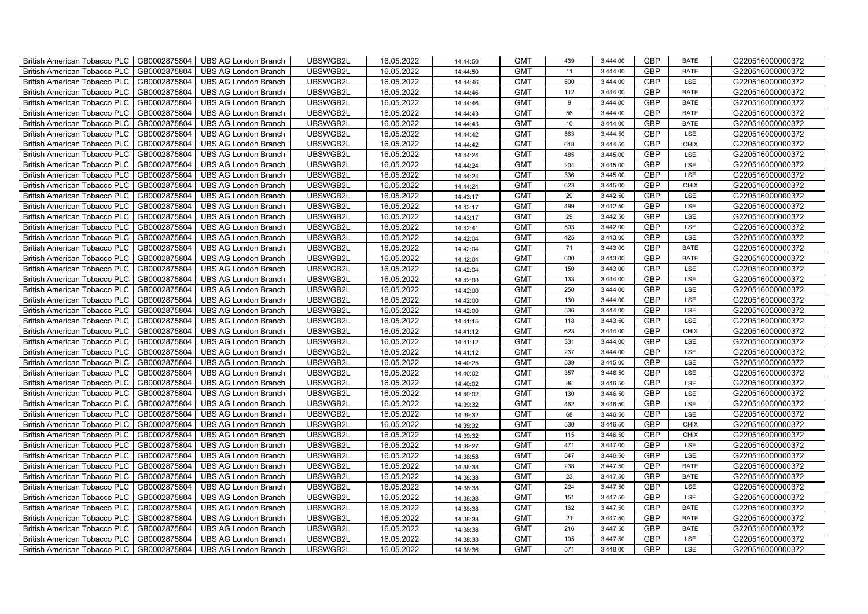| British American Tobacco PLC        | GB0002875804 | <b>UBS AG London Branch</b> | UBSWGB2L | 16.05.2022 | 14:44:50 | <b>GMT</b> | 439 | 3,444.00 | <b>GBP</b> | <b>BATE</b> | G220516000000372 |
|-------------------------------------|--------------|-----------------------------|----------|------------|----------|------------|-----|----------|------------|-------------|------------------|
| <b>British American Tobacco PLC</b> | GB0002875804 | <b>UBS AG London Branch</b> | UBSWGB2L | 16.05.2022 | 14:44:50 | <b>GMT</b> | 11  | 3.444.00 | <b>GBP</b> | <b>BATE</b> | G220516000000372 |
| <b>British American Tobacco PLC</b> | GB0002875804 | <b>UBS AG London Branch</b> | UBSWGB2L | 16.05.2022 | 14:44:46 | <b>GMT</b> | 500 | 3,444.00 | <b>GBP</b> | LSE         | G220516000000372 |
| British American Tobacco PLC        | GB0002875804 | <b>UBS AG London Branch</b> | UBSWGB2L | 16.05.2022 | 14:44:46 | <b>GMT</b> | 112 | 3,444.00 | <b>GBP</b> | <b>BATE</b> | G220516000000372 |
| <b>British American Tobacco PLC</b> | GB0002875804 | UBS AG London Branch        | UBSWGB2L | 16.05.2022 | 14:44:46 | <b>GMT</b> | 9   | 3,444.00 | <b>GBP</b> | <b>BATE</b> | G220516000000372 |
| British American Tobacco PLC        | GB0002875804 | <b>UBS AG London Branch</b> | UBSWGB2L | 16.05.2022 | 14:44:43 | <b>GMT</b> | 56  | 3,444.00 | <b>GBP</b> | <b>BATE</b> | G220516000000372 |
| <b>British American Tobacco PLC</b> | GB0002875804 | <b>UBS AG London Branch</b> | UBSWGB2L | 16.05.2022 | 14:44:43 | <b>GMT</b> | 10  | 3,444.00 | <b>GBP</b> | <b>BATE</b> | G220516000000372 |
| British American Tobacco PLC        | GB0002875804 | <b>UBS AG London Branch</b> | UBSWGB2L | 16.05.2022 | 14:44:42 | <b>GMT</b> | 563 | 3,444.50 | <b>GBP</b> | LSE         | G220516000000372 |
| <b>British American Tobacco PLC</b> | GB0002875804 | <b>UBS AG London Branch</b> | UBSWGB2L | 16.05.2022 | 14:44:42 | <b>GMT</b> | 618 | 3,444.50 | <b>GBP</b> | <b>CHIX</b> | G220516000000372 |
| British American Tobacco PLC        | GB0002875804 | <b>UBS AG London Branch</b> | UBSWGB2L | 16.05.2022 | 14:44:24 | <b>GMT</b> | 485 | 3,445.00 | <b>GBP</b> | LSE         | G220516000000372 |
| <b>British American Tobacco PLC</b> | GB0002875804 | <b>UBS AG London Branch</b> | UBSWGB2L | 16.05.2022 | 14:44:24 | <b>GMT</b> | 204 | 3,445.00 | <b>GBP</b> | LSE         | G220516000000372 |
| <b>British American Tobacco PLC</b> | GB0002875804 | <b>UBS AG London Branch</b> | UBSWGB2L | 16.05.2022 | 14:44:24 | <b>GMT</b> | 336 | 3,445.00 | <b>GBP</b> | LSE         | G220516000000372 |
| British American Tobacco PLC        | GB0002875804 | <b>UBS AG London Branch</b> | UBSWGB2L | 16.05.2022 | 14:44:24 | <b>GMT</b> | 623 | 3,445.00 | <b>GBP</b> | <b>CHIX</b> | G220516000000372 |
| British American Tobacco PLC        | GB0002875804 | <b>UBS AG London Branch</b> | UBSWGB2L | 16.05.2022 | 14:43:17 | <b>GMT</b> | 29  | 3,442.50 | <b>GBP</b> | LSE         | G220516000000372 |
| British American Tobacco PLC        | GB0002875804 | <b>UBS AG London Branch</b> | UBSWGB2L | 16.05.2022 | 14:43:17 | <b>GMT</b> | 499 | 3,442.50 | <b>GBP</b> | LSE         | G220516000000372 |
| British American Tobacco PLC        | GB0002875804 | <b>UBS AG London Branch</b> | UBSWGB2L | 16.05.2022 | 14:43:17 | <b>GMT</b> | 29  | 3,442.50 | <b>GBP</b> | LSE         | G220516000000372 |
| British American Tobacco PLC        | GB0002875804 | <b>UBS AG London Branch</b> | UBSWGB2L | 16.05.2022 | 14:42:41 | <b>GMT</b> | 503 | 3,442.00 | <b>GBP</b> | LSE         | G220516000000372 |
| British American Tobacco PLC        | GB0002875804 | <b>UBS AG London Branch</b> | UBSWGB2L | 16.05.2022 | 14:42:04 | <b>GMT</b> | 425 | 3,443.00 | <b>GBP</b> | LSE         | G220516000000372 |
| British American Tobacco PLC        | GB0002875804 | <b>UBS AG London Branch</b> | UBSWGB2L | 16.05.2022 | 14:42:04 | <b>GMT</b> | 71  | 3,443.00 | <b>GBP</b> | <b>BATE</b> | G220516000000372 |
| British American Tobacco PLC        | GB0002875804 | <b>UBS AG London Branch</b> | UBSWGB2L | 16.05.2022 | 14:42:04 | <b>GMT</b> | 600 | 3,443.00 | <b>GBP</b> | <b>BATE</b> | G220516000000372 |
| <b>British American Tobacco PLC</b> | GB0002875804 | <b>UBS AG London Branch</b> | UBSWGB2L | 16.05.2022 | 14:42:04 | <b>GMT</b> | 150 | 3,443.00 | <b>GBP</b> | <b>LSE</b>  | G220516000000372 |
| British American Tobacco PLC        | GB0002875804 | <b>UBS AG London Branch</b> | UBSWGB2L | 16.05.2022 | 14:42:00 | <b>GMT</b> | 133 | 3,444.00 | GBP        | LSE         | G220516000000372 |
| British American Tobacco PLC        | GB0002875804 | <b>UBS AG London Branch</b> | UBSWGB2L | 16.05.2022 | 14:42:00 | <b>GMT</b> | 250 | 3,444.00 | GBP        | LSE         | G220516000000372 |
| British American Tobacco PLC        | GB0002875804 | <b>UBS AG London Branch</b> | UBSWGB2L | 16.05.2022 | 14:42:00 | <b>GMT</b> | 130 | 3,444.00 | <b>GBP</b> | LSE         | G220516000000372 |
| <b>British American Tobacco PLC</b> | GB0002875804 | <b>UBS AG London Branch</b> | UBSWGB2L | 16.05.2022 | 14:42:00 | <b>GMT</b> | 536 | 3,444.00 | <b>GBP</b> | LSE         | G220516000000372 |
| British American Tobacco PLC        | GB0002875804 | <b>UBS AG London Branch</b> | UBSWGB2L | 16.05.2022 | 14:41:15 | <b>GMT</b> | 118 | 3,443.50 | <b>GBP</b> | LSE         | G220516000000372 |
| British American Tobacco PLC        | GB0002875804 | <b>UBS AG London Branch</b> | UBSWGB2L | 16.05.2022 | 14:41:12 | <b>GMT</b> | 623 | 3,444.00 | <b>GBP</b> | CHIX        | G220516000000372 |
| British American Tobacco PLC        | GB0002875804 | <b>UBS AG London Branch</b> | UBSWGB2L | 16.05.2022 | 14:41:12 | <b>GMT</b> | 331 | 3,444.00 | <b>GBP</b> | LSE         | G220516000000372 |
| <b>British American Tobacco PLC</b> | GB0002875804 | <b>UBS AG London Branch</b> | UBSWGB2L | 16.05.2022 | 14:41:12 | <b>GMT</b> | 237 | 3,444.00 | <b>GBP</b> | LSE         | G220516000000372 |
| <b>British American Tobacco PLC</b> | GB0002875804 | <b>UBS AG London Branch</b> | UBSWGB2L | 16.05.2022 | 14:40:25 | <b>GMT</b> | 539 | 3,445.00 | <b>GBP</b> | LSE         | G220516000000372 |
| British American Tobacco PLC        | GB0002875804 | <b>UBS AG London Branch</b> | UBSWGB2L | 16.05.2022 | 14:40:02 | <b>GMT</b> | 357 | 3,446.50 | <b>GBP</b> | LSE         | G220516000000372 |
| British American Tobacco PLC        | GB0002875804 | <b>UBS AG London Branch</b> | UBSWGB2L | 16.05.2022 | 14:40:02 | <b>GMT</b> | 86  | 3,446.50 | GBP        | LSE         | G220516000000372 |
| British American Tobacco PLC        | GB0002875804 | <b>UBS AG London Branch</b> | UBSWGB2L | 16.05.2022 | 14:40:02 | <b>GMT</b> | 130 | 3,446.50 | <b>GBP</b> | LSE         | G220516000000372 |
| British American Tobacco PLC        | GB0002875804 | <b>UBS AG London Branch</b> | UBSWGB2L | 16.05.2022 | 14:39:32 | <b>GMT</b> | 462 | 3,446.50 | <b>GBP</b> | LSE         | G220516000000372 |
| British American Tobacco PLC        | GB0002875804 | <b>UBS AG London Branch</b> | UBSWGB2L | 16.05.2022 | 14:39:32 | <b>GMT</b> | 68  | 3,446.50 | <b>GBP</b> | LSE         | G220516000000372 |
| British American Tobacco PLC        | GB0002875804 | <b>UBS AG London Branch</b> | UBSWGB2L | 16.05.2022 | 14:39:32 | <b>GMT</b> | 530 | 3,446.50 | <b>GBP</b> | CHIX        | G220516000000372 |
| British American Tobacco PLC        | GB0002875804 | <b>UBS AG London Branch</b> | UBSWGB2L | 16.05.2022 | 14:39:32 | <b>GMT</b> | 115 | 3,446.50 | <b>GBP</b> | <b>CHIX</b> | G220516000000372 |
| <b>British American Tobacco PLC</b> | GB0002875804 | <b>UBS AG London Branch</b> | UBSWGB2L | 16.05.2022 | 14:39:27 | <b>GMT</b> | 471 | 3,447.00 | <b>GBP</b> | LSE         | G220516000000372 |
| British American Tobacco PLC        | GB0002875804 | <b>UBS AG London Branch</b> | UBSWGB2L | 16.05.2022 | 14:38:58 | <b>GMT</b> | 547 | 3,446.50 | <b>GBP</b> | LSE         | G220516000000372 |
| British American Tobacco PLC        | GB0002875804 | <b>UBS AG London Branch</b> | UBSWGB2L | 16.05.2022 | 14:38:38 | <b>GMT</b> | 238 | 3,447.50 | <b>GBP</b> | <b>BATE</b> | G220516000000372 |
| British American Tobacco PLC        | GB0002875804 | UBS AG London Branch        | UBSWGB2L | 16.05.2022 | 14:38:38 | <b>GMT</b> | 23  | 3,447.50 | GBP        | <b>BATE</b> | G220516000000372 |
| British American Tobacco PLC        | GB0002875804 | <b>UBS AG London Branch</b> | UBSWGB2L | 16.05.2022 | 14:38:38 | <b>GMT</b> | 224 | 3,447.50 | <b>GBP</b> | LSE         | G220516000000372 |
| British American Tobacco PLC        | GB0002875804 | <b>UBS AG London Branch</b> | UBSWGB2L | 16.05.2022 | 14:38:38 | <b>GMT</b> | 151 | 3,447.50 | <b>GBP</b> | LSE         | G220516000000372 |
| British American Tobacco PLC        | GB0002875804 | <b>UBS AG London Branch</b> | UBSWGB2L | 16.05.2022 | 14:38:38 | <b>GMT</b> | 162 | 3,447.50 | <b>GBP</b> | <b>BATE</b> | G220516000000372 |
| <b>British American Tobacco PLC</b> | GB0002875804 | <b>UBS AG London Branch</b> | UBSWGB2L | 16.05.2022 | 14:38:38 | <b>GMT</b> | 21  | 3,447.50 | <b>GBP</b> | <b>BATE</b> | G220516000000372 |
| <b>British American Tobacco PLC</b> | GB0002875804 | <b>UBS AG London Branch</b> | UBSWGB2L | 16.05.2022 | 14:38:38 | <b>GMT</b> | 216 | 3,447.50 | <b>GBP</b> | <b>BATE</b> | G220516000000372 |
| <b>British American Tobacco PLC</b> | GB0002875804 | <b>UBS AG London Branch</b> | UBSWGB2L | 16.05.2022 | 14:38:38 | <b>GMT</b> | 105 | 3,447.50 | <b>GBP</b> | LSE         | G220516000000372 |
| British American Tobacco PLC        | GB0002875804 | UBS AG London Branch        | UBSWGB2L | 16.05.2022 | 14:38:36 | <b>GMT</b> | 571 | 3,448.00 | <b>GBP</b> | LSE         | G220516000000372 |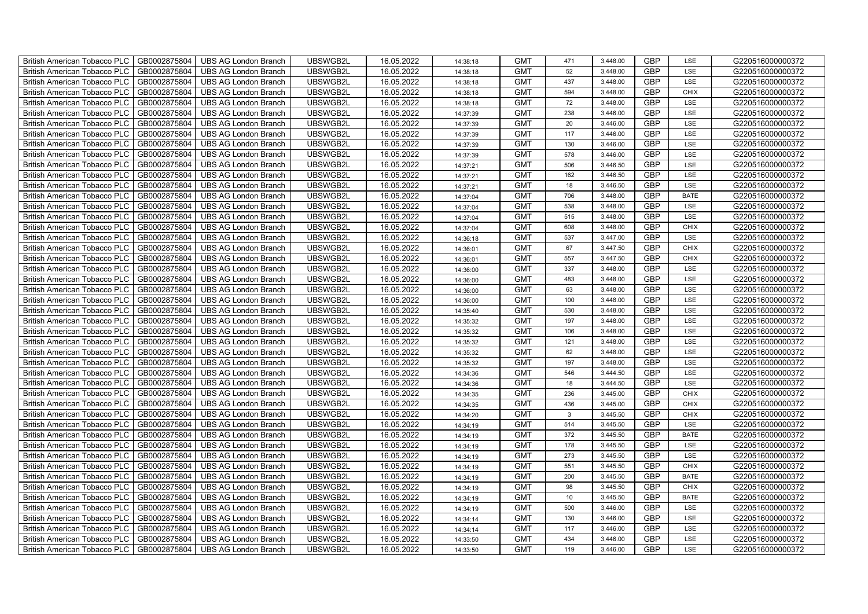| British American Tobacco PLC        | GB0002875804 | <b>UBS AG London Branch</b> | UBSWGB2L | 16.05.2022 | 14:38:18 | <b>GMT</b> | 471          | 3,448.00 | <b>GBP</b> | LSE         | G220516000000372 |
|-------------------------------------|--------------|-----------------------------|----------|------------|----------|------------|--------------|----------|------------|-------------|------------------|
| <b>British American Tobacco PLC</b> | GB0002875804 | <b>UBS AG London Branch</b> | UBSWGB2L | 16.05.2022 | 14:38:18 | <b>GMT</b> | 52           | 3,448.00 | <b>GBP</b> | <b>LSE</b>  | G220516000000372 |
| <b>British American Tobacco PLC</b> | GB0002875804 | <b>UBS AG London Branch</b> | UBSWGB2L | 16.05.2022 | 14:38:18 | <b>GMT</b> | 437          | 3,448.00 | <b>GBP</b> | LSE         | G220516000000372 |
| British American Tobacco PLC        | GB0002875804 | <b>UBS AG London Branch</b> | UBSWGB2L | 16.05.2022 | 14:38:18 | <b>GMT</b> | 594          | 3,448.00 | <b>GBP</b> | <b>CHIX</b> | G220516000000372 |
| <b>British American Tobacco PLC</b> | GB0002875804 | UBS AG London Branch        | UBSWGB2L | 16.05.2022 | 14:38:18 | <b>GMT</b> | 72           | 3,448.00 | <b>GBP</b> | LSE         | G220516000000372 |
| British American Tobacco PLC        | GB0002875804 | <b>UBS AG London Branch</b> | UBSWGB2L | 16.05.2022 | 14:37:39 | <b>GMT</b> | 238          | 3,446.00 | <b>GBP</b> | LSE         | G220516000000372 |
| <b>British American Tobacco PLC</b> | GB0002875804 | <b>UBS AG London Branch</b> | UBSWGB2L | 16.05.2022 | 14:37:39 | <b>GMT</b> | 20           | 3,446.00 | <b>GBP</b> | LSE         | G220516000000372 |
| British American Tobacco PLC        | GB0002875804 | <b>UBS AG London Branch</b> | UBSWGB2L | 16.05.2022 | 14:37:39 | <b>GMT</b> | 117          | 3,446.00 | <b>GBP</b> | LSE         | G220516000000372 |
| <b>British American Tobacco PLC</b> | GB0002875804 | <b>UBS AG London Branch</b> | UBSWGB2L | 16.05.2022 | 14:37:39 | <b>GMT</b> | 130          | 3,446.00 | <b>GBP</b> | LSE         | G220516000000372 |
| British American Tobacco PLC        | GB0002875804 | <b>UBS AG London Branch</b> | UBSWGB2L | 16.05.2022 | 14:37:39 | <b>GMT</b> | 578          | 3,446.00 | <b>GBP</b> | LSE         | G220516000000372 |
| <b>British American Tobacco PLC</b> | GB0002875804 | <b>UBS AG London Branch</b> | UBSWGB2L | 16.05.2022 | 14:37:21 | <b>GMT</b> | 506          | 3,446.50 | <b>GBP</b> | LSE         | G220516000000372 |
| <b>British American Tobacco PLC</b> | GB0002875804 | <b>UBS AG London Branch</b> | UBSWGB2L | 16.05.2022 | 14:37:21 | <b>GMT</b> | 162          | 3,446.50 | <b>GBP</b> | LSE         | G220516000000372 |
| British American Tobacco PLC        | GB0002875804 | <b>UBS AG London Branch</b> | UBSWGB2L | 16.05.2022 | 14:37:21 | <b>GMT</b> | 18           | 3,446.50 | <b>GBP</b> | LSE         | G220516000000372 |
| British American Tobacco PLC        | GB0002875804 | <b>UBS AG London Branch</b> | UBSWGB2L | 16.05.2022 | 14:37:04 | <b>GMT</b> | 706          | 3,448.00 | <b>GBP</b> | <b>BATE</b> | G220516000000372 |
| British American Tobacco PLC        | GB0002875804 | <b>UBS AG London Branch</b> | UBSWGB2L | 16.05.2022 | 14:37:04 | <b>GMT</b> | 538          | 3,448.00 | <b>GBP</b> | LSE         | G220516000000372 |
| British American Tobacco PLC        | GB0002875804 | <b>UBS AG London Branch</b> | UBSWGB2L | 16.05.2022 | 14:37:04 | <b>GMT</b> | 515          | 3,448.00 | <b>GBP</b> | LSE         | G220516000000372 |
| British American Tobacco PLC        | GB0002875804 | <b>UBS AG London Branch</b> | UBSWGB2L | 16.05.2022 | 14:37:04 | <b>GMT</b> | 608          | 3,448.00 | <b>GBP</b> | <b>CHIX</b> | G220516000000372 |
| British American Tobacco PLC        | GB0002875804 | <b>UBS AG London Branch</b> | UBSWGB2L | 16.05.2022 | 14:36:18 | <b>GMT</b> | 537          | 3,447.00 | <b>GBP</b> | LSE         | G220516000000372 |
| British American Tobacco PLC        | GB0002875804 | <b>UBS AG London Branch</b> | UBSWGB2L | 16.05.2022 | 14:36:01 | <b>GMT</b> | 67           | 3,447.50 | <b>GBP</b> | <b>CHIX</b> | G220516000000372 |
| British American Tobacco PLC        | GB0002875804 | <b>UBS AG London Branch</b> | UBSWGB2L | 16.05.2022 | 14:36:01 | <b>GMT</b> | 557          | 3,447.50 | <b>GBP</b> | CHIX        | G220516000000372 |
| <b>British American Tobacco PLC</b> | GB0002875804 | <b>UBS AG London Branch</b> | UBSWGB2L | 16.05.2022 | 14:36:00 | <b>GMT</b> | 337          | 3,448.00 | <b>GBP</b> | <b>LSE</b>  | G220516000000372 |
| British American Tobacco PLC        | GB0002875804 | <b>UBS AG London Branch</b> | UBSWGB2L | 16.05.2022 | 14:36:00 | <b>GMT</b> | 483          | 3,448.00 | GBP        | LSE         | G220516000000372 |
| British American Tobacco PLC        | GB0002875804 | UBS AG London Branch        | UBSWGB2L | 16.05.2022 | 14:36:00 | <b>GMT</b> | 63           | 3,448.00 | GBP        | LSE         | G220516000000372 |
| British American Tobacco PLC        | GB0002875804 | <b>UBS AG London Branch</b> | UBSWGB2L | 16.05.2022 | 14:36:00 | <b>GMT</b> | 100          | 3,448.00 | <b>GBP</b> | LSE         | G220516000000372 |
| <b>British American Tobacco PLC</b> | GB0002875804 | <b>UBS AG London Branch</b> | UBSWGB2L | 16.05.2022 | 14:35:40 | <b>GMT</b> | 530          | 3,448.00 | <b>GBP</b> | LSE         | G220516000000372 |
| British American Tobacco PLC        | GB0002875804 | <b>UBS AG London Branch</b> | UBSWGB2L | 16.05.2022 | 14:35:32 | <b>GMT</b> | 197          | 3,448.00 | <b>GBP</b> | LSE         | G220516000000372 |
| British American Tobacco PLC        | GB0002875804 | <b>UBS AG London Branch</b> | UBSWGB2L | 16.05.2022 | 14:35:32 | <b>GMT</b> | 106          | 3,448.00 | <b>GBP</b> | LSE         | G220516000000372 |
| British American Tobacco PLC        | GB0002875804 | <b>UBS AG London Branch</b> | UBSWGB2L | 16.05.2022 | 14:35:32 | <b>GMT</b> | 121          | 3,448.00 | GBP        | LSE         | G220516000000372 |
| <b>British American Tobacco PLC</b> | GB0002875804 | <b>UBS AG London Branch</b> | UBSWGB2L | 16.05.2022 | 14:35:32 | <b>GMT</b> | 62           | 3,448.00 | <b>GBP</b> | LSE         | G220516000000372 |
| <b>British American Tobacco PLC</b> | GB0002875804 | <b>UBS AG London Branch</b> | UBSWGB2L | 16.05.2022 | 14:35:32 | <b>GMT</b> | 197          | 3,448.00 | <b>GBP</b> | LSE         | G220516000000372 |
| British American Tobacco PLC        | GB0002875804 | <b>UBS AG London Branch</b> | UBSWGB2L | 16.05.2022 | 14:34:36 | <b>GMT</b> | 546          | 3,444.50 | <b>GBP</b> | LSE         | G220516000000372 |
| British American Tobacco PLC        | GB0002875804 | UBS AG London Branch        | UBSWGB2L | 16.05.2022 | 14:34:36 | <b>GMT</b> | 18           | 3,444.50 | <b>GBP</b> | LSE         | G220516000000372 |
| British American Tobacco PLC        | GB0002875804 | <b>UBS AG London Branch</b> | UBSWGB2L | 16.05.2022 | 14:34:35 | <b>GMT</b> | 236          | 3,445.00 | <b>GBP</b> | CHIX        | G220516000000372 |
| British American Tobacco PLC        | GB0002875804 | <b>UBS AG London Branch</b> | UBSWGB2L | 16.05.2022 | 14:34:35 | <b>GMT</b> | 436          | 3,445.00 | <b>GBP</b> | CHIX        | G220516000000372 |
| British American Tobacco PLC        | GB0002875804 | <b>UBS AG London Branch</b> | UBSWGB2L | 16.05.2022 | 14:34:20 | <b>GMT</b> | $\mathbf{3}$ | 3,445.50 | <b>GBP</b> | CHIX        | G220516000000372 |
| British American Tobacco PLC        | GB0002875804 | <b>UBS AG London Branch</b> | UBSWGB2L | 16.05.2022 | 14:34:19 | <b>GMT</b> | 514          | 3,445.50 | <b>GBP</b> | LSE         | G220516000000372 |
| British American Tobacco PLC        | GB0002875804 | <b>UBS AG London Branch</b> | UBSWGB2L | 16.05.2022 | 14:34:19 | <b>GMT</b> | 372          | 3,445.50 | <b>GBP</b> | <b>BATE</b> | G220516000000372 |
| <b>British American Tobacco PLC</b> | GB0002875804 | <b>UBS AG London Branch</b> | UBSWGB2L | 16.05.2022 | 14:34:19 | <b>GMT</b> | 178          | 3,445.50 | <b>GBP</b> | LSE         | G220516000000372 |
| British American Tobacco PLC        | GB0002875804 | <b>UBS AG London Branch</b> | UBSWGB2L | 16.05.2022 | 14:34:19 | <b>GMT</b> | 273          | 3,445.50 | <b>GBP</b> | LSE         | G220516000000372 |
| <b>British American Tobacco PLC</b> | GB0002875804 | <b>UBS AG London Branch</b> | UBSWGB2L | 16.05.2022 | 14:34:19 | <b>GMT</b> | 551          | 3,445.50 | <b>GBP</b> | <b>CHIX</b> | G220516000000372 |
| British American Tobacco PLC        | GB0002875804 | UBS AG London Branch        | UBSWGB2L | 16.05.2022 | 14:34:19 | <b>GMT</b> | 200          | 3,445.50 | GBP        | <b>BATE</b> | G220516000000372 |
| British American Tobacco PLC        | GB0002875804 | <b>UBS AG London Branch</b> | UBSWGB2L | 16.05.2022 | 14:34:19 | <b>GMT</b> | 98           | 3,445.50 | <b>GBP</b> | <b>CHIX</b> | G220516000000372 |
| British American Tobacco PLC        | GB0002875804 | <b>UBS AG London Branch</b> | UBSWGB2L | 16.05.2022 | 14:34:19 | <b>GMT</b> | 10           | 3,445.50 | <b>GBP</b> | <b>BATE</b> | G220516000000372 |
| <b>British American Tobacco PLC</b> | GB0002875804 | <b>UBS AG London Branch</b> | UBSWGB2L | 16.05.2022 | 14:34:19 | <b>GMT</b> | 500          | 3,446.00 | <b>GBP</b> | LSE         | G220516000000372 |
| <b>British American Tobacco PLC</b> | GB0002875804 | <b>UBS AG London Branch</b> | UBSWGB2L | 16.05.2022 | 14:34:14 | <b>GMT</b> | 130          | 3,446.00 | <b>GBP</b> | LSE         | G220516000000372 |
| <b>British American Tobacco PLC</b> | GB0002875804 | <b>UBS AG London Branch</b> | UBSWGB2L | 16.05.2022 | 14:34:14 | <b>GMT</b> | 117          | 3,446.00 | <b>GBP</b> | LSE         | G220516000000372 |
| British American Tobacco PLC        | GB0002875804 | <b>UBS AG London Branch</b> | UBSWGB2L | 16.05.2022 | 14:33:50 | <b>GMT</b> | 434          | 3,446.00 | <b>GBP</b> | LSE         | G220516000000372 |
| British American Tobacco PLC        | GB0002875804 | UBS AG London Branch        | UBSWGB2L | 16.05.2022 | 14:33:50 | <b>GMT</b> | 119          | 3,446.00 | <b>GBP</b> | LSE         | G220516000000372 |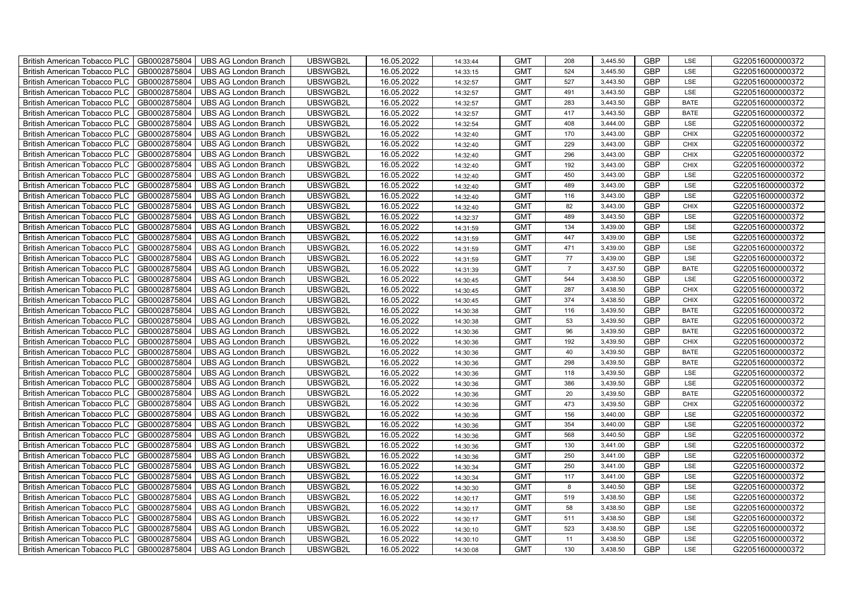| British American Tobacco PLC        | GB0002875804 | <b>UBS AG London Branch</b> | UBSWGB2L | 16.05.2022 | 14:33:44 | <b>GMT</b> | 208            | 3,445.50 | <b>GBP</b> | LSE         | G220516000000372 |
|-------------------------------------|--------------|-----------------------------|----------|------------|----------|------------|----------------|----------|------------|-------------|------------------|
| <b>British American Tobacco PLC</b> | GB0002875804 | <b>UBS AG London Branch</b> | UBSWGB2L | 16.05.2022 | 14:33:15 | <b>GMT</b> | 524            | 3,445.50 | <b>GBP</b> | <b>LSE</b>  | G220516000000372 |
| <b>British American Tobacco PLC</b> | GB0002875804 | <b>UBS AG London Branch</b> | UBSWGB2L | 16.05.2022 | 14:32:57 | <b>GMT</b> | 527            | 3,443.50 | <b>GBP</b> | LSE         | G220516000000372 |
| British American Tobacco PLC        | GB0002875804 | <b>UBS AG London Branch</b> | UBSWGB2L | 16.05.2022 | 14:32:57 | <b>GMT</b> | 491            | 3,443.50 | <b>GBP</b> | LSE         | G220516000000372 |
| <b>British American Tobacco PLC</b> | GB0002875804 | <b>UBS AG London Branch</b> | UBSWGB2L | 16.05.2022 | 14:32:57 | <b>GMT</b> | 283            | 3,443.50 | <b>GBP</b> | <b>BATE</b> | G220516000000372 |
| British American Tobacco PLC        | GB0002875804 | <b>UBS AG London Branch</b> | UBSWGB2L | 16.05.2022 | 14:32:57 | <b>GMT</b> | 417            | 3,443.50 | <b>GBP</b> | <b>BATE</b> | G220516000000372 |
| <b>British American Tobacco PLC</b> | GB0002875804 | <b>UBS AG London Branch</b> | UBSWGB2L | 16.05.2022 | 14:32:54 | <b>GMT</b> | 408            | 3,444.00 | <b>GBP</b> | LSE         | G220516000000372 |
| British American Tobacco PLC        | GB0002875804 | <b>UBS AG London Branch</b> | UBSWGB2L | 16.05.2022 | 14:32:40 | <b>GMT</b> | 170            | 3,443.00 | <b>GBP</b> | <b>CHIX</b> | G220516000000372 |
| <b>British American Tobacco PLC</b> | GB0002875804 | <b>UBS AG London Branch</b> | UBSWGB2L | 16.05.2022 | 14:32:40 | <b>GMT</b> | 229            | 3,443.00 | <b>GBP</b> | <b>CHIX</b> | G220516000000372 |
| British American Tobacco PLC        | GB0002875804 | <b>UBS AG London Branch</b> | UBSWGB2L | 16.05.2022 | 14:32:40 | <b>GMT</b> | 296            | 3,443.00 | <b>GBP</b> | <b>CHIX</b> | G220516000000372 |
| <b>British American Tobacco PLC</b> | GB0002875804 | <b>UBS AG London Branch</b> | UBSWGB2L | 16.05.2022 | 14:32:40 | <b>GMT</b> | 192            | 3,443.00 | <b>GBP</b> | <b>CHIX</b> | G220516000000372 |
| <b>British American Tobacco PLC</b> | GB0002875804 | <b>UBS AG London Branch</b> | UBSWGB2L | 16.05.2022 | 14:32:40 | <b>GMT</b> | 450            | 3,443.00 | <b>GBP</b> | LSE         | G220516000000372 |
| British American Tobacco PLC        | GB0002875804 | <b>UBS AG London Branch</b> | UBSWGB2L | 16.05.2022 | 14:32:40 | <b>GMT</b> | 489            | 3,443.00 | <b>GBP</b> | LSE         | G220516000000372 |
| British American Tobacco PLC        | GB0002875804 | <b>UBS AG London Branch</b> | UBSWGB2L | 16.05.2022 | 14:32:40 | <b>GMT</b> | 116            | 3,443.00 | <b>GBP</b> | LSE         | G220516000000372 |
| British American Tobacco PLC        | GB0002875804 | <b>UBS AG London Branch</b> | UBSWGB2L | 16.05.2022 | 14:32:40 | <b>GMT</b> | 82             | 3,443.00 | <b>GBP</b> | <b>CHIX</b> | G220516000000372 |
| British American Tobacco PLC        | GB0002875804 | <b>UBS AG London Branch</b> | UBSWGB2L | 16.05.2022 | 14:32:37 | <b>GMT</b> | 489            | 3,443.50 | <b>GBP</b> | LSE         | G220516000000372 |
| British American Tobacco PLC        | GB0002875804 | <b>UBS AG London Branch</b> | UBSWGB2L | 16.05.2022 | 14:31:59 | <b>GMT</b> | 134            | 3,439.00 | <b>GBP</b> | LSE         | G220516000000372 |
| British American Tobacco PLC        | GB0002875804 | <b>UBS AG London Branch</b> | UBSWGB2L | 16.05.2022 | 14:31:59 | <b>GMT</b> | 447            | 3,439.00 | <b>GBP</b> | LSE         | G220516000000372 |
| British American Tobacco PLC        | GB0002875804 | <b>UBS AG London Branch</b> | UBSWGB2L | 16.05.2022 | 14:31:59 | <b>GMT</b> | 471            | 3,439.00 | <b>GBP</b> | LSE         | G220516000000372 |
| British American Tobacco PLC        | GB0002875804 | <b>UBS AG London Branch</b> | UBSWGB2L | 16.05.2022 | 14:31:59 | <b>GMT</b> | $77\,$         | 3,439.00 | <b>GBP</b> | LSE         | G220516000000372 |
| <b>British American Tobacco PLC</b> | GB0002875804 | <b>UBS AG London Branch</b> | UBSWGB2L | 16.05.2022 | 14:31:39 | <b>GMT</b> | $\overline{7}$ | 3,437.50 | <b>GBP</b> | <b>BATE</b> | G220516000000372 |
| British American Tobacco PLC        | GB0002875804 | <b>UBS AG London Branch</b> | UBSWGB2L | 16.05.2022 | 14:30:45 | <b>GMT</b> | 544            | 3,438.50 | GBP        | LSE         | G220516000000372 |
| British American Tobacco PLC        | GB0002875804 | <b>UBS AG London Branch</b> | UBSWGB2L | 16.05.2022 | 14:30:45 | <b>GMT</b> | 287            | 3,438.50 | GBP        | CHIX        | G220516000000372 |
| British American Tobacco PLC        | GB0002875804 | <b>UBS AG London Branch</b> | UBSWGB2L | 16.05.2022 | 14:30:45 | <b>GMT</b> | 374            | 3,438.50 | <b>GBP</b> | CHIX        | G220516000000372 |
| <b>British American Tobacco PLC</b> | GB0002875804 | <b>UBS AG London Branch</b> | UBSWGB2L | 16.05.2022 | 14:30:38 | <b>GMT</b> | 116            | 3,439.50 | <b>GBP</b> | <b>BATE</b> | G220516000000372 |
| British American Tobacco PLC        | GB0002875804 | <b>UBS AG London Branch</b> | UBSWGB2L | 16.05.2022 | 14:30:38 | <b>GMT</b> | 53             | 3,439.50 | <b>GBP</b> | <b>BATE</b> | G220516000000372 |
| British American Tobacco PLC        | GB0002875804 | <b>UBS AG London Branch</b> | UBSWGB2L | 16.05.2022 | 14:30:36 | <b>GMT</b> | 96             | 3,439.50 | <b>GBP</b> | <b>BATE</b> | G220516000000372 |
| British American Tobacco PLC        | GB0002875804 | <b>UBS AG London Branch</b> | UBSWGB2L | 16.05.2022 | 14:30:36 | <b>GMT</b> | 192            | 3,439.50 | <b>GBP</b> | <b>CHIX</b> | G220516000000372 |
| <b>British American Tobacco PLC</b> | GB0002875804 | <b>UBS AG London Branch</b> | UBSWGB2L | 16.05.2022 | 14:30:36 | <b>GMT</b> | 40             | 3,439.50 | <b>GBP</b> | <b>BATE</b> | G220516000000372 |
| <b>British American Tobacco PLC</b> | GB0002875804 | <b>UBS AG London Branch</b> | UBSWGB2L | 16.05.2022 | 14:30:36 | <b>GMT</b> | 298            | 3,439.50 | <b>GBP</b> | <b>BATE</b> | G220516000000372 |
| British American Tobacco PLC        | GB0002875804 | <b>UBS AG London Branch</b> | UBSWGB2L | 16.05.2022 | 14:30:36 | <b>GMT</b> | 118            | 3,439.50 | <b>GBP</b> | LSE         | G220516000000372 |
| British American Tobacco PLC        | GB0002875804 | <b>UBS AG London Branch</b> | UBSWGB2L | 16.05.2022 | 14:30:36 | <b>GMT</b> | 386            | 3,439.50 | <b>GBP</b> | LSE         | G220516000000372 |
| British American Tobacco PLC        | GB0002875804 | <b>UBS AG London Branch</b> | UBSWGB2L | 16.05.2022 | 14:30:36 | <b>GMT</b> | 20             | 3,439.50 | <b>GBP</b> | <b>BATE</b> | G220516000000372 |
| British American Tobacco PLC        | GB0002875804 | <b>UBS AG London Branch</b> | UBSWGB2L | 16.05.2022 | 14:30:36 | <b>GMT</b> | 473            | 3,439.50 | <b>GBP</b> | CHIX        | G220516000000372 |
| British American Tobacco PLC        | GB0002875804 | <b>UBS AG London Branch</b> | UBSWGB2L | 16.05.2022 | 14:30:36 | <b>GMT</b> | 156            | 3,440.00 | <b>GBP</b> | LSE         | G220516000000372 |
| British American Tobacco PLC        | GB0002875804 | <b>UBS AG London Branch</b> | UBSWGB2L | 16.05.2022 | 14:30:36 | <b>GMT</b> | 354            | 3,440.00 | <b>GBP</b> | LSE         | G220516000000372 |
| British American Tobacco PLC        | GB0002875804 | <b>UBS AG London Branch</b> | UBSWGB2L | 16.05.2022 | 14:30:36 | <b>GMT</b> | 568            | 3,440.50 | <b>GBP</b> | LSE         | G220516000000372 |
| <b>British American Tobacco PLC</b> | GB0002875804 | <b>UBS AG London Branch</b> | UBSWGB2L | 16.05.2022 | 14:30:36 | <b>GMT</b> | 130            | 3,441.00 | <b>GBP</b> | LSE         | G220516000000372 |
| British American Tobacco PLC        | GB0002875804 | <b>UBS AG London Branch</b> | UBSWGB2L | 16.05.2022 | 14:30:36 | <b>GMT</b> | 250            | 3,441.00 | <b>GBP</b> | LSE         | G220516000000372 |
| British American Tobacco PLC        | GB0002875804 | <b>UBS AG London Branch</b> | UBSWGB2L | 16.05.2022 | 14:30:34 | <b>GMT</b> | 250            | 3,441.00 | <b>GBP</b> | LSE         | G220516000000372 |
| British American Tobacco PLC        | GB0002875804 | UBS AG London Branch        | UBSWGB2L | 16.05.2022 | 14:30:34 | <b>GMT</b> | 117            | 3,441.00 | GBP        | LSE         | G220516000000372 |
| British American Tobacco PLC        | GB0002875804 | <b>UBS AG London Branch</b> | UBSWGB2L | 16.05.2022 | 14:30:30 | <b>GMT</b> | 8              | 3,440.50 | <b>GBP</b> | LSE         | G220516000000372 |
| British American Tobacco PLC        | GB0002875804 | <b>UBS AG London Branch</b> | UBSWGB2L | 16.05.2022 | 14:30:17 | <b>GMT</b> | 519            | 3,438.50 | <b>GBP</b> | LSE         | G220516000000372 |
| British American Tobacco PLC        | GB0002875804 | <b>UBS AG London Branch</b> | UBSWGB2L | 16.05.2022 | 14:30:17 | <b>GMT</b> | 58             | 3,438.50 | <b>GBP</b> | LSE         | G220516000000372 |
| <b>British American Tobacco PLC</b> | GB0002875804 | <b>UBS AG London Branch</b> | UBSWGB2L | 16.05.2022 | 14:30:17 | <b>GMT</b> | 511            | 3,438.50 | <b>GBP</b> | LSE         | G220516000000372 |
| <b>British American Tobacco PLC</b> | GB0002875804 | <b>UBS AG London Branch</b> | UBSWGB2L | 16.05.2022 | 14:30:10 | <b>GMT</b> | 523            | 3,438.50 | <b>GBP</b> | LSE         | G220516000000372 |
| British American Tobacco PLC        | GB0002875804 | <b>UBS AG London Branch</b> | UBSWGB2L | 16.05.2022 | 14:30:10 | <b>GMT</b> | 11             | 3,438.50 | <b>GBP</b> | LSE         | G220516000000372 |
| British American Tobacco PLC        | GB0002875804 | UBS AG London Branch        | UBSWGB2L | 16.05.2022 | 14:30:08 | <b>GMT</b> | 130            | 3,438.50 | <b>GBP</b> | LSE         | G220516000000372 |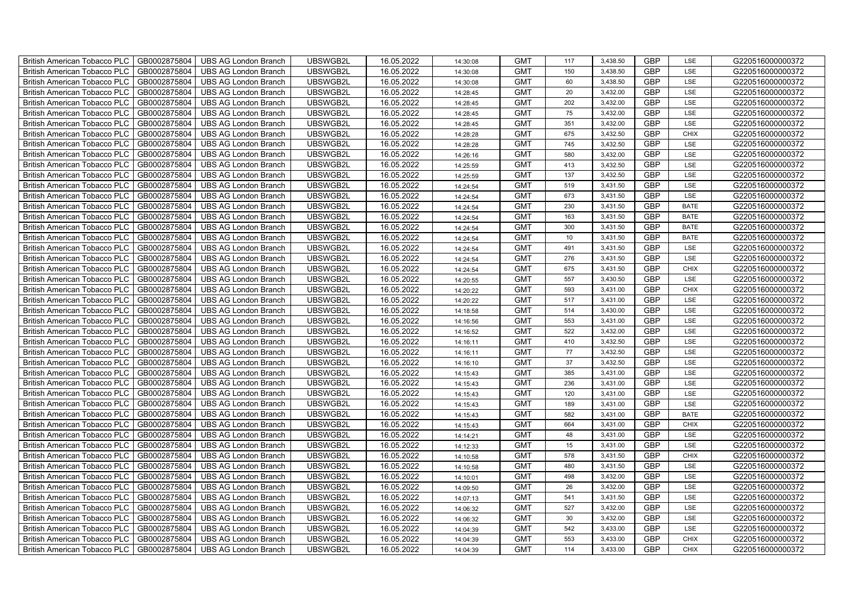| British American Tobacco PLC        | GB0002875804 | <b>UBS AG London Branch</b> | UBSWGB2L | 16.05.2022 | 14:30:08 | <b>GMT</b> | 117    | 3,438.50 | <b>GBP</b> | LSE         | G220516000000372 |
|-------------------------------------|--------------|-----------------------------|----------|------------|----------|------------|--------|----------|------------|-------------|------------------|
| <b>British American Tobacco PLC</b> | GB0002875804 | <b>UBS AG London Branch</b> | UBSWGB2L | 16.05.2022 | 14:30:08 | <b>GMT</b> | 150    | 3,438.50 | <b>GBP</b> | <b>LSE</b>  | G220516000000372 |
| <b>British American Tobacco PLC</b> | GB0002875804 | <b>UBS AG London Branch</b> | UBSWGB2L | 16.05.2022 | 14:30:08 | <b>GMT</b> | 60     | 3,438.50 | <b>GBP</b> | LSE         | G220516000000372 |
| British American Tobacco PLC        | GB0002875804 | <b>UBS AG London Branch</b> | UBSWGB2L | 16.05.2022 | 14:28:45 | <b>GMT</b> | 20     | 3,432.00 | <b>GBP</b> | LSE         | G220516000000372 |
| <b>British American Tobacco PLC</b> | GB0002875804 | <b>UBS AG London Branch</b> | UBSWGB2L | 16.05.2022 | 14:28:45 | <b>GMT</b> | 202    | 3,432.00 | <b>GBP</b> | LSE         | G220516000000372 |
| British American Tobacco PLC        | GB0002875804 | <b>UBS AG London Branch</b> | UBSWGB2L | 16.05.2022 | 14:28:45 | <b>GMT</b> | 75     | 3,432.00 | <b>GBP</b> | LSE         | G220516000000372 |
| <b>British American Tobacco PLC</b> | GB0002875804 | <b>UBS AG London Branch</b> | UBSWGB2L | 16.05.2022 | 14:28:45 | <b>GMT</b> | 351    | 3,432.00 | <b>GBP</b> | LSE         | G220516000000372 |
| British American Tobacco PLC        | GB0002875804 | <b>UBS AG London Branch</b> | UBSWGB2L | 16.05.2022 | 14:28:28 | <b>GMT</b> | 675    | 3,432.50 | <b>GBP</b> | <b>CHIX</b> | G220516000000372 |
| <b>British American Tobacco PLC</b> | GB0002875804 | <b>UBS AG London Branch</b> | UBSWGB2L | 16.05.2022 | 14:28:28 | <b>GMT</b> | 745    | 3,432.50 | <b>GBP</b> | LSE         | G220516000000372 |
| British American Tobacco PLC        | GB0002875804 | <b>UBS AG London Branch</b> | UBSWGB2L | 16.05.2022 | 14:26:16 | <b>GMT</b> | 580    | 3,432.00 | <b>GBP</b> | LSE         | G220516000000372 |
| <b>British American Tobacco PLC</b> | GB0002875804 | <b>UBS AG London Branch</b> | UBSWGB2L | 16.05.2022 | 14:25:59 | <b>GMT</b> | 413    | 3,432.50 | <b>GBP</b> | LSE         | G220516000000372 |
| <b>British American Tobacco PLC</b> | GB0002875804 | <b>UBS AG London Branch</b> | UBSWGB2L | 16.05.2022 | 14:25:59 | <b>GMT</b> | 137    | 3,432.50 | <b>GBP</b> | LSE         | G220516000000372 |
| British American Tobacco PLC        | GB0002875804 | <b>UBS AG London Branch</b> | UBSWGB2L | 16.05.2022 | 14:24:54 | <b>GMT</b> | 519    | 3,431.50 | <b>GBP</b> | LSE         | G220516000000372 |
| British American Tobacco PLC        | GB0002875804 | <b>UBS AG London Branch</b> | UBSWGB2L | 16.05.2022 | 14:24:54 | <b>GMT</b> | 673    | 3,431.50 | <b>GBP</b> | LSE         | G220516000000372 |
| British American Tobacco PLC        | GB0002875804 | <b>UBS AG London Branch</b> | UBSWGB2L | 16.05.2022 | 14:24:54 | <b>GMT</b> | 230    | 3,431.50 | <b>GBP</b> | <b>BATE</b> | G220516000000372 |
| British American Tobacco PLC        | GB0002875804 | <b>UBS AG London Branch</b> | UBSWGB2L | 16.05.2022 | 14:24:54 | <b>GMT</b> | 163    | 3,431.50 | <b>GBP</b> | <b>BATE</b> | G220516000000372 |
| British American Tobacco PLC        | GB0002875804 | <b>UBS AG London Branch</b> | UBSWGB2L | 16.05.2022 | 14:24:54 | <b>GMT</b> | 300    | 3,431.50 | <b>GBP</b> | <b>BATE</b> | G220516000000372 |
| British American Tobacco PLC        | GB0002875804 | <b>UBS AG London Branch</b> | UBSWGB2L | 16.05.2022 | 14:24:54 | <b>GMT</b> | 10     | 3,431.50 | <b>GBP</b> | <b>BATE</b> | G220516000000372 |
| British American Tobacco PLC        | GB0002875804 | <b>UBS AG London Branch</b> | UBSWGB2L | 16.05.2022 | 14:24:54 | <b>GMT</b> | 491    | 3,431.50 | <b>GBP</b> | LSE         | G220516000000372 |
| British American Tobacco PLC        | GB0002875804 | <b>UBS AG London Branch</b> | UBSWGB2L | 16.05.2022 | 14:24:54 | <b>GMT</b> | 276    | 3,431.50 | <b>GBP</b> | LSE         | G220516000000372 |
| <b>British American Tobacco PLC</b> | GB0002875804 | <b>UBS AG London Branch</b> | UBSWGB2L | 16.05.2022 | 14:24:54 | <b>GMT</b> | 675    | 3,431.50 | <b>GBP</b> | <b>CHIX</b> | G220516000000372 |
| British American Tobacco PLC        | GB0002875804 | <b>UBS AG London Branch</b> | UBSWGB2L | 16.05.2022 | 14:20:55 | <b>GMT</b> | 557    | 3,430.50 | GBP        | LSE         | G220516000000372 |
| British American Tobacco PLC        | GB0002875804 | UBS AG London Branch        | UBSWGB2L | 16.05.2022 | 14:20:22 | <b>GMT</b> | 593    | 3,431.00 | GBP        | CHIX        | G220516000000372 |
| British American Tobacco PLC        | GB0002875804 | <b>UBS AG London Branch</b> | UBSWGB2L | 16.05.2022 | 14:20:22 | <b>GMT</b> | 517    | 3,431.00 | <b>GBP</b> | LSE         | G220516000000372 |
| <b>British American Tobacco PLC</b> | GB0002875804 | <b>UBS AG London Branch</b> | UBSWGB2L | 16.05.2022 | 14:18:58 | <b>GMT</b> | 514    | 3,430.00 | <b>GBP</b> | LSE         | G220516000000372 |
| British American Tobacco PLC        | GB0002875804 | <b>UBS AG London Branch</b> | UBSWGB2L | 16.05.2022 | 14:16:56 | <b>GMT</b> | 553    | 3,431.00 | <b>GBP</b> | LSE         | G220516000000372 |
| British American Tobacco PLC        | GB0002875804 | <b>UBS AG London Branch</b> | UBSWGB2L | 16.05.2022 | 14:16:52 | <b>GMT</b> | 522    | 3,432.00 | <b>GBP</b> | LSE         | G220516000000372 |
| British American Tobacco PLC        | GB0002875804 | <b>UBS AG London Branch</b> | UBSWGB2L | 16.05.2022 | 14:16:11 | <b>GMT</b> | 410    | 3,432.50 | <b>GBP</b> | LSE         | G220516000000372 |
| <b>British American Tobacco PLC</b> | GB0002875804 | <b>UBS AG London Branch</b> | UBSWGB2L | 16.05.2022 | 14:16:11 | <b>GMT</b> | $77\,$ | 3,432.50 | <b>GBP</b> | LSE         | G220516000000372 |
| <b>British American Tobacco PLC</b> | GB0002875804 | <b>UBS AG London Branch</b> | UBSWGB2L | 16.05.2022 | 14:16:10 | <b>GMT</b> | 37     | 3,432.50 | <b>GBP</b> | LSE         | G220516000000372 |
| British American Tobacco PLC        | GB0002875804 | <b>UBS AG London Branch</b> | UBSWGB2L | 16.05.2022 | 14:15:43 | <b>GMT</b> | 385    | 3,431.00 | <b>GBP</b> | LSE         | G220516000000372 |
| British American Tobacco PLC        | GB0002875804 | UBS AG London Branch        | UBSWGB2L | 16.05.2022 | 14:15:43 | <b>GMT</b> | 236    | 3,431.00 | GBP        | LSE         | G220516000000372 |
| British American Tobacco PLC        | GB0002875804 | <b>UBS AG London Branch</b> | UBSWGB2L | 16.05.2022 | 14:15:43 | <b>GMT</b> | 120    | 3,431.00 | <b>GBP</b> | LSE         | G220516000000372 |
| British American Tobacco PLC        | GB0002875804 | <b>UBS AG London Branch</b> | UBSWGB2L | 16.05.2022 | 14:15:43 | <b>GMT</b> | 189    | 3,431.00 | <b>GBP</b> | LSE         | G220516000000372 |
| British American Tobacco PLC        | GB0002875804 | <b>UBS AG London Branch</b> | UBSWGB2L | 16.05.2022 | 14:15:43 | <b>GMT</b> | 582    | 3,431.00 | <b>GBP</b> | <b>BATE</b> | G220516000000372 |
| British American Tobacco PLC        | GB0002875804 | <b>UBS AG London Branch</b> | UBSWGB2L | 16.05.2022 | 14:15:43 | <b>GMT</b> | 664    | 3,431.00 | <b>GBP</b> | CHIX        | G220516000000372 |
| British American Tobacco PLC        | GB0002875804 | <b>UBS AG London Branch</b> | UBSWGB2L | 16.05.2022 | 14:14:21 | <b>GMT</b> | 48     | 3,431.00 | <b>GBP</b> | LSE         | G220516000000372 |
| <b>British American Tobacco PLC</b> | GB0002875804 | <b>UBS AG London Branch</b> | UBSWGB2L | 16.05.2022 | 14:12:33 | <b>GMT</b> | 15     | 3,431.00 | <b>GBP</b> | LSE         | G220516000000372 |
| British American Tobacco PLC        | GB0002875804 | <b>UBS AG London Branch</b> | UBSWGB2L | 16.05.2022 | 14:10:58 | <b>GMT</b> | 578    | 3,431.50 | <b>GBP</b> | <b>CHIX</b> | G220516000000372 |
| <b>British American Tobacco PLC</b> | GB0002875804 | <b>UBS AG London Branch</b> | UBSWGB2L | 16.05.2022 | 14:10:58 | <b>GMT</b> | 480    | 3,431.50 | <b>GBP</b> | LSE         | G220516000000372 |
| British American Tobacco PLC        | GB0002875804 | UBS AG London Branch        | UBSWGB2L | 16.05.2022 | 14:10:01 | <b>GMT</b> | 498    | 3,432.00 | GBP        | LSE         | G220516000000372 |
| British American Tobacco PLC        | GB0002875804 | <b>UBS AG London Branch</b> | UBSWGB2L | 16.05.2022 | 14:09:50 | <b>GMT</b> | 26     | 3,432.00 | <b>GBP</b> | LSE         | G220516000000372 |
| British American Tobacco PLC        | GB0002875804 | <b>UBS AG London Branch</b> | UBSWGB2L | 16.05.2022 | 14:07:13 | <b>GMT</b> | 541    | 3,431.50 | <b>GBP</b> | LSE         | G220516000000372 |
| <b>British American Tobacco PLC</b> | GB0002875804 | <b>UBS AG London Branch</b> | UBSWGB2L | 16.05.2022 | 14:06:32 | <b>GMT</b> | 527    | 3,432.00 | <b>GBP</b> | LSE         | G220516000000372 |
| <b>British American Tobacco PLC</b> | GB0002875804 | <b>UBS AG London Branch</b> | UBSWGB2L | 16.05.2022 | 14:06:32 | <b>GMT</b> | 30     | 3,432.00 | <b>GBP</b> | LSE         | G220516000000372 |
| <b>British American Tobacco PLC</b> | GB0002875804 | <b>UBS AG London Branch</b> | UBSWGB2L | 16.05.2022 | 14:04:39 | <b>GMT</b> | 542    | 3,433.00 | <b>GBP</b> | LSE         | G220516000000372 |
| British American Tobacco PLC        | GB0002875804 | <b>UBS AG London Branch</b> | UBSWGB2L | 16.05.2022 | 14:04:39 | <b>GMT</b> | 553    | 3,433.00 | <b>GBP</b> | <b>CHIX</b> | G220516000000372 |
| British American Tobacco PLC        | GB0002875804 | UBS AG London Branch        | UBSWGB2L | 16.05.2022 | 14:04:39 | <b>GMT</b> | 114    | 3,433.00 | <b>GBP</b> | <b>CHIX</b> | G220516000000372 |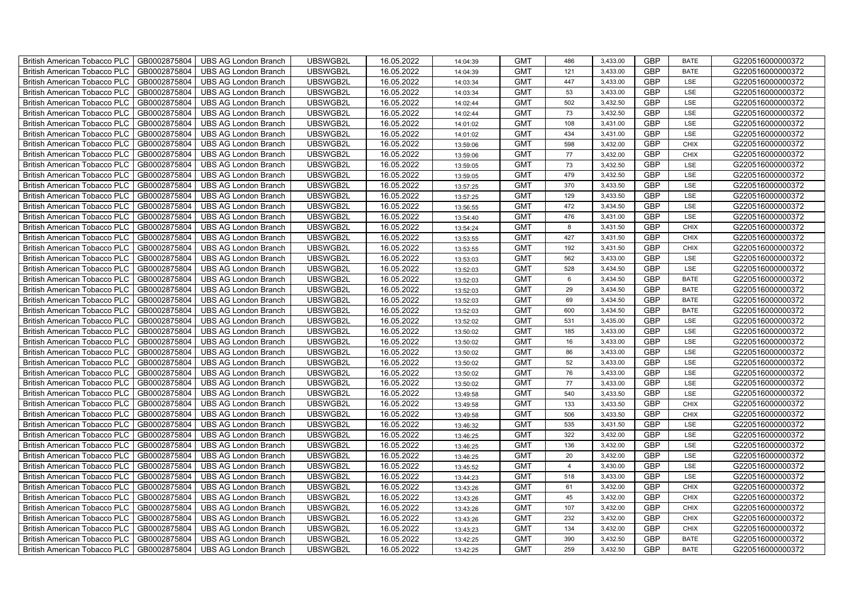| British American Tobacco PLC        | GB0002875804 | <b>UBS AG London Branch</b> | UBSWGB2L | 16.05.2022 | 14:04:39 | <b>GMT</b> | 486             | 3,433.00 | <b>GBP</b> | <b>BATE</b> | G220516000000372 |
|-------------------------------------|--------------|-----------------------------|----------|------------|----------|------------|-----------------|----------|------------|-------------|------------------|
| <b>British American Tobacco PLC</b> | GB0002875804 | <b>UBS AG London Branch</b> | UBSWGB2L | 16.05.2022 | 14:04:39 | <b>GMT</b> | 121             | 3,433.00 | <b>GBP</b> | <b>BATE</b> | G220516000000372 |
| <b>British American Tobacco PLC</b> | GB0002875804 | <b>UBS AG London Branch</b> | UBSWGB2L | 16.05.2022 | 14:03:34 | <b>GMT</b> | 447             | 3,433.00 | <b>GBP</b> | LSE         | G220516000000372 |
| British American Tobacco PLC        | GB0002875804 | <b>UBS AG London Branch</b> | UBSWGB2L | 16.05.2022 | 14:03:34 | <b>GMT</b> | 53              | 3,433.00 | <b>GBP</b> | LSE         | G220516000000372 |
| <b>British American Tobacco PLC</b> | GB0002875804 | <b>UBS AG London Branch</b> | UBSWGB2L | 16.05.2022 | 14:02:44 | <b>GMT</b> | 502             | 3,432.50 | <b>GBP</b> | LSE         | G220516000000372 |
| British American Tobacco PLC        | GB0002875804 | <b>UBS AG London Branch</b> | UBSWGB2L | 16.05.2022 | 14:02:44 | <b>GMT</b> | 73              | 3,432.50 | <b>GBP</b> | LSE         | G220516000000372 |
| <b>British American Tobacco PLC</b> | GB0002875804 | <b>UBS AG London Branch</b> | UBSWGB2L | 16.05.2022 | 14:01:02 | <b>GMT</b> | 108             | 3,431.00 | <b>GBP</b> | LSE         | G220516000000372 |
| British American Tobacco PLC        | GB0002875804 | <b>UBS AG London Branch</b> | UBSWGB2L | 16.05.2022 | 14:01:02 | <b>GMT</b> | 434             | 3,431.00 | <b>GBP</b> | LSE         | G220516000000372 |
| <b>British American Tobacco PLC</b> | GB0002875804 | <b>UBS AG London Branch</b> | UBSWGB2L | 16.05.2022 | 13:59:06 | <b>GMT</b> | 598             | 3,432.00 | <b>GBP</b> | <b>CHIX</b> | G220516000000372 |
| British American Tobacco PLC        | GB0002875804 | <b>UBS AG London Branch</b> | UBSWGB2L | 16.05.2022 | 13:59:06 | <b>GMT</b> | 77              | 3,432.00 | <b>GBP</b> | <b>CHIX</b> | G220516000000372 |
| <b>British American Tobacco PLC</b> | GB0002875804 | <b>UBS AG London Branch</b> | UBSWGB2L | 16.05.2022 | 13:59:05 | <b>GMT</b> | 73              | 3,432.50 | <b>GBP</b> | LSE         | G220516000000372 |
| <b>British American Tobacco PLC</b> | GB0002875804 | <b>UBS AG London Branch</b> | UBSWGB2L | 16.05.2022 | 13:59:05 | <b>GMT</b> | 479             | 3,432.50 | <b>GBP</b> | LSE         | G220516000000372 |
| British American Tobacco PLC        | GB0002875804 | <b>UBS AG London Branch</b> | UBSWGB2L | 16.05.2022 | 13:57:25 | <b>GMT</b> | 370             | 3,433.50 | <b>GBP</b> | LSE         | G220516000000372 |
| British American Tobacco PLC        | GB0002875804 | <b>UBS AG London Branch</b> | UBSWGB2L | 16.05.2022 | 13:57:25 | <b>GMT</b> | 129             | 3,433.50 | <b>GBP</b> | LSE         | G220516000000372 |
| British American Tobacco PLC        | GB0002875804 | <b>UBS AG London Branch</b> | UBSWGB2L | 16.05.2022 | 13:56:55 | <b>GMT</b> | 472             | 3,434.50 | <b>GBP</b> | LSE         | G220516000000372 |
| British American Tobacco PLC        | GB0002875804 | <b>UBS AG London Branch</b> | UBSWGB2L | 16.05.2022 | 13:54:40 | <b>GMT</b> | 476             | 3,431.00 | <b>GBP</b> | LSE         | G220516000000372 |
| British American Tobacco PLC        | GB0002875804 | <b>UBS AG London Branch</b> | UBSWGB2L | 16.05.2022 | 13:54:24 | <b>GMT</b> | 8               | 3,431.50 | <b>GBP</b> | <b>CHIX</b> | G220516000000372 |
| British American Tobacco PLC        | GB0002875804 | <b>UBS AG London Branch</b> | UBSWGB2L | 16.05.2022 | 13:53:55 | <b>GMT</b> | 427             | 3,431.50 | <b>GBP</b> | <b>CHIX</b> | G220516000000372 |
| British American Tobacco PLC        | GB0002875804 | <b>UBS AG London Branch</b> | UBSWGB2L | 16.05.2022 | 13:53:55 | <b>GMT</b> | 192             | 3,431.50 | <b>GBP</b> | <b>CHIX</b> | G220516000000372 |
| British American Tobacco PLC        | GB0002875804 | <b>UBS AG London Branch</b> | UBSWGB2L | 16.05.2022 | 13:53:03 | <b>GMT</b> | 562             | 3,433.00 | <b>GBP</b> | LSE         | G220516000000372 |
| <b>British American Tobacco PLC</b> | GB0002875804 | <b>UBS AG London Branch</b> | UBSWGB2L | 16.05.2022 | 13:52:03 | <b>GMT</b> | 528             | 3,434.50 | <b>GBP</b> | <b>LSE</b>  | G220516000000372 |
| British American Tobacco PLC        | GB0002875804 | <b>UBS AG London Branch</b> | UBSWGB2L | 16.05.2022 | 13:52:03 | <b>GMT</b> | $6\phantom{.}6$ | 3,434.50 | GBP        | <b>BATE</b> | G220516000000372 |
| British American Tobacco PLC        | GB0002875804 | <b>UBS AG London Branch</b> | UBSWGB2L | 16.05.2022 | 13:52:03 | <b>GMT</b> | 29              | 3,434.50 | GBP        | <b>BATE</b> | G220516000000372 |
| British American Tobacco PLC        | GB0002875804 | <b>UBS AG London Branch</b> | UBSWGB2L | 16.05.2022 | 13:52:03 | <b>GMT</b> | 69              | 3,434.50 | <b>GBP</b> | <b>BATE</b> | G220516000000372 |
| <b>British American Tobacco PLC</b> | GB0002875804 | <b>UBS AG London Branch</b> | UBSWGB2L | 16.05.2022 | 13:52:03 | <b>GMT</b> | 600             | 3,434.50 | <b>GBP</b> | <b>BATE</b> | G220516000000372 |
| British American Tobacco PLC        | GB0002875804 | <b>UBS AG London Branch</b> | UBSWGB2L | 16.05.2022 | 13:52:02 | <b>GMT</b> | 531             | 3,435.00 | <b>GBP</b> | LSE         | G220516000000372 |
| British American Tobacco PLC        | GB0002875804 | <b>UBS AG London Branch</b> | UBSWGB2L | 16.05.2022 | 13:50:02 | <b>GMT</b> | 185             | 3,433.00 | <b>GBP</b> | LSE         | G220516000000372 |
| British American Tobacco PLC        | GB0002875804 | <b>UBS AG London Branch</b> | UBSWGB2L | 16.05.2022 | 13:50:02 | <b>GMT</b> | 16              | 3,433.00 | <b>GBP</b> | LSE         | G220516000000372 |
| <b>British American Tobacco PLC</b> | GB0002875804 | <b>UBS AG London Branch</b> | UBSWGB2L | 16.05.2022 | 13:50:02 | <b>GMT</b> | 86              | 3,433.00 | <b>GBP</b> | LSE         | G220516000000372 |
| <b>British American Tobacco PLC</b> | GB0002875804 | <b>UBS AG London Branch</b> | UBSWGB2L | 16.05.2022 | 13:50:02 | <b>GMT</b> | 52              | 3,433.00 | <b>GBP</b> | LSE         | G220516000000372 |
| British American Tobacco PLC        | GB0002875804 | <b>UBS AG London Branch</b> | UBSWGB2L | 16.05.2022 | 13:50:02 | <b>GMT</b> | 76              | 3,433.00 | <b>GBP</b> | LSE         | G220516000000372 |
| British American Tobacco PLC        | GB0002875804 | <b>UBS AG London Branch</b> | UBSWGB2L | 16.05.2022 | 13:50:02 | <b>GMT</b> | 77              | 3,433.00 | <b>GBP</b> | LSE         | G220516000000372 |
| British American Tobacco PLC        | GB0002875804 | <b>UBS AG London Branch</b> | UBSWGB2L | 16.05.2022 | 13:49:58 | <b>GMT</b> | 540             | 3,433.50 | <b>GBP</b> | LSE         | G220516000000372 |
| British American Tobacco PLC        | GB0002875804 | <b>UBS AG London Branch</b> | UBSWGB2L | 16.05.2022 | 13:49:58 | <b>GMT</b> | 133             | 3,433.50 | <b>GBP</b> | CHIX        | G220516000000372 |
| British American Tobacco PLC        | GB0002875804 | <b>UBS AG London Branch</b> | UBSWGB2L | 16.05.2022 | 13:49:58 | <b>GMT</b> | 506             | 3,433.50 | <b>GBP</b> | CHIX        | G220516000000372 |
| British American Tobacco PLC        | GB0002875804 | <b>UBS AG London Branch</b> | UBSWGB2L | 16.05.2022 | 13:46:32 | <b>GMT</b> | 535             | 3,431.50 | <b>GBP</b> | LSE         | G220516000000372 |
| British American Tobacco PLC        | GB0002875804 | <b>UBS AG London Branch</b> | UBSWGB2L | 16.05.2022 | 13:46:25 | <b>GMT</b> | 322             | 3,432.00 | <b>GBP</b> | LSE         | G220516000000372 |
| <b>British American Tobacco PLC</b> | GB0002875804 | <b>UBS AG London Branch</b> | UBSWGB2L | 16.05.2022 | 13:46:25 | <b>GMT</b> | 136             | 3,432.00 | <b>GBP</b> | LSE         | G220516000000372 |
| British American Tobacco PLC        | GB0002875804 | <b>UBS AG London Branch</b> | UBSWGB2L | 16.05.2022 | 13:46:25 | <b>GMT</b> | 20              | 3,432.00 | <b>GBP</b> | LSE         | G220516000000372 |
| British American Tobacco PLC        | GB0002875804 | <b>UBS AG London Branch</b> | UBSWGB2L | 16.05.2022 | 13:45:52 | <b>GMT</b> | $\overline{4}$  | 3,430.00 | <b>GBP</b> | LSE         | G220516000000372 |
| British American Tobacco PLC        | GB0002875804 | UBS AG London Branch        | UBSWGB2L | 16.05.2022 | 13:44:23 | <b>GMT</b> | 518             | 3,433.00 | GBP        | LSE         | G220516000000372 |
| British American Tobacco PLC        | GB0002875804 | <b>UBS AG London Branch</b> | UBSWGB2L | 16.05.2022 | 13:43:26 | <b>GMT</b> | 61              | 3,432.00 | <b>GBP</b> | <b>CHIX</b> | G220516000000372 |
| British American Tobacco PLC        | GB0002875804 | <b>UBS AG London Branch</b> | UBSWGB2L | 16.05.2022 | 13:43:26 | <b>GMT</b> | 45              | 3,432.00 | <b>GBP</b> | <b>CHIX</b> | G220516000000372 |
| British American Tobacco PLC        | GB0002875804 | <b>UBS AG London Branch</b> | UBSWGB2L | 16.05.2022 | 13:43:26 | <b>GMT</b> | 107             | 3,432.00 | <b>GBP</b> | <b>CHIX</b> | G220516000000372 |
| <b>British American Tobacco PLC</b> | GB0002875804 | <b>UBS AG London Branch</b> | UBSWGB2L | 16.05.2022 | 13:43:26 | <b>GMT</b> | 232             | 3,432.00 | <b>GBP</b> | <b>CHIX</b> | G220516000000372 |
| <b>British American Tobacco PLC</b> | GB0002875804 | <b>UBS AG London Branch</b> | UBSWGB2L | 16.05.2022 | 13:43:23 | <b>GMT</b> | 134             | 3,432.00 | <b>GBP</b> | <b>CHIX</b> | G220516000000372 |
| British American Tobacco PLC        | GB0002875804 | <b>UBS AG London Branch</b> | UBSWGB2L | 16.05.2022 | 13:42:25 | <b>GMT</b> | 390             | 3,432.50 | <b>GBP</b> | <b>BATE</b> | G220516000000372 |
| British American Tobacco PLC        | GB0002875804 | UBS AG London Branch        | UBSWGB2L | 16.05.2022 | 13:42:25 | <b>GMT</b> | 259             | 3,432.50 | <b>GBP</b> | <b>BATE</b> | G220516000000372 |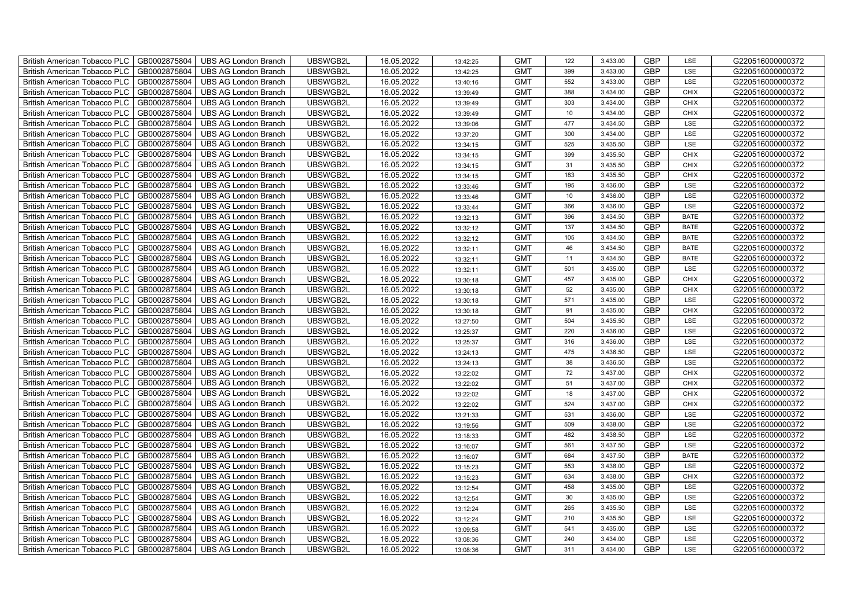| British American Tobacco PLC        | GB0002875804 | <b>UBS AG London Branch</b> | UBSWGB2L | 16.05.2022 | 13:42:25 | <b>GMT</b> | 122             | 3,433.00 | <b>GBP</b> | LSE         | G220516000000372 |
|-------------------------------------|--------------|-----------------------------|----------|------------|----------|------------|-----------------|----------|------------|-------------|------------------|
| <b>British American Tobacco PLC</b> | GB0002875804 | <b>UBS AG London Branch</b> | UBSWGB2L | 16.05.2022 | 13:42:25 | <b>GMT</b> | 399             | 3,433.00 | <b>GBP</b> | <b>LSE</b>  | G220516000000372 |
| <b>British American Tobacco PLC</b> | GB0002875804 | <b>UBS AG London Branch</b> | UBSWGB2L | 16.05.2022 | 13:40:16 | <b>GMT</b> | 552             | 3,433.00 | <b>GBP</b> | LSE         | G220516000000372 |
| British American Tobacco PLC        | GB0002875804 | <b>UBS AG London Branch</b> | UBSWGB2L | 16.05.2022 | 13:39:49 | <b>GMT</b> | 388             | 3,434.00 | <b>GBP</b> | <b>CHIX</b> | G220516000000372 |
| <b>British American Tobacco PLC</b> | GB0002875804 | <b>UBS AG London Branch</b> | UBSWGB2L | 16.05.2022 | 13:39:49 | <b>GMT</b> | 303             | 3,434.00 | <b>GBP</b> | <b>CHIX</b> | G220516000000372 |
| British American Tobacco PLC        | GB0002875804 | <b>UBS AG London Branch</b> | UBSWGB2L | 16.05.2022 | 13:39:49 | <b>GMT</b> | 10              | 3,434.00 | <b>GBP</b> | <b>CHIX</b> | G220516000000372 |
| <b>British American Tobacco PLC</b> | GB0002875804 | <b>UBS AG London Branch</b> | UBSWGB2L | 16.05.2022 | 13:39:06 | <b>GMT</b> | 477             | 3,434.50 | <b>GBP</b> | LSE         | G220516000000372 |
| British American Tobacco PLC        | GB0002875804 | <b>UBS AG London Branch</b> | UBSWGB2L | 16.05.2022 | 13:37:20 | <b>GMT</b> | 300             | 3,434.00 | <b>GBP</b> | LSE         | G220516000000372 |
| <b>British American Tobacco PLC</b> | GB0002875804 | <b>UBS AG London Branch</b> | UBSWGB2L | 16.05.2022 | 13:34:15 | <b>GMT</b> | 525             | 3,435.50 | <b>GBP</b> | LSE         | G220516000000372 |
| British American Tobacco PLC        | GB0002875804 | <b>UBS AG London Branch</b> | UBSWGB2L | 16.05.2022 | 13:34:15 | <b>GMT</b> | 399             | 3,435.50 | <b>GBP</b> | <b>CHIX</b> | G220516000000372 |
| <b>British American Tobacco PLC</b> | GB0002875804 | <b>UBS AG London Branch</b> | UBSWGB2L | 16.05.2022 | 13:34:15 | <b>GMT</b> | 31              | 3,435.50 | <b>GBP</b> | <b>CHIX</b> | G220516000000372 |
| <b>British American Tobacco PLC</b> | GB0002875804 | <b>UBS AG London Branch</b> | UBSWGB2L | 16.05.2022 | 13:34:15 | <b>GMT</b> | 183             | 3,435.50 | <b>GBP</b> | <b>CHIX</b> | G220516000000372 |
| British American Tobacco PLC        | GB0002875804 | <b>UBS AG London Branch</b> | UBSWGB2L | 16.05.2022 | 13:33:46 | <b>GMT</b> | 195             | 3,436.00 | <b>GBP</b> | LSE         | G220516000000372 |
| British American Tobacco PLC        | GB0002875804 | <b>UBS AG London Branch</b> | UBSWGB2L | 16.05.2022 | 13:33:46 | <b>GMT</b> | 10 <sup>1</sup> | 3,436.00 | <b>GBP</b> | LSE         | G220516000000372 |
| British American Tobacco PLC        | GB0002875804 | <b>UBS AG London Branch</b> | UBSWGB2L | 16.05.2022 | 13:33:44 | <b>GMT</b> | 366             | 3,436.00 | <b>GBP</b> | LSE         | G220516000000372 |
| British American Tobacco PLC        | GB0002875804 | <b>UBS AG London Branch</b> | UBSWGB2L | 16.05.2022 | 13:32:13 | <b>GMT</b> | 396             | 3,434.50 | <b>GBP</b> | <b>BATE</b> | G220516000000372 |
| British American Tobacco PLC        | GB0002875804 | <b>UBS AG London Branch</b> | UBSWGB2L | 16.05.2022 | 13:32:12 | <b>GMT</b> | 137             | 3,434.50 | <b>GBP</b> | <b>BATE</b> | G220516000000372 |
| British American Tobacco PLC        | GB0002875804 | <b>UBS AG London Branch</b> | UBSWGB2L | 16.05.2022 | 13:32:12 | <b>GMT</b> | 105             | 3,434.50 | <b>GBP</b> | <b>BATE</b> | G220516000000372 |
| British American Tobacco PLC        | GB0002875804 | <b>UBS AG London Branch</b> | UBSWGB2L | 16.05.2022 | 13:32:11 | <b>GMT</b> | 46              | 3,434.50 | <b>GBP</b> | <b>BATE</b> | G220516000000372 |
| British American Tobacco PLC        | GB0002875804 | <b>UBS AG London Branch</b> | UBSWGB2L | 16.05.2022 | 13:32:11 | <b>GMT</b> | 11              | 3,434.50 | <b>GBP</b> | <b>BATE</b> | G220516000000372 |
| <b>British American Tobacco PLC</b> | GB0002875804 | <b>UBS AG London Branch</b> | UBSWGB2L | 16.05.2022 | 13:32:11 | <b>GMT</b> | 501             | 3,435.00 | <b>GBP</b> | <b>LSE</b>  | G220516000000372 |
| British American Tobacco PLC        | GB0002875804 | <b>UBS AG London Branch</b> | UBSWGB2L | 16.05.2022 | 13:30:18 | <b>GMT</b> | 457             | 3,435.00 | GBP        | CHIX        | G220516000000372 |
| British American Tobacco PLC        | GB0002875804 | UBS AG London Branch        | UBSWGB2L | 16.05.2022 | 13:30:18 | <b>GMT</b> | 52              | 3,435.00 | GBP        | CHIX        | G220516000000372 |
| British American Tobacco PLC        | GB0002875804 | <b>UBS AG London Branch</b> | UBSWGB2L | 16.05.2022 | 13:30:18 | <b>GMT</b> | 571             | 3,435.00 | <b>GBP</b> | LSE         | G220516000000372 |
| <b>British American Tobacco PLC</b> | GB0002875804 | <b>UBS AG London Branch</b> | UBSWGB2L | 16.05.2022 | 13:30:18 | <b>GMT</b> | 91              | 3,435.00 | <b>GBP</b> | <b>CHIX</b> | G220516000000372 |
| British American Tobacco PLC        | GB0002875804 | <b>UBS AG London Branch</b> | UBSWGB2L | 16.05.2022 | 13:27:50 | <b>GMT</b> | 504             | 3,435.50 | <b>GBP</b> | LSE         | G220516000000372 |
| British American Tobacco PLC        | GB0002875804 | <b>UBS AG London Branch</b> | UBSWGB2L | 16.05.2022 | 13:25:37 | <b>GMT</b> | 220             | 3,436.00 | <b>GBP</b> | LSE         | G220516000000372 |
| British American Tobacco PLC        | GB0002875804 | <b>UBS AG London Branch</b> | UBSWGB2L | 16.05.2022 | 13:25:37 | <b>GMT</b> | 316             | 3,436.00 | <b>GBP</b> | LSE         | G220516000000372 |
| <b>British American Tobacco PLC</b> | GB0002875804 | <b>UBS AG London Branch</b> | UBSWGB2L | 16.05.2022 | 13:24:13 | <b>GMT</b> | 475             | 3,436.50 | <b>GBP</b> | LSE         | G220516000000372 |
| <b>British American Tobacco PLC</b> | GB0002875804 | <b>UBS AG London Branch</b> | UBSWGB2L | 16.05.2022 | 13:24:13 | <b>GMT</b> | 38              | 3,436.50 | <b>GBP</b> | LSE         | G220516000000372 |
| British American Tobacco PLC        | GB0002875804 | <b>UBS AG London Branch</b> | UBSWGB2L | 16.05.2022 | 13:22:02 | <b>GMT</b> | 72              | 3,437.00 | <b>GBP</b> | CHIX        | G220516000000372 |
| British American Tobacco PLC        | GB0002875804 | UBS AG London Branch        | UBSWGB2L | 16.05.2022 | 13:22:02 | <b>GMT</b> | 51              | 3,437.00 | <b>GBP</b> | <b>CHIX</b> | G220516000000372 |
| British American Tobacco PLC        | GB0002875804 | <b>UBS AG London Branch</b> | UBSWGB2L | 16.05.2022 | 13:22:02 | <b>GMT</b> | 18              | 3,437.00 | <b>GBP</b> | CHIX        | G220516000000372 |
| British American Tobacco PLC        | GB0002875804 | <b>UBS AG London Branch</b> | UBSWGB2L | 16.05.2022 | 13:22:02 | <b>GMT</b> | 524             | 3,437.00 | <b>GBP</b> | CHIX        | G220516000000372 |
| British American Tobacco PLC        | GB0002875804 | <b>UBS AG London Branch</b> | UBSWGB2L | 16.05.2022 | 13:21:33 | <b>GMT</b> | 531             | 3,436.00 | <b>GBP</b> | LSE         | G220516000000372 |
| British American Tobacco PLC        | GB0002875804 | <b>UBS AG London Branch</b> | UBSWGB2L | 16.05.2022 | 13:19:56 | <b>GMT</b> | 509             | 3,438.00 | <b>GBP</b> | LSE         | G220516000000372 |
| British American Tobacco PLC        | GB0002875804 | <b>UBS AG London Branch</b> | UBSWGB2L | 16.05.2022 | 13:18:33 | <b>GMT</b> | 482             | 3,438.50 | <b>GBP</b> | LSE         | G220516000000372 |
| <b>British American Tobacco PLC</b> | GB0002875804 | <b>UBS AG London Branch</b> | UBSWGB2L | 16.05.2022 | 13:16:07 | <b>GMT</b> | 561             | 3,437.50 | <b>GBP</b> | LSE         | G220516000000372 |
| British American Tobacco PLC        | GB0002875804 | <b>UBS AG London Branch</b> | UBSWGB2L | 16.05.2022 | 13:16:07 | <b>GMT</b> | 684             | 3,437.50 | <b>GBP</b> | <b>BATE</b> | G220516000000372 |
| British American Tobacco PLC        | GB0002875804 | <b>UBS AG London Branch</b> | UBSWGB2L | 16.05.2022 | 13:15:23 | <b>GMT</b> | 553             | 3,438.00 | <b>GBP</b> | LSE         | G220516000000372 |
| British American Tobacco PLC        | GB0002875804 | UBS AG London Branch        | UBSWGB2L | 16.05.2022 | 13:15:23 | <b>GMT</b> | 634             | 3,438.00 | GBP        | <b>CHIX</b> | G220516000000372 |
| British American Tobacco PLC        | GB0002875804 | <b>UBS AG London Branch</b> | UBSWGB2L | 16.05.2022 | 13:12:54 | <b>GMT</b> | 458             | 3,435.00 | <b>GBP</b> | LSE         | G220516000000372 |
| British American Tobacco PLC        | GB0002875804 | <b>UBS AG London Branch</b> | UBSWGB2L | 16.05.2022 | 13:12:54 | <b>GMT</b> | 30              | 3,435.00 | <b>GBP</b> | LSE         | G220516000000372 |
| British American Tobacco PLC        | GB0002875804 | <b>UBS AG London Branch</b> | UBSWGB2L | 16.05.2022 | 13:12:24 | <b>GMT</b> | 265             | 3,435.50 | <b>GBP</b> | LSE         | G220516000000372 |
| <b>British American Tobacco PLC</b> | GB0002875804 | <b>UBS AG London Branch</b> | UBSWGB2L | 16.05.2022 | 13:12:24 | <b>GMT</b> | 210             | 3,435.50 | <b>GBP</b> | LSE         | G220516000000372 |
| <b>British American Tobacco PLC</b> | GB0002875804 | <b>UBS AG London Branch</b> | UBSWGB2L | 16.05.2022 | 13:09:58 | <b>GMT</b> | 541             | 3,435.00 | <b>GBP</b> | LSE         | G220516000000372 |
| British American Tobacco PLC        | GB0002875804 | <b>UBS AG London Branch</b> | UBSWGB2L | 16.05.2022 | 13:08:36 | <b>GMT</b> | 240             | 3,434.00 | <b>GBP</b> | LSE         | G220516000000372 |
| British American Tobacco PLC        | GB0002875804 | UBS AG London Branch        | UBSWGB2L | 16.05.2022 | 13:08:36 | <b>GMT</b> | 311             | 3,434.00 | <b>GBP</b> | LSE         | G220516000000372 |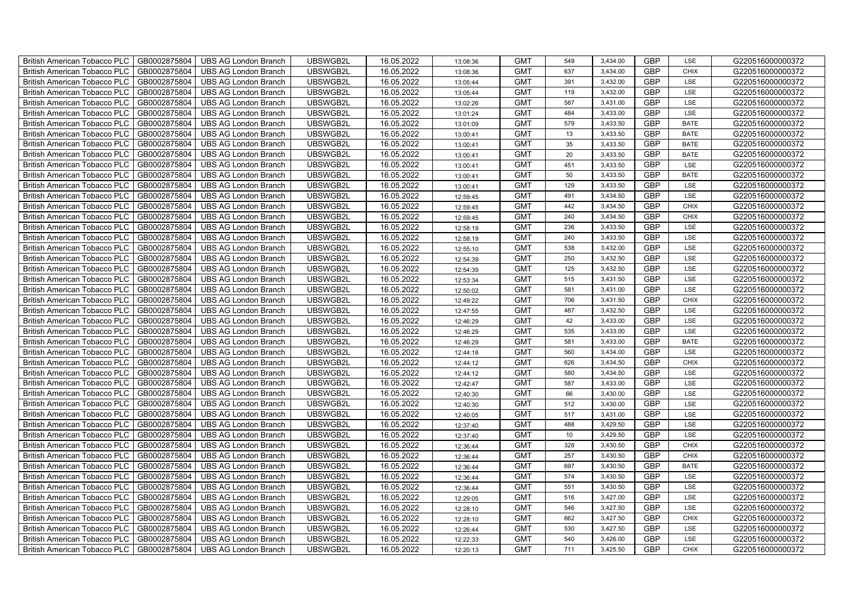| British American Tobacco PLC        | GB0002875804 | <b>UBS AG London Branch</b> | UBSWGB2L | 16.05.2022 | 13:08:36 | <b>GMT</b> | 549 | 3,434.00 | <b>GBP</b> | LSE         | G220516000000372 |
|-------------------------------------|--------------|-----------------------------|----------|------------|----------|------------|-----|----------|------------|-------------|------------------|
| <b>British American Tobacco PLC</b> | GB0002875804 | <b>UBS AG London Branch</b> | UBSWGB2L | 16.05.2022 | 13:08:36 | <b>GMT</b> | 637 | 3,434.00 | <b>GBP</b> | <b>CHIX</b> | G220516000000372 |
| <b>British American Tobacco PLC</b> | GB0002875804 | <b>UBS AG London Branch</b> | UBSWGB2L | 16.05.2022 | 13:05:44 | <b>GMT</b> | 391 | 3,432.00 | <b>GBP</b> | LSE         | G220516000000372 |
| British American Tobacco PLC        | GB0002875804 | <b>UBS AG London Branch</b> | UBSWGB2L | 16.05.2022 | 13:05:44 | <b>GMT</b> | 119 | 3,432.00 | <b>GBP</b> | LSE         | G220516000000372 |
| <b>British American Tobacco PLC</b> | GB0002875804 | <b>UBS AG London Branch</b> | UBSWGB2L | 16.05.2022 | 13:02:26 | <b>GMT</b> | 587 | 3,431.00 | <b>GBP</b> | LSE         | G220516000000372 |
| British American Tobacco PLC        | GB0002875804 | <b>UBS AG London Branch</b> | UBSWGB2L | 16.05.2022 | 13:01:24 | <b>GMT</b> | 484 | 3,433.00 | <b>GBP</b> | LSE         | G220516000000372 |
| <b>British American Tobacco PLC</b> | GB0002875804 | <b>UBS AG London Branch</b> | UBSWGB2L | 16.05.2022 | 13:01:09 | <b>GMT</b> | 579 | 3,433.50 | <b>GBP</b> | <b>BATE</b> | G220516000000372 |
| British American Tobacco PLC        | GB0002875804 | <b>UBS AG London Branch</b> | UBSWGB2L | 16.05.2022 | 13:00:41 | <b>GMT</b> | 13  | 3,433.50 | <b>GBP</b> | <b>BATE</b> | G220516000000372 |
| <b>British American Tobacco PLC</b> | GB0002875804 | <b>UBS AG London Branch</b> | UBSWGB2L | 16.05.2022 | 13:00:41 | <b>GMT</b> | 35  | 3,433.50 | <b>GBP</b> | <b>BATE</b> | G220516000000372 |
| British American Tobacco PLC        | GB0002875804 | <b>UBS AG London Branch</b> | UBSWGB2L | 16.05.2022 | 13:00:41 | <b>GMT</b> | 20  | 3,433.50 | <b>GBP</b> | <b>BATE</b> | G220516000000372 |
| <b>British American Tobacco PLC</b> | GB0002875804 | <b>UBS AG London Branch</b> | UBSWGB2L | 16.05.2022 | 13:00:41 | <b>GMT</b> | 451 | 3,433.50 | <b>GBP</b> | LSE         | G220516000000372 |
| <b>British American Tobacco PLC</b> | GB0002875804 | <b>UBS AG London Branch</b> | UBSWGB2L | 16.05.2022 | 13:00:41 | <b>GMT</b> | 50  | 3,433.50 | <b>GBP</b> | <b>BATE</b> | G220516000000372 |
| British American Tobacco PLC        | GB0002875804 | <b>UBS AG London Branch</b> | UBSWGB2L | 16.05.2022 | 13:00:41 | <b>GMT</b> | 129 | 3,433.50 | <b>GBP</b> | LSE         | G220516000000372 |
| British American Tobacco PLC        | GB0002875804 | <b>UBS AG London Branch</b> | UBSWGB2L | 16.05.2022 | 12:59:45 | <b>GMT</b> | 491 | 3,434.50 | <b>GBP</b> | LSE         | G220516000000372 |
| British American Tobacco PLC        | GB0002875804 | <b>UBS AG London Branch</b> | UBSWGB2L | 16.05.2022 | 12:59:45 | <b>GMT</b> | 442 | 3,434.50 | <b>GBP</b> | <b>CHIX</b> | G220516000000372 |
| British American Tobacco PLC        | GB0002875804 | <b>UBS AG London Branch</b> | UBSWGB2L | 16.05.2022 | 12:59:45 | <b>GMT</b> | 240 | 3,434.50 | <b>GBP</b> | <b>CHIX</b> | G220516000000372 |
| British American Tobacco PLC        | GB0002875804 | <b>UBS AG London Branch</b> | UBSWGB2L | 16.05.2022 | 12:58:19 | <b>GMT</b> | 236 | 3,433.50 | <b>GBP</b> | LSE         | G220516000000372 |
| British American Tobacco PLC        | GB0002875804 | <b>UBS AG London Branch</b> | UBSWGB2L | 16.05.2022 | 12:58:19 | <b>GMT</b> | 240 | 3,433.50 | <b>GBP</b> | LSE         | G220516000000372 |
| British American Tobacco PLC        | GB0002875804 | <b>UBS AG London Branch</b> | UBSWGB2L | 16.05.2022 | 12:55:10 | <b>GMT</b> | 538 | 3,432.00 | <b>GBP</b> | LSE         | G220516000000372 |
| British American Tobacco PLC        | GB0002875804 | <b>UBS AG London Branch</b> | UBSWGB2L | 16.05.2022 | 12:54:39 | <b>GMT</b> | 250 | 3,432.50 | <b>GBP</b> | LSE         | G220516000000372 |
| <b>British American Tobacco PLC</b> | GB0002875804 | <b>UBS AG London Branch</b> | UBSWGB2L | 16.05.2022 | 12:54:39 | <b>GMT</b> | 125 | 3,432.50 | <b>GBP</b> | <b>LSE</b>  | G220516000000372 |
| British American Tobacco PLC        | GB0002875804 | <b>UBS AG London Branch</b> | UBSWGB2L | 16.05.2022 | 12:53:34 | <b>GMT</b> | 515 | 3,431.50 | GBP        | LSE         | G220516000000372 |
| British American Tobacco PLC        | GB0002875804 | UBS AG London Branch        | UBSWGB2L | 16.05.2022 | 12:50:02 | <b>GMT</b> | 581 | 3,431.00 | GBP        | LSE         | G220516000000372 |
| British American Tobacco PLC        | GB0002875804 | <b>UBS AG London Branch</b> | UBSWGB2L | 16.05.2022 | 12:49:22 | <b>GMT</b> | 706 | 3,431.50 | <b>GBP</b> | CHIX        | G220516000000372 |
| <b>British American Tobacco PLC</b> | GB0002875804 | <b>UBS AG London Branch</b> | UBSWGB2L | 16.05.2022 | 12:47:55 | <b>GMT</b> | 487 | 3,432.50 | <b>GBP</b> | LSE         | G220516000000372 |
| British American Tobacco PLC        | GB0002875804 | <b>UBS AG London Branch</b> | UBSWGB2L | 16.05.2022 | 12:46:29 | <b>GMT</b> | 42  | 3,433.00 | <b>GBP</b> | LSE         | G220516000000372 |
| British American Tobacco PLC        | GB0002875804 | <b>UBS AG London Branch</b> | UBSWGB2L | 16.05.2022 | 12:46:29 | <b>GMT</b> | 535 | 3,433.00 | <b>GBP</b> | LSE         | G220516000000372 |
| British American Tobacco PLC        | GB0002875804 | <b>UBS AG London Branch</b> | UBSWGB2L | 16.05.2022 | 12:46:29 | <b>GMT</b> | 581 | 3,433.00 | <b>GBP</b> | <b>BATE</b> | G220516000000372 |
| <b>British American Tobacco PLC</b> | GB0002875804 | <b>UBS AG London Branch</b> | UBSWGB2L | 16.05.2022 | 12:44:18 | <b>GMT</b> | 560 | 3,434.00 | <b>GBP</b> | LSE         | G220516000000372 |
| <b>British American Tobacco PLC</b> | GB0002875804 | <b>UBS AG London Branch</b> | UBSWGB2L | 16.05.2022 | 12:44:12 | <b>GMT</b> | 626 | 3,434.50 | <b>GBP</b> | <b>CHIX</b> | G220516000000372 |
| British American Tobacco PLC        | GB0002875804 | <b>UBS AG London Branch</b> | UBSWGB2L | 16.05.2022 | 12:44:12 | <b>GMT</b> | 580 | 3,434.50 | <b>GBP</b> | LSE         | G220516000000372 |
| British American Tobacco PLC        | GB0002875804 | <b>UBS AG London Branch</b> | UBSWGB2L | 16.05.2022 | 12:42:47 | <b>GMT</b> | 587 | 3,433.00 | GBP        | LSE         | G220516000000372 |
| British American Tobacco PLC        | GB0002875804 | <b>UBS AG London Branch</b> | UBSWGB2L | 16.05.2022 | 12:40:30 | <b>GMT</b> | 66  | 3,430.00 | <b>GBP</b> | LSE         | G220516000000372 |
| British American Tobacco PLC        | GB0002875804 | <b>UBS AG London Branch</b> | UBSWGB2L | 16.05.2022 | 12:40:30 | <b>GMT</b> | 512 | 3,430.00 | <b>GBP</b> | LSE         | G220516000000372 |
| British American Tobacco PLC        | GB0002875804 | <b>UBS AG London Branch</b> | UBSWGB2L | 16.05.2022 | 12:40:05 | <b>GMT</b> | 517 | 3,431.00 | <b>GBP</b> | LSE         | G220516000000372 |
| British American Tobacco PLC        | GB0002875804 | <b>UBS AG London Branch</b> | UBSWGB2L | 16.05.2022 | 12:37:40 | <b>GMT</b> | 488 | 3,429.50 | <b>GBP</b> | LSE         | G220516000000372 |
| British American Tobacco PLC        | GB0002875804 | <b>UBS AG London Branch</b> | UBSWGB2L | 16.05.2022 | 12:37:40 | <b>GMT</b> | 10  | 3,429.50 | <b>GBP</b> | LSE         | G220516000000372 |
| <b>British American Tobacco PLC</b> | GB0002875804 | <b>UBS AG London Branch</b> | UBSWGB2L | 16.05.2022 | 12:36:44 | <b>GMT</b> | 328 | 3,430.50 | <b>GBP</b> | <b>CHIX</b> | G220516000000372 |
| British American Tobacco PLC        | GB0002875804 | <b>UBS AG London Branch</b> | UBSWGB2L | 16.05.2022 | 12:36:44 | <b>GMT</b> | 257 | 3,430.50 | <b>GBP</b> | <b>CHIX</b> | G220516000000372 |
| <b>British American Tobacco PLC</b> | GB0002875804 | <b>UBS AG London Branch</b> | UBSWGB2L | 16.05.2022 | 12:36:44 | <b>GMT</b> | 697 | 3,430.50 | <b>GBP</b> | <b>BATE</b> | G220516000000372 |
| British American Tobacco PLC        | GB0002875804 | UBS AG London Branch        | UBSWGB2L | 16.05.2022 | 12:36:44 | <b>GMT</b> | 574 | 3,430.50 | GBP        | LSE         | G220516000000372 |
| British American Tobacco PLC        | GB0002875804 | <b>UBS AG London Branch</b> | UBSWGB2L | 16.05.2022 | 12:36:44 | <b>GMT</b> | 551 | 3,430.50 | <b>GBP</b> | LSE         | G220516000000372 |
| British American Tobacco PLC        | GB0002875804 | <b>UBS AG London Branch</b> | UBSWGB2L | 16.05.2022 | 12:29:05 | <b>GMT</b> | 516 | 3,427.00 | <b>GBP</b> | LSE         | G220516000000372 |
| <b>British American Tobacco PLC</b> | GB0002875804 | <b>UBS AG London Branch</b> | UBSWGB2L | 16.05.2022 | 12:28:10 | <b>GMT</b> | 546 | 3,427.50 | <b>GBP</b> | LSE         | G220516000000372 |
| <b>British American Tobacco PLC</b> | GB0002875804 | <b>UBS AG London Branch</b> | UBSWGB2L | 16.05.2022 | 12:28:10 | <b>GMT</b> | 662 | 3,427.50 | <b>GBP</b> | <b>CHIX</b> | G220516000000372 |
| <b>British American Tobacco PLC</b> | GB0002875804 | <b>UBS AG London Branch</b> | UBSWGB2L | 16.05.2022 | 12:26:44 | <b>GMT</b> | 530 | 3,427.50 | <b>GBP</b> | LSE         | G220516000000372 |
| <b>British American Tobacco PLC</b> | GB0002875804 | <b>UBS AG London Branch</b> | UBSWGB2L | 16.05.2022 | 12:22:33 | <b>GMT</b> | 540 | 3,426.00 | <b>GBP</b> | LSE         | G220516000000372 |
| British American Tobacco PLC        | GB0002875804 | UBS AG London Branch        | UBSWGB2L | 16.05.2022 | 12:20:13 | <b>GMT</b> | 711 | 3,425.50 | <b>GBP</b> | <b>CHIX</b> | G220516000000372 |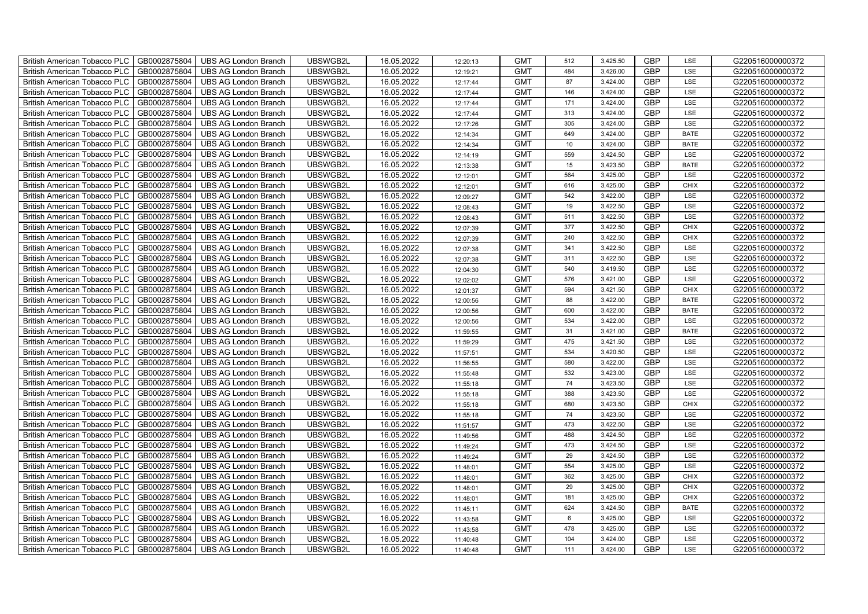| British American Tobacco PLC        | GB0002875804 | <b>UBS AG London Branch</b> | UBSWGB2L | 16.05.2022 | 12:20:13 | <b>GMT</b> | 512     | 3,425.50 | <b>GBP</b> | LSE         | G220516000000372 |
|-------------------------------------|--------------|-----------------------------|----------|------------|----------|------------|---------|----------|------------|-------------|------------------|
| <b>British American Tobacco PLC</b> | GB0002875804 | <b>UBS AG London Branch</b> | UBSWGB2L | 16.05.2022 | 12:19:21 | <b>GMT</b> | 484     | 3,426.00 | <b>GBP</b> | <b>LSE</b>  | G220516000000372 |
| <b>British American Tobacco PLC</b> | GB0002875804 | <b>UBS AG London Branch</b> | UBSWGB2L | 16.05.2022 | 12:17:44 | <b>GMT</b> | 87      | 3,424.00 | <b>GBP</b> | LSE         | G220516000000372 |
| British American Tobacco PLC        | GB0002875804 | <b>UBS AG London Branch</b> | UBSWGB2L | 16.05.2022 | 12:17:44 | <b>GMT</b> | 146     | 3,424.00 | <b>GBP</b> | LSE         | G220516000000372 |
| <b>British American Tobacco PLC</b> | GB0002875804 | <b>UBS AG London Branch</b> | UBSWGB2L | 16.05.2022 | 12:17:44 | <b>GMT</b> | 171     | 3,424.00 | <b>GBP</b> | LSE         | G220516000000372 |
| British American Tobacco PLC        | GB0002875804 | <b>UBS AG London Branch</b> | UBSWGB2L | 16.05.2022 | 12:17:44 | <b>GMT</b> | 313     | 3,424.00 | <b>GBP</b> | LSE         | G220516000000372 |
| <b>British American Tobacco PLC</b> | GB0002875804 | <b>UBS AG London Branch</b> | UBSWGB2L | 16.05.2022 | 12:17:26 | <b>GMT</b> | 305     | 3,424.00 | <b>GBP</b> | LSE         | G220516000000372 |
| British American Tobacco PLC        | GB0002875804 | <b>UBS AG London Branch</b> | UBSWGB2L | 16.05.2022 | 12:14:34 | <b>GMT</b> | 649     | 3,424.00 | <b>GBP</b> | <b>BATE</b> | G220516000000372 |
| <b>British American Tobacco PLC</b> | GB0002875804 | <b>UBS AG London Branch</b> | UBSWGB2L | 16.05.2022 | 12:14:34 | <b>GMT</b> | 10      | 3,424.00 | <b>GBP</b> | <b>BATE</b> | G220516000000372 |
| British American Tobacco PLC        | GB0002875804 | <b>UBS AG London Branch</b> | UBSWGB2L | 16.05.2022 | 12:14:19 | <b>GMT</b> | 559     | 3,424.50 | <b>GBP</b> | LSE         | G220516000000372 |
| <b>British American Tobacco PLC</b> | GB0002875804 | <b>UBS AG London Branch</b> | UBSWGB2L | 16.05.2022 | 12:13:38 | <b>GMT</b> | 15      | 3,423.50 | <b>GBP</b> | <b>BATE</b> | G220516000000372 |
| <b>British American Tobacco PLC</b> | GB0002875804 | <b>UBS AG London Branch</b> | UBSWGB2L | 16.05.2022 | 12:12:01 | <b>GMT</b> | 564     | 3,425.00 | <b>GBP</b> | LSE         | G220516000000372 |
| British American Tobacco PLC        | GB0002875804 | <b>UBS AG London Branch</b> | UBSWGB2L | 16.05.2022 | 12:12:01 | <b>GMT</b> | 616     | 3,425.00 | <b>GBP</b> | <b>CHIX</b> | G220516000000372 |
| British American Tobacco PLC        | GB0002875804 | <b>UBS AG London Branch</b> | UBSWGB2L | 16.05.2022 | 12:09:27 | <b>GMT</b> | 542     | 3,422.00 | <b>GBP</b> | LSE         | G220516000000372 |
| British American Tobacco PLC        | GB0002875804 | <b>UBS AG London Branch</b> | UBSWGB2L | 16.05.2022 | 12:08:43 | <b>GMT</b> | 19      | 3,422.50 | <b>GBP</b> | LSE         | G220516000000372 |
| British American Tobacco PLC        | GB0002875804 | <b>UBS AG London Branch</b> | UBSWGB2L | 16.05.2022 | 12:08:43 | <b>GMT</b> | 511     | 3,422.50 | <b>GBP</b> | LSE         | G220516000000372 |
| British American Tobacco PLC        | GB0002875804 | <b>UBS AG London Branch</b> | UBSWGB2L | 16.05.2022 | 12:07:39 | <b>GMT</b> | 377     | 3,422.50 | <b>GBP</b> | <b>CHIX</b> | G220516000000372 |
| British American Tobacco PLC        | GB0002875804 | <b>UBS AG London Branch</b> | UBSWGB2L | 16.05.2022 | 12:07:39 | <b>GMT</b> | 240     | 3,422.50 | <b>GBP</b> | <b>CHIX</b> | G220516000000372 |
| British American Tobacco PLC        | GB0002875804 | <b>UBS AG London Branch</b> | UBSWGB2L | 16.05.2022 | 12:07:38 | <b>GMT</b> | 341     | 3,422.50 | <b>GBP</b> | LSE         | G220516000000372 |
| British American Tobacco PLC        | GB0002875804 | <b>UBS AG London Branch</b> | UBSWGB2L | 16.05.2022 | 12:07:38 | <b>GMT</b> | 311     | 3,422.50 | <b>GBP</b> | LSE         | G220516000000372 |
| <b>British American Tobacco PLC</b> | GB0002875804 | <b>UBS AG London Branch</b> | UBSWGB2L | 16.05.2022 | 12:04:30 | <b>GMT</b> | 540     | 3,419.50 | <b>GBP</b> | <b>LSE</b>  | G220516000000372 |
| British American Tobacco PLC        | GB0002875804 | <b>UBS AG London Branch</b> | UBSWGB2L | 16.05.2022 | 12:02:02 | <b>GMT</b> | 576     | 3,421.00 | GBP        | LSE         | G220516000000372 |
| British American Tobacco PLC        | GB0002875804 | <b>UBS AG London Branch</b> | UBSWGB2L | 16.05.2022 | 12:01:37 | <b>GMT</b> | 594     | 3,421.50 | GBP        | CHIX        | G220516000000372 |
| British American Tobacco PLC        | GB0002875804 | <b>UBS AG London Branch</b> | UBSWGB2L | 16.05.2022 | 12:00:56 | <b>GMT</b> | 88      | 3,422.00 | <b>GBP</b> | <b>BATE</b> | G220516000000372 |
| <b>British American Tobacco PLC</b> | GB0002875804 | <b>UBS AG London Branch</b> | UBSWGB2L | 16.05.2022 | 12:00:56 | <b>GMT</b> | 600     | 3,422.00 | <b>GBP</b> | <b>BATE</b> | G220516000000372 |
| British American Tobacco PLC        | GB0002875804 | <b>UBS AG London Branch</b> | UBSWGB2L | 16.05.2022 | 12:00:56 | <b>GMT</b> | 534     | 3,422.00 | <b>GBP</b> | LSE         | G220516000000372 |
| British American Tobacco PLC        | GB0002875804 | <b>UBS AG London Branch</b> | UBSWGB2L | 16.05.2022 | 11:59:55 | <b>GMT</b> | 31      | 3,421.00 | <b>GBP</b> | <b>BATE</b> | G220516000000372 |
| British American Tobacco PLC        | GB0002875804 | <b>UBS AG London Branch</b> | UBSWGB2L | 16.05.2022 | 11:59:29 | <b>GMT</b> | 475     | 3,421.50 | <b>GBP</b> | LSE         | G220516000000372 |
| <b>British American Tobacco PLC</b> | GB0002875804 | <b>UBS AG London Branch</b> | UBSWGB2L | 16.05.2022 | 11:57:51 | <b>GMT</b> | 534     | 3,420.50 | <b>GBP</b> | LSE         | G220516000000372 |
| <b>British American Tobacco PLC</b> | GB0002875804 | <b>UBS AG London Branch</b> | UBSWGB2L | 16.05.2022 | 11:56:55 | <b>GMT</b> | 580     | 3,422.00 | <b>GBP</b> | LSE         | G220516000000372 |
| British American Tobacco PLC        | GB0002875804 | <b>UBS AG London Branch</b> | UBSWGB2L | 16.05.2022 | 11:55:48 | <b>GMT</b> | 532     | 3,423.00 | <b>GBP</b> | LSE         | G220516000000372 |
| British American Tobacco PLC        | GB0002875804 | <b>UBS AG London Branch</b> | UBSWGB2L | 16.05.2022 | 11:55:18 | <b>GMT</b> | 74      | 3,423.50 | <b>GBP</b> | LSE         | G220516000000372 |
| British American Tobacco PLC        | GB0002875804 | <b>UBS AG London Branch</b> | UBSWGB2L | 16.05.2022 | 11:55:18 | <b>GMT</b> | 388     | 3,423.50 | <b>GBP</b> | LSE         | G220516000000372 |
| British American Tobacco PLC        | GB0002875804 | UBS AG London Branch        | UBSWGB2L | 16.05.2022 | 11:55:18 | <b>GMT</b> | 680     | 3,423.50 | <b>GBP</b> | CHIX        | G220516000000372 |
| British American Tobacco PLC        | GB0002875804 | <b>UBS AG London Branch</b> | UBSWGB2L | 16.05.2022 | 11:55:18 | <b>GMT</b> | 74      | 3,423.50 | <b>GBP</b> | LSE         | G220516000000372 |
| British American Tobacco PLC        | GB0002875804 | <b>UBS AG London Branch</b> | UBSWGB2L | 16.05.2022 | 11:51:57 | <b>GMT</b> | 473     | 3,422.50 | <b>GBP</b> | LSE         | G220516000000372 |
| British American Tobacco PLC        | GB0002875804 | <b>UBS AG London Branch</b> | UBSWGB2L | 16.05.2022 | 11:49:56 | <b>GMT</b> | 488     | 3,424.50 | <b>GBP</b> | LSE         | G220516000000372 |
| <b>British American Tobacco PLC</b> | GB0002875804 | <b>UBS AG London Branch</b> | UBSWGB2L | 16.05.2022 | 11:49:24 | <b>GMT</b> | 473     | 3,424.50 | <b>GBP</b> | LSE         | G220516000000372 |
| British American Tobacco PLC        | GB0002875804 | <b>UBS AG London Branch</b> | UBSWGB2L | 16.05.2022 | 11:49:24 | <b>GMT</b> | 29      | 3,424.50 | <b>GBP</b> | LSE         | G220516000000372 |
| British American Tobacco PLC        | GB0002875804 | UBS AG London Branch        | UBSWGB2L | 16.05.2022 | 11:48:01 | <b>GMT</b> | 554     | 3,425.00 | <b>GBP</b> | LSE         | G220516000000372 |
| British American Tobacco PLC        | GB0002875804 | UBS AG London Branch        | UBSWGB2L | 16.05.2022 | 11:48:01 | <b>GMT</b> | 362     | 3,425.00 | GBP        | <b>CHIX</b> | G220516000000372 |
| British American Tobacco PLC        | GB0002875804 | <b>UBS AG London Branch</b> | UBSWGB2L | 16.05.2022 | 11:48:01 | <b>GMT</b> | 29      | 3,425.00 | <b>GBP</b> | <b>CHIX</b> | G220516000000372 |
| British American Tobacco PLC        | GB0002875804 | UBS AG London Branch        | UBSWGB2L | 16.05.2022 | 11:48:01 | <b>GMT</b> | 181     | 3,425.00 | <b>GBP</b> | <b>CHIX</b> | G220516000000372 |
| British American Tobacco PLC        | GB0002875804 | <b>UBS AG London Branch</b> | UBSWGB2L | 16.05.2022 | 11:45:11 | <b>GMT</b> | 624     | 3,424.50 | <b>GBP</b> | <b>BATE</b> | G220516000000372 |
| <b>British American Tobacco PLC</b> | GB0002875804 | <b>UBS AG London Branch</b> | UBSWGB2L | 16.05.2022 | 11:43:58 | <b>GMT</b> | $\,6\,$ | 3,425.00 | <b>GBP</b> | LSE         | G220516000000372 |
| <b>British American Tobacco PLC</b> | GB0002875804 | <b>UBS AG London Branch</b> | UBSWGB2L | 16.05.2022 | 11:43:58 | <b>GMT</b> | 478     | 3,425.00 | <b>GBP</b> | LSE         | G220516000000372 |
| British American Tobacco PLC        | GB0002875804 | <b>UBS AG London Branch</b> | UBSWGB2L | 16.05.2022 | 11:40:48 | <b>GMT</b> | 104     | 3,424.00 | <b>GBP</b> | LSE         | G220516000000372 |
| British American Tobacco PLC        | GB0002875804 | UBS AG London Branch        | UBSWGB2L | 16.05.2022 | 11:40:48 | <b>GMT</b> | 111     | 3,424.00 | <b>GBP</b> | LSE         | G220516000000372 |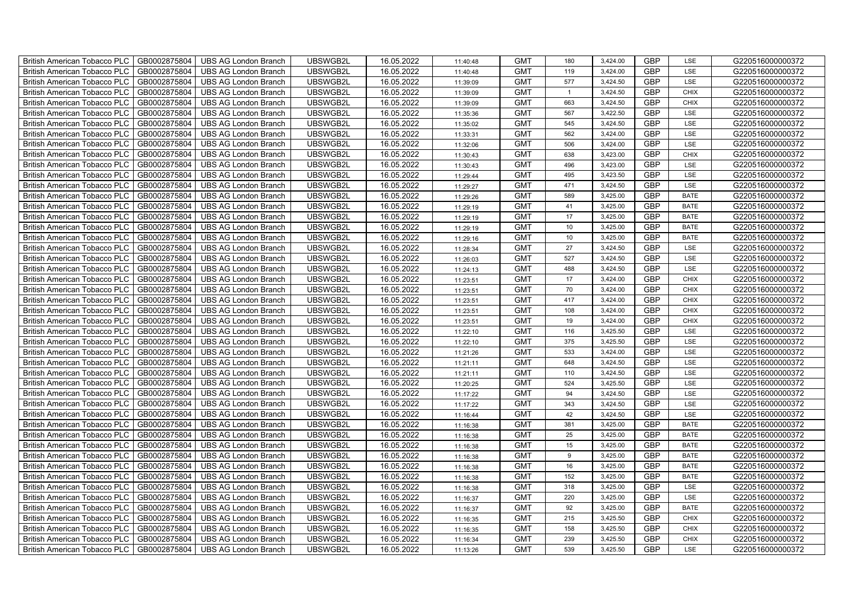| British American Tobacco PLC        | GB0002875804 | <b>UBS AG London Branch</b> | UBSWGB2L | 16.05.2022 | 11:40:48 | <b>GMT</b> | 180            | 3,424.00 | <b>GBP</b> | LSE         | G220516000000372 |
|-------------------------------------|--------------|-----------------------------|----------|------------|----------|------------|----------------|----------|------------|-------------|------------------|
| <b>British American Tobacco PLC</b> | GB0002875804 | <b>UBS AG London Branch</b> | UBSWGB2L | 16.05.2022 | 11:40:48 | <b>GMT</b> | 119            | 3,424.00 | <b>GBP</b> | <b>LSE</b>  | G220516000000372 |
| <b>British American Tobacco PLC</b> | GB0002875804 | <b>UBS AG London Branch</b> | UBSWGB2L | 16.05.2022 | 11:39:09 | <b>GMT</b> | 577            | 3,424.50 | <b>GBP</b> | LSE         | G220516000000372 |
| British American Tobacco PLC        | GB0002875804 | <b>UBS AG London Branch</b> | UBSWGB2L | 16.05.2022 | 11:39:09 | <b>GMT</b> | $\overline{1}$ | 3,424.50 | <b>GBP</b> | <b>CHIX</b> | G220516000000372 |
| <b>British American Tobacco PLC</b> | GB0002875804 | <b>UBS AG London Branch</b> | UBSWGB2L | 16.05.2022 | 11:39:09 | <b>GMT</b> | 663            | 3,424.50 | <b>GBP</b> | <b>CHIX</b> | G220516000000372 |
| British American Tobacco PLC        | GB0002875804 | <b>UBS AG London Branch</b> | UBSWGB2L | 16.05.2022 | 11:35:36 | <b>GMT</b> | 567            | 3,422.50 | <b>GBP</b> | LSE         | G220516000000372 |
| <b>British American Tobacco PLC</b> | GB0002875804 | <b>UBS AG London Branch</b> | UBSWGB2L | 16.05.2022 | 11:35:02 | <b>GMT</b> | 545            | 3,424.50 | <b>GBP</b> | LSE         | G220516000000372 |
| British American Tobacco PLC        | GB0002875804 | <b>UBS AG London Branch</b> | UBSWGB2L | 16.05.2022 | 11:33:31 | <b>GMT</b> | 562            | 3,424.00 | <b>GBP</b> | LSE         | G220516000000372 |
| <b>British American Tobacco PLC</b> | GB0002875804 | <b>UBS AG London Branch</b> | UBSWGB2L | 16.05.2022 | 11:32:06 | <b>GMT</b> | 506            | 3,424.00 | <b>GBP</b> | LSE         | G220516000000372 |
| British American Tobacco PLC        | GB0002875804 | <b>UBS AG London Branch</b> | UBSWGB2L | 16.05.2022 | 11:30:43 | <b>GMT</b> | 638            | 3,423.00 | <b>GBP</b> | <b>CHIX</b> | G220516000000372 |
| <b>British American Tobacco PLC</b> | GB0002875804 | <b>UBS AG London Branch</b> | UBSWGB2L | 16.05.2022 | 11:30:43 | <b>GMT</b> | 496            | 3,423.00 | <b>GBP</b> | LSE         | G220516000000372 |
| <b>British American Tobacco PLC</b> | GB0002875804 | <b>UBS AG London Branch</b> | UBSWGB2L | 16.05.2022 | 11:29:44 | <b>GMT</b> | 495            | 3,423.50 | <b>GBP</b> | LSE         | G220516000000372 |
| British American Tobacco PLC        | GB0002875804 | <b>UBS AG London Branch</b> | UBSWGB2L | 16.05.2022 | 11:29:27 | <b>GMT</b> | 471            | 3,424.50 | <b>GBP</b> | LSE         | G220516000000372 |
| British American Tobacco PLC        | GB0002875804 | <b>UBS AG London Branch</b> | UBSWGB2L | 16.05.2022 | 11:29:26 | <b>GMT</b> | 589            | 3,425.00 | <b>GBP</b> | <b>BATE</b> | G220516000000372 |
| British American Tobacco PLC        | GB0002875804 | <b>UBS AG London Branch</b> | UBSWGB2L | 16.05.2022 | 11:29:19 | <b>GMT</b> | 41             | 3,425.00 | <b>GBP</b> | <b>BATE</b> | G220516000000372 |
| British American Tobacco PLC        | GB0002875804 | <b>UBS AG London Branch</b> | UBSWGB2L | 16.05.2022 | 11:29:19 | <b>GMT</b> | 17             | 3,425.00 | <b>GBP</b> | <b>BATE</b> | G220516000000372 |
| British American Tobacco PLC        | GB0002875804 | <b>UBS AG London Branch</b> | UBSWGB2L | 16.05.2022 | 11:29:19 | <b>GMT</b> | 10             | 3,425.00 | <b>GBP</b> | <b>BATE</b> | G220516000000372 |
| British American Tobacco PLC        | GB0002875804 | <b>UBS AG London Branch</b> | UBSWGB2L | 16.05.2022 | 11:29:16 | <b>GMT</b> | 10             | 3,425.00 | <b>GBP</b> | <b>BATE</b> | G220516000000372 |
| British American Tobacco PLC        | GB0002875804 | <b>UBS AG London Branch</b> | UBSWGB2L | 16.05.2022 | 11:28:34 | <b>GMT</b> | 27             | 3,424.50 | <b>GBP</b> | LSE         | G220516000000372 |
| British American Tobacco PLC        | GB0002875804 | <b>UBS AG London Branch</b> | UBSWGB2L | 16.05.2022 | 11:26:03 | <b>GMT</b> | 527            | 3,424.50 | <b>GBP</b> | LSE         | G220516000000372 |
| <b>British American Tobacco PLC</b> | GB0002875804 | <b>UBS AG London Branch</b> | UBSWGB2L | 16.05.2022 | 11:24:13 | <b>GMT</b> | 488            | 3,424.50 | <b>GBP</b> | <b>LSE</b>  | G220516000000372 |
| British American Tobacco PLC        | GB0002875804 | <b>UBS AG London Branch</b> | UBSWGB2L | 16.05.2022 | 11:23:51 | <b>GMT</b> | 17             | 3,424.00 | <b>GBP</b> | CHIX        | G220516000000372 |
| British American Tobacco PLC        | GB0002875804 | <b>UBS AG London Branch</b> | UBSWGB2L | 16.05.2022 | 11:23:51 | <b>GMT</b> | 70             | 3,424.00 | GBP        | CHIX        | G220516000000372 |
| British American Tobacco PLC        | GB0002875804 | <b>UBS AG London Branch</b> | UBSWGB2L | 16.05.2022 | 11:23:51 | <b>GMT</b> | 417            | 3,424.00 | <b>GBP</b> | CHIX        | G220516000000372 |
| British American Tobacco PLC        | GB0002875804 | <b>UBS AG London Branch</b> | UBSWGB2L | 16.05.2022 | 11:23:51 | <b>GMT</b> | 108            | 3,424.00 | <b>GBP</b> | <b>CHIX</b> | G220516000000372 |
| British American Tobacco PLC        | GB0002875804 | <b>UBS AG London Branch</b> | UBSWGB2L | 16.05.2022 | 11:23:51 | <b>GMT</b> | 19             | 3,424.00 | <b>GBP</b> | <b>CHIX</b> | G220516000000372 |
| British American Tobacco PLC        | GB0002875804 | <b>UBS AG London Branch</b> | UBSWGB2L | 16.05.2022 | 11:22:10 | <b>GMT</b> | 116            | 3,425.50 | <b>GBP</b> | LSE         | G220516000000372 |
| British American Tobacco PLC        | GB0002875804 | <b>UBS AG London Branch</b> | UBSWGB2L | 16.05.2022 | 11:22:10 | <b>GMT</b> | 375            | 3,425.50 | <b>GBP</b> | LSE         | G220516000000372 |
| <b>British American Tobacco PLC</b> | GB0002875804 | <b>UBS AG London Branch</b> | UBSWGB2L | 16.05.2022 | 11:21:26 | <b>GMT</b> | 533            | 3,424.00 | <b>GBP</b> | LSE         | G220516000000372 |
| <b>British American Tobacco PLC</b> | GB0002875804 | <b>UBS AG London Branch</b> | UBSWGB2L | 16.05.2022 | 11:21:11 | <b>GMT</b> | 648            | 3,424.50 | <b>GBP</b> | LSE         | G220516000000372 |
| British American Tobacco PLC        | GB0002875804 | <b>UBS AG London Branch</b> | UBSWGB2L | 16.05.2022 | 11:21:11 | <b>GMT</b> | 110            | 3,424.50 | <b>GBP</b> | LSE         | G220516000000372 |
| British American Tobacco PLC        | GB0002875804 | <b>UBS AG London Branch</b> | UBSWGB2L | 16.05.2022 | 11:20:25 | <b>GMT</b> | 524            | 3,425.50 | <b>GBP</b> | LSE         | G220516000000372 |
| British American Tobacco PLC        | GB0002875804 | <b>UBS AG London Branch</b> | UBSWGB2L | 16.05.2022 | 11:17:22 | <b>GMT</b> | 94             | 3,424.50 | <b>GBP</b> | LSE         | G220516000000372 |
| British American Tobacco PLC        | GB0002875804 | <b>UBS AG London Branch</b> | UBSWGB2L | 16.05.2022 | 11:17:22 | <b>GMT</b> | 343            | 3,424.50 | <b>GBP</b> | LSE         | G220516000000372 |
| British American Tobacco PLC        | GB0002875804 | <b>UBS AG London Branch</b> | UBSWGB2L | 16.05.2022 | 11:16:44 | <b>GMT</b> | 42             | 3,424.50 | <b>GBP</b> | LSE         | G220516000000372 |
| British American Tobacco PLC        | GB0002875804 | <b>UBS AG London Branch</b> | UBSWGB2L | 16.05.2022 | 11:16:38 | <b>GMT</b> | 381            | 3,425.00 | <b>GBP</b> | <b>BATE</b> | G220516000000372 |
| British American Tobacco PLC        | GB0002875804 | <b>UBS AG London Branch</b> | UBSWGB2L | 16.05.2022 | 11:16:38 | <b>GMT</b> | 25             | 3,425.00 | <b>GBP</b> | <b>BATE</b> | G220516000000372 |
| <b>British American Tobacco PLC</b> | GB0002875804 | <b>UBS AG London Branch</b> | UBSWGB2L | 16.05.2022 | 11:16:38 | <b>GMT</b> | 15             | 3,425.00 | <b>GBP</b> | <b>BATE</b> | G220516000000372 |
| British American Tobacco PLC        | GB0002875804 | <b>UBS AG London Branch</b> | UBSWGB2L | 16.05.2022 | 11:16:38 | <b>GMT</b> | 9              | 3,425.00 | <b>GBP</b> | <b>BATE</b> | G220516000000372 |
| <b>British American Tobacco PLC</b> | GB0002875804 | <b>UBS AG London Branch</b> | UBSWGB2L | 16.05.2022 | 11:16:38 | <b>GMT</b> | 16             | 3,425.00 | <b>GBP</b> | <b>BATE</b> | G220516000000372 |
| British American Tobacco PLC        | GB0002875804 | UBS AG London Branch        | UBSWGB2L | 16.05.2022 | 11:16:38 | <b>GMT</b> | 152            | 3,425.00 | GBP        | <b>BATE</b> | G220516000000372 |
| British American Tobacco PLC        | GB0002875804 | <b>UBS AG London Branch</b> | UBSWGB2L | 16.05.2022 | 11:16:38 | <b>GMT</b> | 318            | 3,425.00 | <b>GBP</b> | LSE         | G220516000000372 |
| British American Tobacco PLC        | GB0002875804 | <b>UBS AG London Branch</b> | UBSWGB2L | 16.05.2022 | 11:16:37 | <b>GMT</b> | 220            | 3,425.00 | <b>GBP</b> | LSE         | G220516000000372 |
| British American Tobacco PLC        | GB0002875804 | <b>UBS AG London Branch</b> | UBSWGB2L | 16.05.2022 | 11:16:37 | <b>GMT</b> | 92             | 3,425.00 | <b>GBP</b> | <b>BATE</b> | G220516000000372 |
| <b>British American Tobacco PLC</b> | GB0002875804 | <b>UBS AG London Branch</b> | UBSWGB2L | 16.05.2022 | 11:16:35 | <b>GMT</b> | 215            | 3,425.50 | <b>GBP</b> | <b>CHIX</b> | G220516000000372 |
| <b>British American Tobacco PLC</b> | GB0002875804 | <b>UBS AG London Branch</b> | UBSWGB2L | 16.05.2022 | 11:16:35 | <b>GMT</b> | 158            | 3,425.50 | <b>GBP</b> | <b>CHIX</b> | G220516000000372 |
| British American Tobacco PLC        | GB0002875804 | <b>UBS AG London Branch</b> | UBSWGB2L | 16.05.2022 | 11:16:34 | <b>GMT</b> | 239            | 3,425.50 | <b>GBP</b> | <b>CHIX</b> | G220516000000372 |
| British American Tobacco PLC        | GB0002875804 | UBS AG London Branch        | UBSWGB2L | 16.05.2022 | 11:13:26 | <b>GMT</b> | 539            | 3,425.50 | <b>GBP</b> | LSE         | G220516000000372 |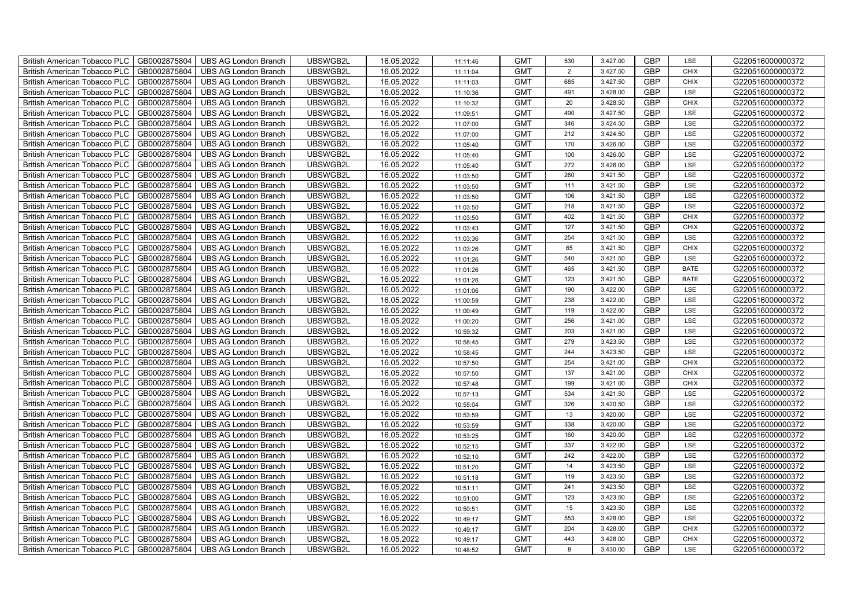| British American Tobacco PLC        | GB0002875804 | <b>UBS AG London Branch</b> | UBSWGB2L | 16.05.2022 | 11:11:46 | <b>GMT</b> | 530 | 3,427.00 | <b>GBP</b> | LSE         | G220516000000372 |
|-------------------------------------|--------------|-----------------------------|----------|------------|----------|------------|-----|----------|------------|-------------|------------------|
| <b>British American Tobacco PLC</b> | GB0002875804 | <b>UBS AG London Branch</b> | UBSWGB2L | 16.05.2022 | 11:11:04 | <b>GMT</b> | 2   | 3,427.50 | <b>GBP</b> | <b>CHIX</b> | G220516000000372 |
| <b>British American Tobacco PLC</b> | GB0002875804 | <b>UBS AG London Branch</b> | UBSWGB2L | 16.05.2022 | 11:11:03 | <b>GMT</b> | 685 | 3,427.50 | <b>GBP</b> | <b>CHIX</b> | G220516000000372 |
| British American Tobacco PLC        | GB0002875804 | <b>UBS AG London Branch</b> | UBSWGB2L | 16.05.2022 | 11:10:36 | <b>GMT</b> | 491 | 3,428.00 | <b>GBP</b> | LSE         | G220516000000372 |
| <b>British American Tobacco PLC</b> | GB0002875804 | <b>UBS AG London Branch</b> | UBSWGB2L | 16.05.2022 | 11:10:32 | <b>GMT</b> | 20  | 3,428.50 | <b>GBP</b> | <b>CHIX</b> | G220516000000372 |
| British American Tobacco PLC        | GB0002875804 | <b>UBS AG London Branch</b> | UBSWGB2L | 16.05.2022 | 11:09:51 | <b>GMT</b> | 490 | 3,427.50 | <b>GBP</b> | LSE         | G220516000000372 |
| <b>British American Tobacco PLC</b> | GB0002875804 | <b>UBS AG London Branch</b> | UBSWGB2L | 16.05.2022 | 11:07:00 | <b>GMT</b> | 346 | 3,424.50 | <b>GBP</b> | LSE         | G220516000000372 |
| British American Tobacco PLC        | GB0002875804 | <b>UBS AG London Branch</b> | UBSWGB2L | 16.05.2022 | 11:07:00 | <b>GMT</b> | 212 | 3,424.50 | <b>GBP</b> | LSE         | G220516000000372 |
| <b>British American Tobacco PLC</b> | GB0002875804 | <b>UBS AG London Branch</b> | UBSWGB2L | 16.05.2022 | 11:05:40 | <b>GMT</b> | 170 | 3,426.00 | <b>GBP</b> | LSE         | G220516000000372 |
| British American Tobacco PLC        | GB0002875804 | <b>UBS AG London Branch</b> | UBSWGB2L | 16.05.2022 | 11:05:40 | <b>GMT</b> | 100 | 3,426.00 | <b>GBP</b> | LSE         | G220516000000372 |
| <b>British American Tobacco PLC</b> | GB0002875804 | <b>UBS AG London Branch</b> | UBSWGB2L | 16.05.2022 | 11:05:40 | <b>GMT</b> | 272 | 3,426.00 | <b>GBP</b> | LSE         | G220516000000372 |
| <b>British American Tobacco PLC</b> | GB0002875804 | <b>UBS AG London Branch</b> | UBSWGB2L | 16.05.2022 | 11:03:50 | <b>GMT</b> | 260 | 3,421.50 | <b>GBP</b> | LSE         | G220516000000372 |
| British American Tobacco PLC        | GB0002875804 | <b>UBS AG London Branch</b> | UBSWGB2L | 16.05.2022 | 11:03:50 | <b>GMT</b> | 111 | 3,421.50 | <b>GBP</b> | LSE         | G220516000000372 |
| British American Tobacco PLC        | GB0002875804 | <b>UBS AG London Branch</b> | UBSWGB2L | 16.05.2022 | 11:03:50 | <b>GMT</b> | 106 | 3,421.50 | <b>GBP</b> | LSE         | G220516000000372 |
| British American Tobacco PLC        | GB0002875804 | <b>UBS AG London Branch</b> | UBSWGB2L | 16.05.2022 | 11:03:50 | <b>GMT</b> | 218 | 3,421.50 | <b>GBP</b> | LSE         | G220516000000372 |
| British American Tobacco PLC        | GB0002875804 | <b>UBS AG London Branch</b> | UBSWGB2L | 16.05.2022 | 11:03:50 | <b>GMT</b> | 402 | 3,421.50 | <b>GBP</b> | <b>CHIX</b> | G220516000000372 |
| British American Tobacco PLC        | GB0002875804 | <b>UBS AG London Branch</b> | UBSWGB2L | 16.05.2022 | 11:03:43 | <b>GMT</b> | 127 | 3,421.50 | <b>GBP</b> | <b>CHIX</b> | G220516000000372 |
| British American Tobacco PLC        | GB0002875804 | <b>UBS AG London Branch</b> | UBSWGB2L | 16.05.2022 | 11:03:36 | <b>GMT</b> | 254 | 3,421.50 | <b>GBP</b> | LSE         | G220516000000372 |
| British American Tobacco PLC        | GB0002875804 | <b>UBS AG London Branch</b> | UBSWGB2L | 16.05.2022 | 11:03:26 | <b>GMT</b> | 65  | 3,421.50 | <b>GBP</b> | <b>CHIX</b> | G220516000000372 |
| British American Tobacco PLC        | GB0002875804 | <b>UBS AG London Branch</b> | UBSWGB2L | 16.05.2022 | 11:01:26 | <b>GMT</b> | 540 | 3,421.50 | <b>GBP</b> | LSE         | G220516000000372 |
| <b>British American Tobacco PLC</b> | GB0002875804 | <b>UBS AG London Branch</b> | UBSWGB2L | 16.05.2022 | 11:01:26 | <b>GMT</b> | 465 | 3,421.50 | <b>GBP</b> | <b>BATE</b> | G220516000000372 |
| British American Tobacco PLC        | GB0002875804 | <b>UBS AG London Branch</b> | UBSWGB2L | 16.05.2022 | 11:01:26 | <b>GMT</b> | 123 | 3,421.50 | <b>GBP</b> | <b>BATE</b> | G220516000000372 |
| British American Tobacco PLC        | GB0002875804 | <b>UBS AG London Branch</b> | UBSWGB2L | 16.05.2022 | 11:01:06 | <b>GMT</b> | 190 | 3,422.00 | GBP        | LSE         | G220516000000372 |
| British American Tobacco PLC        | GB0002875804 | <b>UBS AG London Branch</b> | UBSWGB2L | 16.05.2022 | 11:00:59 | <b>GMT</b> | 238 | 3,422.00 | <b>GBP</b> | LSE         | G220516000000372 |
| <b>British American Tobacco PLC</b> | GB0002875804 | <b>UBS AG London Branch</b> | UBSWGB2L | 16.05.2022 | 11:00:49 | <b>GMT</b> | 119 | 3,422.00 | <b>GBP</b> | LSE         | G220516000000372 |
| British American Tobacco PLC        | GB0002875804 | <b>UBS AG London Branch</b> | UBSWGB2L | 16.05.2022 | 11:00:20 | <b>GMT</b> | 256 | 3,421.00 | <b>GBP</b> | LSE         | G220516000000372 |
| British American Tobacco PLC        | GB0002875804 | <b>UBS AG London Branch</b> | UBSWGB2L | 16.05.2022 | 10:59:32 | <b>GMT</b> | 203 | 3,421.00 | <b>GBP</b> | LSE         | G220516000000372 |
| British American Tobacco PLC        | GB0002875804 | <b>UBS AG London Branch</b> | UBSWGB2L | 16.05.2022 | 10:58:45 | <b>GMT</b> | 279 | 3,423.50 | <b>GBP</b> | LSE         | G220516000000372 |
| <b>British American Tobacco PLC</b> | GB0002875804 | <b>UBS AG London Branch</b> | UBSWGB2L | 16.05.2022 | 10:58:45 | <b>GMT</b> | 244 | 3,423.50 | <b>GBP</b> | LSE         | G220516000000372 |
| <b>British American Tobacco PLC</b> | GB0002875804 | <b>UBS AG London Branch</b> | UBSWGB2L | 16.05.2022 | 10:57:50 | <b>GMT</b> | 254 | 3,421.00 | <b>GBP</b> | <b>CHIX</b> | G220516000000372 |
| British American Tobacco PLC        | GB0002875804 | <b>UBS AG London Branch</b> | UBSWGB2L | 16.05.2022 | 10:57:50 | <b>GMT</b> | 137 | 3,421.00 | <b>GBP</b> | <b>CHIX</b> | G220516000000372 |
| British American Tobacco PLC        | GB0002875804 | <b>UBS AG London Branch</b> | UBSWGB2L | 16.05.2022 | 10:57:48 | <b>GMT</b> | 199 | 3,421.00 | <b>GBP</b> | CHIX        | G220516000000372 |
| British American Tobacco PLC        | GB0002875804 | <b>UBS AG London Branch</b> | UBSWGB2L | 16.05.2022 | 10:57:13 | <b>GMT</b> | 534 | 3,421.50 | <b>GBP</b> | LSE         | G220516000000372 |
| British American Tobacco PLC        | GB0002875804 | UBS AG London Branch        | UBSWGB2L | 16.05.2022 | 10:55:04 | <b>GMT</b> | 326 | 3,420.50 | <b>GBP</b> | LSE         | G220516000000372 |
| British American Tobacco PLC        | GB0002875804 | <b>UBS AG London Branch</b> | UBSWGB2L | 16.05.2022 | 10:53:59 | <b>GMT</b> | 13  | 3,420.00 | <b>GBP</b> | LSE         | G220516000000372 |
| British American Tobacco PLC        | GB0002875804 | <b>UBS AG London Branch</b> | UBSWGB2L | 16.05.2022 | 10:53:59 | <b>GMT</b> | 338 | 3,420.00 | <b>GBP</b> | LSE         | G220516000000372 |
| British American Tobacco PLC        | GB0002875804 | <b>UBS AG London Branch</b> | UBSWGB2L | 16.05.2022 | 10:53:25 | <b>GMT</b> | 160 | 3,420.00 | <b>GBP</b> | LSE         | G220516000000372 |
| <b>British American Tobacco PLC</b> | GB0002875804 | <b>UBS AG London Branch</b> | UBSWGB2L | 16.05.2022 | 10:52:15 | <b>GMT</b> | 337 | 3,422.00 | <b>GBP</b> | LSE         | G220516000000372 |
| British American Tobacco PLC        | GB0002875804 | <b>UBS AG London Branch</b> | UBSWGB2L | 16.05.2022 | 10:52:10 | <b>GMT</b> | 242 | 3,422.00 | <b>GBP</b> | LSE         | G220516000000372 |
| British American Tobacco PLC        | GB0002875804 | UBS AG London Branch        | UBSWGB2L | 16.05.2022 | 10:51:20 | <b>GMT</b> | 14  | 3,423.50 | <b>GBP</b> | LSE         | G220516000000372 |
| British American Tobacco PLC        | GB0002875804 | UBS AG London Branch        | UBSWGB2L | 16.05.2022 | 10:51:18 | <b>GMT</b> | 119 | 3,423.50 | GBP        | LSE         | G220516000000372 |
| British American Tobacco PLC        | GB0002875804 | <b>UBS AG London Branch</b> | UBSWGB2L | 16.05.2022 | 10:51:11 | <b>GMT</b> | 241 | 3,423.50 | <b>GBP</b> | LSE         | G220516000000372 |
| British American Tobacco PLC        | GB0002875804 | UBS AG London Branch        | UBSWGB2L | 16.05.2022 | 10:51:00 | <b>GMT</b> | 123 | 3,423.50 | <b>GBP</b> | LSE         | G220516000000372 |
| British American Tobacco PLC        | GB0002875804 | <b>UBS AG London Branch</b> | UBSWGB2L | 16.05.2022 | 10:50:51 | <b>GMT</b> | 15  | 3,423.50 | <b>GBP</b> | LSE         | G220516000000372 |
| <b>British American Tobacco PLC</b> | GB0002875804 | <b>UBS AG London Branch</b> | UBSWGB2L | 16.05.2022 | 10:49:17 | <b>GMT</b> | 553 | 3,428.00 | <b>GBP</b> | LSE         | G220516000000372 |
| <b>British American Tobacco PLC</b> | GB0002875804 | <b>UBS AG London Branch</b> | UBSWGB2L | 16.05.2022 | 10:49:17 | <b>GMT</b> | 204 | 3,428.00 | <b>GBP</b> | <b>CHIX</b> | G220516000000372 |
| British American Tobacco PLC        | GB0002875804 | <b>UBS AG London Branch</b> | UBSWGB2L | 16.05.2022 | 10:49:17 | <b>GMT</b> | 443 | 3,428.00 | <b>GBP</b> | <b>CHIX</b> | G220516000000372 |
| British American Tobacco PLC        | GB0002875804 | UBS AG London Branch        | UBSWGB2L | 16.05.2022 | 10:48:52 | <b>GMT</b> | 8   | 3,430.00 | <b>GBP</b> | LSE         | G220516000000372 |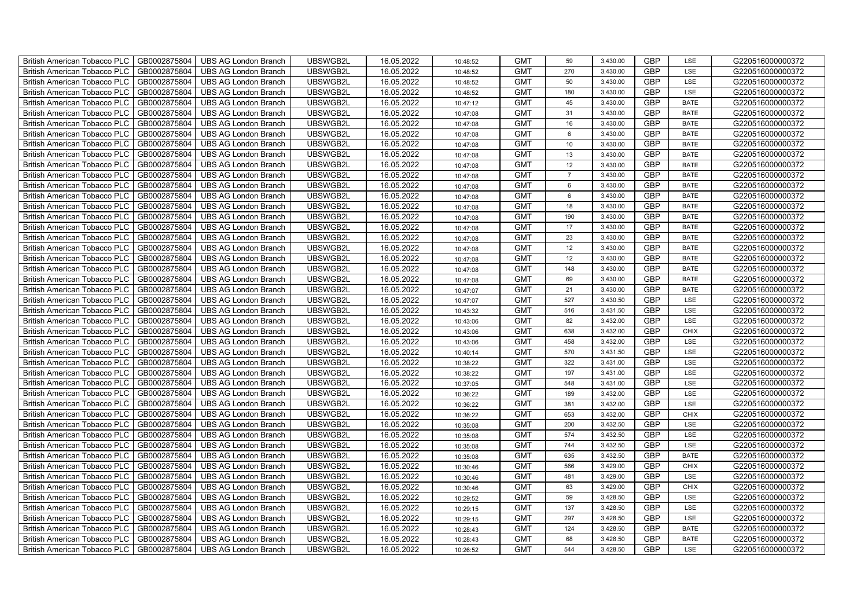| <b>British American Tobacco PLC</b><br>GB0002875804 | <b>UBS AG London Branch</b> | UBSWGB2L | 16.05.2022 | 10:48:52 | <b>GMT</b> | 59              | 3,430.00 | <b>GBP</b> | LSE         | G220516000000372 |
|-----------------------------------------------------|-----------------------------|----------|------------|----------|------------|-----------------|----------|------------|-------------|------------------|
| GB0002875804<br><b>British American Tobacco PLC</b> | <b>UBS AG London Branch</b> | UBSWGB2L | 16.05.2022 | 10:48:52 | <b>GMT</b> | 270             | 3,430.00 | <b>GBP</b> | LSE         | G220516000000372 |
| GB0002875804<br><b>British American Tobacco PLC</b> | <b>UBS AG London Branch</b> | UBSWGB2L | 16.05.2022 | 10:48:52 | <b>GMT</b> | 50              | 3,430.00 | <b>GBP</b> | LSE         | G220516000000372 |
| GB0002875804<br><b>British American Tobacco PLC</b> | <b>UBS AG London Branch</b> | UBSWGB2L | 16.05.2022 | 10:48:52 | <b>GMT</b> | 180             | 3,430.00 | <b>GBP</b> | LSE         | G220516000000372 |
| GB0002875804<br><b>British American Tobacco PLC</b> | <b>UBS AG London Branch</b> | UBSWGB2L | 16.05.2022 | 10:47:12 | <b>GMT</b> | 45              | 3,430.00 | <b>GBP</b> | <b>BATE</b> | G220516000000372 |
| GB0002875804<br><b>British American Tobacco PLC</b> | <b>UBS AG London Branch</b> | UBSWGB2L | 16.05.2022 | 10:47:08 | <b>GMT</b> | 31              | 3,430.00 | <b>GBP</b> | <b>BATE</b> | G220516000000372 |
| GB0002875804<br><b>British American Tobacco PLC</b> | <b>UBS AG London Branch</b> | UBSWGB2L | 16.05.2022 | 10:47:08 | <b>GMT</b> | 16              | 3,430.00 | <b>GBP</b> | <b>BATE</b> | G220516000000372 |
| <b>British American Tobacco PLC</b><br>GB0002875804 | <b>UBS AG London Branch</b> | UBSWGB2L | 16.05.2022 | 10:47:08 | <b>GMT</b> | 6               | 3,430.00 | <b>GBP</b> | <b>BATE</b> | G220516000000372 |
| GB0002875804<br><b>British American Tobacco PLC</b> | <b>UBS AG London Branch</b> | UBSWGB2L | 16.05.2022 | 10:47:08 | <b>GMT</b> | 10 <sup>1</sup> | 3,430.00 | <b>GBP</b> | <b>BATE</b> | G220516000000372 |
| GB0002875804<br><b>British American Tobacco PLC</b> | <b>UBS AG London Branch</b> | UBSWGB2L | 16.05.2022 | 10:47:08 | <b>GMT</b> | 13              | 3,430.00 | <b>GBP</b> | <b>BATE</b> | G220516000000372 |
| GB0002875804<br><b>British American Tobacco PLC</b> | <b>UBS AG London Branch</b> | UBSWGB2L | 16.05.2022 | 10:47:08 | <b>GMT</b> | 12              | 3,430.00 | <b>GBP</b> | <b>BATE</b> | G220516000000372 |
| GB0002875804<br>British American Tobacco PLC        | <b>UBS AG London Branch</b> | UBSWGB2L | 16.05.2022 | 10:47:08 | <b>GMT</b> | $\overline{7}$  | 3,430.00 | <b>GBP</b> | <b>BATE</b> | G220516000000372 |
| GB0002875804<br><b>British American Tobacco PLC</b> | <b>UBS AG London Branch</b> | UBSWGB2L | 16.05.2022 | 10:47:08 | <b>GMT</b> | 6               | 3,430.00 | <b>GBP</b> | <b>BATE</b> | G220516000000372 |
| GB0002875804<br><b>British American Tobacco PLC</b> | <b>UBS AG London Branch</b> | UBSWGB2L | 16.05.2022 | 10:47:08 | <b>GMT</b> | $6\phantom{.}6$ | 3,430.00 | <b>GBP</b> | <b>BATE</b> | G220516000000372 |
| GB0002875804<br><b>British American Tobacco PLC</b> | <b>UBS AG London Branch</b> | UBSWGB2L | 16.05.2022 | 10:47:08 | <b>GMT</b> | 18              | 3,430.00 | <b>GBP</b> | <b>BATE</b> | G220516000000372 |
| GB0002875804<br><b>British American Tobacco PLC</b> | <b>UBS AG London Branch</b> | UBSWGB2L | 16.05.2022 | 10:47:08 | <b>GMT</b> | 190             | 3,430.00 | <b>GBP</b> | <b>BATE</b> | G220516000000372 |
| <b>British American Tobacco PLC</b><br>GB0002875804 | <b>UBS AG London Branch</b> | UBSWGB2L | 16.05.2022 | 10:47:08 | <b>GMT</b> | 17              | 3,430.00 | <b>GBP</b> | <b>BATE</b> | G220516000000372 |
| GB0002875804<br><b>British American Tobacco PLC</b> | <b>UBS AG London Branch</b> | UBSWGB2L | 16.05.2022 | 10:47:08 | <b>GMT</b> | 23              | 3,430.00 | <b>GBP</b> | <b>BATE</b> | G220516000000372 |
| GB0002875804<br><b>British American Tobacco PLC</b> | <b>UBS AG London Branch</b> | UBSWGB2L | 16.05.2022 | 10:47:08 | <b>GMT</b> | 12              | 3,430.00 | <b>GBP</b> | <b>BATE</b> | G220516000000372 |
| GB0002875804<br><b>British American Tobacco PLC</b> | <b>UBS AG London Branch</b> | UBSWGB2L | 16.05.2022 | 10:47:08 | <b>GMT</b> | 12              | 3,430.00 | <b>GBP</b> | <b>BATE</b> | G220516000000372 |
| GB0002875804<br>British American Tobacco PLC        | <b>UBS AG London Branch</b> | UBSWGB2L | 16.05.2022 | 10:47:08 | <b>GMT</b> | 148             | 3,430.00 | <b>GBP</b> | <b>BATE</b> | G220516000000372 |
| GB0002875804<br><b>British American Tobacco PLC</b> | <b>UBS AG London Branch</b> | UBSWGB2L | 16.05.2022 | 10:47:08 | <b>GMT</b> | 69              | 3,430.00 | <b>GBP</b> | <b>BATE</b> | G220516000000372 |
| GB0002875804<br><b>British American Tobacco PLC</b> | <b>UBS AG London Branch</b> | UBSWGB2L | 16.05.2022 | 10:47:07 | <b>GMT</b> | 21              | 3,430.00 | <b>GBP</b> | <b>BATE</b> | G220516000000372 |
| British American Tobacco PLC<br>GB0002875804        | <b>UBS AG London Branch</b> | UBSWGB2L | 16.05.2022 | 10:47:07 | <b>GMT</b> | 527             | 3,430.50 | <b>GBP</b> | LSE         | G220516000000372 |
| GB0002875804<br><b>British American Tobacco PLC</b> | <b>UBS AG London Branch</b> | UBSWGB2L | 16.05.2022 | 10:43:32 | <b>GMT</b> | 516             | 3,431.50 | <b>GBP</b> | LSE         | G220516000000372 |
| GB0002875804<br><b>British American Tobacco PLC</b> | <b>UBS AG London Branch</b> | UBSWGB2L | 16.05.2022 | 10:43:06 | <b>GMT</b> | 82              | 3,432.00 | GBP        | LSE         | G220516000000372 |
| GB0002875804<br><b>British American Tobacco PLC</b> | <b>UBS AG London Branch</b> | UBSWGB2L | 16.05.2022 | 10:43:06 | <b>GMT</b> | 638             | 3,432.00 | GBP        | <b>CHIX</b> | G220516000000372 |
| GB0002875804<br><b>British American Tobacco PLC</b> | <b>UBS AG London Branch</b> | UBSWGB2L | 16.05.2022 | 10:43:06 | <b>GMT</b> | 458             | 3,432.00 | <b>GBP</b> | LSE         | G220516000000372 |
| <b>British American Tobacco PLC</b><br>GB0002875804 | <b>UBS AG London Branch</b> | UBSWGB2L | 16.05.2022 | 10:40:14 | <b>GMT</b> | 570             | 3,431.50 | <b>GBP</b> | LSE         | G220516000000372 |
| GB0002875804<br>British American Tobacco PLC        | <b>UBS AG London Branch</b> | UBSWGB2L | 16.05.2022 | 10:38:22 | <b>GMT</b> | 322             | 3,431.00 | <b>GBP</b> | LSE         | G220516000000372 |
| GB0002875804<br><b>British American Tobacco PLC</b> | <b>UBS AG London Branch</b> | UBSWGB2L | 16.05.2022 | 10:38:22 | <b>GMT</b> | 197             | 3,431.00 | <b>GBP</b> | LSE         | G220516000000372 |
| British American Tobacco PLC<br>GB0002875804        | <b>UBS AG London Branch</b> | UBSWGB2L | 16.05.2022 | 10:37:05 | <b>GMT</b> | 548             | 3,431.00 | <b>GBP</b> | LSE         | G220516000000372 |
| British American Tobacco PLC<br>GB0002875804        | <b>UBS AG London Branch</b> | UBSWGB2L | 16.05.2022 | 10:36:22 | <b>GMT</b> | 189             | 3,432.00 | <b>GBP</b> | LSE         | G220516000000372 |
| British American Tobacco PLC<br>GB0002875804        | <b>UBS AG London Branch</b> | UBSWGB2L | 16.05.2022 | 10:36:22 | <b>GMT</b> | 381             | 3,432.00 | <b>GBP</b> | LSE         | G220516000000372 |
| GB0002875804<br><b>British American Tobacco PLC</b> | <b>UBS AG London Branch</b> | UBSWGB2L | 16.05.2022 | 10:36:22 | <b>GMT</b> | 653             | 3,432.00 | <b>GBP</b> | <b>CHIX</b> | G220516000000372 |
| GB0002875804<br><b>British American Tobacco PLC</b> | <b>UBS AG London Branch</b> | UBSWGB2L | 16.05.2022 | 10:35:08 | <b>GMT</b> | 200             | 3,432.50 | GBP        | LSE         | G220516000000372 |
| GB0002875804<br><b>British American Tobacco PLC</b> | <b>UBS AG London Branch</b> | UBSWGB2L | 16.05.2022 | 10:35:08 | <b>GMT</b> | 574             | 3,432.50 | GBP        | LSE         | G220516000000372 |
| <b>British American Tobacco PLC</b><br>GB0002875804 | <b>UBS AG London Branch</b> | UBSWGB2L | 16.05.2022 | 10:35:08 | <b>GMT</b> | 744             | 3,432.50 | <b>GBP</b> | LSE         | G220516000000372 |
| British American Tobacco PLC<br>GB0002875804        | <b>UBS AG London Branch</b> | UBSWGB2L | 16.05.2022 | 10:35:08 | <b>GMT</b> | 635             | 3,432.50 | <b>GBP</b> | <b>BATE</b> | G220516000000372 |
| <b>British American Tobacco PLC</b><br>GB0002875804 | <b>UBS AG London Branch</b> | UBSWGB2L | 16.05.2022 | 10:30:46 | <b>GMT</b> | 566             | 3,429.00 | <b>GBP</b> | <b>CHIX</b> | G220516000000372 |
| British American Tobacco PLC<br>GB0002875804        | <b>UBS AG London Branch</b> | UBSWGB2L | 16.05.2022 | 10:30:46 | <b>GMT</b> | 481             | 3,429.00 | <b>GBP</b> | LSE         | G220516000000372 |
| <b>British American Tobacco PLC</b><br>GB0002875804 | <b>UBS AG London Branch</b> | UBSWGB2L | 16.05.2022 | 10:30:46 | <b>GMT</b> | 63              | 3,429.00 | GBP        | <b>CHIX</b> | G220516000000372 |
| <b>British American Tobacco PLC</b><br>GB0002875804 | <b>UBS AG London Branch</b> | UBSWGB2L | 16.05.2022 | 10:29:52 | <b>GMT</b> | 59              | 3,428.50 | <b>GBP</b> | LSE         | G220516000000372 |
| GB0002875804<br><b>British American Tobacco PLC</b> | <b>UBS AG London Branch</b> | UBSWGB2L | 16.05.2022 | 10:29:15 | <b>GMT</b> | 137             | 3,428.50 | <b>GBP</b> | LSE         | G220516000000372 |
| GB0002875804<br><b>British American Tobacco PLC</b> | <b>UBS AG London Branch</b> | UBSWGB2L | 16.05.2022 | 10:29:15 | <b>GMT</b> | 297             | 3,428.50 | GBP        | LSE         | G220516000000372 |
| GB0002875804<br><b>British American Tobacco PLC</b> | <b>UBS AG London Branch</b> | UBSWGB2L | 16.05.2022 | 10:28:43 | <b>GMT</b> | 124             | 3,428.50 | GBP        | <b>BATE</b> | G220516000000372 |
| <b>British American Tobacco PLC</b><br>GB0002875804 | <b>UBS AG London Branch</b> | UBSWGB2L | 16.05.2022 | 10:28:43 | <b>GMT</b> | 68              | 3,428.50 | <b>GBP</b> | <b>BATE</b> | G220516000000372 |
| GB0002875804<br><b>British American Tobacco PLC</b> | <b>UBS AG London Branch</b> | UBSWGB2L | 16.05.2022 | 10:26:52 | <b>GMT</b> | 544             | 3,428.50 | <b>GBP</b> | LSE         | G220516000000372 |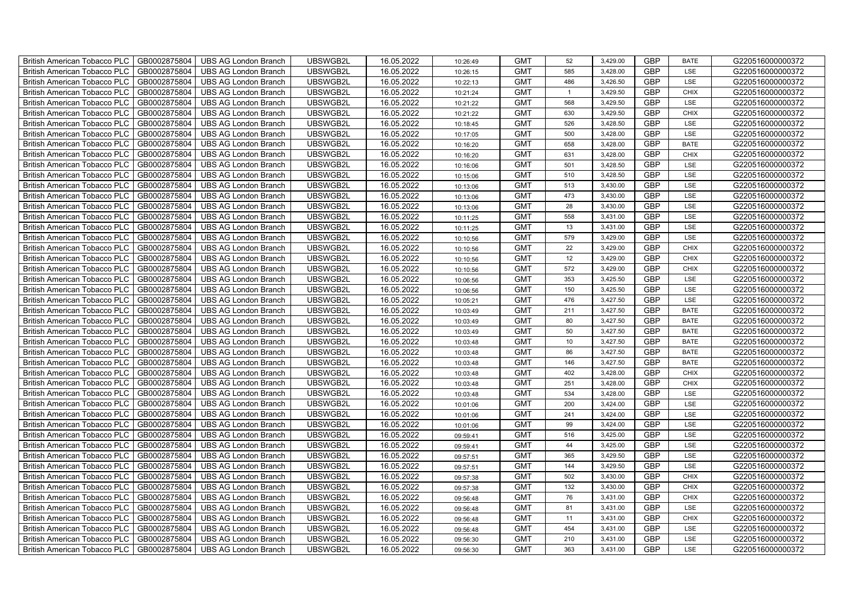| British American Tobacco PLC        | GB0002875804 | <b>UBS AG London Branch</b> | UBSWGB2L | 16.05.2022 | 10:26:49 | <b>GMT</b> | 52             | 3,429.00 | <b>GBP</b> | <b>BATE</b> | G220516000000372 |
|-------------------------------------|--------------|-----------------------------|----------|------------|----------|------------|----------------|----------|------------|-------------|------------------|
| <b>British American Tobacco PLC</b> | GB0002875804 | <b>UBS AG London Branch</b> | UBSWGB2L | 16.05.2022 | 10:26:15 | <b>GMT</b> | 585            | 3,428.00 | <b>GBP</b> | LSE         | G220516000000372 |
| <b>British American Tobacco PLC</b> | GB0002875804 | UBS AG London Branch        | UBSWGB2L | 16.05.2022 | 10:22:13 | <b>GMT</b> | 486            | 3,426.50 | <b>GBP</b> | <b>LSE</b>  | G220516000000372 |
| <b>British American Tobacco PLC</b> | GB0002875804 | <b>UBS AG London Branch</b> | UBSWGB2L | 16.05.2022 | 10:21:24 | <b>GMT</b> | $\overline{1}$ | 3,429.50 | <b>GBP</b> | <b>CHIX</b> | G220516000000372 |
| British American Tobacco PLC        | GB0002875804 | <b>UBS AG London Branch</b> | UBSWGB2L | 16.05.2022 | 10:21:22 | <b>GMT</b> | 568            | 3,429.50 | <b>GBP</b> | <b>LSE</b>  | G220516000000372 |
| <b>British American Tobacco PLC</b> | GB0002875804 | <b>UBS AG London Branch</b> | UBSWGB2L | 16.05.2022 | 10:21:22 | <b>GMT</b> | 630            | 3,429.50 | <b>GBP</b> | <b>CHIX</b> | G220516000000372 |
| British American Tobacco PLC        | GB0002875804 | <b>UBS AG London Branch</b> | UBSWGB2L | 16.05.2022 | 10:18:45 | <b>GMT</b> | 526            | 3,428.50 | <b>GBP</b> | LSE         | G220516000000372 |
| <b>British American Tobacco PLC</b> | GB0002875804 | <b>UBS AG London Branch</b> | UBSWGB2L | 16.05.2022 | 10:17:05 | <b>GMT</b> | 500            | 3,428.00 | <b>GBP</b> | LSE         | G220516000000372 |
| <b>British American Tobacco PLC</b> | GB0002875804 | <b>UBS AG London Branch</b> | UBSWGB2L | 16.05.2022 | 10:16:20 | <b>GMT</b> | 658            | 3,428.00 | <b>GBP</b> | <b>BATE</b> | G220516000000372 |
| British American Tobacco PLC        | GB0002875804 | <b>UBS AG London Branch</b> | UBSWGB2L | 16.05.2022 | 10:16:20 | <b>GMT</b> | 631            | 3,428.00 | <b>GBP</b> | <b>CHIX</b> | G220516000000372 |
| <b>British American Tobacco PLC</b> | GB0002875804 | <b>UBS AG London Branch</b> | UBSWGB2L | 16.05.2022 | 10:16:06 | <b>GMT</b> | 501            | 3,428.50 | <b>GBP</b> | LSE         | G220516000000372 |
| <b>British American Tobacco PLC</b> | GB0002875804 | <b>UBS AG London Branch</b> | UBSWGB2L | 16.05.2022 | 10:15:06 | <b>GMT</b> | 510            | 3,428.50 | <b>GBP</b> | <b>LSE</b>  | G220516000000372 |
| <b>British American Tobacco PLC</b> | GB0002875804 | <b>UBS AG London Branch</b> | UBSWGB2L | 16.05.2022 | 10:13:06 | <b>GMT</b> | 513            | 3,430.00 | <b>GBP</b> | LSE         | G220516000000372 |
| British American Tobacco PLC        | GB0002875804 | <b>UBS AG London Branch</b> | UBSWGB2L | 16.05.2022 | 10:13:06 | <b>GMT</b> | 473            | 3,430.00 | <b>GBP</b> | LSE         | G220516000000372 |
| <b>British American Tobacco PLC</b> | GB0002875804 | <b>UBS AG London Branch</b> | UBSWGB2L | 16.05.2022 | 10:13:06 | <b>GMT</b> | 28             | 3,430.00 | <b>GBP</b> | LSE         | G220516000000372 |
| British American Tobacco PLC        | GB0002875804 | <b>UBS AG London Branch</b> | UBSWGB2L | 16.05.2022 | 10:11:25 | <b>GMT</b> | 558            | 3,431.00 | <b>GBP</b> | LSE         | G220516000000372 |
| <b>British American Tobacco PLC</b> | GB0002875804 | <b>UBS AG London Branch</b> | UBSWGB2L | 16.05.2022 | 10:11:25 | <b>GMT</b> | 13             | 3,431.00 | <b>GBP</b> | LSE         | G220516000000372 |
| <b>British American Tobacco PLC</b> | GB0002875804 | <b>UBS AG London Branch</b> | UBSWGB2L | 16.05.2022 | 10:10:56 | <b>GMT</b> | 579            | 3,429.00 | <b>GBP</b> | LSE         | G220516000000372 |
| British American Tobacco PLC        | GB0002875804 | <b>UBS AG London Branch</b> | UBSWGB2L | 16.05.2022 | 10:10:56 | <b>GMT</b> | 22             | 3,429.00 | <b>GBP</b> | <b>CHIX</b> | G220516000000372 |
| <b>British American Tobacco PLC</b> | GB0002875804 | <b>UBS AG London Branch</b> | UBSWGB2L | 16.05.2022 | 10:10:56 | <b>GMT</b> | 12             | 3,429.00 | <b>GBP</b> | <b>CHIX</b> | G220516000000372 |
| <b>British American Tobacco PLC</b> | GB0002875804 | <b>UBS AG London Branch</b> | UBSWGB2L | 16.05.2022 | 10:10:56 | <b>GMT</b> | 572            | 3,429.00 | <b>GBP</b> | <b>CHIX</b> | G220516000000372 |
| British American Tobacco PLC        | GB0002875804 | <b>UBS AG London Branch</b> | UBSWGB2L | 16.05.2022 | 10:06:56 | <b>GMT</b> | 353            | 3,425.50 | <b>GBP</b> | LSE         | G220516000000372 |
| British American Tobacco PLC        | GB0002875804 | UBS AG London Branch        | UBSWGB2L | 16.05.2022 | 10:06:56 | <b>GMT</b> | 150            | 3,425.50 | GBP        | LSE         | G220516000000372 |
| <b>British American Tobacco PLC</b> | GB0002875804 | <b>UBS AG London Branch</b> | UBSWGB2L | 16.05.2022 | 10:05:21 | <b>GMT</b> | 476            | 3,427.50 | <b>GBP</b> | LSE         | G220516000000372 |
| <b>British American Tobacco PLC</b> | GB0002875804 | <b>UBS AG London Branch</b> | UBSWGB2L | 16.05.2022 | 10:03:49 | <b>GMT</b> | 211            | 3,427.50 | <b>GBP</b> | <b>BATE</b> | G220516000000372 |
| <b>British American Tobacco PLC</b> | GB0002875804 | <b>UBS AG London Branch</b> | UBSWGB2L | 16.05.2022 | 10:03:49 | <b>GMT</b> | 80             | 3,427.50 | <b>GBP</b> | <b>BATE</b> | G220516000000372 |
| <b>British American Tobacco PLC</b> | GB0002875804 | <b>UBS AG London Branch</b> | UBSWGB2L | 16.05.2022 | 10:03:49 | <b>GMT</b> | 50             | 3,427.50 | <b>GBP</b> | <b>BATE</b> | G220516000000372 |
| British American Tobacco PLC        | GB0002875804 | <b>UBS AG London Branch</b> | UBSWGB2L | 16.05.2022 | 10:03:48 | <b>GMT</b> | 10             | 3,427.50 | <b>GBP</b> | <b>BATE</b> | G220516000000372 |
| <b>British American Tobacco PLC</b> | GB0002875804 | <b>UBS AG London Branch</b> | UBSWGB2L | 16.05.2022 | 10:03:48 | <b>GMT</b> | 86             | 3,427.50 | <b>GBP</b> | <b>BATE</b> | G220516000000372 |
| <b>British American Tobacco PLC</b> | GB0002875804 | <b>UBS AG London Branch</b> | UBSWGB2L | 16.05.2022 | 10:03:48 | <b>GMT</b> | 146            | 3,427.50 | <b>GBP</b> | <b>BATE</b> | G220516000000372 |
| British American Tobacco PLC        | GB0002875804 | <b>UBS AG London Branch</b> | UBSWGB2L | 16.05.2022 | 10:03:48 | <b>GMT</b> | 402            | 3,428.00 | <b>GBP</b> | <b>CHIX</b> | G220516000000372 |
| British American Tobacco PLC        | GB0002875804 | UBS AG London Branch        | UBSWGB2L | 16.05.2022 | 10:03:48 | <b>GMT</b> | 251            | 3,428.00 | GBP        | <b>CHIX</b> | G220516000000372 |
| <b>British American Tobacco PLC</b> | GB0002875804 | <b>UBS AG London Branch</b> | UBSWGB2L | 16.05.2022 | 10:03:48 | <b>GMT</b> | 534            | 3,428.00 | <b>GBP</b> | LSE         | G220516000000372 |
| British American Tobacco PLC        | GB0002875804 | <b>UBS AG London Branch</b> | UBSWGB2L | 16.05.2022 | 10:01:06 | <b>GMT</b> | 200            | 3,424.00 | <b>GBP</b> | LSE         | G220516000000372 |
| <b>British American Tobacco PLC</b> | GB0002875804 | <b>UBS AG London Branch</b> | UBSWGB2L | 16.05.2022 | 10:01:06 | <b>GMT</b> | 241            | 3,424.00 | <b>GBP</b> | LSE         | G220516000000372 |
| <b>British American Tobacco PLC</b> | GB0002875804 | <b>UBS AG London Branch</b> | UBSWGB2L | 16.05.2022 | 10:01:06 | <b>GMT</b> | 99             | 3,424.00 | <b>GBP</b> | LSE         | G220516000000372 |
| <b>British American Tobacco PLC</b> | GB0002875804 | <b>UBS AG London Branch</b> | UBSWGB2L | 16.05.2022 | 09:59:41 | <b>GMT</b> | 516            | 3,425.00 | <b>GBP</b> | LSE         | G220516000000372 |
| <b>British American Tobacco PLC</b> | GB0002875804 | <b>UBS AG London Branch</b> | UBSWGB2L | 16.05.2022 | 09:59:41 | <b>GMT</b> | 44             | 3,425.00 | <b>GBP</b> | LSE         | G220516000000372 |
| <b>British American Tobacco PLC</b> | GB0002875804 | <b>UBS AG London Branch</b> | UBSWGB2L | 16.05.2022 | 09:57:51 | <b>GMT</b> | 365            | 3,429.50 | <b>GBP</b> | LSE         | G220516000000372 |
| <b>British American Tobacco PLC</b> | GB0002875804 | <b>UBS AG London Branch</b> | UBSWGB2L | 16.05.2022 | 09:57:51 | <b>GMT</b> | 144            | 3,429.50 | GBP        | LSE         | G220516000000372 |
| British American Tobacco PLC        | GB0002875804 | UBS AG London Branch        | UBSWGB2L | 16.05.2022 | 09:57:38 | <b>GMT</b> | 502            | 3,430.00 | GBP        | <b>CHIX</b> | G220516000000372 |
| <b>British American Tobacco PLC</b> | GB0002875804 | <b>UBS AG London Branch</b> | UBSWGB2L | 16.05.2022 | 09:57:38 | <b>GMT</b> | 132            | 3,430.00 | <b>GBP</b> | <b>CHIX</b> | G220516000000372 |
| British American Tobacco PLC        | GB0002875804 | UBS AG London Branch        | UBSWGB2L | 16.05.2022 | 09:56:48 | <b>GMT</b> | 76             | 3,431.00 | <b>GBP</b> | <b>CHIX</b> | G220516000000372 |
| <b>British American Tobacco PLC</b> | GB0002875804 | <b>UBS AG London Branch</b> | UBSWGB2L | 16.05.2022 | 09:56:48 | <b>GMT</b> | 81             | 3,431.00 | <b>GBP</b> | LSE         | G220516000000372 |
| <b>British American Tobacco PLC</b> | GB0002875804 | <b>UBS AG London Branch</b> | UBSWGB2L | 16.05.2022 | 09:56:48 | <b>GMT</b> | 11             | 3,431.00 | <b>GBP</b> | <b>CHIX</b> | G220516000000372 |
| <b>British American Tobacco PLC</b> | GB0002875804 | <b>UBS AG London Branch</b> | UBSWGB2L | 16.05.2022 | 09:56:48 | <b>GMT</b> | 454            | 3,431.00 | GBP        | LSE         | G220516000000372 |
| <b>British American Tobacco PLC</b> | GB0002875804 | <b>UBS AG London Branch</b> | UBSWGB2L | 16.05.2022 | 09:56:30 | <b>GMT</b> | 210            | 3,431.00 | <b>GBP</b> | LSE         | G220516000000372 |
| British American Tobacco PLC        | GB0002875804 | UBS AG London Branch        | UBSWGB2L | 16.05.2022 | 09:56:30 | <b>GMT</b> | 363            | 3,431.00 | <b>GBP</b> | <b>LSE</b>  | G220516000000372 |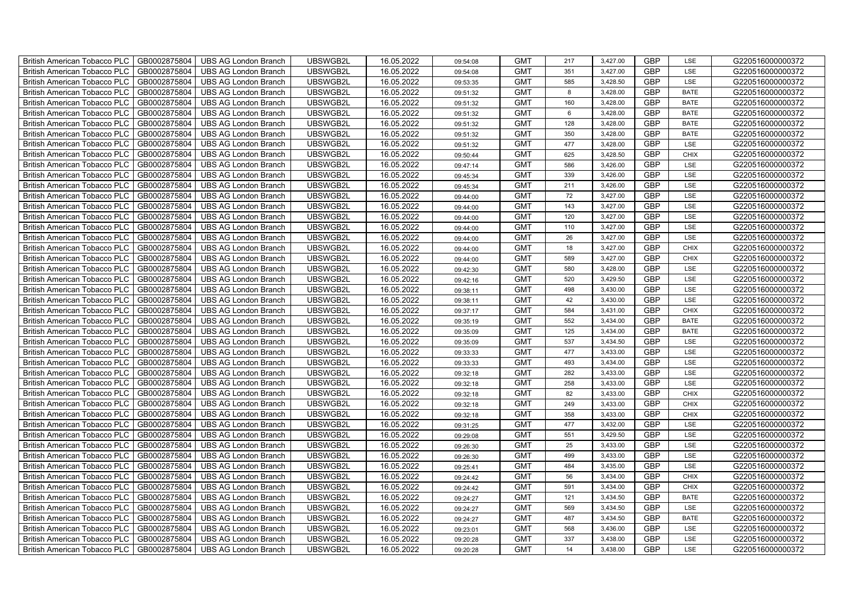| British American Tobacco PLC        | GB0002875804 | <b>UBS AG London Branch</b> | UBSWGB2L | 16.05.2022 | 09:54:08 | <b>GMT</b> | 217 | 3,427.00 | <b>GBP</b> | LSE         | G220516000000372 |
|-------------------------------------|--------------|-----------------------------|----------|------------|----------|------------|-----|----------|------------|-------------|------------------|
| <b>British American Tobacco PLC</b> | GB0002875804 | <b>UBS AG London Branch</b> | UBSWGB2L | 16.05.2022 | 09:54:08 | <b>GMT</b> | 351 | 3,427.00 | <b>GBP</b> | <b>LSE</b>  | G220516000000372 |
| <b>British American Tobacco PLC</b> | GB0002875804 | <b>UBS AG London Branch</b> | UBSWGB2L | 16.05.2022 | 09:53:35 | <b>GMT</b> | 585 | 3,428.50 | <b>GBP</b> | LSE         | G220516000000372 |
| British American Tobacco PLC        | GB0002875804 | <b>UBS AG London Branch</b> | UBSWGB2L | 16.05.2022 | 09:51:32 | <b>GMT</b> | 8   | 3,428.00 | <b>GBP</b> | <b>BATE</b> | G220516000000372 |
| <b>British American Tobacco PLC</b> | GB0002875804 | <b>UBS AG London Branch</b> | UBSWGB2L | 16.05.2022 | 09:51:32 | <b>GMT</b> | 160 | 3,428.00 | <b>GBP</b> | <b>BATE</b> | G220516000000372 |
| British American Tobacco PLC        | GB0002875804 | <b>UBS AG London Branch</b> | UBSWGB2L | 16.05.2022 | 09:51:32 | <b>GMT</b> | 6   | 3,428.00 | <b>GBP</b> | <b>BATE</b> | G220516000000372 |
| <b>British American Tobacco PLC</b> | GB0002875804 | <b>UBS AG London Branch</b> | UBSWGB2L | 16.05.2022 | 09:51:32 | <b>GMT</b> | 128 | 3,428.00 | <b>GBP</b> | <b>BATE</b> | G220516000000372 |
| British American Tobacco PLC        | GB0002875804 | <b>UBS AG London Branch</b> | UBSWGB2L | 16.05.2022 | 09:51:32 | <b>GMT</b> | 350 | 3,428.00 | <b>GBP</b> | <b>BATE</b> | G220516000000372 |
| <b>British American Tobacco PLC</b> | GB0002875804 | <b>UBS AG London Branch</b> | UBSWGB2L | 16.05.2022 | 09:51:32 | <b>GMT</b> | 477 | 3,428.00 | <b>GBP</b> | LSE         | G220516000000372 |
| British American Tobacco PLC        | GB0002875804 | <b>UBS AG London Branch</b> | UBSWGB2L | 16.05.2022 | 09:50:44 | <b>GMT</b> | 625 | 3,428.50 | <b>GBP</b> | <b>CHIX</b> | G220516000000372 |
| <b>British American Tobacco PLC</b> | GB0002875804 | <b>UBS AG London Branch</b> | UBSWGB2L | 16.05.2022 | 09:47:14 | <b>GMT</b> | 586 | 3,426.00 | <b>GBP</b> | LSE         | G220516000000372 |
| <b>British American Tobacco PLC</b> | GB0002875804 | <b>UBS AG London Branch</b> | UBSWGB2L | 16.05.2022 | 09:45:34 | <b>GMT</b> | 339 | 3,426.00 | <b>GBP</b> | LSE         | G220516000000372 |
| British American Tobacco PLC        | GB0002875804 | <b>UBS AG London Branch</b> | UBSWGB2L | 16.05.2022 | 09:45:34 | <b>GMT</b> | 211 | 3,426.00 | <b>GBP</b> | LSE         | G220516000000372 |
| British American Tobacco PLC        | GB0002875804 | <b>UBS AG London Branch</b> | UBSWGB2L | 16.05.2022 | 09:44:00 | <b>GMT</b> | 72  | 3,427.00 | <b>GBP</b> | LSE         | G220516000000372 |
| British American Tobacco PLC        | GB0002875804 | <b>UBS AG London Branch</b> | UBSWGB2L | 16.05.2022 | 09:44:00 | <b>GMT</b> | 143 | 3,427.00 | <b>GBP</b> | LSE         | G220516000000372 |
| British American Tobacco PLC        | GB0002875804 | <b>UBS AG London Branch</b> | UBSWGB2L | 16.05.2022 | 09:44:00 | <b>GMT</b> | 120 | 3,427.00 | <b>GBP</b> | LSE         | G220516000000372 |
| British American Tobacco PLC        | GB0002875804 | <b>UBS AG London Branch</b> | UBSWGB2L | 16.05.2022 | 09:44:00 | <b>GMT</b> | 110 | 3,427.00 | <b>GBP</b> | LSE         | G220516000000372 |
| British American Tobacco PLC        | GB0002875804 | <b>UBS AG London Branch</b> | UBSWGB2L | 16.05.2022 | 09:44:00 | <b>GMT</b> | 26  | 3,427.00 | <b>GBP</b> | LSE         | G220516000000372 |
| British American Tobacco PLC        | GB0002875804 | <b>UBS AG London Branch</b> | UBSWGB2L | 16.05.2022 | 09:44:00 | <b>GMT</b> | 18  | 3,427.00 | <b>GBP</b> | <b>CHIX</b> | G220516000000372 |
| British American Tobacco PLC        | GB0002875804 | <b>UBS AG London Branch</b> | UBSWGB2L | 16.05.2022 | 09:44:00 | <b>GMT</b> | 589 | 3,427.00 | <b>GBP</b> | CHIX        | G220516000000372 |
| <b>British American Tobacco PLC</b> | GB0002875804 | <b>UBS AG London Branch</b> | UBSWGB2L | 16.05.2022 | 09:42:30 | <b>GMT</b> | 580 | 3,428.00 | <b>GBP</b> | <b>LSE</b>  | G220516000000372 |
| British American Tobacco PLC        | GB0002875804 | <b>UBS AG London Branch</b> | UBSWGB2L | 16.05.2022 | 09:42:16 | <b>GMT</b> | 520 | 3,429.50 | GBP        | LSE         | G220516000000372 |
| British American Tobacco PLC        | GB0002875804 | <b>UBS AG London Branch</b> | UBSWGB2L | 16.05.2022 | 09:38:11 | <b>GMT</b> | 498 | 3,430.00 | GBP        | LSE         | G220516000000372 |
| British American Tobacco PLC        | GB0002875804 | <b>UBS AG London Branch</b> | UBSWGB2L | 16.05.2022 | 09:38:11 | <b>GMT</b> | 42  | 3,430.00 | <b>GBP</b> | LSE         | G220516000000372 |
| <b>British American Tobacco PLC</b> | GB0002875804 | <b>UBS AG London Branch</b> | UBSWGB2L | 16.05.2022 | 09:37:17 | <b>GMT</b> | 584 | 3,431.00 | <b>GBP</b> | CHIX        | G220516000000372 |
| British American Tobacco PLC        | GB0002875804 | <b>UBS AG London Branch</b> | UBSWGB2L | 16.05.2022 | 09:35:19 | <b>GMT</b> | 552 | 3,434.00 | <b>GBP</b> | <b>BATE</b> | G220516000000372 |
| British American Tobacco PLC        | GB0002875804 | <b>UBS AG London Branch</b> | UBSWGB2L | 16.05.2022 | 09:35:09 | <b>GMT</b> | 125 | 3,434.00 | <b>GBP</b> | <b>BATE</b> | G220516000000372 |
| British American Tobacco PLC        | GB0002875804 | <b>UBS AG London Branch</b> | UBSWGB2L | 16.05.2022 | 09:35:09 | <b>GMT</b> | 537 | 3,434.50 | <b>GBP</b> | LSE         | G220516000000372 |
| <b>British American Tobacco PLC</b> | GB0002875804 | <b>UBS AG London Branch</b> | UBSWGB2L | 16.05.2022 | 09:33:33 | <b>GMT</b> | 477 | 3,433.00 | <b>GBP</b> | LSE         | G220516000000372 |
| <b>British American Tobacco PLC</b> | GB0002875804 | <b>UBS AG London Branch</b> | UBSWGB2L | 16.05.2022 | 09:33:33 | <b>GMT</b> | 493 | 3,434.00 | <b>GBP</b> | LSE         | G220516000000372 |
| British American Tobacco PLC        | GB0002875804 | <b>UBS AG London Branch</b> | UBSWGB2L | 16.05.2022 | 09:32:18 | <b>GMT</b> | 282 | 3,433.00 | <b>GBP</b> | LSE         | G220516000000372 |
| British American Tobacco PLC        | GB0002875804 | <b>UBS AG London Branch</b> | UBSWGB2L | 16.05.2022 | 09:32:18 | <b>GMT</b> | 258 | 3,433.00 | <b>GBP</b> | LSE         | G220516000000372 |
| British American Tobacco PLC        | GB0002875804 | <b>UBS AG London Branch</b> | UBSWGB2L | 16.05.2022 | 09:32:18 | <b>GMT</b> | 82  | 3,433.00 | <b>GBP</b> | CHIX        | G220516000000372 |
| British American Tobacco PLC        | GB0002875804 | UBS AG London Branch        | UBSWGB2L | 16.05.2022 | 09:32:18 | <b>GMT</b> | 249 | 3,433.00 | <b>GBP</b> | CHIX        | G220516000000372 |
| British American Tobacco PLC        | GB0002875804 | <b>UBS AG London Branch</b> | UBSWGB2L | 16.05.2022 | 09:32:18 | <b>GMT</b> | 358 | 3,433.00 | <b>GBP</b> | CHIX        | G220516000000372 |
| British American Tobacco PLC        | GB0002875804 | <b>UBS AG London Branch</b> | UBSWGB2L | 16.05.2022 | 09:31:25 | <b>GMT</b> | 477 | 3,432.00 | <b>GBP</b> | LSE         | G220516000000372 |
| British American Tobacco PLC        | GB0002875804 | <b>UBS AG London Branch</b> | UBSWGB2L | 16.05.2022 | 09:29:08 | <b>GMT</b> | 551 | 3,429.50 | <b>GBP</b> | LSE         | G220516000000372 |
| <b>British American Tobacco PLC</b> | GB0002875804 | <b>UBS AG London Branch</b> | UBSWGB2L | 16.05.2022 | 09:26:30 | <b>GMT</b> | 25  | 3,433.00 | <b>GBP</b> | LSE         | G220516000000372 |
| British American Tobacco PLC        | GB0002875804 | <b>UBS AG London Branch</b> | UBSWGB2L | 16.05.2022 | 09:26:30 | <b>GMT</b> | 499 | 3,433.00 | <b>GBP</b> | LSE         | G220516000000372 |
| <b>British American Tobacco PLC</b> | GB0002875804 | UBS AG London Branch        | UBSWGB2L | 16.05.2022 | 09:25:41 | <b>GMT</b> | 484 | 3,435.00 | <b>GBP</b> | LSE         | G220516000000372 |
| British American Tobacco PLC        | GB0002875804 | UBS AG London Branch        | UBSWGB2L | 16.05.2022 | 09:24:42 | <b>GMT</b> | 56  | 3,434.00 | GBP        | <b>CHIX</b> | G220516000000372 |
| British American Tobacco PLC        | GB0002875804 | <b>UBS AG London Branch</b> | UBSWGB2L | 16.05.2022 | 09:24:42 | <b>GMT</b> | 591 | 3,434.00 | <b>GBP</b> | <b>CHIX</b> | G220516000000372 |
| British American Tobacco PLC        | GB0002875804 | UBS AG London Branch        | UBSWGB2L | 16.05.2022 | 09:24:27 | <b>GMT</b> | 121 | 3,434.50 | <b>GBP</b> | <b>BATE</b> | G220516000000372 |
| <b>British American Tobacco PLC</b> | GB0002875804 | <b>UBS AG London Branch</b> | UBSWGB2L | 16.05.2022 | 09:24:27 | <b>GMT</b> | 569 | 3,434.50 | <b>GBP</b> | LSE         | G220516000000372 |
| <b>British American Tobacco PLC</b> | GB0002875804 | <b>UBS AG London Branch</b> | UBSWGB2L | 16.05.2022 | 09:24:27 | <b>GMT</b> | 487 | 3,434.50 | <b>GBP</b> | <b>BATE</b> | G220516000000372 |
| <b>British American Tobacco PLC</b> | GB0002875804 | <b>UBS AG London Branch</b> | UBSWGB2L | 16.05.2022 | 09:23:01 | <b>GMT</b> | 568 | 3,436.00 | <b>GBP</b> | LSE         | G220516000000372 |
| <b>British American Tobacco PLC</b> | GB0002875804 | <b>UBS AG London Branch</b> | UBSWGB2L | 16.05.2022 | 09:20:28 | <b>GMT</b> | 337 | 3,438.00 | <b>GBP</b> | LSE         | G220516000000372 |
| British American Tobacco PLC        | GB0002875804 | UBS AG London Branch        | UBSWGB2L | 16.05.2022 | 09:20:28 | <b>GMT</b> | 14  | 3,438.00 | <b>GBP</b> | LSE         | G220516000000372 |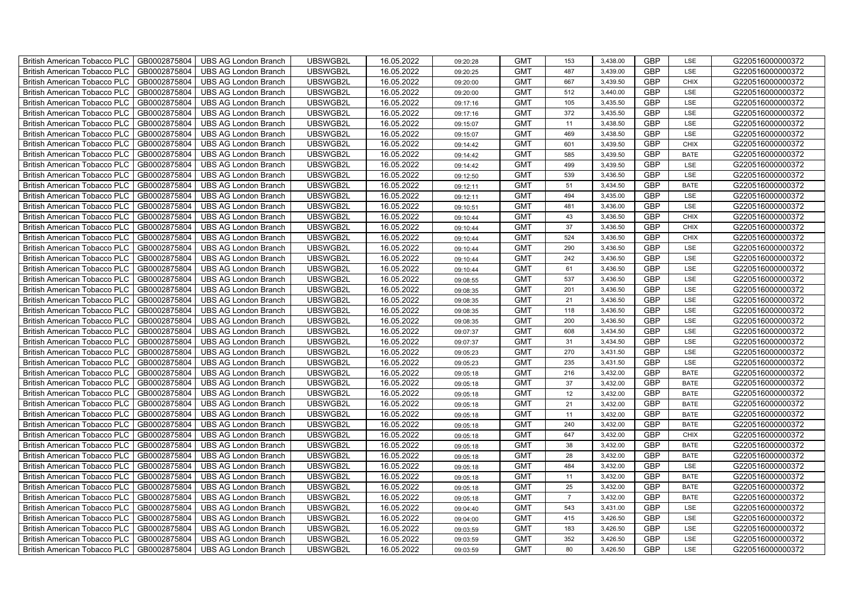| British American Tobacco PLC        | GB0002875804 | <b>UBS AG London Branch</b> | UBSWGB2L | 16.05.2022 | 09:20:28 | <b>GMT</b> | 153            | 3,438.00 | <b>GBP</b> | LSE         | G220516000000372 |
|-------------------------------------|--------------|-----------------------------|----------|------------|----------|------------|----------------|----------|------------|-------------|------------------|
| <b>British American Tobacco PLC</b> | GB0002875804 | <b>UBS AG London Branch</b> | UBSWGB2L | 16.05.2022 | 09:20:25 | <b>GMT</b> | 487            | 3,439.00 | <b>GBP</b> | <b>LSE</b>  | G220516000000372 |
| <b>British American Tobacco PLC</b> | GB0002875804 | <b>UBS AG London Branch</b> | UBSWGB2L | 16.05.2022 | 09:20:00 | <b>GMT</b> | 667            | 3,439.50 | <b>GBP</b> | <b>CHIX</b> | G220516000000372 |
| British American Tobacco PLC        | GB0002875804 | <b>UBS AG London Branch</b> | UBSWGB2L | 16.05.2022 | 09:20:00 | <b>GMT</b> | 512            | 3,440.00 | <b>GBP</b> | LSE         | G220516000000372 |
| <b>British American Tobacco PLC</b> | GB0002875804 | <b>UBS AG London Branch</b> | UBSWGB2L | 16.05.2022 | 09:17:16 | <b>GMT</b> | 105            | 3,435.50 | <b>GBP</b> | LSE         | G220516000000372 |
| British American Tobacco PLC        | GB0002875804 | <b>UBS AG London Branch</b> | UBSWGB2L | 16.05.2022 | 09:17:16 | <b>GMT</b> | 372            | 3,435.50 | <b>GBP</b> | LSE         | G220516000000372 |
| <b>British American Tobacco PLC</b> | GB0002875804 | <b>UBS AG London Branch</b> | UBSWGB2L | 16.05.2022 | 09:15:07 | <b>GMT</b> | 11             | 3,438.50 | <b>GBP</b> | LSE         | G220516000000372 |
| British American Tobacco PLC        | GB0002875804 | <b>UBS AG London Branch</b> | UBSWGB2L | 16.05.2022 | 09:15:07 | <b>GMT</b> | 469            | 3,438.50 | <b>GBP</b> | LSE         | G220516000000372 |
| <b>British American Tobacco PLC</b> | GB0002875804 | <b>UBS AG London Branch</b> | UBSWGB2L | 16.05.2022 | 09:14:42 | <b>GMT</b> | 601            | 3,439.50 | <b>GBP</b> | <b>CHIX</b> | G220516000000372 |
| British American Tobacco PLC        | GB0002875804 | <b>UBS AG London Branch</b> | UBSWGB2L | 16.05.2022 | 09:14:42 | <b>GMT</b> | 585            | 3,439.50 | <b>GBP</b> | <b>BATE</b> | G220516000000372 |
| <b>British American Tobacco PLC</b> | GB0002875804 | <b>UBS AG London Branch</b> | UBSWGB2L | 16.05.2022 | 09:14:42 | <b>GMT</b> | 499            | 3,439.50 | <b>GBP</b> | LSE         | G220516000000372 |
| <b>British American Tobacco PLC</b> | GB0002875804 | <b>UBS AG London Branch</b> | UBSWGB2L | 16.05.2022 | 09:12:50 | <b>GMT</b> | 539            | 3,436.50 | <b>GBP</b> | LSE         | G220516000000372 |
| British American Tobacco PLC        | GB0002875804 | <b>UBS AG London Branch</b> | UBSWGB2L | 16.05.2022 | 09:12:11 | <b>GMT</b> | 51             | 3,434.50 | <b>GBP</b> | <b>BATE</b> | G220516000000372 |
| British American Tobacco PLC        | GB0002875804 | <b>UBS AG London Branch</b> | UBSWGB2L | 16.05.2022 | 09:12:11 | <b>GMT</b> | 494            | 3,435.00 | <b>GBP</b> | LSE         | G220516000000372 |
| British American Tobacco PLC        | GB0002875804 | <b>UBS AG London Branch</b> | UBSWGB2L | 16.05.2022 | 09:10:51 | <b>GMT</b> | 481            | 3,436.00 | <b>GBP</b> | LSE         | G220516000000372 |
| British American Tobacco PLC        | GB0002875804 | <b>UBS AG London Branch</b> | UBSWGB2L | 16.05.2022 | 09:10:44 | <b>GMT</b> | 43             | 3,436.50 | <b>GBP</b> | <b>CHIX</b> | G220516000000372 |
| British American Tobacco PLC        | GB0002875804 | <b>UBS AG London Branch</b> | UBSWGB2L | 16.05.2022 | 09:10:44 | <b>GMT</b> | 37             | 3,436.50 | <b>GBP</b> | <b>CHIX</b> | G220516000000372 |
| British American Tobacco PLC        | GB0002875804 | <b>UBS AG London Branch</b> | UBSWGB2L | 16.05.2022 | 09:10:44 | <b>GMT</b> | 524            | 3,436.50 | <b>GBP</b> | <b>CHIX</b> | G220516000000372 |
| British American Tobacco PLC        | GB0002875804 | <b>UBS AG London Branch</b> | UBSWGB2L | 16.05.2022 | 09:10:44 | <b>GMT</b> | 290            | 3,436.50 | <b>GBP</b> | LSE         | G220516000000372 |
| British American Tobacco PLC        | GB0002875804 | <b>UBS AG London Branch</b> | UBSWGB2L | 16.05.2022 | 09:10:44 | <b>GMT</b> | 242            | 3,436.50 | <b>GBP</b> | LSE         | G220516000000372 |
| <b>British American Tobacco PLC</b> | GB0002875804 | <b>UBS AG London Branch</b> | UBSWGB2L | 16.05.2022 | 09:10:44 | <b>GMT</b> | 61             | 3,436.50 | <b>GBP</b> | <b>LSE</b>  | G220516000000372 |
| British American Tobacco PLC        | GB0002875804 | <b>UBS AG London Branch</b> | UBSWGB2L | 16.05.2022 | 09:08:55 | <b>GMT</b> | 537            | 3,436.50 | GBP        | LSE         | G220516000000372 |
| British American Tobacco PLC        | GB0002875804 | <b>UBS AG London Branch</b> | UBSWGB2L | 16.05.2022 | 09:08:35 | <b>GMT</b> | 201            | 3,436.50 | GBP        | LSE         | G220516000000372 |
| British American Tobacco PLC        | GB0002875804 | <b>UBS AG London Branch</b> | UBSWGB2L | 16.05.2022 | 09:08:35 | <b>GMT</b> | 21             | 3,436.50 | <b>GBP</b> | LSE         | G220516000000372 |
| <b>British American Tobacco PLC</b> | GB0002875804 | <b>UBS AG London Branch</b> | UBSWGB2L | 16.05.2022 | 09:08:35 | <b>GMT</b> | 118            | 3,436.50 | <b>GBP</b> | LSE         | G220516000000372 |
| British American Tobacco PLC        | GB0002875804 | <b>UBS AG London Branch</b> | UBSWGB2L | 16.05.2022 | 09:08:35 | <b>GMT</b> | 200            | 3,436.50 | <b>GBP</b> | LSE         | G220516000000372 |
| British American Tobacco PLC        | GB0002875804 | <b>UBS AG London Branch</b> | UBSWGB2L | 16.05.2022 | 09:07:37 | <b>GMT</b> | 608            | 3,434.50 | <b>GBP</b> | LSE         | G220516000000372 |
| British American Tobacco PLC        | GB0002875804 | <b>UBS AG London Branch</b> | UBSWGB2L | 16.05.2022 | 09:07:37 | <b>GMT</b> | 31             | 3,434.50 | <b>GBP</b> | LSE         | G220516000000372 |
| <b>British American Tobacco PLC</b> | GB0002875804 | <b>UBS AG London Branch</b> | UBSWGB2L | 16.05.2022 | 09:05:23 | <b>GMT</b> | 270            | 3,431.50 | <b>GBP</b> | LSE         | G220516000000372 |
| <b>British American Tobacco PLC</b> | GB0002875804 | <b>UBS AG London Branch</b> | UBSWGB2L | 16.05.2022 | 09:05:23 | <b>GMT</b> | 235            | 3,431.50 | <b>GBP</b> | LSE         | G220516000000372 |
| British American Tobacco PLC        | GB0002875804 | <b>UBS AG London Branch</b> | UBSWGB2L | 16.05.2022 | 09:05:18 | <b>GMT</b> | 216            | 3,432.00 | <b>GBP</b> | <b>BATE</b> | G220516000000372 |
| British American Tobacco PLC        | GB0002875804 | <b>UBS AG London Branch</b> | UBSWGB2L | 16.05.2022 | 09:05:18 | <b>GMT</b> | 37             | 3,432.00 | <b>GBP</b> | <b>BATE</b> | G220516000000372 |
| British American Tobacco PLC        | GB0002875804 | <b>UBS AG London Branch</b> | UBSWGB2L | 16.05.2022 | 09:05:18 | <b>GMT</b> | 12             | 3,432.00 | <b>GBP</b> | <b>BATE</b> | G220516000000372 |
| British American Tobacco PLC        | GB0002875804 | UBS AG London Branch        | UBSWGB2L | 16.05.2022 | 09:05:18 | <b>GMT</b> | 21             | 3,432.00 | <b>GBP</b> | <b>BATE</b> | G220516000000372 |
| British American Tobacco PLC        | GB0002875804 | <b>UBS AG London Branch</b> | UBSWGB2L | 16.05.2022 | 09:05:18 | <b>GMT</b> | 11             | 3,432.00 | <b>GBP</b> | <b>BATE</b> | G220516000000372 |
| British American Tobacco PLC        | GB0002875804 | <b>UBS AG London Branch</b> | UBSWGB2L | 16.05.2022 | 09:05:18 | <b>GMT</b> | 240            | 3,432.00 | <b>GBP</b> | <b>BATE</b> | G220516000000372 |
| British American Tobacco PLC        | GB0002875804 | <b>UBS AG London Branch</b> | UBSWGB2L | 16.05.2022 | 09:05:18 | <b>GMT</b> | 647            | 3,432.00 | <b>GBP</b> | <b>CHIX</b> | G220516000000372 |
| <b>British American Tobacco PLC</b> | GB0002875804 | <b>UBS AG London Branch</b> | UBSWGB2L | 16.05.2022 | 09:05:18 | <b>GMT</b> | 38             | 3,432.00 | <b>GBP</b> | <b>BATE</b> | G220516000000372 |
| British American Tobacco PLC        | GB0002875804 | <b>UBS AG London Branch</b> | UBSWGB2L | 16.05.2022 | 09:05:18 | <b>GMT</b> | 28             | 3,432.00 | <b>GBP</b> | <b>BATE</b> | G220516000000372 |
| <b>British American Tobacco PLC</b> | GB0002875804 | UBS AG London Branch        | UBSWGB2L | 16.05.2022 | 09:05:18 | <b>GMT</b> | 484            | 3,432.00 | <b>GBP</b> | LSE         | G220516000000372 |
| British American Tobacco PLC        | GB0002875804 | UBS AG London Branch        | UBSWGB2L | 16.05.2022 | 09:05:18 | <b>GMT</b> | 11             | 3,432.00 | GBP        | <b>BATE</b> | G220516000000372 |
| British American Tobacco PLC        | GB0002875804 | <b>UBS AG London Branch</b> | UBSWGB2L | 16.05.2022 | 09:05:18 | <b>GMT</b> | 25             | 3,432.00 | <b>GBP</b> | <b>BATE</b> | G220516000000372 |
| British American Tobacco PLC        | GB0002875804 | UBS AG London Branch        | UBSWGB2L | 16.05.2022 | 09:05:18 | <b>GMT</b> | $\overline{7}$ | 3,432.00 | <b>GBP</b> | <b>BATE</b> | G220516000000372 |
| British American Tobacco PLC        | GB0002875804 | <b>UBS AG London Branch</b> | UBSWGB2L | 16.05.2022 | 09:04:40 | <b>GMT</b> | 543            | 3,431.00 | <b>GBP</b> | LSE         | G220516000000372 |
| <b>British American Tobacco PLC</b> | GB0002875804 | <b>UBS AG London Branch</b> | UBSWGB2L | 16.05.2022 | 09:04:00 | <b>GMT</b> | 415            | 3,426.50 | <b>GBP</b> | LSE         | G220516000000372 |
| <b>British American Tobacco PLC</b> | GB0002875804 | <b>UBS AG London Branch</b> | UBSWGB2L | 16.05.2022 | 09:03:59 | <b>GMT</b> | 183            | 3,426.50 | <b>GBP</b> | LSE         | G220516000000372 |
| <b>British American Tobacco PLC</b> | GB0002875804 | <b>UBS AG London Branch</b> | UBSWGB2L | 16.05.2022 | 09:03:59 | <b>GMT</b> | 352            | 3,426.50 | <b>GBP</b> | LSE         | G220516000000372 |
| British American Tobacco PLC        | GB0002875804 | UBS AG London Branch        | UBSWGB2L | 16.05.2022 | 09:03:59 | <b>GMT</b> | 80             | 3,426.50 | <b>GBP</b> | LSE         | G220516000000372 |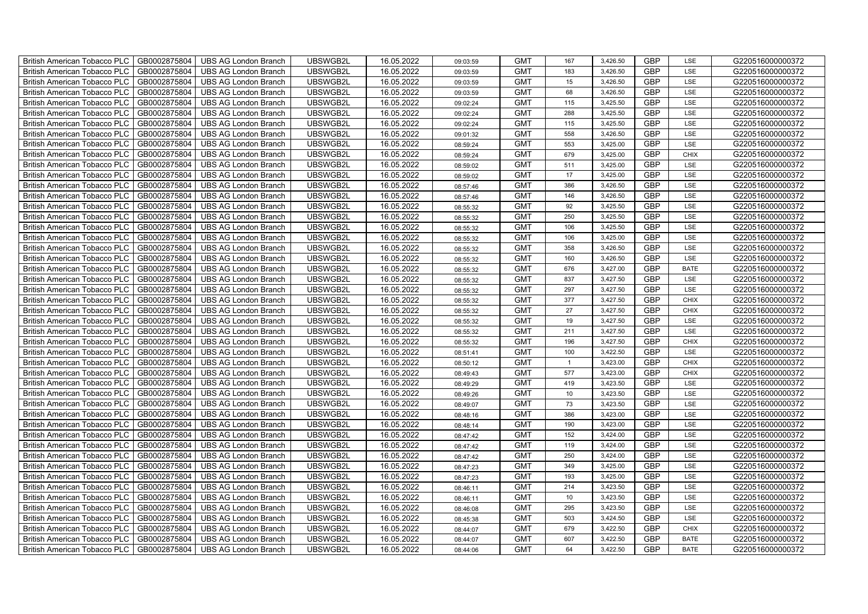| British American Tobacco PLC        | GB0002875804 | <b>UBS AG London Branch</b> | UBSWGB2L | 16.05.2022 | 09:03:59 | <b>GMT</b> | 167            | 3,426.50 | <b>GBP</b> | LSE         | G220516000000372 |
|-------------------------------------|--------------|-----------------------------|----------|------------|----------|------------|----------------|----------|------------|-------------|------------------|
| <b>British American Tobacco PLC</b> | GB0002875804 | <b>UBS AG London Branch</b> | UBSWGB2L | 16.05.2022 | 09:03:59 | <b>GMT</b> | 183            | 3,426.50 | <b>GBP</b> | <b>LSE</b>  | G220516000000372 |
| <b>British American Tobacco PLC</b> | GB0002875804 | <b>UBS AG London Branch</b> | UBSWGB2L | 16.05.2022 | 09:03:59 | <b>GMT</b> | 15             | 3,426.50 | <b>GBP</b> | LSE         | G220516000000372 |
| British American Tobacco PLC        | GB0002875804 | <b>UBS AG London Branch</b> | UBSWGB2L | 16.05.2022 | 09:03:59 | <b>GMT</b> | 68             | 3,426.50 | <b>GBP</b> | LSE         | G220516000000372 |
| <b>British American Tobacco PLC</b> | GB0002875804 | <b>UBS AG London Branch</b> | UBSWGB2L | 16.05.2022 | 09:02:24 | <b>GMT</b> | 115            | 3,425.50 | <b>GBP</b> | LSE         | G220516000000372 |
| British American Tobacco PLC        | GB0002875804 | <b>UBS AG London Branch</b> | UBSWGB2L | 16.05.2022 | 09:02:24 | <b>GMT</b> | 288            | 3,425.50 | <b>GBP</b> | LSE         | G220516000000372 |
| <b>British American Tobacco PLC</b> | GB0002875804 | <b>UBS AG London Branch</b> | UBSWGB2L | 16.05.2022 | 09:02:24 | <b>GMT</b> | 115            | 3,425.50 | <b>GBP</b> | LSE         | G220516000000372 |
| British American Tobacco PLC        | GB0002875804 | <b>UBS AG London Branch</b> | UBSWGB2L | 16.05.2022 | 09:01:32 | <b>GMT</b> | 558            | 3,426.50 | <b>GBP</b> | LSE         | G220516000000372 |
| <b>British American Tobacco PLC</b> | GB0002875804 | <b>UBS AG London Branch</b> | UBSWGB2L | 16.05.2022 | 08:59:24 | <b>GMT</b> | 553            | 3,425.00 | <b>GBP</b> | LSE         | G220516000000372 |
| British American Tobacco PLC        | GB0002875804 | <b>UBS AG London Branch</b> | UBSWGB2L | 16.05.2022 | 08:59:24 | <b>GMT</b> | 679            | 3,425.00 | <b>GBP</b> | <b>CHIX</b> | G220516000000372 |
| <b>British American Tobacco PLC</b> | GB0002875804 | <b>UBS AG London Branch</b> | UBSWGB2L | 16.05.2022 | 08:59:02 | <b>GMT</b> | 511            | 3,425.00 | <b>GBP</b> | LSE         | G220516000000372 |
| <b>British American Tobacco PLC</b> | GB0002875804 | <b>UBS AG London Branch</b> | UBSWGB2L | 16.05.2022 | 08:59:02 | <b>GMT</b> | 17             | 3,425.00 | <b>GBP</b> | LSE         | G220516000000372 |
| British American Tobacco PLC        | GB0002875804 | <b>UBS AG London Branch</b> | UBSWGB2L | 16.05.2022 | 08:57:46 | <b>GMT</b> | 386            | 3,426.50 | <b>GBP</b> | LSE         | G220516000000372 |
| British American Tobacco PLC        | GB0002875804 | <b>UBS AG London Branch</b> | UBSWGB2L | 16.05.2022 | 08:57:46 | <b>GMT</b> | 146            | 3,426.50 | <b>GBP</b> | LSE         | G220516000000372 |
| British American Tobacco PLC        | GB0002875804 | <b>UBS AG London Branch</b> | UBSWGB2L | 16.05.2022 | 08:55:32 | <b>GMT</b> | 92             | 3,425.50 | <b>GBP</b> | LSE         | G220516000000372 |
| British American Tobacco PLC        | GB0002875804 | <b>UBS AG London Branch</b> | UBSWGB2L | 16.05.2022 | 08:55:32 | <b>GMT</b> | 250            | 3,425.50 | <b>GBP</b> | LSE         | G220516000000372 |
| British American Tobacco PLC        | GB0002875804 | <b>UBS AG London Branch</b> | UBSWGB2L | 16.05.2022 | 08:55:32 | <b>GMT</b> | 106            | 3,425.50 | <b>GBP</b> | LSE         | G220516000000372 |
| British American Tobacco PLC        | GB0002875804 | <b>UBS AG London Branch</b> | UBSWGB2L | 16.05.2022 | 08:55:32 | <b>GMT</b> | 106            | 3,425.00 | <b>GBP</b> | LSE         | G220516000000372 |
| British American Tobacco PLC        | GB0002875804 | <b>UBS AG London Branch</b> | UBSWGB2L | 16.05.2022 | 08:55:32 | <b>GMT</b> | 358            | 3,426.50 | <b>GBP</b> | LSE         | G220516000000372 |
| British American Tobacco PLC        | GB0002875804 | <b>UBS AG London Branch</b> | UBSWGB2L | 16.05.2022 | 08:55:32 | <b>GMT</b> | 160            | 3,426.50 | <b>GBP</b> | LSE         | G220516000000372 |
| <b>British American Tobacco PLC</b> | GB0002875804 | <b>UBS AG London Branch</b> | UBSWGB2L | 16.05.2022 | 08:55:32 | <b>GMT</b> | 676            | 3,427.00 | <b>GBP</b> | <b>BATE</b> | G220516000000372 |
| British American Tobacco PLC        | GB0002875804 | <b>UBS AG London Branch</b> | UBSWGB2L | 16.05.2022 | 08:55:32 | <b>GMT</b> | 837            | 3,427.50 | GBP        | LSE         | G220516000000372 |
| British American Tobacco PLC        | GB0002875804 | <b>UBS AG London Branch</b> | UBSWGB2L | 16.05.2022 | 08:55:32 | <b>GMT</b> | 297            | 3,427.50 | GBP        | LSE         | G220516000000372 |
| British American Tobacco PLC        | GB0002875804 | <b>UBS AG London Branch</b> | UBSWGB2L | 16.05.2022 | 08:55:32 | <b>GMT</b> | 377            | 3,427.50 | <b>GBP</b> | CHIX        | G220516000000372 |
| <b>British American Tobacco PLC</b> | GB0002875804 | <b>UBS AG London Branch</b> | UBSWGB2L | 16.05.2022 | 08:55:32 | <b>GMT</b> | 27             | 3,427.50 | <b>GBP</b> | CHIX        | G220516000000372 |
| British American Tobacco PLC        | GB0002875804 | <b>UBS AG London Branch</b> | UBSWGB2L | 16.05.2022 | 08:55:32 | <b>GMT</b> | 19             | 3,427.50 | <b>GBP</b> | LSE         | G220516000000372 |
| British American Tobacco PLC        | GB0002875804 | <b>UBS AG London Branch</b> | UBSWGB2L | 16.05.2022 | 08:55:32 | <b>GMT</b> | 211            | 3,427.50 | <b>GBP</b> | LSE         | G220516000000372 |
| British American Tobacco PLC        | GB0002875804 | <b>UBS AG London Branch</b> | UBSWGB2L | 16.05.2022 | 08:55:32 | <b>GMT</b> | 196            | 3,427.50 | <b>GBP</b> | <b>CHIX</b> | G220516000000372 |
| <b>British American Tobacco PLC</b> | GB0002875804 | <b>UBS AG London Branch</b> | UBSWGB2L | 16.05.2022 | 08:51:41 | <b>GMT</b> | 100            | 3,422.50 | <b>GBP</b> | LSE         | G220516000000372 |
| <b>British American Tobacco PLC</b> | GB0002875804 | <b>UBS AG London Branch</b> | UBSWGB2L | 16.05.2022 | 08:50:12 | <b>GMT</b> | $\overline{1}$ | 3,423.00 | <b>GBP</b> | <b>CHIX</b> | G220516000000372 |
| British American Tobacco PLC        | GB0002875804 | <b>UBS AG London Branch</b> | UBSWGB2L | 16.05.2022 | 08:49:43 | <b>GMT</b> | 577            | 3,423.00 | <b>GBP</b> | <b>CHIX</b> | G220516000000372 |
| British American Tobacco PLC        | GB0002875804 | <b>UBS AG London Branch</b> | UBSWGB2L | 16.05.2022 | 08:49:29 | <b>GMT</b> | 419            | 3,423.50 | <b>GBP</b> | LSE         | G220516000000372 |
| British American Tobacco PLC        | GB0002875804 | <b>UBS AG London Branch</b> | UBSWGB2L | 16.05.2022 | 08:49:26 | <b>GMT</b> | 10             | 3,423.50 | <b>GBP</b> | LSE         | G220516000000372 |
| British American Tobacco PLC        | GB0002875804 | <b>UBS AG London Branch</b> | UBSWGB2L | 16.05.2022 | 08:49:07 | <b>GMT</b> | 73             | 3,423.50 | <b>GBP</b> | LSE         | G220516000000372 |
| British American Tobacco PLC        | GB0002875804 | <b>UBS AG London Branch</b> | UBSWGB2L | 16.05.2022 | 08:48:16 | <b>GMT</b> | 386            | 3,423.00 | <b>GBP</b> | LSE         | G220516000000372 |
| British American Tobacco PLC        | GB0002875804 | <b>UBS AG London Branch</b> | UBSWGB2L | 16.05.2022 | 08:48:14 | <b>GMT</b> | 190            | 3,423.00 | <b>GBP</b> | LSE         | G220516000000372 |
| British American Tobacco PLC        | GB0002875804 | <b>UBS AG London Branch</b> | UBSWGB2L | 16.05.2022 | 08:47:42 | <b>GMT</b> | 152            | 3,424.00 | <b>GBP</b> | LSE         | G220516000000372 |
| <b>British American Tobacco PLC</b> | GB0002875804 | <b>UBS AG London Branch</b> | UBSWGB2L | 16.05.2022 | 08:47:42 | <b>GMT</b> | 119            | 3,424.00 | <b>GBP</b> | LSE         | G220516000000372 |
| British American Tobacco PLC        | GB0002875804 | <b>UBS AG London Branch</b> | UBSWGB2L | 16.05.2022 | 08:47:42 | <b>GMT</b> | 250            | 3,424.00 | <b>GBP</b> | LSE         | G220516000000372 |
| <b>British American Tobacco PLC</b> | GB0002875804 | UBS AG London Branch        | UBSWGB2L | 16.05.2022 | 08:47:23 | <b>GMT</b> | 349            | 3,425.00 | <b>GBP</b> | LSE         | G220516000000372 |
| British American Tobacco PLC        | GB0002875804 | UBS AG London Branch        | UBSWGB2L | 16.05.2022 | 08:47:23 | <b>GMT</b> | 193            | 3,425.00 | GBP        | LSE         | G220516000000372 |
| British American Tobacco PLC        | GB0002875804 | <b>UBS AG London Branch</b> | UBSWGB2L | 16.05.2022 | 08:46:11 | <b>GMT</b> | 214            | 3,423.50 | <b>GBP</b> | LSE         | G220516000000372 |
| British American Tobacco PLC        | GB0002875804 | UBS AG London Branch        | UBSWGB2L | 16.05.2022 | 08:46:11 | <b>GMT</b> | 10             | 3,423.50 | <b>GBP</b> | LSE         | G220516000000372 |
| British American Tobacco PLC        | GB0002875804 | <b>UBS AG London Branch</b> | UBSWGB2L | 16.05.2022 | 08:46:08 | <b>GMT</b> | 295            | 3,423.50 | <b>GBP</b> | LSE         | G220516000000372 |
| <b>British American Tobacco PLC</b> | GB0002875804 | <b>UBS AG London Branch</b> | UBSWGB2L | 16.05.2022 | 08:45:38 | <b>GMT</b> | 503            | 3,424.50 | <b>GBP</b> | LSE         | G220516000000372 |
| <b>British American Tobacco PLC</b> | GB0002875804 | <b>UBS AG London Branch</b> | UBSWGB2L | 16.05.2022 | 08:44:07 | <b>GMT</b> | 679            | 3,422.50 | <b>GBP</b> | <b>CHIX</b> | G220516000000372 |
| <b>British American Tobacco PLC</b> | GB0002875804 | <b>UBS AG London Branch</b> | UBSWGB2L | 16.05.2022 | 08:44:07 | <b>GMT</b> | 607            | 3,422.50 | <b>GBP</b> | <b>BATE</b> | G220516000000372 |
| British American Tobacco PLC        | GB0002875804 | UBS AG London Branch        | UBSWGB2L | 16.05.2022 | 08:44:06 | <b>GMT</b> | 64             | 3,422.50 | <b>GBP</b> | <b>BATE</b> | G220516000000372 |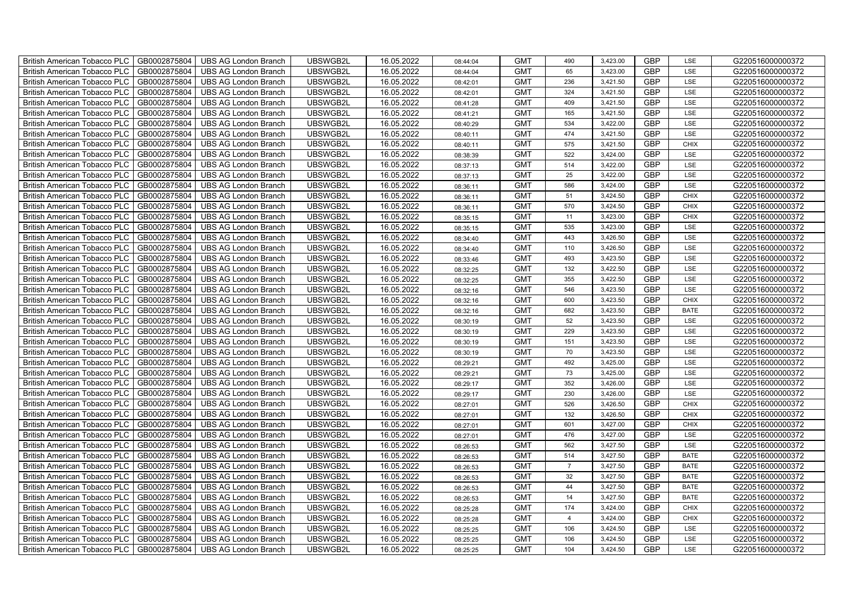| British American Tobacco PLC        | GB0002875804 | <b>UBS AG London Branch</b> | UBSWGB2L | 16.05.2022 | 08:44:04 | <b>GMT</b> | 490            | 3,423.00 | <b>GBP</b> | LSE         | G220516000000372 |
|-------------------------------------|--------------|-----------------------------|----------|------------|----------|------------|----------------|----------|------------|-------------|------------------|
| <b>British American Tobacco PLC</b> | GB0002875804 | <b>UBS AG London Branch</b> | UBSWGB2L | 16.05.2022 | 08:44:04 | <b>GMT</b> | 65             | 3,423.00 | <b>GBP</b> | LSE         | G220516000000372 |
| <b>British American Tobacco PLC</b> | GB0002875804 | UBS AG London Branch        | UBSWGB2L | 16.05.2022 | 08:42:01 | <b>GMT</b> | 236            | 3,421.50 | <b>GBP</b> | <b>LSE</b>  | G220516000000372 |
| <b>British American Tobacco PLC</b> | GB0002875804 | <b>UBS AG London Branch</b> | UBSWGB2L | 16.05.2022 | 08:42:01 | <b>GMT</b> | 324            | 3,421.50 | <b>GBP</b> | LSE         | G220516000000372 |
| British American Tobacco PLC        | GB0002875804 | <b>UBS AG London Branch</b> | UBSWGB2L | 16.05.2022 | 08:41:28 | <b>GMT</b> | 409            | 3,421.50 | <b>GBP</b> | LSE         | G220516000000372 |
| <b>British American Tobacco PLC</b> | GB0002875804 | <b>UBS AG London Branch</b> | UBSWGB2L | 16.05.2022 | 08:41:21 | <b>GMT</b> | 165            | 3,421.50 | <b>GBP</b> | LSE         | G220516000000372 |
| British American Tobacco PLC        | GB0002875804 | <b>UBS AG London Branch</b> | UBSWGB2L | 16.05.2022 | 08:40:29 | <b>GMT</b> | 534            | 3,422.00 | <b>GBP</b> | LSE         | G220516000000372 |
| <b>British American Tobacco PLC</b> | GB0002875804 | <b>UBS AG London Branch</b> | UBSWGB2L | 16.05.2022 | 08:40:11 | <b>GMT</b> | 474            | 3,421.50 | <b>GBP</b> | LSE         | G220516000000372 |
| <b>British American Tobacco PLC</b> | GB0002875804 | <b>UBS AG London Branch</b> | UBSWGB2L | 16.05.2022 | 08:40:11 | <b>GMT</b> | 575            | 3,421.50 | <b>GBP</b> | <b>CHIX</b> | G220516000000372 |
| British American Tobacco PLC        | GB0002875804 | <b>UBS AG London Branch</b> | UBSWGB2L | 16.05.2022 | 08:38:39 | <b>GMT</b> | 522            | 3,424.00 | <b>GBP</b> | LSE         | G220516000000372 |
| <b>British American Tobacco PLC</b> | GB0002875804 | <b>UBS AG London Branch</b> | UBSWGB2L | 16.05.2022 | 08:37:13 | <b>GMT</b> | 514            | 3,422.00 | <b>GBP</b> | LSE         | G220516000000372 |
| <b>British American Tobacco PLC</b> | GB0002875804 | <b>UBS AG London Branch</b> | UBSWGB2L | 16.05.2022 | 08:37:13 | <b>GMT</b> | 25             | 3,422.00 | <b>GBP</b> | <b>LSE</b>  | G220516000000372 |
| <b>British American Tobacco PLC</b> | GB0002875804 | <b>UBS AG London Branch</b> | UBSWGB2L | 16.05.2022 | 08:36:11 | <b>GMT</b> | 586            | 3,424.00 | <b>GBP</b> | LSE         | G220516000000372 |
| British American Tobacco PLC        | GB0002875804 | <b>UBS AG London Branch</b> | UBSWGB2L | 16.05.2022 | 08:36:11 | <b>GMT</b> | 51             | 3,424.50 | <b>GBP</b> | <b>CHIX</b> | G220516000000372 |
| <b>British American Tobacco PLC</b> | GB0002875804 | <b>UBS AG London Branch</b> | UBSWGB2L | 16.05.2022 | 08:36:11 | <b>GMT</b> | 570            | 3,424.50 | <b>GBP</b> | <b>CHIX</b> | G220516000000372 |
| British American Tobacco PLC        | GB0002875804 | <b>UBS AG London Branch</b> | UBSWGB2L | 16.05.2022 | 08:35:15 | <b>GMT</b> | 11             | 3,423.00 | <b>GBP</b> | <b>CHIX</b> | G220516000000372 |
| <b>British American Tobacco PLC</b> | GB0002875804 | <b>UBS AG London Branch</b> | UBSWGB2L | 16.05.2022 | 08:35:15 | <b>GMT</b> | 535            | 3,423.00 | <b>GBP</b> | LSE         | G220516000000372 |
| <b>British American Tobacco PLC</b> | GB0002875804 | <b>UBS AG London Branch</b> | UBSWGB2L | 16.05.2022 | 08:34:40 | <b>GMT</b> | 443            | 3,426.50 | <b>GBP</b> | LSE         | G220516000000372 |
| British American Tobacco PLC        | GB0002875804 | <b>UBS AG London Branch</b> | UBSWGB2L | 16.05.2022 | 08:34:40 | <b>GMT</b> | 110            | 3,426.50 | <b>GBP</b> | LSE         | G220516000000372 |
| <b>British American Tobacco PLC</b> | GB0002875804 | <b>UBS AG London Branch</b> | UBSWGB2L | 16.05.2022 | 08:33:46 | <b>GMT</b> | 493            | 3,423.50 | <b>GBP</b> | LSE         | G220516000000372 |
| <b>British American Tobacco PLC</b> | GB0002875804 | <b>UBS AG London Branch</b> | UBSWGB2L | 16.05.2022 | 08:32:25 | <b>GMT</b> | 132            | 3,422.50 | <b>GBP</b> | LSE         | G220516000000372 |
| British American Tobacco PLC        | GB0002875804 | <b>UBS AG London Branch</b> | UBSWGB2L | 16.05.2022 | 08:32:25 | <b>GMT</b> | 355            | 3,422.50 | <b>GBP</b> | LSE         | G220516000000372 |
| British American Tobacco PLC        | GB0002875804 | UBS AG London Branch        | UBSWGB2L | 16.05.2022 | 08:32:16 | <b>GMT</b> | 546            | 3,423.50 | GBP        | LSE         | G220516000000372 |
| <b>British American Tobacco PLC</b> | GB0002875804 | <b>UBS AG London Branch</b> | UBSWGB2L | 16.05.2022 | 08:32:16 | <b>GMT</b> | 600            | 3,423.50 | <b>GBP</b> | <b>CHIX</b> | G220516000000372 |
| <b>British American Tobacco PLC</b> | GB0002875804 | <b>UBS AG London Branch</b> | UBSWGB2L | 16.05.2022 | 08:32:16 | <b>GMT</b> | 682            | 3,423.50 | <b>GBP</b> | <b>BATE</b> | G220516000000372 |
| <b>British American Tobacco PLC</b> | GB0002875804 | <b>UBS AG London Branch</b> | UBSWGB2L | 16.05.2022 | 08:30:19 | <b>GMT</b> | 52             | 3,423.50 | <b>GBP</b> | LSE         | G220516000000372 |
| <b>British American Tobacco PLC</b> | GB0002875804 | <b>UBS AG London Branch</b> | UBSWGB2L | 16.05.2022 | 08:30:19 | <b>GMT</b> | 229            | 3,423.50 | <b>GBP</b> | LSE         | G220516000000372 |
| British American Tobacco PLC        | GB0002875804 | <b>UBS AG London Branch</b> | UBSWGB2L | 16.05.2022 | 08:30:19 | <b>GMT</b> | 151            | 3,423.50 | <b>GBP</b> | LSE         | G220516000000372 |
| <b>British American Tobacco PLC</b> | GB0002875804 | <b>UBS AG London Branch</b> | UBSWGB2L | 16.05.2022 | 08:30:19 | <b>GMT</b> | 70             | 3,423.50 | <b>GBP</b> | LSE         | G220516000000372 |
| <b>British American Tobacco PLC</b> | GB0002875804 | <b>UBS AG London Branch</b> | UBSWGB2L | 16.05.2022 | 08:29:21 | <b>GMT</b> | 492            | 3,425.00 | <b>GBP</b> | LSE         | G220516000000372 |
| British American Tobacco PLC        | GB0002875804 | <b>UBS AG London Branch</b> | UBSWGB2L | 16.05.2022 | 08:29:21 | <b>GMT</b> | 73             | 3,425.00 | <b>GBP</b> | LSE         | G220516000000372 |
| British American Tobacco PLC        | GB0002875804 | UBS AG London Branch        | UBSWGB2L | 16.05.2022 | 08:29:17 | <b>GMT</b> | 352            | 3,426.00 | GBP        | LSE         | G220516000000372 |
| <b>British American Tobacco PLC</b> | GB0002875804 | <b>UBS AG London Branch</b> | UBSWGB2L | 16.05.2022 | 08:29:17 | <b>GMT</b> | 230            | 3,426.00 | <b>GBP</b> | LSE         | G220516000000372 |
| British American Tobacco PLC        | GB0002875804 | <b>UBS AG London Branch</b> | UBSWGB2L | 16.05.2022 | 08:27:01 | <b>GMT</b> | 526            | 3,426.50 | <b>GBP</b> | <b>CHIX</b> | G220516000000372 |
| <b>British American Tobacco PLC</b> | GB0002875804 | <b>UBS AG London Branch</b> | UBSWGB2L | 16.05.2022 | 08:27:01 | <b>GMT</b> | 132            | 3,426.50 | <b>GBP</b> | <b>CHIX</b> | G220516000000372 |
| <b>British American Tobacco PLC</b> | GB0002875804 | <b>UBS AG London Branch</b> | UBSWGB2L | 16.05.2022 | 08:27:01 | <b>GMT</b> | 601            | 3,427.00 | <b>GBP</b> | <b>CHIX</b> | G220516000000372 |
| <b>British American Tobacco PLC</b> | GB0002875804 | <b>UBS AG London Branch</b> | UBSWGB2L | 16.05.2022 | 08:27:01 | <b>GMT</b> | 476            | 3,427.00 | GBP        | LSE         | G220516000000372 |
| <b>British American Tobacco PLC</b> | GB0002875804 | <b>UBS AG London Branch</b> | UBSWGB2L | 16.05.2022 | 08:26:53 | <b>GMT</b> | 562            | 3,427.50 | <b>GBP</b> | LSE         | G220516000000372 |
| <b>British American Tobacco PLC</b> | GB0002875804 | <b>UBS AG London Branch</b> | UBSWGB2L | 16.05.2022 | 08:26:53 | <b>GMT</b> | 514            | 3,427.50 | <b>GBP</b> | <b>BATE</b> | G220516000000372 |
| <b>British American Tobacco PLC</b> | GB0002875804 | <b>UBS AG London Branch</b> | UBSWGB2L | 16.05.2022 | 08:26:53 | <b>GMT</b> | $\overline{7}$ | 3,427.50 | GBP        | <b>BATE</b> | G220516000000372 |
| British American Tobacco PLC        | GB0002875804 | UBS AG London Branch        | UBSWGB2L | 16.05.2022 | 08:26:53 | <b>GMT</b> | 32             | 3,427.50 | GBP        | <b>BATE</b> | G220516000000372 |
| <b>British American Tobacco PLC</b> | GB0002875804 | <b>UBS AG London Branch</b> | UBSWGB2L | 16.05.2022 | 08:26:53 | <b>GMT</b> | 44             | 3,427.50 | <b>GBP</b> | <b>BATE</b> | G220516000000372 |
| British American Tobacco PLC        | GB0002875804 | UBS AG London Branch        | UBSWGB2L | 16.05.2022 | 08:26:53 | <b>GMT</b> | 14             | 3,427.50 | <b>GBP</b> | <b>BATE</b> | G220516000000372 |
| <b>British American Tobacco PLC</b> | GB0002875804 | <b>UBS AG London Branch</b> | UBSWGB2L | 16.05.2022 | 08:25:28 | <b>GMT</b> | 174            | 3,424.00 | <b>GBP</b> | <b>CHIX</b> | G220516000000372 |
| <b>British American Tobacco PLC</b> | GB0002875804 | <b>UBS AG London Branch</b> | UBSWGB2L | 16.05.2022 | 08:25:28 | <b>GMT</b> | $\overline{4}$ | 3,424.00 | <b>GBP</b> | <b>CHIX</b> | G220516000000372 |
| <b>British American Tobacco PLC</b> | GB0002875804 | <b>UBS AG London Branch</b> | UBSWGB2L | 16.05.2022 | 08:25:25 | <b>GMT</b> | 106            | 3,424.50 | <b>GBP</b> | LSE         | G220516000000372 |
| <b>British American Tobacco PLC</b> | GB0002875804 | <b>UBS AG London Branch</b> | UBSWGB2L | 16.05.2022 | 08:25:25 | <b>GMT</b> | 106            | 3,424.50 | <b>GBP</b> | LSE         | G220516000000372 |
| British American Tobacco PLC        | GB0002875804 | UBS AG London Branch        | UBSWGB2L | 16.05.2022 | 08:25:25 | <b>GMT</b> | 104            | 3,424.50 | <b>GBP</b> | LSE         | G220516000000372 |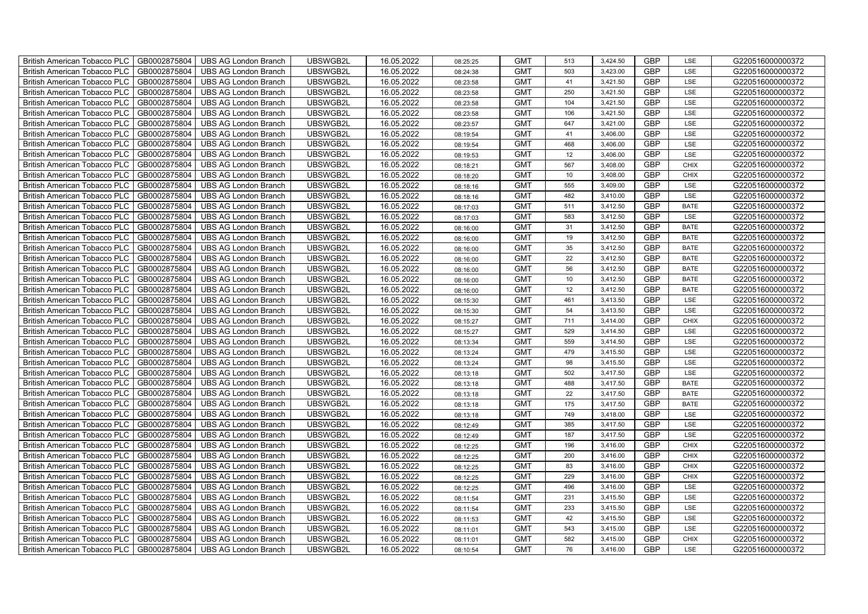| British American Tobacco PLC        | GB0002875804 | <b>UBS AG London Branch</b> | UBSWGB2L | 16.05.2022 | 08:25:25 | <b>GMT</b> | 513 | 3,424.50 | <b>GBP</b> | LSE         | G220516000000372 |
|-------------------------------------|--------------|-----------------------------|----------|------------|----------|------------|-----|----------|------------|-------------|------------------|
| <b>British American Tobacco PLC</b> | GB0002875804 | <b>UBS AG London Branch</b> | UBSWGB2L | 16.05.2022 | 08:24:38 | <b>GMT</b> | 503 | 3,423.00 | <b>GBP</b> | <b>LSE</b>  | G220516000000372 |
| <b>British American Tobacco PLC</b> | GB0002875804 | <b>UBS AG London Branch</b> | UBSWGB2L | 16.05.2022 | 08:23:58 | <b>GMT</b> | 41  | 3,421.50 | <b>GBP</b> | LSE         | G220516000000372 |
| British American Tobacco PLC        | GB0002875804 | <b>UBS AG London Branch</b> | UBSWGB2L | 16.05.2022 | 08:23:58 | <b>GMT</b> | 250 | 3,421.50 | <b>GBP</b> | LSE         | G220516000000372 |
| <b>British American Tobacco PLC</b> | GB0002875804 | <b>UBS AG London Branch</b> | UBSWGB2L | 16.05.2022 | 08:23:58 | <b>GMT</b> | 104 | 3,421.50 | <b>GBP</b> | LSE         | G220516000000372 |
| British American Tobacco PLC        | GB0002875804 | <b>UBS AG London Branch</b> | UBSWGB2L | 16.05.2022 | 08:23:58 | <b>GMT</b> | 106 | 3,421.50 | <b>GBP</b> | LSE         | G220516000000372 |
| <b>British American Tobacco PLC</b> | GB0002875804 | <b>UBS AG London Branch</b> | UBSWGB2L | 16.05.2022 | 08:23:57 | <b>GMT</b> | 647 | 3,421.00 | <b>GBP</b> | LSE         | G220516000000372 |
| British American Tobacco PLC        | GB0002875804 | <b>UBS AG London Branch</b> | UBSWGB2L | 16.05.2022 | 08:19:54 | <b>GMT</b> | 41  | 3,406.00 | <b>GBP</b> | LSE         | G220516000000372 |
| <b>British American Tobacco PLC</b> | GB0002875804 | <b>UBS AG London Branch</b> | UBSWGB2L | 16.05.2022 | 08:19:54 | <b>GMT</b> | 468 | 3,406.00 | <b>GBP</b> | LSE         | G220516000000372 |
| British American Tobacco PLC        | GB0002875804 | <b>UBS AG London Branch</b> | UBSWGB2L | 16.05.2022 | 08:19:53 | <b>GMT</b> | 12  | 3,406.00 | <b>GBP</b> | LSE         | G220516000000372 |
| <b>British American Tobacco PLC</b> | GB0002875804 | <b>UBS AG London Branch</b> | UBSWGB2L | 16.05.2022 | 08:18:21 | <b>GMT</b> | 567 | 3,408.00 | <b>GBP</b> | <b>CHIX</b> | G220516000000372 |
| <b>British American Tobacco PLC</b> | GB0002875804 | <b>UBS AG London Branch</b> | UBSWGB2L | 16.05.2022 | 08:18:20 | <b>GMT</b> | 10  | 3,408.00 | <b>GBP</b> | <b>CHIX</b> | G220516000000372 |
| British American Tobacco PLC        | GB0002875804 | <b>UBS AG London Branch</b> | UBSWGB2L | 16.05.2022 | 08:18:16 | <b>GMT</b> | 555 | 3,409.00 | <b>GBP</b> | LSE         | G220516000000372 |
| British American Tobacco PLC        | GB0002875804 | <b>UBS AG London Branch</b> | UBSWGB2L | 16.05.2022 | 08:18:16 | <b>GMT</b> | 482 | 3,410.00 | <b>GBP</b> | LSE         | G220516000000372 |
| British American Tobacco PLC        | GB0002875804 | <b>UBS AG London Branch</b> | UBSWGB2L | 16.05.2022 | 08:17:03 | <b>GMT</b> | 511 | 3,412.50 | <b>GBP</b> | <b>BATE</b> | G220516000000372 |
| British American Tobacco PLC        | GB0002875804 | <b>UBS AG London Branch</b> | UBSWGB2L | 16.05.2022 | 08:17:03 | <b>GMT</b> | 583 | 3,412.50 | <b>GBP</b> | LSE         | G220516000000372 |
| British American Tobacco PLC        | GB0002875804 | <b>UBS AG London Branch</b> | UBSWGB2L | 16.05.2022 | 08:16:00 | <b>GMT</b> | 31  | 3,412.50 | <b>GBP</b> | <b>BATE</b> | G220516000000372 |
| British American Tobacco PLC        | GB0002875804 | <b>UBS AG London Branch</b> | UBSWGB2L | 16.05.2022 | 08:16:00 | <b>GMT</b> | 19  | 3,412.50 | <b>GBP</b> | <b>BATE</b> | G220516000000372 |
| British American Tobacco PLC        | GB0002875804 | <b>UBS AG London Branch</b> | UBSWGB2L | 16.05.2022 | 08:16:00 | <b>GMT</b> | 35  | 3,412.50 | <b>GBP</b> | <b>BATE</b> | G220516000000372 |
| British American Tobacco PLC        | GB0002875804 | <b>UBS AG London Branch</b> | UBSWGB2L | 16.05.2022 | 08:16:00 | <b>GMT</b> | 22  | 3,412.50 | <b>GBP</b> | <b>BATE</b> | G220516000000372 |
| <b>British American Tobacco PLC</b> | GB0002875804 | <b>UBS AG London Branch</b> | UBSWGB2L | 16.05.2022 | 08:16:00 | <b>GMT</b> | 56  | 3,412.50 | <b>GBP</b> | <b>BATE</b> | G220516000000372 |
| British American Tobacco PLC        | GB0002875804 | <b>UBS AG London Branch</b> | UBSWGB2L | 16.05.2022 | 08:16:00 | <b>GMT</b> | 10  | 3,412.50 | GBP        | <b>BATE</b> | G220516000000372 |
| British American Tobacco PLC        | GB0002875804 | <b>UBS AG London Branch</b> | UBSWGB2L | 16.05.2022 | 08:16:00 | <b>GMT</b> | 12  | 3,412.50 | GBP        | <b>BATE</b> | G220516000000372 |
| British American Tobacco PLC        | GB0002875804 | <b>UBS AG London Branch</b> | UBSWGB2L | 16.05.2022 | 08:15:30 | <b>GMT</b> | 461 | 3,413.50 | <b>GBP</b> | LSE         | G220516000000372 |
| <b>British American Tobacco PLC</b> | GB0002875804 | <b>UBS AG London Branch</b> | UBSWGB2L | 16.05.2022 | 08:15:30 | <b>GMT</b> | 54  | 3,413.50 | <b>GBP</b> | LSE         | G220516000000372 |
| British American Tobacco PLC        | GB0002875804 | <b>UBS AG London Branch</b> | UBSWGB2L | 16.05.2022 | 08:15:27 | <b>GMT</b> | 711 | 3,414.00 | <b>GBP</b> | <b>CHIX</b> | G220516000000372 |
| British American Tobacco PLC        | GB0002875804 | <b>UBS AG London Branch</b> | UBSWGB2L | 16.05.2022 | 08:15:27 | <b>GMT</b> | 529 | 3,414.50 | <b>GBP</b> | LSE         | G220516000000372 |
| British American Tobacco PLC        | GB0002875804 | <b>UBS AG London Branch</b> | UBSWGB2L | 16.05.2022 | 08:13:34 | <b>GMT</b> | 559 | 3,414.50 | <b>GBP</b> | LSE         | G220516000000372 |
| <b>British American Tobacco PLC</b> | GB0002875804 | <b>UBS AG London Branch</b> | UBSWGB2L | 16.05.2022 | 08:13:24 | <b>GMT</b> | 479 | 3,415.50 | <b>GBP</b> | LSE         | G220516000000372 |
| <b>British American Tobacco PLC</b> | GB0002875804 | <b>UBS AG London Branch</b> | UBSWGB2L | 16.05.2022 | 08:13:24 | <b>GMT</b> | 98  | 3,415.50 | <b>GBP</b> | LSE         | G220516000000372 |
| British American Tobacco PLC        | GB0002875804 | <b>UBS AG London Branch</b> | UBSWGB2L | 16.05.2022 | 08:13:18 | <b>GMT</b> | 502 | 3,417.50 | <b>GBP</b> | LSE         | G220516000000372 |
| British American Tobacco PLC        | GB0002875804 | <b>UBS AG London Branch</b> | UBSWGB2L | 16.05.2022 | 08:13:18 | <b>GMT</b> | 488 | 3,417.50 | <b>GBP</b> | <b>BATE</b> | G220516000000372 |
| British American Tobacco PLC        | GB0002875804 | <b>UBS AG London Branch</b> | UBSWGB2L | 16.05.2022 | 08:13:18 | <b>GMT</b> | 22  | 3,417.50 | <b>GBP</b> | <b>BATE</b> | G220516000000372 |
| British American Tobacco PLC        | GB0002875804 | <b>UBS AG London Branch</b> | UBSWGB2L | 16.05.2022 | 08:13:18 | <b>GMT</b> | 175 | 3,417.50 | <b>GBP</b> | <b>BATE</b> | G220516000000372 |
| British American Tobacco PLC        | GB0002875804 | <b>UBS AG London Branch</b> | UBSWGB2L | 16.05.2022 | 08:13:18 | <b>GMT</b> | 749 | 3,418.00 | <b>GBP</b> | LSE         | G220516000000372 |
| British American Tobacco PLC        | GB0002875804 | <b>UBS AG London Branch</b> | UBSWGB2L | 16.05.2022 | 08:12:49 | <b>GMT</b> | 385 | 3,417.50 | <b>GBP</b> | LSE         | G220516000000372 |
| British American Tobacco PLC        | GB0002875804 | <b>UBS AG London Branch</b> | UBSWGB2L | 16.05.2022 | 08:12:49 | <b>GMT</b> | 187 | 3,417.50 | <b>GBP</b> | LSE         | G220516000000372 |
| <b>British American Tobacco PLC</b> | GB0002875804 | <b>UBS AG London Branch</b> | UBSWGB2L | 16.05.2022 | 08:12:25 | <b>GMT</b> | 196 | 3,416.00 | <b>GBP</b> | <b>CHIX</b> | G220516000000372 |
| British American Tobacco PLC        | GB0002875804 | <b>UBS AG London Branch</b> | UBSWGB2L | 16.05.2022 | 08:12:25 | <b>GMT</b> | 200 | 3,416.00 | <b>GBP</b> | <b>CHIX</b> | G220516000000372 |
| <b>British American Tobacco PLC</b> | GB0002875804 | <b>UBS AG London Branch</b> | UBSWGB2L | 16.05.2022 | 08:12:25 | <b>GMT</b> | 83  | 3,416.00 | <b>GBP</b> | <b>CHIX</b> | G220516000000372 |
| British American Tobacco PLC        | GB0002875804 | UBS AG London Branch        | UBSWGB2L | 16.05.2022 | 08:12:25 | <b>GMT</b> | 229 | 3,416.00 | GBP        | <b>CHIX</b> | G220516000000372 |
| British American Tobacco PLC        | GB0002875804 | <b>UBS AG London Branch</b> | UBSWGB2L | 16.05.2022 | 08:12:25 | <b>GMT</b> | 496 | 3,416.00 | <b>GBP</b> | LSE         | G220516000000372 |
| British American Tobacco PLC        | GB0002875804 | <b>UBS AG London Branch</b> | UBSWGB2L | 16.05.2022 | 08:11:54 | <b>GMT</b> | 231 | 3,415.50 | <b>GBP</b> | LSE         | G220516000000372 |
| <b>British American Tobacco PLC</b> | GB0002875804 | <b>UBS AG London Branch</b> | UBSWGB2L | 16.05.2022 | 08:11:54 | <b>GMT</b> | 233 | 3,415.50 | <b>GBP</b> | LSE         | G220516000000372 |
| <b>British American Tobacco PLC</b> | GB0002875804 | <b>UBS AG London Branch</b> | UBSWGB2L | 16.05.2022 | 08:11:53 | <b>GMT</b> | 42  | 3,415.50 | <b>GBP</b> | LSE         | G220516000000372 |
| <b>British American Tobacco PLC</b> | GB0002875804 | <b>UBS AG London Branch</b> | UBSWGB2L | 16.05.2022 | 08:11:01 | <b>GMT</b> | 543 | 3,415.00 | <b>GBP</b> | LSE         | G220516000000372 |
| <b>British American Tobacco PLC</b> | GB0002875804 | <b>UBS AG London Branch</b> | UBSWGB2L | 16.05.2022 | 08:11:01 | <b>GMT</b> | 582 | 3,415.00 | <b>GBP</b> | <b>CHIX</b> | G220516000000372 |
| British American Tobacco PLC        | GB0002875804 | UBS AG London Branch        | UBSWGB2L | 16.05.2022 | 08:10:54 | <b>GMT</b> | 76  | 3,416.00 | <b>GBP</b> | LSE         | G220516000000372 |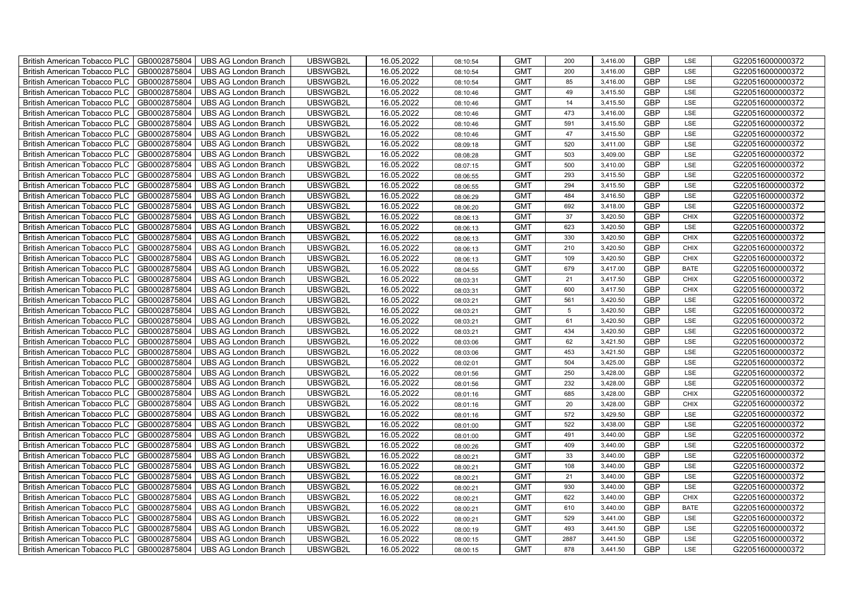| British American Tobacco PLC        | GB0002875804 | <b>UBS AG London Branch</b> | UBSWGB2L | 16.05.2022 | 08:10:54 | <b>GMT</b> | 200  | 3,416.00 | <b>GBP</b> | LSE         | G220516000000372 |
|-------------------------------------|--------------|-----------------------------|----------|------------|----------|------------|------|----------|------------|-------------|------------------|
| <b>British American Tobacco PLC</b> | GB0002875804 | <b>UBS AG London Branch</b> | UBSWGB2L | 16.05.2022 | 08:10:54 | <b>GMT</b> | 200  | 3,416.00 | <b>GBP</b> | <b>LSE</b>  | G220516000000372 |
| <b>British American Tobacco PLC</b> | GB0002875804 | <b>UBS AG London Branch</b> | UBSWGB2L | 16.05.2022 | 08:10:54 | <b>GMT</b> | 85   | 3,416.00 | <b>GBP</b> | LSE         | G220516000000372 |
| British American Tobacco PLC        | GB0002875804 | <b>UBS AG London Branch</b> | UBSWGB2L | 16.05.2022 | 08:10:46 | <b>GMT</b> | 49   | 3,415.50 | <b>GBP</b> | LSE         | G220516000000372 |
| <b>British American Tobacco PLC</b> | GB0002875804 | <b>UBS AG London Branch</b> | UBSWGB2L | 16.05.2022 | 08:10:46 | <b>GMT</b> | 14   | 3,415.50 | <b>GBP</b> | LSE         | G220516000000372 |
| British American Tobacco PLC        | GB0002875804 | <b>UBS AG London Branch</b> | UBSWGB2L | 16.05.2022 | 08:10:46 | <b>GMT</b> | 473  | 3,416.00 | <b>GBP</b> | LSE         | G220516000000372 |
| <b>British American Tobacco PLC</b> | GB0002875804 | <b>UBS AG London Branch</b> | UBSWGB2L | 16.05.2022 | 08:10:46 | <b>GMT</b> | 591  | 3,415.50 | <b>GBP</b> | LSE         | G220516000000372 |
| British American Tobacco PLC        | GB0002875804 | <b>UBS AG London Branch</b> | UBSWGB2L | 16.05.2022 | 08:10:46 | <b>GMT</b> | 47   | 3,415.50 | <b>GBP</b> | LSE         | G220516000000372 |
| <b>British American Tobacco PLC</b> | GB0002875804 | <b>UBS AG London Branch</b> | UBSWGB2L | 16.05.2022 | 08:09:18 | <b>GMT</b> | 520  | 3,411.00 | <b>GBP</b> | LSE         | G220516000000372 |
| British American Tobacco PLC        | GB0002875804 | <b>UBS AG London Branch</b> | UBSWGB2L | 16.05.2022 | 08:08:28 | <b>GMT</b> | 503  | 3,409.00 | <b>GBP</b> | LSE         | G220516000000372 |
| <b>British American Tobacco PLC</b> | GB0002875804 | <b>UBS AG London Branch</b> | UBSWGB2L | 16.05.2022 | 08:07:15 | <b>GMT</b> | 500  | 3,410.00 | <b>GBP</b> | LSE         | G220516000000372 |
| <b>British American Tobacco PLC</b> | GB0002875804 | <b>UBS AG London Branch</b> | UBSWGB2L | 16.05.2022 | 08:06:55 | <b>GMT</b> | 293  | 3,415.50 | <b>GBP</b> | LSE         | G220516000000372 |
| British American Tobacco PLC        | GB0002875804 | <b>UBS AG London Branch</b> | UBSWGB2L | 16.05.2022 | 08:06:55 | <b>GMT</b> | 294  | 3,415.50 | <b>GBP</b> | LSE         | G220516000000372 |
| British American Tobacco PLC        | GB0002875804 | <b>UBS AG London Branch</b> | UBSWGB2L | 16.05.2022 | 08:06:29 | <b>GMT</b> | 484  | 3,416.50 | <b>GBP</b> | LSE         | G220516000000372 |
| British American Tobacco PLC        | GB0002875804 | <b>UBS AG London Branch</b> | UBSWGB2L | 16.05.2022 | 08:06:20 | <b>GMT</b> | 692  | 3,418.00 | <b>GBP</b> | LSE         | G220516000000372 |
| British American Tobacco PLC        | GB0002875804 | <b>UBS AG London Branch</b> | UBSWGB2L | 16.05.2022 | 08:06:13 | <b>GMT</b> | 37   | 3,420.50 | <b>GBP</b> | <b>CHIX</b> | G220516000000372 |
| British American Tobacco PLC        | GB0002875804 | <b>UBS AG London Branch</b> | UBSWGB2L | 16.05.2022 | 08:06:13 | <b>GMT</b> | 623  | 3,420.50 | <b>GBP</b> | LSE         | G220516000000372 |
| British American Tobacco PLC        | GB0002875804 | <b>UBS AG London Branch</b> | UBSWGB2L | 16.05.2022 | 08:06:13 | <b>GMT</b> | 330  | 3,420.50 | <b>GBP</b> | <b>CHIX</b> | G220516000000372 |
| British American Tobacco PLC        | GB0002875804 | <b>UBS AG London Branch</b> | UBSWGB2L | 16.05.2022 | 08:06:13 | <b>GMT</b> | 210  | 3,420.50 | <b>GBP</b> | <b>CHIX</b> | G220516000000372 |
| British American Tobacco PLC        | GB0002875804 | <b>UBS AG London Branch</b> | UBSWGB2L | 16.05.2022 | 08:06:13 | <b>GMT</b> | 109  | 3,420.50 | <b>GBP</b> | CHIX        | G220516000000372 |
| <b>British American Tobacco PLC</b> | GB0002875804 | <b>UBS AG London Branch</b> | UBSWGB2L | 16.05.2022 | 08:04:55 | <b>GMT</b> | 679  | 3,417.00 | <b>GBP</b> | <b>BATE</b> | G220516000000372 |
| British American Tobacco PLC        | GB0002875804 | <b>UBS AG London Branch</b> | UBSWGB2L | 16.05.2022 | 08:03:31 | <b>GMT</b> | 21   | 3,417.50 | <b>GBP</b> | <b>CHIX</b> | G220516000000372 |
| British American Tobacco PLC        | GB0002875804 | <b>UBS AG London Branch</b> | UBSWGB2L | 16.05.2022 | 08:03:31 | <b>GMT</b> | 600  | 3,417.50 | GBP        | CHIX        | G220516000000372 |
| British American Tobacco PLC        | GB0002875804 | <b>UBS AG London Branch</b> | UBSWGB2L | 16.05.2022 | 08:03:21 | <b>GMT</b> | 561  | 3,420.50 | <b>GBP</b> | LSE         | G220516000000372 |
| <b>British American Tobacco PLC</b> | GB0002875804 | <b>UBS AG London Branch</b> | UBSWGB2L | 16.05.2022 | 08:03:21 | <b>GMT</b> | 5    | 3,420.50 | <b>GBP</b> | LSE         | G220516000000372 |
| British American Tobacco PLC        | GB0002875804 | <b>UBS AG London Branch</b> | UBSWGB2L | 16.05.2022 | 08:03:21 | <b>GMT</b> | 61   | 3,420.50 | <b>GBP</b> | LSE         | G220516000000372 |
| British American Tobacco PLC        | GB0002875804 | <b>UBS AG London Branch</b> | UBSWGB2L | 16.05.2022 | 08:03:21 | <b>GMT</b> | 434  | 3,420.50 | <b>GBP</b> | LSE         | G220516000000372 |
| British American Tobacco PLC        | GB0002875804 | <b>UBS AG London Branch</b> | UBSWGB2L | 16.05.2022 | 08:03:06 | <b>GMT</b> | 62   | 3,421.50 | <b>GBP</b> | LSE         | G220516000000372 |
| <b>British American Tobacco PLC</b> | GB0002875804 | <b>UBS AG London Branch</b> | UBSWGB2L | 16.05.2022 | 08:03:06 | <b>GMT</b> | 453  | 3,421.50 | <b>GBP</b> | LSE         | G220516000000372 |
| <b>British American Tobacco PLC</b> | GB0002875804 | <b>UBS AG London Branch</b> | UBSWGB2L | 16.05.2022 | 08:02:01 | <b>GMT</b> | 504  | 3,425.00 | <b>GBP</b> | LSE         | G220516000000372 |
| British American Tobacco PLC        | GB0002875804 | <b>UBS AG London Branch</b> | UBSWGB2L | 16.05.2022 | 08:01:56 | <b>GMT</b> | 250  | 3,428.00 | <b>GBP</b> | LSE         | G220516000000372 |
| British American Tobacco PLC        | GB0002875804 | <b>UBS AG London Branch</b> | UBSWGB2L | 16.05.2022 | 08:01:56 | <b>GMT</b> | 232  | 3,428.00 | <b>GBP</b> | LSE         | G220516000000372 |
| British American Tobacco PLC        | GB0002875804 | <b>UBS AG London Branch</b> | UBSWGB2L | 16.05.2022 | 08:01:16 | <b>GMT</b> | 685  | 3,428.00 | <b>GBP</b> | CHIX        | G220516000000372 |
| British American Tobacco PLC        | GB0002875804 | UBS AG London Branch        | UBSWGB2L | 16.05.2022 | 08:01:16 | <b>GMT</b> | 20   | 3,428.00 | <b>GBP</b> | CHIX        | G220516000000372 |
| British American Tobacco PLC        | GB0002875804 | <b>UBS AG London Branch</b> | UBSWGB2L | 16.05.2022 | 08:01:16 | <b>GMT</b> | 572  | 3,429.50 | <b>GBP</b> | LSE         | G220516000000372 |
| British American Tobacco PLC        | GB0002875804 | <b>UBS AG London Branch</b> | UBSWGB2L | 16.05.2022 | 08:01:00 | <b>GMT</b> | 522  | 3,438.00 | <b>GBP</b> | LSE         | G220516000000372 |
| British American Tobacco PLC        | GB0002875804 | <b>UBS AG London Branch</b> | UBSWGB2L | 16.05.2022 | 08:01:00 | <b>GMT</b> | 491  | 3,440.00 | <b>GBP</b> | LSE         | G220516000000372 |
| <b>British American Tobacco PLC</b> | GB0002875804 | <b>UBS AG London Branch</b> | UBSWGB2L | 16.05.2022 | 08:00:26 | <b>GMT</b> | 409  | 3,440.00 | <b>GBP</b> | LSE         | G220516000000372 |
| British American Tobacco PLC        | GB0002875804 | <b>UBS AG London Branch</b> | UBSWGB2L | 16.05.2022 | 08:00:21 | <b>GMT</b> | 33   | 3,440.00 | <b>GBP</b> | LSE         | G220516000000372 |
| British American Tobacco PLC        | GB0002875804 | UBS AG London Branch        | UBSWGB2L | 16.05.2022 | 08:00:21 | <b>GMT</b> | 108  | 3,440.00 | <b>GBP</b> | LSE         | G220516000000372 |
| British American Tobacco PLC        | GB0002875804 | UBS AG London Branch        | UBSWGB2L | 16.05.2022 | 08:00:21 | <b>GMT</b> | 21   | 3,440.00 | GBP        | LSE         | G220516000000372 |
| British American Tobacco PLC        | GB0002875804 | <b>UBS AG London Branch</b> | UBSWGB2L | 16.05.2022 | 08:00:21 | <b>GMT</b> | 930  | 3,440.00 | <b>GBP</b> | LSE         | G220516000000372 |
| British American Tobacco PLC        | GB0002875804 | UBS AG London Branch        | UBSWGB2L | 16.05.2022 | 08:00:21 | <b>GMT</b> | 622  | 3,440.00 | <b>GBP</b> | <b>CHIX</b> | G220516000000372 |
| British American Tobacco PLC        | GB0002875804 | <b>UBS AG London Branch</b> | UBSWGB2L | 16.05.2022 | 08:00:21 | <b>GMT</b> | 610  | 3,440.00 | <b>GBP</b> | <b>BATE</b> | G220516000000372 |
| <b>British American Tobacco PLC</b> | GB0002875804 | <b>UBS AG London Branch</b> | UBSWGB2L | 16.05.2022 | 08:00:21 | <b>GMT</b> | 529  | 3,441.00 | <b>GBP</b> | LSE         | G220516000000372 |
| <b>British American Tobacco PLC</b> | GB0002875804 | <b>UBS AG London Branch</b> | UBSWGB2L | 16.05.2022 | 08:00:19 | <b>GMT</b> | 493  | 3,441.50 | <b>GBP</b> | LSE         | G220516000000372 |
| <b>British American Tobacco PLC</b> | GB0002875804 | <b>UBS AG London Branch</b> | UBSWGB2L | 16.05.2022 | 08:00:15 | <b>GMT</b> | 2887 | 3,441.50 | <b>GBP</b> | LSE         | G220516000000372 |
| British American Tobacco PLC        | GB0002875804 | UBS AG London Branch        | UBSWGB2L | 16.05.2022 | 08:00:15 | <b>GMT</b> | 878  | 3,441.50 | <b>GBP</b> | LSE         | G220516000000372 |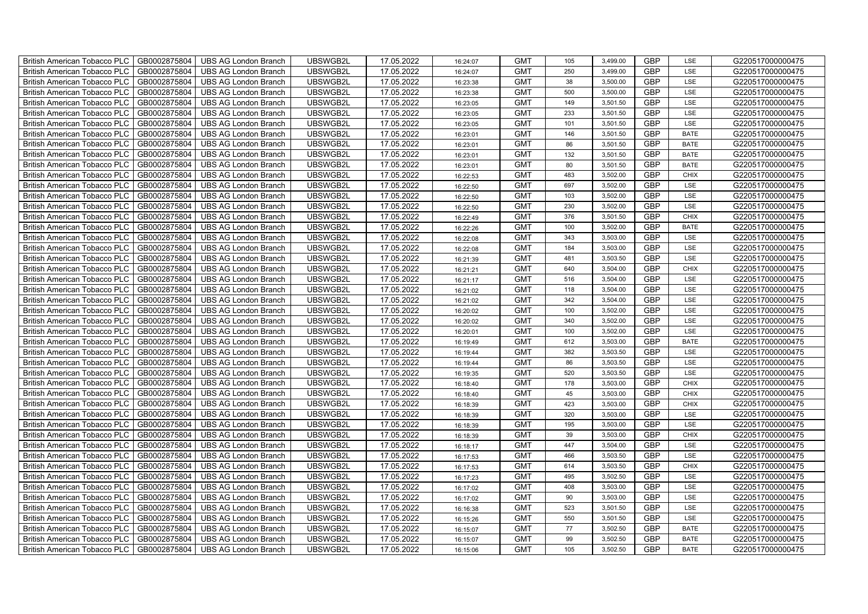| British American Tobacco PLC        | GB0002875804 | <b>UBS AG London Branch</b> | UBSWGB2L | 17.05.2022 | 16:24:07 | <b>GMT</b> | 105 | 3,499.00 | <b>GBP</b> | LSE         | G220517000000475 |
|-------------------------------------|--------------|-----------------------------|----------|------------|----------|------------|-----|----------|------------|-------------|------------------|
| <b>British American Tobacco PLC</b> | GB0002875804 | <b>UBS AG London Branch</b> | UBSWGB2L | 17.05.2022 | 16:24:07 | <b>GMT</b> | 250 | 3,499.00 | <b>GBP</b> | <b>LSE</b>  | G220517000000475 |
| <b>British American Tobacco PLC</b> | GB0002875804 | <b>UBS AG London Branch</b> | UBSWGB2L | 17.05.2022 | 16:23:38 | <b>GMT</b> | 38  | 3,500.00 | <b>GBP</b> | LSE         | G220517000000475 |
| British American Tobacco PLC        | GB0002875804 | <b>UBS AG London Branch</b> | UBSWGB2L | 17.05.2022 | 16:23:38 | <b>GMT</b> | 500 | 3,500.00 | <b>GBP</b> | LSE         | G220517000000475 |
| <b>British American Tobacco PLC</b> | GB0002875804 | <b>UBS AG London Branch</b> | UBSWGB2L | 17.05.2022 | 16:23:05 | <b>GMT</b> | 149 | 3,501.50 | <b>GBP</b> | LSE         | G220517000000475 |
| British American Tobacco PLC        | GB0002875804 | <b>UBS AG London Branch</b> | UBSWGB2L | 17.05.2022 | 16:23:05 | <b>GMT</b> | 233 | 3,501.50 | <b>GBP</b> | LSE         | G220517000000475 |
| <b>British American Tobacco PLC</b> | GB0002875804 | <b>UBS AG London Branch</b> | UBSWGB2L | 17.05.2022 | 16:23:05 | <b>GMT</b> | 101 | 3,501.50 | <b>GBP</b> | LSE         | G220517000000475 |
| British American Tobacco PLC        | GB0002875804 | <b>UBS AG London Branch</b> | UBSWGB2L | 17.05.2022 | 16:23:01 | <b>GMT</b> | 146 | 3,501.50 | <b>GBP</b> | <b>BATE</b> | G220517000000475 |
| <b>British American Tobacco PLC</b> | GB0002875804 | <b>UBS AG London Branch</b> | UBSWGB2L | 17.05.2022 | 16:23:01 | <b>GMT</b> | 86  | 3,501.50 | <b>GBP</b> | <b>BATE</b> | G220517000000475 |
| British American Tobacco PLC        | GB0002875804 | <b>UBS AG London Branch</b> | UBSWGB2L | 17.05.2022 | 16:23:01 | <b>GMT</b> | 132 | 3,501.50 | <b>GBP</b> | <b>BATE</b> | G220517000000475 |
| <b>British American Tobacco PLC</b> | GB0002875804 | <b>UBS AG London Branch</b> | UBSWGB2L | 17.05.2022 | 16:23:01 | <b>GMT</b> | 80  | 3,501.50 | <b>GBP</b> | <b>BATE</b> | G220517000000475 |
| <b>British American Tobacco PLC</b> | GB0002875804 | <b>UBS AG London Branch</b> | UBSWGB2L | 17.05.2022 | 16:22:53 | <b>GMT</b> | 483 | 3,502.00 | <b>GBP</b> | <b>CHIX</b> | G220517000000475 |
| British American Tobacco PLC        | GB0002875804 | <b>UBS AG London Branch</b> | UBSWGB2L | 17.05.2022 | 16:22:50 | <b>GMT</b> | 697 | 3,502.00 | <b>GBP</b> | LSE         | G220517000000475 |
| British American Tobacco PLC        | GB0002875804 | <b>UBS AG London Branch</b> | UBSWGB2L | 17.05.2022 | 16:22:50 | <b>GMT</b> | 103 | 3,502.00 | <b>GBP</b> | LSE         | G220517000000475 |
| British American Tobacco PLC        | GB0002875804 | <b>UBS AG London Branch</b> | UBSWGB2L | 17.05.2022 | 16:22:50 | <b>GMT</b> | 230 | 3,502.00 | <b>GBP</b> | LSE         | G220517000000475 |
| British American Tobacco PLC        | GB0002875804 | <b>UBS AG London Branch</b> | UBSWGB2L | 17.05.2022 | 16:22:49 | <b>GMT</b> | 376 | 3,501.50 | <b>GBP</b> | <b>CHIX</b> | G220517000000475 |
| British American Tobacco PLC        | GB0002875804 | <b>UBS AG London Branch</b> | UBSWGB2L | 17.05.2022 | 16:22:26 | <b>GMT</b> | 100 | 3,502.00 | <b>GBP</b> | <b>BATE</b> | G220517000000475 |
| British American Tobacco PLC        | GB0002875804 | <b>UBS AG London Branch</b> | UBSWGB2L | 17.05.2022 | 16:22:08 | <b>GMT</b> | 343 | 3,503.00 | <b>GBP</b> | LSE         | G220517000000475 |
| British American Tobacco PLC        | GB0002875804 | <b>UBS AG London Branch</b> | UBSWGB2L | 17.05.2022 | 16:22:08 | <b>GMT</b> | 184 | 3,503.00 | <b>GBP</b> | LSE         | G220517000000475 |
| <b>British American Tobacco PLC</b> | GB0002875804 | <b>UBS AG London Branch</b> | UBSWGB2L | 17.05.2022 | 16:21:39 | <b>GMT</b> | 481 | 3,503.50 | <b>GBP</b> | LSE         | G220517000000475 |
| <b>British American Tobacco PLC</b> | GB0002875804 | <b>UBS AG London Branch</b> | UBSWGB2L | 17.05.2022 | 16:21:21 | <b>GMT</b> | 640 | 3,504.00 | <b>GBP</b> | <b>CHIX</b> | G220517000000475 |
| British American Tobacco PLC        | GB0002875804 | <b>UBS AG London Branch</b> | UBSWGB2L | 17.05.2022 | 16:21:17 | <b>GMT</b> | 516 | 3,504.00 | <b>GBP</b> | LSE         | G220517000000475 |
| British American Tobacco PLC        | GB0002875804 | <b>UBS AG London Branch</b> | UBSWGB2L | 17.05.2022 | 16:21:02 | <b>GMT</b> | 118 | 3,504.00 | GBP        | LSE         | G220517000000475 |
| British American Tobacco PLC        | GB0002875804 | <b>UBS AG London Branch</b> | UBSWGB2L | 17.05.2022 | 16:21:02 | <b>GMT</b> | 342 | 3,504.00 | <b>GBP</b> | LSE         | G220517000000475 |
| British American Tobacco PLC        | GB0002875804 | <b>UBS AG London Branch</b> | UBSWGB2L | 17.05.2022 | 16:20:02 | <b>GMT</b> | 100 | 3,502.00 | <b>GBP</b> | LSE         | G220517000000475 |
| British American Tobacco PLC        | GB0002875804 | <b>UBS AG London Branch</b> | UBSWGB2L | 17.05.2022 | 16:20:02 | <b>GMT</b> | 340 | 3,502.00 | <b>GBP</b> | LSE         | G220517000000475 |
| British American Tobacco PLC        | GB0002875804 | <b>UBS AG London Branch</b> | UBSWGB2L | 17.05.2022 | 16:20:01 | <b>GMT</b> | 100 | 3,502.00 | <b>GBP</b> | LSE         | G220517000000475 |
| British American Tobacco PLC        | GB0002875804 | <b>UBS AG London Branch</b> | UBSWGB2L | 17.05.2022 | 16:19:49 | <b>GMT</b> | 612 | 3,503.00 | <b>GBP</b> | <b>BATE</b> | G220517000000475 |
| <b>British American Tobacco PLC</b> | GB0002875804 | <b>UBS AG London Branch</b> | UBSWGB2L | 17.05.2022 | 16:19:44 | <b>GMT</b> | 382 | 3,503.50 | <b>GBP</b> | LSE         | G220517000000475 |
| <b>British American Tobacco PLC</b> | GB0002875804 | <b>UBS AG London Branch</b> | UBSWGB2L | 17.05.2022 | 16:19:44 | <b>GMT</b> | 86  | 3,503.50 | <b>GBP</b> | LSE         | G220517000000475 |
| British American Tobacco PLC        | GB0002875804 | <b>UBS AG London Branch</b> | UBSWGB2L | 17.05.2022 | 16:19:35 | <b>GMT</b> | 520 | 3,503.50 | <b>GBP</b> | LSE         | G220517000000475 |
| British American Tobacco PLC        | GB0002875804 | <b>UBS AG London Branch</b> | UBSWGB2L | 17.05.2022 | 16:18:40 | <b>GMT</b> | 178 | 3,503.00 | <b>GBP</b> | <b>CHIX</b> | G220517000000475 |
| British American Tobacco PLC        | GB0002875804 | <b>UBS AG London Branch</b> | UBSWGB2L | 17.05.2022 | 16:18:40 | <b>GMT</b> | 45  | 3,503.00 | <b>GBP</b> | CHIX        | G220517000000475 |
| British American Tobacco PLC        | GB0002875804 | UBS AG London Branch        | UBSWGB2L | 17.05.2022 | 16:18:39 | <b>GMT</b> | 423 | 3,503.00 | <b>GBP</b> | CHIX        | G220517000000475 |
| British American Tobacco PLC        | GB0002875804 | <b>UBS AG London Branch</b> | UBSWGB2L | 17.05.2022 | 16:18:39 | <b>GMT</b> | 320 | 3,503.00 | <b>GBP</b> | LSE         | G220517000000475 |
| British American Tobacco PLC        | GB0002875804 | <b>UBS AG London Branch</b> | UBSWGB2L | 17.05.2022 | 16:18:39 | <b>GMT</b> | 195 | 3,503.00 | <b>GBP</b> | LSE         | G220517000000475 |
| British American Tobacco PLC        | GB0002875804 | <b>UBS AG London Branch</b> | UBSWGB2L | 17.05.2022 | 16:18:39 | <b>GMT</b> | 39  | 3,503.00 | <b>GBP</b> | <b>CHIX</b> | G220517000000475 |
| <b>British American Tobacco PLC</b> | GB0002875804 | <b>UBS AG London Branch</b> | UBSWGB2L | 17.05.2022 | 16:18:17 | <b>GMT</b> | 447 | 3,504.00 | <b>GBP</b> | LSE         | G220517000000475 |
| British American Tobacco PLC        | GB0002875804 | <b>UBS AG London Branch</b> | UBSWGB2L | 17.05.2022 | 16:17:53 | <b>GMT</b> | 466 | 3,503.50 | <b>GBP</b> | LSE         | G220517000000475 |
| British American Tobacco PLC        | GB0002875804 | UBS AG London Branch        | UBSWGB2L | 17.05.2022 | 16:17:53 | <b>GMT</b> | 614 | 3,503.50 | <b>GBP</b> | <b>CHIX</b> | G220517000000475 |
| British American Tobacco PLC        | GB0002875804 | UBS AG London Branch        | UBSWGB2L | 17.05.2022 | 16:17:23 | <b>GMT</b> | 495 | 3,502.50 | GBP        | LSE         | G220517000000475 |
| British American Tobacco PLC        | GB0002875804 | <b>UBS AG London Branch</b> | UBSWGB2L | 17.05.2022 | 16:17:02 | <b>GMT</b> | 408 | 3,503.00 | <b>GBP</b> | LSE         | G220517000000475 |
| British American Tobacco PLC        | GB0002875804 | <b>UBS AG London Branch</b> | UBSWGB2L | 17.05.2022 | 16:17:02 | <b>GMT</b> | 90  | 3,503.00 | <b>GBP</b> | LSE         | G220517000000475 |
| British American Tobacco PLC        | GB0002875804 | <b>UBS AG London Branch</b> | UBSWGB2L | 17.05.2022 | 16:16:38 | <b>GMT</b> | 523 | 3,501.50 | <b>GBP</b> | LSE         | G220517000000475 |
| <b>British American Tobacco PLC</b> | GB0002875804 | <b>UBS AG London Branch</b> | UBSWGB2L | 17.05.2022 | 16:15:26 | <b>GMT</b> | 550 | 3,501.50 | <b>GBP</b> | LSE         | G220517000000475 |
| <b>British American Tobacco PLC</b> | GB0002875804 | <b>UBS AG London Branch</b> | UBSWGB2L | 17.05.2022 | 16:15:07 | <b>GMT</b> | 77  | 3,502.50 | <b>GBP</b> | <b>BATE</b> | G220517000000475 |
| British American Tobacco PLC        | GB0002875804 | <b>UBS AG London Branch</b> | UBSWGB2L | 17.05.2022 | 16:15:07 | <b>GMT</b> | 99  | 3,502.50 | <b>GBP</b> | <b>BATE</b> | G220517000000475 |
| British American Tobacco PLC        | GB0002875804 | UBS AG London Branch        | UBSWGB2L | 17.05.2022 | 16:15:06 | <b>GMT</b> | 105 | 3,502.50 | <b>GBP</b> | <b>BATE</b> | G220517000000475 |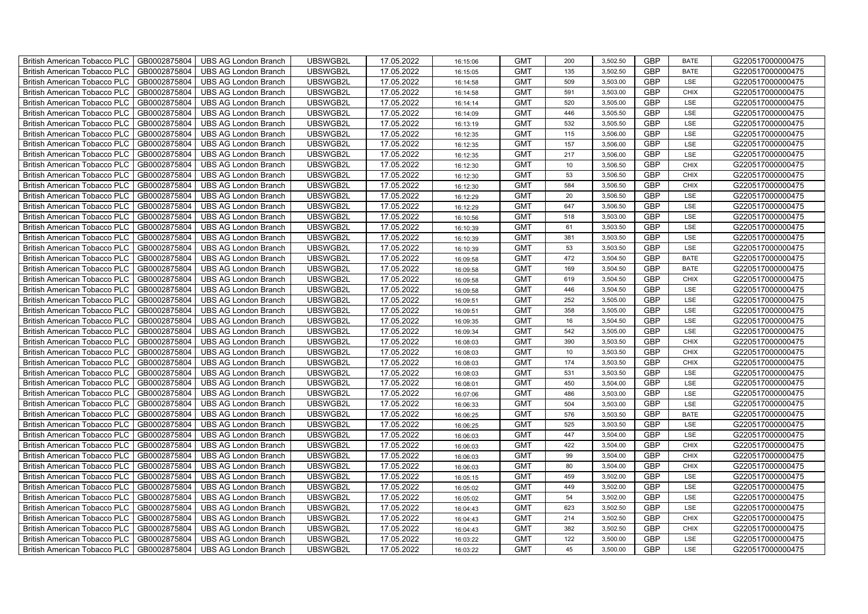| British American Tobacco PLC        | GB0002875804 | <b>UBS AG London Branch</b> | UBSWGB2L | 17.05.2022 | 16:15:06 | <b>GMT</b> | 200             | 3,502.50 | <b>GBP</b> | <b>BATE</b> | G220517000000475 |
|-------------------------------------|--------------|-----------------------------|----------|------------|----------|------------|-----------------|----------|------------|-------------|------------------|
| <b>British American Tobacco PLC</b> | GB0002875804 | <b>UBS AG London Branch</b> | UBSWGB2L | 17.05.2022 | 16:15:05 | <b>GMT</b> | 135             | 3,502.50 | <b>GBP</b> | <b>BATE</b> | G220517000000475 |
| <b>British American Tobacco PLC</b> | GB0002875804 | <b>UBS AG London Branch</b> | UBSWGB2L | 17.05.2022 | 16:14:58 | <b>GMT</b> | 509             | 3,503.00 | <b>GBP</b> | LSE         | G220517000000475 |
| British American Tobacco PLC        | GB0002875804 | <b>UBS AG London Branch</b> | UBSWGB2L | 17.05.2022 | 16:14:58 | <b>GMT</b> | 591             | 3,503.00 | <b>GBP</b> | <b>CHIX</b> | G220517000000475 |
| <b>British American Tobacco PLC</b> | GB0002875804 | <b>UBS AG London Branch</b> | UBSWGB2L | 17.05.2022 | 16:14:14 | <b>GMT</b> | 520             | 3,505.00 | <b>GBP</b> | LSE         | G220517000000475 |
| British American Tobacco PLC        | GB0002875804 | <b>UBS AG London Branch</b> | UBSWGB2L | 17.05.2022 | 16:14:09 | <b>GMT</b> | 446             | 3,505.50 | <b>GBP</b> | LSE         | G220517000000475 |
| <b>British American Tobacco PLC</b> | GB0002875804 | <b>UBS AG London Branch</b> | UBSWGB2L | 17.05.2022 | 16:13:19 | <b>GMT</b> | 532             | 3,505.50 | <b>GBP</b> | LSE         | G220517000000475 |
| British American Tobacco PLC        | GB0002875804 | <b>UBS AG London Branch</b> | UBSWGB2L | 17.05.2022 | 16:12:35 | <b>GMT</b> | 115             | 3,506.00 | <b>GBP</b> | LSE         | G220517000000475 |
| <b>British American Tobacco PLC</b> | GB0002875804 | <b>UBS AG London Branch</b> | UBSWGB2L | 17.05.2022 | 16:12:35 | <b>GMT</b> | 157             | 3,506.00 | <b>GBP</b> | LSE         | G220517000000475 |
| British American Tobacco PLC        | GB0002875804 | <b>UBS AG London Branch</b> | UBSWGB2L | 17.05.2022 | 16:12:35 | <b>GMT</b> | 217             | 3,506.00 | <b>GBP</b> | LSE         | G220517000000475 |
| <b>British American Tobacco PLC</b> | GB0002875804 | <b>UBS AG London Branch</b> | UBSWGB2L | 17.05.2022 | 16:12:30 | <b>GMT</b> | 10 <sup>1</sup> | 3,506.50 | <b>GBP</b> | <b>CHIX</b> | G220517000000475 |
| <b>British American Tobacco PLC</b> | GB0002875804 | <b>UBS AG London Branch</b> | UBSWGB2L | 17.05.2022 | 16:12:30 | <b>GMT</b> | 53              | 3,506.50 | <b>GBP</b> | <b>CHIX</b> | G220517000000475 |
| British American Tobacco PLC        | GB0002875804 | <b>UBS AG London Branch</b> | UBSWGB2L | 17.05.2022 | 16:12:30 | <b>GMT</b> | 584             | 3,506.50 | <b>GBP</b> | <b>CHIX</b> | G220517000000475 |
| British American Tobacco PLC        | GB0002875804 | <b>UBS AG London Branch</b> | UBSWGB2L | 17.05.2022 | 16:12:29 | <b>GMT</b> | 20              | 3,506.50 | <b>GBP</b> | LSE         | G220517000000475 |
| British American Tobacco PLC        | GB0002875804 | <b>UBS AG London Branch</b> | UBSWGB2L | 17.05.2022 | 16:12:29 | <b>GMT</b> | 647             | 3,506.50 | <b>GBP</b> | LSE         | G220517000000475 |
| British American Tobacco PLC        | GB0002875804 | <b>UBS AG London Branch</b> | UBSWGB2L | 17.05.2022 | 16:10:56 | <b>GMT</b> | 518             | 3,503.00 | <b>GBP</b> | LSE         | G220517000000475 |
| British American Tobacco PLC        | GB0002875804 | <b>UBS AG London Branch</b> | UBSWGB2L | 17.05.2022 | 16:10:39 | <b>GMT</b> | 61              | 3,503.50 | <b>GBP</b> | LSE         | G220517000000475 |
| British American Tobacco PLC        | GB0002875804 | <b>UBS AG London Branch</b> | UBSWGB2L | 17.05.2022 | 16:10:39 | <b>GMT</b> | 381             | 3,503.50 | <b>GBP</b> | LSE         | G220517000000475 |
| British American Tobacco PLC        | GB0002875804 | <b>UBS AG London Branch</b> | UBSWGB2L | 17.05.2022 | 16:10:39 | <b>GMT</b> | 53              | 3,503.50 | <b>GBP</b> | LSE         | G220517000000475 |
| <b>British American Tobacco PLC</b> | GB0002875804 | <b>UBS AG London Branch</b> | UBSWGB2L | 17.05.2022 | 16:09:58 | <b>GMT</b> | 472             | 3,504.50 | <b>GBP</b> | <b>BATE</b> | G220517000000475 |
| <b>British American Tobacco PLC</b> | GB0002875804 | <b>UBS AG London Branch</b> | UBSWGB2L | 17.05.2022 | 16:09:58 | <b>GMT</b> | 169             | 3,504.50 | <b>GBP</b> | <b>BATE</b> | G220517000000475 |
| British American Tobacco PLC        | GB0002875804 | <b>UBS AG London Branch</b> | UBSWGB2L | 17.05.2022 | 16:09:58 | <b>GMT</b> | 619             | 3,504.50 | <b>GBP</b> | <b>CHIX</b> | G220517000000475 |
| British American Tobacco PLC        | GB0002875804 | <b>UBS AG London Branch</b> | UBSWGB2L | 17.05.2022 | 16:09:58 | <b>GMT</b> | 446             | 3,504.50 | GBP        | LSE         | G220517000000475 |
| British American Tobacco PLC        | GB0002875804 | <b>UBS AG London Branch</b> | UBSWGB2L | 17.05.2022 | 16:09:51 | <b>GMT</b> | 252             | 3,505.00 | <b>GBP</b> | LSE         | G220517000000475 |
| British American Tobacco PLC        | GB0002875804 | <b>UBS AG London Branch</b> | UBSWGB2L | 17.05.2022 | 16:09:51 | <b>GMT</b> | 358             | 3,505.00 | <b>GBP</b> | LSE         | G220517000000475 |
| British American Tobacco PLC        | GB0002875804 | <b>UBS AG London Branch</b> | UBSWGB2L | 17.05.2022 | 16:09:35 | <b>GMT</b> | 16              | 3,504.50 | <b>GBP</b> | LSE         | G220517000000475 |
| British American Tobacco PLC        | GB0002875804 | <b>UBS AG London Branch</b> | UBSWGB2L | 17.05.2022 | 16:09:34 | <b>GMT</b> | 542             | 3,505.00 | <b>GBP</b> | LSE         | G220517000000475 |
| British American Tobacco PLC        | GB0002875804 | <b>UBS AG London Branch</b> | UBSWGB2L | 17.05.2022 | 16:08:03 | <b>GMT</b> | 390             | 3,503.50 | <b>GBP</b> | <b>CHIX</b> | G220517000000475 |
| <b>British American Tobacco PLC</b> | GB0002875804 | <b>UBS AG London Branch</b> | UBSWGB2L | 17.05.2022 | 16:08:03 | <b>GMT</b> | 10              | 3,503.50 | <b>GBP</b> | <b>CHIX</b> | G220517000000475 |
| <b>British American Tobacco PLC</b> | GB0002875804 | <b>UBS AG London Branch</b> | UBSWGB2L | 17.05.2022 | 16:08:03 | <b>GMT</b> | 174             | 3,503.50 | <b>GBP</b> | <b>CHIX</b> | G220517000000475 |
| British American Tobacco PLC        | GB0002875804 | <b>UBS AG London Branch</b> | UBSWGB2L | 17.05.2022 | 16:08:03 | <b>GMT</b> | 531             | 3,503.50 | <b>GBP</b> | LSE         | G220517000000475 |
| British American Tobacco PLC        | GB0002875804 | <b>UBS AG London Branch</b> | UBSWGB2L | 17.05.2022 | 16:08:01 | <b>GMT</b> | 450             | 3,504.00 | <b>GBP</b> | LSE         | G220517000000475 |
| British American Tobacco PLC        | GB0002875804 | <b>UBS AG London Branch</b> | UBSWGB2L | 17.05.2022 | 16:07:06 | <b>GMT</b> | 486             | 3,503.00 | <b>GBP</b> | LSE         | G220517000000475 |
| British American Tobacco PLC        | GB0002875804 | <b>UBS AG London Branch</b> | UBSWGB2L | 17.05.2022 | 16:06:33 | <b>GMT</b> | 504             | 3,503.00 | <b>GBP</b> | LSE         | G220517000000475 |
| British American Tobacco PLC        | GB0002875804 | <b>UBS AG London Branch</b> | UBSWGB2L | 17.05.2022 | 16:06:25 | <b>GMT</b> | 576             | 3,503.50 | <b>GBP</b> | <b>BATE</b> | G220517000000475 |
| British American Tobacco PLC        | GB0002875804 | <b>UBS AG London Branch</b> | UBSWGB2L | 17.05.2022 | 16:06:25 | <b>GMT</b> | 525             | 3,503.50 | <b>GBP</b> | LSE         | G220517000000475 |
| British American Tobacco PLC        | GB0002875804 | <b>UBS AG London Branch</b> | UBSWGB2L | 17.05.2022 | 16:06:03 | <b>GMT</b> | 447             | 3,504.00 | <b>GBP</b> | LSE         | G220517000000475 |
| <b>British American Tobacco PLC</b> | GB0002875804 | <b>UBS AG London Branch</b> | UBSWGB2L | 17.05.2022 | 16:06:03 | <b>GMT</b> | 422             | 3,504.00 | <b>GBP</b> | <b>CHIX</b> | G220517000000475 |
| British American Tobacco PLC        | GB0002875804 | <b>UBS AG London Branch</b> | UBSWGB2L | 17.05.2022 | 16:06:03 | <b>GMT</b> | 99              | 3,504.00 | <b>GBP</b> | <b>CHIX</b> | G220517000000475 |
| <b>British American Tobacco PLC</b> | GB0002875804 | <b>UBS AG London Branch</b> | UBSWGB2L | 17.05.2022 | 16:06:03 | <b>GMT</b> | 80              | 3,504.00 | <b>GBP</b> | <b>CHIX</b> | G220517000000475 |
| British American Tobacco PLC        | GB0002875804 | UBS AG London Branch        | UBSWGB2L | 17.05.2022 | 16:05:15 | <b>GMT</b> | 459             | 3,502.00 | <b>GBP</b> | LSE         | G220517000000475 |
| British American Tobacco PLC        | GB0002875804 | <b>UBS AG London Branch</b> | UBSWGB2L | 17.05.2022 | 16:05:02 | <b>GMT</b> | 449             | 3,502.00 | <b>GBP</b> | LSE         | G220517000000475 |
| British American Tobacco PLC        | GB0002875804 | <b>UBS AG London Branch</b> | UBSWGB2L | 17.05.2022 | 16:05:02 | <b>GMT</b> | 54              | 3,502.00 | <b>GBP</b> | LSE         | G220517000000475 |
| <b>British American Tobacco PLC</b> | GB0002875804 | <b>UBS AG London Branch</b> | UBSWGB2L | 17.05.2022 | 16:04:43 | <b>GMT</b> | 623             | 3,502.50 | <b>GBP</b> | LSE         | G220517000000475 |
| <b>British American Tobacco PLC</b> | GB0002875804 | <b>UBS AG London Branch</b> | UBSWGB2L | 17.05.2022 | 16:04:43 | <b>GMT</b> | 214             | 3,502.50 | <b>GBP</b> | <b>CHIX</b> | G220517000000475 |
| <b>British American Tobacco PLC</b> | GB0002875804 | <b>UBS AG London Branch</b> | UBSWGB2L | 17.05.2022 | 16:04:43 | <b>GMT</b> | 382             | 3,502.50 | <b>GBP</b> | <b>CHIX</b> | G220517000000475 |
| British American Tobacco PLC        | GB0002875804 | <b>UBS AG London Branch</b> | UBSWGB2L | 17.05.2022 | 16:03:22 | <b>GMT</b> | 122             | 3,500.00 | <b>GBP</b> | LSE         | G220517000000475 |
| British American Tobacco PLC        | GB0002875804 | UBS AG London Branch        | UBSWGB2L | 17.05.2022 | 16:03:22 | <b>GMT</b> | 45              | 3,500.00 | <b>GBP</b> | LSE         | G220517000000475 |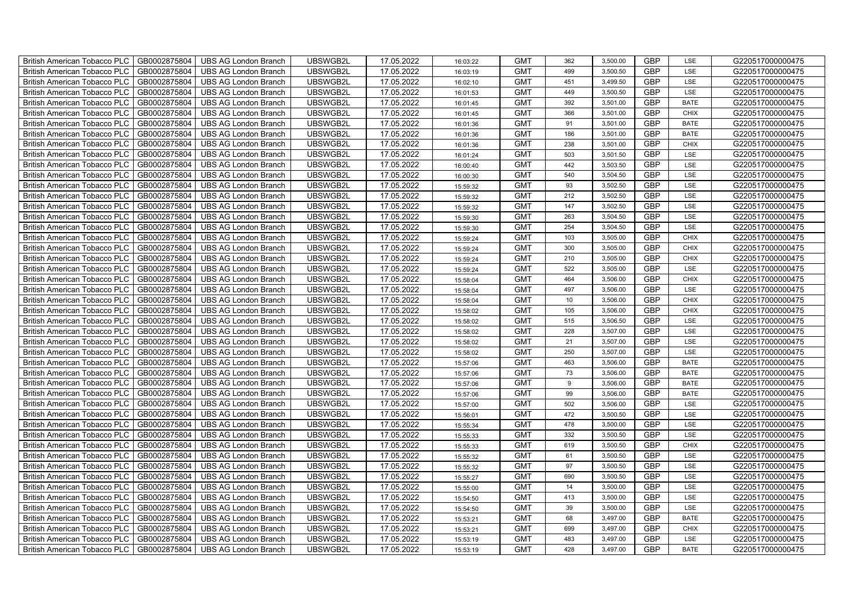| British American Tobacco PLC        | GB0002875804 | <b>UBS AG London Branch</b> | UBSWGB2L | 17.05.2022 | 16:03:22 | <b>GMT</b> | 362 | 3,500.00 | <b>GBP</b> | LSE         | G220517000000475 |
|-------------------------------------|--------------|-----------------------------|----------|------------|----------|------------|-----|----------|------------|-------------|------------------|
| <b>British American Tobacco PLC</b> | GB0002875804 | <b>UBS AG London Branch</b> | UBSWGB2L | 17.05.2022 | 16:03:19 | <b>GMT</b> | 499 | 3,500.50 | <b>GBP</b> | <b>LSE</b>  | G220517000000475 |
| <b>British American Tobacco PLC</b> | GB0002875804 | <b>UBS AG London Branch</b> | UBSWGB2L | 17.05.2022 | 16:02:10 | <b>GMT</b> | 451 | 3,499.50 | <b>GBP</b> | LSE         | G220517000000475 |
| British American Tobacco PLC        | GB0002875804 | <b>UBS AG London Branch</b> | UBSWGB2L | 17.05.2022 | 16:01:53 | <b>GMT</b> | 449 | 3,500.50 | <b>GBP</b> | LSE         | G220517000000475 |
| <b>British American Tobacco PLC</b> | GB0002875804 | <b>UBS AG London Branch</b> | UBSWGB2L | 17.05.2022 | 16:01:45 | <b>GMT</b> | 392 | 3,501.00 | <b>GBP</b> | <b>BATE</b> | G220517000000475 |
| British American Tobacco PLC        | GB0002875804 | <b>UBS AG London Branch</b> | UBSWGB2L | 17.05.2022 | 16:01:45 | <b>GMT</b> | 366 | 3,501.00 | <b>GBP</b> | <b>CHIX</b> | G220517000000475 |
| <b>British American Tobacco PLC</b> | GB0002875804 | <b>UBS AG London Branch</b> | UBSWGB2L | 17.05.2022 | 16:01:36 | <b>GMT</b> | 91  | 3,501.00 | <b>GBP</b> | <b>BATE</b> | G220517000000475 |
| British American Tobacco PLC        | GB0002875804 | <b>UBS AG London Branch</b> | UBSWGB2L | 17.05.2022 | 16:01:36 | <b>GMT</b> | 186 | 3,501.00 | <b>GBP</b> | <b>BATE</b> | G220517000000475 |
| <b>British American Tobacco PLC</b> | GB0002875804 | <b>UBS AG London Branch</b> | UBSWGB2L | 17.05.2022 | 16:01:36 | <b>GMT</b> | 238 | 3,501.00 | <b>GBP</b> | <b>CHIX</b> | G220517000000475 |
| British American Tobacco PLC        | GB0002875804 | <b>UBS AG London Branch</b> | UBSWGB2L | 17.05.2022 | 16:01:24 | <b>GMT</b> | 503 | 3,501.50 | <b>GBP</b> | LSE         | G220517000000475 |
| <b>British American Tobacco PLC</b> | GB0002875804 | <b>UBS AG London Branch</b> | UBSWGB2L | 17.05.2022 | 16:00:40 | <b>GMT</b> | 442 | 3,503.50 | <b>GBP</b> | LSE         | G220517000000475 |
| <b>British American Tobacco PLC</b> | GB0002875804 | <b>UBS AG London Branch</b> | UBSWGB2L | 17.05.2022 | 16:00:30 | <b>GMT</b> | 540 | 3,504.50 | <b>GBP</b> | LSE         | G220517000000475 |
| British American Tobacco PLC        | GB0002875804 | <b>UBS AG London Branch</b> | UBSWGB2L | 17.05.2022 | 15:59:32 | <b>GMT</b> | 93  | 3,502.50 | <b>GBP</b> | LSE         | G220517000000475 |
| British American Tobacco PLC        | GB0002875804 | <b>UBS AG London Branch</b> | UBSWGB2L | 17.05.2022 | 15:59:32 | <b>GMT</b> | 212 | 3,502.50 | <b>GBP</b> | LSE         | G220517000000475 |
| British American Tobacco PLC        | GB0002875804 | <b>UBS AG London Branch</b> | UBSWGB2L | 17.05.2022 | 15:59:32 | <b>GMT</b> | 147 | 3,502.50 | <b>GBP</b> | LSE         | G220517000000475 |
| British American Tobacco PLC        | GB0002875804 | <b>UBS AG London Branch</b> | UBSWGB2L | 17.05.2022 | 15:59:30 | <b>GMT</b> | 263 | 3,504.50 | <b>GBP</b> | LSE         | G220517000000475 |
| British American Tobacco PLC        | GB0002875804 | <b>UBS AG London Branch</b> | UBSWGB2L | 17.05.2022 | 15:59:30 | <b>GMT</b> | 254 | 3,504.50 | <b>GBP</b> | LSE         | G220517000000475 |
| British American Tobacco PLC        | GB0002875804 | <b>UBS AG London Branch</b> | UBSWGB2L | 17.05.2022 | 15:59:24 | <b>GMT</b> | 103 | 3,505.00 | <b>GBP</b> | <b>CHIX</b> | G220517000000475 |
| British American Tobacco PLC        | GB0002875804 | <b>UBS AG London Branch</b> | UBSWGB2L | 17.05.2022 | 15:59:24 | <b>GMT</b> | 300 | 3,505.00 | <b>GBP</b> | <b>CHIX</b> | G220517000000475 |
| <b>British American Tobacco PLC</b> | GB0002875804 | <b>UBS AG London Branch</b> | UBSWGB2L | 17.05.2022 | 15:59:24 | <b>GMT</b> | 210 | 3,505.00 | <b>GBP</b> | CHIX        | G220517000000475 |
| <b>British American Tobacco PLC</b> | GB0002875804 | <b>UBS AG London Branch</b> | UBSWGB2L | 17.05.2022 | 15:59:24 | <b>GMT</b> | 522 | 3,505.00 | <b>GBP</b> | <b>LSE</b>  | G220517000000475 |
| British American Tobacco PLC        | GB0002875804 | <b>UBS AG London Branch</b> | UBSWGB2L | 17.05.2022 | 15:58:04 | <b>GMT</b> | 464 | 3,506.00 | GBP        | CHIX        | G220517000000475 |
| British American Tobacco PLC        | GB0002875804 | <b>UBS AG London Branch</b> | UBSWGB2L | 17.05.2022 | 15:58:04 | <b>GMT</b> | 497 | 3,506.00 | GBP        | LSE         | G220517000000475 |
| British American Tobacco PLC        | GB0002875804 | <b>UBS AG London Branch</b> | UBSWGB2L | 17.05.2022 | 15:58:04 | <b>GMT</b> | 10  | 3,506.00 | <b>GBP</b> | CHIX        | G220517000000475 |
| British American Tobacco PLC        | GB0002875804 | <b>UBS AG London Branch</b> | UBSWGB2L | 17.05.2022 | 15:58:02 | <b>GMT</b> | 105 | 3,506.00 | <b>GBP</b> | CHIX        | G220517000000475 |
| British American Tobacco PLC        | GB0002875804 | <b>UBS AG London Branch</b> | UBSWGB2L | 17.05.2022 | 15:58:02 | <b>GMT</b> | 515 | 3,506.50 | <b>GBP</b> | LSE         | G220517000000475 |
| British American Tobacco PLC        | GB0002875804 | <b>UBS AG London Branch</b> | UBSWGB2L | 17.05.2022 | 15:58:02 | <b>GMT</b> | 228 | 3,507.00 | <b>GBP</b> | LSE         | G220517000000475 |
| British American Tobacco PLC        | GB0002875804 | <b>UBS AG London Branch</b> | UBSWGB2L | 17.05.2022 | 15:58:02 | <b>GMT</b> | 21  | 3,507.00 | <b>GBP</b> | LSE         | G220517000000475 |
| <b>British American Tobacco PLC</b> | GB0002875804 | <b>UBS AG London Branch</b> | UBSWGB2L | 17.05.2022 | 15:58:02 | <b>GMT</b> | 250 | 3,507.00 | <b>GBP</b> | LSE         | G220517000000475 |
| <b>British American Tobacco PLC</b> | GB0002875804 | <b>UBS AG London Branch</b> | UBSWGB2L | 17.05.2022 | 15:57:06 | <b>GMT</b> | 463 | 3,506.00 | <b>GBP</b> | <b>BATE</b> | G220517000000475 |
| British American Tobacco PLC        | GB0002875804 | <b>UBS AG London Branch</b> | UBSWGB2L | 17.05.2022 | 15:57:06 | <b>GMT</b> | 73  | 3,506.00 | <b>GBP</b> | <b>BATE</b> | G220517000000475 |
| British American Tobacco PLC        | GB0002875804 | <b>UBS AG London Branch</b> | UBSWGB2L | 17.05.2022 | 15:57:06 | <b>GMT</b> | 9   | 3,506.00 | <b>GBP</b> | <b>BATE</b> | G220517000000475 |
| British American Tobacco PLC        | GB0002875804 | <b>UBS AG London Branch</b> | UBSWGB2L | 17.05.2022 | 15:57:06 | <b>GMT</b> | 99  | 3,506.00 | <b>GBP</b> | <b>BATE</b> | G220517000000475 |
| British American Tobacco PLC        | GB0002875804 | <b>UBS AG London Branch</b> | UBSWGB2L | 17.05.2022 | 15:57:00 | <b>GMT</b> | 502 | 3,506.00 | <b>GBP</b> | LSE         | G220517000000475 |
| British American Tobacco PLC        | GB0002875804 | <b>UBS AG London Branch</b> | UBSWGB2L | 17.05.2022 | 15:56:01 | <b>GMT</b> | 472 | 3,500.50 | <b>GBP</b> | LSE         | G220517000000475 |
| British American Tobacco PLC        | GB0002875804 | <b>UBS AG London Branch</b> | UBSWGB2L | 17.05.2022 | 15:55:34 | <b>GMT</b> | 478 | 3,500.00 | <b>GBP</b> | LSE         | G220517000000475 |
| British American Tobacco PLC        | GB0002875804 | <b>UBS AG London Branch</b> | UBSWGB2L | 17.05.2022 | 15:55:33 | <b>GMT</b> | 332 | 3,500.50 | <b>GBP</b> | LSE         | G220517000000475 |
| <b>British American Tobacco PLC</b> | GB0002875804 | <b>UBS AG London Branch</b> | UBSWGB2L | 17.05.2022 | 15:55:33 | <b>GMT</b> | 619 | 3,500.50 | <b>GBP</b> | <b>CHIX</b> | G220517000000475 |
| British American Tobacco PLC        | GB0002875804 | <b>UBS AG London Branch</b> | UBSWGB2L | 17.05.2022 | 15:55:32 | <b>GMT</b> | 61  | 3,500.50 | <b>GBP</b> | LSE         | G220517000000475 |
| British American Tobacco PLC        | GB0002875804 | <b>UBS AG London Branch</b> | UBSWGB2L | 17.05.2022 | 15:55:32 | <b>GMT</b> | 97  | 3,500.50 | <b>GBP</b> | LSE         | G220517000000475 |
| British American Tobacco PLC        | GB0002875804 | UBS AG London Branch        | UBSWGB2L | 17.05.2022 | 15:55:27 | <b>GMT</b> | 690 | 3,500.50 | GBP        | LSE         | G220517000000475 |
| British American Tobacco PLC        | GB0002875804 | <b>UBS AG London Branch</b> | UBSWGB2L | 17.05.2022 | 15:55:00 | <b>GMT</b> | 14  | 3,500.00 | <b>GBP</b> | LSE         | G220517000000475 |
| British American Tobacco PLC        | GB0002875804 | <b>UBS AG London Branch</b> | UBSWGB2L | 17.05.2022 | 15:54:50 | <b>GMT</b> | 413 | 3,500.00 | <b>GBP</b> | LSE         | G220517000000475 |
| British American Tobacco PLC        | GB0002875804 | <b>UBS AG London Branch</b> | UBSWGB2L | 17.05.2022 | 15:54:50 | <b>GMT</b> | 39  | 3,500.00 | <b>GBP</b> | LSE         | G220517000000475 |
| <b>British American Tobacco PLC</b> | GB0002875804 | <b>UBS AG London Branch</b> | UBSWGB2L | 17.05.2022 | 15:53:21 | <b>GMT</b> | 68  | 3,497.00 | <b>GBP</b> | <b>BATE</b> | G220517000000475 |
| <b>British American Tobacco PLC</b> | GB0002875804 | <b>UBS AG London Branch</b> | UBSWGB2L | 17.05.2022 | 15:53:21 | <b>GMT</b> | 699 | 3,497.00 | <b>GBP</b> | <b>CHIX</b> | G220517000000475 |
| British American Tobacco PLC        | GB0002875804 | <b>UBS AG London Branch</b> | UBSWGB2L | 17.05.2022 | 15:53:19 | <b>GMT</b> | 483 | 3,497.00 | <b>GBP</b> | LSE         | G220517000000475 |
| British American Tobacco PLC        | GB0002875804 | UBS AG London Branch        | UBSWGB2L | 17.05.2022 | 15:53:19 | <b>GMT</b> | 428 | 3,497.00 | <b>GBP</b> | <b>BATE</b> | G220517000000475 |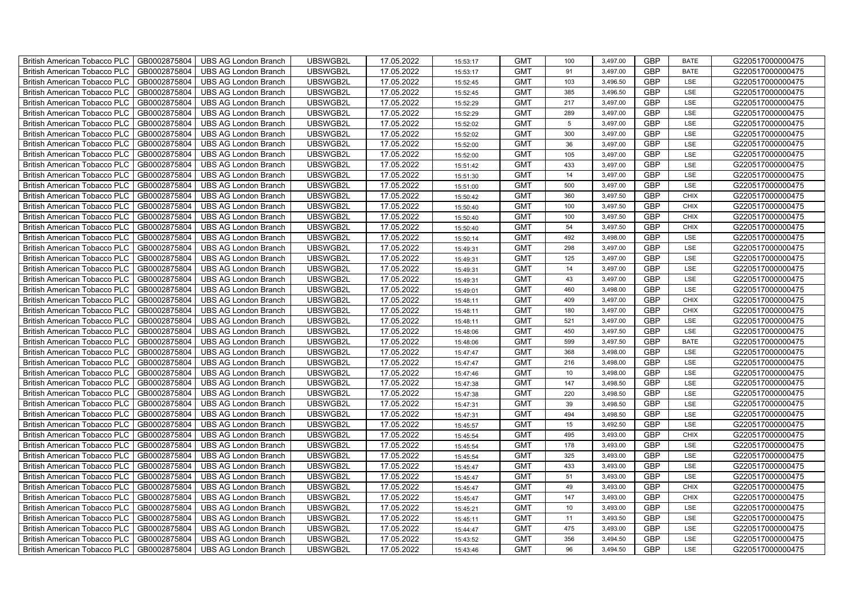| British American Tobacco PLC        | GB0002875804 | <b>UBS AG London Branch</b> | UBSWGB2L | 17.05.2022 | 15:53:17 | <b>GMT</b> | 100 | 3,497.00 | <b>GBP</b> | <b>BATE</b> | G220517000000475 |
|-------------------------------------|--------------|-----------------------------|----------|------------|----------|------------|-----|----------|------------|-------------|------------------|
| <b>British American Tobacco PLC</b> | GB0002875804 | <b>UBS AG London Branch</b> | UBSWGB2L | 17.05.2022 | 15:53:17 | <b>GMT</b> | 91  | 3,497.00 | <b>GBP</b> | <b>BATE</b> | G220517000000475 |
| <b>British American Tobacco PLC</b> | GB0002875804 | <b>UBS AG London Branch</b> | UBSWGB2L | 17.05.2022 | 15:52:45 | <b>GMT</b> | 103 | 3,496.50 | <b>GBP</b> | LSE         | G220517000000475 |
| British American Tobacco PLC        | GB0002875804 | <b>UBS AG London Branch</b> | UBSWGB2L | 17.05.2022 | 15:52:45 | <b>GMT</b> | 385 | 3,496.50 | <b>GBP</b> | LSE         | G220517000000475 |
| <b>British American Tobacco PLC</b> | GB0002875804 | <b>UBS AG London Branch</b> | UBSWGB2L | 17.05.2022 | 15:52:29 | <b>GMT</b> | 217 | 3,497.00 | <b>GBP</b> | LSE         | G220517000000475 |
| British American Tobacco PLC        | GB0002875804 | <b>UBS AG London Branch</b> | UBSWGB2L | 17.05.2022 | 15:52:29 | <b>GMT</b> | 289 | 3,497.00 | <b>GBP</b> | LSE         | G220517000000475 |
| <b>British American Tobacco PLC</b> | GB0002875804 | <b>UBS AG London Branch</b> | UBSWGB2L | 17.05.2022 | 15:52:02 | <b>GMT</b> | 5   | 3,497.00 | <b>GBP</b> | LSE         | G220517000000475 |
| British American Tobacco PLC        | GB0002875804 | <b>UBS AG London Branch</b> | UBSWGB2L | 17.05.2022 | 15:52:02 | <b>GMT</b> | 300 | 3,497.00 | <b>GBP</b> | LSE         | G220517000000475 |
| <b>British American Tobacco PLC</b> | GB0002875804 | <b>UBS AG London Branch</b> | UBSWGB2L | 17.05.2022 | 15:52:00 | <b>GMT</b> | 36  | 3,497.00 | <b>GBP</b> | LSE         | G220517000000475 |
| British American Tobacco PLC        | GB0002875804 | <b>UBS AG London Branch</b> | UBSWGB2L | 17.05.2022 | 15:52:00 | <b>GMT</b> | 105 | 3,497.00 | <b>GBP</b> | LSE         | G220517000000475 |
| <b>British American Tobacco PLC</b> | GB0002875804 | <b>UBS AG London Branch</b> | UBSWGB2L | 17.05.2022 | 15:51:42 | <b>GMT</b> | 433 | 3,497.00 | <b>GBP</b> | LSE         | G220517000000475 |
| <b>British American Tobacco PLC</b> | GB0002875804 | <b>UBS AG London Branch</b> | UBSWGB2L | 17.05.2022 | 15:51:30 | <b>GMT</b> | 14  | 3,497.00 | <b>GBP</b> | LSE         | G220517000000475 |
| British American Tobacco PLC        | GB0002875804 | <b>UBS AG London Branch</b> | UBSWGB2L | 17.05.2022 | 15:51:00 | <b>GMT</b> | 500 | 3,497.00 | <b>GBP</b> | LSE         | G220517000000475 |
| British American Tobacco PLC        | GB0002875804 | <b>UBS AG London Branch</b> | UBSWGB2L | 17.05.2022 | 15:50:42 | <b>GMT</b> | 360 | 3,497.50 | <b>GBP</b> | <b>CHIX</b> | G220517000000475 |
| British American Tobacco PLC        | GB0002875804 | <b>UBS AG London Branch</b> | UBSWGB2L | 17.05.2022 | 15:50:40 | <b>GMT</b> | 100 | 3,497.50 | <b>GBP</b> | <b>CHIX</b> | G220517000000475 |
| British American Tobacco PLC        | GB0002875804 | <b>UBS AG London Branch</b> | UBSWGB2L | 17.05.2022 | 15:50:40 | <b>GMT</b> | 100 | 3,497.50 | <b>GBP</b> | <b>CHIX</b> | G220517000000475 |
| British American Tobacco PLC        | GB0002875804 | <b>UBS AG London Branch</b> | UBSWGB2L | 17.05.2022 | 15:50:40 | <b>GMT</b> | 54  | 3,497.50 | <b>GBP</b> | <b>CHIX</b> | G220517000000475 |
| British American Tobacco PLC        | GB0002875804 | <b>UBS AG London Branch</b> | UBSWGB2L | 17.05.2022 | 15:50:14 | <b>GMT</b> | 492 | 3,498.00 | <b>GBP</b> | LSE         | G220517000000475 |
| British American Tobacco PLC        | GB0002875804 | <b>UBS AG London Branch</b> | UBSWGB2L | 17.05.2022 | 15:49:31 | <b>GMT</b> | 298 | 3,497.00 | <b>GBP</b> | LSE         | G220517000000475 |
| <b>British American Tobacco PLC</b> | GB0002875804 | <b>UBS AG London Branch</b> | UBSWGB2L | 17.05.2022 | 15:49:31 | <b>GMT</b> | 125 | 3,497.00 | <b>GBP</b> | LSE         | G220517000000475 |
| <b>British American Tobacco PLC</b> | GB0002875804 | <b>UBS AG London Branch</b> | UBSWGB2L | 17.05.2022 | 15:49:31 | <b>GMT</b> | 14  | 3,497.00 | <b>GBP</b> | <b>LSE</b>  | G220517000000475 |
| British American Tobacco PLC        | GB0002875804 | <b>UBS AG London Branch</b> | UBSWGB2L | 17.05.2022 | 15:49:31 | <b>GMT</b> | 43  | 3,497.00 | <b>GBP</b> | LSE         | G220517000000475 |
| British American Tobacco PLC        | GB0002875804 | <b>UBS AG London Branch</b> | UBSWGB2L | 17.05.2022 | 15:49:01 | <b>GMT</b> | 460 | 3,498.00 | GBP        | LSE         | G220517000000475 |
| British American Tobacco PLC        | GB0002875804 | <b>UBS AG London Branch</b> | UBSWGB2L | 17.05.2022 | 15:48:11 | <b>GMT</b> | 409 | 3,497.00 | <b>GBP</b> | CHIX        | G220517000000475 |
| British American Tobacco PLC        | GB0002875804 | <b>UBS AG London Branch</b> | UBSWGB2L | 17.05.2022 | 15:48:11 | <b>GMT</b> | 180 | 3,497.00 | <b>GBP</b> | CHIX        | G220517000000475 |
| British American Tobacco PLC        | GB0002875804 | <b>UBS AG London Branch</b> | UBSWGB2L | 17.05.2022 | 15:48:11 | <b>GMT</b> | 521 | 3,497.00 | <b>GBP</b> | LSE         | G220517000000475 |
| British American Tobacco PLC        | GB0002875804 | <b>UBS AG London Branch</b> | UBSWGB2L | 17.05.2022 | 15:48:06 | <b>GMT</b> | 450 | 3,497.50 | <b>GBP</b> | LSE         | G220517000000475 |
| British American Tobacco PLC        | GB0002875804 | <b>UBS AG London Branch</b> | UBSWGB2L | 17.05.2022 | 15:48:06 | <b>GMT</b> | 599 | 3,497.50 | <b>GBP</b> | <b>BATE</b> | G220517000000475 |
| <b>British American Tobacco PLC</b> | GB0002875804 | <b>UBS AG London Branch</b> | UBSWGB2L | 17.05.2022 | 15:47:47 | <b>GMT</b> | 368 | 3,498.00 | <b>GBP</b> | LSE         | G220517000000475 |
| <b>British American Tobacco PLC</b> | GB0002875804 | <b>UBS AG London Branch</b> | UBSWGB2L | 17.05.2022 | 15:47:47 | <b>GMT</b> | 216 | 3,498.00 | <b>GBP</b> | LSE         | G220517000000475 |
| British American Tobacco PLC        | GB0002875804 | <b>UBS AG London Branch</b> | UBSWGB2L | 17.05.2022 | 15:47:46 | <b>GMT</b> | 10  | 3,498.00 | <b>GBP</b> | LSE         | G220517000000475 |
| British American Tobacco PLC        | GB0002875804 | <b>UBS AG London Branch</b> | UBSWGB2L | 17.05.2022 | 15:47:38 | <b>GMT</b> | 147 | 3,498.50 | <b>GBP</b> | LSE         | G220517000000475 |
| British American Tobacco PLC        | GB0002875804 | <b>UBS AG London Branch</b> | UBSWGB2L | 17.05.2022 | 15:47:38 | <b>GMT</b> | 220 | 3,498.50 | <b>GBP</b> | LSE         | G220517000000475 |
| British American Tobacco PLC        | GB0002875804 | UBS AG London Branch        | UBSWGB2L | 17.05.2022 | 15:47:31 | <b>GMT</b> | 39  | 3,498.50 | <b>GBP</b> | LSE         | G220517000000475 |
| British American Tobacco PLC        | GB0002875804 | <b>UBS AG London Branch</b> | UBSWGB2L | 17.05.2022 | 15:47:31 | <b>GMT</b> | 494 | 3,498.50 | <b>GBP</b> | LSE         | G220517000000475 |
| British American Tobacco PLC        | GB0002875804 | <b>UBS AG London Branch</b> | UBSWGB2L | 17.05.2022 | 15:45:57 | <b>GMT</b> | 15  | 3,492.50 | <b>GBP</b> | LSE         | G220517000000475 |
| British American Tobacco PLC        | GB0002875804 | <b>UBS AG London Branch</b> | UBSWGB2L | 17.05.2022 | 15:45:54 | <b>GMT</b> | 495 | 3,493.00 | <b>GBP</b> | <b>CHIX</b> | G220517000000475 |
| <b>British American Tobacco PLC</b> | GB0002875804 | <b>UBS AG London Branch</b> | UBSWGB2L | 17.05.2022 | 15:45:54 | <b>GMT</b> | 178 | 3,493.00 | <b>GBP</b> | LSE         | G220517000000475 |
| British American Tobacco PLC        | GB0002875804 | <b>UBS AG London Branch</b> | UBSWGB2L | 17.05.2022 | 15:45:54 | <b>GMT</b> | 325 | 3,493.00 | <b>GBP</b> | LSE         | G220517000000475 |
| British American Tobacco PLC        | GB0002875804 | UBS AG London Branch        | UBSWGB2L | 17.05.2022 | 15:45:47 | <b>GMT</b> | 433 | 3,493.00 | <b>GBP</b> | LSE         | G220517000000475 |
| British American Tobacco PLC        | GB0002875804 | UBS AG London Branch        | UBSWGB2L | 17.05.2022 | 15:45:47 | <b>GMT</b> | 51  | 3,493.00 | <b>GBP</b> | LSE         | G220517000000475 |
| British American Tobacco PLC        | GB0002875804 | <b>UBS AG London Branch</b> | UBSWGB2L | 17.05.2022 | 15:45:47 | <b>GMT</b> | 49  | 3,493.00 | <b>GBP</b> | <b>CHIX</b> | G220517000000475 |
| British American Tobacco PLC        | GB0002875804 | UBS AG London Branch        | UBSWGB2L | 17.05.2022 | 15:45:47 | <b>GMT</b> | 147 | 3,493.00 | <b>GBP</b> | <b>CHIX</b> | G220517000000475 |
| British American Tobacco PLC        | GB0002875804 | <b>UBS AG London Branch</b> | UBSWGB2L | 17.05.2022 | 15:45:21 | <b>GMT</b> | 10  | 3,493.00 | <b>GBP</b> | LSE         | G220517000000475 |
| <b>British American Tobacco PLC</b> | GB0002875804 | <b>UBS AG London Branch</b> | UBSWGB2L | 17.05.2022 | 15:45:11 | <b>GMT</b> | 11  | 3,493.50 | <b>GBP</b> | LSE         | G220517000000475 |
| <b>British American Tobacco PLC</b> | GB0002875804 | <b>UBS AG London Branch</b> | UBSWGB2L | 17.05.2022 | 15:44:47 | <b>GMT</b> | 475 | 3,493.00 | <b>GBP</b> | LSE         | G220517000000475 |
| British American Tobacco PLC        | GB0002875804 | <b>UBS AG London Branch</b> | UBSWGB2L | 17.05.2022 | 15:43:52 | <b>GMT</b> | 356 | 3,494.50 | <b>GBP</b> | LSE         | G220517000000475 |
| British American Tobacco PLC        | GB0002875804 | UBS AG London Branch        | UBSWGB2L | 17.05.2022 | 15:43:46 | <b>GMT</b> | 96  | 3,494.50 | <b>GBP</b> | LSE         | G220517000000475 |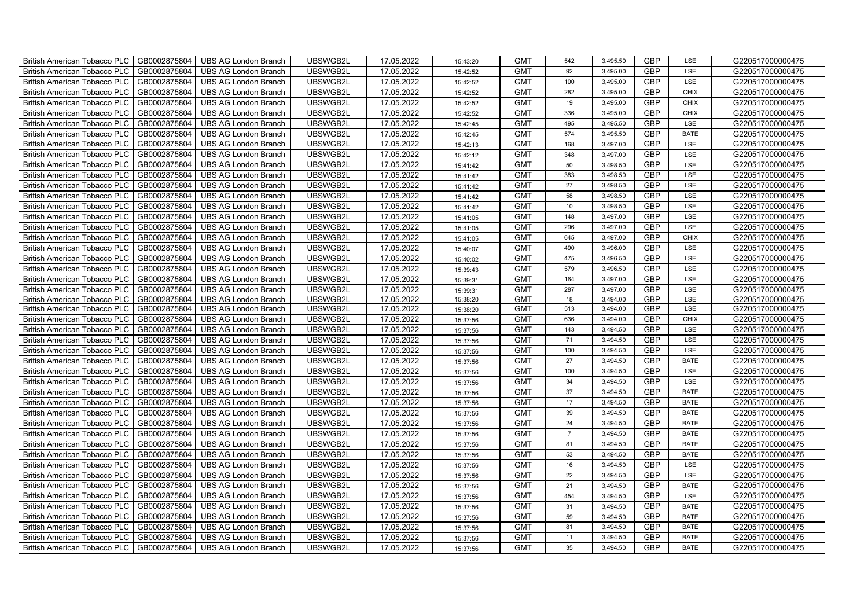| <b>British American Tobacco PLC</b><br>GB0002875804 | <b>UBS AG London Branch</b> | UBSWGB2L | 17.05.2022 | 15:43:20 | <b>GMT</b> | 542            | 3,495.50 | <b>GBP</b> | LSE         | G220517000000475 |
|-----------------------------------------------------|-----------------------------|----------|------------|----------|------------|----------------|----------|------------|-------------|------------------|
| GB0002875804<br><b>British American Tobacco PLC</b> | <b>UBS AG London Branch</b> | UBSWGB2L | 17.05.2022 | 15:42:52 | <b>GMT</b> | 92             | 3,495.00 | <b>GBP</b> | LSE         | G220517000000475 |
| GB0002875804<br><b>British American Tobacco PLC</b> | <b>UBS AG London Branch</b> | UBSWGB2L | 17.05.2022 | 15:42:52 | <b>GMT</b> | 100            | 3,495.00 | <b>GBP</b> | LSE         | G220517000000475 |
| GB0002875804<br><b>British American Tobacco PLC</b> | <b>UBS AG London Branch</b> | UBSWGB2L | 17.05.2022 | 15:42:52 | <b>GMT</b> | 282            | 3,495.00 | <b>GBP</b> | <b>CHIX</b> | G220517000000475 |
| GB0002875804<br><b>British American Tobacco PLC</b> | <b>UBS AG London Branch</b> | UBSWGB2L | 17.05.2022 | 15:42:52 | <b>GMT</b> | 19             | 3,495.00 | <b>GBP</b> | <b>CHIX</b> | G220517000000475 |
| GB0002875804<br><b>British American Tobacco PLC</b> | <b>UBS AG London Branch</b> | UBSWGB2L | 17.05.2022 | 15:42:52 | <b>GMT</b> | 336            | 3,495.00 | <b>GBP</b> | <b>CHIX</b> | G220517000000475 |
| GB0002875804<br><b>British American Tobacco PLC</b> | <b>UBS AG London Branch</b> | UBSWGB2L | 17.05.2022 | 15:42:45 | <b>GMT</b> | 495            | 3,495.50 | <b>GBP</b> | LSE         | G220517000000475 |
| <b>British American Tobacco PLC</b><br>GB0002875804 | <b>UBS AG London Branch</b> | UBSWGB2L | 17.05.2022 | 15:42:45 | <b>GMT</b> | 574            | 3,495.50 | <b>GBP</b> | <b>BATE</b> | G220517000000475 |
| <b>British American Tobacco PLC</b><br>GB0002875804 | <b>UBS AG London Branch</b> | UBSWGB2L | 17.05.2022 | 15:42:13 | <b>GMT</b> | 168            | 3,497.00 | <b>GBP</b> | LSE         | G220517000000475 |
| GB0002875804<br><b>British American Tobacco PLC</b> | <b>UBS AG London Branch</b> | UBSWGB2L | 17.05.2022 | 15:42:12 | <b>GMT</b> | 348            | 3,497.00 | <b>GBP</b> | LSE         | G220517000000475 |
| GB0002875804<br><b>British American Tobacco PLC</b> | <b>UBS AG London Branch</b> | UBSWGB2L | 17.05.2022 | 15:41:42 | <b>GMT</b> | 50             | 3,498.50 | <b>GBP</b> | LSE         | G220517000000475 |
| GB0002875804<br><b>British American Tobacco PLC</b> | <b>UBS AG London Branch</b> | UBSWGB2L | 17.05.2022 | 15:41:42 | <b>GMT</b> | 383            | 3,498.50 | <b>GBP</b> | LSE         | G220517000000475 |
| GB0002875804<br><b>British American Tobacco PLC</b> | <b>UBS AG London Branch</b> | UBSWGB2L | 17.05.2022 | 15:41:42 | <b>GMT</b> | 27             | 3,498.50 | <b>GBP</b> | LSE         | G220517000000475 |
| GB0002875804<br><b>British American Tobacco PLC</b> | <b>UBS AG London Branch</b> | UBSWGB2L | 17.05.2022 | 15:41:42 | <b>GMT</b> | 58             | 3,498.50 | <b>GBP</b> | LSE         | G220517000000475 |
| GB0002875804<br><b>British American Tobacco PLC</b> | <b>UBS AG London Branch</b> | UBSWGB2L | 17.05.2022 | 15:41:42 | <b>GMT</b> | 10             | 3,498.50 | <b>GBP</b> | LSE         | G220517000000475 |
| <b>British American Tobacco PLC</b><br>GB0002875804 | <b>UBS AG London Branch</b> | UBSWGB2L | 17.05.2022 | 15:41:05 | <b>GMT</b> | 148            | 3,497.00 | <b>GBP</b> | LSE         | G220517000000475 |
| <b>British American Tobacco PLC</b><br>GB0002875804 | <b>UBS AG London Branch</b> | UBSWGB2L | 17.05.2022 | 15:41:05 | <b>GMT</b> | 296            | 3,497.00 | <b>GBP</b> | LSE         | G220517000000475 |
| <b>British American Tobacco PLC</b><br>GB0002875804 | <b>UBS AG London Branch</b> | UBSWGB2L | 17.05.2022 | 15:41:05 | <b>GMT</b> | 645            | 3,497.00 | GBP        | <b>CHIX</b> | G220517000000475 |
| <b>British American Tobacco PLC</b><br>GB0002875804 | <b>UBS AG London Branch</b> | UBSWGB2L | 17.05.2022 | 15:40:07 | <b>GMT</b> | 490            | 3,496.00 | <b>GBP</b> | LSE         | G220517000000475 |
| GB0002875804<br><b>British American Tobacco PLC</b> | <b>UBS AG London Branch</b> | UBSWGB2L | 17.05.2022 | 15:40:02 | <b>GMT</b> | 475            | 3,496.50 | <b>GBP</b> | LSE         | G220517000000475 |
| GB0002875804<br>British American Tobacco PLC        | <b>UBS AG London Branch</b> | UBSWGB2L | 17.05.2022 | 15:39:43 | <b>GMT</b> | 579            | 3,496.50 | <b>GBP</b> | LSE         | G220517000000475 |
| GB0002875804<br><b>British American Tobacco PLC</b> | <b>UBS AG London Branch</b> | UBSWGB2L | 17.05.2022 | 15:39:31 | <b>GMT</b> | 164            | 3,497.00 | <b>GBP</b> | LSE         | G220517000000475 |
| <b>British American Tobacco PLC</b><br>GB0002875804 | <b>UBS AG London Branch</b> | UBSWGB2L | 17.05.2022 | 15:39:31 | <b>GMT</b> | 287            | 3,497.00 | <b>GBP</b> | LSE         | G220517000000475 |
| <b>British American Tobacco PLC</b><br>GB0002875804 | <b>UBS AG London Branch</b> | UBSWGB2L | 17.05.2022 | 15:38:20 | <b>GMT</b> | 18             | 3,494.00 | <b>GBP</b> | LSE         | G220517000000475 |
| <b>British American Tobacco PLC</b><br>GB0002875804 | <b>UBS AG London Branch</b> | UBSWGB2L | 17.05.2022 | 15:38:20 | <b>GMT</b> | 513            | 3,494.00 | <b>GBP</b> | LSE         | G220517000000475 |
| <b>British American Tobacco PLC</b><br>GB0002875804 | <b>UBS AG London Branch</b> | UBSWGB2L | 17.05.2022 | 15:37:56 | <b>GMT</b> | 636            | 3,494.00 | <b>GBP</b> | <b>CHIX</b> | G220517000000475 |
| <b>British American Tobacco PLC</b><br>GB0002875804 | <b>UBS AG London Branch</b> | UBSWGB2L | 17.05.2022 | 15:37:56 | <b>GMT</b> | 143            | 3,494.50 | <b>GBP</b> | LSE         | G220517000000475 |
| <b>British American Tobacco PLC</b><br>GB0002875804 | <b>UBS AG London Branch</b> | UBSWGB2L | 17.05.2022 | 15:37:56 | <b>GMT</b> | 71             | 3,494.50 | <b>GBP</b> | LSE         | G220517000000475 |
| <b>British American Tobacco PLC</b><br>GB0002875804 | <b>UBS AG London Branch</b> | UBSWGB2L | 17.05.2022 | 15:37:56 | <b>GMT</b> | 100            | 3,494.50 | <b>GBP</b> | LSE         | G220517000000475 |
| <b>British American Tobacco PLC</b><br>GB0002875804 | <b>UBS AG London Branch</b> | UBSWGB2L | 17.05.2022 | 15:37:56 | <b>GMT</b> | 27             | 3,494.50 | <b>GBP</b> | <b>BATE</b> | G220517000000475 |
| <b>British American Tobacco PLC</b><br>GB0002875804 | <b>UBS AG London Branch</b> | UBSWGB2L | 17.05.2022 | 15:37:56 | <b>GMT</b> | 100            | 3,494.50 | <b>GBP</b> | LSE         | G220517000000475 |
| <b>British American Tobacco PLC</b><br>GB0002875804 | <b>UBS AG London Branch</b> | UBSWGB2L | 17.05.2022 | 15:37:56 | <b>GMT</b> | 34             | 3,494.50 | <b>GBP</b> | LSE         | G220517000000475 |
| <b>British American Tobacco PLC</b><br>GB0002875804 | <b>UBS AG London Branch</b> | UBSWGB2L | 17.05.2022 | 15:37:56 | <b>GMT</b> | 37             | 3,494.50 | <b>GBP</b> | <b>BATE</b> | G220517000000475 |
| British American Tobacco PLC<br>GB0002875804        | <b>UBS AG London Branch</b> | UBSWGB2L | 17.05.2022 | 15:37:56 | <b>GMT</b> | 17             | 3,494.50 | <b>GBP</b> | <b>BATE</b> | G220517000000475 |
| <b>British American Tobacco PLC</b><br>GB0002875804 | <b>UBS AG London Branch</b> | UBSWGB2L | 17.05.2022 | 15:37:56 | <b>GMT</b> | 39             | 3,494.50 | <b>GBP</b> | <b>BATE</b> | G220517000000475 |
| <b>British American Tobacco PLC</b><br>GB0002875804 | <b>UBS AG London Branch</b> | UBSWGB2L | 17.05.2022 | 15:37:56 | <b>GMT</b> | 24             | 3,494.50 | <b>GBP</b> | <b>BATE</b> | G220517000000475 |
| British American Tobacco PLC<br>GB0002875804        | <b>UBS AG London Branch</b> | UBSWGB2L | 17.05.2022 | 15:37:56 | <b>GMT</b> | $\overline{7}$ | 3,494.50 | <b>GBP</b> | <b>BATE</b> | G220517000000475 |
| GB0002875804<br><b>British American Tobacco PLC</b> | <b>UBS AG London Branch</b> | UBSWGB2L | 17.05.2022 | 15:37:56 | <b>GMT</b> | 81             | 3,494.50 | <b>GBP</b> | <b>BATE</b> | G220517000000475 |
| British American Tobacco PLC<br>GB0002875804        | <b>UBS AG London Branch</b> | UBSWGB2L | 17.05.2022 | 15:37:56 | <b>GMT</b> | 53             | 3,494.50 | <b>GBP</b> | <b>BATE</b> | G220517000000475 |
| GB0002875804<br><b>British American Tobacco PLC</b> | <b>UBS AG London Branch</b> | UBSWGB2L | 17.05.2022 | 15:37:56 | <b>GMT</b> | 16             | 3,494.50 | GBP        | LSE         | G220517000000475 |
| British American Tobacco PLC<br>GB0002875804        | <b>UBS AG London Branch</b> | UBSWGB2L | 17.05.2022 | 15:37:56 | <b>GMT</b> | 22             | 3,494.50 | <b>GBP</b> | LSE         | G220517000000475 |
| British American Tobacco PLC<br>GB0002875804        | <b>UBS AG London Branch</b> | UBSWGB2L | 17.05.2022 | 15:37:56 | <b>GMT</b> | 21             | 3,494.50 | <b>GBP</b> | <b>BATE</b> | G220517000000475 |
| GB0002875804<br><b>British American Tobacco PLC</b> | <b>UBS AG London Branch</b> | UBSWGB2L | 17.05.2022 | 15:37:56 | <b>GMT</b> | 454            | 3,494.50 | <b>GBP</b> | LSE         | G220517000000475 |
| British American Tobacco PLC<br>GB0002875804        | <b>UBS AG London Branch</b> | UBSWGB2L | 17.05.2022 | 15:37:56 | <b>GMT</b> | 31             | 3,494.50 | <b>GBP</b> | <b>BATE</b> | G220517000000475 |
| British American Tobacco PLC<br>GB0002875804        | <b>UBS AG London Branch</b> | UBSWGB2L | 17.05.2022 | 15:37:56 | <b>GMT</b> | 59             | 3,494.50 | <b>GBP</b> | <b>BATE</b> | G220517000000475 |
| GB0002875804<br><b>British American Tobacco PLC</b> | <b>UBS AG London Branch</b> | UBSWGB2L | 17.05.2022 | 15:37:56 | <b>GMT</b> | 81             | 3,494.50 | <b>GBP</b> | <b>BATE</b> | G220517000000475 |
| <b>British American Tobacco PLC</b><br>GB0002875804 | <b>UBS AG London Branch</b> | UBSWGB2L | 17.05.2022 | 15:37:56 | <b>GMT</b> | 11             | 3,494.50 | <b>GBP</b> | <b>BATE</b> | G220517000000475 |
| <b>British American Tobacco PLC</b><br>GB0002875804 | <b>UBS AG London Branch</b> | UBSWGB2L | 17.05.2022 | 15:37:56 | <b>GMT</b> | 35             | 3,494.50 | <b>GBP</b> | <b>BATE</b> | G220517000000475 |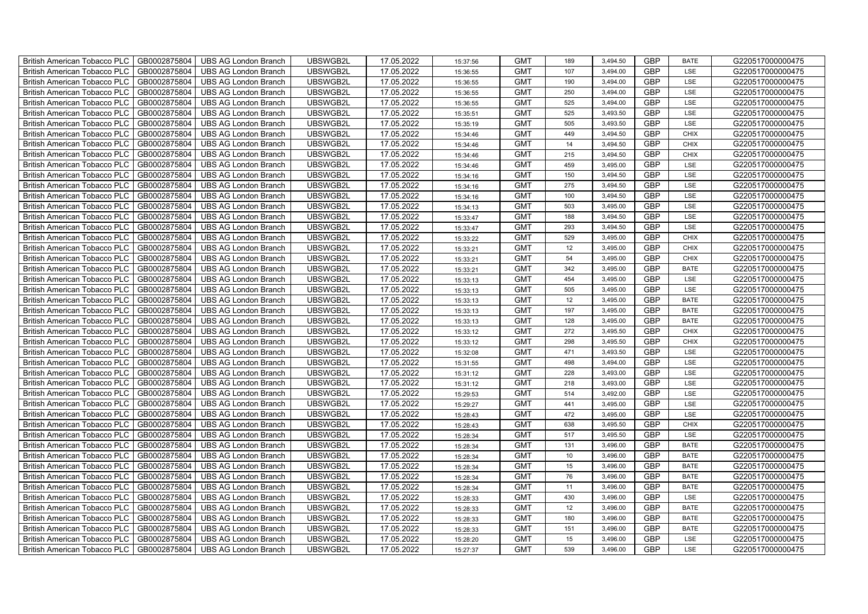| GB0002875804<br>UBSWGB2L<br>17.05.2022<br><b>GMT</b><br><b>GBP</b><br>G220517000000475<br><b>British American Tobacco PLC</b><br><b>UBS AG London Branch</b><br>107<br>3.494.00<br><b>LSE</b><br>15:36:55<br>UBSWGB2L<br><b>GBP</b><br>GB0002875804<br><b>UBS AG London Branch</b><br>17.05.2022<br><b>GMT</b><br><b>British American Tobacco PLC</b><br>190<br>3,494.00<br>LSE<br>G220517000000475<br>15:36:55<br>GB0002875804<br>17.05.2022<br><b>GMT</b><br>250<br><b>GBP</b><br>G220517000000475<br>British American Tobacco PLC<br><b>UBS AG London Branch</b><br>UBSWGB2L<br>3,494.00<br>LSE<br>15:36:55<br>GB0002875804<br>UBSWGB2L<br>17.05.2022<br><b>GMT</b><br>525<br>3,494.00<br><b>GBP</b><br>LSE<br>G220517000000475<br><b>British American Tobacco PLC</b><br><b>UBS AG London Branch</b><br>15:36:55<br><b>GBP</b><br>GB0002875804<br>UBSWGB2L<br>17.05.2022<br><b>GMT</b><br>525<br>3,493.50<br>LSE<br>G220517000000475<br>British American Tobacco PLC<br><b>UBS AG London Branch</b><br>15:35:51<br><b>GBP</b><br>GB0002875804<br>17.05.2022<br>505<br>3,493.50<br>LSE<br><b>British American Tobacco PLC</b><br><b>UBS AG London Branch</b><br>UBSWGB2L<br><b>GMT</b><br>G220517000000475<br>15:35:19<br><b>GBP</b><br>British American Tobacco PLC<br>GB0002875804<br>UBSWGB2L<br>17.05.2022<br><b>GMT</b><br>449<br>3,494.50<br>G220517000000475<br><b>UBS AG London Branch</b><br><b>CHIX</b><br>15:34:46<br><b>GBP</b><br>GB0002875804<br>UBSWGB2L<br>17.05.2022<br><b>GMT</b><br>14<br>G220517000000475<br><b>British American Tobacco PLC</b><br><b>UBS AG London Branch</b><br>3,494.50<br><b>CHIX</b><br>15:34:46<br>GB0002875804<br>UBSWGB2L<br>17.05.2022<br><b>GMT</b><br><b>GBP</b><br>G220517000000475<br>British American Tobacco PLC<br><b>UBS AG London Branch</b><br>215<br>3,494.50<br><b>CHIX</b><br>15:34:46<br><b>British American Tobacco PLC</b><br>GB0002875804<br>UBSWGB2L<br>17.05.2022<br><b>GMT</b><br>459<br><b>GBP</b><br>G220517000000475<br><b>UBS AG London Branch</b><br>3,495.00<br>LSE<br>15:34:46<br><b>GBP</b><br>GB0002875804<br>UBSWGB2L<br>17.05.2022<br><b>GMT</b><br>150<br><b>British American Tobacco PLC</b><br><b>UBS AG London Branch</b><br>3,494.50<br>LSE<br>G220517000000475<br>15:34:16<br>GB0002875804<br>17.05.2022<br><b>GMT</b><br><b>GBP</b><br>British American Tobacco PLC<br><b>UBS AG London Branch</b><br>UBSWGB2L<br>275<br>3,494.50<br>LSE<br>G220517000000475<br>15:34:16<br>GB0002875804<br>UBSWGB2L<br>17.05.2022<br><b>GMT</b><br><b>GBP</b><br>G220517000000475<br>British American Tobacco PLC<br><b>UBS AG London Branch</b><br>100<br>3,494.50<br>LSE<br>15:34:16<br><b>GBP</b><br>GB0002875804<br>UBSWGB2L<br>17.05.2022<br><b>GMT</b><br>503<br>3,495.00<br>LSE<br>G220517000000475<br>British American Tobacco PLC<br><b>UBS AG London Branch</b><br>15:34:13<br><b>GBP</b><br>GB0002875804<br>17.05.2022<br>188<br>3,494.50<br>British American Tobacco PLC<br><b>UBS AG London Branch</b><br>UBSWGB2L<br><b>GMT</b><br>LSE<br>G220517000000475<br>15:33:47<br><b>GBP</b><br><b>GMT</b><br>British American Tobacco PLC<br>GB0002875804<br>UBSWGB2L<br>17.05.2022<br>293<br>3,494.50<br>LSE<br>G220517000000475<br><b>UBS AG London Branch</b><br>15:33:47<br><b>GBP</b><br>GB0002875804<br>UBSWGB2L<br>17.05.2022<br><b>GMT</b><br>529<br>G220517000000475<br>British American Tobacco PLC<br><b>UBS AG London Branch</b><br>3,495.00<br><b>CHIX</b><br>15:33:22<br>GB0002875804<br>UBSWGB2L<br>17.05.2022<br><b>GMT</b><br>12<br><b>GBP</b><br>G220517000000475<br>British American Tobacco PLC<br><b>UBS AG London Branch</b><br>3,495.00<br><b>CHIX</b><br>15:33:21<br><b>British American Tobacco PLC</b><br>GB0002875804<br><b>UBS AG London Branch</b><br>UBSWGB2L<br>17.05.2022<br><b>GMT</b><br><b>GBP</b><br>G220517000000475<br>54<br>3,495.00<br>CHIX<br>15:33:21<br><b>GBP</b><br>GB0002875804<br><b>UBS AG London Branch</b><br>UBSWGB2L<br>17.05.2022<br><b>GMT</b><br>342<br><b>British American Tobacco PLC</b><br>3,495.00<br>G220517000000475<br><b>BATE</b><br>15:33:21<br><b>GBP</b><br>GB0002875804<br>UBSWGB2L<br>17.05.2022<br><b>GMT</b><br>British American Tobacco PLC<br><b>UBS AG London Branch</b><br>454<br>3,495.00<br>LSE<br>G220517000000475<br>15:33:13<br>GB0002875804<br>UBSWGB2L<br>17.05.2022<br><b>GMT</b><br>505<br>GBP<br>G220517000000475<br>British American Tobacco PLC<br><b>UBS AG London Branch</b><br>3,495.00<br>LSE<br>15:33:13<br><b>GBP</b><br>GB0002875804<br>UBSWGB2L<br>17.05.2022<br><b>GMT</b><br>12<br>3,495.00<br><b>BATE</b><br>G220517000000475<br>British American Tobacco PLC<br><b>UBS AG London Branch</b><br>15:33:13<br><b>GBP</b><br>GB0002875804<br>UBSWGB2L<br>17.05.2022<br><b>GMT</b><br>197<br>3,495.00<br><b>BATE</b><br>G220517000000475<br>British American Tobacco PLC<br><b>UBS AG London Branch</b><br>15:33:13<br>128<br><b>GBP</b><br>GB0002875804<br>UBSWGB2L<br>17.05.2022<br><b>GMT</b><br>3,495.00<br><b>BATE</b><br>British American Tobacco PLC<br><b>UBS AG London Branch</b><br>G220517000000475<br>15:33:13<br><b>GBP</b><br>GB0002875804<br>UBSWGB2L<br>17.05.2022<br><b>GMT</b><br>272<br>G220517000000475<br>British American Tobacco PLC<br><b>UBS AG London Branch</b><br>3,495.50<br>CHIX<br>15:33:12<br><b>GBP</b><br>GB0002875804<br>UBSWGB2L<br>17.05.2022<br><b>GMT</b><br>298<br>G220517000000475<br>British American Tobacco PLC<br><b>UBS AG London Branch</b><br>3,495.50<br><b>CHIX</b><br>15:33:12<br><b>GBP</b><br><b>British American Tobacco PLC</b><br>GB0002875804<br><b>UBS AG London Branch</b><br>UBSWGB2L<br>17.05.2022<br><b>GMT</b><br>G220517000000475<br>471<br>3,493.50<br>LSE<br>15:32:08<br><b>GBP</b><br>GB0002875804<br><b>UBS AG London Branch</b><br>UBSWGB2L<br>17.05.2022<br><b>GMT</b><br>498<br>G220517000000475<br><b>British American Tobacco PLC</b><br>3,494.00<br>LSE<br>15:31:55<br><b>GBP</b><br>GB0002875804<br>UBSWGB2L<br>17.05.2022<br><b>GMT</b><br>G220517000000475<br>British American Tobacco PLC<br><b>UBS AG London Branch</b><br>228<br>3,493.00<br>LSE<br>15:31:12<br><b>GBP</b><br>GB0002875804<br>UBSWGB2L<br>17.05.2022<br><b>GMT</b><br>G220517000000475<br>British American Tobacco PLC<br><b>UBS AG London Branch</b><br>218<br>3,493.00<br>LSE<br>15:31:12<br><b>GBP</b><br>British American Tobacco PLC<br>GB0002875804<br><b>UBS AG London Branch</b><br>UBSWGB2L<br>17.05.2022<br><b>GMT</b><br>514<br>3,492.00<br>LSE<br>G220517000000475<br>15:29:53<br><b>GBP</b><br>British American Tobacco PLC<br>GB0002875804<br>UBSWGB2L<br>17.05.2022<br><b>GMT</b><br>441<br>3,495.00<br>LSE<br>G220517000000475<br><b>UBS AG London Branch</b><br>15:29:27<br>472<br><b>GBP</b><br>GB0002875804<br>UBSWGB2L<br>17.05.2022<br><b>GMT</b><br>3,495.00<br>LSE<br>British American Tobacco PLC<br><b>UBS AG London Branch</b><br>G220517000000475<br>15:28:43<br><b>GBP</b><br>GB0002875804<br>UBSWGB2L<br>17.05.2022<br><b>GMT</b><br>638<br>G220517000000475<br>British American Tobacco PLC<br><b>UBS AG London Branch</b><br>3,495.50<br>CHIX<br>15:28:43<br><b>GBP</b><br>GB0002875804<br>UBSWGB2L<br>17.05.2022<br><b>GMT</b><br>517<br>3,495.50<br>LSE<br>G220517000000475<br>British American Tobacco PLC<br><b>UBS AG London Branch</b><br>15:28:34<br><b>GBP</b><br><b>British American Tobacco PLC</b><br>GB0002875804<br><b>UBS AG London Branch</b><br>UBSWGB2L<br>17.05.2022<br><b>GMT</b><br><b>BATE</b><br>G220517000000475<br>131<br>3,496.00<br>15:28:34<br>UBSWGB2L<br><b>GBP</b><br>GB0002875804<br><b>UBS AG London Branch</b><br>17.05.2022<br><b>GMT</b><br>G220517000000475<br>British American Tobacco PLC<br>10<br>3,496.00<br><b>BATE</b><br>15:28:34<br><b>GMT</b><br><b>GBP</b><br>GB0002875804<br>UBSWGB2L<br>17.05.2022<br>15<br>G220517000000475<br>British American Tobacco PLC<br><b>UBS AG London Branch</b><br>3,496.00<br><b>BATE</b><br>15:28:34<br>British American Tobacco PLC<br>GB0002875804<br>UBSWGB2L<br>17.05.2022<br><b>GMT</b><br>76<br>GBP<br>G220517000000475<br>UBS AG London Branch<br>3,496.00<br><b>BATE</b><br>15:28:34<br><b>GBP</b><br>British American Tobacco PLC<br>GB0002875804<br><b>UBS AG London Branch</b><br>UBSWGB2L<br>17.05.2022<br><b>GMT</b><br>11<br>G220517000000475<br>3,496.00<br><b>BATE</b><br>15:28:34<br>430<br>3,496.00<br><b>GBP</b><br>British American Tobacco PLC<br>GB0002875804<br>UBSWGB2L<br>17.05.2022<br><b>GMT</b><br>LSE<br>G220517000000475<br><b>UBS AG London Branch</b><br>15:28:33<br>12<br>3,496.00<br><b>GBP</b><br>GB0002875804<br>UBSWGB2L<br>17.05.2022<br><b>GMT</b><br><b>BATE</b><br>British American Tobacco PLC<br><b>UBS AG London Branch</b><br>G220517000000475<br>15:28:33<br><b>GBP</b><br>GB0002875804<br>UBSWGB2L<br>17.05.2022<br><b>GMT</b><br>180<br>G220517000000475<br><b>British American Tobacco PLC</b><br><b>UBS AG London Branch</b><br>3,496.00<br><b>BATE</b><br>15:28:33<br><b>GBP</b><br>GB0002875804<br>UBSWGB2L<br>17.05.2022<br><b>GMT</b><br>151<br>G220517000000475<br><b>British American Tobacco PLC</b><br><b>UBS AG London Branch</b><br>3,496.00<br><b>BATE</b><br>15:28:33<br>UBSWGB2L<br>17.05.2022<br><b>GBP</b><br>British American Tobacco PLC<br>GB0002875804<br><b>UBS AG London Branch</b><br><b>GMT</b><br>15<br>3,496.00<br>LSE<br>G220517000000475<br>15:28:20<br>UBSWGB2L<br><b>GMT</b><br><b>GBP</b><br>British American Tobacco PLC<br>GB0002875804<br>UBS AG London Branch<br>17.05.2022<br>539<br>G220517000000475<br>3,496.00<br>LSE<br>15:27:37 | British American Tobacco PLC | GB0002875804 | <b>UBS AG London Branch</b> | UBSWGB2L | 17.05.2022 | 15:37:56 | <b>GMT</b> | 189 | 3,494.50 | <b>GBP</b> | <b>BATE</b> | G220517000000475 |
|---------------------------------------------------------------------------------------------------------------------------------------------------------------------------------------------------------------------------------------------------------------------------------------------------------------------------------------------------------------------------------------------------------------------------------------------------------------------------------------------------------------------------------------------------------------------------------------------------------------------------------------------------------------------------------------------------------------------------------------------------------------------------------------------------------------------------------------------------------------------------------------------------------------------------------------------------------------------------------------------------------------------------------------------------------------------------------------------------------------------------------------------------------------------------------------------------------------------------------------------------------------------------------------------------------------------------------------------------------------------------------------------------------------------------------------------------------------------------------------------------------------------------------------------------------------------------------------------------------------------------------------------------------------------------------------------------------------------------------------------------------------------------------------------------------------------------------------------------------------------------------------------------------------------------------------------------------------------------------------------------------------------------------------------------------------------------------------------------------------------------------------------------------------------------------------------------------------------------------------------------------------------------------------------------------------------------------------------------------------------------------------------------------------------------------------------------------------------------------------------------------------------------------------------------------------------------------------------------------------------------------------------------------------------------------------------------------------------------------------------------------------------------------------------------------------------------------------------------------------------------------------------------------------------------------------------------------------------------------------------------------------------------------------------------------------------------------------------------------------------------------------------------------------------------------------------------------------------------------------------------------------------------------------------------------------------------------------------------------------------------------------------------------------------------------------------------------------------------------------------------------------------------------------------------------------------------------------------------------------------------------------------------------------------------------------------------------------------------------------------------------------------------------------------------------------------------------------------------------------------------------------------------------------------------------------------------------------------------------------------------------------------------------------------------------------------------------------------------------------------------------------------------------------------------------------------------------------------------------------------------------------------------------------------------------------------------------------------------------------------------------------------------------------------------------------------------------------------------------------------------------------------------------------------------------------------------------------------------------------------------------------------------------------------------------------------------------------------------------------------------------------------------------------------------------------------------------------------------------------------------------------------------------------------------------------------------------------------------------------------------------------------------------------------------------------------------------------------------------------------------------------------------------------------------------------------------------------------------------------------------------------------------------------------------------------------------------------------------------------------------------------------------------------------------------------------------------------------------------------------------------------------------------------------------------------------------------------------------------------------------------------------------------------------------------------------------------------------------------------------------------------------------------------------------------------------------------------------------------------------------------------------------------------------------------------------------------------------------------------------------------------------------------------------------------------------------------------------------------------------------------------------------------------------------------------------------------------------------------------------------------------------------------------------------------------------------------------------------------------------------------------------------------------------------------------------------------------------------------------------------------------------------------------------------------------------------------------------------------------------------------------------------------------------------------------------------------------------------------------------------------------------------------------------------------------------------------------------------------------------------------------------------------------------------------------------------------------------------------------------------------------------------------------------------------------------------------------------------------------------------------------------------------------------------------------------------------------------------------------------------------------------------------------------------------------------------------------------------------------------------------------------------------------------------------------------------------------------------------------------------------------------------------------------------------------------------------------------------------------------------------------------------------------------------------------------------------------------------------------------------------------------------------------------------------------------------------------------------------------------------------------------------------------------------------------------------------------------------------------------------------------------------------------------------------------------------------------------------------------------------------------------------------------------------------------------------------------------------------------------------------------------------------------------------------------------------------------------------------------------------------------------------------------------------------------------------------------------------------------------------------------------------------------------------------------------------------------------------------------------------------------------------------------------------------------------------------------------------------------------------------------------------------------------------------------------------------------------------------------------------------------------------------------------------------------------------------------------------------------------------------------------------------------------------------------------------------------------------------------------------------------------------------------------------------------------------------------------------------------------------------------------------------------------------------------------------------------------------------------------------------------------------------------------------------------------------------------------------------------------------------------------------------------------------------------------|------------------------------|--------------|-----------------------------|----------|------------|----------|------------|-----|----------|------------|-------------|------------------|
|                                                                                                                                                                                                                                                                                                                                                                                                                                                                                                                                                                                                                                                                                                                                                                                                                                                                                                                                                                                                                                                                                                                                                                                                                                                                                                                                                                                                                                                                                                                                                                                                                                                                                                                                                                                                                                                                                                                                                                                                                                                                                                                                                                                                                                                                                                                                                                                                                                                                                                                                                                                                                                                                                                                                                                                                                                                                                                                                                                                                                                                                                                                                                                                                                                                                                                                                                                                                                                                                                                                                                                                                                                                                                                                                                                                                                                                                                                                                                                                                                                                                                                                                                                                                                                                                                                                                                                                                                                                                                                                                                                                                                                                                                                                                                                                                                                                                                                                                                                                                                                                                                                                                                                                                                                                                                                                                                                                                                                                                                                                                                                                                                                                                                                                                                                                                                                                                                                                                                                                                                                                                                                                                                                                                                                                                                                                                                                                                                                                                                                                                                                                                                                                                                                                                                                                                                                                                                                                                                                                                                                                                                                                                                                                                                                                                                                                                                                                                                                                                                                                                                                                                                                                                                                                                                                                                                                                                                                                                                                                                                                                                                                                                                                                                                                                                                                                                                                                                                                                                                                                                                                                                                                                                                                                                                                                                                                                                                                                                                                                                                                                                                                                                                                                                                                                                                                                                                                                                                                                                                                                                                                     |                              |              |                             |          |            |          |            |     |          |            |             |                  |
|                                                                                                                                                                                                                                                                                                                                                                                                                                                                                                                                                                                                                                                                                                                                                                                                                                                                                                                                                                                                                                                                                                                                                                                                                                                                                                                                                                                                                                                                                                                                                                                                                                                                                                                                                                                                                                                                                                                                                                                                                                                                                                                                                                                                                                                                                                                                                                                                                                                                                                                                                                                                                                                                                                                                                                                                                                                                                                                                                                                                                                                                                                                                                                                                                                                                                                                                                                                                                                                                                                                                                                                                                                                                                                                                                                                                                                                                                                                                                                                                                                                                                                                                                                                                                                                                                                                                                                                                                                                                                                                                                                                                                                                                                                                                                                                                                                                                                                                                                                                                                                                                                                                                                                                                                                                                                                                                                                                                                                                                                                                                                                                                                                                                                                                                                                                                                                                                                                                                                                                                                                                                                                                                                                                                                                                                                                                                                                                                                                                                                                                                                                                                                                                                                                                                                                                                                                                                                                                                                                                                                                                                                                                                                                                                                                                                                                                                                                                                                                                                                                                                                                                                                                                                                                                                                                                                                                                                                                                                                                                                                                                                                                                                                                                                                                                                                                                                                                                                                                                                                                                                                                                                                                                                                                                                                                                                                                                                                                                                                                                                                                                                                                                                                                                                                                                                                                                                                                                                                                                                                                                                                                     |                              |              |                             |          |            |          |            |     |          |            |             |                  |
|                                                                                                                                                                                                                                                                                                                                                                                                                                                                                                                                                                                                                                                                                                                                                                                                                                                                                                                                                                                                                                                                                                                                                                                                                                                                                                                                                                                                                                                                                                                                                                                                                                                                                                                                                                                                                                                                                                                                                                                                                                                                                                                                                                                                                                                                                                                                                                                                                                                                                                                                                                                                                                                                                                                                                                                                                                                                                                                                                                                                                                                                                                                                                                                                                                                                                                                                                                                                                                                                                                                                                                                                                                                                                                                                                                                                                                                                                                                                                                                                                                                                                                                                                                                                                                                                                                                                                                                                                                                                                                                                                                                                                                                                                                                                                                                                                                                                                                                                                                                                                                                                                                                                                                                                                                                                                                                                                                                                                                                                                                                                                                                                                                                                                                                                                                                                                                                                                                                                                                                                                                                                                                                                                                                                                                                                                                                                                                                                                                                                                                                                                                                                                                                                                                                                                                                                                                                                                                                                                                                                                                                                                                                                                                                                                                                                                                                                                                                                                                                                                                                                                                                                                                                                                                                                                                                                                                                                                                                                                                                                                                                                                                                                                                                                                                                                                                                                                                                                                                                                                                                                                                                                                                                                                                                                                                                                                                                                                                                                                                                                                                                                                                                                                                                                                                                                                                                                                                                                                                                                                                                                                                     |                              |              |                             |          |            |          |            |     |          |            |             |                  |
|                                                                                                                                                                                                                                                                                                                                                                                                                                                                                                                                                                                                                                                                                                                                                                                                                                                                                                                                                                                                                                                                                                                                                                                                                                                                                                                                                                                                                                                                                                                                                                                                                                                                                                                                                                                                                                                                                                                                                                                                                                                                                                                                                                                                                                                                                                                                                                                                                                                                                                                                                                                                                                                                                                                                                                                                                                                                                                                                                                                                                                                                                                                                                                                                                                                                                                                                                                                                                                                                                                                                                                                                                                                                                                                                                                                                                                                                                                                                                                                                                                                                                                                                                                                                                                                                                                                                                                                                                                                                                                                                                                                                                                                                                                                                                                                                                                                                                                                                                                                                                                                                                                                                                                                                                                                                                                                                                                                                                                                                                                                                                                                                                                                                                                                                                                                                                                                                                                                                                                                                                                                                                                                                                                                                                                                                                                                                                                                                                                                                                                                                                                                                                                                                                                                                                                                                                                                                                                                                                                                                                                                                                                                                                                                                                                                                                                                                                                                                                                                                                                                                                                                                                                                                                                                                                                                                                                                                                                                                                                                                                                                                                                                                                                                                                                                                                                                                                                                                                                                                                                                                                                                                                                                                                                                                                                                                                                                                                                                                                                                                                                                                                                                                                                                                                                                                                                                                                                                                                                                                                                                                                                     |                              |              |                             |          |            |          |            |     |          |            |             |                  |
|                                                                                                                                                                                                                                                                                                                                                                                                                                                                                                                                                                                                                                                                                                                                                                                                                                                                                                                                                                                                                                                                                                                                                                                                                                                                                                                                                                                                                                                                                                                                                                                                                                                                                                                                                                                                                                                                                                                                                                                                                                                                                                                                                                                                                                                                                                                                                                                                                                                                                                                                                                                                                                                                                                                                                                                                                                                                                                                                                                                                                                                                                                                                                                                                                                                                                                                                                                                                                                                                                                                                                                                                                                                                                                                                                                                                                                                                                                                                                                                                                                                                                                                                                                                                                                                                                                                                                                                                                                                                                                                                                                                                                                                                                                                                                                                                                                                                                                                                                                                                                                                                                                                                                                                                                                                                                                                                                                                                                                                                                                                                                                                                                                                                                                                                                                                                                                                                                                                                                                                                                                                                                                                                                                                                                                                                                                                                                                                                                                                                                                                                                                                                                                                                                                                                                                                                                                                                                                                                                                                                                                                                                                                                                                                                                                                                                                                                                                                                                                                                                                                                                                                                                                                                                                                                                                                                                                                                                                                                                                                                                                                                                                                                                                                                                                                                                                                                                                                                                                                                                                                                                                                                                                                                                                                                                                                                                                                                                                                                                                                                                                                                                                                                                                                                                                                                                                                                                                                                                                                                                                                                                                     |                              |              |                             |          |            |          |            |     |          |            |             |                  |
|                                                                                                                                                                                                                                                                                                                                                                                                                                                                                                                                                                                                                                                                                                                                                                                                                                                                                                                                                                                                                                                                                                                                                                                                                                                                                                                                                                                                                                                                                                                                                                                                                                                                                                                                                                                                                                                                                                                                                                                                                                                                                                                                                                                                                                                                                                                                                                                                                                                                                                                                                                                                                                                                                                                                                                                                                                                                                                                                                                                                                                                                                                                                                                                                                                                                                                                                                                                                                                                                                                                                                                                                                                                                                                                                                                                                                                                                                                                                                                                                                                                                                                                                                                                                                                                                                                                                                                                                                                                                                                                                                                                                                                                                                                                                                                                                                                                                                                                                                                                                                                                                                                                                                                                                                                                                                                                                                                                                                                                                                                                                                                                                                                                                                                                                                                                                                                                                                                                                                                                                                                                                                                                                                                                                                                                                                                                                                                                                                                                                                                                                                                                                                                                                                                                                                                                                                                                                                                                                                                                                                                                                                                                                                                                                                                                                                                                                                                                                                                                                                                                                                                                                                                                                                                                                                                                                                                                                                                                                                                                                                                                                                                                                                                                                                                                                                                                                                                                                                                                                                                                                                                                                                                                                                                                                                                                                                                                                                                                                                                                                                                                                                                                                                                                                                                                                                                                                                                                                                                                                                                                                                                     |                              |              |                             |          |            |          |            |     |          |            |             |                  |
|                                                                                                                                                                                                                                                                                                                                                                                                                                                                                                                                                                                                                                                                                                                                                                                                                                                                                                                                                                                                                                                                                                                                                                                                                                                                                                                                                                                                                                                                                                                                                                                                                                                                                                                                                                                                                                                                                                                                                                                                                                                                                                                                                                                                                                                                                                                                                                                                                                                                                                                                                                                                                                                                                                                                                                                                                                                                                                                                                                                                                                                                                                                                                                                                                                                                                                                                                                                                                                                                                                                                                                                                                                                                                                                                                                                                                                                                                                                                                                                                                                                                                                                                                                                                                                                                                                                                                                                                                                                                                                                                                                                                                                                                                                                                                                                                                                                                                                                                                                                                                                                                                                                                                                                                                                                                                                                                                                                                                                                                                                                                                                                                                                                                                                                                                                                                                                                                                                                                                                                                                                                                                                                                                                                                                                                                                                                                                                                                                                                                                                                                                                                                                                                                                                                                                                                                                                                                                                                                                                                                                                                                                                                                                                                                                                                                                                                                                                                                                                                                                                                                                                                                                                                                                                                                                                                                                                                                                                                                                                                                                                                                                                                                                                                                                                                                                                                                                                                                                                                                                                                                                                                                                                                                                                                                                                                                                                                                                                                                                                                                                                                                                                                                                                                                                                                                                                                                                                                                                                                                                                                                                                     |                              |              |                             |          |            |          |            |     |          |            |             |                  |
|                                                                                                                                                                                                                                                                                                                                                                                                                                                                                                                                                                                                                                                                                                                                                                                                                                                                                                                                                                                                                                                                                                                                                                                                                                                                                                                                                                                                                                                                                                                                                                                                                                                                                                                                                                                                                                                                                                                                                                                                                                                                                                                                                                                                                                                                                                                                                                                                                                                                                                                                                                                                                                                                                                                                                                                                                                                                                                                                                                                                                                                                                                                                                                                                                                                                                                                                                                                                                                                                                                                                                                                                                                                                                                                                                                                                                                                                                                                                                                                                                                                                                                                                                                                                                                                                                                                                                                                                                                                                                                                                                                                                                                                                                                                                                                                                                                                                                                                                                                                                                                                                                                                                                                                                                                                                                                                                                                                                                                                                                                                                                                                                                                                                                                                                                                                                                                                                                                                                                                                                                                                                                                                                                                                                                                                                                                                                                                                                                                                                                                                                                                                                                                                                                                                                                                                                                                                                                                                                                                                                                                                                                                                                                                                                                                                                                                                                                                                                                                                                                                                                                                                                                                                                                                                                                                                                                                                                                                                                                                                                                                                                                                                                                                                                                                                                                                                                                                                                                                                                                                                                                                                                                                                                                                                                                                                                                                                                                                                                                                                                                                                                                                                                                                                                                                                                                                                                                                                                                                                                                                                                                                     |                              |              |                             |          |            |          |            |     |          |            |             |                  |
|                                                                                                                                                                                                                                                                                                                                                                                                                                                                                                                                                                                                                                                                                                                                                                                                                                                                                                                                                                                                                                                                                                                                                                                                                                                                                                                                                                                                                                                                                                                                                                                                                                                                                                                                                                                                                                                                                                                                                                                                                                                                                                                                                                                                                                                                                                                                                                                                                                                                                                                                                                                                                                                                                                                                                                                                                                                                                                                                                                                                                                                                                                                                                                                                                                                                                                                                                                                                                                                                                                                                                                                                                                                                                                                                                                                                                                                                                                                                                                                                                                                                                                                                                                                                                                                                                                                                                                                                                                                                                                                                                                                                                                                                                                                                                                                                                                                                                                                                                                                                                                                                                                                                                                                                                                                                                                                                                                                                                                                                                                                                                                                                                                                                                                                                                                                                                                                                                                                                                                                                                                                                                                                                                                                                                                                                                                                                                                                                                                                                                                                                                                                                                                                                                                                                                                                                                                                                                                                                                                                                                                                                                                                                                                                                                                                                                                                                                                                                                                                                                                                                                                                                                                                                                                                                                                                                                                                                                                                                                                                                                                                                                                                                                                                                                                                                                                                                                                                                                                                                                                                                                                                                                                                                                                                                                                                                                                                                                                                                                                                                                                                                                                                                                                                                                                                                                                                                                                                                                                                                                                                                                                     |                              |              |                             |          |            |          |            |     |          |            |             |                  |
|                                                                                                                                                                                                                                                                                                                                                                                                                                                                                                                                                                                                                                                                                                                                                                                                                                                                                                                                                                                                                                                                                                                                                                                                                                                                                                                                                                                                                                                                                                                                                                                                                                                                                                                                                                                                                                                                                                                                                                                                                                                                                                                                                                                                                                                                                                                                                                                                                                                                                                                                                                                                                                                                                                                                                                                                                                                                                                                                                                                                                                                                                                                                                                                                                                                                                                                                                                                                                                                                                                                                                                                                                                                                                                                                                                                                                                                                                                                                                                                                                                                                                                                                                                                                                                                                                                                                                                                                                                                                                                                                                                                                                                                                                                                                                                                                                                                                                                                                                                                                                                                                                                                                                                                                                                                                                                                                                                                                                                                                                                                                                                                                                                                                                                                                                                                                                                                                                                                                                                                                                                                                                                                                                                                                                                                                                                                                                                                                                                                                                                                                                                                                                                                                                                                                                                                                                                                                                                                                                                                                                                                                                                                                                                                                                                                                                                                                                                                                                                                                                                                                                                                                                                                                                                                                                                                                                                                                                                                                                                                                                                                                                                                                                                                                                                                                                                                                                                                                                                                                                                                                                                                                                                                                                                                                                                                                                                                                                                                                                                                                                                                                                                                                                                                                                                                                                                                                                                                                                                                                                                                                                                     |                              |              |                             |          |            |          |            |     |          |            |             |                  |
|                                                                                                                                                                                                                                                                                                                                                                                                                                                                                                                                                                                                                                                                                                                                                                                                                                                                                                                                                                                                                                                                                                                                                                                                                                                                                                                                                                                                                                                                                                                                                                                                                                                                                                                                                                                                                                                                                                                                                                                                                                                                                                                                                                                                                                                                                                                                                                                                                                                                                                                                                                                                                                                                                                                                                                                                                                                                                                                                                                                                                                                                                                                                                                                                                                                                                                                                                                                                                                                                                                                                                                                                                                                                                                                                                                                                                                                                                                                                                                                                                                                                                                                                                                                                                                                                                                                                                                                                                                                                                                                                                                                                                                                                                                                                                                                                                                                                                                                                                                                                                                                                                                                                                                                                                                                                                                                                                                                                                                                                                                                                                                                                                                                                                                                                                                                                                                                                                                                                                                                                                                                                                                                                                                                                                                                                                                                                                                                                                                                                                                                                                                                                                                                                                                                                                                                                                                                                                                                                                                                                                                                                                                                                                                                                                                                                                                                                                                                                                                                                                                                                                                                                                                                                                                                                                                                                                                                                                                                                                                                                                                                                                                                                                                                                                                                                                                                                                                                                                                                                                                                                                                                                                                                                                                                                                                                                                                                                                                                                                                                                                                                                                                                                                                                                                                                                                                                                                                                                                                                                                                                                                                     |                              |              |                             |          |            |          |            |     |          |            |             |                  |
|                                                                                                                                                                                                                                                                                                                                                                                                                                                                                                                                                                                                                                                                                                                                                                                                                                                                                                                                                                                                                                                                                                                                                                                                                                                                                                                                                                                                                                                                                                                                                                                                                                                                                                                                                                                                                                                                                                                                                                                                                                                                                                                                                                                                                                                                                                                                                                                                                                                                                                                                                                                                                                                                                                                                                                                                                                                                                                                                                                                                                                                                                                                                                                                                                                                                                                                                                                                                                                                                                                                                                                                                                                                                                                                                                                                                                                                                                                                                                                                                                                                                                                                                                                                                                                                                                                                                                                                                                                                                                                                                                                                                                                                                                                                                                                                                                                                                                                                                                                                                                                                                                                                                                                                                                                                                                                                                                                                                                                                                                                                                                                                                                                                                                                                                                                                                                                                                                                                                                                                                                                                                                                                                                                                                                                                                                                                                                                                                                                                                                                                                                                                                                                                                                                                                                                                                                                                                                                                                                                                                                                                                                                                                                                                                                                                                                                                                                                                                                                                                                                                                                                                                                                                                                                                                                                                                                                                                                                                                                                                                                                                                                                                                                                                                                                                                                                                                                                                                                                                                                                                                                                                                                                                                                                                                                                                                                                                                                                                                                                                                                                                                                                                                                                                                                                                                                                                                                                                                                                                                                                                                                                     |                              |              |                             |          |            |          |            |     |          |            |             |                  |
|                                                                                                                                                                                                                                                                                                                                                                                                                                                                                                                                                                                                                                                                                                                                                                                                                                                                                                                                                                                                                                                                                                                                                                                                                                                                                                                                                                                                                                                                                                                                                                                                                                                                                                                                                                                                                                                                                                                                                                                                                                                                                                                                                                                                                                                                                                                                                                                                                                                                                                                                                                                                                                                                                                                                                                                                                                                                                                                                                                                                                                                                                                                                                                                                                                                                                                                                                                                                                                                                                                                                                                                                                                                                                                                                                                                                                                                                                                                                                                                                                                                                                                                                                                                                                                                                                                                                                                                                                                                                                                                                                                                                                                                                                                                                                                                                                                                                                                                                                                                                                                                                                                                                                                                                                                                                                                                                                                                                                                                                                                                                                                                                                                                                                                                                                                                                                                                                                                                                                                                                                                                                                                                                                                                                                                                                                                                                                                                                                                                                                                                                                                                                                                                                                                                                                                                                                                                                                                                                                                                                                                                                                                                                                                                                                                                                                                                                                                                                                                                                                                                                                                                                                                                                                                                                                                                                                                                                                                                                                                                                                                                                                                                                                                                                                                                                                                                                                                                                                                                                                                                                                                                                                                                                                                                                                                                                                                                                                                                                                                                                                                                                                                                                                                                                                                                                                                                                                                                                                                                                                                                                                                     |                              |              |                             |          |            |          |            |     |          |            |             |                  |
|                                                                                                                                                                                                                                                                                                                                                                                                                                                                                                                                                                                                                                                                                                                                                                                                                                                                                                                                                                                                                                                                                                                                                                                                                                                                                                                                                                                                                                                                                                                                                                                                                                                                                                                                                                                                                                                                                                                                                                                                                                                                                                                                                                                                                                                                                                                                                                                                                                                                                                                                                                                                                                                                                                                                                                                                                                                                                                                                                                                                                                                                                                                                                                                                                                                                                                                                                                                                                                                                                                                                                                                                                                                                                                                                                                                                                                                                                                                                                                                                                                                                                                                                                                                                                                                                                                                                                                                                                                                                                                                                                                                                                                                                                                                                                                                                                                                                                                                                                                                                                                                                                                                                                                                                                                                                                                                                                                                                                                                                                                                                                                                                                                                                                                                                                                                                                                                                                                                                                                                                                                                                                                                                                                                                                                                                                                                                                                                                                                                                                                                                                                                                                                                                                                                                                                                                                                                                                                                                                                                                                                                                                                                                                                                                                                                                                                                                                                                                                                                                                                                                                                                                                                                                                                                                                                                                                                                                                                                                                                                                                                                                                                                                                                                                                                                                                                                                                                                                                                                                                                                                                                                                                                                                                                                                                                                                                                                                                                                                                                                                                                                                                                                                                                                                                                                                                                                                                                                                                                                                                                                                                                     |                              |              |                             |          |            |          |            |     |          |            |             |                  |
|                                                                                                                                                                                                                                                                                                                                                                                                                                                                                                                                                                                                                                                                                                                                                                                                                                                                                                                                                                                                                                                                                                                                                                                                                                                                                                                                                                                                                                                                                                                                                                                                                                                                                                                                                                                                                                                                                                                                                                                                                                                                                                                                                                                                                                                                                                                                                                                                                                                                                                                                                                                                                                                                                                                                                                                                                                                                                                                                                                                                                                                                                                                                                                                                                                                                                                                                                                                                                                                                                                                                                                                                                                                                                                                                                                                                                                                                                                                                                                                                                                                                                                                                                                                                                                                                                                                                                                                                                                                                                                                                                                                                                                                                                                                                                                                                                                                                                                                                                                                                                                                                                                                                                                                                                                                                                                                                                                                                                                                                                                                                                                                                                                                                                                                                                                                                                                                                                                                                                                                                                                                                                                                                                                                                                                                                                                                                                                                                                                                                                                                                                                                                                                                                                                                                                                                                                                                                                                                                                                                                                                                                                                                                                                                                                                                                                                                                                                                                                                                                                                                                                                                                                                                                                                                                                                                                                                                                                                                                                                                                                                                                                                                                                                                                                                                                                                                                                                                                                                                                                                                                                                                                                                                                                                                                                                                                                                                                                                                                                                                                                                                                                                                                                                                                                                                                                                                                                                                                                                                                                                                                                                     |                              |              |                             |          |            |          |            |     |          |            |             |                  |
|                                                                                                                                                                                                                                                                                                                                                                                                                                                                                                                                                                                                                                                                                                                                                                                                                                                                                                                                                                                                                                                                                                                                                                                                                                                                                                                                                                                                                                                                                                                                                                                                                                                                                                                                                                                                                                                                                                                                                                                                                                                                                                                                                                                                                                                                                                                                                                                                                                                                                                                                                                                                                                                                                                                                                                                                                                                                                                                                                                                                                                                                                                                                                                                                                                                                                                                                                                                                                                                                                                                                                                                                                                                                                                                                                                                                                                                                                                                                                                                                                                                                                                                                                                                                                                                                                                                                                                                                                                                                                                                                                                                                                                                                                                                                                                                                                                                                                                                                                                                                                                                                                                                                                                                                                                                                                                                                                                                                                                                                                                                                                                                                                                                                                                                                                                                                                                                                                                                                                                                                                                                                                                                                                                                                                                                                                                                                                                                                                                                                                                                                                                                                                                                                                                                                                                                                                                                                                                                                                                                                                                                                                                                                                                                                                                                                                                                                                                                                                                                                                                                                                                                                                                                                                                                                                                                                                                                                                                                                                                                                                                                                                                                                                                                                                                                                                                                                                                                                                                                                                                                                                                                                                                                                                                                                                                                                                                                                                                                                                                                                                                                                                                                                                                                                                                                                                                                                                                                                                                                                                                                                                                     |                              |              |                             |          |            |          |            |     |          |            |             |                  |
|                                                                                                                                                                                                                                                                                                                                                                                                                                                                                                                                                                                                                                                                                                                                                                                                                                                                                                                                                                                                                                                                                                                                                                                                                                                                                                                                                                                                                                                                                                                                                                                                                                                                                                                                                                                                                                                                                                                                                                                                                                                                                                                                                                                                                                                                                                                                                                                                                                                                                                                                                                                                                                                                                                                                                                                                                                                                                                                                                                                                                                                                                                                                                                                                                                                                                                                                                                                                                                                                                                                                                                                                                                                                                                                                                                                                                                                                                                                                                                                                                                                                                                                                                                                                                                                                                                                                                                                                                                                                                                                                                                                                                                                                                                                                                                                                                                                                                                                                                                                                                                                                                                                                                                                                                                                                                                                                                                                                                                                                                                                                                                                                                                                                                                                                                                                                                                                                                                                                                                                                                                                                                                                                                                                                                                                                                                                                                                                                                                                                                                                                                                                                                                                                                                                                                                                                                                                                                                                                                                                                                                                                                                                                                                                                                                                                                                                                                                                                                                                                                                                                                                                                                                                                                                                                                                                                                                                                                                                                                                                                                                                                                                                                                                                                                                                                                                                                                                                                                                                                                                                                                                                                                                                                                                                                                                                                                                                                                                                                                                                                                                                                                                                                                                                                                                                                                                                                                                                                                                                                                                                                                                     |                              |              |                             |          |            |          |            |     |          |            |             |                  |
|                                                                                                                                                                                                                                                                                                                                                                                                                                                                                                                                                                                                                                                                                                                                                                                                                                                                                                                                                                                                                                                                                                                                                                                                                                                                                                                                                                                                                                                                                                                                                                                                                                                                                                                                                                                                                                                                                                                                                                                                                                                                                                                                                                                                                                                                                                                                                                                                                                                                                                                                                                                                                                                                                                                                                                                                                                                                                                                                                                                                                                                                                                                                                                                                                                                                                                                                                                                                                                                                                                                                                                                                                                                                                                                                                                                                                                                                                                                                                                                                                                                                                                                                                                                                                                                                                                                                                                                                                                                                                                                                                                                                                                                                                                                                                                                                                                                                                                                                                                                                                                                                                                                                                                                                                                                                                                                                                                                                                                                                                                                                                                                                                                                                                                                                                                                                                                                                                                                                                                                                                                                                                                                                                                                                                                                                                                                                                                                                                                                                                                                                                                                                                                                                                                                                                                                                                                                                                                                                                                                                                                                                                                                                                                                                                                                                                                                                                                                                                                                                                                                                                                                                                                                                                                                                                                                                                                                                                                                                                                                                                                                                                                                                                                                                                                                                                                                                                                                                                                                                                                                                                                                                                                                                                                                                                                                                                                                                                                                                                                                                                                                                                                                                                                                                                                                                                                                                                                                                                                                                                                                                                                     |                              |              |                             |          |            |          |            |     |          |            |             |                  |
|                                                                                                                                                                                                                                                                                                                                                                                                                                                                                                                                                                                                                                                                                                                                                                                                                                                                                                                                                                                                                                                                                                                                                                                                                                                                                                                                                                                                                                                                                                                                                                                                                                                                                                                                                                                                                                                                                                                                                                                                                                                                                                                                                                                                                                                                                                                                                                                                                                                                                                                                                                                                                                                                                                                                                                                                                                                                                                                                                                                                                                                                                                                                                                                                                                                                                                                                                                                                                                                                                                                                                                                                                                                                                                                                                                                                                                                                                                                                                                                                                                                                                                                                                                                                                                                                                                                                                                                                                                                                                                                                                                                                                                                                                                                                                                                                                                                                                                                                                                                                                                                                                                                                                                                                                                                                                                                                                                                                                                                                                                                                                                                                                                                                                                                                                                                                                                                                                                                                                                                                                                                                                                                                                                                                                                                                                                                                                                                                                                                                                                                                                                                                                                                                                                                                                                                                                                                                                                                                                                                                                                                                                                                                                                                                                                                                                                                                                                                                                                                                                                                                                                                                                                                                                                                                                                                                                                                                                                                                                                                                                                                                                                                                                                                                                                                                                                                                                                                                                                                                                                                                                                                                                                                                                                                                                                                                                                                                                                                                                                                                                                                                                                                                                                                                                                                                                                                                                                                                                                                                                                                                                                     |                              |              |                             |          |            |          |            |     |          |            |             |                  |
|                                                                                                                                                                                                                                                                                                                                                                                                                                                                                                                                                                                                                                                                                                                                                                                                                                                                                                                                                                                                                                                                                                                                                                                                                                                                                                                                                                                                                                                                                                                                                                                                                                                                                                                                                                                                                                                                                                                                                                                                                                                                                                                                                                                                                                                                                                                                                                                                                                                                                                                                                                                                                                                                                                                                                                                                                                                                                                                                                                                                                                                                                                                                                                                                                                                                                                                                                                                                                                                                                                                                                                                                                                                                                                                                                                                                                                                                                                                                                                                                                                                                                                                                                                                                                                                                                                                                                                                                                                                                                                                                                                                                                                                                                                                                                                                                                                                                                                                                                                                                                                                                                                                                                                                                                                                                                                                                                                                                                                                                                                                                                                                                                                                                                                                                                                                                                                                                                                                                                                                                                                                                                                                                                                                                                                                                                                                                                                                                                                                                                                                                                                                                                                                                                                                                                                                                                                                                                                                                                                                                                                                                                                                                                                                                                                                                                                                                                                                                                                                                                                                                                                                                                                                                                                                                                                                                                                                                                                                                                                                                                                                                                                                                                                                                                                                                                                                                                                                                                                                                                                                                                                                                                                                                                                                                                                                                                                                                                                                                                                                                                                                                                                                                                                                                                                                                                                                                                                                                                                                                                                                                                                     |                              |              |                             |          |            |          |            |     |          |            |             |                  |
|                                                                                                                                                                                                                                                                                                                                                                                                                                                                                                                                                                                                                                                                                                                                                                                                                                                                                                                                                                                                                                                                                                                                                                                                                                                                                                                                                                                                                                                                                                                                                                                                                                                                                                                                                                                                                                                                                                                                                                                                                                                                                                                                                                                                                                                                                                                                                                                                                                                                                                                                                                                                                                                                                                                                                                                                                                                                                                                                                                                                                                                                                                                                                                                                                                                                                                                                                                                                                                                                                                                                                                                                                                                                                                                                                                                                                                                                                                                                                                                                                                                                                                                                                                                                                                                                                                                                                                                                                                                                                                                                                                                                                                                                                                                                                                                                                                                                                                                                                                                                                                                                                                                                                                                                                                                                                                                                                                                                                                                                                                                                                                                                                                                                                                                                                                                                                                                                                                                                                                                                                                                                                                                                                                                                                                                                                                                                                                                                                                                                                                                                                                                                                                                                                                                                                                                                                                                                                                                                                                                                                                                                                                                                                                                                                                                                                                                                                                                                                                                                                                                                                                                                                                                                                                                                                                                                                                                                                                                                                                                                                                                                                                                                                                                                                                                                                                                                                                                                                                                                                                                                                                                                                                                                                                                                                                                                                                                                                                                                                                                                                                                                                                                                                                                                                                                                                                                                                                                                                                                                                                                                                                     |                              |              |                             |          |            |          |            |     |          |            |             |                  |
|                                                                                                                                                                                                                                                                                                                                                                                                                                                                                                                                                                                                                                                                                                                                                                                                                                                                                                                                                                                                                                                                                                                                                                                                                                                                                                                                                                                                                                                                                                                                                                                                                                                                                                                                                                                                                                                                                                                                                                                                                                                                                                                                                                                                                                                                                                                                                                                                                                                                                                                                                                                                                                                                                                                                                                                                                                                                                                                                                                                                                                                                                                                                                                                                                                                                                                                                                                                                                                                                                                                                                                                                                                                                                                                                                                                                                                                                                                                                                                                                                                                                                                                                                                                                                                                                                                                                                                                                                                                                                                                                                                                                                                                                                                                                                                                                                                                                                                                                                                                                                                                                                                                                                                                                                                                                                                                                                                                                                                                                                                                                                                                                                                                                                                                                                                                                                                                                                                                                                                                                                                                                                                                                                                                                                                                                                                                                                                                                                                                                                                                                                                                                                                                                                                                                                                                                                                                                                                                                                                                                                                                                                                                                                                                                                                                                                                                                                                                                                                                                                                                                                                                                                                                                                                                                                                                                                                                                                                                                                                                                                                                                                                                                                                                                                                                                                                                                                                                                                                                                                                                                                                                                                                                                                                                                                                                                                                                                                                                                                                                                                                                                                                                                                                                                                                                                                                                                                                                                                                                                                                                                                                     |                              |              |                             |          |            |          |            |     |          |            |             |                  |
|                                                                                                                                                                                                                                                                                                                                                                                                                                                                                                                                                                                                                                                                                                                                                                                                                                                                                                                                                                                                                                                                                                                                                                                                                                                                                                                                                                                                                                                                                                                                                                                                                                                                                                                                                                                                                                                                                                                                                                                                                                                                                                                                                                                                                                                                                                                                                                                                                                                                                                                                                                                                                                                                                                                                                                                                                                                                                                                                                                                                                                                                                                                                                                                                                                                                                                                                                                                                                                                                                                                                                                                                                                                                                                                                                                                                                                                                                                                                                                                                                                                                                                                                                                                                                                                                                                                                                                                                                                                                                                                                                                                                                                                                                                                                                                                                                                                                                                                                                                                                                                                                                                                                                                                                                                                                                                                                                                                                                                                                                                                                                                                                                                                                                                                                                                                                                                                                                                                                                                                                                                                                                                                                                                                                                                                                                                                                                                                                                                                                                                                                                                                                                                                                                                                                                                                                                                                                                                                                                                                                                                                                                                                                                                                                                                                                                                                                                                                                                                                                                                                                                                                                                                                                                                                                                                                                                                                                                                                                                                                                                                                                                                                                                                                                                                                                                                                                                                                                                                                                                                                                                                                                                                                                                                                                                                                                                                                                                                                                                                                                                                                                                                                                                                                                                                                                                                                                                                                                                                                                                                                                                                     |                              |              |                             |          |            |          |            |     |          |            |             |                  |
|                                                                                                                                                                                                                                                                                                                                                                                                                                                                                                                                                                                                                                                                                                                                                                                                                                                                                                                                                                                                                                                                                                                                                                                                                                                                                                                                                                                                                                                                                                                                                                                                                                                                                                                                                                                                                                                                                                                                                                                                                                                                                                                                                                                                                                                                                                                                                                                                                                                                                                                                                                                                                                                                                                                                                                                                                                                                                                                                                                                                                                                                                                                                                                                                                                                                                                                                                                                                                                                                                                                                                                                                                                                                                                                                                                                                                                                                                                                                                                                                                                                                                                                                                                                                                                                                                                                                                                                                                                                                                                                                                                                                                                                                                                                                                                                                                                                                                                                                                                                                                                                                                                                                                                                                                                                                                                                                                                                                                                                                                                                                                                                                                                                                                                                                                                                                                                                                                                                                                                                                                                                                                                                                                                                                                                                                                                                                                                                                                                                                                                                                                                                                                                                                                                                                                                                                                                                                                                                                                                                                                                                                                                                                                                                                                                                                                                                                                                                                                                                                                                                                                                                                                                                                                                                                                                                                                                                                                                                                                                                                                                                                                                                                                                                                                                                                                                                                                                                                                                                                                                                                                                                                                                                                                                                                                                                                                                                                                                                                                                                                                                                                                                                                                                                                                                                                                                                                                                                                                                                                                                                                                                     |                              |              |                             |          |            |          |            |     |          |            |             |                  |
|                                                                                                                                                                                                                                                                                                                                                                                                                                                                                                                                                                                                                                                                                                                                                                                                                                                                                                                                                                                                                                                                                                                                                                                                                                                                                                                                                                                                                                                                                                                                                                                                                                                                                                                                                                                                                                                                                                                                                                                                                                                                                                                                                                                                                                                                                                                                                                                                                                                                                                                                                                                                                                                                                                                                                                                                                                                                                                                                                                                                                                                                                                                                                                                                                                                                                                                                                                                                                                                                                                                                                                                                                                                                                                                                                                                                                                                                                                                                                                                                                                                                                                                                                                                                                                                                                                                                                                                                                                                                                                                                                                                                                                                                                                                                                                                                                                                                                                                                                                                                                                                                                                                                                                                                                                                                                                                                                                                                                                                                                                                                                                                                                                                                                                                                                                                                                                                                                                                                                                                                                                                                                                                                                                                                                                                                                                                                                                                                                                                                                                                                                                                                                                                                                                                                                                                                                                                                                                                                                                                                                                                                                                                                                                                                                                                                                                                                                                                                                                                                                                                                                                                                                                                                                                                                                                                                                                                                                                                                                                                                                                                                                                                                                                                                                                                                                                                                                                                                                                                                                                                                                                                                                                                                                                                                                                                                                                                                                                                                                                                                                                                                                                                                                                                                                                                                                                                                                                                                                                                                                                                                                                     |                              |              |                             |          |            |          |            |     |          |            |             |                  |
|                                                                                                                                                                                                                                                                                                                                                                                                                                                                                                                                                                                                                                                                                                                                                                                                                                                                                                                                                                                                                                                                                                                                                                                                                                                                                                                                                                                                                                                                                                                                                                                                                                                                                                                                                                                                                                                                                                                                                                                                                                                                                                                                                                                                                                                                                                                                                                                                                                                                                                                                                                                                                                                                                                                                                                                                                                                                                                                                                                                                                                                                                                                                                                                                                                                                                                                                                                                                                                                                                                                                                                                                                                                                                                                                                                                                                                                                                                                                                                                                                                                                                                                                                                                                                                                                                                                                                                                                                                                                                                                                                                                                                                                                                                                                                                                                                                                                                                                                                                                                                                                                                                                                                                                                                                                                                                                                                                                                                                                                                                                                                                                                                                                                                                                                                                                                                                                                                                                                                                                                                                                                                                                                                                                                                                                                                                                                                                                                                                                                                                                                                                                                                                                                                                                                                                                                                                                                                                                                                                                                                                                                                                                                                                                                                                                                                                                                                                                                                                                                                                                                                                                                                                                                                                                                                                                                                                                                                                                                                                                                                                                                                                                                                                                                                                                                                                                                                                                                                                                                                                                                                                                                                                                                                                                                                                                                                                                                                                                                                                                                                                                                                                                                                                                                                                                                                                                                                                                                                                                                                                                                                                     |                              |              |                             |          |            |          |            |     |          |            |             |                  |
|                                                                                                                                                                                                                                                                                                                                                                                                                                                                                                                                                                                                                                                                                                                                                                                                                                                                                                                                                                                                                                                                                                                                                                                                                                                                                                                                                                                                                                                                                                                                                                                                                                                                                                                                                                                                                                                                                                                                                                                                                                                                                                                                                                                                                                                                                                                                                                                                                                                                                                                                                                                                                                                                                                                                                                                                                                                                                                                                                                                                                                                                                                                                                                                                                                                                                                                                                                                                                                                                                                                                                                                                                                                                                                                                                                                                                                                                                                                                                                                                                                                                                                                                                                                                                                                                                                                                                                                                                                                                                                                                                                                                                                                                                                                                                                                                                                                                                                                                                                                                                                                                                                                                                                                                                                                                                                                                                                                                                                                                                                                                                                                                                                                                                                                                                                                                                                                                                                                                                                                                                                                                                                                                                                                                                                                                                                                                                                                                                                                                                                                                                                                                                                                                                                                                                                                                                                                                                                                                                                                                                                                                                                                                                                                                                                                                                                                                                                                                                                                                                                                                                                                                                                                                                                                                                                                                                                                                                                                                                                                                                                                                                                                                                                                                                                                                                                                                                                                                                                                                                                                                                                                                                                                                                                                                                                                                                                                                                                                                                                                                                                                                                                                                                                                                                                                                                                                                                                                                                                                                                                                                                                     |                              |              |                             |          |            |          |            |     |          |            |             |                  |
|                                                                                                                                                                                                                                                                                                                                                                                                                                                                                                                                                                                                                                                                                                                                                                                                                                                                                                                                                                                                                                                                                                                                                                                                                                                                                                                                                                                                                                                                                                                                                                                                                                                                                                                                                                                                                                                                                                                                                                                                                                                                                                                                                                                                                                                                                                                                                                                                                                                                                                                                                                                                                                                                                                                                                                                                                                                                                                                                                                                                                                                                                                                                                                                                                                                                                                                                                                                                                                                                                                                                                                                                                                                                                                                                                                                                                                                                                                                                                                                                                                                                                                                                                                                                                                                                                                                                                                                                                                                                                                                                                                                                                                                                                                                                                                                                                                                                                                                                                                                                                                                                                                                                                                                                                                                                                                                                                                                                                                                                                                                                                                                                                                                                                                                                                                                                                                                                                                                                                                                                                                                                                                                                                                                                                                                                                                                                                                                                                                                                                                                                                                                                                                                                                                                                                                                                                                                                                                                                                                                                                                                                                                                                                                                                                                                                                                                                                                                                                                                                                                                                                                                                                                                                                                                                                                                                                                                                                                                                                                                                                                                                                                                                                                                                                                                                                                                                                                                                                                                                                                                                                                                                                                                                                                                                                                                                                                                                                                                                                                                                                                                                                                                                                                                                                                                                                                                                                                                                                                                                                                                                                                     |                              |              |                             |          |            |          |            |     |          |            |             |                  |
|                                                                                                                                                                                                                                                                                                                                                                                                                                                                                                                                                                                                                                                                                                                                                                                                                                                                                                                                                                                                                                                                                                                                                                                                                                                                                                                                                                                                                                                                                                                                                                                                                                                                                                                                                                                                                                                                                                                                                                                                                                                                                                                                                                                                                                                                                                                                                                                                                                                                                                                                                                                                                                                                                                                                                                                                                                                                                                                                                                                                                                                                                                                                                                                                                                                                                                                                                                                                                                                                                                                                                                                                                                                                                                                                                                                                                                                                                                                                                                                                                                                                                                                                                                                                                                                                                                                                                                                                                                                                                                                                                                                                                                                                                                                                                                                                                                                                                                                                                                                                                                                                                                                                                                                                                                                                                                                                                                                                                                                                                                                                                                                                                                                                                                                                                                                                                                                                                                                                                                                                                                                                                                                                                                                                                                                                                                                                                                                                                                                                                                                                                                                                                                                                                                                                                                                                                                                                                                                                                                                                                                                                                                                                                                                                                                                                                                                                                                                                                                                                                                                                                                                                                                                                                                                                                                                                                                                                                                                                                                                                                                                                                                                                                                                                                                                                                                                                                                                                                                                                                                                                                                                                                                                                                                                                                                                                                                                                                                                                                                                                                                                                                                                                                                                                                                                                                                                                                                                                                                                                                                                                                                     |                              |              |                             |          |            |          |            |     |          |            |             |                  |
|                                                                                                                                                                                                                                                                                                                                                                                                                                                                                                                                                                                                                                                                                                                                                                                                                                                                                                                                                                                                                                                                                                                                                                                                                                                                                                                                                                                                                                                                                                                                                                                                                                                                                                                                                                                                                                                                                                                                                                                                                                                                                                                                                                                                                                                                                                                                                                                                                                                                                                                                                                                                                                                                                                                                                                                                                                                                                                                                                                                                                                                                                                                                                                                                                                                                                                                                                                                                                                                                                                                                                                                                                                                                                                                                                                                                                                                                                                                                                                                                                                                                                                                                                                                                                                                                                                                                                                                                                                                                                                                                                                                                                                                                                                                                                                                                                                                                                                                                                                                                                                                                                                                                                                                                                                                                                                                                                                                                                                                                                                                                                                                                                                                                                                                                                                                                                                                                                                                                                                                                                                                                                                                                                                                                                                                                                                                                                                                                                                                                                                                                                                                                                                                                                                                                                                                                                                                                                                                                                                                                                                                                                                                                                                                                                                                                                                                                                                                                                                                                                                                                                                                                                                                                                                                                                                                                                                                                                                                                                                                                                                                                                                                                                                                                                                                                                                                                                                                                                                                                                                                                                                                                                                                                                                                                                                                                                                                                                                                                                                                                                                                                                                                                                                                                                                                                                                                                                                                                                                                                                                                                                                     |                              |              |                             |          |            |          |            |     |          |            |             |                  |
|                                                                                                                                                                                                                                                                                                                                                                                                                                                                                                                                                                                                                                                                                                                                                                                                                                                                                                                                                                                                                                                                                                                                                                                                                                                                                                                                                                                                                                                                                                                                                                                                                                                                                                                                                                                                                                                                                                                                                                                                                                                                                                                                                                                                                                                                                                                                                                                                                                                                                                                                                                                                                                                                                                                                                                                                                                                                                                                                                                                                                                                                                                                                                                                                                                                                                                                                                                                                                                                                                                                                                                                                                                                                                                                                                                                                                                                                                                                                                                                                                                                                                                                                                                                                                                                                                                                                                                                                                                                                                                                                                                                                                                                                                                                                                                                                                                                                                                                                                                                                                                                                                                                                                                                                                                                                                                                                                                                                                                                                                                                                                                                                                                                                                                                                                                                                                                                                                                                                                                                                                                                                                                                                                                                                                                                                                                                                                                                                                                                                                                                                                                                                                                                                                                                                                                                                                                                                                                                                                                                                                                                                                                                                                                                                                                                                                                                                                                                                                                                                                                                                                                                                                                                                                                                                                                                                                                                                                                                                                                                                                                                                                                                                                                                                                                                                                                                                                                                                                                                                                                                                                                                                                                                                                                                                                                                                                                                                                                                                                                                                                                                                                                                                                                                                                                                                                                                                                                                                                                                                                                                                                                     |                              |              |                             |          |            |          |            |     |          |            |             |                  |
|                                                                                                                                                                                                                                                                                                                                                                                                                                                                                                                                                                                                                                                                                                                                                                                                                                                                                                                                                                                                                                                                                                                                                                                                                                                                                                                                                                                                                                                                                                                                                                                                                                                                                                                                                                                                                                                                                                                                                                                                                                                                                                                                                                                                                                                                                                                                                                                                                                                                                                                                                                                                                                                                                                                                                                                                                                                                                                                                                                                                                                                                                                                                                                                                                                                                                                                                                                                                                                                                                                                                                                                                                                                                                                                                                                                                                                                                                                                                                                                                                                                                                                                                                                                                                                                                                                                                                                                                                                                                                                                                                                                                                                                                                                                                                                                                                                                                                                                                                                                                                                                                                                                                                                                                                                                                                                                                                                                                                                                                                                                                                                                                                                                                                                                                                                                                                                                                                                                                                                                                                                                                                                                                                                                                                                                                                                                                                                                                                                                                                                                                                                                                                                                                                                                                                                                                                                                                                                                                                                                                                                                                                                                                                                                                                                                                                                                                                                                                                                                                                                                                                                                                                                                                                                                                                                                                                                                                                                                                                                                                                                                                                                                                                                                                                                                                                                                                                                                                                                                                                                                                                                                                                                                                                                                                                                                                                                                                                                                                                                                                                                                                                                                                                                                                                                                                                                                                                                                                                                                                                                                                                                     |                              |              |                             |          |            |          |            |     |          |            |             |                  |
|                                                                                                                                                                                                                                                                                                                                                                                                                                                                                                                                                                                                                                                                                                                                                                                                                                                                                                                                                                                                                                                                                                                                                                                                                                                                                                                                                                                                                                                                                                                                                                                                                                                                                                                                                                                                                                                                                                                                                                                                                                                                                                                                                                                                                                                                                                                                                                                                                                                                                                                                                                                                                                                                                                                                                                                                                                                                                                                                                                                                                                                                                                                                                                                                                                                                                                                                                                                                                                                                                                                                                                                                                                                                                                                                                                                                                                                                                                                                                                                                                                                                                                                                                                                                                                                                                                                                                                                                                                                                                                                                                                                                                                                                                                                                                                                                                                                                                                                                                                                                                                                                                                                                                                                                                                                                                                                                                                                                                                                                                                                                                                                                                                                                                                                                                                                                                                                                                                                                                                                                                                                                                                                                                                                                                                                                                                                                                                                                                                                                                                                                                                                                                                                                                                                                                                                                                                                                                                                                                                                                                                                                                                                                                                                                                                                                                                                                                                                                                                                                                                                                                                                                                                                                                                                                                                                                                                                                                                                                                                                                                                                                                                                                                                                                                                                                                                                                                                                                                                                                                                                                                                                                                                                                                                                                                                                                                                                                                                                                                                                                                                                                                                                                                                                                                                                                                                                                                                                                                                                                                                                                                                     |                              |              |                             |          |            |          |            |     |          |            |             |                  |
|                                                                                                                                                                                                                                                                                                                                                                                                                                                                                                                                                                                                                                                                                                                                                                                                                                                                                                                                                                                                                                                                                                                                                                                                                                                                                                                                                                                                                                                                                                                                                                                                                                                                                                                                                                                                                                                                                                                                                                                                                                                                                                                                                                                                                                                                                                                                                                                                                                                                                                                                                                                                                                                                                                                                                                                                                                                                                                                                                                                                                                                                                                                                                                                                                                                                                                                                                                                                                                                                                                                                                                                                                                                                                                                                                                                                                                                                                                                                                                                                                                                                                                                                                                                                                                                                                                                                                                                                                                                                                                                                                                                                                                                                                                                                                                                                                                                                                                                                                                                                                                                                                                                                                                                                                                                                                                                                                                                                                                                                                                                                                                                                                                                                                                                                                                                                                                                                                                                                                                                                                                                                                                                                                                                                                                                                                                                                                                                                                                                                                                                                                                                                                                                                                                                                                                                                                                                                                                                                                                                                                                                                                                                                                                                                                                                                                                                                                                                                                                                                                                                                                                                                                                                                                                                                                                                                                                                                                                                                                                                                                                                                                                                                                                                                                                                                                                                                                                                                                                                                                                                                                                                                                                                                                                                                                                                                                                                                                                                                                                                                                                                                                                                                                                                                                                                                                                                                                                                                                                                                                                                                                                     |                              |              |                             |          |            |          |            |     |          |            |             |                  |
|                                                                                                                                                                                                                                                                                                                                                                                                                                                                                                                                                                                                                                                                                                                                                                                                                                                                                                                                                                                                                                                                                                                                                                                                                                                                                                                                                                                                                                                                                                                                                                                                                                                                                                                                                                                                                                                                                                                                                                                                                                                                                                                                                                                                                                                                                                                                                                                                                                                                                                                                                                                                                                                                                                                                                                                                                                                                                                                                                                                                                                                                                                                                                                                                                                                                                                                                                                                                                                                                                                                                                                                                                                                                                                                                                                                                                                                                                                                                                                                                                                                                                                                                                                                                                                                                                                                                                                                                                                                                                                                                                                                                                                                                                                                                                                                                                                                                                                                                                                                                                                                                                                                                                                                                                                                                                                                                                                                                                                                                                                                                                                                                                                                                                                                                                                                                                                                                                                                                                                                                                                                                                                                                                                                                                                                                                                                                                                                                                                                                                                                                                                                                                                                                                                                                                                                                                                                                                                                                                                                                                                                                                                                                                                                                                                                                                                                                                                                                                                                                                                                                                                                                                                                                                                                                                                                                                                                                                                                                                                                                                                                                                                                                                                                                                                                                                                                                                                                                                                                                                                                                                                                                                                                                                                                                                                                                                                                                                                                                                                                                                                                                                                                                                                                                                                                                                                                                                                                                                                                                                                                                                                     |                              |              |                             |          |            |          |            |     |          |            |             |                  |
|                                                                                                                                                                                                                                                                                                                                                                                                                                                                                                                                                                                                                                                                                                                                                                                                                                                                                                                                                                                                                                                                                                                                                                                                                                                                                                                                                                                                                                                                                                                                                                                                                                                                                                                                                                                                                                                                                                                                                                                                                                                                                                                                                                                                                                                                                                                                                                                                                                                                                                                                                                                                                                                                                                                                                                                                                                                                                                                                                                                                                                                                                                                                                                                                                                                                                                                                                                                                                                                                                                                                                                                                                                                                                                                                                                                                                                                                                                                                                                                                                                                                                                                                                                                                                                                                                                                                                                                                                                                                                                                                                                                                                                                                                                                                                                                                                                                                                                                                                                                                                                                                                                                                                                                                                                                                                                                                                                                                                                                                                                                                                                                                                                                                                                                                                                                                                                                                                                                                                                                                                                                                                                                                                                                                                                                                                                                                                                                                                                                                                                                                                                                                                                                                                                                                                                                                                                                                                                                                                                                                                                                                                                                                                                                                                                                                                                                                                                                                                                                                                                                                                                                                                                                                                                                                                                                                                                                                                                                                                                                                                                                                                                                                                                                                                                                                                                                                                                                                                                                                                                                                                                                                                                                                                                                                                                                                                                                                                                                                                                                                                                                                                                                                                                                                                                                                                                                                                                                                                                                                                                                                                                     |                              |              |                             |          |            |          |            |     |          |            |             |                  |
|                                                                                                                                                                                                                                                                                                                                                                                                                                                                                                                                                                                                                                                                                                                                                                                                                                                                                                                                                                                                                                                                                                                                                                                                                                                                                                                                                                                                                                                                                                                                                                                                                                                                                                                                                                                                                                                                                                                                                                                                                                                                                                                                                                                                                                                                                                                                                                                                                                                                                                                                                                                                                                                                                                                                                                                                                                                                                                                                                                                                                                                                                                                                                                                                                                                                                                                                                                                                                                                                                                                                                                                                                                                                                                                                                                                                                                                                                                                                                                                                                                                                                                                                                                                                                                                                                                                                                                                                                                                                                                                                                                                                                                                                                                                                                                                                                                                                                                                                                                                                                                                                                                                                                                                                                                                                                                                                                                                                                                                                                                                                                                                                                                                                                                                                                                                                                                                                                                                                                                                                                                                                                                                                                                                                                                                                                                                                                                                                                                                                                                                                                                                                                                                                                                                                                                                                                                                                                                                                                                                                                                                                                                                                                                                                                                                                                                                                                                                                                                                                                                                                                                                                                                                                                                                                                                                                                                                                                                                                                                                                                                                                                                                                                                                                                                                                                                                                                                                                                                                                                                                                                                                                                                                                                                                                                                                                                                                                                                                                                                                                                                                                                                                                                                                                                                                                                                                                                                                                                                                                                                                                                                     |                              |              |                             |          |            |          |            |     |          |            |             |                  |
|                                                                                                                                                                                                                                                                                                                                                                                                                                                                                                                                                                                                                                                                                                                                                                                                                                                                                                                                                                                                                                                                                                                                                                                                                                                                                                                                                                                                                                                                                                                                                                                                                                                                                                                                                                                                                                                                                                                                                                                                                                                                                                                                                                                                                                                                                                                                                                                                                                                                                                                                                                                                                                                                                                                                                                                                                                                                                                                                                                                                                                                                                                                                                                                                                                                                                                                                                                                                                                                                                                                                                                                                                                                                                                                                                                                                                                                                                                                                                                                                                                                                                                                                                                                                                                                                                                                                                                                                                                                                                                                                                                                                                                                                                                                                                                                                                                                                                                                                                                                                                                                                                                                                                                                                                                                                                                                                                                                                                                                                                                                                                                                                                                                                                                                                                                                                                                                                                                                                                                                                                                                                                                                                                                                                                                                                                                                                                                                                                                                                                                                                                                                                                                                                                                                                                                                                                                                                                                                                                                                                                                                                                                                                                                                                                                                                                                                                                                                                                                                                                                                                                                                                                                                                                                                                                                                                                                                                                                                                                                                                                                                                                                                                                                                                                                                                                                                                                                                                                                                                                                                                                                                                                                                                                                                                                                                                                                                                                                                                                                                                                                                                                                                                                                                                                                                                                                                                                                                                                                                                                                                                                                     |                              |              |                             |          |            |          |            |     |          |            |             |                  |
|                                                                                                                                                                                                                                                                                                                                                                                                                                                                                                                                                                                                                                                                                                                                                                                                                                                                                                                                                                                                                                                                                                                                                                                                                                                                                                                                                                                                                                                                                                                                                                                                                                                                                                                                                                                                                                                                                                                                                                                                                                                                                                                                                                                                                                                                                                                                                                                                                                                                                                                                                                                                                                                                                                                                                                                                                                                                                                                                                                                                                                                                                                                                                                                                                                                                                                                                                                                                                                                                                                                                                                                                                                                                                                                                                                                                                                                                                                                                                                                                                                                                                                                                                                                                                                                                                                                                                                                                                                                                                                                                                                                                                                                                                                                                                                                                                                                                                                                                                                                                                                                                                                                                                                                                                                                                                                                                                                                                                                                                                                                                                                                                                                                                                                                                                                                                                                                                                                                                                                                                                                                                                                                                                                                                                                                                                                                                                                                                                                                                                                                                                                                                                                                                                                                                                                                                                                                                                                                                                                                                                                                                                                                                                                                                                                                                                                                                                                                                                                                                                                                                                                                                                                                                                                                                                                                                                                                                                                                                                                                                                                                                                                                                                                                                                                                                                                                                                                                                                                                                                                                                                                                                                                                                                                                                                                                                                                                                                                                                                                                                                                                                                                                                                                                                                                                                                                                                                                                                                                                                                                                                                                     |                              |              |                             |          |            |          |            |     |          |            |             |                  |
|                                                                                                                                                                                                                                                                                                                                                                                                                                                                                                                                                                                                                                                                                                                                                                                                                                                                                                                                                                                                                                                                                                                                                                                                                                                                                                                                                                                                                                                                                                                                                                                                                                                                                                                                                                                                                                                                                                                                                                                                                                                                                                                                                                                                                                                                                                                                                                                                                                                                                                                                                                                                                                                                                                                                                                                                                                                                                                                                                                                                                                                                                                                                                                                                                                                                                                                                                                                                                                                                                                                                                                                                                                                                                                                                                                                                                                                                                                                                                                                                                                                                                                                                                                                                                                                                                                                                                                                                                                                                                                                                                                                                                                                                                                                                                                                                                                                                                                                                                                                                                                                                                                                                                                                                                                                                                                                                                                                                                                                                                                                                                                                                                                                                                                                                                                                                                                                                                                                                                                                                                                                                                                                                                                                                                                                                                                                                                                                                                                                                                                                                                                                                                                                                                                                                                                                                                                                                                                                                                                                                                                                                                                                                                                                                                                                                                                                                                                                                                                                                                                                                                                                                                                                                                                                                                                                                                                                                                                                                                                                                                                                                                                                                                                                                                                                                                                                                                                                                                                                                                                                                                                                                                                                                                                                                                                                                                                                                                                                                                                                                                                                                                                                                                                                                                                                                                                                                                                                                                                                                                                                                                                     |                              |              |                             |          |            |          |            |     |          |            |             |                  |
|                                                                                                                                                                                                                                                                                                                                                                                                                                                                                                                                                                                                                                                                                                                                                                                                                                                                                                                                                                                                                                                                                                                                                                                                                                                                                                                                                                                                                                                                                                                                                                                                                                                                                                                                                                                                                                                                                                                                                                                                                                                                                                                                                                                                                                                                                                                                                                                                                                                                                                                                                                                                                                                                                                                                                                                                                                                                                                                                                                                                                                                                                                                                                                                                                                                                                                                                                                                                                                                                                                                                                                                                                                                                                                                                                                                                                                                                                                                                                                                                                                                                                                                                                                                                                                                                                                                                                                                                                                                                                                                                                                                                                                                                                                                                                                                                                                                                                                                                                                                                                                                                                                                                                                                                                                                                                                                                                                                                                                                                                                                                                                                                                                                                                                                                                                                                                                                                                                                                                                                                                                                                                                                                                                                                                                                                                                                                                                                                                                                                                                                                                                                                                                                                                                                                                                                                                                                                                                                                                                                                                                                                                                                                                                                                                                                                                                                                                                                                                                                                                                                                                                                                                                                                                                                                                                                                                                                                                                                                                                                                                                                                                                                                                                                                                                                                                                                                                                                                                                                                                                                                                                                                                                                                                                                                                                                                                                                                                                                                                                                                                                                                                                                                                                                                                                                                                                                                                                                                                                                                                                                                                                     |                              |              |                             |          |            |          |            |     |          |            |             |                  |
|                                                                                                                                                                                                                                                                                                                                                                                                                                                                                                                                                                                                                                                                                                                                                                                                                                                                                                                                                                                                                                                                                                                                                                                                                                                                                                                                                                                                                                                                                                                                                                                                                                                                                                                                                                                                                                                                                                                                                                                                                                                                                                                                                                                                                                                                                                                                                                                                                                                                                                                                                                                                                                                                                                                                                                                                                                                                                                                                                                                                                                                                                                                                                                                                                                                                                                                                                                                                                                                                                                                                                                                                                                                                                                                                                                                                                                                                                                                                                                                                                                                                                                                                                                                                                                                                                                                                                                                                                                                                                                                                                                                                                                                                                                                                                                                                                                                                                                                                                                                                                                                                                                                                                                                                                                                                                                                                                                                                                                                                                                                                                                                                                                                                                                                                                                                                                                                                                                                                                                                                                                                                                                                                                                                                                                                                                                                                                                                                                                                                                                                                                                                                                                                                                                                                                                                                                                                                                                                                                                                                                                                                                                                                                                                                                                                                                                                                                                                                                                                                                                                                                                                                                                                                                                                                                                                                                                                                                                                                                                                                                                                                                                                                                                                                                                                                                                                                                                                                                                                                                                                                                                                                                                                                                                                                                                                                                                                                                                                                                                                                                                                                                                                                                                                                                                                                                                                                                                                                                                                                                                                                                                     |                              |              |                             |          |            |          |            |     |          |            |             |                  |
|                                                                                                                                                                                                                                                                                                                                                                                                                                                                                                                                                                                                                                                                                                                                                                                                                                                                                                                                                                                                                                                                                                                                                                                                                                                                                                                                                                                                                                                                                                                                                                                                                                                                                                                                                                                                                                                                                                                                                                                                                                                                                                                                                                                                                                                                                                                                                                                                                                                                                                                                                                                                                                                                                                                                                                                                                                                                                                                                                                                                                                                                                                                                                                                                                                                                                                                                                                                                                                                                                                                                                                                                                                                                                                                                                                                                                                                                                                                                                                                                                                                                                                                                                                                                                                                                                                                                                                                                                                                                                                                                                                                                                                                                                                                                                                                                                                                                                                                                                                                                                                                                                                                                                                                                                                                                                                                                                                                                                                                                                                                                                                                                                                                                                                                                                                                                                                                                                                                                                                                                                                                                                                                                                                                                                                                                                                                                                                                                                                                                                                                                                                                                                                                                                                                                                                                                                                                                                                                                                                                                                                                                                                                                                                                                                                                                                                                                                                                                                                                                                                                                                                                                                                                                                                                                                                                                                                                                                                                                                                                                                                                                                                                                                                                                                                                                                                                                                                                                                                                                                                                                                                                                                                                                                                                                                                                                                                                                                                                                                                                                                                                                                                                                                                                                                                                                                                                                                                                                                                                                                                                                                                     |                              |              |                             |          |            |          |            |     |          |            |             |                  |
|                                                                                                                                                                                                                                                                                                                                                                                                                                                                                                                                                                                                                                                                                                                                                                                                                                                                                                                                                                                                                                                                                                                                                                                                                                                                                                                                                                                                                                                                                                                                                                                                                                                                                                                                                                                                                                                                                                                                                                                                                                                                                                                                                                                                                                                                                                                                                                                                                                                                                                                                                                                                                                                                                                                                                                                                                                                                                                                                                                                                                                                                                                                                                                                                                                                                                                                                                                                                                                                                                                                                                                                                                                                                                                                                                                                                                                                                                                                                                                                                                                                                                                                                                                                                                                                                                                                                                                                                                                                                                                                                                                                                                                                                                                                                                                                                                                                                                                                                                                                                                                                                                                                                                                                                                                                                                                                                                                                                                                                                                                                                                                                                                                                                                                                                                                                                                                                                                                                                                                                                                                                                                                                                                                                                                                                                                                                                                                                                                                                                                                                                                                                                                                                                                                                                                                                                                                                                                                                                                                                                                                                                                                                                                                                                                                                                                                                                                                                                                                                                                                                                                                                                                                                                                                                                                                                                                                                                                                                                                                                                                                                                                                                                                                                                                                                                                                                                                                                                                                                                                                                                                                                                                                                                                                                                                                                                                                                                                                                                                                                                                                                                                                                                                                                                                                                                                                                                                                                                                                                                                                                                                                     |                              |              |                             |          |            |          |            |     |          |            |             |                  |
|                                                                                                                                                                                                                                                                                                                                                                                                                                                                                                                                                                                                                                                                                                                                                                                                                                                                                                                                                                                                                                                                                                                                                                                                                                                                                                                                                                                                                                                                                                                                                                                                                                                                                                                                                                                                                                                                                                                                                                                                                                                                                                                                                                                                                                                                                                                                                                                                                                                                                                                                                                                                                                                                                                                                                                                                                                                                                                                                                                                                                                                                                                                                                                                                                                                                                                                                                                                                                                                                                                                                                                                                                                                                                                                                                                                                                                                                                                                                                                                                                                                                                                                                                                                                                                                                                                                                                                                                                                                                                                                                                                                                                                                                                                                                                                                                                                                                                                                                                                                                                                                                                                                                                                                                                                                                                                                                                                                                                                                                                                                                                                                                                                                                                                                                                                                                                                                                                                                                                                                                                                                                                                                                                                                                                                                                                                                                                                                                                                                                                                                                                                                                                                                                                                                                                                                                                                                                                                                                                                                                                                                                                                                                                                                                                                                                                                                                                                                                                                                                                                                                                                                                                                                                                                                                                                                                                                                                                                                                                                                                                                                                                                                                                                                                                                                                                                                                                                                                                                                                                                                                                                                                                                                                                                                                                                                                                                                                                                                                                                                                                                                                                                                                                                                                                                                                                                                                                                                                                                                                                                                                                                     |                              |              |                             |          |            |          |            |     |          |            |             |                  |
|                                                                                                                                                                                                                                                                                                                                                                                                                                                                                                                                                                                                                                                                                                                                                                                                                                                                                                                                                                                                                                                                                                                                                                                                                                                                                                                                                                                                                                                                                                                                                                                                                                                                                                                                                                                                                                                                                                                                                                                                                                                                                                                                                                                                                                                                                                                                                                                                                                                                                                                                                                                                                                                                                                                                                                                                                                                                                                                                                                                                                                                                                                                                                                                                                                                                                                                                                                                                                                                                                                                                                                                                                                                                                                                                                                                                                                                                                                                                                                                                                                                                                                                                                                                                                                                                                                                                                                                                                                                                                                                                                                                                                                                                                                                                                                                                                                                                                                                                                                                                                                                                                                                                                                                                                                                                                                                                                                                                                                                                                                                                                                                                                                                                                                                                                                                                                                                                                                                                                                                                                                                                                                                                                                                                                                                                                                                                                                                                                                                                                                                                                                                                                                                                                                                                                                                                                                                                                                                                                                                                                                                                                                                                                                                                                                                                                                                                                                                                                                                                                                                                                                                                                                                                                                                                                                                                                                                                                                                                                                                                                                                                                                                                                                                                                                                                                                                                                                                                                                                                                                                                                                                                                                                                                                                                                                                                                                                                                                                                                                                                                                                                                                                                                                                                                                                                                                                                                                                                                                                                                                                                                                     |                              |              |                             |          |            |          |            |     |          |            |             |                  |
|                                                                                                                                                                                                                                                                                                                                                                                                                                                                                                                                                                                                                                                                                                                                                                                                                                                                                                                                                                                                                                                                                                                                                                                                                                                                                                                                                                                                                                                                                                                                                                                                                                                                                                                                                                                                                                                                                                                                                                                                                                                                                                                                                                                                                                                                                                                                                                                                                                                                                                                                                                                                                                                                                                                                                                                                                                                                                                                                                                                                                                                                                                                                                                                                                                                                                                                                                                                                                                                                                                                                                                                                                                                                                                                                                                                                                                                                                                                                                                                                                                                                                                                                                                                                                                                                                                                                                                                                                                                                                                                                                                                                                                                                                                                                                                                                                                                                                                                                                                                                                                                                                                                                                                                                                                                                                                                                                                                                                                                                                                                                                                                                                                                                                                                                                                                                                                                                                                                                                                                                                                                                                                                                                                                                                                                                                                                                                                                                                                                                                                                                                                                                                                                                                                                                                                                                                                                                                                                                                                                                                                                                                                                                                                                                                                                                                                                                                                                                                                                                                                                                                                                                                                                                                                                                                                                                                                                                                                                                                                                                                                                                                                                                                                                                                                                                                                                                                                                                                                                                                                                                                                                                                                                                                                                                                                                                                                                                                                                                                                                                                                                                                                                                                                                                                                                                                                                                                                                                                                                                                                                                                                     |                              |              |                             |          |            |          |            |     |          |            |             |                  |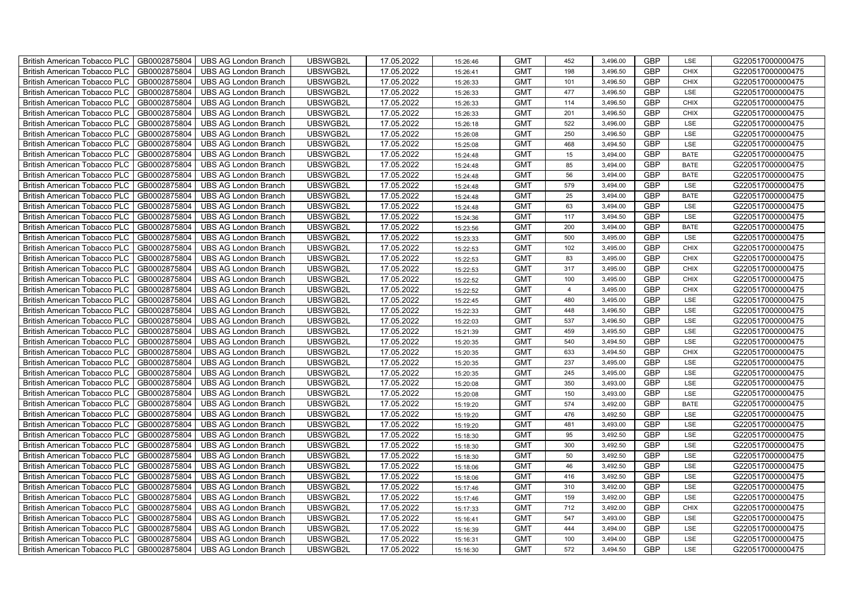| British American Tobacco PLC        | GB0002875804 | <b>UBS AG London Branch</b> | UBSWGB2L | 17.05.2022 | 15:26:46 | <b>GMT</b> | 452            | 3,496.00 | <b>GBP</b> | LSE         | G220517000000475 |
|-------------------------------------|--------------|-----------------------------|----------|------------|----------|------------|----------------|----------|------------|-------------|------------------|
| <b>British American Tobacco PLC</b> | GB0002875804 | <b>UBS AG London Branch</b> | UBSWGB2L | 17.05.2022 | 15:26:41 | <b>GMT</b> | 198            | 3,496.50 | <b>GBP</b> | <b>CHIX</b> | G220517000000475 |
| <b>British American Tobacco PLC</b> | GB0002875804 | <b>UBS AG London Branch</b> | UBSWGB2L | 17.05.2022 | 15:26:33 | <b>GMT</b> | 101            | 3,496.50 | <b>GBP</b> | <b>CHIX</b> | G220517000000475 |
| British American Tobacco PLC        | GB0002875804 | <b>UBS AG London Branch</b> | UBSWGB2L | 17.05.2022 | 15:26:33 | <b>GMT</b> | 477            | 3,496.50 | <b>GBP</b> | LSE         | G220517000000475 |
| British American Tobacco PLC        | GB0002875804 | <b>UBS AG London Branch</b> | UBSWGB2L | 17.05.2022 | 15:26:33 | <b>GMT</b> | 114            | 3,496.50 | <b>GBP</b> | <b>CHIX</b> | G220517000000475 |
| British American Tobacco PLC        | GB0002875804 | <b>UBS AG London Branch</b> | UBSWGB2L | 17.05.2022 | 15:26:33 | <b>GMT</b> | 201            | 3,496.50 | <b>GBP</b> | <b>CHIX</b> | G220517000000475 |
| British American Tobacco PLC        | GB0002875804 | <b>UBS AG London Branch</b> | UBSWGB2L | 17.05.2022 | 15:26:18 | <b>GMT</b> | 522            | 3,496.00 | <b>GBP</b> | LSE         | G220517000000475 |
| British American Tobacco PLC        | GB0002875804 | <b>UBS AG London Branch</b> | UBSWGB2L | 17.05.2022 | 15:26:08 | <b>GMT</b> | 250            | 3,496.50 | <b>GBP</b> | LSE         | G220517000000475 |
| British American Tobacco PLC        | GB0002875804 | <b>UBS AG London Branch</b> | UBSWGB2L | 17.05.2022 | 15:25:08 | <b>GMT</b> | 468            | 3,494.50 | <b>GBP</b> | LSE         | G220517000000475 |
| British American Tobacco PLC        | GB0002875804 | <b>UBS AG London Branch</b> | UBSWGB2L | 17.05.2022 | 15:24:48 | <b>GMT</b> | 15             | 3,494.00 | GBP        | <b>BATE</b> | G220517000000475 |
| <b>British American Tobacco PLC</b> | GB0002875804 | <b>UBS AG London Branch</b> | UBSWGB2L | 17.05.2022 | 15:24:48 | <b>GMT</b> | 85             | 3,494.00 | <b>GBP</b> | <b>BATE</b> | G220517000000475 |
| <b>British American Tobacco PLC</b> | GB0002875804 | <b>UBS AG London Branch</b> | UBSWGB2L | 17.05.2022 | 15:24:48 | <b>GMT</b> | 56             | 3,494.00 | <b>GBP</b> | <b>BATE</b> | G220517000000475 |
| British American Tobacco PLC        | GB0002875804 | <b>UBS AG London Branch</b> | UBSWGB2L | 17.05.2022 | 15:24:48 | <b>GMT</b> | 579            | 3,494.00 | <b>GBP</b> | LSE         | G220517000000475 |
| British American Tobacco PLC        | GB0002875804 | <b>UBS AG London Branch</b> | UBSWGB2L | 17.05.2022 | 15:24:48 | <b>GMT</b> | 25             | 3,494.00 | <b>GBP</b> | <b>BATE</b> | G220517000000475 |
| <b>British American Tobacco PLC</b> | GB0002875804 | <b>UBS AG London Branch</b> | UBSWGB2L | 17.05.2022 | 15:24:48 | <b>GMT</b> | 63             | 3,494.00 | <b>GBP</b> | LSE         | G220517000000475 |
| British American Tobacco PLC        | GB0002875804 | <b>UBS AG London Branch</b> | UBSWGB2L | 17.05.2022 | 15:24:36 | <b>GMT</b> | 117            | 3,494.50 | <b>GBP</b> | LSE         | G220517000000475 |
| British American Tobacco PLC        | GB0002875804 | <b>UBS AG London Branch</b> | UBSWGB2L | 17.05.2022 | 15:23:56 | <b>GMT</b> | 200            | 3,494.00 | <b>GBP</b> | <b>BATE</b> | G220517000000475 |
| British American Tobacco PLC        | GB0002875804 | <b>UBS AG London Branch</b> | UBSWGB2L | 17.05.2022 | 15:23:33 | <b>GMT</b> | 500            | 3,495.00 | <b>GBP</b> | LSE         | G220517000000475 |
| British American Tobacco PLC        | GB0002875804 | <b>UBS AG London Branch</b> | UBSWGB2L | 17.05.2022 | 15:22:53 | <b>GMT</b> | 102            | 3,495.00 | <b>GBP</b> | <b>CHIX</b> | G220517000000475 |
| <b>British American Tobacco PLC</b> | GB0002875804 | <b>UBS AG London Branch</b> | UBSWGB2L | 17.05.2022 | 15:22:53 | <b>GMT</b> | 83             | 3,495.00 | <b>GBP</b> | <b>CHIX</b> | G220517000000475 |
| <b>British American Tobacco PLC</b> | GB0002875804 | <b>UBS AG London Branch</b> | UBSWGB2L | 17.05.2022 | 15:22:53 | <b>GMT</b> | 317            | 3,495.00 | <b>GBP</b> | <b>CHIX</b> | G220517000000475 |
| British American Tobacco PLC        | GB0002875804 | <b>UBS AG London Branch</b> | UBSWGB2L | 17.05.2022 | 15:22:52 | <b>GMT</b> | 100            | 3,495.00 | GBP        | <b>CHIX</b> | G220517000000475 |
| British American Tobacco PLC        | GB0002875804 | <b>UBS AG London Branch</b> | UBSWGB2L | 17.05.2022 | 15:22:52 | <b>GMT</b> | $\overline{4}$ | 3,495.00 | GBP        | <b>CHIX</b> | G220517000000475 |
| <b>British American Tobacco PLC</b> | GB0002875804 | <b>UBS AG London Branch</b> | UBSWGB2L | 17.05.2022 | 15:22:45 | <b>GMT</b> | 480            | 3,495.00 | <b>GBP</b> | LSE         | G220517000000475 |
| British American Tobacco PLC        | GB0002875804 | <b>UBS AG London Branch</b> | UBSWGB2L | 17.05.2022 | 15:22:33 | <b>GMT</b> | 448            | 3,496.50 | <b>GBP</b> | LSE         | G220517000000475 |
| British American Tobacco PLC        | GB0002875804 | <b>UBS AG London Branch</b> | UBSWGB2L | 17.05.2022 | 15:22:03 | <b>GMT</b> | 537            | 3,496.50 | <b>GBP</b> | LSE         | G220517000000475 |
| British American Tobacco PLC        | GB0002875804 | <b>UBS AG London Branch</b> | UBSWGB2L | 17.05.2022 | 15:21:39 | <b>GMT</b> | 459            | 3,495.50 | <b>GBP</b> | LSE         | G220517000000475 |
| British American Tobacco PLC        | GB0002875804 | <b>UBS AG London Branch</b> | UBSWGB2L | 17.05.2022 | 15:20:35 | <b>GMT</b> | 540            | 3,494.50 | <b>GBP</b> | LSE         | G220517000000475 |
| <b>British American Tobacco PLC</b> | GB0002875804 | <b>UBS AG London Branch</b> | UBSWGB2L | 17.05.2022 | 15:20:35 | <b>GMT</b> | 633            | 3,494.50 | <b>GBP</b> | <b>CHIX</b> | G220517000000475 |
| <b>British American Tobacco PLC</b> | GB0002875804 | <b>UBS AG London Branch</b> | UBSWGB2L | 17.05.2022 | 15:20:35 | <b>GMT</b> | 237            | 3,495.00 | <b>GBP</b> | LSE         | G220517000000475 |
| <b>British American Tobacco PLC</b> | GB0002875804 | <b>UBS AG London Branch</b> | UBSWGB2L | 17.05.2022 | 15:20:35 | <b>GMT</b> | 245            | 3,495.00 | <b>GBP</b> | LSE         | G220517000000475 |
| British American Tobacco PLC        | GB0002875804 | <b>UBS AG London Branch</b> | UBSWGB2L | 17.05.2022 | 15:20:08 | <b>GMT</b> | 350            | 3,493.00 | GBP        | LSE         | G220517000000475 |
| <b>British American Tobacco PLC</b> | GB0002875804 | <b>UBS AG London Branch</b> | UBSWGB2L | 17.05.2022 | 15:20:08 | <b>GMT</b> | 150            | 3,493.00 | <b>GBP</b> | LSE         | G220517000000475 |
| <b>British American Tobacco PLC</b> | GB0002875804 | <b>UBS AG London Branch</b> | UBSWGB2L | 17.05.2022 | 15:19:20 | <b>GMT</b> | 574            | 3,492.00 | <b>GBP</b> | <b>BATE</b> | G220517000000475 |
| <b>British American Tobacco PLC</b> | GB0002875804 | <b>UBS AG London Branch</b> | UBSWGB2L | 17.05.2022 | 15:19:20 | <b>GMT</b> | 476            | 3,492.50 | <b>GBP</b> | LSE         | G220517000000475 |
| British American Tobacco PLC        | GB0002875804 | <b>UBS AG London Branch</b> | UBSWGB2L | 17.05.2022 | 15:19:20 | <b>GMT</b> | 481            | 3,493.00 | <b>GBP</b> | LSE         | G220517000000475 |
| British American Tobacco PLC        | GB0002875804 | <b>UBS AG London Branch</b> | UBSWGB2L | 17.05.2022 | 15:18:30 | <b>GMT</b> | 95             | 3,492.50 | <b>GBP</b> | LSE         | G220517000000475 |
| British American Tobacco PLC        | GB0002875804 | <b>UBS AG London Branch</b> | UBSWGB2L | 17.05.2022 | 15:18:30 | <b>GMT</b> | 300            | 3,492.50 | <b>GBP</b> | LSE         | G220517000000475 |
| <b>British American Tobacco PLC</b> | GB0002875804 | <b>UBS AG London Branch</b> | UBSWGB2L | 17.05.2022 | 15:18:30 | <b>GMT</b> | 50             | 3,492.50 | <b>GBP</b> | LSE         | G220517000000475 |
| British American Tobacco PLC        | GB0002875804 | <b>UBS AG London Branch</b> | UBSWGB2L | 17.05.2022 | 15:18:06 | <b>GMT</b> | 46             | 3,492.50 | <b>GBP</b> | LSE         | G220517000000475 |
| British American Tobacco PLC        | GB0002875804 | <b>UBS AG London Branch</b> | UBSWGB2L | 17.05.2022 | 15:18:06 | <b>GMT</b> | 416            | 3,492.50 | GBP        | LSE         | G220517000000475 |
| British American Tobacco PLC        | GB0002875804 | <b>UBS AG London Branch</b> | UBSWGB2L | 17.05.2022 | 15:17:46 | <b>GMT</b> | 310            | 3,492.00 | <b>GBP</b> | LSE         | G220517000000475 |
| British American Tobacco PLC        | GB0002875804 | <b>UBS AG London Branch</b> | UBSWGB2L | 17.05.2022 | 15:17:46 | <b>GMT</b> | 159            | 3,492.00 | <b>GBP</b> | LSE         | G220517000000475 |
| British American Tobacco PLC        | GB0002875804 | <b>UBS AG London Branch</b> | UBSWGB2L | 17.05.2022 | 15:17:33 | <b>GMT</b> | 712            | 3,492.00 | <b>GBP</b> | CHIX        | G220517000000475 |
| British American Tobacco PLC        | GB0002875804 | <b>UBS AG London Branch</b> | UBSWGB2L | 17.05.2022 | 15:16:41 | <b>GMT</b> | 547            | 3,493.00 | GBP        | LSE         | G220517000000475 |
| British American Tobacco PLC        | GB0002875804 | <b>UBS AG London Branch</b> | UBSWGB2L | 17.05.2022 | 15:16:39 | <b>GMT</b> | 444            | 3,494.00 | <b>GBP</b> | LSE         | G220517000000475 |
| <b>British American Tobacco PLC</b> | GB0002875804 | <b>UBS AG London Branch</b> | UBSWGB2L | 17.05.2022 | 15:16:31 | <b>GMT</b> | 100            | 3,494.00 | <b>GBP</b> | LSE         | G220517000000475 |
| <b>British American Tobacco PLC</b> | GB0002875804 | <b>UBS AG London Branch</b> | UBSWGB2L | 17.05.2022 | 15:16:30 | <b>GMT</b> | 572            | 3,494.50 | <b>GBP</b> | LSE         | G220517000000475 |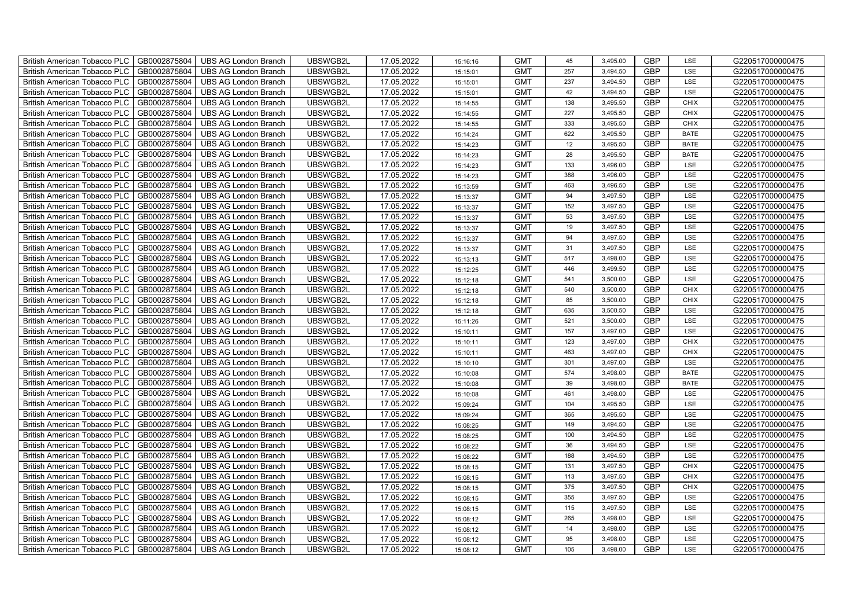| British American Tobacco PLC        | GB0002875804 | <b>UBS AG London Branch</b> | UBSWGB2L | 17.05.2022 | 15:16:16 | <b>GMT</b> | 45  | 3,495.00 | <b>GBP</b> | LSE         | G220517000000475 |
|-------------------------------------|--------------|-----------------------------|----------|------------|----------|------------|-----|----------|------------|-------------|------------------|
| <b>British American Tobacco PLC</b> | GB0002875804 | <b>UBS AG London Branch</b> | UBSWGB2L | 17.05.2022 | 15:15:01 | <b>GMT</b> | 257 | 3,494.50 | <b>GBP</b> | <b>LSE</b>  | G220517000000475 |
| <b>British American Tobacco PLC</b> | GB0002875804 | <b>UBS AG London Branch</b> | UBSWGB2L | 17.05.2022 | 15:15:01 | <b>GMT</b> | 237 | 3,494.50 | <b>GBP</b> | LSE         | G220517000000475 |
| British American Tobacco PLC        | GB0002875804 | <b>UBS AG London Branch</b> | UBSWGB2L | 17.05.2022 | 15:15:01 | <b>GMT</b> | 42  | 3,494.50 | <b>GBP</b> | LSE         | G220517000000475 |
| <b>British American Tobacco PLC</b> | GB0002875804 | <b>UBS AG London Branch</b> | UBSWGB2L | 17.05.2022 | 15:14:55 | <b>GMT</b> | 138 | 3,495.50 | <b>GBP</b> | <b>CHIX</b> | G220517000000475 |
| British American Tobacco PLC        | GB0002875804 | <b>UBS AG London Branch</b> | UBSWGB2L | 17.05.2022 | 15:14:55 | <b>GMT</b> | 227 | 3,495.50 | <b>GBP</b> | <b>CHIX</b> | G220517000000475 |
| <b>British American Tobacco PLC</b> | GB0002875804 | <b>UBS AG London Branch</b> | UBSWGB2L | 17.05.2022 | 15:14:55 | <b>GMT</b> | 333 | 3,495.50 | <b>GBP</b> | <b>CHIX</b> | G220517000000475 |
| British American Tobacco PLC        | GB0002875804 | <b>UBS AG London Branch</b> | UBSWGB2L | 17.05.2022 | 15:14:24 | <b>GMT</b> | 622 | 3,495.50 | <b>GBP</b> | <b>BATE</b> | G220517000000475 |
| <b>British American Tobacco PLC</b> | GB0002875804 | <b>UBS AG London Branch</b> | UBSWGB2L | 17.05.2022 | 15:14:23 | <b>GMT</b> | 12  | 3,495.50 | <b>GBP</b> | <b>BATE</b> | G220517000000475 |
| British American Tobacco PLC        | GB0002875804 | <b>UBS AG London Branch</b> | UBSWGB2L | 17.05.2022 | 15:14:23 | <b>GMT</b> | 28  | 3,495.50 | <b>GBP</b> | <b>BATE</b> | G220517000000475 |
| <b>British American Tobacco PLC</b> | GB0002875804 | <b>UBS AG London Branch</b> | UBSWGB2L | 17.05.2022 | 15:14:23 | <b>GMT</b> | 133 | 3,496.00 | <b>GBP</b> | LSE         | G220517000000475 |
| <b>British American Tobacco PLC</b> | GB0002875804 | <b>UBS AG London Branch</b> | UBSWGB2L | 17.05.2022 | 15:14:23 | <b>GMT</b> | 388 | 3,496.00 | <b>GBP</b> | LSE         | G220517000000475 |
| British American Tobacco PLC        | GB0002875804 | <b>UBS AG London Branch</b> | UBSWGB2L | 17.05.2022 | 15:13:59 | <b>GMT</b> | 463 | 3,496.50 | <b>GBP</b> | LSE         | G220517000000475 |
| British American Tobacco PLC        | GB0002875804 | <b>UBS AG London Branch</b> | UBSWGB2L | 17.05.2022 | 15:13:37 | <b>GMT</b> | 94  | 3,497.50 | <b>GBP</b> | LSE         | G220517000000475 |
| British American Tobacco PLC        | GB0002875804 | <b>UBS AG London Branch</b> | UBSWGB2L | 17.05.2022 | 15:13:37 | <b>GMT</b> | 152 | 3,497.50 | <b>GBP</b> | LSE         | G220517000000475 |
| British American Tobacco PLC        | GB0002875804 | <b>UBS AG London Branch</b> | UBSWGB2L | 17.05.2022 | 15:13:37 | <b>GMT</b> | 53  | 3,497.50 | <b>GBP</b> | LSE         | G220517000000475 |
| British American Tobacco PLC        | GB0002875804 | <b>UBS AG London Branch</b> | UBSWGB2L | 17.05.2022 | 15:13:37 | <b>GMT</b> | 19  | 3,497.50 | <b>GBP</b> | LSE         | G220517000000475 |
| British American Tobacco PLC        | GB0002875804 | <b>UBS AG London Branch</b> | UBSWGB2L | 17.05.2022 | 15:13:37 | <b>GMT</b> | 94  | 3,497.50 | <b>GBP</b> | LSE         | G220517000000475 |
| British American Tobacco PLC        | GB0002875804 | <b>UBS AG London Branch</b> | UBSWGB2L | 17.05.2022 | 15:13:37 | <b>GMT</b> | 31  | 3,497.50 | <b>GBP</b> | LSE         | G220517000000475 |
| <b>British American Tobacco PLC</b> | GB0002875804 | <b>UBS AG London Branch</b> | UBSWGB2L | 17.05.2022 | 15:13:13 | <b>GMT</b> | 517 | 3,498.00 | <b>GBP</b> | LSE         | G220517000000475 |
| <b>British American Tobacco PLC</b> | GB0002875804 | <b>UBS AG London Branch</b> | UBSWGB2L | 17.05.2022 | 15:12:25 | <b>GMT</b> | 446 | 3,499.50 | <b>GBP</b> | <b>LSE</b>  | G220517000000475 |
| British American Tobacco PLC        | GB0002875804 | <b>UBS AG London Branch</b> | UBSWGB2L | 17.05.2022 | 15:12:18 | <b>GMT</b> | 541 | 3,500.00 | <b>GBP</b> | LSE         | G220517000000475 |
| British American Tobacco PLC        | GB0002875804 | <b>UBS AG London Branch</b> | UBSWGB2L | 17.05.2022 | 15:12:18 | <b>GMT</b> | 540 | 3,500.00 | GBP        | CHIX        | G220517000000475 |
| British American Tobacco PLC        | GB0002875804 | <b>UBS AG London Branch</b> | UBSWGB2L | 17.05.2022 | 15:12:18 | <b>GMT</b> | 85  | 3,500.00 | <b>GBP</b> | CHIX        | G220517000000475 |
| British American Tobacco PLC        | GB0002875804 | <b>UBS AG London Branch</b> | UBSWGB2L | 17.05.2022 | 15:12:18 | <b>GMT</b> | 635 | 3,500.50 | <b>GBP</b> | LSE         | G220517000000475 |
| British American Tobacco PLC        | GB0002875804 | <b>UBS AG London Branch</b> | UBSWGB2L | 17.05.2022 | 15:11:26 | <b>GMT</b> | 521 | 3,500.00 | <b>GBP</b> | LSE         | G220517000000475 |
| British American Tobacco PLC        | GB0002875804 | <b>UBS AG London Branch</b> | UBSWGB2L | 17.05.2022 | 15:10:11 | <b>GMT</b> | 157 | 3,497.00 | <b>GBP</b> | LSE         | G220517000000475 |
| British American Tobacco PLC        | GB0002875804 | <b>UBS AG London Branch</b> | UBSWGB2L | 17.05.2022 | 15:10:11 | <b>GMT</b> | 123 | 3,497.00 | <b>GBP</b> | <b>CHIX</b> | G220517000000475 |
| <b>British American Tobacco PLC</b> | GB0002875804 | <b>UBS AG London Branch</b> | UBSWGB2L | 17.05.2022 | 15:10:11 | <b>GMT</b> | 463 | 3,497.00 | <b>GBP</b> | CHIX        | G220517000000475 |
| <b>British American Tobacco PLC</b> | GB0002875804 | <b>UBS AG London Branch</b> | UBSWGB2L | 17.05.2022 | 15:10:10 | <b>GMT</b> | 301 | 3,497.00 | <b>GBP</b> | LSE         | G220517000000475 |
| British American Tobacco PLC        | GB0002875804 | <b>UBS AG London Branch</b> | UBSWGB2L | 17.05.2022 | 15:10:08 | <b>GMT</b> | 574 | 3,498.00 | <b>GBP</b> | <b>BATE</b> | G220517000000475 |
| British American Tobacco PLC        | GB0002875804 | <b>UBS AG London Branch</b> | UBSWGB2L | 17.05.2022 | 15:10:08 | <b>GMT</b> | 39  | 3,498.00 | <b>GBP</b> | <b>BATE</b> | G220517000000475 |
| British American Tobacco PLC        | GB0002875804 | <b>UBS AG London Branch</b> | UBSWGB2L | 17.05.2022 | 15:10:08 | <b>GMT</b> | 461 | 3,498.00 | <b>GBP</b> | LSE         | G220517000000475 |
| British American Tobacco PLC        | GB0002875804 | <b>UBS AG London Branch</b> | UBSWGB2L | 17.05.2022 | 15:09:24 | <b>GMT</b> | 104 | 3,495.50 | <b>GBP</b> | LSE         | G220517000000475 |
| British American Tobacco PLC        | GB0002875804 | <b>UBS AG London Branch</b> | UBSWGB2L | 17.05.2022 | 15:09:24 | <b>GMT</b> | 365 | 3,495.50 | <b>GBP</b> | LSE         | G220517000000475 |
| British American Tobacco PLC        | GB0002875804 | <b>UBS AG London Branch</b> | UBSWGB2L | 17.05.2022 | 15:08:25 | <b>GMT</b> | 149 | 3,494.50 | <b>GBP</b> | LSE         | G220517000000475 |
| British American Tobacco PLC        | GB0002875804 | <b>UBS AG London Branch</b> | UBSWGB2L | 17.05.2022 | 15:08:25 | <b>GMT</b> | 100 | 3,494.50 | <b>GBP</b> | LSE         | G220517000000475 |
| <b>British American Tobacco PLC</b> | GB0002875804 | <b>UBS AG London Branch</b> | UBSWGB2L | 17.05.2022 | 15:08:22 | <b>GMT</b> | 36  | 3,494.50 | <b>GBP</b> | LSE         | G220517000000475 |
| British American Tobacco PLC        | GB0002875804 | <b>UBS AG London Branch</b> | UBSWGB2L | 17.05.2022 | 15:08:22 | <b>GMT</b> | 188 | 3,494.50 | <b>GBP</b> | LSE         | G220517000000475 |
| British American Tobacco PLC        | GB0002875804 | <b>UBS AG London Branch</b> | UBSWGB2L | 17.05.2022 | 15:08:15 | <b>GMT</b> | 131 | 3,497.50 | <b>GBP</b> | <b>CHIX</b> | G220517000000475 |
| British American Tobacco PLC        | GB0002875804 | UBS AG London Branch        | UBSWGB2L | 17.05.2022 | 15:08:15 | <b>GMT</b> | 113 | 3,497.50 | GBP        | <b>CHIX</b> | G220517000000475 |
| British American Tobacco PLC        | GB0002875804 | <b>UBS AG London Branch</b> | UBSWGB2L | 17.05.2022 | 15:08:15 | <b>GMT</b> | 375 | 3,497.50 | <b>GBP</b> | <b>CHIX</b> | G220517000000475 |
| British American Tobacco PLC        | GB0002875804 | <b>UBS AG London Branch</b> | UBSWGB2L | 17.05.2022 | 15:08:15 | <b>GMT</b> | 355 | 3,497.50 | <b>GBP</b> | LSE         | G220517000000475 |
| British American Tobacco PLC        | GB0002875804 | <b>UBS AG London Branch</b> | UBSWGB2L | 17.05.2022 | 15:08:15 | <b>GMT</b> | 115 | 3,497.50 | <b>GBP</b> | LSE         | G220517000000475 |
| <b>British American Tobacco PLC</b> | GB0002875804 | <b>UBS AG London Branch</b> | UBSWGB2L | 17.05.2022 | 15:08:12 | <b>GMT</b> | 265 | 3,498.00 | <b>GBP</b> | LSE         | G220517000000475 |
| <b>British American Tobacco PLC</b> | GB0002875804 | <b>UBS AG London Branch</b> | UBSWGB2L | 17.05.2022 | 15:08:12 | <b>GMT</b> | 14  | 3,498.00 | <b>GBP</b> | LSE         | G220517000000475 |
| British American Tobacco PLC        | GB0002875804 | <b>UBS AG London Branch</b> | UBSWGB2L | 17.05.2022 | 15:08:12 | <b>GMT</b> | 95  | 3,498.00 | <b>GBP</b> | LSE         | G220517000000475 |
| British American Tobacco PLC        | GB0002875804 | UBS AG London Branch        | UBSWGB2L | 17.05.2022 | 15:08:12 | <b>GMT</b> | 105 | 3,498.00 | <b>GBP</b> | LSE         | G220517000000475 |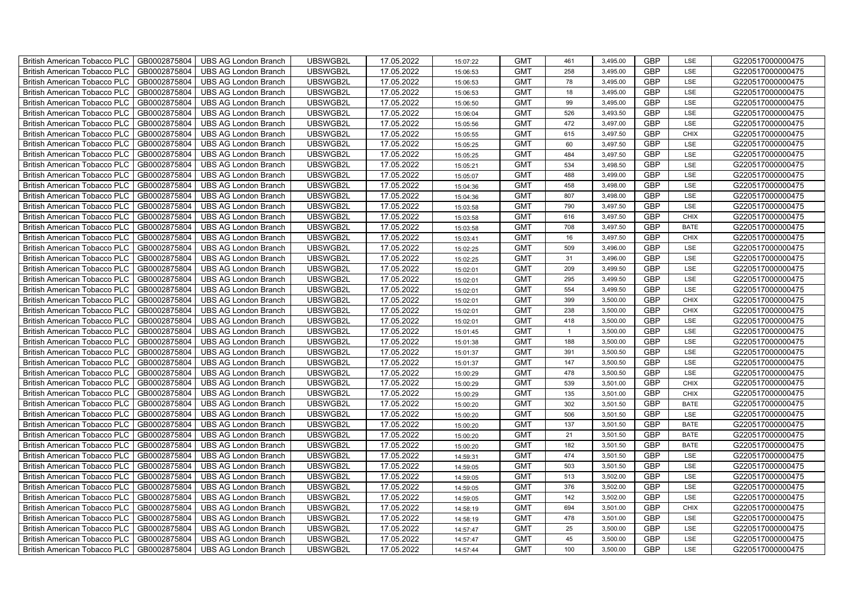| British American Tobacco PLC        | GB0002875804 | <b>UBS AG London Branch</b> | UBSWGB2L | 17.05.2022 | 15:07:22 | <b>GMT</b> | 461          | 3,495.00 | <b>GBP</b> | LSE         | G220517000000475 |
|-------------------------------------|--------------|-----------------------------|----------|------------|----------|------------|--------------|----------|------------|-------------|------------------|
| <b>British American Tobacco PLC</b> | GB0002875804 | <b>UBS AG London Branch</b> | UBSWGB2L | 17.05.2022 | 15:06:53 | <b>GMT</b> | 258          | 3,495.00 | <b>GBP</b> | <b>LSE</b>  | G220517000000475 |
| <b>British American Tobacco PLC</b> | GB0002875804 | <b>UBS AG London Branch</b> | UBSWGB2L | 17.05.2022 | 15:06:53 | <b>GMT</b> | 78           | 3,495.00 | <b>GBP</b> | LSE         | G220517000000475 |
| British American Tobacco PLC        | GB0002875804 | <b>UBS AG London Branch</b> | UBSWGB2L | 17.05.2022 | 15:06:53 | <b>GMT</b> | 18           | 3,495.00 | GBP        | LSE         | G220517000000475 |
| British American Tobacco PLC        | GB0002875804 | <b>UBS AG London Branch</b> | UBSWGB2L | 17.05.2022 | 15:06:50 | <b>GMT</b> | 99           | 3,495.00 | GBP        | LSE         | G220517000000475 |
| British American Tobacco PLC        | GB0002875804 | <b>UBS AG London Branch</b> | UBSWGB2L | 17.05.2022 | 15:06:04 | <b>GMT</b> | 526          | 3,493.50 | <b>GBP</b> | LSE         | G220517000000475 |
| British American Tobacco PLC        | GB0002875804 | <b>UBS AG London Branch</b> | UBSWGB2L | 17.05.2022 | 15:05:56 | <b>GMT</b> | 472          | 3,497.00 | <b>GBP</b> | LSE         | G220517000000475 |
| British American Tobacco PLC        | GB0002875804 | <b>UBS AG London Branch</b> | UBSWGB2L | 17.05.2022 | 15:05:55 | <b>GMT</b> | 615          | 3,497.50 | <b>GBP</b> | CHIX        | G220517000000475 |
| British American Tobacco PLC        | GB0002875804 | <b>UBS AG London Branch</b> | UBSWGB2L | 17.05.2022 | 15:05:25 | <b>GMT</b> | 60           | 3,497.50 | <b>GBP</b> | LSE         | G220517000000475 |
| <b>British American Tobacco PLC</b> | GB0002875804 | <b>UBS AG London Branch</b> | UBSWGB2L | 17.05.2022 | 15:05:25 | <b>GMT</b> | 484          | 3,497.50 | <b>GBP</b> | LSE         | G220517000000475 |
| <b>British American Tobacco PLC</b> | GB0002875804 | <b>UBS AG London Branch</b> | UBSWGB2L | 17.05.2022 | 15:05:21 | <b>GMT</b> | 534          | 3,498.50 | <b>GBP</b> | LSE         | G220517000000475 |
| <b>British American Tobacco PLC</b> | GB0002875804 | <b>UBS AG London Branch</b> | UBSWGB2L | 17.05.2022 | 15:05:07 | <b>GMT</b> | 488          | 3,499.00 | <b>GBP</b> | LSE         | G220517000000475 |
| <b>British American Tobacco PLC</b> | GB0002875804 | <b>UBS AG London Branch</b> | UBSWGB2L | 17.05.2022 | 15:04:36 | <b>GMT</b> | 458          | 3,498.00 | GBP        | LSE         | G220517000000475 |
| British American Tobacco PLC        | GB0002875804 | <b>UBS AG London Branch</b> | UBSWGB2L | 17.05.2022 | 15:04:36 | <b>GMT</b> | 807          | 3,498.00 | <b>GBP</b> | LSE         | G220517000000475 |
| <b>British American Tobacco PLC</b> | GB0002875804 | <b>UBS AG London Branch</b> | UBSWGB2L | 17.05.2022 | 15:03:58 | <b>GMT</b> | 790          | 3,497.50 | <b>GBP</b> | LSE         | G220517000000475 |
| British American Tobacco PLC        | GB0002875804 | <b>UBS AG London Branch</b> | UBSWGB2L | 17.05.2022 | 15:03:58 | <b>GMT</b> | 616          | 3,497.50 | <b>GBP</b> | <b>CHIX</b> | G220517000000475 |
| British American Tobacco PLC        | GB0002875804 | <b>UBS AG London Branch</b> | UBSWGB2L | 17.05.2022 | 15:03:58 | <b>GMT</b> | 708          | 3,497.50 | <b>GBP</b> | BATE        | G220517000000475 |
| <b>British American Tobacco PLC</b> | GB0002875804 | <b>UBS AG London Branch</b> | UBSWGB2L | 17.05.2022 | 15:03:41 | <b>GMT</b> | 16           | 3,497.50 | <b>GBP</b> | <b>CHIX</b> | G220517000000475 |
| British American Tobacco PLC        | GB0002875804 | <b>UBS AG London Branch</b> | UBSWGB2L | 17.05.2022 | 15:02:25 | <b>GMT</b> | 509          | 3,496.00 | <b>GBP</b> | LSE         | G220517000000475 |
| <b>British American Tobacco PLC</b> | GB0002875804 | <b>UBS AG London Branch</b> | UBSWGB2L | 17.05.2022 | 15:02:25 | <b>GMT</b> | 31           | 3,496.00 | <b>GBP</b> | LSE         | G220517000000475 |
| <b>British American Tobacco PLC</b> | GB0002875804 | <b>UBS AG London Branch</b> | UBSWGB2L | 17.05.2022 | 15:02:01 | <b>GMT</b> | 209          | 3,499.50 | <b>GBP</b> | LSE         | G220517000000475 |
| <b>British American Tobacco PLC</b> | GB0002875804 | <b>UBS AG London Branch</b> | UBSWGB2L | 17.05.2022 | 15:02:01 | <b>GMT</b> | 295          | 3,499.50 | <b>GBP</b> | LSE         | G220517000000475 |
| British American Tobacco PLC        | GB0002875804 | UBS AG London Branch        | UBSWGB2L | 17.05.2022 | 15:02:01 | <b>GMT</b> | 554          | 3,499.50 | GBP        | LSE         | G220517000000475 |
| British American Tobacco PLC        | GB0002875804 | <b>UBS AG London Branch</b> | UBSWGB2L | 17.05.2022 | 15:02:01 | <b>GMT</b> | 399          | 3,500.00 | <b>GBP</b> | <b>CHIX</b> | G220517000000475 |
| British American Tobacco PLC        | GB0002875804 | <b>UBS AG London Branch</b> | UBSWGB2L | 17.05.2022 | 15:02:01 | <b>GMT</b> | 238          | 3,500.00 | GBP        | <b>CHIX</b> | G220517000000475 |
| <b>British American Tobacco PLC</b> | GB0002875804 | <b>UBS AG London Branch</b> | UBSWGB2L | 17.05.2022 | 15:02:01 | <b>GMT</b> | 418          | 3,500.00 | <b>GBP</b> | LSE         | G220517000000475 |
| British American Tobacco PLC        | GB0002875804 | <b>UBS AG London Branch</b> | UBSWGB2L | 17.05.2022 | 15:01:45 | <b>GMT</b> | $\mathbf{1}$ | 3,500.00 | <b>GBP</b> | LSE         | G220517000000475 |
| British American Tobacco PLC        | GB0002875804 | <b>UBS AG London Branch</b> | UBSWGB2L | 17.05.2022 | 15:01:38 | <b>GMT</b> | 188          | 3,500.00 | <b>GBP</b> | LSE         | G220517000000475 |
| <b>British American Tobacco PLC</b> | GB0002875804 | <b>UBS AG London Branch</b> | UBSWGB2L | 17.05.2022 | 15:01:37 | <b>GMT</b> | 391          | 3,500.50 | <b>GBP</b> | LSE         | G220517000000475 |
| British American Tobacco PLC        | GB0002875804 | <b>UBS AG London Branch</b> | UBSWGB2L | 17.05.2022 | 15:01:37 | <b>GMT</b> | 147          | 3,500.50 | <b>GBP</b> | LSE         | G220517000000475 |
| <b>British American Tobacco PLC</b> | GB0002875804 | <b>UBS AG London Branch</b> | UBSWGB2L | 17.05.2022 | 15:00:29 | <b>GMT</b> | 478          | 3,500.50 | <b>GBP</b> | LSE         | G220517000000475 |
| British American Tobacco PLC        | GB0002875804 | <b>UBS AG London Branch</b> | UBSWGB2L | 17.05.2022 | 15:00:29 | <b>GMT</b> | 539          | 3,501.00 | GBP        | <b>CHIX</b> | G220517000000475 |
| <b>British American Tobacco PLC</b> | GB0002875804 | <b>UBS AG London Branch</b> | UBSWGB2L | 17.05.2022 | 15:00:29 | <b>GMT</b> | 135          | 3,501.00 | <b>GBP</b> | <b>CHIX</b> | G220517000000475 |
| British American Tobacco PLC        | GB0002875804 | <b>UBS AG London Branch</b> | UBSWGB2L | 17.05.2022 | 15:00:20 | <b>GMT</b> | 302          | 3,501.50 | <b>GBP</b> | <b>BATE</b> | G220517000000475 |
| <b>British American Tobacco PLC</b> | GB0002875804 | <b>UBS AG London Branch</b> | UBSWGB2L | 17.05.2022 | 15:00:20 | <b>GMT</b> | 506          | 3,501.50 | <b>GBP</b> | LSE         | G220517000000475 |
| <b>British American Tobacco PLC</b> | GB0002875804 | <b>UBS AG London Branch</b> | UBSWGB2L | 17.05.2022 | 15:00:20 | <b>GMT</b> | 137          | 3,501.50 | <b>GBP</b> | <b>BATE</b> | G220517000000475 |
| British American Tobacco PLC        | GB0002875804 | <b>UBS AG London Branch</b> | UBSWGB2L | 17.05.2022 | 15:00:20 | <b>GMT</b> | 21           | 3,501.50 | <b>GBP</b> | <b>BATE</b> | G220517000000475 |
| <b>British American Tobacco PLC</b> | GB0002875804 | <b>UBS AG London Branch</b> | UBSWGB2L | 17.05.2022 | 15:00:20 | <b>GMT</b> | 182          | 3,501.50 | <b>GBP</b> | <b>BATE</b> | G220517000000475 |
| <b>British American Tobacco PLC</b> | GB0002875804 | <b>UBS AG London Branch</b> | UBSWGB2L | 17.05.2022 | 14:59:31 | <b>GMT</b> | 474          | 3,501.50 | <b>GBP</b> | LSE         | G220517000000475 |
| <b>British American Tobacco PLC</b> | GB0002875804 | <b>UBS AG London Branch</b> | UBSWGB2L | 17.05.2022 | 14:59:05 | <b>GMT</b> | 503          | 3,501.50 | <b>GBP</b> | LSE         | G220517000000475 |
| <b>British American Tobacco PLC</b> | GB0002875804 | <b>UBS AG London Branch</b> | UBSWGB2L | 17.05.2022 | 14:59:05 | <b>GMT</b> | 513          | 3,502.00 | <b>GBP</b> | LSE         | G220517000000475 |
| <b>British American Tobacco PLC</b> | GB0002875804 | <b>UBS AG London Branch</b> | UBSWGB2L | 17.05.2022 | 14:59:05 | <b>GMT</b> | 376          | 3,502.00 | <b>GBP</b> | LSE         | G220517000000475 |
| British American Tobacco PLC        | GB0002875804 | UBS AG London Branch        | UBSWGB2L | 17.05.2022 | 14:59:05 | <b>GMT</b> | 142          | 3,502.00 | <b>GBP</b> | LSE         | G220517000000475 |
| British American Tobacco PLC        | GB0002875804 | <b>UBS AG London Branch</b> | UBSWGB2L | 17.05.2022 | 14:58:19 | <b>GMT</b> | 694          | 3,501.00 | <b>GBP</b> | <b>CHIX</b> | G220517000000475 |
| British American Tobacco PLC        | GB0002875804 | <b>UBS AG London Branch</b> | UBSWGB2L | 17.05.2022 | 14:58:19 | <b>GMT</b> | 478          | 3,501.00 | <b>GBP</b> | LSE         | G220517000000475 |
| British American Tobacco PLC        | GB0002875804 | <b>UBS AG London Branch</b> | UBSWGB2L | 17.05.2022 | 14:57:47 | <b>GMT</b> | 25           | 3,500.00 | <b>GBP</b> | LSE         | G220517000000475 |
| <b>British American Tobacco PLC</b> | GB0002875804 | <b>UBS AG London Branch</b> | UBSWGB2L | 17.05.2022 | 14:57:47 | <b>GMT</b> | 45           | 3,500.00 | <b>GBP</b> | LSE         | G220517000000475 |
| <b>British American Tobacco PLC</b> | GB0002875804 | <b>UBS AG London Branch</b> | UBSWGB2L | 17.05.2022 | 14:57:44 | <b>GMT</b> | 100          | 3,500.00 | <b>GBP</b> | LSE         | G220517000000475 |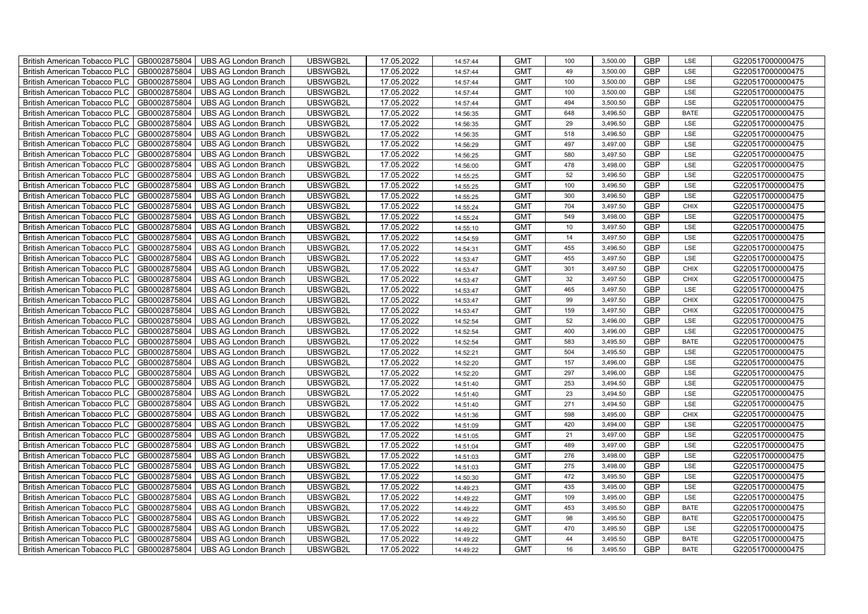| British American Tobacco PLC        | GB0002875804 | <b>UBS AG London Branch</b> | UBSWGB2L | 17.05.2022 | 14:57:44 | <b>GMT</b> | 100 | 3,500.00 | <b>GBP</b> | LSE         | G220517000000475 |
|-------------------------------------|--------------|-----------------------------|----------|------------|----------|------------|-----|----------|------------|-------------|------------------|
| <b>British American Tobacco PLC</b> | GB0002875804 | <b>UBS AG London Branch</b> | UBSWGB2L | 17.05.2022 | 14:57:44 | <b>GMT</b> | 49  | 3,500.00 | <b>GBP</b> | <b>LSE</b>  | G220517000000475 |
| <b>British American Tobacco PLC</b> | GB0002875804 | <b>UBS AG London Branch</b> | UBSWGB2L | 17.05.2022 | 14:57:44 | <b>GMT</b> | 100 | 3,500.00 | <b>GBP</b> | LSE         | G220517000000475 |
| British American Tobacco PLC        | GB0002875804 | <b>UBS AG London Branch</b> | UBSWGB2L | 17.05.2022 | 14:57:44 | <b>GMT</b> | 100 | 3,500.00 | <b>GBP</b> | LSE         | G220517000000475 |
| <b>British American Tobacco PLC</b> | GB0002875804 | <b>UBS AG London Branch</b> | UBSWGB2L | 17.05.2022 | 14:57:44 | <b>GMT</b> | 494 | 3,500.50 | <b>GBP</b> | LSE         | G220517000000475 |
| British American Tobacco PLC        | GB0002875804 | <b>UBS AG London Branch</b> | UBSWGB2L | 17.05.2022 | 14:56:35 | <b>GMT</b> | 648 | 3,496.50 | <b>GBP</b> | <b>BATE</b> | G220517000000475 |
| <b>British American Tobacco PLC</b> | GB0002875804 | <b>UBS AG London Branch</b> | UBSWGB2L | 17.05.2022 | 14:56:35 | <b>GMT</b> | 29  | 3,496.50 | <b>GBP</b> | LSE         | G220517000000475 |
| British American Tobacco PLC        | GB0002875804 | <b>UBS AG London Branch</b> | UBSWGB2L | 17.05.2022 | 14:56:35 | <b>GMT</b> | 518 | 3,496.50 | <b>GBP</b> | LSE         | G220517000000475 |
| <b>British American Tobacco PLC</b> | GB0002875804 | <b>UBS AG London Branch</b> | UBSWGB2L | 17.05.2022 | 14:56:29 | <b>GMT</b> | 497 | 3,497.00 | <b>GBP</b> | LSE         | G220517000000475 |
| British American Tobacco PLC        | GB0002875804 | <b>UBS AG London Branch</b> | UBSWGB2L | 17.05.2022 | 14:56:25 | <b>GMT</b> | 580 | 3,497.50 | <b>GBP</b> | LSE         | G220517000000475 |
| <b>British American Tobacco PLC</b> | GB0002875804 | <b>UBS AG London Branch</b> | UBSWGB2L | 17.05.2022 | 14:56:00 | <b>GMT</b> | 478 | 3,498.00 | <b>GBP</b> | LSE         | G220517000000475 |
| <b>British American Tobacco PLC</b> | GB0002875804 | <b>UBS AG London Branch</b> | UBSWGB2L | 17.05.2022 | 14:55:25 | <b>GMT</b> | 52  | 3,496.50 | <b>GBP</b> | LSE         | G220517000000475 |
| British American Tobacco PLC        | GB0002875804 | <b>UBS AG London Branch</b> | UBSWGB2L | 17.05.2022 | 14:55:25 | <b>GMT</b> | 100 | 3,496.50 | <b>GBP</b> | LSE         | G220517000000475 |
| British American Tobacco PLC        | GB0002875804 | <b>UBS AG London Branch</b> | UBSWGB2L | 17.05.2022 | 14:55:25 | <b>GMT</b> | 300 | 3,496.50 | <b>GBP</b> | LSE         | G220517000000475 |
| British American Tobacco PLC        | GB0002875804 | <b>UBS AG London Branch</b> | UBSWGB2L | 17.05.2022 | 14:55:24 | <b>GMT</b> | 704 | 3,497.50 | <b>GBP</b> | <b>CHIX</b> | G220517000000475 |
| British American Tobacco PLC        | GB0002875804 | <b>UBS AG London Branch</b> | UBSWGB2L | 17.05.2022 | 14:55:24 | <b>GMT</b> | 549 | 3,498.00 | <b>GBP</b> | LSE         | G220517000000475 |
| British American Tobacco PLC        | GB0002875804 | <b>UBS AG London Branch</b> | UBSWGB2L | 17.05.2022 | 14:55:10 | <b>GMT</b> | 10  | 3,497.50 | <b>GBP</b> | LSE         | G220517000000475 |
| British American Tobacco PLC        | GB0002875804 | <b>UBS AG London Branch</b> | UBSWGB2L | 17.05.2022 | 14:54:59 | <b>GMT</b> | 14  | 3,497.50 | <b>GBP</b> | LSE         | G220517000000475 |
| British American Tobacco PLC        | GB0002875804 | <b>UBS AG London Branch</b> | UBSWGB2L | 17.05.2022 | 14:54:31 | <b>GMT</b> | 455 | 3,496.50 | <b>GBP</b> | LSE         | G220517000000475 |
| <b>British American Tobacco PLC</b> | GB0002875804 | <b>UBS AG London Branch</b> | UBSWGB2L | 17.05.2022 | 14:53:47 | <b>GMT</b> | 455 | 3,497.50 | <b>GBP</b> | LSE         | G220517000000475 |
| <b>British American Tobacco PLC</b> | GB0002875804 | UBS AG London Branch        | UBSWGB2L | 17.05.2022 | 14:53:47 | <b>GMT</b> | 301 | 3,497.50 | <b>GBP</b> | <b>CHIX</b> | G220517000000475 |
| British American Tobacco PLC        | GB0002875804 | <b>UBS AG London Branch</b> | UBSWGB2L | 17.05.2022 | 14:53:47 | <b>GMT</b> | 32  | 3,497.50 | GBP        | <b>CHIX</b> | G220517000000475 |
| British American Tobacco PLC        | GB0002875804 | <b>UBS AG London Branch</b> | UBSWGB2L | 17.05.2022 | 14:53:47 | <b>GMT</b> | 465 | 3,497.50 | GBP        | LSE         | G220517000000475 |
| British American Tobacco PLC        | GB0002875804 | <b>UBS AG London Branch</b> | UBSWGB2L | 17.05.2022 | 14:53:47 | <b>GMT</b> | 99  | 3,497.50 | <b>GBP</b> | CHIX        | G220517000000475 |
| British American Tobacco PLC        | GB0002875804 | <b>UBS AG London Branch</b> | UBSWGB2L | 17.05.2022 | 14:53:47 | <b>GMT</b> | 159 | 3,497.50 | <b>GBP</b> | CHIX        | G220517000000475 |
| British American Tobacco PLC        | GB0002875804 | <b>UBS AG London Branch</b> | UBSWGB2L | 17.05.2022 | 14:52:54 | <b>GMT</b> | 52  | 3,496.00 | <b>GBP</b> | LSE         | G220517000000475 |
| British American Tobacco PLC        | GB0002875804 | <b>UBS AG London Branch</b> | UBSWGB2L | 17.05.2022 | 14:52:54 | <b>GMT</b> | 400 | 3,496.00 | <b>GBP</b> | LSE         | G220517000000475 |
| British American Tobacco PLC        | GB0002875804 | <b>UBS AG London Branch</b> | UBSWGB2L | 17.05.2022 | 14:52:54 | <b>GMT</b> | 583 | 3,495.50 | <b>GBP</b> | <b>BATE</b> | G220517000000475 |
| <b>British American Tobacco PLC</b> | GB0002875804 | <b>UBS AG London Branch</b> | UBSWGB2L | 17.05.2022 | 14:52:21 | <b>GMT</b> | 504 | 3,495.50 | <b>GBP</b> | LSE         | G220517000000475 |
| <b>British American Tobacco PLC</b> | GB0002875804 | <b>UBS AG London Branch</b> | UBSWGB2L | 17.05.2022 | 14:52:20 | <b>GMT</b> | 157 | 3,496.00 | <b>GBP</b> | LSE         | G220517000000475 |
| British American Tobacco PLC        | GB0002875804 | <b>UBS AG London Branch</b> | UBSWGB2L | 17.05.2022 | 14:52:20 | <b>GMT</b> | 297 | 3,496.00 | <b>GBP</b> | LSE         | G220517000000475 |
| British American Tobacco PLC        | GB0002875804 | <b>UBS AG London Branch</b> | UBSWGB2L | 17.05.2022 | 14:51:40 | <b>GMT</b> | 253 | 3,494.50 | GBP        | LSE         | G220517000000475 |
| British American Tobacco PLC        | GB0002875804 | <b>UBS AG London Branch</b> | UBSWGB2L | 17.05.2022 | 14:51:40 | <b>GMT</b> | 23  | 3,494.50 | <b>GBP</b> | LSE         | G220517000000475 |
| British American Tobacco PLC        | GB0002875804 | <b>UBS AG London Branch</b> | UBSWGB2L | 17.05.2022 | 14:51:40 | <b>GMT</b> | 271 | 3,494.50 | <b>GBP</b> | LSE         | G220517000000475 |
| British American Tobacco PLC        | GB0002875804 | <b>UBS AG London Branch</b> | UBSWGB2L | 17.05.2022 | 14:51:36 | <b>GMT</b> | 598 | 3,495.00 | <b>GBP</b> | CHIX        | G220517000000475 |
| British American Tobacco PLC        | GB0002875804 | <b>UBS AG London Branch</b> | UBSWGB2L | 17.05.2022 | 14:51:09 | <b>GMT</b> | 420 | 3,494.00 | <b>GBP</b> | LSE         | G220517000000475 |
| British American Tobacco PLC        | GB0002875804 | <b>UBS AG London Branch</b> | UBSWGB2L | 17.05.2022 | 14:51:05 | <b>GMT</b> | 21  | 3,497.00 | <b>GBP</b> | LSE         | G220517000000475 |
| <b>British American Tobacco PLC</b> | GB0002875804 | <b>UBS AG London Branch</b> | UBSWGB2L | 17.05.2022 | 14:51:04 | <b>GMT</b> | 489 | 3,497.00 | <b>GBP</b> | LSE         | G220517000000475 |
| British American Tobacco PLC        | GB0002875804 | <b>UBS AG London Branch</b> | UBSWGB2L | 17.05.2022 | 14:51:03 | <b>GMT</b> | 276 | 3,498.00 | <b>GBP</b> | LSE         | G220517000000475 |
| British American Tobacco PLC        | GB0002875804 | <b>UBS AG London Branch</b> | UBSWGB2L | 17.05.2022 | 14:51:03 | <b>GMT</b> | 275 | 3,498.00 | <b>GBP</b> | LSE         | G220517000000475 |
| British American Tobacco PLC        | GB0002875804 | UBS AG London Branch        | UBSWGB2L | 17.05.2022 | 14:50:30 | <b>GMT</b> | 472 | 3,495.50 | GBP        | LSE         | G220517000000475 |
| British American Tobacco PLC        | GB0002875804 | <b>UBS AG London Branch</b> | UBSWGB2L | 17.05.2022 | 14:49:23 | <b>GMT</b> | 435 | 3,495.00 | <b>GBP</b> | LSE         | G220517000000475 |
| British American Tobacco PLC        | GB0002875804 | <b>UBS AG London Branch</b> | UBSWGB2L | 17.05.2022 | 14:49:22 | <b>GMT</b> | 109 | 3,495.00 | <b>GBP</b> | LSE         | G220517000000475 |
| British American Tobacco PLC        | GB0002875804 | <b>UBS AG London Branch</b> | UBSWGB2L | 17.05.2022 | 14:49:22 | <b>GMT</b> | 453 | 3,495.50 | <b>GBP</b> | <b>BATE</b> | G220517000000475 |
| <b>British American Tobacco PLC</b> | GB0002875804 | <b>UBS AG London Branch</b> | UBSWGB2L | 17.05.2022 | 14:49:22 | <b>GMT</b> | 98  | 3,495.50 | <b>GBP</b> | <b>BATE</b> | G220517000000475 |
| <b>British American Tobacco PLC</b> | GB0002875804 | <b>UBS AG London Branch</b> | UBSWGB2L | 17.05.2022 | 14:49:22 | <b>GMT</b> | 470 | 3,495.50 | <b>GBP</b> | LSE         | G220517000000475 |
| British American Tobacco PLC        | GB0002875804 | <b>UBS AG London Branch</b> | UBSWGB2L | 17.05.2022 | 14:49:22 | <b>GMT</b> | 44  | 3,495.50 | <b>GBP</b> | <b>BATE</b> | G220517000000475 |
| British American Tobacco PLC        | GB0002875804 | UBS AG London Branch        | UBSWGB2L | 17.05.2022 | 14:49:22 | <b>GMT</b> | 16  | 3,495.50 | <b>GBP</b> | <b>BATE</b> | G220517000000475 |
|                                     |              |                             |          |            |          |            |     |          |            |             |                  |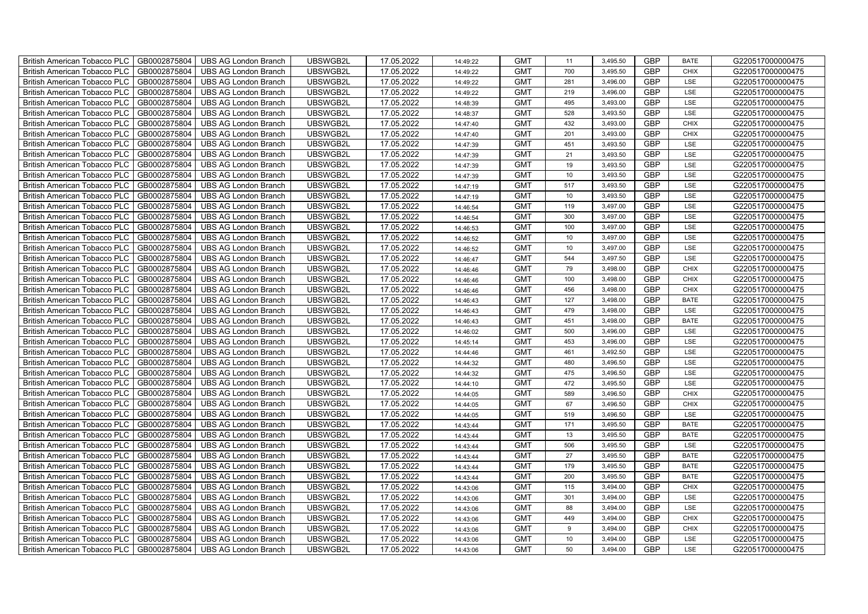| British American Tobacco PLC        | GB0002875804 | <b>UBS AG London Branch</b> | UBSWGB2L | 17.05.2022 | 14:49:22 | <b>GMT</b> | 11               | 3,495.50 | <b>GBP</b> | <b>BATE</b> | G220517000000475 |
|-------------------------------------|--------------|-----------------------------|----------|------------|----------|------------|------------------|----------|------------|-------------|------------------|
| <b>British American Tobacco PLC</b> | GB0002875804 | <b>UBS AG London Branch</b> | UBSWGB2L | 17.05.2022 | 14:49:22 | <b>GMT</b> | 700              | 3,495.50 | <b>GBP</b> | <b>CHIX</b> | G220517000000475 |
| <b>British American Tobacco PLC</b> | GB0002875804 | <b>UBS AG London Branch</b> | UBSWGB2L | 17.05.2022 | 14:49:22 | <b>GMT</b> | 281              | 3,496.00 | <b>GBP</b> | LSE         | G220517000000475 |
| British American Tobacco PLC        | GB0002875804 | <b>UBS AG London Branch</b> | UBSWGB2L | 17.05.2022 | 14:49:22 | <b>GMT</b> | 219              | 3,496.00 | <b>GBP</b> | LSE         | G220517000000475 |
| <b>British American Tobacco PLC</b> | GB0002875804 | <b>UBS AG London Branch</b> | UBSWGB2L | 17.05.2022 | 14:48:39 | <b>GMT</b> | 495              | 3,493.00 | <b>GBP</b> | LSE         | G220517000000475 |
| British American Tobacco PLC        | GB0002875804 | <b>UBS AG London Branch</b> | UBSWGB2L | 17.05.2022 | 14:48:37 | <b>GMT</b> | 528              | 3,493.50 | <b>GBP</b> | LSE         | G220517000000475 |
| <b>British American Tobacco PLC</b> | GB0002875804 | <b>UBS AG London Branch</b> | UBSWGB2L | 17.05.2022 | 14:47:40 | <b>GMT</b> | 432              | 3,493.00 | <b>GBP</b> | <b>CHIX</b> | G220517000000475 |
| British American Tobacco PLC        | GB0002875804 | <b>UBS AG London Branch</b> | UBSWGB2L | 17.05.2022 | 14:47:40 | <b>GMT</b> | 201              | 3,493.00 | <b>GBP</b> | <b>CHIX</b> | G220517000000475 |
| <b>British American Tobacco PLC</b> | GB0002875804 | <b>UBS AG London Branch</b> | UBSWGB2L | 17.05.2022 | 14:47:39 | <b>GMT</b> | 451              | 3,493.50 | <b>GBP</b> | LSE         | G220517000000475 |
| British American Tobacco PLC        | GB0002875804 | <b>UBS AG London Branch</b> | UBSWGB2L | 17.05.2022 | 14:47:39 | <b>GMT</b> | 21               | 3,493.50 | <b>GBP</b> | LSE         | G220517000000475 |
| <b>British American Tobacco PLC</b> | GB0002875804 | <b>UBS AG London Branch</b> | UBSWGB2L | 17.05.2022 | 14:47:39 | <b>GMT</b> | 19               | 3,493.50 | <b>GBP</b> | LSE         | G220517000000475 |
| <b>British American Tobacco PLC</b> | GB0002875804 | <b>UBS AG London Branch</b> | UBSWGB2L | 17.05.2022 | 14:47:39 | <b>GMT</b> | 10               | 3,493.50 | <b>GBP</b> | LSE         | G220517000000475 |
| British American Tobacco PLC        | GB0002875804 | <b>UBS AG London Branch</b> | UBSWGB2L | 17.05.2022 | 14:47:19 | <b>GMT</b> | 517              | 3,493.50 | <b>GBP</b> | LSE         | G220517000000475 |
| British American Tobacco PLC        | GB0002875804 | <b>UBS AG London Branch</b> | UBSWGB2L | 17.05.2022 | 14:47:19 | <b>GMT</b> | 10               | 3,493.50 | <b>GBP</b> | LSE         | G220517000000475 |
| British American Tobacco PLC        | GB0002875804 | <b>UBS AG London Branch</b> | UBSWGB2L | 17.05.2022 | 14:46:54 | <b>GMT</b> | 119              | 3,497.00 | <b>GBP</b> | LSE         | G220517000000475 |
| British American Tobacco PLC        | GB0002875804 | <b>UBS AG London Branch</b> | UBSWGB2L | 17.05.2022 | 14:46:54 | <b>GMT</b> | 300              | 3,497.00 | <b>GBP</b> | LSE         | G220517000000475 |
| British American Tobacco PLC        | GB0002875804 | <b>UBS AG London Branch</b> | UBSWGB2L | 17.05.2022 | 14:46:53 | <b>GMT</b> | 100              | 3,497.00 | <b>GBP</b> | LSE         | G220517000000475 |
| British American Tobacco PLC        | GB0002875804 | <b>UBS AG London Branch</b> | UBSWGB2L | 17.05.2022 | 14:46:52 | <b>GMT</b> | 10               | 3,497.00 | <b>GBP</b> | LSE         | G220517000000475 |
| British American Tobacco PLC        | GB0002875804 | <b>UBS AG London Branch</b> | UBSWGB2L | 17.05.2022 | 14:46:52 | <b>GMT</b> | 10 <sup>10</sup> | 3,497.00 | <b>GBP</b> | LSE         | G220517000000475 |
| <b>British American Tobacco PLC</b> | GB0002875804 | <b>UBS AG London Branch</b> | UBSWGB2L | 17.05.2022 | 14:46:47 | <b>GMT</b> | 544              | 3,497.50 | <b>GBP</b> | LSE         | G220517000000475 |
| <b>British American Tobacco PLC</b> | GB0002875804 | <b>UBS AG London Branch</b> | UBSWGB2L | 17.05.2022 | 14:46:46 | <b>GMT</b> | 79               | 3,498.00 | <b>GBP</b> | <b>CHIX</b> | G220517000000475 |
| British American Tobacco PLC        | GB0002875804 | <b>UBS AG London Branch</b> | UBSWGB2L | 17.05.2022 | 14:46:46 | <b>GMT</b> | 100              | 3,498.00 | GBP        | CHIX        | G220517000000475 |
| British American Tobacco PLC        | GB0002875804 | <b>UBS AG London Branch</b> | UBSWGB2L | 17.05.2022 | 14:46:46 | <b>GMT</b> | 456              | 3,498.00 | GBP        | CHIX        | G220517000000475 |
| British American Tobacco PLC        | GB0002875804 | <b>UBS AG London Branch</b> | UBSWGB2L | 17.05.2022 | 14:46:43 | <b>GMT</b> | 127              | 3,498.00 | <b>GBP</b> | <b>BATE</b> | G220517000000475 |
| British American Tobacco PLC        | GB0002875804 | <b>UBS AG London Branch</b> | UBSWGB2L | 17.05.2022 | 14:46:43 | <b>GMT</b> | 479              | 3,498.00 | <b>GBP</b> | LSE         | G220517000000475 |
| British American Tobacco PLC        | GB0002875804 | <b>UBS AG London Branch</b> | UBSWGB2L | 17.05.2022 | 14:46:43 | <b>GMT</b> | 451              | 3,498.00 | <b>GBP</b> | <b>BATE</b> | G220517000000475 |
| British American Tobacco PLC        | GB0002875804 | <b>UBS AG London Branch</b> | UBSWGB2L | 17.05.2022 | 14:46:02 | <b>GMT</b> | 500              | 3,496.00 | <b>GBP</b> | LSE         | G220517000000475 |
| British American Tobacco PLC        | GB0002875804 | <b>UBS AG London Branch</b> | UBSWGB2L | 17.05.2022 | 14:45:14 | <b>GMT</b> | 453              | 3,496.00 | <b>GBP</b> | LSE         | G220517000000475 |
| <b>British American Tobacco PLC</b> | GB0002875804 | <b>UBS AG London Branch</b> | UBSWGB2L | 17.05.2022 | 14:44:46 | <b>GMT</b> | 461              | 3,492.50 | <b>GBP</b> | LSE         | G220517000000475 |
| <b>British American Tobacco PLC</b> | GB0002875804 | <b>UBS AG London Branch</b> | UBSWGB2L | 17.05.2022 | 14:44:32 | <b>GMT</b> | 480              | 3,496.50 | <b>GBP</b> | LSE         | G220517000000475 |
| British American Tobacco PLC        | GB0002875804 | <b>UBS AG London Branch</b> | UBSWGB2L | 17.05.2022 | 14:44:32 | <b>GMT</b> | 475              | 3,496.50 | <b>GBP</b> | LSE         | G220517000000475 |
| British American Tobacco PLC        | GB0002875804 | <b>UBS AG London Branch</b> | UBSWGB2L | 17.05.2022 | 14:44:10 | <b>GMT</b> | 472              | 3,495.50 | <b>GBP</b> | LSE         | G220517000000475 |
| British American Tobacco PLC        | GB0002875804 | <b>UBS AG London Branch</b> | UBSWGB2L | 17.05.2022 | 14:44:05 | <b>GMT</b> | 589              | 3,496.50 | <b>GBP</b> | CHIX        | G220517000000475 |
| British American Tobacco PLC        | GB0002875804 | <b>UBS AG London Branch</b> | UBSWGB2L | 17.05.2022 | 14:44:05 | <b>GMT</b> | 67               | 3,496.50 | <b>GBP</b> | CHIX        | G220517000000475 |
| British American Tobacco PLC        | GB0002875804 | <b>UBS AG London Branch</b> | UBSWGB2L | 17.05.2022 | 14:44:05 | <b>GMT</b> | 519              | 3,496.50 | <b>GBP</b> | LSE         | G220517000000475 |
| British American Tobacco PLC        | GB0002875804 | <b>UBS AG London Branch</b> | UBSWGB2L | 17.05.2022 | 14:43:44 | <b>GMT</b> | 171              | 3,495.50 | <b>GBP</b> | <b>BATE</b> | G220517000000475 |
| British American Tobacco PLC        | GB0002875804 | <b>UBS AG London Branch</b> | UBSWGB2L | 17.05.2022 | 14:43:44 | <b>GMT</b> | 13               | 3,495.50 | <b>GBP</b> | <b>BATE</b> | G220517000000475 |
| <b>British American Tobacco PLC</b> | GB0002875804 | <b>UBS AG London Branch</b> | UBSWGB2L | 17.05.2022 | 14:43:44 | <b>GMT</b> | 506              | 3,495.50 | <b>GBP</b> | LSE         | G220517000000475 |
| British American Tobacco PLC        | GB0002875804 | <b>UBS AG London Branch</b> | UBSWGB2L | 17.05.2022 | 14:43:44 | <b>GMT</b> | 27               | 3,495.50 | <b>GBP</b> | <b>BATE</b> | G220517000000475 |
| <b>British American Tobacco PLC</b> | GB0002875804 | <b>UBS AG London Branch</b> | UBSWGB2L | 17.05.2022 | 14:43:44 | <b>GMT</b> | 179              | 3,495.50 | <b>GBP</b> | <b>BATE</b> | G220517000000475 |
| British American Tobacco PLC        | GB0002875804 | UBS AG London Branch        | UBSWGB2L | 17.05.2022 | 14:43:44 | <b>GMT</b> | 200              | 3,495.50 | GBP        | <b>BATE</b> | G220517000000475 |
| British American Tobacco PLC        | GB0002875804 | <b>UBS AG London Branch</b> | UBSWGB2L | 17.05.2022 | 14:43:06 | <b>GMT</b> | 115              | 3,494.00 | <b>GBP</b> | <b>CHIX</b> | G220517000000475 |
| British American Tobacco PLC        | GB0002875804 | <b>UBS AG London Branch</b> | UBSWGB2L | 17.05.2022 | 14:43:06 | <b>GMT</b> | 301              | 3,494.00 | <b>GBP</b> | LSE         | G220517000000475 |
| British American Tobacco PLC        | GB0002875804 | <b>UBS AG London Branch</b> | UBSWGB2L | 17.05.2022 | 14:43:06 | <b>GMT</b> | 88               | 3,494.00 | <b>GBP</b> | LSE         | G220517000000475 |
| <b>British American Tobacco PLC</b> | GB0002875804 | <b>UBS AG London Branch</b> | UBSWGB2L | 17.05.2022 | 14:43:06 | <b>GMT</b> | 449              | 3,494.00 | <b>GBP</b> | <b>CHIX</b> | G220517000000475 |
| <b>British American Tobacco PLC</b> | GB0002875804 | <b>UBS AG London Branch</b> | UBSWGB2L | 17.05.2022 | 14:43:06 | <b>GMT</b> | 9                | 3,494.00 | <b>GBP</b> | <b>CHIX</b> | G220517000000475 |
| <b>British American Tobacco PLC</b> | GB0002875804 | <b>UBS AG London Branch</b> | UBSWGB2L | 17.05.2022 | 14:43:06 | <b>GMT</b> | 10               | 3,494.00 | <b>GBP</b> | LSE         | G220517000000475 |
| British American Tobacco PLC        | GB0002875804 | UBS AG London Branch        | UBSWGB2L | 17.05.2022 | 14:43:06 | <b>GMT</b> | 50               | 3,494.00 | <b>GBP</b> | LSE         | G220517000000475 |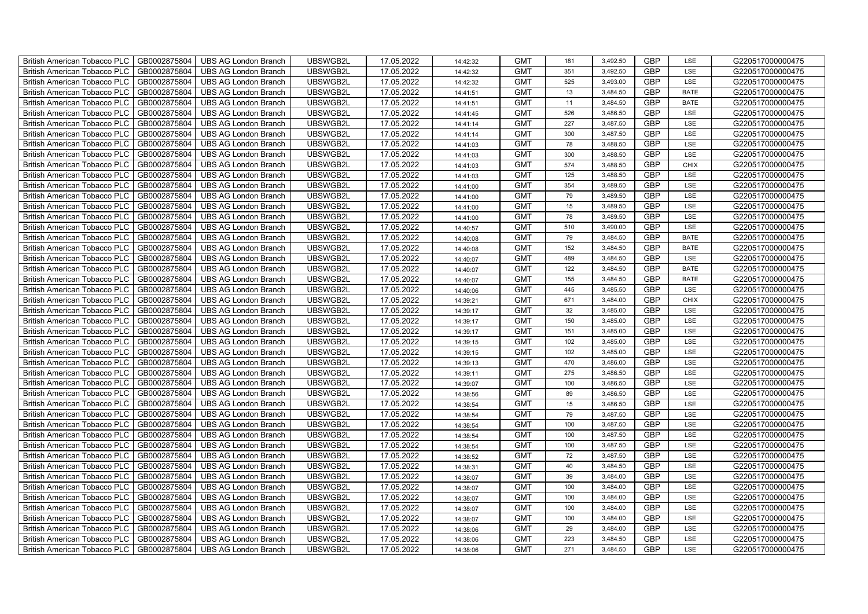| British American Tobacco PLC        | GB0002875804 | <b>UBS AG London Branch</b> | UBSWGB2L | 17.05.2022 | 14:42:32 | <b>GMT</b> | 181 | 3,492.50 | <b>GBP</b> | LSE         | G220517000000475 |
|-------------------------------------|--------------|-----------------------------|----------|------------|----------|------------|-----|----------|------------|-------------|------------------|
| <b>British American Tobacco PLC</b> | GB0002875804 | <b>UBS AG London Branch</b> | UBSWGB2L | 17.05.2022 | 14:42:32 | <b>GMT</b> | 351 | 3,492.50 | <b>GBP</b> | <b>LSE</b>  | G220517000000475 |
| <b>British American Tobacco PLC</b> | GB0002875804 | <b>UBS AG London Branch</b> | UBSWGB2L | 17.05.2022 | 14:42:32 | <b>GMT</b> | 525 | 3,493.00 | <b>GBP</b> | LSE         | G220517000000475 |
| British American Tobacco PLC        | GB0002875804 | <b>UBS AG London Branch</b> | UBSWGB2L | 17.05.2022 | 14:41:51 | <b>GMT</b> | 13  | 3,484.50 | <b>GBP</b> | <b>BATE</b> | G220517000000475 |
| <b>British American Tobacco PLC</b> | GB0002875804 | <b>UBS AG London Branch</b> | UBSWGB2L | 17.05.2022 | 14:41:51 | <b>GMT</b> | 11  | 3,484.50 | <b>GBP</b> | <b>BATE</b> | G220517000000475 |
| British American Tobacco PLC        | GB0002875804 | <b>UBS AG London Branch</b> | UBSWGB2L | 17.05.2022 | 14:41:45 | <b>GMT</b> | 526 | 3,486.50 | <b>GBP</b> | LSE         | G220517000000475 |
| <b>British American Tobacco PLC</b> | GB0002875804 | <b>UBS AG London Branch</b> | UBSWGB2L | 17.05.2022 | 14:41:14 | <b>GMT</b> | 227 | 3,487.50 | <b>GBP</b> | LSE         | G220517000000475 |
| British American Tobacco PLC        | GB0002875804 | <b>UBS AG London Branch</b> | UBSWGB2L | 17.05.2022 | 14:41:14 | <b>GMT</b> | 300 | 3,487.50 | <b>GBP</b> | LSE         | G220517000000475 |
| <b>British American Tobacco PLC</b> | GB0002875804 | <b>UBS AG London Branch</b> | UBSWGB2L | 17.05.2022 | 14:41:03 | <b>GMT</b> | 78  | 3,488.50 | <b>GBP</b> | LSE         | G220517000000475 |
| British American Tobacco PLC        | GB0002875804 | <b>UBS AG London Branch</b> | UBSWGB2L | 17.05.2022 | 14:41:03 | <b>GMT</b> | 300 | 3,488.50 | <b>GBP</b> | LSE         | G220517000000475 |
| <b>British American Tobacco PLC</b> | GB0002875804 | <b>UBS AG London Branch</b> | UBSWGB2L | 17.05.2022 | 14:41:03 | <b>GMT</b> | 574 | 3,488.50 | <b>GBP</b> | <b>CHIX</b> | G220517000000475 |
| <b>British American Tobacco PLC</b> | GB0002875804 | <b>UBS AG London Branch</b> | UBSWGB2L | 17.05.2022 | 14:41:03 | <b>GMT</b> | 125 | 3,488.50 | <b>GBP</b> | LSE         | G220517000000475 |
| British American Tobacco PLC        | GB0002875804 | <b>UBS AG London Branch</b> | UBSWGB2L | 17.05.2022 | 14:41:00 | <b>GMT</b> | 354 | 3,489.50 | <b>GBP</b> | LSE         | G220517000000475 |
| British American Tobacco PLC        | GB0002875804 | <b>UBS AG London Branch</b> | UBSWGB2L | 17.05.2022 | 14:41:00 | <b>GMT</b> | 79  | 3,489.50 | <b>GBP</b> | LSE         | G220517000000475 |
| British American Tobacco PLC        | GB0002875804 | <b>UBS AG London Branch</b> | UBSWGB2L | 17.05.2022 | 14:41:00 | <b>GMT</b> | 15  | 3,489.50 | <b>GBP</b> | LSE         | G220517000000475 |
| British American Tobacco PLC        | GB0002875804 | <b>UBS AG London Branch</b> | UBSWGB2L | 17.05.2022 | 14:41:00 | <b>GMT</b> | 78  | 3,489.50 | <b>GBP</b> | LSE         | G220517000000475 |
| British American Tobacco PLC        | GB0002875804 | <b>UBS AG London Branch</b> | UBSWGB2L | 17.05.2022 | 14:40:57 | <b>GMT</b> | 510 | 3,490.00 | <b>GBP</b> | LSE         | G220517000000475 |
| British American Tobacco PLC        | GB0002875804 | <b>UBS AG London Branch</b> | UBSWGB2L | 17.05.2022 | 14:40:08 | <b>GMT</b> | 79  | 3,484.50 | <b>GBP</b> | <b>BATE</b> | G220517000000475 |
| British American Tobacco PLC        | GB0002875804 | <b>UBS AG London Branch</b> | UBSWGB2L | 17.05.2022 | 14:40:08 | <b>GMT</b> | 152 | 3,484.50 | <b>GBP</b> | <b>BATE</b> | G220517000000475 |
| <b>British American Tobacco PLC</b> | GB0002875804 | <b>UBS AG London Branch</b> | UBSWGB2L | 17.05.2022 | 14:40:07 | <b>GMT</b> | 489 | 3,484.50 | <b>GBP</b> | LSE         | G220517000000475 |
| <b>British American Tobacco PLC</b> | GB0002875804 | <b>UBS AG London Branch</b> | UBSWGB2L | 17.05.2022 | 14:40:07 | <b>GMT</b> | 122 | 3,484.50 | <b>GBP</b> | <b>BATE</b> | G220517000000475 |
| British American Tobacco PLC        | GB0002875804 | <b>UBS AG London Branch</b> | UBSWGB2L | 17.05.2022 | 14:40:07 | <b>GMT</b> | 155 | 3,484.50 | <b>GBP</b> | <b>BATE</b> | G220517000000475 |
| British American Tobacco PLC        | GB0002875804 | <b>UBS AG London Branch</b> | UBSWGB2L | 17.05.2022 | 14:40:06 | <b>GMT</b> | 445 | 3,485.50 | GBP        | LSE         | G220517000000475 |
| British American Tobacco PLC        | GB0002875804 | <b>UBS AG London Branch</b> | UBSWGB2L | 17.05.2022 | 14:39:21 | <b>GMT</b> | 671 | 3,484.00 | <b>GBP</b> | CHIX        | G220517000000475 |
| British American Tobacco PLC        | GB0002875804 | <b>UBS AG London Branch</b> | UBSWGB2L | 17.05.2022 | 14:39:17 | <b>GMT</b> | 32  | 3,485.00 | <b>GBP</b> | LSE         | G220517000000475 |
| British American Tobacco PLC        | GB0002875804 | <b>UBS AG London Branch</b> | UBSWGB2L | 17.05.2022 | 14:39:17 | <b>GMT</b> | 150 | 3,485.00 | <b>GBP</b> | LSE         | G220517000000475 |
| British American Tobacco PLC        | GB0002875804 | <b>UBS AG London Branch</b> | UBSWGB2L | 17.05.2022 | 14:39:17 | <b>GMT</b> | 151 | 3,485.00 | <b>GBP</b> | LSE         | G220517000000475 |
| British American Tobacco PLC        | GB0002875804 | <b>UBS AG London Branch</b> | UBSWGB2L | 17.05.2022 | 14:39:15 | <b>GMT</b> | 102 | 3,485.00 | <b>GBP</b> | LSE         | G220517000000475 |
| <b>British American Tobacco PLC</b> | GB0002875804 | <b>UBS AG London Branch</b> | UBSWGB2L | 17.05.2022 | 14:39:15 | <b>GMT</b> | 102 | 3,485.00 | <b>GBP</b> | LSE         | G220517000000475 |
| <b>British American Tobacco PLC</b> | GB0002875804 | <b>UBS AG London Branch</b> | UBSWGB2L | 17.05.2022 | 14:39:13 | <b>GMT</b> | 470 | 3,486.00 | <b>GBP</b> | LSE         | G220517000000475 |
| British American Tobacco PLC        | GB0002875804 | <b>UBS AG London Branch</b> | UBSWGB2L | 17.05.2022 | 14:39:11 | <b>GMT</b> | 275 | 3,486.50 | <b>GBP</b> | LSE         | G220517000000475 |
| British American Tobacco PLC        | GB0002875804 | <b>UBS AG London Branch</b> | UBSWGB2L | 17.05.2022 | 14:39:07 | <b>GMT</b> | 100 | 3,486.50 | <b>GBP</b> | LSE         | G220517000000475 |
| British American Tobacco PLC        | GB0002875804 | <b>UBS AG London Branch</b> | UBSWGB2L | 17.05.2022 | 14:38:56 | <b>GMT</b> | 89  | 3,486.50 | <b>GBP</b> | LSE         | G220517000000475 |
| British American Tobacco PLC        | GB0002875804 | <b>UBS AG London Branch</b> | UBSWGB2L | 17.05.2022 | 14:38:54 | <b>GMT</b> | 15  | 3,486.50 | <b>GBP</b> | LSE         | G220517000000475 |
| British American Tobacco PLC        | GB0002875804 | <b>UBS AG London Branch</b> | UBSWGB2L | 17.05.2022 | 14:38:54 | <b>GMT</b> | 79  | 3,487.50 | <b>GBP</b> | LSE         | G220517000000475 |
| British American Tobacco PLC        | GB0002875804 | <b>UBS AG London Branch</b> | UBSWGB2L | 17.05.2022 | 14:38:54 | <b>GMT</b> | 100 | 3,487.50 | <b>GBP</b> | LSE         | G220517000000475 |
| British American Tobacco PLC        | GB0002875804 | <b>UBS AG London Branch</b> | UBSWGB2L | 17.05.2022 | 14:38:54 | <b>GMT</b> | 100 | 3,487.50 | <b>GBP</b> | LSE         | G220517000000475 |
| <b>British American Tobacco PLC</b> | GB0002875804 | <b>UBS AG London Branch</b> | UBSWGB2L | 17.05.2022 | 14:38:54 | <b>GMT</b> | 100 | 3,487.50 | <b>GBP</b> | LSE         | G220517000000475 |
| British American Tobacco PLC        | GB0002875804 | <b>UBS AG London Branch</b> | UBSWGB2L | 17.05.2022 | 14:38:52 | <b>GMT</b> | 72  | 3,487.50 | <b>GBP</b> | LSE         | G220517000000475 |
| British American Tobacco PLC        | GB0002875804 | <b>UBS AG London Branch</b> | UBSWGB2L | 17.05.2022 | 14:38:31 | <b>GMT</b> | 40  | 3,484.50 | <b>GBP</b> | LSE         | G220517000000475 |
| British American Tobacco PLC        | GB0002875804 | UBS AG London Branch        | UBSWGB2L | 17.05.2022 | 14:38:07 | <b>GMT</b> | 39  | 3,484.00 | GBP        | LSE         | G220517000000475 |
| British American Tobacco PLC        | GB0002875804 | <b>UBS AG London Branch</b> | UBSWGB2L | 17.05.2022 | 14:38:07 | <b>GMT</b> | 100 | 3,484.00 | <b>GBP</b> | LSE         | G220517000000475 |
| British American Tobacco PLC        | GB0002875804 | <b>UBS AG London Branch</b> | UBSWGB2L | 17.05.2022 | 14:38:07 | <b>GMT</b> | 100 | 3,484.00 | <b>GBP</b> | LSE         | G220517000000475 |
| British American Tobacco PLC        | GB0002875804 | <b>UBS AG London Branch</b> | UBSWGB2L | 17.05.2022 | 14:38:07 | <b>GMT</b> | 100 | 3,484.00 | <b>GBP</b> | LSE         | G220517000000475 |
| <b>British American Tobacco PLC</b> | GB0002875804 | <b>UBS AG London Branch</b> | UBSWGB2L | 17.05.2022 | 14:38:07 | <b>GMT</b> | 100 | 3,484.00 | <b>GBP</b> | LSE         | G220517000000475 |
| <b>British American Tobacco PLC</b> | GB0002875804 | <b>UBS AG London Branch</b> | UBSWGB2L | 17.05.2022 | 14:38:06 | <b>GMT</b> | 29  | 3,484.00 | <b>GBP</b> | LSE         | G220517000000475 |
| British American Tobacco PLC        | GB0002875804 | <b>UBS AG London Branch</b> | UBSWGB2L | 17.05.2022 | 14:38:06 | <b>GMT</b> | 223 | 3,484.50 | <b>GBP</b> | LSE         | G220517000000475 |
| British American Tobacco PLC        | GB0002875804 | UBS AG London Branch        | UBSWGB2L | 17.05.2022 | 14:38:06 | <b>GMT</b> | 271 | 3,484.50 | <b>GBP</b> | LSE         | G220517000000475 |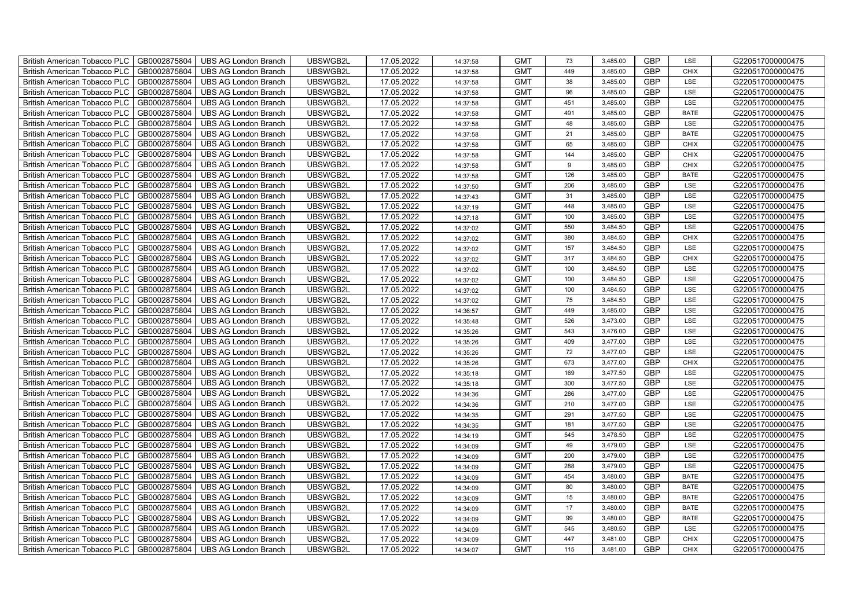| British American Tobacco PLC        | GB0002875804 | <b>UBS AG London Branch</b> | UBSWGB2L | 17.05.2022 | 14:37:58 | <b>GMT</b> | 73  | 3,485.00 | <b>GBP</b> | LSE         | G220517000000475 |
|-------------------------------------|--------------|-----------------------------|----------|------------|----------|------------|-----|----------|------------|-------------|------------------|
| <b>British American Tobacco PLC</b> | GB0002875804 | <b>UBS AG London Branch</b> | UBSWGB2L | 17.05.2022 | 14:37:58 | <b>GMT</b> | 449 | 3,485.00 | <b>GBP</b> | <b>CHIX</b> | G220517000000475 |
| <b>British American Tobacco PLC</b> | GB0002875804 | <b>UBS AG London Branch</b> | UBSWGB2L | 17.05.2022 | 14:37:58 | <b>GMT</b> | 38  | 3,485.00 | <b>GBP</b> | LSE         | G220517000000475 |
| British American Tobacco PLC        | GB0002875804 | <b>UBS AG London Branch</b> | UBSWGB2L | 17.05.2022 | 14:37:58 | <b>GMT</b> | 96  | 3,485.00 | <b>GBP</b> | LSE         | G220517000000475 |
| <b>British American Tobacco PLC</b> | GB0002875804 | <b>UBS AG London Branch</b> | UBSWGB2L | 17.05.2022 | 14:37:58 | <b>GMT</b> | 451 | 3,485.00 | <b>GBP</b> | LSE         | G220517000000475 |
| British American Tobacco PLC        | GB0002875804 | <b>UBS AG London Branch</b> | UBSWGB2L | 17.05.2022 | 14:37:58 | <b>GMT</b> | 491 | 3,485.00 | <b>GBP</b> | <b>BATE</b> | G220517000000475 |
| <b>British American Tobacco PLC</b> | GB0002875804 | <b>UBS AG London Branch</b> | UBSWGB2L | 17.05.2022 | 14:37:58 | <b>GMT</b> | 48  | 3,485.00 | <b>GBP</b> | LSE         | G220517000000475 |
| British American Tobacco PLC        | GB0002875804 | <b>UBS AG London Branch</b> | UBSWGB2L | 17.05.2022 | 14:37:58 | <b>GMT</b> | 21  | 3,485.00 | <b>GBP</b> | <b>BATE</b> | G220517000000475 |
| <b>British American Tobacco PLC</b> | GB0002875804 | <b>UBS AG London Branch</b> | UBSWGB2L | 17.05.2022 | 14:37:58 | <b>GMT</b> | 65  | 3,485.00 | <b>GBP</b> | <b>CHIX</b> | G220517000000475 |
| British American Tobacco PLC        | GB0002875804 | <b>UBS AG London Branch</b> | UBSWGB2L | 17.05.2022 | 14:37:58 | <b>GMT</b> | 144 | 3,485.00 | <b>GBP</b> | <b>CHIX</b> | G220517000000475 |
| <b>British American Tobacco PLC</b> | GB0002875804 | <b>UBS AG London Branch</b> | UBSWGB2L | 17.05.2022 | 14:37:58 | <b>GMT</b> | 9   | 3,485.00 | <b>GBP</b> | <b>CHIX</b> | G220517000000475 |
| <b>British American Tobacco PLC</b> | GB0002875804 | <b>UBS AG London Branch</b> | UBSWGB2L | 17.05.2022 | 14:37:58 | <b>GMT</b> | 126 | 3,485.00 | <b>GBP</b> | <b>BATE</b> | G220517000000475 |
| British American Tobacco PLC        | GB0002875804 | <b>UBS AG London Branch</b> | UBSWGB2L | 17.05.2022 | 14:37:50 | <b>GMT</b> | 206 | 3,485.00 | <b>GBP</b> | LSE         | G220517000000475 |
| British American Tobacco PLC        | GB0002875804 | <b>UBS AG London Branch</b> | UBSWGB2L | 17.05.2022 | 14:37:43 | <b>GMT</b> | 31  | 3,485.00 | <b>GBP</b> | LSE         | G220517000000475 |
| British American Tobacco PLC        | GB0002875804 | <b>UBS AG London Branch</b> | UBSWGB2L | 17.05.2022 | 14:37:19 | <b>GMT</b> | 448 | 3,485.00 | <b>GBP</b> | LSE         | G220517000000475 |
| British American Tobacco PLC        | GB0002875804 | <b>UBS AG London Branch</b> | UBSWGB2L | 17.05.2022 | 14:37:18 | <b>GMT</b> | 100 | 3,485.00 | <b>GBP</b> | LSE         | G220517000000475 |
| British American Tobacco PLC        | GB0002875804 | <b>UBS AG London Branch</b> | UBSWGB2L | 17.05.2022 | 14:37:02 | <b>GMT</b> | 550 | 3,484.50 | <b>GBP</b> | LSE         | G220517000000475 |
| British American Tobacco PLC        | GB0002875804 | <b>UBS AG London Branch</b> | UBSWGB2L | 17.05.2022 | 14:37:02 | <b>GMT</b> | 380 | 3,484.50 | <b>GBP</b> | <b>CHIX</b> | G220517000000475 |
| British American Tobacco PLC        | GB0002875804 | <b>UBS AG London Branch</b> | UBSWGB2L | 17.05.2022 | 14:37:02 | <b>GMT</b> | 157 | 3,484.50 | <b>GBP</b> | LSE         | G220517000000475 |
| <b>British American Tobacco PLC</b> | GB0002875804 | <b>UBS AG London Branch</b> | UBSWGB2L | 17.05.2022 | 14:37:02 | <b>GMT</b> | 317 | 3,484.50 | <b>GBP</b> | CHIX        | G220517000000475 |
| <b>British American Tobacco PLC</b> | GB0002875804 | <b>UBS AG London Branch</b> | UBSWGB2L | 17.05.2022 | 14:37:02 | <b>GMT</b> | 100 | 3,484.50 | <b>GBP</b> | <b>LSE</b>  | G220517000000475 |
| British American Tobacco PLC        | GB0002875804 | <b>UBS AG London Branch</b> | UBSWGB2L | 17.05.2022 | 14:37:02 | <b>GMT</b> | 100 | 3,484.50 | <b>GBP</b> | LSE         | G220517000000475 |
| British American Tobacco PLC        | GB0002875804 | <b>UBS AG London Branch</b> | UBSWGB2L | 17.05.2022 | 14:37:02 | <b>GMT</b> | 100 | 3,484.50 | GBP        | LSE         | G220517000000475 |
| British American Tobacco PLC        | GB0002875804 | <b>UBS AG London Branch</b> | UBSWGB2L | 17.05.2022 | 14:37:02 | <b>GMT</b> | 75  | 3,484.50 | <b>GBP</b> | LSE         | G220517000000475 |
| British American Tobacco PLC        | GB0002875804 | <b>UBS AG London Branch</b> | UBSWGB2L | 17.05.2022 | 14:36:57 | <b>GMT</b> | 449 | 3,485.00 | <b>GBP</b> | LSE         | G220517000000475 |
| British American Tobacco PLC        | GB0002875804 | <b>UBS AG London Branch</b> | UBSWGB2L | 17.05.2022 | 14:35:48 | <b>GMT</b> | 526 | 3,473.00 | <b>GBP</b> | LSE         | G220517000000475 |
| British American Tobacco PLC        | GB0002875804 | <b>UBS AG London Branch</b> | UBSWGB2L | 17.05.2022 | 14:35:26 | <b>GMT</b> | 543 | 3,476.00 | <b>GBP</b> | LSE         | G220517000000475 |
| British American Tobacco PLC        | GB0002875804 | <b>UBS AG London Branch</b> | UBSWGB2L | 17.05.2022 | 14:35:26 | <b>GMT</b> | 409 | 3,477.00 | <b>GBP</b> | LSE         | G220517000000475 |
| <b>British American Tobacco PLC</b> | GB0002875804 | <b>UBS AG London Branch</b> | UBSWGB2L | 17.05.2022 | 14:35:26 | <b>GMT</b> | 72  | 3,477.00 | <b>GBP</b> | LSE         | G220517000000475 |
| <b>British American Tobacco PLC</b> | GB0002875804 | <b>UBS AG London Branch</b> | UBSWGB2L | 17.05.2022 | 14:35:26 | <b>GMT</b> | 673 | 3,477.00 | <b>GBP</b> | <b>CHIX</b> | G220517000000475 |
| British American Tobacco PLC        | GB0002875804 | <b>UBS AG London Branch</b> | UBSWGB2L | 17.05.2022 | 14:35:18 | <b>GMT</b> | 169 | 3,477.50 | <b>GBP</b> | LSE         | G220517000000475 |
| British American Tobacco PLC        | GB0002875804 | <b>UBS AG London Branch</b> | UBSWGB2L | 17.05.2022 | 14:35:18 | <b>GMT</b> | 300 | 3,477.50 | GBP        | LSE         | G220517000000475 |
| British American Tobacco PLC        | GB0002875804 | <b>UBS AG London Branch</b> | UBSWGB2L | 17.05.2022 | 14:34:36 | <b>GMT</b> | 286 | 3,477.00 | <b>GBP</b> | LSE         | G220517000000475 |
| British American Tobacco PLC        | GB0002875804 | <b>UBS AG London Branch</b> | UBSWGB2L | 17.05.2022 | 14:34:36 | <b>GMT</b> | 210 | 3,477.00 | <b>GBP</b> | LSE         | G220517000000475 |
| British American Tobacco PLC        | GB0002875804 | <b>UBS AG London Branch</b> | UBSWGB2L | 17.05.2022 | 14:34:35 | <b>GMT</b> | 291 | 3,477.50 | <b>GBP</b> | LSE         | G220517000000475 |
| British American Tobacco PLC        | GB0002875804 | <b>UBS AG London Branch</b> | UBSWGB2L | 17.05.2022 | 14:34:35 | <b>GMT</b> | 181 | 3,477.50 | <b>GBP</b> | LSE         | G220517000000475 |
| British American Tobacco PLC        | GB0002875804 | <b>UBS AG London Branch</b> | UBSWGB2L | 17.05.2022 | 14:34:19 | <b>GMT</b> | 545 | 3,478.50 | <b>GBP</b> | LSE         | G220517000000475 |
| <b>British American Tobacco PLC</b> | GB0002875804 | <b>UBS AG London Branch</b> | UBSWGB2L | 17.05.2022 | 14:34:09 | <b>GMT</b> | 49  | 3,479.00 | <b>GBP</b> | LSE         | G220517000000475 |
| British American Tobacco PLC        | GB0002875804 | <b>UBS AG London Branch</b> | UBSWGB2L | 17.05.2022 | 14:34:09 | <b>GMT</b> | 200 | 3,479.00 | <b>GBP</b> | LSE         | G220517000000475 |
| British American Tobacco PLC        | GB0002875804 | <b>UBS AG London Branch</b> | UBSWGB2L | 17.05.2022 | 14:34:09 | <b>GMT</b> | 288 | 3,479.00 | <b>GBP</b> | LSE         | G220517000000475 |
| British American Tobacco PLC        | GB0002875804 | UBS AG London Branch        | UBSWGB2L | 17.05.2022 | 14:34:09 | <b>GMT</b> | 454 | 3,480.00 | GBP        | <b>BATE</b> | G220517000000475 |
| British American Tobacco PLC        | GB0002875804 | <b>UBS AG London Branch</b> | UBSWGB2L | 17.05.2022 | 14:34:09 | <b>GMT</b> | 80  | 3,480.00 | <b>GBP</b> | <b>BATE</b> | G220517000000475 |
| British American Tobacco PLC        | GB0002875804 | <b>UBS AG London Branch</b> | UBSWGB2L | 17.05.2022 | 14:34:09 | <b>GMT</b> | 15  | 3,480.00 | <b>GBP</b> | <b>BATE</b> | G220517000000475 |
| British American Tobacco PLC        | GB0002875804 | <b>UBS AG London Branch</b> | UBSWGB2L | 17.05.2022 | 14:34:09 | <b>GMT</b> | 17  | 3,480.00 | <b>GBP</b> | <b>BATE</b> | G220517000000475 |
| <b>British American Tobacco PLC</b> | GB0002875804 | <b>UBS AG London Branch</b> | UBSWGB2L | 17.05.2022 | 14:34:09 | <b>GMT</b> | 99  | 3,480.00 | <b>GBP</b> | <b>BATE</b> | G220517000000475 |
| <b>British American Tobacco PLC</b> | GB0002875804 | <b>UBS AG London Branch</b> | UBSWGB2L | 17.05.2022 | 14:34:09 | <b>GMT</b> | 545 | 3,480.50 | <b>GBP</b> | LSE         | G220517000000475 |
| British American Tobacco PLC        | GB0002875804 | <b>UBS AG London Branch</b> | UBSWGB2L | 17.05.2022 | 14:34:09 | <b>GMT</b> | 447 | 3,481.00 | <b>GBP</b> | <b>CHIX</b> | G220517000000475 |
| British American Tobacco PLC        | GB0002875804 | UBS AG London Branch        | UBSWGB2L | 17.05.2022 | 14:34:07 | <b>GMT</b> | 115 | 3,481.00 | <b>GBP</b> | <b>CHIX</b> | G220517000000475 |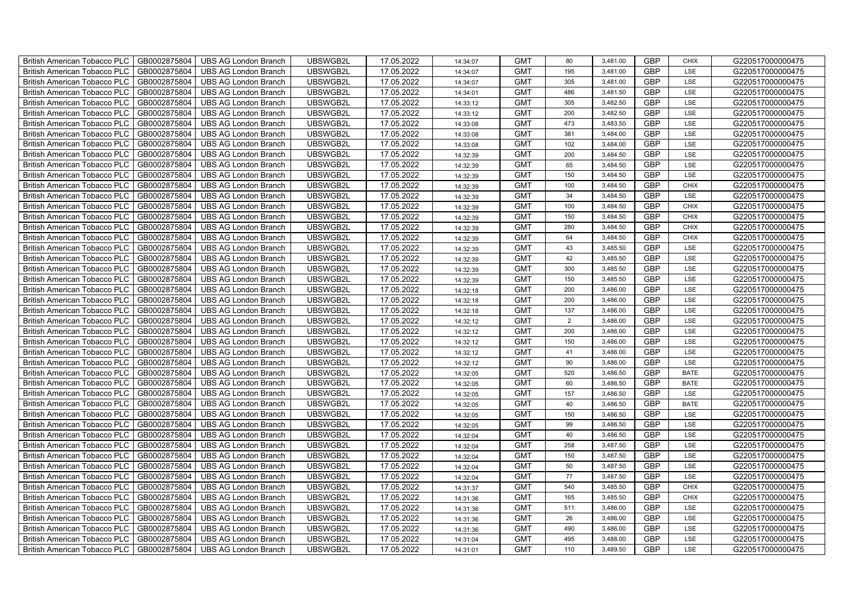| British American Tobacco PLC<br>GB0002875804        | <b>UBS AG London Branch</b> | UBSWGB2L | 17.05.2022 | 14:34:07             | <b>GMT</b> | 80             | 3,481.00 | <b>GBP</b> | <b>CHIX</b> | G220517000000475 |
|-----------------------------------------------------|-----------------------------|----------|------------|----------------------|------------|----------------|----------|------------|-------------|------------------|
| GB0002875804<br><b>British American Tobacco PLC</b> | <b>UBS AG London Branch</b> | UBSWGB2L | 17.05.2022 | 14:34:07             | <b>GMT</b> | 195            | 3,481.00 | <b>GBP</b> | <b>LSE</b>  | G220517000000475 |
| GB0002875804<br><b>British American Tobacco PLC</b> | <b>UBS AG London Branch</b> | UBSWGB2L | 17.05.2022 | 14:34:07             | <b>GMT</b> | 305            | 3,481.00 | <b>GBP</b> | LSE         | G220517000000475 |
| GB0002875804<br>British American Tobacco PLC        | <b>UBS AG London Branch</b> | UBSWGB2L | 17.05.2022 | 14:34:01             | <b>GMT</b> | 486            | 3,481.50 | <b>GBP</b> | LSE         | G220517000000475 |
| GB0002875804<br><b>British American Tobacco PLC</b> | <b>UBS AG London Branch</b> | UBSWGB2L | 17.05.2022 | 14:33:12             | <b>GMT</b> | 305            | 3,482.50 | <b>GBP</b> | LSE         | G220517000000475 |
| GB0002875804<br>British American Tobacco PLC        | <b>UBS AG London Branch</b> | UBSWGB2L | 17.05.2022 | 14:33:12             | <b>GMT</b> | 200            | 3,482.50 | <b>GBP</b> | LSE         | G220517000000475 |
| GB0002875804<br><b>British American Tobacco PLC</b> | <b>UBS AG London Branch</b> | UBSWGB2L | 17.05.2022 | 14:33:08             | <b>GMT</b> | 473            | 3,483.50 | <b>GBP</b> | LSE         | G220517000000475 |
| British American Tobacco PLC<br>GB0002875804        | <b>UBS AG London Branch</b> | UBSWGB2L | 17.05.2022 | 14:33:08             | <b>GMT</b> | 381            | 3,484.00 | <b>GBP</b> | LSE         | G220517000000475 |
| GB0002875804<br><b>British American Tobacco PLC</b> | <b>UBS AG London Branch</b> | UBSWGB2L | 17.05.2022 | 14:33:08             | <b>GMT</b> | 102            | 3,484.00 | <b>GBP</b> | LSE         | G220517000000475 |
| GB0002875804<br>British American Tobacco PLC        | <b>UBS AG London Branch</b> | UBSWGB2L | 17.05.2022 | 14:32:39             | <b>GMT</b> | 200            | 3,484.50 | <b>GBP</b> | LSE         | G220517000000475 |
| <b>British American Tobacco PLC</b><br>GB0002875804 | <b>UBS AG London Branch</b> | UBSWGB2L | 17.05.2022 | 14:32:39             | <b>GMT</b> | 65             | 3,484.50 | <b>GBP</b> | LSE         | G220517000000475 |
| GB0002875804<br><b>British American Tobacco PLC</b> | <b>UBS AG London Branch</b> | UBSWGB2L | 17.05.2022 | 14:32:39             | <b>GMT</b> | 150            | 3,484.50 | <b>GBP</b> | LSE         | G220517000000475 |
| GB0002875804<br>British American Tobacco PLC        | <b>UBS AG London Branch</b> | UBSWGB2L | 17.05.2022 | 14:32:39             | <b>GMT</b> | 100            | 3,484.50 | <b>GBP</b> | <b>CHIX</b> | G220517000000475 |
| GB0002875804<br>British American Tobacco PLC        | <b>UBS AG London Branch</b> | UBSWGB2L | 17.05.2022 | 14:32:39             | <b>GMT</b> | 34             | 3,484.50 | <b>GBP</b> | LSE         | G220517000000475 |
| GB0002875804<br>British American Tobacco PLC        | <b>UBS AG London Branch</b> | UBSWGB2L | 17.05.2022 | 14:32:39             | <b>GMT</b> | 100            | 3,484.50 | <b>GBP</b> | <b>CHIX</b> | G220517000000475 |
| GB0002875804<br>British American Tobacco PLC        | <b>UBS AG London Branch</b> | UBSWGB2L | 17.05.2022 | 14:32:39             | <b>GMT</b> | 150            | 3,484.50 | <b>GBP</b> | <b>CHIX</b> | G220517000000475 |
| British American Tobacco PLC<br>GB0002875804        | <b>UBS AG London Branch</b> | UBSWGB2L | 17.05.2022 | 14:32:39             | <b>GMT</b> | 280            | 3,484.50 | <b>GBP</b> | <b>CHIX</b> | G220517000000475 |
| GB0002875804<br>British American Tobacco PLC        | <b>UBS AG London Branch</b> | UBSWGB2L | 17.05.2022 | 14:32:39             | <b>GMT</b> | 64             | 3,484.50 | <b>GBP</b> | <b>CHIX</b> | G220517000000475 |
| GB0002875804<br>British American Tobacco PLC        | <b>UBS AG London Branch</b> | UBSWGB2L | 17.05.2022 | 14:32:39             | <b>GMT</b> | 43             | 3,485.50 | <b>GBP</b> | LSE         | G220517000000475 |
| <b>British American Tobacco PLC</b><br>GB0002875804 | <b>UBS AG London Branch</b> | UBSWGB2L | 17.05.2022 | 14:32:39             | <b>GMT</b> | 42             | 3,485.50 | <b>GBP</b> | LSE         | G220517000000475 |
| GB0002875804<br><b>British American Tobacco PLC</b> | <b>UBS AG London Branch</b> | UBSWGB2L | 17.05.2022 | 14:32:39             | <b>GMT</b> | 300            | 3,485.50 | <b>GBP</b> | <b>LSE</b>  | G220517000000475 |
| GB0002875804<br>British American Tobacco PLC        | <b>UBS AG London Branch</b> | UBSWGB2L | 17.05.2022 | 14:32:39             | <b>GMT</b> | 150            | 3,485.50 | GBP        | LSE         | G220517000000475 |
| GB0002875804<br>British American Tobacco PLC        | <b>UBS AG London Branch</b> | UBSWGB2L | 17.05.2022 | 14:32:18             | <b>GMT</b> | 200            | 3,486.00 | GBP        | LSE         | G220517000000475 |
| GB0002875804<br>British American Tobacco PLC        | <b>UBS AG London Branch</b> | UBSWGB2L | 17.05.2022 | 14:32:18             | <b>GMT</b> | 200            | 3,486.00 | <b>GBP</b> | LSE         | G220517000000475 |
| GB0002875804<br>British American Tobacco PLC        | <b>UBS AG London Branch</b> | UBSWGB2L | 17.05.2022 | 14:32:18             | <b>GMT</b> | 137            | 3,486.00 | <b>GBP</b> | LSE         | G220517000000475 |
| GB0002875804<br>British American Tobacco PLC        | <b>UBS AG London Branch</b> | UBSWGB2L | 17.05.2022 | 14:32:12             | <b>GMT</b> | $\overline{2}$ | 3,486.00 | <b>GBP</b> | LSE         | G220517000000475 |
| GB0002875804<br>British American Tobacco PLC        | <b>UBS AG London Branch</b> | UBSWGB2L | 17.05.2022 | 14:32:12             | <b>GMT</b> | 200            | 3,486.00 | <b>GBP</b> | LSE         | G220517000000475 |
| GB0002875804<br>British American Tobacco PLC        | <b>UBS AG London Branch</b> | UBSWGB2L | 17.05.2022 | 14:32:12             | <b>GMT</b> | 150            | 3,486.00 | <b>GBP</b> | LSE         | G220517000000475 |
| <b>British American Tobacco PLC</b><br>GB0002875804 | <b>UBS AG London Branch</b> | UBSWGB2L | 17.05.2022 | 14:32:12             | <b>GMT</b> | 41             | 3,486.00 | <b>GBP</b> | LSE         | G220517000000475 |
| GB0002875804<br><b>British American Tobacco PLC</b> | <b>UBS AG London Branch</b> | UBSWGB2L | 17.05.2022 | 14:32:12             | <b>GMT</b> | 90             | 3,486.00 | <b>GBP</b> | LSE         | G220517000000475 |
| GB0002875804<br>British American Tobacco PLC        | <b>UBS AG London Branch</b> | UBSWGB2L | 17.05.2022 | 14:32:05             | <b>GMT</b> | 520            | 3,486.50 | <b>GBP</b> | <b>BATE</b> | G220517000000475 |
| GB0002875804<br>British American Tobacco PLC        | <b>UBS AG London Branch</b> | UBSWGB2L | 17.05.2022 | 14:32:05             | <b>GMT</b> | 60             | 3,486.50 | <b>GBP</b> | <b>BATE</b> | G220517000000475 |
| British American Tobacco PLC<br>GB0002875804        | <b>UBS AG London Branch</b> | UBSWGB2L | 17.05.2022 | 14:32:05             | <b>GMT</b> | 157            | 3,486.50 | <b>GBP</b> | LSE         | G220517000000475 |
| British American Tobacco PLC<br>GB0002875804        | <b>UBS AG London Branch</b> | UBSWGB2L | 17.05.2022 | 14:32:05             | <b>GMT</b> | 40             | 3,486.50 | <b>GBP</b> | <b>BATE</b> | G220517000000475 |
| GB0002875804<br>British American Tobacco PLC        | <b>UBS AG London Branch</b> | UBSWGB2L | 17.05.2022 | 14:32:05             | <b>GMT</b> | 150            | 3,486.50 | <b>GBP</b> | LSE         | G220517000000475 |
| GB0002875804<br>British American Tobacco PLC        | <b>UBS AG London Branch</b> | UBSWGB2L | 17.05.2022 | 14:32:05             | <b>GMT</b> | 99             | 3,486.50 | <b>GBP</b> | LSE         | G220517000000475 |
| GB0002875804<br>British American Tobacco PLC        | <b>UBS AG London Branch</b> | UBSWGB2L | 17.05.2022 | 14:32:04             | <b>GMT</b> | 40             | 3,486.50 | <b>GBP</b> | LSE         | G220517000000475 |
| <b>British American Tobacco PLC</b><br>GB0002875804 | <b>UBS AG London Branch</b> | UBSWGB2L | 17.05.2022 | 14:32:04             | <b>GMT</b> | 258            | 3,487.50 | <b>GBP</b> | LSE         | G220517000000475 |
| GB0002875804<br>British American Tobacco PLC        | <b>UBS AG London Branch</b> | UBSWGB2L | 17.05.2022 | 14:32:04             | <b>GMT</b> | 150            | 3,487.50 | <b>GBP</b> | LSE         | G220517000000475 |
| GB0002875804<br>British American Tobacco PLC        | <b>UBS AG London Branch</b> | UBSWGB2L | 17.05.2022 | 14:32:04             | <b>GMT</b> | 50             | 3,487.50 | <b>GBP</b> | LSE         | G220517000000475 |
| British American Tobacco PLC<br>GB0002875804        | UBS AG London Branch        | UBSWGB2L | 17.05.2022 | 14:32:04             | <b>GMT</b> | $77\,$         | 3,487.50 | <b>GBP</b> | LSE         | G220517000000475 |
| British American Tobacco PLC<br>GB0002875804        | <b>UBS AG London Branch</b> | UBSWGB2L | 17.05.2022 | 14:31:37             | <b>GMT</b> | 540            | 3,485.50 | <b>GBP</b> | <b>CHIX</b> | G220517000000475 |
| British American Tobacco PLC<br>GB0002875804        | <b>UBS AG London Branch</b> | UBSWGB2L | 17.05.2022 | 14:31:36             | <b>GMT</b> | 165            | 3,485.50 | <b>GBP</b> | <b>CHIX</b> | G220517000000475 |
| GB0002875804<br>British American Tobacco PLC        | <b>UBS AG London Branch</b> | UBSWGB2L | 17.05.2022 | 14:31:36             | <b>GMT</b> | 511            | 3,486.00 | <b>GBP</b> | LSE         | G220517000000475 |
| GB0002875804<br><b>British American Tobacco PLC</b> |                             |          |            |                      |            | 26             |          | <b>GBP</b> | LSE         |                  |
|                                                     | <b>UBS AG London Branch</b> | UBSWGB2L | 17.05.2022 |                      | <b>GMT</b> |                | 3,486.00 |            |             | G220517000000475 |
| GB0002875804<br><b>British American Tobacco PLC</b> | <b>UBS AG London Branch</b> | UBSWGB2L | 17.05.2022 | 14:31:36<br>14:31:36 | <b>GMT</b> | 490            | 3,486.00 | <b>GBP</b> | LSE         | G220517000000475 |
| British American Tobacco PLC<br>GB0002875804        | <b>UBS AG London Branch</b> | UBSWGB2L | 17.05.2022 | 14:31:04             | <b>GMT</b> | 495            | 3,488.00 | <b>GBP</b> | LSE         | G220517000000475 |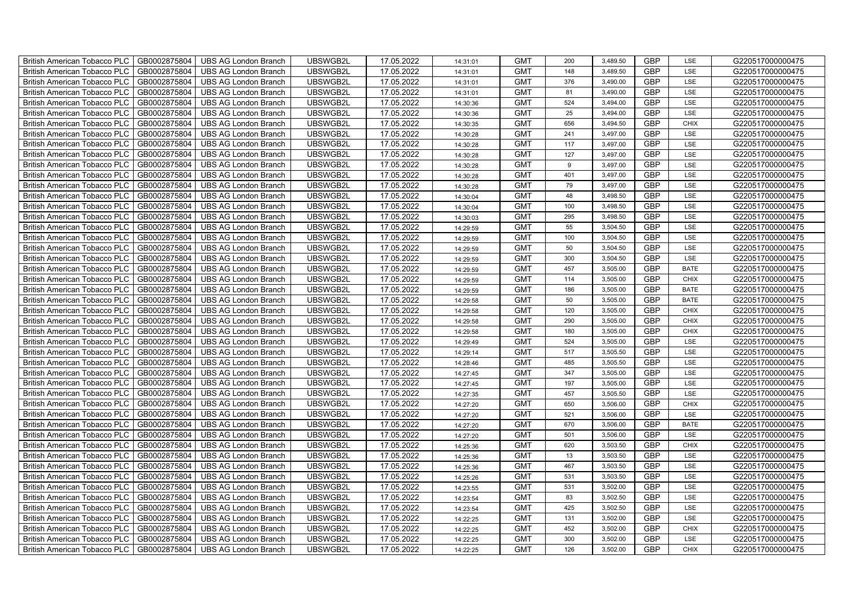| British American Tobacco PLC        | GB0002875804 | <b>UBS AG London Branch</b> | UBSWGB2L | 17.05.2022 | 14:31:01 | <b>GMT</b> | 200 | 3,489.50 | <b>GBP</b> | LSE         | G220517000000475 |
|-------------------------------------|--------------|-----------------------------|----------|------------|----------|------------|-----|----------|------------|-------------|------------------|
| <b>British American Tobacco PLC</b> | GB0002875804 | <b>UBS AG London Branch</b> | UBSWGB2L | 17.05.2022 | 14:31:01 | <b>GMT</b> | 148 | 3,489.50 | <b>GBP</b> | <b>LSE</b>  | G220517000000475 |
| <b>British American Tobacco PLC</b> | GB0002875804 | <b>UBS AG London Branch</b> | UBSWGB2L | 17.05.2022 | 14:31:01 | <b>GMT</b> | 376 | 3,490.00 | <b>GBP</b> | LSE         | G220517000000475 |
| British American Tobacco PLC        | GB0002875804 | <b>UBS AG London Branch</b> | UBSWGB2L | 17.05.2022 | 14:31:01 | <b>GMT</b> | 81  | 3,490.00 | <b>GBP</b> | LSE         | G220517000000475 |
| <b>British American Tobacco PLC</b> | GB0002875804 | <b>UBS AG London Branch</b> | UBSWGB2L | 17.05.2022 | 14:30:36 | <b>GMT</b> | 524 | 3,494.00 | <b>GBP</b> | LSE         | G220517000000475 |
| British American Tobacco PLC        | GB0002875804 | <b>UBS AG London Branch</b> | UBSWGB2L | 17.05.2022 | 14:30:36 | <b>GMT</b> | 25  | 3,494.00 | <b>GBP</b> | LSE         | G220517000000475 |
| <b>British American Tobacco PLC</b> | GB0002875804 | <b>UBS AG London Branch</b> | UBSWGB2L | 17.05.2022 | 14:30:35 | <b>GMT</b> | 656 | 3,494.50 | <b>GBP</b> | <b>CHIX</b> | G220517000000475 |
| British American Tobacco PLC        | GB0002875804 | <b>UBS AG London Branch</b> | UBSWGB2L | 17.05.2022 | 14:30:28 | <b>GMT</b> | 241 | 3,497.00 | <b>GBP</b> | LSE         | G220517000000475 |
| <b>British American Tobacco PLC</b> | GB0002875804 | <b>UBS AG London Branch</b> | UBSWGB2L | 17.05.2022 | 14:30:28 | <b>GMT</b> | 117 | 3,497.00 | <b>GBP</b> | LSE         | G220517000000475 |
| British American Tobacco PLC        | GB0002875804 | <b>UBS AG London Branch</b> | UBSWGB2L | 17.05.2022 | 14:30:28 | <b>GMT</b> | 127 | 3,497.00 | <b>GBP</b> | LSE         | G220517000000475 |
| <b>British American Tobacco PLC</b> | GB0002875804 | <b>UBS AG London Branch</b> | UBSWGB2L | 17.05.2022 | 14:30:28 | <b>GMT</b> | 9   | 3,497.00 | <b>GBP</b> | LSE         | G220517000000475 |
| <b>British American Tobacco PLC</b> | GB0002875804 | <b>UBS AG London Branch</b> | UBSWGB2L | 17.05.2022 | 14:30:28 | <b>GMT</b> | 401 | 3,497.00 | <b>GBP</b> | LSE         | G220517000000475 |
| British American Tobacco PLC        | GB0002875804 | <b>UBS AG London Branch</b> | UBSWGB2L | 17.05.2022 | 14:30:28 | <b>GMT</b> | 79  | 3,497.00 | <b>GBP</b> | LSE         | G220517000000475 |
| British American Tobacco PLC        | GB0002875804 | <b>UBS AG London Branch</b> | UBSWGB2L | 17.05.2022 | 14:30:04 | <b>GMT</b> | 48  | 3,498.50 | <b>GBP</b> | LSE         | G220517000000475 |
| British American Tobacco PLC        | GB0002875804 | <b>UBS AG London Branch</b> | UBSWGB2L | 17.05.2022 | 14:30:04 | <b>GMT</b> | 100 | 3,498.50 | <b>GBP</b> | LSE         | G220517000000475 |
| British American Tobacco PLC        | GB0002875804 | <b>UBS AG London Branch</b> | UBSWGB2L | 17.05.2022 | 14:30:03 | <b>GMT</b> | 295 | 3,498.50 | <b>GBP</b> | LSE         | G220517000000475 |
| British American Tobacco PLC        | GB0002875804 | <b>UBS AG London Branch</b> | UBSWGB2L | 17.05.2022 | 14:29:59 | <b>GMT</b> | 55  | 3,504.50 | <b>GBP</b> | LSE         | G220517000000475 |
| British American Tobacco PLC        | GB0002875804 | <b>UBS AG London Branch</b> | UBSWGB2L | 17.05.2022 | 14:29:59 | <b>GMT</b> | 100 | 3,504.50 | <b>GBP</b> | LSE         | G220517000000475 |
| British American Tobacco PLC        | GB0002875804 | <b>UBS AG London Branch</b> | UBSWGB2L | 17.05.2022 | 14:29:59 | <b>GMT</b> | 50  | 3,504.50 | <b>GBP</b> | LSE         | G220517000000475 |
| <b>British American Tobacco PLC</b> | GB0002875804 | <b>UBS AG London Branch</b> | UBSWGB2L | 17.05.2022 | 14:29:59 | <b>GMT</b> | 300 | 3,504.50 | <b>GBP</b> | LSE         | G220517000000475 |
| <b>British American Tobacco PLC</b> | GB0002875804 | <b>UBS AG London Branch</b> | UBSWGB2L | 17.05.2022 | 14:29:59 | <b>GMT</b> | 457 | 3,505.00 | <b>GBP</b> | <b>BATE</b> | G220517000000475 |
| British American Tobacco PLC        | GB0002875804 | <b>UBS AG London Branch</b> | UBSWGB2L | 17.05.2022 | 14:29:59 | <b>GMT</b> | 114 | 3,505.00 | GBP        | CHIX        | G220517000000475 |
| British American Tobacco PLC        | GB0002875804 | <b>UBS AG London Branch</b> | UBSWGB2L | 17.05.2022 | 14:29:59 | <b>GMT</b> | 186 | 3,505.00 | GBP        | <b>BATE</b> | G220517000000475 |
| British American Tobacco PLC        | GB0002875804 | <b>UBS AG London Branch</b> | UBSWGB2L | 17.05.2022 | 14:29:58 | <b>GMT</b> | 50  | 3,505.00 | <b>GBP</b> | <b>BATE</b> | G220517000000475 |
| British American Tobacco PLC        | GB0002875804 | <b>UBS AG London Branch</b> | UBSWGB2L | 17.05.2022 | 14:29:58 | <b>GMT</b> | 120 | 3,505.00 | <b>GBP</b> | <b>CHIX</b> | G220517000000475 |
| British American Tobacco PLC        | GB0002875804 | <b>UBS AG London Branch</b> | UBSWGB2L | 17.05.2022 | 14:29:58 | <b>GMT</b> | 290 | 3,505.00 | <b>GBP</b> | <b>CHIX</b> | G220517000000475 |
| British American Tobacco PLC        | GB0002875804 | <b>UBS AG London Branch</b> | UBSWGB2L | 17.05.2022 | 14:29:58 | <b>GMT</b> | 180 | 3,505.00 | <b>GBP</b> | CHIX        | G220517000000475 |
| British American Tobacco PLC        | GB0002875804 | <b>UBS AG London Branch</b> | UBSWGB2L | 17.05.2022 | 14:29:49 | <b>GMT</b> | 524 | 3,505.00 | <b>GBP</b> | LSE         | G220517000000475 |
| <b>British American Tobacco PLC</b> | GB0002875804 | <b>UBS AG London Branch</b> | UBSWGB2L | 17.05.2022 | 14:29:14 | <b>GMT</b> | 517 | 3,505.50 | <b>GBP</b> | LSE         | G220517000000475 |
| <b>British American Tobacco PLC</b> | GB0002875804 | <b>UBS AG London Branch</b> | UBSWGB2L | 17.05.2022 | 14:28:46 | <b>GMT</b> | 485 | 3,505.50 | <b>GBP</b> | LSE         | G220517000000475 |
| British American Tobacco PLC        | GB0002875804 | <b>UBS AG London Branch</b> | UBSWGB2L | 17.05.2022 | 14:27:45 | <b>GMT</b> | 347 | 3,505.00 | <b>GBP</b> | LSE         | G220517000000475 |
| British American Tobacco PLC        | GB0002875804 | <b>UBS AG London Branch</b> | UBSWGB2L | 17.05.2022 | 14:27:45 | <b>GMT</b> | 197 | 3,505.00 | <b>GBP</b> | LSE         | G220517000000475 |
| British American Tobacco PLC        | GB0002875804 | <b>UBS AG London Branch</b> | UBSWGB2L | 17.05.2022 | 14:27:35 | <b>GMT</b> | 457 | 3,505.50 | <b>GBP</b> | LSE         | G220517000000475 |
| British American Tobacco PLC        | GB0002875804 | <b>UBS AG London Branch</b> | UBSWGB2L | 17.05.2022 | 14:27:20 | <b>GMT</b> | 650 | 3,506.00 | <b>GBP</b> | CHIX        | G220517000000475 |
| British American Tobacco PLC        | GB0002875804 | <b>UBS AG London Branch</b> | UBSWGB2L | 17.05.2022 | 14:27:20 | <b>GMT</b> | 521 | 3,506.00 | <b>GBP</b> | LSE         | G220517000000475 |
| British American Tobacco PLC        | GB0002875804 | <b>UBS AG London Branch</b> | UBSWGB2L | 17.05.2022 | 14:27:20 | <b>GMT</b> | 670 | 3,506.00 | <b>GBP</b> | <b>BATE</b> | G220517000000475 |
| British American Tobacco PLC        | GB0002875804 | <b>UBS AG London Branch</b> | UBSWGB2L | 17.05.2022 | 14:27:20 | <b>GMT</b> | 501 | 3,506.00 | <b>GBP</b> | LSE         | G220517000000475 |
| <b>British American Tobacco PLC</b> | GB0002875804 | <b>UBS AG London Branch</b> | UBSWGB2L | 17.05.2022 | 14:25:36 | <b>GMT</b> | 620 | 3,503.50 | <b>GBP</b> | <b>CHIX</b> | G220517000000475 |
| British American Tobacco PLC        | GB0002875804 | <b>UBS AG London Branch</b> | UBSWGB2L | 17.05.2022 | 14:25:36 | <b>GMT</b> | 13  | 3,503.50 | <b>GBP</b> | LSE         | G220517000000475 |
| <b>British American Tobacco PLC</b> | GB0002875804 | <b>UBS AG London Branch</b> | UBSWGB2L | 17.05.2022 | 14:25:36 | <b>GMT</b> | 467 | 3,503.50 | <b>GBP</b> | LSE         | G220517000000475 |
| British American Tobacco PLC        | GB0002875804 | UBS AG London Branch        | UBSWGB2L | 17.05.2022 | 14:25:26 | <b>GMT</b> | 531 | 3,503.50 | GBP        | LSE         | G220517000000475 |
| British American Tobacco PLC        | GB0002875804 | <b>UBS AG London Branch</b> | UBSWGB2L | 17.05.2022 | 14:23:55 | <b>GMT</b> | 531 | 3,502.00 | <b>GBP</b> | LSE         | G220517000000475 |
| British American Tobacco PLC        | GB0002875804 | <b>UBS AG London Branch</b> | UBSWGB2L | 17.05.2022 | 14:23:54 | <b>GMT</b> | 83  | 3,502.50 | <b>GBP</b> | LSE         | G220517000000475 |
| <b>British American Tobacco PLC</b> | GB0002875804 | <b>UBS AG London Branch</b> | UBSWGB2L | 17.05.2022 | 14:23:54 | <b>GMT</b> | 425 | 3,502.50 | <b>GBP</b> | LSE         | G220517000000475 |
| <b>British American Tobacco PLC</b> | GB0002875804 | <b>UBS AG London Branch</b> | UBSWGB2L | 17.05.2022 | 14:22:25 | <b>GMT</b> | 131 | 3,502.00 | <b>GBP</b> | LSE         | G220517000000475 |
| <b>British American Tobacco PLC</b> | GB0002875804 | <b>UBS AG London Branch</b> | UBSWGB2L | 17.05.2022 | 14:22:25 | <b>GMT</b> | 452 | 3,502.00 | <b>GBP</b> | <b>CHIX</b> | G220517000000475 |
| British American Tobacco PLC        | GB0002875804 | <b>UBS AG London Branch</b> | UBSWGB2L | 17.05.2022 | 14:22:25 | <b>GMT</b> | 300 | 3,502.00 | <b>GBP</b> | LSE         | G220517000000475 |
| British American Tobacco PLC        | GB0002875804 | UBS AG London Branch        | UBSWGB2L | 17.05.2022 | 14:22:25 | <b>GMT</b> | 126 | 3,502.00 | <b>GBP</b> | <b>CHIX</b> | G220517000000475 |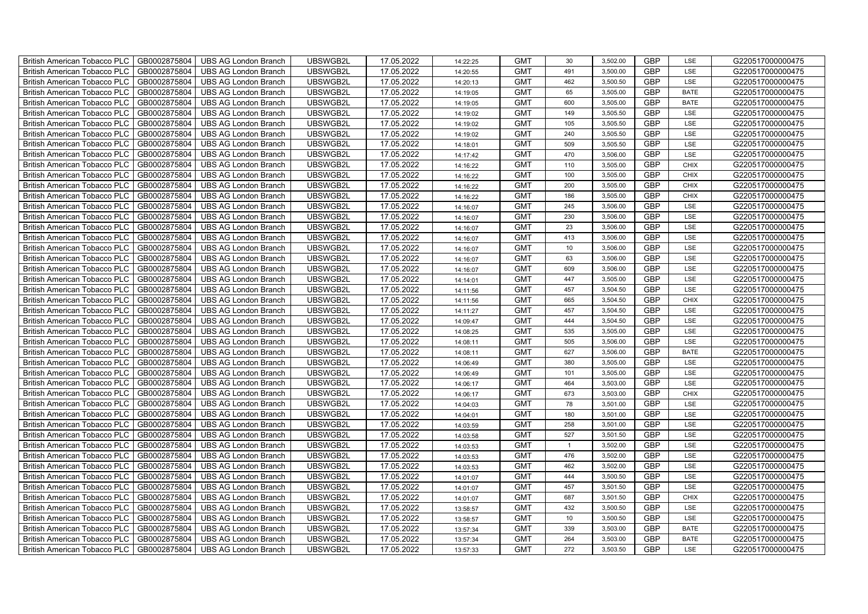| British American Tobacco PLC        | GB0002875804 | <b>UBS AG London Branch</b> | UBSWGB2L | 17.05.2022 | 14:22:25 | <b>GMT</b> | 30               | 3,502.00 | <b>GBP</b> | LSE         | G220517000000475 |
|-------------------------------------|--------------|-----------------------------|----------|------------|----------|------------|------------------|----------|------------|-------------|------------------|
| <b>British American Tobacco PLC</b> | GB0002875804 | <b>UBS AG London Branch</b> | UBSWGB2L | 17.05.2022 | 14:20:55 | <b>GMT</b> | 491              | 3,500.00 | <b>GBP</b> | <b>LSE</b>  | G220517000000475 |
| <b>British American Tobacco PLC</b> | GB0002875804 | <b>UBS AG London Branch</b> | UBSWGB2L | 17.05.2022 | 14:20:13 | <b>GMT</b> | 462              | 3,500.50 | <b>GBP</b> | LSE         | G220517000000475 |
| British American Tobacco PLC        | GB0002875804 | <b>UBS AG London Branch</b> | UBSWGB2L | 17.05.2022 | 14:19:05 | <b>GMT</b> | 65               | 3,505.00 | <b>GBP</b> | <b>BATE</b> | G220517000000475 |
| <b>British American Tobacco PLC</b> | GB0002875804 | <b>UBS AG London Branch</b> | UBSWGB2L | 17.05.2022 | 14:19:05 | <b>GMT</b> | 600              | 3,505.00 | <b>GBP</b> | <b>BATE</b> | G220517000000475 |
| British American Tobacco PLC        | GB0002875804 | <b>UBS AG London Branch</b> | UBSWGB2L | 17.05.2022 | 14:19:02 | <b>GMT</b> | 149              | 3,505.50 | <b>GBP</b> | LSE         | G220517000000475 |
| <b>British American Tobacco PLC</b> | GB0002875804 | <b>UBS AG London Branch</b> | UBSWGB2L | 17.05.2022 | 14:19:02 | <b>GMT</b> | 105              | 3,505.50 | <b>GBP</b> | LSE         | G220517000000475 |
| British American Tobacco PLC        | GB0002875804 | <b>UBS AG London Branch</b> | UBSWGB2L | 17.05.2022 | 14:19:02 | <b>GMT</b> | 240              | 3,505.50 | <b>GBP</b> | LSE         | G220517000000475 |
| <b>British American Tobacco PLC</b> | GB0002875804 | <b>UBS AG London Branch</b> | UBSWGB2L | 17.05.2022 | 14:18:01 | <b>GMT</b> | 509              | 3,505.50 | <b>GBP</b> | LSE         | G220517000000475 |
| British American Tobacco PLC        | GB0002875804 | <b>UBS AG London Branch</b> | UBSWGB2L | 17.05.2022 | 14:17:42 | <b>GMT</b> | 470              | 3,506.00 | <b>GBP</b> | LSE         | G220517000000475 |
| <b>British American Tobacco PLC</b> | GB0002875804 | <b>UBS AG London Branch</b> | UBSWGB2L | 17.05.2022 | 14:16:22 | <b>GMT</b> | 110              | 3,505.00 | <b>GBP</b> | <b>CHIX</b> | G220517000000475 |
| <b>British American Tobacco PLC</b> | GB0002875804 | <b>UBS AG London Branch</b> | UBSWGB2L | 17.05.2022 | 14:16:22 | <b>GMT</b> | 100              | 3,505.00 | <b>GBP</b> | <b>CHIX</b> | G220517000000475 |
| British American Tobacco PLC        | GB0002875804 | <b>UBS AG London Branch</b> | UBSWGB2L | 17.05.2022 | 14:16:22 | <b>GMT</b> | 200              | 3,505.00 | <b>GBP</b> | <b>CHIX</b> | G220517000000475 |
| British American Tobacco PLC        | GB0002875804 | <b>UBS AG London Branch</b> | UBSWGB2L | 17.05.2022 | 14:16:22 | <b>GMT</b> | 186              | 3,505.00 | <b>GBP</b> | <b>CHIX</b> | G220517000000475 |
| British American Tobacco PLC        | GB0002875804 | <b>UBS AG London Branch</b> | UBSWGB2L | 17.05.2022 | 14:16:07 | <b>GMT</b> | 245              | 3,506.00 | <b>GBP</b> | LSE         | G220517000000475 |
| British American Tobacco PLC        | GB0002875804 | <b>UBS AG London Branch</b> | UBSWGB2L | 17.05.2022 | 14:16:07 | <b>GMT</b> | 230              | 3,506.00 | <b>GBP</b> | LSE         | G220517000000475 |
| British American Tobacco PLC        | GB0002875804 | <b>UBS AG London Branch</b> | UBSWGB2L | 17.05.2022 | 14:16:07 | <b>GMT</b> | 23               | 3,506.00 | <b>GBP</b> | LSE         | G220517000000475 |
| British American Tobacco PLC        | GB0002875804 | <b>UBS AG London Branch</b> | UBSWGB2L | 17.05.2022 | 14:16:07 | <b>GMT</b> | 413              | 3,506.00 | <b>GBP</b> | LSE         | G220517000000475 |
| British American Tobacco PLC        | GB0002875804 | <b>UBS AG London Branch</b> | UBSWGB2L | 17.05.2022 | 14:16:07 | <b>GMT</b> | 10 <sup>10</sup> | 3,506.00 | <b>GBP</b> | LSE         | G220517000000475 |
| <b>British American Tobacco PLC</b> | GB0002875804 | <b>UBS AG London Branch</b> | UBSWGB2L | 17.05.2022 | 14:16:07 | <b>GMT</b> | 63               | 3,506.00 | GBP        | LSE         | G220517000000475 |
| <b>British American Tobacco PLC</b> | GB0002875804 | <b>UBS AG London Branch</b> | UBSWGB2L | 17.05.2022 | 14:16:07 | <b>GMT</b> | 609              | 3,506.00 | <b>GBP</b> | <b>LSE</b>  | G220517000000475 |
| British American Tobacco PLC        | GB0002875804 | <b>UBS AG London Branch</b> | UBSWGB2L | 17.05.2022 | 14:14:01 | <b>GMT</b> | 447              | 3,505.00 | GBP        | LSE         | G220517000000475 |
| British American Tobacco PLC        | GB0002875804 | <b>UBS AG London Branch</b> | UBSWGB2L | 17.05.2022 | 14:11:56 | <b>GMT</b> | 457              | 3,504.50 | GBP        | LSE         | G220517000000475 |
| British American Tobacco PLC        | GB0002875804 | <b>UBS AG London Branch</b> | UBSWGB2L | 17.05.2022 | 14:11:56 | <b>GMT</b> | 665              | 3,504.50 | <b>GBP</b> | CHIX        | G220517000000475 |
| British American Tobacco PLC        | GB0002875804 | <b>UBS AG London Branch</b> | UBSWGB2L | 17.05.2022 | 14:11:27 | <b>GMT</b> | 457              | 3,504.50 | <b>GBP</b> | LSE         | G220517000000475 |
| British American Tobacco PLC        | GB0002875804 | <b>UBS AG London Branch</b> | UBSWGB2L | 17.05.2022 | 14:09:47 | <b>GMT</b> | 444              | 3,504.50 | <b>GBP</b> | LSE         | G220517000000475 |
| British American Tobacco PLC        | GB0002875804 | <b>UBS AG London Branch</b> | UBSWGB2L | 17.05.2022 | 14:08:25 | <b>GMT</b> | 535              | 3,505.00 | <b>GBP</b> | LSE         | G220517000000475 |
| British American Tobacco PLC        | GB0002875804 | <b>UBS AG London Branch</b> | UBSWGB2L | 17.05.2022 | 14:08:11 | <b>GMT</b> | 505              | 3,506.00 | <b>GBP</b> | LSE         | G220517000000475 |
| <b>British American Tobacco PLC</b> | GB0002875804 | <b>UBS AG London Branch</b> | UBSWGB2L | 17.05.2022 | 14:08:11 | <b>GMT</b> | 627              | 3,506.00 | <b>GBP</b> | <b>BATE</b> | G220517000000475 |
| <b>British American Tobacco PLC</b> | GB0002875804 | <b>UBS AG London Branch</b> | UBSWGB2L | 17.05.2022 | 14:06:49 | <b>GMT</b> | 380              | 3,505.00 | <b>GBP</b> | LSE         | G220517000000475 |
| British American Tobacco PLC        | GB0002875804 | <b>UBS AG London Branch</b> | UBSWGB2L | 17.05.2022 | 14:06:49 | <b>GMT</b> | 101              | 3,505.00 | <b>GBP</b> | LSE         | G220517000000475 |
| British American Tobacco PLC        | GB0002875804 | <b>UBS AG London Branch</b> | UBSWGB2L | 17.05.2022 | 14:06:17 | <b>GMT</b> | 464              | 3,503.00 | <b>GBP</b> | LSE         | G220517000000475 |
| British American Tobacco PLC        | GB0002875804 | <b>UBS AG London Branch</b> | UBSWGB2L | 17.05.2022 | 14:06:17 | <b>GMT</b> | 673              | 3,503.00 | <b>GBP</b> | CHIX        | G220517000000475 |
| British American Tobacco PLC        | GB0002875804 | <b>UBS AG London Branch</b> | UBSWGB2L | 17.05.2022 | 14:04:03 | <b>GMT</b> | 78               | 3,501.00 | <b>GBP</b> | LSE         | G220517000000475 |
| British American Tobacco PLC        | GB0002875804 | <b>UBS AG London Branch</b> | UBSWGB2L | 17.05.2022 | 14:04:01 | <b>GMT</b> | 180              | 3,501.00 | <b>GBP</b> | LSE         | G220517000000475 |
| British American Tobacco PLC        | GB0002875804 | <b>UBS AG London Branch</b> | UBSWGB2L | 17.05.2022 | 14:03:59 | <b>GMT</b> | 258              | 3,501.00 | <b>GBP</b> | LSE         | G220517000000475 |
| British American Tobacco PLC        | GB0002875804 | <b>UBS AG London Branch</b> | UBSWGB2L | 17.05.2022 | 14:03:58 | <b>GMT</b> | 527              | 3,501.50 | <b>GBP</b> | LSE         | G220517000000475 |
| <b>British American Tobacco PLC</b> | GB0002875804 | <b>UBS AG London Branch</b> | UBSWGB2L | 17.05.2022 | 14:03:53 | <b>GMT</b> | $\overline{1}$   | 3,502.00 | <b>GBP</b> | LSE         | G220517000000475 |
| British American Tobacco PLC        | GB0002875804 | <b>UBS AG London Branch</b> | UBSWGB2L | 17.05.2022 | 14:03:53 | <b>GMT</b> | 476              | 3,502.00 | <b>GBP</b> | LSE         | G220517000000475 |
| British American Tobacco PLC        | GB0002875804 | <b>UBS AG London Branch</b> | UBSWGB2L | 17.05.2022 | 14:03:53 | <b>GMT</b> | 462              | 3,502.00 | <b>GBP</b> | LSE         | G220517000000475 |
| British American Tobacco PLC        | GB0002875804 | UBS AG London Branch        | UBSWGB2L | 17.05.2022 | 14:01:07 | <b>GMT</b> | 444              | 3,500.50 | <b>GBP</b> | LSE         | G220517000000475 |
| British American Tobacco PLC        | GB0002875804 | <b>UBS AG London Branch</b> | UBSWGB2L | 17.05.2022 | 14:01:07 | <b>GMT</b> | 457              | 3,501.50 | <b>GBP</b> | LSE         | G220517000000475 |
| British American Tobacco PLC        | GB0002875804 | <b>UBS AG London Branch</b> | UBSWGB2L | 17.05.2022 | 14:01:07 | <b>GMT</b> | 687              | 3,501.50 | <b>GBP</b> | <b>CHIX</b> | G220517000000475 |
| British American Tobacco PLC        | GB0002875804 | <b>UBS AG London Branch</b> | UBSWGB2L | 17.05.2022 | 13:58:57 | <b>GMT</b> | 432              | 3,500.50 | <b>GBP</b> | LSE         | G220517000000475 |
| <b>British American Tobacco PLC</b> | GB0002875804 | <b>UBS AG London Branch</b> | UBSWGB2L | 17.05.2022 | 13:58:57 | <b>GMT</b> | $10$             | 3,500.50 | <b>GBP</b> | LSE         | G220517000000475 |
| <b>British American Tobacco PLC</b> | GB0002875804 | <b>UBS AG London Branch</b> | UBSWGB2L | 17.05.2022 | 13:57:34 | <b>GMT</b> | 339              | 3,503.00 | <b>GBP</b> | <b>BATE</b> | G220517000000475 |
| British American Tobacco PLC        | GB0002875804 | <b>UBS AG London Branch</b> | UBSWGB2L | 17.05.2022 | 13:57:34 | <b>GMT</b> | 264              | 3,503.00 | <b>GBP</b> | <b>BATE</b> | G220517000000475 |
| British American Tobacco PLC        | GB0002875804 | UBS AG London Branch        | UBSWGB2L | 17.05.2022 | 13:57:33 | <b>GMT</b> | 272              | 3,503.50 | <b>GBP</b> | LSE         | G220517000000475 |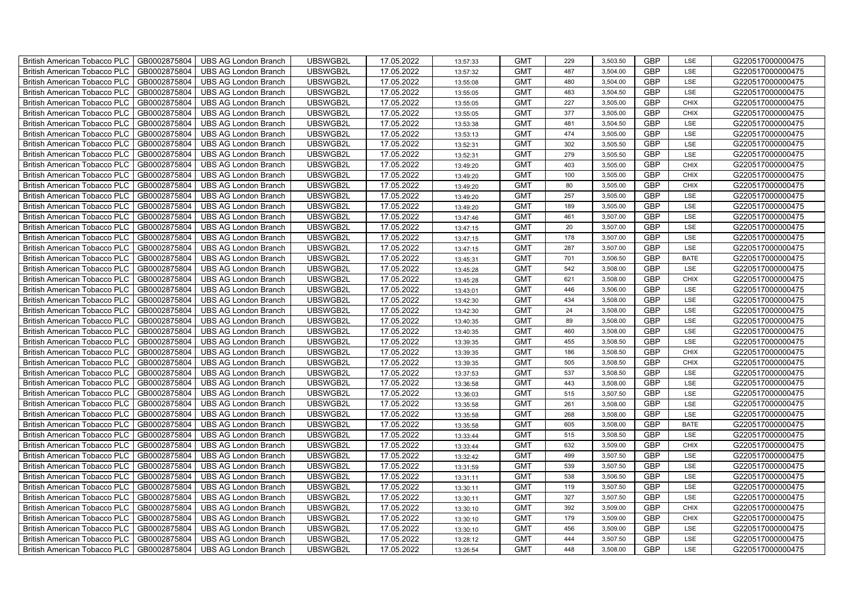| British American Tobacco PLC        | GB0002875804 | <b>UBS AG London Branch</b> | UBSWGB2L | 17.05.2022 | 13:57:33 | <b>GMT</b> | 229 | 3,503.50 | <b>GBP</b> | LSE         | G220517000000475 |
|-------------------------------------|--------------|-----------------------------|----------|------------|----------|------------|-----|----------|------------|-------------|------------------|
| <b>British American Tobacco PLC</b> | GB0002875804 | <b>UBS AG London Branch</b> | UBSWGB2L | 17.05.2022 | 13:57:32 | <b>GMT</b> | 487 | 3,504.00 | <b>GBP</b> | <b>LSE</b>  | G220517000000475 |
| <b>British American Tobacco PLC</b> | GB0002875804 | <b>UBS AG London Branch</b> | UBSWGB2L | 17.05.2022 | 13:55:08 | <b>GMT</b> | 480 | 3,504.00 | <b>GBP</b> | LSE         | G220517000000475 |
| British American Tobacco PLC        | GB0002875804 | <b>UBS AG London Branch</b> | UBSWGB2L | 17.05.2022 | 13:55:05 | <b>GMT</b> | 483 | 3,504.50 | <b>GBP</b> | LSE         | G220517000000475 |
| <b>British American Tobacco PLC</b> | GB0002875804 | <b>UBS AG London Branch</b> | UBSWGB2L | 17.05.2022 | 13:55:05 | <b>GMT</b> | 227 | 3,505.00 | <b>GBP</b> | <b>CHIX</b> | G220517000000475 |
| British American Tobacco PLC        | GB0002875804 | <b>UBS AG London Branch</b> | UBSWGB2L | 17.05.2022 | 13:55:05 | <b>GMT</b> | 377 | 3,505.00 | <b>GBP</b> | <b>CHIX</b> | G220517000000475 |
| <b>British American Tobacco PLC</b> | GB0002875804 | <b>UBS AG London Branch</b> | UBSWGB2L | 17.05.2022 | 13:53:38 | <b>GMT</b> | 481 | 3,504.50 | <b>GBP</b> | LSE         | G220517000000475 |
| British American Tobacco PLC        | GB0002875804 | <b>UBS AG London Branch</b> | UBSWGB2L | 17.05.2022 | 13:53:13 | <b>GMT</b> | 474 | 3,505.00 | <b>GBP</b> | LSE         | G220517000000475 |
| <b>British American Tobacco PLC</b> | GB0002875804 | <b>UBS AG London Branch</b> | UBSWGB2L | 17.05.2022 | 13:52:31 | <b>GMT</b> | 302 | 3,505.50 | <b>GBP</b> | LSE         | G220517000000475 |
| British American Tobacco PLC        | GB0002875804 | <b>UBS AG London Branch</b> | UBSWGB2L | 17.05.2022 | 13:52:31 | <b>GMT</b> | 279 | 3,505.50 | <b>GBP</b> | LSE         | G220517000000475 |
| <b>British American Tobacco PLC</b> | GB0002875804 | <b>UBS AG London Branch</b> | UBSWGB2L | 17.05.2022 | 13:49:20 | <b>GMT</b> | 403 | 3,505.00 | <b>GBP</b> | <b>CHIX</b> | G220517000000475 |
| <b>British American Tobacco PLC</b> | GB0002875804 | <b>UBS AG London Branch</b> | UBSWGB2L | 17.05.2022 | 13:49:20 | <b>GMT</b> | 100 | 3,505.00 | <b>GBP</b> | <b>CHIX</b> | G220517000000475 |
| British American Tobacco PLC        | GB0002875804 | <b>UBS AG London Branch</b> | UBSWGB2L | 17.05.2022 | 13:49:20 | <b>GMT</b> | 80  | 3,505.00 | <b>GBP</b> | <b>CHIX</b> | G220517000000475 |
| British American Tobacco PLC        | GB0002875804 | <b>UBS AG London Branch</b> | UBSWGB2L | 17.05.2022 | 13:49:20 | <b>GMT</b> | 257 | 3,505.00 | <b>GBP</b> | LSE         | G220517000000475 |
| British American Tobacco PLC        | GB0002875804 | <b>UBS AG London Branch</b> | UBSWGB2L | 17.05.2022 | 13:49:20 | <b>GMT</b> | 189 | 3,505.00 | <b>GBP</b> | LSE         | G220517000000475 |
| British American Tobacco PLC        | GB0002875804 | <b>UBS AG London Branch</b> | UBSWGB2L | 17.05.2022 | 13:47:46 | <b>GMT</b> | 461 | 3,507.00 | <b>GBP</b> | LSE         | G220517000000475 |
| British American Tobacco PLC        | GB0002875804 | <b>UBS AG London Branch</b> | UBSWGB2L | 17.05.2022 | 13:47:15 | <b>GMT</b> | 20  | 3,507.00 | <b>GBP</b> | LSE         | G220517000000475 |
| British American Tobacco PLC        | GB0002875804 | <b>UBS AG London Branch</b> | UBSWGB2L | 17.05.2022 | 13:47:15 | <b>GMT</b> | 178 | 3,507.00 | <b>GBP</b> | LSE         | G220517000000475 |
| British American Tobacco PLC        | GB0002875804 | <b>UBS AG London Branch</b> | UBSWGB2L | 17.05.2022 | 13:47:15 | <b>GMT</b> | 287 | 3,507.00 | <b>GBP</b> | LSE         | G220517000000475 |
| <b>British American Tobacco PLC</b> | GB0002875804 | <b>UBS AG London Branch</b> | UBSWGB2L | 17.05.2022 | 13:45:31 | <b>GMT</b> | 701 | 3,506.50 | <b>GBP</b> | <b>BATE</b> | G220517000000475 |
| <b>British American Tobacco PLC</b> | GB0002875804 | <b>UBS AG London Branch</b> | UBSWGB2L | 17.05.2022 | 13:45:28 | <b>GMT</b> | 542 | 3,508.00 | <b>GBP</b> | <b>LSE</b>  | G220517000000475 |
| British American Tobacco PLC        | GB0002875804 | <b>UBS AG London Branch</b> | UBSWGB2L | 17.05.2022 | 13:45:28 | <b>GMT</b> | 621 | 3,508.00 | GBP        | CHIX        | G220517000000475 |
| British American Tobacco PLC        | GB0002875804 | <b>UBS AG London Branch</b> | UBSWGB2L | 17.05.2022 | 13:43:01 | <b>GMT</b> | 446 | 3,506.00 | GBP        | LSE         | G220517000000475 |
| British American Tobacco PLC        | GB0002875804 | <b>UBS AG London Branch</b> | UBSWGB2L | 17.05.2022 | 13:42:30 | <b>GMT</b> | 434 | 3,508.00 | <b>GBP</b> | LSE         | G220517000000475 |
| British American Tobacco PLC        | GB0002875804 | <b>UBS AG London Branch</b> | UBSWGB2L | 17.05.2022 | 13:42:30 | <b>GMT</b> | 24  | 3,508.00 | <b>GBP</b> | LSE         | G220517000000475 |
| British American Tobacco PLC        | GB0002875804 | <b>UBS AG London Branch</b> | UBSWGB2L | 17.05.2022 | 13:40:35 | <b>GMT</b> | 89  | 3,508.00 | <b>GBP</b> | LSE         | G220517000000475 |
| British American Tobacco PLC        | GB0002875804 | <b>UBS AG London Branch</b> | UBSWGB2L | 17.05.2022 | 13:40:35 | <b>GMT</b> | 460 | 3,508.00 | <b>GBP</b> | LSE         | G220517000000475 |
| British American Tobacco PLC        | GB0002875804 | <b>UBS AG London Branch</b> | UBSWGB2L | 17.05.2022 | 13:39:35 | <b>GMT</b> | 455 | 3,508.50 | <b>GBP</b> | LSE         | G220517000000475 |
| <b>British American Tobacco PLC</b> | GB0002875804 | <b>UBS AG London Branch</b> | UBSWGB2L | 17.05.2022 | 13:39:35 | <b>GMT</b> | 186 | 3,508.50 | <b>GBP</b> | CHIX        | G220517000000475 |
| <b>British American Tobacco PLC</b> | GB0002875804 | <b>UBS AG London Branch</b> | UBSWGB2L | 17.05.2022 | 13:39:35 | <b>GMT</b> | 505 | 3,508.50 | <b>GBP</b> | <b>CHIX</b> | G220517000000475 |
| British American Tobacco PLC        | GB0002875804 | <b>UBS AG London Branch</b> | UBSWGB2L | 17.05.2022 | 13:37:53 | <b>GMT</b> | 537 | 3,508.50 | <b>GBP</b> | LSE         | G220517000000475 |
| British American Tobacco PLC        | GB0002875804 | <b>UBS AG London Branch</b> | UBSWGB2L | 17.05.2022 | 13:36:58 | <b>GMT</b> | 443 | 3,508.00 | <b>GBP</b> | LSE         | G220517000000475 |
| British American Tobacco PLC        | GB0002875804 | <b>UBS AG London Branch</b> | UBSWGB2L | 17.05.2022 | 13:36:03 | <b>GMT</b> | 515 | 3,507.50 | <b>GBP</b> | LSE         | G220517000000475 |
| British American Tobacco PLC        | GB0002875804 | <b>UBS AG London Branch</b> | UBSWGB2L | 17.05.2022 | 13:35:58 | <b>GMT</b> | 261 | 3,508.00 | <b>GBP</b> | LSE         | G220517000000475 |
| British American Tobacco PLC        | GB0002875804 | <b>UBS AG London Branch</b> | UBSWGB2L | 17.05.2022 | 13:35:58 | <b>GMT</b> | 268 | 3,508.00 | <b>GBP</b> | LSE         | G220517000000475 |
| British American Tobacco PLC        | GB0002875804 | <b>UBS AG London Branch</b> | UBSWGB2L | 17.05.2022 | 13:35:58 | <b>GMT</b> | 605 | 3,508.00 | <b>GBP</b> | <b>BATE</b> | G220517000000475 |
| British American Tobacco PLC        | GB0002875804 | <b>UBS AG London Branch</b> | UBSWGB2L | 17.05.2022 | 13:33:44 | <b>GMT</b> | 515 | 3,508.50 | <b>GBP</b> | LSE         | G220517000000475 |
| <b>British American Tobacco PLC</b> | GB0002875804 | <b>UBS AG London Branch</b> | UBSWGB2L | 17.05.2022 | 13:33:44 | <b>GMT</b> | 632 | 3,509.00 | <b>GBP</b> | <b>CHIX</b> | G220517000000475 |
| British American Tobacco PLC        | GB0002875804 | <b>UBS AG London Branch</b> | UBSWGB2L | 17.05.2022 | 13:32:42 | <b>GMT</b> | 499 | 3,507.50 | <b>GBP</b> | LSE         | G220517000000475 |
| <b>British American Tobacco PLC</b> | GB0002875804 | <b>UBS AG London Branch</b> | UBSWGB2L | 17.05.2022 | 13:31:59 | <b>GMT</b> | 539 | 3,507.50 | <b>GBP</b> | LSE         | G220517000000475 |
| British American Tobacco PLC        | GB0002875804 | UBS AG London Branch        | UBSWGB2L | 17.05.2022 | 13:31:11 | <b>GMT</b> | 538 | 3,506.50 | GBP        | LSE         | G220517000000475 |
| British American Tobacco PLC        | GB0002875804 | <b>UBS AG London Branch</b> | UBSWGB2L | 17.05.2022 | 13:30:11 | <b>GMT</b> | 119 | 3,507.50 | <b>GBP</b> | LSE         | G220517000000475 |
| British American Tobacco PLC        | GB0002875804 | <b>UBS AG London Branch</b> | UBSWGB2L | 17.05.2022 | 13:30:11 | <b>GMT</b> | 327 | 3,507.50 | <b>GBP</b> | LSE         | G220517000000475 |
| <b>British American Tobacco PLC</b> | GB0002875804 | <b>UBS AG London Branch</b> | UBSWGB2L | 17.05.2022 | 13:30:10 | <b>GMT</b> | 392 | 3,509.00 | <b>GBP</b> | <b>CHIX</b> | G220517000000475 |
| <b>British American Tobacco PLC</b> | GB0002875804 | <b>UBS AG London Branch</b> | UBSWGB2L | 17.05.2022 | 13:30:10 | <b>GMT</b> | 179 | 3,509.00 | <b>GBP</b> | <b>CHIX</b> | G220517000000475 |
| <b>British American Tobacco PLC</b> | GB0002875804 | <b>UBS AG London Branch</b> | UBSWGB2L | 17.05.2022 | 13:30:10 | <b>GMT</b> | 456 | 3,509.00 | <b>GBP</b> | LSE         | G220517000000475 |
| British American Tobacco PLC        | GB0002875804 | <b>UBS AG London Branch</b> | UBSWGB2L | 17.05.2022 | 13:28:12 | <b>GMT</b> | 444 | 3,507.50 | <b>GBP</b> | LSE         | G220517000000475 |
| British American Tobacco PLC        | GB0002875804 | UBS AG London Branch        | UBSWGB2L | 17.05.2022 | 13:26:54 | <b>GMT</b> | 448 | 3,508.00 | <b>GBP</b> | LSE         | G220517000000475 |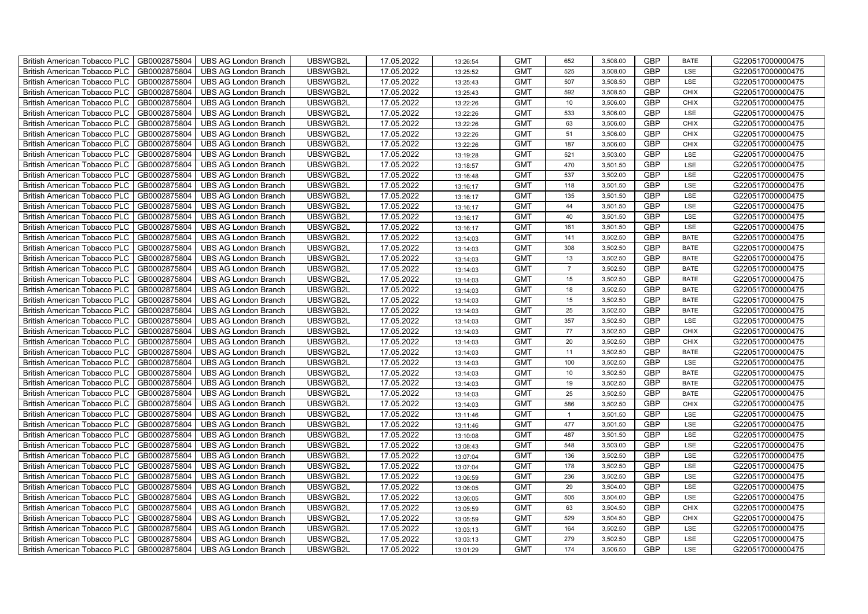| British American Tobacco PLC        | GB0002875804 | <b>UBS AG London Branch</b> | UBSWGB2L | 17.05.2022 | 13:26:54 | <b>GMT</b> | 652             | 3,508.00 | <b>GBP</b> | <b>BATE</b> | G220517000000475 |
|-------------------------------------|--------------|-----------------------------|----------|------------|----------|------------|-----------------|----------|------------|-------------|------------------|
| <b>British American Tobacco PLC</b> | GB0002875804 | <b>UBS AG London Branch</b> | UBSWGB2L | 17.05.2022 | 13:25:52 | <b>GMT</b> | 525             | 3,508.00 | <b>GBP</b> | <b>LSE</b>  | G220517000000475 |
| <b>British American Tobacco PLC</b> | GB0002875804 | <b>UBS AG London Branch</b> | UBSWGB2L | 17.05.2022 | 13:25:43 | <b>GMT</b> | 507             | 3,508.50 | <b>GBP</b> | LSE         | G220517000000475 |
| British American Tobacco PLC        | GB0002875804 | <b>UBS AG London Branch</b> | UBSWGB2L | 17.05.2022 | 13:25:43 | <b>GMT</b> | 592             | 3,508.50 | <b>GBP</b> | <b>CHIX</b> | G220517000000475 |
| <b>British American Tobacco PLC</b> | GB0002875804 | <b>UBS AG London Branch</b> | UBSWGB2L | 17.05.2022 | 13:22:26 | <b>GMT</b> | 10 <sup>1</sup> | 3,506.00 | <b>GBP</b> | <b>CHIX</b> | G220517000000475 |
| British American Tobacco PLC        | GB0002875804 | <b>UBS AG London Branch</b> | UBSWGB2L | 17.05.2022 | 13:22:26 | <b>GMT</b> | 533             | 3,506.00 | <b>GBP</b> | LSE         | G220517000000475 |
| <b>British American Tobacco PLC</b> | GB0002875804 | <b>UBS AG London Branch</b> | UBSWGB2L | 17.05.2022 | 13:22:26 | <b>GMT</b> | 63              | 3,506.00 | <b>GBP</b> | <b>CHIX</b> | G220517000000475 |
| British American Tobacco PLC        | GB0002875804 | <b>UBS AG London Branch</b> | UBSWGB2L | 17.05.2022 | 13:22:26 | <b>GMT</b> | 51              | 3,506.00 | <b>GBP</b> | <b>CHIX</b> | G220517000000475 |
| <b>British American Tobacco PLC</b> | GB0002875804 | <b>UBS AG London Branch</b> | UBSWGB2L | 17.05.2022 | 13:22:26 | <b>GMT</b> | 187             | 3,506.00 | <b>GBP</b> | <b>CHIX</b> | G220517000000475 |
| British American Tobacco PLC        | GB0002875804 | <b>UBS AG London Branch</b> | UBSWGB2L | 17.05.2022 | 13:19:28 | <b>GMT</b> | 521             | 3,503.00 | <b>GBP</b> | LSE         | G220517000000475 |
| <b>British American Tobacco PLC</b> | GB0002875804 | <b>UBS AG London Branch</b> | UBSWGB2L | 17.05.2022 | 13:18:57 | <b>GMT</b> | 470             | 3,501.50 | <b>GBP</b> | LSE         | G220517000000475 |
| <b>British American Tobacco PLC</b> | GB0002875804 | <b>UBS AG London Branch</b> | UBSWGB2L | 17.05.2022 | 13:16:48 | <b>GMT</b> | 537             | 3,502.00 | <b>GBP</b> | LSE         | G220517000000475 |
| British American Tobacco PLC        | GB0002875804 | <b>UBS AG London Branch</b> | UBSWGB2L | 17.05.2022 | 13:16:17 | <b>GMT</b> | 118             | 3,501.50 | <b>GBP</b> | LSE         | G220517000000475 |
| British American Tobacco PLC        | GB0002875804 | <b>UBS AG London Branch</b> | UBSWGB2L | 17.05.2022 | 13:16:17 | <b>GMT</b> | 135             | 3,501.50 | <b>GBP</b> | LSE         | G220517000000475 |
| British American Tobacco PLC        | GB0002875804 | <b>UBS AG London Branch</b> | UBSWGB2L | 17.05.2022 | 13:16:17 | <b>GMT</b> | 44              | 3,501.50 | <b>GBP</b> | LSE         | G220517000000475 |
| British American Tobacco PLC        | GB0002875804 | <b>UBS AG London Branch</b> | UBSWGB2L | 17.05.2022 | 13:16:17 | <b>GMT</b> | 40              | 3,501.50 | <b>GBP</b> | LSE         | G220517000000475 |
| British American Tobacco PLC        | GB0002875804 | <b>UBS AG London Branch</b> | UBSWGB2L | 17.05.2022 | 13:16:17 | <b>GMT</b> | 161             | 3,501.50 | <b>GBP</b> | LSE         | G220517000000475 |
| British American Tobacco PLC        | GB0002875804 | <b>UBS AG London Branch</b> | UBSWGB2L | 17.05.2022 | 13:14:03 | <b>GMT</b> | 141             | 3,502.50 | <b>GBP</b> | <b>BATE</b> | G220517000000475 |
| British American Tobacco PLC        | GB0002875804 | <b>UBS AG London Branch</b> | UBSWGB2L | 17.05.2022 | 13:14:03 | <b>GMT</b> | 308             | 3,502.50 | <b>GBP</b> | <b>BATE</b> | G220517000000475 |
| <b>British American Tobacco PLC</b> | GB0002875804 | <b>UBS AG London Branch</b> | UBSWGB2L | 17.05.2022 | 13:14:03 | <b>GMT</b> | 13              | 3,502.50 | <b>GBP</b> | <b>BATE</b> | G220517000000475 |
| <b>British American Tobacco PLC</b> | GB0002875804 | <b>UBS AG London Branch</b> | UBSWGB2L | 17.05.2022 | 13:14:03 | <b>GMT</b> | $\overline{7}$  | 3,502.50 | <b>GBP</b> | <b>BATE</b> | G220517000000475 |
| British American Tobacco PLC        | GB0002875804 | <b>UBS AG London Branch</b> | UBSWGB2L | 17.05.2022 | 13:14:03 | <b>GMT</b> | 15              | 3,502.50 | <b>GBP</b> | <b>BATE</b> | G220517000000475 |
| British American Tobacco PLC        | GB0002875804 | <b>UBS AG London Branch</b> | UBSWGB2L | 17.05.2022 | 13:14:03 | <b>GMT</b> | 18              | 3,502.50 | GBP        | <b>BATE</b> | G220517000000475 |
| British American Tobacco PLC        | GB0002875804 | <b>UBS AG London Branch</b> | UBSWGB2L | 17.05.2022 | 13:14:03 | <b>GMT</b> | 15              | 3,502.50 | <b>GBP</b> | <b>BATE</b> | G220517000000475 |
| British American Tobacco PLC        | GB0002875804 | <b>UBS AG London Branch</b> | UBSWGB2L | 17.05.2022 | 13:14:03 | <b>GMT</b> | 25              | 3,502.50 | <b>GBP</b> | <b>BATE</b> | G220517000000475 |
| British American Tobacco PLC        | GB0002875804 | <b>UBS AG London Branch</b> | UBSWGB2L | 17.05.2022 | 13:14:03 | <b>GMT</b> | 357             | 3,502.50 | <b>GBP</b> | LSE         | G220517000000475 |
| British American Tobacco PLC        | GB0002875804 | <b>UBS AG London Branch</b> | UBSWGB2L | 17.05.2022 | 13:14:03 | <b>GMT</b> | 77              | 3,502.50 | <b>GBP</b> | CHIX        | G220517000000475 |
| British American Tobacco PLC        | GB0002875804 | <b>UBS AG London Branch</b> | UBSWGB2L | 17.05.2022 | 13:14:03 | <b>GMT</b> | 20              | 3,502.50 | <b>GBP</b> | <b>CHIX</b> | G220517000000475 |
| <b>British American Tobacco PLC</b> | GB0002875804 | <b>UBS AG London Branch</b> | UBSWGB2L | 17.05.2022 | 13:14:03 | <b>GMT</b> | 11              | 3,502.50 | <b>GBP</b> | <b>BATE</b> | G220517000000475 |
| <b>British American Tobacco PLC</b> | GB0002875804 | <b>UBS AG London Branch</b> | UBSWGB2L | 17.05.2022 | 13:14:03 | <b>GMT</b> | 100             | 3,502.50 | <b>GBP</b> | LSE         | G220517000000475 |
| British American Tobacco PLC        | GB0002875804 | <b>UBS AG London Branch</b> | UBSWGB2L | 17.05.2022 | 13:14:03 | <b>GMT</b> | 10              | 3,502.50 | <b>GBP</b> | <b>BATE</b> | G220517000000475 |
| British American Tobacco PLC        | GB0002875804 | <b>UBS AG London Branch</b> | UBSWGB2L | 17.05.2022 | 13:14:03 | <b>GMT</b> | 19              | 3,502.50 | <b>GBP</b> | <b>BATE</b> | G220517000000475 |
| British American Tobacco PLC        | GB0002875804 | <b>UBS AG London Branch</b> | UBSWGB2L | 17.05.2022 | 13:14:03 | <b>GMT</b> | 25              | 3,502.50 | <b>GBP</b> | <b>BATE</b> | G220517000000475 |
| British American Tobacco PLC        | GB0002875804 | <b>UBS AG London Branch</b> | UBSWGB2L | 17.05.2022 | 13:14:03 | <b>GMT</b> | 586             | 3,502.50 | <b>GBP</b> | CHIX        | G220517000000475 |
| British American Tobacco PLC        | GB0002875804 | <b>UBS AG London Branch</b> | UBSWGB2L | 17.05.2022 | 13:11:46 | <b>GMT</b> | $\overline{1}$  | 3,501.50 | <b>GBP</b> | LSE         | G220517000000475 |
| British American Tobacco PLC        | GB0002875804 | <b>UBS AG London Branch</b> | UBSWGB2L | 17.05.2022 | 13:11:46 | <b>GMT</b> | 477             | 3,501.50 | <b>GBP</b> | LSE         | G220517000000475 |
| British American Tobacco PLC        | GB0002875804 | <b>UBS AG London Branch</b> | UBSWGB2L | 17.05.2022 | 13:10:08 | <b>GMT</b> | 487             | 3,501.50 | <b>GBP</b> | LSE         | G220517000000475 |
| <b>British American Tobacco PLC</b> | GB0002875804 | <b>UBS AG London Branch</b> | UBSWGB2L | 17.05.2022 | 13:08:43 | <b>GMT</b> | 548             | 3,503.00 | <b>GBP</b> | LSE         | G220517000000475 |
| British American Tobacco PLC        | GB0002875804 | <b>UBS AG London Branch</b> | UBSWGB2L | 17.05.2022 | 13:07:04 | <b>GMT</b> | 136             | 3,502.50 | <b>GBP</b> | LSE         | G220517000000475 |
| <b>British American Tobacco PLC</b> | GB0002875804 | <b>UBS AG London Branch</b> | UBSWGB2L | 17.05.2022 | 13:07:04 | <b>GMT</b> | 178             | 3,502.50 | <b>GBP</b> | LSE         | G220517000000475 |
| British American Tobacco PLC        | GB0002875804 | UBS AG London Branch        | UBSWGB2L | 17.05.2022 | 13:06:59 | <b>GMT</b> | 236             | 3,502.50 | <b>GBP</b> | LSE         | G220517000000475 |
| British American Tobacco PLC        | GB0002875804 | <b>UBS AG London Branch</b> | UBSWGB2L | 17.05.2022 | 13:06:05 | <b>GMT</b> | 29              | 3,504.00 | <b>GBP</b> | LSE         | G220517000000475 |
| British American Tobacco PLC        | GB0002875804 | <b>UBS AG London Branch</b> | UBSWGB2L | 17.05.2022 | 13:06:05 | <b>GMT</b> | 505             | 3,504.00 | <b>GBP</b> | LSE         | G220517000000475 |
| British American Tobacco PLC        | GB0002875804 | <b>UBS AG London Branch</b> | UBSWGB2L | 17.05.2022 | 13:05:59 | <b>GMT</b> | 63              | 3,504.50 | <b>GBP</b> | <b>CHIX</b> | G220517000000475 |
| <b>British American Tobacco PLC</b> | GB0002875804 | <b>UBS AG London Branch</b> | UBSWGB2L | 17.05.2022 | 13:05:59 | <b>GMT</b> | 529             | 3,504.50 | <b>GBP</b> | <b>CHIX</b> | G220517000000475 |
| <b>British American Tobacco PLC</b> | GB0002875804 | <b>UBS AG London Branch</b> | UBSWGB2L | 17.05.2022 | 13:03:13 | <b>GMT</b> | 164             | 3,502.50 | <b>GBP</b> | LSE         | G220517000000475 |
| British American Tobacco PLC        | GB0002875804 | <b>UBS AG London Branch</b> | UBSWGB2L | 17.05.2022 | 13:03:13 | <b>GMT</b> | 279             | 3,502.50 | <b>GBP</b> | LSE         | G220517000000475 |
| British American Tobacco PLC        | GB0002875804 | UBS AG London Branch        | UBSWGB2L | 17.05.2022 | 13:01:29 | <b>GMT</b> | 174             | 3,506.50 | <b>GBP</b> | LSE         | G220517000000475 |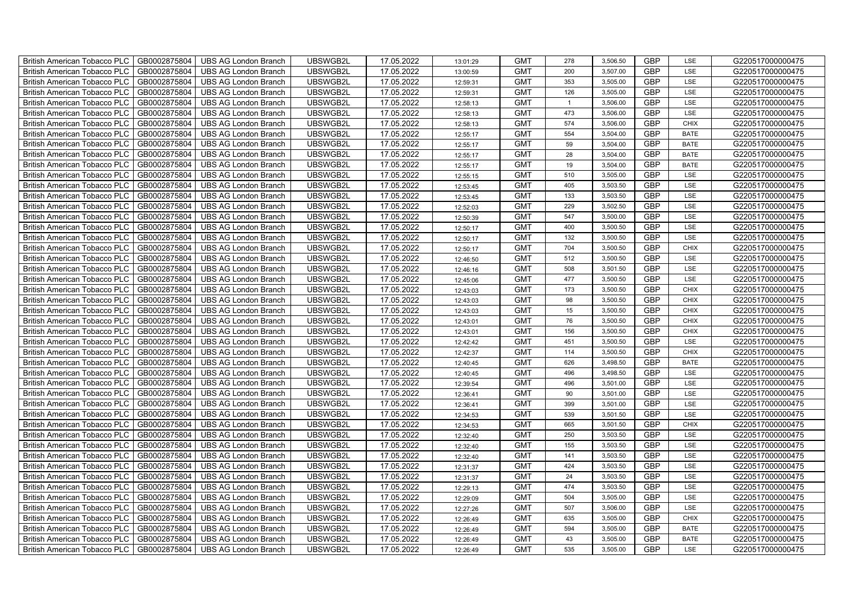| British American Tobacco PLC        | GB0002875804 | <b>UBS AG London Branch</b> | UBSWGB2L | 17.05.2022 | 13:01:29 | <b>GMT</b> | 278            | 3,506.50 | <b>GBP</b> | LSE         | G220517000000475 |
|-------------------------------------|--------------|-----------------------------|----------|------------|----------|------------|----------------|----------|------------|-------------|------------------|
| <b>British American Tobacco PLC</b> | GB0002875804 | <b>UBS AG London Branch</b> | UBSWGB2L | 17.05.2022 | 13:00:59 | <b>GMT</b> | 200            | 3,507.00 | <b>GBP</b> | LSE         | G220517000000475 |
| British American Tobacco PLC        | GB0002875804 | <b>UBS AG London Branch</b> | UBSWGB2L | 17.05.2022 | 12:59:31 | <b>GMT</b> | 353            | 3,505.00 | <b>GBP</b> | <b>LSE</b>  | G220517000000475 |
| <b>British American Tobacco PLC</b> | GB0002875804 | <b>UBS AG London Branch</b> | UBSWGB2L | 17.05.2022 | 12:59:31 | <b>GMT</b> | 126            | 3,505.00 | <b>GBP</b> | LSE         | G220517000000475 |
| British American Tobacco PLC        | GB0002875804 | <b>UBS AG London Branch</b> | UBSWGB2L | 17.05.2022 | 12:58:13 | <b>GMT</b> | $\overline{1}$ | 3,506.00 | <b>GBP</b> | <b>LSE</b>  | G220517000000475 |
| <b>British American Tobacco PLC</b> | GB0002875804 | <b>UBS AG London Branch</b> | UBSWGB2L | 17.05.2022 | 12:58:13 | <b>GMT</b> | 473            | 3,506.00 | <b>GBP</b> | LSE         | G220517000000475 |
| British American Tobacco PLC        | GB0002875804 | <b>UBS AG London Branch</b> | UBSWGB2L | 17.05.2022 | 12:58:13 | <b>GMT</b> | 574            | 3,506.00 | <b>GBP</b> | <b>CHIX</b> | G220517000000475 |
| <b>British American Tobacco PLC</b> | GB0002875804 | <b>UBS AG London Branch</b> | UBSWGB2L | 17.05.2022 | 12:55:17 | <b>GMT</b> | 554            | 3,504.00 | <b>GBP</b> | <b>BATE</b> | G220517000000475 |
| <b>British American Tobacco PLC</b> | GB0002875804 | <b>UBS AG London Branch</b> | UBSWGB2L | 17.05.2022 | 12:55:17 | <b>GMT</b> | 59             | 3,504.00 | <b>GBP</b> | <b>BATE</b> | G220517000000475 |
| British American Tobacco PLC        | GB0002875804 | <b>UBS AG London Branch</b> | UBSWGB2L | 17.05.2022 | 12:55:17 | <b>GMT</b> | 28             | 3,504.00 | <b>GBP</b> | <b>BATE</b> | G220517000000475 |
| <b>British American Tobacco PLC</b> | GB0002875804 | <b>UBS AG London Branch</b> | UBSWGB2L | 17.05.2022 | 12:55:17 | <b>GMT</b> | 19             | 3,504.00 | <b>GBP</b> | <b>BATE</b> | G220517000000475 |
| <b>British American Tobacco PLC</b> | GB0002875804 | <b>UBS AG London Branch</b> | UBSWGB2L | 17.05.2022 | 12:55:15 | <b>GMT</b> | 510            | 3,505.00 | <b>GBP</b> | <b>LSE</b>  | G220517000000475 |
| <b>British American Tobacco PLC</b> | GB0002875804 | <b>UBS AG London Branch</b> | UBSWGB2L | 17.05.2022 | 12:53:45 | <b>GMT</b> | 405            | 3,503.50 | <b>GBP</b> | LSE         | G220517000000475 |
| British American Tobacco PLC        | GB0002875804 | <b>UBS AG London Branch</b> | UBSWGB2L | 17.05.2022 | 12:53:45 | <b>GMT</b> | 133            | 3,503.50 | <b>GBP</b> | LSE         | G220517000000475 |
| <b>British American Tobacco PLC</b> | GB0002875804 | <b>UBS AG London Branch</b> | UBSWGB2L | 17.05.2022 | 12:52:03 | <b>GMT</b> | 229            | 3,502.50 | <b>GBP</b> | LSE         | G220517000000475 |
| British American Tobacco PLC        | GB0002875804 | <b>UBS AG London Branch</b> | UBSWGB2L | 17.05.2022 | 12:50:39 | <b>GMT</b> | 547            | 3,500.00 | <b>GBP</b> | LSE         | G220517000000475 |
| <b>British American Tobacco PLC</b> | GB0002875804 | <b>UBS AG London Branch</b> | UBSWGB2L | 17.05.2022 | 12:50:17 | <b>GMT</b> | 400            | 3,500.50 | <b>GBP</b> | LSE         | G220517000000475 |
| <b>British American Tobacco PLC</b> | GB0002875804 | <b>UBS AG London Branch</b> | UBSWGB2L | 17.05.2022 | 12:50:17 | <b>GMT</b> | 132            | 3,500.50 | <b>GBP</b> | LSE         | G220517000000475 |
| British American Tobacco PLC        | GB0002875804 | <b>UBS AG London Branch</b> | UBSWGB2L | 17.05.2022 | 12:50:17 | <b>GMT</b> | 704            | 3,500.50 | <b>GBP</b> | <b>CHIX</b> | G220517000000475 |
| <b>British American Tobacco PLC</b> | GB0002875804 | <b>UBS AG London Branch</b> | UBSWGB2L | 17.05.2022 | 12:46:50 | <b>GMT</b> | 512            | 3,500.50 | <b>GBP</b> | LSE         | G220517000000475 |
| British American Tobacco PLC        | GB0002875804 | <b>UBS AG London Branch</b> | UBSWGB2L | 17.05.2022 | 12:46:16 | <b>GMT</b> | 508            | 3,501.50 | <b>GBP</b> | <b>LSE</b>  | G220517000000475 |
| British American Tobacco PLC        | GB0002875804 | <b>UBS AG London Branch</b> | UBSWGB2L | 17.05.2022 | 12:45:06 | <b>GMT</b> | 477            | 3,500.50 | <b>GBP</b> | <b>LSE</b>  | G220517000000475 |
| British American Tobacco PLC        | GB0002875804 | <b>UBS AG London Branch</b> | UBSWGB2L | 17.05.2022 | 12:43:03 | <b>GMT</b> | 173            | 3,500.50 | <b>GBP</b> | <b>CHIX</b> | G220517000000475 |
| British American Tobacco PLC        | GB0002875804 | <b>UBS AG London Branch</b> | UBSWGB2L | 17.05.2022 | 12:43:03 | <b>GMT</b> | 98             | 3,500.50 | <b>GBP</b> | <b>CHIX</b> | G220517000000475 |
| British American Tobacco PLC        | GB0002875804 | <b>UBS AG London Branch</b> | UBSWGB2L | 17.05.2022 | 12:43:03 | <b>GMT</b> | 15             | 3,500.50 | GBP        | <b>CHIX</b> | G220517000000475 |
| British American Tobacco PLC        | GB0002875804 | <b>UBS AG London Branch</b> | UBSWGB2L | 17.05.2022 | 12:43:01 | <b>GMT</b> | 76             | 3,500.50 | <b>GBP</b> | <b>CHIX</b> | G220517000000475 |
| British American Tobacco PLC        | GB0002875804 | <b>UBS AG London Branch</b> | UBSWGB2L | 17.05.2022 | 12:43:01 | <b>GMT</b> | 156            | 3,500.50 | <b>GBP</b> | <b>CHIX</b> | G220517000000475 |
| British American Tobacco PLC        | GB0002875804 | <b>UBS AG London Branch</b> | UBSWGB2L | 17.05.2022 | 12:42:42 | <b>GMT</b> | 451            | 3,500.50 | <b>GBP</b> | LSE         | G220517000000475 |
| <b>British American Tobacco PLC</b> | GB0002875804 | <b>UBS AG London Branch</b> | UBSWGB2L | 17.05.2022 | 12:42:37 | <b>GMT</b> | 114            | 3,500.50 | GBP        | CHIX        | G220517000000475 |
| British American Tobacco PLC        | GB0002875804 | <b>UBS AG London Branch</b> | UBSWGB2L | 17.05.2022 | 12:40:45 | <b>GMT</b> | 626            | 3,498.50 | <b>GBP</b> | <b>BATE</b> | G220517000000475 |
| British American Tobacco PLC        | GB0002875804 | <b>UBS AG London Branch</b> | UBSWGB2L | 17.05.2022 | 12:40:45 | <b>GMT</b> | 496            | 3,498.50 | <b>GBP</b> | <b>LSE</b>  | G220517000000475 |
| British American Tobacco PLC        | GB0002875804 | <b>UBS AG London Branch</b> | UBSWGB2L | 17.05.2022 | 12:39:54 | <b>GMT</b> | 496            | 3,501.00 | GBP        | LSE         | G220517000000475 |
| British American Tobacco PLC        | GB0002875804 | <b>UBS AG London Branch</b> | UBSWGB2L | 17.05.2022 | 12:36:41 | <b>GMT</b> | 90             | 3,501.00 | <b>GBP</b> | LSE         | G220517000000475 |
| British American Tobacco PLC        | GB0002875804 | <b>UBS AG London Branch</b> | UBSWGB2L | 17.05.2022 | 12:36:41 | <b>GMT</b> | 399            | 3,501.00 | <b>GBP</b> | LSE         | G220517000000475 |
| British American Tobacco PLC        | GB0002875804 | <b>UBS AG London Branch</b> | UBSWGB2L | 17.05.2022 | 12:34:53 | <b>GMT</b> | 539            | 3,501.50 | <b>GBP</b> | LSE         | G220517000000475 |
| British American Tobacco PLC        | GB0002875804 | <b>UBS AG London Branch</b> | UBSWGB2L | 17.05.2022 | 12:34:53 | <b>GMT</b> | 665            | 3,501.50 | <b>GBP</b> | CHIX        | G220517000000475 |
| British American Tobacco PLC        | GB0002875804 | <b>UBS AG London Branch</b> | UBSWGB2L | 17.05.2022 | 12:32:40 | <b>GMT</b> | 250            | 3,503.50 | <b>GBP</b> | LSE         | G220517000000475 |
| <b>British American Tobacco PLC</b> | GB0002875804 | <b>UBS AG London Branch</b> | UBSWGB2L | 17.05.2022 | 12:32:40 | <b>GMT</b> | 155            | 3,503.50 | GBP        | LSE         | G220517000000475 |
| British American Tobacco PLC        | GB0002875804 | <b>UBS AG London Branch</b> | UBSWGB2L | 17.05.2022 | 12:32:40 | <b>GMT</b> | 141            | 3,503.50 | <b>GBP</b> | LSE         | G220517000000475 |
| British American Tobacco PLC        | GB0002875804 | <b>UBS AG London Branch</b> | UBSWGB2L | 17.05.2022 | 12:31:37 | <b>GMT</b> | 424            | 3,503.50 | <b>GBP</b> | LSE         | G220517000000475 |
| British American Tobacco PLC        | GB0002875804 | <b>UBS AG London Branch</b> | UBSWGB2L | 17.05.2022 | 12:31:37 | <b>GMT</b> | 24             | 3,503.50 | <b>GBP</b> | LSE         | G220517000000475 |
| British American Tobacco PLC        | GB0002875804 | <b>UBS AG London Branch</b> | UBSWGB2L | 17.05.2022 | 12:29:13 | <b>GMT</b> | 474            | 3,503.50 | <b>GBP</b> | LSE         | G220517000000475 |
| British American Tobacco PLC        | GB0002875804 | <b>UBS AG London Branch</b> | UBSWGB2L | 17.05.2022 | 12:29:09 | <b>GMT</b> | 504            | 3,505.00 | <b>GBP</b> | LSE         | G220517000000475 |
| <b>British American Tobacco PLC</b> | GB0002875804 | <b>UBS AG London Branch</b> | UBSWGB2L | 17.05.2022 | 12:27:26 | <b>GMT</b> | 507            | 3,506.00 | <b>GBP</b> | LSE         | G220517000000475 |
| British American Tobacco PLC        | GB0002875804 | <b>UBS AG London Branch</b> | UBSWGB2L | 17.05.2022 | 12:26:49 | <b>GMT</b> | 635            | 3,505.00 | <b>GBP</b> | CHIX        | G220517000000475 |
| <b>British American Tobacco PLC</b> | GB0002875804 | <b>UBS AG London Branch</b> | UBSWGB2L | 17.05.2022 | 12:26:49 | <b>GMT</b> | 594            | 3,505.00 | <b>GBP</b> | <b>BATE</b> | G220517000000475 |
| <b>British American Tobacco PLC</b> | GB0002875804 | <b>UBS AG London Branch</b> | UBSWGB2L | 17.05.2022 | 12:26:49 | <b>GMT</b> | 43             | 3,505.00 | <b>GBP</b> | <b>BATE</b> | G220517000000475 |
| <b>British American Tobacco PLC</b> | GB0002875804 | <b>UBS AG London Branch</b> | UBSWGB2L | 17.05.2022 | 12:26:49 | <b>GMT</b> | 535            | 3,505.00 | <b>GBP</b> | LSE         | G220517000000475 |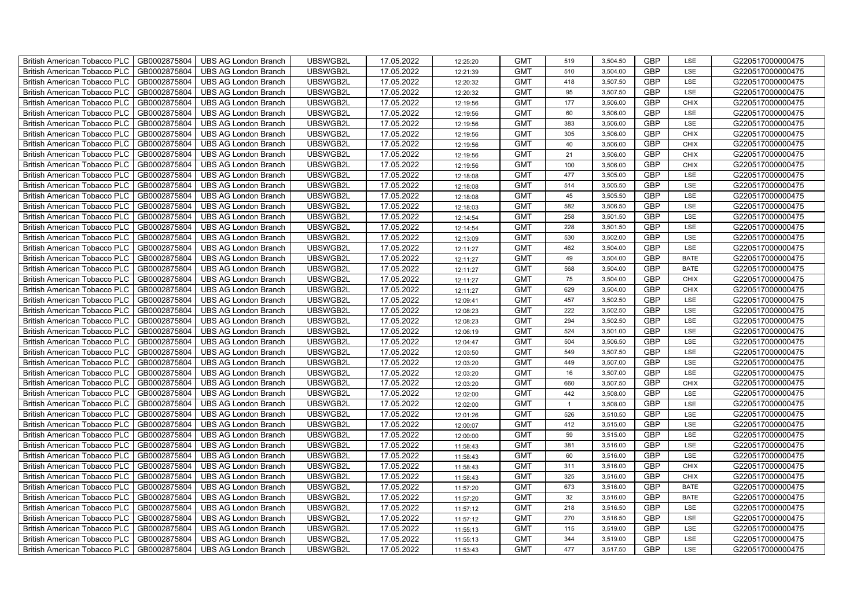| British American Tobacco PLC        | GB0002875804 | <b>UBS AG London Branch</b> | UBSWGB2L | 17.05.2022 | 12:25:20 | <b>GMT</b> | 519            | 3,504.50 | <b>GBP</b> | LSE         | G220517000000475 |
|-------------------------------------|--------------|-----------------------------|----------|------------|----------|------------|----------------|----------|------------|-------------|------------------|
| <b>British American Tobacco PLC</b> | GB0002875804 | <b>UBS AG London Branch</b> | UBSWGB2L | 17.05.2022 | 12:21:39 | <b>GMT</b> | 510            | 3,504.00 | <b>GBP</b> | <b>LSE</b>  | G220517000000475 |
| <b>British American Tobacco PLC</b> | GB0002875804 | <b>UBS AG London Branch</b> | UBSWGB2L | 17.05.2022 | 12:20:32 | <b>GMT</b> | 418            | 3,507.50 | <b>GBP</b> | LSE         | G220517000000475 |
| British American Tobacco PLC        | GB0002875804 | <b>UBS AG London Branch</b> | UBSWGB2L | 17.05.2022 | 12:20:32 | <b>GMT</b> | 95             | 3,507.50 | <b>GBP</b> | LSE         | G220517000000475 |
| <b>British American Tobacco PLC</b> | GB0002875804 | <b>UBS AG London Branch</b> | UBSWGB2L | 17.05.2022 | 12:19:56 | <b>GMT</b> | 177            | 3,506.00 | <b>GBP</b> | <b>CHIX</b> | G220517000000475 |
| British American Tobacco PLC        | GB0002875804 | <b>UBS AG London Branch</b> | UBSWGB2L | 17.05.2022 | 12:19:56 | <b>GMT</b> | 60             | 3,506.00 | <b>GBP</b> | LSE         | G220517000000475 |
| <b>British American Tobacco PLC</b> | GB0002875804 | <b>UBS AG London Branch</b> | UBSWGB2L | 17.05.2022 | 12:19:56 | <b>GMT</b> | 383            | 3,506.00 | <b>GBP</b> | LSE         | G220517000000475 |
| British American Tobacco PLC        | GB0002875804 | <b>UBS AG London Branch</b> | UBSWGB2L | 17.05.2022 | 12:19:56 | <b>GMT</b> | 305            | 3,506.00 | <b>GBP</b> | <b>CHIX</b> | G220517000000475 |
| <b>British American Tobacco PLC</b> | GB0002875804 | <b>UBS AG London Branch</b> | UBSWGB2L | 17.05.2022 | 12:19:56 | <b>GMT</b> | 40             | 3,506.00 | <b>GBP</b> | <b>CHIX</b> | G220517000000475 |
| British American Tobacco PLC        | GB0002875804 | <b>UBS AG London Branch</b> | UBSWGB2L | 17.05.2022 | 12:19:56 | <b>GMT</b> | 21             | 3,506.00 | <b>GBP</b> | <b>CHIX</b> | G220517000000475 |
| <b>British American Tobacco PLC</b> | GB0002875804 | <b>UBS AG London Branch</b> | UBSWGB2L | 17.05.2022 | 12:19:56 | <b>GMT</b> | 100            | 3,506.00 | <b>GBP</b> | <b>CHIX</b> | G220517000000475 |
| <b>British American Tobacco PLC</b> | GB0002875804 | <b>UBS AG London Branch</b> | UBSWGB2L | 17.05.2022 | 12:18:08 | <b>GMT</b> | 477            | 3,505.00 | <b>GBP</b> | LSE         | G220517000000475 |
| British American Tobacco PLC        | GB0002875804 | <b>UBS AG London Branch</b> | UBSWGB2L | 17.05.2022 | 12:18:08 | <b>GMT</b> | 514            | 3,505.50 | <b>GBP</b> | LSE         | G220517000000475 |
| British American Tobacco PLC        | GB0002875804 | <b>UBS AG London Branch</b> | UBSWGB2L | 17.05.2022 | 12:18:08 | <b>GMT</b> | 45             | 3,505.50 | <b>GBP</b> | LSE         | G220517000000475 |
| British American Tobacco PLC        | GB0002875804 | <b>UBS AG London Branch</b> | UBSWGB2L | 17.05.2022 | 12:18:03 | <b>GMT</b> | 582            | 3,506.50 | <b>GBP</b> | LSE         | G220517000000475 |
| British American Tobacco PLC        | GB0002875804 | <b>UBS AG London Branch</b> | UBSWGB2L | 17.05.2022 | 12:14:54 | <b>GMT</b> | 258            | 3,501.50 | <b>GBP</b> | LSE         | G220517000000475 |
| British American Tobacco PLC        | GB0002875804 | <b>UBS AG London Branch</b> | UBSWGB2L | 17.05.2022 | 12:14:54 | <b>GMT</b> | 228            | 3,501.50 | <b>GBP</b> | LSE         | G220517000000475 |
| British American Tobacco PLC        | GB0002875804 | <b>UBS AG London Branch</b> | UBSWGB2L | 17.05.2022 | 12:13:09 | <b>GMT</b> | 530            | 3,502.00 | <b>GBP</b> | LSE         | G220517000000475 |
| British American Tobacco PLC        | GB0002875804 | <b>UBS AG London Branch</b> | UBSWGB2L | 17.05.2022 | 12:11:27 | <b>GMT</b> | 462            | 3,504.00 | <b>GBP</b> | LSE         | G220517000000475 |
| <b>British American Tobacco PLC</b> | GB0002875804 | <b>UBS AG London Branch</b> | UBSWGB2L | 17.05.2022 | 12:11:27 | <b>GMT</b> | 49             | 3,504.00 | <b>GBP</b> | <b>BATE</b> | G220517000000475 |
| <b>British American Tobacco PLC</b> | GB0002875804 | <b>UBS AG London Branch</b> | UBSWGB2L | 17.05.2022 | 12:11:27 | <b>GMT</b> | 568            | 3,504.00 | <b>GBP</b> | <b>BATE</b> | G220517000000475 |
| British American Tobacco PLC        | GB0002875804 | <b>UBS AG London Branch</b> | UBSWGB2L | 17.05.2022 | 12:11:27 | <b>GMT</b> | 75             | 3,504.00 | <b>GBP</b> | <b>CHIX</b> | G220517000000475 |
| British American Tobacco PLC        | GB0002875804 | <b>UBS AG London Branch</b> | UBSWGB2L | 17.05.2022 | 12:11:27 | <b>GMT</b> | 629            | 3,504.00 | GBP        | CHIX        | G220517000000475 |
| British American Tobacco PLC        | GB0002875804 | <b>UBS AG London Branch</b> | UBSWGB2L | 17.05.2022 | 12:09:41 | <b>GMT</b> | 457            | 3,502.50 | <b>GBP</b> | LSE         | G220517000000475 |
| British American Tobacco PLC        | GB0002875804 | <b>UBS AG London Branch</b> | UBSWGB2L | 17.05.2022 | 12:08:23 | <b>GMT</b> | 222            | 3,502.50 | <b>GBP</b> | LSE         | G220517000000475 |
| British American Tobacco PLC        | GB0002875804 | <b>UBS AG London Branch</b> | UBSWGB2L | 17.05.2022 | 12:08:23 | <b>GMT</b> | 294            | 3,502.50 | <b>GBP</b> | LSE         | G220517000000475 |
| British American Tobacco PLC        | GB0002875804 | <b>UBS AG London Branch</b> | UBSWGB2L | 17.05.2022 | 12:06:19 | <b>GMT</b> | 524            | 3,501.00 | <b>GBP</b> | LSE         | G220517000000475 |
| British American Tobacco PLC        | GB0002875804 | <b>UBS AG London Branch</b> | UBSWGB2L | 17.05.2022 | 12:04:47 | <b>GMT</b> | 504            | 3,506.50 | <b>GBP</b> | LSE         | G220517000000475 |
| <b>British American Tobacco PLC</b> | GB0002875804 | <b>UBS AG London Branch</b> | UBSWGB2L | 17.05.2022 | 12:03:50 | <b>GMT</b> | 549            | 3,507.50 | <b>GBP</b> | LSE         | G220517000000475 |
| <b>British American Tobacco PLC</b> | GB0002875804 | <b>UBS AG London Branch</b> | UBSWGB2L | 17.05.2022 | 12:03:20 | <b>GMT</b> | 449            | 3,507.00 | <b>GBP</b> | LSE         | G220517000000475 |
| British American Tobacco PLC        | GB0002875804 | <b>UBS AG London Branch</b> | UBSWGB2L | 17.05.2022 | 12:03:20 | <b>GMT</b> | 16             | 3,507.00 | <b>GBP</b> | LSE         | G220517000000475 |
| British American Tobacco PLC        | GB0002875804 | <b>UBS AG London Branch</b> | UBSWGB2L | 17.05.2022 | 12:03:20 | <b>GMT</b> | 660            | 3,507.50 | <b>GBP</b> | CHIX        | G220517000000475 |
| British American Tobacco PLC        | GB0002875804 | <b>UBS AG London Branch</b> | UBSWGB2L | 17.05.2022 | 12:02:00 | <b>GMT</b> | 442            | 3,508.00 | <b>GBP</b> | LSE         | G220517000000475 |
| British American Tobacco PLC        | GB0002875804 | <b>UBS AG London Branch</b> | UBSWGB2L | 17.05.2022 | 12:02:00 | <b>GMT</b> | $\overline{1}$ | 3,508.00 | <b>GBP</b> | LSE         | G220517000000475 |
| British American Tobacco PLC        | GB0002875804 | <b>UBS AG London Branch</b> | UBSWGB2L | 17.05.2022 | 12:01:26 | <b>GMT</b> | 526            | 3,510.50 | <b>GBP</b> | LSE         | G220517000000475 |
| British American Tobacco PLC        | GB0002875804 | <b>UBS AG London Branch</b> | UBSWGB2L | 17.05.2022 | 12:00:07 | <b>GMT</b> | 412            | 3,515.00 | <b>GBP</b> | LSE         | G220517000000475 |
| British American Tobacco PLC        | GB0002875804 | <b>UBS AG London Branch</b> | UBSWGB2L | 17.05.2022 | 12:00:00 | <b>GMT</b> | 59             | 3,515.00 | <b>GBP</b> | LSE         | G220517000000475 |
| <b>British American Tobacco PLC</b> | GB0002875804 | <b>UBS AG London Branch</b> | UBSWGB2L | 17.05.2022 | 11:58:43 | <b>GMT</b> | 381            | 3,516.00 | <b>GBP</b> | LSE         | G220517000000475 |
| British American Tobacco PLC        | GB0002875804 | <b>UBS AG London Branch</b> | UBSWGB2L | 17.05.2022 | 11:58:43 | <b>GMT</b> | 60             | 3,516.00 | <b>GBP</b> | LSE         | G220517000000475 |
| British American Tobacco PLC        | GB0002875804 | <b>UBS AG London Branch</b> | UBSWGB2L | 17.05.2022 | 11:58:43 | <b>GMT</b> | 311            | 3,516.00 | <b>GBP</b> | <b>CHIX</b> | G220517000000475 |
| British American Tobacco PLC        | GB0002875804 | UBS AG London Branch        | UBSWGB2L | 17.05.2022 | 11:58:43 | <b>GMT</b> | 325            | 3,516.00 | <b>GBP</b> | <b>CHIX</b> | G220517000000475 |
| British American Tobacco PLC        | GB0002875804 | <b>UBS AG London Branch</b> | UBSWGB2L | 17.05.2022 | 11:57:20 | <b>GMT</b> | 673            | 3,516.00 | <b>GBP</b> | <b>BATE</b> | G220517000000475 |
| British American Tobacco PLC        | GB0002875804 | <b>UBS AG London Branch</b> | UBSWGB2L | 17.05.2022 | 11:57:20 | <b>GMT</b> | 32             | 3,516.00 | <b>GBP</b> | <b>BATE</b> | G220517000000475 |
| British American Tobacco PLC        | GB0002875804 | <b>UBS AG London Branch</b> | UBSWGB2L | 17.05.2022 | 11:57:12 | <b>GMT</b> | 218            | 3,516.50 | <b>GBP</b> | LSE         | G220517000000475 |
| <b>British American Tobacco PLC</b> | GB0002875804 | <b>UBS AG London Branch</b> | UBSWGB2L | 17.05.2022 | 11:57:12 | <b>GMT</b> | 270            | 3,516.50 | <b>GBP</b> | LSE         | G220517000000475 |
| <b>British American Tobacco PLC</b> | GB0002875804 | <b>UBS AG London Branch</b> | UBSWGB2L | 17.05.2022 | 11:55:13 | <b>GMT</b> | 115            | 3,519.00 | <b>GBP</b> | LSE         | G220517000000475 |
| British American Tobacco PLC        | GB0002875804 | <b>UBS AG London Branch</b> | UBSWGB2L | 17.05.2022 | 11:55:13 | <b>GMT</b> | 344            | 3,519.00 | <b>GBP</b> | LSE         | G220517000000475 |
| British American Tobacco PLC        | GB0002875804 | UBS AG London Branch        | UBSWGB2L | 17.05.2022 | 11:53:43 | <b>GMT</b> | 477            | 3,517.50 | <b>GBP</b> | LSE         | G220517000000475 |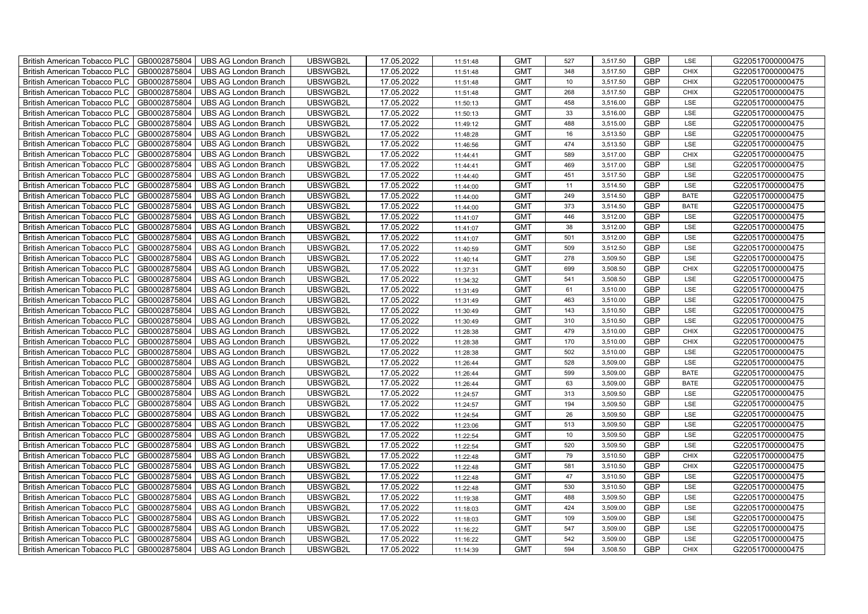| British American Tobacco PLC        | GB0002875804 | <b>UBS AG London Branch</b> | UBSWGB2L | 17.05.2022 | 11:51:48 | <b>GMT</b> | 527 | 3,517.50 | <b>GBP</b> | LSE         | G220517000000475 |
|-------------------------------------|--------------|-----------------------------|----------|------------|----------|------------|-----|----------|------------|-------------|------------------|
| <b>British American Tobacco PLC</b> | GB0002875804 | <b>UBS AG London Branch</b> | UBSWGB2L | 17.05.2022 | 11:51:48 | <b>GMT</b> | 348 | 3,517.50 | <b>GBP</b> | <b>CHIX</b> | G220517000000475 |
| <b>British American Tobacco PLC</b> | GB0002875804 | <b>UBS AG London Branch</b> | UBSWGB2L | 17.05.2022 | 11:51:48 | <b>GMT</b> | 10  | 3,517.50 | <b>GBP</b> | <b>CHIX</b> | G220517000000475 |
| British American Tobacco PLC        | GB0002875804 | <b>UBS AG London Branch</b> | UBSWGB2L | 17.05.2022 | 11:51:48 | <b>GMT</b> | 268 | 3,517.50 | <b>GBP</b> | <b>CHIX</b> | G220517000000475 |
| <b>British American Tobacco PLC</b> | GB0002875804 | <b>UBS AG London Branch</b> | UBSWGB2L | 17.05.2022 | 11:50:13 | <b>GMT</b> | 458 | 3,516.00 | <b>GBP</b> | LSE         | G220517000000475 |
| British American Tobacco PLC        | GB0002875804 | <b>UBS AG London Branch</b> | UBSWGB2L | 17.05.2022 | 11:50:13 | <b>GMT</b> | 33  | 3,516.00 | <b>GBP</b> | LSE         | G220517000000475 |
| <b>British American Tobacco PLC</b> | GB0002875804 | <b>UBS AG London Branch</b> | UBSWGB2L | 17.05.2022 | 11:49:12 | <b>GMT</b> | 488 | 3,515.00 | <b>GBP</b> | LSE         | G220517000000475 |
| British American Tobacco PLC        | GB0002875804 | <b>UBS AG London Branch</b> | UBSWGB2L | 17.05.2022 | 11:48:28 | <b>GMT</b> | 16  | 3,513.50 | <b>GBP</b> | LSE         | G220517000000475 |
| <b>British American Tobacco PLC</b> | GB0002875804 | <b>UBS AG London Branch</b> | UBSWGB2L | 17.05.2022 | 11:46:56 | <b>GMT</b> | 474 | 3,513.50 | <b>GBP</b> | LSE         | G220517000000475 |
| British American Tobacco PLC        | GB0002875804 | <b>UBS AG London Branch</b> | UBSWGB2L | 17.05.2022 | 11:44:41 | <b>GMT</b> | 589 | 3,517.00 | <b>GBP</b> | <b>CHIX</b> | G220517000000475 |
| <b>British American Tobacco PLC</b> | GB0002875804 | <b>UBS AG London Branch</b> | UBSWGB2L | 17.05.2022 | 11:44:41 | <b>GMT</b> | 469 | 3,517.00 | <b>GBP</b> | LSE         | G220517000000475 |
| <b>British American Tobacco PLC</b> | GB0002875804 | <b>UBS AG London Branch</b> | UBSWGB2L | 17.05.2022 | 11:44:40 | <b>GMT</b> | 451 | 3,517.50 | <b>GBP</b> | LSE         | G220517000000475 |
| British American Tobacco PLC        | GB0002875804 | <b>UBS AG London Branch</b> | UBSWGB2L | 17.05.2022 | 11:44:00 | <b>GMT</b> | 11  | 3,514.50 | <b>GBP</b> | LSE         | G220517000000475 |
| British American Tobacco PLC        | GB0002875804 | <b>UBS AG London Branch</b> | UBSWGB2L | 17.05.2022 | 11:44:00 | <b>GMT</b> | 249 | 3,514.50 | <b>GBP</b> | <b>BATE</b> | G220517000000475 |
| British American Tobacco PLC        | GB0002875804 | <b>UBS AG London Branch</b> | UBSWGB2L | 17.05.2022 | 11:44:00 | <b>GMT</b> | 373 | 3,514.50 | <b>GBP</b> | <b>BATE</b> | G220517000000475 |
| British American Tobacco PLC        | GB0002875804 | <b>UBS AG London Branch</b> | UBSWGB2L | 17.05.2022 | 11:41:07 | <b>GMT</b> | 446 | 3,512.00 | <b>GBP</b> | LSE         | G220517000000475 |
| British American Tobacco PLC        | GB0002875804 | <b>UBS AG London Branch</b> | UBSWGB2L | 17.05.2022 | 11:41:07 | <b>GMT</b> | 38  | 3,512.00 | <b>GBP</b> | LSE         | G220517000000475 |
| British American Tobacco PLC        | GB0002875804 | <b>UBS AG London Branch</b> | UBSWGB2L | 17.05.2022 | 11:41:07 | <b>GMT</b> | 501 | 3,512.00 | <b>GBP</b> | LSE         | G220517000000475 |
| British American Tobacco PLC        | GB0002875804 | <b>UBS AG London Branch</b> | UBSWGB2L | 17.05.2022 | 11:40:59 | <b>GMT</b> | 509 | 3,512.50 | <b>GBP</b> | LSE         | G220517000000475 |
| <b>British American Tobacco PLC</b> | GB0002875804 | <b>UBS AG London Branch</b> | UBSWGB2L | 17.05.2022 | 11:40:14 | <b>GMT</b> | 278 | 3,509.50 | <b>GBP</b> | LSE         | G220517000000475 |
| <b>British American Tobacco PLC</b> | GB0002875804 | <b>UBS AG London Branch</b> | UBSWGB2L | 17.05.2022 | 11:37:31 | <b>GMT</b> | 699 | 3,508.50 | <b>GBP</b> | <b>CHIX</b> | G220517000000475 |
| British American Tobacco PLC        | GB0002875804 | <b>UBS AG London Branch</b> | UBSWGB2L | 17.05.2022 | 11:34:32 | <b>GMT</b> | 541 | 3,508.50 | <b>GBP</b> | LSE         | G220517000000475 |
| British American Tobacco PLC        | GB0002875804 | <b>UBS AG London Branch</b> | UBSWGB2L | 17.05.2022 | 11:31:49 | <b>GMT</b> | 61  | 3,510.00 | GBP        | LSE         | G220517000000475 |
| British American Tobacco PLC        | GB0002875804 | <b>UBS AG London Branch</b> | UBSWGB2L | 17.05.2022 | 11:31:49 | <b>GMT</b> | 463 | 3,510.00 | <b>GBP</b> | LSE         | G220517000000475 |
| British American Tobacco PLC        | GB0002875804 | <b>UBS AG London Branch</b> | UBSWGB2L | 17.05.2022 | 11:30:49 | <b>GMT</b> | 143 | 3,510.50 | <b>GBP</b> | LSE         | G220517000000475 |
| British American Tobacco PLC        | GB0002875804 | <b>UBS AG London Branch</b> | UBSWGB2L | 17.05.2022 | 11:30:49 | <b>GMT</b> | 310 | 3,510.50 | <b>GBP</b> | LSE         | G220517000000475 |
| British American Tobacco PLC        | GB0002875804 | <b>UBS AG London Branch</b> | UBSWGB2L | 17.05.2022 | 11:28:38 | <b>GMT</b> | 479 | 3,510.00 | <b>GBP</b> | CHIX        | G220517000000475 |
| British American Tobacco PLC        | GB0002875804 | <b>UBS AG London Branch</b> | UBSWGB2L | 17.05.2022 | 11:28:38 | <b>GMT</b> | 170 | 3,510.00 | <b>GBP</b> | <b>CHIX</b> | G220517000000475 |
| <b>British American Tobacco PLC</b> | GB0002875804 | <b>UBS AG London Branch</b> | UBSWGB2L | 17.05.2022 | 11:28:38 | <b>GMT</b> | 502 | 3,510.00 | <b>GBP</b> | LSE         | G220517000000475 |
| <b>British American Tobacco PLC</b> | GB0002875804 | <b>UBS AG London Branch</b> | UBSWGB2L | 17.05.2022 | 11:26:44 | <b>GMT</b> | 528 | 3,509.00 | <b>GBP</b> | LSE         | G220517000000475 |
| British American Tobacco PLC        | GB0002875804 | <b>UBS AG London Branch</b> | UBSWGB2L | 17.05.2022 | 11:26:44 | <b>GMT</b> | 599 | 3,509.00 | <b>GBP</b> | <b>BATE</b> | G220517000000475 |
| British American Tobacco PLC        | GB0002875804 | <b>UBS AG London Branch</b> | UBSWGB2L | 17.05.2022 | 11:26:44 | <b>GMT</b> | 63  | 3,509.00 | <b>GBP</b> | <b>BATE</b> | G220517000000475 |
| British American Tobacco PLC        | GB0002875804 | <b>UBS AG London Branch</b> | UBSWGB2L | 17.05.2022 | 11:24:57 | <b>GMT</b> | 313 | 3,509.50 | <b>GBP</b> | LSE         | G220517000000475 |
| British American Tobacco PLC        | GB0002875804 | <b>UBS AG London Branch</b> | UBSWGB2L | 17.05.2022 | 11:24:57 | <b>GMT</b> | 194 | 3,509.50 | <b>GBP</b> | LSE         | G220517000000475 |
| British American Tobacco PLC        | GB0002875804 | <b>UBS AG London Branch</b> | UBSWGB2L | 17.05.2022 | 11:24:54 | <b>GMT</b> | 26  | 3,509.50 | <b>GBP</b> | LSE         | G220517000000475 |
| British American Tobacco PLC        | GB0002875804 | <b>UBS AG London Branch</b> | UBSWGB2L | 17.05.2022 | 11:23:06 | <b>GMT</b> | 513 | 3,509.50 | <b>GBP</b> | LSE         | G220517000000475 |
| British American Tobacco PLC        | GB0002875804 | <b>UBS AG London Branch</b> | UBSWGB2L | 17.05.2022 | 11:22:54 | <b>GMT</b> | 10  | 3,509.50 | <b>GBP</b> | LSE         | G220517000000475 |
| <b>British American Tobacco PLC</b> | GB0002875804 | <b>UBS AG London Branch</b> | UBSWGB2L | 17.05.2022 | 11:22:54 | <b>GMT</b> | 520 | 3,509.50 | <b>GBP</b> | LSE         | G220517000000475 |
| <b>British American Tobacco PLC</b> | GB0002875804 | <b>UBS AG London Branch</b> | UBSWGB2L | 17.05.2022 | 11:22:48 | <b>GMT</b> | 79  | 3,510.50 | <b>GBP</b> | <b>CHIX</b> | G220517000000475 |
| British American Tobacco PLC        | GB0002875804 | <b>UBS AG London Branch</b> | UBSWGB2L | 17.05.2022 | 11:22:48 | <b>GMT</b> | 581 | 3,510.50 | <b>GBP</b> | <b>CHIX</b> | G220517000000475 |
| British American Tobacco PLC        | GB0002875804 | UBS AG London Branch        | UBSWGB2L | 17.05.2022 | 11:22:48 | <b>GMT</b> | 47  | 3,510.50 | GBP        | LSE         | G220517000000475 |
| British American Tobacco PLC        | GB0002875804 | <b>UBS AG London Branch</b> | UBSWGB2L | 17.05.2022 | 11:22:48 | <b>GMT</b> | 530 | 3,510.50 | <b>GBP</b> | LSE         | G220517000000475 |
| British American Tobacco PLC        | GB0002875804 | <b>UBS AG London Branch</b> | UBSWGB2L | 17.05.2022 | 11:19:38 | <b>GMT</b> | 488 | 3,509.50 | <b>GBP</b> | LSE         | G220517000000475 |
| British American Tobacco PLC        | GB0002875804 | <b>UBS AG London Branch</b> | UBSWGB2L | 17.05.2022 | 11:18:03 | <b>GMT</b> | 424 | 3,509.00 | <b>GBP</b> | LSE         | G220517000000475 |
| <b>British American Tobacco PLC</b> | GB0002875804 | <b>UBS AG London Branch</b> | UBSWGB2L | 17.05.2022 | 11:18:03 | <b>GMT</b> | 109 | 3,509.00 | <b>GBP</b> | LSE         | G220517000000475 |
| <b>British American Tobacco PLC</b> | GB0002875804 | <b>UBS AG London Branch</b> | UBSWGB2L | 17.05.2022 | 11:16:22 | <b>GMT</b> | 547 | 3,509.00 | <b>GBP</b> | LSE         | G220517000000475 |
| British American Tobacco PLC        | GB0002875804 | <b>UBS AG London Branch</b> | UBSWGB2L | 17.05.2022 | 11:16:22 | <b>GMT</b> | 542 | 3,509.00 | <b>GBP</b> | LSE         | G220517000000475 |
| British American Tobacco PLC        | GB0002875804 | UBS AG London Branch        | UBSWGB2L | 17.05.2022 | 11:14:39 | <b>GMT</b> | 594 | 3,508.50 | <b>GBP</b> | <b>CHIX</b> | G220517000000475 |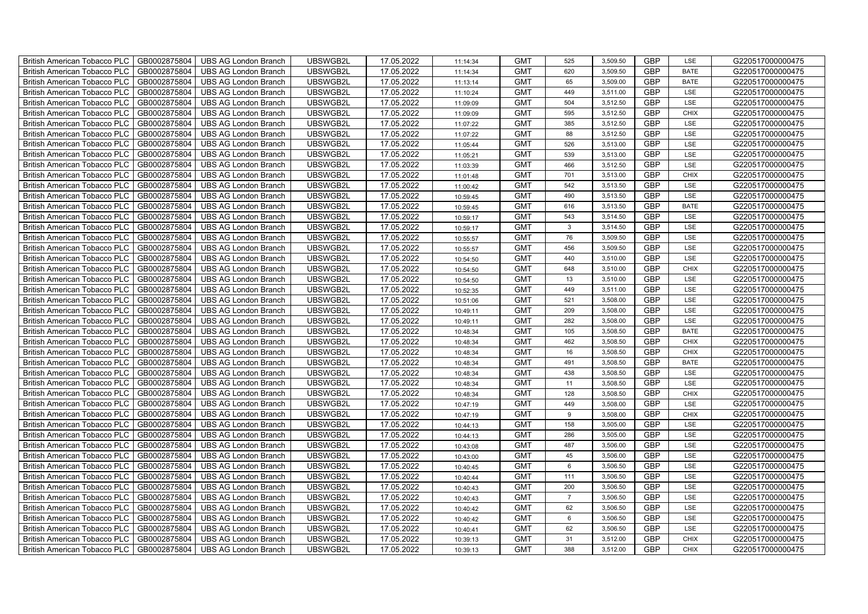| British American Tobacco PLC        | GB0002875804 | <b>UBS AG London Branch</b> | UBSWGB2L | 17.05.2022 | 11:14:34 | <b>GMT</b> | 525             | 3,509.50 | <b>GBP</b> | LSE         | G220517000000475 |
|-------------------------------------|--------------|-----------------------------|----------|------------|----------|------------|-----------------|----------|------------|-------------|------------------|
| <b>British American Tobacco PLC</b> | GB0002875804 | <b>UBS AG London Branch</b> | UBSWGB2L | 17.05.2022 | 11:14:34 | <b>GMT</b> | 620             | 3,509.50 | <b>GBP</b> | <b>BATE</b> | G220517000000475 |
| <b>British American Tobacco PLC</b> | GB0002875804 | <b>UBS AG London Branch</b> | UBSWGB2L | 17.05.2022 | 11:13:14 | <b>GMT</b> | 65              | 3,509.00 | <b>GBP</b> | <b>BATE</b> | G220517000000475 |
| British American Tobacco PLC        | GB0002875804 | <b>UBS AG London Branch</b> | UBSWGB2L | 17.05.2022 | 11:10:24 | <b>GMT</b> | 449             | 3,511.00 | <b>GBP</b> | LSE         | G220517000000475 |
| <b>British American Tobacco PLC</b> | GB0002875804 | <b>UBS AG London Branch</b> | UBSWGB2L | 17.05.2022 | 11:09:09 | <b>GMT</b> | 504             | 3,512.50 | <b>GBP</b> | LSE         | G220517000000475 |
| British American Tobacco PLC        | GB0002875804 | <b>UBS AG London Branch</b> | UBSWGB2L | 17.05.2022 | 11:09:09 | <b>GMT</b> | 595             | 3,512.50 | <b>GBP</b> | <b>CHIX</b> | G220517000000475 |
| <b>British American Tobacco PLC</b> | GB0002875804 | <b>UBS AG London Branch</b> | UBSWGB2L | 17.05.2022 | 11:07:22 | <b>GMT</b> | 385             | 3,512.50 | <b>GBP</b> | LSE         | G220517000000475 |
| British American Tobacco PLC        | GB0002875804 | <b>UBS AG London Branch</b> | UBSWGB2L | 17.05.2022 | 11:07:22 | <b>GMT</b> | 88              | 3,512.50 | <b>GBP</b> | LSE         | G220517000000475 |
| <b>British American Tobacco PLC</b> | GB0002875804 | <b>UBS AG London Branch</b> | UBSWGB2L | 17.05.2022 | 11:05:44 | <b>GMT</b> | 526             | 3,513.00 | <b>GBP</b> | LSE         | G220517000000475 |
| British American Tobacco PLC        | GB0002875804 | <b>UBS AG London Branch</b> | UBSWGB2L | 17.05.2022 | 11:05:21 | <b>GMT</b> | 539             | 3,513.00 | <b>GBP</b> | LSE         | G220517000000475 |
| <b>British American Tobacco PLC</b> | GB0002875804 | <b>UBS AG London Branch</b> | UBSWGB2L | 17.05.2022 | 11:03:39 | <b>GMT</b> | 466             | 3,512.50 | <b>GBP</b> | LSE         | G220517000000475 |
| <b>British American Tobacco PLC</b> | GB0002875804 | <b>UBS AG London Branch</b> | UBSWGB2L | 17.05.2022 | 11:01:48 | <b>GMT</b> | 701             | 3,513.00 | <b>GBP</b> | <b>CHIX</b> | G220517000000475 |
| British American Tobacco PLC        | GB0002875804 | <b>UBS AG London Branch</b> | UBSWGB2L | 17.05.2022 | 11:00:42 | <b>GMT</b> | 542             | 3,513.50 | <b>GBP</b> | LSE         | G220517000000475 |
| British American Tobacco PLC        | GB0002875804 | <b>UBS AG London Branch</b> | UBSWGB2L | 17.05.2022 | 10:59:45 | <b>GMT</b> | 490             | 3,513.50 | <b>GBP</b> | LSE         | G220517000000475 |
| British American Tobacco PLC        | GB0002875804 | <b>UBS AG London Branch</b> | UBSWGB2L | 17.05.2022 | 10:59:45 | <b>GMT</b> | 616             | 3,513.50 | <b>GBP</b> | <b>BATE</b> | G220517000000475 |
| British American Tobacco PLC        | GB0002875804 | <b>UBS AG London Branch</b> | UBSWGB2L | 17.05.2022 | 10:59:17 | <b>GMT</b> | 543             | 3,514.50 | <b>GBP</b> | LSE         | G220517000000475 |
| British American Tobacco PLC        | GB0002875804 | <b>UBS AG London Branch</b> | UBSWGB2L | 17.05.2022 | 10:59:17 | <b>GMT</b> | $\mathbf{3}$    | 3,514.50 | <b>GBP</b> | LSE         | G220517000000475 |
| British American Tobacco PLC        | GB0002875804 | <b>UBS AG London Branch</b> | UBSWGB2L | 17.05.2022 | 10:55:57 | <b>GMT</b> | 76              | 3,509.50 | <b>GBP</b> | LSE         | G220517000000475 |
| British American Tobacco PLC        | GB0002875804 | <b>UBS AG London Branch</b> | UBSWGB2L | 17.05.2022 | 10:55:57 | <b>GMT</b> | 456             | 3,509.50 | <b>GBP</b> | LSE         | G220517000000475 |
| <b>British American Tobacco PLC</b> | GB0002875804 | <b>UBS AG London Branch</b> | UBSWGB2L | 17.05.2022 | 10:54:50 | <b>GMT</b> | 440             | 3,510.00 | <b>GBP</b> | LSE         | G220517000000475 |
| <b>British American Tobacco PLC</b> | GB0002875804 | <b>UBS AG London Branch</b> | UBSWGB2L | 17.05.2022 | 10:54:50 | <b>GMT</b> | 648             | 3,510.00 | <b>GBP</b> | <b>CHIX</b> | G220517000000475 |
| British American Tobacco PLC        | GB0002875804 | <b>UBS AG London Branch</b> | UBSWGB2L | 17.05.2022 | 10:54:50 | <b>GMT</b> | 13              | 3,510.00 | <b>GBP</b> | LSE         | G220517000000475 |
| British American Tobacco PLC        | GB0002875804 | <b>UBS AG London Branch</b> | UBSWGB2L | 17.05.2022 | 10:52:35 | <b>GMT</b> | 449             | 3,511.00 | GBP        | LSE         | G220517000000475 |
| British American Tobacco PLC        | GB0002875804 | <b>UBS AG London Branch</b> | UBSWGB2L | 17.05.2022 | 10:51:06 | <b>GMT</b> | 521             | 3,508.00 | <b>GBP</b> | LSE         | G220517000000475 |
| British American Tobacco PLC        | GB0002875804 | <b>UBS AG London Branch</b> | UBSWGB2L | 17.05.2022 | 10:49:11 | <b>GMT</b> | 209             | 3,508.00 | <b>GBP</b> | LSE         | G220517000000475 |
| British American Tobacco PLC        | GB0002875804 | <b>UBS AG London Branch</b> | UBSWGB2L | 17.05.2022 | 10:49:11 | <b>GMT</b> | 282             | 3,508.00 | <b>GBP</b> | LSE         | G220517000000475 |
| British American Tobacco PLC        | GB0002875804 | <b>UBS AG London Branch</b> | UBSWGB2L | 17.05.2022 | 10:48:34 | <b>GMT</b> | 105             | 3,508.50 | <b>GBP</b> | <b>BATE</b> | G220517000000475 |
| British American Tobacco PLC        | GB0002875804 | <b>UBS AG London Branch</b> | UBSWGB2L | 17.05.2022 | 10:48:34 | <b>GMT</b> | 462             | 3,508.50 | <b>GBP</b> | <b>CHIX</b> | G220517000000475 |
| <b>British American Tobacco PLC</b> | GB0002875804 | <b>UBS AG London Branch</b> | UBSWGB2L | 17.05.2022 | 10:48:34 | <b>GMT</b> | 16              | 3,508.50 | <b>GBP</b> | CHIX        | G220517000000475 |
| <b>British American Tobacco PLC</b> | GB0002875804 | <b>UBS AG London Branch</b> | UBSWGB2L | 17.05.2022 | 10:48:34 | <b>GMT</b> | 491             | 3,508.50 | <b>GBP</b> | <b>BATE</b> | G220517000000475 |
| British American Tobacco PLC        | GB0002875804 | <b>UBS AG London Branch</b> | UBSWGB2L | 17.05.2022 | 10:48:34 | <b>GMT</b> | 438             | 3,508.50 | <b>GBP</b> | LSE         | G220517000000475 |
| British American Tobacco PLC        | GB0002875804 | <b>UBS AG London Branch</b> | UBSWGB2L | 17.05.2022 | 10:48:34 | <b>GMT</b> | 11              | 3,508.50 | <b>GBP</b> | LSE         | G220517000000475 |
| British American Tobacco PLC        | GB0002875804 | <b>UBS AG London Branch</b> | UBSWGB2L | 17.05.2022 | 10:48:34 | <b>GMT</b> | 128             | 3,508.50 | <b>GBP</b> | CHIX        | G220517000000475 |
| British American Tobacco PLC        | GB0002875804 | <b>UBS AG London Branch</b> | UBSWGB2L | 17.05.2022 | 10:47:19 | <b>GMT</b> | 449             | 3,508.00 | <b>GBP</b> | LSE         | G220517000000475 |
| British American Tobacco PLC        | GB0002875804 | <b>UBS AG London Branch</b> | UBSWGB2L | 17.05.2022 | 10:47:19 | <b>GMT</b> | $9\,$           | 3,508.00 | <b>GBP</b> | CHIX        | G220517000000475 |
| British American Tobacco PLC        | GB0002875804 | <b>UBS AG London Branch</b> | UBSWGB2L | 17.05.2022 | 10:44:13 | <b>GMT</b> | 158             | 3,505.00 | <b>GBP</b> | LSE         | G220517000000475 |
| British American Tobacco PLC        | GB0002875804 | <b>UBS AG London Branch</b> | UBSWGB2L | 17.05.2022 | 10:44:13 | <b>GMT</b> | 286             | 3,505.00 | <b>GBP</b> | LSE         | G220517000000475 |
| <b>British American Tobacco PLC</b> | GB0002875804 | <b>UBS AG London Branch</b> | UBSWGB2L | 17.05.2022 | 10:43:08 | <b>GMT</b> | 487             | 3,506.00 | <b>GBP</b> | LSE         | G220517000000475 |
| <b>British American Tobacco PLC</b> | GB0002875804 | <b>UBS AG London Branch</b> | UBSWGB2L | 17.05.2022 | 10:43:00 | <b>GMT</b> | 45              | 3,506.00 | <b>GBP</b> | LSE         | G220517000000475 |
| British American Tobacco PLC        | GB0002875804 | <b>UBS AG London Branch</b> | UBSWGB2L | 17.05.2022 | 10:40:45 | <b>GMT</b> | $6\phantom{.0}$ | 3,506.50 | <b>GBP</b> | LSE         | G220517000000475 |
| British American Tobacco PLC        | GB0002875804 | UBS AG London Branch        | UBSWGB2L | 17.05.2022 | 10:40:44 | <b>GMT</b> | 111             | 3,506.50 | GBP        | LSE         | G220517000000475 |
| British American Tobacco PLC        | GB0002875804 | <b>UBS AG London Branch</b> | UBSWGB2L | 17.05.2022 | 10:40:43 | <b>GMT</b> | 200             | 3,506.50 | <b>GBP</b> | LSE         | G220517000000475 |
| British American Tobacco PLC        | GB0002875804 | <b>UBS AG London Branch</b> | UBSWGB2L | 17.05.2022 | 10:40:43 | <b>GMT</b> | $\overline{7}$  | 3,506.50 | <b>GBP</b> | LSE         | G220517000000475 |
| British American Tobacco PLC        | GB0002875804 | <b>UBS AG London Branch</b> | UBSWGB2L | 17.05.2022 | 10:40:42 | <b>GMT</b> | 62              | 3,506.50 | <b>GBP</b> | LSE         | G220517000000475 |
| <b>British American Tobacco PLC</b> | GB0002875804 | <b>UBS AG London Branch</b> | UBSWGB2L | 17.05.2022 | 10:40:42 | <b>GMT</b> | $\,6\,$         | 3,506.50 | <b>GBP</b> | LSE         | G220517000000475 |
| <b>British American Tobacco PLC</b> | GB0002875804 | <b>UBS AG London Branch</b> | UBSWGB2L | 17.05.2022 | 10:40:41 | <b>GMT</b> | 62              | 3,506.50 | <b>GBP</b> | LSE         | G220517000000475 |
| British American Tobacco PLC        | GB0002875804 | <b>UBS AG London Branch</b> | UBSWGB2L | 17.05.2022 | 10:39:13 | <b>GMT</b> | 31              | 3,512.00 | <b>GBP</b> | <b>CHIX</b> | G220517000000475 |
| British American Tobacco PLC        | GB0002875804 | UBS AG London Branch        | UBSWGB2L | 17.05.2022 | 10:39:13 | <b>GMT</b> | 388             | 3,512.00 | <b>GBP</b> | <b>CHIX</b> | G220517000000475 |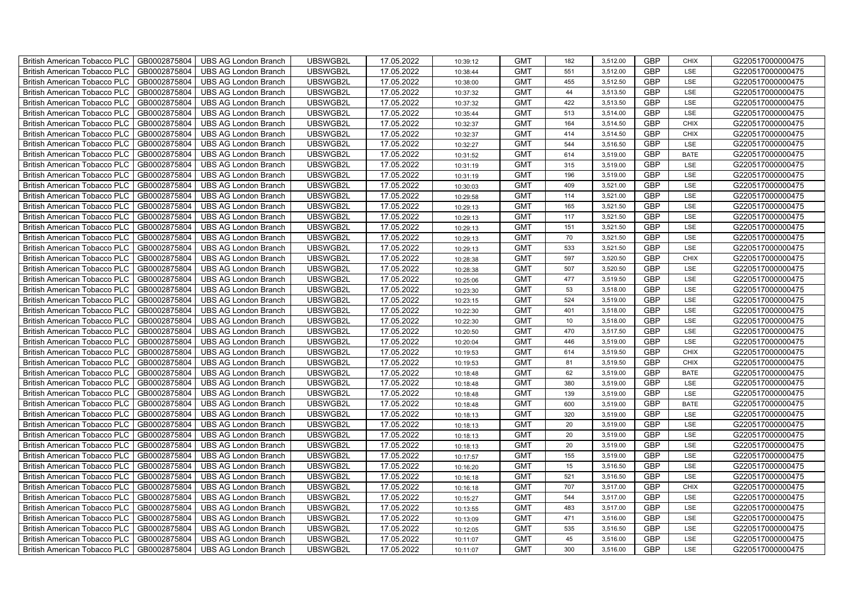| British American Tobacco PLC        | GB0002875804 | <b>UBS AG London Branch</b> | UBSWGB2L | 17.05.2022 | 10:39:12 | <b>GMT</b> | 182 | 3,512.00 | <b>GBP</b> | <b>CHIX</b> | G220517000000475 |
|-------------------------------------|--------------|-----------------------------|----------|------------|----------|------------|-----|----------|------------|-------------|------------------|
| <b>British American Tobacco PLC</b> | GB0002875804 | <b>UBS AG London Branch</b> | UBSWGB2L | 17.05.2022 | 10:38:44 | <b>GMT</b> | 551 | 3,512.00 | <b>GBP</b> | <b>LSE</b>  | G220517000000475 |
| <b>British American Tobacco PLC</b> | GB0002875804 | <b>UBS AG London Branch</b> | UBSWGB2L | 17.05.2022 | 10:38:00 | <b>GMT</b> | 455 | 3,512.50 | <b>GBP</b> | LSE         | G220517000000475 |
| British American Tobacco PLC        | GB0002875804 | <b>UBS AG London Branch</b> | UBSWGB2L | 17.05.2022 | 10:37:32 | <b>GMT</b> | 44  | 3,513.50 | <b>GBP</b> | LSE         | G220517000000475 |
| <b>British American Tobacco PLC</b> | GB0002875804 | <b>UBS AG London Branch</b> | UBSWGB2L | 17.05.2022 | 10:37:32 | <b>GMT</b> | 422 | 3,513.50 | <b>GBP</b> | LSE         | G220517000000475 |
| British American Tobacco PLC        | GB0002875804 | <b>UBS AG London Branch</b> | UBSWGB2L | 17.05.2022 | 10:35:44 | <b>GMT</b> | 513 | 3,514.00 | <b>GBP</b> | LSE         | G220517000000475 |
| <b>British American Tobacco PLC</b> | GB0002875804 | <b>UBS AG London Branch</b> | UBSWGB2L | 17.05.2022 | 10:32:37 | <b>GMT</b> | 164 | 3,514.50 | <b>GBP</b> | <b>CHIX</b> | G220517000000475 |
| British American Tobacco PLC        | GB0002875804 | <b>UBS AG London Branch</b> | UBSWGB2L | 17.05.2022 | 10:32:37 | <b>GMT</b> | 414 | 3,514.50 | <b>GBP</b> | <b>CHIX</b> | G220517000000475 |
| <b>British American Tobacco PLC</b> | GB0002875804 | <b>UBS AG London Branch</b> | UBSWGB2L | 17.05.2022 | 10:32:27 | <b>GMT</b> | 544 | 3,516.50 | <b>GBP</b> | LSE         | G220517000000475 |
| British American Tobacco PLC        | GB0002875804 | <b>UBS AG London Branch</b> | UBSWGB2L | 17.05.2022 | 10:31:52 | <b>GMT</b> | 614 | 3,519.00 | <b>GBP</b> | <b>BATE</b> | G220517000000475 |
| <b>British American Tobacco PLC</b> | GB0002875804 | <b>UBS AG London Branch</b> | UBSWGB2L | 17.05.2022 | 10:31:19 | <b>GMT</b> | 315 | 3,519.00 | <b>GBP</b> | LSE         | G220517000000475 |
| <b>British American Tobacco PLC</b> | GB0002875804 | <b>UBS AG London Branch</b> | UBSWGB2L | 17.05.2022 | 10:31:19 | <b>GMT</b> | 196 | 3,519.00 | <b>GBP</b> | LSE         | G220517000000475 |
| British American Tobacco PLC        | GB0002875804 | <b>UBS AG London Branch</b> | UBSWGB2L | 17.05.2022 | 10:30:03 | <b>GMT</b> | 409 | 3,521.00 | <b>GBP</b> | LSE         | G220517000000475 |
| British American Tobacco PLC        | GB0002875804 | <b>UBS AG London Branch</b> | UBSWGB2L | 17.05.2022 | 10:29:58 | <b>GMT</b> | 114 | 3,521.00 | <b>GBP</b> | LSE         | G220517000000475 |
| British American Tobacco PLC        | GB0002875804 | <b>UBS AG London Branch</b> | UBSWGB2L | 17.05.2022 | 10:29:13 | <b>GMT</b> | 165 | 3,521.50 | <b>GBP</b> | LSE         | G220517000000475 |
| British American Tobacco PLC        | GB0002875804 | <b>UBS AG London Branch</b> | UBSWGB2L | 17.05.2022 | 10:29:13 | <b>GMT</b> | 117 | 3,521.50 | <b>GBP</b> | LSE         | G220517000000475 |
| British American Tobacco PLC        | GB0002875804 | <b>UBS AG London Branch</b> | UBSWGB2L | 17.05.2022 | 10:29:13 | <b>GMT</b> | 151 | 3,521.50 | <b>GBP</b> | LSE         | G220517000000475 |
| British American Tobacco PLC        | GB0002875804 | <b>UBS AG London Branch</b> | UBSWGB2L | 17.05.2022 | 10:29:13 | <b>GMT</b> | 70  | 3,521.50 | <b>GBP</b> | LSE         | G220517000000475 |
| British American Tobacco PLC        | GB0002875804 | <b>UBS AG London Branch</b> | UBSWGB2L | 17.05.2022 | 10:29:13 | <b>GMT</b> | 533 | 3,521.50 | <b>GBP</b> | LSE         | G220517000000475 |
| <b>British American Tobacco PLC</b> | GB0002875804 | <b>UBS AG London Branch</b> | UBSWGB2L | 17.05.2022 | 10:28:38 | <b>GMT</b> | 597 | 3,520.50 | <b>GBP</b> | CHIX        | G220517000000475 |
| <b>British American Tobacco PLC</b> | GB0002875804 | <b>UBS AG London Branch</b> | UBSWGB2L | 17.05.2022 | 10:28:38 | <b>GMT</b> | 507 | 3,520.50 | <b>GBP</b> | <b>LSE</b>  | G220517000000475 |
| British American Tobacco PLC        | GB0002875804 | <b>UBS AG London Branch</b> | UBSWGB2L | 17.05.2022 | 10:25:06 | <b>GMT</b> | 477 | 3,519.50 | <b>GBP</b> | LSE         | G220517000000475 |
| British American Tobacco PLC        | GB0002875804 | <b>UBS AG London Branch</b> | UBSWGB2L | 17.05.2022 | 10:23:30 | <b>GMT</b> | 53  | 3,518.00 | GBP        | LSE         | G220517000000475 |
| British American Tobacco PLC        | GB0002875804 | <b>UBS AG London Branch</b> | UBSWGB2L | 17.05.2022 | 10:23:15 | <b>GMT</b> | 524 | 3,519.00 | <b>GBP</b> | LSE         | G220517000000475 |
| British American Tobacco PLC        | GB0002875804 | <b>UBS AG London Branch</b> | UBSWGB2L | 17.05.2022 | 10:22:30 | <b>GMT</b> | 401 | 3,518.00 | <b>GBP</b> | LSE         | G220517000000475 |
| British American Tobacco PLC        | GB0002875804 | <b>UBS AG London Branch</b> | UBSWGB2L | 17.05.2022 | 10:22:30 | <b>GMT</b> | 10  | 3,518.00 | <b>GBP</b> | LSE         | G220517000000475 |
| British American Tobacco PLC        | GB0002875804 | <b>UBS AG London Branch</b> | UBSWGB2L | 17.05.2022 | 10:20:50 | <b>GMT</b> | 470 | 3,517.50 | <b>GBP</b> | LSE         | G220517000000475 |
| British American Tobacco PLC        | GB0002875804 | <b>UBS AG London Branch</b> | UBSWGB2L | 17.05.2022 | 10:20:04 | <b>GMT</b> | 446 | 3,519.00 | <b>GBP</b> | LSE         | G220517000000475 |
| <b>British American Tobacco PLC</b> | GB0002875804 | <b>UBS AG London Branch</b> | UBSWGB2L | 17.05.2022 | 10:19:53 | <b>GMT</b> | 614 | 3,519.50 | <b>GBP</b> | CHIX        | G220517000000475 |
| <b>British American Tobacco PLC</b> | GB0002875804 | <b>UBS AG London Branch</b> | UBSWGB2L | 17.05.2022 | 10:19:53 | <b>GMT</b> | 81  | 3,519.50 | <b>GBP</b> | <b>CHIX</b> | G220517000000475 |
| British American Tobacco PLC        | GB0002875804 | <b>UBS AG London Branch</b> | UBSWGB2L | 17.05.2022 | 10:18:48 | <b>GMT</b> | 62  | 3,519.00 | <b>GBP</b> | <b>BATE</b> | G220517000000475 |
| British American Tobacco PLC        | GB0002875804 | <b>UBS AG London Branch</b> | UBSWGB2L | 17.05.2022 | 10:18:48 | <b>GMT</b> | 380 | 3,519.00 | <b>GBP</b> | LSE         | G220517000000475 |
| British American Tobacco PLC        | GB0002875804 | <b>UBS AG London Branch</b> | UBSWGB2L | 17.05.2022 | 10:18:48 | <b>GMT</b> | 139 | 3,519.00 | <b>GBP</b> | LSE         | G220517000000475 |
| British American Tobacco PLC        | GB0002875804 | <b>UBS AG London Branch</b> | UBSWGB2L | 17.05.2022 | 10:18:48 | <b>GMT</b> | 600 | 3,519.00 | <b>GBP</b> | <b>BATE</b> | G220517000000475 |
| British American Tobacco PLC        | GB0002875804 | <b>UBS AG London Branch</b> | UBSWGB2L | 17.05.2022 | 10:18:13 | <b>GMT</b> | 320 | 3,519.00 | <b>GBP</b> | LSE         | G220517000000475 |
| British American Tobacco PLC        | GB0002875804 | <b>UBS AG London Branch</b> | UBSWGB2L | 17.05.2022 | 10:18:13 | <b>GMT</b> | 20  | 3,519.00 | <b>GBP</b> | LSE         | G220517000000475 |
| British American Tobacco PLC        | GB0002875804 | <b>UBS AG London Branch</b> | UBSWGB2L | 17.05.2022 | 10:18:13 | <b>GMT</b> | 20  | 3,519.00 | <b>GBP</b> | LSE         | G220517000000475 |
| <b>British American Tobacco PLC</b> | GB0002875804 | <b>UBS AG London Branch</b> | UBSWGB2L | 17.05.2022 | 10:18:13 | <b>GMT</b> | 20  | 3,519.00 | <b>GBP</b> | LSE         | G220517000000475 |
| <b>British American Tobacco PLC</b> | GB0002875804 | <b>UBS AG London Branch</b> | UBSWGB2L | 17.05.2022 | 10:17:57 | <b>GMT</b> | 155 | 3,519.00 | <b>GBP</b> | LSE         | G220517000000475 |
| British American Tobacco PLC        | GB0002875804 | <b>UBS AG London Branch</b> | UBSWGB2L | 17.05.2022 | 10:16:20 | <b>GMT</b> | 15  | 3,516.50 | <b>GBP</b> | LSE         | G220517000000475 |
| British American Tobacco PLC        | GB0002875804 | UBS AG London Branch        | UBSWGB2L | 17.05.2022 | 10:16:18 | <b>GMT</b> | 521 | 3,516.50 | <b>GBP</b> | LSE         | G220517000000475 |
| British American Tobacco PLC        | GB0002875804 | <b>UBS AG London Branch</b> | UBSWGB2L | 17.05.2022 | 10:16:18 | <b>GMT</b> | 707 | 3,517.00 | <b>GBP</b> | <b>CHIX</b> | G220517000000475 |
| British American Tobacco PLC        | GB0002875804 | <b>UBS AG London Branch</b> | UBSWGB2L | 17.05.2022 | 10:15:27 | <b>GMT</b> | 544 | 3,517.00 | <b>GBP</b> | LSE         | G220517000000475 |
| British American Tobacco PLC        | GB0002875804 | <b>UBS AG London Branch</b> | UBSWGB2L | 17.05.2022 | 10:13:55 | <b>GMT</b> | 483 | 3,517.00 | <b>GBP</b> | LSE         | G220517000000475 |
| <b>British American Tobacco PLC</b> | GB0002875804 | <b>UBS AG London Branch</b> | UBSWGB2L | 17.05.2022 | 10:13:09 | <b>GMT</b> | 471 | 3,516.00 | <b>GBP</b> | LSE         | G220517000000475 |
| <b>British American Tobacco PLC</b> | GB0002875804 | <b>UBS AG London Branch</b> | UBSWGB2L | 17.05.2022 | 10:12:05 | <b>GMT</b> | 535 | 3,516.50 | <b>GBP</b> | LSE         | G220517000000475 |
| British American Tobacco PLC        | GB0002875804 | <b>UBS AG London Branch</b> | UBSWGB2L | 17.05.2022 | 10:11:07 | <b>GMT</b> | 45  | 3,516.00 | <b>GBP</b> | LSE         | G220517000000475 |
| British American Tobacco PLC        | GB0002875804 | UBS AG London Branch        | UBSWGB2L | 17.05.2022 | 10:11:07 | <b>GMT</b> | 300 | 3,516.00 | <b>GBP</b> | LSE         | G220517000000475 |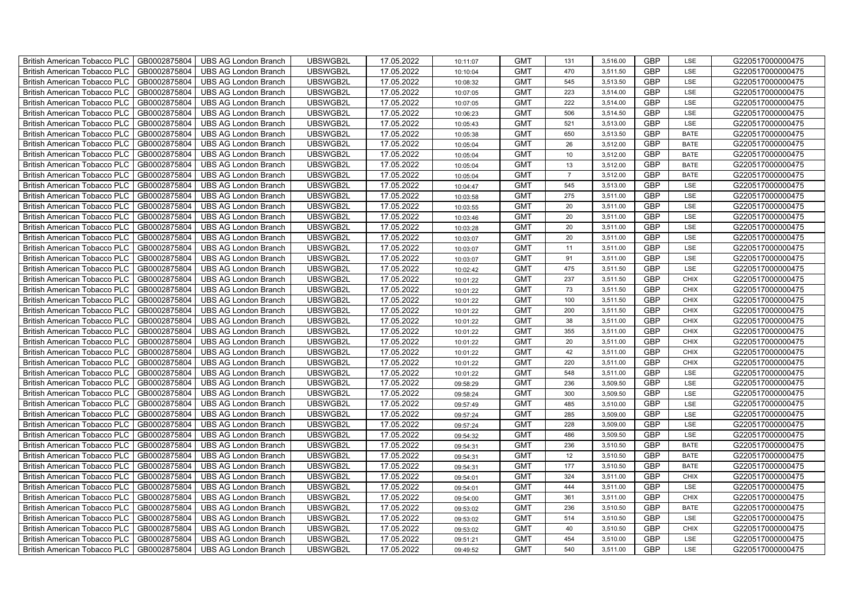| British American Tobacco PLC        | GB0002875804 | <b>UBS AG London Branch</b> | UBSWGB2L | 17.05.2022 | 10:11:07 | <b>GMT</b> | 131             | 3,516.00 | <b>GBP</b> | LSE         | G220517000000475 |
|-------------------------------------|--------------|-----------------------------|----------|------------|----------|------------|-----------------|----------|------------|-------------|------------------|
| <b>British American Tobacco PLC</b> | GB0002875804 | <b>UBS AG London Branch</b> | UBSWGB2L | 17.05.2022 | 10:10:04 | <b>GMT</b> | 470             | 3,511.50 | <b>GBP</b> | <b>LSE</b>  | G220517000000475 |
| <b>British American Tobacco PLC</b> | GB0002875804 | <b>UBS AG London Branch</b> | UBSWGB2L | 17.05.2022 | 10:08:32 | <b>GMT</b> | 545             | 3,513.50 | <b>GBP</b> | LSE         | G220517000000475 |
| British American Tobacco PLC        | GB0002875804 | <b>UBS AG London Branch</b> | UBSWGB2L | 17.05.2022 | 10:07:05 | <b>GMT</b> | 223             | 3,514.00 | <b>GBP</b> | LSE         | G220517000000475 |
| <b>British American Tobacco PLC</b> | GB0002875804 | <b>UBS AG London Branch</b> | UBSWGB2L | 17.05.2022 | 10:07:05 | <b>GMT</b> | 222             | 3,514.00 | <b>GBP</b> | LSE         | G220517000000475 |
| British American Tobacco PLC        | GB0002875804 | <b>UBS AG London Branch</b> | UBSWGB2L | 17.05.2022 | 10:06:23 | <b>GMT</b> | 506             | 3,514.50 | <b>GBP</b> | LSE         | G220517000000475 |
| <b>British American Tobacco PLC</b> | GB0002875804 | <b>UBS AG London Branch</b> | UBSWGB2L | 17.05.2022 | 10:05:43 | <b>GMT</b> | 521             | 3,513.00 | <b>GBP</b> | LSE         | G220517000000475 |
| British American Tobacco PLC        | GB0002875804 | <b>UBS AG London Branch</b> | UBSWGB2L | 17.05.2022 | 10:05:38 | <b>GMT</b> | 650             | 3,513.50 | <b>GBP</b> | <b>BATE</b> | G220517000000475 |
| <b>British American Tobacco PLC</b> | GB0002875804 | <b>UBS AG London Branch</b> | UBSWGB2L | 17.05.2022 | 10:05:04 | <b>GMT</b> | 26              | 3,512.00 | <b>GBP</b> | <b>BATE</b> | G220517000000475 |
| British American Tobacco PLC        | GB0002875804 | <b>UBS AG London Branch</b> | UBSWGB2L | 17.05.2022 | 10:05:04 | <b>GMT</b> | 10 <sup>1</sup> | 3,512.00 | <b>GBP</b> | <b>BATE</b> | G220517000000475 |
| <b>British American Tobacco PLC</b> | GB0002875804 | <b>UBS AG London Branch</b> | UBSWGB2L | 17.05.2022 | 10:05:04 | <b>GMT</b> | 13              | 3,512.00 | <b>GBP</b> | <b>BATE</b> | G220517000000475 |
| <b>British American Tobacco PLC</b> | GB0002875804 | <b>UBS AG London Branch</b> | UBSWGB2L | 17.05.2022 | 10:05:04 | <b>GMT</b> | $\overline{7}$  | 3,512.00 | <b>GBP</b> | <b>BATE</b> | G220517000000475 |
| British American Tobacco PLC        | GB0002875804 | <b>UBS AG London Branch</b> | UBSWGB2L | 17.05.2022 | 10:04:47 | <b>GMT</b> | 545             | 3,513.00 | <b>GBP</b> | LSE         | G220517000000475 |
| British American Tobacco PLC        | GB0002875804 | <b>UBS AG London Branch</b> | UBSWGB2L | 17.05.2022 | 10:03:58 | <b>GMT</b> | 275             | 3,511.00 | <b>GBP</b> | LSE         | G220517000000475 |
| British American Tobacco PLC        | GB0002875804 | <b>UBS AG London Branch</b> | UBSWGB2L | 17.05.2022 | 10:03:55 | <b>GMT</b> | 20              | 3,511.00 | <b>GBP</b> | LSE         | G220517000000475 |
| British American Tobacco PLC        | GB0002875804 | <b>UBS AG London Branch</b> | UBSWGB2L | 17.05.2022 | 10:03:46 | <b>GMT</b> | 20              | 3,511.00 | <b>GBP</b> | LSE         | G220517000000475 |
| British American Tobacco PLC        | GB0002875804 | <b>UBS AG London Branch</b> | UBSWGB2L | 17.05.2022 | 10:03:28 | <b>GMT</b> | 20              | 3,511.00 | <b>GBP</b> | LSE         | G220517000000475 |
| British American Tobacco PLC        | GB0002875804 | <b>UBS AG London Branch</b> | UBSWGB2L | 17.05.2022 | 10:03:07 | <b>GMT</b> | 20              | 3,511.00 | <b>GBP</b> | LSE         | G220517000000475 |
| British American Tobacco PLC        | GB0002875804 | <b>UBS AG London Branch</b> | UBSWGB2L | 17.05.2022 | 10:03:07 | <b>GMT</b> | 11              | 3,511.00 | <b>GBP</b> | LSE         | G220517000000475 |
| <b>British American Tobacco PLC</b> | GB0002875804 | <b>UBS AG London Branch</b> | UBSWGB2L | 17.05.2022 | 10:03:07 | <b>GMT</b> | 91              | 3,511.00 | <b>GBP</b> | LSE         | G220517000000475 |
| <b>British American Tobacco PLC</b> | GB0002875804 | <b>UBS AG London Branch</b> | UBSWGB2L | 17.05.2022 | 10:02:42 | <b>GMT</b> | 475             | 3,511.50 | <b>GBP</b> | <b>LSE</b>  | G220517000000475 |
| British American Tobacco PLC        | GB0002875804 | <b>UBS AG London Branch</b> | UBSWGB2L | 17.05.2022 | 10:01:22 | <b>GMT</b> | 237             | 3,511.50 | <b>GBP</b> | CHIX        | G220517000000475 |
| British American Tobacco PLC        | GB0002875804 | <b>UBS AG London Branch</b> | UBSWGB2L | 17.05.2022 | 10:01:22 | <b>GMT</b> | 73              | 3,511.50 | GBP        | <b>CHIX</b> | G220517000000475 |
| British American Tobacco PLC        | GB0002875804 | <b>UBS AG London Branch</b> | UBSWGB2L | 17.05.2022 | 10:01:22 | <b>GMT</b> | 100             | 3,511.50 | <b>GBP</b> | <b>CHIX</b> | G220517000000475 |
| <b>British American Tobacco PLC</b> | GB0002875804 | <b>UBS AG London Branch</b> | UBSWGB2L | 17.05.2022 | 10:01:22 | <b>GMT</b> | 200             | 3,511.50 | <b>GBP</b> | <b>CHIX</b> | G220517000000475 |
| British American Tobacco PLC        | GB0002875804 | <b>UBS AG London Branch</b> | UBSWGB2L | 17.05.2022 | 10:01:22 | <b>GMT</b> | 38              | 3,511.00 | <b>GBP</b> | <b>CHIX</b> | G220517000000475 |
| British American Tobacco PLC        | GB0002875804 | <b>UBS AG London Branch</b> | UBSWGB2L | 17.05.2022 | 10:01:22 | <b>GMT</b> | 355             | 3,511.00 | <b>GBP</b> | CHIX        | G220517000000475 |
| British American Tobacco PLC        | GB0002875804 | <b>UBS AG London Branch</b> | UBSWGB2L | 17.05.2022 | 10:01:22 | <b>GMT</b> | 20              | 3,511.00 | <b>GBP</b> | <b>CHIX</b> | G220517000000475 |
| <b>British American Tobacco PLC</b> | GB0002875804 | <b>UBS AG London Branch</b> | UBSWGB2L | 17.05.2022 | 10:01:22 | <b>GMT</b> | 42              | 3,511.00 | <b>GBP</b> | <b>CHIX</b> | G220517000000475 |
| <b>British American Tobacco PLC</b> | GB0002875804 | <b>UBS AG London Branch</b> | UBSWGB2L | 17.05.2022 | 10:01:22 | <b>GMT</b> | 220             | 3,511.00 | <b>GBP</b> | <b>CHIX</b> | G220517000000475 |
| British American Tobacco PLC        | GB0002875804 | <b>UBS AG London Branch</b> | UBSWGB2L | 17.05.2022 | 10:01:22 | <b>GMT</b> | 548             | 3,511.00 | <b>GBP</b> | LSE         | G220517000000475 |
| British American Tobacco PLC        | GB0002875804 | <b>UBS AG London Branch</b> | UBSWGB2L | 17.05.2022 | 09:58:29 | <b>GMT</b> | 236             | 3,509.50 | <b>GBP</b> | LSE         | G220517000000475 |
| British American Tobacco PLC        | GB0002875804 | <b>UBS AG London Branch</b> | UBSWGB2L | 17.05.2022 | 09:58:24 | <b>GMT</b> | 300             | 3,509.50 | <b>GBP</b> | LSE         | G220517000000475 |
| British American Tobacco PLC        | GB0002875804 | <b>UBS AG London Branch</b> | UBSWGB2L | 17.05.2022 | 09:57:49 | <b>GMT</b> | 485             | 3,510.00 | <b>GBP</b> | LSE         | G220517000000475 |
| British American Tobacco PLC        | GB0002875804 | <b>UBS AG London Branch</b> | UBSWGB2L | 17.05.2022 | 09:57:24 | <b>GMT</b> | 285             | 3,509.00 | <b>GBP</b> | LSE         | G220517000000475 |
| British American Tobacco PLC        | GB0002875804 | <b>UBS AG London Branch</b> | UBSWGB2L | 17.05.2022 | 09:57:24 | <b>GMT</b> | 228             | 3,509.00 | <b>GBP</b> | LSE         | G220517000000475 |
| British American Tobacco PLC        | GB0002875804 | <b>UBS AG London Branch</b> | UBSWGB2L | 17.05.2022 | 09:54:32 | <b>GMT</b> | 486             | 3,509.50 | <b>GBP</b> | LSE         | G220517000000475 |
| <b>British American Tobacco PLC</b> | GB0002875804 | <b>UBS AG London Branch</b> | UBSWGB2L | 17.05.2022 | 09:54:31 | <b>GMT</b> | 236             | 3,510.50 | <b>GBP</b> | <b>BATE</b> | G220517000000475 |
| <b>British American Tobacco PLC</b> | GB0002875804 | <b>UBS AG London Branch</b> | UBSWGB2L | 17.05.2022 | 09:54:31 | <b>GMT</b> | 12              | 3,510.50 | <b>GBP</b> | <b>BATE</b> | G220517000000475 |
| <b>British American Tobacco PLC</b> | GB0002875804 | <b>UBS AG London Branch</b> | UBSWGB2L | 17.05.2022 | 09:54:31 | <b>GMT</b> | 177             | 3,510.50 | <b>GBP</b> | <b>BATE</b> | G220517000000475 |
| British American Tobacco PLC        | GB0002875804 | UBS AG London Branch        | UBSWGB2L | 17.05.2022 | 09:54:01 | <b>GMT</b> | 324             | 3,511.00 | GBP        | <b>CHIX</b> | G220517000000475 |
| British American Tobacco PLC        | GB0002875804 | <b>UBS AG London Branch</b> | UBSWGB2L | 17.05.2022 | 09:54:01 | <b>GMT</b> | 444             | 3,511.00 | <b>GBP</b> | LSE         | G220517000000475 |
| British American Tobacco PLC        | GB0002875804 | <b>UBS AG London Branch</b> | UBSWGB2L | 17.05.2022 | 09:54:00 | <b>GMT</b> | 361             | 3,511.00 | <b>GBP</b> | <b>CHIX</b> | G220517000000475 |
| <b>British American Tobacco PLC</b> | GB0002875804 | <b>UBS AG London Branch</b> | UBSWGB2L | 17.05.2022 | 09:53:02 | <b>GMT</b> | 236             | 3,510.50 | <b>GBP</b> | <b>BATE</b> | G220517000000475 |
| <b>British American Tobacco PLC</b> | GB0002875804 | <b>UBS AG London Branch</b> | UBSWGB2L | 17.05.2022 | 09:53:02 | <b>GMT</b> | 514             | 3,510.50 | <b>GBP</b> | LSE         | G220517000000475 |
| <b>British American Tobacco PLC</b> | GB0002875804 | <b>UBS AG London Branch</b> | UBSWGB2L | 17.05.2022 | 09:53:02 | <b>GMT</b> | 40              | 3,510.50 | <b>GBP</b> | <b>CHIX</b> | G220517000000475 |
| British American Tobacco PLC        | GB0002875804 | <b>UBS AG London Branch</b> | UBSWGB2L | 17.05.2022 | 09:51:21 | <b>GMT</b> | 454             | 3,510.00 | <b>GBP</b> | LSE         | G220517000000475 |
| British American Tobacco PLC        | GB0002875804 | UBS AG London Branch        | UBSWGB2L | 17.05.2022 | 09:49:52 | <b>GMT</b> | 540             | 3,511.00 | <b>GBP</b> | LSE         | G220517000000475 |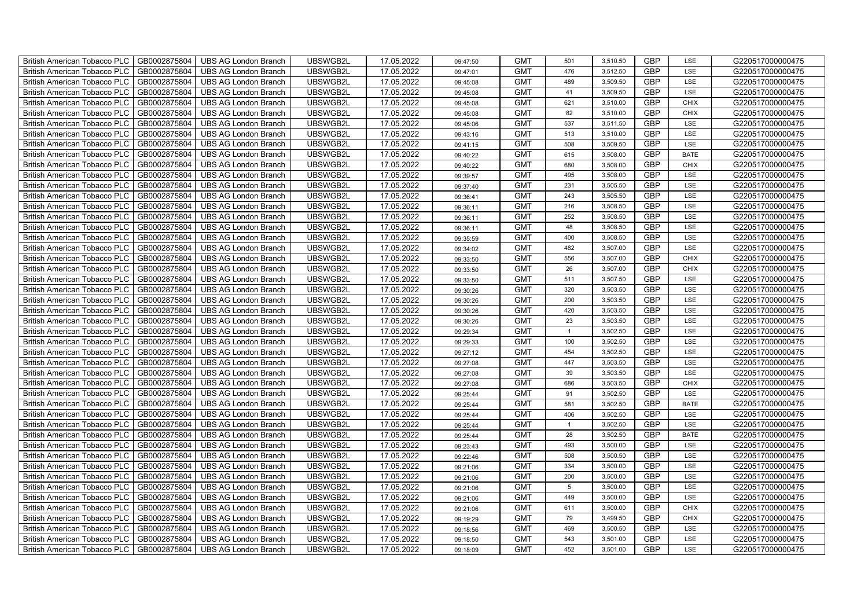| British American Tobacco PLC        | GB0002875804 | <b>UBS AG London Branch</b> | UBSWGB2L | 17.05.2022 | 09:47:50 | <b>GMT</b> | 501            | 3,510.50 | <b>GBP</b> | LSE         | G220517000000475 |
|-------------------------------------|--------------|-----------------------------|----------|------------|----------|------------|----------------|----------|------------|-------------|------------------|
| <b>British American Tobacco PLC</b> | GB0002875804 | <b>UBS AG London Branch</b> | UBSWGB2L | 17.05.2022 | 09:47:01 | <b>GMT</b> | 476            | 3,512.50 | <b>GBP</b> | <b>LSE</b>  | G220517000000475 |
| <b>British American Tobacco PLC</b> | GB0002875804 | <b>UBS AG London Branch</b> | UBSWGB2L | 17.05.2022 | 09:45:08 | <b>GMT</b> | 489            | 3,509.50 | <b>GBP</b> | LSE         | G220517000000475 |
| British American Tobacco PLC        | GB0002875804 | <b>UBS AG London Branch</b> | UBSWGB2L | 17.05.2022 | 09:45:08 | <b>GMT</b> | 41             | 3,509.50 | <b>GBP</b> | LSE         | G220517000000475 |
| <b>British American Tobacco PLC</b> | GB0002875804 | <b>UBS AG London Branch</b> | UBSWGB2L | 17.05.2022 | 09:45:08 | <b>GMT</b> | 621            | 3,510.00 | <b>GBP</b> | <b>CHIX</b> | G220517000000475 |
| British American Tobacco PLC        | GB0002875804 | <b>UBS AG London Branch</b> | UBSWGB2L | 17.05.2022 | 09:45:08 | <b>GMT</b> | 82             | 3,510.00 | <b>GBP</b> | <b>CHIX</b> | G220517000000475 |
| <b>British American Tobacco PLC</b> | GB0002875804 | <b>UBS AG London Branch</b> | UBSWGB2L | 17.05.2022 | 09:45:06 | <b>GMT</b> | 537            | 3,511.50 | <b>GBP</b> | LSE         | G220517000000475 |
| British American Tobacco PLC        | GB0002875804 | <b>UBS AG London Branch</b> | UBSWGB2L | 17.05.2022 | 09:43:16 | <b>GMT</b> | 513            | 3,510.00 | <b>GBP</b> | LSE         | G220517000000475 |
| <b>British American Tobacco PLC</b> | GB0002875804 | <b>UBS AG London Branch</b> | UBSWGB2L | 17.05.2022 | 09:41:15 | <b>GMT</b> | 508            | 3,509.50 | <b>GBP</b> | LSE         | G220517000000475 |
| British American Tobacco PLC        | GB0002875804 | <b>UBS AG London Branch</b> | UBSWGB2L | 17.05.2022 | 09:40:22 | <b>GMT</b> | 615            | 3,508.00 | <b>GBP</b> | <b>BATE</b> | G220517000000475 |
| <b>British American Tobacco PLC</b> | GB0002875804 | <b>UBS AG London Branch</b> | UBSWGB2L | 17.05.2022 | 09:40:22 | <b>GMT</b> | 680            | 3,508.00 | <b>GBP</b> | <b>CHIX</b> | G220517000000475 |
| <b>British American Tobacco PLC</b> | GB0002875804 | <b>UBS AG London Branch</b> | UBSWGB2L | 17.05.2022 | 09:39:57 | <b>GMT</b> | 495            | 3,508.00 | <b>GBP</b> | LSE         | G220517000000475 |
| British American Tobacco PLC        | GB0002875804 | <b>UBS AG London Branch</b> | UBSWGB2L | 17.05.2022 | 09:37:40 | <b>GMT</b> | 231            | 3,505.50 | <b>GBP</b> | LSE         | G220517000000475 |
| British American Tobacco PLC        | GB0002875804 | <b>UBS AG London Branch</b> | UBSWGB2L | 17.05.2022 | 09:36:41 | <b>GMT</b> | 243            | 3,505.50 | <b>GBP</b> | LSE         | G220517000000475 |
| British American Tobacco PLC        | GB0002875804 | <b>UBS AG London Branch</b> | UBSWGB2L | 17.05.2022 | 09:36:11 | <b>GMT</b> | 216            | 3,508.50 | <b>GBP</b> | LSE         | G220517000000475 |
| British American Tobacco PLC        | GB0002875804 | <b>UBS AG London Branch</b> | UBSWGB2L | 17.05.2022 | 09:36:11 | <b>GMT</b> | 252            | 3,508.50 | <b>GBP</b> | LSE         | G220517000000475 |
| British American Tobacco PLC        | GB0002875804 | <b>UBS AG London Branch</b> | UBSWGB2L | 17.05.2022 | 09:36:11 | <b>GMT</b> | 48             | 3,508.50 | <b>GBP</b> | LSE         | G220517000000475 |
| British American Tobacco PLC        | GB0002875804 | <b>UBS AG London Branch</b> | UBSWGB2L | 17.05.2022 | 09:35:59 | <b>GMT</b> | 400            | 3,508.50 | <b>GBP</b> | LSE         | G220517000000475 |
| British American Tobacco PLC        | GB0002875804 | <b>UBS AG London Branch</b> | UBSWGB2L | 17.05.2022 | 09:34:02 | <b>GMT</b> | 482            | 3,507.00 | <b>GBP</b> | LSE         | G220517000000475 |
| <b>British American Tobacco PLC</b> | GB0002875804 | <b>UBS AG London Branch</b> | UBSWGB2L | 17.05.2022 | 09:33:50 | <b>GMT</b> | 556            | 3,507.00 | GBP        | CHIX        | G220517000000475 |
| <b>British American Tobacco PLC</b> | GB0002875804 | <b>UBS AG London Branch</b> | UBSWGB2L | 17.05.2022 | 09:33:50 | <b>GMT</b> | 26             | 3,507.00 | <b>GBP</b> | <b>CHIX</b> | G220517000000475 |
| British American Tobacco PLC        | GB0002875804 | <b>UBS AG London Branch</b> | UBSWGB2L | 17.05.2022 | 09:33:50 | <b>GMT</b> | 511            | 3,507.50 | GBP        | LSE         | G220517000000475 |
| British American Tobacco PLC        | GB0002875804 | <b>UBS AG London Branch</b> | UBSWGB2L | 17.05.2022 | 09:30:26 | <b>GMT</b> | 320            | 3,503.50 | GBP        | LSE         | G220517000000475 |
| British American Tobacco PLC        | GB0002875804 | <b>UBS AG London Branch</b> | UBSWGB2L | 17.05.2022 | 09:30:26 | <b>GMT</b> | 200            | 3,503.50 | <b>GBP</b> | LSE         | G220517000000475 |
| British American Tobacco PLC        | GB0002875804 | <b>UBS AG London Branch</b> | UBSWGB2L | 17.05.2022 | 09:30:26 | <b>GMT</b> | 420            | 3,503.50 | <b>GBP</b> | LSE         | G220517000000475 |
| British American Tobacco PLC        | GB0002875804 | <b>UBS AG London Branch</b> | UBSWGB2L | 17.05.2022 | 09:30:26 | <b>GMT</b> | 23             | 3,503.50 | <b>GBP</b> | LSE         | G220517000000475 |
| British American Tobacco PLC        | GB0002875804 | <b>UBS AG London Branch</b> | UBSWGB2L | 17.05.2022 | 09:29:34 | <b>GMT</b> | $\overline{1}$ | 3,502.50 | <b>GBP</b> | LSE         | G220517000000475 |
| British American Tobacco PLC        | GB0002875804 | <b>UBS AG London Branch</b> | UBSWGB2L | 17.05.2022 | 09:29:33 | <b>GMT</b> | 100            | 3,502.50 | <b>GBP</b> | LSE         | G220517000000475 |
| <b>British American Tobacco PLC</b> | GB0002875804 | <b>UBS AG London Branch</b> | UBSWGB2L | 17.05.2022 | 09:27:12 | <b>GMT</b> | 454            | 3,502.50 | <b>GBP</b> | LSE         | G220517000000475 |
| <b>British American Tobacco PLC</b> | GB0002875804 | <b>UBS AG London Branch</b> | UBSWGB2L | 17.05.2022 | 09:27:08 | <b>GMT</b> | 447            | 3,503.50 | <b>GBP</b> | LSE         | G220517000000475 |
| British American Tobacco PLC        | GB0002875804 | <b>UBS AG London Branch</b> | UBSWGB2L | 17.05.2022 | 09:27:08 | <b>GMT</b> | 39             | 3,503.50 | <b>GBP</b> | LSE         | G220517000000475 |
| British American Tobacco PLC        | GB0002875804 | <b>UBS AG London Branch</b> | UBSWGB2L | 17.05.2022 | 09:27:08 | <b>GMT</b> | 686            | 3,503.50 | <b>GBP</b> | CHIX        | G220517000000475 |
| British American Tobacco PLC        | GB0002875804 | <b>UBS AG London Branch</b> | UBSWGB2L | 17.05.2022 | 09:25:44 | <b>GMT</b> | 91             | 3,502.50 | <b>GBP</b> | LSE         | G220517000000475 |
| British American Tobacco PLC        | GB0002875804 | <b>UBS AG London Branch</b> | UBSWGB2L | 17.05.2022 | 09:25:44 | <b>GMT</b> | 581            | 3,502.50 | <b>GBP</b> | <b>BATE</b> | G220517000000475 |
| British American Tobacco PLC        | GB0002875804 | <b>UBS AG London Branch</b> | UBSWGB2L | 17.05.2022 | 09:25:44 | <b>GMT</b> | 406            | 3,502.50 | <b>GBP</b> | LSE         | G220517000000475 |
| British American Tobacco PLC        | GB0002875804 | <b>UBS AG London Branch</b> | UBSWGB2L | 17.05.2022 | 09:25:44 | <b>GMT</b> | $\overline{1}$ | 3,502.50 | <b>GBP</b> | LSE         | G220517000000475 |
| British American Tobacco PLC        | GB0002875804 | <b>UBS AG London Branch</b> | UBSWGB2L | 17.05.2022 | 09:25:44 | <b>GMT</b> | 28             | 3,502.50 | <b>GBP</b> | <b>BATE</b> | G220517000000475 |
| <b>British American Tobacco PLC</b> | GB0002875804 | <b>UBS AG London Branch</b> | UBSWGB2L | 17.05.2022 | 09:23:43 | <b>GMT</b> | 493            | 3,500.00 | <b>GBP</b> | LSE         | G220517000000475 |
| <b>British American Tobacco PLC</b> | GB0002875804 | <b>UBS AG London Branch</b> | UBSWGB2L | 17.05.2022 | 09:22:46 | <b>GMT</b> | 508            | 3,500.50 | <b>GBP</b> | LSE         | G220517000000475 |
| <b>British American Tobacco PLC</b> | GB0002875804 | <b>UBS AG London Branch</b> | UBSWGB2L | 17.05.2022 | 09:21:06 | <b>GMT</b> | 334            | 3,500.00 | <b>GBP</b> | LSE         | G220517000000475 |
| British American Tobacco PLC        | GB0002875804 | UBS AG London Branch        | UBSWGB2L | 17.05.2022 | 09:21:06 | <b>GMT</b> | 200            | 3,500.00 | GBP        | LSE         | G220517000000475 |
| British American Tobacco PLC        | GB0002875804 | <b>UBS AG London Branch</b> | UBSWGB2L | 17.05.2022 | 09:21:06 | <b>GMT</b> | 5 <sub>5</sub> | 3,500.00 | <b>GBP</b> | LSE         | G220517000000475 |
| British American Tobacco PLC        | GB0002875804 | <b>UBS AG London Branch</b> | UBSWGB2L | 17.05.2022 | 09:21:06 | <b>GMT</b> | 449            | 3,500.00 | <b>GBP</b> | LSE         | G220517000000475 |
| <b>British American Tobacco PLC</b> | GB0002875804 | <b>UBS AG London Branch</b> | UBSWGB2L | 17.05.2022 | 09:21:06 | <b>GMT</b> | 611            | 3,500.00 | <b>GBP</b> | <b>CHIX</b> | G220517000000475 |
| <b>British American Tobacco PLC</b> | GB0002875804 | <b>UBS AG London Branch</b> | UBSWGB2L | 17.05.2022 | 09:19:29 | <b>GMT</b> | 79             | 3,499.50 | <b>GBP</b> | <b>CHIX</b> | G220517000000475 |
| <b>British American Tobacco PLC</b> | GB0002875804 | <b>UBS AG London Branch</b> | UBSWGB2L | 17.05.2022 | 09:18:56 | <b>GMT</b> | 469            | 3,500.50 | <b>GBP</b> | LSE         | G220517000000475 |
| British American Tobacco PLC        | GB0002875804 | <b>UBS AG London Branch</b> | UBSWGB2L | 17.05.2022 | 09:18:50 | <b>GMT</b> | 543            | 3,501.00 | <b>GBP</b> | LSE         | G220517000000475 |
| British American Tobacco PLC        | GB0002875804 | UBS AG London Branch        | UBSWGB2L | 17.05.2022 | 09:18:09 | <b>GMT</b> | 452            | 3,501.00 | <b>GBP</b> | LSE         | G220517000000475 |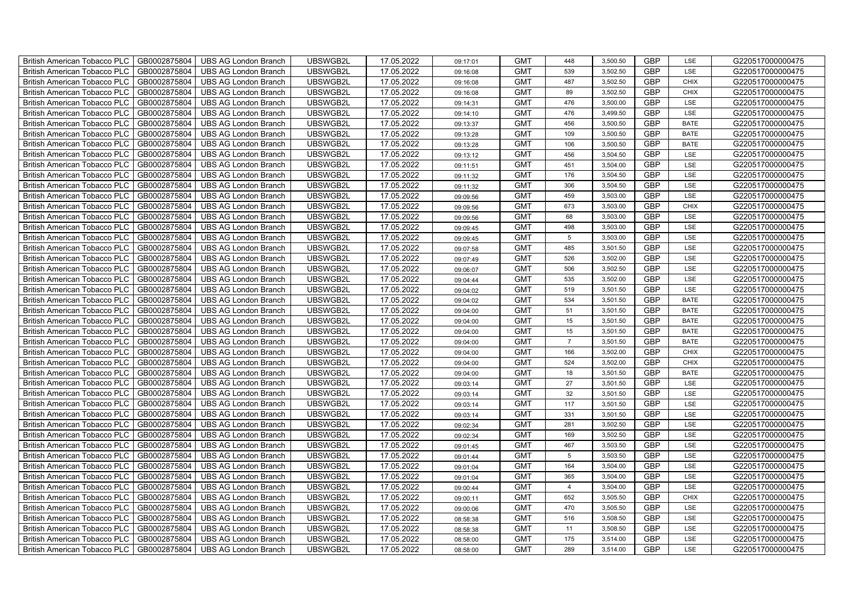| British American Tobacco PLC        | GB0002875804 | <b>UBS AG London Branch</b> | UBSWGB2L | 17.05.2022 | 09:17:01 | <b>GMT</b> | 448             | 3,500.50 | <b>GBP</b> | LSE         | G220517000000475 |
|-------------------------------------|--------------|-----------------------------|----------|------------|----------|------------|-----------------|----------|------------|-------------|------------------|
| <b>British American Tobacco PLC</b> | GB0002875804 | <b>UBS AG London Branch</b> | UBSWGB2L | 17.05.2022 | 09:16:08 | <b>GMT</b> | 539             | 3,502.50 | <b>GBP</b> | <b>LSE</b>  | G220517000000475 |
| <b>British American Tobacco PLC</b> | GB0002875804 | <b>UBS AG London Branch</b> | UBSWGB2L | 17.05.2022 | 09:16:08 | <b>GMT</b> | 487             | 3,502.50 | <b>GBP</b> | <b>CHIX</b> | G220517000000475 |
| British American Tobacco PLC        | GB0002875804 | <b>UBS AG London Branch</b> | UBSWGB2L | 17.05.2022 | 09:16:08 | <b>GMT</b> | 89              | 3,502.50 | <b>GBP</b> | <b>CHIX</b> | G220517000000475 |
| <b>British American Tobacco PLC</b> | GB0002875804 | <b>UBS AG London Branch</b> | UBSWGB2L | 17.05.2022 | 09:14:31 | <b>GMT</b> | 476             | 3,500.00 | <b>GBP</b> | LSE         | G220517000000475 |
| British American Tobacco PLC        | GB0002875804 | <b>UBS AG London Branch</b> | UBSWGB2L | 17.05.2022 | 09:14:10 | <b>GMT</b> | 476             | 3,499.50 | <b>GBP</b> | LSE         | G220517000000475 |
| <b>British American Tobacco PLC</b> | GB0002875804 | <b>UBS AG London Branch</b> | UBSWGB2L | 17.05.2022 | 09:13:37 | <b>GMT</b> | 456             | 3,500.50 | <b>GBP</b> | <b>BATE</b> | G220517000000475 |
| British American Tobacco PLC        | GB0002875804 | <b>UBS AG London Branch</b> | UBSWGB2L | 17.05.2022 | 09:13:28 | <b>GMT</b> | 109             | 3,500.50 | <b>GBP</b> | <b>BATE</b> | G220517000000475 |
| <b>British American Tobacco PLC</b> | GB0002875804 | <b>UBS AG London Branch</b> | UBSWGB2L | 17.05.2022 | 09:13:28 | <b>GMT</b> | 106             | 3,500.50 | <b>GBP</b> | <b>BATE</b> | G220517000000475 |
| British American Tobacco PLC        | GB0002875804 | <b>UBS AG London Branch</b> | UBSWGB2L | 17.05.2022 | 09:13:12 | <b>GMT</b> | 456             | 3,504.50 | <b>GBP</b> | LSE         | G220517000000475 |
| <b>British American Tobacco PLC</b> | GB0002875804 | <b>UBS AG London Branch</b> | UBSWGB2L | 17.05.2022 | 09:11:51 | <b>GMT</b> | 451             | 3,504.00 | <b>GBP</b> | LSE         | G220517000000475 |
| <b>British American Tobacco PLC</b> | GB0002875804 | <b>UBS AG London Branch</b> | UBSWGB2L | 17.05.2022 | 09:11:32 | <b>GMT</b> | 176             | 3,504.50 | <b>GBP</b> | LSE         | G220517000000475 |
| British American Tobacco PLC        | GB0002875804 | <b>UBS AG London Branch</b> | UBSWGB2L | 17.05.2022 | 09:11:32 | <b>GMT</b> | 306             | 3,504.50 | <b>GBP</b> | LSE         | G220517000000475 |
| British American Tobacco PLC        | GB0002875804 | <b>UBS AG London Branch</b> | UBSWGB2L | 17.05.2022 | 09:09:56 | <b>GMT</b> | 459             | 3,503.00 | <b>GBP</b> | LSE         | G220517000000475 |
| British American Tobacco PLC        | GB0002875804 | <b>UBS AG London Branch</b> | UBSWGB2L | 17.05.2022 | 09:09:56 | <b>GMT</b> | 673             | 3,503.00 | <b>GBP</b> | <b>CHIX</b> | G220517000000475 |
| British American Tobacco PLC        | GB0002875804 | <b>UBS AG London Branch</b> | UBSWGB2L | 17.05.2022 | 09:09:56 | <b>GMT</b> | 68              | 3,503.00 | <b>GBP</b> | LSE         | G220517000000475 |
| British American Tobacco PLC        | GB0002875804 | <b>UBS AG London Branch</b> | UBSWGB2L | 17.05.2022 | 09:09:45 | <b>GMT</b> | 498             | 3,503.00 | <b>GBP</b> | LSE         | G220517000000475 |
| British American Tobacco PLC        | GB0002875804 | <b>UBS AG London Branch</b> | UBSWGB2L | 17.05.2022 | 09:09:45 | <b>GMT</b> | $5\phantom{.0}$ | 3,503.00 | <b>GBP</b> | LSE         | G220517000000475 |
| British American Tobacco PLC        | GB0002875804 | <b>UBS AG London Branch</b> | UBSWGB2L | 17.05.2022 | 09:07:58 | <b>GMT</b> | 485             | 3,501.50 | <b>GBP</b> | LSE         | G220517000000475 |
| <b>British American Tobacco PLC</b> | GB0002875804 | <b>UBS AG London Branch</b> | UBSWGB2L | 17.05.2022 | 09:07:49 | <b>GMT</b> | 526             | 3,502.00 | GBP        | LSE         | G220517000000475 |
| <b>British American Tobacco PLC</b> | GB0002875804 | <b>UBS AG London Branch</b> | UBSWGB2L | 17.05.2022 | 09:06:07 | <b>GMT</b> | 506             | 3,502.50 | <b>GBP</b> | <b>LSE</b>  | G220517000000475 |
| British American Tobacco PLC        | GB0002875804 | <b>UBS AG London Branch</b> | UBSWGB2L | 17.05.2022 | 09:04:44 | <b>GMT</b> | 535             | 3,502.00 | <b>GBP</b> | LSE         | G220517000000475 |
| British American Tobacco PLC        | GB0002875804 | <b>UBS AG London Branch</b> | UBSWGB2L | 17.05.2022 | 09:04:02 | <b>GMT</b> | 519             | 3,501.50 | GBP        | LSE         | G220517000000475 |
| British American Tobacco PLC        | GB0002875804 | <b>UBS AG London Branch</b> | UBSWGB2L | 17.05.2022 | 09:04:02 | <b>GMT</b> | 534             | 3,501.50 | <b>GBP</b> | <b>BATE</b> | G220517000000475 |
| British American Tobacco PLC        | GB0002875804 | <b>UBS AG London Branch</b> | UBSWGB2L | 17.05.2022 | 09:04:00 | <b>GMT</b> | 51              | 3,501.50 | <b>GBP</b> | <b>BATE</b> | G220517000000475 |
| British American Tobacco PLC        | GB0002875804 | <b>UBS AG London Branch</b> | UBSWGB2L | 17.05.2022 | 09:04:00 | <b>GMT</b> | 15              | 3,501.50 | <b>GBP</b> | <b>BATE</b> | G220517000000475 |
| British American Tobacco PLC        | GB0002875804 | <b>UBS AG London Branch</b> | UBSWGB2L | 17.05.2022 | 09:04:00 | <b>GMT</b> | 15              | 3,501.50 | <b>GBP</b> | <b>BATE</b> | G220517000000475 |
| British American Tobacco PLC        | GB0002875804 | <b>UBS AG London Branch</b> | UBSWGB2L | 17.05.2022 | 09:04:00 | <b>GMT</b> | $\overline{7}$  | 3,501.50 | <b>GBP</b> | <b>BATE</b> | G220517000000475 |
| <b>British American Tobacco PLC</b> | GB0002875804 | <b>UBS AG London Branch</b> | UBSWGB2L | 17.05.2022 | 09:04:00 | <b>GMT</b> | 166             | 3,502.00 | <b>GBP</b> | CHIX        | G220517000000475 |
| <b>British American Tobacco PLC</b> | GB0002875804 | <b>UBS AG London Branch</b> | UBSWGB2L | 17.05.2022 | 09:04:00 | <b>GMT</b> | 524             | 3,502.00 | <b>GBP</b> | <b>CHIX</b> | G220517000000475 |
| British American Tobacco PLC        | GB0002875804 | <b>UBS AG London Branch</b> | UBSWGB2L | 17.05.2022 | 09:04:00 | <b>GMT</b> | 18              | 3,501.50 | <b>GBP</b> | <b>BATE</b> | G220517000000475 |
| British American Tobacco PLC        | GB0002875804 | <b>UBS AG London Branch</b> | UBSWGB2L | 17.05.2022 | 09:03:14 | <b>GMT</b> | 27              | 3,501.50 | <b>GBP</b> | LSE         | G220517000000475 |
| British American Tobacco PLC        | GB0002875804 | <b>UBS AG London Branch</b> | UBSWGB2L | 17.05.2022 | 09:03:14 | <b>GMT</b> | 32              | 3,501.50 | <b>GBP</b> | LSE         | G220517000000475 |
| British American Tobacco PLC        | GB0002875804 | <b>UBS AG London Branch</b> | UBSWGB2L | 17.05.2022 | 09:03:14 | <b>GMT</b> | 117             | 3,501.50 | <b>GBP</b> | LSE         | G220517000000475 |
| British American Tobacco PLC        | GB0002875804 | <b>UBS AG London Branch</b> | UBSWGB2L | 17.05.2022 | 09:03:14 | <b>GMT</b> | 331             | 3,501.50 | <b>GBP</b> | LSE         | G220517000000475 |
| British American Tobacco PLC        | GB0002875804 | <b>UBS AG London Branch</b> | UBSWGB2L | 17.05.2022 | 09:02:34 | <b>GMT</b> | 281             | 3,502.50 | <b>GBP</b> | LSE         | G220517000000475 |
| British American Tobacco PLC        | GB0002875804 | <b>UBS AG London Branch</b> | UBSWGB2L | 17.05.2022 | 09:02:34 | <b>GMT</b> | 169             | 3,502.50 | <b>GBP</b> | LSE         | G220517000000475 |
| <b>British American Tobacco PLC</b> | GB0002875804 | <b>UBS AG London Branch</b> | UBSWGB2L | 17.05.2022 | 09:01:45 | <b>GMT</b> | 467             | 3,503.50 | <b>GBP</b> | LSE         | G220517000000475 |
| British American Tobacco PLC        | GB0002875804 | <b>UBS AG London Branch</b> | UBSWGB2L | 17.05.2022 | 09:01:44 | <b>GMT</b> | $5\phantom{.0}$ | 3,503.50 | <b>GBP</b> | LSE         | G220517000000475 |
| <b>British American Tobacco PLC</b> | GB0002875804 | <b>UBS AG London Branch</b> | UBSWGB2L | 17.05.2022 | 09:01:04 | <b>GMT</b> | 164             | 3,504.00 | <b>GBP</b> | LSE         | G220517000000475 |
| British American Tobacco PLC        | GB0002875804 | UBS AG London Branch        | UBSWGB2L | 17.05.2022 | 09:01:04 | <b>GMT</b> | 365             | 3,504.00 | <b>GBP</b> | LSE         | G220517000000475 |
| British American Tobacco PLC        | GB0002875804 | <b>UBS AG London Branch</b> | UBSWGB2L | 17.05.2022 | 09:00:44 | <b>GMT</b> | $\overline{4}$  | 3,504.00 | <b>GBP</b> | LSE         | G220517000000475 |
| British American Tobacco PLC        | GB0002875804 | <b>UBS AG London Branch</b> | UBSWGB2L | 17.05.2022 | 09:00:11 | <b>GMT</b> | 652             | 3,505.50 | <b>GBP</b> | <b>CHIX</b> | G220517000000475 |
| <b>British American Tobacco PLC</b> | GB0002875804 | <b>UBS AG London Branch</b> | UBSWGB2L | 17.05.2022 | 09:00:06 | <b>GMT</b> | 470             | 3,505.50 | <b>GBP</b> | LSE         | G220517000000475 |
| <b>British American Tobacco PLC</b> | GB0002875804 | <b>UBS AG London Branch</b> | UBSWGB2L | 17.05.2022 | 08:58:38 | <b>GMT</b> | 516             | 3,508.50 | <b>GBP</b> | LSE         | G220517000000475 |
| <b>British American Tobacco PLC</b> | GB0002875804 | <b>UBS AG London Branch</b> | UBSWGB2L | 17.05.2022 | 08:58:38 | <b>GMT</b> | 11              | 3,508.50 | <b>GBP</b> | LSE         | G220517000000475 |
| British American Tobacco PLC        | GB0002875804 | <b>UBS AG London Branch</b> | UBSWGB2L | 17.05.2022 | 08:58:00 | <b>GMT</b> | 175             | 3,514.00 | <b>GBP</b> | LSE         | G220517000000475 |
| British American Tobacco PLC        | GB0002875804 | UBS AG London Branch        | UBSWGB2L | 17.05.2022 | 08:58:00 | <b>GMT</b> | 289             | 3,514.00 | <b>GBP</b> | LSE         | G220517000000475 |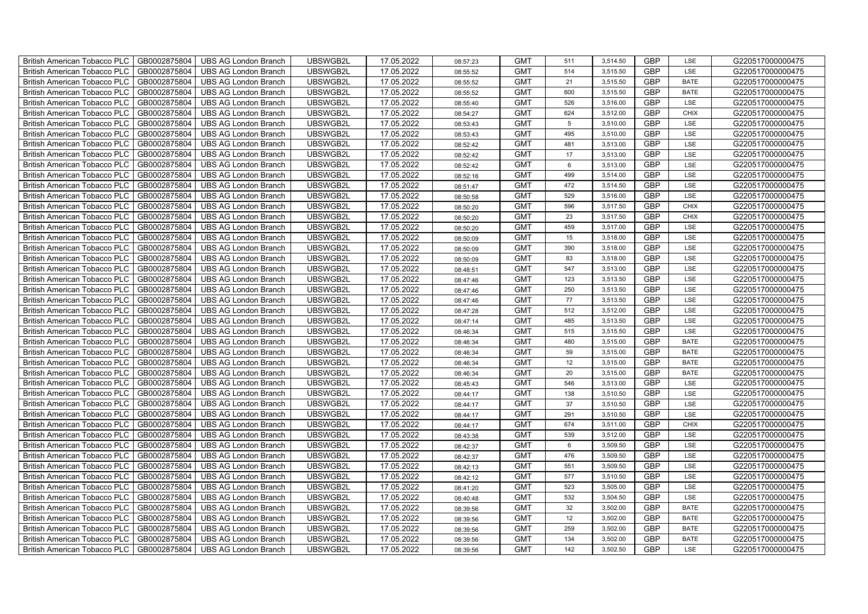| British American Tobacco PLC        | GB0002875804 | <b>UBS AG London Branch</b> | UBSWGB2L | 17.05.2022 | 08:57:23 | <b>GMT</b> | 511 | 3,514.50 | <b>GBP</b> | LSE         | G220517000000475 |
|-------------------------------------|--------------|-----------------------------|----------|------------|----------|------------|-----|----------|------------|-------------|------------------|
| <b>British American Tobacco PLC</b> | GB0002875804 | <b>UBS AG London Branch</b> | UBSWGB2L | 17.05.2022 | 08:55:52 | <b>GMT</b> | 514 | 3,515.50 | <b>GBP</b> | <b>LSE</b>  | G220517000000475 |
| <b>British American Tobacco PLC</b> | GB0002875804 | <b>UBS AG London Branch</b> | UBSWGB2L | 17.05.2022 | 08:55:52 | <b>GMT</b> | 21  | 3,515.50 | <b>GBP</b> | <b>BATE</b> | G220517000000475 |
| British American Tobacco PLC        | GB0002875804 | <b>UBS AG London Branch</b> | UBSWGB2L | 17.05.2022 | 08:55:52 | <b>GMT</b> | 600 | 3,515.50 | <b>GBP</b> | <b>BATE</b> | G220517000000475 |
| <b>British American Tobacco PLC</b> | GB0002875804 | <b>UBS AG London Branch</b> | UBSWGB2L | 17.05.2022 | 08:55:40 | <b>GMT</b> | 526 | 3,516.00 | <b>GBP</b> | LSE         | G220517000000475 |
| British American Tobacco PLC        | GB0002875804 | <b>UBS AG London Branch</b> | UBSWGB2L | 17.05.2022 | 08:54:27 | <b>GMT</b> | 624 | 3,512.00 | <b>GBP</b> | <b>CHIX</b> | G220517000000475 |
| <b>British American Tobacco PLC</b> | GB0002875804 | <b>UBS AG London Branch</b> | UBSWGB2L | 17.05.2022 | 08:53:43 | <b>GMT</b> | 5   | 3,510.00 | <b>GBP</b> | LSE         | G220517000000475 |
| British American Tobacco PLC        | GB0002875804 | <b>UBS AG London Branch</b> | UBSWGB2L | 17.05.2022 | 08:53:43 | <b>GMT</b> | 495 | 3,510.00 | <b>GBP</b> | LSE         | G220517000000475 |
| <b>British American Tobacco PLC</b> | GB0002875804 | <b>UBS AG London Branch</b> | UBSWGB2L | 17.05.2022 | 08:52:42 | <b>GMT</b> | 481 | 3,513.00 | <b>GBP</b> | LSE         | G220517000000475 |
| British American Tobacco PLC        | GB0002875804 | <b>UBS AG London Branch</b> | UBSWGB2L | 17.05.2022 | 08:52:42 | <b>GMT</b> | 17  | 3,513.00 | <b>GBP</b> | LSE         | G220517000000475 |
| <b>British American Tobacco PLC</b> | GB0002875804 | <b>UBS AG London Branch</b> | UBSWGB2L | 17.05.2022 | 08:52:42 | <b>GMT</b> | 6   | 3,513.00 | <b>GBP</b> | LSE         | G220517000000475 |
| <b>British American Tobacco PLC</b> | GB0002875804 | <b>UBS AG London Branch</b> | UBSWGB2L | 17.05.2022 | 08:52:16 | <b>GMT</b> | 499 | 3,514.00 | <b>GBP</b> | LSE         | G220517000000475 |
| British American Tobacco PLC        | GB0002875804 | <b>UBS AG London Branch</b> | UBSWGB2L | 17.05.2022 | 08:51:47 | <b>GMT</b> | 472 | 3,514.50 | <b>GBP</b> | LSE         | G220517000000475 |
| British American Tobacco PLC        | GB0002875804 | <b>UBS AG London Branch</b> | UBSWGB2L | 17.05.2022 | 08:50:58 | <b>GMT</b> | 529 | 3,516.00 | <b>GBP</b> | LSE         | G220517000000475 |
| British American Tobacco PLC        | GB0002875804 | <b>UBS AG London Branch</b> | UBSWGB2L | 17.05.2022 | 08:50:20 | <b>GMT</b> | 596 | 3,517.50 | <b>GBP</b> | <b>CHIX</b> | G220517000000475 |
| British American Tobacco PLC        | GB0002875804 | <b>UBS AG London Branch</b> | UBSWGB2L | 17.05.2022 | 08:50:20 | <b>GMT</b> | 23  | 3,517.50 | <b>GBP</b> | <b>CHIX</b> | G220517000000475 |
| British American Tobacco PLC        | GB0002875804 | <b>UBS AG London Branch</b> | UBSWGB2L | 17.05.2022 | 08:50:20 | <b>GMT</b> | 459 | 3,517.00 | <b>GBP</b> | LSE         | G220517000000475 |
| British American Tobacco PLC        | GB0002875804 | <b>UBS AG London Branch</b> | UBSWGB2L | 17.05.2022 | 08:50:09 | <b>GMT</b> | 15  | 3,518.00 | <b>GBP</b> | LSE         | G220517000000475 |
| British American Tobacco PLC        | GB0002875804 | <b>UBS AG London Branch</b> | UBSWGB2L | 17.05.2022 | 08:50:09 | <b>GMT</b> | 390 | 3,518.00 | <b>GBP</b> | LSE         | G220517000000475 |
| <b>British American Tobacco PLC</b> | GB0002875804 | <b>UBS AG London Branch</b> | UBSWGB2L | 17.05.2022 | 08:50:09 | <b>GMT</b> | 83  | 3,518.00 | <b>GBP</b> | LSE         | G220517000000475 |
| <b>British American Tobacco PLC</b> | GB0002875804 | <b>UBS AG London Branch</b> | UBSWGB2L | 17.05.2022 | 08:48:51 | <b>GMT</b> | 547 | 3,513.00 | <b>GBP</b> | <b>LSE</b>  | G220517000000475 |
| British American Tobacco PLC        | GB0002875804 | <b>UBS AG London Branch</b> | UBSWGB2L | 17.05.2022 | 08:47:46 | <b>GMT</b> | 123 | 3,513.50 | <b>GBP</b> | LSE         | G220517000000475 |
| British American Tobacco PLC        | GB0002875804 | <b>UBS AG London Branch</b> | UBSWGB2L | 17.05.2022 | 08:47:46 | <b>GMT</b> | 250 | 3,513.50 | GBP        | LSE         | G220517000000475 |
| British American Tobacco PLC        | GB0002875804 | <b>UBS AG London Branch</b> | UBSWGB2L | 17.05.2022 | 08:47:46 | <b>GMT</b> | 77  | 3,513.50 | <b>GBP</b> | LSE         | G220517000000475 |
| British American Tobacco PLC        | GB0002875804 | <b>UBS AG London Branch</b> | UBSWGB2L | 17.05.2022 | 08:47:28 | <b>GMT</b> | 512 | 3,512.00 | <b>GBP</b> | LSE         | G220517000000475 |
| British American Tobacco PLC        | GB0002875804 | <b>UBS AG London Branch</b> | UBSWGB2L | 17.05.2022 | 08:47:14 | <b>GMT</b> | 485 | 3,513.50 | <b>GBP</b> | LSE         | G220517000000475 |
| British American Tobacco PLC        | GB0002875804 | <b>UBS AG London Branch</b> | UBSWGB2L | 17.05.2022 | 08:46:34 | <b>GMT</b> | 515 | 3,515.50 | <b>GBP</b> | LSE         | G220517000000475 |
| British American Tobacco PLC        | GB0002875804 | <b>UBS AG London Branch</b> | UBSWGB2L | 17.05.2022 | 08:46:34 | <b>GMT</b> | 480 | 3,515.00 | <b>GBP</b> | <b>BATE</b> | G220517000000475 |
| <b>British American Tobacco PLC</b> | GB0002875804 | <b>UBS AG London Branch</b> | UBSWGB2L | 17.05.2022 | 08:46:34 | <b>GMT</b> | 59  | 3,515.00 | <b>GBP</b> | <b>BATE</b> | G220517000000475 |
| <b>British American Tobacco PLC</b> | GB0002875804 | <b>UBS AG London Branch</b> | UBSWGB2L | 17.05.2022 | 08:46:34 | <b>GMT</b> | 12  | 3,515.00 | <b>GBP</b> | <b>BATE</b> | G220517000000475 |
| British American Tobacco PLC        | GB0002875804 | <b>UBS AG London Branch</b> | UBSWGB2L | 17.05.2022 | 08:46:34 | <b>GMT</b> | 20  | 3,515.00 | <b>GBP</b> | <b>BATE</b> | G220517000000475 |
| British American Tobacco PLC        | GB0002875804 | <b>UBS AG London Branch</b> | UBSWGB2L | 17.05.2022 | 08:45:43 | <b>GMT</b> | 546 | 3,513.00 | <b>GBP</b> | LSE         | G220517000000475 |
| British American Tobacco PLC        | GB0002875804 | <b>UBS AG London Branch</b> | UBSWGB2L | 17.05.2022 | 08:44:17 | <b>GMT</b> | 138 | 3,510.50 | <b>GBP</b> | LSE         | G220517000000475 |
| British American Tobacco PLC        | GB0002875804 | <b>UBS AG London Branch</b> | UBSWGB2L | 17.05.2022 | 08:44:17 | <b>GMT</b> | 37  | 3,510.50 | <b>GBP</b> | LSE         | G220517000000475 |
| British American Tobacco PLC        | GB0002875804 | <b>UBS AG London Branch</b> | UBSWGB2L | 17.05.2022 | 08:44:17 | <b>GMT</b> | 291 | 3,510.50 | <b>GBP</b> | LSE         | G220517000000475 |
| British American Tobacco PLC        | GB0002875804 | <b>UBS AG London Branch</b> | UBSWGB2L | 17.05.2022 | 08:44:17 | <b>GMT</b> | 674 | 3,511.00 | <b>GBP</b> | CHIX        | G220517000000475 |
| British American Tobacco PLC        | GB0002875804 | <b>UBS AG London Branch</b> | UBSWGB2L | 17.05.2022 | 08:43:38 | <b>GMT</b> | 539 | 3,512.00 | <b>GBP</b> | LSE         | G220517000000475 |
| <b>British American Tobacco PLC</b> | GB0002875804 | <b>UBS AG London Branch</b> | UBSWGB2L | 17.05.2022 | 08:42:37 | <b>GMT</b> | 6   | 3,509.50 | <b>GBP</b> | LSE         | G220517000000475 |
| British American Tobacco PLC        | GB0002875804 | <b>UBS AG London Branch</b> | UBSWGB2L | 17.05.2022 | 08:42:37 | <b>GMT</b> | 476 | 3,509.50 | <b>GBP</b> | LSE         | G220517000000475 |
| <b>British American Tobacco PLC</b> | GB0002875804 | <b>UBS AG London Branch</b> | UBSWGB2L | 17.05.2022 | 08:42:13 | <b>GMT</b> | 551 | 3,509.50 | <b>GBP</b> | LSE         | G220517000000475 |
| British American Tobacco PLC        | GB0002875804 | UBS AG London Branch        | UBSWGB2L | 17.05.2022 | 08:42:12 | <b>GMT</b> | 577 | 3,510.50 | GBP        | LSE         | G220517000000475 |
| British American Tobacco PLC        | GB0002875804 | <b>UBS AG London Branch</b> | UBSWGB2L | 17.05.2022 | 08:41:20 | <b>GMT</b> | 523 | 3,505.00 | <b>GBP</b> | LSE         | G220517000000475 |
| British American Tobacco PLC        | GB0002875804 | <b>UBS AG London Branch</b> | UBSWGB2L | 17.05.2022 | 08:40:48 | <b>GMT</b> | 532 | 3,504.50 | <b>GBP</b> | LSE         | G220517000000475 |
| <b>British American Tobacco PLC</b> | GB0002875804 | <b>UBS AG London Branch</b> | UBSWGB2L | 17.05.2022 | 08:39:56 | <b>GMT</b> | 32  | 3,502.00 | <b>GBP</b> | <b>BATE</b> | G220517000000475 |
| <b>British American Tobacco PLC</b> | GB0002875804 | <b>UBS AG London Branch</b> | UBSWGB2L | 17.05.2022 | 08:39:56 | <b>GMT</b> | 12  | 3,502.00 | <b>GBP</b> | <b>BATE</b> | G220517000000475 |
| <b>British American Tobacco PLC</b> | GB0002875804 | <b>UBS AG London Branch</b> | UBSWGB2L | 17.05.2022 | 08:39:56 | <b>GMT</b> | 259 | 3,502.00 | <b>GBP</b> | <b>BATE</b> | G220517000000475 |
| British American Tobacco PLC        | GB0002875804 | <b>UBS AG London Branch</b> | UBSWGB2L | 17.05.2022 | 08:39:56 | <b>GMT</b> | 134 | 3,502.00 | <b>GBP</b> | <b>BATE</b> | G220517000000475 |
| British American Tobacco PLC        | GB0002875804 | UBS AG London Branch        | UBSWGB2L | 17.05.2022 | 08:39:56 | <b>GMT</b> | 142 | 3,502.50 | <b>GBP</b> | LSE         | G220517000000475 |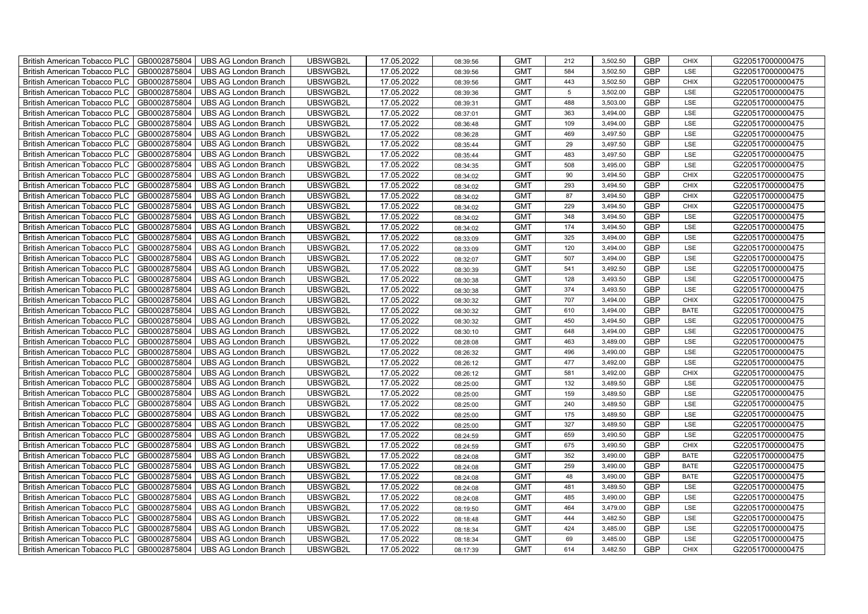| British American Tobacco PLC        | GB0002875804 | <b>UBS AG London Branch</b> | UBSWGB2L | 17.05.2022 | 08:39:56 | <b>GMT</b> | 212             | 3,502.50 | <b>GBP</b> | <b>CHIX</b> | G220517000000475 |
|-------------------------------------|--------------|-----------------------------|----------|------------|----------|------------|-----------------|----------|------------|-------------|------------------|
| <b>British American Tobacco PLC</b> | GB0002875804 | <b>UBS AG London Branch</b> | UBSWGB2L | 17.05.2022 | 08:39:56 | <b>GMT</b> | 584             | 3,502.50 | <b>GBP</b> | LSE         | G220517000000475 |
| <b>British American Tobacco PLC</b> | GB0002875804 | UBS AG London Branch        | UBSWGB2L | 17.05.2022 | 08:39:56 | <b>GMT</b> | 443             | 3,502.50 | <b>GBP</b> | <b>CHIX</b> | G220517000000475 |
| <b>British American Tobacco PLC</b> | GB0002875804 | <b>UBS AG London Branch</b> | UBSWGB2L | 17.05.2022 | 08:39:36 | <b>GMT</b> | $5\phantom{.0}$ | 3,502.00 | <b>GBP</b> | LSE         | G220517000000475 |
| British American Tobacco PLC        | GB0002875804 | <b>UBS AG London Branch</b> | UBSWGB2L | 17.05.2022 | 08:39:31 | <b>GMT</b> | 488             | 3,503.00 | <b>GBP</b> | LSE         | G220517000000475 |
| <b>British American Tobacco PLC</b> | GB0002875804 | <b>UBS AG London Branch</b> | UBSWGB2L | 17.05.2022 | 08:37:01 | <b>GMT</b> | 363             | 3,494.00 | <b>GBP</b> | LSE         | G220517000000475 |
| British American Tobacco PLC        | GB0002875804 | <b>UBS AG London Branch</b> | UBSWGB2L | 17.05.2022 | 08:36:48 | <b>GMT</b> | 109             | 3,494.00 | <b>GBP</b> | LSE         | G220517000000475 |
| <b>British American Tobacco PLC</b> | GB0002875804 | <b>UBS AG London Branch</b> | UBSWGB2L | 17.05.2022 | 08:36:28 | <b>GMT</b> | 469             | 3,497.50 | <b>GBP</b> | LSE         | G220517000000475 |
| <b>British American Tobacco PLC</b> | GB0002875804 | <b>UBS AG London Branch</b> | UBSWGB2L | 17.05.2022 | 08:35:44 | <b>GMT</b> | 29              | 3,497.50 | <b>GBP</b> | LSE         | G220517000000475 |
| British American Tobacco PLC        | GB0002875804 | <b>UBS AG London Branch</b> | UBSWGB2L | 17.05.2022 | 08:35:44 | <b>GMT</b> | 483             | 3,497.50 | <b>GBP</b> | LSE         | G220517000000475 |
| <b>British American Tobacco PLC</b> | GB0002875804 | <b>UBS AG London Branch</b> | UBSWGB2L | 17.05.2022 | 08:34:35 | <b>GMT</b> | 508             | 3,495.00 | <b>GBP</b> | LSE         | G220517000000475 |
| <b>British American Tobacco PLC</b> | GB0002875804 | <b>UBS AG London Branch</b> | UBSWGB2L | 17.05.2022 | 08:34:02 | <b>GMT</b> | 90              | 3,494.50 | <b>GBP</b> | <b>CHIX</b> | G220517000000475 |
| <b>British American Tobacco PLC</b> | GB0002875804 | <b>UBS AG London Branch</b> | UBSWGB2L | 17.05.2022 | 08:34:02 | <b>GMT</b> | 293             | 3,494.50 | <b>GBP</b> | <b>CHIX</b> | G220517000000475 |
| British American Tobacco PLC        | GB0002875804 | <b>UBS AG London Branch</b> | UBSWGB2L | 17.05.2022 | 08:34:02 | <b>GMT</b> | 87              | 3,494.50 | <b>GBP</b> | <b>CHIX</b> | G220517000000475 |
| <b>British American Tobacco PLC</b> | GB0002875804 | <b>UBS AG London Branch</b> | UBSWGB2L | 17.05.2022 | 08:34:02 | <b>GMT</b> | 229             | 3,494.50 | <b>GBP</b> | <b>CHIX</b> | G220517000000475 |
| British American Tobacco PLC        | GB0002875804 | <b>UBS AG London Branch</b> | UBSWGB2L | 17.05.2022 | 08:34:02 | <b>GMT</b> | 348             | 3,494.50 | <b>GBP</b> | LSE         | G220517000000475 |
| <b>British American Tobacco PLC</b> | GB0002875804 | <b>UBS AG London Branch</b> | UBSWGB2L | 17.05.2022 | 08:34:02 | <b>GMT</b> | 174             | 3,494.50 | <b>GBP</b> | LSE         | G220517000000475 |
| <b>British American Tobacco PLC</b> | GB0002875804 | <b>UBS AG London Branch</b> | UBSWGB2L | 17.05.2022 | 08:33:09 | <b>GMT</b> | 325             | 3,494.00 | <b>GBP</b> | LSE         | G220517000000475 |
| British American Tobacco PLC        | GB0002875804 | <b>UBS AG London Branch</b> | UBSWGB2L | 17.05.2022 | 08:33:09 | <b>GMT</b> | 120             | 3,494.00 | <b>GBP</b> | LSE         | G220517000000475 |
| <b>British American Tobacco PLC</b> | GB0002875804 | <b>UBS AG London Branch</b> | UBSWGB2L | 17.05.2022 | 08:32:07 | <b>GMT</b> | 507             | 3,494.00 | <b>GBP</b> | LSE         | G220517000000475 |
| <b>British American Tobacco PLC</b> | GB0002875804 | <b>UBS AG London Branch</b> | UBSWGB2L | 17.05.2022 | 08:30:39 | <b>GMT</b> | 541             | 3,492.50 | <b>GBP</b> | <b>LSE</b>  | G220517000000475 |
| British American Tobacco PLC        | GB0002875804 | <b>UBS AG London Branch</b> | UBSWGB2L | 17.05.2022 | 08:30:38 | <b>GMT</b> | 128             | 3,493.50 | <b>GBP</b> | LSE         | G220517000000475 |
| British American Tobacco PLC        | GB0002875804 | <b>UBS AG London Branch</b> | UBSWGB2L | 17.05.2022 | 08:30:38 | <b>GMT</b> | 374             | 3,493.50 | GBP        | LSE         | G220517000000475 |
| <b>British American Tobacco PLC</b> | GB0002875804 | <b>UBS AG London Branch</b> | UBSWGB2L | 17.05.2022 | 08:30:32 | <b>GMT</b> | 707             | 3,494.00 | <b>GBP</b> | <b>CHIX</b> | G220517000000475 |
| <b>British American Tobacco PLC</b> | GB0002875804 | <b>UBS AG London Branch</b> | UBSWGB2L | 17.05.2022 | 08:30:32 | <b>GMT</b> | 610             | 3,494.00 | <b>GBP</b> | <b>BATE</b> | G220517000000475 |
| <b>British American Tobacco PLC</b> | GB0002875804 | <b>UBS AG London Branch</b> | UBSWGB2L | 17.05.2022 | 08:30:32 | <b>GMT</b> | 450             | 3,494.50 | <b>GBP</b> | LSE         | G220517000000475 |
| <b>British American Tobacco PLC</b> | GB0002875804 | <b>UBS AG London Branch</b> | UBSWGB2L | 17.05.2022 | 08:30:10 | <b>GMT</b> | 648             | 3,494.00 | <b>GBP</b> | LSE         | G220517000000475 |
| British American Tobacco PLC        | GB0002875804 | <b>UBS AG London Branch</b> | UBSWGB2L | 17.05.2022 | 08:28:08 | <b>GMT</b> | 463             | 3,489.00 | <b>GBP</b> | LSE         | G220517000000475 |
| <b>British American Tobacco PLC</b> | GB0002875804 | <b>UBS AG London Branch</b> | UBSWGB2L | 17.05.2022 | 08:26:32 | <b>GMT</b> | 496             | 3,490.00 | <b>GBP</b> | LSE         | G220517000000475 |
| <b>British American Tobacco PLC</b> | GB0002875804 | <b>UBS AG London Branch</b> | UBSWGB2L | 17.05.2022 | 08:26:12 | <b>GMT</b> | 477             | 3,492.00 | <b>GBP</b> | LSE         | G220517000000475 |
| British American Tobacco PLC        | GB0002875804 | <b>UBS AG London Branch</b> | UBSWGB2L | 17.05.2022 | 08:26:12 | <b>GMT</b> | 581             | 3,492.00 | <b>GBP</b> | <b>CHIX</b> | G220517000000475 |
| British American Tobacco PLC        | GB0002875804 | <b>UBS AG London Branch</b> | UBSWGB2L | 17.05.2022 | 08:25:00 | <b>GMT</b> | 132             | 3,489.50 | GBP        | LSE         | G220517000000475 |
| <b>British American Tobacco PLC</b> | GB0002875804 | <b>UBS AG London Branch</b> | UBSWGB2L | 17.05.2022 | 08:25:00 | <b>GMT</b> | 159             | 3,489.50 | <b>GBP</b> | LSE         | G220517000000475 |
| <b>British American Tobacco PLC</b> | GB0002875804 | <b>UBS AG London Branch</b> | UBSWGB2L | 17.05.2022 | 08:25:00 | <b>GMT</b> | 240             | 3,489.50 | <b>GBP</b> | LSE         | G220517000000475 |
| <b>British American Tobacco PLC</b> | GB0002875804 | <b>UBS AG London Branch</b> | UBSWGB2L | 17.05.2022 | 08:25:00 | <b>GMT</b> | 175             | 3,489.50 | <b>GBP</b> | LSE         | G220517000000475 |
| <b>British American Tobacco PLC</b> | GB0002875804 | <b>UBS AG London Branch</b> | UBSWGB2L | 17.05.2022 | 08:25:00 | <b>GMT</b> | 327             | 3,489.50 | <b>GBP</b> | LSE         | G220517000000475 |
| <b>British American Tobacco PLC</b> | GB0002875804 | <b>UBS AG London Branch</b> | UBSWGB2L | 17.05.2022 | 08:24:59 | <b>GMT</b> | 659             | 3,490.50 | <b>GBP</b> | LSE         | G220517000000475 |
| <b>British American Tobacco PLC</b> | GB0002875804 | <b>UBS AG London Branch</b> | UBSWGB2L | 17.05.2022 | 08:24:59 | <b>GMT</b> | 675             | 3,490.50 | <b>GBP</b> | <b>CHIX</b> | G220517000000475 |
| <b>British American Tobacco PLC</b> | GB0002875804 | <b>UBS AG London Branch</b> | UBSWGB2L | 17.05.2022 | 08:24:08 | <b>GMT</b> | 352             | 3,490.00 | <b>GBP</b> | <b>BATE</b> | G220517000000475 |
| British American Tobacco PLC        | GB0002875804 | <b>UBS AG London Branch</b> | UBSWGB2L | 17.05.2022 | 08:24:08 | <b>GMT</b> | 259             | 3,490.00 | GBP        | <b>BATE</b> | G220517000000475 |
| British American Tobacco PLC        | GB0002875804 | <b>UBS AG London Branch</b> | UBSWGB2L | 17.05.2022 | 08:24:08 | <b>GMT</b> | 48              | 3,490.00 | GBP        | <b>BATE</b> | G220517000000475 |
| <b>British American Tobacco PLC</b> | GB0002875804 | <b>UBS AG London Branch</b> | UBSWGB2L | 17.05.2022 | 08:24:08 | <b>GMT</b> | 481             | 3,489.50 | <b>GBP</b> | LSE         | G220517000000475 |
| British American Tobacco PLC        | GB0002875804 | <b>UBS AG London Branch</b> | UBSWGB2L | 17.05.2022 | 08:24:08 | <b>GMT</b> | 485             | 3,490.00 | <b>GBP</b> | LSE         | G220517000000475 |
| <b>British American Tobacco PLC</b> | GB0002875804 | <b>UBS AG London Branch</b> | UBSWGB2L | 17.05.2022 | 08:19:50 | <b>GMT</b> | 464             | 3,479.00 | <b>GBP</b> | LSE         | G220517000000475 |
| <b>British American Tobacco PLC</b> | GB0002875804 | <b>UBS AG London Branch</b> | UBSWGB2L | 17.05.2022 | 08:18:48 | <b>GMT</b> | 444             | 3,482.50 | <b>GBP</b> | LSE         | G220517000000475 |
| <b>British American Tobacco PLC</b> | GB0002875804 | <b>UBS AG London Branch</b> | UBSWGB2L | 17.05.2022 | 08:18:34 | <b>GMT</b> | 424             | 3,485.00 | <b>GBP</b> | LSE         | G220517000000475 |
| <b>British American Tobacco PLC</b> | GB0002875804 | <b>UBS AG London Branch</b> | UBSWGB2L | 17.05.2022 | 08:18:34 | <b>GMT</b> | 69              | 3,485.00 | <b>GBP</b> | LSE         | G220517000000475 |
| British American Tobacco PLC        | GB0002875804 | UBS AG London Branch        | UBSWGB2L | 17.05.2022 | 08:17:39 | <b>GMT</b> | 614             | 3,482.50 | <b>GBP</b> | <b>CHIX</b> | G220517000000475 |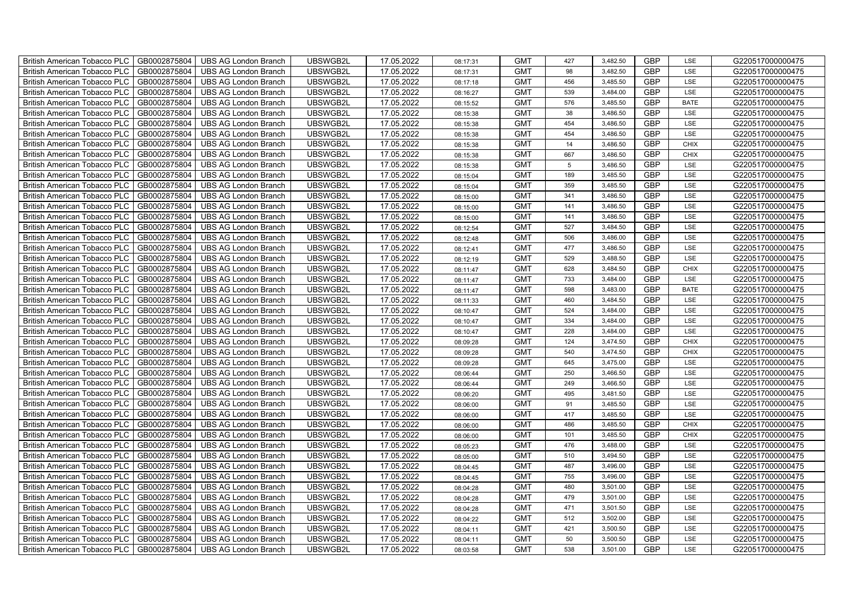| British American Tobacco PLC        | GB0002875804 | <b>UBS AG London Branch</b> | UBSWGB2L | 17.05.2022 | 08:17:31             | <b>GMT</b> | 427 | 3,482.50 | <b>GBP</b> | LSE         | G220517000000475 |
|-------------------------------------|--------------|-----------------------------|----------|------------|----------------------|------------|-----|----------|------------|-------------|------------------|
| <b>British American Tobacco PLC</b> | GB0002875804 | <b>UBS AG London Branch</b> | UBSWGB2L | 17.05.2022 | 08:17:31             | <b>GMT</b> | 98  | 3,482.50 | <b>GBP</b> | <b>LSE</b>  | G220517000000475 |
| <b>British American Tobacco PLC</b> | GB0002875804 | <b>UBS AG London Branch</b> | UBSWGB2L | 17.05.2022 | 08:17:18             | <b>GMT</b> | 456 | 3,485.50 | <b>GBP</b> | LSE         | G220517000000475 |
| British American Tobacco PLC        | GB0002875804 | <b>UBS AG London Branch</b> | UBSWGB2L | 17.05.2022 | 08:16:27             | <b>GMT</b> | 539 | 3,484.00 | <b>GBP</b> | LSE         | G220517000000475 |
| <b>British American Tobacco PLC</b> | GB0002875804 | <b>UBS AG London Branch</b> | UBSWGB2L | 17.05.2022 | 08:15:52             | <b>GMT</b> | 576 | 3,485.50 | <b>GBP</b> | <b>BATE</b> | G220517000000475 |
| British American Tobacco PLC        | GB0002875804 | <b>UBS AG London Branch</b> | UBSWGB2L | 17.05.2022 | 08:15:38             | <b>GMT</b> | 38  | 3,486.50 | <b>GBP</b> | LSE         | G220517000000475 |
| <b>British American Tobacco PLC</b> | GB0002875804 | <b>UBS AG London Branch</b> | UBSWGB2L | 17.05.2022 | 08:15:38             | <b>GMT</b> | 454 | 3,486.50 | <b>GBP</b> | LSE         | G220517000000475 |
| British American Tobacco PLC        | GB0002875804 | <b>UBS AG London Branch</b> | UBSWGB2L | 17.05.2022 | 08:15:38             | <b>GMT</b> | 454 | 3,486.50 | <b>GBP</b> | LSE         | G220517000000475 |
| <b>British American Tobacco PLC</b> | GB0002875804 | <b>UBS AG London Branch</b> | UBSWGB2L | 17.05.2022 | 08:15:38             | <b>GMT</b> | 14  | 3,486.50 | <b>GBP</b> | <b>CHIX</b> | G220517000000475 |
| British American Tobacco PLC        | GB0002875804 | <b>UBS AG London Branch</b> | UBSWGB2L | 17.05.2022 | 08:15:38             | <b>GMT</b> | 667 | 3,486.50 | <b>GBP</b> | <b>CHIX</b> | G220517000000475 |
| <b>British American Tobacco PLC</b> | GB0002875804 | <b>UBS AG London Branch</b> | UBSWGB2L | 17.05.2022 | 08:15:38             | <b>GMT</b> | 5   | 3,486.50 | <b>GBP</b> | LSE         | G220517000000475 |
| <b>British American Tobacco PLC</b> | GB0002875804 | <b>UBS AG London Branch</b> | UBSWGB2L | 17.05.2022 | 08:15:04             | <b>GMT</b> | 189 | 3,485.50 | <b>GBP</b> | LSE         | G220517000000475 |
| British American Tobacco PLC        | GB0002875804 | <b>UBS AG London Branch</b> | UBSWGB2L | 17.05.2022 | 08:15:04             | <b>GMT</b> | 359 | 3,485.50 | <b>GBP</b> | LSE         | G220517000000475 |
| British American Tobacco PLC        | GB0002875804 | <b>UBS AG London Branch</b> | UBSWGB2L | 17.05.2022 | 08:15:00             | <b>GMT</b> | 341 | 3,486.50 | <b>GBP</b> | LSE         | G220517000000475 |
| British American Tobacco PLC        | GB0002875804 | <b>UBS AG London Branch</b> | UBSWGB2L | 17.05.2022 | 08:15:00             | <b>GMT</b> | 141 | 3,486.50 | <b>GBP</b> | LSE         | G220517000000475 |
| British American Tobacco PLC        | GB0002875804 | <b>UBS AG London Branch</b> | UBSWGB2L | 17.05.2022 | 08:15:00             | <b>GMT</b> | 141 | 3,486.50 | <b>GBP</b> | LSE         | G220517000000475 |
| British American Tobacco PLC        | GB0002875804 | <b>UBS AG London Branch</b> | UBSWGB2L | 17.05.2022 | 08:12:54             | <b>GMT</b> | 527 | 3,484.50 | <b>GBP</b> | LSE         | G220517000000475 |
| British American Tobacco PLC        | GB0002875804 | <b>UBS AG London Branch</b> | UBSWGB2L | 17.05.2022 | 08:12:48             | <b>GMT</b> | 506 | 3,486.00 | <b>GBP</b> | LSE         | G220517000000475 |
| British American Tobacco PLC        | GB0002875804 | <b>UBS AG London Branch</b> | UBSWGB2L | 17.05.2022 | 08:12:41             | <b>GMT</b> | 477 | 3,486.50 | <b>GBP</b> | LSE         | G220517000000475 |
| <b>British American Tobacco PLC</b> | GB0002875804 | <b>UBS AG London Branch</b> | UBSWGB2L | 17.05.2022 | 08:12:19             | <b>GMT</b> | 529 | 3,488.50 | <b>GBP</b> | LSE         | G220517000000475 |
| <b>British American Tobacco PLC</b> | GB0002875804 | <b>UBS AG London Branch</b> | UBSWGB2L | 17.05.2022 | 08:11:47             | <b>GMT</b> | 628 | 3,484.50 | <b>GBP</b> | <b>CHIX</b> | G220517000000475 |
| British American Tobacco PLC        | GB0002875804 | <b>UBS AG London Branch</b> | UBSWGB2L | 17.05.2022 | 08:11:47             | <b>GMT</b> | 733 | 3,484.00 | <b>GBP</b> | LSE         | G220517000000475 |
| British American Tobacco PLC        | GB0002875804 | <b>UBS AG London Branch</b> | UBSWGB2L | 17.05.2022 | 08:11:47             | <b>GMT</b> | 598 | 3,483.00 | GBP        | <b>BATE</b> | G220517000000475 |
| British American Tobacco PLC        | GB0002875804 | <b>UBS AG London Branch</b> | UBSWGB2L | 17.05.2022 | 08:11:33             | <b>GMT</b> | 460 | 3,484.50 | <b>GBP</b> | LSE         | G220517000000475 |
| British American Tobacco PLC        | GB0002875804 | <b>UBS AG London Branch</b> | UBSWGB2L | 17.05.2022 | 08:10:47             | <b>GMT</b> | 524 | 3,484.00 | <b>GBP</b> | LSE         | G220517000000475 |
| British American Tobacco PLC        | GB0002875804 | <b>UBS AG London Branch</b> | UBSWGB2L | 17.05.2022 | 08:10:47             | <b>GMT</b> | 334 | 3,484.00 | <b>GBP</b> | LSE         | G220517000000475 |
| British American Tobacco PLC        | GB0002875804 | <b>UBS AG London Branch</b> | UBSWGB2L | 17.05.2022 | 08:10:47             | <b>GMT</b> | 228 | 3,484.00 | <b>GBP</b> | LSE         | G220517000000475 |
| British American Tobacco PLC        | GB0002875804 | <b>UBS AG London Branch</b> | UBSWGB2L | 17.05.2022 | 08:09:28             | <b>GMT</b> | 124 | 3,474.50 | <b>GBP</b> | <b>CHIX</b> | G220517000000475 |
| <b>British American Tobacco PLC</b> | GB0002875804 | <b>UBS AG London Branch</b> | UBSWGB2L | 17.05.2022 | 08:09:28             | <b>GMT</b> | 540 | 3,474.50 | <b>GBP</b> | CHIX        | G220517000000475 |
| <b>British American Tobacco PLC</b> | GB0002875804 | <b>UBS AG London Branch</b> | UBSWGB2L | 17.05.2022 | 08:09:28             | <b>GMT</b> | 645 | 3,475.00 | <b>GBP</b> | LSE         | G220517000000475 |
| British American Tobacco PLC        | GB0002875804 | <b>UBS AG London Branch</b> | UBSWGB2L | 17.05.2022 | 08:06:44             | <b>GMT</b> | 250 | 3,466.50 | <b>GBP</b> | LSE         | G220517000000475 |
| British American Tobacco PLC        | GB0002875804 | <b>UBS AG London Branch</b> | UBSWGB2L | 17.05.2022 | 08:06:44             | <b>GMT</b> | 249 | 3,466.50 | <b>GBP</b> | LSE         | G220517000000475 |
| British American Tobacco PLC        | GB0002875804 | UBS AG London Branch        | UBSWGB2L | 17.05.2022 | 08:06:20             | <b>GMT</b> | 495 | 3,481.50 | <b>GBP</b> | LSE         | G220517000000475 |
| British American Tobacco PLC        | GB0002875804 | <b>UBS AG London Branch</b> | UBSWGB2L | 17.05.2022 | 08:06:00             | <b>GMT</b> | 91  | 3,485.50 | <b>GBP</b> | LSE         | G220517000000475 |
| British American Tobacco PLC        | GB0002875804 | <b>UBS AG London Branch</b> | UBSWGB2L | 17.05.2022 | 08:06:00             | <b>GMT</b> | 417 | 3,485.50 | <b>GBP</b> | LSE         | G220517000000475 |
| British American Tobacco PLC        | GB0002875804 | <b>UBS AG London Branch</b> | UBSWGB2L | 17.05.2022 | 08:06:00             | <b>GMT</b> | 486 | 3,485.50 | <b>GBP</b> | CHIX        | G220517000000475 |
| British American Tobacco PLC        | GB0002875804 | <b>UBS AG London Branch</b> | UBSWGB2L | 17.05.2022 | 08:06:00             | <b>GMT</b> | 101 | 3,485.50 | <b>GBP</b> | <b>CHIX</b> | G220517000000475 |
| <b>British American Tobacco PLC</b> | GB0002875804 | <b>UBS AG London Branch</b> | UBSWGB2L | 17.05.2022 | 08:05:23             | <b>GMT</b> | 476 | 3,488.00 | <b>GBP</b> | LSE         | G220517000000475 |
| British American Tobacco PLC        | GB0002875804 | <b>UBS AG London Branch</b> | UBSWGB2L | 17.05.2022 | 08:05:00             | <b>GMT</b> | 510 | 3,494.50 | <b>GBP</b> | LSE         | G220517000000475 |
| British American Tobacco PLC        | GB0002875804 | <b>UBS AG London Branch</b> | UBSWGB2L | 17.05.2022 | 08:04:45             | <b>GMT</b> | 487 | 3,496.00 | <b>GBP</b> | LSE         | G220517000000475 |
| British American Tobacco PLC        | GB0002875804 | UBS AG London Branch        | UBSWGB2L | 17.05.2022 | 08:04:45             | <b>GMT</b> | 755 | 3,496.00 | GBP        | LSE         | G220517000000475 |
| British American Tobacco PLC        | GB0002875804 | UBS AG London Branch        | UBSWGB2L | 17.05.2022 | 08:04:28             | <b>GMT</b> | 480 | 3,501.00 | <b>GBP</b> | LSE         | G220517000000475 |
| British American Tobacco PLC        | GB0002875804 | <b>UBS AG London Branch</b> | UBSWGB2L | 17.05.2022 | 08:04:28             | <b>GMT</b> | 479 | 3,501.00 | <b>GBP</b> | LSE         | G220517000000475 |
| British American Tobacco PLC        | GB0002875804 | <b>UBS AG London Branch</b> | UBSWGB2L | 17.05.2022 | 08:04:28             | <b>GMT</b> | 471 | 3,501.50 | <b>GBP</b> | LSE         | G220517000000475 |
|                                     |              |                             |          |            |                      |            |     |          |            |             |                  |
| <b>British American Tobacco PLC</b> | GB0002875804 | <b>UBS AG London Branch</b> | UBSWGB2L | 17.05.2022 |                      | <b>GMT</b> | 512 | 3,502.00 | <b>GBP</b> | LSE         | G220517000000475 |
| <b>British American Tobacco PLC</b> | GB0002875804 | <b>UBS AG London Branch</b> | UBSWGB2L | 17.05.2022 | 08:04:22<br>08:04:11 | <b>GMT</b> | 421 | 3,500.50 | <b>GBP</b> | LSE         | G220517000000475 |
| British American Tobacco PLC        | GB0002875804 | <b>UBS AG London Branch</b> | UBSWGB2L | 17.05.2022 | 08:04:11             | <b>GMT</b> | 50  | 3,500.50 | <b>GBP</b> | LSE         | G220517000000475 |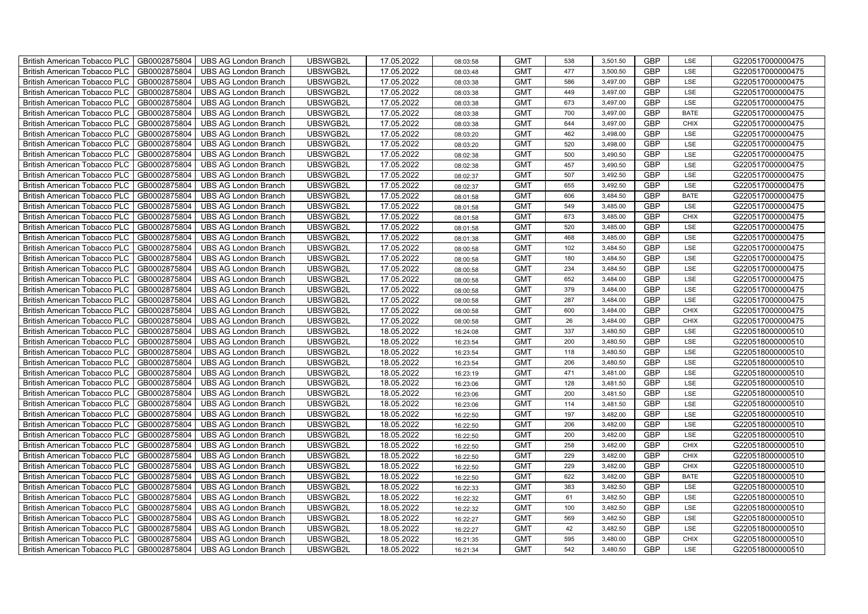| British American Tobacco PLC        | GB0002875804 | <b>UBS AG London Branch</b> | UBSWGB2L | 17.05.2022 | 08:03:58 | <b>GMT</b> | 538 | 3,501.50 | <b>GBP</b> | LSE         | G220517000000475 |
|-------------------------------------|--------------|-----------------------------|----------|------------|----------|------------|-----|----------|------------|-------------|------------------|
| <b>British American Tobacco PLC</b> | GB0002875804 | <b>UBS AG London Branch</b> | UBSWGB2L | 17.05.2022 | 08:03:48 | <b>GMT</b> | 477 | 3,500.50 | <b>GBP</b> | <b>LSE</b>  | G220517000000475 |
| <b>British American Tobacco PLC</b> | GB0002875804 | <b>UBS AG London Branch</b> | UBSWGB2L | 17.05.2022 | 08:03:38 | <b>GMT</b> | 586 | 3,497.00 | <b>GBP</b> | LSE         | G220517000000475 |
| British American Tobacco PLC        | GB0002875804 | <b>UBS AG London Branch</b> | UBSWGB2L | 17.05.2022 | 08:03:38 | <b>GMT</b> | 449 | 3,497.00 | <b>GBP</b> | LSE         | G220517000000475 |
| <b>British American Tobacco PLC</b> | GB0002875804 | <b>UBS AG London Branch</b> | UBSWGB2L | 17.05.2022 | 08:03:38 | <b>GMT</b> | 673 | 3,497.00 | <b>GBP</b> | LSE         | G220517000000475 |
| British American Tobacco PLC        | GB0002875804 | <b>UBS AG London Branch</b> | UBSWGB2L | 17.05.2022 | 08:03:38 | <b>GMT</b> | 700 | 3,497.00 | <b>GBP</b> | <b>BATE</b> | G220517000000475 |
| <b>British American Tobacco PLC</b> | GB0002875804 | <b>UBS AG London Branch</b> | UBSWGB2L | 17.05.2022 | 08:03:38 | <b>GMT</b> | 644 | 3,497.00 | <b>GBP</b> | <b>CHIX</b> | G220517000000475 |
| British American Tobacco PLC        | GB0002875804 | <b>UBS AG London Branch</b> | UBSWGB2L | 17.05.2022 | 08:03:20 | <b>GMT</b> | 462 | 3,498.00 | <b>GBP</b> | LSE         | G220517000000475 |
| <b>British American Tobacco PLC</b> | GB0002875804 | <b>UBS AG London Branch</b> | UBSWGB2L | 17.05.2022 | 08:03:20 | <b>GMT</b> | 520 | 3,498.00 | <b>GBP</b> | LSE         | G220517000000475 |
| British American Tobacco PLC        | GB0002875804 | <b>UBS AG London Branch</b> | UBSWGB2L | 17.05.2022 | 08:02:38 | <b>GMT</b> | 500 | 3,490.50 | <b>GBP</b> | LSE         | G220517000000475 |
| <b>British American Tobacco PLC</b> | GB0002875804 | <b>UBS AG London Branch</b> | UBSWGB2L | 17.05.2022 | 08:02:38 | <b>GMT</b> | 457 | 3,490.50 | <b>GBP</b> | LSE         | G220517000000475 |
| <b>British American Tobacco PLC</b> | GB0002875804 | <b>UBS AG London Branch</b> | UBSWGB2L | 17.05.2022 | 08:02:37 | <b>GMT</b> | 507 | 3,492.50 | <b>GBP</b> | LSE         | G220517000000475 |
| British American Tobacco PLC        | GB0002875804 | <b>UBS AG London Branch</b> | UBSWGB2L | 17.05.2022 | 08:02:37 | <b>GMT</b> | 655 | 3,492.50 | <b>GBP</b> | LSE         | G220517000000475 |
| British American Tobacco PLC        | GB0002875804 | <b>UBS AG London Branch</b> | UBSWGB2L | 17.05.2022 | 08:01:58 | <b>GMT</b> | 606 | 3,484.50 | <b>GBP</b> | <b>BATE</b> | G220517000000475 |
| British American Tobacco PLC        | GB0002875804 | <b>UBS AG London Branch</b> | UBSWGB2L | 17.05.2022 | 08:01:58 | <b>GMT</b> | 549 | 3,485.00 | <b>GBP</b> | LSE         | G220517000000475 |
| British American Tobacco PLC        | GB0002875804 | <b>UBS AG London Branch</b> | UBSWGB2L | 17.05.2022 | 08:01:58 | <b>GMT</b> | 673 | 3,485.00 | <b>GBP</b> | <b>CHIX</b> | G220517000000475 |
| British American Tobacco PLC        | GB0002875804 | <b>UBS AG London Branch</b> | UBSWGB2L | 17.05.2022 | 08:01:58 | <b>GMT</b> | 520 | 3,485.00 | <b>GBP</b> | LSE         | G220517000000475 |
| British American Tobacco PLC        | GB0002875804 | <b>UBS AG London Branch</b> | UBSWGB2L | 17.05.2022 | 08:01:38 | <b>GMT</b> | 468 | 3,485.00 | <b>GBP</b> | LSE         | G220517000000475 |
| British American Tobacco PLC        | GB0002875804 | <b>UBS AG London Branch</b> | UBSWGB2L | 17.05.2022 | 08:00:58 | <b>GMT</b> | 102 | 3,484.50 | <b>GBP</b> | LSE         | G220517000000475 |
| <b>British American Tobacco PLC</b> | GB0002875804 | <b>UBS AG London Branch</b> | UBSWGB2L | 17.05.2022 | 08:00:58 | <b>GMT</b> | 180 | 3,484.50 | <b>GBP</b> | LSE         | G220517000000475 |
| <b>British American Tobacco PLC</b> | GB0002875804 | <b>UBS AG London Branch</b> | UBSWGB2L | 17.05.2022 | 08:00:58 | <b>GMT</b> | 234 | 3,484.50 | <b>GBP</b> | <b>LSE</b>  | G220517000000475 |
| British American Tobacco PLC        | GB0002875804 | <b>UBS AG London Branch</b> | UBSWGB2L | 17.05.2022 | 08:00:58 | <b>GMT</b> | 652 | 3,484.00 | <b>GBP</b> | LSE         | G220517000000475 |
| British American Tobacco PLC        | GB0002875804 | <b>UBS AG London Branch</b> | UBSWGB2L | 17.05.2022 | 08:00:58 | <b>GMT</b> | 379 | 3,484.00 | GBP        | LSE         | G220517000000475 |
| British American Tobacco PLC        | GB0002875804 | <b>UBS AG London Branch</b> | UBSWGB2L | 17.05.2022 | 08:00:58 | <b>GMT</b> | 287 | 3,484.00 | <b>GBP</b> | LSE         | G220517000000475 |
| British American Tobacco PLC        | GB0002875804 | <b>UBS AG London Branch</b> | UBSWGB2L | 17.05.2022 | 08:00:58 | <b>GMT</b> | 600 | 3,484.00 | <b>GBP</b> | CHIX        | G220517000000475 |
| British American Tobacco PLC        | GB0002875804 | <b>UBS AG London Branch</b> | UBSWGB2L | 17.05.2022 | 08:00:58 | <b>GMT</b> | 26  | 3,484.00 | <b>GBP</b> | CHIX        | G220517000000475 |
| British American Tobacco PLC        | GB0002875804 | <b>UBS AG London Branch</b> | UBSWGB2L | 18.05.2022 | 16:24:08 | <b>GMT</b> | 337 | 3,480.50 | <b>GBP</b> | LSE         | G220518000000510 |
| British American Tobacco PLC        | GB0002875804 | <b>UBS AG London Branch</b> | UBSWGB2L | 18.05.2022 | 16:23:54 | <b>GMT</b> | 200 | 3,480.50 | <b>GBP</b> | LSE         | G220518000000510 |
| <b>British American Tobacco PLC</b> | GB0002875804 | <b>UBS AG London Branch</b> | UBSWGB2L | 18.05.2022 | 16:23:54 | <b>GMT</b> | 118 | 3,480.50 | <b>GBP</b> | LSE         | G220518000000510 |
| <b>British American Tobacco PLC</b> | GB0002875804 | <b>UBS AG London Branch</b> | UBSWGB2L | 18.05.2022 | 16:23:54 | <b>GMT</b> | 206 | 3,480.50 | <b>GBP</b> | LSE         | G220518000000510 |
| British American Tobacco PLC        | GB0002875804 | <b>UBS AG London Branch</b> | UBSWGB2L | 18.05.2022 | 16:23:19 | <b>GMT</b> | 471 | 3,481.00 | <b>GBP</b> | LSE         | G220518000000510 |
| British American Tobacco PLC        | GB0002875804 | <b>UBS AG London Branch</b> | UBSWGB2L | 18.05.2022 | 16:23:06 | <b>GMT</b> | 128 | 3,481.50 | <b>GBP</b> | LSE         | G220518000000510 |
| British American Tobacco PLC        | GB0002875804 | UBS AG London Branch        | UBSWGB2L | 18.05.2022 | 16:23:06 | <b>GMT</b> | 200 | 3,481.50 | <b>GBP</b> | LSE         | G220518000000510 |
| British American Tobacco PLC        | GB0002875804 | <b>UBS AG London Branch</b> | UBSWGB2L | 18.05.2022 | 16:23:06 | <b>GMT</b> | 114 | 3,481.50 | <b>GBP</b> | LSE         | G220518000000510 |
| British American Tobacco PLC        | GB0002875804 | <b>UBS AG London Branch</b> | UBSWGB2L | 18.05.2022 | 16:22:50 | <b>GMT</b> | 197 | 3,482.00 | <b>GBP</b> | LSE         | G220518000000510 |
| British American Tobacco PLC        | GB0002875804 | <b>UBS AG London Branch</b> | UBSWGB2L | 18.05.2022 | 16:22:50 | <b>GMT</b> | 206 | 3,482.00 | <b>GBP</b> | LSE         | G220518000000510 |
| British American Tobacco PLC        | GB0002875804 | <b>UBS AG London Branch</b> | UBSWGB2L | 18.05.2022 | 16:22:50 | <b>GMT</b> | 200 | 3,482.00 | <b>GBP</b> | LSE         | G220518000000510 |
| <b>British American Tobacco PLC</b> | GB0002875804 | <b>UBS AG London Branch</b> | UBSWGB2L | 18.05.2022 | 16:22:50 | <b>GMT</b> | 258 | 3,482.00 | <b>GBP</b> | <b>CHIX</b> | G220518000000510 |
| British American Tobacco PLC        | GB0002875804 | <b>UBS AG London Branch</b> | UBSWGB2L | 18.05.2022 | 16:22:50 | <b>GMT</b> | 229 | 3,482.00 | <b>GBP</b> | <b>CHIX</b> | G220518000000510 |
| <b>British American Tobacco PLC</b> | GB0002875804 | <b>UBS AG London Branch</b> | UBSWGB2L | 18.05.2022 | 16:22:50 | <b>GMT</b> | 229 | 3,482.00 | <b>GBP</b> | <b>CHIX</b> | G220518000000510 |
| British American Tobacco PLC        | GB0002875804 | UBS AG London Branch        | UBSWGB2L | 18.05.2022 | 16:22:50 | <b>GMT</b> | 622 | 3,482.00 | GBP        | <b>BATE</b> | G220518000000510 |
| British American Tobacco PLC        | GB0002875804 | UBS AG London Branch        | UBSWGB2L | 18.05.2022 | 16:22:33 | <b>GMT</b> | 383 | 3,482.50 | <b>GBP</b> | LSE         | G220518000000510 |
| British American Tobacco PLC        | GB0002875804 | <b>UBS AG London Branch</b> | UBSWGB2L | 18.05.2022 | 16:22:32 | <b>GMT</b> | 61  | 3,482.50 | <b>GBP</b> | LSE         | G220518000000510 |
| <b>British American Tobacco PLC</b> | GB0002875804 | <b>UBS AG London Branch</b> | UBSWGB2L | 18.05.2022 | 16:22:32 | <b>GMT</b> | 100 | 3,482.50 | <b>GBP</b> | LSE         | G220518000000510 |
| <b>British American Tobacco PLC</b> | GB0002875804 | <b>UBS AG London Branch</b> | UBSWGB2L | 18.05.2022 | 16:22:27 | <b>GMT</b> | 569 | 3,482.50 | <b>GBP</b> | LSE         | G220518000000510 |
| <b>British American Tobacco PLC</b> | GB0002875804 | <b>UBS AG London Branch</b> | UBSWGB2L | 18.05.2022 | 16:22:27 | <b>GMT</b> | 42  | 3,482.50 | <b>GBP</b> | LSE         | G220518000000510 |
| British American Tobacco PLC        | GB0002875804 | <b>UBS AG London Branch</b> | UBSWGB2L | 18.05.2022 | 16:21:35 | <b>GMT</b> | 595 | 3,480.00 | <b>GBP</b> | <b>CHIX</b> | G220518000000510 |
| British American Tobacco PLC        | GB0002875804 | UBS AG London Branch        | UBSWGB2L | 18.05.2022 | 16:21:34 | <b>GMT</b> | 542 | 3,480.50 | <b>GBP</b> | LSE         | G220518000000510 |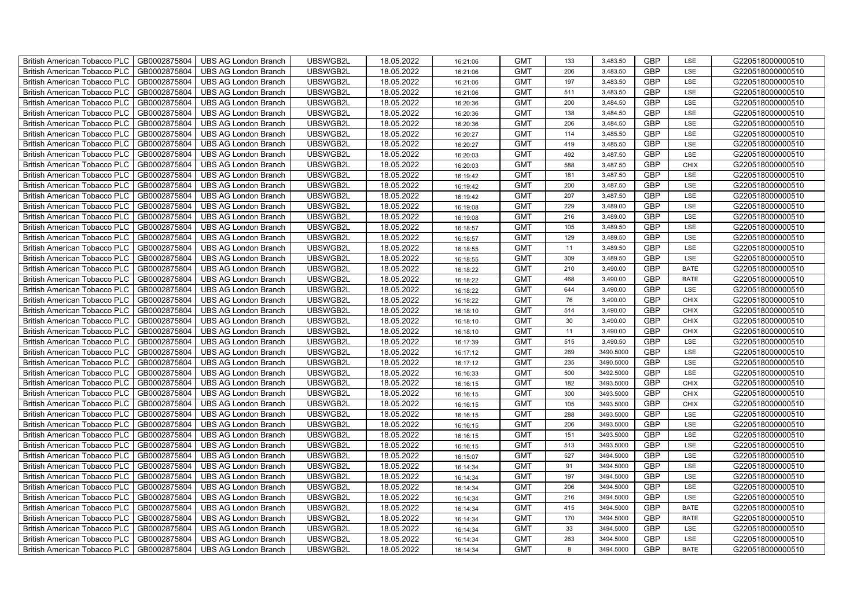| British American Tobacco PLC        | GB0002875804 | <b>UBS AG London Branch</b> | UBSWGB2L | 18.05.2022 | 16:21:06 | <b>GMT</b> | 133 | 3,483.50  | <b>GBP</b> | LSE         | G220518000000510 |
|-------------------------------------|--------------|-----------------------------|----------|------------|----------|------------|-----|-----------|------------|-------------|------------------|
| <b>British American Tobacco PLC</b> | GB0002875804 | <b>UBS AG London Branch</b> | UBSWGB2L | 18.05.2022 | 16:21:06 | <b>GMT</b> | 206 | 3,483.50  | <b>GBP</b> | <b>LSE</b>  | G220518000000510 |
| <b>British American Tobacco PLC</b> | GB0002875804 | <b>UBS AG London Branch</b> | UBSWGB2L | 18.05.2022 | 16:21:06 | <b>GMT</b> | 197 | 3,483.50  | <b>GBP</b> | LSE         | G220518000000510 |
| British American Tobacco PLC        | GB0002875804 | <b>UBS AG London Branch</b> | UBSWGB2L | 18.05.2022 | 16:21:06 | <b>GMT</b> | 511 | 3,483.50  | <b>GBP</b> | LSE         | G220518000000510 |
| <b>British American Tobacco PLC</b> | GB0002875804 | <b>UBS AG London Branch</b> | UBSWGB2L | 18.05.2022 | 16:20:36 | <b>GMT</b> | 200 | 3,484.50  | <b>GBP</b> | LSE         | G220518000000510 |
| British American Tobacco PLC        | GB0002875804 | <b>UBS AG London Branch</b> | UBSWGB2L | 18.05.2022 | 16:20:36 | <b>GMT</b> | 138 | 3,484.50  | <b>GBP</b> | LSE         | G220518000000510 |
| <b>British American Tobacco PLC</b> | GB0002875804 | <b>UBS AG London Branch</b> | UBSWGB2L | 18.05.2022 | 16:20:36 | <b>GMT</b> | 206 | 3,484.50  | <b>GBP</b> | LSE         | G220518000000510 |
| British American Tobacco PLC        | GB0002875804 | <b>UBS AG London Branch</b> | UBSWGB2L | 18.05.2022 | 16:20:27 | <b>GMT</b> | 114 | 3,485.50  | <b>GBP</b> | LSE         | G220518000000510 |
| <b>British American Tobacco PLC</b> | GB0002875804 | <b>UBS AG London Branch</b> | UBSWGB2L | 18.05.2022 | 16:20:27 | <b>GMT</b> | 419 | 3,485.50  | <b>GBP</b> | LSE         | G220518000000510 |
| British American Tobacco PLC        | GB0002875804 | <b>UBS AG London Branch</b> | UBSWGB2L | 18.05.2022 | 16:20:03 | <b>GMT</b> | 492 | 3,487.50  | <b>GBP</b> | LSE         | G220518000000510 |
| <b>British American Tobacco PLC</b> | GB0002875804 | <b>UBS AG London Branch</b> | UBSWGB2L | 18.05.2022 | 16:20:03 | <b>GMT</b> | 588 | 3,487.50  | <b>GBP</b> | <b>CHIX</b> | G220518000000510 |
| <b>British American Tobacco PLC</b> | GB0002875804 | <b>UBS AG London Branch</b> | UBSWGB2L | 18.05.2022 | 16:19:42 | <b>GMT</b> | 181 | 3,487.50  | <b>GBP</b> | LSE         | G220518000000510 |
| British American Tobacco PLC        | GB0002875804 | <b>UBS AG London Branch</b> | UBSWGB2L | 18.05.2022 | 16:19:42 | <b>GMT</b> | 200 | 3,487.50  | <b>GBP</b> | LSE         | G220518000000510 |
| British American Tobacco PLC        | GB0002875804 | <b>UBS AG London Branch</b> | UBSWGB2L | 18.05.2022 | 16:19:42 | <b>GMT</b> | 207 | 3,487.50  | <b>GBP</b> | LSE         | G220518000000510 |
| British American Tobacco PLC        | GB0002875804 | <b>UBS AG London Branch</b> | UBSWGB2L | 18.05.2022 | 16:19:08 | <b>GMT</b> | 229 | 3,489.00  | <b>GBP</b> | LSE         | G220518000000510 |
| British American Tobacco PLC        | GB0002875804 | <b>UBS AG London Branch</b> | UBSWGB2L | 18.05.2022 | 16:19:08 | <b>GMT</b> | 216 | 3,489.00  | <b>GBP</b> | LSE         | G220518000000510 |
| British American Tobacco PLC        | GB0002875804 | <b>UBS AG London Branch</b> | UBSWGB2L | 18.05.2022 | 16:18:57 | <b>GMT</b> | 105 | 3,489.50  | <b>GBP</b> | LSE         | G220518000000510 |
| British American Tobacco PLC        | GB0002875804 | <b>UBS AG London Branch</b> | UBSWGB2L | 18.05.2022 | 16:18:57 | <b>GMT</b> | 129 | 3,489.50  | <b>GBP</b> | LSE         | G220518000000510 |
| British American Tobacco PLC        | GB0002875804 | <b>UBS AG London Branch</b> | UBSWGB2L | 18.05.2022 | 16:18:55 | <b>GMT</b> | 11  | 3,489.50  | <b>GBP</b> | LSE         | G220518000000510 |
| <b>British American Tobacco PLC</b> | GB0002875804 | <b>UBS AG London Branch</b> | UBSWGB2L | 18.05.2022 | 16:18:55 | <b>GMT</b> | 309 | 3,489.50  | <b>GBP</b> | LSE         | G220518000000510 |
| <b>British American Tobacco PLC</b> | GB0002875804 | UBS AG London Branch        | UBSWGB2L | 18.05.2022 | 16:18:22 | <b>GMT</b> | 210 | 3,490.00  | <b>GBP</b> | <b>BATE</b> | G220518000000510 |
| British American Tobacco PLC        | GB0002875804 | <b>UBS AG London Branch</b> | UBSWGB2L | 18.05.2022 | 16:18:22 | <b>GMT</b> | 468 | 3,490.00  | <b>GBP</b> | <b>BATE</b> | G220518000000510 |
| British American Tobacco PLC        | GB0002875804 | <b>UBS AG London Branch</b> | UBSWGB2L | 18.05.2022 | 16:18:22 | <b>GMT</b> | 644 | 3,490.00  | GBP        | LSE         | G220518000000510 |
| British American Tobacco PLC        | GB0002875804 | <b>UBS AG London Branch</b> | UBSWGB2L | 18.05.2022 | 16:18:22 | <b>GMT</b> | 76  | 3,490.00  | <b>GBP</b> | CHIX        | G220518000000510 |
| British American Tobacco PLC        | GB0002875804 | <b>UBS AG London Branch</b> | UBSWGB2L | 18.05.2022 | 16:18:10 | <b>GMT</b> | 514 | 3,490.00  | <b>GBP</b> | CHIX        | G220518000000510 |
| British American Tobacco PLC        | GB0002875804 | <b>UBS AG London Branch</b> | UBSWGB2L | 18.05.2022 | 16:18:10 | <b>GMT</b> | 30  | 3,490.00  | <b>GBP</b> | <b>CHIX</b> | G220518000000510 |
| British American Tobacco PLC        | GB0002875804 | <b>UBS AG London Branch</b> | UBSWGB2L | 18.05.2022 | 16:18:10 | <b>GMT</b> | 11  | 3,490.00  | <b>GBP</b> | CHIX        | G220518000000510 |
| British American Tobacco PLC        | GB0002875804 | <b>UBS AG London Branch</b> | UBSWGB2L | 18.05.2022 | 16:17:39 | <b>GMT</b> | 515 | 3,490.50  | <b>GBP</b> | LSE         | G220518000000510 |
| <b>British American Tobacco PLC</b> | GB0002875804 | <b>UBS AG London Branch</b> | UBSWGB2L | 18.05.2022 | 16:17:12 | <b>GMT</b> | 269 | 3490.5000 | <b>GBP</b> | LSE         | G220518000000510 |
| <b>British American Tobacco PLC</b> | GB0002875804 | <b>UBS AG London Branch</b> | UBSWGB2L | 18.05.2022 | 16:17:12 | <b>GMT</b> | 235 | 3490.5000 | <b>GBP</b> | LSE         | G220518000000510 |
| British American Tobacco PLC        | GB0002875804 | <b>UBS AG London Branch</b> | UBSWGB2L | 18.05.2022 | 16:16:33 | <b>GMT</b> | 500 | 3492.5000 | <b>GBP</b> | LSE         | G220518000000510 |
| British American Tobacco PLC        | GB0002875804 | <b>UBS AG London Branch</b> | UBSWGB2L | 18.05.2022 | 16:16:15 | <b>GMT</b> | 182 | 3493.5000 | <b>GBP</b> | CHIX        | G220518000000510 |
| British American Tobacco PLC        | GB0002875804 | UBS AG London Branch        | UBSWGB2L | 18.05.2022 | 16:16:15 | <b>GMT</b> | 300 | 3493.5000 | <b>GBP</b> | CHIX        | G220518000000510 |
| British American Tobacco PLC        | GB0002875804 | <b>UBS AG London Branch</b> | UBSWGB2L | 18.05.2022 | 16:16:15 | <b>GMT</b> | 105 | 3493.5000 | <b>GBP</b> | CHIX        | G220518000000510 |
| British American Tobacco PLC        | GB0002875804 | <b>UBS AG London Branch</b> | UBSWGB2L | 18.05.2022 | 16:16:15 | <b>GMT</b> | 288 | 3493.5000 | <b>GBP</b> | LSE         | G220518000000510 |
| British American Tobacco PLC        | GB0002875804 | <b>UBS AG London Branch</b> | UBSWGB2L | 18.05.2022 | 16:16:15 | <b>GMT</b> | 206 | 3493.5000 | <b>GBP</b> | LSE         | G220518000000510 |
| British American Tobacco PLC        | GB0002875804 | <b>UBS AG London Branch</b> | UBSWGB2L | 18.05.2022 | 16:16:15 | <b>GMT</b> | 151 | 3493.5000 | <b>GBP</b> | LSE         | G220518000000510 |
| <b>British American Tobacco PLC</b> | GB0002875804 | <b>UBS AG London Branch</b> | UBSWGB2L | 18.05.2022 | 16:16:15 | <b>GMT</b> | 513 | 3493.5000 | <b>GBP</b> | LSE         | G220518000000510 |
| British American Tobacco PLC        | GB0002875804 | <b>UBS AG London Branch</b> | UBSWGB2L | 18.05.2022 | 16:15:07 | <b>GMT</b> | 527 | 3494.5000 | <b>GBP</b> | LSE         | G220518000000510 |
| British American Tobacco PLC        | GB0002875804 | <b>UBS AG London Branch</b> | UBSWGB2L | 18.05.2022 | 16:14:34 | <b>GMT</b> | 91  | 3494.5000 | <b>GBP</b> | LSE         | G220518000000510 |
| British American Tobacco PLC        | GB0002875804 | UBS AG London Branch        | UBSWGB2L | 18.05.2022 | 16:14:34 | <b>GMT</b> | 197 | 3494.5000 | <b>GBP</b> | LSE         | G220518000000510 |
| British American Tobacco PLC        | GB0002875804 | UBS AG London Branch        | UBSWGB2L | 18.05.2022 | 16:14:34 | <b>GMT</b> | 206 | 3494.5000 | <b>GBP</b> | LSE         | G220518000000510 |
| British American Tobacco PLC        | GB0002875804 | <b>UBS AG London Branch</b> | UBSWGB2L | 18.05.2022 | 16:14:34 | <b>GMT</b> | 216 | 3494.5000 | <b>GBP</b> | LSE         | G220518000000510 |
| British American Tobacco PLC        | GB0002875804 | <b>UBS AG London Branch</b> | UBSWGB2L | 18.05.2022 | 16:14:34 | <b>GMT</b> | 415 | 3494.5000 | <b>GBP</b> | <b>BATE</b> | G220518000000510 |
| <b>British American Tobacco PLC</b> | GB0002875804 | <b>UBS AG London Branch</b> | UBSWGB2L | 18.05.2022 | 16:14:34 | <b>GMT</b> | 170 | 3494.5000 | <b>GBP</b> | <b>BATE</b> | G220518000000510 |
| <b>British American Tobacco PLC</b> | GB0002875804 | <b>UBS AG London Branch</b> | UBSWGB2L | 18.05.2022 | 16:14:34 | <b>GMT</b> | 33  | 3494.5000 | <b>GBP</b> | LSE         | G220518000000510 |
| British American Tobacco PLC        | GB0002875804 | <b>UBS AG London Branch</b> | UBSWGB2L | 18.05.2022 | 16:14:34 | <b>GMT</b> | 263 | 3494.5000 | <b>GBP</b> | LSE         | G220518000000510 |
| British American Tobacco PLC        | GB0002875804 | UBS AG London Branch        | UBSWGB2L | 18.05.2022 | 16:14:34 | <b>GMT</b> | 8   | 3494.5000 | <b>GBP</b> | <b>BATE</b> | G220518000000510 |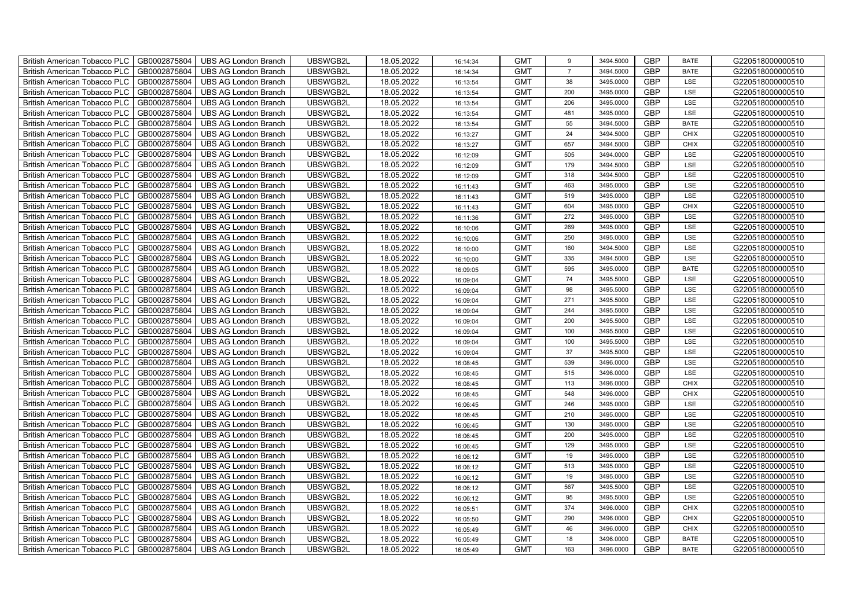| British American Tobacco PLC        | GB0002875804 | <b>UBS AG London Branch</b> | UBSWGB2L | 18.05.2022 | 16:14:34 | <b>GMT</b> | 9              | 3494.5000 | <b>GBP</b> | <b>BATE</b> | G220518000000510 |
|-------------------------------------|--------------|-----------------------------|----------|------------|----------|------------|----------------|-----------|------------|-------------|------------------|
| <b>British American Tobacco PLC</b> | GB0002875804 | <b>UBS AG London Branch</b> | UBSWGB2L | 18.05.2022 | 16:14:34 | <b>GMT</b> | $\overline{7}$ | 3494.5000 | <b>GBP</b> | <b>BATE</b> | G220518000000510 |
| <b>British American Tobacco PLC</b> | GB0002875804 | <b>UBS AG London Branch</b> | UBSWGB2L | 18.05.2022 | 16:13:54 | <b>GMT</b> | 38             | 3495.0000 | <b>GBP</b> | LSE         | G220518000000510 |
| British American Tobacco PLC        | GB0002875804 | <b>UBS AG London Branch</b> | UBSWGB2L | 18.05.2022 | 16:13:54 | <b>GMT</b> | 200            | 3495.0000 | <b>GBP</b> | LSE         | G220518000000510 |
| <b>British American Tobacco PLC</b> | GB0002875804 | UBS AG London Branch        | UBSWGB2L | 18.05.2022 | 16:13:54 | <b>GMT</b> | 206            | 3495.0000 | <b>GBP</b> | LSE         | G220518000000510 |
| British American Tobacco PLC        | GB0002875804 | <b>UBS AG London Branch</b> | UBSWGB2L | 18.05.2022 | 16:13:54 | <b>GMT</b> | 481            | 3495.0000 | <b>GBP</b> | LSE         | G220518000000510 |
| <b>British American Tobacco PLC</b> | GB0002875804 | <b>UBS AG London Branch</b> | UBSWGB2L | 18.05.2022 | 16:13:54 | <b>GMT</b> | 55             | 3494.5000 | <b>GBP</b> | <b>BATE</b> | G220518000000510 |
| British American Tobacco PLC        | GB0002875804 | <b>UBS AG London Branch</b> | UBSWGB2L | 18.05.2022 | 16:13:27 | <b>GMT</b> | 24             | 3494.5000 | <b>GBP</b> | <b>CHIX</b> | G220518000000510 |
| <b>British American Tobacco PLC</b> | GB0002875804 | <b>UBS AG London Branch</b> | UBSWGB2L | 18.05.2022 | 16:13:27 | <b>GMT</b> | 657            | 3494.5000 | <b>GBP</b> | <b>CHIX</b> | G220518000000510 |
| British American Tobacco PLC        | GB0002875804 | <b>UBS AG London Branch</b> | UBSWGB2L | 18.05.2022 | 16:12:09 | <b>GMT</b> | 505            | 3494.0000 | <b>GBP</b> | LSE         | G220518000000510 |
| <b>British American Tobacco PLC</b> | GB0002875804 | <b>UBS AG London Branch</b> | UBSWGB2L | 18.05.2022 | 16:12:09 | <b>GMT</b> | 179            | 3494.5000 | <b>GBP</b> | LSE         | G220518000000510 |
| <b>British American Tobacco PLC</b> | GB0002875804 | <b>UBS AG London Branch</b> | UBSWGB2L | 18.05.2022 | 16:12:09 | <b>GMT</b> | 318            | 3494.5000 | <b>GBP</b> | LSE         | G220518000000510 |
| British American Tobacco PLC        | GB0002875804 | <b>UBS AG London Branch</b> | UBSWGB2L | 18.05.2022 | 16:11:43 | <b>GMT</b> | 463            | 3495.0000 | <b>GBP</b> | LSE         | G220518000000510 |
| British American Tobacco PLC        | GB0002875804 | <b>UBS AG London Branch</b> | UBSWGB2L | 18.05.2022 | 16:11:43 | <b>GMT</b> | 519            | 3495.0000 | <b>GBP</b> | LSE         | G220518000000510 |
| British American Tobacco PLC        | GB0002875804 | <b>UBS AG London Branch</b> | UBSWGB2L | 18.05.2022 | 16:11:43 | <b>GMT</b> | 604            | 3495.0000 | <b>GBP</b> | <b>CHIX</b> | G220518000000510 |
| British American Tobacco PLC        | GB0002875804 | <b>UBS AG London Branch</b> | UBSWGB2L | 18.05.2022 | 16:11:36 | <b>GMT</b> | 272            | 3495.0000 | <b>GBP</b> | LSE         | G220518000000510 |
| British American Tobacco PLC        | GB0002875804 | <b>UBS AG London Branch</b> | UBSWGB2L | 18.05.2022 | 16:10:06 | <b>GMT</b> | 269            | 3495.0000 | <b>GBP</b> | LSE         | G220518000000510 |
| British American Tobacco PLC        | GB0002875804 | <b>UBS AG London Branch</b> | UBSWGB2L | 18.05.2022 | 16:10:06 | <b>GMT</b> | 250            | 3495.0000 | <b>GBP</b> | LSE         | G220518000000510 |
| British American Tobacco PLC        | GB0002875804 | <b>UBS AG London Branch</b> | UBSWGB2L | 18.05.2022 | 16:10:00 | <b>GMT</b> | 160            | 3494.5000 | <b>GBP</b> | LSE         | G220518000000510 |
| <b>British American Tobacco PLC</b> | GB0002875804 | <b>UBS AG London Branch</b> | UBSWGB2L | 18.05.2022 | 16:10:00 | <b>GMT</b> | 335            | 3494.5000 | <b>GBP</b> | LSE         | G220518000000510 |
| <b>British American Tobacco PLC</b> | GB0002875804 | <b>UBS AG London Branch</b> | UBSWGB2L | 18.05.2022 | 16:09:05 | <b>GMT</b> | 595            | 3495.0000 | <b>GBP</b> | <b>BATE</b> | G220518000000510 |
| British American Tobacco PLC        | GB0002875804 | <b>UBS AG London Branch</b> | UBSWGB2L | 18.05.2022 | 16:09:04 | <b>GMT</b> | 74             | 3495.5000 | <b>GBP</b> | LSE         | G220518000000510 |
| British American Tobacco PLC        | GB0002875804 | <b>UBS AG London Branch</b> | UBSWGB2L | 18.05.2022 | 16:09:04 | <b>GMT</b> | 98             | 3495.5000 | GBP        | LSE         | G220518000000510 |
| British American Tobacco PLC        | GB0002875804 | <b>UBS AG London Branch</b> | UBSWGB2L | 18.05.2022 | 16:09:04 | <b>GMT</b> | 271            | 3495.5000 | <b>GBP</b> | LSE         | G220518000000510 |
| British American Tobacco PLC        | GB0002875804 | <b>UBS AG London Branch</b> | UBSWGB2L | 18.05.2022 | 16:09:04 | <b>GMT</b> | 244            | 3495.5000 | <b>GBP</b> | LSE         | G220518000000510 |
| British American Tobacco PLC        | GB0002875804 | <b>UBS AG London Branch</b> | UBSWGB2L | 18.05.2022 | 16:09:04 | <b>GMT</b> | 200            | 3495.5000 | <b>GBP</b> | LSE         | G220518000000510 |
| British American Tobacco PLC        | GB0002875804 | <b>UBS AG London Branch</b> | UBSWGB2L | 18.05.2022 | 16:09:04 | <b>GMT</b> | 100            | 3495.5000 | <b>GBP</b> | LSE         | G220518000000510 |
| British American Tobacco PLC        | GB0002875804 | <b>UBS AG London Branch</b> | UBSWGB2L | 18.05.2022 | 16:09:04 | <b>GMT</b> | 100            | 3495.5000 | <b>GBP</b> | LSE         | G220518000000510 |
| <b>British American Tobacco PLC</b> | GB0002875804 | <b>UBS AG London Branch</b> | UBSWGB2L | 18.05.2022 | 16:09:04 | <b>GMT</b> | 37             | 3495.5000 | <b>GBP</b> | LSE         | G220518000000510 |
| <b>British American Tobacco PLC</b> | GB0002875804 | <b>UBS AG London Branch</b> | UBSWGB2L | 18.05.2022 | 16:08:45 | <b>GMT</b> | 539            | 3496.0000 | <b>GBP</b> | LSE         | G220518000000510 |
| British American Tobacco PLC        | GB0002875804 | <b>UBS AG London Branch</b> | UBSWGB2L | 18.05.2022 | 16:08:45 | <b>GMT</b> | 515            | 3496.0000 | <b>GBP</b> | LSE         | G220518000000510 |
| British American Tobacco PLC        | GB0002875804 | <b>UBS AG London Branch</b> | UBSWGB2L | 18.05.2022 | 16:08:45 | <b>GMT</b> | 113            | 3496.0000 | <b>GBP</b> | CHIX        | G220518000000510 |
| British American Tobacco PLC        | GB0002875804 | UBS AG London Branch        | UBSWGB2L | 18.05.2022 | 16:08:45 | <b>GMT</b> | 548            | 3496.0000 | <b>GBP</b> | CHIX        | G220518000000510 |
| British American Tobacco PLC        | GB0002875804 | <b>UBS AG London Branch</b> | UBSWGB2L | 18.05.2022 | 16:06:45 | <b>GMT</b> | 246            | 3495.0000 | <b>GBP</b> | LSE         | G220518000000510 |
| British American Tobacco PLC        | GB0002875804 | <b>UBS AG London Branch</b> | UBSWGB2L | 18.05.2022 | 16:06:45 | <b>GMT</b> | 210            | 3495.0000 | <b>GBP</b> | LSE         | G220518000000510 |
| British American Tobacco PLC        | GB0002875804 | <b>UBS AG London Branch</b> | UBSWGB2L | 18.05.2022 | 16:06:45 | <b>GMT</b> | 130            | 3495.0000 | <b>GBP</b> | LSE         | G220518000000510 |
| British American Tobacco PLC        | GB0002875804 | <b>UBS AG London Branch</b> | UBSWGB2L | 18.05.2022 | 16:06:45 | <b>GMT</b> | 200            | 3495.0000 | <b>GBP</b> | LSE         | G220518000000510 |
| <b>British American Tobacco PLC</b> | GB0002875804 | <b>UBS AG London Branch</b> | UBSWGB2L | 18.05.2022 | 16:06:45 | <b>GMT</b> | 129            | 3495.0000 | <b>GBP</b> | LSE         | G220518000000510 |
| British American Tobacco PLC        | GB0002875804 | <b>UBS AG London Branch</b> | UBSWGB2L | 18.05.2022 | 16:06:12 | <b>GMT</b> | 19             | 3495.0000 | <b>GBP</b> | LSE         | G220518000000510 |
| <b>British American Tobacco PLC</b> | GB0002875804 | <b>UBS AG London Branch</b> | UBSWGB2L | 18.05.2022 | 16:06:12 | <b>GMT</b> | 513            | 3495.0000 | <b>GBP</b> | LSE         | G220518000000510 |
| British American Tobacco PLC        | GB0002875804 | UBS AG London Branch        | UBSWGB2L | 18.05.2022 | 16:06:12 | <b>GMT</b> | 19             | 3495.0000 | <b>GBP</b> | LSE         | G220518000000510 |
| British American Tobacco PLC        | GB0002875804 | UBS AG London Branch        | UBSWGB2L | 18.05.2022 | 16:06:12 | <b>GMT</b> | 567            | 3495.5000 | <b>GBP</b> | LSE         | G220518000000510 |
| British American Tobacco PLC        | GB0002875804 | <b>UBS AG London Branch</b> | UBSWGB2L | 18.05.2022 | 16:06:12 | <b>GMT</b> | 95             | 3495.5000 | <b>GBP</b> | LSE         | G220518000000510 |
| <b>British American Tobacco PLC</b> | GB0002875804 | <b>UBS AG London Branch</b> | UBSWGB2L | 18.05.2022 | 16:05:51 | <b>GMT</b> | 374            | 3496.0000 | <b>GBP</b> | <b>CHIX</b> | G220518000000510 |
| <b>British American Tobacco PLC</b> | GB0002875804 | <b>UBS AG London Branch</b> | UBSWGB2L | 18.05.2022 | 16:05:50 | <b>GMT</b> | 290            | 3496.0000 | <b>GBP</b> | <b>CHIX</b> | G220518000000510 |
| <b>British American Tobacco PLC</b> | GB0002875804 | <b>UBS AG London Branch</b> | UBSWGB2L | 18.05.2022 | 16:05:49 | <b>GMT</b> | 46             | 3496.0000 | <b>GBP</b> | <b>CHIX</b> | G220518000000510 |
| <b>British American Tobacco PLC</b> | GB0002875804 | <b>UBS AG London Branch</b> | UBSWGB2L | 18.05.2022 | 16:05:49 | <b>GMT</b> | 18             | 3496.0000 | <b>GBP</b> | <b>BATE</b> | G220518000000510 |
| British American Tobacco PLC        | GB0002875804 | UBS AG London Branch        | UBSWGB2L | 18.05.2022 | 16:05:49 | <b>GMT</b> | 163            | 3496.0000 | <b>GBP</b> | <b>BATE</b> | G220518000000510 |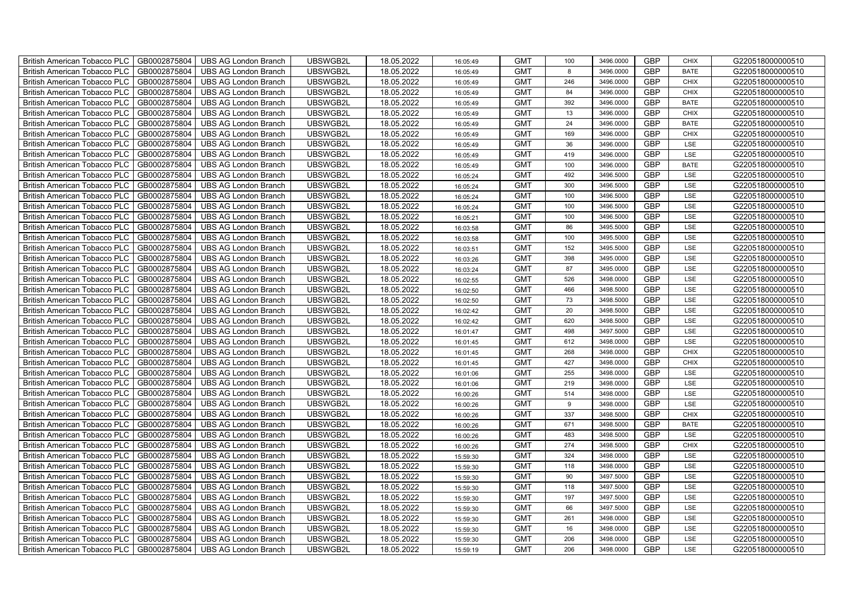| British American Tobacco PLC        | GB0002875804 | <b>UBS AG London Branch</b> | UBSWGB2L | 18.05.2022 | 16:05:49 | <b>GMT</b> | 100 | 3496.0000 | <b>GBP</b> | <b>CHIX</b> | G220518000000510 |
|-------------------------------------|--------------|-----------------------------|----------|------------|----------|------------|-----|-----------|------------|-------------|------------------|
| <b>British American Tobacco PLC</b> | GB0002875804 | <b>UBS AG London Branch</b> | UBSWGB2L | 18.05.2022 | 16:05:49 | <b>GMT</b> | 8   | 3496,0000 | <b>GBP</b> | <b>BATE</b> | G220518000000510 |
| <b>British American Tobacco PLC</b> | GB0002875804 | <b>UBS AG London Branch</b> | UBSWGB2L | 18.05.2022 | 16:05:49 | <b>GMT</b> | 246 | 3496.0000 | <b>GBP</b> | <b>CHIX</b> | G220518000000510 |
| British American Tobacco PLC        | GB0002875804 | <b>UBS AG London Branch</b> | UBSWGB2L | 18.05.2022 | 16:05:49 | <b>GMT</b> | 84  | 3496.0000 | <b>GBP</b> | <b>CHIX</b> | G220518000000510 |
| <b>British American Tobacco PLC</b> | GB0002875804 | UBS AG London Branch        | UBSWGB2L | 18.05.2022 | 16:05:49 | <b>GMT</b> | 392 | 3496.0000 | <b>GBP</b> | <b>BATE</b> | G220518000000510 |
| British American Tobacco PLC        | GB0002875804 | <b>UBS AG London Branch</b> | UBSWGB2L | 18.05.2022 | 16:05:49 | <b>GMT</b> | 13  | 3496.0000 | <b>GBP</b> | <b>CHIX</b> | G220518000000510 |
| <b>British American Tobacco PLC</b> | GB0002875804 | <b>UBS AG London Branch</b> | UBSWGB2L | 18.05.2022 | 16:05:49 | <b>GMT</b> | 24  | 3496.0000 | <b>GBP</b> | <b>BATE</b> | G220518000000510 |
| British American Tobacco PLC        | GB0002875804 | <b>UBS AG London Branch</b> | UBSWGB2L | 18.05.2022 | 16:05:49 | <b>GMT</b> | 169 | 3496.0000 | <b>GBP</b> | <b>CHIX</b> | G220518000000510 |
| <b>British American Tobacco PLC</b> | GB0002875804 | <b>UBS AG London Branch</b> | UBSWGB2L | 18.05.2022 | 16:05:49 | <b>GMT</b> | 36  | 3496.0000 | <b>GBP</b> | LSE         | G220518000000510 |
| British American Tobacco PLC        | GB0002875804 | <b>UBS AG London Branch</b> | UBSWGB2L | 18.05.2022 | 16:05:49 | <b>GMT</b> | 419 | 3496.0000 | <b>GBP</b> | LSE         | G220518000000510 |
| <b>British American Tobacco PLC</b> | GB0002875804 | <b>UBS AG London Branch</b> | UBSWGB2L | 18.05.2022 | 16:05:49 | <b>GMT</b> | 100 | 3496.0000 | <b>GBP</b> | <b>BATE</b> | G220518000000510 |
| <b>British American Tobacco PLC</b> | GB0002875804 | <b>UBS AG London Branch</b> | UBSWGB2L | 18.05.2022 | 16:05:24 | <b>GMT</b> | 492 | 3496.5000 | <b>GBP</b> | LSE         | G220518000000510 |
| British American Tobacco PLC        | GB0002875804 | <b>UBS AG London Branch</b> | UBSWGB2L | 18.05.2022 | 16:05:24 | <b>GMT</b> | 300 | 3496.5000 | <b>GBP</b> | LSE         | G220518000000510 |
| British American Tobacco PLC        | GB0002875804 | <b>UBS AG London Branch</b> | UBSWGB2L | 18.05.2022 | 16:05:24 | <b>GMT</b> | 100 | 3496.5000 | <b>GBP</b> | LSE         | G220518000000510 |
| British American Tobacco PLC        | GB0002875804 | <b>UBS AG London Branch</b> | UBSWGB2L | 18.05.2022 | 16:05:24 | <b>GMT</b> | 100 | 3496.5000 | <b>GBP</b> | LSE         | G220518000000510 |
| British American Tobacco PLC        | GB0002875804 | <b>UBS AG London Branch</b> | UBSWGB2L | 18.05.2022 | 16:05:21 | <b>GMT</b> | 100 | 3496.5000 | <b>GBP</b> | LSE         | G220518000000510 |
| British American Tobacco PLC        | GB0002875804 | <b>UBS AG London Branch</b> | UBSWGB2L | 18.05.2022 | 16:03:58 | <b>GMT</b> | 86  | 3495.5000 | <b>GBP</b> | LSE         | G220518000000510 |
| British American Tobacco PLC        | GB0002875804 | <b>UBS AG London Branch</b> | UBSWGB2L | 18.05.2022 | 16:03:58 | <b>GMT</b> | 100 | 3495.5000 | <b>GBP</b> | LSE         | G220518000000510 |
| British American Tobacco PLC        | GB0002875804 | <b>UBS AG London Branch</b> | UBSWGB2L | 18.05.2022 | 16:03:51 | <b>GMT</b> | 152 | 3495.5000 | <b>GBP</b> | LSE         | G220518000000510 |
| <b>British American Tobacco PLC</b> | GB0002875804 | <b>UBS AG London Branch</b> | UBSWGB2L | 18.05.2022 | 16:03:26 | <b>GMT</b> | 398 | 3495.0000 | <b>GBP</b> | LSE         | G220518000000510 |
| <b>British American Tobacco PLC</b> | GB0002875804 | <b>UBS AG London Branch</b> | UBSWGB2L | 18.05.2022 | 16:03:24 | <b>GMT</b> | 87  | 3495.0000 | <b>GBP</b> | <b>LSE</b>  | G220518000000510 |
| British American Tobacco PLC        | GB0002875804 | <b>UBS AG London Branch</b> | UBSWGB2L | 18.05.2022 | 16:02:55 | <b>GMT</b> | 526 | 3498.0000 | <b>GBP</b> | LSE         | G220518000000510 |
| British American Tobacco PLC        | GB0002875804 | <b>UBS AG London Branch</b> | UBSWGB2L | 18.05.2022 | 16:02:50 | <b>GMT</b> | 466 | 3498.5000 | GBP        | LSE         | G220518000000510 |
| British American Tobacco PLC        | GB0002875804 | <b>UBS AG London Branch</b> | UBSWGB2L | 18.05.2022 | 16:02:50 | <b>GMT</b> | 73  | 3498.5000 | <b>GBP</b> | LSE         | G220518000000510 |
| British American Tobacco PLC        | GB0002875804 | <b>UBS AG London Branch</b> | UBSWGB2L | 18.05.2022 | 16:02:42 | <b>GMT</b> | 20  | 3498.5000 | <b>GBP</b> | LSE         | G220518000000510 |
| British American Tobacco PLC        | GB0002875804 | <b>UBS AG London Branch</b> | UBSWGB2L | 18.05.2022 | 16:02:42 | <b>GMT</b> | 620 | 3498.5000 | <b>GBP</b> | LSE         | G220518000000510 |
| British American Tobacco PLC        | GB0002875804 | <b>UBS AG London Branch</b> | UBSWGB2L | 18.05.2022 | 16:01:47 | <b>GMT</b> | 498 | 3497.5000 | <b>GBP</b> | LSE         | G220518000000510 |
| British American Tobacco PLC        | GB0002875804 | <b>UBS AG London Branch</b> | UBSWGB2L | 18.05.2022 | 16:01:45 | <b>GMT</b> | 612 | 3498.0000 | <b>GBP</b> | LSE         | G220518000000510 |
| <b>British American Tobacco PLC</b> | GB0002875804 | <b>UBS AG London Branch</b> | UBSWGB2L | 18.05.2022 | 16:01:45 | <b>GMT</b> | 268 | 3498.0000 | <b>GBP</b> | CHIX        | G220518000000510 |
| <b>British American Tobacco PLC</b> | GB0002875804 | <b>UBS AG London Branch</b> | UBSWGB2L | 18.05.2022 | 16:01:45 | <b>GMT</b> | 427 | 3498.0000 | <b>GBP</b> | <b>CHIX</b> | G220518000000510 |
| British American Tobacco PLC        | GB0002875804 | <b>UBS AG London Branch</b> | UBSWGB2L | 18.05.2022 | 16:01:06 | <b>GMT</b> | 255 | 3498.0000 | <b>GBP</b> | LSE         | G220518000000510 |
| British American Tobacco PLC        | GB0002875804 | <b>UBS AG London Branch</b> | UBSWGB2L | 18.05.2022 | 16:01:06 | <b>GMT</b> | 219 | 3498.0000 | <b>GBP</b> | LSE         | G220518000000510 |
| British American Tobacco PLC        | GB0002875804 | UBS AG London Branch        | UBSWGB2L | 18.05.2022 | 16:00:26 | <b>GMT</b> | 514 | 3498.0000 | <b>GBP</b> | LSE         | G220518000000510 |
| British American Tobacco PLC        | GB0002875804 | <b>UBS AG London Branch</b> | UBSWGB2L | 18.05.2022 | 16:00:26 | <b>GMT</b> | 9   | 3498.0000 | <b>GBP</b> | LSE         | G220518000000510 |
| British American Tobacco PLC        | GB0002875804 | <b>UBS AG London Branch</b> | UBSWGB2L | 18.05.2022 | 16:00:26 | <b>GMT</b> | 337 | 3498.5000 | <b>GBP</b> | CHIX        | G220518000000510 |
| British American Tobacco PLC        | GB0002875804 | <b>UBS AG London Branch</b> | UBSWGB2L | 18.05.2022 | 16:00:26 | <b>GMT</b> | 671 | 3498.5000 | <b>GBP</b> | <b>BATE</b> | G220518000000510 |
| British American Tobacco PLC        | GB0002875804 | <b>UBS AG London Branch</b> | UBSWGB2L | 18.05.2022 | 16:00:26 | <b>GMT</b> | 483 | 3498.5000 | <b>GBP</b> | LSE         | G220518000000510 |
| <b>British American Tobacco PLC</b> | GB0002875804 | <b>UBS AG London Branch</b> | UBSWGB2L | 18.05.2022 | 16:00:26 | <b>GMT</b> | 274 | 3498.5000 | <b>GBP</b> | <b>CHIX</b> | G220518000000510 |
| British American Tobacco PLC        | GB0002875804 | <b>UBS AG London Branch</b> | UBSWGB2L | 18.05.2022 | 15:59:30 | <b>GMT</b> | 324 | 3498.0000 | <b>GBP</b> | LSE         | G220518000000510 |
| <b>British American Tobacco PLC</b> | GB0002875804 | <b>UBS AG London Branch</b> | UBSWGB2L | 18.05.2022 | 15:59:30 | <b>GMT</b> | 118 | 3498.0000 | <b>GBP</b> | LSE         | G220518000000510 |
| British American Tobacco PLC        | GB0002875804 | UBS AG London Branch        | UBSWGB2L | 18.05.2022 | 15:59:30 | <b>GMT</b> | 90  | 3497.5000 | <b>GBP</b> | LSE         | G220518000000510 |
| British American Tobacco PLC        | GB0002875804 | UBS AG London Branch        | UBSWGB2L | 18.05.2022 | 15:59:30 | <b>GMT</b> | 118 | 3497.5000 | <b>GBP</b> | LSE         | G220518000000510 |
| British American Tobacco PLC        | GB0002875804 | <b>UBS AG London Branch</b> | UBSWGB2L | 18.05.2022 | 15:59:30 | <b>GMT</b> | 197 | 3497.5000 | <b>GBP</b> | LSE         | G220518000000510 |
| <b>British American Tobacco PLC</b> | GB0002875804 | <b>UBS AG London Branch</b> | UBSWGB2L | 18.05.2022 | 15:59:30 | <b>GMT</b> | 66  | 3497.5000 | <b>GBP</b> | LSE         | G220518000000510 |
| <b>British American Tobacco PLC</b> | GB0002875804 | <b>UBS AG London Branch</b> | UBSWGB2L | 18.05.2022 | 15:59:30 | <b>GMT</b> | 261 | 3498.0000 | <b>GBP</b> | LSE         | G220518000000510 |
| <b>British American Tobacco PLC</b> | GB0002875804 | <b>UBS AG London Branch</b> | UBSWGB2L | 18.05.2022 | 15:59:30 | <b>GMT</b> | 16  | 3498.0000 | <b>GBP</b> | LSE         | G220518000000510 |
| <b>British American Tobacco PLC</b> | GB0002875804 | <b>UBS AG London Branch</b> | UBSWGB2L | 18.05.2022 | 15:59:30 | <b>GMT</b> | 206 | 3498.0000 | <b>GBP</b> | LSE         | G220518000000510 |
| British American Tobacco PLC        | GB0002875804 | UBS AG London Branch        | UBSWGB2L | 18.05.2022 | 15:59:19 | <b>GMT</b> | 206 | 3498.0000 | <b>GBP</b> | <b>LSE</b>  | G220518000000510 |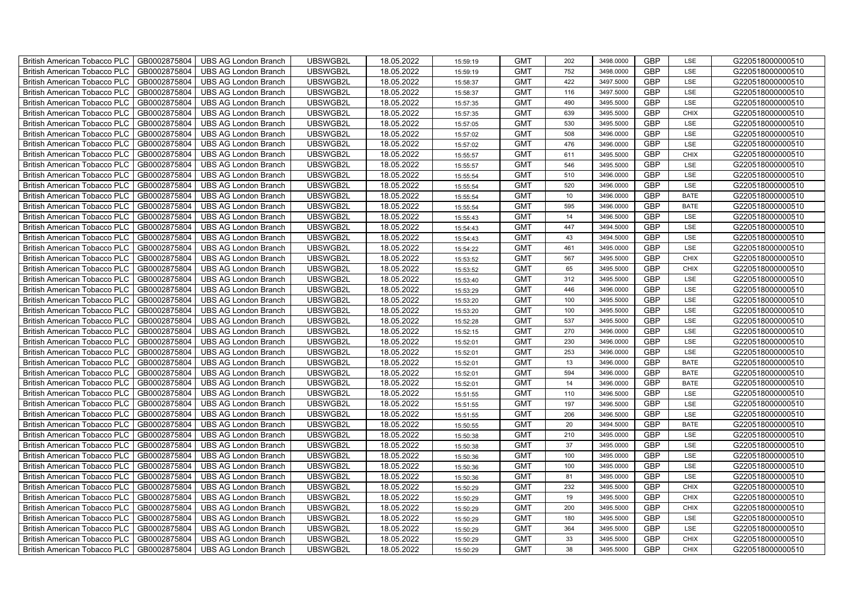| British American Tobacco PLC        | GB0002875804 | <b>UBS AG London Branch</b> | UBSWGB2L | 18.05.2022 | 15:59:19 | <b>GMT</b> | 202             | 3498.0000 | <b>GBP</b> | LSE         | G220518000000510 |
|-------------------------------------|--------------|-----------------------------|----------|------------|----------|------------|-----------------|-----------|------------|-------------|------------------|
| <b>British American Tobacco PLC</b> | GB0002875804 | <b>UBS AG London Branch</b> | UBSWGB2L | 18.05.2022 | 15:59:19 | <b>GMT</b> | 752             | 3498,0000 | <b>GBP</b> | <b>LSE</b>  | G220518000000510 |
| <b>British American Tobacco PLC</b> | GB0002875804 | <b>UBS AG London Branch</b> | UBSWGB2L | 18.05.2022 | 15:58:37 | <b>GMT</b> | 422             | 3497.5000 | <b>GBP</b> | LSE         | G220518000000510 |
| British American Tobacco PLC        | GB0002875804 | <b>UBS AG London Branch</b> | UBSWGB2L | 18.05.2022 | 15:58:37 | <b>GMT</b> | 116             | 3497.5000 | <b>GBP</b> | LSE         | G220518000000510 |
| <b>British American Tobacco PLC</b> | GB0002875804 | UBS AG London Branch        | UBSWGB2L | 18.05.2022 | 15:57:35 | <b>GMT</b> | 490             | 3495.5000 | <b>GBP</b> | LSE         | G220518000000510 |
| British American Tobacco PLC        | GB0002875804 | <b>UBS AG London Branch</b> | UBSWGB2L | 18.05.2022 | 15:57:35 | <b>GMT</b> | 639             | 3495.5000 | <b>GBP</b> | <b>CHIX</b> | G220518000000510 |
| <b>British American Tobacco PLC</b> | GB0002875804 | <b>UBS AG London Branch</b> | UBSWGB2L | 18.05.2022 | 15:57:05 | <b>GMT</b> | 530             | 3495.5000 | <b>GBP</b> | LSE         | G220518000000510 |
| British American Tobacco PLC        | GB0002875804 | <b>UBS AG London Branch</b> | UBSWGB2L | 18.05.2022 | 15:57:02 | <b>GMT</b> | 508             | 3496.0000 | <b>GBP</b> | LSE         | G220518000000510 |
| <b>British American Tobacco PLC</b> | GB0002875804 | <b>UBS AG London Branch</b> | UBSWGB2L | 18.05.2022 | 15:57:02 | <b>GMT</b> | 476             | 3496.0000 | <b>GBP</b> | LSE         | G220518000000510 |
| British American Tobacco PLC        | GB0002875804 | <b>UBS AG London Branch</b> | UBSWGB2L | 18.05.2022 | 15:55:57 | <b>GMT</b> | 611             | 3495.5000 | <b>GBP</b> | <b>CHIX</b> | G220518000000510 |
| <b>British American Tobacco PLC</b> | GB0002875804 | <b>UBS AG London Branch</b> | UBSWGB2L | 18.05.2022 | 15:55:57 | <b>GMT</b> | 546             | 3495.5000 | <b>GBP</b> | LSE         | G220518000000510 |
| <b>British American Tobacco PLC</b> | GB0002875804 | <b>UBS AG London Branch</b> | UBSWGB2L | 18.05.2022 | 15:55:54 | <b>GMT</b> | 510             | 3496.0000 | <b>GBP</b> | LSE         | G220518000000510 |
| British American Tobacco PLC        | GB0002875804 | <b>UBS AG London Branch</b> | UBSWGB2L | 18.05.2022 | 15:55:54 | <b>GMT</b> | 520             | 3496.0000 | <b>GBP</b> | LSE         | G220518000000510 |
| British American Tobacco PLC        | GB0002875804 | <b>UBS AG London Branch</b> | UBSWGB2L | 18.05.2022 | 15:55:54 | <b>GMT</b> | 10 <sup>1</sup> | 3496.0000 | <b>GBP</b> | <b>BATE</b> | G220518000000510 |
| British American Tobacco PLC        | GB0002875804 | <b>UBS AG London Branch</b> | UBSWGB2L | 18.05.2022 | 15:55:54 | <b>GMT</b> | 595             | 3496.0000 | <b>GBP</b> | <b>BATE</b> | G220518000000510 |
| British American Tobacco PLC        | GB0002875804 | <b>UBS AG London Branch</b> | UBSWGB2L | 18.05.2022 | 15:55:43 | <b>GMT</b> | 14              | 3496.5000 | <b>GBP</b> | LSE         | G220518000000510 |
| British American Tobacco PLC        | GB0002875804 | <b>UBS AG London Branch</b> | UBSWGB2L | 18.05.2022 | 15:54:43 | <b>GMT</b> | 447             | 3494.5000 | <b>GBP</b> | LSE         | G220518000000510 |
| British American Tobacco PLC        | GB0002875804 | <b>UBS AG London Branch</b> | UBSWGB2L | 18.05.2022 | 15:54:43 | <b>GMT</b> | 43              | 3494.5000 | <b>GBP</b> | LSE         | G220518000000510 |
| British American Tobacco PLC        | GB0002875804 | <b>UBS AG London Branch</b> | UBSWGB2L | 18.05.2022 | 15:54:22 | <b>GMT</b> | 461             | 3495.0000 | <b>GBP</b> | LSE         | G220518000000510 |
| <b>British American Tobacco PLC</b> | GB0002875804 | <b>UBS AG London Branch</b> | UBSWGB2L | 18.05.2022 | 15:53:52 | <b>GMT</b> | 567             | 3495.5000 | <b>GBP</b> | CHIX        | G220518000000510 |
| <b>British American Tobacco PLC</b> | GB0002875804 | <b>UBS AG London Branch</b> | UBSWGB2L | 18.05.2022 | 15:53:52 | <b>GMT</b> | 65              | 3495.5000 | <b>GBP</b> | <b>CHIX</b> | G220518000000510 |
| British American Tobacco PLC        | GB0002875804 | <b>UBS AG London Branch</b> | UBSWGB2L | 18.05.2022 | 15:53:40 | <b>GMT</b> | 312             | 3495.5000 | <b>GBP</b> | LSE         | G220518000000510 |
| British American Tobacco PLC        | GB0002875804 | <b>UBS AG London Branch</b> | UBSWGB2L | 18.05.2022 | 15:53:29 | <b>GMT</b> | 446             | 3496.0000 | GBP        | LSE         | G220518000000510 |
| British American Tobacco PLC        | GB0002875804 | <b>UBS AG London Branch</b> | UBSWGB2L | 18.05.2022 | 15:53:20 | <b>GMT</b> | 100             | 3495.5000 | <b>GBP</b> | LSE         | G220518000000510 |
| British American Tobacco PLC        | GB0002875804 | <b>UBS AG London Branch</b> | UBSWGB2L | 18.05.2022 | 15:53:20 | <b>GMT</b> | 100             | 3495.5000 | <b>GBP</b> | LSE         | G220518000000510 |
| British American Tobacco PLC        | GB0002875804 | <b>UBS AG London Branch</b> | UBSWGB2L | 18.05.2022 | 15:52:28 | <b>GMT</b> | 537             | 3495.5000 | <b>GBP</b> | LSE         | G220518000000510 |
| British American Tobacco PLC        | GB0002875804 | <b>UBS AG London Branch</b> | UBSWGB2L | 18.05.2022 | 15:52:15 | <b>GMT</b> | 270             | 3496.0000 | <b>GBP</b> | LSE         | G220518000000510 |
| British American Tobacco PLC        | GB0002875804 | <b>UBS AG London Branch</b> | UBSWGB2L | 18.05.2022 | 15:52:01 | <b>GMT</b> | 230             | 3496.0000 | <b>GBP</b> | LSE         | G220518000000510 |
| <b>British American Tobacco PLC</b> | GB0002875804 | <b>UBS AG London Branch</b> | UBSWGB2L | 18.05.2022 | 15:52:01 | <b>GMT</b> | 253             | 3496.0000 | <b>GBP</b> | LSE         | G220518000000510 |
| <b>British American Tobacco PLC</b> | GB0002875804 | <b>UBS AG London Branch</b> | UBSWGB2L | 18.05.2022 | 15:52:01 | <b>GMT</b> | 13              | 3496.0000 | <b>GBP</b> | <b>BATE</b> | G220518000000510 |
| British American Tobacco PLC        | GB0002875804 | <b>UBS AG London Branch</b> | UBSWGB2L | 18.05.2022 | 15:52:01 | <b>GMT</b> | 594             | 3496.0000 | <b>GBP</b> | <b>BATE</b> | G220518000000510 |
| British American Tobacco PLC        | GB0002875804 | <b>UBS AG London Branch</b> | UBSWGB2L | 18.05.2022 | 15:52:01 | <b>GMT</b> | 14              | 3496.0000 | <b>GBP</b> | <b>BATE</b> | G220518000000510 |
| British American Tobacco PLC        | GB0002875804 | UBS AG London Branch        | UBSWGB2L | 18.05.2022 | 15:51:55 | <b>GMT</b> | 110             | 3496.5000 | <b>GBP</b> | LSE         | G220518000000510 |
| British American Tobacco PLC        | GB0002875804 | <b>UBS AG London Branch</b> | UBSWGB2L | 18.05.2022 | 15:51:55 | <b>GMT</b> | 197             | 3496.5000 | <b>GBP</b> | LSE         | G220518000000510 |
| British American Tobacco PLC        | GB0002875804 | <b>UBS AG London Branch</b> | UBSWGB2L | 18.05.2022 | 15:51:55 | <b>GMT</b> | 206             | 3496.5000 | <b>GBP</b> | LSE         | G220518000000510 |
| British American Tobacco PLC        | GB0002875804 | <b>UBS AG London Branch</b> | UBSWGB2L | 18.05.2022 | 15:50:55 | <b>GMT</b> | 20              | 3494.5000 | <b>GBP</b> | <b>BATE</b> | G220518000000510 |
| British American Tobacco PLC        | GB0002875804 | <b>UBS AG London Branch</b> | UBSWGB2L | 18.05.2022 | 15:50:38 | <b>GMT</b> | 210             | 3495.0000 | <b>GBP</b> | LSE         | G220518000000510 |
| <b>British American Tobacco PLC</b> | GB0002875804 | <b>UBS AG London Branch</b> | UBSWGB2L | 18.05.2022 | 15:50:38 | <b>GMT</b> | 37              | 3495.0000 | <b>GBP</b> | LSE         | G220518000000510 |
| British American Tobacco PLC        | GB0002875804 | <b>UBS AG London Branch</b> | UBSWGB2L | 18.05.2022 | 15:50:36 | <b>GMT</b> | 100             | 3495.0000 | <b>GBP</b> | LSE         | G220518000000510 |
| <b>British American Tobacco PLC</b> | GB0002875804 | <b>UBS AG London Branch</b> | UBSWGB2L | 18.05.2022 | 15:50:36 | <b>GMT</b> | 100             | 3495.0000 | <b>GBP</b> | LSE         | G220518000000510 |
| British American Tobacco PLC        | GB0002875804 | UBS AG London Branch        | UBSWGB2L | 18.05.2022 | 15:50:36 | <b>GMT</b> | 81              | 3495.0000 | <b>GBP</b> | LSE         | G220518000000510 |
| British American Tobacco PLC        | GB0002875804 | UBS AG London Branch        | UBSWGB2L | 18.05.2022 | 15:50:29 | <b>GMT</b> | 232             | 3495.5000 | <b>GBP</b> | <b>CHIX</b> | G220518000000510 |
| British American Tobacco PLC        | GB0002875804 | <b>UBS AG London Branch</b> | UBSWGB2L | 18.05.2022 | 15:50:29 | <b>GMT</b> | 19              | 3495.5000 | <b>GBP</b> | <b>CHIX</b> | G220518000000510 |
| British American Tobacco PLC        | GB0002875804 | <b>UBS AG London Branch</b> | UBSWGB2L | 18.05.2022 | 15:50:29 | <b>GMT</b> | 200             | 3495.5000 | <b>GBP</b> | <b>CHIX</b> | G220518000000510 |
| <b>British American Tobacco PLC</b> | GB0002875804 | <b>UBS AG London Branch</b> | UBSWGB2L | 18.05.2022 | 15:50:29 | <b>GMT</b> | 180             | 3495.5000 | <b>GBP</b> | LSE         | G220518000000510 |
| <b>British American Tobacco PLC</b> | GB0002875804 | <b>UBS AG London Branch</b> | UBSWGB2L | 18.05.2022 | 15:50:29 | <b>GMT</b> | 364             | 3495.5000 | <b>GBP</b> | LSE         | G220518000000510 |
| British American Tobacco PLC        | GB0002875804 | <b>UBS AG London Branch</b> | UBSWGB2L | 18.05.2022 | 15:50:29 | <b>GMT</b> | 33              | 3495.5000 | <b>GBP</b> | <b>CHIX</b> | G220518000000510 |
| British American Tobacco PLC        | GB0002875804 | UBS AG London Branch        | UBSWGB2L | 18.05.2022 | 15:50:29 | <b>GMT</b> | 38              | 3495.5000 | <b>GBP</b> | <b>CHIX</b> | G220518000000510 |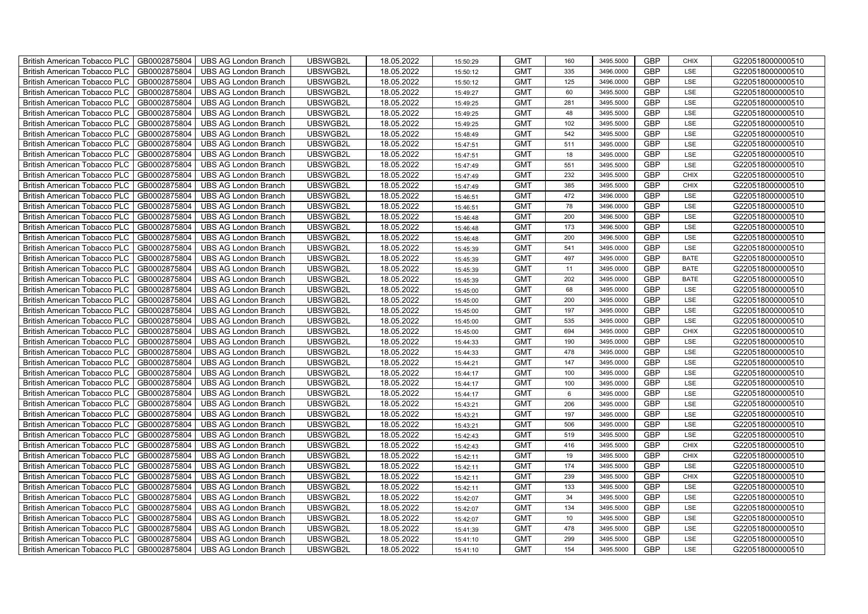| British American Tobacco PLC        | GB0002875804 | <b>UBS AG London Branch</b> | UBSWGB2L | 18.05.2022 | 15:50:29 | <b>GMT</b> | 160  | 3495.5000 | <b>GBP</b> | <b>CHIX</b> | G220518000000510 |
|-------------------------------------|--------------|-----------------------------|----------|------------|----------|------------|------|-----------|------------|-------------|------------------|
| <b>British American Tobacco PLC</b> | GB0002875804 | <b>UBS AG London Branch</b> | UBSWGB2L | 18.05.2022 | 15:50:12 | <b>GMT</b> | 335  | 3496,0000 | <b>GBP</b> | <b>LSE</b>  | G220518000000510 |
| <b>British American Tobacco PLC</b> | GB0002875804 | <b>UBS AG London Branch</b> | UBSWGB2L | 18.05.2022 | 15:50:12 | <b>GMT</b> | 125  | 3496.0000 | <b>GBP</b> | LSE         | G220518000000510 |
| British American Tobacco PLC        | GB0002875804 | <b>UBS AG London Branch</b> | UBSWGB2L | 18.05.2022 | 15:49:27 | <b>GMT</b> | 60   | 3495.5000 | <b>GBP</b> | LSE         | G220518000000510 |
| <b>British American Tobacco PLC</b> | GB0002875804 | UBS AG London Branch        | UBSWGB2L | 18.05.2022 | 15:49:25 | <b>GMT</b> | 281  | 3495.5000 | <b>GBP</b> | LSE         | G220518000000510 |
| British American Tobacco PLC        | GB0002875804 | <b>UBS AG London Branch</b> | UBSWGB2L | 18.05.2022 | 15:49:25 | <b>GMT</b> | 48   | 3495.5000 | <b>GBP</b> | LSE         | G220518000000510 |
| <b>British American Tobacco PLC</b> | GB0002875804 | <b>UBS AG London Branch</b> | UBSWGB2L | 18.05.2022 | 15:49:25 | <b>GMT</b> | 102  | 3495.5000 | <b>GBP</b> | LSE         | G220518000000510 |
| British American Tobacco PLC        | GB0002875804 | <b>UBS AG London Branch</b> | UBSWGB2L | 18.05.2022 | 15:48:49 | <b>GMT</b> | 542  | 3495.5000 | <b>GBP</b> | LSE         | G220518000000510 |
| <b>British American Tobacco PLC</b> | GB0002875804 | <b>UBS AG London Branch</b> | UBSWGB2L | 18.05.2022 | 15:47:51 | <b>GMT</b> | 511  | 3495.0000 | <b>GBP</b> | LSE         | G220518000000510 |
| British American Tobacco PLC        | GB0002875804 | <b>UBS AG London Branch</b> | UBSWGB2L | 18.05.2022 | 15:47:51 | <b>GMT</b> | 18   | 3495.0000 | <b>GBP</b> | LSE         | G220518000000510 |
| <b>British American Tobacco PLC</b> | GB0002875804 | <b>UBS AG London Branch</b> | UBSWGB2L | 18.05.2022 | 15:47:49 | <b>GMT</b> | 551  | 3495.5000 | <b>GBP</b> | LSE         | G220518000000510 |
| <b>British American Tobacco PLC</b> | GB0002875804 | <b>UBS AG London Branch</b> | UBSWGB2L | 18.05.2022 | 15:47:49 | <b>GMT</b> | 232  | 3495.5000 | <b>GBP</b> | <b>CHIX</b> | G220518000000510 |
| British American Tobacco PLC        | GB0002875804 | <b>UBS AG London Branch</b> | UBSWGB2L | 18.05.2022 | 15:47:49 | <b>GMT</b> | 385  | 3495.5000 | <b>GBP</b> | <b>CHIX</b> | G220518000000510 |
| British American Tobacco PLC        | GB0002875804 | <b>UBS AG London Branch</b> | UBSWGB2L | 18.05.2022 | 15:46:51 | <b>GMT</b> | 472  | 3496.0000 | <b>GBP</b> | LSE         | G220518000000510 |
| British American Tobacco PLC        | GB0002875804 | <b>UBS AG London Branch</b> | UBSWGB2L | 18.05.2022 | 15:46:51 | <b>GMT</b> | 78   | 3496.0000 | <b>GBP</b> | LSE         | G220518000000510 |
| British American Tobacco PLC        | GB0002875804 | <b>UBS AG London Branch</b> | UBSWGB2L | 18.05.2022 | 15:46:48 | <b>GMT</b> | 200  | 3496.5000 | <b>GBP</b> | LSE         | G220518000000510 |
| British American Tobacco PLC        | GB0002875804 | <b>UBS AG London Branch</b> | UBSWGB2L | 18.05.2022 | 15:46:48 | <b>GMT</b> | 173  | 3496.5000 | <b>GBP</b> | LSE         | G220518000000510 |
| British American Tobacco PLC        | GB0002875804 | <b>UBS AG London Branch</b> | UBSWGB2L | 18.05.2022 | 15:46:48 | <b>GMT</b> | 200  | 3496.5000 | <b>GBP</b> | LSE         | G220518000000510 |
| British American Tobacco PLC        | GB0002875804 | <b>UBS AG London Branch</b> | UBSWGB2L | 18.05.2022 | 15:45:39 | <b>GMT</b> | 541  | 3495.0000 | <b>GBP</b> | LSE         | G220518000000510 |
| <b>British American Tobacco PLC</b> | GB0002875804 | <b>UBS AG London Branch</b> | UBSWGB2L | 18.05.2022 | 15:45:39 | <b>GMT</b> | 497  | 3495.0000 | <b>GBP</b> | <b>BATE</b> | G220518000000510 |
| <b>British American Tobacco PLC</b> | GB0002875804 | <b>UBS AG London Branch</b> | UBSWGB2L | 18.05.2022 | 15:45:39 | <b>GMT</b> | 11   | 3495.0000 | <b>GBP</b> | <b>BATE</b> | G220518000000510 |
| British American Tobacco PLC        | GB0002875804 | <b>UBS AG London Branch</b> | UBSWGB2L | 18.05.2022 | 15:45:39 | <b>GMT</b> | 202  | 3495.0000 | <b>GBP</b> | <b>BATE</b> | G220518000000510 |
| British American Tobacco PLC        | GB0002875804 | <b>UBS AG London Branch</b> | UBSWGB2L | 18.05.2022 | 15:45:00 | <b>GMT</b> | 68   | 3495.0000 | GBP        | LSE         | G220518000000510 |
| British American Tobacco PLC        | GB0002875804 | <b>UBS AG London Branch</b> | UBSWGB2L | 18.05.2022 | 15:45:00 | <b>GMT</b> | 200  | 3495.0000 | <b>GBP</b> | LSE         | G220518000000510 |
| British American Tobacco PLC        | GB0002875804 | <b>UBS AG London Branch</b> | UBSWGB2L | 18.05.2022 | 15:45:00 | <b>GMT</b> | 197  | 3495.0000 | <b>GBP</b> | LSE         | G220518000000510 |
| British American Tobacco PLC        | GB0002875804 | <b>UBS AG London Branch</b> | UBSWGB2L | 18.05.2022 | 15:45:00 | <b>GMT</b> | 535  | 3495.0000 | <b>GBP</b> | LSE         | G220518000000510 |
| British American Tobacco PLC        | GB0002875804 | <b>UBS AG London Branch</b> | UBSWGB2L | 18.05.2022 | 15:45:00 | <b>GMT</b> | 694  | 3495.0000 | <b>GBP</b> | CHIX        | G220518000000510 |
| British American Tobacco PLC        | GB0002875804 | <b>UBS AG London Branch</b> | UBSWGB2L | 18.05.2022 | 15:44:33 | <b>GMT</b> | 190  | 3495.0000 | <b>GBP</b> | LSE         | G220518000000510 |
| <b>British American Tobacco PLC</b> | GB0002875804 | <b>UBS AG London Branch</b> | UBSWGB2L | 18.05.2022 | 15:44:33 | <b>GMT</b> | 478  | 3495.0000 | <b>GBP</b> | LSE         | G220518000000510 |
| <b>British American Tobacco PLC</b> | GB0002875804 | <b>UBS AG London Branch</b> | UBSWGB2L | 18.05.2022 | 15:44:21 | <b>GMT</b> | 147  | 3495.0000 | <b>GBP</b> | LSE         | G220518000000510 |
| British American Tobacco PLC        | GB0002875804 | <b>UBS AG London Branch</b> | UBSWGB2L | 18.05.2022 | 15:44:17 | <b>GMT</b> | 100  | 3495.0000 | <b>GBP</b> | LSE         | G220518000000510 |
| British American Tobacco PLC        | GB0002875804 | <b>UBS AG London Branch</b> | UBSWGB2L | 18.05.2022 | 15:44:17 | <b>GMT</b> | 100  | 3495.0000 | <b>GBP</b> | LSE         | G220518000000510 |
| British American Tobacco PLC        | GB0002875804 | UBS AG London Branch        | UBSWGB2L | 18.05.2022 | 15:44:17 | <b>GMT</b> | 6    | 3495.0000 | <b>GBP</b> | LSE         | G220518000000510 |
| British American Tobacco PLC        | GB0002875804 | <b>UBS AG London Branch</b> | UBSWGB2L | 18.05.2022 | 15:43:21 | <b>GMT</b> | 206  | 3495.0000 | <b>GBP</b> | LSE         | G220518000000510 |
| British American Tobacco PLC        | GB0002875804 | <b>UBS AG London Branch</b> | UBSWGB2L | 18.05.2022 | 15:43:21 | <b>GMT</b> | 197  | 3495.0000 | <b>GBP</b> | LSE         | G220518000000510 |
| British American Tobacco PLC        | GB0002875804 | <b>UBS AG London Branch</b> | UBSWGB2L | 18.05.2022 | 15:43:21 | <b>GMT</b> | 506  | 3495.0000 | <b>GBP</b> | LSE         | G220518000000510 |
| British American Tobacco PLC        | GB0002875804 | <b>UBS AG London Branch</b> | UBSWGB2L | 18.05.2022 | 15:42:43 | <b>GMT</b> | 519  | 3495.5000 | <b>GBP</b> | LSE         | G220518000000510 |
| <b>British American Tobacco PLC</b> | GB0002875804 | <b>UBS AG London Branch</b> | UBSWGB2L | 18.05.2022 | 15:42:43 | <b>GMT</b> | 416  | 3495.5000 | <b>GBP</b> | <b>CHIX</b> | G220518000000510 |
| British American Tobacco PLC        | GB0002875804 | <b>UBS AG London Branch</b> | UBSWGB2L | 18.05.2022 | 15:42:11 | <b>GMT</b> | 19   | 3495.5000 | <b>GBP</b> | <b>CHIX</b> | G220518000000510 |
| <b>British American Tobacco PLC</b> | GB0002875804 | <b>UBS AG London Branch</b> | UBSWGB2L | 18.05.2022 | 15:42:11 | <b>GMT</b> | 174  | 3495.5000 | <b>GBP</b> | LSE         | G220518000000510 |
| British American Tobacco PLC        | GB0002875804 | UBS AG London Branch        | UBSWGB2L | 18.05.2022 | 15:42:11 | <b>GMT</b> | 239  | 3495.5000 | <b>GBP</b> | <b>CHIX</b> | G220518000000510 |
| British American Tobacco PLC        | GB0002875804 | UBS AG London Branch        | UBSWGB2L | 18.05.2022 | 15:42:11 | <b>GMT</b> | 133  | 3495.5000 | <b>GBP</b> | LSE         | G220518000000510 |
| British American Tobacco PLC        | GB0002875804 | <b>UBS AG London Branch</b> | UBSWGB2L | 18.05.2022 | 15:42:07 | <b>GMT</b> | 34   | 3495.5000 | <b>GBP</b> | LSE         | G220518000000510 |
| <b>British American Tobacco PLC</b> | GB0002875804 | <b>UBS AG London Branch</b> | UBSWGB2L | 18.05.2022 | 15:42:07 | <b>GMT</b> | 134  | 3495.5000 | <b>GBP</b> | LSE         | G220518000000510 |
| <b>British American Tobacco PLC</b> | GB0002875804 | <b>UBS AG London Branch</b> | UBSWGB2L | 18.05.2022 | 15:42:07 | <b>GMT</b> | $10$ | 3495.5000 | <b>GBP</b> | LSE         | G220518000000510 |
| <b>British American Tobacco PLC</b> | GB0002875804 | <b>UBS AG London Branch</b> | UBSWGB2L | 18.05.2022 | 15:41:39 | <b>GMT</b> | 478  | 3495.5000 | <b>GBP</b> | LSE         | G220518000000510 |
| <b>British American Tobacco PLC</b> | GB0002875804 | <b>UBS AG London Branch</b> | UBSWGB2L | 18.05.2022 | 15:41:10 | <b>GMT</b> | 299  | 3495.5000 | <b>GBP</b> | LSE         | G220518000000510 |
| British American Tobacco PLC        | GB0002875804 | UBS AG London Branch        | UBSWGB2L | 18.05.2022 | 15:41:10 | <b>GMT</b> | 154  | 3495.5000 | <b>GBP</b> | <b>LSE</b>  | G220518000000510 |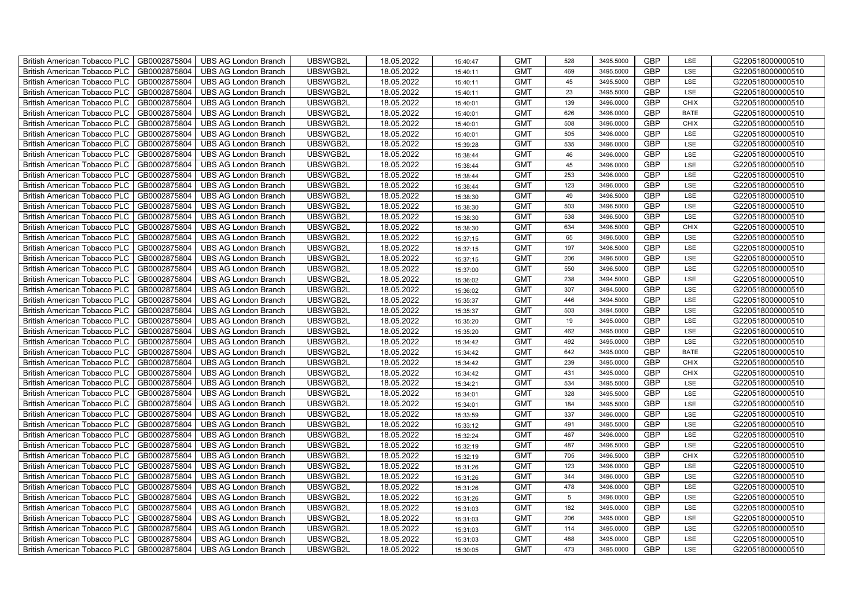| British American Tobacco PLC        | GB0002875804 | <b>UBS AG London Branch</b> | UBSWGB2L | 18.05.2022 | 15:40:47 | <b>GMT</b> | 528             | 3495.5000 | <b>GBP</b> | LSE         | G220518000000510 |
|-------------------------------------|--------------|-----------------------------|----------|------------|----------|------------|-----------------|-----------|------------|-------------|------------------|
| <b>British American Tobacco PLC</b> | GB0002875804 | <b>UBS AG London Branch</b> | UBSWGB2L | 18.05.2022 | 15:40:11 | <b>GMT</b> | 469             | 3495.5000 | <b>GBP</b> | <b>LSE</b>  | G220518000000510 |
| <b>British American Tobacco PLC</b> | GB0002875804 | <b>UBS AG London Branch</b> | UBSWGB2L | 18.05.2022 | 15:40:11 | <b>GMT</b> | 45              | 3495.5000 | <b>GBP</b> | LSE         | G220518000000510 |
| British American Tobacco PLC        | GB0002875804 | <b>UBS AG London Branch</b> | UBSWGB2L | 18.05.2022 | 15:40:11 | <b>GMT</b> | 23              | 3495.5000 | <b>GBP</b> | LSE         | G220518000000510 |
| <b>British American Tobacco PLC</b> | GB0002875804 | UBS AG London Branch        | UBSWGB2L | 18.05.2022 | 15:40:01 | <b>GMT</b> | 139             | 3496.0000 | <b>GBP</b> | <b>CHIX</b> | G220518000000510 |
| British American Tobacco PLC        | GB0002875804 | <b>UBS AG London Branch</b> | UBSWGB2L | 18.05.2022 | 15:40:01 | <b>GMT</b> | 626             | 3496.0000 | <b>GBP</b> | <b>BATE</b> | G220518000000510 |
| <b>British American Tobacco PLC</b> | GB0002875804 | <b>UBS AG London Branch</b> | UBSWGB2L | 18.05.2022 | 15:40:01 | <b>GMT</b> | 508             | 3496.0000 | <b>GBP</b> | <b>CHIX</b> | G220518000000510 |
| British American Tobacco PLC        | GB0002875804 | <b>UBS AG London Branch</b> | UBSWGB2L | 18.05.2022 | 15:40:01 | <b>GMT</b> | 505             | 3496.0000 | <b>GBP</b> | LSE         | G220518000000510 |
| <b>British American Tobacco PLC</b> | GB0002875804 | <b>UBS AG London Branch</b> | UBSWGB2L | 18.05.2022 | 15:39:28 | <b>GMT</b> | 535             | 3496.0000 | <b>GBP</b> | LSE         | G220518000000510 |
| British American Tobacco PLC        | GB0002875804 | <b>UBS AG London Branch</b> | UBSWGB2L | 18.05.2022 | 15:38:44 | <b>GMT</b> | 46              | 3496.0000 | <b>GBP</b> | LSE         | G220518000000510 |
| <b>British American Tobacco PLC</b> | GB0002875804 | <b>UBS AG London Branch</b> | UBSWGB2L | 18.05.2022 | 15:38:44 | <b>GMT</b> | 45              | 3496.0000 | <b>GBP</b> | LSE         | G220518000000510 |
| <b>British American Tobacco PLC</b> | GB0002875804 | <b>UBS AG London Branch</b> | UBSWGB2L | 18.05.2022 | 15:38:44 | <b>GMT</b> | 253             | 3496.0000 | <b>GBP</b> | LSE         | G220518000000510 |
| British American Tobacco PLC        | GB0002875804 | <b>UBS AG London Branch</b> | UBSWGB2L | 18.05.2022 | 15:38:44 | <b>GMT</b> | 123             | 3496.0000 | <b>GBP</b> | LSE         | G220518000000510 |
| British American Tobacco PLC        | GB0002875804 | <b>UBS AG London Branch</b> | UBSWGB2L | 18.05.2022 | 15:38:30 | <b>GMT</b> | 49              | 3496.5000 | <b>GBP</b> | LSE         | G220518000000510 |
| British American Tobacco PLC        | GB0002875804 | <b>UBS AG London Branch</b> | UBSWGB2L | 18.05.2022 | 15:38:30 | <b>GMT</b> | 503             | 3496.5000 | <b>GBP</b> | LSE         | G220518000000510 |
| British American Tobacco PLC        | GB0002875804 | <b>UBS AG London Branch</b> | UBSWGB2L | 18.05.2022 | 15:38:30 | <b>GMT</b> | 538             | 3496.5000 | <b>GBP</b> | LSE         | G220518000000510 |
| British American Tobacco PLC        | GB0002875804 | <b>UBS AG London Branch</b> | UBSWGB2L | 18.05.2022 | 15:38:30 | <b>GMT</b> | 634             | 3496.5000 | <b>GBP</b> | <b>CHIX</b> | G220518000000510 |
| British American Tobacco PLC        | GB0002875804 | <b>UBS AG London Branch</b> | UBSWGB2L | 18.05.2022 | 15:37:15 | <b>GMT</b> | 65              | 3496.5000 | <b>GBP</b> | LSE         | G220518000000510 |
| British American Tobacco PLC        | GB0002875804 | <b>UBS AG London Branch</b> | UBSWGB2L | 18.05.2022 | 15:37:15 | <b>GMT</b> | 197             | 3496.5000 | <b>GBP</b> | LSE         | G220518000000510 |
| <b>British American Tobacco PLC</b> | GB0002875804 | <b>UBS AG London Branch</b> | UBSWGB2L | 18.05.2022 | 15:37:15 | <b>GMT</b> | 206             | 3496.5000 | <b>GBP</b> | LSE         | G220518000000510 |
| <b>British American Tobacco PLC</b> | GB0002875804 | <b>UBS AG London Branch</b> | UBSWGB2L | 18.05.2022 | 15:37:00 | <b>GMT</b> | 550             | 3496.5000 | <b>GBP</b> | <b>LSE</b>  | G220518000000510 |
| British American Tobacco PLC        | GB0002875804 | <b>UBS AG London Branch</b> | UBSWGB2L | 18.05.2022 | 15:36:02 | <b>GMT</b> | 238             | 3494.5000 | <b>GBP</b> | LSE         | G220518000000510 |
| British American Tobacco PLC        | GB0002875804 | <b>UBS AG London Branch</b> | UBSWGB2L | 18.05.2022 | 15:36:02 | <b>GMT</b> | 307             | 3494.5000 | GBP        | LSE         | G220518000000510 |
| British American Tobacco PLC        | GB0002875804 | <b>UBS AG London Branch</b> | UBSWGB2L | 18.05.2022 | 15:35:37 | <b>GMT</b> | 446             | 3494.5000 | <b>GBP</b> | LSE         | G220518000000510 |
| British American Tobacco PLC        | GB0002875804 | <b>UBS AG London Branch</b> | UBSWGB2L | 18.05.2022 | 15:35:37 | <b>GMT</b> | 503             | 3494.5000 | <b>GBP</b> | LSE         | G220518000000510 |
| British American Tobacco PLC        | GB0002875804 | <b>UBS AG London Branch</b> | UBSWGB2L | 18.05.2022 | 15:35:20 | <b>GMT</b> | 19              | 3495.0000 | <b>GBP</b> | LSE         | G220518000000510 |
| British American Tobacco PLC        | GB0002875804 | <b>UBS AG London Branch</b> | UBSWGB2L | 18.05.2022 | 15:35:20 | <b>GMT</b> | 462             | 3495.0000 | <b>GBP</b> | LSE         | G220518000000510 |
| British American Tobacco PLC        | GB0002875804 | <b>UBS AG London Branch</b> | UBSWGB2L | 18.05.2022 | 15:34:42 | <b>GMT</b> | 492             | 3495.0000 | <b>GBP</b> | LSE         | G220518000000510 |
| <b>British American Tobacco PLC</b> | GB0002875804 | <b>UBS AG London Branch</b> | UBSWGB2L | 18.05.2022 | 15:34:42 | <b>GMT</b> | 642             | 3495.0000 | <b>GBP</b> | <b>BATE</b> | G220518000000510 |
| <b>British American Tobacco PLC</b> | GB0002875804 | <b>UBS AG London Branch</b> | UBSWGB2L | 18.05.2022 | 15:34:42 | <b>GMT</b> | 239             | 3495.0000 | <b>GBP</b> | <b>CHIX</b> | G220518000000510 |
| British American Tobacco PLC        | GB0002875804 | <b>UBS AG London Branch</b> | UBSWGB2L | 18.05.2022 | 15:34:42 | <b>GMT</b> | 431             | 3495.0000 | <b>GBP</b> | <b>CHIX</b> | G220518000000510 |
| British American Tobacco PLC        | GB0002875804 | UBS AG London Branch        | UBSWGB2L | 18.05.2022 | 15:34:21 | <b>GMT</b> | 534             | 3495.5000 | <b>GBP</b> | LSE         | G220518000000510 |
| British American Tobacco PLC        | GB0002875804 | UBS AG London Branch        | UBSWGB2L | 18.05.2022 | 15:34:01 | <b>GMT</b> | 328             | 3495.5000 | <b>GBP</b> | LSE         | G220518000000510 |
| British American Tobacco PLC        | GB0002875804 | <b>UBS AG London Branch</b> | UBSWGB2L | 18.05.2022 | 15:34:01 | <b>GMT</b> | 184             | 3495.5000 | <b>GBP</b> | LSE         | G220518000000510 |
| British American Tobacco PLC        | GB0002875804 | <b>UBS AG London Branch</b> | UBSWGB2L | 18.05.2022 | 15:33:59 | <b>GMT</b> | 337             | 3496.0000 | <b>GBP</b> | LSE         | G220518000000510 |
| British American Tobacco PLC        | GB0002875804 | <b>UBS AG London Branch</b> | UBSWGB2L | 18.05.2022 | 15:33:12 | <b>GMT</b> | 491             | 3495.5000 | <b>GBP</b> | LSE         | G220518000000510 |
| British American Tobacco PLC        | GB0002875804 | <b>UBS AG London Branch</b> | UBSWGB2L | 18.05.2022 | 15:32:24 | <b>GMT</b> | 467             | 3496.0000 | <b>GBP</b> | LSE         | G220518000000510 |
| <b>British American Tobacco PLC</b> | GB0002875804 | <b>UBS AG London Branch</b> | UBSWGB2L | 18.05.2022 | 15:32:19 | <b>GMT</b> | 487             | 3496.5000 | <b>GBP</b> | LSE         | G220518000000510 |
| British American Tobacco PLC        | GB0002875804 | <b>UBS AG London Branch</b> | UBSWGB2L | 18.05.2022 | 15:32:19 | <b>GMT</b> | 705             | 3496.5000 | <b>GBP</b> | <b>CHIX</b> | G220518000000510 |
| British American Tobacco PLC        | GB0002875804 | <b>UBS AG London Branch</b> | UBSWGB2L | 18.05.2022 | 15:31:26 | <b>GMT</b> | 123             | 3496.0000 | <b>GBP</b> | LSE         | G220518000000510 |
| British American Tobacco PLC        | GB0002875804 | UBS AG London Branch        | UBSWGB2L | 18.05.2022 | 15:31:26 | <b>GMT</b> | 344             | 3496.0000 | <b>GBP</b> | LSE         | G220518000000510 |
| British American Tobacco PLC        | GB0002875804 | UBS AG London Branch        | UBSWGB2L | 18.05.2022 | 15:31:26 | <b>GMT</b> | 478             | 3496.0000 | <b>GBP</b> | LSE         | G220518000000510 |
| British American Tobacco PLC        | GB0002875804 | <b>UBS AG London Branch</b> | UBSWGB2L | 18.05.2022 | 15:31:26 | <b>GMT</b> | $5\phantom{.0}$ | 3496.0000 | <b>GBP</b> | LSE         | G220518000000510 |
| British American Tobacco PLC        | GB0002875804 | <b>UBS AG London Branch</b> | UBSWGB2L | 18.05.2022 | 15:31:03 | <b>GMT</b> | 182             | 3495.0000 | <b>GBP</b> | LSE         | G220518000000510 |
| <b>British American Tobacco PLC</b> | GB0002875804 | <b>UBS AG London Branch</b> | UBSWGB2L | 18.05.2022 | 15:31:03 | <b>GMT</b> | 206             | 3495.0000 | <b>GBP</b> | LSE         | G220518000000510 |
| <b>British American Tobacco PLC</b> | GB0002875804 | <b>UBS AG London Branch</b> | UBSWGB2L | 18.05.2022 | 15:31:03 | <b>GMT</b> | 114             | 3495.0000 | <b>GBP</b> | LSE         | G220518000000510 |
| <b>British American Tobacco PLC</b> | GB0002875804 | <b>UBS AG London Branch</b> | UBSWGB2L | 18.05.2022 | 15:31:03 | <b>GMT</b> | 488             | 3495.0000 | <b>GBP</b> | LSE         | G220518000000510 |
| British American Tobacco PLC        | GB0002875804 | UBS AG London Branch        | UBSWGB2L | 18.05.2022 | 15:30:05 | <b>GMT</b> | 473             | 3495.0000 | <b>GBP</b> | <b>LSE</b>  | G220518000000510 |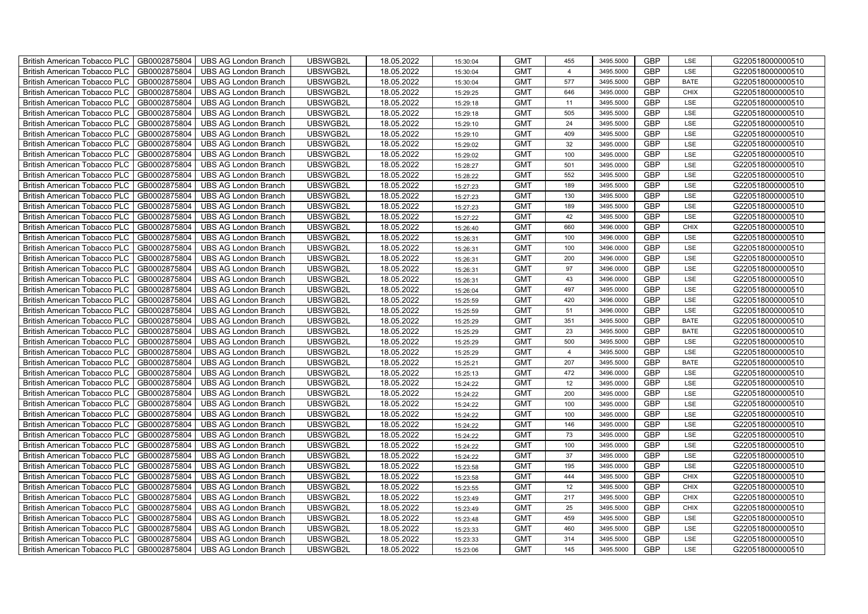| British American Tobacco PLC        | GB0002875804 | <b>UBS AG London Branch</b> | UBSWGB2L | 18.05.2022 | 15:30:04 | <b>GMT</b> | 455            | 3495.5000 | <b>GBP</b> | LSE         | G220518000000510 |
|-------------------------------------|--------------|-----------------------------|----------|------------|----------|------------|----------------|-----------|------------|-------------|------------------|
| <b>British American Tobacco PLC</b> | GB0002875804 | <b>UBS AG London Branch</b> | UBSWGB2L | 18.05.2022 | 15:30:04 | <b>GMT</b> | $\overline{4}$ | 3495.5000 | <b>GBP</b> | <b>LSE</b>  | G220518000000510 |
| <b>British American Tobacco PLC</b> | GB0002875804 | <b>UBS AG London Branch</b> | UBSWGB2L | 18.05.2022 | 15:30:04 | <b>GMT</b> | 577            | 3495.5000 | <b>GBP</b> | <b>BATE</b> | G220518000000510 |
| British American Tobacco PLC        | GB0002875804 | <b>UBS AG London Branch</b> | UBSWGB2L | 18.05.2022 | 15:29:25 | <b>GMT</b> | 646            | 3495.0000 | <b>GBP</b> | <b>CHIX</b> | G220518000000510 |
| <b>British American Tobacco PLC</b> | GB0002875804 | UBS AG London Branch        | UBSWGB2L | 18.05.2022 | 15:29:18 | <b>GMT</b> | 11             | 3495.5000 | <b>GBP</b> | LSE         | G220518000000510 |
| British American Tobacco PLC        | GB0002875804 | <b>UBS AG London Branch</b> | UBSWGB2L | 18.05.2022 | 15:29:18 | <b>GMT</b> | 505            | 3495.5000 | <b>GBP</b> | LSE         | G220518000000510 |
| <b>British American Tobacco PLC</b> | GB0002875804 | <b>UBS AG London Branch</b> | UBSWGB2L | 18.05.2022 | 15:29:10 | <b>GMT</b> | 24             | 3495.5000 | <b>GBP</b> | LSE         | G220518000000510 |
| British American Tobacco PLC        | GB0002875804 | <b>UBS AG London Branch</b> | UBSWGB2L | 18.05.2022 | 15:29:10 | <b>GMT</b> | 409            | 3495.5000 | <b>GBP</b> | LSE         | G220518000000510 |
| <b>British American Tobacco PLC</b> | GB0002875804 | <b>UBS AG London Branch</b> | UBSWGB2L | 18.05.2022 | 15:29:02 | <b>GMT</b> | 32             | 3495.0000 | <b>GBP</b> | LSE         | G220518000000510 |
| British American Tobacco PLC        | GB0002875804 | <b>UBS AG London Branch</b> | UBSWGB2L | 18.05.2022 | 15:29:02 | <b>GMT</b> | 100            | 3495.0000 | <b>GBP</b> | LSE         | G220518000000510 |
| <b>British American Tobacco PLC</b> | GB0002875804 | <b>UBS AG London Branch</b> | UBSWGB2L | 18.05.2022 | 15:28:27 | <b>GMT</b> | 501            | 3495.0000 | <b>GBP</b> | LSE         | G220518000000510 |
| <b>British American Tobacco PLC</b> | GB0002875804 | <b>UBS AG London Branch</b> | UBSWGB2L | 18.05.2022 | 15:28:22 | <b>GMT</b> | 552            | 3495.5000 | <b>GBP</b> | LSE         | G220518000000510 |
| British American Tobacco PLC        | GB0002875804 | <b>UBS AG London Branch</b> | UBSWGB2L | 18.05.2022 | 15:27:23 | <b>GMT</b> | 189            | 3495.5000 | <b>GBP</b> | LSE         | G220518000000510 |
| British American Tobacco PLC        | GB0002875804 | <b>UBS AG London Branch</b> | UBSWGB2L | 18.05.2022 | 15:27:23 | <b>GMT</b> | 130            | 3495.5000 | <b>GBP</b> | LSE         | G220518000000510 |
| British American Tobacco PLC        | GB0002875804 | <b>UBS AG London Branch</b> | UBSWGB2L | 18.05.2022 | 15:27:23 | <b>GMT</b> | 189            | 3495.5000 | <b>GBP</b> | LSE         | G220518000000510 |
| British American Tobacco PLC        | GB0002875804 | <b>UBS AG London Branch</b> | UBSWGB2L | 18.05.2022 | 15:27:22 | <b>GMT</b> | 42             | 3495.5000 | <b>GBP</b> | LSE         | G220518000000510 |
| British American Tobacco PLC        | GB0002875804 | <b>UBS AG London Branch</b> | UBSWGB2L | 18.05.2022 | 15:26:40 | <b>GMT</b> | 660            | 3496.0000 | <b>GBP</b> | <b>CHIX</b> | G220518000000510 |
| British American Tobacco PLC        | GB0002875804 | <b>UBS AG London Branch</b> | UBSWGB2L | 18.05.2022 | 15:26:31 | <b>GMT</b> | 100            | 3496.0000 | <b>GBP</b> | LSE         | G220518000000510 |
| British American Tobacco PLC        | GB0002875804 | <b>UBS AG London Branch</b> | UBSWGB2L | 18.05.2022 | 15:26:31 | <b>GMT</b> | 100            | 3496.0000 | <b>GBP</b> | LSE         | G220518000000510 |
| <b>British American Tobacco PLC</b> | GB0002875804 | <b>UBS AG London Branch</b> | UBSWGB2L | 18.05.2022 | 15:26:31 | <b>GMT</b> | 200            | 3496.0000 | <b>GBP</b> | LSE         | G220518000000510 |
| <b>British American Tobacco PLC</b> | GB0002875804 | <b>UBS AG London Branch</b> | UBSWGB2L | 18.05.2022 | 15:26:31 | <b>GMT</b> | 97             | 3496.0000 | <b>GBP</b> | <b>LSE</b>  | G220518000000510 |
| British American Tobacco PLC        | GB0002875804 | <b>UBS AG London Branch</b> | UBSWGB2L | 18.05.2022 | 15:26:31 | <b>GMT</b> | 43             | 3496.0000 | <b>GBP</b> | LSE         | G220518000000510 |
| British American Tobacco PLC        | GB0002875804 | <b>UBS AG London Branch</b> | UBSWGB2L | 18.05.2022 | 15:26:04 | <b>GMT</b> | 497            | 3495.0000 | GBP        | LSE         | G220518000000510 |
| British American Tobacco PLC        | GB0002875804 | <b>UBS AG London Branch</b> | UBSWGB2L | 18.05.2022 | 15:25:59 | <b>GMT</b> | 420            | 3496.0000 | <b>GBP</b> | LSE         | G220518000000510 |
| British American Tobacco PLC        | GB0002875804 | <b>UBS AG London Branch</b> | UBSWGB2L | 18.05.2022 | 15:25:59 | <b>GMT</b> | 51             | 3496.0000 | <b>GBP</b> | LSE         | G220518000000510 |
| British American Tobacco PLC        | GB0002875804 | <b>UBS AG London Branch</b> | UBSWGB2L | 18.05.2022 | 15:25:29 | <b>GMT</b> | 351            | 3495.5000 | <b>GBP</b> | <b>BATE</b> | G220518000000510 |
| British American Tobacco PLC        | GB0002875804 | <b>UBS AG London Branch</b> | UBSWGB2L | 18.05.2022 | 15:25:29 | <b>GMT</b> | 23             | 3495.5000 | <b>GBP</b> | <b>BATE</b> | G220518000000510 |
| British American Tobacco PLC        | GB0002875804 | <b>UBS AG London Branch</b> | UBSWGB2L | 18.05.2022 | 15:25:29 | <b>GMT</b> | 500            | 3495.5000 | <b>GBP</b> | LSE         | G220518000000510 |
| <b>British American Tobacco PLC</b> | GB0002875804 | <b>UBS AG London Branch</b> | UBSWGB2L | 18.05.2022 | 15:25:29 | <b>GMT</b> | $\overline{4}$ | 3495.5000 | <b>GBP</b> | LSE         | G220518000000510 |
| <b>British American Tobacco PLC</b> | GB0002875804 | <b>UBS AG London Branch</b> | UBSWGB2L | 18.05.2022 | 15:25:21 | <b>GMT</b> | 207            | 3495.5000 | <b>GBP</b> | <b>BATE</b> | G220518000000510 |
| British American Tobacco PLC        | GB0002875804 | <b>UBS AG London Branch</b> | UBSWGB2L | 18.05.2022 | 15:25:13 | <b>GMT</b> | 472            | 3496.0000 | <b>GBP</b> | LSE         | G220518000000510 |
| British American Tobacco PLC        | GB0002875804 | <b>UBS AG London Branch</b> | UBSWGB2L | 18.05.2022 | 15:24:22 | <b>GMT</b> | 12             | 3495.0000 | <b>GBP</b> | LSE         | G220518000000510 |
| British American Tobacco PLC        | GB0002875804 | UBS AG London Branch        | UBSWGB2L | 18.05.2022 | 15:24:22 | <b>GMT</b> | 200            | 3495.0000 | <b>GBP</b> | LSE         | G220518000000510 |
| British American Tobacco PLC        | GB0002875804 | <b>UBS AG London Branch</b> | UBSWGB2L | 18.05.2022 | 15:24:22 | <b>GMT</b> | 100            | 3495.0000 | <b>GBP</b> | LSE         | G220518000000510 |
| British American Tobacco PLC        | GB0002875804 | <b>UBS AG London Branch</b> | UBSWGB2L | 18.05.2022 | 15:24:22 | <b>GMT</b> | 100            | 3495.0000 | <b>GBP</b> | LSE         | G220518000000510 |
| British American Tobacco PLC        | GB0002875804 | <b>UBS AG London Branch</b> | UBSWGB2L | 18.05.2022 | 15:24:22 | <b>GMT</b> | 146            | 3495.0000 | <b>GBP</b> | LSE         | G220518000000510 |
| British American Tobacco PLC        | GB0002875804 | <b>UBS AG London Branch</b> | UBSWGB2L | 18.05.2022 | 15:24:22 | <b>GMT</b> | 73             | 3495.0000 | <b>GBP</b> | LSE         | G220518000000510 |
| <b>British American Tobacco PLC</b> | GB0002875804 | <b>UBS AG London Branch</b> | UBSWGB2L | 18.05.2022 | 15:24:22 | <b>GMT</b> | 100            | 3495.0000 | <b>GBP</b> | LSE         | G220518000000510 |
| British American Tobacco PLC        | GB0002875804 | <b>UBS AG London Branch</b> | UBSWGB2L | 18.05.2022 | 15:24:22 | <b>GMT</b> | 37             | 3495.0000 | <b>GBP</b> | LSE         | G220518000000510 |
| <b>British American Tobacco PLC</b> | GB0002875804 | <b>UBS AG London Branch</b> | UBSWGB2L | 18.05.2022 | 15:23:58 | <b>GMT</b> | 195            | 3495.0000 | <b>GBP</b> | LSE         | G220518000000510 |
| British American Tobacco PLC        | GB0002875804 | UBS AG London Branch        | UBSWGB2L | 18.05.2022 | 15:23:58 | <b>GMT</b> | 444            | 3495.5000 | <b>GBP</b> | <b>CHIX</b> | G220518000000510 |
| British American Tobacco PLC        | GB0002875804 | UBS AG London Branch        | UBSWGB2L | 18.05.2022 | 15:23:55 | <b>GMT</b> | 12             | 3495.5000 | <b>GBP</b> | <b>CHIX</b> | G220518000000510 |
| British American Tobacco PLC        | GB0002875804 | <b>UBS AG London Branch</b> | UBSWGB2L | 18.05.2022 | 15:23:49 | <b>GMT</b> | 217            | 3495.5000 | <b>GBP</b> | <b>CHIX</b> | G220518000000510 |
| British American Tobacco PLC        | GB0002875804 | <b>UBS AG London Branch</b> | UBSWGB2L | 18.05.2022 | 15:23:49 | <b>GMT</b> | 25             | 3495.5000 | <b>GBP</b> | <b>CHIX</b> | G220518000000510 |
| <b>British American Tobacco PLC</b> | GB0002875804 | <b>UBS AG London Branch</b> | UBSWGB2L | 18.05.2022 | 15:23:48 | <b>GMT</b> | 459            | 3495.5000 | <b>GBP</b> | LSE         | G220518000000510 |
| <b>British American Tobacco PLC</b> | GB0002875804 | <b>UBS AG London Branch</b> | UBSWGB2L | 18.05.2022 | 15:23:33 | <b>GMT</b> | 460            | 3495.5000 | <b>GBP</b> | LSE         | G220518000000510 |
| <b>British American Tobacco PLC</b> | GB0002875804 | <b>UBS AG London Branch</b> | UBSWGB2L | 18.05.2022 | 15:23:33 | <b>GMT</b> | 314            | 3495.5000 | <b>GBP</b> | LSE         | G220518000000510 |
| British American Tobacco PLC        | GB0002875804 | UBS AG London Branch        | UBSWGB2L | 18.05.2022 | 15:23:06 | <b>GMT</b> | 145            | 3495.5000 | <b>GBP</b> | <b>LSE</b>  | G220518000000510 |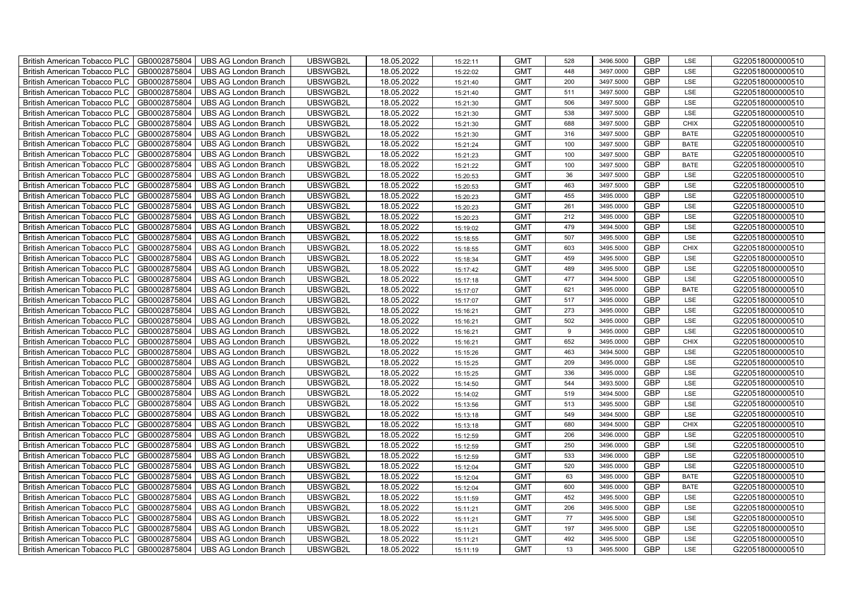| British American Tobacco PLC        | GB0002875804 | <b>UBS AG London Branch</b> | UBSWGB2L | 18.05.2022 | 15:22:11 | <b>GMT</b> | 528              | 3496.5000 | <b>GBP</b> | LSE         | G220518000000510 |
|-------------------------------------|--------------|-----------------------------|----------|------------|----------|------------|------------------|-----------|------------|-------------|------------------|
| <b>British American Tobacco PLC</b> | GB0002875804 | <b>UBS AG London Branch</b> | UBSWGB2L | 18.05.2022 | 15:22:02 | <b>GMT</b> | 448              | 3497.0000 | <b>GBP</b> | <b>LSE</b>  | G220518000000510 |
| <b>British American Tobacco PLC</b> | GB0002875804 | <b>UBS AG London Branch</b> | UBSWGB2L | 18.05.2022 | 15:21:40 | <b>GMT</b> | 200              | 3497.5000 | <b>GBP</b> | LSE         | G220518000000510 |
| British American Tobacco PLC        | GB0002875804 | <b>UBS AG London Branch</b> | UBSWGB2L | 18.05.2022 | 15:21:40 | <b>GMT</b> | 511              | 3497.5000 | <b>GBP</b> | LSE         | G220518000000510 |
| <b>British American Tobacco PLC</b> | GB0002875804 | UBS AG London Branch        | UBSWGB2L | 18.05.2022 | 15:21:30 | <b>GMT</b> | 506              | 3497.5000 | <b>GBP</b> | LSE         | G220518000000510 |
| British American Tobacco PLC        | GB0002875804 | <b>UBS AG London Branch</b> | UBSWGB2L | 18.05.2022 | 15:21:30 | <b>GMT</b> | 538              | 3497.5000 | <b>GBP</b> | LSE         | G220518000000510 |
| <b>British American Tobacco PLC</b> | GB0002875804 | <b>UBS AG London Branch</b> | UBSWGB2L | 18.05.2022 | 15:21:30 | <b>GMT</b> | 688              | 3497.5000 | <b>GBP</b> | <b>CHIX</b> | G220518000000510 |
| British American Tobacco PLC        | GB0002875804 | <b>UBS AG London Branch</b> | UBSWGB2L | 18.05.2022 | 15:21:30 | <b>GMT</b> | 316              | 3497.5000 | <b>GBP</b> | <b>BATE</b> | G220518000000510 |
| <b>British American Tobacco PLC</b> | GB0002875804 | <b>UBS AG London Branch</b> | UBSWGB2L | 18.05.2022 | 15:21:24 | <b>GMT</b> | 100              | 3497.5000 | <b>GBP</b> | <b>BATE</b> | G220518000000510 |
| British American Tobacco PLC        | GB0002875804 | <b>UBS AG London Branch</b> | UBSWGB2L | 18.05.2022 | 15:21:23 | <b>GMT</b> | 100              | 3497.5000 | <b>GBP</b> | <b>BATE</b> | G220518000000510 |
| <b>British American Tobacco PLC</b> | GB0002875804 | <b>UBS AG London Branch</b> | UBSWGB2L | 18.05.2022 | 15:21:22 | <b>GMT</b> | 100              | 3497.5000 | <b>GBP</b> | <b>BATE</b> | G220518000000510 |
| <b>British American Tobacco PLC</b> | GB0002875804 | <b>UBS AG London Branch</b> | UBSWGB2L | 18.05.2022 | 15:20:53 | <b>GMT</b> | 36               | 3497.5000 | <b>GBP</b> | LSE         | G220518000000510 |
| British American Tobacco PLC        | GB0002875804 | <b>UBS AG London Branch</b> | UBSWGB2L | 18.05.2022 | 15:20:53 | <b>GMT</b> | 463              | 3497.5000 | <b>GBP</b> | LSE         | G220518000000510 |
| British American Tobacco PLC        | GB0002875804 | <b>UBS AG London Branch</b> | UBSWGB2L | 18.05.2022 | 15:20:23 | <b>GMT</b> | 455              | 3495.0000 | <b>GBP</b> | LSE         | G220518000000510 |
| British American Tobacco PLC        | GB0002875804 | <b>UBS AG London Branch</b> | UBSWGB2L | 18.05.2022 | 15:20:23 | <b>GMT</b> | 261              | 3495.0000 | <b>GBP</b> | LSE         | G220518000000510 |
| British American Tobacco PLC        | GB0002875804 | <b>UBS AG London Branch</b> | UBSWGB2L | 18.05.2022 | 15:20:23 | <b>GMT</b> | 212              | 3495.0000 | <b>GBP</b> | LSE         | G220518000000510 |
| British American Tobacco PLC        | GB0002875804 | <b>UBS AG London Branch</b> | UBSWGB2L | 18.05.2022 | 15:19:02 | <b>GMT</b> | 479              | 3494.5000 | <b>GBP</b> | LSE         | G220518000000510 |
| British American Tobacco PLC        | GB0002875804 | <b>UBS AG London Branch</b> | UBSWGB2L | 18.05.2022 | 15:18:55 | <b>GMT</b> | 507              | 3495.5000 | <b>GBP</b> | LSE         | G220518000000510 |
| British American Tobacco PLC        | GB0002875804 | <b>UBS AG London Branch</b> | UBSWGB2L | 18.05.2022 | 15:18:55 | <b>GMT</b> | 603              | 3495.5000 | <b>GBP</b> | <b>CHIX</b> | G220518000000510 |
| <b>British American Tobacco PLC</b> | GB0002875804 | <b>UBS AG London Branch</b> | UBSWGB2L | 18.05.2022 | 15:18:34 | <b>GMT</b> | 459              | 3495.5000 | <b>GBP</b> | LSE         | G220518000000510 |
| <b>British American Tobacco PLC</b> | GB0002875804 | <b>UBS AG London Branch</b> | UBSWGB2L | 18.05.2022 | 15:17:42 | <b>GMT</b> | 489              | 3495.5000 | <b>GBP</b> | <b>LSE</b>  | G220518000000510 |
| British American Tobacco PLC        | GB0002875804 | <b>UBS AG London Branch</b> | UBSWGB2L | 18.05.2022 | 15:17:18 | <b>GMT</b> | 477              | 3494.5000 | <b>GBP</b> | LSE         | G220518000000510 |
| British American Tobacco PLC        | GB0002875804 | <b>UBS AG London Branch</b> | UBSWGB2L | 18.05.2022 | 15:17:07 | <b>GMT</b> | 621              | 3495.0000 | GBP        | <b>BATE</b> | G220518000000510 |
| British American Tobacco PLC        | GB0002875804 | <b>UBS AG London Branch</b> | UBSWGB2L | 18.05.2022 | 15:17:07 | <b>GMT</b> | 517              | 3495.0000 | <b>GBP</b> | LSE         | G220518000000510 |
| British American Tobacco PLC        | GB0002875804 | <b>UBS AG London Branch</b> | UBSWGB2L | 18.05.2022 | 15:16:21 | <b>GMT</b> | 273              | 3495.0000 | <b>GBP</b> | LSE         | G220518000000510 |
| British American Tobacco PLC        | GB0002875804 | <b>UBS AG London Branch</b> | UBSWGB2L | 18.05.2022 | 15:16:21 | <b>GMT</b> | 502              | 3495.0000 | <b>GBP</b> | LSE         | G220518000000510 |
| British American Tobacco PLC        | GB0002875804 | <b>UBS AG London Branch</b> | UBSWGB2L | 18.05.2022 | 15:16:21 | <b>GMT</b> | $\boldsymbol{9}$ | 3495.0000 | <b>GBP</b> | LSE         | G220518000000510 |
| British American Tobacco PLC        | GB0002875804 | <b>UBS AG London Branch</b> | UBSWGB2L | 18.05.2022 | 15:16:21 | <b>GMT</b> | 652              | 3495.0000 | <b>GBP</b> | <b>CHIX</b> | G220518000000510 |
| <b>British American Tobacco PLC</b> | GB0002875804 | <b>UBS AG London Branch</b> | UBSWGB2L | 18.05.2022 | 15:15:26 | <b>GMT</b> | 463              | 3494.5000 | <b>GBP</b> | LSE         | G220518000000510 |
| <b>British American Tobacco PLC</b> | GB0002875804 | <b>UBS AG London Branch</b> | UBSWGB2L | 18.05.2022 | 15:15:25 | <b>GMT</b> | 209              | 3495.0000 | <b>GBP</b> | LSE         | G220518000000510 |
| British American Tobacco PLC        | GB0002875804 | <b>UBS AG London Branch</b> | UBSWGB2L | 18.05.2022 | 15:15:25 | <b>GMT</b> | 336              | 3495.0000 | <b>GBP</b> | LSE         | G220518000000510 |
| British American Tobacco PLC        | GB0002875804 | UBS AG London Branch        | UBSWGB2L | 18.05.2022 | 15:14:50 | <b>GMT</b> | 544              | 3493.5000 | <b>GBP</b> | LSE         | G220518000000510 |
| British American Tobacco PLC        | GB0002875804 | UBS AG London Branch        | UBSWGB2L | 18.05.2022 | 15:14:02 | <b>GMT</b> | 519              | 3494.5000 | <b>GBP</b> | LSE         | G220518000000510 |
| British American Tobacco PLC        | GB0002875804 | <b>UBS AG London Branch</b> | UBSWGB2L | 18.05.2022 | 15:13:56 | <b>GMT</b> | 513              | 3495.5000 | <b>GBP</b> | LSE         | G220518000000510 |
| British American Tobacco PLC        | GB0002875804 | <b>UBS AG London Branch</b> | UBSWGB2L | 18.05.2022 | 15:13:18 | <b>GMT</b> | 549              | 3494.5000 | <b>GBP</b> | LSE         | G220518000000510 |
| British American Tobacco PLC        | GB0002875804 | <b>UBS AG London Branch</b> | UBSWGB2L | 18.05.2022 | 15:13:18 | <b>GMT</b> | 680              | 3494.5000 | <b>GBP</b> | CHIX        | G220518000000510 |
| British American Tobacco PLC        | GB0002875804 | <b>UBS AG London Branch</b> | UBSWGB2L | 18.05.2022 | 15:12:59 | <b>GMT</b> | 206              | 3496.0000 | <b>GBP</b> | LSE         | G220518000000510 |
| <b>British American Tobacco PLC</b> | GB0002875804 | <b>UBS AG London Branch</b> | UBSWGB2L | 18.05.2022 | 15:12:59 | <b>GMT</b> | 250              | 3496.0000 | <b>GBP</b> | LSE         | G220518000000510 |
| British American Tobacco PLC        | GB0002875804 | <b>UBS AG London Branch</b> | UBSWGB2L | 18.05.2022 | 15:12:59 | <b>GMT</b> | 533              | 3496.0000 | <b>GBP</b> | LSE         | G220518000000510 |
| <b>British American Tobacco PLC</b> | GB0002875804 | <b>UBS AG London Branch</b> | UBSWGB2L | 18.05.2022 | 15:12:04 | <b>GMT</b> | 520              | 3495.0000 | <b>GBP</b> | LSE         | G220518000000510 |
| British American Tobacco PLC        | GB0002875804 | UBS AG London Branch        | UBSWGB2L | 18.05.2022 | 15:12:04 | <b>GMT</b> | 63               | 3495.0000 | <b>GBP</b> | <b>BATE</b> | G220518000000510 |
| British American Tobacco PLC        | GB0002875804 | UBS AG London Branch        | UBSWGB2L | 18.05.2022 | 15:12:04 | <b>GMT</b> | 600              | 3495.0000 | <b>GBP</b> | <b>BATE</b> | G220518000000510 |
| British American Tobacco PLC        | GB0002875804 | <b>UBS AG London Branch</b> | UBSWGB2L | 18.05.2022 | 15:11:59 | <b>GMT</b> | 452              | 3495.5000 | <b>GBP</b> | LSE         | G220518000000510 |
| British American Tobacco PLC        | GB0002875804 | <b>UBS AG London Branch</b> | UBSWGB2L | 18.05.2022 | 15:11:21 | <b>GMT</b> | 206              | 3495.5000 | <b>GBP</b> | LSE         | G220518000000510 |
| <b>British American Tobacco PLC</b> | GB0002875804 | <b>UBS AG London Branch</b> | UBSWGB2L | 18.05.2022 | 15:11:21 | <b>GMT</b> | 77               | 3495.5000 | <b>GBP</b> | LSE         | G220518000000510 |
| <b>British American Tobacco PLC</b> | GB0002875804 | <b>UBS AG London Branch</b> | UBSWGB2L | 18.05.2022 | 15:11:21 | <b>GMT</b> | 197              | 3495.5000 | <b>GBP</b> | LSE         | G220518000000510 |
| British American Tobacco PLC        | GB0002875804 | <b>UBS AG London Branch</b> | UBSWGB2L | 18.05.2022 | 15:11:21 | <b>GMT</b> | 492              | 3495.5000 | <b>GBP</b> | LSE         | G220518000000510 |
| British American Tobacco PLC        | GB0002875804 | UBS AG London Branch        | UBSWGB2L | 18.05.2022 | 15:11:19 | <b>GMT</b> | 13               | 3495.5000 | <b>GBP</b> | LSE         | G220518000000510 |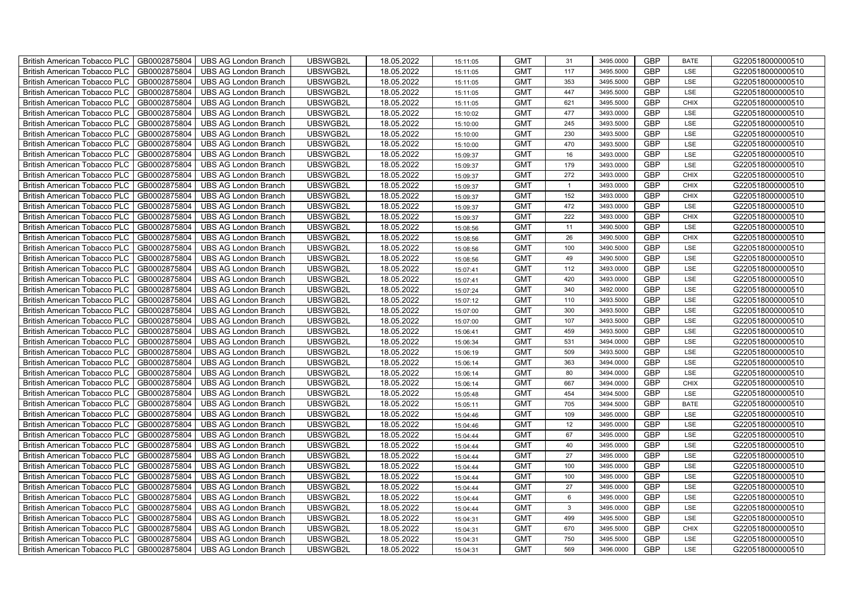| British American Tobacco PLC        | GB0002875804 | <b>UBS AG London Branch</b> | UBSWGB2L | 18.05.2022 | 15:11:05 | <b>GMT</b> | 31             | 3495.0000 | <b>GBP</b> | <b>BATE</b> | G220518000000510 |
|-------------------------------------|--------------|-----------------------------|----------|------------|----------|------------|----------------|-----------|------------|-------------|------------------|
| <b>British American Tobacco PLC</b> | GB0002875804 | <b>UBS AG London Branch</b> | UBSWGB2L | 18.05.2022 | 15:11:05 | <b>GMT</b> | 117            | 3495.5000 | <b>GBP</b> | <b>LSE</b>  | G220518000000510 |
| <b>British American Tobacco PLC</b> | GB0002875804 | <b>UBS AG London Branch</b> | UBSWGB2L | 18.05.2022 | 15:11:05 | <b>GMT</b> | 353            | 3495.5000 | <b>GBP</b> | LSE         | G220518000000510 |
| British American Tobacco PLC        | GB0002875804 | <b>UBS AG London Branch</b> | UBSWGB2L | 18.05.2022 | 15:11:05 | <b>GMT</b> | 447            | 3495.5000 | <b>GBP</b> | LSE         | G220518000000510 |
| <b>British American Tobacco PLC</b> | GB0002875804 | UBS AG London Branch        | UBSWGB2L | 18.05.2022 | 15:11:05 | <b>GMT</b> | 621            | 3495.5000 | <b>GBP</b> | <b>CHIX</b> | G220518000000510 |
| British American Tobacco PLC        | GB0002875804 | <b>UBS AG London Branch</b> | UBSWGB2L | 18.05.2022 | 15:10:02 | <b>GMT</b> | 477            | 3493.0000 | <b>GBP</b> | LSE         | G220518000000510 |
| <b>British American Tobacco PLC</b> | GB0002875804 | <b>UBS AG London Branch</b> | UBSWGB2L | 18.05.2022 | 15:10:00 | <b>GMT</b> | 245            | 3493.5000 | <b>GBP</b> | LSE         | G220518000000510 |
| British American Tobacco PLC        | GB0002875804 | <b>UBS AG London Branch</b> | UBSWGB2L | 18.05.2022 | 15:10:00 | <b>GMT</b> | 230            | 3493.5000 | <b>GBP</b> | LSE         | G220518000000510 |
| <b>British American Tobacco PLC</b> | GB0002875804 | <b>UBS AG London Branch</b> | UBSWGB2L | 18.05.2022 | 15:10:00 | <b>GMT</b> | 470            | 3493.5000 | <b>GBP</b> | LSE         | G220518000000510 |
| British American Tobacco PLC        | GB0002875804 | <b>UBS AG London Branch</b> | UBSWGB2L | 18.05.2022 | 15:09:37 | <b>GMT</b> | 16             | 3493.0000 | <b>GBP</b> | LSE         | G220518000000510 |
| <b>British American Tobacco PLC</b> | GB0002875804 | <b>UBS AG London Branch</b> | UBSWGB2L | 18.05.2022 | 15:09:37 | <b>GMT</b> | 179            | 3493.0000 | <b>GBP</b> | LSE         | G220518000000510 |
| <b>British American Tobacco PLC</b> | GB0002875804 | <b>UBS AG London Branch</b> | UBSWGB2L | 18.05.2022 | 15:09:37 | <b>GMT</b> | 272            | 3493.0000 | <b>GBP</b> | <b>CHIX</b> | G220518000000510 |
| British American Tobacco PLC        | GB0002875804 | <b>UBS AG London Branch</b> | UBSWGB2L | 18.05.2022 | 15:09:37 | <b>GMT</b> | $\overline{1}$ | 3493.0000 | <b>GBP</b> | <b>CHIX</b> | G220518000000510 |
| British American Tobacco PLC        | GB0002875804 | <b>UBS AG London Branch</b> | UBSWGB2L | 18.05.2022 | 15:09:37 | <b>GMT</b> | 152            | 3493.0000 | <b>GBP</b> | <b>CHIX</b> | G220518000000510 |
| British American Tobacco PLC        | GB0002875804 | <b>UBS AG London Branch</b> | UBSWGB2L | 18.05.2022 | 15:09:37 | <b>GMT</b> | 472            | 3493.0000 | <b>GBP</b> | LSE         | G220518000000510 |
| British American Tobacco PLC        | GB0002875804 | <b>UBS AG London Branch</b> | UBSWGB2L | 18.05.2022 | 15:09:37 | <b>GMT</b> | 222            | 3493.0000 | <b>GBP</b> | <b>CHIX</b> | G220518000000510 |
| British American Tobacco PLC        | GB0002875804 | <b>UBS AG London Branch</b> | UBSWGB2L | 18.05.2022 | 15:08:56 | <b>GMT</b> | 11             | 3490.5000 | <b>GBP</b> | LSE         | G220518000000510 |
| British American Tobacco PLC        | GB0002875804 | <b>UBS AG London Branch</b> | UBSWGB2L | 18.05.2022 | 15:08:56 | <b>GMT</b> | 26             | 3490.5000 | <b>GBP</b> | <b>CHIX</b> | G220518000000510 |
| British American Tobacco PLC        | GB0002875804 | <b>UBS AG London Branch</b> | UBSWGB2L | 18.05.2022 | 15:08:56 | <b>GMT</b> | 100            | 3490.5000 | <b>GBP</b> | LSE         | G220518000000510 |
| <b>British American Tobacco PLC</b> | GB0002875804 | <b>UBS AG London Branch</b> | UBSWGB2L | 18.05.2022 | 15:08:56 | <b>GMT</b> | 49             | 3490.5000 | <b>GBP</b> | LSE         | G220518000000510 |
| <b>British American Tobacco PLC</b> | GB0002875804 | <b>UBS AG London Branch</b> | UBSWGB2L | 18.05.2022 | 15:07:41 | <b>GMT</b> | 112            | 3493.0000 | <b>GBP</b> | <b>LSE</b>  | G220518000000510 |
| British American Tobacco PLC        | GB0002875804 | <b>UBS AG London Branch</b> | UBSWGB2L | 18.05.2022 | 15:07:41 | <b>GMT</b> | 420            | 3493.0000 | <b>GBP</b> | LSE         | G220518000000510 |
| British American Tobacco PLC        | GB0002875804 | <b>UBS AG London Branch</b> | UBSWGB2L | 18.05.2022 | 15:07:24 | <b>GMT</b> | 340            | 3492.0000 | GBP        | LSE         | G220518000000510 |
| British American Tobacco PLC        | GB0002875804 | <b>UBS AG London Branch</b> | UBSWGB2L | 18.05.2022 | 15:07:12 | <b>GMT</b> | 110            | 3493.5000 | <b>GBP</b> | LSE         | G220518000000510 |
| British American Tobacco PLC        | GB0002875804 | <b>UBS AG London Branch</b> | UBSWGB2L | 18.05.2022 | 15:07:00 | <b>GMT</b> | 300            | 3493.5000 | <b>GBP</b> | LSE         | G220518000000510 |
| British American Tobacco PLC        | GB0002875804 | <b>UBS AG London Branch</b> | UBSWGB2L | 18.05.2022 | 15:07:00 | <b>GMT</b> | 107            | 3493.5000 | <b>GBP</b> | LSE         | G220518000000510 |
| British American Tobacco PLC        | GB0002875804 | <b>UBS AG London Branch</b> | UBSWGB2L | 18.05.2022 | 15:06:41 | <b>GMT</b> | 459            | 3493.5000 | <b>GBP</b> | LSE         | G220518000000510 |
| British American Tobacco PLC        | GB0002875804 | <b>UBS AG London Branch</b> | UBSWGB2L | 18.05.2022 | 15:06:34 | <b>GMT</b> | 531            | 3494.0000 | <b>GBP</b> | LSE         | G220518000000510 |
| <b>British American Tobacco PLC</b> | GB0002875804 | <b>UBS AG London Branch</b> | UBSWGB2L | 18.05.2022 | 15:06:19 | <b>GMT</b> | 509            | 3493.5000 | <b>GBP</b> | LSE         | G220518000000510 |
| <b>British American Tobacco PLC</b> | GB0002875804 | <b>UBS AG London Branch</b> | UBSWGB2L | 18.05.2022 | 15:06:14 | <b>GMT</b> | 363            | 3494.0000 | <b>GBP</b> | LSE         | G220518000000510 |
| British American Tobacco PLC        | GB0002875804 | <b>UBS AG London Branch</b> | UBSWGB2L | 18.05.2022 | 15:06:14 | <b>GMT</b> | 80             | 3494.0000 | <b>GBP</b> | LSE         | G220518000000510 |
| British American Tobacco PLC        | GB0002875804 | <b>UBS AG London Branch</b> | UBSWGB2L | 18.05.2022 | 15:06:14 | <b>GMT</b> | 667            | 3494.0000 | <b>GBP</b> | CHIX        | G220518000000510 |
| British American Tobacco PLC        | GB0002875804 | UBS AG London Branch        | UBSWGB2L | 18.05.2022 | 15:05:48 | <b>GMT</b> | 454            | 3494.5000 | <b>GBP</b> | LSE         | G220518000000510 |
| British American Tobacco PLC        | GB0002875804 | <b>UBS AG London Branch</b> | UBSWGB2L | 18.05.2022 | 15:05:11 | <b>GMT</b> | 705            | 3494.5000 | <b>GBP</b> | <b>BATE</b> | G220518000000510 |
| British American Tobacco PLC        | GB0002875804 | <b>UBS AG London Branch</b> | UBSWGB2L | 18.05.2022 | 15:04:46 | <b>GMT</b> | 109            | 3495.0000 | <b>GBP</b> | LSE         | G220518000000510 |
| British American Tobacco PLC        | GB0002875804 | <b>UBS AG London Branch</b> | UBSWGB2L | 18.05.2022 | 15:04:46 | <b>GMT</b> | 12             | 3495.0000 | <b>GBP</b> | LSE         | G220518000000510 |
| British American Tobacco PLC        | GB0002875804 | <b>UBS AG London Branch</b> | UBSWGB2L | 18.05.2022 | 15:04:44 | <b>GMT</b> | 67             | 3495.0000 | <b>GBP</b> | LSE         | G220518000000510 |
| <b>British American Tobacco PLC</b> | GB0002875804 | <b>UBS AG London Branch</b> | UBSWGB2L | 18.05.2022 | 15:04:44 | <b>GMT</b> | 40             | 3495.0000 | <b>GBP</b> | LSE         | G220518000000510 |
| British American Tobacco PLC        | GB0002875804 | <b>UBS AG London Branch</b> | UBSWGB2L | 18.05.2022 | 15:04:44 | <b>GMT</b> | 27             | 3495.0000 | <b>GBP</b> | LSE         | G220518000000510 |
| <b>British American Tobacco PLC</b> | GB0002875804 | <b>UBS AG London Branch</b> | UBSWGB2L | 18.05.2022 | 15:04:44 | <b>GMT</b> | 100            | 3495.0000 | <b>GBP</b> | LSE         | G220518000000510 |
| British American Tobacco PLC        | GB0002875804 | UBS AG London Branch        | UBSWGB2L | 18.05.2022 | 15:04:44 | <b>GMT</b> | 100            | 3495.0000 | <b>GBP</b> | LSE         | G220518000000510 |
| British American Tobacco PLC        | GB0002875804 | UBS AG London Branch        | UBSWGB2L | 18.05.2022 | 15:04:44 | <b>GMT</b> | 27             | 3495.0000 | <b>GBP</b> | LSE         | G220518000000510 |
| British American Tobacco PLC        | GB0002875804 | <b>UBS AG London Branch</b> | UBSWGB2L | 18.05.2022 | 15:04:44 | <b>GMT</b> | 6              | 3495.0000 | <b>GBP</b> | LSE         | G220518000000510 |
| <b>British American Tobacco PLC</b> | GB0002875804 | <b>UBS AG London Branch</b> | UBSWGB2L | 18.05.2022 | 15:04:44 | <b>GMT</b> | $\mathbf{3}$   | 3495.0000 | <b>GBP</b> | LSE         | G220518000000510 |
| <b>British American Tobacco PLC</b> | GB0002875804 | <b>UBS AG London Branch</b> | UBSWGB2L | 18.05.2022 | 15:04:31 | <b>GMT</b> | 499            | 3495.5000 | <b>GBP</b> | LSE         | G220518000000510 |
| <b>British American Tobacco PLC</b> | GB0002875804 | <b>UBS AG London Branch</b> | UBSWGB2L | 18.05.2022 | 15:04:31 | <b>GMT</b> | 670            | 3495.5000 | <b>GBP</b> | <b>CHIX</b> | G220518000000510 |
| <b>British American Tobacco PLC</b> | GB0002875804 | <b>UBS AG London Branch</b> | UBSWGB2L | 18.05.2022 | 15:04:31 | <b>GMT</b> | 750            | 3495.5000 | <b>GBP</b> | LSE         | G220518000000510 |
| British American Tobacco PLC        | GB0002875804 | UBS AG London Branch        | UBSWGB2L | 18.05.2022 | 15:04:31 | <b>GMT</b> | 569            | 3496.0000 | <b>GBP</b> | LSE         | G220518000000510 |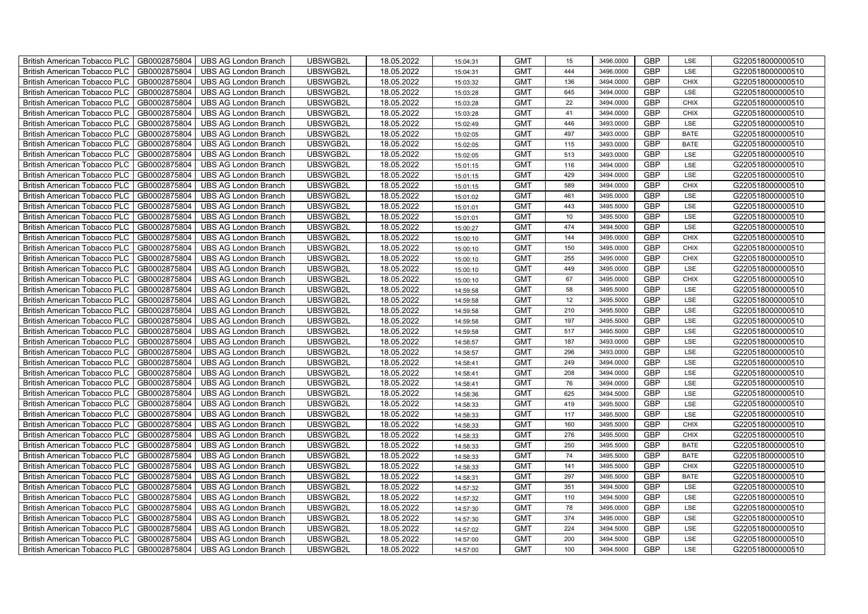| British American Tobacco PLC        | GB0002875804 | <b>UBS AG London Branch</b> | UBSWGB2L | 18.05.2022 | 15:04:31 | <b>GMT</b> | 15  | 3496.0000 | <b>GBP</b> | LSE         | G220518000000510 |
|-------------------------------------|--------------|-----------------------------|----------|------------|----------|------------|-----|-----------|------------|-------------|------------------|
| <b>British American Tobacco PLC</b> | GB0002875804 | <b>UBS AG London Branch</b> | UBSWGB2L | 18.05.2022 | 15:04:31 | <b>GMT</b> | 444 | 3496,0000 | <b>GBP</b> | <b>LSE</b>  | G220518000000510 |
| <b>British American Tobacco PLC</b> | GB0002875804 | <b>UBS AG London Branch</b> | UBSWGB2L | 18.05.2022 | 15:03:32 | <b>GMT</b> | 136 | 3494.0000 | <b>GBP</b> | <b>CHIX</b> | G220518000000510 |
| British American Tobacco PLC        | GB0002875804 | <b>UBS AG London Branch</b> | UBSWGB2L | 18.05.2022 | 15:03:28 | <b>GMT</b> | 645 | 3494.0000 | <b>GBP</b> | LSE         | G220518000000510 |
| <b>British American Tobacco PLC</b> | GB0002875804 | UBS AG London Branch        | UBSWGB2L | 18.05.2022 | 15:03:28 | <b>GMT</b> | 22  | 3494.0000 | <b>GBP</b> | <b>CHIX</b> | G220518000000510 |
| British American Tobacco PLC        | GB0002875804 | <b>UBS AG London Branch</b> | UBSWGB2L | 18.05.2022 | 15:03:28 | <b>GMT</b> | 41  | 3494.0000 | <b>GBP</b> | <b>CHIX</b> | G220518000000510 |
| <b>British American Tobacco PLC</b> | GB0002875804 | <b>UBS AG London Branch</b> | UBSWGB2L | 18.05.2022 | 15:02:49 | <b>GMT</b> | 446 | 3493.0000 | <b>GBP</b> | LSE         | G220518000000510 |
| British American Tobacco PLC        | GB0002875804 | <b>UBS AG London Branch</b> | UBSWGB2L | 18.05.2022 | 15:02:05 | <b>GMT</b> | 497 | 3493.0000 | <b>GBP</b> | <b>BATE</b> | G220518000000510 |
| <b>British American Tobacco PLC</b> | GB0002875804 | <b>UBS AG London Branch</b> | UBSWGB2L | 18.05.2022 | 15:02:05 | <b>GMT</b> | 115 | 3493.0000 | <b>GBP</b> | <b>BATE</b> | G220518000000510 |
| British American Tobacco PLC        | GB0002875804 | <b>UBS AG London Branch</b> | UBSWGB2L | 18.05.2022 | 15:02:05 | <b>GMT</b> | 513 | 3493.0000 | <b>GBP</b> | LSE         | G220518000000510 |
| <b>British American Tobacco PLC</b> | GB0002875804 | <b>UBS AG London Branch</b> | UBSWGB2L | 18.05.2022 | 15:01:15 | <b>GMT</b> | 116 | 3494.0000 | <b>GBP</b> | LSE         | G220518000000510 |
| <b>British American Tobacco PLC</b> | GB0002875804 | <b>UBS AG London Branch</b> | UBSWGB2L | 18.05.2022 | 15:01:15 | <b>GMT</b> | 429 | 3494.0000 | <b>GBP</b> | LSE         | G220518000000510 |
| British American Tobacco PLC        | GB0002875804 | <b>UBS AG London Branch</b> | UBSWGB2L | 18.05.2022 | 15:01:15 | <b>GMT</b> | 589 | 3494.0000 | <b>GBP</b> | <b>CHIX</b> | G220518000000510 |
| British American Tobacco PLC        | GB0002875804 | <b>UBS AG London Branch</b> | UBSWGB2L | 18.05.2022 | 15:01:02 | <b>GMT</b> | 461 | 3495.0000 | <b>GBP</b> | LSE         | G220518000000510 |
| British American Tobacco PLC        | GB0002875804 | <b>UBS AG London Branch</b> | UBSWGB2L | 18.05.2022 | 15:01:01 | <b>GMT</b> | 443 | 3495.5000 | <b>GBP</b> | LSE         | G220518000000510 |
| British American Tobacco PLC        | GB0002875804 | <b>UBS AG London Branch</b> | UBSWGB2L | 18.05.2022 | 15:01:01 | <b>GMT</b> | 10  | 3495.5000 | <b>GBP</b> | LSE         | G220518000000510 |
| British American Tobacco PLC        | GB0002875804 | <b>UBS AG London Branch</b> | UBSWGB2L | 18.05.2022 | 15:00:27 | <b>GMT</b> | 474 | 3494.5000 | <b>GBP</b> | LSE         | G220518000000510 |
| British American Tobacco PLC        | GB0002875804 | <b>UBS AG London Branch</b> | UBSWGB2L | 18.05.2022 | 15:00:10 | <b>GMT</b> | 144 | 3495.0000 | <b>GBP</b> | <b>CHIX</b> | G220518000000510 |
| British American Tobacco PLC        | GB0002875804 | <b>UBS AG London Branch</b> | UBSWGB2L | 18.05.2022 | 15:00:10 | <b>GMT</b> | 150 | 3495.0000 | <b>GBP</b> | <b>CHIX</b> | G220518000000510 |
| <b>British American Tobacco PLC</b> | GB0002875804 | <b>UBS AG London Branch</b> | UBSWGB2L | 18.05.2022 | 15:00:10 | <b>GMT</b> | 255 | 3495.0000 | <b>GBP</b> | CHIX        | G220518000000510 |
| <b>British American Tobacco PLC</b> | GB0002875804 | <b>UBS AG London Branch</b> | UBSWGB2L | 18.05.2022 | 15:00:10 | <b>GMT</b> | 449 | 3495.0000 | <b>GBP</b> | <b>LSE</b>  | G220518000000510 |
| British American Tobacco PLC        | GB0002875804 | <b>UBS AG London Branch</b> | UBSWGB2L | 18.05.2022 | 15:00:10 | <b>GMT</b> | 67  | 3495.0000 | <b>GBP</b> | CHIX        | G220518000000510 |
| British American Tobacco PLC        | GB0002875804 | <b>UBS AG London Branch</b> | UBSWGB2L | 18.05.2022 | 14:59:58 | <b>GMT</b> | 58  | 3495.5000 | GBP        | LSE         | G220518000000510 |
| British American Tobacco PLC        | GB0002875804 | <b>UBS AG London Branch</b> | UBSWGB2L | 18.05.2022 | 14:59:58 | <b>GMT</b> | 12  | 3495.5000 | <b>GBP</b> | LSE         | G220518000000510 |
| British American Tobacco PLC        | GB0002875804 | <b>UBS AG London Branch</b> | UBSWGB2L | 18.05.2022 | 14:59:58 | <b>GMT</b> | 210 | 3495.5000 | <b>GBP</b> | LSE         | G220518000000510 |
| British American Tobacco PLC        | GB0002875804 | <b>UBS AG London Branch</b> | UBSWGB2L | 18.05.2022 | 14:59:58 | <b>GMT</b> | 197 | 3495.5000 | <b>GBP</b> | LSE         | G220518000000510 |
| British American Tobacco PLC        | GB0002875804 | <b>UBS AG London Branch</b> | UBSWGB2L | 18.05.2022 | 14:59:58 | <b>GMT</b> | 517 | 3495.5000 | <b>GBP</b> | LSE         | G220518000000510 |
| British American Tobacco PLC        | GB0002875804 | <b>UBS AG London Branch</b> | UBSWGB2L | 18.05.2022 | 14:58:57 | <b>GMT</b> | 187 | 3493.0000 | <b>GBP</b> | LSE         | G220518000000510 |
| <b>British American Tobacco PLC</b> | GB0002875804 | <b>UBS AG London Branch</b> | UBSWGB2L | 18.05.2022 | 14:58:57 | <b>GMT</b> | 296 | 3493.0000 | <b>GBP</b> | LSE         | G220518000000510 |
| <b>British American Tobacco PLC</b> | GB0002875804 | <b>UBS AG London Branch</b> | UBSWGB2L | 18.05.2022 | 14:58:41 | <b>GMT</b> | 249 | 3494.0000 | <b>GBP</b> | LSE         | G220518000000510 |
| British American Tobacco PLC        | GB0002875804 | <b>UBS AG London Branch</b> | UBSWGB2L | 18.05.2022 | 14:58:41 | <b>GMT</b> | 208 | 3494.0000 | <b>GBP</b> | LSE         | G220518000000510 |
| British American Tobacco PLC        | GB0002875804 | <b>UBS AG London Branch</b> | UBSWGB2L | 18.05.2022 | 14:58:41 | <b>GMT</b> | 76  | 3494.0000 | <b>GBP</b> | LSE         | G220518000000510 |
| British American Tobacco PLC        | GB0002875804 | UBS AG London Branch        | UBSWGB2L | 18.05.2022 | 14:58:36 | <b>GMT</b> | 625 | 3494.5000 | <b>GBP</b> | LSE         | G220518000000510 |
| British American Tobacco PLC        | GB0002875804 | <b>UBS AG London Branch</b> | UBSWGB2L | 18.05.2022 | 14:58:33 | <b>GMT</b> | 419 | 3495.5000 | <b>GBP</b> | LSE         | G220518000000510 |
| British American Tobacco PLC        | GB0002875804 | <b>UBS AG London Branch</b> | UBSWGB2L | 18.05.2022 | 14:58:33 | <b>GMT</b> | 117 | 3495.5000 | <b>GBP</b> | LSE         | G220518000000510 |
| British American Tobacco PLC        | GB0002875804 | <b>UBS AG London Branch</b> | UBSWGB2L | 18.05.2022 | 14:58:33 | <b>GMT</b> | 160 | 3495.5000 | <b>GBP</b> | CHIX        | G220518000000510 |
| British American Tobacco PLC        | GB0002875804 | <b>UBS AG London Branch</b> | UBSWGB2L | 18.05.2022 | 14:58:33 | <b>GMT</b> | 276 | 3495.5000 | <b>GBP</b> | <b>CHIX</b> | G220518000000510 |
| <b>British American Tobacco PLC</b> | GB0002875804 | <b>UBS AG London Branch</b> | UBSWGB2L | 18.05.2022 | 14:58:33 | <b>GMT</b> | 250 | 3495.5000 | <b>GBP</b> | <b>BATE</b> | G220518000000510 |
| British American Tobacco PLC        | GB0002875804 | <b>UBS AG London Branch</b> | UBSWGB2L | 18.05.2022 | 14:58:33 | <b>GMT</b> | 74  | 3495.5000 | <b>GBP</b> | <b>BATE</b> | G220518000000510 |
| British American Tobacco PLC        | GB0002875804 | <b>UBS AG London Branch</b> | UBSWGB2L | 18.05.2022 | 14:58:33 | <b>GMT</b> | 141 | 3495.5000 | <b>GBP</b> | <b>CHIX</b> | G220518000000510 |
| British American Tobacco PLC        | GB0002875804 | UBS AG London Branch        | UBSWGB2L | 18.05.2022 | 14:58:31 | <b>GMT</b> | 297 | 3495.5000 | <b>GBP</b> | <b>BATE</b> | G220518000000510 |
| British American Tobacco PLC        | GB0002875804 | UBS AG London Branch        | UBSWGB2L | 18.05.2022 | 14:57:32 | <b>GMT</b> | 351 | 3494.5000 | <b>GBP</b> | LSE         | G220518000000510 |
| British American Tobacco PLC        | GB0002875804 | <b>UBS AG London Branch</b> | UBSWGB2L | 18.05.2022 | 14:57:32 | <b>GMT</b> | 110 | 3494.5000 | <b>GBP</b> | LSE         | G220518000000510 |
| <b>British American Tobacco PLC</b> | GB0002875804 | <b>UBS AG London Branch</b> | UBSWGB2L | 18.05.2022 | 14:57:30 | <b>GMT</b> | 78  | 3495.0000 | <b>GBP</b> | LSE         | G220518000000510 |
| <b>British American Tobacco PLC</b> | GB0002875804 | <b>UBS AG London Branch</b> | UBSWGB2L | 18.05.2022 | 14:57:30 | <b>GMT</b> | 374 | 3495.0000 | <b>GBP</b> | LSE         | G220518000000510 |
| <b>British American Tobacco PLC</b> | GB0002875804 | <b>UBS AG London Branch</b> | UBSWGB2L | 18.05.2022 | 14:57:02 | <b>GMT</b> | 224 | 3494.5000 | <b>GBP</b> | LSE         | G220518000000510 |
| <b>British American Tobacco PLC</b> | GB0002875804 | <b>UBS AG London Branch</b> | UBSWGB2L | 18.05.2022 | 14:57:00 | <b>GMT</b> | 200 | 3494.5000 | <b>GBP</b> | LSE         | G220518000000510 |
| British American Tobacco PLC        | GB0002875804 | UBS AG London Branch        | UBSWGB2L | 18.05.2022 | 14:57:00 | <b>GMT</b> | 100 | 3494.5000 | <b>GBP</b> | <b>LSE</b>  | G220518000000510 |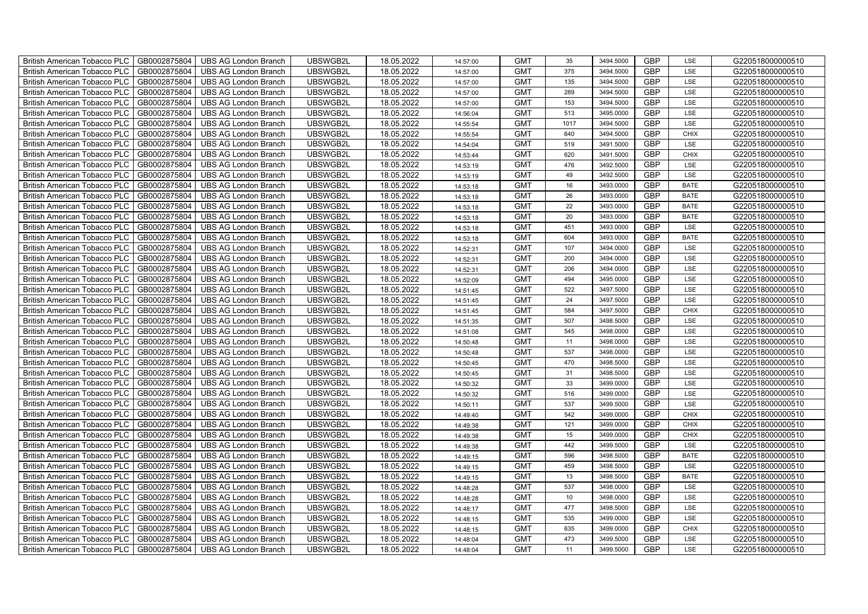| British American Tobacco PLC        | GB0002875804 | <b>UBS AG London Branch</b> | UBSWGB2L | 18.05.2022 | 14:57:00 | <b>GMT</b> | 35   | 3494.5000 | <b>GBP</b> | LSE         | G220518000000510 |
|-------------------------------------|--------------|-----------------------------|----------|------------|----------|------------|------|-----------|------------|-------------|------------------|
| <b>British American Tobacco PLC</b> | GB0002875804 | <b>UBS AG London Branch</b> | UBSWGB2L | 18.05.2022 | 14:57:00 | <b>GMT</b> | 375  | 3494.5000 | <b>GBP</b> | <b>LSE</b>  | G220518000000510 |
| <b>British American Tobacco PLC</b> | GB0002875804 | <b>UBS AG London Branch</b> | UBSWGB2L | 18.05.2022 | 14:57:00 | <b>GMT</b> | 135  | 3494.5000 | <b>GBP</b> | LSE         | G220518000000510 |
| British American Tobacco PLC        | GB0002875804 | <b>UBS AG London Branch</b> | UBSWGB2L | 18.05.2022 | 14:57:00 | <b>GMT</b> | 289  | 3494.5000 | <b>GBP</b> | LSE         | G220518000000510 |
| <b>British American Tobacco PLC</b> | GB0002875804 | UBS AG London Branch        | UBSWGB2L | 18.05.2022 | 14:57:00 | <b>GMT</b> | 153  | 3494.5000 | <b>GBP</b> | LSE         | G220518000000510 |
| British American Tobacco PLC        | GB0002875804 | <b>UBS AG London Branch</b> | UBSWGB2L | 18.05.2022 | 14:56:04 | <b>GMT</b> | 513  | 3495.0000 | <b>GBP</b> | LSE         | G220518000000510 |
| <b>British American Tobacco PLC</b> | GB0002875804 | <b>UBS AG London Branch</b> | UBSWGB2L | 18.05.2022 | 14:55:54 | <b>GMT</b> | 1017 | 3494.5000 | <b>GBP</b> | LSE         | G220518000000510 |
| British American Tobacco PLC        | GB0002875804 | <b>UBS AG London Branch</b> | UBSWGB2L | 18.05.2022 | 14:55:54 | <b>GMT</b> | 640  | 3494.5000 | <b>GBP</b> | <b>CHIX</b> | G220518000000510 |
| <b>British American Tobacco PLC</b> | GB0002875804 | <b>UBS AG London Branch</b> | UBSWGB2L | 18.05.2022 | 14:54:04 | <b>GMT</b> | 519  | 3491.5000 | <b>GBP</b> | LSE         | G220518000000510 |
| British American Tobacco PLC        | GB0002875804 | <b>UBS AG London Branch</b> | UBSWGB2L | 18.05.2022 | 14:53:44 | <b>GMT</b> | 620  | 3491.5000 | <b>GBP</b> | <b>CHIX</b> | G220518000000510 |
| <b>British American Tobacco PLC</b> | GB0002875804 | <b>UBS AG London Branch</b> | UBSWGB2L | 18.05.2022 | 14:53:19 | <b>GMT</b> | 476  | 3492.5000 | <b>GBP</b> | LSE         | G220518000000510 |
| <b>British American Tobacco PLC</b> | GB0002875804 | <b>UBS AG London Branch</b> | UBSWGB2L | 18.05.2022 | 14:53:19 | <b>GMT</b> | 49   | 3492.5000 | <b>GBP</b> | LSE         | G220518000000510 |
| British American Tobacco PLC        | GB0002875804 | <b>UBS AG London Branch</b> | UBSWGB2L | 18.05.2022 | 14:53:18 | <b>GMT</b> | 16   | 3493.0000 | <b>GBP</b> | <b>BATE</b> | G220518000000510 |
| British American Tobacco PLC        | GB0002875804 | <b>UBS AG London Branch</b> | UBSWGB2L | 18.05.2022 | 14:53:18 | <b>GMT</b> | 26   | 3493.0000 | <b>GBP</b> | <b>BATE</b> | G220518000000510 |
| British American Tobacco PLC        | GB0002875804 | <b>UBS AG London Branch</b> | UBSWGB2L | 18.05.2022 | 14:53:18 | <b>GMT</b> | 22   | 3493.0000 | <b>GBP</b> | <b>BATE</b> | G220518000000510 |
| British American Tobacco PLC        | GB0002875804 | <b>UBS AG London Branch</b> | UBSWGB2L | 18.05.2022 | 14:53:18 | <b>GMT</b> | 20   | 3493.0000 | <b>GBP</b> | <b>BATE</b> | G220518000000510 |
| British American Tobacco PLC        | GB0002875804 | <b>UBS AG London Branch</b> | UBSWGB2L | 18.05.2022 | 14:53:18 | <b>GMT</b> | 451  | 3493.0000 | <b>GBP</b> | LSE         | G220518000000510 |
| British American Tobacco PLC        | GB0002875804 | <b>UBS AG London Branch</b> | UBSWGB2L | 18.05.2022 | 14:53:18 | <b>GMT</b> | 604  | 3493.0000 | <b>GBP</b> | <b>BATE</b> | G220518000000510 |
| British American Tobacco PLC        | GB0002875804 | <b>UBS AG London Branch</b> | UBSWGB2L | 18.05.2022 | 14:52:31 | <b>GMT</b> | 107  | 3494.0000 | <b>GBP</b> | LSE         | G220518000000510 |
| <b>British American Tobacco PLC</b> | GB0002875804 | <b>UBS AG London Branch</b> | UBSWGB2L | 18.05.2022 | 14:52:31 | <b>GMT</b> | 200  | 3494.0000 | <b>GBP</b> | LSE         | G220518000000510 |
| <b>British American Tobacco PLC</b> | GB0002875804 | <b>UBS AG London Branch</b> | UBSWGB2L | 18.05.2022 | 14:52:31 | <b>GMT</b> | 206  | 3494.0000 | <b>GBP</b> | <b>LSE</b>  | G220518000000510 |
| British American Tobacco PLC        | GB0002875804 | <b>UBS AG London Branch</b> | UBSWGB2L | 18.05.2022 | 14:52:09 | <b>GMT</b> | 494  | 3495.0000 | <b>GBP</b> | LSE         | G220518000000510 |
| British American Tobacco PLC        | GB0002875804 | <b>UBS AG London Branch</b> | UBSWGB2L | 18.05.2022 | 14:51:45 | <b>GMT</b> | 522  | 3497.5000 | GBP        | LSE         | G220518000000510 |
| British American Tobacco PLC        | GB0002875804 | <b>UBS AG London Branch</b> | UBSWGB2L | 18.05.2022 | 14:51:45 | <b>GMT</b> | 24   | 3497.5000 | <b>GBP</b> | LSE         | G220518000000510 |
| British American Tobacco PLC        | GB0002875804 | <b>UBS AG London Branch</b> | UBSWGB2L | 18.05.2022 | 14:51:45 | <b>GMT</b> | 584  | 3497.5000 | <b>GBP</b> | CHIX        | G220518000000510 |
| British American Tobacco PLC        | GB0002875804 | <b>UBS AG London Branch</b> | UBSWGB2L | 18.05.2022 | 14:51:35 | <b>GMT</b> | 507  | 3498.5000 | <b>GBP</b> | LSE         | G220518000000510 |
| British American Tobacco PLC        | GB0002875804 | <b>UBS AG London Branch</b> | UBSWGB2L | 18.05.2022 | 14:51:08 | <b>GMT</b> | 545  | 3498.0000 | <b>GBP</b> | LSE         | G220518000000510 |
| British American Tobacco PLC        | GB0002875804 | <b>UBS AG London Branch</b> | UBSWGB2L | 18.05.2022 | 14:50:48 | <b>GMT</b> | 11   | 3498.0000 | <b>GBP</b> | LSE         | G220518000000510 |
| <b>British American Tobacco PLC</b> | GB0002875804 | <b>UBS AG London Branch</b> | UBSWGB2L | 18.05.2022 | 14:50:48 | <b>GMT</b> | 537  | 3498.0000 | <b>GBP</b> | LSE         | G220518000000510 |
| <b>British American Tobacco PLC</b> | GB0002875804 | <b>UBS AG London Branch</b> | UBSWGB2L | 18.05.2022 | 14:50:45 | <b>GMT</b> | 470  | 3498.5000 | <b>GBP</b> | LSE         | G220518000000510 |
| British American Tobacco PLC        | GB0002875804 | <b>UBS AG London Branch</b> | UBSWGB2L | 18.05.2022 | 14:50:45 | <b>GMT</b> | 31   | 3498.5000 | <b>GBP</b> | LSE         | G220518000000510 |
| British American Tobacco PLC        | GB0002875804 | UBS AG London Branch        | UBSWGB2L | 18.05.2022 | 14:50:32 | <b>GMT</b> | 33   | 3499.0000 | <b>GBP</b> | LSE         | G220518000000510 |
| British American Tobacco PLC        | GB0002875804 | UBS AG London Branch        | UBSWGB2L | 18.05.2022 | 14:50:32 | <b>GMT</b> | 516  | 3499.0000 | <b>GBP</b> | LSE         | G220518000000510 |
| British American Tobacco PLC        | GB0002875804 | <b>UBS AG London Branch</b> | UBSWGB2L | 18.05.2022 | 14:50:11 | <b>GMT</b> | 537  | 3499.5000 | <b>GBP</b> | LSE         | G220518000000510 |
| British American Tobacco PLC        | GB0002875804 | <b>UBS AG London Branch</b> | UBSWGB2L | 18.05.2022 | 14:49:40 | <b>GMT</b> | 542  | 3499.0000 | <b>GBP</b> | CHIX        | G220518000000510 |
| British American Tobacco PLC        | GB0002875804 | <b>UBS AG London Branch</b> | UBSWGB2L | 18.05.2022 | 14:49:38 | <b>GMT</b> | 121  | 3499.0000 | <b>GBP</b> | CHIX        | G220518000000510 |
| British American Tobacco PLC        | GB0002875804 | <b>UBS AG London Branch</b> | UBSWGB2L | 18.05.2022 | 14:49:38 | <b>GMT</b> | 15   | 3499.0000 | <b>GBP</b> | <b>CHIX</b> | G220518000000510 |
| <b>British American Tobacco PLC</b> | GB0002875804 | <b>UBS AG London Branch</b> | UBSWGB2L | 18.05.2022 | 14:49:38 | <b>GMT</b> | 442  | 3499.5000 | <b>GBP</b> | LSE         | G220518000000510 |
| British American Tobacco PLC        | GB0002875804 | <b>UBS AG London Branch</b> | UBSWGB2L | 18.05.2022 | 14:49:15 | <b>GMT</b> | 596  | 3498.5000 | <b>GBP</b> | <b>BATE</b> | G220518000000510 |
| <b>British American Tobacco PLC</b> | GB0002875804 | <b>UBS AG London Branch</b> | UBSWGB2L | 18.05.2022 | 14:49:15 | <b>GMT</b> | 459  | 3498.5000 | <b>GBP</b> | LSE         | G220518000000510 |
| British American Tobacco PLC        | GB0002875804 | UBS AG London Branch        | UBSWGB2L | 18.05.2022 | 14:49:15 | <b>GMT</b> | 13   | 3498.5000 | <b>GBP</b> | <b>BATE</b> | G220518000000510 |
| British American Tobacco PLC        | GB0002875804 | UBS AG London Branch        | UBSWGB2L | 18.05.2022 | 14:48:28 | <b>GMT</b> | 537  | 3498.0000 | <b>GBP</b> | LSE         | G220518000000510 |
| British American Tobacco PLC        | GB0002875804 | <b>UBS AG London Branch</b> | UBSWGB2L | 18.05.2022 | 14:48:28 | <b>GMT</b> | 10   | 3498.0000 | <b>GBP</b> | LSE         | G220518000000510 |
| <b>British American Tobacco PLC</b> | GB0002875804 | <b>UBS AG London Branch</b> | UBSWGB2L | 18.05.2022 | 14:48:17 | <b>GMT</b> | 477  | 3498.5000 | <b>GBP</b> | LSE         | G220518000000510 |
| <b>British American Tobacco PLC</b> | GB0002875804 | <b>UBS AG London Branch</b> | UBSWGB2L | 18.05.2022 | 14:48:15 | <b>GMT</b> | 535  | 3499.0000 | <b>GBP</b> | LSE         | G220518000000510 |
| <b>British American Tobacco PLC</b> | GB0002875804 | <b>UBS AG London Branch</b> | UBSWGB2L | 18.05.2022 | 14:48:15 | <b>GMT</b> | 635  | 3499.0000 | <b>GBP</b> | <b>CHIX</b> | G220518000000510 |
| <b>British American Tobacco PLC</b> | GB0002875804 | <b>UBS AG London Branch</b> | UBSWGB2L | 18.05.2022 | 14:48:04 | <b>GMT</b> | 473  | 3499.5000 | <b>GBP</b> | LSE         | G220518000000510 |
| British American Tobacco PLC        | GB0002875804 | UBS AG London Branch        | UBSWGB2L | 18.05.2022 | 14:48:04 | <b>GMT</b> | 11   | 3499.5000 | <b>GBP</b> | LSE         | G220518000000510 |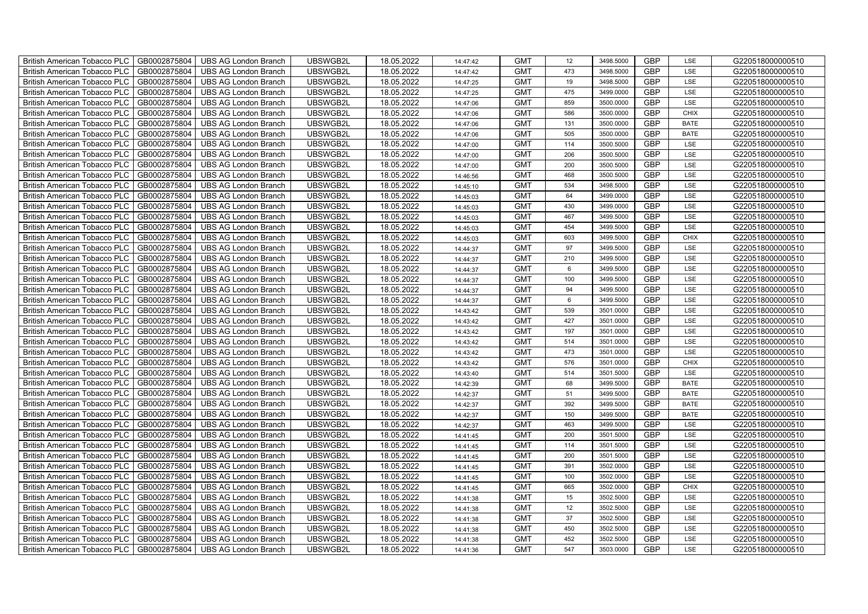| British American Tobacco PLC        | GB0002875804 | <b>UBS AG London Branch</b> | UBSWGB2L | 18.05.2022 | 14:47:42 | <b>GMT</b> | 12              | 3498.5000 | <b>GBP</b> | LSE         | G220518000000510 |
|-------------------------------------|--------------|-----------------------------|----------|------------|----------|------------|-----------------|-----------|------------|-------------|------------------|
| <b>British American Tobacco PLC</b> | GB0002875804 | <b>UBS AG London Branch</b> | UBSWGB2L | 18.05.2022 | 14:47:42 | <b>GMT</b> | 473             | 3498,5000 | <b>GBP</b> | <b>LSE</b>  | G220518000000510 |
| <b>British American Tobacco PLC</b> | GB0002875804 | <b>UBS AG London Branch</b> | UBSWGB2L | 18.05.2022 | 14:47:25 | <b>GMT</b> | 19              | 3498.5000 | <b>GBP</b> | LSE         | G220518000000510 |
| British American Tobacco PLC        | GB0002875804 | <b>UBS AG London Branch</b> | UBSWGB2L | 18.05.2022 | 14:47:25 | <b>GMT</b> | 475             | 3499.0000 | <b>GBP</b> | LSE         | G220518000000510 |
| <b>British American Tobacco PLC</b> | GB0002875804 | UBS AG London Branch        | UBSWGB2L | 18.05.2022 | 14:47:06 | <b>GMT</b> | 859             | 3500.0000 | <b>GBP</b> | LSE         | G220518000000510 |
| British American Tobacco PLC        | GB0002875804 | <b>UBS AG London Branch</b> | UBSWGB2L | 18.05.2022 | 14:47:06 | <b>GMT</b> | 586             | 3500.0000 | <b>GBP</b> | <b>CHIX</b> | G220518000000510 |
| <b>British American Tobacco PLC</b> | GB0002875804 | <b>UBS AG London Branch</b> | UBSWGB2L | 18.05.2022 | 14:47:06 | <b>GMT</b> | 131             | 3500.0000 | <b>GBP</b> | <b>BATE</b> | G220518000000510 |
| British American Tobacco PLC        | GB0002875804 | <b>UBS AG London Branch</b> | UBSWGB2L | 18.05.2022 | 14:47:06 | <b>GMT</b> | 505             | 3500.0000 | <b>GBP</b> | <b>BATE</b> | G220518000000510 |
| <b>British American Tobacco PLC</b> | GB0002875804 | <b>UBS AG London Branch</b> | UBSWGB2L | 18.05.2022 | 14:47:00 | <b>GMT</b> | 114             | 3500.5000 | <b>GBP</b> | LSE         | G220518000000510 |
| British American Tobacco PLC        | GB0002875804 | <b>UBS AG London Branch</b> | UBSWGB2L | 18.05.2022 | 14:47:00 | <b>GMT</b> | 206             | 3500.5000 | <b>GBP</b> | LSE         | G220518000000510 |
| <b>British American Tobacco PLC</b> | GB0002875804 | <b>UBS AG London Branch</b> | UBSWGB2L | 18.05.2022 | 14:47:00 | <b>GMT</b> | 200             | 3500.5000 | <b>GBP</b> | LSE         | G220518000000510 |
| <b>British American Tobacco PLC</b> | GB0002875804 | <b>UBS AG London Branch</b> | UBSWGB2L | 18.05.2022 | 14:46:56 | <b>GMT</b> | 468             | 3500.5000 | <b>GBP</b> | LSE         | G220518000000510 |
| British American Tobacco PLC        | GB0002875804 | <b>UBS AG London Branch</b> | UBSWGB2L | 18.05.2022 | 14:45:10 | <b>GMT</b> | 534             | 3498.5000 | <b>GBP</b> | LSE         | G220518000000510 |
| British American Tobacco PLC        | GB0002875804 | <b>UBS AG London Branch</b> | UBSWGB2L | 18.05.2022 | 14:45:03 | <b>GMT</b> | 64              | 3499.0000 | <b>GBP</b> | LSE         | G220518000000510 |
| British American Tobacco PLC        | GB0002875804 | <b>UBS AG London Branch</b> | UBSWGB2L | 18.05.2022 | 14:45:03 | <b>GMT</b> | 430             | 3499.0000 | <b>GBP</b> | LSE         | G220518000000510 |
| British American Tobacco PLC        | GB0002875804 | <b>UBS AG London Branch</b> | UBSWGB2L | 18.05.2022 | 14:45:03 | <b>GMT</b> | 467             | 3499.5000 | <b>GBP</b> | LSE         | G220518000000510 |
| British American Tobacco PLC        | GB0002875804 | <b>UBS AG London Branch</b> | UBSWGB2L | 18.05.2022 | 14:45:03 | <b>GMT</b> | 454             | 3499.5000 | <b>GBP</b> | LSE         | G220518000000510 |
| British American Tobacco PLC        | GB0002875804 | <b>UBS AG London Branch</b> | UBSWGB2L | 18.05.2022 | 14:45:03 | <b>GMT</b> | 603             | 3499.5000 | <b>GBP</b> | <b>CHIX</b> | G220518000000510 |
| British American Tobacco PLC        | GB0002875804 | <b>UBS AG London Branch</b> | UBSWGB2L | 18.05.2022 | 14:44:37 | <b>GMT</b> | 97              | 3499.5000 | <b>GBP</b> | LSE         | G220518000000510 |
| <b>British American Tobacco PLC</b> | GB0002875804 | <b>UBS AG London Branch</b> | UBSWGB2L | 18.05.2022 | 14:44:37 | <b>GMT</b> | 210             | 3499.5000 | <b>GBP</b> | LSE         | G220518000000510 |
| <b>British American Tobacco PLC</b> | GB0002875804 | <b>UBS AG London Branch</b> | UBSWGB2L | 18.05.2022 | 14:44:37 | <b>GMT</b> | $6\phantom{1}$  | 3499.5000 | <b>GBP</b> | <b>LSE</b>  | G220518000000510 |
| British American Tobacco PLC        | GB0002875804 | <b>UBS AG London Branch</b> | UBSWGB2L | 18.05.2022 | 14:44:37 | <b>GMT</b> | 100             | 3499.5000 | <b>GBP</b> | LSE         | G220518000000510 |
| British American Tobacco PLC        | GB0002875804 | <b>UBS AG London Branch</b> | UBSWGB2L | 18.05.2022 | 14:44:37 | <b>GMT</b> | 94              | 3499.5000 | GBP        | LSE         | G220518000000510 |
| British American Tobacco PLC        | GB0002875804 | <b>UBS AG London Branch</b> | UBSWGB2L | 18.05.2022 | 14:44:37 | <b>GMT</b> | $6\phantom{.0}$ | 3499.5000 | <b>GBP</b> | LSE         | G220518000000510 |
| British American Tobacco PLC        | GB0002875804 | <b>UBS AG London Branch</b> | UBSWGB2L | 18.05.2022 | 14:43:42 | <b>GMT</b> | 539             | 3501.0000 | <b>GBP</b> | LSE         | G220518000000510 |
| British American Tobacco PLC        | GB0002875804 | <b>UBS AG London Branch</b> | UBSWGB2L | 18.05.2022 | 14:43:42 | <b>GMT</b> | 427             | 3501.0000 | <b>GBP</b> | LSE         | G220518000000510 |
| British American Tobacco PLC        | GB0002875804 | <b>UBS AG London Branch</b> | UBSWGB2L | 18.05.2022 | 14:43:42 | <b>GMT</b> | 197             | 3501.0000 | <b>GBP</b> | LSE         | G220518000000510 |
| British American Tobacco PLC        | GB0002875804 | <b>UBS AG London Branch</b> | UBSWGB2L | 18.05.2022 | 14:43:42 | <b>GMT</b> | 514             | 3501.0000 | <b>GBP</b> | LSE         | G220518000000510 |
| <b>British American Tobacco PLC</b> | GB0002875804 | <b>UBS AG London Branch</b> | UBSWGB2L | 18.05.2022 | 14:43:42 | <b>GMT</b> | 473             | 3501.0000 | <b>GBP</b> | LSE         | G220518000000510 |
| <b>British American Tobacco PLC</b> | GB0002875804 | <b>UBS AG London Branch</b> | UBSWGB2L | 18.05.2022 | 14:43:42 | <b>GMT</b> | 576             | 3501.0000 | <b>GBP</b> | <b>CHIX</b> | G220518000000510 |
| British American Tobacco PLC        | GB0002875804 | <b>UBS AG London Branch</b> | UBSWGB2L | 18.05.2022 | 14:43:40 | <b>GMT</b> | 514             | 3501.5000 | <b>GBP</b> | LSE         | G220518000000510 |
| British American Tobacco PLC        | GB0002875804 | <b>UBS AG London Branch</b> | UBSWGB2L | 18.05.2022 | 14:42:39 | <b>GMT</b> | 68              | 3499.5000 | <b>GBP</b> | <b>BATE</b> | G220518000000510 |
| British American Tobacco PLC        | GB0002875804 | UBS AG London Branch        | UBSWGB2L | 18.05.2022 | 14:42:37 | <b>GMT</b> | 51              | 3499.5000 | <b>GBP</b> | <b>BATE</b> | G220518000000510 |
| British American Tobacco PLC        | GB0002875804 | <b>UBS AG London Branch</b> | UBSWGB2L | 18.05.2022 | 14:42:37 | <b>GMT</b> | 392             | 3499.5000 | <b>GBP</b> | <b>BATE</b> | G220518000000510 |
| British American Tobacco PLC        | GB0002875804 | <b>UBS AG London Branch</b> | UBSWGB2L | 18.05.2022 | 14:42:37 | <b>GMT</b> | 150             | 3499.5000 | <b>GBP</b> | <b>BATE</b> | G220518000000510 |
| British American Tobacco PLC        | GB0002875804 | <b>UBS AG London Branch</b> | UBSWGB2L | 18.05.2022 | 14:42:37 | <b>GMT</b> | 463             | 3499.5000 | <b>GBP</b> | LSE         | G220518000000510 |
| British American Tobacco PLC        | GB0002875804 | <b>UBS AG London Branch</b> | UBSWGB2L | 18.05.2022 | 14:41:45 | <b>GMT</b> | 200             | 3501.5000 | <b>GBP</b> | LSE         | G220518000000510 |
| <b>British American Tobacco PLC</b> | GB0002875804 | <b>UBS AG London Branch</b> | UBSWGB2L | 18.05.2022 | 14:41:45 | <b>GMT</b> | 114             | 3501.5000 | <b>GBP</b> | LSE         | G220518000000510 |
| British American Tobacco PLC        | GB0002875804 | <b>UBS AG London Branch</b> | UBSWGB2L | 18.05.2022 | 14:41:45 | <b>GMT</b> | 200             | 3501.5000 | <b>GBP</b> | LSE         | G220518000000510 |
| British American Tobacco PLC        | GB0002875804 | <b>UBS AG London Branch</b> | UBSWGB2L | 18.05.2022 | 14:41:45 | <b>GMT</b> | 391             | 3502.0000 | <b>GBP</b> | LSE         | G220518000000510 |
| British American Tobacco PLC        | GB0002875804 | UBS AG London Branch        | UBSWGB2L | 18.05.2022 | 14:41:45 | <b>GMT</b> | 100             | 3502.0000 | <b>GBP</b> | LSE         | G220518000000510 |
| British American Tobacco PLC        | GB0002875804 | UBS AG London Branch        | UBSWGB2L | 18.05.2022 | 14:41:45 | <b>GMT</b> | 665             | 3502.0000 | <b>GBP</b> | <b>CHIX</b> | G220518000000510 |
| British American Tobacco PLC        | GB0002875804 | <b>UBS AG London Branch</b> | UBSWGB2L | 18.05.2022 | 14:41:38 | <b>GMT</b> | 15              | 3502.5000 | <b>GBP</b> | LSE         | G220518000000510 |
| British American Tobacco PLC        | GB0002875804 | <b>UBS AG London Branch</b> | UBSWGB2L | 18.05.2022 | 14:41:38 | <b>GMT</b> | 12              | 3502.5000 | <b>GBP</b> | LSE         | G220518000000510 |
| <b>British American Tobacco PLC</b> | GB0002875804 | <b>UBS AG London Branch</b> | UBSWGB2L | 18.05.2022 | 14:41:38 | <b>GMT</b> | 37              | 3502.5000 | <b>GBP</b> | LSE         | G220518000000510 |
| <b>British American Tobacco PLC</b> | GB0002875804 | <b>UBS AG London Branch</b> | UBSWGB2L | 18.05.2022 | 14:41:38 | <b>GMT</b> | 450             | 3502.5000 | <b>GBP</b> | LSE         | G220518000000510 |
| <b>British American Tobacco PLC</b> | GB0002875804 | <b>UBS AG London Branch</b> | UBSWGB2L | 18.05.2022 | 14:41:38 | <b>GMT</b> | 452             | 3502.5000 | <b>GBP</b> | LSE         | G220518000000510 |
| British American Tobacco PLC        | GB0002875804 | UBS AG London Branch        | UBSWGB2L | 18.05.2022 | 14:41:36 | <b>GMT</b> | 547             | 3503.0000 | <b>GBP</b> | LSE         | G220518000000510 |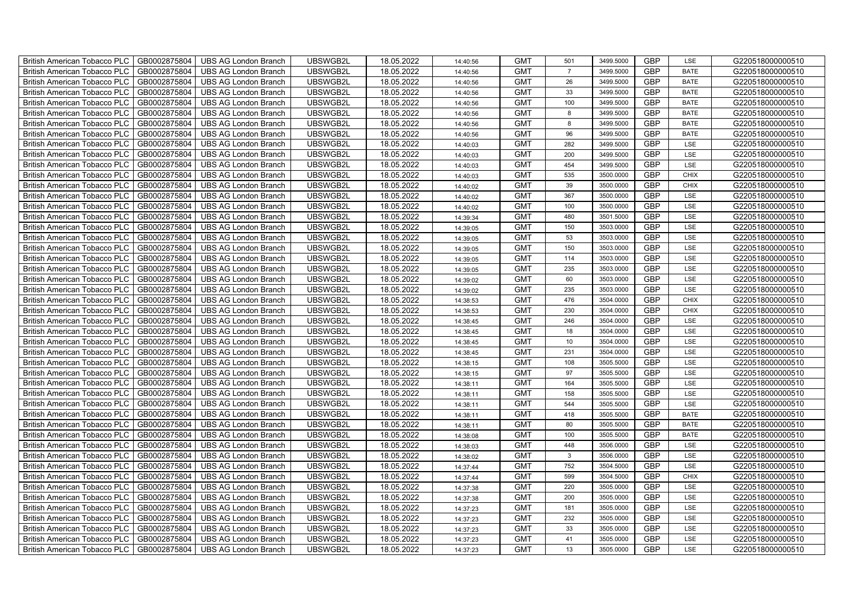| British American Tobacco PLC        | GB0002875804 | <b>UBS AG London Branch</b> | UBSWGB2L | 18.05.2022 | 14:40:56 | <b>GMT</b> | 501            | 3499.5000 | <b>GBP</b> | LSE         | G220518000000510 |
|-------------------------------------|--------------|-----------------------------|----------|------------|----------|------------|----------------|-----------|------------|-------------|------------------|
| <b>British American Tobacco PLC</b> | GB0002875804 | <b>UBS AG London Branch</b> | UBSWGB2L | 18.05.2022 | 14:40:56 | <b>GMT</b> | $\overline{7}$ | 3499.5000 | <b>GBP</b> | <b>BATE</b> | G220518000000510 |
| <b>British American Tobacco PLC</b> | GB0002875804 | <b>UBS AG London Branch</b> | UBSWGB2L | 18.05.2022 | 14:40:56 | <b>GMT</b> | 26             | 3499.5000 | <b>GBP</b> | <b>BATE</b> | G220518000000510 |
| British American Tobacco PLC        | GB0002875804 | <b>UBS AG London Branch</b> | UBSWGB2L | 18.05.2022 | 14:40:56 | <b>GMT</b> | 33             | 3499.5000 | <b>GBP</b> | <b>BATE</b> | G220518000000510 |
| <b>British American Tobacco PLC</b> | GB0002875804 | <b>UBS AG London Branch</b> | UBSWGB2L | 18.05.2022 | 14:40:56 | <b>GMT</b> | 100            | 3499.5000 | <b>GBP</b> | <b>BATE</b> | G220518000000510 |
| British American Tobacco PLC        | GB0002875804 | <b>UBS AG London Branch</b> | UBSWGB2L | 18.05.2022 | 14:40:56 | <b>GMT</b> | 8              | 3499.5000 | <b>GBP</b> | <b>BATE</b> | G220518000000510 |
| <b>British American Tobacco PLC</b> | GB0002875804 | <b>UBS AG London Branch</b> | UBSWGB2L | 18.05.2022 | 14:40:56 | <b>GMT</b> | 8              | 3499.5000 | <b>GBP</b> | <b>BATE</b> | G220518000000510 |
| British American Tobacco PLC        | GB0002875804 | <b>UBS AG London Branch</b> | UBSWGB2L | 18.05.2022 | 14:40:56 | <b>GMT</b> | 96             | 3499.5000 | <b>GBP</b> | <b>BATE</b> | G220518000000510 |
| <b>British American Tobacco PLC</b> | GB0002875804 | <b>UBS AG London Branch</b> | UBSWGB2L | 18.05.2022 | 14:40:03 | <b>GMT</b> | 282            | 3499.5000 | <b>GBP</b> | LSE         | G220518000000510 |
| British American Tobacco PLC        | GB0002875804 | <b>UBS AG London Branch</b> | UBSWGB2L | 18.05.2022 | 14:40:03 | <b>GMT</b> | 200            | 3499.5000 | <b>GBP</b> | LSE         | G220518000000510 |
| <b>British American Tobacco PLC</b> | GB0002875804 | <b>UBS AG London Branch</b> | UBSWGB2L | 18.05.2022 | 14:40:03 | <b>GMT</b> | 454            | 3499.5000 | <b>GBP</b> | LSE         | G220518000000510 |
| <b>British American Tobacco PLC</b> | GB0002875804 | <b>UBS AG London Branch</b> | UBSWGB2L | 18.05.2022 | 14:40:03 | <b>GMT</b> | 535            | 3500.0000 | <b>GBP</b> | <b>CHIX</b> | G220518000000510 |
| British American Tobacco PLC        | GB0002875804 | <b>UBS AG London Branch</b> | UBSWGB2L | 18.05.2022 | 14:40:02 | <b>GMT</b> | 39             | 3500.0000 | <b>GBP</b> | <b>CHIX</b> | G220518000000510 |
| British American Tobacco PLC        | GB0002875804 | <b>UBS AG London Branch</b> | UBSWGB2L | 18.05.2022 | 14:40:02 | <b>GMT</b> | 367            | 3500.0000 | <b>GBP</b> | LSE         | G220518000000510 |
| British American Tobacco PLC        | GB0002875804 | <b>UBS AG London Branch</b> | UBSWGB2L | 18.05.2022 | 14:40:02 | <b>GMT</b> | 100            | 3500.0000 | <b>GBP</b> | LSE         | G220518000000510 |
| British American Tobacco PLC        | GB0002875804 | <b>UBS AG London Branch</b> | UBSWGB2L | 18.05.2022 | 14:39:34 | <b>GMT</b> | 480            | 3501.5000 | <b>GBP</b> | LSE         | G220518000000510 |
| British American Tobacco PLC        | GB0002875804 | <b>UBS AG London Branch</b> | UBSWGB2L | 18.05.2022 | 14:39:05 | <b>GMT</b> | 150            | 3503.0000 | <b>GBP</b> | LSE         | G220518000000510 |
| British American Tobacco PLC        | GB0002875804 | <b>UBS AG London Branch</b> | UBSWGB2L | 18.05.2022 | 14:39:05 | <b>GMT</b> | 53             | 3503.0000 | <b>GBP</b> | LSE         | G220518000000510 |
| British American Tobacco PLC        | GB0002875804 | <b>UBS AG London Branch</b> | UBSWGB2L | 18.05.2022 | 14:39:05 | <b>GMT</b> | 150            | 3503.0000 | <b>GBP</b> | LSE         | G220518000000510 |
| <b>British American Tobacco PLC</b> | GB0002875804 | <b>UBS AG London Branch</b> | UBSWGB2L | 18.05.2022 | 14:39:05 | <b>GMT</b> | 114            | 3503.0000 | <b>GBP</b> | LSE         | G220518000000510 |
| <b>British American Tobacco PLC</b> | GB0002875804 | <b>UBS AG London Branch</b> | UBSWGB2L | 18.05.2022 | 14:39:05 | <b>GMT</b> | 235            | 3503.0000 | <b>GBP</b> | <b>LSE</b>  | G220518000000510 |
| British American Tobacco PLC        | GB0002875804 | <b>UBS AG London Branch</b> | UBSWGB2L | 18.05.2022 | 14:39:02 | <b>GMT</b> | 60             | 3503.0000 | <b>GBP</b> | LSE         | G220518000000510 |
| British American Tobacco PLC        | GB0002875804 | <b>UBS AG London Branch</b> | UBSWGB2L | 18.05.2022 | 14:39:02 | <b>GMT</b> | 235            | 3503.0000 | <b>GBP</b> | LSE         | G220518000000510 |
| British American Tobacco PLC        | GB0002875804 | <b>UBS AG London Branch</b> | UBSWGB2L | 18.05.2022 | 14:38:53 | <b>GMT</b> | 476            | 3504.0000 | <b>GBP</b> | CHIX        | G220518000000510 |
| British American Tobacco PLC        | GB0002875804 | <b>UBS AG London Branch</b> | UBSWGB2L | 18.05.2022 | 14:38:53 | <b>GMT</b> | 230            | 3504.0000 | <b>GBP</b> | CHIX        | G220518000000510 |
| British American Tobacco PLC        | GB0002875804 | <b>UBS AG London Branch</b> | UBSWGB2L | 18.05.2022 | 14:38:45 | <b>GMT</b> | 246            | 3504.0000 | <b>GBP</b> | LSE         | G220518000000510 |
| British American Tobacco PLC        | GB0002875804 | <b>UBS AG London Branch</b> | UBSWGB2L | 18.05.2022 | 14:38:45 | <b>GMT</b> | 18             | 3504.0000 | <b>GBP</b> | LSE         | G220518000000510 |
| British American Tobacco PLC        | GB0002875804 | <b>UBS AG London Branch</b> | UBSWGB2L | 18.05.2022 | 14:38:45 | <b>GMT</b> | 10             | 3504.0000 | <b>GBP</b> | LSE         | G220518000000510 |
| <b>British American Tobacco PLC</b> | GB0002875804 | <b>UBS AG London Branch</b> | UBSWGB2L | 18.05.2022 | 14:38:45 | <b>GMT</b> | 231            | 3504.0000 | <b>GBP</b> | LSE         | G220518000000510 |
| <b>British American Tobacco PLC</b> | GB0002875804 | <b>UBS AG London Branch</b> | UBSWGB2L | 18.05.2022 | 14:38:15 | <b>GMT</b> | 108            | 3505.5000 | <b>GBP</b> | LSE         | G220518000000510 |
| British American Tobacco PLC        | GB0002875804 | <b>UBS AG London Branch</b> | UBSWGB2L | 18.05.2022 | 14:38:15 | <b>GMT</b> | 97             | 3505.5000 | <b>GBP</b> | LSE         | G220518000000510 |
| British American Tobacco PLC        | GB0002875804 | <b>UBS AG London Branch</b> | UBSWGB2L | 18.05.2022 | 14:38:11 | <b>GMT</b> | 164            | 3505.5000 | <b>GBP</b> | LSE         | G220518000000510 |
| British American Tobacco PLC        | GB0002875804 | UBS AG London Branch        | UBSWGB2L | 18.05.2022 | 14:38:11 | <b>GMT</b> | 158            | 3505.5000 | <b>GBP</b> | LSE         | G220518000000510 |
| British American Tobacco PLC        | GB0002875804 | <b>UBS AG London Branch</b> | UBSWGB2L | 18.05.2022 | 14:38:11 | <b>GMT</b> | 544            | 3505.5000 | <b>GBP</b> | LSE         | G220518000000510 |
| British American Tobacco PLC        | GB0002875804 | <b>UBS AG London Branch</b> | UBSWGB2L | 18.05.2022 | 14:38:11 | <b>GMT</b> | 418            | 3505.5000 | <b>GBP</b> | <b>BATE</b> | G220518000000510 |
| British American Tobacco PLC        | GB0002875804 | <b>UBS AG London Branch</b> | UBSWGB2L | 18.05.2022 | 14:38:11 | <b>GMT</b> | 80             | 3505.5000 | <b>GBP</b> | <b>BATE</b> | G220518000000510 |
| British American Tobacco PLC        | GB0002875804 | <b>UBS AG London Branch</b> | UBSWGB2L | 18.05.2022 | 14:38:08 | <b>GMT</b> | 100            | 3505.5000 | <b>GBP</b> | <b>BATE</b> | G220518000000510 |
| <b>British American Tobacco PLC</b> | GB0002875804 | <b>UBS AG London Branch</b> | UBSWGB2L | 18.05.2022 | 14:38:03 | <b>GMT</b> | 448            | 3506.0000 | <b>GBP</b> | LSE         | G220518000000510 |
| British American Tobacco PLC        | GB0002875804 | <b>UBS AG London Branch</b> | UBSWGB2L | 18.05.2022 | 14:38:02 | <b>GMT</b> | $\mathbf{3}$   | 3506.0000 | <b>GBP</b> | LSE         | G220518000000510 |
| British American Tobacco PLC        | GB0002875804 | <b>UBS AG London Branch</b> | UBSWGB2L | 18.05.2022 | 14:37:44 | <b>GMT</b> | 752            | 3504.5000 | <b>GBP</b> | LSE         | G220518000000510 |
| British American Tobacco PLC        | GB0002875804 | UBS AG London Branch        | UBSWGB2L | 18.05.2022 | 14:37:44 | <b>GMT</b> | 599            | 3504.5000 | <b>GBP</b> | <b>CHIX</b> | G220518000000510 |
| British American Tobacco PLC        | GB0002875804 | UBS AG London Branch        | UBSWGB2L | 18.05.2022 | 14:37:38 | <b>GMT</b> | 220            | 3505.0000 | <b>GBP</b> | LSE         | G220518000000510 |
| British American Tobacco PLC        | GB0002875804 | UBS AG London Branch        | UBSWGB2L | 18.05.2022 | 14:37:38 | <b>GMT</b> | 200            | 3505.0000 | <b>GBP</b> | LSE         | G220518000000510 |
| British American Tobacco PLC        | GB0002875804 | <b>UBS AG London Branch</b> | UBSWGB2L | 18.05.2022 | 14:37:23 | <b>GMT</b> | 181            | 3505.0000 | <b>GBP</b> | LSE         | G220518000000510 |
| <b>British American Tobacco PLC</b> | GB0002875804 | <b>UBS AG London Branch</b> | UBSWGB2L | 18.05.2022 | 14:37:23 | <b>GMT</b> | 232            | 3505.0000 | <b>GBP</b> | LSE         | G220518000000510 |
| <b>British American Tobacco PLC</b> | GB0002875804 | <b>UBS AG London Branch</b> | UBSWGB2L | 18.05.2022 | 14:37:23 | <b>GMT</b> | 33             | 3505.0000 | <b>GBP</b> | LSE         | G220518000000510 |
| <b>British American Tobacco PLC</b> | GB0002875804 | <b>UBS AG London Branch</b> | UBSWGB2L | 18.05.2022 | 14:37:23 | <b>GMT</b> | 41             | 3505.0000 | <b>GBP</b> | LSE         | G220518000000510 |
| British American Tobacco PLC        | GB0002875804 | UBS AG London Branch        | UBSWGB2L | 18.05.2022 | 14:37:23 | <b>GMT</b> | 13             | 3505.0000 | <b>GBP</b> | <b>LSE</b>  | G220518000000510 |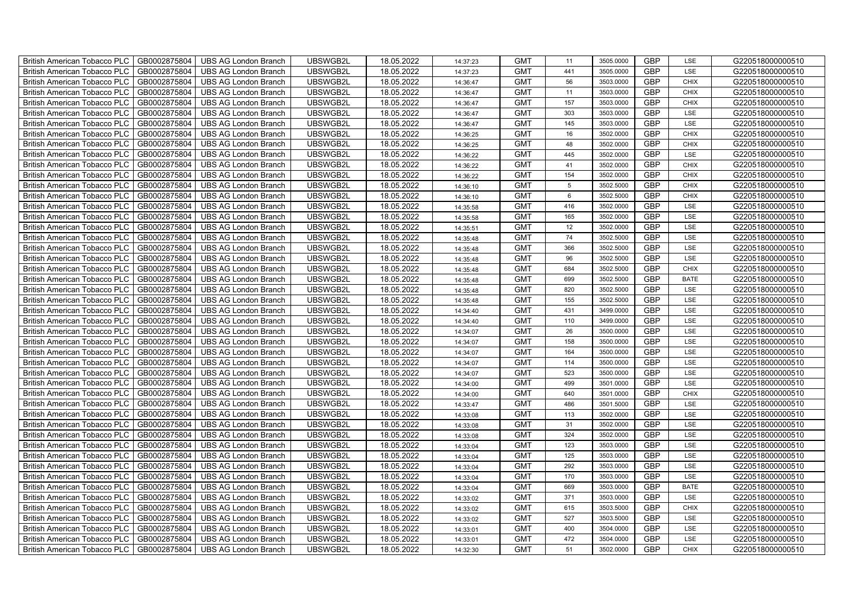| British American Tobacco PLC        | GB0002875804 | <b>UBS AG London Branch</b> | UBSWGB2L | 18.05.2022 | 14:37:23 | <b>GMT</b> | 11              | 3505.0000 | <b>GBP</b> | LSE         | G220518000000510 |
|-------------------------------------|--------------|-----------------------------|----------|------------|----------|------------|-----------------|-----------|------------|-------------|------------------|
| <b>British American Tobacco PLC</b> | GB0002875804 | <b>UBS AG London Branch</b> | UBSWGB2L | 18.05.2022 | 14:37:23 | <b>GMT</b> | 441             | 3505.0000 | <b>GBP</b> | <b>LSE</b>  | G220518000000510 |
| <b>British American Tobacco PLC</b> | GB0002875804 | <b>UBS AG London Branch</b> | UBSWGB2L | 18.05.2022 | 14:36:47 | <b>GMT</b> | 56              | 3503.0000 | <b>GBP</b> | <b>CHIX</b> | G220518000000510 |
| British American Tobacco PLC        | GB0002875804 | <b>UBS AG London Branch</b> | UBSWGB2L | 18.05.2022 | 14:36:47 | <b>GMT</b> | 11              | 3503.0000 | <b>GBP</b> | <b>CHIX</b> | G220518000000510 |
| British American Tobacco PLC        | GB0002875804 | <b>UBS AG London Branch</b> | UBSWGB2L | 18.05.2022 | 14:36:47 | <b>GMT</b> | 157             | 3503.0000 | <b>GBP</b> | <b>CHIX</b> | G220518000000510 |
| British American Tobacco PLC        | GB0002875804 | <b>UBS AG London Branch</b> | UBSWGB2L | 18.05.2022 | 14:36:47 | <b>GMT</b> | 303             | 3503.0000 | <b>GBP</b> | LSE         | G220518000000510 |
| British American Tobacco PLC        | GB0002875804 | <b>UBS AG London Branch</b> | UBSWGB2L | 18.05.2022 | 14:36:47 | <b>GMT</b> | 145             | 3503.0000 | <b>GBP</b> | LSE         | G220518000000510 |
| British American Tobacco PLC        | GB0002875804 | <b>UBS AG London Branch</b> | UBSWGB2L | 18.05.2022 | 14:36:25 | <b>GMT</b> | 16              | 3502.0000 | <b>GBP</b> | <b>CHIX</b> | G220518000000510 |
| British American Tobacco PLC        | GB0002875804 | <b>UBS AG London Branch</b> | UBSWGB2L | 18.05.2022 | 14:36:25 | <b>GMT</b> | 48              | 3502.0000 | <b>GBP</b> | CHIX        | G220518000000510 |
| British American Tobacco PLC        | GB0002875804 | <b>UBS AG London Branch</b> | UBSWGB2L | 18.05.2022 | 14:36:22 | <b>GMT</b> | 445             | 3502.0000 | GBP        | LSE         | G220518000000510 |
| <b>British American Tobacco PLC</b> | GB0002875804 | <b>UBS AG London Branch</b> | UBSWGB2L | 18.05.2022 | 14:36:22 | <b>GMT</b> | 41              | 3502.0000 | <b>GBP</b> | CHIX        | G220518000000510 |
| <b>British American Tobacco PLC</b> | GB0002875804 | <b>UBS AG London Branch</b> | UBSWGB2L | 18.05.2022 | 14:36:22 | <b>GMT</b> | 154             | 3502.0000 | <b>GBP</b> | <b>CHIX</b> | G220518000000510 |
| British American Tobacco PLC        | GB0002875804 | <b>UBS AG London Branch</b> | UBSWGB2L | 18.05.2022 | 14:36:10 | <b>GMT</b> | $5\phantom{.0}$ | 3502.5000 | <b>GBP</b> | CHIX        | G220518000000510 |
| British American Tobacco PLC        | GB0002875804 | <b>UBS AG London Branch</b> | UBSWGB2L | 18.05.2022 | 14:36:10 | <b>GMT</b> | $6\phantom{.0}$ | 3502.5000 | <b>GBP</b> | <b>CHIX</b> | G220518000000510 |
| <b>British American Tobacco PLC</b> | GB0002875804 | UBS AG London Branch        | UBSWGB2L | 18.05.2022 | 14:35:58 | <b>GMT</b> | 416             | 3502.0000 | <b>GBP</b> | LSE         | G220518000000510 |
| British American Tobacco PLC        | GB0002875804 | UBS AG London Branch        | UBSWGB2L | 18.05.2022 | 14:35:58 | <b>GMT</b> | 165             | 3502.0000 | <b>GBP</b> | LSE         | G220518000000510 |
| British American Tobacco PLC        | GB0002875804 | UBS AG London Branch        | UBSWGB2L | 18.05.2022 | 14:35:51 | <b>GMT</b> | 12              | 3502.0000 | <b>GBP</b> | LSE         | G220518000000510 |
| British American Tobacco PLC        | GB0002875804 | <b>UBS AG London Branch</b> | UBSWGB2L | 18.05.2022 | 14:35:48 | <b>GMT</b> | 74              | 3502.5000 | <b>GBP</b> | LSE         | G220518000000510 |
| British American Tobacco PLC        | GB0002875804 | <b>UBS AG London Branch</b> | UBSWGB2L | 18.05.2022 | 14:35:48 | <b>GMT</b> | 366             | 3502.5000 | <b>GBP</b> | LSE         | G220518000000510 |
| <b>British American Tobacco PLC</b> | GB0002875804 | <b>UBS AG London Branch</b> | UBSWGB2L | 18.05.2022 | 14:35:48 | <b>GMT</b> | 96              | 3502.5000 | <b>GBP</b> | LSE         | G220518000000510 |
| <b>British American Tobacco PLC</b> | GB0002875804 | <b>UBS AG London Branch</b> | UBSWGB2L | 18.05.2022 | 14:35:48 | <b>GMT</b> | 684             | 3502.5000 | <b>GBP</b> | <b>CHIX</b> | G220518000000510 |
| British American Tobacco PLC        | GB0002875804 | <b>UBS AG London Branch</b> | UBSWGB2L | 18.05.2022 | 14:35:48 | <b>GMT</b> | 699             | 3502.5000 | GBP        | <b>BATE</b> | G220518000000510 |
| British American Tobacco PLC        | GB0002875804 | <b>UBS AG London Branch</b> | UBSWGB2L | 18.05.2022 | 14:35:48 | <b>GMT</b> | 820             | 3502.5000 | GBP        | LSE         | G220518000000510 |
| <b>British American Tobacco PLC</b> | GB0002875804 | <b>UBS AG London Branch</b> | UBSWGB2L | 18.05.2022 | 14:35:48 | <b>GMT</b> | 155             | 3502.5000 | <b>GBP</b> | LSE         | G220518000000510 |
| British American Tobacco PLC        | GB0002875804 | <b>UBS AG London Branch</b> | UBSWGB2L | 18.05.2022 | 14:34:40 | <b>GMT</b> | 431             | 3499.0000 | <b>GBP</b> | LSE         | G220518000000510 |
| British American Tobacco PLC        | GB0002875804 | <b>UBS AG London Branch</b> | UBSWGB2L | 18.05.2022 | 14:34:40 | <b>GMT</b> | 110             | 3499.0000 | <b>GBP</b> | LSE         | G220518000000510 |
| British American Tobacco PLC        | GB0002875804 | <b>UBS AG London Branch</b> | UBSWGB2L | 18.05.2022 | 14:34:07 | <b>GMT</b> | 26              | 3500.0000 | <b>GBP</b> | LSE         | G220518000000510 |
| British American Tobacco PLC        | GB0002875804 | <b>UBS AG London Branch</b> | UBSWGB2L | 18.05.2022 | 14:34:07 | <b>GMT</b> | 158             | 3500.0000 | <b>GBP</b> | LSE         | G220518000000510 |
| <b>British American Tobacco PLC</b> | GB0002875804 | <b>UBS AG London Branch</b> | UBSWGB2L | 18.05.2022 | 14:34:07 | <b>GMT</b> | 164             | 3500.0000 | <b>GBP</b> | LSE         | G220518000000510 |
| <b>British American Tobacco PLC</b> | GB0002875804 | <b>UBS AG London Branch</b> | UBSWGB2L | 18.05.2022 | 14:34:07 | <b>GMT</b> | 114             | 3500.0000 | <b>GBP</b> | LSE         | G220518000000510 |
| <b>British American Tobacco PLC</b> | GB0002875804 | <b>UBS AG London Branch</b> | UBSWGB2L | 18.05.2022 | 14:34:07 | <b>GMT</b> | 523             | 3500.0000 | <b>GBP</b> | LSE         | G220518000000510 |
| British American Tobacco PLC        | GB0002875804 | <b>UBS AG London Branch</b> | UBSWGB2L | 18.05.2022 | 14:34:00 | <b>GMT</b> | 499             | 3501.0000 | <b>GBP</b> | LSE         | G220518000000510 |
| <b>British American Tobacco PLC</b> | GB0002875804 | <b>UBS AG London Branch</b> | UBSWGB2L | 18.05.2022 | 14:34:00 | <b>GMT</b> | 640             | 3501.0000 | <b>GBP</b> | CHIX        | G220518000000510 |
| <b>British American Tobacco PLC</b> | GB0002875804 | <b>UBS AG London Branch</b> | UBSWGB2L | 18.05.2022 | 14:33:47 | <b>GMT</b> | 486             | 3501.5000 | <b>GBP</b> | LSE         | G220518000000510 |
| <b>British American Tobacco PLC</b> | GB0002875804 | <b>UBS AG London Branch</b> | UBSWGB2L | 18.05.2022 | 14:33:08 | <b>GMT</b> | 113             | 3502.0000 | <b>GBP</b> | LSE         | G220518000000510 |
| British American Tobacco PLC        | GB0002875804 | <b>UBS AG London Branch</b> | UBSWGB2L | 18.05.2022 | 14:33:08 | <b>GMT</b> | 31              | 3502.0000 | <b>GBP</b> | LSE         | G220518000000510 |
| British American Tobacco PLC        | GB0002875804 | <b>UBS AG London Branch</b> | UBSWGB2L | 18.05.2022 | 14:33:08 | <b>GMT</b> | 324             | 3502.0000 | <b>GBP</b> | LSE         | G220518000000510 |
| British American Tobacco PLC        | GB0002875804 | <b>UBS AG London Branch</b> | UBSWGB2L | 18.05.2022 | 14:33:04 | <b>GMT</b> | 123             | 3503.0000 | <b>GBP</b> | LSE         | G220518000000510 |
| <b>British American Tobacco PLC</b> | GB0002875804 | <b>UBS AG London Branch</b> | UBSWGB2L | 18.05.2022 | 14:33:04 | <b>GMT</b> | 125             | 3503.0000 | <b>GBP</b> | LSE         | G220518000000510 |
| British American Tobacco PLC        | GB0002875804 | <b>UBS AG London Branch</b> | UBSWGB2L | 18.05.2022 | 14:33:04 | <b>GMT</b> | 292             | 3503.0000 | <b>GBP</b> | LSE         | G220518000000510 |
| British American Tobacco PLC        | GB0002875804 | <b>UBS AG London Branch</b> | UBSWGB2L | 18.05.2022 | 14:33:04 | <b>GMT</b> | 170             | 3503.0000 | GBP        | LSE         | G220518000000510 |
| British American Tobacco PLC        | GB0002875804 | <b>UBS AG London Branch</b> | UBSWGB2L | 18.05.2022 | 14:33:04 | <b>GMT</b> | 669             | 3503.0000 | <b>GBP</b> | <b>BATE</b> | G220518000000510 |
| British American Tobacco PLC        | GB0002875804 | <b>UBS AG London Branch</b> | UBSWGB2L | 18.05.2022 | 14:33:02 | <b>GMT</b> | 371             | 3503.0000 | <b>GBP</b> | LSE         | G220518000000510 |
| British American Tobacco PLC        | GB0002875804 | <b>UBS AG London Branch</b> | UBSWGB2L | 18.05.2022 | 14:33:02 | <b>GMT</b> | 615             | 3503.5000 | <b>GBP</b> | CHIX        | G220518000000510 |
| British American Tobacco PLC        | GB0002875804 | <b>UBS AG London Branch</b> | UBSWGB2L | 18.05.2022 | 14:33:02 | <b>GMT</b> | 527             | 3503.5000 | <b>GBP</b> | LSE         | G220518000000510 |
| British American Tobacco PLC        | GB0002875804 | <b>UBS AG London Branch</b> | UBSWGB2L | 18.05.2022 | 14:33:01 | <b>GMT</b> | 400             | 3504.0000 | <b>GBP</b> | LSE         | G220518000000510 |
| <b>British American Tobacco PLC</b> | GB0002875804 | <b>UBS AG London Branch</b> | UBSWGB2L | 18.05.2022 | 14:33:01 | <b>GMT</b> | 472             | 3504.0000 | <b>GBP</b> | LSE         | G220518000000510 |
| <b>British American Tobacco PLC</b> | GB0002875804 | <b>UBS AG London Branch</b> | UBSWGB2L | 18.05.2022 | 14:32:30 | <b>GMT</b> | 51              | 3502.0000 | <b>GBP</b> | <b>CHIX</b> | G220518000000510 |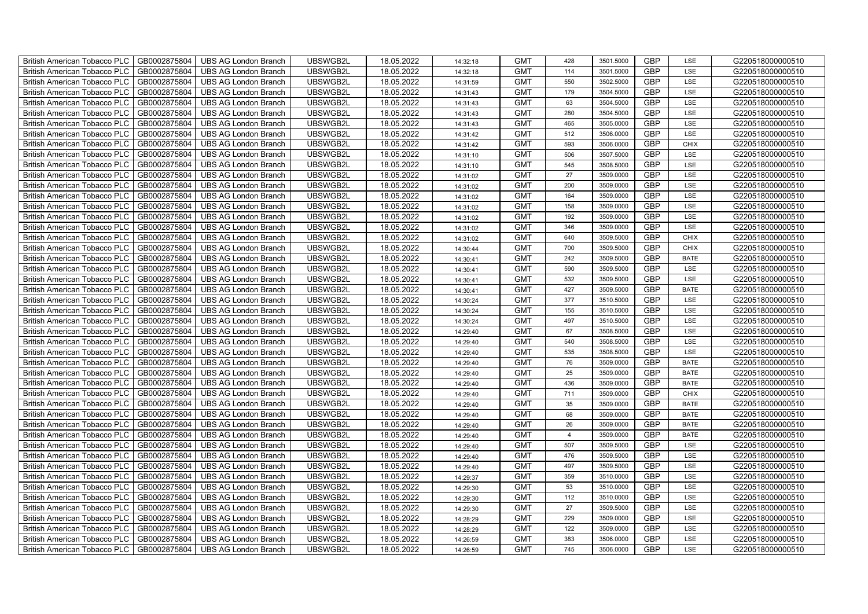| British American Tobacco PLC        | GB0002875804 | <b>UBS AG London Branch</b> | UBSWGB2L | 18.05.2022 | 14:32:18 | <b>GMT</b> | 428            | 3501.5000 | <b>GBP</b> | LSE         | G220518000000510 |
|-------------------------------------|--------------|-----------------------------|----------|------------|----------|------------|----------------|-----------|------------|-------------|------------------|
| <b>British American Tobacco PLC</b> | GB0002875804 | <b>UBS AG London Branch</b> | UBSWGB2L | 18.05.2022 | 14:32:18 | <b>GMT</b> | 114            | 3501.5000 | <b>GBP</b> | <b>LSE</b>  | G220518000000510 |
| <b>British American Tobacco PLC</b> | GB0002875804 | <b>UBS AG London Branch</b> | UBSWGB2L | 18.05.2022 | 14:31:59 | <b>GMT</b> | 550            | 3502.5000 | <b>GBP</b> | LSE         | G220518000000510 |
| British American Tobacco PLC        | GB0002875804 | <b>UBS AG London Branch</b> | UBSWGB2L | 18.05.2022 | 14:31:43 | <b>GMT</b> | 179            | 3504.5000 | <b>GBP</b> | LSE         | G220518000000510 |
| <b>British American Tobacco PLC</b> | GB0002875804 | UBS AG London Branch        | UBSWGB2L | 18.05.2022 | 14:31:43 | <b>GMT</b> | 63             | 3504.5000 | <b>GBP</b> | LSE         | G220518000000510 |
| British American Tobacco PLC        | GB0002875804 | <b>UBS AG London Branch</b> | UBSWGB2L | 18.05.2022 | 14:31:43 | <b>GMT</b> | 280            | 3504.5000 | <b>GBP</b> | LSE         | G220518000000510 |
| <b>British American Tobacco PLC</b> | GB0002875804 | <b>UBS AG London Branch</b> | UBSWGB2L | 18.05.2022 | 14:31:43 | <b>GMT</b> | 465            | 3505.0000 | <b>GBP</b> | LSE         | G220518000000510 |
| British American Tobacco PLC        | GB0002875804 | <b>UBS AG London Branch</b> | UBSWGB2L | 18.05.2022 | 14:31:42 | <b>GMT</b> | 512            | 3506.0000 | <b>GBP</b> | LSE         | G220518000000510 |
| <b>British American Tobacco PLC</b> | GB0002875804 | <b>UBS AG London Branch</b> | UBSWGB2L | 18.05.2022 | 14:31:42 | <b>GMT</b> | 593            | 3506.0000 | <b>GBP</b> | <b>CHIX</b> | G220518000000510 |
| British American Tobacco PLC        | GB0002875804 | <b>UBS AG London Branch</b> | UBSWGB2L | 18.05.2022 | 14:31:10 | <b>GMT</b> | 506            | 3507.5000 | <b>GBP</b> | LSE         | G220518000000510 |
| <b>British American Tobacco PLC</b> | GB0002875804 | <b>UBS AG London Branch</b> | UBSWGB2L | 18.05.2022 | 14:31:10 | <b>GMT</b> | 545            | 3508.5000 | <b>GBP</b> | LSE         | G220518000000510 |
| <b>British American Tobacco PLC</b> | GB0002875804 | <b>UBS AG London Branch</b> | UBSWGB2L | 18.05.2022 | 14:31:02 | <b>GMT</b> | 27             | 3509.0000 | <b>GBP</b> | LSE         | G220518000000510 |
| British American Tobacco PLC        | GB0002875804 | <b>UBS AG London Branch</b> | UBSWGB2L | 18.05.2022 | 14:31:02 | <b>GMT</b> | 200            | 3509.0000 | <b>GBP</b> | LSE         | G220518000000510 |
| British American Tobacco PLC        | GB0002875804 | <b>UBS AG London Branch</b> | UBSWGB2L | 18.05.2022 | 14:31:02 | <b>GMT</b> | 164            | 3509.0000 | <b>GBP</b> | LSE         | G220518000000510 |
| British American Tobacco PLC        | GB0002875804 | <b>UBS AG London Branch</b> | UBSWGB2L | 18.05.2022 | 14:31:02 | <b>GMT</b> | 158            | 3509.0000 | <b>GBP</b> | LSE         | G220518000000510 |
| British American Tobacco PLC        | GB0002875804 | <b>UBS AG London Branch</b> | UBSWGB2L | 18.05.2022 | 14:31:02 | <b>GMT</b> | 192            | 3509.0000 | <b>GBP</b> | LSE         | G220518000000510 |
| British American Tobacco PLC        | GB0002875804 | <b>UBS AG London Branch</b> | UBSWGB2L | 18.05.2022 | 14:31:02 | <b>GMT</b> | 346            | 3509.0000 | <b>GBP</b> | LSE         | G220518000000510 |
| British American Tobacco PLC        | GB0002875804 | <b>UBS AG London Branch</b> | UBSWGB2L | 18.05.2022 | 14:31:02 | <b>GMT</b> | 640            | 3509.5000 | <b>GBP</b> | <b>CHIX</b> | G220518000000510 |
| British American Tobacco PLC        | GB0002875804 | <b>UBS AG London Branch</b> | UBSWGB2L | 18.05.2022 | 14:30:44 | <b>GMT</b> | 700            | 3509.5000 | <b>GBP</b> | <b>CHIX</b> | G220518000000510 |
| <b>British American Tobacco PLC</b> | GB0002875804 | <b>UBS AG London Branch</b> | UBSWGB2L | 18.05.2022 | 14:30:41 | <b>GMT</b> | 242            | 3509.5000 | <b>GBP</b> | <b>BATE</b> | G220518000000510 |
| <b>British American Tobacco PLC</b> | GB0002875804 | <b>UBS AG London Branch</b> | UBSWGB2L | 18.05.2022 | 14:30:41 | <b>GMT</b> | 590            | 3509.5000 | <b>GBP</b> | <b>LSE</b>  | G220518000000510 |
| British American Tobacco PLC        | GB0002875804 | <b>UBS AG London Branch</b> | UBSWGB2L | 18.05.2022 | 14:30:41 | <b>GMT</b> | 532            | 3509.5000 | <b>GBP</b> | LSE         | G220518000000510 |
| British American Tobacco PLC        | GB0002875804 | <b>UBS AG London Branch</b> | UBSWGB2L | 18.05.2022 | 14:30:41 | <b>GMT</b> | 427            | 3509.5000 | GBP        | <b>BATE</b> | G220518000000510 |
| British American Tobacco PLC        | GB0002875804 | <b>UBS AG London Branch</b> | UBSWGB2L | 18.05.2022 | 14:30:24 | <b>GMT</b> | 377            | 3510.5000 | <b>GBP</b> | LSE         | G220518000000510 |
| British American Tobacco PLC        | GB0002875804 | <b>UBS AG London Branch</b> | UBSWGB2L | 18.05.2022 | 14:30:24 | <b>GMT</b> | 155            | 3510.5000 | <b>GBP</b> | LSE         | G220518000000510 |
| British American Tobacco PLC        | GB0002875804 | <b>UBS AG London Branch</b> | UBSWGB2L | 18.05.2022 | 14:30:24 | <b>GMT</b> | 497            | 3510.5000 | <b>GBP</b> | LSE         | G220518000000510 |
| British American Tobacco PLC        | GB0002875804 | <b>UBS AG London Branch</b> | UBSWGB2L | 18.05.2022 | 14:29:40 | <b>GMT</b> | 67             | 3508.5000 | <b>GBP</b> | LSE         | G220518000000510 |
| British American Tobacco PLC        | GB0002875804 | <b>UBS AG London Branch</b> | UBSWGB2L | 18.05.2022 | 14:29:40 | <b>GMT</b> | 540            | 3508.5000 | <b>GBP</b> | LSE         | G220518000000510 |
| <b>British American Tobacco PLC</b> | GB0002875804 | <b>UBS AG London Branch</b> | UBSWGB2L | 18.05.2022 | 14:29:40 | <b>GMT</b> | 535            | 3508.5000 | <b>GBP</b> | LSE         | G220518000000510 |
| <b>British American Tobacco PLC</b> | GB0002875804 | <b>UBS AG London Branch</b> | UBSWGB2L | 18.05.2022 | 14:29:40 | <b>GMT</b> | 76             | 3509.0000 | <b>GBP</b> | <b>BATE</b> | G220518000000510 |
| British American Tobacco PLC        | GB0002875804 | <b>UBS AG London Branch</b> | UBSWGB2L | 18.05.2022 | 14:29:40 | <b>GMT</b> | 25             | 3509.0000 | <b>GBP</b> | <b>BATE</b> | G220518000000510 |
| British American Tobacco PLC        | GB0002875804 | <b>UBS AG London Branch</b> | UBSWGB2L | 18.05.2022 | 14:29:40 | <b>GMT</b> | 436            | 3509.0000 | <b>GBP</b> | <b>BATE</b> | G220518000000510 |
| British American Tobacco PLC        | GB0002875804 | UBS AG London Branch        | UBSWGB2L | 18.05.2022 | 14:29:40 | <b>GMT</b> | 711            | 3509.0000 | <b>GBP</b> | CHIX        | G220518000000510 |
| British American Tobacco PLC        | GB0002875804 | <b>UBS AG London Branch</b> | UBSWGB2L | 18.05.2022 | 14:29:40 | <b>GMT</b> | 35             | 3509.0000 | <b>GBP</b> | <b>BATE</b> | G220518000000510 |
| British American Tobacco PLC        | GB0002875804 | <b>UBS AG London Branch</b> | UBSWGB2L | 18.05.2022 | 14:29:40 | <b>GMT</b> | 68             | 3509.0000 | <b>GBP</b> | <b>BATE</b> | G220518000000510 |
| British American Tobacco PLC        | GB0002875804 | <b>UBS AG London Branch</b> | UBSWGB2L | 18.05.2022 | 14:29:40 | <b>GMT</b> | 26             | 3509.0000 | <b>GBP</b> | <b>BATE</b> | G220518000000510 |
| British American Tobacco PLC        | GB0002875804 | <b>UBS AG London Branch</b> | UBSWGB2L | 18.05.2022 | 14:29:40 | <b>GMT</b> | $\overline{4}$ | 3509.0000 | <b>GBP</b> | <b>BATE</b> | G220518000000510 |
| <b>British American Tobacco PLC</b> | GB0002875804 | <b>UBS AG London Branch</b> | UBSWGB2L | 18.05.2022 | 14:29:40 | <b>GMT</b> | 507            | 3509.5000 | <b>GBP</b> | LSE         | G220518000000510 |
| British American Tobacco PLC        | GB0002875804 | <b>UBS AG London Branch</b> | UBSWGB2L | 18.05.2022 | 14:29:40 | <b>GMT</b> | 476            | 3509.5000 | <b>GBP</b> | LSE         | G220518000000510 |
| <b>British American Tobacco PLC</b> | GB0002875804 | <b>UBS AG London Branch</b> | UBSWGB2L | 18.05.2022 | 14:29:40 | <b>GMT</b> | 497            | 3509.5000 | <b>GBP</b> | LSE         | G220518000000510 |
| British American Tobacco PLC        | GB0002875804 | UBS AG London Branch        | UBSWGB2L | 18.05.2022 | 14:29:37 | <b>GMT</b> | 359            | 3510.0000 | <b>GBP</b> | LSE         | G220518000000510 |
| British American Tobacco PLC        | GB0002875804 | <b>UBS AG London Branch</b> | UBSWGB2L | 18.05.2022 | 14:29:30 | <b>GMT</b> | 53             | 3510.0000 | <b>GBP</b> | LSE         | G220518000000510 |
| British American Tobacco PLC        | GB0002875804 | <b>UBS AG London Branch</b> | UBSWGB2L | 18.05.2022 | 14:29:30 | <b>GMT</b> | 112            | 3510.0000 | <b>GBP</b> | LSE         | G220518000000510 |
| <b>British American Tobacco PLC</b> | GB0002875804 | <b>UBS AG London Branch</b> | UBSWGB2L | 18.05.2022 | 14:29:30 | <b>GMT</b> | 27             | 3509.5000 | <b>GBP</b> | LSE         | G220518000000510 |
| <b>British American Tobacco PLC</b> | GB0002875804 | <b>UBS AG London Branch</b> | UBSWGB2L | 18.05.2022 | 14:28:29 | <b>GMT</b> | 229            | 3509.0000 | <b>GBP</b> | LSE         | G220518000000510 |
| <b>British American Tobacco PLC</b> | GB0002875804 | <b>UBS AG London Branch</b> | UBSWGB2L | 18.05.2022 | 14:28:29 | <b>GMT</b> | 122            | 3509.0000 | <b>GBP</b> | LSE         | G220518000000510 |
| <b>British American Tobacco PLC</b> | GB0002875804 | <b>UBS AG London Branch</b> | UBSWGB2L | 18.05.2022 | 14:26:59 | <b>GMT</b> | 383            | 3506.0000 | <b>GBP</b> | LSE         | G220518000000510 |
| British American Tobacco PLC        | GB0002875804 | UBS AG London Branch        | UBSWGB2L | 18.05.2022 | 14:26:59 | <b>GMT</b> | 745            | 3506.0000 | <b>GBP</b> | <b>LSE</b>  | G220518000000510 |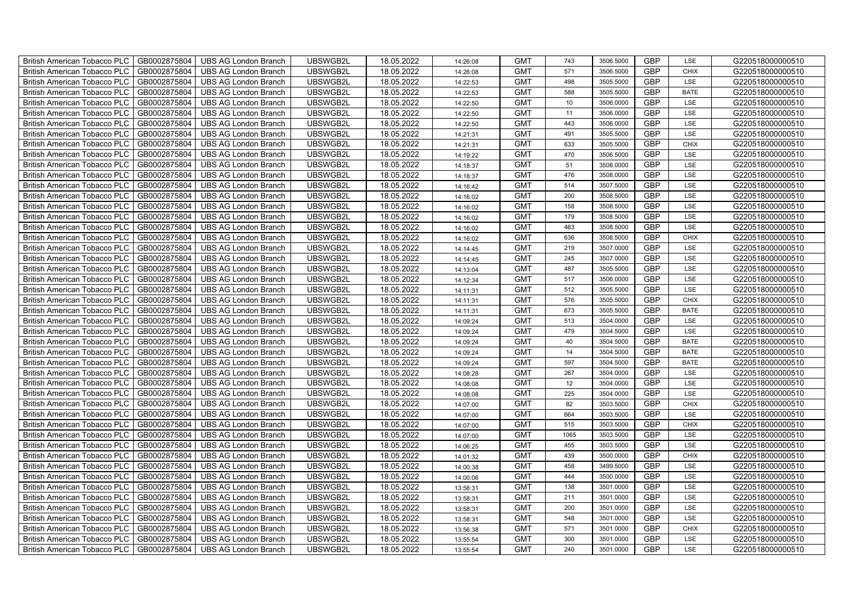| British American Tobacco PLC        | GB0002875804 | <b>UBS AG London Branch</b> | UBSWGB2L | 18.05.2022 | 14:26:08 | <b>GMT</b> | 743  | 3506.5000 | <b>GBP</b> | LSE         | G220518000000510 |
|-------------------------------------|--------------|-----------------------------|----------|------------|----------|------------|------|-----------|------------|-------------|------------------|
| <b>British American Tobacco PLC</b> | GB0002875804 | <b>UBS AG London Branch</b> | UBSWGB2L | 18.05.2022 | 14:26:08 | <b>GMT</b> | 571  | 3506.5000 | <b>GBP</b> | <b>CHIX</b> | G220518000000510 |
| <b>British American Tobacco PLC</b> | GB0002875804 | <b>UBS AG London Branch</b> | UBSWGB2L | 18.05.2022 | 14:22:53 | <b>GMT</b> | 498  | 3505.5000 | <b>GBP</b> | LSE         | G220518000000510 |
| British American Tobacco PLC        | GB0002875804 | <b>UBS AG London Branch</b> | UBSWGB2L | 18.05.2022 | 14:22:53 | <b>GMT</b> | 588  | 3505.5000 | <b>GBP</b> | <b>BATE</b> | G220518000000510 |
| <b>British American Tobacco PLC</b> | GB0002875804 | UBS AG London Branch        | UBSWGB2L | 18.05.2022 | 14:22:50 | <b>GMT</b> | 10   | 3506.0000 | <b>GBP</b> | LSE         | G220518000000510 |
| British American Tobacco PLC        | GB0002875804 | <b>UBS AG London Branch</b> | UBSWGB2L | 18.05.2022 | 14:22:50 | <b>GMT</b> | 11   | 3506.0000 | <b>GBP</b> | LSE         | G220518000000510 |
| <b>British American Tobacco PLC</b> | GB0002875804 | <b>UBS AG London Branch</b> | UBSWGB2L | 18.05.2022 | 14:22:50 | <b>GMT</b> | 443  | 3506.0000 | <b>GBP</b> | LSE         | G220518000000510 |
| British American Tobacco PLC        | GB0002875804 | <b>UBS AG London Branch</b> | UBSWGB2L | 18.05.2022 | 14:21:31 | <b>GMT</b> | 491  | 3505.5000 | <b>GBP</b> | LSE         | G220518000000510 |
| <b>British American Tobacco PLC</b> | GB0002875804 | <b>UBS AG London Branch</b> | UBSWGB2L | 18.05.2022 | 14:21:31 | <b>GMT</b> | 633  | 3505.5000 | <b>GBP</b> | <b>CHIX</b> | G220518000000510 |
| British American Tobacco PLC        | GB0002875804 | <b>UBS AG London Branch</b> | UBSWGB2L | 18.05.2022 | 14:19:22 | <b>GMT</b> | 470  | 3506.5000 | <b>GBP</b> | LSE         | G220518000000510 |
| <b>British American Tobacco PLC</b> | GB0002875804 | <b>UBS AG London Branch</b> | UBSWGB2L | 18.05.2022 | 14:18:37 | <b>GMT</b> | 51   | 3508.0000 | <b>GBP</b> | LSE         | G220518000000510 |
| <b>British American Tobacco PLC</b> | GB0002875804 | <b>UBS AG London Branch</b> | UBSWGB2L | 18.05.2022 | 14:18:37 | <b>GMT</b> | 476  | 3508.0000 | <b>GBP</b> | LSE         | G220518000000510 |
| British American Tobacco PLC        | GB0002875804 | <b>UBS AG London Branch</b> | UBSWGB2L | 18.05.2022 | 14:16:42 | <b>GMT</b> | 514  | 3507.5000 | <b>GBP</b> | LSE         | G220518000000510 |
| British American Tobacco PLC        | GB0002875804 | <b>UBS AG London Branch</b> | UBSWGB2L | 18.05.2022 | 14:16:02 | <b>GMT</b> | 200  | 3508.5000 | <b>GBP</b> | LSE         | G220518000000510 |
| British American Tobacco PLC        | GB0002875804 | <b>UBS AG London Branch</b> | UBSWGB2L | 18.05.2022 | 14:16:02 | <b>GMT</b> | 158  | 3508.5000 | <b>GBP</b> | LSE         | G220518000000510 |
| British American Tobacco PLC        | GB0002875804 | <b>UBS AG London Branch</b> | UBSWGB2L | 18.05.2022 | 14:16:02 | <b>GMT</b> | 179  | 3508.5000 | <b>GBP</b> | LSE         | G220518000000510 |
| British American Tobacco PLC        | GB0002875804 | <b>UBS AG London Branch</b> | UBSWGB2L | 18.05.2022 | 14:16:02 | <b>GMT</b> | 463  | 3508.5000 | <b>GBP</b> | LSE         | G220518000000510 |
| British American Tobacco PLC        | GB0002875804 | <b>UBS AG London Branch</b> | UBSWGB2L | 18.05.2022 | 14:16:02 | <b>GMT</b> | 636  | 3508.5000 | <b>GBP</b> | <b>CHIX</b> | G220518000000510 |
| British American Tobacco PLC        | GB0002875804 | <b>UBS AG London Branch</b> | UBSWGB2L | 18.05.2022 | 14:14:45 | <b>GMT</b> | 219  | 3507.0000 | <b>GBP</b> | LSE         | G220518000000510 |
| <b>British American Tobacco PLC</b> | GB0002875804 | <b>UBS AG London Branch</b> | UBSWGB2L | 18.05.2022 | 14:14:45 | <b>GMT</b> | 245  | 3507.0000 | <b>GBP</b> | LSE         | G220518000000510 |
| <b>British American Tobacco PLC</b> | GB0002875804 | <b>UBS AG London Branch</b> | UBSWGB2L | 18.05.2022 | 14:13:04 | <b>GMT</b> | 487  | 3505.5000 | <b>GBP</b> | <b>LSE</b>  | G220518000000510 |
| British American Tobacco PLC        | GB0002875804 | <b>UBS AG London Branch</b> | UBSWGB2L | 18.05.2022 | 14:12:34 | <b>GMT</b> | 517  | 3506.0000 | <b>GBP</b> | LSE         | G220518000000510 |
| British American Tobacco PLC        | GB0002875804 | <b>UBS AG London Branch</b> | UBSWGB2L | 18.05.2022 | 14:11:31 | <b>GMT</b> | 512  | 3505.5000 | <b>GBP</b> | LSE         | G220518000000510 |
| British American Tobacco PLC        | GB0002875804 | <b>UBS AG London Branch</b> | UBSWGB2L | 18.05.2022 | 14:11:31 | <b>GMT</b> | 576  | 3505.5000 | <b>GBP</b> | CHIX        | G220518000000510 |
| British American Tobacco PLC        | GB0002875804 | <b>UBS AG London Branch</b> | UBSWGB2L | 18.05.2022 | 14:11:31 | <b>GMT</b> | 673  | 3505.5000 | <b>GBP</b> | <b>BATE</b> | G220518000000510 |
| British American Tobacco PLC        | GB0002875804 | <b>UBS AG London Branch</b> | UBSWGB2L | 18.05.2022 | 14:09:24 | <b>GMT</b> | 513  | 3504.0000 | <b>GBP</b> | LSE         | G220518000000510 |
| British American Tobacco PLC        | GB0002875804 | <b>UBS AG London Branch</b> | UBSWGB2L | 18.05.2022 | 14:09:24 | <b>GMT</b> | 479  | 3504.5000 | <b>GBP</b> | LSE         | G220518000000510 |
| British American Tobacco PLC        | GB0002875804 | <b>UBS AG London Branch</b> | UBSWGB2L | 18.05.2022 | 14:09:24 | <b>GMT</b> | 40   | 3504.5000 | <b>GBP</b> | <b>BATE</b> | G220518000000510 |
| <b>British American Tobacco PLC</b> | GB0002875804 | <b>UBS AG London Branch</b> | UBSWGB2L | 18.05.2022 | 14:09:24 | <b>GMT</b> | 14   | 3504.5000 | <b>GBP</b> | <b>BATE</b> | G220518000000510 |
| <b>British American Tobacco PLC</b> | GB0002875804 | <b>UBS AG London Branch</b> | UBSWGB2L | 18.05.2022 | 14:09:24 | <b>GMT</b> | 597  | 3504.5000 | <b>GBP</b> | <b>BATE</b> | G220518000000510 |
| British American Tobacco PLC        | GB0002875804 | <b>UBS AG London Branch</b> | UBSWGB2L | 18.05.2022 | 14:08:28 | <b>GMT</b> | 267  | 3504.0000 | <b>GBP</b> | LSE         | G220518000000510 |
| British American Tobacco PLC        | GB0002875804 | <b>UBS AG London Branch</b> | UBSWGB2L | 18.05.2022 | 14:08:08 | <b>GMT</b> | 12   | 3504.0000 | <b>GBP</b> | LSE         | G220518000000510 |
| British American Tobacco PLC        | GB0002875804 | <b>UBS AG London Branch</b> | UBSWGB2L | 18.05.2022 | 14:08:08 | <b>GMT</b> | 225  | 3504.0000 | <b>GBP</b> | LSE         | G220518000000510 |
| British American Tobacco PLC        | GB0002875804 | UBS AG London Branch        | UBSWGB2L | 18.05.2022 | 14:07:00 | <b>GMT</b> | 82   | 3503.5000 | <b>GBP</b> | CHIX        | G220518000000510 |
| British American Tobacco PLC        | GB0002875804 | <b>UBS AG London Branch</b> | UBSWGB2L | 18.05.2022 | 14:07:00 | <b>GMT</b> | 664  | 3503.5000 | <b>GBP</b> | LSE         | G220518000000510 |
| British American Tobacco PLC        | GB0002875804 | <b>UBS AG London Branch</b> | UBSWGB2L | 18.05.2022 | 14:07:00 | <b>GMT</b> | 515  | 3503.5000 | <b>GBP</b> | CHIX        | G220518000000510 |
| British American Tobacco PLC        | GB0002875804 | <b>UBS AG London Branch</b> | UBSWGB2L | 18.05.2022 | 14:07:00 | <b>GMT</b> | 1065 | 3503.5000 | <b>GBP</b> | LSE         | G220518000000510 |
| <b>British American Tobacco PLC</b> | GB0002875804 | <b>UBS AG London Branch</b> | UBSWGB2L | 18.05.2022 | 14:06:25 | <b>GMT</b> | 455  | 3503.5000 | <b>GBP</b> | LSE         | G220518000000510 |
| British American Tobacco PLC        | GB0002875804 | <b>UBS AG London Branch</b> | UBSWGB2L | 18.05.2022 | 14:01:32 | <b>GMT</b> | 439  | 3500.0000 | <b>GBP</b> | <b>CHIX</b> | G220518000000510 |
| <b>British American Tobacco PLC</b> | GB0002875804 | UBS AG London Branch        | UBSWGB2L | 18.05.2022 | 14:00:38 | <b>GMT</b> | 458  | 3499.5000 | <b>GBP</b> | LSE         | G220518000000510 |
| British American Tobacco PLC        | GB0002875804 | UBS AG London Branch        | UBSWGB2L | 18.05.2022 | 14:00:06 | <b>GMT</b> | 444  | 3500.0000 | <b>GBP</b> | LSE         | G220518000000510 |
| British American Tobacco PLC        | GB0002875804 | <b>UBS AG London Branch</b> | UBSWGB2L | 18.05.2022 | 13:58:31 | <b>GMT</b> | 138  | 3501.0000 | <b>GBP</b> | LSE         | G220518000000510 |
| British American Tobacco PLC        | GB0002875804 | UBS AG London Branch        | UBSWGB2L | 18.05.2022 | 13:58:31 | <b>GMT</b> | 211  | 3501.0000 | <b>GBP</b> | LSE         | G220518000000510 |
| <b>British American Tobacco PLC</b> | GB0002875804 | <b>UBS AG London Branch</b> | UBSWGB2L | 18.05.2022 | 13:58:31 | <b>GMT</b> | 200  | 3501.0000 | <b>GBP</b> | LSE         | G220518000000510 |
| <b>British American Tobacco PLC</b> | GB0002875804 | <b>UBS AG London Branch</b> | UBSWGB2L | 18.05.2022 | 13:58:31 | <b>GMT</b> | 548  | 3501.0000 | <b>GBP</b> | LSE         | G220518000000510 |
| <b>British American Tobacco PLC</b> | GB0002875804 | <b>UBS AG London Branch</b> | UBSWGB2L | 18.05.2022 | 13:56:38 | <b>GMT</b> | 571  | 3501.0000 | <b>GBP</b> | <b>CHIX</b> | G220518000000510 |
| <b>British American Tobacco PLC</b> | GB0002875804 | <b>UBS AG London Branch</b> | UBSWGB2L | 18.05.2022 | 13:55:54 | <b>GMT</b> | 300  | 3501.0000 | <b>GBP</b> | LSE         | G220518000000510 |
| British American Tobacco PLC        | GB0002875804 | UBS AG London Branch        | UBSWGB2L | 18.05.2022 | 13:55:54 | <b>GMT</b> | 240  | 3501.0000 | <b>GBP</b> | LSE         | G220518000000510 |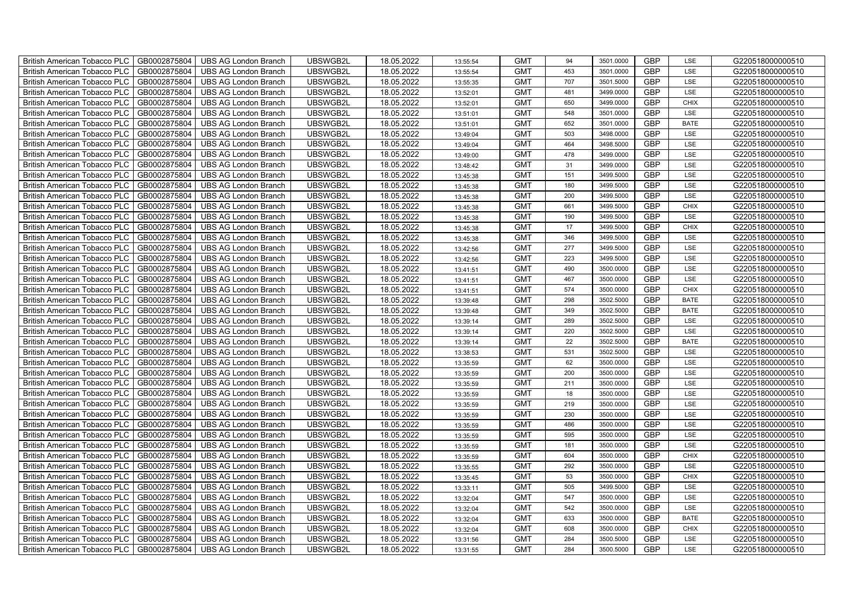| British American Tobacco PLC        | GB0002875804 | <b>UBS AG London Branch</b> | UBSWGB2L | 18.05.2022 | 13:55:54 | <b>GMT</b> | 94  | 3501.0000 | <b>GBP</b> | LSE         | G220518000000510 |
|-------------------------------------|--------------|-----------------------------|----------|------------|----------|------------|-----|-----------|------------|-------------|------------------|
| <b>British American Tobacco PLC</b> | GB0002875804 | <b>UBS AG London Branch</b> | UBSWGB2L | 18.05.2022 | 13:55:54 | <b>GMT</b> | 453 | 3501.0000 | <b>GBP</b> | <b>LSE</b>  | G220518000000510 |
| <b>British American Tobacco PLC</b> | GB0002875804 | <b>UBS AG London Branch</b> | UBSWGB2L | 18.05.2022 | 13:55:35 | <b>GMT</b> | 707 | 3501.5000 | <b>GBP</b> | LSE         | G220518000000510 |
| British American Tobacco PLC        | GB0002875804 | <b>UBS AG London Branch</b> | UBSWGB2L | 18.05.2022 | 13:52:01 | <b>GMT</b> | 481 | 3499.0000 | <b>GBP</b> | LSE         | G220518000000510 |
| <b>British American Tobacco PLC</b> | GB0002875804 | <b>UBS AG London Branch</b> | UBSWGB2L | 18.05.2022 | 13:52:01 | <b>GMT</b> | 650 | 3499.0000 | <b>GBP</b> | <b>CHIX</b> | G220518000000510 |
| British American Tobacco PLC        | GB0002875804 | <b>UBS AG London Branch</b> | UBSWGB2L | 18.05.2022 | 13:51:01 | <b>GMT</b> | 548 | 3501.0000 | <b>GBP</b> | LSE         | G220518000000510 |
| <b>British American Tobacco PLC</b> | GB0002875804 | <b>UBS AG London Branch</b> | UBSWGB2L | 18.05.2022 | 13:51:01 | <b>GMT</b> | 652 | 3501.0000 | <b>GBP</b> | <b>BATE</b> | G220518000000510 |
| British American Tobacco PLC        | GB0002875804 | <b>UBS AG London Branch</b> | UBSWGB2L | 18.05.2022 | 13:49:04 | <b>GMT</b> | 503 | 3498.0000 | <b>GBP</b> | LSE         | G220518000000510 |
| <b>British American Tobacco PLC</b> | GB0002875804 | <b>UBS AG London Branch</b> | UBSWGB2L | 18.05.2022 | 13:49:04 | <b>GMT</b> | 464 | 3498.5000 | <b>GBP</b> | LSE         | G220518000000510 |
| British American Tobacco PLC        | GB0002875804 | <b>UBS AG London Branch</b> | UBSWGB2L | 18.05.2022 | 13:49:00 | <b>GMT</b> | 478 | 3499.0000 | <b>GBP</b> | LSE         | G220518000000510 |
| <b>British American Tobacco PLC</b> | GB0002875804 | <b>UBS AG London Branch</b> | UBSWGB2L | 18.05.2022 | 13:48:42 | <b>GMT</b> | 31  | 3499.0000 | <b>GBP</b> | LSE         | G220518000000510 |
| <b>British American Tobacco PLC</b> | GB0002875804 | <b>UBS AG London Branch</b> | UBSWGB2L | 18.05.2022 | 13:45:38 | <b>GMT</b> | 151 | 3499.5000 | <b>GBP</b> | LSE         | G220518000000510 |
| British American Tobacco PLC        | GB0002875804 | <b>UBS AG London Branch</b> | UBSWGB2L | 18.05.2022 | 13:45:38 | <b>GMT</b> | 180 | 3499.5000 | <b>GBP</b> | LSE         | G220518000000510 |
| British American Tobacco PLC        | GB0002875804 | <b>UBS AG London Branch</b> | UBSWGB2L | 18.05.2022 | 13:45:38 | <b>GMT</b> | 200 | 3499.5000 | <b>GBP</b> | LSE         | G220518000000510 |
| British American Tobacco PLC        | GB0002875804 | <b>UBS AG London Branch</b> | UBSWGB2L | 18.05.2022 | 13:45:38 | <b>GMT</b> | 661 | 3499.5000 | <b>GBP</b> | <b>CHIX</b> | G220518000000510 |
| British American Tobacco PLC        | GB0002875804 | <b>UBS AG London Branch</b> | UBSWGB2L | 18.05.2022 | 13:45:38 | <b>GMT</b> | 190 | 3499.5000 | <b>GBP</b> | LSE         | G220518000000510 |
| British American Tobacco PLC        | GB0002875804 | <b>UBS AG London Branch</b> | UBSWGB2L | 18.05.2022 | 13:45:38 | <b>GMT</b> | 17  | 3499.5000 | <b>GBP</b> | <b>CHIX</b> | G220518000000510 |
| British American Tobacco PLC        | GB0002875804 | <b>UBS AG London Branch</b> | UBSWGB2L | 18.05.2022 | 13:45:38 | <b>GMT</b> | 346 | 3499.5000 | <b>GBP</b> | LSE         | G220518000000510 |
| British American Tobacco PLC        | GB0002875804 | <b>UBS AG London Branch</b> | UBSWGB2L | 18.05.2022 | 13:42:56 | <b>GMT</b> | 277 | 3499.5000 | <b>GBP</b> | LSE         | G220518000000510 |
| <b>British American Tobacco PLC</b> | GB0002875804 | <b>UBS AG London Branch</b> | UBSWGB2L | 18.05.2022 | 13:42:56 | <b>GMT</b> | 223 | 3499.5000 | <b>GBP</b> | LSE         | G220518000000510 |
| <b>British American Tobacco PLC</b> | GB0002875804 | <b>UBS AG London Branch</b> | UBSWGB2L | 18.05.2022 | 13:41:51 | <b>GMT</b> | 490 | 3500.0000 | <b>GBP</b> | <b>LSE</b>  | G220518000000510 |
| British American Tobacco PLC        | GB0002875804 | <b>UBS AG London Branch</b> | UBSWGB2L | 18.05.2022 | 13:41:51 | <b>GMT</b> | 467 | 3500.0000 | <b>GBP</b> | LSE         | G220518000000510 |
| British American Tobacco PLC        | GB0002875804 | <b>UBS AG London Branch</b> | UBSWGB2L | 18.05.2022 | 13:41:51 | <b>GMT</b> | 574 | 3500.0000 | <b>GBP</b> | CHIX        | G220518000000510 |
| British American Tobacco PLC        | GB0002875804 | <b>UBS AG London Branch</b> | UBSWGB2L | 18.05.2022 | 13:39:48 | <b>GMT</b> | 298 | 3502.5000 | <b>GBP</b> | <b>BATE</b> | G220518000000510 |
| British American Tobacco PLC        | GB0002875804 | <b>UBS AG London Branch</b> | UBSWGB2L | 18.05.2022 | 13:39:48 | <b>GMT</b> | 349 | 3502.5000 | <b>GBP</b> | <b>BATE</b> | G220518000000510 |
| British American Tobacco PLC        | GB0002875804 | <b>UBS AG London Branch</b> | UBSWGB2L | 18.05.2022 | 13:39:14 | <b>GMT</b> | 289 | 3502.5000 | <b>GBP</b> | LSE         | G220518000000510 |
| British American Tobacco PLC        | GB0002875804 | <b>UBS AG London Branch</b> | UBSWGB2L | 18.05.2022 | 13:39:14 | <b>GMT</b> | 220 | 3502.5000 | <b>GBP</b> | LSE         | G220518000000510 |
| British American Tobacco PLC        | GB0002875804 | <b>UBS AG London Branch</b> | UBSWGB2L | 18.05.2022 | 13:39:14 | <b>GMT</b> | 22  | 3502.5000 | <b>GBP</b> | <b>BATE</b> | G220518000000510 |
| <b>British American Tobacco PLC</b> | GB0002875804 | <b>UBS AG London Branch</b> | UBSWGB2L | 18.05.2022 | 13:38:53 | <b>GMT</b> | 531 | 3502.5000 | <b>GBP</b> | LSE         | G220518000000510 |
| <b>British American Tobacco PLC</b> | GB0002875804 | <b>UBS AG London Branch</b> | UBSWGB2L | 18.05.2022 | 13:35:59 | <b>GMT</b> | 62  | 3500.0000 | <b>GBP</b> | LSE         | G220518000000510 |
| British American Tobacco PLC        | GB0002875804 | <b>UBS AG London Branch</b> | UBSWGB2L | 18.05.2022 | 13:35:59 | <b>GMT</b> | 200 | 3500.0000 | <b>GBP</b> | LSE         | G220518000000510 |
| British American Tobacco PLC        | GB0002875804 | <b>UBS AG London Branch</b> | UBSWGB2L | 18.05.2022 | 13:35:59 | <b>GMT</b> | 211 | 3500.0000 | <b>GBP</b> | LSE         | G220518000000510 |
| British American Tobacco PLC        | GB0002875804 | <b>UBS AG London Branch</b> | UBSWGB2L | 18.05.2022 | 13:35:59 | <b>GMT</b> | 18  | 3500.0000 | <b>GBP</b> | LSE         | G220518000000510 |
| British American Tobacco PLC        | GB0002875804 | <b>UBS AG London Branch</b> | UBSWGB2L | 18.05.2022 | 13:35:59 | <b>GMT</b> | 219 | 3500.0000 | <b>GBP</b> | LSE         | G220518000000510 |
| British American Tobacco PLC        | GB0002875804 | <b>UBS AG London Branch</b> | UBSWGB2L | 18.05.2022 | 13:35:59 | <b>GMT</b> | 230 | 3500.0000 | <b>GBP</b> | LSE         | G220518000000510 |
| British American Tobacco PLC        | GB0002875804 | <b>UBS AG London Branch</b> | UBSWGB2L | 18.05.2022 | 13:35:59 | <b>GMT</b> | 486 | 3500.0000 | <b>GBP</b> | LSE         | G220518000000510 |
| British American Tobacco PLC        | GB0002875804 | <b>UBS AG London Branch</b> | UBSWGB2L | 18.05.2022 | 13:35:59 | <b>GMT</b> | 595 | 3500.0000 | <b>GBP</b> | LSE         | G220518000000510 |
| <b>British American Tobacco PLC</b> | GB0002875804 | <b>UBS AG London Branch</b> | UBSWGB2L | 18.05.2022 | 13:35:59 | <b>GMT</b> | 181 | 3500.0000 | <b>GBP</b> | LSE         | G220518000000510 |
| <b>British American Tobacco PLC</b> | GB0002875804 | <b>UBS AG London Branch</b> | UBSWGB2L | 18.05.2022 | 13:35:59 | <b>GMT</b> | 604 | 3500.0000 | <b>GBP</b> | <b>CHIX</b> | G220518000000510 |
| <b>British American Tobacco PLC</b> | GB0002875804 | <b>UBS AG London Branch</b> | UBSWGB2L | 18.05.2022 | 13:35:55 | <b>GMT</b> | 292 | 3500.0000 | <b>GBP</b> | LSE         | G220518000000510 |
| British American Tobacco PLC        | GB0002875804 | UBS AG London Branch        | UBSWGB2L | 18.05.2022 | 13:35:45 | <b>GMT</b> | 53  | 3500.0000 | <b>GBP</b> | <b>CHIX</b> | G220518000000510 |
| British American Tobacco PLC        | GB0002875804 | <b>UBS AG London Branch</b> | UBSWGB2L | 18.05.2022 | 13:33:11 | <b>GMT</b> | 505 | 3499.5000 | <b>GBP</b> | LSE         | G220518000000510 |
| British American Tobacco PLC        | GB0002875804 | <b>UBS AG London Branch</b> | UBSWGB2L | 18.05.2022 | 13:32:04 | <b>GMT</b> | 547 | 3500.0000 | <b>GBP</b> | LSE         | G220518000000510 |
| <b>British American Tobacco PLC</b> | GB0002875804 | <b>UBS AG London Branch</b> | UBSWGB2L | 18.05.2022 | 13:32:04 | <b>GMT</b> | 542 | 3500.0000 | <b>GBP</b> | LSE         | G220518000000510 |
| <b>British American Tobacco PLC</b> | GB0002875804 | <b>UBS AG London Branch</b> | UBSWGB2L | 18.05.2022 | 13:32:04 | <b>GMT</b> | 633 | 3500.0000 | <b>GBP</b> | <b>BATE</b> | G220518000000510 |
| <b>British American Tobacco PLC</b> | GB0002875804 | <b>UBS AG London Branch</b> | UBSWGB2L | 18.05.2022 | 13:32:04 | <b>GMT</b> | 608 | 3500.0000 | <b>GBP</b> | <b>CHIX</b> | G220518000000510 |
| British American Tobacco PLC        | GB0002875804 | <b>UBS AG London Branch</b> | UBSWGB2L | 18.05.2022 | 13:31:56 | <b>GMT</b> | 284 | 3500.5000 | <b>GBP</b> | LSE         | G220518000000510 |
| British American Tobacco PLC        | GB0002875804 | UBS AG London Branch        | UBSWGB2L | 18.05.2022 | 13:31:55 | <b>GMT</b> | 284 | 3500.5000 | <b>GBP</b> | <b>LSE</b>  | G220518000000510 |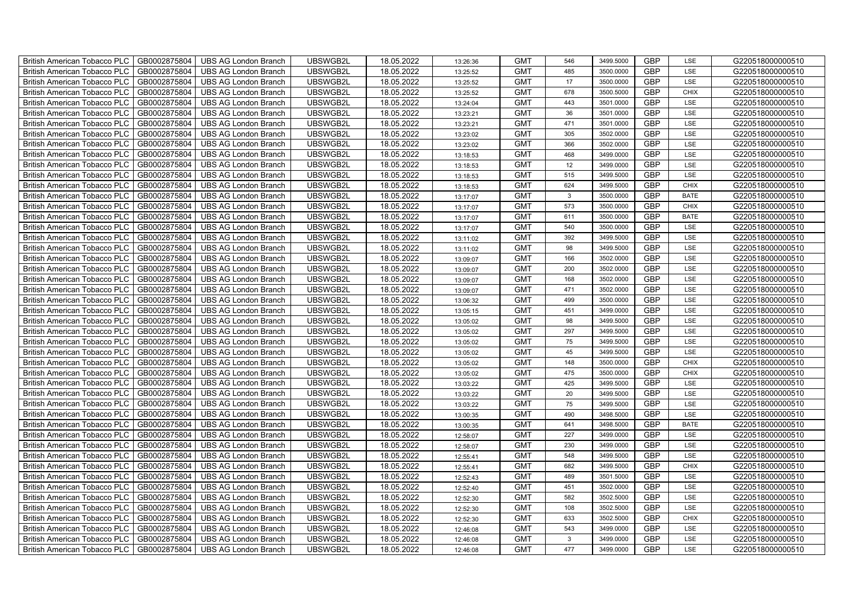| British American Tobacco PLC        | GB0002875804 | <b>UBS AG London Branch</b> | UBSWGB2L | 18.05.2022 | 13:26:36 | <b>GMT</b> | 546          | 3499.5000 | <b>GBP</b> | LSE         | G220518000000510 |
|-------------------------------------|--------------|-----------------------------|----------|------------|----------|------------|--------------|-----------|------------|-------------|------------------|
| <b>British American Tobacco PLC</b> | GB0002875804 | <b>UBS AG London Branch</b> | UBSWGB2L | 18.05.2022 | 13:25:52 | <b>GMT</b> | 485          | 3500.0000 | <b>GBP</b> | <b>LSE</b>  | G220518000000510 |
| <b>British American Tobacco PLC</b> | GB0002875804 | <b>UBS AG London Branch</b> | UBSWGB2L | 18.05.2022 | 13:25:52 | <b>GMT</b> | 17           | 3500.0000 | <b>GBP</b> | LSE         | G220518000000510 |
| British American Tobacco PLC        | GB0002875804 | <b>UBS AG London Branch</b> | UBSWGB2L | 18.05.2022 | 13:25:52 | <b>GMT</b> | 678          | 3500.5000 | <b>GBP</b> | <b>CHIX</b> | G220518000000510 |
| <b>British American Tobacco PLC</b> | GB0002875804 | <b>UBS AG London Branch</b> | UBSWGB2L | 18.05.2022 | 13:24:04 | <b>GMT</b> | 443          | 3501.0000 | <b>GBP</b> | LSE         | G220518000000510 |
| British American Tobacco PLC        | GB0002875804 | <b>UBS AG London Branch</b> | UBSWGB2L | 18.05.2022 | 13:23:21 | <b>GMT</b> | 36           | 3501.0000 | <b>GBP</b> | LSE         | G220518000000510 |
| <b>British American Tobacco PLC</b> | GB0002875804 | <b>UBS AG London Branch</b> | UBSWGB2L | 18.05.2022 | 13:23:21 | <b>GMT</b> | 471          | 3501.0000 | <b>GBP</b> | LSE         | G220518000000510 |
| British American Tobacco PLC        | GB0002875804 | <b>UBS AG London Branch</b> | UBSWGB2L | 18.05.2022 | 13:23:02 | <b>GMT</b> | 305          | 3502.0000 | <b>GBP</b> | LSE         | G220518000000510 |
| <b>British American Tobacco PLC</b> | GB0002875804 | <b>UBS AG London Branch</b> | UBSWGB2L | 18.05.2022 | 13:23:02 | <b>GMT</b> | 366          | 3502.0000 | <b>GBP</b> | LSE         | G220518000000510 |
| British American Tobacco PLC        | GB0002875804 | <b>UBS AG London Branch</b> | UBSWGB2L | 18.05.2022 | 13:18:53 | <b>GMT</b> | 468          | 3499.0000 | <b>GBP</b> | LSE         | G220518000000510 |
| <b>British American Tobacco PLC</b> | GB0002875804 | <b>UBS AG London Branch</b> | UBSWGB2L | 18.05.2022 | 13:18:53 | <b>GMT</b> | 12           | 3499.0000 | <b>GBP</b> | LSE         | G220518000000510 |
| <b>British American Tobacco PLC</b> | GB0002875804 | <b>UBS AG London Branch</b> | UBSWGB2L | 18.05.2022 | 13:18:53 | <b>GMT</b> | 515          | 3499.5000 | <b>GBP</b> | LSE         | G220518000000510 |
| British American Tobacco PLC        | GB0002875804 | <b>UBS AG London Branch</b> | UBSWGB2L | 18.05.2022 | 13:18:53 | <b>GMT</b> | 624          | 3499.5000 | <b>GBP</b> | <b>CHIX</b> | G220518000000510 |
| British American Tobacco PLC        | GB0002875804 | <b>UBS AG London Branch</b> | UBSWGB2L | 18.05.2022 | 13:17:07 | <b>GMT</b> | $\mathbf{3}$ | 3500.0000 | <b>GBP</b> | <b>BATE</b> | G220518000000510 |
| British American Tobacco PLC        | GB0002875804 | <b>UBS AG London Branch</b> | UBSWGB2L | 18.05.2022 | 13:17:07 | <b>GMT</b> | 573          | 3500.0000 | <b>GBP</b> | <b>CHIX</b> | G220518000000510 |
| British American Tobacco PLC        | GB0002875804 | <b>UBS AG London Branch</b> | UBSWGB2L | 18.05.2022 | 13:17:07 | <b>GMT</b> | 611          | 3500.0000 | <b>GBP</b> | <b>BATE</b> | G220518000000510 |
| British American Tobacco PLC        | GB0002875804 | <b>UBS AG London Branch</b> | UBSWGB2L | 18.05.2022 | 13:17:07 | <b>GMT</b> | 540          | 3500.0000 | <b>GBP</b> | LSE         | G220518000000510 |
| British American Tobacco PLC        | GB0002875804 | <b>UBS AG London Branch</b> | UBSWGB2L | 18.05.2022 | 13:11:02 | <b>GMT</b> | 392          | 3499.5000 | <b>GBP</b> | LSE         | G220518000000510 |
| British American Tobacco PLC        | GB0002875804 | <b>UBS AG London Branch</b> | UBSWGB2L | 18.05.2022 | 13:11:02 | <b>GMT</b> | 98           | 3499.5000 | <b>GBP</b> | LSE         | G220518000000510 |
| <b>British American Tobacco PLC</b> | GB0002875804 | <b>UBS AG London Branch</b> | UBSWGB2L | 18.05.2022 | 13:09:07 | <b>GMT</b> | 166          | 3502.0000 | <b>GBP</b> | LSE         | G220518000000510 |
| <b>British American Tobacco PLC</b> | GB0002875804 | <b>UBS AG London Branch</b> | UBSWGB2L | 18.05.2022 | 13:09:07 | <b>GMT</b> | 200          | 3502.0000 | <b>GBP</b> | <b>LSE</b>  | G220518000000510 |
| British American Tobacco PLC        | GB0002875804 | <b>UBS AG London Branch</b> | UBSWGB2L | 18.05.2022 | 13:09:07 | <b>GMT</b> | 168          | 3502.0000 | <b>GBP</b> | LSE         | G220518000000510 |
| British American Tobacco PLC        | GB0002875804 | <b>UBS AG London Branch</b> | UBSWGB2L | 18.05.2022 | 13:09:07 | <b>GMT</b> | 471          | 3502.0000 | <b>GBP</b> | LSE         | G220518000000510 |
| British American Tobacco PLC        | GB0002875804 | <b>UBS AG London Branch</b> | UBSWGB2L | 18.05.2022 | 13:06:32 | <b>GMT</b> | 499          | 3500.0000 | <b>GBP</b> | LSE         | G220518000000510 |
| British American Tobacco PLC        | GB0002875804 | <b>UBS AG London Branch</b> | UBSWGB2L | 18.05.2022 | 13:05:15 | <b>GMT</b> | 451          | 3499.0000 | <b>GBP</b> | LSE         | G220518000000510 |
| British American Tobacco PLC        | GB0002875804 | <b>UBS AG London Branch</b> | UBSWGB2L | 18.05.2022 | 13:05:02 | <b>GMT</b> | 98           | 3499.5000 | <b>GBP</b> | LSE         | G220518000000510 |
| British American Tobacco PLC        | GB0002875804 | <b>UBS AG London Branch</b> | UBSWGB2L | 18.05.2022 | 13:05:02 | <b>GMT</b> | 297          | 3499.5000 | <b>GBP</b> | LSE         | G220518000000510 |
| British American Tobacco PLC        | GB0002875804 | <b>UBS AG London Branch</b> | UBSWGB2L | 18.05.2022 | 13:05:02 | <b>GMT</b> | 75           | 3499.5000 | <b>GBP</b> | LSE         | G220518000000510 |
| <b>British American Tobacco PLC</b> | GB0002875804 | <b>UBS AG London Branch</b> | UBSWGB2L | 18.05.2022 | 13:05:02 | <b>GMT</b> | 45           | 3499.5000 | <b>GBP</b> | LSE         | G220518000000510 |
| <b>British American Tobacco PLC</b> | GB0002875804 | <b>UBS AG London Branch</b> | UBSWGB2L | 18.05.2022 | 13:05:02 | <b>GMT</b> | 148          | 3500.0000 | <b>GBP</b> | <b>CHIX</b> | G220518000000510 |
| British American Tobacco PLC        | GB0002875804 | <b>UBS AG London Branch</b> | UBSWGB2L | 18.05.2022 | 13:05:02 | <b>GMT</b> | 475          | 3500.0000 | <b>GBP</b> | <b>CHIX</b> | G220518000000510 |
| British American Tobacco PLC        | GB0002875804 | <b>UBS AG London Branch</b> | UBSWGB2L | 18.05.2022 | 13:03:22 | <b>GMT</b> | 425          | 3499.5000 | <b>GBP</b> | LSE         | G220518000000510 |
| British American Tobacco PLC        | GB0002875804 | <b>UBS AG London Branch</b> | UBSWGB2L | 18.05.2022 | 13:03:22 | <b>GMT</b> | 20           | 3499.5000 | <b>GBP</b> | LSE         | G220518000000510 |
| British American Tobacco PLC        | GB0002875804 | UBS AG London Branch        | UBSWGB2L | 18.05.2022 | 13:03:22 | <b>GMT</b> | 75           | 3499.5000 | <b>GBP</b> | LSE         | G220518000000510 |
| British American Tobacco PLC        | GB0002875804 | <b>UBS AG London Branch</b> | UBSWGB2L | 18.05.2022 | 13:00:35 | <b>GMT</b> | 490          | 3498.5000 | <b>GBP</b> | LSE         | G220518000000510 |
| British American Tobacco PLC        | GB0002875804 | <b>UBS AG London Branch</b> | UBSWGB2L | 18.05.2022 | 13:00:35 | <b>GMT</b> | 641          | 3498.5000 | <b>GBP</b> | <b>BATE</b> | G220518000000510 |
| British American Tobacco PLC        | GB0002875804 | <b>UBS AG London Branch</b> | UBSWGB2L | 18.05.2022 | 12:58:07 | <b>GMT</b> | 227          | 3499.0000 | <b>GBP</b> | LSE         | G220518000000510 |
| <b>British American Tobacco PLC</b> | GB0002875804 | <b>UBS AG London Branch</b> | UBSWGB2L | 18.05.2022 | 12:58:07 | <b>GMT</b> | 230          | 3499.0000 | <b>GBP</b> | LSE         | G220518000000510 |
| <b>British American Tobacco PLC</b> | GB0002875804 | <b>UBS AG London Branch</b> | UBSWGB2L | 18.05.2022 | 12:55:41 | <b>GMT</b> | 548          | 3499.5000 | <b>GBP</b> | LSE         | G220518000000510 |
| <b>British American Tobacco PLC</b> | GB0002875804 | UBS AG London Branch        | UBSWGB2L | 18.05.2022 | 12:55:41 | <b>GMT</b> | 682          | 3499.5000 | <b>GBP</b> | <b>CHIX</b> | G220518000000510 |
| British American Tobacco PLC        | GB0002875804 | UBS AG London Branch        | UBSWGB2L | 18.05.2022 | 12:52:43 | <b>GMT</b> | 489          | 3501.5000 | <b>GBP</b> | LSE         | G220518000000510 |
| British American Tobacco PLC        | GB0002875804 | <b>UBS AG London Branch</b> | UBSWGB2L | 18.05.2022 | 12:52:40 | <b>GMT</b> | 451          | 3502.0000 | <b>GBP</b> | LSE         | G220518000000510 |
| British American Tobacco PLC        | GB0002875804 | UBS AG London Branch        | UBSWGB2L | 18.05.2022 | 12:52:30 | <b>GMT</b> | 582          | 3502.5000 | <b>GBP</b> | LSE         | G220518000000510 |
| <b>British American Tobacco PLC</b> | GB0002875804 | <b>UBS AG London Branch</b> | UBSWGB2L | 18.05.2022 | 12:52:30 | <b>GMT</b> | 108          | 3502.5000 | <b>GBP</b> | LSE         | G220518000000510 |
| <b>British American Tobacco PLC</b> | GB0002875804 | <b>UBS AG London Branch</b> | UBSWGB2L | 18.05.2022 | 12:52:30 | <b>GMT</b> | 633          | 3502.5000 | <b>GBP</b> | <b>CHIX</b> | G220518000000510 |
| <b>British American Tobacco PLC</b> | GB0002875804 | <b>UBS AG London Branch</b> | UBSWGB2L | 18.05.2022 | 12:46:08 | <b>GMT</b> | 543          | 3499.0000 | <b>GBP</b> | LSE         | G220518000000510 |
| British American Tobacco PLC        | GB0002875804 | <b>UBS AG London Branch</b> | UBSWGB2L | 18.05.2022 | 12:46:08 | <b>GMT</b> | $\mathbf{3}$ | 3499.0000 | <b>GBP</b> | LSE         | G220518000000510 |
| British American Tobacco PLC        | GB0002875804 | UBS AG London Branch        | UBSWGB2L | 18.05.2022 | 12:46:08 | <b>GMT</b> | 477          | 3499.0000 | <b>GBP</b> | <b>LSE</b>  | G220518000000510 |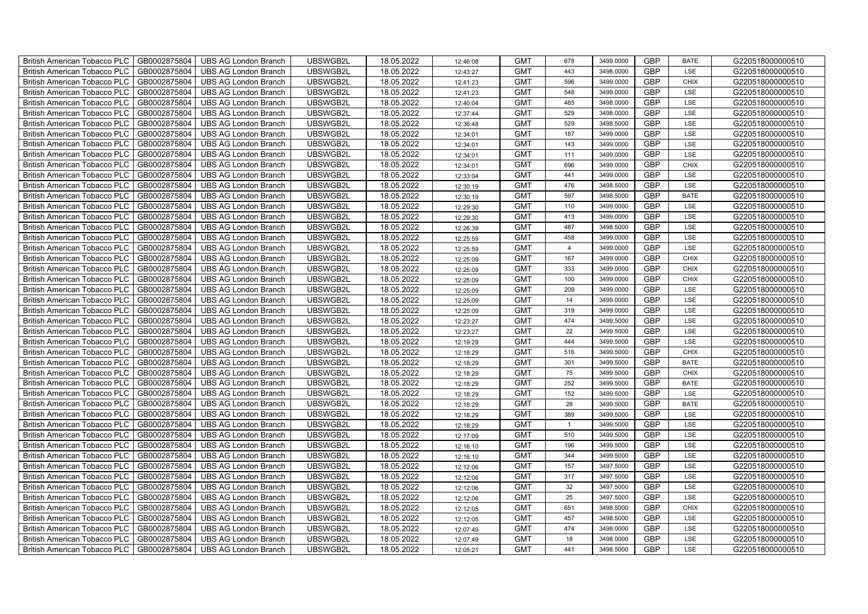| British American Tobacco PLC        | GB0002875804 | <b>UBS AG London Branch</b> | UBSWGB2L | 18.05.2022 | 12:46:08 | <b>GMT</b> | 678            | 3499.0000 | <b>GBP</b> | <b>BATE</b> | G220518000000510 |
|-------------------------------------|--------------|-----------------------------|----------|------------|----------|------------|----------------|-----------|------------|-------------|------------------|
| <b>British American Tobacco PLC</b> | GB0002875804 | <b>UBS AG London Branch</b> | UBSWGB2L | 18.05.2022 | 12:43:27 | <b>GMT</b> | 443            | 3498,0000 | <b>GBP</b> | <b>LSE</b>  | G220518000000510 |
| <b>British American Tobacco PLC</b> | GB0002875804 | <b>UBS AG London Branch</b> | UBSWGB2L | 18.05.2022 | 12:41:23 | <b>GMT</b> | 596            | 3499.0000 | <b>GBP</b> | <b>CHIX</b> | G220518000000510 |
| British American Tobacco PLC        | GB0002875804 | <b>UBS AG London Branch</b> | UBSWGB2L | 18.05.2022 | 12:41:23 | <b>GMT</b> | 548            | 3499.0000 | <b>GBP</b> | LSE         | G220518000000510 |
| <b>British American Tobacco PLC</b> | GB0002875804 | UBS AG London Branch        | UBSWGB2L | 18.05.2022 | 12:40:04 | <b>GMT</b> | 485            | 3498.0000 | <b>GBP</b> | LSE         | G220518000000510 |
| British American Tobacco PLC        | GB0002875804 | <b>UBS AG London Branch</b> | UBSWGB2L | 18.05.2022 | 12:37:44 | <b>GMT</b> | 529            | 3498.0000 | <b>GBP</b> | LSE         | G220518000000510 |
| <b>British American Tobacco PLC</b> | GB0002875804 | <b>UBS AG London Branch</b> | UBSWGB2L | 18.05.2022 | 12:36:48 | <b>GMT</b> | 529            | 3498.5000 | <b>GBP</b> | LSE         | G220518000000510 |
| British American Tobacco PLC        | GB0002875804 | <b>UBS AG London Branch</b> | UBSWGB2L | 18.05.2022 | 12:34:01 | <b>GMT</b> | 187            | 3499.0000 | <b>GBP</b> | LSE         | G220518000000510 |
| <b>British American Tobacco PLC</b> | GB0002875804 | <b>UBS AG London Branch</b> | UBSWGB2L | 18.05.2022 | 12:34:01 | <b>GMT</b> | 143            | 3499.0000 | <b>GBP</b> | LSE         | G220518000000510 |
| British American Tobacco PLC        | GB0002875804 | <b>UBS AG London Branch</b> | UBSWGB2L | 18.05.2022 | 12:34:01 | <b>GMT</b> | 111            | 3499.0000 | <b>GBP</b> | LSE         | G220518000000510 |
| <b>British American Tobacco PLC</b> | GB0002875804 | <b>UBS AG London Branch</b> | UBSWGB2L | 18.05.2022 | 12:34:01 | <b>GMT</b> | 696            | 3499.0000 | <b>GBP</b> | <b>CHIX</b> | G220518000000510 |
| <b>British American Tobacco PLC</b> | GB0002875804 | <b>UBS AG London Branch</b> | UBSWGB2L | 18.05.2022 | 12:33:04 | <b>GMT</b> | 441            | 3499.0000 | <b>GBP</b> | LSE         | G220518000000510 |
| British American Tobacco PLC        | GB0002875804 | <b>UBS AG London Branch</b> | UBSWGB2L | 18.05.2022 | 12:30:19 | <b>GMT</b> | 476            | 3498.5000 | <b>GBP</b> | LSE         | G220518000000510 |
| British American Tobacco PLC        | GB0002875804 | <b>UBS AG London Branch</b> | UBSWGB2L | 18.05.2022 | 12:30:19 | <b>GMT</b> | 597            | 3498.5000 | <b>GBP</b> | <b>BATE</b> | G220518000000510 |
| British American Tobacco PLC        | GB0002875804 | <b>UBS AG London Branch</b> | UBSWGB2L | 18.05.2022 | 12:29:30 | <b>GMT</b> | 110            | 3499.0000 | <b>GBP</b> | LSE         | G220518000000510 |
| British American Tobacco PLC        | GB0002875804 | <b>UBS AG London Branch</b> | UBSWGB2L | 18.05.2022 | 12:29:30 | <b>GMT</b> | 413            | 3499.0000 | <b>GBP</b> | LSE         | G220518000000510 |
| British American Tobacco PLC        | GB0002875804 | <b>UBS AG London Branch</b> | UBSWGB2L | 18.05.2022 | 12:26:39 | <b>GMT</b> | 487            | 3498.5000 | <b>GBP</b> | LSE         | G220518000000510 |
| British American Tobacco PLC        | GB0002875804 | <b>UBS AG London Branch</b> | UBSWGB2L | 18.05.2022 | 12:25:59 | <b>GMT</b> | 458            | 3499.0000 | <b>GBP</b> | LSE         | G220518000000510 |
| British American Tobacco PLC        | GB0002875804 | <b>UBS AG London Branch</b> | UBSWGB2L | 18.05.2022 | 12:25:59 | <b>GMT</b> | $\overline{4}$ | 3499.0000 | <b>GBP</b> | LSE         | G220518000000510 |
| <b>British American Tobacco PLC</b> | GB0002875804 | <b>UBS AG London Branch</b> | UBSWGB2L | 18.05.2022 | 12:25:09 | <b>GMT</b> | 167            | 3499.0000 | <b>GBP</b> | CHIX        | G220518000000510 |
| <b>British American Tobacco PLC</b> | GB0002875804 | <b>UBS AG London Branch</b> | UBSWGB2L | 18.05.2022 | 12:25:09 | <b>GMT</b> | 333            | 3499.0000 | <b>GBP</b> | <b>CHIX</b> | G220518000000510 |
| British American Tobacco PLC        | GB0002875804 | <b>UBS AG London Branch</b> | UBSWGB2L | 18.05.2022 | 12:25:09 | <b>GMT</b> | 100            | 3499.0000 | <b>GBP</b> | <b>CHIX</b> | G220518000000510 |
| British American Tobacco PLC        | GB0002875804 | <b>UBS AG London Branch</b> | UBSWGB2L | 18.05.2022 | 12:25:09 | <b>GMT</b> | 209            | 3499.0000 | GBP        | LSE         | G220518000000510 |
| British American Tobacco PLC        | GB0002875804 | <b>UBS AG London Branch</b> | UBSWGB2L | 18.05.2022 | 12:25:09 | <b>GMT</b> | 14             | 3499.0000 | <b>GBP</b> | LSE         | G220518000000510 |
| British American Tobacco PLC        | GB0002875804 | <b>UBS AG London Branch</b> | UBSWGB2L | 18.05.2022 | 12:25:09 | <b>GMT</b> | 319            | 3499.0000 | <b>GBP</b> | LSE         | G220518000000510 |
| British American Tobacco PLC        | GB0002875804 | <b>UBS AG London Branch</b> | UBSWGB2L | 18.05.2022 | 12:23:27 | <b>GMT</b> | 474            | 3499.5000 | <b>GBP</b> | LSE         | G220518000000510 |
| British American Tobacco PLC        | GB0002875804 | <b>UBS AG London Branch</b> | UBSWGB2L | 18.05.2022 | 12:23:27 | <b>GMT</b> | 22             | 3499.5000 | <b>GBP</b> | LSE         | G220518000000510 |
| British American Tobacco PLC        | GB0002875804 | <b>UBS AG London Branch</b> | UBSWGB2L | 18.05.2022 | 12:19:29 | <b>GMT</b> | 444            | 3499.5000 | <b>GBP</b> | LSE         | G220518000000510 |
| <b>British American Tobacco PLC</b> | GB0002875804 | <b>UBS AG London Branch</b> | UBSWGB2L | 18.05.2022 | 12:18:29 | <b>GMT</b> | 516            | 3499.5000 | <b>GBP</b> | CHIX        | G220518000000510 |
| <b>British American Tobacco PLC</b> | GB0002875804 | <b>UBS AG London Branch</b> | UBSWGB2L | 18.05.2022 | 12:18:29 | <b>GMT</b> | 301            | 3499.5000 | <b>GBP</b> | <b>BATE</b> | G220518000000510 |
| British American Tobacco PLC        | GB0002875804 | <b>UBS AG London Branch</b> | UBSWGB2L | 18.05.2022 | 12:18:29 | <b>GMT</b> | 75             | 3499.5000 | <b>GBP</b> | <b>CHIX</b> | G220518000000510 |
| British American Tobacco PLC        | GB0002875804 | <b>UBS AG London Branch</b> | UBSWGB2L | 18.05.2022 | 12:18:29 | <b>GMT</b> | 252            | 3499.5000 | <b>GBP</b> | <b>BATE</b> | G220518000000510 |
| British American Tobacco PLC        | GB0002875804 | <b>UBS AG London Branch</b> | UBSWGB2L | 18.05.2022 | 12:18:29 | <b>GMT</b> | 152            | 3499.5000 | <b>GBP</b> | LSE         | G220518000000510 |
| British American Tobacco PLC        | GB0002875804 | <b>UBS AG London Branch</b> | UBSWGB2L | 18.05.2022 | 12:18:29 | <b>GMT</b> | 28             | 3499.5000 | <b>GBP</b> | <b>BATE</b> | G220518000000510 |
| British American Tobacco PLC        | GB0002875804 | <b>UBS AG London Branch</b> | UBSWGB2L | 18.05.2022 | 12:18:29 | <b>GMT</b> | 389            | 3499.5000 | <b>GBP</b> | LSE         | G220518000000510 |
| British American Tobacco PLC        | GB0002875804 | <b>UBS AG London Branch</b> | UBSWGB2L | 18.05.2022 | 12:18:29 | <b>GMT</b> | $\overline{1}$ | 3499.5000 | <b>GBP</b> | LSE         | G220518000000510 |
| British American Tobacco PLC        | GB0002875804 | <b>UBS AG London Branch</b> | UBSWGB2L | 18.05.2022 | 12:17:09 | <b>GMT</b> | 510            | 3499.5000 | <b>GBP</b> | LSE         | G220518000000510 |
| <b>British American Tobacco PLC</b> | GB0002875804 | <b>UBS AG London Branch</b> | UBSWGB2L | 18.05.2022 | 12:16:10 | <b>GMT</b> | 196            | 3499.5000 | <b>GBP</b> | LSE         | G220518000000510 |
| <b>British American Tobacco PLC</b> | GB0002875804 | <b>UBS AG London Branch</b> | UBSWGB2L | 18.05.2022 | 12:16:10 | <b>GMT</b> | 344            | 3499.5000 | <b>GBP</b> | LSE         | G220518000000510 |
| <b>British American Tobacco PLC</b> | GB0002875804 | <b>UBS AG London Branch</b> | UBSWGB2L | 18.05.2022 | 12:12:06 | <b>GMT</b> | 157            | 3497.5000 | <b>GBP</b> | LSE         | G220518000000510 |
| British American Tobacco PLC        | GB0002875804 | UBS AG London Branch        | UBSWGB2L | 18.05.2022 | 12:12:06 | <b>GMT</b> | 317            | 3497.5000 | <b>GBP</b> | LSE         | G220518000000510 |
| British American Tobacco PLC        | GB0002875804 | <b>UBS AG London Branch</b> | UBSWGB2L | 18.05.2022 | 12:12:06 | <b>GMT</b> | 32             | 3497.5000 | <b>GBP</b> | LSE         | G220518000000510 |
| British American Tobacco PLC        | GB0002875804 | <b>UBS AG London Branch</b> | UBSWGB2L | 18.05.2022 | 12:12:06 | <b>GMT</b> | 25             | 3497.5000 | <b>GBP</b> | LSE         | G220518000000510 |
| British American Tobacco PLC        | GB0002875804 | <b>UBS AG London Branch</b> | UBSWGB2L | 18.05.2022 | 12:12:05 | <b>GMT</b> | 651            | 3498.5000 | <b>GBP</b> | <b>CHIX</b> | G220518000000510 |
| <b>British American Tobacco PLC</b> | GB0002875804 | <b>UBS AG London Branch</b> | UBSWGB2L | 18.05.2022 | 12:12:05 | <b>GMT</b> | 457            | 3498.5000 | <b>GBP</b> | LSE         | G220518000000510 |
| <b>British American Tobacco PLC</b> | GB0002875804 | <b>UBS AG London Branch</b> | UBSWGB2L | 18.05.2022 | 12:07:49 | <b>GMT</b> | 474            | 3498.0000 | <b>GBP</b> | LSE         | G220518000000510 |
| <b>British American Tobacco PLC</b> | GB0002875804 | <b>UBS AG London Branch</b> | UBSWGB2L | 18.05.2022 | 12:07:49 | <b>GMT</b> | 18             | 3498.0000 | <b>GBP</b> | LSE         | G220518000000510 |
| British American Tobacco PLC        | GB0002875804 | UBS AG London Branch        | UBSWGB2L | 18.05.2022 | 12:05:21 | <b>GMT</b> | 441            | 3498.5000 | <b>GBP</b> | <b>LSE</b>  | G220518000000510 |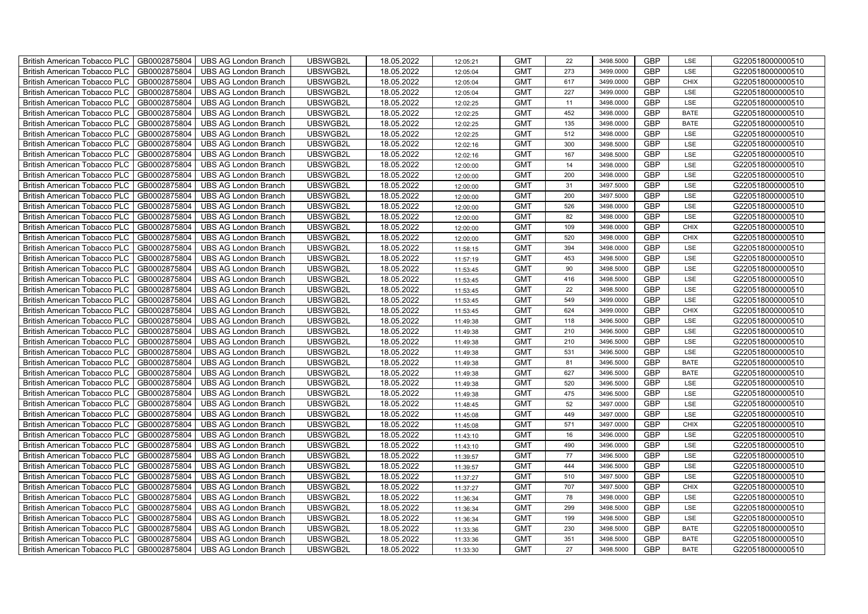| British American Tobacco PLC        | GB0002875804 | <b>UBS AG London Branch</b> | UBSWGB2L | 18.05.2022 | 12:05:21 | <b>GMT</b> | 22  | 3498.5000 | <b>GBP</b> | LSE         | G220518000000510 |
|-------------------------------------|--------------|-----------------------------|----------|------------|----------|------------|-----|-----------|------------|-------------|------------------|
| <b>British American Tobacco PLC</b> | GB0002875804 | <b>UBS AG London Branch</b> | UBSWGB2L | 18.05.2022 | 12:05:04 | <b>GMT</b> | 273 | 3499.0000 | <b>GBP</b> | <b>LSE</b>  | G220518000000510 |
| <b>British American Tobacco PLC</b> | GB0002875804 | <b>UBS AG London Branch</b> | UBSWGB2L | 18.05.2022 | 12:05:04 | <b>GMT</b> | 617 | 3499.0000 | <b>GBP</b> | <b>CHIX</b> | G220518000000510 |
| British American Tobacco PLC        | GB0002875804 | <b>UBS AG London Branch</b> | UBSWGB2L | 18.05.2022 | 12:05:04 | <b>GMT</b> | 227 | 3499.0000 | <b>GBP</b> | LSE         | G220518000000510 |
| <b>British American Tobacco PLC</b> | GB0002875804 | UBS AG London Branch        | UBSWGB2L | 18.05.2022 | 12:02:25 | <b>GMT</b> | 11  | 3498.0000 | <b>GBP</b> | LSE         | G220518000000510 |
| British American Tobacco PLC        | GB0002875804 | <b>UBS AG London Branch</b> | UBSWGB2L | 18.05.2022 | 12:02:25 | <b>GMT</b> | 452 | 3498.0000 | <b>GBP</b> | <b>BATE</b> | G220518000000510 |
| <b>British American Tobacco PLC</b> | GB0002875804 | <b>UBS AG London Branch</b> | UBSWGB2L | 18.05.2022 | 12:02:25 | <b>GMT</b> | 135 | 3498.0000 | <b>GBP</b> | <b>BATE</b> | G220518000000510 |
| British American Tobacco PLC        | GB0002875804 | <b>UBS AG London Branch</b> | UBSWGB2L | 18.05.2022 | 12:02:25 | <b>GMT</b> | 512 | 3498.0000 | <b>GBP</b> | LSE         | G220518000000510 |
| <b>British American Tobacco PLC</b> | GB0002875804 | <b>UBS AG London Branch</b> | UBSWGB2L | 18.05.2022 | 12:02:16 | <b>GMT</b> | 300 | 3498.5000 | <b>GBP</b> | LSE         | G220518000000510 |
| British American Tobacco PLC        | GB0002875804 | <b>UBS AG London Branch</b> | UBSWGB2L | 18.05.2022 | 12:02:16 | <b>GMT</b> | 167 | 3498.5000 | <b>GBP</b> | LSE         | G220518000000510 |
| <b>British American Tobacco PLC</b> | GB0002875804 | <b>UBS AG London Branch</b> | UBSWGB2L | 18.05.2022 | 12:00:00 | <b>GMT</b> | 14  | 3498.0000 | <b>GBP</b> | LSE         | G220518000000510 |
| <b>British American Tobacco PLC</b> | GB0002875804 | <b>UBS AG London Branch</b> | UBSWGB2L | 18.05.2022 | 12:00:00 | <b>GMT</b> | 200 | 3498.0000 | <b>GBP</b> | LSE         | G220518000000510 |
| British American Tobacco PLC        | GB0002875804 | <b>UBS AG London Branch</b> | UBSWGB2L | 18.05.2022 | 12:00:00 | <b>GMT</b> | 31  | 3497.5000 | <b>GBP</b> | LSE         | G220518000000510 |
| British American Tobacco PLC        | GB0002875804 | <b>UBS AG London Branch</b> | UBSWGB2L | 18.05.2022 | 12:00:00 | <b>GMT</b> | 200 | 3497.5000 | <b>GBP</b> | LSE         | G220518000000510 |
| British American Tobacco PLC        | GB0002875804 | <b>UBS AG London Branch</b> | UBSWGB2L | 18.05.2022 | 12:00:00 | <b>GMT</b> | 526 | 3498.0000 | <b>GBP</b> | LSE         | G220518000000510 |
| British American Tobacco PLC        | GB0002875804 | <b>UBS AG London Branch</b> | UBSWGB2L | 18.05.2022 | 12:00:00 | <b>GMT</b> | 82  | 3498.0000 | <b>GBP</b> | LSE         | G220518000000510 |
| British American Tobacco PLC        | GB0002875804 | <b>UBS AG London Branch</b> | UBSWGB2L | 18.05.2022 | 12:00:00 | <b>GMT</b> | 109 | 3498.0000 | <b>GBP</b> | <b>CHIX</b> | G220518000000510 |
| British American Tobacco PLC        | GB0002875804 | <b>UBS AG London Branch</b> | UBSWGB2L | 18.05.2022 | 12:00:00 | <b>GMT</b> | 520 | 3498.0000 | <b>GBP</b> | <b>CHIX</b> | G220518000000510 |
| British American Tobacco PLC        | GB0002875804 | <b>UBS AG London Branch</b> | UBSWGB2L | 18.05.2022 | 11:58:15 | <b>GMT</b> | 394 | 3498.0000 | <b>GBP</b> | LSE         | G220518000000510 |
| <b>British American Tobacco PLC</b> | GB0002875804 | <b>UBS AG London Branch</b> | UBSWGB2L | 18.05.2022 | 11:57:19 | <b>GMT</b> | 453 | 3498.5000 | <b>GBP</b> | LSE         | G220518000000510 |
| <b>British American Tobacco PLC</b> | GB0002875804 | <b>UBS AG London Branch</b> | UBSWGB2L | 18.05.2022 | 11:53:45 | <b>GMT</b> | 90  | 3498.5000 | <b>GBP</b> | <b>LSE</b>  | G220518000000510 |
| British American Tobacco PLC        | GB0002875804 | <b>UBS AG London Branch</b> | UBSWGB2L | 18.05.2022 | 11:53:45 | <b>GMT</b> | 416 | 3498.5000 | <b>GBP</b> | LSE         | G220518000000510 |
| British American Tobacco PLC        | GB0002875804 | <b>UBS AG London Branch</b> | UBSWGB2L | 18.05.2022 | 11:53:45 | <b>GMT</b> | 22  | 3498.5000 | <b>GBP</b> | LSE         | G220518000000510 |
| British American Tobacco PLC        | GB0002875804 | <b>UBS AG London Branch</b> | UBSWGB2L | 18.05.2022 | 11:53:45 | <b>GMT</b> | 549 | 3499.0000 | <b>GBP</b> | LSE         | G220518000000510 |
| British American Tobacco PLC        | GB0002875804 | <b>UBS AG London Branch</b> | UBSWGB2L | 18.05.2022 | 11:53:45 | <b>GMT</b> | 624 | 3499.0000 | <b>GBP</b> | CHIX        | G220518000000510 |
| British American Tobacco PLC        | GB0002875804 | <b>UBS AG London Branch</b> | UBSWGB2L | 18.05.2022 | 11:49:38 | <b>GMT</b> | 118 | 3496.5000 | <b>GBP</b> | LSE         | G220518000000510 |
| British American Tobacco PLC        | GB0002875804 | <b>UBS AG London Branch</b> | UBSWGB2L | 18.05.2022 | 11:49:38 | <b>GMT</b> | 210 | 3496.5000 | <b>GBP</b> | LSE         | G220518000000510 |
| British American Tobacco PLC        | GB0002875804 | <b>UBS AG London Branch</b> | UBSWGB2L | 18.05.2022 | 11:49:38 | <b>GMT</b> | 210 | 3496.5000 | <b>GBP</b> | LSE         | G220518000000510 |
| <b>British American Tobacco PLC</b> | GB0002875804 | <b>UBS AG London Branch</b> | UBSWGB2L | 18.05.2022 | 11:49:38 | <b>GMT</b> | 531 | 3496.5000 | <b>GBP</b> | LSE         | G220518000000510 |
| <b>British American Tobacco PLC</b> | GB0002875804 | <b>UBS AG London Branch</b> | UBSWGB2L | 18.05.2022 | 11:49:38 | <b>GMT</b> | 81  | 3496.5000 | <b>GBP</b> | <b>BATE</b> | G220518000000510 |
| British American Tobacco PLC        | GB0002875804 | <b>UBS AG London Branch</b> | UBSWGB2L | 18.05.2022 | 11:49:38 | <b>GMT</b> | 627 | 3496.5000 | <b>GBP</b> | <b>BATE</b> | G220518000000510 |
| British American Tobacco PLC        | GB0002875804 | <b>UBS AG London Branch</b> | UBSWGB2L | 18.05.2022 | 11:49:38 | <b>GMT</b> | 520 | 3496.5000 | <b>GBP</b> | LSE         | G220518000000510 |
| British American Tobacco PLC        | GB0002875804 | <b>UBS AG London Branch</b> | UBSWGB2L | 18.05.2022 | 11:49:38 | <b>GMT</b> | 475 | 3496.5000 | <b>GBP</b> | LSE         | G220518000000510 |
| British American Tobacco PLC        | GB0002875804 | UBS AG London Branch        | UBSWGB2L | 18.05.2022 | 11:48:45 | <b>GMT</b> | 52  | 3497.0000 | <b>GBP</b> | LSE         | G220518000000510 |
| British American Tobacco PLC        | GB0002875804 | <b>UBS AG London Branch</b> | UBSWGB2L | 18.05.2022 | 11:45:08 | <b>GMT</b> | 449 | 3497.0000 | <b>GBP</b> | LSE         | G220518000000510 |
| British American Tobacco PLC        | GB0002875804 | <b>UBS AG London Branch</b> | UBSWGB2L | 18.05.2022 | 11:45:08 | <b>GMT</b> | 571 | 3497.0000 | <b>GBP</b> | CHIX        | G220518000000510 |
| British American Tobacco PLC        | GB0002875804 | <b>UBS AG London Branch</b> | UBSWGB2L | 18.05.2022 | 11:43:10 | <b>GMT</b> | 16  | 3496.0000 | <b>GBP</b> | LSE         | G220518000000510 |
| <b>British American Tobacco PLC</b> | GB0002875804 | <b>UBS AG London Branch</b> | UBSWGB2L | 18.05.2022 | 11:43:10 | <b>GMT</b> | 490 | 3496.0000 | <b>GBP</b> | LSE         | G220518000000510 |
| <b>British American Tobacco PLC</b> | GB0002875804 | <b>UBS AG London Branch</b> | UBSWGB2L | 18.05.2022 | 11:39:57 | <b>GMT</b> | 77  | 3496.5000 | <b>GBP</b> | LSE         | G220518000000510 |
| British American Tobacco PLC        | GB0002875804 | UBS AG London Branch        | UBSWGB2L | 18.05.2022 | 11:39:57 | <b>GMT</b> | 444 | 3496.5000 | <b>GBP</b> | LSE         | G220518000000510 |
| British American Tobacco PLC        | GB0002875804 | UBS AG London Branch        | UBSWGB2L | 18.05.2022 | 11:37:27 | <b>GMT</b> | 510 | 3497.5000 | <b>GBP</b> | LSE         | G220518000000510 |
| British American Tobacco PLC        | GB0002875804 | <b>UBS AG London Branch</b> | UBSWGB2L | 18.05.2022 | 11:37:27 | <b>GMT</b> | 707 | 3497.5000 | <b>GBP</b> | <b>CHIX</b> | G220518000000510 |
| British American Tobacco PLC        | GB0002875804 | UBS AG London Branch        | UBSWGB2L | 18.05.2022 | 11:36:34 | <b>GMT</b> | 78  | 3498.0000 | <b>GBP</b> | LSE         | G220518000000510 |
| British American Tobacco PLC        | GB0002875804 | <b>UBS AG London Branch</b> | UBSWGB2L | 18.05.2022 | 11:36:34 | <b>GMT</b> | 299 | 3498.5000 | <b>GBP</b> | LSE         | G220518000000510 |
| <b>British American Tobacco PLC</b> | GB0002875804 | <b>UBS AG London Branch</b> | UBSWGB2L | 18.05.2022 | 11:36:34 | <b>GMT</b> | 199 | 3498.5000 | <b>GBP</b> | LSE         | G220518000000510 |
| <b>British American Tobacco PLC</b> | GB0002875804 | <b>UBS AG London Branch</b> | UBSWGB2L | 18.05.2022 | 11:33:36 | <b>GMT</b> | 230 | 3498.5000 | <b>GBP</b> | <b>BATE</b> | G220518000000510 |
| <b>British American Tobacco PLC</b> | GB0002875804 | <b>UBS AG London Branch</b> | UBSWGB2L | 18.05.2022 | 11:33:36 | <b>GMT</b> | 351 | 3498.5000 | <b>GBP</b> | <b>BATE</b> | G220518000000510 |
| British American Tobacco PLC        | GB0002875804 | UBS AG London Branch        | UBSWGB2L | 18.05.2022 | 11:33:30 | <b>GMT</b> | 27  | 3498.5000 | <b>GBP</b> | <b>BATE</b> | G220518000000510 |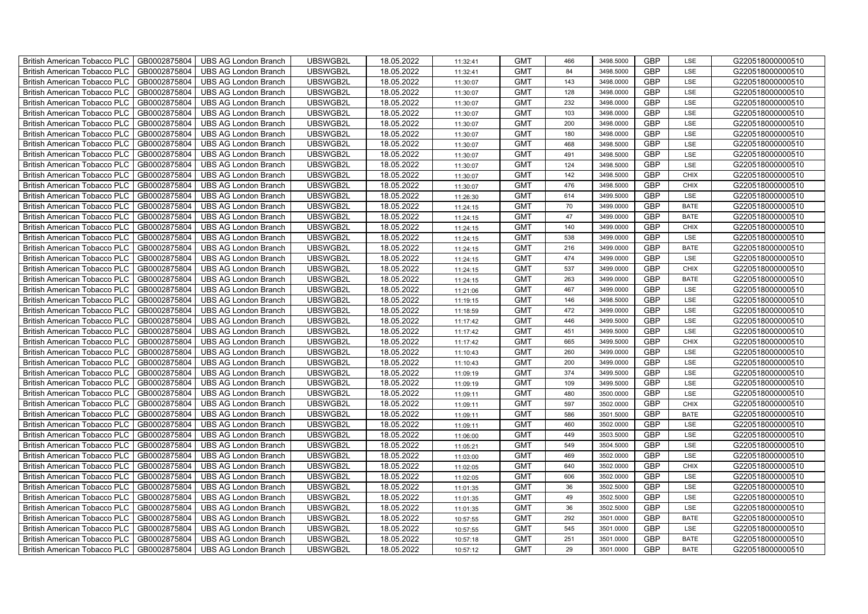| British American Tobacco PLC        | GB0002875804 | <b>UBS AG London Branch</b> | UBSWGB2L | 18.05.2022 | 11:32:41 | <b>GMT</b> | 466 | 3498.5000 | <b>GBP</b> | LSE         | G220518000000510 |
|-------------------------------------|--------------|-----------------------------|----------|------------|----------|------------|-----|-----------|------------|-------------|------------------|
| <b>British American Tobacco PLC</b> | GB0002875804 | <b>UBS AG London Branch</b> | UBSWGB2L | 18.05.2022 | 11:32:41 | <b>GMT</b> | 84  | 3498,5000 | <b>GBP</b> | <b>LSE</b>  | G220518000000510 |
| <b>British American Tobacco PLC</b> | GB0002875804 | <b>UBS AG London Branch</b> | UBSWGB2L | 18.05.2022 | 11:30:07 | <b>GMT</b> | 143 | 3498.0000 | <b>GBP</b> | LSE         | G220518000000510 |
| British American Tobacco PLC        | GB0002875804 | <b>UBS AG London Branch</b> | UBSWGB2L | 18.05.2022 | 11:30:07 | <b>GMT</b> | 128 | 3498.0000 | <b>GBP</b> | LSE         | G220518000000510 |
| <b>British American Tobacco PLC</b> | GB0002875804 | <b>UBS AG London Branch</b> | UBSWGB2L | 18.05.2022 | 11:30:07 | <b>GMT</b> | 232 | 3498.0000 | <b>GBP</b> | LSE         | G220518000000510 |
| British American Tobacco PLC        | GB0002875804 | <b>UBS AG London Branch</b> | UBSWGB2L | 18.05.2022 | 11:30:07 | <b>GMT</b> | 103 | 3498.0000 | <b>GBP</b> | LSE         | G220518000000510 |
| <b>British American Tobacco PLC</b> | GB0002875804 | <b>UBS AG London Branch</b> | UBSWGB2L | 18.05.2022 | 11:30:07 | <b>GMT</b> | 200 | 3498.0000 | <b>GBP</b> | LSE         | G220518000000510 |
| British American Tobacco PLC        | GB0002875804 | <b>UBS AG London Branch</b> | UBSWGB2L | 18.05.2022 | 11:30:07 | <b>GMT</b> | 180 | 3498.0000 | <b>GBP</b> | LSE         | G220518000000510 |
| <b>British American Tobacco PLC</b> | GB0002875804 | <b>UBS AG London Branch</b> | UBSWGB2L | 18.05.2022 | 11:30:07 | <b>GMT</b> | 468 | 3498.5000 | <b>GBP</b> | LSE         | G220518000000510 |
| British American Tobacco PLC        | GB0002875804 | <b>UBS AG London Branch</b> | UBSWGB2L | 18.05.2022 | 11:30:07 | <b>GMT</b> | 491 | 3498.5000 | <b>GBP</b> | LSE         | G220518000000510 |
| <b>British American Tobacco PLC</b> | GB0002875804 | <b>UBS AG London Branch</b> | UBSWGB2L | 18.05.2022 | 11:30:07 | <b>GMT</b> | 124 | 3498.5000 | <b>GBP</b> | LSE         | G220518000000510 |
| <b>British American Tobacco PLC</b> | GB0002875804 | <b>UBS AG London Branch</b> | UBSWGB2L | 18.05.2022 | 11:30:07 | <b>GMT</b> | 142 | 3498.5000 | <b>GBP</b> | <b>CHIX</b> | G220518000000510 |
| British American Tobacco PLC        | GB0002875804 | <b>UBS AG London Branch</b> | UBSWGB2L | 18.05.2022 | 11:30:07 | <b>GMT</b> | 476 | 3498.5000 | <b>GBP</b> | <b>CHIX</b> | G220518000000510 |
| British American Tobacco PLC        | GB0002875804 | <b>UBS AG London Branch</b> | UBSWGB2L | 18.05.2022 | 11:26:30 | <b>GMT</b> | 614 | 3499.5000 | <b>GBP</b> | LSE         | G220518000000510 |
| British American Tobacco PLC        | GB0002875804 | <b>UBS AG London Branch</b> | UBSWGB2L | 18.05.2022 | 11:24:15 | <b>GMT</b> | 70  | 3499.0000 | <b>GBP</b> | <b>BATE</b> | G220518000000510 |
| British American Tobacco PLC        | GB0002875804 | <b>UBS AG London Branch</b> | UBSWGB2L | 18.05.2022 | 11:24:15 | <b>GMT</b> | 47  | 3499.0000 | <b>GBP</b> | <b>BATE</b> | G220518000000510 |
| British American Tobacco PLC        | GB0002875804 | <b>UBS AG London Branch</b> | UBSWGB2L | 18.05.2022 | 11:24:15 | <b>GMT</b> | 140 | 3499.0000 | <b>GBP</b> | <b>CHIX</b> | G220518000000510 |
| British American Tobacco PLC        | GB0002875804 | <b>UBS AG London Branch</b> | UBSWGB2L | 18.05.2022 | 11:24:15 | <b>GMT</b> | 538 | 3499.0000 | <b>GBP</b> | LSE         | G220518000000510 |
| British American Tobacco PLC        | GB0002875804 | <b>UBS AG London Branch</b> | UBSWGB2L | 18.05.2022 | 11:24:15 | <b>GMT</b> | 216 | 3499.0000 | <b>GBP</b> | <b>BATE</b> | G220518000000510 |
| <b>British American Tobacco PLC</b> | GB0002875804 | <b>UBS AG London Branch</b> | UBSWGB2L | 18.05.2022 | 11:24:15 | <b>GMT</b> | 474 | 3499.0000 | <b>GBP</b> | LSE         | G220518000000510 |
| <b>British American Tobacco PLC</b> | GB0002875804 | UBS AG London Branch        | UBSWGB2L | 18.05.2022 | 11:24:15 | <b>GMT</b> | 537 | 3499.0000 | <b>GBP</b> | <b>CHIX</b> | G220518000000510 |
| British American Tobacco PLC        | GB0002875804 | <b>UBS AG London Branch</b> | UBSWGB2L | 18.05.2022 | 11:24:15 | <b>GMT</b> | 263 | 3499.0000 | <b>GBP</b> | <b>BATE</b> | G220518000000510 |
| British American Tobacco PLC        | GB0002875804 | <b>UBS AG London Branch</b> | UBSWGB2L | 18.05.2022 | 11:21:06 | <b>GMT</b> | 467 | 3499.0000 | GBP        | LSE         | G220518000000510 |
| British American Tobacco PLC        | GB0002875804 | <b>UBS AG London Branch</b> | UBSWGB2L | 18.05.2022 | 11:19:15 | <b>GMT</b> | 146 | 3498.5000 | <b>GBP</b> | LSE         | G220518000000510 |
| British American Tobacco PLC        | GB0002875804 | <b>UBS AG London Branch</b> | UBSWGB2L | 18.05.2022 | 11:18:59 | <b>GMT</b> | 472 | 3499.0000 | <b>GBP</b> | LSE         | G220518000000510 |
| British American Tobacco PLC        | GB0002875804 | <b>UBS AG London Branch</b> | UBSWGB2L | 18.05.2022 | 11:17:42 | <b>GMT</b> | 446 | 3499.5000 | <b>GBP</b> | LSE         | G220518000000510 |
| British American Tobacco PLC        | GB0002875804 | <b>UBS AG London Branch</b> | UBSWGB2L | 18.05.2022 | 11:17:42 | <b>GMT</b> | 451 | 3499.5000 | <b>GBP</b> | LSE         | G220518000000510 |
| British American Tobacco PLC        | GB0002875804 | <b>UBS AG London Branch</b> | UBSWGB2L | 18.05.2022 | 11:17:42 | <b>GMT</b> | 665 | 3499.5000 | <b>GBP</b> | <b>CHIX</b> | G220518000000510 |
| <b>British American Tobacco PLC</b> | GB0002875804 | <b>UBS AG London Branch</b> | UBSWGB2L | 18.05.2022 | 11:10:43 | <b>GMT</b> | 260 | 3499.0000 | <b>GBP</b> | LSE         | G220518000000510 |
| <b>British American Tobacco PLC</b> | GB0002875804 | <b>UBS AG London Branch</b> | UBSWGB2L | 18.05.2022 | 11:10:43 | <b>GMT</b> | 200 | 3499.0000 | <b>GBP</b> | LSE         | G220518000000510 |
| British American Tobacco PLC        | GB0002875804 | <b>UBS AG London Branch</b> | UBSWGB2L | 18.05.2022 | 11:09:19 | <b>GMT</b> | 374 | 3499.5000 | <b>GBP</b> | LSE         | G220518000000510 |
| British American Tobacco PLC        | GB0002875804 | <b>UBS AG London Branch</b> | UBSWGB2L | 18.05.2022 | 11:09:19 | <b>GMT</b> | 109 | 3499.5000 | <b>GBP</b> | LSE         | G220518000000510 |
| British American Tobacco PLC        | GB0002875804 | <b>UBS AG London Branch</b> | UBSWGB2L | 18.05.2022 | 11:09:11 | <b>GMT</b> | 480 | 3500.0000 | <b>GBP</b> | LSE         | G220518000000510 |
| British American Tobacco PLC        | GB0002875804 | <b>UBS AG London Branch</b> | UBSWGB2L | 18.05.2022 | 11:09:11 | <b>GMT</b> | 597 | 3502.0000 | <b>GBP</b> | CHIX        | G220518000000510 |
| British American Tobacco PLC        | GB0002875804 | <b>UBS AG London Branch</b> | UBSWGB2L | 18.05.2022 | 11:09:11 | <b>GMT</b> | 586 | 3501.5000 | <b>GBP</b> | <b>BATE</b> | G220518000000510 |
| British American Tobacco PLC        | GB0002875804 | <b>UBS AG London Branch</b> | UBSWGB2L | 18.05.2022 | 11:09:11 | <b>GMT</b> | 460 | 3502.0000 | <b>GBP</b> | LSE         | G220518000000510 |
| British American Tobacco PLC        | GB0002875804 | <b>UBS AG London Branch</b> | UBSWGB2L | 18.05.2022 | 11:06:00 | <b>GMT</b> | 449 | 3503.5000 | <b>GBP</b> | LSE         | G220518000000510 |
| <b>British American Tobacco PLC</b> | GB0002875804 | <b>UBS AG London Branch</b> | UBSWGB2L | 18.05.2022 | 11:05:21 | <b>GMT</b> | 549 | 3504.5000 | <b>GBP</b> | LSE         | G220518000000510 |
| <b>British American Tobacco PLC</b> | GB0002875804 | <b>UBS AG London Branch</b> | UBSWGB2L | 18.05.2022 | 11:03:00 | <b>GMT</b> | 469 | 3502.0000 | <b>GBP</b> | LSE         | G220518000000510 |
| <b>British American Tobacco PLC</b> | GB0002875804 | <b>UBS AG London Branch</b> | UBSWGB2L | 18.05.2022 | 11:02:05 | <b>GMT</b> | 640 | 3502.0000 | <b>GBP</b> | <b>CHIX</b> | G220518000000510 |
| British American Tobacco PLC        | GB0002875804 | UBS AG London Branch        | UBSWGB2L | 18.05.2022 | 11:02:05 | <b>GMT</b> | 606 | 3502.0000 | <b>GBP</b> | LSE         | G220518000000510 |
| British American Tobacco PLC        | GB0002875804 | <b>UBS AG London Branch</b> | UBSWGB2L | 18.05.2022 | 11:01:35 | <b>GMT</b> | 36  | 3502.5000 | <b>GBP</b> | LSE         | G220518000000510 |
| British American Tobacco PLC        | GB0002875804 | <b>UBS AG London Branch</b> | UBSWGB2L | 18.05.2022 | 11:01:35 | <b>GMT</b> | 49  | 3502.5000 | <b>GBP</b> | LSE         | G220518000000510 |
| British American Tobacco PLC        | GB0002875804 | <b>UBS AG London Branch</b> | UBSWGB2L | 18.05.2022 | 11:01:35 | <b>GMT</b> | 36  | 3502.5000 | <b>GBP</b> | LSE         | G220518000000510 |
| <b>British American Tobacco PLC</b> | GB0002875804 | <b>UBS AG London Branch</b> | UBSWGB2L | 18.05.2022 | 10:57:55 | <b>GMT</b> | 292 | 3501.0000 | <b>GBP</b> | <b>BATE</b> | G220518000000510 |
| <b>British American Tobacco PLC</b> | GB0002875804 | <b>UBS AG London Branch</b> | UBSWGB2L | 18.05.2022 | 10:57:55 | <b>GMT</b> | 545 | 3501.0000 | <b>GBP</b> | LSE         | G220518000000510 |
| British American Tobacco PLC        | GB0002875804 | <b>UBS AG London Branch</b> | UBSWGB2L | 18.05.2022 | 10:57:18 | <b>GMT</b> | 251 | 3501.0000 | <b>GBP</b> | <b>BATE</b> | G220518000000510 |
| British American Tobacco PLC        | GB0002875804 | UBS AG London Branch        | UBSWGB2L | 18.05.2022 | 10:57:12 | <b>GMT</b> | 29  | 3501.0000 | <b>GBP</b> | <b>BATE</b> | G220518000000510 |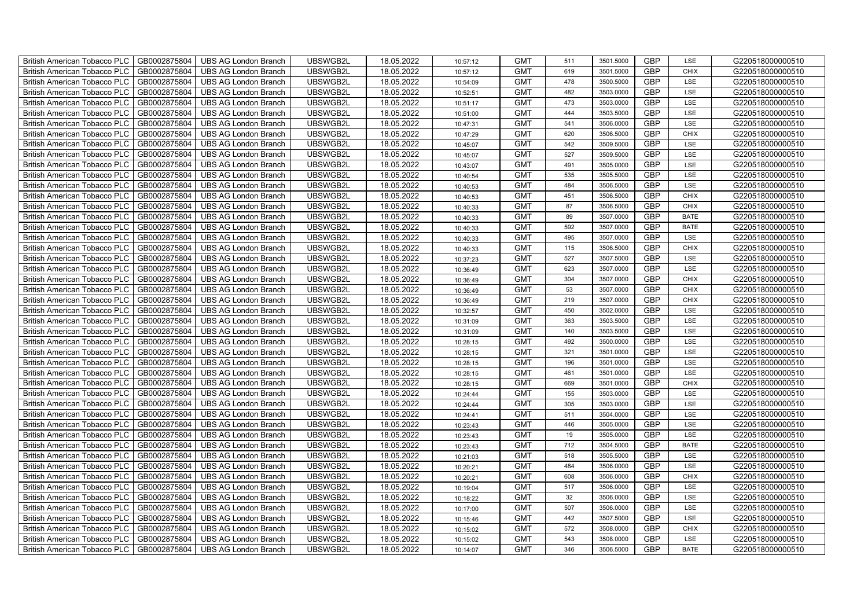| British American Tobacco PLC        | GB0002875804 | <b>UBS AG London Branch</b> | UBSWGB2L | 18.05.2022 | 10:57:12 | <b>GMT</b> | 511 | 3501.5000 | <b>GBP</b> | LSE         | G220518000000510 |
|-------------------------------------|--------------|-----------------------------|----------|------------|----------|------------|-----|-----------|------------|-------------|------------------|
| <b>British American Tobacco PLC</b> | GB0002875804 | <b>UBS AG London Branch</b> | UBSWGB2L | 18.05.2022 | 10:57:12 | <b>GMT</b> | 619 | 3501.5000 | <b>GBP</b> | <b>CHIX</b> | G220518000000510 |
| <b>British American Tobacco PLC</b> | GB0002875804 | <b>UBS AG London Branch</b> | UBSWGB2L | 18.05.2022 | 10:54:09 | <b>GMT</b> | 478 | 3500.5000 | <b>GBP</b> | LSE         | G220518000000510 |
| British American Tobacco PLC        | GB0002875804 | <b>UBS AG London Branch</b> | UBSWGB2L | 18.05.2022 | 10:52:51 | <b>GMT</b> | 482 | 3503.0000 | <b>GBP</b> | LSE         | G220518000000510 |
| <b>British American Tobacco PLC</b> | GB0002875804 | <b>UBS AG London Branch</b> | UBSWGB2L | 18.05.2022 | 10:51:17 | <b>GMT</b> | 473 | 3503.0000 | <b>GBP</b> | LSE         | G220518000000510 |
| British American Tobacco PLC        | GB0002875804 | <b>UBS AG London Branch</b> | UBSWGB2L | 18.05.2022 | 10:51:00 | <b>GMT</b> | 444 | 3503.5000 | <b>GBP</b> | LSE         | G220518000000510 |
| <b>British American Tobacco PLC</b> | GB0002875804 | <b>UBS AG London Branch</b> | UBSWGB2L | 18.05.2022 | 10:47:31 | <b>GMT</b> | 541 | 3506.0000 | <b>GBP</b> | LSE         | G220518000000510 |
| British American Tobacco PLC        | GB0002875804 | <b>UBS AG London Branch</b> | UBSWGB2L | 18.05.2022 | 10:47:29 | <b>GMT</b> | 620 | 3506.5000 | <b>GBP</b> | <b>CHIX</b> | G220518000000510 |
| <b>British American Tobacco PLC</b> | GB0002875804 | <b>UBS AG London Branch</b> | UBSWGB2L | 18.05.2022 | 10:45:07 | <b>GMT</b> | 542 | 3509.5000 | <b>GBP</b> | LSE         | G220518000000510 |
| British American Tobacco PLC        | GB0002875804 | <b>UBS AG London Branch</b> | UBSWGB2L | 18.05.2022 | 10:45:07 | <b>GMT</b> | 527 | 3509.5000 | <b>GBP</b> | LSE         | G220518000000510 |
| <b>British American Tobacco PLC</b> | GB0002875804 | <b>UBS AG London Branch</b> | UBSWGB2L | 18.05.2022 | 10:43:07 | <b>GMT</b> | 491 | 3505.0000 | <b>GBP</b> | LSE         | G220518000000510 |
| <b>British American Tobacco PLC</b> | GB0002875804 | <b>UBS AG London Branch</b> | UBSWGB2L | 18.05.2022 | 10:40:54 | <b>GMT</b> | 535 | 3505.5000 | <b>GBP</b> | LSE         | G220518000000510 |
| British American Tobacco PLC        | GB0002875804 | <b>UBS AG London Branch</b> | UBSWGB2L | 18.05.2022 | 10:40:53 | <b>GMT</b> | 484 | 3506.5000 | <b>GBP</b> | LSE         | G220518000000510 |
| British American Tobacco PLC        | GB0002875804 | <b>UBS AG London Branch</b> | UBSWGB2L | 18.05.2022 | 10:40:53 | <b>GMT</b> | 451 | 3506.5000 | <b>GBP</b> | <b>CHIX</b> | G220518000000510 |
| British American Tobacco PLC        | GB0002875804 | <b>UBS AG London Branch</b> | UBSWGB2L | 18.05.2022 | 10:40:33 | <b>GMT</b> | 87  | 3506.5000 | <b>GBP</b> | <b>CHIX</b> | G220518000000510 |
| British American Tobacco PLC        | GB0002875804 | <b>UBS AG London Branch</b> | UBSWGB2L | 18.05.2022 | 10:40:33 | <b>GMT</b> | 89  | 3507.0000 | <b>GBP</b> | <b>BATE</b> | G220518000000510 |
| British American Tobacco PLC        | GB0002875804 | <b>UBS AG London Branch</b> | UBSWGB2L | 18.05.2022 | 10:40:33 | <b>GMT</b> | 592 | 3507.0000 | <b>GBP</b> | <b>BATE</b> | G220518000000510 |
| British American Tobacco PLC        | GB0002875804 | <b>UBS AG London Branch</b> | UBSWGB2L | 18.05.2022 | 10:40:33 | <b>GMT</b> | 495 | 3507.0000 | <b>GBP</b> | LSE         | G220518000000510 |
| British American Tobacco PLC        | GB0002875804 | <b>UBS AG London Branch</b> | UBSWGB2L | 18.05.2022 | 10:40:33 | <b>GMT</b> | 115 | 3506.5000 | <b>GBP</b> | <b>CHIX</b> | G220518000000510 |
| <b>British American Tobacco PLC</b> | GB0002875804 | <b>UBS AG London Branch</b> | UBSWGB2L | 18.05.2022 | 10:37:23 | <b>GMT</b> | 527 | 3507.5000 | <b>GBP</b> | LSE         | G220518000000510 |
| <b>British American Tobacco PLC</b> | GB0002875804 | <b>UBS AG London Branch</b> | UBSWGB2L | 18.05.2022 | 10:36:49 | <b>GMT</b> | 623 | 3507.0000 | <b>GBP</b> | <b>LSE</b>  | G220518000000510 |
| British American Tobacco PLC        | GB0002875804 | <b>UBS AG London Branch</b> | UBSWGB2L | 18.05.2022 | 10:36:49 | <b>GMT</b> | 304 | 3507.0000 | <b>GBP</b> | CHIX        | G220518000000510 |
| British American Tobacco PLC        | GB0002875804 | <b>UBS AG London Branch</b> | UBSWGB2L | 18.05.2022 | 10:36:49 | <b>GMT</b> | 53  | 3507.0000 | <b>GBP</b> | <b>CHIX</b> | G220518000000510 |
| British American Tobacco PLC        | GB0002875804 | <b>UBS AG London Branch</b> | UBSWGB2L | 18.05.2022 | 10:36:49 | <b>GMT</b> | 219 | 3507.0000 | <b>GBP</b> | CHIX        | G220518000000510 |
| British American Tobacco PLC        | GB0002875804 | <b>UBS AG London Branch</b> | UBSWGB2L | 18.05.2022 | 10:32:57 | <b>GMT</b> | 450 | 3502.0000 | <b>GBP</b> | LSE         | G220518000000510 |
| British American Tobacco PLC        | GB0002875804 | <b>UBS AG London Branch</b> | UBSWGB2L | 18.05.2022 | 10:31:09 | <b>GMT</b> | 363 | 3503.5000 | <b>GBP</b> | LSE         | G220518000000510 |
| British American Tobacco PLC        | GB0002875804 | <b>UBS AG London Branch</b> | UBSWGB2L | 18.05.2022 | 10:31:09 | <b>GMT</b> | 140 | 3503.5000 | <b>GBP</b> | LSE         | G220518000000510 |
| British American Tobacco PLC        | GB0002875804 | <b>UBS AG London Branch</b> | UBSWGB2L | 18.05.2022 | 10:28:15 | <b>GMT</b> | 492 | 3500.0000 | <b>GBP</b> | LSE         | G220518000000510 |
| <b>British American Tobacco PLC</b> | GB0002875804 | <b>UBS AG London Branch</b> | UBSWGB2L | 18.05.2022 | 10:28:15 | <b>GMT</b> | 321 | 3501.0000 | <b>GBP</b> | LSE         | G220518000000510 |
| <b>British American Tobacco PLC</b> | GB0002875804 | <b>UBS AG London Branch</b> | UBSWGB2L | 18.05.2022 | 10:28:15 | <b>GMT</b> | 196 | 3501.0000 | <b>GBP</b> | LSE         | G220518000000510 |
| British American Tobacco PLC        | GB0002875804 | <b>UBS AG London Branch</b> | UBSWGB2L | 18.05.2022 | 10:28:15 | <b>GMT</b> | 461 | 3501.0000 | <b>GBP</b> | LSE         | G220518000000510 |
| British American Tobacco PLC        | GB0002875804 | <b>UBS AG London Branch</b> | UBSWGB2L | 18.05.2022 | 10:28:15 | <b>GMT</b> | 669 | 3501.0000 | <b>GBP</b> | CHIX        | G220518000000510 |
| British American Tobacco PLC        | GB0002875804 | <b>UBS AG London Branch</b> | UBSWGB2L | 18.05.2022 | 10:24:44 | <b>GMT</b> | 155 | 3503.0000 | <b>GBP</b> | LSE         | G220518000000510 |
| British American Tobacco PLC        | GB0002875804 | UBS AG London Branch        | UBSWGB2L | 18.05.2022 | 10:24:44 | <b>GMT</b> | 305 | 3503.0000 | <b>GBP</b> | LSE         | G220518000000510 |
| British American Tobacco PLC        | GB0002875804 | <b>UBS AG London Branch</b> | UBSWGB2L | 18.05.2022 | 10:24:41 | <b>GMT</b> | 511 | 3504.0000 | <b>GBP</b> | LSE         | G220518000000510 |
| British American Tobacco PLC        | GB0002875804 | <b>UBS AG London Branch</b> | UBSWGB2L | 18.05.2022 | 10:23:43 | <b>GMT</b> | 446 | 3505.0000 | <b>GBP</b> | LSE         | G220518000000510 |
| British American Tobacco PLC        | GB0002875804 | <b>UBS AG London Branch</b> | UBSWGB2L | 18.05.2022 | 10:23:43 | <b>GMT</b> | 19  | 3505.0000 | <b>GBP</b> | LSE         | G220518000000510 |
| <b>British American Tobacco PLC</b> | GB0002875804 | <b>UBS AG London Branch</b> | UBSWGB2L | 18.05.2022 | 10:23:43 | <b>GMT</b> | 712 | 3504.5000 | <b>GBP</b> | <b>BATE</b> | G220518000000510 |
| British American Tobacco PLC        | GB0002875804 | <b>UBS AG London Branch</b> | UBSWGB2L | 18.05.2022 | 10:21:03 | <b>GMT</b> | 518 | 3505.5000 | <b>GBP</b> | LSE         | G220518000000510 |
| <b>British American Tobacco PLC</b> | GB0002875804 | UBS AG London Branch        | UBSWGB2L | 18.05.2022 | 10:20:21 | <b>GMT</b> | 484 | 3506.0000 | <b>GBP</b> | LSE         | G220518000000510 |
| British American Tobacco PLC        | GB0002875804 | UBS AG London Branch        | UBSWGB2L | 18.05.2022 | 10:20:21 | <b>GMT</b> | 608 | 3506.0000 | <b>GBP</b> | <b>CHIX</b> | G220518000000510 |
| British American Tobacco PLC        | GB0002875804 | <b>UBS AG London Branch</b> | UBSWGB2L | 18.05.2022 | 10:19:04 | <b>GMT</b> | 517 | 3506.0000 | <b>GBP</b> | LSE         | G220518000000510 |
| British American Tobacco PLC        | GB0002875804 | UBS AG London Branch        | UBSWGB2L | 18.05.2022 | 10:18:22 | <b>GMT</b> | 32  | 3506.0000 | <b>GBP</b> | LSE         | G220518000000510 |
| <b>British American Tobacco PLC</b> | GB0002875804 | <b>UBS AG London Branch</b> | UBSWGB2L | 18.05.2022 | 10:17:00 | <b>GMT</b> | 507 | 3506.0000 | <b>GBP</b> | LSE         | G220518000000510 |
| <b>British American Tobacco PLC</b> | GB0002875804 | <b>UBS AG London Branch</b> | UBSWGB2L | 18.05.2022 | 10:15:46 | <b>GMT</b> | 442 | 3507.5000 | <b>GBP</b> | LSE         | G220518000000510 |
| <b>British American Tobacco PLC</b> | GB0002875804 | <b>UBS AG London Branch</b> | UBSWGB2L | 18.05.2022 | 10:15:02 | <b>GMT</b> | 572 | 3508.0000 | <b>GBP</b> | <b>CHIX</b> | G220518000000510 |
| British American Tobacco PLC        | GB0002875804 | <b>UBS AG London Branch</b> | UBSWGB2L | 18.05.2022 | 10:15:02 | <b>GMT</b> | 543 | 3508.0000 | <b>GBP</b> | LSE         | G220518000000510 |
| British American Tobacco PLC        | GB0002875804 | UBS AG London Branch        | UBSWGB2L | 18.05.2022 | 10:14:07 | <b>GMT</b> | 346 | 3506.5000 | <b>GBP</b> | <b>BATE</b> | G220518000000510 |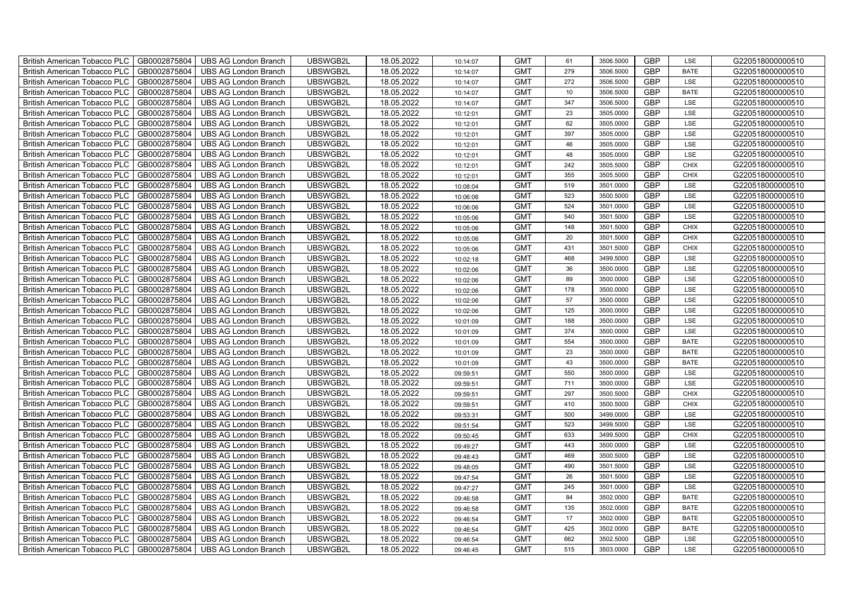| British American Tobacco PLC        | GB0002875804 | <b>UBS AG London Branch</b> | UBSWGB2L | 18.05.2022 | 10:14:07 | <b>GMT</b> | 61  | 3506.5000 | <b>GBP</b> | LSE         | G220518000000510 |
|-------------------------------------|--------------|-----------------------------|----------|------------|----------|------------|-----|-----------|------------|-------------|------------------|
| <b>British American Tobacco PLC</b> | GB0002875804 | <b>UBS AG London Branch</b> | UBSWGB2L | 18.05.2022 | 10:14:07 | <b>GMT</b> | 279 | 3506.5000 | <b>GBP</b> | <b>BATE</b> | G220518000000510 |
| <b>British American Tobacco PLC</b> | GB0002875804 | <b>UBS AG London Branch</b> | UBSWGB2L | 18.05.2022 | 10:14:07 | <b>GMT</b> | 272 | 3506.5000 | <b>GBP</b> | LSE         | G220518000000510 |
| British American Tobacco PLC        | GB0002875804 | <b>UBS AG London Branch</b> | UBSWGB2L | 18.05.2022 | 10:14:07 | <b>GMT</b> | 10  | 3506.5000 | <b>GBP</b> | <b>BATE</b> | G220518000000510 |
| <b>British American Tobacco PLC</b> | GB0002875804 | <b>UBS AG London Branch</b> | UBSWGB2L | 18.05.2022 | 10:14:07 | <b>GMT</b> | 347 | 3506.5000 | <b>GBP</b> | LSE         | G220518000000510 |
| British American Tobacco PLC        | GB0002875804 | <b>UBS AG London Branch</b> | UBSWGB2L | 18.05.2022 | 10:12:01 | <b>GMT</b> | 23  | 3505.0000 | <b>GBP</b> | LSE         | G220518000000510 |
| <b>British American Tobacco PLC</b> | GB0002875804 | <b>UBS AG London Branch</b> | UBSWGB2L | 18.05.2022 | 10:12:01 | <b>GMT</b> | 62  | 3505.0000 | <b>GBP</b> | LSE         | G220518000000510 |
| British American Tobacco PLC        | GB0002875804 | <b>UBS AG London Branch</b> | UBSWGB2L | 18.05.2022 | 10:12:01 | <b>GMT</b> | 397 | 3505.0000 | <b>GBP</b> | LSE         | G220518000000510 |
| <b>British American Tobacco PLC</b> | GB0002875804 | <b>UBS AG London Branch</b> | UBSWGB2L | 18.05.2022 | 10:12:01 | <b>GMT</b> | 46  | 3505.0000 | <b>GBP</b> | LSE         | G220518000000510 |
| British American Tobacco PLC        | GB0002875804 | <b>UBS AG London Branch</b> | UBSWGB2L | 18.05.2022 | 10:12:01 | <b>GMT</b> | 48  | 3505.0000 | <b>GBP</b> | LSE         | G220518000000510 |
| <b>British American Tobacco PLC</b> | GB0002875804 | <b>UBS AG London Branch</b> | UBSWGB2L | 18.05.2022 | 10:12:01 | <b>GMT</b> | 242 | 3505.5000 | <b>GBP</b> | <b>CHIX</b> | G220518000000510 |
| <b>British American Tobacco PLC</b> | GB0002875804 | <b>UBS AG London Branch</b> | UBSWGB2L | 18.05.2022 | 10:12:01 | <b>GMT</b> | 355 | 3505.5000 | <b>GBP</b> | <b>CHIX</b> | G220518000000510 |
| British American Tobacco PLC        | GB0002875804 | <b>UBS AG London Branch</b> | UBSWGB2L | 18.05.2022 | 10:08:04 | <b>GMT</b> | 519 | 3501.0000 | <b>GBP</b> | LSE         | G220518000000510 |
| British American Tobacco PLC        | GB0002875804 | <b>UBS AG London Branch</b> | UBSWGB2L | 18.05.2022 | 10:06:06 | <b>GMT</b> | 523 | 3500.5000 | <b>GBP</b> | LSE         | G220518000000510 |
| British American Tobacco PLC        | GB0002875804 | <b>UBS AG London Branch</b> | UBSWGB2L | 18.05.2022 | 10:06:06 | <b>GMT</b> | 524 | 3501.0000 | <b>GBP</b> | LSE         | G220518000000510 |
| British American Tobacco PLC        | GB0002875804 | <b>UBS AG London Branch</b> | UBSWGB2L | 18.05.2022 | 10:05:06 | <b>GMT</b> | 540 | 3501.5000 | <b>GBP</b> | LSE         | G220518000000510 |
| British American Tobacco PLC        | GB0002875804 | <b>UBS AG London Branch</b> | UBSWGB2L | 18.05.2022 | 10:05:06 | <b>GMT</b> | 148 | 3501.5000 | <b>GBP</b> | <b>CHIX</b> | G220518000000510 |
| British American Tobacco PLC        | GB0002875804 | <b>UBS AG London Branch</b> | UBSWGB2L | 18.05.2022 | 10:05:06 | <b>GMT</b> | 20  | 3501.5000 | <b>GBP</b> | <b>CHIX</b> | G220518000000510 |
| British American Tobacco PLC        | GB0002875804 | <b>UBS AG London Branch</b> | UBSWGB2L | 18.05.2022 | 10:05:06 | <b>GMT</b> | 431 | 3501.5000 | <b>GBP</b> | <b>CHIX</b> | G220518000000510 |
| <b>British American Tobacco PLC</b> | GB0002875804 | <b>UBS AG London Branch</b> | UBSWGB2L | 18.05.2022 | 10:02:18 | <b>GMT</b> | 468 | 3499.5000 | <b>GBP</b> | LSE         | G220518000000510 |
| <b>British American Tobacco PLC</b> | GB0002875804 | <b>UBS AG London Branch</b> | UBSWGB2L | 18.05.2022 | 10:02:06 | <b>GMT</b> | 36  | 3500.0000 | <b>GBP</b> | <b>LSE</b>  | G220518000000510 |
| British American Tobacco PLC        | GB0002875804 | <b>UBS AG London Branch</b> | UBSWGB2L | 18.05.2022 | 10:02:06 | <b>GMT</b> | 89  | 3500.0000 | <b>GBP</b> | LSE         | G220518000000510 |
| British American Tobacco PLC        | GB0002875804 | <b>UBS AG London Branch</b> | UBSWGB2L | 18.05.2022 | 10:02:06 | <b>GMT</b> | 178 | 3500.0000 | <b>GBP</b> | LSE         | G220518000000510 |
| British American Tobacco PLC        | GB0002875804 | <b>UBS AG London Branch</b> | UBSWGB2L | 18.05.2022 | 10:02:06 | <b>GMT</b> | 57  | 3500.0000 | <b>GBP</b> | LSE         | G220518000000510 |
| British American Tobacco PLC        | GB0002875804 | <b>UBS AG London Branch</b> | UBSWGB2L | 18.05.2022 | 10:02:06 | <b>GMT</b> | 125 | 3500.0000 | <b>GBP</b> | LSE         | G220518000000510 |
| British American Tobacco PLC        | GB0002875804 | <b>UBS AG London Branch</b> | UBSWGB2L | 18.05.2022 | 10:01:09 | <b>GMT</b> | 188 | 3500.0000 | <b>GBP</b> | LSE         | G220518000000510 |
| British American Tobacco PLC        | GB0002875804 | <b>UBS AG London Branch</b> | UBSWGB2L | 18.05.2022 | 10:01:09 | <b>GMT</b> | 374 | 3500.0000 | <b>GBP</b> | LSE         | G220518000000510 |
| British American Tobacco PLC        | GB0002875804 | <b>UBS AG London Branch</b> | UBSWGB2L | 18.05.2022 | 10:01:09 | <b>GMT</b> | 554 | 3500.0000 | <b>GBP</b> | <b>BATE</b> | G220518000000510 |
| <b>British American Tobacco PLC</b> | GB0002875804 | <b>UBS AG London Branch</b> | UBSWGB2L | 18.05.2022 | 10:01:09 | <b>GMT</b> | 23  | 3500.0000 | <b>GBP</b> | <b>BATE</b> | G220518000000510 |
| <b>British American Tobacco PLC</b> | GB0002875804 | <b>UBS AG London Branch</b> | UBSWGB2L | 18.05.2022 | 10:01:09 | <b>GMT</b> | 43  | 3500.0000 | <b>GBP</b> | <b>BATE</b> | G220518000000510 |
| British American Tobacco PLC        | GB0002875804 | <b>UBS AG London Branch</b> | UBSWGB2L | 18.05.2022 | 09:59:51 | <b>GMT</b> | 550 | 3500.0000 | <b>GBP</b> | LSE         | G220518000000510 |
| British American Tobacco PLC        | GB0002875804 | <b>UBS AG London Branch</b> | UBSWGB2L | 18.05.2022 | 09:59:51 | <b>GMT</b> | 711 | 3500.0000 | <b>GBP</b> | LSE         | G220518000000510 |
| British American Tobacco PLC        | GB0002875804 | <b>UBS AG London Branch</b> | UBSWGB2L | 18.05.2022 | 09:59:51 | <b>GMT</b> | 297 | 3500.5000 | <b>GBP</b> | CHIX        | G220518000000510 |
| British American Tobacco PLC        | GB0002875804 | <b>UBS AG London Branch</b> | UBSWGB2L | 18.05.2022 | 09:59:51 | <b>GMT</b> | 410 | 3500.5000 | <b>GBP</b> | CHIX        | G220518000000510 |
| British American Tobacco PLC        | GB0002875804 | <b>UBS AG London Branch</b> | UBSWGB2L | 18.05.2022 | 09:53:31 | <b>GMT</b> | 500 | 3499.0000 | <b>GBP</b> | LSE         | G220518000000510 |
| British American Tobacco PLC        | GB0002875804 | <b>UBS AG London Branch</b> | UBSWGB2L | 18.05.2022 | 09:51:54 | <b>GMT</b> | 523 | 3499.5000 | <b>GBP</b> | LSE         | G220518000000510 |
| British American Tobacco PLC        | GB0002875804 | <b>UBS AG London Branch</b> | UBSWGB2L | 18.05.2022 | 09:50:45 | <b>GMT</b> | 633 | 3499.5000 | <b>GBP</b> | <b>CHIX</b> | G220518000000510 |
| <b>British American Tobacco PLC</b> | GB0002875804 | <b>UBS AG London Branch</b> | UBSWGB2L | 18.05.2022 | 09:49:27 | <b>GMT</b> | 443 | 3500.0000 | <b>GBP</b> | LSE         | G220518000000510 |
| British American Tobacco PLC        | GB0002875804 | <b>UBS AG London Branch</b> | UBSWGB2L | 18.05.2022 | 09:48:43 | <b>GMT</b> | 469 | 3500.5000 | <b>GBP</b> | LSE         | G220518000000510 |
| <b>British American Tobacco PLC</b> | GB0002875804 | <b>UBS AG London Branch</b> | UBSWGB2L | 18.05.2022 | 09:48:05 | <b>GMT</b> | 490 | 3501.5000 | <b>GBP</b> | LSE         | G220518000000510 |
| British American Tobacco PLC        | GB0002875804 | UBS AG London Branch        | UBSWGB2L | 18.05.2022 | 09:47:54 | <b>GMT</b> | 26  | 3501.5000 | <b>GBP</b> | LSE         | G220518000000510 |
| British American Tobacco PLC        | GB0002875804 | <b>UBS AG London Branch</b> | UBSWGB2L | 18.05.2022 | 09:47:27 | <b>GMT</b> | 245 | 3501.0000 | <b>GBP</b> | LSE         | G220518000000510 |
| British American Tobacco PLC        | GB0002875804 | <b>UBS AG London Branch</b> | UBSWGB2L | 18.05.2022 | 09:46:58 | <b>GMT</b> | 84  | 3502.0000 | <b>GBP</b> | <b>BATE</b> | G220518000000510 |
| <b>British American Tobacco PLC</b> | GB0002875804 | <b>UBS AG London Branch</b> | UBSWGB2L | 18.05.2022 | 09:46:58 | <b>GMT</b> | 135 | 3502.0000 | <b>GBP</b> | <b>BATE</b> | G220518000000510 |
| <b>British American Tobacco PLC</b> | GB0002875804 | <b>UBS AG London Branch</b> | UBSWGB2L | 18.05.2022 | 09:46:54 | <b>GMT</b> | 17  | 3502.0000 | <b>GBP</b> | <b>BATE</b> | G220518000000510 |
| <b>British American Tobacco PLC</b> | GB0002875804 | <b>UBS AG London Branch</b> | UBSWGB2L | 18.05.2022 | 09:46:54 | <b>GMT</b> | 425 | 3502.0000 | <b>GBP</b> | <b>BATE</b> | G220518000000510 |
| <b>British American Tobacco PLC</b> | GB0002875804 | <b>UBS AG London Branch</b> | UBSWGB2L | 18.05.2022 | 09:46:54 | <b>GMT</b> | 662 | 3502.5000 | <b>GBP</b> | LSE         | G220518000000510 |
| British American Tobacco PLC        | GB0002875804 | UBS AG London Branch        | UBSWGB2L | 18.05.2022 | 09:46:45 | <b>GMT</b> | 515 | 3503.0000 | <b>GBP</b> | LSE         | G220518000000510 |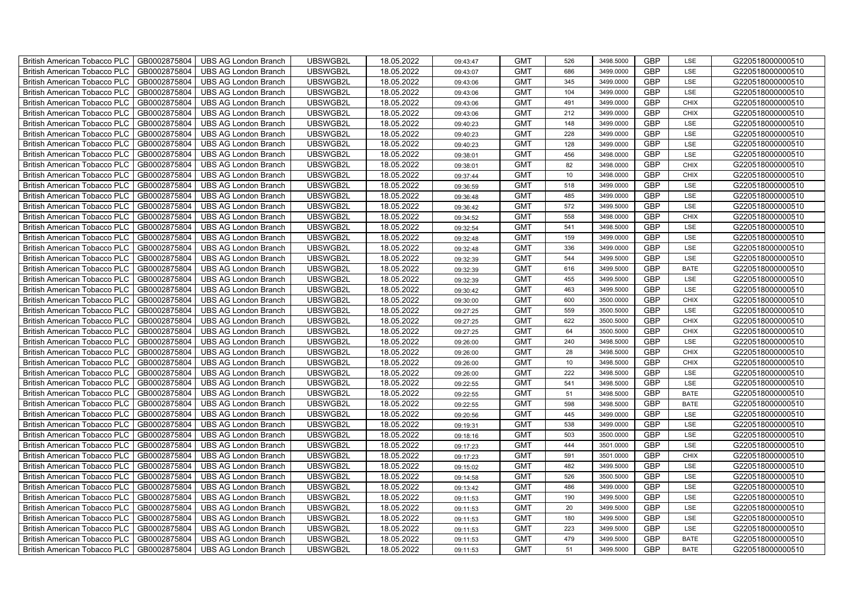| British American Tobacco PLC        | GB0002875804 | <b>UBS AG London Branch</b> | UBSWGB2L | 18.05.2022 | 09:43:47 | <b>GMT</b> | 526 | 3498.5000 | <b>GBP</b> | LSE         | G220518000000510 |
|-------------------------------------|--------------|-----------------------------|----------|------------|----------|------------|-----|-----------|------------|-------------|------------------|
| <b>British American Tobacco PLC</b> | GB0002875804 | <b>UBS AG London Branch</b> | UBSWGB2L | 18.05.2022 | 09:43:07 | <b>GMT</b> | 686 | 3499.0000 | <b>GBP</b> | <b>LSE</b>  | G220518000000510 |
| <b>British American Tobacco PLC</b> | GB0002875804 | <b>UBS AG London Branch</b> | UBSWGB2L | 18.05.2022 | 09:43:06 | <b>GMT</b> | 345 | 3499.0000 | <b>GBP</b> | LSE         | G220518000000510 |
| British American Tobacco PLC        | GB0002875804 | <b>UBS AG London Branch</b> | UBSWGB2L | 18.05.2022 | 09:43:06 | <b>GMT</b> | 104 | 3499.0000 | <b>GBP</b> | LSE         | G220518000000510 |
| <b>British American Tobacco PLC</b> | GB0002875804 | UBS AG London Branch        | UBSWGB2L | 18.05.2022 | 09:43:06 | <b>GMT</b> | 491 | 3499.0000 | <b>GBP</b> | <b>CHIX</b> | G220518000000510 |
| British American Tobacco PLC        | GB0002875804 | <b>UBS AG London Branch</b> | UBSWGB2L | 18.05.2022 | 09:43:06 | <b>GMT</b> | 212 | 3499.0000 | <b>GBP</b> | <b>CHIX</b> | G220518000000510 |
| <b>British American Tobacco PLC</b> | GB0002875804 | <b>UBS AG London Branch</b> | UBSWGB2L | 18.05.2022 | 09:40:23 | <b>GMT</b> | 148 | 3499.0000 | <b>GBP</b> | LSE         | G220518000000510 |
| British American Tobacco PLC        | GB0002875804 | <b>UBS AG London Branch</b> | UBSWGB2L | 18.05.2022 | 09:40:23 | <b>GMT</b> | 228 | 3499.0000 | <b>GBP</b> | LSE         | G220518000000510 |
| <b>British American Tobacco PLC</b> | GB0002875804 | <b>UBS AG London Branch</b> | UBSWGB2L | 18.05.2022 | 09:40:23 | <b>GMT</b> | 128 | 3499.0000 | <b>GBP</b> | LSE         | G220518000000510 |
| British American Tobacco PLC        | GB0002875804 | <b>UBS AG London Branch</b> | UBSWGB2L | 18.05.2022 | 09:38:01 | <b>GMT</b> | 456 | 3498.0000 | <b>GBP</b> | LSE         | G220518000000510 |
| <b>British American Tobacco PLC</b> | GB0002875804 | <b>UBS AG London Branch</b> | UBSWGB2L | 18.05.2022 | 09:38:01 | <b>GMT</b> | 82  | 3498.0000 | <b>GBP</b> | <b>CHIX</b> | G220518000000510 |
| <b>British American Tobacco PLC</b> | GB0002875804 | <b>UBS AG London Branch</b> | UBSWGB2L | 18.05.2022 | 09:37:44 | <b>GMT</b> | 10  | 3498.0000 | <b>GBP</b> | <b>CHIX</b> | G220518000000510 |
| British American Tobacco PLC        | GB0002875804 | <b>UBS AG London Branch</b> | UBSWGB2L | 18.05.2022 | 09:36:59 | <b>GMT</b> | 518 | 3499.0000 | <b>GBP</b> | LSE         | G220518000000510 |
| British American Tobacco PLC        | GB0002875804 | <b>UBS AG London Branch</b> | UBSWGB2L | 18.05.2022 | 09:36:48 | <b>GMT</b> | 485 | 3499.0000 | <b>GBP</b> | LSE         | G220518000000510 |
| British American Tobacco PLC        | GB0002875804 | <b>UBS AG London Branch</b> | UBSWGB2L | 18.05.2022 | 09:36:42 | <b>GMT</b> | 572 | 3499.5000 | <b>GBP</b> | LSE         | G220518000000510 |
| British American Tobacco PLC        | GB0002875804 | <b>UBS AG London Branch</b> | UBSWGB2L | 18.05.2022 | 09:34:52 | <b>GMT</b> | 558 | 3498.0000 | <b>GBP</b> | <b>CHIX</b> | G220518000000510 |
| British American Tobacco PLC        | GB0002875804 | <b>UBS AG London Branch</b> | UBSWGB2L | 18.05.2022 | 09:32:54 | <b>GMT</b> | 541 | 3498.5000 | <b>GBP</b> | LSE         | G220518000000510 |
| British American Tobacco PLC        | GB0002875804 | <b>UBS AG London Branch</b> | UBSWGB2L | 18.05.2022 | 09:32:48 | <b>GMT</b> | 159 | 3499.0000 | <b>GBP</b> | LSE         | G220518000000510 |
| British American Tobacco PLC        | GB0002875804 | <b>UBS AG London Branch</b> | UBSWGB2L | 18.05.2022 | 09:32:48 | <b>GMT</b> | 336 | 3499.0000 | <b>GBP</b> | LSE         | G220518000000510 |
| <b>British American Tobacco PLC</b> | GB0002875804 | <b>UBS AG London Branch</b> | UBSWGB2L | 18.05.2022 | 09:32:39 | <b>GMT</b> | 544 | 3499.5000 | <b>GBP</b> | LSE         | G220518000000510 |
| <b>British American Tobacco PLC</b> | GB0002875804 | <b>UBS AG London Branch</b> | UBSWGB2L | 18.05.2022 | 09:32:39 | <b>GMT</b> | 616 | 3499.5000 | <b>GBP</b> | <b>BATE</b> | G220518000000510 |
| British American Tobacco PLC        | GB0002875804 | <b>UBS AG London Branch</b> | UBSWGB2L | 18.05.2022 | 09:32:39 | <b>GMT</b> | 455 | 3499.5000 | <b>GBP</b> | LSE         | G220518000000510 |
| British American Tobacco PLC        | GB0002875804 | <b>UBS AG London Branch</b> | UBSWGB2L | 18.05.2022 | 09:30:42 | <b>GMT</b> | 463 | 3499.5000 | GBP        | LSE         | G220518000000510 |
| British American Tobacco PLC        | GB0002875804 | <b>UBS AG London Branch</b> | UBSWGB2L | 18.05.2022 | 09:30:00 | <b>GMT</b> | 600 | 3500.0000 | <b>GBP</b> | CHIX        | G220518000000510 |
| British American Tobacco PLC        | GB0002875804 | <b>UBS AG London Branch</b> | UBSWGB2L | 18.05.2022 | 09:27:25 | <b>GMT</b> | 559 | 3500.5000 | <b>GBP</b> | LSE         | G220518000000510 |
| British American Tobacco PLC        | GB0002875804 | <b>UBS AG London Branch</b> | UBSWGB2L | 18.05.2022 | 09:27:25 | <b>GMT</b> | 622 | 3500.5000 | <b>GBP</b> | <b>CHIX</b> | G220518000000510 |
| British American Tobacco PLC        | GB0002875804 | <b>UBS AG London Branch</b> | UBSWGB2L | 18.05.2022 | 09:27:25 | <b>GMT</b> | 64  | 3500.5000 | <b>GBP</b> | CHIX        | G220518000000510 |
| British American Tobacco PLC        | GB0002875804 | <b>UBS AG London Branch</b> | UBSWGB2L | 18.05.2022 | 09:26:00 | <b>GMT</b> | 240 | 3498.5000 | <b>GBP</b> | LSE         | G220518000000510 |
| <b>British American Tobacco PLC</b> | GB0002875804 | <b>UBS AG London Branch</b> | UBSWGB2L | 18.05.2022 | 09:26:00 | <b>GMT</b> | 28  | 3498.5000 | <b>GBP</b> | CHIX        | G220518000000510 |
| <b>British American Tobacco PLC</b> | GB0002875804 | <b>UBS AG London Branch</b> | UBSWGB2L | 18.05.2022 | 09:26:00 | <b>GMT</b> | 10  | 3498.5000 | <b>GBP</b> | <b>CHIX</b> | G220518000000510 |
| British American Tobacco PLC        | GB0002875804 | <b>UBS AG London Branch</b> | UBSWGB2L | 18.05.2022 | 09:26:00 | <b>GMT</b> | 222 | 3498.5000 | <b>GBP</b> | LSE         | G220518000000510 |
| British American Tobacco PLC        | GB0002875804 | <b>UBS AG London Branch</b> | UBSWGB2L | 18.05.2022 | 09:22:55 | <b>GMT</b> | 541 | 3498.5000 | <b>GBP</b> | LSE         | G220518000000510 |
| British American Tobacco PLC        | GB0002875804 | <b>UBS AG London Branch</b> | UBSWGB2L | 18.05.2022 | 09:22:55 | <b>GMT</b> | 51  | 3498.5000 | <b>GBP</b> | <b>BATE</b> | G220518000000510 |
| British American Tobacco PLC        | GB0002875804 | UBS AG London Branch        | UBSWGB2L | 18.05.2022 | 09:22:55 | <b>GMT</b> | 598 | 3498.5000 | <b>GBP</b> | <b>BATE</b> | G220518000000510 |
| British American Tobacco PLC        | GB0002875804 | <b>UBS AG London Branch</b> | UBSWGB2L | 18.05.2022 | 09:20:56 | <b>GMT</b> | 445 | 3499.0000 | <b>GBP</b> | LSE         | G220518000000510 |
| British American Tobacco PLC        | GB0002875804 | <b>UBS AG London Branch</b> | UBSWGB2L | 18.05.2022 | 09:19:31 | <b>GMT</b> | 538 | 3499.0000 | <b>GBP</b> | LSE         | G220518000000510 |
| British American Tobacco PLC        | GB0002875804 | <b>UBS AG London Branch</b> | UBSWGB2L | 18.05.2022 | 09:18:16 | <b>GMT</b> | 503 | 3500.0000 | <b>GBP</b> | LSE         | G220518000000510 |
| <b>British American Tobacco PLC</b> | GB0002875804 | <b>UBS AG London Branch</b> | UBSWGB2L | 18.05.2022 | 09:17:23 | <b>GMT</b> | 444 | 3501.0000 | <b>GBP</b> | LSE         | G220518000000510 |
| British American Tobacco PLC        | GB0002875804 | <b>UBS AG London Branch</b> | UBSWGB2L | 18.05.2022 | 09:17:23 | <b>GMT</b> | 591 | 3501.0000 | <b>GBP</b> | <b>CHIX</b> | G220518000000510 |
| <b>British American Tobacco PLC</b> | GB0002875804 | UBS AG London Branch        | UBSWGB2L | 18.05.2022 | 09:15:02 | <b>GMT</b> | 482 | 3499.5000 | <b>GBP</b> | LSE         | G220518000000510 |
| British American Tobacco PLC        | GB0002875804 | UBS AG London Branch        | UBSWGB2L | 18.05.2022 | 09:14:58 | <b>GMT</b> | 526 | 3500.5000 | <b>GBP</b> | LSE         | G220518000000510 |
| British American Tobacco PLC        | GB0002875804 | <b>UBS AG London Branch</b> | UBSWGB2L | 18.05.2022 | 09:13:42 | <b>GMT</b> | 486 | 3499.0000 | <b>GBP</b> | LSE         | G220518000000510 |
| British American Tobacco PLC        | GB0002875804 | UBS AG London Branch        | UBSWGB2L | 18.05.2022 | 09:11:53 | <b>GMT</b> | 190 | 3499.5000 | <b>GBP</b> | LSE         | G220518000000510 |
| <b>British American Tobacco PLC</b> | GB0002875804 | <b>UBS AG London Branch</b> | UBSWGB2L | 18.05.2022 | 09:11:53 | <b>GMT</b> | 20  | 3499.5000 | <b>GBP</b> | LSE         | G220518000000510 |
| <b>British American Tobacco PLC</b> | GB0002875804 | <b>UBS AG London Branch</b> | UBSWGB2L | 18.05.2022 | 09:11:53 | <b>GMT</b> | 180 | 3499.5000 | <b>GBP</b> | LSE         | G220518000000510 |
| <b>British American Tobacco PLC</b> | GB0002875804 | <b>UBS AG London Branch</b> | UBSWGB2L | 18.05.2022 | 09:11:53 | <b>GMT</b> | 223 | 3499.5000 | <b>GBP</b> | LSE         | G220518000000510 |
| <b>British American Tobacco PLC</b> | GB0002875804 | <b>UBS AG London Branch</b> | UBSWGB2L | 18.05.2022 | 09:11:53 | <b>GMT</b> | 479 | 3499.5000 | <b>GBP</b> | <b>BATE</b> | G220518000000510 |
| British American Tobacco PLC        | GB0002875804 | UBS AG London Branch        | UBSWGB2L | 18.05.2022 | 09:11:53 | <b>GMT</b> | 51  | 3499.5000 | <b>GBP</b> | <b>BATE</b> | G220518000000510 |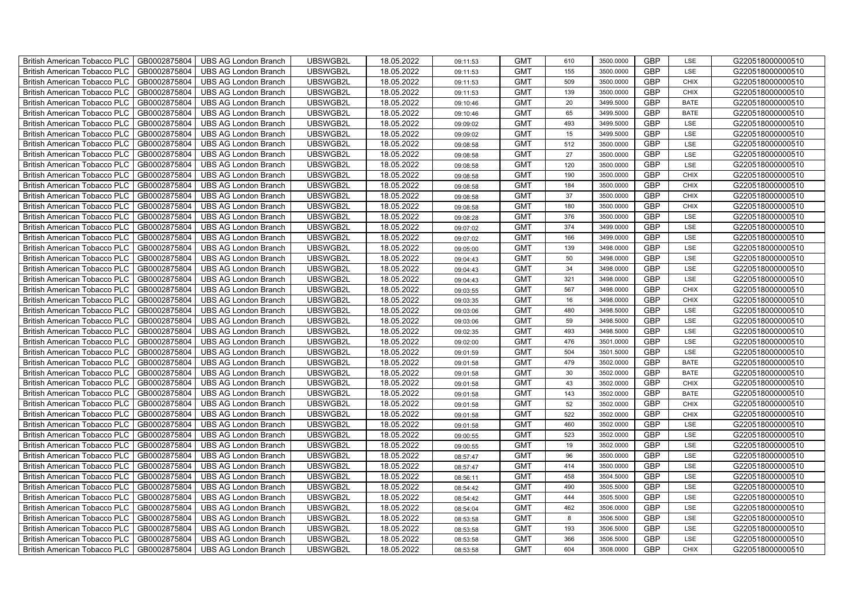| British American Tobacco PLC        | GB0002875804 | <b>UBS AG London Branch</b> | UBSWGB2L | 18.05.2022 | 09:11:53 | <b>GMT</b> | 610 | 3500.0000 | <b>GBP</b> | LSE         | G220518000000510 |
|-------------------------------------|--------------|-----------------------------|----------|------------|----------|------------|-----|-----------|------------|-------------|------------------|
| <b>British American Tobacco PLC</b> | GB0002875804 | <b>UBS AG London Branch</b> | UBSWGB2L | 18.05.2022 | 09:11:53 | <b>GMT</b> | 155 | 3500.0000 | <b>GBP</b> | <b>LSE</b>  | G220518000000510 |
| <b>British American Tobacco PLC</b> | GB0002875804 | <b>UBS AG London Branch</b> | UBSWGB2L | 18.05.2022 | 09:11:53 | <b>GMT</b> | 509 | 3500.0000 | <b>GBP</b> | <b>CHIX</b> | G220518000000510 |
| British American Tobacco PLC        | GB0002875804 | <b>UBS AG London Branch</b> | UBSWGB2L | 18.05.2022 | 09:11:53 | <b>GMT</b> | 139 | 3500.0000 | <b>GBP</b> | <b>CHIX</b> | G220518000000510 |
| <b>British American Tobacco PLC</b> | GB0002875804 | <b>UBS AG London Branch</b> | UBSWGB2L | 18.05.2022 | 09:10:46 | <b>GMT</b> | 20  | 3499.5000 | <b>GBP</b> | <b>BATE</b> | G220518000000510 |
| British American Tobacco PLC        | GB0002875804 | <b>UBS AG London Branch</b> | UBSWGB2L | 18.05.2022 | 09:10:46 | <b>GMT</b> | 65  | 3499.5000 | <b>GBP</b> | <b>BATE</b> | G220518000000510 |
| <b>British American Tobacco PLC</b> | GB0002875804 | <b>UBS AG London Branch</b> | UBSWGB2L | 18.05.2022 | 09:09:02 | <b>GMT</b> | 493 | 3499.5000 | <b>GBP</b> | LSE         | G220518000000510 |
| British American Tobacco PLC        | GB0002875804 | <b>UBS AG London Branch</b> | UBSWGB2L | 18.05.2022 | 09:09:02 | <b>GMT</b> | 15  | 3499.5000 | <b>GBP</b> | LSE         | G220518000000510 |
| <b>British American Tobacco PLC</b> | GB0002875804 | <b>UBS AG London Branch</b> | UBSWGB2L | 18.05.2022 | 09:08:58 | <b>GMT</b> | 512 | 3500.0000 | <b>GBP</b> | LSE         | G220518000000510 |
| British American Tobacco PLC        | GB0002875804 | <b>UBS AG London Branch</b> | UBSWGB2L | 18.05.2022 | 09:08:58 | <b>GMT</b> | 27  | 3500.0000 | <b>GBP</b> | LSE         | G220518000000510 |
| <b>British American Tobacco PLC</b> | GB0002875804 | <b>UBS AG London Branch</b> | UBSWGB2L | 18.05.2022 | 09:08:58 | <b>GMT</b> | 120 | 3500.0000 | <b>GBP</b> | LSE         | G220518000000510 |
| <b>British American Tobacco PLC</b> | GB0002875804 | <b>UBS AG London Branch</b> | UBSWGB2L | 18.05.2022 | 09:08:58 | <b>GMT</b> | 190 | 3500.0000 | <b>GBP</b> | <b>CHIX</b> | G220518000000510 |
| British American Tobacco PLC        | GB0002875804 | <b>UBS AG London Branch</b> | UBSWGB2L | 18.05.2022 | 09:08:58 | <b>GMT</b> | 184 | 3500.0000 | <b>GBP</b> | <b>CHIX</b> | G220518000000510 |
| British American Tobacco PLC        | GB0002875804 | <b>UBS AG London Branch</b> | UBSWGB2L | 18.05.2022 | 09:08:58 | <b>GMT</b> | 37  | 3500.0000 | <b>GBP</b> | <b>CHIX</b> | G220518000000510 |
| British American Tobacco PLC        | GB0002875804 | <b>UBS AG London Branch</b> | UBSWGB2L | 18.05.2022 | 09:08:58 | <b>GMT</b> | 180 | 3500.0000 | <b>GBP</b> | <b>CHIX</b> | G220518000000510 |
| British American Tobacco PLC        | GB0002875804 | <b>UBS AG London Branch</b> | UBSWGB2L | 18.05.2022 | 09:08:28 | <b>GMT</b> | 376 | 3500.0000 | <b>GBP</b> | LSE         | G220518000000510 |
| British American Tobacco PLC        | GB0002875804 | <b>UBS AG London Branch</b> | UBSWGB2L | 18.05.2022 | 09:07:02 | <b>GMT</b> | 374 | 3499.0000 | <b>GBP</b> | LSE         | G220518000000510 |
| British American Tobacco PLC        | GB0002875804 | <b>UBS AG London Branch</b> | UBSWGB2L | 18.05.2022 | 09:07:02 | <b>GMT</b> | 166 | 3499.0000 | <b>GBP</b> | LSE         | G220518000000510 |
| British American Tobacco PLC        | GB0002875804 | <b>UBS AG London Branch</b> | UBSWGB2L | 18.05.2022 | 09:05:00 | <b>GMT</b> | 139 | 3498.0000 | <b>GBP</b> | LSE         | G220518000000510 |
| <b>British American Tobacco PLC</b> | GB0002875804 | <b>UBS AG London Branch</b> | UBSWGB2L | 18.05.2022 | 09:04:43 | <b>GMT</b> | 50  | 3498.0000 | <b>GBP</b> | LSE         | G220518000000510 |
| <b>British American Tobacco PLC</b> | GB0002875804 | <b>UBS AG London Branch</b> | UBSWGB2L | 18.05.2022 | 09:04:43 | <b>GMT</b> | 34  | 3498.0000 | <b>GBP</b> | <b>LSE</b>  | G220518000000510 |
| British American Tobacco PLC        | GB0002875804 | <b>UBS AG London Branch</b> | UBSWGB2L | 18.05.2022 | 09:04:43 | <b>GMT</b> | 321 | 3498.0000 | <b>GBP</b> | LSE         | G220518000000510 |
| British American Tobacco PLC        | GB0002875804 | <b>UBS AG London Branch</b> | UBSWGB2L | 18.05.2022 | 09:03:55 | <b>GMT</b> | 567 | 3498.0000 | <b>GBP</b> | CHIX        | G220518000000510 |
| British American Tobacco PLC        | GB0002875804 | <b>UBS AG London Branch</b> | UBSWGB2L | 18.05.2022 | 09:03:35 | <b>GMT</b> | 16  | 3498.0000 | <b>GBP</b> | CHIX        | G220518000000510 |
| British American Tobacco PLC        | GB0002875804 | <b>UBS AG London Branch</b> | UBSWGB2L | 18.05.2022 | 09:03:06 | <b>GMT</b> | 480 | 3498.5000 | <b>GBP</b> | LSE         | G220518000000510 |
| British American Tobacco PLC        | GB0002875804 | <b>UBS AG London Branch</b> | UBSWGB2L | 18.05.2022 | 09:03:06 | <b>GMT</b> | 59  | 3498.5000 | <b>GBP</b> | LSE         | G220518000000510 |
| British American Tobacco PLC        | GB0002875804 | <b>UBS AG London Branch</b> | UBSWGB2L | 18.05.2022 | 09:02:35 | <b>GMT</b> | 493 | 3498.5000 | <b>GBP</b> | LSE         | G220518000000510 |
| British American Tobacco PLC        | GB0002875804 | <b>UBS AG London Branch</b> | UBSWGB2L | 18.05.2022 | 09:02:00 | <b>GMT</b> | 476 | 3501.0000 | <b>GBP</b> | LSE         | G220518000000510 |
| <b>British American Tobacco PLC</b> | GB0002875804 | <b>UBS AG London Branch</b> | UBSWGB2L | 18.05.2022 | 09:01:59 | <b>GMT</b> | 504 | 3501.5000 | <b>GBP</b> | LSE         | G220518000000510 |
| <b>British American Tobacco PLC</b> | GB0002875804 | <b>UBS AG London Branch</b> | UBSWGB2L | 18.05.2022 | 09:01:58 | <b>GMT</b> | 479 | 3502.0000 | <b>GBP</b> | <b>BATE</b> | G220518000000510 |
| British American Tobacco PLC        | GB0002875804 | <b>UBS AG London Branch</b> | UBSWGB2L | 18.05.2022 | 09:01:58 | <b>GMT</b> | 30  | 3502.0000 | <b>GBP</b> | <b>BATE</b> | G220518000000510 |
| British American Tobacco PLC        | GB0002875804 | <b>UBS AG London Branch</b> | UBSWGB2L | 18.05.2022 | 09:01:58 | <b>GMT</b> | 43  | 3502.0000 | <b>GBP</b> | CHIX        | G220518000000510 |
| British American Tobacco PLC        | GB0002875804 | <b>UBS AG London Branch</b> | UBSWGB2L | 18.05.2022 | 09:01:58 | <b>GMT</b> | 143 | 3502.0000 | <b>GBP</b> | <b>BATE</b> | G220518000000510 |
| British American Tobacco PLC        | GB0002875804 | <b>UBS AG London Branch</b> | UBSWGB2L | 18.05.2022 | 09:01:58 | <b>GMT</b> | 52  | 3502.0000 | <b>GBP</b> | CHIX        | G220518000000510 |
| British American Tobacco PLC        | GB0002875804 | <b>UBS AG London Branch</b> | UBSWGB2L | 18.05.2022 | 09:01:58 | <b>GMT</b> | 522 | 3502.0000 | <b>GBP</b> | CHIX        | G220518000000510 |
| British American Tobacco PLC        | GB0002875804 | <b>UBS AG London Branch</b> | UBSWGB2L | 18.05.2022 | 09:01:58 | <b>GMT</b> | 460 | 3502.0000 | <b>GBP</b> | LSE         | G220518000000510 |
| British American Tobacco PLC        | GB0002875804 | <b>UBS AG London Branch</b> | UBSWGB2L | 18.05.2022 | 09:00:55 | <b>GMT</b> | 523 | 3502.0000 | <b>GBP</b> | LSE         | G220518000000510 |
| <b>British American Tobacco PLC</b> | GB0002875804 | <b>UBS AG London Branch</b> | UBSWGB2L | 18.05.2022 | 09:00:55 | <b>GMT</b> | 19  | 3502.0000 | <b>GBP</b> | LSE         | G220518000000510 |
| British American Tobacco PLC        | GB0002875804 | <b>UBS AG London Branch</b> | UBSWGB2L | 18.05.2022 | 08:57:47 | <b>GMT</b> | 96  | 3500.0000 | <b>GBP</b> | LSE         | G220518000000510 |
| <b>British American Tobacco PLC</b> | GB0002875804 | <b>UBS AG London Branch</b> | UBSWGB2L | 18.05.2022 | 08:57:47 | <b>GMT</b> | 414 | 3500.0000 | <b>GBP</b> | LSE         | G220518000000510 |
| British American Tobacco PLC        | GB0002875804 | UBS AG London Branch        | UBSWGB2L | 18.05.2022 | 08:56:11 | <b>GMT</b> | 458 | 3504.5000 | <b>GBP</b> | LSE         | G220518000000510 |
| British American Tobacco PLC        | GB0002875804 | <b>UBS AG London Branch</b> | UBSWGB2L | 18.05.2022 | 08:54:42 | <b>GMT</b> | 490 | 3505.5000 | <b>GBP</b> | LSE         | G220518000000510 |
| British American Tobacco PLC        | GB0002875804 | <b>UBS AG London Branch</b> | UBSWGB2L | 18.05.2022 | 08:54:42 | <b>GMT</b> | 444 | 3505.5000 | <b>GBP</b> | LSE         | G220518000000510 |
| <b>British American Tobacco PLC</b> | GB0002875804 | <b>UBS AG London Branch</b> | UBSWGB2L | 18.05.2022 | 08:54:04 | <b>GMT</b> | 462 | 3506.0000 | <b>GBP</b> | LSE         | G220518000000510 |
| <b>British American Tobacco PLC</b> | GB0002875804 | <b>UBS AG London Branch</b> | UBSWGB2L | 18.05.2022 | 08:53:58 | <b>GMT</b> | 8   | 3506.5000 | <b>GBP</b> | LSE         | G220518000000510 |
| <b>British American Tobacco PLC</b> | GB0002875804 | <b>UBS AG London Branch</b> | UBSWGB2L | 18.05.2022 | 08:53:58 | <b>GMT</b> | 193 | 3506.5000 | <b>GBP</b> | LSE         | G220518000000510 |
| <b>British American Tobacco PLC</b> | GB0002875804 | <b>UBS AG London Branch</b> | UBSWGB2L | 18.05.2022 | 08:53:58 | <b>GMT</b> | 366 | 3506.5000 | <b>GBP</b> | LSE         | G220518000000510 |
| British American Tobacco PLC        | GB0002875804 | UBS AG London Branch        | UBSWGB2L | 18.05.2022 | 08:53:58 | <b>GMT</b> | 604 | 3508.0000 | <b>GBP</b> | <b>CHIX</b> | G220518000000510 |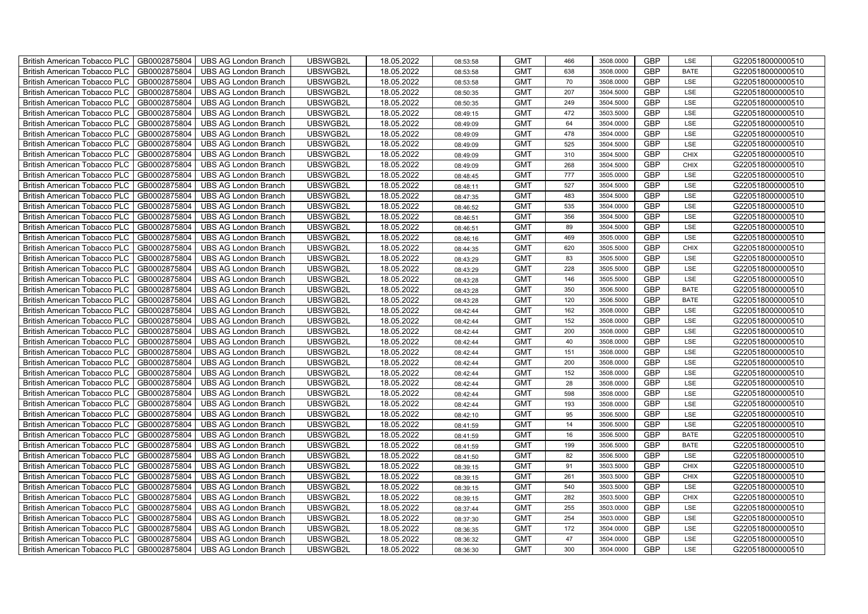| British American Tobacco PLC        | GB0002875804 | <b>UBS AG London Branch</b> | UBSWGB2L | 18.05.2022 | 08:53:58 | <b>GMT</b> | 466 | 3508.0000 | <b>GBP</b> | LSE         | G220518000000510 |
|-------------------------------------|--------------|-----------------------------|----------|------------|----------|------------|-----|-----------|------------|-------------|------------------|
| <b>British American Tobacco PLC</b> | GB0002875804 | <b>UBS AG London Branch</b> | UBSWGB2L | 18.05.2022 | 08:53:58 | <b>GMT</b> | 638 | 3508.0000 | <b>GBP</b> | <b>BATE</b> | G220518000000510 |
| <b>British American Tobacco PLC</b> | GB0002875804 | UBS AG London Branch        | UBSWGB2L | 18.05.2022 | 08:53:58 | <b>GMT</b> | 70  | 3508.0000 | <b>GBP</b> | <b>LSE</b>  | G220518000000510 |
| <b>British American Tobacco PLC</b> | GB0002875804 | <b>UBS AG London Branch</b> | UBSWGB2L | 18.05.2022 | 08:50:35 | <b>GMT</b> | 207 | 3504.5000 | <b>GBP</b> | LSE         | G220518000000510 |
| British American Tobacco PLC        | GB0002875804 | <b>UBS AG London Branch</b> | UBSWGB2L | 18.05.2022 | 08:50:35 | <b>GMT</b> | 249 | 3504.5000 | <b>GBP</b> | LSE         | G220518000000510 |
| <b>British American Tobacco PLC</b> | GB0002875804 | <b>UBS AG London Branch</b> | UBSWGB2L | 18.05.2022 | 08:49:15 | <b>GMT</b> | 472 | 3503.5000 | <b>GBP</b> | LSE         | G220518000000510 |
| British American Tobacco PLC        | GB0002875804 | <b>UBS AG London Branch</b> | UBSWGB2L | 18.05.2022 | 08:49:09 | <b>GMT</b> | 64  | 3504.0000 | <b>GBP</b> | LSE         | G220518000000510 |
| <b>British American Tobacco PLC</b> | GB0002875804 | <b>UBS AG London Branch</b> | UBSWGB2L | 18.05.2022 | 08:49:09 | <b>GMT</b> | 478 | 3504.0000 | <b>GBP</b> | LSE         | G220518000000510 |
| <b>British American Tobacco PLC</b> | GB0002875804 | <b>UBS AG London Branch</b> | UBSWGB2L | 18.05.2022 | 08:49:09 | <b>GMT</b> | 525 | 3504.5000 | <b>GBP</b> | LSE         | G220518000000510 |
| British American Tobacco PLC        | GB0002875804 | <b>UBS AG London Branch</b> | UBSWGB2L | 18.05.2022 | 08:49:09 | <b>GMT</b> | 310 | 3504.5000 | <b>GBP</b> | <b>CHIX</b> | G220518000000510 |
| <b>British American Tobacco PLC</b> | GB0002875804 | <b>UBS AG London Branch</b> | UBSWGB2L | 18.05.2022 | 08:49:09 | <b>GMT</b> | 268 | 3504.5000 | <b>GBP</b> | <b>CHIX</b> | G220518000000510 |
| <b>British American Tobacco PLC</b> | GB0002875804 | <b>UBS AG London Branch</b> | UBSWGB2L | 18.05.2022 | 08:48:45 | <b>GMT</b> | 777 | 3505.0000 | <b>GBP</b> | <b>LSE</b>  | G220518000000510 |
| <b>British American Tobacco PLC</b> | GB0002875804 | <b>UBS AG London Branch</b> | UBSWGB2L | 18.05.2022 | 08:48:11 | <b>GMT</b> | 527 | 3504.5000 | <b>GBP</b> | LSE         | G220518000000510 |
| British American Tobacco PLC        | GB0002875804 | <b>UBS AG London Branch</b> | UBSWGB2L | 18.05.2022 | 08:47:35 | <b>GMT</b> | 483 | 3504.5000 | <b>GBP</b> | LSE         | G220518000000510 |
| <b>British American Tobacco PLC</b> | GB0002875804 | <b>UBS AG London Branch</b> | UBSWGB2L | 18.05.2022 | 08:46:52 | <b>GMT</b> | 535 | 3504.0000 | <b>GBP</b> | LSE         | G220518000000510 |
| British American Tobacco PLC        | GB0002875804 | <b>UBS AG London Branch</b> | UBSWGB2L | 18.05.2022 | 08:46:51 | <b>GMT</b> | 356 | 3504.5000 | <b>GBP</b> | LSE         | G220518000000510 |
| <b>British American Tobacco PLC</b> | GB0002875804 | <b>UBS AG London Branch</b> | UBSWGB2L | 18.05.2022 | 08:46:51 | <b>GMT</b> | 89  | 3504.5000 | <b>GBP</b> | LSE         | G220518000000510 |
| <b>British American Tobacco PLC</b> | GB0002875804 | <b>UBS AG London Branch</b> | UBSWGB2L | 18.05.2022 | 08:46:16 | <b>GMT</b> | 469 | 3505.0000 | <b>GBP</b> | LSE         | G220518000000510 |
| British American Tobacco PLC        | GB0002875804 | <b>UBS AG London Branch</b> | UBSWGB2L | 18.05.2022 | 08:44:35 | <b>GMT</b> | 620 | 3505.5000 | <b>GBP</b> | <b>CHIX</b> | G220518000000510 |
| <b>British American Tobacco PLC</b> | GB0002875804 | <b>UBS AG London Branch</b> | UBSWGB2L | 18.05.2022 | 08:43:29 | <b>GMT</b> | 83  | 3505.5000 | <b>GBP</b> | LSE         | G220518000000510 |
| <b>British American Tobacco PLC</b> | GB0002875804 | <b>UBS AG London Branch</b> | UBSWGB2L | 18.05.2022 | 08:43:29 | <b>GMT</b> | 228 | 3505.5000 | <b>GBP</b> | <b>LSE</b>  | G220518000000510 |
| British American Tobacco PLC        | GB0002875804 | <b>UBS AG London Branch</b> | UBSWGB2L | 18.05.2022 | 08:43:28 | <b>GMT</b> | 146 | 3505.5000 | <b>GBP</b> | LSE         | G220518000000510 |
| British American Tobacco PLC        | GB0002875804 | <b>UBS AG London Branch</b> | UBSWGB2L | 18.05.2022 | 08:43:28 | <b>GMT</b> | 350 | 3506.5000 | <b>GBP</b> | <b>BATE</b> | G220518000000510 |
| <b>British American Tobacco PLC</b> | GB0002875804 | <b>UBS AG London Branch</b> | UBSWGB2L | 18.05.2022 | 08:43:28 | <b>GMT</b> | 120 | 3506.5000 | <b>GBP</b> | <b>BATE</b> | G220518000000510 |
| <b>British American Tobacco PLC</b> | GB0002875804 | <b>UBS AG London Branch</b> | UBSWGB2L | 18.05.2022 | 08:42:44 | <b>GMT</b> | 162 | 3508.0000 | <b>GBP</b> | LSE         | G220518000000510 |
| <b>British American Tobacco PLC</b> | GB0002875804 | <b>UBS AG London Branch</b> | UBSWGB2L | 18.05.2022 | 08:42:44 | <b>GMT</b> | 152 | 3508.0000 | <b>GBP</b> | LSE         | G220518000000510 |
| <b>British American Tobacco PLC</b> | GB0002875804 | <b>UBS AG London Branch</b> | UBSWGB2L | 18.05.2022 | 08:42:44 | <b>GMT</b> | 200 | 3508.0000 | <b>GBP</b> | LSE         | G220518000000510 |
| British American Tobacco PLC        | GB0002875804 | <b>UBS AG London Branch</b> | UBSWGB2L | 18.05.2022 | 08:42:44 | <b>GMT</b> | 40  | 3508.0000 | <b>GBP</b> | LSE         | G220518000000510 |
| <b>British American Tobacco PLC</b> | GB0002875804 | <b>UBS AG London Branch</b> | UBSWGB2L | 18.05.2022 | 08:42:44 | <b>GMT</b> | 151 | 3508.0000 | <b>GBP</b> | LSE         | G220518000000510 |
| <b>British American Tobacco PLC</b> | GB0002875804 | <b>UBS AG London Branch</b> | UBSWGB2L | 18.05.2022 | 08:42:44 | <b>GMT</b> | 200 | 3508.0000 | <b>GBP</b> | LSE         | G220518000000510 |
| British American Tobacco PLC        | GB0002875804 | <b>UBS AG London Branch</b> | UBSWGB2L | 18.05.2022 | 08:42:44 | <b>GMT</b> | 152 | 3508.0000 | <b>GBP</b> | LSE         | G220518000000510 |
| British American Tobacco PLC        | GB0002875804 | <b>UBS AG London Branch</b> | UBSWGB2L | 18.05.2022 | 08:42:44 | <b>GMT</b> | 28  | 3508.0000 | GBP        | LSE         | G220518000000510 |
| <b>British American Tobacco PLC</b> | GB0002875804 | <b>UBS AG London Branch</b> | UBSWGB2L | 18.05.2022 | 08:42:44 | <b>GMT</b> | 598 | 3508.0000 | <b>GBP</b> | LSE         | G220518000000510 |
| <b>British American Tobacco PLC</b> | GB0002875804 | <b>UBS AG London Branch</b> | UBSWGB2L | 18.05.2022 | 08:42:44 | <b>GMT</b> | 193 | 3508.0000 | <b>GBP</b> | LSE         | G220518000000510 |
| <b>British American Tobacco PLC</b> | GB0002875804 | <b>UBS AG London Branch</b> | UBSWGB2L | 18.05.2022 | 08:42:10 | <b>GMT</b> | 95  | 3506.5000 | <b>GBP</b> | LSE         | G220518000000510 |
| <b>British American Tobacco PLC</b> | GB0002875804 | <b>UBS AG London Branch</b> | UBSWGB2L | 18.05.2022 | 08:41:59 | <b>GMT</b> | 14  | 3506.5000 | <b>GBP</b> | LSE         | G220518000000510 |
| <b>British American Tobacco PLC</b> | GB0002875804 | <b>UBS AG London Branch</b> | UBSWGB2L | 18.05.2022 | 08:41:59 | <b>GMT</b> | 16  | 3506.5000 | <b>GBP</b> | <b>BATE</b> | G220518000000510 |
| <b>British American Tobacco PLC</b> | GB0002875804 | <b>UBS AG London Branch</b> | UBSWGB2L | 18.05.2022 | 08:41:59 | <b>GMT</b> | 199 | 3506.5000 | <b>GBP</b> | <b>BATE</b> | G220518000000510 |
| <b>British American Tobacco PLC</b> | GB0002875804 | <b>UBS AG London Branch</b> | UBSWGB2L | 18.05.2022 | 08:41:50 | <b>GMT</b> | 82  | 3506.5000 | GBP        | LSE         | G220518000000510 |
| <b>British American Tobacco PLC</b> | GB0002875804 | <b>UBS AG London Branch</b> | UBSWGB2L | 18.05.2022 | 08:39:15 | <b>GMT</b> | 91  | 3503.5000 | <b>GBP</b> | <b>CHIX</b> | G220518000000510 |
| British American Tobacco PLC        | GB0002875804 | <b>UBS AG London Branch</b> | UBSWGB2L | 18.05.2022 | 08:39:15 | <b>GMT</b> | 261 | 3503.5000 | GBP        | <b>CHIX</b> | G220518000000510 |
| <b>British American Tobacco PLC</b> | GB0002875804 | <b>UBS AG London Branch</b> | UBSWGB2L | 18.05.2022 | 08:39:15 | <b>GMT</b> | 540 | 3503.5000 | <b>GBP</b> | LSE         | G220518000000510 |
| British American Tobacco PLC        | GB0002875804 | <b>UBS AG London Branch</b> | UBSWGB2L | 18.05.2022 | 08:39:15 | <b>GMT</b> | 282 | 3503.5000 | <b>GBP</b> | <b>CHIX</b> | G220518000000510 |
| <b>British American Tobacco PLC</b> | GB0002875804 | <b>UBS AG London Branch</b> | UBSWGB2L | 18.05.2022 | 08:37:44 | <b>GMT</b> | 255 | 3503.0000 | <b>GBP</b> | LSE         | G220518000000510 |
| <b>British American Tobacco PLC</b> | GB0002875804 | <b>UBS AG London Branch</b> | UBSWGB2L | 18.05.2022 | 08:37:30 | <b>GMT</b> | 254 | 3503.0000 | <b>GBP</b> | LSE         | G220518000000510 |
| <b>British American Tobacco PLC</b> | GB0002875804 | <b>UBS AG London Branch</b> | UBSWGB2L | 18.05.2022 | 08:36:35 | <b>GMT</b> | 172 | 3504.0000 | <b>GBP</b> | LSE         | G220518000000510 |
| <b>British American Tobacco PLC</b> | GB0002875804 | <b>UBS AG London Branch</b> | UBSWGB2L | 18.05.2022 | 08:36:32 | <b>GMT</b> | 47  | 3504.0000 | <b>GBP</b> | LSE         | G220518000000510 |
| British American Tobacco PLC        | GB0002875804 | UBS AG London Branch        | UBSWGB2L | 18.05.2022 | 08:36:30 | <b>GMT</b> | 300 | 3504.0000 | <b>GBP</b> | <b>LSE</b>  | G220518000000510 |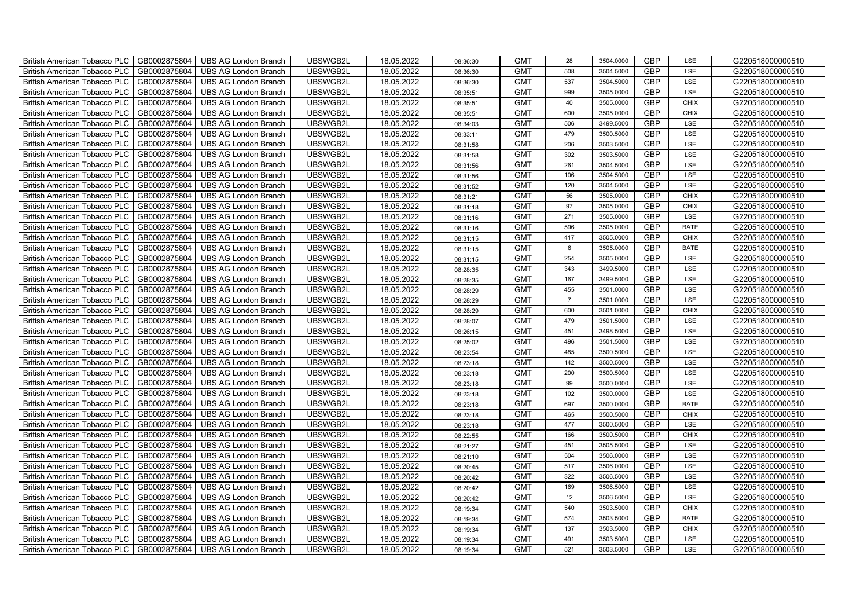| British American Tobacco PLC        | GB0002875804 | <b>UBS AG London Branch</b> | UBSWGB2L | 18.05.2022 | 08:36:30 | <b>GMT</b> | 28             | 3504.0000 | <b>GBP</b> | LSE         | G220518000000510 |
|-------------------------------------|--------------|-----------------------------|----------|------------|----------|------------|----------------|-----------|------------|-------------|------------------|
| <b>British American Tobacco PLC</b> | GB0002875804 | <b>UBS AG London Branch</b> | UBSWGB2L | 18.05.2022 | 08:36:30 | <b>GMT</b> | 508            | 3504.5000 | <b>GBP</b> | <b>LSE</b>  | G220518000000510 |
| <b>British American Tobacco PLC</b> | GB0002875804 | <b>UBS AG London Branch</b> | UBSWGB2L | 18.05.2022 | 08:36:30 | <b>GMT</b> | 537            | 3504.5000 | <b>GBP</b> | LSE         | G220518000000510 |
| British American Tobacco PLC        | GB0002875804 | <b>UBS AG London Branch</b> | UBSWGB2L | 18.05.2022 | 08:35:51 | <b>GMT</b> | 999            | 3505.0000 | <b>GBP</b> | LSE         | G220518000000510 |
| <b>British American Tobacco PLC</b> | GB0002875804 | <b>UBS AG London Branch</b> | UBSWGB2L | 18.05.2022 | 08:35:51 | <b>GMT</b> | 40             | 3505.0000 | <b>GBP</b> | <b>CHIX</b> | G220518000000510 |
| British American Tobacco PLC        | GB0002875804 | <b>UBS AG London Branch</b> | UBSWGB2L | 18.05.2022 | 08:35:51 | <b>GMT</b> | 600            | 3505.0000 | <b>GBP</b> | <b>CHIX</b> | G220518000000510 |
| <b>British American Tobacco PLC</b> | GB0002875804 | <b>UBS AG London Branch</b> | UBSWGB2L | 18.05.2022 | 08:34:03 | <b>GMT</b> | 506            | 3499.5000 | <b>GBP</b> | LSE         | G220518000000510 |
| British American Tobacco PLC        | GB0002875804 | <b>UBS AG London Branch</b> | UBSWGB2L | 18.05.2022 | 08:33:11 | <b>GMT</b> | 479            | 3500.5000 | <b>GBP</b> | LSE         | G220518000000510 |
| <b>British American Tobacco PLC</b> | GB0002875804 | <b>UBS AG London Branch</b> | UBSWGB2L | 18.05.2022 | 08:31:58 | <b>GMT</b> | 206            | 3503.5000 | <b>GBP</b> | LSE         | G220518000000510 |
| British American Tobacco PLC        | GB0002875804 | <b>UBS AG London Branch</b> | UBSWGB2L | 18.05.2022 | 08:31:58 | <b>GMT</b> | 302            | 3503.5000 | <b>GBP</b> | LSE         | G220518000000510 |
| <b>British American Tobacco PLC</b> | GB0002875804 | <b>UBS AG London Branch</b> | UBSWGB2L | 18.05.2022 | 08:31:56 | <b>GMT</b> | 261            | 3504.5000 | <b>GBP</b> | LSE         | G220518000000510 |
| <b>British American Tobacco PLC</b> | GB0002875804 | <b>UBS AG London Branch</b> | UBSWGB2L | 18.05.2022 | 08:31:56 | <b>GMT</b> | 106            | 3504.5000 | <b>GBP</b> | LSE         | G220518000000510 |
| British American Tobacco PLC        | GB0002875804 | <b>UBS AG London Branch</b> | UBSWGB2L | 18.05.2022 | 08:31:52 | <b>GMT</b> | 120            | 3504.5000 | <b>GBP</b> | LSE         | G220518000000510 |
| British American Tobacco PLC        | GB0002875804 | <b>UBS AG London Branch</b> | UBSWGB2L | 18.05.2022 | 08:31:21 | <b>GMT</b> | 56             | 3505.0000 | <b>GBP</b> | <b>CHIX</b> | G220518000000510 |
| British American Tobacco PLC        | GB0002875804 | <b>UBS AG London Branch</b> | UBSWGB2L | 18.05.2022 | 08:31:18 | <b>GMT</b> | 97             | 3505.0000 | <b>GBP</b> | <b>CHIX</b> | G220518000000510 |
| British American Tobacco PLC        | GB0002875804 | <b>UBS AG London Branch</b> | UBSWGB2L | 18.05.2022 | 08:31:16 | <b>GMT</b> | 271            | 3505.0000 | <b>GBP</b> | LSE         | G220518000000510 |
| British American Tobacco PLC        | GB0002875804 | <b>UBS AG London Branch</b> | UBSWGB2L | 18.05.2022 | 08:31:16 | <b>GMT</b> | 596            | 3505.0000 | <b>GBP</b> | <b>BATE</b> | G220518000000510 |
| British American Tobacco PLC        | GB0002875804 | <b>UBS AG London Branch</b> | UBSWGB2L | 18.05.2022 | 08:31:15 | <b>GMT</b> | 417            | 3505.0000 | <b>GBP</b> | <b>CHIX</b> | G220518000000510 |
| British American Tobacco PLC        | GB0002875804 | <b>UBS AG London Branch</b> | UBSWGB2L | 18.05.2022 | 08:31:15 | <b>GMT</b> | 6              | 3505.0000 | <b>GBP</b> | <b>BATE</b> | G220518000000510 |
| <b>British American Tobacco PLC</b> | GB0002875804 | <b>UBS AG London Branch</b> | UBSWGB2L | 18.05.2022 | 08:31:15 | <b>GMT</b> | 254            | 3505.0000 | <b>GBP</b> | LSE         | G220518000000510 |
| <b>British American Tobacco PLC</b> | GB0002875804 | <b>UBS AG London Branch</b> | UBSWGB2L | 18.05.2022 | 08:28:35 | <b>GMT</b> | 343            | 3499.5000 | <b>GBP</b> | <b>LSE</b>  | G220518000000510 |
| British American Tobacco PLC        | GB0002875804 | <b>UBS AG London Branch</b> | UBSWGB2L | 18.05.2022 | 08:28:35 | <b>GMT</b> | 167            | 3499.5000 | <b>GBP</b> | LSE         | G220518000000510 |
| British American Tobacco PLC        | GB0002875804 | <b>UBS AG London Branch</b> | UBSWGB2L | 18.05.2022 | 08:28:29 | <b>GMT</b> | 455            | 3501.0000 | GBP        | LSE         | G220518000000510 |
| British American Tobacco PLC        | GB0002875804 | <b>UBS AG London Branch</b> | UBSWGB2L | 18.05.2022 | 08:28:29 | <b>GMT</b> | $\overline{7}$ | 3501.0000 | <b>GBP</b> | LSE         | G220518000000510 |
| British American Tobacco PLC        | GB0002875804 | <b>UBS AG London Branch</b> | UBSWGB2L | 18.05.2022 | 08:28:29 | <b>GMT</b> | 600            | 3501.0000 | <b>GBP</b> | CHIX        | G220518000000510 |
| British American Tobacco PLC        | GB0002875804 | <b>UBS AG London Branch</b> | UBSWGB2L | 18.05.2022 | 08:28:07 | <b>GMT</b> | 479            | 3501.5000 | <b>GBP</b> | LSE         | G220518000000510 |
| British American Tobacco PLC        | GB0002875804 | <b>UBS AG London Branch</b> | UBSWGB2L | 18.05.2022 | 08:26:15 | <b>GMT</b> | 451            | 3498.5000 | <b>GBP</b> | LSE         | G220518000000510 |
| British American Tobacco PLC        | GB0002875804 | <b>UBS AG London Branch</b> | UBSWGB2L | 18.05.2022 | 08:25:02 | <b>GMT</b> | 496            | 3501.5000 | <b>GBP</b> | LSE         | G220518000000510 |
| <b>British American Tobacco PLC</b> | GB0002875804 | <b>UBS AG London Branch</b> | UBSWGB2L | 18.05.2022 | 08:23:54 | <b>GMT</b> | 485            | 3500.5000 | <b>GBP</b> | LSE         | G220518000000510 |
| <b>British American Tobacco PLC</b> | GB0002875804 | <b>UBS AG London Branch</b> | UBSWGB2L | 18.05.2022 | 08:23:18 | <b>GMT</b> | 142            | 3500.5000 | <b>GBP</b> | LSE         | G220518000000510 |
| British American Tobacco PLC        | GB0002875804 | <b>UBS AG London Branch</b> | UBSWGB2L | 18.05.2022 | 08:23:18 | <b>GMT</b> | 200            | 3500.5000 | <b>GBP</b> | LSE         | G220518000000510 |
| British American Tobacco PLC        | GB0002875804 | <b>UBS AG London Branch</b> | UBSWGB2L | 18.05.2022 | 08:23:18 | <b>GMT</b> | 99             | 3500.0000 | <b>GBP</b> | LSE         | G220518000000510 |
| British American Tobacco PLC        | GB0002875804 | <b>UBS AG London Branch</b> | UBSWGB2L | 18.05.2022 | 08:23:18 | <b>GMT</b> | 102            | 3500.0000 | <b>GBP</b> | LSE         | G220518000000510 |
| British American Tobacco PLC        | GB0002875804 | UBS AG London Branch        | UBSWGB2L | 18.05.2022 | 08:23:18 | <b>GMT</b> | 697            | 3500.0000 | <b>GBP</b> | <b>BATE</b> | G220518000000510 |
| British American Tobacco PLC        | GB0002875804 | <b>UBS AG London Branch</b> | UBSWGB2L | 18.05.2022 | 08:23:18 | <b>GMT</b> | 465            | 3500.5000 | <b>GBP</b> | CHIX        | G220518000000510 |
| British American Tobacco PLC        | GB0002875804 | <b>UBS AG London Branch</b> | UBSWGB2L | 18.05.2022 | 08:23:18 | <b>GMT</b> | 477            | 3500.5000 | <b>GBP</b> | LSE         | G220518000000510 |
| British American Tobacco PLC        | GB0002875804 | <b>UBS AG London Branch</b> | UBSWGB2L | 18.05.2022 | 08:22:55 | <b>GMT</b> | 166            | 3500.5000 | <b>GBP</b> | <b>CHIX</b> | G220518000000510 |
| <b>British American Tobacco PLC</b> | GB0002875804 | <b>UBS AG London Branch</b> | UBSWGB2L | 18.05.2022 | 08:21:27 | <b>GMT</b> | 451            | 3505.5000 | <b>GBP</b> | LSE         | G220518000000510 |
| British American Tobacco PLC        | GB0002875804 | <b>UBS AG London Branch</b> | UBSWGB2L | 18.05.2022 | 08:21:10 | <b>GMT</b> | 504            | 3506.0000 | <b>GBP</b> | LSE         | G220518000000510 |
| British American Tobacco PLC        | GB0002875804 | UBS AG London Branch        | UBSWGB2L | 18.05.2022 | 08:20:45 | <b>GMT</b> | 517            | 3506.0000 | <b>GBP</b> | LSE         | G220518000000510 |
| British American Tobacco PLC        | GB0002875804 | UBS AG London Branch        | UBSWGB2L | 18.05.2022 | 08:20:42 | <b>GMT</b> | 322            | 3506.5000 | <b>GBP</b> | LSE         | G220518000000510 |
| British American Tobacco PLC        | GB0002875804 | <b>UBS AG London Branch</b> | UBSWGB2L | 18.05.2022 | 08:20:42 | <b>GMT</b> | 169            | 3506.5000 | <b>GBP</b> | LSE         | G220518000000510 |
| British American Tobacco PLC        | GB0002875804 | UBS AG London Branch        | UBSWGB2L | 18.05.2022 | 08:20:42 | <b>GMT</b> | 12             | 3506.5000 | <b>GBP</b> | LSE         | G220518000000510 |
| British American Tobacco PLC        | GB0002875804 | <b>UBS AG London Branch</b> | UBSWGB2L | 18.05.2022 | 08:19:34 | <b>GMT</b> | 540            | 3503.5000 | <b>GBP</b> | <b>CHIX</b> | G220518000000510 |
| <b>British American Tobacco PLC</b> | GB0002875804 | <b>UBS AG London Branch</b> | UBSWGB2L | 18.05.2022 | 08:19:34 | <b>GMT</b> | 574            | 3503.5000 | <b>GBP</b> | <b>BATE</b> | G220518000000510 |
| <b>British American Tobacco PLC</b> | GB0002875804 | <b>UBS AG London Branch</b> | UBSWGB2L | 18.05.2022 | 08:19:34 | <b>GMT</b> | 137            | 3503.5000 | <b>GBP</b> | <b>CHIX</b> | G220518000000510 |
| <b>British American Tobacco PLC</b> | GB0002875804 | <b>UBS AG London Branch</b> | UBSWGB2L | 18.05.2022 | 08:19:34 | <b>GMT</b> | 491            | 3503.5000 | <b>GBP</b> | LSE         | G220518000000510 |
| British American Tobacco PLC        | GB0002875804 | UBS AG London Branch        | UBSWGB2L | 18.05.2022 | 08:19:34 | <b>GMT</b> | 521            | 3503.5000 | <b>GBP</b> | LSE         | G220518000000510 |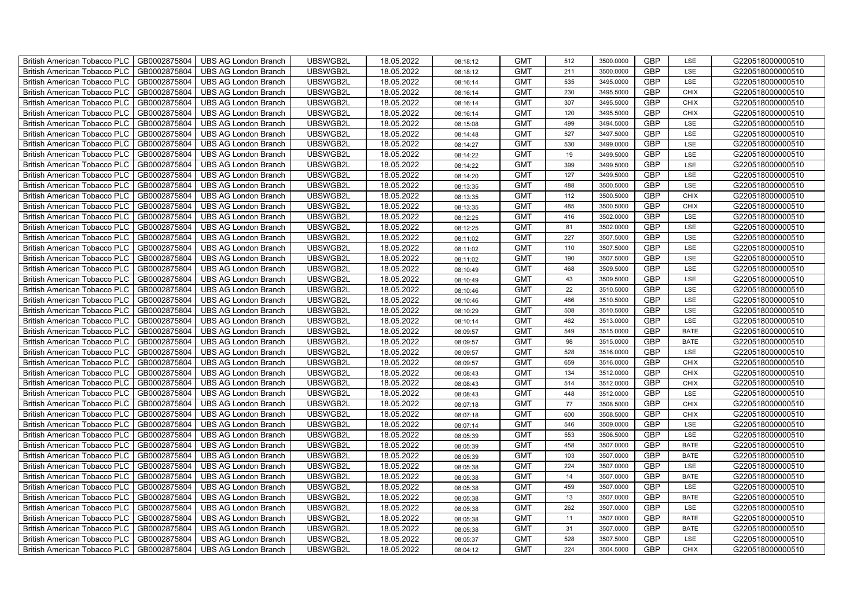| British American Tobacco PLC        | GB0002875804 | <b>UBS AG London Branch</b> | UBSWGB2L | 18.05.2022 | 08:18:12 | <b>GMT</b> | 512    | 3500.0000 | <b>GBP</b> | LSE         | G220518000000510 |
|-------------------------------------|--------------|-----------------------------|----------|------------|----------|------------|--------|-----------|------------|-------------|------------------|
| <b>British American Tobacco PLC</b> | GB0002875804 | <b>UBS AG London Branch</b> | UBSWGB2L | 18.05.2022 | 08:18:12 | <b>GMT</b> | 211    | 3500.0000 | <b>GBP</b> | <b>LSE</b>  | G220518000000510 |
| <b>British American Tobacco PLC</b> | GB0002875804 | <b>UBS AG London Branch</b> | UBSWGB2L | 18.05.2022 | 08:16:14 | <b>GMT</b> | 535    | 3495.0000 | <b>GBP</b> | LSE         | G220518000000510 |
| British American Tobacco PLC        | GB0002875804 | <b>UBS AG London Branch</b> | UBSWGB2L | 18.05.2022 | 08:16:14 | <b>GMT</b> | 230    | 3495.5000 | <b>GBP</b> | <b>CHIX</b> | G220518000000510 |
| <b>British American Tobacco PLC</b> | GB0002875804 | <b>UBS AG London Branch</b> | UBSWGB2L | 18.05.2022 | 08:16:14 | <b>GMT</b> | 307    | 3495.5000 | <b>GBP</b> | <b>CHIX</b> | G220518000000510 |
| British American Tobacco PLC        | GB0002875804 | <b>UBS AG London Branch</b> | UBSWGB2L | 18.05.2022 | 08:16:14 | <b>GMT</b> | 120    | 3495.5000 | <b>GBP</b> | <b>CHIX</b> | G220518000000510 |
| <b>British American Tobacco PLC</b> | GB0002875804 | <b>UBS AG London Branch</b> | UBSWGB2L | 18.05.2022 | 08:15:08 | <b>GMT</b> | 499    | 3494.5000 | <b>GBP</b> | LSE         | G220518000000510 |
| British American Tobacco PLC        | GB0002875804 | <b>UBS AG London Branch</b> | UBSWGB2L | 18.05.2022 | 08:14:48 | <b>GMT</b> | 527    | 3497.5000 | <b>GBP</b> | LSE         | G220518000000510 |
| <b>British American Tobacco PLC</b> | GB0002875804 | <b>UBS AG London Branch</b> | UBSWGB2L | 18.05.2022 | 08:14:27 | <b>GMT</b> | 530    | 3499.0000 | <b>GBP</b> | LSE         | G220518000000510 |
| British American Tobacco PLC        | GB0002875804 | <b>UBS AG London Branch</b> | UBSWGB2L | 18.05.2022 | 08:14:22 | <b>GMT</b> | 19     | 3499.5000 | <b>GBP</b> | LSE         | G220518000000510 |
| <b>British American Tobacco PLC</b> | GB0002875804 | <b>UBS AG London Branch</b> | UBSWGB2L | 18.05.2022 | 08:14:22 | <b>GMT</b> | 399    | 3499.5000 | <b>GBP</b> | LSE         | G220518000000510 |
| <b>British American Tobacco PLC</b> | GB0002875804 | <b>UBS AG London Branch</b> | UBSWGB2L | 18.05.2022 | 08:14:20 | <b>GMT</b> | 127    | 3499.5000 | <b>GBP</b> | LSE         | G220518000000510 |
| British American Tobacco PLC        | GB0002875804 | <b>UBS AG London Branch</b> | UBSWGB2L | 18.05.2022 | 08:13:35 | <b>GMT</b> | 488    | 3500.5000 | <b>GBP</b> | LSE         | G220518000000510 |
| British American Tobacco PLC        | GB0002875804 | <b>UBS AG London Branch</b> | UBSWGB2L | 18.05.2022 | 08:13:35 | <b>GMT</b> | 112    | 3500.5000 | <b>GBP</b> | <b>CHIX</b> | G220518000000510 |
| British American Tobacco PLC        | GB0002875804 | <b>UBS AG London Branch</b> | UBSWGB2L | 18.05.2022 | 08:13:35 | <b>GMT</b> | 485    | 3500.5000 | <b>GBP</b> | <b>CHIX</b> | G220518000000510 |
| British American Tobacco PLC        | GB0002875804 | <b>UBS AG London Branch</b> | UBSWGB2L | 18.05.2022 | 08:12:25 | <b>GMT</b> | 416    | 3502.0000 | <b>GBP</b> | LSE         | G220518000000510 |
| British American Tobacco PLC        | GB0002875804 | <b>UBS AG London Branch</b> | UBSWGB2L | 18.05.2022 | 08:12:25 | <b>GMT</b> | 81     | 3502.0000 | <b>GBP</b> | LSE         | G220518000000510 |
| British American Tobacco PLC        | GB0002875804 | <b>UBS AG London Branch</b> | UBSWGB2L | 18.05.2022 | 08:11:02 | <b>GMT</b> | 227    | 3507.5000 | <b>GBP</b> | LSE         | G220518000000510 |
| British American Tobacco PLC        | GB0002875804 | <b>UBS AG London Branch</b> | UBSWGB2L | 18.05.2022 | 08:11:02 | <b>GMT</b> | 110    | 3507.5000 | <b>GBP</b> | LSE         | G220518000000510 |
| <b>British American Tobacco PLC</b> | GB0002875804 | <b>UBS AG London Branch</b> | UBSWGB2L | 18.05.2022 | 08:11:02 | <b>GMT</b> | 190    | 3507.5000 | <b>GBP</b> | LSE         | G220518000000510 |
| <b>British American Tobacco PLC</b> | GB0002875804 | <b>UBS AG London Branch</b> | UBSWGB2L | 18.05.2022 | 08:10:49 | <b>GMT</b> | 468    | 3509.5000 | <b>GBP</b> | <b>LSE</b>  | G220518000000510 |
| British American Tobacco PLC        | GB0002875804 | <b>UBS AG London Branch</b> | UBSWGB2L | 18.05.2022 | 08:10:49 | <b>GMT</b> | 43     | 3509.5000 | <b>GBP</b> | LSE         | G220518000000510 |
| British American Tobacco PLC        | GB0002875804 | <b>UBS AG London Branch</b> | UBSWGB2L | 18.05.2022 | 08:10:46 | <b>GMT</b> | 22     | 3510.5000 | <b>GBP</b> | LSE         | G220518000000510 |
| British American Tobacco PLC        | GB0002875804 | <b>UBS AG London Branch</b> | UBSWGB2L | 18.05.2022 | 08:10:46 | <b>GMT</b> | 466    | 3510.5000 | <b>GBP</b> | LSE         | G220518000000510 |
| British American Tobacco PLC        | GB0002875804 | <b>UBS AG London Branch</b> | UBSWGB2L | 18.05.2022 | 08:10:29 | <b>GMT</b> | 508    | 3510.5000 | <b>GBP</b> | LSE         | G220518000000510 |
| British American Tobacco PLC        | GB0002875804 | <b>UBS AG London Branch</b> | UBSWGB2L | 18.05.2022 | 08:10:14 | <b>GMT</b> | 462    | 3513.0000 | <b>GBP</b> | LSE         | G220518000000510 |
| British American Tobacco PLC        | GB0002875804 | <b>UBS AG London Branch</b> | UBSWGB2L | 18.05.2022 | 08:09:57 | <b>GMT</b> | 549    | 3515.0000 | <b>GBP</b> | <b>BATE</b> | G220518000000510 |
| British American Tobacco PLC        | GB0002875804 | <b>UBS AG London Branch</b> | UBSWGB2L | 18.05.2022 | 08:09:57 | <b>GMT</b> | 98     | 3515.0000 | <b>GBP</b> | <b>BATE</b> | G220518000000510 |
| <b>British American Tobacco PLC</b> | GB0002875804 | <b>UBS AG London Branch</b> | UBSWGB2L | 18.05.2022 | 08:09:57 | <b>GMT</b> | 528    | 3516.0000 | <b>GBP</b> | LSE         | G220518000000510 |
| <b>British American Tobacco PLC</b> | GB0002875804 | <b>UBS AG London Branch</b> | UBSWGB2L | 18.05.2022 | 08:09:57 | <b>GMT</b> | 659    | 3516.0000 | <b>GBP</b> | <b>CHIX</b> | G220518000000510 |
| British American Tobacco PLC        | GB0002875804 | <b>UBS AG London Branch</b> | UBSWGB2L | 18.05.2022 | 08:08:43 | <b>GMT</b> | 134    | 3512.0000 | <b>GBP</b> | <b>CHIX</b> | G220518000000510 |
| British American Tobacco PLC        | GB0002875804 | <b>UBS AG London Branch</b> | UBSWGB2L | 18.05.2022 | 08:08:43 | <b>GMT</b> | 514    | 3512.0000 | <b>GBP</b> | CHIX        | G220518000000510 |
| British American Tobacco PLC        | GB0002875804 | <b>UBS AG London Branch</b> | UBSWGB2L | 18.05.2022 | 08:08:43 | <b>GMT</b> | 448    | 3512.0000 | <b>GBP</b> | LSE         | G220518000000510 |
| British American Tobacco PLC        | GB0002875804 | <b>UBS AG London Branch</b> | UBSWGB2L | 18.05.2022 | 08:07:18 | <b>GMT</b> | $77\,$ | 3508.5000 | <b>GBP</b> | CHIX        | G220518000000510 |
| British American Tobacco PLC        | GB0002875804 | <b>UBS AG London Branch</b> | UBSWGB2L | 18.05.2022 | 08:07:18 | <b>GMT</b> | 600    | 3508.5000 | <b>GBP</b> | CHIX        | G220518000000510 |
| British American Tobacco PLC        | GB0002875804 | <b>UBS AG London Branch</b> | UBSWGB2L | 18.05.2022 | 08:07:14 | <b>GMT</b> | 546    | 3509.0000 | <b>GBP</b> | LSE         | G220518000000510 |
| British American Tobacco PLC        | GB0002875804 | <b>UBS AG London Branch</b> | UBSWGB2L | 18.05.2022 | 08:05:39 | <b>GMT</b> | 553    | 3506.5000 | <b>GBP</b> | LSE         | G220518000000510 |
| <b>British American Tobacco PLC</b> | GB0002875804 | <b>UBS AG London Branch</b> | UBSWGB2L | 18.05.2022 | 08:05:39 | <b>GMT</b> | 458    | 3507.0000 | <b>GBP</b> | <b>BATE</b> | G220518000000510 |
| British American Tobacco PLC        | GB0002875804 | <b>UBS AG London Branch</b> | UBSWGB2L | 18.05.2022 | 08:05:39 | <b>GMT</b> | 103    | 3507.0000 | <b>GBP</b> | <b>BATE</b> | G220518000000510 |
| British American Tobacco PLC        | GB0002875804 | <b>UBS AG London Branch</b> | UBSWGB2L | 18.05.2022 | 08:05:38 | <b>GMT</b> | 224    | 3507.0000 | <b>GBP</b> | LSE         | G220518000000510 |
| British American Tobacco PLC        | GB0002875804 | UBS AG London Branch        | UBSWGB2L | 18.05.2022 | 08:05:38 | <b>GMT</b> | 14     | 3507.0000 | <b>GBP</b> | <b>BATE</b> | G220518000000510 |
| British American Tobacco PLC        | GB0002875804 | <b>UBS AG London Branch</b> | UBSWGB2L | 18.05.2022 | 08:05:38 | <b>GMT</b> | 459    | 3507.0000 | <b>GBP</b> | LSE         | G220518000000510 |
| British American Tobacco PLC        | GB0002875804 | <b>UBS AG London Branch</b> | UBSWGB2L | 18.05.2022 | 08:05:38 | <b>GMT</b> | 13     | 3507.0000 | <b>GBP</b> | <b>BATE</b> | G220518000000510 |
| British American Tobacco PLC        | GB0002875804 | <b>UBS AG London Branch</b> | UBSWGB2L | 18.05.2022 | 08:05:38 | <b>GMT</b> | 262    | 3507.0000 | <b>GBP</b> | LSE         | G220518000000510 |
| <b>British American Tobacco PLC</b> | GB0002875804 | <b>UBS AG London Branch</b> | UBSWGB2L | 18.05.2022 | 08:05:38 | <b>GMT</b> | 11     | 3507.0000 | <b>GBP</b> | <b>BATE</b> | G220518000000510 |
| <b>British American Tobacco PLC</b> | GB0002875804 | <b>UBS AG London Branch</b> | UBSWGB2L | 18.05.2022 | 08:05:38 | <b>GMT</b> | 31     | 3507.0000 | <b>GBP</b> | <b>BATE</b> | G220518000000510 |
| <b>British American Tobacco PLC</b> | GB0002875804 | <b>UBS AG London Branch</b> | UBSWGB2L | 18.05.2022 | 08:05:37 | <b>GMT</b> | 528    | 3507.5000 | <b>GBP</b> | LSE         | G220518000000510 |
| British American Tobacco PLC        | GB0002875804 | UBS AG London Branch        | UBSWGB2L | 18.05.2022 | 08:04:12 | <b>GMT</b> | 224    | 3504.5000 | <b>GBP</b> | <b>CHIX</b> | G220518000000510 |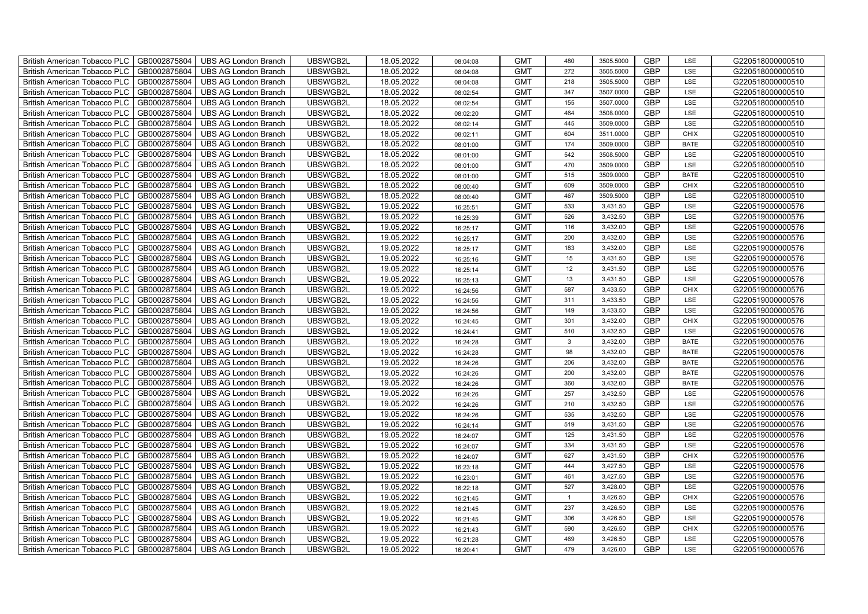| British American Tobacco PLC        | GB0002875804 | <b>UBS AG London Branch</b> | UBSWGB2L | 18.05.2022 | 08:04:08 | <b>GMT</b> | 480            | 3505.5000 | <b>GBP</b> | LSE         | G220518000000510 |
|-------------------------------------|--------------|-----------------------------|----------|------------|----------|------------|----------------|-----------|------------|-------------|------------------|
| <b>British American Tobacco PLC</b> | GB0002875804 | <b>UBS AG London Branch</b> | UBSWGB2L | 18.05.2022 | 08:04:08 | <b>GMT</b> | 272            | 3505.5000 | <b>GBP</b> | <b>LSE</b>  | G220518000000510 |
| <b>British American Tobacco PLC</b> | GB0002875804 | <b>UBS AG London Branch</b> | UBSWGB2L | 18.05.2022 | 08:04:08 | <b>GMT</b> | 218            | 3505.5000 | <b>GBP</b> | LSE         | G220518000000510 |
| British American Tobacco PLC        | GB0002875804 | <b>UBS AG London Branch</b> | UBSWGB2L | 18.05.2022 | 08:02:54 | <b>GMT</b> | 347            | 3507.0000 | <b>GBP</b> | LSE         | G220518000000510 |
| <b>British American Tobacco PLC</b> | GB0002875804 | <b>UBS AG London Branch</b> | UBSWGB2L | 18.05.2022 | 08:02:54 | <b>GMT</b> | 155            | 3507.0000 | <b>GBP</b> | LSE         | G220518000000510 |
| British American Tobacco PLC        | GB0002875804 | <b>UBS AG London Branch</b> | UBSWGB2L | 18.05.2022 | 08:02:20 | <b>GMT</b> | 464            | 3508.0000 | <b>GBP</b> | LSE         | G220518000000510 |
| <b>British American Tobacco PLC</b> | GB0002875804 | <b>UBS AG London Branch</b> | UBSWGB2L | 18.05.2022 | 08:02:14 | <b>GMT</b> | 445            | 3509.0000 | <b>GBP</b> | LSE         | G220518000000510 |
| British American Tobacco PLC        | GB0002875804 | <b>UBS AG London Branch</b> | UBSWGB2L | 18.05.2022 | 08:02:11 | <b>GMT</b> | 604            | 3511.0000 | <b>GBP</b> | <b>CHIX</b> | G220518000000510 |
| <b>British American Tobacco PLC</b> | GB0002875804 | <b>UBS AG London Branch</b> | UBSWGB2L | 18.05.2022 | 08:01:00 | <b>GMT</b> | 174            | 3509.0000 | <b>GBP</b> | <b>BATE</b> | G220518000000510 |
| British American Tobacco PLC        | GB0002875804 | <b>UBS AG London Branch</b> | UBSWGB2L | 18.05.2022 | 08:01:00 | <b>GMT</b> | 542            | 3508.5000 | <b>GBP</b> | LSE         | G220518000000510 |
| <b>British American Tobacco PLC</b> | GB0002875804 | <b>UBS AG London Branch</b> | UBSWGB2L | 18.05.2022 | 08:01:00 | <b>GMT</b> | 470            | 3509.0000 | <b>GBP</b> | LSE         | G220518000000510 |
| <b>British American Tobacco PLC</b> | GB0002875804 | <b>UBS AG London Branch</b> | UBSWGB2L | 18.05.2022 | 08:01:00 | <b>GMT</b> | 515            | 3509.0000 | <b>GBP</b> | <b>BATE</b> | G220518000000510 |
| British American Tobacco PLC        | GB0002875804 | <b>UBS AG London Branch</b> | UBSWGB2L | 18.05.2022 | 08:00:40 | <b>GMT</b> | 609            | 3509.0000 | <b>GBP</b> | <b>CHIX</b> | G220518000000510 |
| British American Tobacco PLC        | GB0002875804 | <b>UBS AG London Branch</b> | UBSWGB2L | 18.05.2022 | 08:00:40 | <b>GMT</b> | 467            | 3509.5000 | <b>GBP</b> | LSE         | G220518000000510 |
| British American Tobacco PLC        | GB0002875804 | <b>UBS AG London Branch</b> | UBSWGB2L | 19.05.2022 | 16:25:51 | <b>GMT</b> | 533            | 3,431.50  | <b>GBP</b> | LSE         | G220519000000576 |
| British American Tobacco PLC        | GB0002875804 | <b>UBS AG London Branch</b> | UBSWGB2L | 19.05.2022 | 16:25:39 | <b>GMT</b> | 526            | 3,432.50  | <b>GBP</b> | LSE         | G220519000000576 |
| British American Tobacco PLC        | GB0002875804 | UBS AG London Branch        | UBSWGB2L | 19.05.2022 | 16:25:17 | <b>GMT</b> | 116            | 3,432.00  | <b>GBP</b> | LSE         | G220519000000576 |
| British American Tobacco PLC        | GB0002875804 | <b>UBS AG London Branch</b> | UBSWGB2L | 19.05.2022 | 16:25:17 | <b>GMT</b> | 200            | 3,432.00  | <b>GBP</b> | LSE         | G220519000000576 |
| British American Tobacco PLC        | GB0002875804 | <b>UBS AG London Branch</b> | UBSWGB2L | 19.05.2022 | 16:25:17 | <b>GMT</b> | 183            | 3,432.00  | <b>GBP</b> | LSE         | G220519000000576 |
| <b>British American Tobacco PLC</b> | GB0002875804 | <b>UBS AG London Branch</b> | UBSWGB2L | 19.05.2022 | 16:25:16 | <b>GMT</b> | 15             | 3,431.50  | <b>GBP</b> | LSE         | G220519000000576 |
| <b>British American Tobacco PLC</b> | GB0002875804 | <b>UBS AG London Branch</b> | UBSWGB2L | 19.05.2022 | 16:25:14 | <b>GMT</b> | 12             | 3,431.50  | <b>GBP</b> | <b>LSE</b>  | G220519000000576 |
| British American Tobacco PLC        | GB0002875804 | <b>UBS AG London Branch</b> | UBSWGB2L | 19.05.2022 | 16:25:13 | <b>GMT</b> | 13             | 3,431.50  | <b>GBP</b> | LSE         | G220519000000576 |
| British American Tobacco PLC        | GB0002875804 | <b>UBS AG London Branch</b> | UBSWGB2L | 19.05.2022 | 16:24:56 | <b>GMT</b> | 587            | 3,433.50  | GBP        | CHIX        | G220519000000576 |
| British American Tobacco PLC        | GB0002875804 | <b>UBS AG London Branch</b> | UBSWGB2L | 19.05.2022 | 16:24:56 | <b>GMT</b> | 311            | 3,433.50  | <b>GBP</b> | LSE         | G220519000000576 |
| British American Tobacco PLC        | GB0002875804 | <b>UBS AG London Branch</b> | UBSWGB2L | 19.05.2022 | 16:24:56 | <b>GMT</b> | 149            | 3,433.50  | <b>GBP</b> | LSE         | G220519000000576 |
| British American Tobacco PLC        | GB0002875804 | <b>UBS AG London Branch</b> | UBSWGB2L | 19.05.2022 | 16:24:45 | <b>GMT</b> | 301            | 3,432.00  | <b>GBP</b> | CHIX        | G220519000000576 |
| British American Tobacco PLC        | GB0002875804 | <b>UBS AG London Branch</b> | UBSWGB2L | 19.05.2022 | 16:24:41 | <b>GMT</b> | 510            | 3,432.50  | <b>GBP</b> | LSE         | G220519000000576 |
| British American Tobacco PLC        | GB0002875804 | <b>UBS AG London Branch</b> | UBSWGB2L | 19.05.2022 | 16:24:28 | <b>GMT</b> | $\mathbf{3}$   | 3,432.00  | <b>GBP</b> | <b>BATE</b> | G220519000000576 |
| <b>British American Tobacco PLC</b> | GB0002875804 | <b>UBS AG London Branch</b> | UBSWGB2L | 19.05.2022 | 16:24:28 | <b>GMT</b> | 98             | 3,432.00  | <b>GBP</b> | <b>BATE</b> | G220519000000576 |
| <b>British American Tobacco PLC</b> | GB0002875804 | <b>UBS AG London Branch</b> | UBSWGB2L | 19.05.2022 | 16:24:26 | <b>GMT</b> | 206            | 3,432.00  | <b>GBP</b> | <b>BATE</b> | G220519000000576 |
| British American Tobacco PLC        | GB0002875804 | <b>UBS AG London Branch</b> | UBSWGB2L | 19.05.2022 | 16:24:26 | <b>GMT</b> | 200            | 3,432.00  | <b>GBP</b> | <b>BATE</b> | G220519000000576 |
| British American Tobacco PLC        | GB0002875804 | <b>UBS AG London Branch</b> | UBSWGB2L | 19.05.2022 | 16:24:26 | <b>GMT</b> | 360            | 3,432.00  | <b>GBP</b> | <b>BATE</b> | G220519000000576 |
| British American Tobacco PLC        | GB0002875804 | <b>UBS AG London Branch</b> | UBSWGB2L | 19.05.2022 | 16:24:26 | <b>GMT</b> | 257            | 3,432.50  | <b>GBP</b> | LSE         | G220519000000576 |
| British American Tobacco PLC        | GB0002875804 | UBS AG London Branch        | UBSWGB2L | 19.05.2022 | 16:24:26 | <b>GMT</b> | 210            | 3,432.50  | <b>GBP</b> | LSE         | G220519000000576 |
| British American Tobacco PLC        | GB0002875804 | <b>UBS AG London Branch</b> | UBSWGB2L | 19.05.2022 | 16:24:26 | <b>GMT</b> | 535            | 3,432.50  | <b>GBP</b> | LSE         | G220519000000576 |
| British American Tobacco PLC        | GB0002875804 | <b>UBS AG London Branch</b> | UBSWGB2L | 19.05.2022 | 16:24:14 | <b>GMT</b> | 519            | 3,431.50  | <b>GBP</b> | LSE         | G220519000000576 |
| British American Tobacco PLC        | GB0002875804 | <b>UBS AG London Branch</b> | UBSWGB2L | 19.05.2022 | 16:24:07 | <b>GMT</b> | 125            | 3,431.50  | <b>GBP</b> | LSE         | G220519000000576 |
| <b>British American Tobacco PLC</b> | GB0002875804 | <b>UBS AG London Branch</b> | UBSWGB2L | 19.05.2022 | 16:24:07 | <b>GMT</b> | 334            | 3,431.50  | <b>GBP</b> | LSE         | G220519000000576 |
| <b>British American Tobacco PLC</b> | GB0002875804 | <b>UBS AG London Branch</b> | UBSWGB2L | 19.05.2022 | 16:24:07 | <b>GMT</b> | 627            | 3,431.50  | <b>GBP</b> | <b>CHIX</b> | G220519000000576 |
| <b>British American Tobacco PLC</b> | GB0002875804 | UBS AG London Branch        | UBSWGB2L | 19.05.2022 | 16:23:18 | <b>GMT</b> | 444            | 3,427.50  | <b>GBP</b> | LSE         | G220519000000576 |
| British American Tobacco PLC        | GB0002875804 | UBS AG London Branch        | UBSWGB2L | 19.05.2022 | 16:23:01 | <b>GMT</b> | 461            | 3,427.50  | <b>GBP</b> | LSE         | G220519000000576 |
| British American Tobacco PLC        | GB0002875804 | <b>UBS AG London Branch</b> | UBSWGB2L | 19.05.2022 | 16:22:18 | <b>GMT</b> | 527            | 3,428.00  | <b>GBP</b> | LSE         | G220519000000576 |
| British American Tobacco PLC        | GB0002875804 | UBS AG London Branch        | UBSWGB2L | 19.05.2022 | 16:21:45 | <b>GMT</b> | $\overline{1}$ | 3,426.50  | <b>GBP</b> | <b>CHIX</b> | G220519000000576 |
| <b>British American Tobacco PLC</b> | GB0002875804 | <b>UBS AG London Branch</b> | UBSWGB2L | 19.05.2022 | 16:21:45 | <b>GMT</b> | 237            | 3,426.50  | <b>GBP</b> | LSE         | G220519000000576 |
| <b>British American Tobacco PLC</b> | GB0002875804 | <b>UBS AG London Branch</b> | UBSWGB2L | 19.05.2022 | 16:21:45 | <b>GMT</b> | 306            | 3,426.50  | <b>GBP</b> | LSE         | G220519000000576 |
| <b>British American Tobacco PLC</b> | GB0002875804 | <b>UBS AG London Branch</b> | UBSWGB2L | 19.05.2022 | 16:21:43 | <b>GMT</b> | 590            | 3,426.50  | <b>GBP</b> | <b>CHIX</b> | G220519000000576 |
| British American Tobacco PLC        | GB0002875804 | <b>UBS AG London Branch</b> | UBSWGB2L | 19.05.2022 | 16:21:28 | <b>GMT</b> | 469            | 3,426.50  | <b>GBP</b> | LSE         | G220519000000576 |
| British American Tobacco PLC        | GB0002875804 | UBS AG London Branch        | UBSWGB2L | 19.05.2022 | 16:20:41 | <b>GMT</b> | 479            | 3,426.00  | <b>GBP</b> | LSE         | G220519000000576 |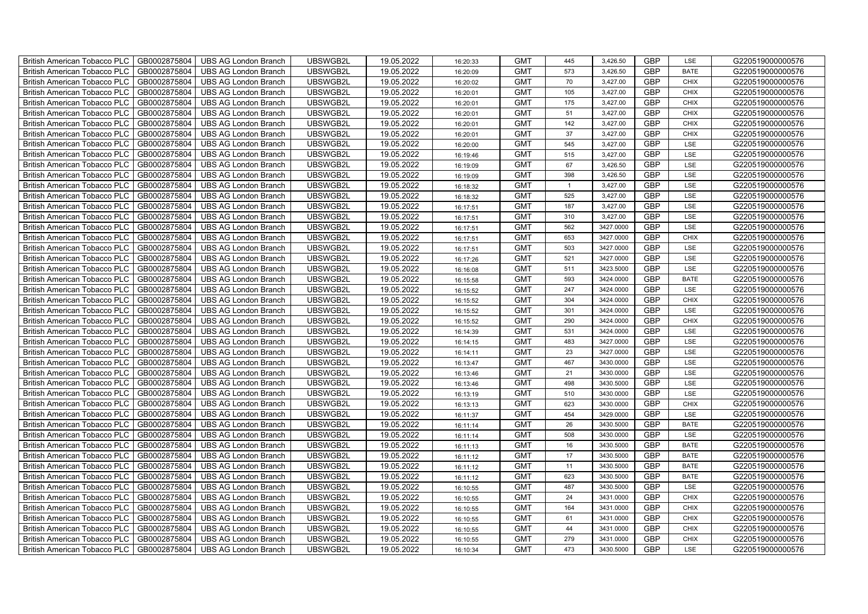| British American Tobacco PLC<br>GB0002875804        | <b>UBS AG London Branch</b> | UBSWGB2L | 19.05.2022 | 16:20:33 | <b>GMT</b> | 445            | 3,426.50  | <b>GBP</b> | LSE         | G220519000000576 |
|-----------------------------------------------------|-----------------------------|----------|------------|----------|------------|----------------|-----------|------------|-------------|------------------|
| GB0002875804<br><b>British American Tobacco PLC</b> | <b>UBS AG London Branch</b> | UBSWGB2L | 19.05.2022 | 16:20:09 | <b>GMT</b> | 573            | 3,426.50  | <b>GBP</b> | <b>BATE</b> | G220519000000576 |
| GB0002875804<br><b>British American Tobacco PLC</b> | <b>UBS AG London Branch</b> | UBSWGB2L | 19.05.2022 | 16:20:02 | <b>GMT</b> | 70             | 3,427.00  | <b>GBP</b> | <b>CHIX</b> | G220519000000576 |
| GB0002875804<br>British American Tobacco PLC        | <b>UBS AG London Branch</b> | UBSWGB2L | 19.05.2022 | 16:20:01 | <b>GMT</b> | 105            | 3,427.00  | <b>GBP</b> | <b>CHIX</b> | G220519000000576 |
| GB0002875804<br>British American Tobacco PLC        | <b>UBS AG London Branch</b> | UBSWGB2L | 19.05.2022 | 16:20:01 | <b>GMT</b> | 175            | 3,427.00  | <b>GBP</b> | <b>CHIX</b> | G220519000000576 |
| GB0002875804<br>British American Tobacco PLC        | <b>UBS AG London Branch</b> | UBSWGB2L | 19.05.2022 | 16:20:01 | <b>GMT</b> | 51             | 3,427.00  | <b>GBP</b> | <b>CHIX</b> | G220519000000576 |
| GB0002875804<br><b>British American Tobacco PLC</b> | <b>UBS AG London Branch</b> | UBSWGB2L | 19.05.2022 | 16:20:01 | <b>GMT</b> | 142            | 3,427.00  | <b>GBP</b> | <b>CHIX</b> | G220519000000576 |
| British American Tobacco PLC<br>GB0002875804        | <b>UBS AG London Branch</b> | UBSWGB2L | 19.05.2022 | 16:20:01 | <b>GMT</b> | 37             | 3,427.00  | <b>GBP</b> | <b>CHIX</b> | G220519000000576 |
| GB0002875804<br>British American Tobacco PLC        | <b>UBS AG London Branch</b> | UBSWGB2L | 19.05.2022 | 16:20:00 | <b>GMT</b> | 545            | 3,427.00  | <b>GBP</b> | LSE         | G220519000000576 |
| GB0002875804<br>British American Tobacco PLC        | <b>UBS AG London Branch</b> | UBSWGB2L | 19.05.2022 | 16:19:46 | <b>GMT</b> | 515            | 3,427.00  | <b>GBP</b> | LSE         | G220519000000576 |
| <b>British American Tobacco PLC</b><br>GB0002875804 | <b>UBS AG London Branch</b> | UBSWGB2L | 19.05.2022 | 16:19:09 | <b>GMT</b> | 67             | 3,426.50  | <b>GBP</b> | LSE         | G220519000000576 |
| GB0002875804<br><b>British American Tobacco PLC</b> | <b>UBS AG London Branch</b> | UBSWGB2L | 19.05.2022 | 16:19:09 | <b>GMT</b> | 398            | 3,426.50  | <b>GBP</b> | LSE         | G220519000000576 |
| GB0002875804<br>British American Tobacco PLC        | <b>UBS AG London Branch</b> | UBSWGB2L | 19.05.2022 | 16:18:32 | <b>GMT</b> | $\overline{1}$ | 3,427.00  | <b>GBP</b> | LSE         | G220519000000576 |
| GB0002875804<br>British American Tobacco PLC        | <b>UBS AG London Branch</b> | UBSWGB2L | 19.05.2022 | 16:18:32 | <b>GMT</b> | 525            | 3,427.00  | <b>GBP</b> | LSE         | G220519000000576 |
| GB0002875804<br>British American Tobacco PLC        | <b>UBS AG London Branch</b> | UBSWGB2L | 19.05.2022 | 16:17:51 | <b>GMT</b> | 187            | 3,427.00  | <b>GBP</b> | LSE         | G220519000000576 |
| GB0002875804<br>British American Tobacco PLC        | <b>UBS AG London Branch</b> | UBSWGB2L | 19.05.2022 | 16:17:51 | <b>GMT</b> | 310            | 3,427.00  | GBP        | LSE         | G220519000000576 |
| British American Tobacco PLC<br>GB0002875804        | <b>UBS AG London Branch</b> | UBSWGB2L | 19.05.2022 | 16:17:51 | <b>GMT</b> | 562            | 3427.0000 | <b>GBP</b> | LSE         | G220519000000576 |
| GB0002875804<br>British American Tobacco PLC        | <b>UBS AG London Branch</b> | UBSWGB2L | 19.05.2022 | 16:17:51 | <b>GMT</b> | 653            | 3427.0000 | <b>GBP</b> | <b>CHIX</b> | G220519000000576 |
| GB0002875804<br>British American Tobacco PLC        | <b>UBS AG London Branch</b> | UBSWGB2L | 19.05.2022 | 16:17:51 | <b>GMT</b> | 503            | 3427.0000 | <b>GBP</b> | LSE         | G220519000000576 |
| <b>British American Tobacco PLC</b><br>GB0002875804 | <b>UBS AG London Branch</b> | UBSWGB2L | 19.05.2022 | 16:17:26 | <b>GMT</b> | 521            | 3427.0000 | GBP        | LSE         | G220519000000576 |
| GB0002875804<br><b>British American Tobacco PLC</b> | <b>UBS AG London Branch</b> | UBSWGB2L | 19.05.2022 | 16:16:08 | <b>GMT</b> | 511            | 3423.5000 | <b>GBP</b> | LSE         | G220519000000576 |
| GB0002875804<br>British American Tobacco PLC        | <b>UBS AG London Branch</b> | UBSWGB2L | 19.05.2022 | 16:15:58 | <b>GMT</b> | 593            | 3424.0000 | GBP        | <b>BATE</b> | G220519000000576 |
| GB0002875804<br>British American Tobacco PLC        | <b>UBS AG London Branch</b> | UBSWGB2L | 19.05.2022 | 16:15:52 | <b>GMT</b> | 247            | 3424.0000 | GBP        | LSE         | G220519000000576 |
| GB0002875804<br>British American Tobacco PLC        | <b>UBS AG London Branch</b> | UBSWGB2L | 19.05.2022 | 16:15:52 | <b>GMT</b> | 304            | 3424.0000 | GBP        | <b>CHIX</b> | G220519000000576 |
| British American Tobacco PLC<br>GB0002875804        | <b>UBS AG London Branch</b> | UBSWGB2L | 19.05.2022 | 16:15:52 | <b>GMT</b> | 301            | 3424.0000 | <b>GBP</b> | LSE         | G220519000000576 |
| GB0002875804<br>British American Tobacco PLC        | <b>UBS AG London Branch</b> | UBSWGB2L | 19.05.2022 | 16:15:52 | <b>GMT</b> | 290            | 3424.0000 | <b>GBP</b> | CHIX        | G220519000000576 |
| GB0002875804<br>British American Tobacco PLC        | <b>UBS AG London Branch</b> | UBSWGB2L | 19.05.2022 | 16:14:39 | <b>GMT</b> | 531            | 3424.0000 | GBP        | LSE         | G220519000000576 |
| GB0002875804<br>British American Tobacco PLC        | <b>UBS AG London Branch</b> | UBSWGB2L | 19.05.2022 | 16:14:15 | <b>GMT</b> | 483            | 3427.0000 | <b>GBP</b> | LSE         | G220519000000576 |
| <b>British American Tobacco PLC</b><br>GB0002875804 | <b>UBS AG London Branch</b> | UBSWGB2L | 19.05.2022 | 16:14:11 | <b>GMT</b> | 23             | 3427.0000 | <b>GBP</b> | LSE         | G220519000000576 |
| GB0002875804<br><b>British American Tobacco PLC</b> | <b>UBS AG London Branch</b> | UBSWGB2L | 19.05.2022 | 16:13:47 | <b>GMT</b> | 467            | 3430.0000 | <b>GBP</b> | LSE         | G220519000000576 |
| GB0002875804<br>British American Tobacco PLC        | <b>UBS AG London Branch</b> | UBSWGB2L | 19.05.2022 | 16:13:46 | <b>GMT</b> | 21             | 3430.0000 | GBP        | LSE         | G220519000000576 |
| GB0002875804<br>British American Tobacco PLC        | <b>UBS AG London Branch</b> | UBSWGB2L | 19.05.2022 | 16:13:46 | <b>GMT</b> | 498            | 3430.5000 | GBP        | LSE         | G220519000000576 |
| British American Tobacco PLC<br>GB0002875804        | <b>UBS AG London Branch</b> | UBSWGB2L | 19.05.2022 | 16:13:19 | <b>GMT</b> | 510            | 3430.0000 | GBP        | LSE         | G220519000000576 |
| British American Tobacco PLC<br>GB0002875804        | <b>UBS AG London Branch</b> | UBSWGB2L | 19.05.2022 | 16:13:13 | <b>GMT</b> | 623            | 3430.0000 | <b>GBP</b> | <b>CHIX</b> | G220519000000576 |
| GB0002875804<br>British American Tobacco PLC        | <b>UBS AG London Branch</b> | UBSWGB2L | 19.05.2022 | 16:11:37 | <b>GMT</b> | 454            | 3429.0000 | <b>GBP</b> | LSE         | G220519000000576 |
| GB0002875804<br>British American Tobacco PLC        | <b>UBS AG London Branch</b> | UBSWGB2L | 19.05.2022 | 16:11:14 | <b>GMT</b> | 26             | 3430.5000 | GBP        | <b>BATE</b> | G220519000000576 |
| GB0002875804<br>British American Tobacco PLC        | <b>UBS AG London Branch</b> | UBSWGB2L | 19.05.2022 | 16:11:14 | <b>GMT</b> | 508            | 3430.0000 | GBP        | LSE         | G220519000000576 |
| <b>British American Tobacco PLC</b><br>GB0002875804 | <b>UBS AG London Branch</b> | UBSWGB2L | 19.05.2022 | 16:11:13 | <b>GMT</b> | 16             | 3430.5000 | <b>GBP</b> | <b>BATE</b> | G220519000000576 |
| GB0002875804<br><b>British American Tobacco PLC</b> | <b>UBS AG London Branch</b> | UBSWGB2L | 19.05.2022 | 16:11:12 | <b>GMT</b> | 17             | 3430.5000 | <b>GBP</b> | <b>BATE</b> | G220519000000576 |
| GB0002875804<br><b>British American Tobacco PLC</b> | <b>UBS AG London Branch</b> | UBSWGB2L | 19.05.2022 | 16:11:12 | <b>GMT</b> | 11             | 3430.5000 | <b>GBP</b> | <b>BATE</b> | G220519000000576 |
| British American Tobacco PLC<br>GB0002875804        | <b>UBS AG London Branch</b> | UBSWGB2L | 19.05.2022 | 16:11:12 | <b>GMT</b> | 623            | 3430.5000 | GBP        | <b>BATE</b> | G220519000000576 |
| British American Tobacco PLC<br>GB0002875804        | <b>UBS AG London Branch</b> | UBSWGB2L | 19.05.2022 | 16:10:55 | <b>GMT</b> | 487            | 3430.5000 | GBP        | LSE         | G220519000000576 |
| British American Tobacco PLC<br>GB0002875804        | <b>UBS AG London Branch</b> | UBSWGB2L | 19.05.2022 | 16:10:55 | <b>GMT</b> | 24             | 3431.0000 | <b>GBP</b> | <b>CHIX</b> | G220519000000576 |
| GB0002875804<br><b>British American Tobacco PLC</b> | <b>UBS AG London Branch</b> | UBSWGB2L | 19.05.2022 | 16:10:55 | <b>GMT</b> | 164            | 3431.0000 | <b>GBP</b> | <b>CHIX</b> | G220519000000576 |
| GB0002875804<br><b>British American Tobacco PLC</b> | <b>UBS AG London Branch</b> | UBSWGB2L | 19.05.2022 | 16:10:55 | <b>GMT</b> | 61             | 3431.0000 | GBP        | <b>CHIX</b> | G220519000000576 |
| GB0002875804<br><b>British American Tobacco PLC</b> | <b>UBS AG London Branch</b> | UBSWGB2L | 19.05.2022 | 16:10:55 | <b>GMT</b> | 44             | 3431.0000 | GBP        | <b>CHIX</b> | G220519000000576 |
| <b>British American Tobacco PLC</b><br>GB0002875804 | <b>UBS AG London Branch</b> | UBSWGB2L | 19.05.2022 | 16:10:55 | <b>GMT</b> | 279            | 3431.0000 | <b>GBP</b> | <b>CHIX</b> | G220519000000576 |
| GB0002875804<br>British American Tobacco PLC        | <b>UBS AG London Branch</b> | UBSWGB2L | 19.05.2022 | 16:10:34 | <b>GMT</b> | 473            | 3430.5000 | <b>GBP</b> | LSE         | G220519000000576 |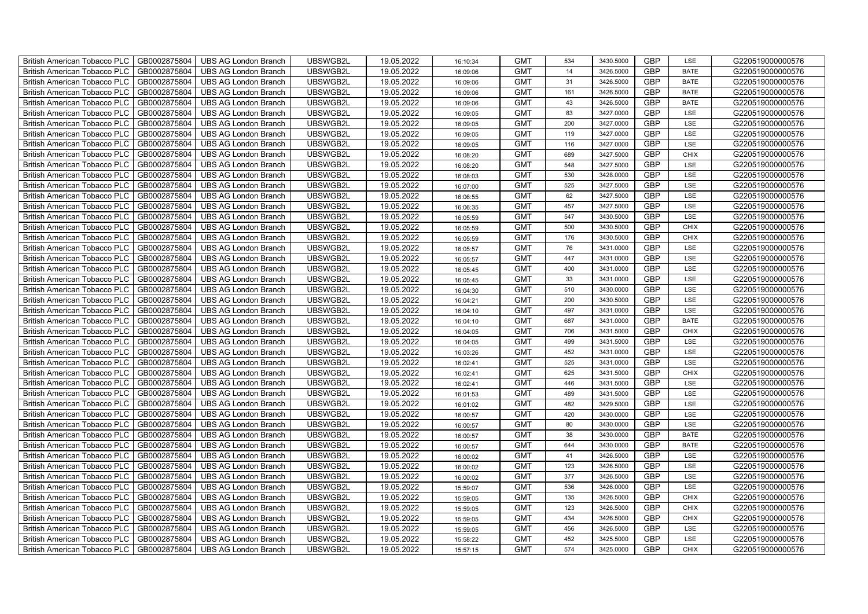| British American Tobacco PLC   GB0002875804 |              | <b>UBS AG London Branch</b> | UBSWGB2L | 19.05.2022 | 16:10:34 | <b>GMT</b> | 534 | 3430.5000 | <b>GBP</b> | LSE         | G220519000000576 |
|---------------------------------------------|--------------|-----------------------------|----------|------------|----------|------------|-----|-----------|------------|-------------|------------------|
| <b>British American Tobacco PLC</b>         | GB0002875804 | <b>UBS AG London Branch</b> | UBSWGB2L | 19.05.2022 | 16:09:06 | <b>GMT</b> | 14  | 3426.5000 | <b>GBP</b> | <b>BATE</b> | G220519000000576 |
| <b>British American Tobacco PLC</b>         | GB0002875804 | UBS AG London Branch        | UBSWGB2L | 19.05.2022 | 16:09:06 | <b>GMT</b> | 31  | 3426.5000 | <b>GBP</b> | <b>BATE</b> | G220519000000576 |
| <b>British American Tobacco PLC</b>         | GB0002875804 | <b>UBS AG London Branch</b> | UBSWGB2L | 19.05.2022 | 16:09:06 | <b>GMT</b> | 161 | 3426.5000 | <b>GBP</b> | <b>BATE</b> | G220519000000576 |
| <b>British American Tobacco PLC</b>         | GB0002875804 | UBS AG London Branch        | UBSWGB2L | 19.05.2022 | 16:09:06 | <b>GMT</b> | 43  | 3426.5000 | <b>GBP</b> | <b>BATE</b> | G220519000000576 |
| <b>British American Tobacco PLC</b>         | GB0002875804 | <b>UBS AG London Branch</b> | UBSWGB2L | 19.05.2022 | 16:09:05 | <b>GMT</b> | 83  | 3427.0000 | <b>GBP</b> | LSE         | G220519000000576 |
| <b>British American Tobacco PLC</b>         | GB0002875804 | <b>UBS AG London Branch</b> | UBSWGB2L | 19.05.2022 | 16:09:05 | <b>GMT</b> | 200 | 3427.0000 | <b>GBP</b> | LSE         | G220519000000576 |
| <b>British American Tobacco PLC</b>         | GB0002875804 | UBS AG London Branch        | UBSWGB2L | 19.05.2022 | 16:09:05 | <b>GMT</b> | 119 | 3427.0000 | <b>GBP</b> | LSE         | G220519000000576 |
| <b>British American Tobacco PLC</b>         | GB0002875804 | <b>UBS AG London Branch</b> | UBSWGB2L | 19.05.2022 | 16:09:05 | <b>GMT</b> | 116 | 3427.0000 | <b>GBP</b> | LSE         | G220519000000576 |
| <b>British American Tobacco PLC</b>         | GB0002875804 | <b>UBS AG London Branch</b> | UBSWGB2L | 19.05.2022 | 16:08:20 | <b>GMT</b> | 689 | 3427.5000 | <b>GBP</b> | <b>CHIX</b> | G220519000000576 |
| British American Tobacco PLC                | GB0002875804 | <b>UBS AG London Branch</b> | UBSWGB2L | 19.05.2022 | 16:08:20 | <b>GMT</b> | 548 | 3427.5000 | <b>GBP</b> | LSE         | G220519000000576 |
| British American Tobacco PLC                | GB0002875804 | UBS AG London Branch        | UBSWGB2L | 19.05.2022 | 16:08:03 | <b>GMT</b> | 530 | 3428.0000 | <b>GBP</b> | LSE         | G220519000000576 |
| British American Tobacco PLC                | GB0002875804 | <b>UBS AG London Branch</b> | UBSWGB2L | 19.05.2022 | 16:07:00 | <b>GMT</b> | 525 | 3427.5000 | <b>GBP</b> | LSE         | G220519000000576 |
| British American Tobacco PLC                | GB0002875804 | <b>UBS AG London Branch</b> | UBSWGB2L | 19.05.2022 | 16:06:55 | <b>GMT</b> | 62  | 3427.5000 | <b>GBP</b> | LSE         | G220519000000576 |
| British American Tobacco PLC                | GB0002875804 | <b>UBS AG London Branch</b> | UBSWGB2L | 19.05.2022 | 16:06:35 | <b>GMT</b> | 457 | 3427.5000 | <b>GBP</b> | LSE         | G220519000000576 |
| British American Tobacco PLC                | GB0002875804 | <b>UBS AG London Branch</b> | UBSWGB2L | 19.05.2022 | 16:05:59 | <b>GMT</b> | 547 | 3430.5000 | <b>GBP</b> | LSE         | G220519000000576 |
| British American Tobacco PLC                | GB0002875804 | <b>UBS AG London Branch</b> | UBSWGB2L | 19.05.2022 | 16:05:59 | <b>GMT</b> | 500 | 3430.5000 | <b>GBP</b> | <b>CHIX</b> | G220519000000576 |
| British American Tobacco PLC                | GB0002875804 | <b>UBS AG London Branch</b> | UBSWGB2L | 19.05.2022 | 16:05:59 | <b>GMT</b> | 176 | 3430.5000 | <b>GBP</b> | <b>CHIX</b> | G220519000000576 |
| British American Tobacco PLC                | GB0002875804 | <b>UBS AG London Branch</b> | UBSWGB2L | 19.05.2022 | 16:05:57 | <b>GMT</b> | 76  | 3431.0000 | <b>GBP</b> | LSE         | G220519000000576 |
| <b>British American Tobacco PLC</b>         | GB0002875804 | <b>UBS AG London Branch</b> | UBSWGB2L | 19.05.2022 | 16:05:57 | <b>GMT</b> | 447 | 3431.0000 | <b>GBP</b> | LSE         | G220519000000576 |
| British American Tobacco PLC                | GB0002875804 | UBS AG London Branch        | UBSWGB2L | 19.05.2022 | 16:05:45 | <b>GMT</b> | 400 | 3431.0000 | <b>GBP</b> | <b>LSE</b>  | G220519000000576 |
| British American Tobacco PLC                | GB0002875804 | UBS AG London Branch        | UBSWGB2L | 19.05.2022 | 16:05:45 | <b>GMT</b> | 33  | 3431.0000 | GBP        | LSE         | G220519000000576 |
| British American Tobacco PLC                | GB0002875804 | <b>UBS AG London Branch</b> | UBSWGB2L | 19.05.2022 | 16:04:30 | <b>GMT</b> | 510 | 3430.0000 | <b>GBP</b> | LSE         | G220519000000576 |
| British American Tobacco PLC                | GB0002875804 | <b>UBS AG London Branch</b> | UBSWGB2L | 19.05.2022 | 16:04:21 | <b>GMT</b> | 200 | 3430.5000 | GBP        | LSE         | G220519000000576 |
| British American Tobacco PLC                | GB0002875804 | <b>UBS AG London Branch</b> | UBSWGB2L | 19.05.2022 | 16:04:10 | <b>GMT</b> | 497 | 3431.0000 | <b>GBP</b> | LSE         | G220519000000576 |
| British American Tobacco PLC                | GB0002875804 | <b>UBS AG London Branch</b> | UBSWGB2L | 19.05.2022 | 16:04:10 | <b>GMT</b> | 687 | 3431.0000 | <b>GBP</b> | <b>BATE</b> | G220519000000576 |
| British American Tobacco PLC                | GB0002875804 | <b>UBS AG London Branch</b> | UBSWGB2L | 19.05.2022 | 16:04:05 | <b>GMT</b> | 706 | 3431.5000 | <b>GBP</b> | <b>CHIX</b> | G220519000000576 |
| British American Tobacco PLC                | GB0002875804 | <b>UBS AG London Branch</b> | UBSWGB2L | 19.05.2022 | 16:04:05 | <b>GMT</b> | 499 | 3431.5000 | <b>GBP</b> | LSE         | G220519000000576 |
| <b>British American Tobacco PLC</b>         | GB0002875804 | <b>UBS AG London Branch</b> | UBSWGB2L | 19.05.2022 | 16:03:26 | <b>GMT</b> | 452 | 3431.0000 | <b>GBP</b> | LSE         | G220519000000576 |
| British American Tobacco PLC                | GB0002875804 | UBS AG London Branch        | UBSWGB2L | 19.05.2022 | 16:02:41 | <b>GMT</b> | 525 | 3431.0000 | <b>GBP</b> | LSE         | G220519000000576 |
| British American Tobacco PLC                | GB0002875804 | <b>UBS AG London Branch</b> | UBSWGB2L | 19.05.2022 | 16:02:41 | <b>GMT</b> | 625 | 3431.5000 | GBP        | <b>CHIX</b> | G220519000000576 |
| British American Tobacco PLC                | GB0002875804 | <b>UBS AG London Branch</b> | UBSWGB2L | 19.05.2022 | 16:02:41 | <b>GMT</b> | 446 | 3431.5000 | <b>GBP</b> | LSE         | G220519000000576 |
| British American Tobacco PLC                | GB0002875804 | UBS AG London Branch        | UBSWGB2L | 19.05.2022 | 16:01:53 | <b>GMT</b> | 489 | 3431.5000 | GBP        | LSE         | G220519000000576 |
| British American Tobacco PLC                | GB0002875804 | UBS AG London Branch        | UBSWGB2L | 19.05.2022 | 16:01:02 | <b>GMT</b> | 482 | 3429.5000 | <b>GBP</b> | LSE         | G220519000000576 |
| British American Tobacco PLC                | GB0002875804 | UBS AG London Branch        | UBSWGB2L | 19.05.2022 | 16:00:57 | <b>GMT</b> | 420 | 3430.0000 | <b>GBP</b> | LSE         | G220519000000576 |
| British American Tobacco PLC                | GB0002875804 | <b>UBS AG London Branch</b> | UBSWGB2L | 19.05.2022 | 16:00:57 | <b>GMT</b> | 80  | 3430.0000 | GBP        | LSE         | G220519000000576 |
| British American Tobacco PLC                | GB0002875804 | <b>UBS AG London Branch</b> | UBSWGB2L | 19.05.2022 | 16:00:57 | <b>GMT</b> | 38  | 3430.0000 | <b>GBP</b> | <b>BATE</b> | G220519000000576 |
| <b>British American Tobacco PLC</b>         | GB0002875804 | <b>UBS AG London Branch</b> | UBSWGB2L | 19.05.2022 | 16:00:57 | <b>GMT</b> | 644 | 3430.0000 | <b>GBP</b> | <b>BATE</b> | G220519000000576 |
| British American Tobacco PLC                | GB0002875804 | UBS AG London Branch        | UBSWGB2L | 19.05.2022 | 16:00:02 | <b>GMT</b> | 41  | 3426.5000 | <b>GBP</b> | LSE         | G220519000000576 |
| <b>British American Tobacco PLC</b>         | GB0002875804 | UBS AG London Branch        | UBSWGB2L | 19.05.2022 | 16:00:02 | <b>GMT</b> | 123 | 3426.5000 | <b>GBP</b> | LSE         | G220519000000576 |
| British American Tobacco PLC                | GB0002875804 | UBS AG London Branch        | UBSWGB2L | 19.05.2022 | 16:00:02 | <b>GMT</b> | 377 | 3426.5000 | <b>GBP</b> | LSE         | G220519000000576 |
| <b>British American Tobacco PLC</b>         | GB0002875804 | <b>UBS AG London Branch</b> | UBSWGB2L | 19.05.2022 | 15:59:07 | <b>GMT</b> | 536 | 3426.0000 | GBP        | LSE         | G220519000000576 |
| British American Tobacco PLC                | GB0002875804 | UBS AG London Branch        | UBSWGB2L | 19.05.2022 | 15:59:05 | <b>GMT</b> | 135 | 3426.5000 | <b>GBP</b> | <b>CHIX</b> | G220519000000576 |
| <b>British American Tobacco PLC</b>         | GB0002875804 | UBS AG London Branch        | UBSWGB2L | 19.05.2022 | 15:59:05 | <b>GMT</b> | 123 | 3426.5000 | <b>GBP</b> | <b>CHIX</b> | G220519000000576 |
| British American Tobacco PLC                | GB0002875804 | UBS AG London Branch        | UBSWGB2L | 19.05.2022 | 15:59:05 | <b>GMT</b> | 434 | 3426.5000 | <b>GBP</b> | <b>CHIX</b> | G220519000000576 |
| <b>British American Tobacco PLC</b>         | GB0002875804 | UBS AG London Branch        | UBSWGB2L | 19.05.2022 | 15:59:05 | <b>GMT</b> | 456 | 3426.5000 | <b>GBP</b> | LSE         | G220519000000576 |
| <b>British American Tobacco PLC</b>         | GB0002875804 | <b>UBS AG London Branch</b> | UBSWGB2L | 19.05.2022 | 15:58:22 | <b>GMT</b> | 452 | 3425.5000 | <b>GBP</b> | LSE         | G220519000000576 |
| British American Tobacco PLC                | GB0002875804 | UBS AG London Branch        | UBSWGB2L | 19.05.2022 | 15:57:15 | <b>GMT</b> | 574 | 3425.0000 | <b>GBP</b> | <b>CHIX</b> | G220519000000576 |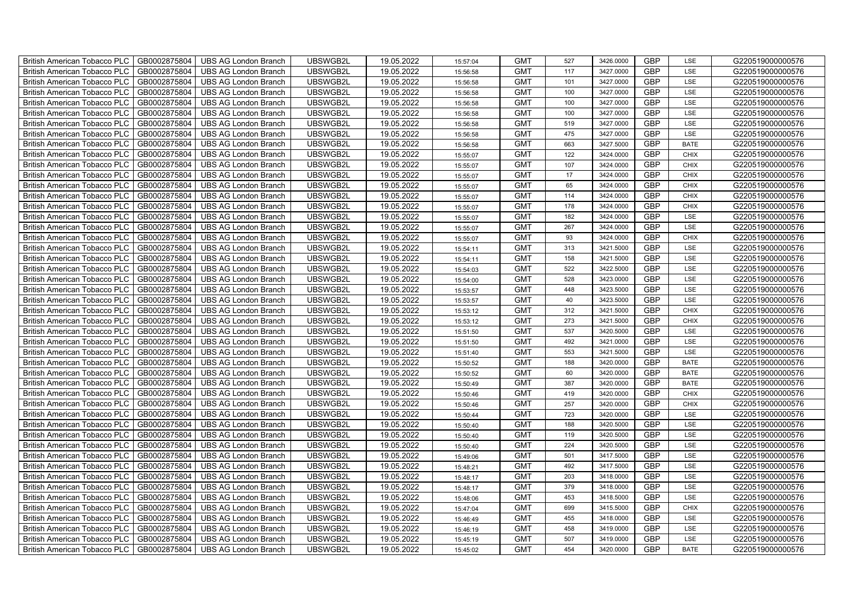| British American Tobacco PLC        | GB0002875804 | <b>UBS AG London Branch</b> | UBSWGB2L | 19.05.2022 | 15:57:04 | <b>GMT</b> | 527 | 3426.0000 | <b>GBP</b> | LSE         | G220519000000576 |
|-------------------------------------|--------------|-----------------------------|----------|------------|----------|------------|-----|-----------|------------|-------------|------------------|
| <b>British American Tobacco PLC</b> | GB0002875804 | <b>UBS AG London Branch</b> | UBSWGB2L | 19.05.2022 | 15:56:58 | <b>GMT</b> | 117 | 3427.0000 | <b>GBP</b> | LSE         | G220519000000576 |
| <b>British American Tobacco PLC</b> | GB0002875804 | UBS AG London Branch        | UBSWGB2L | 19.05.2022 | 15:56:58 | <b>GMT</b> | 101 | 3427.0000 | <b>GBP</b> | <b>LSE</b>  | G220519000000576 |
| <b>British American Tobacco PLC</b> | GB0002875804 | <b>UBS AG London Branch</b> | UBSWGB2L | 19.05.2022 | 15:56:58 | <b>GMT</b> | 100 | 3427.0000 | <b>GBP</b> | LSE         | G220519000000576 |
| British American Tobacco PLC        | GB0002875804 | <b>UBS AG London Branch</b> | UBSWGB2L | 19.05.2022 | 15:56:58 | <b>GMT</b> | 100 | 3427.0000 | <b>GBP</b> | LSE         | G220519000000576 |
| <b>British American Tobacco PLC</b> | GB0002875804 | <b>UBS AG London Branch</b> | UBSWGB2L | 19.05.2022 | 15:56:58 | <b>GMT</b> | 100 | 3427.0000 | <b>GBP</b> | LSE         | G220519000000576 |
| British American Tobacco PLC        | GB0002875804 | <b>UBS AG London Branch</b> | UBSWGB2L | 19.05.2022 | 15:56:58 | <b>GMT</b> | 519 | 3427.0000 | <b>GBP</b> | LSE         | G220519000000576 |
| <b>British American Tobacco PLC</b> | GB0002875804 | <b>UBS AG London Branch</b> | UBSWGB2L | 19.05.2022 | 15:56:58 | <b>GMT</b> | 475 | 3427.0000 | <b>GBP</b> | LSE         | G220519000000576 |
| <b>British American Tobacco PLC</b> | GB0002875804 | <b>UBS AG London Branch</b> | UBSWGB2L | 19.05.2022 | 15:56:58 | <b>GMT</b> | 663 | 3427.5000 | <b>GBP</b> | <b>BATE</b> | G220519000000576 |
| British American Tobacco PLC        | GB0002875804 | <b>UBS AG London Branch</b> | UBSWGB2L | 19.05.2022 | 15:55:07 | <b>GMT</b> | 122 | 3424.0000 | <b>GBP</b> | <b>CHIX</b> | G220519000000576 |
| <b>British American Tobacco PLC</b> | GB0002875804 | <b>UBS AG London Branch</b> | UBSWGB2L | 19.05.2022 | 15:55:07 | <b>GMT</b> | 107 | 3424.0000 | <b>GBP</b> | <b>CHIX</b> | G220519000000576 |
| <b>British American Tobacco PLC</b> | GB0002875804 | <b>UBS AG London Branch</b> | UBSWGB2L | 19.05.2022 | 15:55:07 | <b>GMT</b> | 17  | 3424.0000 | <b>GBP</b> | <b>CHIX</b> | G220519000000576 |
| <b>British American Tobacco PLC</b> | GB0002875804 | <b>UBS AG London Branch</b> | UBSWGB2L | 19.05.2022 | 15:55:07 | <b>GMT</b> | 65  | 3424.0000 | <b>GBP</b> | <b>CHIX</b> | G220519000000576 |
| British American Tobacco PLC        | GB0002875804 | <b>UBS AG London Branch</b> | UBSWGB2L | 19.05.2022 | 15:55:07 | <b>GMT</b> | 114 | 3424.0000 | <b>GBP</b> | <b>CHIX</b> | G220519000000576 |
| <b>British American Tobacco PLC</b> | GB0002875804 | <b>UBS AG London Branch</b> | UBSWGB2L | 19.05.2022 | 15:55:07 | <b>GMT</b> | 178 | 3424.0000 | <b>GBP</b> | <b>CHIX</b> | G220519000000576 |
| British American Tobacco PLC        | GB0002875804 | <b>UBS AG London Branch</b> | UBSWGB2L | 19.05.2022 | 15:55:07 | <b>GMT</b> | 182 | 3424.0000 | <b>GBP</b> | LSE         | G220519000000576 |
| <b>British American Tobacco PLC</b> | GB0002875804 | <b>UBS AG London Branch</b> | UBSWGB2L | 19.05.2022 | 15:55:07 | <b>GMT</b> | 267 | 3424.0000 | <b>GBP</b> | LSE         | G220519000000576 |
| <b>British American Tobacco PLC</b> | GB0002875804 | <b>UBS AG London Branch</b> | UBSWGB2L | 19.05.2022 | 15:55:07 | <b>GMT</b> | 93  | 3424.0000 | <b>GBP</b> | <b>CHIX</b> | G220519000000576 |
| British American Tobacco PLC        | GB0002875804 | <b>UBS AG London Branch</b> | UBSWGB2L | 19.05.2022 | 15:54:11 | <b>GMT</b> | 313 | 3421.5000 | <b>GBP</b> | LSE         | G220519000000576 |
| <b>British American Tobacco PLC</b> | GB0002875804 | <b>UBS AG London Branch</b> | UBSWGB2L | 19.05.2022 | 15:54:11 | <b>GMT</b> | 158 | 3421.5000 | <b>GBP</b> | LSE         | G220519000000576 |
| <b>British American Tobacco PLC</b> | GB0002875804 | <b>UBS AG London Branch</b> | UBSWGB2L | 19.05.2022 | 15:54:03 | <b>GMT</b> | 522 | 3422.5000 | <b>GBP</b> | <b>LSE</b>  | G220519000000576 |
| British American Tobacco PLC        | GB0002875804 | <b>UBS AG London Branch</b> | UBSWGB2L | 19.05.2022 | 15:54:00 | <b>GMT</b> | 528 | 3423.0000 | <b>GBP</b> | LSE         | G220519000000576 |
| British American Tobacco PLC        | GB0002875804 | <b>UBS AG London Branch</b> | UBSWGB2L | 19.05.2022 | 15:53:57 | <b>GMT</b> | 448 | 3423.5000 | <b>GBP</b> | LSE         | G220519000000576 |
| <b>British American Tobacco PLC</b> | GB0002875804 | UBS AG London Branch        | UBSWGB2L | 19.05.2022 | 15:53:57 | <b>GMT</b> | 40  | 3423.5000 | <b>GBP</b> | LSE         | G220519000000576 |
| <b>British American Tobacco PLC</b> | GB0002875804 | <b>UBS AG London Branch</b> | UBSWGB2L | 19.05.2022 | 15:53:12 | <b>GMT</b> | 312 | 3421.5000 | <b>GBP</b> | <b>CHIX</b> | G220519000000576 |
| <b>British American Tobacco PLC</b> | GB0002875804 | <b>UBS AG London Branch</b> | UBSWGB2L | 19.05.2022 | 15:53:12 | <b>GMT</b> | 273 | 3421.5000 | <b>GBP</b> | <b>CHIX</b> | G220519000000576 |
| <b>British American Tobacco PLC</b> | GB0002875804 | <b>UBS AG London Branch</b> | UBSWGB2L | 19.05.2022 | 15:51:50 | <b>GMT</b> | 537 | 3420.5000 | <b>GBP</b> | LSE         | G220519000000576 |
| British American Tobacco PLC        | GB0002875804 | <b>UBS AG London Branch</b> | UBSWGB2L | 19.05.2022 | 15:51:50 | <b>GMT</b> | 492 | 3421.0000 | <b>GBP</b> | LSE         | G220519000000576 |
| <b>British American Tobacco PLC</b> | GB0002875804 | <b>UBS AG London Branch</b> | UBSWGB2L | 19.05.2022 | 15:51:40 | <b>GMT</b> | 553 | 3421.5000 | <b>GBP</b> | LSE         | G220519000000576 |
| <b>British American Tobacco PLC</b> | GB0002875804 | <b>UBS AG London Branch</b> | UBSWGB2L | 19.05.2022 | 15:50:52 | <b>GMT</b> | 188 | 3420.0000 | <b>GBP</b> | <b>BATE</b> | G220519000000576 |
| British American Tobacco PLC        | GB0002875804 | <b>UBS AG London Branch</b> | UBSWGB2L | 19.05.2022 | 15:50:52 | <b>GMT</b> | 60  | 3420.0000 | GBP        | <b>BATE</b> | G220519000000576 |
| British American Tobacco PLC        | GB0002875804 | <b>UBS AG London Branch</b> | UBSWGB2L | 19.05.2022 | 15:50:49 | <b>GMT</b> | 387 | 3420.0000 | GBP        | <b>BATE</b> | G220519000000576 |
| <b>British American Tobacco PLC</b> | GB0002875804 | UBS AG London Branch        | UBSWGB2L | 19.05.2022 | 15:50:46 | <b>GMT</b> | 419 | 3420.0000 | <b>GBP</b> | <b>CHIX</b> | G220519000000576 |
| <b>British American Tobacco PLC</b> | GB0002875804 | <b>UBS AG London Branch</b> | UBSWGB2L | 19.05.2022 | 15:50:46 | <b>GMT</b> | 257 | 3420.0000 | <b>GBP</b> | <b>CHIX</b> | G220519000000576 |
| <b>British American Tobacco PLC</b> | GB0002875804 | <b>UBS AG London Branch</b> | UBSWGB2L | 19.05.2022 | 15:50:44 | <b>GMT</b> | 723 | 3420.0000 | <b>GBP</b> | LSE         | G220519000000576 |
| <b>British American Tobacco PLC</b> | GB0002875804 | <b>UBS AG London Branch</b> | UBSWGB2L | 19.05.2022 | 15:50:40 | <b>GMT</b> | 188 | 3420.5000 | <b>GBP</b> | LSE         | G220519000000576 |
| <b>British American Tobacco PLC</b> | GB0002875804 | <b>UBS AG London Branch</b> | UBSWGB2L | 19.05.2022 | 15:50:40 | <b>GMT</b> | 119 | 3420.5000 | <b>GBP</b> | LSE         | G220519000000576 |
| <b>British American Tobacco PLC</b> | GB0002875804 | <b>UBS AG London Branch</b> | UBSWGB2L | 19.05.2022 | 15:50:40 | <b>GMT</b> | 224 | 3420.5000 | <b>GBP</b> | LSE         | G220519000000576 |
| <b>British American Tobacco PLC</b> | GB0002875804 | <b>UBS AG London Branch</b> | UBSWGB2L | 19.05.2022 | 15:49:06 | <b>GMT</b> | 501 | 3417.5000 | <b>GBP</b> | LSE         | G220519000000576 |
| <b>British American Tobacco PLC</b> | GB0002875804 | <b>UBS AG London Branch</b> | UBSWGB2L | 19.05.2022 | 15:48:21 | <b>GMT</b> | 492 | 3417.5000 | <b>GBP</b> | LSE         | G220519000000576 |
| British American Tobacco PLC        | GB0002875804 | <b>UBS AG London Branch</b> | UBSWGB2L | 19.05.2022 | 15:48:17 | <b>GMT</b> | 203 | 3418.0000 | GBP        | LSE         | G220519000000576 |
| <b>British American Tobacco PLC</b> | GB0002875804 | UBS AG London Branch        | UBSWGB2L | 19.05.2022 | 15:48:17 | <b>GMT</b> | 379 | 3418.0000 | <b>GBP</b> | LSE         | G220519000000576 |
| British American Tobacco PLC        | GB0002875804 | <b>UBS AG London Branch</b> | UBSWGB2L | 19.05.2022 | 15:48:06 | <b>GMT</b> | 453 | 3418.5000 | <b>GBP</b> | LSE         | G220519000000576 |
| <b>British American Tobacco PLC</b> | GB0002875804 | <b>UBS AG London Branch</b> | UBSWGB2L | 19.05.2022 | 15:47:04 | <b>GMT</b> | 699 | 3415.5000 | <b>GBP</b> | <b>CHIX</b> | G220519000000576 |
| <b>British American Tobacco PLC</b> | GB0002875804 | <b>UBS AG London Branch</b> | UBSWGB2L | 19.05.2022 | 15:46:49 | <b>GMT</b> | 455 | 3418.0000 | <b>GBP</b> | LSE         | G220519000000576 |
| <b>British American Tobacco PLC</b> | GB0002875804 | <b>UBS AG London Branch</b> | UBSWGB2L | 19.05.2022 | 15:46:19 | <b>GMT</b> | 458 | 3419.0000 | <b>GBP</b> | LSE         | G220519000000576 |
| <b>British American Tobacco PLC</b> | GB0002875804 | <b>UBS AG London Branch</b> | UBSWGB2L | 19.05.2022 | 15:45:19 | <b>GMT</b> | 507 | 3419.0000 | <b>GBP</b> | LSE         | G220519000000576 |
| British American Tobacco PLC        | GB0002875804 | UBS AG London Branch        | UBSWGB2L | 19.05.2022 | 15:45:02 | <b>GMT</b> | 454 | 3420.0000 | <b>GBP</b> | <b>BATE</b> | G220519000000576 |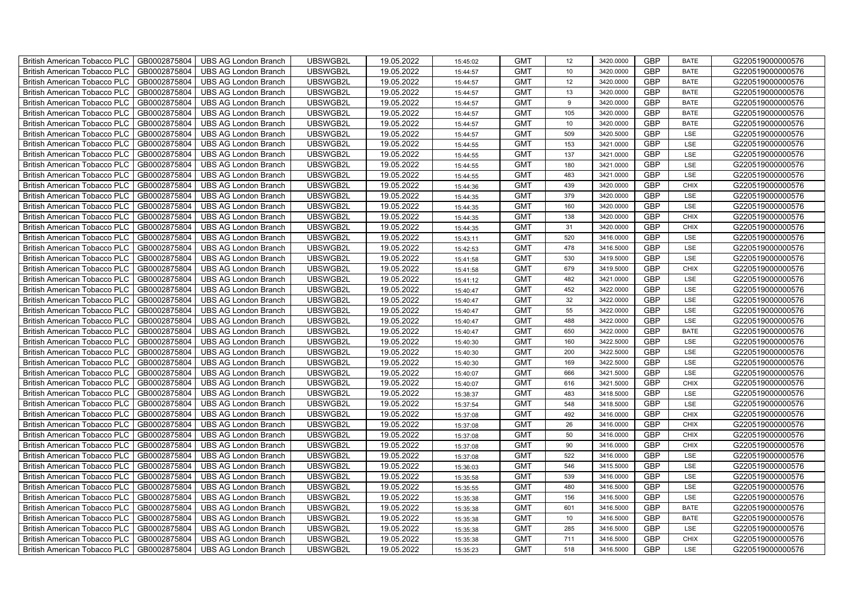| British American Tobacco PLC        | GB0002875804 | <b>UBS AG London Branch</b> | UBSWGB2L | 19.05.2022 | 15:45:02 | <b>GMT</b> | 12              | 3420.0000 | <b>GBP</b> | <b>BATE</b> | G220519000000576 |
|-------------------------------------|--------------|-----------------------------|----------|------------|----------|------------|-----------------|-----------|------------|-------------|------------------|
| <b>British American Tobacco PLC</b> | GB0002875804 | <b>UBS AG London Branch</b> | UBSWGB2L | 19.05.2022 | 15:44:57 | <b>GMT</b> | 10 <sup>1</sup> | 3420.0000 | <b>GBP</b> | <b>BATE</b> | G220519000000576 |
| <b>British American Tobacco PLC</b> | GB0002875804 | <b>UBS AG London Branch</b> | UBSWGB2L | 19.05.2022 | 15:44:57 | <b>GMT</b> | 12              | 3420.0000 | <b>GBP</b> | <b>BATE</b> | G220519000000576 |
| British American Tobacco PLC        | GB0002875804 | <b>UBS AG London Branch</b> | UBSWGB2L | 19.05.2022 | 15:44:57 | <b>GMT</b> | 13              | 3420.0000 | <b>GBP</b> | <b>BATE</b> | G220519000000576 |
| <b>British American Tobacco PLC</b> | GB0002875804 | <b>UBS AG London Branch</b> | UBSWGB2L | 19.05.2022 | 15:44:57 | <b>GMT</b> | 9               | 3420.0000 | <b>GBP</b> | <b>BATE</b> | G220519000000576 |
| British American Tobacco PLC        | GB0002875804 | <b>UBS AG London Branch</b> | UBSWGB2L | 19.05.2022 | 15:44:57 | <b>GMT</b> | 105             | 3420.0000 | <b>GBP</b> | <b>BATE</b> | G220519000000576 |
| <b>British American Tobacco PLC</b> | GB0002875804 | <b>UBS AG London Branch</b> | UBSWGB2L | 19.05.2022 | 15:44:57 | <b>GMT</b> | 10              | 3420.0000 | <b>GBP</b> | <b>BATE</b> | G220519000000576 |
| British American Tobacco PLC        | GB0002875804 | <b>UBS AG London Branch</b> | UBSWGB2L | 19.05.2022 | 15:44:57 | <b>GMT</b> | 509             | 3420.5000 | <b>GBP</b> | LSE         | G220519000000576 |
| <b>British American Tobacco PLC</b> | GB0002875804 | <b>UBS AG London Branch</b> | UBSWGB2L | 19.05.2022 | 15:44:55 | <b>GMT</b> | 153             | 3421.0000 | <b>GBP</b> | LSE         | G220519000000576 |
| British American Tobacco PLC        | GB0002875804 | <b>UBS AG London Branch</b> | UBSWGB2L | 19.05.2022 | 15:44:55 | <b>GMT</b> | 137             | 3421.0000 | <b>GBP</b> | LSE         | G220519000000576 |
| <b>British American Tobacco PLC</b> | GB0002875804 | <b>UBS AG London Branch</b> | UBSWGB2L | 19.05.2022 | 15:44:55 | <b>GMT</b> | 180             | 3421.0000 | <b>GBP</b> | LSE         | G220519000000576 |
| <b>British American Tobacco PLC</b> | GB0002875804 | <b>UBS AG London Branch</b> | UBSWGB2L | 19.05.2022 | 15:44:55 | <b>GMT</b> | 483             | 3421.0000 | <b>GBP</b> | LSE         | G220519000000576 |
| British American Tobacco PLC        | GB0002875804 | <b>UBS AG London Branch</b> | UBSWGB2L | 19.05.2022 | 15:44:36 | <b>GMT</b> | 439             | 3420.0000 | <b>GBP</b> | <b>CHIX</b> | G220519000000576 |
| British American Tobacco PLC        | GB0002875804 | <b>UBS AG London Branch</b> | UBSWGB2L | 19.05.2022 | 15:44:35 | <b>GMT</b> | 379             | 3420.0000 | <b>GBP</b> | LSE         | G220519000000576 |
| British American Tobacco PLC        | GB0002875804 | <b>UBS AG London Branch</b> | UBSWGB2L | 19.05.2022 | 15:44:35 | <b>GMT</b> | 160             | 3420.0000 | <b>GBP</b> | LSE         | G220519000000576 |
| British American Tobacco PLC        | GB0002875804 | <b>UBS AG London Branch</b> | UBSWGB2L | 19.05.2022 | 15:44:35 | <b>GMT</b> | 138             | 3420.0000 | <b>GBP</b> | <b>CHIX</b> | G220519000000576 |
| British American Tobacco PLC        | GB0002875804 | <b>UBS AG London Branch</b> | UBSWGB2L | 19.05.2022 | 15:44:35 | <b>GMT</b> | 31              | 3420.0000 | <b>GBP</b> | <b>CHIX</b> | G220519000000576 |
| British American Tobacco PLC        | GB0002875804 | <b>UBS AG London Branch</b> | UBSWGB2L | 19.05.2022 | 15:43:11 | <b>GMT</b> | 520             | 3416.0000 | <b>GBP</b> | LSE         | G220519000000576 |
| British American Tobacco PLC        | GB0002875804 | <b>UBS AG London Branch</b> | UBSWGB2L | 19.05.2022 | 15:42:53 | <b>GMT</b> | 478             | 3416.5000 | <b>GBP</b> | LSE         | G220519000000576 |
| <b>British American Tobacco PLC</b> | GB0002875804 | <b>UBS AG London Branch</b> | UBSWGB2L | 19.05.2022 | 15:41:58 | <b>GMT</b> | 530             | 3419.5000 | <b>GBP</b> | LSE         | G220519000000576 |
| <b>British American Tobacco PLC</b> | GB0002875804 | <b>UBS AG London Branch</b> | UBSWGB2L | 19.05.2022 | 15:41:58 | <b>GMT</b> | 679             | 3419.5000 | <b>GBP</b> | <b>CHIX</b> | G220519000000576 |
| British American Tobacco PLC        | GB0002875804 | <b>UBS AG London Branch</b> | UBSWGB2L | 19.05.2022 | 15:41:12 | <b>GMT</b> | 482             | 3421.0000 | <b>GBP</b> | LSE         | G220519000000576 |
| British American Tobacco PLC        | GB0002875804 | <b>UBS AG London Branch</b> | UBSWGB2L | 19.05.2022 | 15:40:47 | <b>GMT</b> | 452             | 3422.0000 | <b>GBP</b> | LSE         | G220519000000576 |
| British American Tobacco PLC        | GB0002875804 | <b>UBS AG London Branch</b> | UBSWGB2L | 19.05.2022 | 15:40:47 | <b>GMT</b> | 32              | 3422.0000 | <b>GBP</b> | LSE         | G220519000000576 |
| British American Tobacco PLC        | GB0002875804 | <b>UBS AG London Branch</b> | UBSWGB2L | 19.05.2022 | 15:40:47 | <b>GMT</b> | 55              | 3422.0000 | <b>GBP</b> | LSE         | G220519000000576 |
| British American Tobacco PLC        | GB0002875804 | <b>UBS AG London Branch</b> | UBSWGB2L | 19.05.2022 | 15:40:47 | <b>GMT</b> | 488             | 3422.0000 | <b>GBP</b> | LSE         | G220519000000576 |
| British American Tobacco PLC        | GB0002875804 | <b>UBS AG London Branch</b> | UBSWGB2L | 19.05.2022 | 15:40:47 | <b>GMT</b> | 650             | 3422.0000 | <b>GBP</b> | <b>BATE</b> | G220519000000576 |
| British American Tobacco PLC        | GB0002875804 | <b>UBS AG London Branch</b> | UBSWGB2L | 19.05.2022 | 15:40:30 | <b>GMT</b> | 160             | 3422.5000 | <b>GBP</b> | LSE         | G220519000000576 |
| <b>British American Tobacco PLC</b> | GB0002875804 | <b>UBS AG London Branch</b> | UBSWGB2L | 19.05.2022 | 15:40:30 | <b>GMT</b> | 200             | 3422.5000 | <b>GBP</b> | LSE         | G220519000000576 |
| <b>British American Tobacco PLC</b> | GB0002875804 | <b>UBS AG London Branch</b> | UBSWGB2L | 19.05.2022 | 15:40:30 | <b>GMT</b> | 169             | 3422.5000 | <b>GBP</b> | LSE         | G220519000000576 |
| British American Tobacco PLC        | GB0002875804 | <b>UBS AG London Branch</b> | UBSWGB2L | 19.05.2022 | 15:40:07 | <b>GMT</b> | 666             | 3421.5000 | <b>GBP</b> | LSE         | G220519000000576 |
| British American Tobacco PLC        | GB0002875804 | <b>UBS AG London Branch</b> | UBSWGB2L | 19.05.2022 | 15:40:07 | <b>GMT</b> | 616             | 3421.5000 | <b>GBP</b> | CHIX        | G220519000000576 |
| British American Tobacco PLC        | GB0002875804 | UBS AG London Branch        | UBSWGB2L | 19.05.2022 | 15:38:37 | <b>GMT</b> | 483             | 3418.5000 | <b>GBP</b> | LSE         | G220519000000576 |
| British American Tobacco PLC        | GB0002875804 | UBS AG London Branch        | UBSWGB2L | 19.05.2022 | 15:37:54 | <b>GMT</b> | 548             | 3418.5000 | <b>GBP</b> | LSE         | G220519000000576 |
| British American Tobacco PLC        | GB0002875804 | <b>UBS AG London Branch</b> | UBSWGB2L | 19.05.2022 | 15:37:08 | <b>GMT</b> | 492             | 3416.0000 | <b>GBP</b> | CHIX        | G220519000000576 |
| British American Tobacco PLC        | GB0002875804 | <b>UBS AG London Branch</b> | UBSWGB2L | 19.05.2022 | 15:37:08 | <b>GMT</b> | 26              | 3416.0000 | <b>GBP</b> | CHIX        | G220519000000576 |
| British American Tobacco PLC        | GB0002875804 | <b>UBS AG London Branch</b> | UBSWGB2L | 19.05.2022 | 15:37:08 | <b>GMT</b> | 50              | 3416.0000 | <b>GBP</b> | <b>CHIX</b> | G220519000000576 |
| <b>British American Tobacco PLC</b> | GB0002875804 | <b>UBS AG London Branch</b> | UBSWGB2L | 19.05.2022 | 15:37:08 | <b>GMT</b> | 90              | 3416.0000 | <b>GBP</b> | <b>CHIX</b> | G220519000000576 |
| British American Tobacco PLC        | GB0002875804 | <b>UBS AG London Branch</b> | UBSWGB2L | 19.05.2022 | 15:37:08 | <b>GMT</b> | 522             | 3416.0000 | <b>GBP</b> | LSE         | G220519000000576 |
| <b>British American Tobacco PLC</b> | GB0002875804 | UBS AG London Branch        | UBSWGB2L | 19.05.2022 | 15:36:03 | <b>GMT</b> | 546             | 3415.5000 | <b>GBP</b> | LSE         | G220519000000576 |
| British American Tobacco PLC        | GB0002875804 | UBS AG London Branch        | UBSWGB2L | 19.05.2022 | 15:35:58 | <b>GMT</b> | 539             | 3416.0000 | <b>GBP</b> | LSE         | G220519000000576 |
| British American Tobacco PLC        | GB0002875804 | <b>UBS AG London Branch</b> | UBSWGB2L | 19.05.2022 | 15:35:55 | <b>GMT</b> | 480             | 3416.5000 | <b>GBP</b> | LSE         | G220519000000576 |
| British American Tobacco PLC        | GB0002875804 | UBS AG London Branch        | UBSWGB2L | 19.05.2022 | 15:35:38 | <b>GMT</b> | 156             | 3416.5000 | <b>GBP</b> | LSE         | G220519000000576 |
| <b>British American Tobacco PLC</b> | GB0002875804 | <b>UBS AG London Branch</b> | UBSWGB2L | 19.05.2022 | 15:35:38 | <b>GMT</b> | 601             | 3416.5000 | <b>GBP</b> | <b>BATE</b> | G220519000000576 |
| <b>British American Tobacco PLC</b> | GB0002875804 | <b>UBS AG London Branch</b> | UBSWGB2L | 19.05.2022 | 15:35:38 | <b>GMT</b> | $10$            | 3416.5000 | <b>GBP</b> | <b>BATE</b> | G220519000000576 |
| <b>British American Tobacco PLC</b> | GB0002875804 | <b>UBS AG London Branch</b> | UBSWGB2L | 19.05.2022 | 15:35:38 | <b>GMT</b> | 285             | 3416.5000 | <b>GBP</b> | LSE         | G220519000000576 |
| British American Tobacco PLC        | GB0002875804 | <b>UBS AG London Branch</b> | UBSWGB2L | 19.05.2022 | 15:35:38 | <b>GMT</b> | 711             | 3416.5000 | <b>GBP</b> | <b>CHIX</b> | G220519000000576 |
| British American Tobacco PLC        | GB0002875804 | UBS AG London Branch        | UBSWGB2L | 19.05.2022 | 15:35:23 | <b>GMT</b> | 518             | 3416.5000 | <b>GBP</b> | LSE         | G220519000000576 |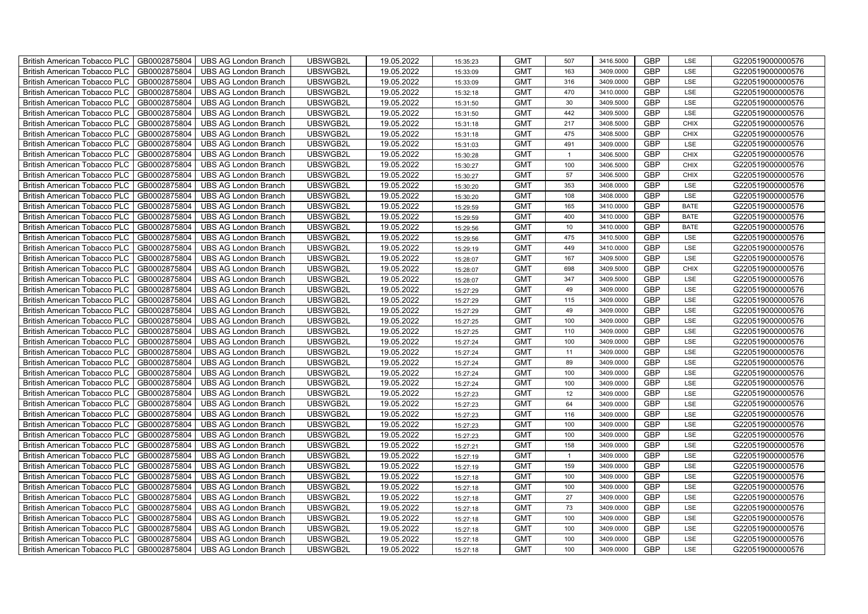| <b>British American Tobacco PLC</b><br>GB0002875804 | <b>UBS AG London Branch</b> | UBSWGB2L | 19.05.2022 | 15:35:23 | <b>GMT</b> | 507          | 3416.5000 | <b>GBP</b> | LSE         | G220519000000576 |
|-----------------------------------------------------|-----------------------------|----------|------------|----------|------------|--------------|-----------|------------|-------------|------------------|
| GB0002875804<br><b>British American Tobacco PLC</b> | <b>UBS AG London Branch</b> | UBSWGB2L | 19.05.2022 | 15:33:09 | <b>GMT</b> | 163          | 3409.0000 | <b>GBP</b> | LSE         | G220519000000576 |
| GB0002875804<br><b>British American Tobacco PLC</b> | <b>UBS AG London Branch</b> | UBSWGB2L | 19.05.2022 | 15:33:09 | <b>GMT</b> | 316          | 3409.0000 | <b>GBP</b> | LSE         | G220519000000576 |
| GB0002875804<br><b>British American Tobacco PLC</b> | <b>UBS AG London Branch</b> | UBSWGB2L | 19.05.2022 | 15:32:18 | <b>GMT</b> | 470          | 3410.0000 | <b>GBP</b> | LSE         | G220519000000576 |
| GB0002875804<br><b>British American Tobacco PLC</b> | <b>UBS AG London Branch</b> | UBSWGB2L | 19.05.2022 | 15:31:50 | <b>GMT</b> | 30           | 3409.5000 | <b>GBP</b> | LSE         | G220519000000576 |
| GB0002875804<br><b>British American Tobacco PLC</b> | <b>UBS AG London Branch</b> | UBSWGB2L | 19.05.2022 | 15:31:50 | <b>GMT</b> | 442          | 3409.5000 | <b>GBP</b> | LSE         | G220519000000576 |
| GB0002875804<br><b>British American Tobacco PLC</b> | <b>UBS AG London Branch</b> | UBSWGB2L | 19.05.2022 | 15:31:18 | <b>GMT</b> | 217          | 3408.5000 | <b>GBP</b> | <b>CHIX</b> | G220519000000576 |
| <b>British American Tobacco PLC</b><br>GB0002875804 | <b>UBS AG London Branch</b> | UBSWGB2L | 19.05.2022 | 15:31:18 | <b>GMT</b> | 475          | 3408.5000 | <b>GBP</b> | <b>CHIX</b> | G220519000000576 |
| GB0002875804<br><b>British American Tobacco PLC</b> | <b>UBS AG London Branch</b> | UBSWGB2L | 19.05.2022 | 15:31:03 | <b>GMT</b> | 491          | 3409.0000 | <b>GBP</b> | LSE         | G220519000000576 |
| GB0002875804<br><b>British American Tobacco PLC</b> | <b>UBS AG London Branch</b> | UBSWGB2L | 19.05.2022 | 15:30:28 | <b>GMT</b> | $\mathbf{1}$ | 3406.5000 | <b>GBP</b> | <b>CHIX</b> | G220519000000576 |
| GB0002875804<br><b>British American Tobacco PLC</b> | <b>UBS AG London Branch</b> | UBSWGB2L | 19.05.2022 | 15:30:27 | <b>GMT</b> | 100          | 3406.5000 | <b>GBP</b> | <b>CHIX</b> | G220519000000576 |
| GB0002875804<br>British American Tobacco PLC        | <b>UBS AG London Branch</b> | UBSWGB2L | 19.05.2022 | 15:30:27 | <b>GMT</b> | 57           | 3406.5000 | <b>GBP</b> | <b>CHIX</b> | G220519000000576 |
| GB0002875804<br><b>British American Tobacco PLC</b> | <b>UBS AG London Branch</b> | UBSWGB2L | 19.05.2022 | 15:30:20 | <b>GMT</b> | 353          | 3408.0000 | <b>GBP</b> | LSE         | G220519000000576 |
| GB0002875804<br><b>British American Tobacco PLC</b> | <b>UBS AG London Branch</b> | UBSWGB2L | 19.05.2022 | 15:30:20 | <b>GMT</b> | 108          | 3408.0000 | <b>GBP</b> | LSE         | G220519000000576 |
| GB0002875804<br><b>British American Tobacco PLC</b> | <b>UBS AG London Branch</b> | UBSWGB2L | 19.05.2022 | 15:29:59 | <b>GMT</b> | 165          | 3410.0000 | <b>GBP</b> | <b>BATE</b> | G220519000000576 |
| GB0002875804<br><b>British American Tobacco PLC</b> | <b>UBS AG London Branch</b> | UBSWGB2L | 19.05.2022 | 15:29:59 | <b>GMT</b> | 400          | 3410.0000 | <b>GBP</b> | <b>BATE</b> | G220519000000576 |
| <b>British American Tobacco PLC</b><br>GB0002875804 | <b>UBS AG London Branch</b> | UBSWGB2L | 19.05.2022 | 15:29:56 | <b>GMT</b> | 10           | 3410.0000 | <b>GBP</b> | <b>BATE</b> | G220519000000576 |
| GB0002875804<br><b>British American Tobacco PLC</b> | <b>UBS AG London Branch</b> | UBSWGB2L | 19.05.2022 | 15:29:56 | <b>GMT</b> | 475          | 3410.5000 | <b>GBP</b> | LSE         | G220519000000576 |
| GB0002875804<br><b>British American Tobacco PLC</b> | <b>UBS AG London Branch</b> | UBSWGB2L | 19.05.2022 | 15:29:19 | <b>GMT</b> | 449          | 3410.0000 | <b>GBP</b> | LSE         | G220519000000576 |
| <b>British American Tobacco PLC</b><br>GB0002875804 | <b>UBS AG London Branch</b> | UBSWGB2L | 19.05.2022 | 15:28:07 | <b>GMT</b> | 167          | 3409.5000 | GBP        | LSE         | G220519000000576 |
| British American Tobacco PLC<br>GB0002875804        | <b>UBS AG London Branch</b> | UBSWGB2L | 19.05.2022 | 15:28:07 | <b>GMT</b> | 698          | 3409.5000 | <b>GBP</b> | <b>CHIX</b> | G220519000000576 |
| GB0002875804<br><b>British American Tobacco PLC</b> | <b>UBS AG London Branch</b> | UBSWGB2L | 19.05.2022 | 15:28:07 | <b>GMT</b> | 347          | 3409.5000 | GBP        | LSE         | G220519000000576 |
| GB0002875804<br><b>British American Tobacco PLC</b> | <b>UBS AG London Branch</b> | UBSWGB2L | 19.05.2022 | 15:27:29 | <b>GMT</b> | 49           | 3409.0000 | GBP        | LSE         | G220519000000576 |
| British American Tobacco PLC<br>GB0002875804        | <b>UBS AG London Branch</b> | UBSWGB2L | 19.05.2022 | 15:27:29 | <b>GMT</b> | 115          | 3409.0000 | GBP        | LSE         | G220519000000576 |
| British American Tobacco PLC<br>GB0002875804        | <b>UBS AG London Branch</b> | UBSWGB2L | 19.05.2022 | 15:27:29 | <b>GMT</b> | 49           | 3409.0000 | <b>GBP</b> | LSE         | G220519000000576 |
| GB0002875804<br><b>British American Tobacco PLC</b> | <b>UBS AG London Branch</b> | UBSWGB2L | 19.05.2022 | 15:27:25 | <b>GMT</b> | 100          | 3409.0000 | <b>GBP</b> | LSE         | G220519000000576 |
| GB0002875804<br><b>British American Tobacco PLC</b> | <b>UBS AG London Branch</b> | UBSWGB2L | 19.05.2022 | 15:27:25 | <b>GMT</b> | 110          | 3409.0000 | GBP        | LSE         | G220519000000576 |
| GB0002875804<br><b>British American Tobacco PLC</b> | <b>UBS AG London Branch</b> | UBSWGB2L | 19.05.2022 | 15:27:24 | <b>GMT</b> | 100          | 3409.0000 | <b>GBP</b> | LSE         | G220519000000576 |
| <b>British American Tobacco PLC</b><br>GB0002875804 | <b>UBS AG London Branch</b> | UBSWGB2L | 19.05.2022 | 15:27:24 | <b>GMT</b> | 11           | 3409.0000 | GBP        | LSE         | G220519000000576 |
| British American Tobacco PLC<br>GB0002875804        | <b>UBS AG London Branch</b> | UBSWGB2L | 19.05.2022 | 15:27:24 | <b>GMT</b> | 89           | 3409.0000 | <b>GBP</b> | LSE         | G220519000000576 |
| GB0002875804<br><b>British American Tobacco PLC</b> | <b>UBS AG London Branch</b> | UBSWGB2L | 19.05.2022 | 15:27:24 | <b>GMT</b> | 100          | 3409.0000 | GBP        | LSE         | G220519000000576 |
| British American Tobacco PLC<br>GB0002875804        | <b>UBS AG London Branch</b> | UBSWGB2L | 19.05.2022 | 15:27:24 | <b>GMT</b> | 100          | 3409.0000 | GBP        | LSE         | G220519000000576 |
| British American Tobacco PLC<br>GB0002875804        | <b>UBS AG London Branch</b> | UBSWGB2L | 19.05.2022 | 15:27:23 | <b>GMT</b> | 12           | 3409.0000 | GBP        | LSE         | G220519000000576 |
| British American Tobacco PLC<br>GB0002875804        | <b>UBS AG London Branch</b> | UBSWGB2L | 19.05.2022 | 15:27:23 | <b>GMT</b> | 64           | 3409.0000 | <b>GBP</b> | LSE         | G220519000000576 |
| GB0002875804<br><b>British American Tobacco PLC</b> | <b>UBS AG London Branch</b> | UBSWGB2L | 19.05.2022 | 15:27:23 | <b>GMT</b> | 116          | 3409.0000 | <b>GBP</b> | LSE         | G220519000000576 |
| GB0002875804<br><b>British American Tobacco PLC</b> | <b>UBS AG London Branch</b> | UBSWGB2L | 19.05.2022 | 15:27:23 | <b>GMT</b> | 100          | 3409.0000 | GBP        | LSE         | G220519000000576 |
| GB0002875804<br><b>British American Tobacco PLC</b> | <b>UBS AG London Branch</b> | UBSWGB2L | 19.05.2022 | 15:27:23 | <b>GMT</b> | 100          | 3409.0000 | GBP        | LSE         | G220519000000576 |
| <b>British American Tobacco PLC</b><br>GB0002875804 | <b>UBS AG London Branch</b> | UBSWGB2L | 19.05.2022 | 15:27:21 | <b>GMT</b> | 158          | 3409.0000 | <b>GBP</b> | LSE         | G220519000000576 |
| British American Tobacco PLC<br>GB0002875804        | <b>UBS AG London Branch</b> | UBSWGB2L | 19.05.2022 | 15:27:19 | <b>GMT</b> | $\mathbf{1}$ | 3409.0000 | <b>GBP</b> | LSE         | G220519000000576 |
| British American Tobacco PLC<br>GB0002875804        | <b>UBS AG London Branch</b> | UBSWGB2L | 19.05.2022 | 15:27:19 | <b>GMT</b> | 159          | 3409.0000 | GBP        | LSE         | G220519000000576 |
| British American Tobacco PLC<br>GB0002875804        | <b>UBS AG London Branch</b> | UBSWGB2L | 19.05.2022 | 15:27:18 | <b>GMT</b> | 100          | 3409.0000 | <b>GBP</b> | LSE         | G220519000000576 |
| <b>British American Tobacco PLC</b><br>GB0002875804 | <b>UBS AG London Branch</b> | UBSWGB2L | 19.05.2022 | 15:27:18 | <b>GMT</b> | 100          | 3409.0000 | GBP        | LSE         | G220519000000576 |
| <b>British American Tobacco PLC</b><br>GB0002875804 | <b>UBS AG London Branch</b> | UBSWGB2L | 19.05.2022 | 15:27:18 | <b>GMT</b> | 27           | 3409.0000 | <b>GBP</b> | LSE         | G220519000000576 |
| GB0002875804<br><b>British American Tobacco PLC</b> | <b>UBS AG London Branch</b> | UBSWGB2L | 19.05.2022 | 15:27:18 | <b>GMT</b> | 73           | 3409.0000 | <b>GBP</b> | LSE         | G220519000000576 |
| GB0002875804<br><b>British American Tobacco PLC</b> | <b>UBS AG London Branch</b> | UBSWGB2L | 19.05.2022 | 15:27:18 | <b>GMT</b> | 100          | 3409.0000 | GBP        | LSE         | G220519000000576 |
| GB0002875804<br><b>British American Tobacco PLC</b> | <b>UBS AG London Branch</b> | UBSWGB2L | 19.05.2022 | 15:27:18 | <b>GMT</b> | 100          | 3409.0000 | GBP        | LSE         | G220519000000576 |
| <b>British American Tobacco PLC</b><br>GB0002875804 | <b>UBS AG London Branch</b> | UBSWGB2L | 19.05.2022 | 15:27:18 | <b>GMT</b> | 100          | 3409.0000 | <b>GBP</b> | LSE         | G220519000000576 |
| GB0002875804<br><b>British American Tobacco PLC</b> | <b>UBS AG London Branch</b> | UBSWGB2L | 19.05.2022 | 15:27:18 | <b>GMT</b> | 100          | 3409.0000 | <b>GBP</b> | LSE         | G220519000000576 |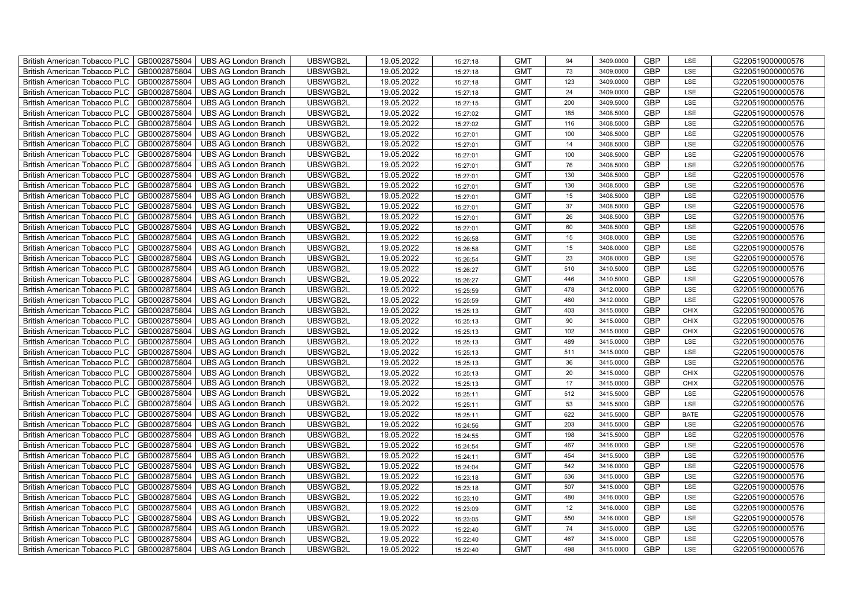| British American Tobacco PLC        | GB0002875804 | <b>UBS AG London Branch</b> | UBSWGB2L | 19.05.2022 | 15:27:18 | <b>GMT</b> | 94  | 3409.0000 | <b>GBP</b> | LSE         | G220519000000576 |
|-------------------------------------|--------------|-----------------------------|----------|------------|----------|------------|-----|-----------|------------|-------------|------------------|
| <b>British American Tobacco PLC</b> | GB0002875804 | <b>UBS AG London Branch</b> | UBSWGB2L | 19.05.2022 | 15:27:18 | <b>GMT</b> | 73  | 3409.0000 | <b>GBP</b> | LSE         | G220519000000576 |
| <b>British American Tobacco PLC</b> | GB0002875804 | UBS AG London Branch        | UBSWGB2L | 19.05.2022 | 15:27:18 | <b>GMT</b> | 123 | 3409.0000 | <b>GBP</b> | <b>LSE</b>  | G220519000000576 |
| <b>British American Tobacco PLC</b> | GB0002875804 | <b>UBS AG London Branch</b> | UBSWGB2L | 19.05.2022 | 15:27:18 | <b>GMT</b> | 24  | 3409.0000 | <b>GBP</b> | LSE         | G220519000000576 |
| British American Tobacco PLC        | GB0002875804 | <b>UBS AG London Branch</b> | UBSWGB2L | 19.05.2022 | 15:27:15 | <b>GMT</b> | 200 | 3409.5000 | <b>GBP</b> | LSE         | G220519000000576 |
| <b>British American Tobacco PLC</b> | GB0002875804 | <b>UBS AG London Branch</b> | UBSWGB2L | 19.05.2022 | 15:27:02 | <b>GMT</b> | 185 | 3408.5000 | <b>GBP</b> | LSE         | G220519000000576 |
| British American Tobacco PLC        | GB0002875804 | <b>UBS AG London Branch</b> | UBSWGB2L | 19.05.2022 | 15:27:02 | <b>GMT</b> | 116 | 3408.5000 | <b>GBP</b> | LSE         | G220519000000576 |
| <b>British American Tobacco PLC</b> | GB0002875804 | <b>UBS AG London Branch</b> | UBSWGB2L | 19.05.2022 | 15:27:01 | <b>GMT</b> | 100 | 3408.5000 | <b>GBP</b> | LSE         | G220519000000576 |
| <b>British American Tobacco PLC</b> | GB0002875804 | <b>UBS AG London Branch</b> | UBSWGB2L | 19.05.2022 | 15:27:01 | <b>GMT</b> | 14  | 3408.5000 | <b>GBP</b> | LSE         | G220519000000576 |
| British American Tobacco PLC        | GB0002875804 | <b>UBS AG London Branch</b> | UBSWGB2L | 19.05.2022 | 15:27:01 | <b>GMT</b> | 100 | 3408.5000 | <b>GBP</b> | LSE         | G220519000000576 |
| <b>British American Tobacco PLC</b> | GB0002875804 | <b>UBS AG London Branch</b> | UBSWGB2L | 19.05.2022 | 15:27:01 | <b>GMT</b> | 76  | 3408.5000 | <b>GBP</b> | LSE         | G220519000000576 |
| <b>British American Tobacco PLC</b> | GB0002875804 | <b>UBS AG London Branch</b> | UBSWGB2L | 19.05.2022 | 15:27:01 | <b>GMT</b> | 130 | 3408.5000 | <b>GBP</b> | <b>LSE</b>  | G220519000000576 |
| <b>British American Tobacco PLC</b> | GB0002875804 | <b>UBS AG London Branch</b> | UBSWGB2L | 19.05.2022 | 15:27:01 | <b>GMT</b> | 130 | 3408.5000 | <b>GBP</b> | LSE         | G220519000000576 |
| British American Tobacco PLC        | GB0002875804 | <b>UBS AG London Branch</b> | UBSWGB2L | 19.05.2022 | 15:27:01 | <b>GMT</b> | 15  | 3408.5000 | <b>GBP</b> | LSE         | G220519000000576 |
| <b>British American Tobacco PLC</b> | GB0002875804 | <b>UBS AG London Branch</b> | UBSWGB2L | 19.05.2022 | 15:27:01 | <b>GMT</b> | 37  | 3408.5000 | <b>GBP</b> | LSE         | G220519000000576 |
| British American Tobacco PLC        | GB0002875804 | <b>UBS AG London Branch</b> | UBSWGB2L | 19.05.2022 | 15:27:01 | <b>GMT</b> | 26  | 3408.5000 | <b>GBP</b> | LSE         | G220519000000576 |
| <b>British American Tobacco PLC</b> | GB0002875804 | <b>UBS AG London Branch</b> | UBSWGB2L | 19.05.2022 | 15:27:01 | <b>GMT</b> | 60  | 3408.5000 | <b>GBP</b> | LSE         | G220519000000576 |
| <b>British American Tobacco PLC</b> | GB0002875804 | <b>UBS AG London Branch</b> | UBSWGB2L | 19.05.2022 | 15:26:58 | <b>GMT</b> | 15  | 3408.0000 | <b>GBP</b> | LSE         | G220519000000576 |
| British American Tobacco PLC        | GB0002875804 | <b>UBS AG London Branch</b> | UBSWGB2L | 19.05.2022 | 15:26:58 | <b>GMT</b> | 15  | 3408.0000 | <b>GBP</b> | LSE         | G220519000000576 |
| <b>British American Tobacco PLC</b> | GB0002875804 | <b>UBS AG London Branch</b> | UBSWGB2L | 19.05.2022 | 15:26:54 | <b>GMT</b> | 23  | 3408.0000 | <b>GBP</b> | LSE         | G220519000000576 |
| <b>British American Tobacco PLC</b> | GB0002875804 | <b>UBS AG London Branch</b> | UBSWGB2L | 19.05.2022 | 15:26:27 | <b>GMT</b> | 510 | 3410.5000 | <b>GBP</b> | <b>LSE</b>  | G220519000000576 |
| British American Tobacco PLC        | GB0002875804 | <b>UBS AG London Branch</b> | UBSWGB2L | 19.05.2022 | 15:26:27 | <b>GMT</b> | 446 | 3410.5000 | <b>GBP</b> | LSE         | G220519000000576 |
| British American Tobacco PLC        | GB0002875804 | <b>UBS AG London Branch</b> | UBSWGB2L | 19.05.2022 | 15:25:59 | <b>GMT</b> | 478 | 3412.0000 | <b>GBP</b> | LSE         | G220519000000576 |
| <b>British American Tobacco PLC</b> | GB0002875804 | <b>UBS AG London Branch</b> | UBSWGB2L | 19.05.2022 | 15:25:59 | <b>GMT</b> | 460 | 3412.0000 | <b>GBP</b> | LSE         | G220519000000576 |
| British American Tobacco PLC        | GB0002875804 | <b>UBS AG London Branch</b> | UBSWGB2L | 19.05.2022 | 15:25:13 | <b>GMT</b> | 403 | 3415.0000 | <b>GBP</b> | <b>CHIX</b> | G220519000000576 |
| <b>British American Tobacco PLC</b> | GB0002875804 | <b>UBS AG London Branch</b> | UBSWGB2L | 19.05.2022 | 15:25:13 | <b>GMT</b> | 90  | 3415.0000 | <b>GBP</b> | <b>CHIX</b> | G220519000000576 |
| <b>British American Tobacco PLC</b> | GB0002875804 | <b>UBS AG London Branch</b> | UBSWGB2L | 19.05.2022 | 15:25:13 | <b>GMT</b> | 102 | 3415.0000 | <b>GBP</b> | <b>CHIX</b> | G220519000000576 |
| British American Tobacco PLC        | GB0002875804 | <b>UBS AG London Branch</b> | UBSWGB2L | 19.05.2022 | 15:25:13 | <b>GMT</b> | 489 | 3415.0000 | <b>GBP</b> | LSE         | G220519000000576 |
| <b>British American Tobacco PLC</b> | GB0002875804 | <b>UBS AG London Branch</b> | UBSWGB2L | 19.05.2022 | 15:25:13 | <b>GMT</b> | 511 | 3415.0000 | <b>GBP</b> | LSE         | G220519000000576 |
| <b>British American Tobacco PLC</b> | GB0002875804 | <b>UBS AG London Branch</b> | UBSWGB2L | 19.05.2022 | 15:25:13 | <b>GMT</b> | 36  | 3415.0000 | <b>GBP</b> | <b>LSE</b>  | G220519000000576 |
| British American Tobacco PLC        | GB0002875804 | <b>UBS AG London Branch</b> | UBSWGB2L | 19.05.2022 | 15:25:13 | <b>GMT</b> | 20  | 3415.0000 | <b>GBP</b> | <b>CHIX</b> | G220519000000576 |
| British American Tobacco PLC        | GB0002875804 | <b>UBS AG London Branch</b> | UBSWGB2L | 19.05.2022 | 15:25:13 | <b>GMT</b> | 17  | 3415.0000 | GBP        | <b>CHIX</b> | G220519000000576 |
| <b>British American Tobacco PLC</b> | GB0002875804 | <b>UBS AG London Branch</b> | UBSWGB2L | 19.05.2022 | 15:25:11 | <b>GMT</b> | 512 | 3415.5000 | <b>GBP</b> | LSE         | G220519000000576 |
| <b>British American Tobacco PLC</b> | GB0002875804 | <b>UBS AG London Branch</b> | UBSWGB2L | 19.05.2022 | 15:25:11 | <b>GMT</b> | 53  | 3415.5000 | <b>GBP</b> | LSE         | G220519000000576 |
| <b>British American Tobacco PLC</b> | GB0002875804 | <b>UBS AG London Branch</b> | UBSWGB2L | 19.05.2022 | 15:25:11 | <b>GMT</b> | 622 | 3415.5000 | <b>GBP</b> | <b>BATE</b> | G220519000000576 |
| <b>British American Tobacco PLC</b> | GB0002875804 | <b>UBS AG London Branch</b> | UBSWGB2L | 19.05.2022 | 15:24:56 | <b>GMT</b> | 203 | 3415.5000 | <b>GBP</b> | LSE         | G220519000000576 |
| <b>British American Tobacco PLC</b> | GB0002875804 | <b>UBS AG London Branch</b> | UBSWGB2L | 19.05.2022 | 15:24:55 | <b>GMT</b> | 198 | 3415.5000 | <b>GBP</b> | LSE         | G220519000000576 |
| <b>British American Tobacco PLC</b> | GB0002875804 | <b>UBS AG London Branch</b> | UBSWGB2L | 19.05.2022 | 15:24:54 | <b>GMT</b> | 467 | 3416.0000 | <b>GBP</b> | LSE         | G220519000000576 |
| <b>British American Tobacco PLC</b> | GB0002875804 | <b>UBS AG London Branch</b> | UBSWGB2L | 19.05.2022 | 15:24:11 | <b>GMT</b> | 454 | 3415.5000 | <b>GBP</b> | LSE         | G220519000000576 |
| <b>British American Tobacco PLC</b> | GB0002875804 | <b>UBS AG London Branch</b> | UBSWGB2L | 19.05.2022 | 15:24:04 | <b>GMT</b> | 542 | 3416.0000 | <b>GBP</b> | LSE         | G220519000000576 |
| British American Tobacco PLC        | GB0002875804 | <b>UBS AG London Branch</b> | UBSWGB2L | 19.05.2022 | 15:23:18 | <b>GMT</b> | 536 | 3415.0000 | GBP        | LSE         | G220519000000576 |
| <b>British American Tobacco PLC</b> | GB0002875804 | <b>UBS AG London Branch</b> | UBSWGB2L | 19.05.2022 | 15:23:18 | <b>GMT</b> | 507 | 3415.0000 | <b>GBP</b> | LSE         | G220519000000576 |
| British American Tobacco PLC        | GB0002875804 | <b>UBS AG London Branch</b> | UBSWGB2L | 19.05.2022 | 15:23:10 | <b>GMT</b> | 480 | 3416.0000 | <b>GBP</b> | LSE         | G220519000000576 |
| <b>British American Tobacco PLC</b> | GB0002875804 | <b>UBS AG London Branch</b> | UBSWGB2L | 19.05.2022 | 15:23:09 | <b>GMT</b> | 12  | 3416.0000 | <b>GBP</b> | LSE         | G220519000000576 |
| <b>British American Tobacco PLC</b> | GB0002875804 | <b>UBS AG London Branch</b> | UBSWGB2L | 19.05.2022 | 15:23:05 | <b>GMT</b> | 550 | 3416.0000 | <b>GBP</b> | LSE         | G220519000000576 |
| <b>British American Tobacco PLC</b> | GB0002875804 | <b>UBS AG London Branch</b> | UBSWGB2L | 19.05.2022 | 15:22:40 | <b>GMT</b> | 74  | 3415.0000 | <b>GBP</b> | LSE         | G220519000000576 |
| <b>British American Tobacco PLC</b> | GB0002875804 | <b>UBS AG London Branch</b> | UBSWGB2L | 19.05.2022 | 15:22:40 | <b>GMT</b> | 467 | 3415.0000 | <b>GBP</b> | LSE         | G220519000000576 |
| British American Tobacco PLC        | GB0002875804 | UBS AG London Branch        | UBSWGB2L | 19.05.2022 | 15:22:40 | <b>GMT</b> | 498 | 3415.0000 | <b>GBP</b> | <b>LSE</b>  | G220519000000576 |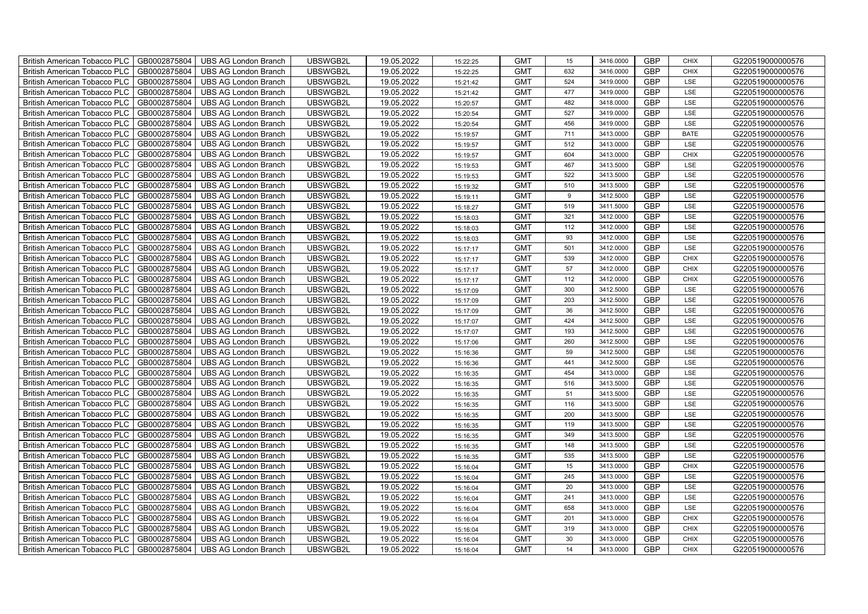| British American Tobacco PLC   GB0002875804 |              | <b>UBS AG London Branch</b> | UBSWGB2L | 19.05.2022 | 15:22:25 | <b>GMT</b> | 15  | 3416.0000 | <b>GBP</b> | <b>CHIX</b> | G220519000000576 |
|---------------------------------------------|--------------|-----------------------------|----------|------------|----------|------------|-----|-----------|------------|-------------|------------------|
| <b>British American Tobacco PLC</b>         | GB0002875804 | <b>UBS AG London Branch</b> | UBSWGB2L | 19.05.2022 | 15:22:25 | <b>GMT</b> | 632 | 3416.0000 | <b>GBP</b> | <b>CHIX</b> | G220519000000576 |
| <b>British American Tobacco PLC</b>         | GB0002875804 | UBS AG London Branch        | UBSWGB2L | 19.05.2022 | 15:21:42 | <b>GMT</b> | 524 | 3419.0000 | <b>GBP</b> | LSE         | G220519000000576 |
| <b>British American Tobacco PLC</b>         | GB0002875804 | <b>UBS AG London Branch</b> | UBSWGB2L | 19.05.2022 | 15:21:42 | <b>GMT</b> | 477 | 3419.0000 | <b>GBP</b> | LSE         | G220519000000576 |
| <b>British American Tobacco PLC</b>         | GB0002875804 | UBS AG London Branch        | UBSWGB2L | 19.05.2022 | 15:20:57 | <b>GMT</b> | 482 | 3418.0000 | <b>GBP</b> | LSE         | G220519000000576 |
| <b>British American Tobacco PLC</b>         | GB0002875804 | <b>UBS AG London Branch</b> | UBSWGB2L | 19.05.2022 | 15:20:54 | <b>GMT</b> | 527 | 3419.0000 | <b>GBP</b> | LSE         | G220519000000576 |
| <b>British American Tobacco PLC</b>         | GB0002875804 | <b>UBS AG London Branch</b> | UBSWGB2L | 19.05.2022 | 15:20:54 | <b>GMT</b> | 456 | 3419.0000 | <b>GBP</b> | LSE         | G220519000000576 |
| British American Tobacco PLC                | GB0002875804 | UBS AG London Branch        | UBSWGB2L | 19.05.2022 | 15:19:57 | <b>GMT</b> | 711 | 3413.0000 | <b>GBP</b> | <b>BATE</b> | G220519000000576 |
| <b>British American Tobacco PLC</b>         | GB0002875804 | <b>UBS AG London Branch</b> | UBSWGB2L | 19.05.2022 | 15:19:57 | <b>GMT</b> | 512 | 3413.0000 | <b>GBP</b> | LSE         | G220519000000576 |
| <b>British American Tobacco PLC</b>         | GB0002875804 | <b>UBS AG London Branch</b> | UBSWGB2L | 19.05.2022 | 15:19:57 | <b>GMT</b> | 604 | 3413.0000 | <b>GBP</b> | <b>CHIX</b> | G220519000000576 |
| British American Tobacco PLC                | GB0002875804 | <b>UBS AG London Branch</b> | UBSWGB2L | 19.05.2022 | 15:19:53 | <b>GMT</b> | 467 | 3413.5000 | <b>GBP</b> | LSE         | G220519000000576 |
| British American Tobacco PLC                | GB0002875804 | UBS AG London Branch        | UBSWGB2L | 19.05.2022 | 15:19:53 | <b>GMT</b> | 522 | 3413.5000 | <b>GBP</b> | <b>LSE</b>  | G220519000000576 |
| British American Tobacco PLC                | GB0002875804 | UBS AG London Branch        | UBSWGB2L | 19.05.2022 | 15:19:32 | <b>GMT</b> | 510 | 3413.5000 | <b>GBP</b> | LSE         | G220519000000576 |
| British American Tobacco PLC                | GB0002875804 | <b>UBS AG London Branch</b> | UBSWGB2L | 19.05.2022 | 15:19:11 | <b>GMT</b> | 9   | 3412.5000 | <b>GBP</b> | LSE         | G220519000000576 |
| British American Tobacco PLC                | GB0002875804 | <b>UBS AG London Branch</b> | UBSWGB2L | 19.05.2022 | 15:18:27 | <b>GMT</b> | 519 | 3411.5000 | <b>GBP</b> | LSE         | G220519000000576 |
| British American Tobacco PLC                | GB0002875804 | <b>UBS AG London Branch</b> | UBSWGB2L | 19.05.2022 | 15:18:03 | <b>GMT</b> | 321 | 3412.0000 | <b>GBP</b> | LSE         | G220519000000576 |
| British American Tobacco PLC                | GB0002875804 | <b>UBS AG London Branch</b> | UBSWGB2L | 19.05.2022 | 15:18:03 | <b>GMT</b> | 112 | 3412.0000 | <b>GBP</b> | LSE         | G220519000000576 |
| British American Tobacco PLC                | GB0002875804 | <b>UBS AG London Branch</b> | UBSWGB2L | 19.05.2022 | 15:18:03 | <b>GMT</b> | 93  | 3412.0000 | <b>GBP</b> | LSE         | G220519000000576 |
| British American Tobacco PLC                | GB0002875804 | <b>UBS AG London Branch</b> | UBSWGB2L | 19.05.2022 | 15:17:17 | <b>GMT</b> | 501 | 3412.0000 | <b>GBP</b> | LSE         | G220519000000576 |
| <b>British American Tobacco PLC</b>         | GB0002875804 | <b>UBS AG London Branch</b> | UBSWGB2L | 19.05.2022 | 15:17:17 | <b>GMT</b> | 539 | 3412.0000 | <b>GBP</b> | CHIX        | G220519000000576 |
| British American Tobacco PLC                | GB0002875804 | UBS AG London Branch        | UBSWGB2L | 19.05.2022 | 15:17:17 | <b>GMT</b> | 57  | 3412.0000 | <b>GBP</b> | <b>CHIX</b> | G220519000000576 |
| British American Tobacco PLC                | GB0002875804 | UBS AG London Branch        | UBSWGB2L | 19.05.2022 | 15:17:17 | <b>GMT</b> | 112 | 3412.0000 | GBP        | <b>CHIX</b> | G220519000000576 |
| British American Tobacco PLC                | GB0002875804 | <b>UBS AG London Branch</b> | UBSWGB2L | 19.05.2022 | 15:17:09 | <b>GMT</b> | 300 | 3412.5000 | <b>GBP</b> | <b>LSE</b>  | G220519000000576 |
| British American Tobacco PLC                | GB0002875804 | <b>UBS AG London Branch</b> | UBSWGB2L | 19.05.2022 | 15:17:09 | <b>GMT</b> | 203 | 3412.5000 | GBP        | LSE         | G220519000000576 |
| British American Tobacco PLC                | GB0002875804 | <b>UBS AG London Branch</b> | UBSWGB2L | 19.05.2022 | 15:17:09 | <b>GMT</b> | 36  | 3412.5000 | <b>GBP</b> | LSE         | G220519000000576 |
| British American Tobacco PLC                | GB0002875804 | <b>UBS AG London Branch</b> | UBSWGB2L | 19.05.2022 | 15:17:07 | <b>GMT</b> | 424 | 3412.5000 | <b>GBP</b> | LSE         | G220519000000576 |
| British American Tobacco PLC                | GB0002875804 | <b>UBS AG London Branch</b> | UBSWGB2L | 19.05.2022 | 15:17:07 | <b>GMT</b> | 193 | 3412.5000 | <b>GBP</b> | LSE         | G220519000000576 |
| British American Tobacco PLC                | GB0002875804 | <b>UBS AG London Branch</b> | UBSWGB2L | 19.05.2022 | 15:17:06 | <b>GMT</b> | 260 | 3412.5000 | <b>GBP</b> | LSE         | G220519000000576 |
| <b>British American Tobacco PLC</b>         | GB0002875804 | <b>UBS AG London Branch</b> | UBSWGB2L | 19.05.2022 | 15:16:36 | <b>GMT</b> | 59  | 3412.5000 | <b>GBP</b> | LSE         | G220519000000576 |
| British American Tobacco PLC                | GB0002875804 | UBS AG London Branch        | UBSWGB2L | 19.05.2022 | 15:16:36 | <b>GMT</b> | 441 | 3412.5000 | <b>GBP</b> | LSE         | G220519000000576 |
| British American Tobacco PLC                | GB0002875804 | <b>UBS AG London Branch</b> | UBSWGB2L | 19.05.2022 | 15:16:35 | <b>GMT</b> | 454 | 3413.0000 | GBP        | LSE         | G220519000000576 |
| British American Tobacco PLC                | GB0002875804 | <b>UBS AG London Branch</b> | UBSWGB2L | 19.05.2022 | 15:16:35 | <b>GMT</b> | 516 | 3413.5000 | <b>GBP</b> | LSE         | G220519000000576 |
| British American Tobacco PLC                | GB0002875804 | UBS AG London Branch        | UBSWGB2L | 19.05.2022 | 15:16:35 | <b>GMT</b> | 51  | 3413.5000 | GBP        | LSE         | G220519000000576 |
| British American Tobacco PLC                | GB0002875804 | UBS AG London Branch        | UBSWGB2L | 19.05.2022 | 15:16:35 | <b>GMT</b> | 116 | 3413.5000 | <b>GBP</b> | LSE         | G220519000000576 |
| British American Tobacco PLC                | GB0002875804 | UBS AG London Branch        | UBSWGB2L | 19.05.2022 | 15:16:35 | <b>GMT</b> | 200 | 3413.5000 | <b>GBP</b> | LSE         | G220519000000576 |
| British American Tobacco PLC                | GB0002875804 | <b>UBS AG London Branch</b> | UBSWGB2L | 19.05.2022 | 15:16:35 | <b>GMT</b> | 119 | 3413.5000 | GBP        | LSE         | G220519000000576 |
| British American Tobacco PLC                | GB0002875804 | <b>UBS AG London Branch</b> | UBSWGB2L | 19.05.2022 | 15:16:35 | <b>GMT</b> | 349 | 3413.5000 | <b>GBP</b> | LSE         | G220519000000576 |
| <b>British American Tobacco PLC</b>         | GB0002875804 | <b>UBS AG London Branch</b> | UBSWGB2L | 19.05.2022 | 15:16:35 | <b>GMT</b> | 148 | 3413.5000 | <b>GBP</b> | LSE         | G220519000000576 |
| British American Tobacco PLC                | GB0002875804 | UBS AG London Branch        | UBSWGB2L | 19.05.2022 | 15:16:35 | <b>GMT</b> | 535 | 3413.5000 | <b>GBP</b> | LSE         | G220519000000576 |
| <b>British American Tobacco PLC</b>         | GB0002875804 | UBS AG London Branch        | UBSWGB2L | 19.05.2022 | 15:16:04 | <b>GMT</b> | 15  | 3413.0000 | GBP        | <b>CHIX</b> | G220519000000576 |
| British American Tobacco PLC                | GB0002875804 | UBS AG London Branch        | UBSWGB2L | 19.05.2022 | 15:16:04 | <b>GMT</b> | 245 | 3413.0000 | <b>GBP</b> | LSE         | G220519000000576 |
| British American Tobacco PLC                | GB0002875804 | <b>UBS AG London Branch</b> | UBSWGB2L | 19.05.2022 | 15:16:04 | <b>GMT</b> | 20  | 3413.0000 | GBP        | LSE         | G220519000000576 |
| British American Tobacco PLC                | GB0002875804 | UBS AG London Branch        | UBSWGB2L | 19.05.2022 | 15:16:04 | <b>GMT</b> | 241 | 3413.0000 | <b>GBP</b> | LSE         | G220519000000576 |
| <b>British American Tobacco PLC</b>         | GB0002875804 | UBS AG London Branch        | UBSWGB2L | 19.05.2022 | 15:16:04 | <b>GMT</b> | 658 | 3413.0000 | <b>GBP</b> | LSE         | G220519000000576 |
| British American Tobacco PLC                | GB0002875804 | UBS AG London Branch        | UBSWGB2L | 19.05.2022 | 15:16:04 | <b>GMT</b> | 201 | 3413.0000 | GBP        | <b>CHIX</b> | G220519000000576 |
| <b>British American Tobacco PLC</b>         | GB0002875804 | UBS AG London Branch        | UBSWGB2L | 19.05.2022 | 15:16:04 | <b>GMT</b> | 319 | 3413.0000 | <b>GBP</b> | <b>CHIX</b> | G220519000000576 |
| <b>British American Tobacco PLC</b>         | GB0002875804 | <b>UBS AG London Branch</b> | UBSWGB2L | 19.05.2022 | 15:16:04 | <b>GMT</b> | 30  | 3413.0000 | <b>GBP</b> | <b>CHIX</b> | G220519000000576 |
| British American Tobacco PLC                | GB0002875804 | UBS AG London Branch        | UBSWGB2L | 19.05.2022 | 15:16:04 | <b>GMT</b> | 14  | 3413.0000 | <b>GBP</b> | <b>CHIX</b> | G220519000000576 |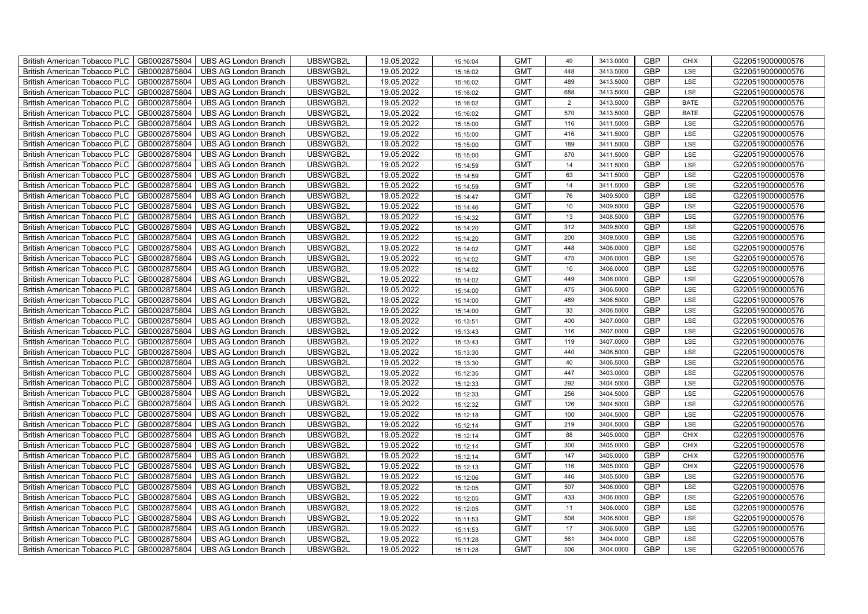| British American Tobacco PLC        | GB0002875804 | <b>UBS AG London Branch</b> | UBSWGB2L | 19.05.2022 | 15:16:04             | <b>GMT</b> | 49               | 3413.0000 | <b>GBP</b> | <b>CHIX</b> | G220519000000576 |
|-------------------------------------|--------------|-----------------------------|----------|------------|----------------------|------------|------------------|-----------|------------|-------------|------------------|
| <b>British American Tobacco PLC</b> | GB0002875804 | <b>UBS AG London Branch</b> | UBSWGB2L | 19.05.2022 | 15:16:02             | <b>GMT</b> | 448              | 3413.5000 | <b>GBP</b> | LSE         | G220519000000576 |
| <b>British American Tobacco PLC</b> | GB0002875804 | <b>UBS AG London Branch</b> | UBSWGB2L | 19.05.2022 | 15:16:02             | <b>GMT</b> | 489              | 3413.5000 | <b>GBP</b> | LSE         | G220519000000576 |
| British American Tobacco PLC        | GB0002875804 | <b>UBS AG London Branch</b> | UBSWGB2L | 19.05.2022 | 15:16:02             | <b>GMT</b> | 688              | 3413.5000 | <b>GBP</b> | LSE         | G220519000000576 |
| British American Tobacco PLC        | GB0002875804 | <b>UBS AG London Branch</b> | UBSWGB2L | 19.05.2022 | 15:16:02             | <b>GMT</b> | $\overline{2}$   | 3413.5000 | <b>GBP</b> | <b>BATE</b> | G220519000000576 |
| British American Tobacco PLC        | GB0002875804 | <b>UBS AG London Branch</b> | UBSWGB2L | 19.05.2022 | 15:16:02             | <b>GMT</b> | 570              | 3413.5000 | <b>GBP</b> | <b>BATE</b> | G220519000000576 |
| <b>British American Tobacco PLC</b> | GB0002875804 | <b>UBS AG London Branch</b> | UBSWGB2L | 19.05.2022 | 15:15:00             | <b>GMT</b> | 116              | 3411.5000 | <b>GBP</b> | LSE         | G220519000000576 |
| British American Tobacco PLC        | GB0002875804 | <b>UBS AG London Branch</b> | UBSWGB2L | 19.05.2022 | 15:15:00             | <b>GMT</b> | 416              | 3411.5000 | <b>GBP</b> | LSE         | G220519000000576 |
| British American Tobacco PLC        | GB0002875804 | <b>UBS AG London Branch</b> | UBSWGB2L | 19.05.2022 | 15:15:00             | <b>GMT</b> | 189              | 3411.5000 | <b>GBP</b> | LSE         | G220519000000576 |
| British American Tobacco PLC        | GB0002875804 | <b>UBS AG London Branch</b> | UBSWGB2L | 19.05.2022 | 15:15:00             | <b>GMT</b> | 870              | 3411.5000 | <b>GBP</b> | LSE         | G220519000000576 |
| <b>British American Tobacco PLC</b> | GB0002875804 | <b>UBS AG London Branch</b> | UBSWGB2L | 19.05.2022 | 15:14:59             | <b>GMT</b> | 14               | 3411.5000 | <b>GBP</b> | LSE         | G220519000000576 |
| <b>British American Tobacco PLC</b> | GB0002875804 | <b>UBS AG London Branch</b> | UBSWGB2L | 19.05.2022 | 15:14:59             | <b>GMT</b> | 63               | 3411.5000 | <b>GBP</b> | LSE         | G220519000000576 |
| British American Tobacco PLC        | GB0002875804 | <b>UBS AG London Branch</b> | UBSWGB2L | 19.05.2022 | 15:14:59             | <b>GMT</b> | 14               | 3411.5000 | <b>GBP</b> | LSE         | G220519000000576 |
| British American Tobacco PLC        | GB0002875804 | <b>UBS AG London Branch</b> | UBSWGB2L | 19.05.2022 | 15:14:47             | <b>GMT</b> | 76               | 3409.5000 | <b>GBP</b> | LSE         | G220519000000576 |
| British American Tobacco PLC        | GB0002875804 | <b>UBS AG London Branch</b> | UBSWGB2L | 19.05.2022 | 15:14:46             | <b>GMT</b> | 10               | 3409.5000 | <b>GBP</b> | LSE         | G220519000000576 |
| British American Tobacco PLC        | GB0002875804 | <b>UBS AG London Branch</b> | UBSWGB2L | 19.05.2022 | 15:14:32             | <b>GMT</b> | 13               | 3408.5000 | GBP        | LSE         | G220519000000576 |
| British American Tobacco PLC        | GB0002875804 | <b>UBS AG London Branch</b> | UBSWGB2L | 19.05.2022 | 15:14:20             | <b>GMT</b> | 312              | 3409.5000 | <b>GBP</b> | LSE         | G220519000000576 |
| British American Tobacco PLC        | GB0002875804 | <b>UBS AG London Branch</b> | UBSWGB2L | 19.05.2022 | 15:14:20             | <b>GMT</b> | 200              | 3409.5000 | <b>GBP</b> | LSE         | G220519000000576 |
| British American Tobacco PLC        | GB0002875804 | <b>UBS AG London Branch</b> | UBSWGB2L | 19.05.2022 | 15:14:02             | <b>GMT</b> | 448              | 3406.0000 | <b>GBP</b> | LSE         | G220519000000576 |
| <b>British American Tobacco PLC</b> | GB0002875804 | <b>UBS AG London Branch</b> | UBSWGB2L | 19.05.2022 | 15:14:02             | <b>GMT</b> | 475              | 3406.0000 | GBP        | LSE         | G220519000000576 |
| <b>British American Tobacco PLC</b> | GB0002875804 | <b>UBS AG London Branch</b> | UBSWGB2L | 19.05.2022 | 15:14:02             | <b>GMT</b> | 10 <sup>10</sup> | 3406.0000 | <b>GBP</b> | LSE         | G220519000000576 |
| British American Tobacco PLC        | GB0002875804 | <b>UBS AG London Branch</b> | UBSWGB2L | 19.05.2022 | 15:14:02             | <b>GMT</b> | 449              | 3406.0000 | GBP        | LSE         | G220519000000576 |
| British American Tobacco PLC        | GB0002875804 | <b>UBS AG London Branch</b> | UBSWGB2L | 19.05.2022 | 15:14:00             | <b>GMT</b> | 475              | 3406.5000 | GBP        | LSE         | G220519000000576 |
| British American Tobacco PLC        | GB0002875804 | <b>UBS AG London Branch</b> | UBSWGB2L | 19.05.2022 | 15:14:00             | <b>GMT</b> | 489              | 3406.5000 | GBP        | LSE         | G220519000000576 |
| British American Tobacco PLC        | GB0002875804 | <b>UBS AG London Branch</b> | UBSWGB2L | 19.05.2022 | 15:14:00             | <b>GMT</b> | 33               | 3406.5000 | <b>GBP</b> | LSE         | G220519000000576 |
| British American Tobacco PLC        | GB0002875804 | <b>UBS AG London Branch</b> | UBSWGB2L | 19.05.2022 | 15:13:51             | <b>GMT</b> | 400              | 3407.0000 | <b>GBP</b> | LSE         | G220519000000576 |
| British American Tobacco PLC        | GB0002875804 | <b>UBS AG London Branch</b> | UBSWGB2L | 19.05.2022 | 15:13:43             | <b>GMT</b> | 116              | 3407.0000 | GBP        | LSE         | G220519000000576 |
| British American Tobacco PLC        | GB0002875804 | <b>UBS AG London Branch</b> | UBSWGB2L | 19.05.2022 | 15:13:43             | <b>GMT</b> | 119              | 3407.0000 | GBP        | LSE         | G220519000000576 |
| <b>British American Tobacco PLC</b> | GB0002875804 | <b>UBS AG London Branch</b> | UBSWGB2L | 19.05.2022 | 15:13:30             | <b>GMT</b> | 440              | 3406.5000 | <b>GBP</b> | LSE         | G220519000000576 |
| <b>British American Tobacco PLC</b> | GB0002875804 | <b>UBS AG London Branch</b> | UBSWGB2L | 19.05.2022 | 15:13:30             | <b>GMT</b> | 40               | 3406.5000 | <b>GBP</b> | LSE         | G220519000000576 |
| British American Tobacco PLC        | GB0002875804 | <b>UBS AG London Branch</b> | UBSWGB2L | 19.05.2022 | 15:12:35             | <b>GMT</b> | 447              | 3403.0000 | GBP        | LSE         | G220519000000576 |
| British American Tobacco PLC        | GB0002875804 | <b>UBS AG London Branch</b> | UBSWGB2L | 19.05.2022 | 15:12:33             | <b>GMT</b> | 292              | 3404.5000 | GBP        | LSE         | G220519000000576 |
| British American Tobacco PLC        | GB0002875804 | <b>UBS AG London Branch</b> | UBSWGB2L | 19.05.2022 | 15:12:33             | <b>GMT</b> | 256              | 3404.5000 | GBP        | LSE         | G220519000000576 |
| British American Tobacco PLC        | GB0002875804 | <b>UBS AG London Branch</b> | UBSWGB2L | 19.05.2022 | 15:12:32             | <b>GMT</b> | 126              | 3404.5000 | <b>GBP</b> | LSE         | G220519000000576 |
| British American Tobacco PLC        | GB0002875804 | <b>UBS AG London Branch</b> | UBSWGB2L | 19.05.2022 | 15:12:18             | <b>GMT</b> | 100              | 3404.5000 | <b>GBP</b> | LSE         | G220519000000576 |
| British American Tobacco PLC        | GB0002875804 | <b>UBS AG London Branch</b> | UBSWGB2L | 19.05.2022 | 15:12:14             | <b>GMT</b> | 219              | 3404.5000 | GBP        | LSE         | G220519000000576 |
| British American Tobacco PLC        | GB0002875804 | <b>UBS AG London Branch</b> | UBSWGB2L | 19.05.2022 | 15:12:14             | <b>GMT</b> | 88               | 3405.0000 | GBP        | <b>CHIX</b> | G220519000000576 |
| <b>British American Tobacco PLC</b> | GB0002875804 | <b>UBS AG London Branch</b> | UBSWGB2L | 19.05.2022 | 15:12:14             | <b>GMT</b> | 300              | 3405.0000 | <b>GBP</b> | <b>CHIX</b> | G220519000000576 |
| British American Tobacco PLC        | GB0002875804 | <b>UBS AG London Branch</b> | UBSWGB2L | 19.05.2022 | 15:12:14             | <b>GMT</b> | 147              | 3405.0000 | <b>GBP</b> | <b>CHIX</b> | G220519000000576 |
| <b>British American Tobacco PLC</b> | GB0002875804 | <b>UBS AG London Branch</b> | UBSWGB2L | 19.05.2022 | 15:12:13             | <b>GMT</b> | 116              | 3405.0000 | GBP        | <b>CHIX</b> | G220519000000576 |
| British American Tobacco PLC        | GB0002875804 | <b>UBS AG London Branch</b> | UBSWGB2L | 19.05.2022 | 15:12:06             | <b>GMT</b> | 446              | 3405.5000 | GBP        | LSE         | G220519000000576 |
| British American Tobacco PLC        | GB0002875804 | <b>UBS AG London Branch</b> | UBSWGB2L | 19.05.2022 | 15:12:05             | <b>GMT</b> | 507              | 3406.0000 | GBP        | LSE         | G220519000000576 |
| British American Tobacco PLC        | GB0002875804 | <b>UBS AG London Branch</b> | UBSWGB2L | 19.05.2022 | 15:12:05             | <b>GMT</b> | 433              | 3406.0000 | <b>GBP</b> | LSE         | G220519000000576 |
| <b>British American Tobacco PLC</b> | GB0002875804 | <b>UBS AG London Branch</b> | UBSWGB2L | 19.05.2022 | 15:12:05             | <b>GMT</b> | 11               | 3406.0000 | <b>GBP</b> | LSE         | G220519000000576 |
| <b>British American Tobacco PLC</b> | GB0002875804 | <b>UBS AG London Branch</b> | UBSWGB2L | 19.05.2022 |                      | <b>GMT</b> | 508              | 3406.5000 | GBP        | LSE         | G220519000000576 |
| <b>British American Tobacco PLC</b> | GB0002875804 | <b>UBS AG London Branch</b> | UBSWGB2L | 19.05.2022 |                      | <b>GMT</b> | 17               | 3406.5000 | GBP        | LSE         | G220519000000576 |
| <b>British American Tobacco PLC</b> | GB0002875804 | <b>UBS AG London Branch</b> | UBSWGB2L | 19.05.2022 | 15:11:28             | <b>GMT</b> | 561              | 3404.0000 | <b>GBP</b> | LSE         | G220519000000576 |
| British American Tobacco PLC        | GB0002875804 | <b>UBS AG London Branch</b> | UBSWGB2L | 19.05.2022 | 15:11:28             | <b>GMT</b> | 506              | 3404.0000 | <b>GBP</b> | LSE         | G220519000000576 |
|                                     |              |                             |          |            | 15:11:53<br>15:11:53 |            |                  |           |            |             |                  |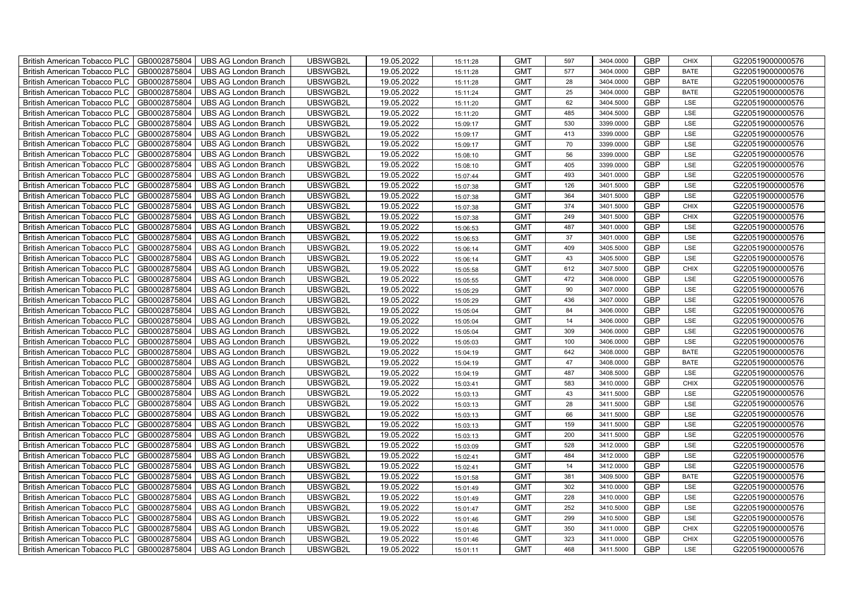| British American Tobacco PLC   GB0002875804 |              | <b>UBS AG London Branch</b> | UBSWGB2L | 19.05.2022 | 15:11:28 | <b>GMT</b> | 597 | 3404.0000 | <b>GBP</b> | <b>CHIX</b> | G220519000000576 |
|---------------------------------------------|--------------|-----------------------------|----------|------------|----------|------------|-----|-----------|------------|-------------|------------------|
| <b>British American Tobacco PLC</b>         | GB0002875804 | <b>UBS AG London Branch</b> | UBSWGB2L | 19.05.2022 | 15:11:28 | <b>GMT</b> | 577 | 3404.0000 | <b>GBP</b> | <b>BATE</b> | G220519000000576 |
| <b>British American Tobacco PLC</b>         | GB0002875804 | UBS AG London Branch        | UBSWGB2L | 19.05.2022 | 15:11:28 | <b>GMT</b> | 28  | 3404.0000 | <b>GBP</b> | <b>BATE</b> | G220519000000576 |
| <b>British American Tobacco PLC</b>         | GB0002875804 | <b>UBS AG London Branch</b> | UBSWGB2L | 19.05.2022 | 15:11:24 | <b>GMT</b> | 25  | 3404.0000 | <b>GBP</b> | <b>BATE</b> | G220519000000576 |
| <b>British American Tobacco PLC</b>         | GB0002875804 | UBS AG London Branch        | UBSWGB2L | 19.05.2022 | 15:11:20 | <b>GMT</b> | 62  | 3404.5000 | <b>GBP</b> | LSE         | G220519000000576 |
| <b>British American Tobacco PLC</b>         | GB0002875804 | <b>UBS AG London Branch</b> | UBSWGB2L | 19.05.2022 | 15:11:20 | <b>GMT</b> | 485 | 3404.5000 | <b>GBP</b> | LSE         | G220519000000576 |
| <b>British American Tobacco PLC</b>         | GB0002875804 | <b>UBS AG London Branch</b> | UBSWGB2L | 19.05.2022 | 15:09:17 | <b>GMT</b> | 530 | 3399.0000 | <b>GBP</b> | LSE         | G220519000000576 |
| British American Tobacco PLC                | GB0002875804 | UBS AG London Branch        | UBSWGB2L | 19.05.2022 | 15:09:17 | <b>GMT</b> | 413 | 3399.0000 | <b>GBP</b> | LSE         | G220519000000576 |
| <b>British American Tobacco PLC</b>         | GB0002875804 | <b>UBS AG London Branch</b> | UBSWGB2L | 19.05.2022 | 15:09:17 | <b>GMT</b> | 70  | 3399.0000 | <b>GBP</b> | LSE         | G220519000000576 |
| <b>British American Tobacco PLC</b>         | GB0002875804 | <b>UBS AG London Branch</b> | UBSWGB2L | 19.05.2022 | 15:08:10 | <b>GMT</b> | 56  | 3399.0000 | <b>GBP</b> | LSE         | G220519000000576 |
| British American Tobacco PLC                | GB0002875804 | <b>UBS AG London Branch</b> | UBSWGB2L | 19.05.2022 | 15:08:10 | <b>GMT</b> | 405 | 3399.0000 | <b>GBP</b> | LSE         | G220519000000576 |
| British American Tobacco PLC                | GB0002875804 | UBS AG London Branch        | UBSWGB2L | 19.05.2022 | 15:07:44 | <b>GMT</b> | 493 | 3401.0000 | <b>GBP</b> | LSE         | G220519000000576 |
| British American Tobacco PLC                | GB0002875804 | UBS AG London Branch        | UBSWGB2L | 19.05.2022 | 15:07:38 | <b>GMT</b> | 126 | 3401.5000 | <b>GBP</b> | LSE         | G220519000000576 |
| British American Tobacco PLC                | GB0002875804 | <b>UBS AG London Branch</b> | UBSWGB2L | 19.05.2022 | 15:07:38 | <b>GMT</b> | 364 | 3401.5000 | <b>GBP</b> | LSE         | G220519000000576 |
| British American Tobacco PLC                | GB0002875804 | <b>UBS AG London Branch</b> | UBSWGB2L | 19.05.2022 | 15:07:38 | <b>GMT</b> | 374 | 3401.5000 | <b>GBP</b> | <b>CHIX</b> | G220519000000576 |
| British American Tobacco PLC                | GB0002875804 | <b>UBS AG London Branch</b> | UBSWGB2L | 19.05.2022 | 15:07:38 | <b>GMT</b> | 249 | 3401.5000 | <b>GBP</b> | <b>CHIX</b> | G220519000000576 |
| British American Tobacco PLC                | GB0002875804 | <b>UBS AG London Branch</b> | UBSWGB2L | 19.05.2022 | 15:06:53 | <b>GMT</b> | 487 | 3401.0000 | <b>GBP</b> | LSE         | G220519000000576 |
| British American Tobacco PLC                | GB0002875804 | <b>UBS AG London Branch</b> | UBSWGB2L | 19.05.2022 | 15:06:53 | <b>GMT</b> | 37  | 3401.0000 | <b>GBP</b> | LSE         | G220519000000576 |
| British American Tobacco PLC                | GB0002875804 | <b>UBS AG London Branch</b> | UBSWGB2L | 19.05.2022 | 15:06:14 | <b>GMT</b> | 409 | 3405.5000 | <b>GBP</b> | <b>LSE</b>  | G220519000000576 |
| <b>British American Tobacco PLC</b>         | GB0002875804 | <b>UBS AG London Branch</b> | UBSWGB2L | 19.05.2022 | 15:06:14 | <b>GMT</b> | 43  | 3405.5000 | <b>GBP</b> | LSE         | G220519000000576 |
| British American Tobacco PLC                | GB0002875804 | UBS AG London Branch        | UBSWGB2L | 19.05.2022 | 15:05:58 | <b>GMT</b> | 612 | 3407.5000 | <b>GBP</b> | <b>CHIX</b> | G220519000000576 |
| British American Tobacco PLC                | GB0002875804 | UBS AG London Branch        | UBSWGB2L | 19.05.2022 | 15:05:55 | <b>GMT</b> | 472 | 3408.0000 | GBP        | LSE         | G220519000000576 |
| British American Tobacco PLC                | GB0002875804 | <b>UBS AG London Branch</b> | UBSWGB2L | 19.05.2022 | 15:05:29 | <b>GMT</b> | 90  | 3407.0000 | <b>GBP</b> | LSE         | G220519000000576 |
| British American Tobacco PLC                | GB0002875804 | <b>UBS AG London Branch</b> | UBSWGB2L | 19.05.2022 | 15:05:29 | <b>GMT</b> | 436 | 3407.0000 | GBP        | LSE         | G220519000000576 |
| British American Tobacco PLC                | GB0002875804 | <b>UBS AG London Branch</b> | UBSWGB2L | 19.05.2022 | 15:05:04 | <b>GMT</b> | 84  | 3406.0000 | <b>GBP</b> | LSE         | G220519000000576 |
| British American Tobacco PLC                | GB0002875804 | <b>UBS AG London Branch</b> | UBSWGB2L | 19.05.2022 | 15:05:04 | <b>GMT</b> | 14  | 3406.0000 | <b>GBP</b> | LSE         | G220519000000576 |
| British American Tobacco PLC                | GB0002875804 | <b>UBS AG London Branch</b> | UBSWGB2L | 19.05.2022 | 15:05:04 | <b>GMT</b> | 309 | 3406.0000 | <b>GBP</b> | LSE         | G220519000000576 |
| British American Tobacco PLC                | GB0002875804 | <b>UBS AG London Branch</b> | UBSWGB2L | 19.05.2022 | 15:05:03 | <b>GMT</b> | 100 | 3406.0000 | <b>GBP</b> | LSE         | G220519000000576 |
| <b>British American Tobacco PLC</b>         | GB0002875804 | <b>UBS AG London Branch</b> | UBSWGB2L | 19.05.2022 | 15:04:19 | <b>GMT</b> | 642 | 3408.0000 | <b>GBP</b> | <b>BATE</b> | G220519000000576 |
| British American Tobacco PLC                | GB0002875804 | UBS AG London Branch        | UBSWGB2L | 19.05.2022 | 15:04:19 | <b>GMT</b> | 47  | 3408.0000 | <b>GBP</b> | <b>BATE</b> | G220519000000576 |
| British American Tobacco PLC                | GB0002875804 | <b>UBS AG London Branch</b> | UBSWGB2L | 19.05.2022 | 15:04:19 | <b>GMT</b> | 487 | 3408.5000 | GBP        | LSE         | G220519000000576 |
| British American Tobacco PLC                | GB0002875804 | <b>UBS AG London Branch</b> | UBSWGB2L | 19.05.2022 | 15:03:41 | <b>GMT</b> | 583 | 3410.0000 | <b>GBP</b> | <b>CHIX</b> | G220519000000576 |
| British American Tobacco PLC                | GB0002875804 | UBS AG London Branch        | UBSWGB2L | 19.05.2022 | 15:03:13 | <b>GMT</b> | 43  | 3411.5000 | GBP        | LSE         | G220519000000576 |
| British American Tobacco PLC                | GB0002875804 | UBS AG London Branch        | UBSWGB2L | 19.05.2022 | 15:03:13 | <b>GMT</b> | 28  | 3411.5000 | <b>GBP</b> | LSE         | G220519000000576 |
| British American Tobacco PLC                | GB0002875804 | UBS AG London Branch        | UBSWGB2L | 19.05.2022 | 15:03:13 | <b>GMT</b> | 66  | 3411.5000 | <b>GBP</b> | LSE         | G220519000000576 |
| British American Tobacco PLC                | GB0002875804 | <b>UBS AG London Branch</b> | UBSWGB2L | 19.05.2022 | 15:03:13 | <b>GMT</b> | 159 | 3411.5000 | GBP        | LSE         | G220519000000576 |
| British American Tobacco PLC                | GB0002875804 | <b>UBS AG London Branch</b> | UBSWGB2L | 19.05.2022 | 15:03:13 | <b>GMT</b> | 200 | 3411.5000 | <b>GBP</b> | LSE         | G220519000000576 |
| <b>British American Tobacco PLC</b>         | GB0002875804 | <b>UBS AG London Branch</b> | UBSWGB2L | 19.05.2022 | 15:03:09 | <b>GMT</b> | 528 | 3412.0000 | <b>GBP</b> | LSE         | G220519000000576 |
| British American Tobacco PLC                | GB0002875804 | UBS AG London Branch        | UBSWGB2L | 19.05.2022 | 15:02:41 | <b>GMT</b> | 484 | 3412.0000 | <b>GBP</b> | LSE         | G220519000000576 |
| <b>British American Tobacco PLC</b>         | GB0002875804 | UBS AG London Branch        | UBSWGB2L | 19.05.2022 | 15:02:41 | <b>GMT</b> | 14  | 3412.0000 | GBP        | LSE         | G220519000000576 |
| British American Tobacco PLC                | GB0002875804 | UBS AG London Branch        | UBSWGB2L | 19.05.2022 | 15:01:58 | <b>GMT</b> | 381 | 3409.5000 | <b>GBP</b> | <b>BATE</b> | G220519000000576 |
| British American Tobacco PLC                | GB0002875804 | UBS AG London Branch        | UBSWGB2L | 19.05.2022 | 15:01:49 | <b>GMT</b> | 302 | 3410.0000 | GBP        | LSE         | G220519000000576 |
| British American Tobacco PLC                | GB0002875804 | UBS AG London Branch        | UBSWGB2L | 19.05.2022 | 15:01:49 | <b>GMT</b> | 228 | 3410.0000 | <b>GBP</b> | LSE         | G220519000000576 |
| <b>British American Tobacco PLC</b>         | GB0002875804 | UBS AG London Branch        | UBSWGB2L | 19.05.2022 | 15:01:47 | <b>GMT</b> | 252 | 3410.5000 | <b>GBP</b> | LSE         | G220519000000576 |
| <b>British American Tobacco PLC</b>         | GB0002875804 | UBS AG London Branch        | UBSWGB2L | 19.05.2022 | 15:01:46 | <b>GMT</b> | 299 | 3410.5000 | GBP        | LSE         | G220519000000576 |
| <b>British American Tobacco PLC</b>         | GB0002875804 | UBS AG London Branch        | UBSWGB2L | 19.05.2022 | 15:01:46 | <b>GMT</b> | 350 | 3411.0000 | <b>GBP</b> | <b>CHIX</b> | G220519000000576 |
| <b>British American Tobacco PLC</b>         | GB0002875804 | <b>UBS AG London Branch</b> | UBSWGB2L | 19.05.2022 | 15:01:46 | <b>GMT</b> | 323 | 3411.0000 | <b>GBP</b> | <b>CHIX</b> | G220519000000576 |
| British American Tobacco PLC                | GB0002875804 | UBS AG London Branch        | UBSWGB2L | 19.05.2022 | 15:01:11 | <b>GMT</b> | 468 | 3411.5000 | <b>GBP</b> | LSE         | G220519000000576 |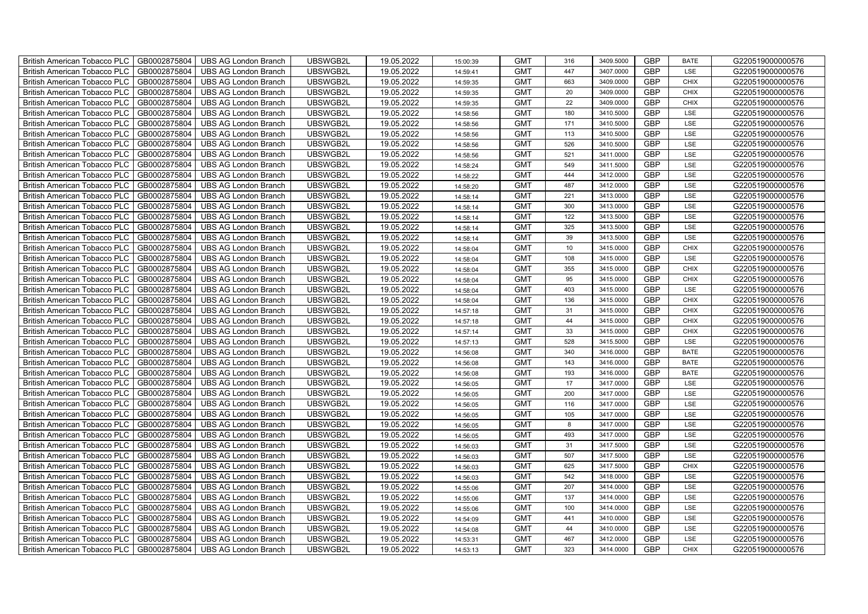| British American Tobacco PLC        | GB0002875804 | <b>UBS AG London Branch</b> | UBSWGB2L | 19.05.2022 | 15:00:39 | <b>GMT</b> | 316 | 3409.5000 | <b>GBP</b> | <b>BATE</b> | G220519000000576 |
|-------------------------------------|--------------|-----------------------------|----------|------------|----------|------------|-----|-----------|------------|-------------|------------------|
| <b>British American Tobacco PLC</b> | GB0002875804 | <b>UBS AG London Branch</b> | UBSWGB2L | 19.05.2022 | 14:59:41 | <b>GMT</b> | 447 | 3407.0000 | <b>GBP</b> | LSE         | G220519000000576 |
| <b>British American Tobacco PLC</b> | GB0002875804 | UBS AG London Branch        | UBSWGB2L | 19.05.2022 | 14:59:35 | <b>GMT</b> | 663 | 3409.0000 | <b>GBP</b> | <b>CHIX</b> | G220519000000576 |
| <b>British American Tobacco PLC</b> | GB0002875804 | <b>UBS AG London Branch</b> | UBSWGB2L | 19.05.2022 | 14:59:35 | <b>GMT</b> | 20  | 3409.0000 | <b>GBP</b> | <b>CHIX</b> | G220519000000576 |
| British American Tobacco PLC        | GB0002875804 | <b>UBS AG London Branch</b> | UBSWGB2L | 19.05.2022 | 14:59:35 | <b>GMT</b> | 22  | 3409.0000 | <b>GBP</b> | <b>CHIX</b> | G220519000000576 |
| <b>British American Tobacco PLC</b> | GB0002875804 | <b>UBS AG London Branch</b> | UBSWGB2L | 19.05.2022 | 14:58:56 | <b>GMT</b> | 180 | 3410.5000 | <b>GBP</b> | LSE         | G220519000000576 |
| British American Tobacco PLC        | GB0002875804 | <b>UBS AG London Branch</b> | UBSWGB2L | 19.05.2022 | 14:58:56 | <b>GMT</b> | 171 | 3410.5000 | <b>GBP</b> | LSE         | G220519000000576 |
| <b>British American Tobacco PLC</b> | GB0002875804 | <b>UBS AG London Branch</b> | UBSWGB2L | 19.05.2022 | 14:58:56 | <b>GMT</b> | 113 | 3410.5000 | <b>GBP</b> | LSE         | G220519000000576 |
| <b>British American Tobacco PLC</b> | GB0002875804 | <b>UBS AG London Branch</b> | UBSWGB2L | 19.05.2022 | 14:58:56 | <b>GMT</b> | 526 | 3410.5000 | <b>GBP</b> | LSE         | G220519000000576 |
| British American Tobacco PLC        | GB0002875804 | <b>UBS AG London Branch</b> | UBSWGB2L | 19.05.2022 | 14:58:56 | <b>GMT</b> | 521 | 3411.0000 | <b>GBP</b> | LSE         | G220519000000576 |
| <b>British American Tobacco PLC</b> | GB0002875804 | <b>UBS AG London Branch</b> | UBSWGB2L | 19.05.2022 | 14:58:24 | <b>GMT</b> | 549 | 3411.5000 | <b>GBP</b> | LSE         | G220519000000576 |
| <b>British American Tobacco PLC</b> | GB0002875804 | <b>UBS AG London Branch</b> | UBSWGB2L | 19.05.2022 | 14:58:22 | <b>GMT</b> | 444 | 3412.0000 | <b>GBP</b> | <b>LSE</b>  | G220519000000576 |
| <b>British American Tobacco PLC</b> | GB0002875804 | <b>UBS AG London Branch</b> | UBSWGB2L | 19.05.2022 | 14:58:20 | <b>GMT</b> | 487 | 3412.0000 | <b>GBP</b> | LSE         | G220519000000576 |
| British American Tobacco PLC        | GB0002875804 | <b>UBS AG London Branch</b> | UBSWGB2L | 19.05.2022 | 14:58:14 | <b>GMT</b> | 221 | 3413.0000 | <b>GBP</b> | LSE         | G220519000000576 |
| <b>British American Tobacco PLC</b> | GB0002875804 | <b>UBS AG London Branch</b> | UBSWGB2L | 19.05.2022 | 14:58:14 | <b>GMT</b> | 300 | 3413.0000 | <b>GBP</b> | LSE         | G220519000000576 |
| British American Tobacco PLC        | GB0002875804 | <b>UBS AG London Branch</b> | UBSWGB2L | 19.05.2022 | 14:58:14 | <b>GMT</b> | 122 | 3413.5000 | <b>GBP</b> | LSE         | G220519000000576 |
| <b>British American Tobacco PLC</b> | GB0002875804 | <b>UBS AG London Branch</b> | UBSWGB2L | 19.05.2022 | 14:58:14 | <b>GMT</b> | 325 | 3413.5000 | <b>GBP</b> | LSE         | G220519000000576 |
| <b>British American Tobacco PLC</b> | GB0002875804 | <b>UBS AG London Branch</b> | UBSWGB2L | 19.05.2022 | 14:58:14 | <b>GMT</b> | 39  | 3413.5000 | <b>GBP</b> | LSE         | G220519000000576 |
| British American Tobacco PLC        | GB0002875804 | <b>UBS AG London Branch</b> | UBSWGB2L | 19.05.2022 | 14:58:04 | <b>GMT</b> | 10  | 3415.0000 | <b>GBP</b> | <b>CHIX</b> | G220519000000576 |
| <b>British American Tobacco PLC</b> | GB0002875804 | <b>UBS AG London Branch</b> | UBSWGB2L | 19.05.2022 | 14:58:04 | <b>GMT</b> | 108 | 3415.0000 | <b>GBP</b> | LSE         | G220519000000576 |
| <b>British American Tobacco PLC</b> | GB0002875804 | <b>UBS AG London Branch</b> | UBSWGB2L | 19.05.2022 | 14:58:04 | <b>GMT</b> | 355 | 3415.0000 | <b>GBP</b> | <b>CHIX</b> | G220519000000576 |
| British American Tobacco PLC        | GB0002875804 | <b>UBS AG London Branch</b> | UBSWGB2L | 19.05.2022 | 14:58:04 | <b>GMT</b> | 95  | 3415.0000 | <b>GBP</b> | <b>CHIX</b> | G220519000000576 |
| British American Tobacco PLC        | GB0002875804 | <b>UBS AG London Branch</b> | UBSWGB2L | 19.05.2022 | 14:58:04 | <b>GMT</b> | 403 | 3415.0000 | <b>GBP</b> | LSE         | G220519000000576 |
| <b>British American Tobacco PLC</b> | GB0002875804 | <b>UBS AG London Branch</b> | UBSWGB2L | 19.05.2022 | 14:58:04 | <b>GMT</b> | 136 | 3415.0000 | <b>GBP</b> | <b>CHIX</b> | G220519000000576 |
| <b>British American Tobacco PLC</b> | GB0002875804 | <b>UBS AG London Branch</b> | UBSWGB2L | 19.05.2022 | 14:57:18 | <b>GMT</b> | 31  | 3415.0000 | <b>GBP</b> | <b>CHIX</b> | G220519000000576 |
| <b>British American Tobacco PLC</b> | GB0002875804 | <b>UBS AG London Branch</b> | UBSWGB2L | 19.05.2022 | 14:57:18 | <b>GMT</b> | 44  | 3415.0000 | <b>GBP</b> | <b>CHIX</b> | G220519000000576 |
| <b>British American Tobacco PLC</b> | GB0002875804 | <b>UBS AG London Branch</b> | UBSWGB2L | 19.05.2022 | 14:57:14 | <b>GMT</b> | 33  | 3415.0000 | <b>GBP</b> | <b>CHIX</b> | G220519000000576 |
| British American Tobacco PLC        | GB0002875804 | <b>UBS AG London Branch</b> | UBSWGB2L | 19.05.2022 | 14:57:13 | <b>GMT</b> | 528 | 3415.5000 | <b>GBP</b> | LSE         | G220519000000576 |
| <b>British American Tobacco PLC</b> | GB0002875804 | <b>UBS AG London Branch</b> | UBSWGB2L | 19.05.2022 | 14:56:08 | <b>GMT</b> | 340 | 3416.0000 | <b>GBP</b> | <b>BATE</b> | G220519000000576 |
| <b>British American Tobacco PLC</b> | GB0002875804 | <b>UBS AG London Branch</b> | UBSWGB2L | 19.05.2022 | 14:56:08 | <b>GMT</b> | 143 | 3416.0000 | <b>GBP</b> | <b>BATE</b> | G220519000000576 |
| British American Tobacco PLC        | GB0002875804 | <b>UBS AG London Branch</b> | UBSWGB2L | 19.05.2022 | 14:56:08 | <b>GMT</b> | 193 | 3416.0000 | GBP        | <b>BATE</b> | G220519000000576 |
| British American Tobacco PLC        | GB0002875804 | <b>UBS AG London Branch</b> | UBSWGB2L | 19.05.2022 | 14:56:05 | <b>GMT</b> | 17  | 3417.0000 | GBP        | LSE         | G220519000000576 |
| <b>British American Tobacco PLC</b> | GB0002875804 | UBS AG London Branch        | UBSWGB2L | 19.05.2022 | 14:56:05 | <b>GMT</b> | 200 | 3417.0000 | <b>GBP</b> | LSE         | G220519000000576 |
| <b>British American Tobacco PLC</b> | GB0002875804 | <b>UBS AG London Branch</b> | UBSWGB2L | 19.05.2022 | 14:56:05 | <b>GMT</b> | 116 | 3417.0000 | <b>GBP</b> | LSE         | G220519000000576 |
| <b>British American Tobacco PLC</b> | GB0002875804 | <b>UBS AG London Branch</b> | UBSWGB2L | 19.05.2022 | 14:56:05 | <b>GMT</b> | 105 | 3417.0000 | <b>GBP</b> | LSE         | G220519000000576 |
| <b>British American Tobacco PLC</b> | GB0002875804 | <b>UBS AG London Branch</b> | UBSWGB2L | 19.05.2022 | 14:56:05 | <b>GMT</b> | 8   | 3417.0000 | <b>GBP</b> | LSE         | G220519000000576 |
| <b>British American Tobacco PLC</b> | GB0002875804 | <b>UBS AG London Branch</b> | UBSWGB2L | 19.05.2022 | 14:56:05 | <b>GMT</b> | 493 | 3417.0000 | <b>GBP</b> | LSE         | G220519000000576 |
| <b>British American Tobacco PLC</b> | GB0002875804 | <b>UBS AG London Branch</b> | UBSWGB2L | 19.05.2022 | 14:56:03 | <b>GMT</b> | 31  | 3417.5000 | <b>GBP</b> | LSE         | G220519000000576 |
| <b>British American Tobacco PLC</b> | GB0002875804 | <b>UBS AG London Branch</b> | UBSWGB2L | 19.05.2022 | 14:56:03 | <b>GMT</b> | 507 | 3417.5000 | <b>GBP</b> | LSE         | G220519000000576 |
| <b>British American Tobacco PLC</b> | GB0002875804 | <b>UBS AG London Branch</b> | UBSWGB2L | 19.05.2022 | 14:56:03 | <b>GMT</b> | 625 | 3417.5000 | <b>GBP</b> | <b>CHIX</b> | G220519000000576 |
| British American Tobacco PLC        | GB0002875804 | UBS AG London Branch        | UBSWGB2L | 19.05.2022 | 14:56:03 | <b>GMT</b> | 542 | 3418.0000 | GBP        | LSE         | G220519000000576 |
| <b>British American Tobacco PLC</b> | GB0002875804 | UBS AG London Branch        | UBSWGB2L | 19.05.2022 | 14:55:06 | <b>GMT</b> | 207 | 3414.0000 | <b>GBP</b> | LSE         | G220519000000576 |
| British American Tobacco PLC        | GB0002875804 | UBS AG London Branch        | UBSWGB2L | 19.05.2022 | 14:55:06 | <b>GMT</b> | 137 | 3414.0000 | <b>GBP</b> | LSE         | G220519000000576 |
| <b>British American Tobacco PLC</b> | GB0002875804 | <b>UBS AG London Branch</b> | UBSWGB2L | 19.05.2022 | 14:55:06 | <b>GMT</b> | 100 | 3414.0000 | <b>GBP</b> | LSE         | G220519000000576 |
| <b>British American Tobacco PLC</b> | GB0002875804 | <b>UBS AG London Branch</b> | UBSWGB2L | 19.05.2022 | 14:54:09 | <b>GMT</b> | 441 | 3410.0000 | <b>GBP</b> | LSE         | G220519000000576 |
| <b>British American Tobacco PLC</b> | GB0002875804 | <b>UBS AG London Branch</b> | UBSWGB2L | 19.05.2022 | 14:54:08 | <b>GMT</b> | 44  | 3410.0000 | <b>GBP</b> | LSE         | G220519000000576 |
| <b>British American Tobacco PLC</b> | GB0002875804 | <b>UBS AG London Branch</b> | UBSWGB2L | 19.05.2022 | 14:53:31 | <b>GMT</b> | 467 | 3412.0000 | <b>GBP</b> | LSE         | G220519000000576 |
| British American Tobacco PLC        | GB0002875804 | UBS AG London Branch        | UBSWGB2L | 19.05.2022 | 14:53:13 | <b>GMT</b> | 323 | 3414.0000 | <b>GBP</b> | <b>CHIX</b> | G220519000000576 |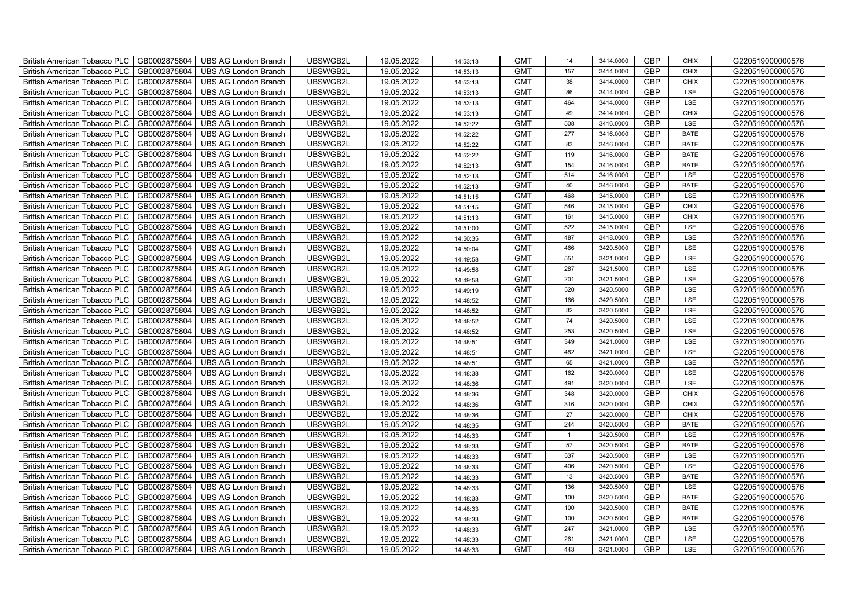| British American Tobacco PLC   GB0002875804 |              | <b>UBS AG London Branch</b> | UBSWGB2L | 19.05.2022 | 14:53:13 | <b>GMT</b> | 14             | 3414.0000 | <b>GBP</b> | <b>CHIX</b> | G220519000000576 |
|---------------------------------------------|--------------|-----------------------------|----------|------------|----------|------------|----------------|-----------|------------|-------------|------------------|
| <b>British American Tobacco PLC</b>         | GB0002875804 | <b>UBS AG London Branch</b> | UBSWGB2L | 19.05.2022 | 14:53:13 | <b>GMT</b> | 157            | 3414.0000 | <b>GBP</b> | <b>CHIX</b> | G220519000000576 |
| <b>British American Tobacco PLC</b>         | GB0002875804 | UBS AG London Branch        | UBSWGB2L | 19.05.2022 | 14:53:13 | <b>GMT</b> | 38             | 3414.0000 | <b>GBP</b> | <b>CHIX</b> | G220519000000576 |
| <b>British American Tobacco PLC</b>         | GB0002875804 | <b>UBS AG London Branch</b> | UBSWGB2L | 19.05.2022 | 14:53:13 | <b>GMT</b> | 86             | 3414.0000 | <b>GBP</b> | LSE         | G220519000000576 |
| <b>British American Tobacco PLC</b>         | GB0002875804 | UBS AG London Branch        | UBSWGB2L | 19.05.2022 | 14:53:13 | <b>GMT</b> | 464            | 3414.0000 | <b>GBP</b> | LSE         | G220519000000576 |
| <b>British American Tobacco PLC</b>         | GB0002875804 | <b>UBS AG London Branch</b> | UBSWGB2L | 19.05.2022 | 14:53:13 | <b>GMT</b> | 49             | 3414.0000 | <b>GBP</b> | <b>CHIX</b> | G220519000000576 |
| <b>British American Tobacco PLC</b>         | GB0002875804 | <b>UBS AG London Branch</b> | UBSWGB2L | 19.05.2022 | 14:52:22 | <b>GMT</b> | 508            | 3416.0000 | <b>GBP</b> | LSE         | G220519000000576 |
| <b>British American Tobacco PLC</b>         | GB0002875804 | UBS AG London Branch        | UBSWGB2L | 19.05.2022 | 14:52:22 | <b>GMT</b> | 277            | 3416.0000 | <b>GBP</b> | <b>BATE</b> | G220519000000576 |
| <b>British American Tobacco PLC</b>         | GB0002875804 | <b>UBS AG London Branch</b> | UBSWGB2L | 19.05.2022 | 14:52:22 | <b>GMT</b> | 83             | 3416.0000 | <b>GBP</b> | <b>BATE</b> | G220519000000576 |
| <b>British American Tobacco PLC</b>         | GB0002875804 | <b>UBS AG London Branch</b> | UBSWGB2L | 19.05.2022 | 14:52:22 | <b>GMT</b> | 119            | 3416.0000 | <b>GBP</b> | <b>BATE</b> | G220519000000576 |
| <b>British American Tobacco PLC</b>         | GB0002875804 | <b>UBS AG London Branch</b> | UBSWGB2L | 19.05.2022 | 14:52:13 | <b>GMT</b> | 154            | 3416.0000 | <b>GBP</b> | <b>BATE</b> | G220519000000576 |
| British American Tobacco PLC                | GB0002875804 | UBS AG London Branch        | UBSWGB2L | 19.05.2022 | 14:52:13 | <b>GMT</b> | 514            | 3416.0000 | <b>GBP</b> | LSE         | G220519000000576 |
| British American Tobacco PLC                | GB0002875804 | <b>UBS AG London Branch</b> | UBSWGB2L | 19.05.2022 | 14:52:13 | <b>GMT</b> | 40             | 3416.0000 | <b>GBP</b> | <b>BATE</b> | G220519000000576 |
| British American Tobacco PLC                | GB0002875804 | <b>UBS AG London Branch</b> | UBSWGB2L | 19.05.2022 | 14:51:15 | <b>GMT</b> | 468            | 3415.0000 | <b>GBP</b> | LSE         | G220519000000576 |
| British American Tobacco PLC                | GB0002875804 | <b>UBS AG London Branch</b> | UBSWGB2L | 19.05.2022 | 14:51:15 | <b>GMT</b> | 546            | 3415.0000 | <b>GBP</b> | <b>CHIX</b> | G220519000000576 |
| British American Tobacco PLC                | GB0002875804 | <b>UBS AG London Branch</b> | UBSWGB2L | 19.05.2022 | 14:51:13 | <b>GMT</b> | 161            | 3415.0000 | <b>GBP</b> | <b>CHIX</b> | G220519000000576 |
| British American Tobacco PLC                | GB0002875804 | <b>UBS AG London Branch</b> | UBSWGB2L | 19.05.2022 | 14:51:00 | <b>GMT</b> | 522            | 3415.0000 | <b>GBP</b> | LSE         | G220519000000576 |
| British American Tobacco PLC                | GB0002875804 | <b>UBS AG London Branch</b> | UBSWGB2L | 19.05.2022 | 14:50:35 | <b>GMT</b> | 487            | 3418.0000 | <b>GBP</b> | LSE         | G220519000000576 |
| British American Tobacco PLC                | GB0002875804 | <b>UBS AG London Branch</b> | UBSWGB2L | 19.05.2022 | 14:50:04 | <b>GMT</b> | 466            | 3420.5000 | <b>GBP</b> | <b>LSE</b>  | G220519000000576 |
| <b>British American Tobacco PLC</b>         | GB0002875804 | <b>UBS AG London Branch</b> | UBSWGB2L | 19.05.2022 | 14:49:58 | <b>GMT</b> | 551            | 3421.0000 | <b>GBP</b> | LSE         | G220519000000576 |
| British American Tobacco PLC                | GB0002875804 | UBS AG London Branch        | UBSWGB2L | 19.05.2022 | 14:49:58 | <b>GMT</b> | 287            | 3421.5000 | <b>GBP</b> | <b>LSE</b>  | G220519000000576 |
| British American Tobacco PLC                | GB0002875804 | UBS AG London Branch        | UBSWGB2L | 19.05.2022 | 14:49:58 | <b>GMT</b> | 201            | 3421.5000 | GBP        | LSE         | G220519000000576 |
| British American Tobacco PLC                | GB0002875804 | <b>UBS AG London Branch</b> | UBSWGB2L | 19.05.2022 | 14:49:19 | <b>GMT</b> | 520            | 3420.5000 | <b>GBP</b> | LSE         | G220519000000576 |
| British American Tobacco PLC                | GB0002875804 | <b>UBS AG London Branch</b> | UBSWGB2L | 19.05.2022 | 14:48:52 | <b>GMT</b> | 166            | 3420.5000 | GBP        | LSE         | G220519000000576 |
| British American Tobacco PLC                | GB0002875804 | <b>UBS AG London Branch</b> | UBSWGB2L | 19.05.2022 | 14:48:52 | <b>GMT</b> | 32             | 3420.5000 | <b>GBP</b> | LSE         | G220519000000576 |
| British American Tobacco PLC                | GB0002875804 | <b>UBS AG London Branch</b> | UBSWGB2L | 19.05.2022 | 14:48:52 | <b>GMT</b> | 74             | 3420.5000 | <b>GBP</b> | LSE         | G220519000000576 |
| British American Tobacco PLC                | GB0002875804 | <b>UBS AG London Branch</b> | UBSWGB2L | 19.05.2022 | 14:48:52 | <b>GMT</b> | 253            | 3420.5000 | <b>GBP</b> | LSE         | G220519000000576 |
| British American Tobacco PLC                | GB0002875804 | <b>UBS AG London Branch</b> | UBSWGB2L | 19.05.2022 | 14:48:51 | <b>GMT</b> | 349            | 3421.0000 | <b>GBP</b> | LSE         | G220519000000576 |
| <b>British American Tobacco PLC</b>         | GB0002875804 | <b>UBS AG London Branch</b> | UBSWGB2L | 19.05.2022 | 14:48:51 | <b>GMT</b> | 482            | 3421.0000 | <b>GBP</b> | LSE         | G220519000000576 |
| British American Tobacco PLC                | GB0002875804 | UBS AG London Branch        | UBSWGB2L | 19.05.2022 | 14:48:51 | <b>GMT</b> | 65             | 3421.0000 | <b>GBP</b> | LSE         | G220519000000576 |
| British American Tobacco PLC                | GB0002875804 | <b>UBS AG London Branch</b> | UBSWGB2L | 19.05.2022 | 14:48:38 | <b>GMT</b> | 162            | 3420.0000 | GBP        | LSE         | G220519000000576 |
| British American Tobacco PLC                | GB0002875804 | <b>UBS AG London Branch</b> | UBSWGB2L | 19.05.2022 | 14:48:36 | <b>GMT</b> | 491            | 3420.0000 | <b>GBP</b> | LSE         | G220519000000576 |
| British American Tobacco PLC                | GB0002875804 | UBS AG London Branch        | UBSWGB2L | 19.05.2022 | 14:48:36 | <b>GMT</b> | 348            | 3420.0000 | GBP        | <b>CHIX</b> | G220519000000576 |
| British American Tobacco PLC                | GB0002875804 | UBS AG London Branch        | UBSWGB2L | 19.05.2022 | 14:48:36 | <b>GMT</b> | 316            | 3420.0000 | <b>GBP</b> | <b>CHIX</b> | G220519000000576 |
| British American Tobacco PLC                | GB0002875804 | UBS AG London Branch        | UBSWGB2L | 19.05.2022 | 14:48:36 | <b>GMT</b> | 27             | 3420.0000 | <b>GBP</b> | <b>CHIX</b> | G220519000000576 |
| British American Tobacco PLC                | GB0002875804 | <b>UBS AG London Branch</b> | UBSWGB2L | 19.05.2022 | 14:48:35 | <b>GMT</b> | 244            | 3420.5000 | <b>GBP</b> | <b>BATE</b> | G220519000000576 |
| British American Tobacco PLC                | GB0002875804 | <b>UBS AG London Branch</b> | UBSWGB2L | 19.05.2022 | 14:48:33 | <b>GMT</b> | $\overline{1}$ | 3420.5000 | <b>GBP</b> | LSE         | G220519000000576 |
| <b>British American Tobacco PLC</b>         | GB0002875804 | <b>UBS AG London Branch</b> | UBSWGB2L | 19.05.2022 | 14:48:33 | <b>GMT</b> | 57             | 3420.5000 | <b>GBP</b> | <b>BATE</b> | G220519000000576 |
| British American Tobacco PLC                | GB0002875804 | UBS AG London Branch        | UBSWGB2L | 19.05.2022 | 14:48:33 | <b>GMT</b> | 537            | 3420.5000 | <b>GBP</b> | LSE         | G220519000000576 |
| <b>British American Tobacco PLC</b>         | GB0002875804 | UBS AG London Branch        | UBSWGB2L | 19.05.2022 | 14:48:33 | <b>GMT</b> | 406            | 3420.5000 | <b>GBP</b> | LSE         | G220519000000576 |
| British American Tobacco PLC                | GB0002875804 | UBS AG London Branch        | UBSWGB2L | 19.05.2022 | 14:48:33 | <b>GMT</b> | 13             | 3420.5000 | <b>GBP</b> | <b>BATE</b> | G220519000000576 |
| British American Tobacco PLC                | GB0002875804 | <b>UBS AG London Branch</b> | UBSWGB2L | 19.05.2022 | 14:48:33 | <b>GMT</b> | 136            | 3420.5000 | GBP        | LSE         | G220519000000576 |
| British American Tobacco PLC                | GB0002875804 | UBS AG London Branch        | UBSWGB2L | 19.05.2022 | 14:48:33 | <b>GMT</b> | 100            | 3420.5000 | <b>GBP</b> | <b>BATE</b> | G220519000000576 |
| <b>British American Tobacco PLC</b>         | GB0002875804 | UBS AG London Branch        | UBSWGB2L | 19.05.2022 | 14:48:33 | <b>GMT</b> | 100            | 3420.5000 | <b>GBP</b> | <b>BATE</b> | G220519000000576 |
| <b>British American Tobacco PLC</b>         | GB0002875804 | UBS AG London Branch        | UBSWGB2L | 19.05.2022 | 14:48:33 | <b>GMT</b> | 100            | 3420.5000 | GBP        | <b>BATE</b> | G220519000000576 |
| <b>British American Tobacco PLC</b>         | GB0002875804 | UBS AG London Branch        | UBSWGB2L | 19.05.2022 | 14:48:33 | <b>GMT</b> | 247            | 3421.0000 | <b>GBP</b> | LSE         | G220519000000576 |
| <b>British American Tobacco PLC</b>         | GB0002875804 | <b>UBS AG London Branch</b> | UBSWGB2L | 19.05.2022 | 14:48:33 | <b>GMT</b> | 261            | 3421.0000 | <b>GBP</b> | LSE         | G220519000000576 |
| British American Tobacco PLC                | GB0002875804 | UBS AG London Branch        | UBSWGB2L | 19.05.2022 | 14:48:33 | <b>GMT</b> | 443            | 3421.0000 | <b>GBP</b> | LSE         | G220519000000576 |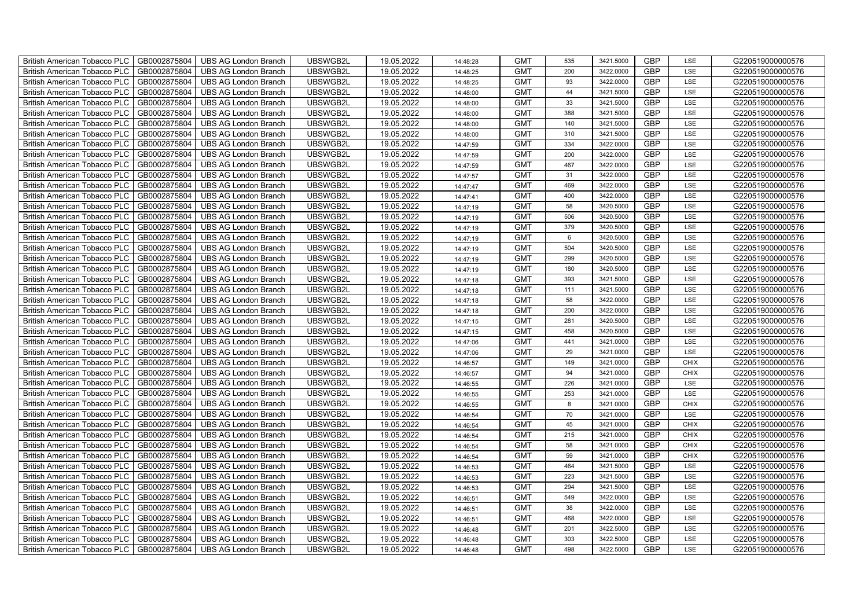| British American Tobacco PLC<br>GB0002875804        | <b>UBS AG London Branch</b> | UBSWGB2L | 19.05.2022 | 14:48:28 | <b>GMT</b> | 535 | 3421.5000 | <b>GBP</b> | LSE         | G220519000000576 |
|-----------------------------------------------------|-----------------------------|----------|------------|----------|------------|-----|-----------|------------|-------------|------------------|
| GB0002875804<br><b>British American Tobacco PLC</b> | <b>UBS AG London Branch</b> | UBSWGB2L | 19.05.2022 | 14:48:25 | <b>GMT</b> | 200 | 3422.0000 | <b>GBP</b> | LSE         | G220519000000576 |
| GB0002875804<br><b>British American Tobacco PLC</b> | UBS AG London Branch        | UBSWGB2L | 19.05.2022 | 14:48:25 | <b>GMT</b> | 93  | 3422.0000 | <b>GBP</b> | LSE         | G220519000000576 |
| GB0002875804<br>British American Tobacco PLC        | <b>UBS AG London Branch</b> | UBSWGB2L | 19.05.2022 | 14:48:00 | <b>GMT</b> | 44  | 3421.5000 | <b>GBP</b> | LSE         | G220519000000576 |
| GB0002875804<br>British American Tobacco PLC        | <b>UBS AG London Branch</b> | UBSWGB2L | 19.05.2022 | 14:48:00 | <b>GMT</b> | 33  | 3421.5000 | <b>GBP</b> | LSE         | G220519000000576 |
| GB0002875804<br>British American Tobacco PLC        | <b>UBS AG London Branch</b> | UBSWGB2L | 19.05.2022 | 14:48:00 | <b>GMT</b> | 388 | 3421.5000 | <b>GBP</b> | LSE         | G220519000000576 |
| GB0002875804<br><b>British American Tobacco PLC</b> | <b>UBS AG London Branch</b> | UBSWGB2L | 19.05.2022 | 14:48:00 | <b>GMT</b> | 140 | 3421.5000 | <b>GBP</b> | LSE         | G220519000000576 |
| British American Tobacco PLC<br>GB0002875804        | <b>UBS AG London Branch</b> | UBSWGB2L | 19.05.2022 | 14:48:00 | <b>GMT</b> | 310 | 3421.5000 | <b>GBP</b> | LSE         | G220519000000576 |
| GB0002875804<br>British American Tobacco PLC        | <b>UBS AG London Branch</b> | UBSWGB2L | 19.05.2022 | 14:47:59 | <b>GMT</b> | 334 | 3422.0000 | <b>GBP</b> | LSE         | G220519000000576 |
| GB0002875804<br>British American Tobacco PLC        | <b>UBS AG London Branch</b> | UBSWGB2L | 19.05.2022 | 14:47:59 | <b>GMT</b> | 200 | 3422.0000 | <b>GBP</b> | LSE         | G220519000000576 |
| <b>British American Tobacco PLC</b><br>GB0002875804 | <b>UBS AG London Branch</b> | UBSWGB2L | 19.05.2022 | 14:47:59 | <b>GMT</b> | 467 | 3422.0000 | <b>GBP</b> | LSE         | G220519000000576 |
| GB0002875804<br><b>British American Tobacco PLC</b> | <b>UBS AG London Branch</b> | UBSWGB2L | 19.05.2022 | 14:47:57 | <b>GMT</b> | 31  | 3422.0000 | <b>GBP</b> | LSE         | G220519000000576 |
| GB0002875804<br>British American Tobacco PLC        | <b>UBS AG London Branch</b> | UBSWGB2L | 19.05.2022 | 14:47:47 | <b>GMT</b> | 469 | 3422.0000 | <b>GBP</b> | LSE         | G220519000000576 |
| GB0002875804<br>British American Tobacco PLC        | <b>UBS AG London Branch</b> | UBSWGB2L | 19.05.2022 | 14:47:41 | <b>GMT</b> | 400 | 3422.0000 | <b>GBP</b> | LSE         | G220519000000576 |
| GB0002875804<br>British American Tobacco PLC        | <b>UBS AG London Branch</b> | UBSWGB2L | 19.05.2022 | 14:47:19 | <b>GMT</b> | 58  | 3420.5000 | <b>GBP</b> | LSE         | G220519000000576 |
| GB0002875804<br>British American Tobacco PLC        | <b>UBS AG London Branch</b> | UBSWGB2L | 19.05.2022 | 14:47:19 | <b>GMT</b> | 506 | 3420.5000 | GBP        | LSE         | G220519000000576 |
| British American Tobacco PLC<br>GB0002875804        | <b>UBS AG London Branch</b> | UBSWGB2L | 19.05.2022 | 14:47:19 | <b>GMT</b> | 379 | 3420.5000 | <b>GBP</b> | LSE         | G220519000000576 |
| GB0002875804<br>British American Tobacco PLC        | <b>UBS AG London Branch</b> | UBSWGB2L | 19.05.2022 | 14:47:19 | <b>GMT</b> | 6   | 3420.5000 | <b>GBP</b> | LSE         | G220519000000576 |
| GB0002875804<br>British American Tobacco PLC        | <b>UBS AG London Branch</b> | UBSWGB2L | 19.05.2022 | 14:47:19 | <b>GMT</b> | 504 | 3420.5000 | <b>GBP</b> | LSE         | G220519000000576 |
| <b>British American Tobacco PLC</b><br>GB0002875804 | <b>UBS AG London Branch</b> | UBSWGB2L | 19.05.2022 | 14:47:19 | <b>GMT</b> | 299 | 3420.5000 | GBP        | LSE         | G220519000000576 |
| GB0002875804<br><b>British American Tobacco PLC</b> | <b>UBS AG London Branch</b> | UBSWGB2L | 19.05.2022 | 14:47:19 | <b>GMT</b> | 180 | 3420.5000 | <b>GBP</b> | LSE         | G220519000000576 |
| GB0002875804<br>British American Tobacco PLC        | <b>UBS AG London Branch</b> | UBSWGB2L | 19.05.2022 | 14:47:18 | <b>GMT</b> | 393 | 3421.5000 | GBP        | LSE         | G220519000000576 |
| GB0002875804<br>British American Tobacco PLC        | <b>UBS AG London Branch</b> | UBSWGB2L | 19.05.2022 | 14:47:18 | <b>GMT</b> | 111 | 3421.5000 | GBP        | LSE         | G220519000000576 |
| GB0002875804<br>British American Tobacco PLC        | <b>UBS AG London Branch</b> | UBSWGB2L | 19.05.2022 | 14:47:18 | <b>GMT</b> | 58  | 3422.0000 | GBP        | LSE         | G220519000000576 |
| British American Tobacco PLC<br>GB0002875804        | <b>UBS AG London Branch</b> | UBSWGB2L | 19.05.2022 | 14:47:18 | <b>GMT</b> | 200 | 3422.0000 | <b>GBP</b> | LSE         | G220519000000576 |
| GB0002875804<br>British American Tobacco PLC        | <b>UBS AG London Branch</b> | UBSWGB2L | 19.05.2022 | 14:47:15 | <b>GMT</b> | 281 | 3420.5000 | <b>GBP</b> | LSE         | G220519000000576 |
| GB0002875804<br>British American Tobacco PLC        | <b>UBS AG London Branch</b> | UBSWGB2L | 19.05.2022 | 14:47:15 | <b>GMT</b> | 458 | 3420.5000 | GBP        | LSE         | G220519000000576 |
| GB0002875804<br>British American Tobacco PLC        | <b>UBS AG London Branch</b> | UBSWGB2L | 19.05.2022 | 14:47:06 | <b>GMT</b> | 441 | 3421.0000 | <b>GBP</b> | LSE         | G220519000000576 |
| <b>British American Tobacco PLC</b><br>GB0002875804 | <b>UBS AG London Branch</b> | UBSWGB2L | 19.05.2022 | 14:47:06 | <b>GMT</b> | 29  | 3421.0000 | <b>GBP</b> | LSE         | G220519000000576 |
| GB0002875804<br><b>British American Tobacco PLC</b> | <b>UBS AG London Branch</b> | UBSWGB2L | 19.05.2022 | 14:46:57 | <b>GMT</b> | 149 | 3421.0000 | <b>GBP</b> | <b>CHIX</b> | G220519000000576 |
| GB0002875804<br>British American Tobacco PLC        | <b>UBS AG London Branch</b> | UBSWGB2L | 19.05.2022 | 14:46:57 | <b>GMT</b> | 94  | 3421.0000 | GBP        | <b>CHIX</b> | G220519000000576 |
| GB0002875804<br>British American Tobacco PLC        | <b>UBS AG London Branch</b> | UBSWGB2L | 19.05.2022 | 14:46:55 | <b>GMT</b> | 226 | 3421.0000 | GBP        | LSE         | G220519000000576 |
| British American Tobacco PLC<br>GB0002875804        | <b>UBS AG London Branch</b> | UBSWGB2L | 19.05.2022 | 14:46:55 | <b>GMT</b> | 253 | 3421.0000 | <b>GBP</b> | LSE         | G220519000000576 |
| British American Tobacco PLC<br>GB0002875804        | <b>UBS AG London Branch</b> | UBSWGB2L | 19.05.2022 | 14:46:55 | <b>GMT</b> | 8   | 3421.0000 | <b>GBP</b> | <b>CHIX</b> | G220519000000576 |
| GB0002875804<br>British American Tobacco PLC        | <b>UBS AG London Branch</b> | UBSWGB2L | 19.05.2022 | 14:46:54 | <b>GMT</b> | 70  | 3421.0000 | <b>GBP</b> | LSE         | G220519000000576 |
| GB0002875804<br>British American Tobacco PLC        | <b>UBS AG London Branch</b> | UBSWGB2L | 19.05.2022 | 14:46:54 | <b>GMT</b> | 45  | 3421.0000 | <b>GBP</b> | CHIX        | G220519000000576 |
| GB0002875804<br>British American Tobacco PLC        | <b>UBS AG London Branch</b> | UBSWGB2L | 19.05.2022 | 14:46:54 | <b>GMT</b> | 215 | 3421.0000 | <b>GBP</b> | <b>CHIX</b> | G220519000000576 |
| <b>British American Tobacco PLC</b><br>GB0002875804 | <b>UBS AG London Branch</b> | UBSWGB2L | 19.05.2022 | 14:46:54 | <b>GMT</b> | 58  | 3421.0000 | <b>GBP</b> | <b>CHIX</b> | G220519000000576 |
| GB0002875804<br><b>British American Tobacco PLC</b> | <b>UBS AG London Branch</b> | UBSWGB2L | 19.05.2022 | 14:46:54 | <b>GMT</b> | 59  | 3421.0000 | <b>GBP</b> | <b>CHIX</b> | G220519000000576 |
| GB0002875804<br><b>British American Tobacco PLC</b> | <b>UBS AG London Branch</b> | UBSWGB2L | 19.05.2022 | 14:46:53 | <b>GMT</b> | 464 | 3421.5000 | <b>GBP</b> | LSE         | G220519000000576 |
| British American Tobacco PLC<br>GB0002875804        | <b>UBS AG London Branch</b> | UBSWGB2L | 19.05.2022 | 14:46:53 | <b>GMT</b> | 223 | 3421.5000 | GBP        | LSE         | G220519000000576 |
| British American Tobacco PLC<br>GB0002875804        | <b>UBS AG London Branch</b> | UBSWGB2L | 19.05.2022 | 14:46:53 | <b>GMT</b> | 294 | 3421.5000 | <b>GBP</b> | LSE         | G220519000000576 |
| British American Tobacco PLC<br>GB0002875804        | <b>UBS AG London Branch</b> | UBSWGB2L | 19.05.2022 | 14:46:51 | <b>GMT</b> | 549 | 3422.0000 | <b>GBP</b> | LSE         | G220519000000576 |
| GB0002875804<br><b>British American Tobacco PLC</b> | <b>UBS AG London Branch</b> | UBSWGB2L | 19.05.2022 | 14:46:51 | <b>GMT</b> | 38  | 3422.0000 | <b>GBP</b> | LSE         | G220519000000576 |
| GB0002875804<br><b>British American Tobacco PLC</b> | <b>UBS AG London Branch</b> | UBSWGB2L | 19.05.2022 | 14:46:51 | <b>GMT</b> | 468 | 3422.0000 | GBP        | LSE         | G220519000000576 |
| GB0002875804<br><b>British American Tobacco PLC</b> | <b>UBS AG London Branch</b> | UBSWGB2L | 19.05.2022 | 14:46:48 | <b>GMT</b> | 201 | 3422.5000 | <b>GBP</b> | LSE         | G220519000000576 |
| <b>British American Tobacco PLC</b><br>GB0002875804 | <b>UBS AG London Branch</b> | UBSWGB2L | 19.05.2022 | 14:46:48 | <b>GMT</b> | 303 | 3422.5000 | <b>GBP</b> | LSE         | G220519000000576 |
| GB0002875804<br>British American Tobacco PLC        | <b>UBS AG London Branch</b> | UBSWGB2L | 19.05.2022 | 14:46:48 | <b>GMT</b> | 498 | 3422.5000 | <b>GBP</b> | LSE         | G220519000000576 |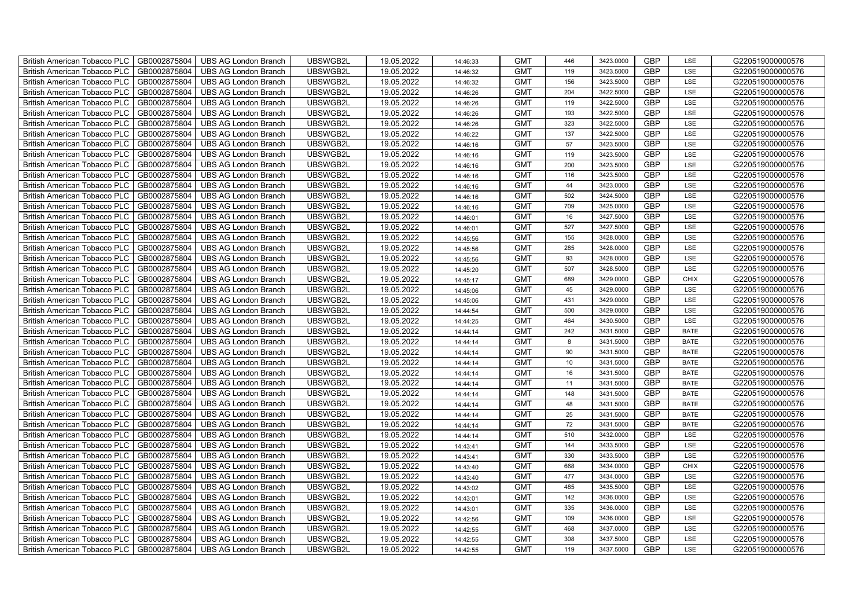| British American Tobacco PLC<br>GB0002875804        | <b>UBS AG London Branch</b> | UBSWGB2L | 19.05.2022 | 14:46:33 | <b>GMT</b> | 446             | 3423.0000 | <b>GBP</b> | LSE         | G220519000000576 |
|-----------------------------------------------------|-----------------------------|----------|------------|----------|------------|-----------------|-----------|------------|-------------|------------------|
| GB0002875804<br><b>British American Tobacco PLC</b> | <b>UBS AG London Branch</b> | UBSWGB2L | 19.05.2022 | 14:46:32 | <b>GMT</b> | 119             | 3423.5000 | <b>GBP</b> | LSE         | G220519000000576 |
| GB0002875804<br><b>British American Tobacco PLC</b> | <b>UBS AG London Branch</b> | UBSWGB2L | 19.05.2022 | 14:46:32 | <b>GMT</b> | 156             | 3423.5000 | <b>GBP</b> | LSE         | G220519000000576 |
| GB0002875804<br>British American Tobacco PLC        | <b>UBS AG London Branch</b> | UBSWGB2L | 19.05.2022 | 14:46:26 | <b>GMT</b> | 204             | 3422.5000 | <b>GBP</b> | LSE         | G220519000000576 |
| GB0002875804<br><b>British American Tobacco PLC</b> | <b>UBS AG London Branch</b> | UBSWGB2L | 19.05.2022 | 14:46:26 | <b>GMT</b> | 119             | 3422.5000 | <b>GBP</b> | LSE         | G220519000000576 |
| GB0002875804<br>British American Tobacco PLC        | <b>UBS AG London Branch</b> | UBSWGB2L | 19.05.2022 | 14:46:26 | <b>GMT</b> | 193             | 3422.5000 | <b>GBP</b> | LSE         | G220519000000576 |
| GB0002875804<br><b>British American Tobacco PLC</b> | <b>UBS AG London Branch</b> | UBSWGB2L | 19.05.2022 | 14:46:26 | <b>GMT</b> | 323             | 3422.5000 | <b>GBP</b> | LSE         | G220519000000576 |
| British American Tobacco PLC<br>GB0002875804        | <b>UBS AG London Branch</b> | UBSWGB2L | 19.05.2022 | 14:46:22 | <b>GMT</b> | 137             | 3422.5000 | <b>GBP</b> | LSE         | G220519000000576 |
| GB0002875804<br>British American Tobacco PLC        | <b>UBS AG London Branch</b> | UBSWGB2L | 19.05.2022 | 14:46:16 | <b>GMT</b> | 57              | 3423.5000 | <b>GBP</b> | LSE         | G220519000000576 |
| GB0002875804<br>British American Tobacco PLC        | <b>UBS AG London Branch</b> | UBSWGB2L | 19.05.2022 | 14:46:16 | <b>GMT</b> | 119             | 3423.5000 | <b>GBP</b> | LSE         | G220519000000576 |
| <b>British American Tobacco PLC</b><br>GB0002875804 | <b>UBS AG London Branch</b> | UBSWGB2L | 19.05.2022 | 14:46:16 | <b>GMT</b> | 200             | 3423.5000 | <b>GBP</b> | LSE         | G220519000000576 |
| GB0002875804<br><b>British American Tobacco PLC</b> | <b>UBS AG London Branch</b> | UBSWGB2L | 19.05.2022 | 14:46:16 | <b>GMT</b> | 116             | 3423.5000 | <b>GBP</b> | LSE         | G220519000000576 |
| GB0002875804<br>British American Tobacco PLC        | <b>UBS AG London Branch</b> | UBSWGB2L | 19.05.2022 | 14:46:16 | <b>GMT</b> | 44              | 3423.0000 | <b>GBP</b> | LSE         | G220519000000576 |
| GB0002875804<br>British American Tobacco PLC        | <b>UBS AG London Branch</b> | UBSWGB2L | 19.05.2022 | 14:46:16 | <b>GMT</b> | 502             | 3424.5000 | <b>GBP</b> | LSE         | G220519000000576 |
| GB0002875804<br>British American Tobacco PLC        | <b>UBS AG London Branch</b> | UBSWGB2L | 19.05.2022 | 14:46:16 | <b>GMT</b> | 709             | 3425.0000 | <b>GBP</b> | LSE         | G220519000000576 |
| GB0002875804<br>British American Tobacco PLC        | <b>UBS AG London Branch</b> | UBSWGB2L | 19.05.2022 | 14:46:01 | <b>GMT</b> | 16              | 3427.5000 | <b>GBP</b> | LSE         | G220519000000576 |
| British American Tobacco PLC<br>GB0002875804        | <b>UBS AG London Branch</b> | UBSWGB2L | 19.05.2022 | 14:46:01 | <b>GMT</b> | 527             | 3427.5000 | <b>GBP</b> | LSE         | G220519000000576 |
| GB0002875804<br>British American Tobacco PLC        | <b>UBS AG London Branch</b> | UBSWGB2L | 19.05.2022 | 14:45:56 | <b>GMT</b> | 155             | 3428.0000 | <b>GBP</b> | LSE         | G220519000000576 |
| GB0002875804<br>British American Tobacco PLC        | <b>UBS AG London Branch</b> | UBSWGB2L | 19.05.2022 | 14:45:56 | <b>GMT</b> | 285             | 3428.0000 | <b>GBP</b> | LSE         | G220519000000576 |
| <b>British American Tobacco PLC</b><br>GB0002875804 | <b>UBS AG London Branch</b> | UBSWGB2L | 19.05.2022 | 14:45:56 | <b>GMT</b> | 93              | 3428.0000 | GBP        | LSE         | G220519000000576 |
| GB0002875804<br><b>British American Tobacco PLC</b> | <b>UBS AG London Branch</b> | UBSWGB2L | 19.05.2022 | 14:45:20 | <b>GMT</b> | 507             | 3428.5000 | <b>GBP</b> | LSE         | G220519000000576 |
| GB0002875804<br>British American Tobacco PLC        | <b>UBS AG London Branch</b> | UBSWGB2L | 19.05.2022 | 14:45:17 | <b>GMT</b> | 689             | 3429.0000 | GBP        | CHIX        | G220519000000576 |
| GB0002875804<br>British American Tobacco PLC        | <b>UBS AG London Branch</b> | UBSWGB2L | 19.05.2022 | 14:45:06 | <b>GMT</b> | 45              | 3429.0000 | GBP        | LSE         | G220519000000576 |
| GB0002875804<br>British American Tobacco PLC        | <b>UBS AG London Branch</b> | UBSWGB2L | 19.05.2022 | 14:45:06 | <b>GMT</b> | 431             | 3429.0000 | <b>GBP</b> | LSE         | G220519000000576 |
| GB0002875804<br>British American Tobacco PLC        | <b>UBS AG London Branch</b> | UBSWGB2L | 19.05.2022 | 14:44:54 | <b>GMT</b> | 500             | 3429.0000 | <b>GBP</b> | LSE         | G220519000000576 |
| GB0002875804<br>British American Tobacco PLC        | <b>UBS AG London Branch</b> | UBSWGB2L | 19.05.2022 | 14:44:25 | <b>GMT</b> | 464             | 3430.5000 | <b>GBP</b> | LSE         | G220519000000576 |
| GB0002875804<br>British American Tobacco PLC        | <b>UBS AG London Branch</b> | UBSWGB2L | 19.05.2022 | 14:44:14 | <b>GMT</b> | 242             | 3431.5000 | <b>GBP</b> | <b>BATE</b> | G220519000000576 |
| GB0002875804<br>British American Tobacco PLC        | <b>UBS AG London Branch</b> | UBSWGB2L | 19.05.2022 | 14:44:14 | <b>GMT</b> | 8               | 3431.5000 | <b>GBP</b> | <b>BATE</b> | G220519000000576 |
| <b>British American Tobacco PLC</b><br>GB0002875804 | <b>UBS AG London Branch</b> | UBSWGB2L | 19.05.2022 | 14:44:14 | <b>GMT</b> | 90              | 3431.5000 | <b>GBP</b> | <b>BATE</b> | G220519000000576 |
| GB0002875804<br><b>British American Tobacco PLC</b> | <b>UBS AG London Branch</b> | UBSWGB2L | 19.05.2022 | 14:44:14 | <b>GMT</b> | 10 <sup>1</sup> | 3431.5000 | <b>GBP</b> | <b>BATE</b> | G220519000000576 |
| GB0002875804<br>British American Tobacco PLC        | <b>UBS AG London Branch</b> | UBSWGB2L | 19.05.2022 | 14:44:14 | <b>GMT</b> | 16              | 3431.5000 | GBP        | <b>BATE</b> | G220519000000576 |
| GB0002875804<br>British American Tobacco PLC        | <b>UBS AG London Branch</b> | UBSWGB2L | 19.05.2022 | 14:44:14 | <b>GMT</b> | 11              | 3431.5000 | GBP        | <b>BATE</b> | G220519000000576 |
| British American Tobacco PLC<br>GB0002875804        | <b>UBS AG London Branch</b> | UBSWGB2L | 19.05.2022 | 14:44:14 | <b>GMT</b> | 148             | 3431.5000 | <b>GBP</b> | <b>BATE</b> | G220519000000576 |
| British American Tobacco PLC<br>GB0002875804        | <b>UBS AG London Branch</b> | UBSWGB2L | 19.05.2022 | 14:44:14 | <b>GMT</b> | 48              | 3431.5000 | <b>GBP</b> | <b>BATE</b> | G220519000000576 |
| GB0002875804<br>British American Tobacco PLC        | <b>UBS AG London Branch</b> | UBSWGB2L | 19.05.2022 | 14:44:14 | <b>GMT</b> | 25              | 3431.5000 | <b>GBP</b> | <b>BATE</b> | G220519000000576 |
| GB0002875804<br>British American Tobacco PLC        | <b>UBS AG London Branch</b> | UBSWGB2L | 19.05.2022 | 14:44:14 | <b>GMT</b> | 72              | 3431.5000 | <b>GBP</b> | <b>BATE</b> | G220519000000576 |
| GB0002875804<br>British American Tobacco PLC        | <b>UBS AG London Branch</b> | UBSWGB2L | 19.05.2022 | 14:44:14 | <b>GMT</b> | 510             | 3432.0000 | <b>GBP</b> | LSE         | G220519000000576 |
| <b>British American Tobacco PLC</b><br>GB0002875804 | <b>UBS AG London Branch</b> | UBSWGB2L | 19.05.2022 | 14:43:41 | <b>GMT</b> | 144             | 3433.5000 | <b>GBP</b> | LSE         | G220519000000576 |
| GB0002875804<br><b>British American Tobacco PLC</b> | <b>UBS AG London Branch</b> | UBSWGB2L | 19.05.2022 | 14:43:41 | <b>GMT</b> | 330             | 3433.5000 | <b>GBP</b> | LSE         | G220519000000576 |
| GB0002875804<br><b>British American Tobacco PLC</b> | <b>UBS AG London Branch</b> | UBSWGB2L | 19.05.2022 | 14:43:40 | <b>GMT</b> | 668             | 3434.0000 | <b>GBP</b> | <b>CHIX</b> | G220519000000576 |
| British American Tobacco PLC<br>GB0002875804        | <b>UBS AG London Branch</b> | UBSWGB2L | 19.05.2022 | 14:43:40 | <b>GMT</b> | 477             | 3434.0000 | GBP        | LSE         | G220519000000576 |
| British American Tobacco PLC<br>GB0002875804        | <b>UBS AG London Branch</b> | UBSWGB2L | 19.05.2022 | 14:43:02 | <b>GMT</b> | 485             | 3435.5000 | GBP        | LSE         | G220519000000576 |
| British American Tobacco PLC<br>GB0002875804        | <b>UBS AG London Branch</b> | UBSWGB2L | 19.05.2022 | 14:43:01 | <b>GMT</b> | 142             | 3436.0000 | <b>GBP</b> | LSE         | G220519000000576 |
| GB0002875804<br><b>British American Tobacco PLC</b> | <b>UBS AG London Branch</b> | UBSWGB2L | 19.05.2022 | 14:43:01 | <b>GMT</b> | 335             | 3436.0000 | <b>GBP</b> | LSE         | G220519000000576 |
| GB0002875804<br><b>British American Tobacco PLC</b> | <b>UBS AG London Branch</b> | UBSWGB2L | 19.05.2022 | 14:42:56 | <b>GMT</b> | 109             | 3436.0000 | GBP        | LSE         | G220519000000576 |
| GB0002875804<br><b>British American Tobacco PLC</b> | <b>UBS AG London Branch</b> | UBSWGB2L | 19.05.2022 | 14:42:55 | <b>GMT</b> | 468             | 3437.0000 | GBP        | LSE         | G220519000000576 |
| <b>British American Tobacco PLC</b><br>GB0002875804 | <b>UBS AG London Branch</b> | UBSWGB2L | 19.05.2022 | 14:42:55 | <b>GMT</b> | 308             | 3437.5000 | <b>GBP</b> | LSE         | G220519000000576 |
| GB0002875804<br>British American Tobacco PLC        | <b>UBS AG London Branch</b> | UBSWGB2L | 19.05.2022 | 14:42:55 | <b>GMT</b> | 119             | 3437.5000 | <b>GBP</b> | LSE         | G220519000000576 |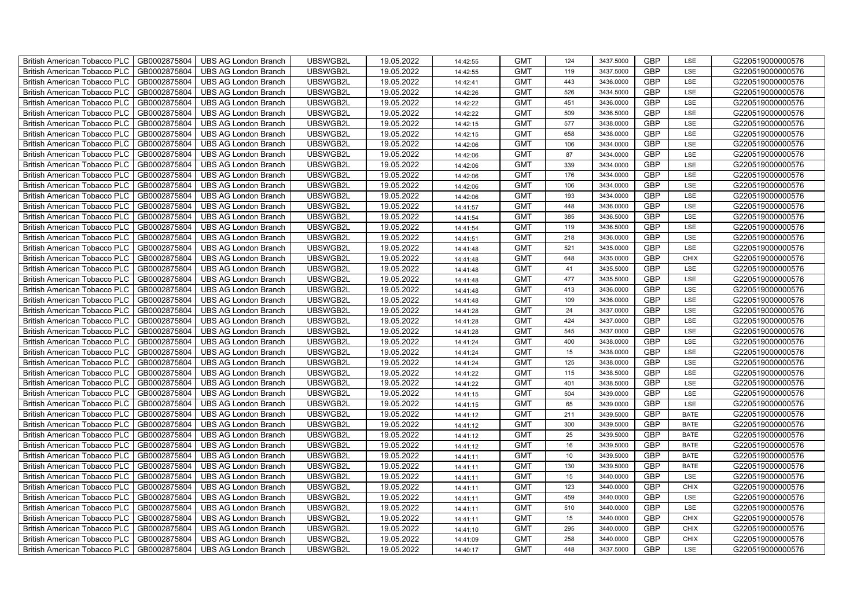| British American Tobacco PLC<br>GB0002875804        | <b>UBS AG London Branch</b> | UBSWGB2L | 19.05.2022 | 14:42:55 | <b>GMT</b> | 124             | 3437.5000 | <b>GBP</b> | LSE         | G220519000000576 |
|-----------------------------------------------------|-----------------------------|----------|------------|----------|------------|-----------------|-----------|------------|-------------|------------------|
| GB0002875804<br><b>British American Tobacco PLC</b> | <b>UBS AG London Branch</b> | UBSWGB2L | 19.05.2022 | 14:42:55 | <b>GMT</b> | 119             | 3437.5000 | <b>GBP</b> | LSE         | G220519000000576 |
| GB0002875804<br><b>British American Tobacco PLC</b> | <b>UBS AG London Branch</b> | UBSWGB2L | 19.05.2022 | 14:42:41 | <b>GMT</b> | 443             | 3436.0000 | <b>GBP</b> | LSE         | G220519000000576 |
| GB0002875804<br>British American Tobacco PLC        | <b>UBS AG London Branch</b> | UBSWGB2L | 19.05.2022 | 14:42:26 | <b>GMT</b> | 526             | 3434.5000 | <b>GBP</b> | LSE         | G220519000000576 |
| GB0002875804<br>British American Tobacco PLC        | <b>UBS AG London Branch</b> | UBSWGB2L | 19.05.2022 | 14:42:22 | <b>GMT</b> | 451             | 3436.0000 | <b>GBP</b> | LSE         | G220519000000576 |
| GB0002875804<br>British American Tobacco PLC        | <b>UBS AG London Branch</b> | UBSWGB2L | 19.05.2022 | 14:42:22 | <b>GMT</b> | 509             | 3436.5000 | <b>GBP</b> | LSE         | G220519000000576 |
| GB0002875804<br><b>British American Tobacco PLC</b> | <b>UBS AG London Branch</b> | UBSWGB2L | 19.05.2022 | 14:42:15 | <b>GMT</b> | 577             | 3438.0000 | <b>GBP</b> | LSE         | G220519000000576 |
| British American Tobacco PLC<br>GB0002875804        | <b>UBS AG London Branch</b> | UBSWGB2L | 19.05.2022 | 14:42:15 | <b>GMT</b> | 658             | 3438.0000 | <b>GBP</b> | LSE         | G220519000000576 |
| GB0002875804<br>British American Tobacco PLC        | <b>UBS AG London Branch</b> | UBSWGB2L | 19.05.2022 | 14:42:06 | <b>GMT</b> | 106             | 3434.0000 | <b>GBP</b> | LSE         | G220519000000576 |
| GB0002875804<br>British American Tobacco PLC        | <b>UBS AG London Branch</b> | UBSWGB2L | 19.05.2022 | 14:42:06 | <b>GMT</b> | 87              | 3434.0000 | <b>GBP</b> | LSE         | G220519000000576 |
| <b>British American Tobacco PLC</b><br>GB0002875804 | <b>UBS AG London Branch</b> | UBSWGB2L | 19.05.2022 | 14:42:06 | <b>GMT</b> | 339             | 3434.0000 | <b>GBP</b> | LSE         | G220519000000576 |
| GB0002875804<br><b>British American Tobacco PLC</b> | <b>UBS AG London Branch</b> | UBSWGB2L | 19.05.2022 | 14:42:06 | <b>GMT</b> | 176             | 3434.0000 | <b>GBP</b> | LSE         | G220519000000576 |
| GB0002875804<br>British American Tobacco PLC        | <b>UBS AG London Branch</b> | UBSWGB2L | 19.05.2022 | 14:42:06 | <b>GMT</b> | 106             | 3434.0000 | <b>GBP</b> | LSE         | G220519000000576 |
| GB0002875804<br>British American Tobacco PLC        | <b>UBS AG London Branch</b> | UBSWGB2L | 19.05.2022 | 14:42:06 | <b>GMT</b> | 193             | 3434.0000 | <b>GBP</b> | LSE         | G220519000000576 |
| GB0002875804<br>British American Tobacco PLC        | <b>UBS AG London Branch</b> | UBSWGB2L | 19.05.2022 | 14:41:57 | <b>GMT</b> | 448             | 3436.0000 | <b>GBP</b> | LSE         | G220519000000576 |
| GB0002875804<br>British American Tobacco PLC        | <b>UBS AG London Branch</b> | UBSWGB2L | 19.05.2022 | 14:41:54 | <b>GMT</b> | 385             | 3436.5000 | GBP        | LSE         | G220519000000576 |
| British American Tobacco PLC<br>GB0002875804        | <b>UBS AG London Branch</b> | UBSWGB2L | 19.05.2022 | 14:41:54 | <b>GMT</b> | 119             | 3436.5000 | <b>GBP</b> | LSE         | G220519000000576 |
| GB0002875804<br>British American Tobacco PLC        | <b>UBS AG London Branch</b> | UBSWGB2L | 19.05.2022 | 14:41:51 | <b>GMT</b> | 218             | 3436.0000 | <b>GBP</b> | LSE         | G220519000000576 |
| GB0002875804<br>British American Tobacco PLC        | <b>UBS AG London Branch</b> | UBSWGB2L | 19.05.2022 | 14:41:48 | <b>GMT</b> | 521             | 3435.0000 | <b>GBP</b> | LSE         | G220519000000576 |
| <b>British American Tobacco PLC</b><br>GB0002875804 | <b>UBS AG London Branch</b> | UBSWGB2L | 19.05.2022 | 14:41:48 | <b>GMT</b> | 648             | 3435.0000 | GBP        | CHIX        | G220519000000576 |
| GB0002875804<br><b>British American Tobacco PLC</b> | <b>UBS AG London Branch</b> | UBSWGB2L | 19.05.2022 | 14:41:48 | <b>GMT</b> | 41              | 3435.5000 | <b>GBP</b> | LSE         | G220519000000576 |
| GB0002875804<br>British American Tobacco PLC        | <b>UBS AG London Branch</b> | UBSWGB2L | 19.05.2022 | 14:41:48 | <b>GMT</b> | 477             | 3435.5000 | GBP        | LSE         | G220519000000576 |
| GB0002875804<br>British American Tobacco PLC        | <b>UBS AG London Branch</b> | UBSWGB2L | 19.05.2022 | 14:41:48 | <b>GMT</b> | 413             | 3436.0000 | GBP        | LSE         | G220519000000576 |
| GB0002875804<br>British American Tobacco PLC        | <b>UBS AG London Branch</b> | UBSWGB2L | 19.05.2022 | 14:41:48 | <b>GMT</b> | 109             | 3436.0000 | GBP        | LSE         | G220519000000576 |
| British American Tobacco PLC<br>GB0002875804        | <b>UBS AG London Branch</b> | UBSWGB2L | 19.05.2022 | 14:41:28 | <b>GMT</b> | 24              | 3437.0000 | GBP        | LSE         | G220519000000576 |
| GB0002875804<br>British American Tobacco PLC        | <b>UBS AG London Branch</b> | UBSWGB2L | 19.05.2022 | 14:41:28 | <b>GMT</b> | 424             | 3437.0000 | <b>GBP</b> | LSE         | G220519000000576 |
| GB0002875804<br>British American Tobacco PLC        | <b>UBS AG London Branch</b> | UBSWGB2L | 19.05.2022 | 14:41:28 | <b>GMT</b> | 545             | 3437.0000 | GBP        | LSE         | G220519000000576 |
| GB0002875804<br>British American Tobacco PLC        | <b>UBS AG London Branch</b> | UBSWGB2L | 19.05.2022 | 14:41:24 | <b>GMT</b> | 400             | 3438.0000 | <b>GBP</b> | LSE         | G220519000000576 |
| <b>British American Tobacco PLC</b><br>GB0002875804 | <b>UBS AG London Branch</b> | UBSWGB2L | 19.05.2022 | 14:41:24 | <b>GMT</b> | 15              | 3438.0000 | <b>GBP</b> | LSE         | G220519000000576 |
| GB0002875804<br><b>British American Tobacco PLC</b> | UBS AG London Branch        | UBSWGB2L | 19.05.2022 | 14:41:24 | <b>GMT</b> | 125             | 3438.0000 | <b>GBP</b> | LSE         | G220519000000576 |
| GB0002875804<br>British American Tobacco PLC        | <b>UBS AG London Branch</b> | UBSWGB2L | 19.05.2022 | 14:41:22 | <b>GMT</b> | 115             | 3438.5000 | GBP        | LSE         | G220519000000576 |
| GB0002875804<br>British American Tobacco PLC        | <b>UBS AG London Branch</b> | UBSWGB2L | 19.05.2022 | 14:41:22 | <b>GMT</b> | 401             | 3438.5000 | GBP        | LSE         | G220519000000576 |
| British American Tobacco PLC<br>GB0002875804        | <b>UBS AG London Branch</b> | UBSWGB2L | 19.05.2022 | 14:41:15 | <b>GMT</b> | 504             | 3439.0000 | GBP        | LSE         | G220519000000576 |
| British American Tobacco PLC<br>GB0002875804        | <b>UBS AG London Branch</b> | UBSWGB2L | 19.05.2022 | 14:41:15 | <b>GMT</b> | 65              | 3439.0000 | <b>GBP</b> | LSE         | G220519000000576 |
| GB0002875804<br>British American Tobacco PLC        | <b>UBS AG London Branch</b> | UBSWGB2L | 19.05.2022 | 14:41:12 | <b>GMT</b> | 211             | 3439.5000 | <b>GBP</b> | <b>BATE</b> | G220519000000576 |
| GB0002875804<br>British American Tobacco PLC        | <b>UBS AG London Branch</b> | UBSWGB2L | 19.05.2022 | 14:41:12 | <b>GMT</b> | 300             | 3439.5000 | <b>GBP</b> | <b>BATE</b> | G220519000000576 |
| GB0002875804<br>British American Tobacco PLC        | <b>UBS AG London Branch</b> | UBSWGB2L | 19.05.2022 | 14:41:12 | <b>GMT</b> | 25              | 3439.5000 | GBP        | <b>BATE</b> | G220519000000576 |
| <b>British American Tobacco PLC</b><br>GB0002875804 | <b>UBS AG London Branch</b> | UBSWGB2L | 19.05.2022 | 14:41:12 | <b>GMT</b> | 16              | 3439.5000 | <b>GBP</b> | <b>BATE</b> | G220519000000576 |
| GB0002875804<br><b>British American Tobacco PLC</b> | UBS AG London Branch        | UBSWGB2L | 19.05.2022 | 14:41:11 | <b>GMT</b> | 10 <sup>1</sup> | 3439.5000 | <b>GBP</b> | <b>BATE</b> | G220519000000576 |
| GB0002875804<br><b>British American Tobacco PLC</b> | <b>UBS AG London Branch</b> | UBSWGB2L | 19.05.2022 | 14:41:11 | <b>GMT</b> | 130             | 3439.5000 | <b>GBP</b> | <b>BATE</b> | G220519000000576 |
| British American Tobacco PLC<br>GB0002875804        | <b>UBS AG London Branch</b> | UBSWGB2L | 19.05.2022 | 14:41:11 | <b>GMT</b> | 15              | 3440.0000 | GBP        | LSE         | G220519000000576 |
| British American Tobacco PLC<br>GB0002875804        | <b>UBS AG London Branch</b> | UBSWGB2L | 19.05.2022 | 14:41:11 | <b>GMT</b> | 123             | 3440.0000 | GBP        | <b>CHIX</b> | G220519000000576 |
| British American Tobacco PLC<br>GB0002875804        | UBS AG London Branch        | UBSWGB2L | 19.05.2022 | 14:41:11 | <b>GMT</b> | 459             | 3440.0000 | <b>GBP</b> | LSE         | G220519000000576 |
| GB0002875804<br><b>British American Tobacco PLC</b> | <b>UBS AG London Branch</b> | UBSWGB2L | 19.05.2022 | 14:41:11 | <b>GMT</b> | 510             | 3440.0000 | <b>GBP</b> | LSE         | G220519000000576 |
| GB0002875804<br><b>British American Tobacco PLC</b> | <b>UBS AG London Branch</b> | UBSWGB2L | 19.05.2022 | 14:41:11 | <b>GMT</b> | 15              | 3440.0000 | GBP        | <b>CHIX</b> | G220519000000576 |
| GB0002875804<br><b>British American Tobacco PLC</b> | <b>UBS AG London Branch</b> | UBSWGB2L | 19.05.2022 | 14:41:10 | <b>GMT</b> | 295             | 3440.0000 | GBP        | <b>CHIX</b> | G220519000000576 |
| <b>British American Tobacco PLC</b><br>GB0002875804 | <b>UBS AG London Branch</b> | UBSWGB2L | 19.05.2022 | 14:41:09 | <b>GMT</b> | 258             | 3440.0000 | <b>GBP</b> | <b>CHIX</b> | G220519000000576 |
| GB0002875804<br>British American Tobacco PLC        | <b>UBS AG London Branch</b> | UBSWGB2L | 19.05.2022 | 14:40:17 | <b>GMT</b> | 448             | 3437.5000 | <b>GBP</b> | LSE         | G220519000000576 |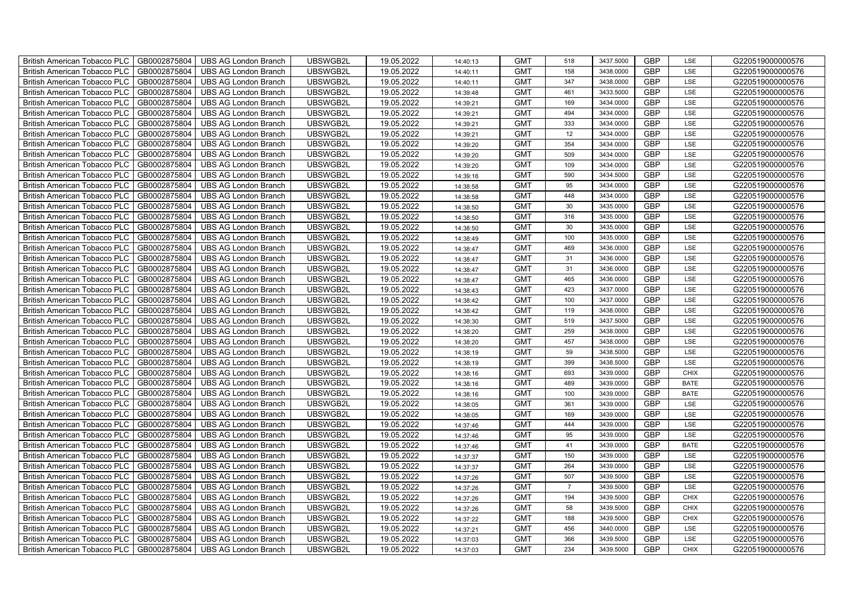| British American Tobacco PLC        | GB0002875804 | <b>UBS AG London Branch</b> | UBSWGB2L | 19.05.2022 | 14:40:13 | <b>GMT</b> | 518            | 3437.5000 | <b>GBP</b> | LSE         | G220519000000576 |
|-------------------------------------|--------------|-----------------------------|----------|------------|----------|------------|----------------|-----------|------------|-------------|------------------|
| <b>British American Tobacco PLC</b> | GB0002875804 | <b>UBS AG London Branch</b> | UBSWGB2L | 19.05.2022 | 14:40:11 | <b>GMT</b> | 158            | 3438,0000 | <b>GBP</b> | <b>LSE</b>  | G220519000000576 |
| <b>British American Tobacco PLC</b> | GB0002875804 | <b>UBS AG London Branch</b> | UBSWGB2L | 19.05.2022 | 14:40:11 | <b>GMT</b> | 347            | 3438.0000 | <b>GBP</b> | LSE         | G220519000000576 |
| British American Tobacco PLC        | GB0002875804 | <b>UBS AG London Branch</b> | UBSWGB2L | 19.05.2022 | 14:39:48 | <b>GMT</b> | 461            | 3433.5000 | <b>GBP</b> | LSE         | G220519000000576 |
| <b>British American Tobacco PLC</b> | GB0002875804 | UBS AG London Branch        | UBSWGB2L | 19.05.2022 | 14:39:21 | <b>GMT</b> | 169            | 3434.0000 | <b>GBP</b> | LSE         | G220519000000576 |
| British American Tobacco PLC        | GB0002875804 | <b>UBS AG London Branch</b> | UBSWGB2L | 19.05.2022 | 14:39:21 | <b>GMT</b> | 494            | 3434.0000 | <b>GBP</b> | LSE         | G220519000000576 |
| <b>British American Tobacco PLC</b> | GB0002875804 | <b>UBS AG London Branch</b> | UBSWGB2L | 19.05.2022 | 14:39:21 | <b>GMT</b> | 333            | 3434.0000 | <b>GBP</b> | LSE         | G220519000000576 |
| British American Tobacco PLC        | GB0002875804 | <b>UBS AG London Branch</b> | UBSWGB2L | 19.05.2022 | 14:39:21 | <b>GMT</b> | 12             | 3434.0000 | <b>GBP</b> | LSE         | G220519000000576 |
| <b>British American Tobacco PLC</b> | GB0002875804 | <b>UBS AG London Branch</b> | UBSWGB2L | 19.05.2022 | 14:39:20 | <b>GMT</b> | 354            | 3434.0000 | <b>GBP</b> | LSE         | G220519000000576 |
| British American Tobacco PLC        | GB0002875804 | <b>UBS AG London Branch</b> | UBSWGB2L | 19.05.2022 | 14:39:20 | <b>GMT</b> | 509            | 3434.0000 | <b>GBP</b> | LSE         | G220519000000576 |
| <b>British American Tobacco PLC</b> | GB0002875804 | <b>UBS AG London Branch</b> | UBSWGB2L | 19.05.2022 | 14:39:20 | <b>GMT</b> | 109            | 3434.0000 | <b>GBP</b> | LSE         | G220519000000576 |
| <b>British American Tobacco PLC</b> | GB0002875804 | <b>UBS AG London Branch</b> | UBSWGB2L | 19.05.2022 | 14:39:16 | <b>GMT</b> | 590            | 3434.5000 | <b>GBP</b> | LSE         | G220519000000576 |
| British American Tobacco PLC        | GB0002875804 | <b>UBS AG London Branch</b> | UBSWGB2L | 19.05.2022 | 14:38:58 | <b>GMT</b> | 95             | 3434.0000 | <b>GBP</b> | LSE         | G220519000000576 |
| British American Tobacco PLC        | GB0002875804 | <b>UBS AG London Branch</b> | UBSWGB2L | 19.05.2022 | 14:38:58 | <b>GMT</b> | 448            | 3434.0000 | <b>GBP</b> | LSE         | G220519000000576 |
| British American Tobacco PLC        | GB0002875804 | <b>UBS AG London Branch</b> | UBSWGB2L | 19.05.2022 | 14:38:50 | <b>GMT</b> | 30             | 3435.0000 | <b>GBP</b> | LSE         | G220519000000576 |
| British American Tobacco PLC        | GB0002875804 | <b>UBS AG London Branch</b> | UBSWGB2L | 19.05.2022 | 14:38:50 | <b>GMT</b> | 316            | 3435.0000 | <b>GBP</b> | LSE         | G220519000000576 |
| British American Tobacco PLC        | GB0002875804 | <b>UBS AG London Branch</b> | UBSWGB2L | 19.05.2022 | 14:38:50 | <b>GMT</b> | 30             | 3435.0000 | <b>GBP</b> | LSE         | G220519000000576 |
| British American Tobacco PLC        | GB0002875804 | <b>UBS AG London Branch</b> | UBSWGB2L | 19.05.2022 | 14:38:49 | <b>GMT</b> | 100            | 3435.0000 | <b>GBP</b> | LSE         | G220519000000576 |
| British American Tobacco PLC        | GB0002875804 | <b>UBS AG London Branch</b> | UBSWGB2L | 19.05.2022 | 14:38:47 | <b>GMT</b> | 469            | 3436.0000 | <b>GBP</b> | LSE         | G220519000000576 |
| <b>British American Tobacco PLC</b> | GB0002875804 | <b>UBS AG London Branch</b> | UBSWGB2L | 19.05.2022 | 14:38:47 | <b>GMT</b> | 31             | 3436.0000 | <b>GBP</b> | LSE         | G220519000000576 |
| <b>British American Tobacco PLC</b> | GB0002875804 | <b>UBS AG London Branch</b> | UBSWGB2L | 19.05.2022 | 14:38:47 | <b>GMT</b> | 31             | 3436.0000 | <b>GBP</b> | <b>LSE</b>  | G220519000000576 |
| British American Tobacco PLC        | GB0002875804 | <b>UBS AG London Branch</b> | UBSWGB2L | 19.05.2022 | 14:38:47 | <b>GMT</b> | 465            | 3436.0000 | <b>GBP</b> | LSE         | G220519000000576 |
| British American Tobacco PLC        | GB0002875804 | <b>UBS AG London Branch</b> | UBSWGB2L | 19.05.2022 | 14:38:43 | <b>GMT</b> | 423            | 3437.0000 | GBP        | LSE         | G220519000000576 |
| British American Tobacco PLC        | GB0002875804 | <b>UBS AG London Branch</b> | UBSWGB2L | 19.05.2022 | 14:38:42 | <b>GMT</b> | 100            | 3437.0000 | <b>GBP</b> | LSE         | G220519000000576 |
| British American Tobacco PLC        | GB0002875804 | <b>UBS AG London Branch</b> | UBSWGB2L | 19.05.2022 | 14:38:42 | <b>GMT</b> | 119            | 3438.0000 | <b>GBP</b> | LSE         | G220519000000576 |
| British American Tobacco PLC        | GB0002875804 | <b>UBS AG London Branch</b> | UBSWGB2L | 19.05.2022 | 14:38:30 | <b>GMT</b> | 519            | 3437.5000 | <b>GBP</b> | LSE         | G220519000000576 |
| British American Tobacco PLC        | GB0002875804 | <b>UBS AG London Branch</b> | UBSWGB2L | 19.05.2022 | 14:38:20 | <b>GMT</b> | 259            | 3438.0000 | <b>GBP</b> | LSE         | G220519000000576 |
| British American Tobacco PLC        | GB0002875804 | <b>UBS AG London Branch</b> | UBSWGB2L | 19.05.2022 | 14:38:20 | <b>GMT</b> | 457            | 3438.0000 | <b>GBP</b> | LSE         | G220519000000576 |
| <b>British American Tobacco PLC</b> | GB0002875804 | <b>UBS AG London Branch</b> | UBSWGB2L | 19.05.2022 | 14:38:19 | <b>GMT</b> | 59             | 3438.5000 | <b>GBP</b> | LSE         | G220519000000576 |
| <b>British American Tobacco PLC</b> | GB0002875804 | <b>UBS AG London Branch</b> | UBSWGB2L | 19.05.2022 | 14:38:19 | <b>GMT</b> | 399            | 3438.5000 | <b>GBP</b> | LSE         | G220519000000576 |
| British American Tobacco PLC        | GB0002875804 | <b>UBS AG London Branch</b> | UBSWGB2L | 19.05.2022 | 14:38:16 | <b>GMT</b> | 693            | 3439.0000 | <b>GBP</b> | CHIX        | G220519000000576 |
| British American Tobacco PLC        | GB0002875804 | <b>UBS AG London Branch</b> | UBSWGB2L | 19.05.2022 | 14:38:16 | <b>GMT</b> | 489            | 3439.0000 | <b>GBP</b> | <b>BATE</b> | G220519000000576 |
| British American Tobacco PLC        | GB0002875804 | UBS AG London Branch        | UBSWGB2L | 19.05.2022 | 14:38:16 | <b>GMT</b> | 100            | 3439.0000 | <b>GBP</b> | <b>BATE</b> | G220519000000576 |
| British American Tobacco PLC        | GB0002875804 | UBS AG London Branch        | UBSWGB2L | 19.05.2022 | 14:38:05 | <b>GMT</b> | 361            | 3439.0000 | <b>GBP</b> | LSE         | G220519000000576 |
| British American Tobacco PLC        | GB0002875804 | <b>UBS AG London Branch</b> | UBSWGB2L | 19.05.2022 | 14:38:05 | <b>GMT</b> | 169            | 3439.0000 | <b>GBP</b> | LSE         | G220519000000576 |
| British American Tobacco PLC        | GB0002875804 | <b>UBS AG London Branch</b> | UBSWGB2L | 19.05.2022 | 14:37:46 | <b>GMT</b> | 444            | 3439.0000 | <b>GBP</b> | LSE         | G220519000000576 |
| British American Tobacco PLC        | GB0002875804 | <b>UBS AG London Branch</b> | UBSWGB2L | 19.05.2022 | 14:37:46 | <b>GMT</b> | 95             | 3439.0000 | <b>GBP</b> | LSE         | G220519000000576 |
| <b>British American Tobacco PLC</b> | GB0002875804 | <b>UBS AG London Branch</b> | UBSWGB2L | 19.05.2022 | 14:37:46 | <b>GMT</b> | 41             | 3439.0000 | <b>GBP</b> | <b>BATE</b> | G220519000000576 |
| <b>British American Tobacco PLC</b> | GB0002875804 | <b>UBS AG London Branch</b> | UBSWGB2L | 19.05.2022 | 14:37:37 | <b>GMT</b> | 150            | 3439.0000 | <b>GBP</b> | LSE         | G220519000000576 |
| <b>British American Tobacco PLC</b> | GB0002875804 | <b>UBS AG London Branch</b> | UBSWGB2L | 19.05.2022 | 14:37:37 | <b>GMT</b> | 264            | 3439.0000 | <b>GBP</b> | LSE         | G220519000000576 |
| British American Tobacco PLC        | GB0002875804 | UBS AG London Branch        | UBSWGB2L | 19.05.2022 | 14:37:26 | <b>GMT</b> | 507            | 3439.5000 | <b>GBP</b> | LSE         | G220519000000576 |
| British American Tobacco PLC        | GB0002875804 | UBS AG London Branch        | UBSWGB2L | 19.05.2022 | 14:37:26 | <b>GMT</b> | $\overline{7}$ | 3439.5000 | <b>GBP</b> | LSE         | G220519000000576 |
| British American Tobacco PLC        | GB0002875804 | <b>UBS AG London Branch</b> | UBSWGB2L | 19.05.2022 | 14:37:26 | <b>GMT</b> | 194            | 3439.5000 | <b>GBP</b> | <b>CHIX</b> | G220519000000576 |
| <b>British American Tobacco PLC</b> | GB0002875804 | <b>UBS AG London Branch</b> | UBSWGB2L | 19.05.2022 | 14:37:26 | <b>GMT</b> | 58             | 3439.5000 | <b>GBP</b> | <b>CHIX</b> | G220519000000576 |
| <b>British American Tobacco PLC</b> | GB0002875804 | <b>UBS AG London Branch</b> | UBSWGB2L | 19.05.2022 | 14:37:22 | <b>GMT</b> | 188            | 3439.5000 | <b>GBP</b> | <b>CHIX</b> | G220519000000576 |
| <b>British American Tobacco PLC</b> | GB0002875804 | <b>UBS AG London Branch</b> | UBSWGB2L | 19.05.2022 | 14:37:21 | <b>GMT</b> | 456            | 3440.0000 | <b>GBP</b> | LSE         | G220519000000576 |
| British American Tobacco PLC        | GB0002875804 | <b>UBS AG London Branch</b> | UBSWGB2L | 19.05.2022 | 14:37:03 | <b>GMT</b> | 366            | 3439.5000 | <b>GBP</b> | LSE         | G220519000000576 |
| British American Tobacco PLC        | GB0002875804 | UBS AG London Branch        | UBSWGB2L | 19.05.2022 | 14:37:03 | <b>GMT</b> | 234            | 3439.5000 | <b>GBP</b> | <b>CHIX</b> | G220519000000576 |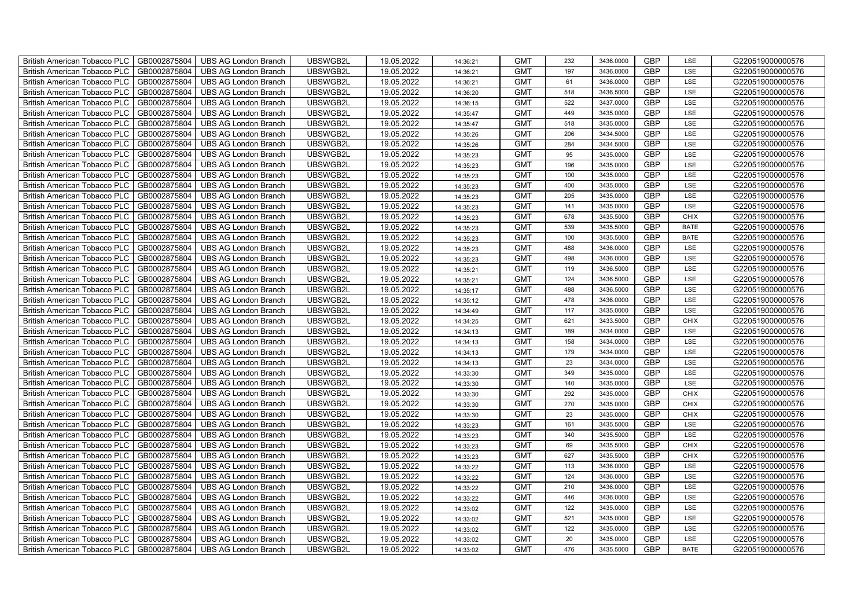| <b>British American Tobacco PLC</b><br>GB0002875804 | <b>UBS AG London Branch</b> | UBSWGB2L | 19.05.2022 | 14:36:21 | <b>GMT</b> | 232 | 3436.0000 | <b>GBP</b> | LSE         | G220519000000576 |
|-----------------------------------------------------|-----------------------------|----------|------------|----------|------------|-----|-----------|------------|-------------|------------------|
| <b>British American Tobacco PLC</b><br>GB0002875804 | <b>UBS AG London Branch</b> | UBSWGB2L | 19.05.2022 | 14:36:21 | <b>GMT</b> | 197 | 3436.0000 | <b>GBP</b> | LSE         | G220519000000576 |
| GB0002875804<br><b>British American Tobacco PLC</b> | <b>UBS AG London Branch</b> | UBSWGB2L | 19.05.2022 | 14:36:21 | <b>GMT</b> | 61  | 3436.0000 | <b>GBP</b> | LSE         | G220519000000576 |
| GB0002875804<br><b>British American Tobacco PLC</b> | <b>UBS AG London Branch</b> | UBSWGB2L | 19.05.2022 | 14:36:20 | <b>GMT</b> | 518 | 3436.5000 | <b>GBP</b> | LSE         | G220519000000576 |
| GB0002875804<br>British American Tobacco PLC        | <b>UBS AG London Branch</b> | UBSWGB2L | 19.05.2022 | 14:36:15 | <b>GMT</b> | 522 | 3437.0000 | <b>GBP</b> | LSE         | G220519000000576 |
| GB0002875804<br><b>British American Tobacco PLC</b> | <b>UBS AG London Branch</b> | UBSWGB2L | 19.05.2022 | 14:35:47 | <b>GMT</b> | 449 | 3435.0000 | <b>GBP</b> | LSE         | G220519000000576 |
| GB0002875804<br><b>British American Tobacco PLC</b> | <b>UBS AG London Branch</b> | UBSWGB2L | 19.05.2022 | 14:35:47 | <b>GMT</b> | 518 | 3435.0000 | <b>GBP</b> | LSE         | G220519000000576 |
| <b>British American Tobacco PLC</b><br>GB0002875804 | <b>UBS AG London Branch</b> | UBSWGB2L | 19.05.2022 | 14:35:26 | <b>GMT</b> | 206 | 3434.5000 | <b>GBP</b> | LSE         | G220519000000576 |
| <b>British American Tobacco PLC</b><br>GB0002875804 | <b>UBS AG London Branch</b> | UBSWGB2L | 19.05.2022 | 14:35:26 | <b>GMT</b> | 284 | 3434.5000 | <b>GBP</b> | LSE         | G220519000000576 |
| GB0002875804<br><b>British American Tobacco PLC</b> | <b>UBS AG London Branch</b> | UBSWGB2L | 19.05.2022 | 14:35:23 | <b>GMT</b> | 95  | 3435.0000 | <b>GBP</b> | LSE         | G220519000000576 |
| <b>British American Tobacco PLC</b><br>GB0002875804 | <b>UBS AG London Branch</b> | UBSWGB2L | 19.05.2022 | 14:35:23 | <b>GMT</b> | 196 | 3435.0000 | <b>GBP</b> | LSE         | G220519000000576 |
| GB0002875804<br><b>British American Tobacco PLC</b> | <b>UBS AG London Branch</b> | UBSWGB2L | 19.05.2022 | 14:35:23 | <b>GMT</b> | 100 | 3435.0000 | <b>GBP</b> | LSE         | G220519000000576 |
| GB0002875804<br><b>British American Tobacco PLC</b> | <b>UBS AG London Branch</b> | UBSWGB2L | 19.05.2022 | 14:35:23 | <b>GMT</b> | 400 | 3435.0000 | <b>GBP</b> | LSE         | G220519000000576 |
| British American Tobacco PLC<br>GB0002875804        | <b>UBS AG London Branch</b> | UBSWGB2L | 19.05.2022 | 14:35:23 | <b>GMT</b> | 205 | 3435.0000 | GBP        | LSE         | G220519000000576 |
| GB0002875804<br><b>British American Tobacco PLC</b> | <b>UBS AG London Branch</b> | UBSWGB2L | 19.05.2022 | 14:35:23 | <b>GMT</b> | 141 | 3435.0000 | <b>GBP</b> | LSE         | G220519000000576 |
| GB0002875804<br><b>British American Tobacco PLC</b> | <b>UBS AG London Branch</b> | UBSWGB2L | 19.05.2022 | 14:35:23 | <b>GMT</b> | 678 | 3435.5000 | <b>GBP</b> | <b>CHIX</b> | G220519000000576 |
| <b>British American Tobacco PLC</b><br>GB0002875804 | <b>UBS AG London Branch</b> | UBSWGB2L | 19.05.2022 | 14:35:23 | <b>GMT</b> | 539 | 3435.5000 | <b>GBP</b> | <b>BATE</b> | G220519000000576 |
| <b>British American Tobacco PLC</b><br>GB0002875804 | <b>UBS AG London Branch</b> | UBSWGB2L | 19.05.2022 | 14:35:23 | <b>GMT</b> | 100 | 3435.5000 | <b>GBP</b> | <b>BATE</b> | G220519000000576 |
| <b>British American Tobacco PLC</b><br>GB0002875804 | <b>UBS AG London Branch</b> | UBSWGB2L | 19.05.2022 | 14:35:23 | <b>GMT</b> | 488 | 3436.0000 | <b>GBP</b> | LSE         | G220519000000576 |
| <b>British American Tobacco PLC</b><br>GB0002875804 | <b>UBS AG London Branch</b> | UBSWGB2L | 19.05.2022 | 14:35:23 | <b>GMT</b> | 498 | 3436.0000 | <b>GBP</b> | LSE         | G220519000000576 |
| GB0002875804<br><b>British American Tobacco PLC</b> | <b>UBS AG London Branch</b> | UBSWGB2L | 19.05.2022 | 14:35:21 | <b>GMT</b> | 119 | 3436.5000 | <b>GBP</b> | LSE         | G220519000000576 |
| <b>British American Tobacco PLC</b><br>GB0002875804 | <b>UBS AG London Branch</b> | UBSWGB2L | 19.05.2022 | 14:35:21 | <b>GMT</b> | 124 | 3436.5000 | <b>GBP</b> | LSE         | G220519000000576 |
| British American Tobacco PLC<br>GB0002875804        | <b>UBS AG London Branch</b> | UBSWGB2L | 19.05.2022 | 14:35:17 | <b>GMT</b> | 488 | 3436.5000 | GBP        | LSE         | G220519000000576 |
| <b>British American Tobacco PLC</b><br>GB0002875804 | <b>UBS AG London Branch</b> | UBSWGB2L | 19.05.2022 | 14:35:12 | <b>GMT</b> | 478 | 3436.0000 | <b>GBP</b> | LSE         | G220519000000576 |
| GB0002875804<br><b>British American Tobacco PLC</b> | <b>UBS AG London Branch</b> | UBSWGB2L | 19.05.2022 | 14:34:49 | <b>GMT</b> | 117 | 3435.0000 | <b>GBP</b> | LSE         | G220519000000576 |
| <b>British American Tobacco PLC</b><br>GB0002875804 | <b>UBS AG London Branch</b> | UBSWGB2L | 19.05.2022 | 14:34:25 | <b>GMT</b> | 621 | 3433.5000 | <b>GBP</b> | <b>CHIX</b> | G220519000000576 |
| <b>British American Tobacco PLC</b><br>GB0002875804 | <b>UBS AG London Branch</b> | UBSWGB2L | 19.05.2022 | 14:34:13 | <b>GMT</b> | 189 | 3434.0000 | <b>GBP</b> | LSE         | G220519000000576 |
| <b>British American Tobacco PLC</b><br>GB0002875804 | <b>UBS AG London Branch</b> | UBSWGB2L | 19.05.2022 | 14:34:13 | <b>GMT</b> | 158 | 3434.0000 | <b>GBP</b> | LSE         | G220519000000576 |
| <b>British American Tobacco PLC</b><br>GB0002875804 | <b>UBS AG London Branch</b> | UBSWGB2L | 19.05.2022 | 14:34:13 | <b>GMT</b> | 179 | 3434.0000 | <b>GBP</b> | LSE         | G220519000000576 |
| GB0002875804<br><b>British American Tobacco PLC</b> | <b>UBS AG London Branch</b> | UBSWGB2L | 19.05.2022 | 14:34:13 | <b>GMT</b> | 23  | 3434.0000 | <b>GBP</b> | LSE         | G220519000000576 |
| <b>British American Tobacco PLC</b><br>GB0002875804 | <b>UBS AG London Branch</b> | UBSWGB2L | 19.05.2022 | 14:33:30 | <b>GMT</b> | 349 | 3435.0000 | <b>GBP</b> | LSE         | G220519000000576 |
| British American Tobacco PLC<br>GB0002875804        | <b>UBS AG London Branch</b> | UBSWGB2L | 19.05.2022 | 14:33:30 | <b>GMT</b> | 140 | 3435.0000 | GBP        | LSE         | G220519000000576 |
| <b>British American Tobacco PLC</b><br>GB0002875804 | <b>UBS AG London Branch</b> | UBSWGB2L | 19.05.2022 | 14:33:30 | <b>GMT</b> | 292 | 3435.0000 | <b>GBP</b> | <b>CHIX</b> | G220519000000576 |
| GB0002875804<br><b>British American Tobacco PLC</b> | <b>UBS AG London Branch</b> | UBSWGB2L | 19.05.2022 | 14:33:30 | <b>GMT</b> | 270 | 3435.0000 | <b>GBP</b> | <b>CHIX</b> | G220519000000576 |
| <b>British American Tobacco PLC</b><br>GB0002875804 | <b>UBS AG London Branch</b> | UBSWGB2L | 19.05.2022 | 14:33:30 | <b>GMT</b> | 23  | 3435.0000 | <b>GBP</b> | <b>CHIX</b> | G220519000000576 |
| <b>British American Tobacco PLC</b><br>GB0002875804 | <b>UBS AG London Branch</b> | UBSWGB2L | 19.05.2022 | 14:33:23 | <b>GMT</b> | 161 | 3435.5000 | GBP        | LSE         | G220519000000576 |
| <b>British American Tobacco PLC</b><br>GB0002875804 | <b>UBS AG London Branch</b> | UBSWGB2L | 19.05.2022 | 14:33:23 | <b>GMT</b> | 340 | 3435.5000 | GBP        | LSE         | G220519000000576 |
| <b>British American Tobacco PLC</b><br>GB0002875804 | <b>UBS AG London Branch</b> | UBSWGB2L | 19.05.2022 | 14:33:23 | <b>GMT</b> | 69  | 3435.5000 | <b>GBP</b> | <b>CHIX</b> | G220519000000576 |
| GB0002875804<br>British American Tobacco PLC        | <b>UBS AG London Branch</b> | UBSWGB2L | 19.05.2022 | 14:33:23 | <b>GMT</b> | 627 | 3435.5000 | <b>GBP</b> | <b>CHIX</b> | G220519000000576 |
| GB0002875804<br><b>British American Tobacco PLC</b> | <b>UBS AG London Branch</b> | UBSWGB2L | 19.05.2022 | 14:33:22 | <b>GMT</b> | 113 | 3436.0000 | GBP        | LSE         | G220519000000576 |
| British American Tobacco PLC<br>GB0002875804        | <b>UBS AG London Branch</b> | UBSWGB2L | 19.05.2022 | 14:33:22 | <b>GMT</b> | 124 | 3436.0000 | <b>GBP</b> | LSE         | G220519000000576 |
| <b>British American Tobacco PLC</b><br>GB0002875804 | <b>UBS AG London Branch</b> | UBSWGB2L | 19.05.2022 | 14:33:22 | <b>GMT</b> | 210 | 3436.0000 | GBP        | LSE         | G220519000000576 |
| <b>British American Tobacco PLC</b><br>GB0002875804 | <b>UBS AG London Branch</b> | UBSWGB2L | 19.05.2022 | 14:33:22 | <b>GMT</b> | 446 | 3436.0000 | <b>GBP</b> | LSE         | G220519000000576 |
| GB0002875804<br><b>British American Tobacco PLC</b> | <b>UBS AG London Branch</b> | UBSWGB2L | 19.05.2022 | 14:33:02 | <b>GMT</b> | 122 | 3435.0000 | <b>GBP</b> | LSE         | G220519000000576 |
| GB0002875804<br><b>British American Tobacco PLC</b> | <b>UBS AG London Branch</b> | UBSWGB2L | 19.05.2022 | 14:33:02 | <b>GMT</b> | 521 | 3435.0000 | GBP        | LSE         | G220519000000576 |
| GB0002875804<br><b>British American Tobacco PLC</b> | <b>UBS AG London Branch</b> | UBSWGB2L | 19.05.2022 | 14:33:02 | <b>GMT</b> | 122 | 3435.0000 | GBP        | LSE         | G220519000000576 |
| <b>British American Tobacco PLC</b><br>GB0002875804 | <b>UBS AG London Branch</b> | UBSWGB2L | 19.05.2022 | 14:33:02 | <b>GMT</b> | 20  | 3435.0000 | <b>GBP</b> | LSE         | G220519000000576 |
| GB0002875804<br><b>British American Tobacco PLC</b> | <b>UBS AG London Branch</b> | UBSWGB2L | 19.05.2022 | 14:33:02 | <b>GMT</b> | 476 | 3435.5000 | <b>GBP</b> | <b>BATE</b> | G220519000000576 |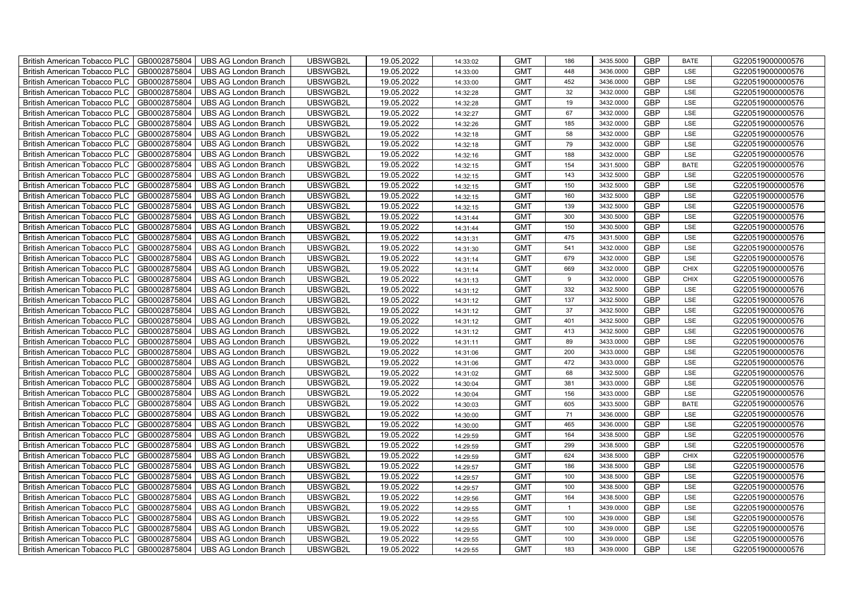|                                                                                                                                                                                                                   | G220519000000576 |
|-------------------------------------------------------------------------------------------------------------------------------------------------------------------------------------------------------------------|------------------|
| GB0002875804<br>UBSWGB2L<br>19.05.2022<br><b>GMT</b><br><b>GBP</b><br><b>British American Tobacco PLC</b><br><b>UBS AG London Branch</b><br>448<br>3436.0000<br>LSE<br>14:33:00                                   | G220519000000576 |
| <b>GBP</b><br>GB0002875804<br>UBS AG London Branch<br>UBSWGB2L<br>19.05.2022<br><b>GMT</b><br><b>British American Tobacco PLC</b><br>452<br>3436.0000<br>LSE<br>14:33:00                                          | G220519000000576 |
| GB0002875804<br>19.05.2022<br><b>GMT</b><br>32<br><b>GBP</b><br><b>British American Tobacco PLC</b><br><b>UBS AG London Branch</b><br>UBSWGB2L<br>3432.0000<br>LSE<br>14:32:28                                    | G220519000000576 |
| GB0002875804<br>UBSWGB2L<br>19.05.2022<br><b>GMT</b><br>19<br>3432.0000<br><b>GBP</b><br>LSE<br><b>British American Tobacco PLC</b><br>UBS AG London Branch<br>14:32:28                                           | G220519000000576 |
| <b>GBP</b><br>GB0002875804<br>UBSWGB2L<br>19.05.2022<br><b>GMT</b><br>67<br>3432.0000<br>LSE<br><b>British American Tobacco PLC</b><br><b>UBS AG London Branch</b><br>14:32:27                                    | G220519000000576 |
| <b>GBP</b><br>19.05.2022<br>185<br>3432.0000<br>LSE<br><b>British American Tobacco PLC</b><br>GB0002875804<br><b>UBS AG London Branch</b><br>UBSWGB2L<br><b>GMT</b><br>14:32:26                                   | G220519000000576 |
| <b>GBP</b><br><b>British American Tobacco PLC</b><br>GB0002875804<br>UBSWGB2L<br>19.05.2022<br><b>GMT</b><br>58<br>3432.0000<br>UBS AG London Branch<br>LSE<br>14:32:18                                           | G220519000000576 |
| <b>GBP</b><br>GB0002875804<br>UBSWGB2L<br>19.05.2022<br><b>GMT</b><br>79<br><b>British American Tobacco PLC</b><br><b>UBS AG London Branch</b><br>3432.0000<br>LSE<br>14:32:18                                    | G220519000000576 |
| GB0002875804<br>UBSWGB2L<br>19.05.2022<br><b>GMT</b><br>188<br><b>GBP</b><br><b>British American Tobacco PLC</b><br><b>UBS AG London Branch</b><br>3432.0000<br>LSE<br>14:32:16                                   | G220519000000576 |
| British American Tobacco PLC<br>GB0002875804<br>UBSWGB2L<br>19.05.2022<br><b>GMT</b><br><b>GBP</b><br><b>UBS AG London Branch</b><br>154<br>3431.5000<br><b>BATE</b><br>14:32:15                                  | G220519000000576 |
| <b>GBP</b><br>GB0002875804<br>UBS AG London Branch<br>UBSWGB2L<br>19.05.2022<br><b>GMT</b><br>143<br>British American Tobacco PLC<br>3432.5000<br>LSE<br>14:32:15                                                 | G220519000000576 |
| 19.05.2022<br><b>GMT</b><br><b>GBP</b><br>British American Tobacco PLC<br>GB0002875804<br><b>UBS AG London Branch</b><br>UBSWGB2L<br>150<br>3432.5000<br>LSE<br>14:32:15                                          | G220519000000576 |
| GB0002875804<br>UBSWGB2L<br>19.05.2022<br><b>GMT</b><br>3432.5000<br><b>GBP</b><br>British American Tobacco PLC<br><b>UBS AG London Branch</b><br>160<br>LSE<br>14:32:15                                          | G220519000000576 |
| <b>GBP</b><br>GB0002875804<br>UBSWGB2L<br>19.05.2022<br><b>GMT</b><br>139<br>3432.5000<br>LSE<br>British American Tobacco PLC<br><b>UBS AG London Branch</b><br>14:32:15                                          | G220519000000576 |
| <b>GBP</b><br>19.05.2022<br>300<br>3430.5000<br>LSE<br>British American Tobacco PLC<br>GB0002875804<br><b>UBS AG London Branch</b><br>UBSWGB2L<br><b>GMT</b><br>14:31:44                                          | G220519000000576 |
| <b>GBP</b><br><b>GMT</b><br>British American Tobacco PLC<br>GB0002875804<br><b>UBS AG London Branch</b><br>UBSWGB2L<br>19.05.2022<br>150<br>3430.5000<br>LSE<br>14:31:44                                          | G220519000000576 |
| <b>GBP</b><br>GB0002875804<br>UBSWGB2L<br>19.05.2022<br><b>GMT</b><br>475<br>3431.5000<br>British American Tobacco PLC<br><b>UBS AG London Branch</b><br>LSE<br>14:31:31                                          | G220519000000576 |
| GB0002875804<br>UBSWGB2L<br>19.05.2022<br><b>GMT</b><br>541<br><b>GBP</b><br>British American Tobacco PLC<br><b>UBS AG London Branch</b><br>3432.0000<br>LSE<br>14:31:30                                          | G220519000000576 |
| <b>GBP</b><br><b>British American Tobacco PLC</b><br>GB0002875804<br><b>UBS AG London Branch</b><br>UBSWGB2L<br>19.05.2022<br><b>GMT</b><br>679<br>3432.0000<br>LSE<br>14:31:14                                   | G220519000000576 |
| <b>GBP</b><br>GB0002875804<br>UBS AG London Branch<br>UBSWGB2L<br>19.05.2022<br><b>GMT</b><br>669<br>British American Tobacco PLC<br>3432.0000<br><b>CHIX</b><br>14:31:14                                         | G220519000000576 |
| GB0002875804<br>19.05.2022<br><b>GMT</b><br>GBP<br>British American Tobacco PLC<br>UBS AG London Branch<br>UBSWGB2L<br>9<br>3432.0000<br><b>CHIX</b><br>14:31:13                                                  | G220519000000576 |
| GB0002875804<br>UBSWGB2L<br>19.05.2022<br><b>GMT</b><br>332<br>3432.5000<br><b>GBP</b><br>British American Tobacco PLC<br><b>UBS AG London Branch</b><br><b>LSE</b><br>14:31:12                                   | G220519000000576 |
| GBP<br>GB0002875804<br>UBSWGB2L<br>19.05.2022<br><b>GMT</b><br>137<br>3432.5000<br>LSE<br>British American Tobacco PLC<br><b>UBS AG London Branch</b><br>14:31:12                                                 | G220519000000576 |
| 37<br>3432.5000<br><b>GBP</b><br>UBSWGB2L<br>19.05.2022<br><b>GMT</b><br>LSE<br>British American Tobacco PLC<br>GB0002875804<br><b>UBS AG London Branch</b><br>14:31:12                                           | G220519000000576 |
| <b>GBP</b><br>GB0002875804<br>UBSWGB2L<br>19.05.2022<br><b>GMT</b><br>401<br>3432.5000<br>LSE<br>British American Tobacco PLC<br><b>UBS AG London Branch</b><br>14:31:12                                          | G220519000000576 |
| <b>GBP</b><br>GB0002875804<br>UBSWGB2L<br>19.05.2022<br><b>GMT</b><br>413<br>3432.5000<br>British American Tobacco PLC<br><b>UBS AG London Branch</b><br>LSE<br>14:31:12                                          | G220519000000576 |
| <b>GBP</b><br>GB0002875804<br>UBSWGB2L<br>19.05.2022<br><b>GMT</b><br>89<br>LSE<br>British American Tobacco PLC<br><b>UBS AG London Branch</b><br>3433.0000<br>14:31:11                                           | G220519000000576 |
| <b>GBP</b><br><b>British American Tobacco PLC</b><br>GB0002875804<br><b>UBS AG London Branch</b><br>UBSWGB2L<br>19.05.2022<br><b>GMT</b><br>LSE<br>200<br>3433.0000<br>14:31:06                                   | G220519000000576 |
| <b>GBP</b><br>GB0002875804<br>UBS AG London Branch<br>UBSWGB2L<br>19.05.2022<br><b>GMT</b><br>472<br>British American Tobacco PLC<br>3433.0000<br>LSE<br>14:31:06                                                 | G220519000000576 |
| GBP<br>GB0002875804<br>UBSWGB2L<br>19.05.2022<br><b>GMT</b><br>British American Tobacco PLC<br><b>UBS AG London Branch</b><br>68<br>3432.5000<br>LSE<br>14:31:02                                                  | G220519000000576 |
| GB0002875804<br>UBSWGB2L<br>19.05.2022<br><b>GMT</b><br>3433.0000<br><b>GBP</b><br>British American Tobacco PLC<br><b>UBS AG London Branch</b><br>381<br>LSE<br>14:30:04                                          | G220519000000576 |
| GBP<br>British American Tobacco PLC<br>GB0002875804<br>UBS AG London Branch<br>UBSWGB2L<br>19.05.2022<br><b>GMT</b><br>156<br>3433.0000<br>LSE<br>14:30:04                                                        | G220519000000576 |
| 3433.5000<br><b>GBP</b><br>GB0002875804<br>UBSWGB2L<br>19.05.2022<br><b>GMT</b><br>605<br><b>BATE</b><br>British American Tobacco PLC<br>UBS AG London Branch<br>14:30:03                                         | G220519000000576 |
| 71<br><b>GBP</b><br>GB0002875804<br>UBSWGB2L<br>19.05.2022<br><b>GMT</b><br>3436.0000<br>LSE<br>British American Tobacco PLC<br>UBS AG London Branch<br>14:30:00                                                  | G220519000000576 |
| GBP<br>GB0002875804<br>UBSWGB2L<br>19.05.2022<br><b>GMT</b><br>465<br>British American Tobacco PLC<br><b>UBS AG London Branch</b><br>3436.0000<br>LSE<br>14:30:00                                                 | G220519000000576 |
| <b>GBP</b><br>GB0002875804<br>UBSWGB2L<br>19.05.2022<br><b>GMT</b><br>164<br>3438.5000<br>LSE<br>British American Tobacco PLC<br><b>UBS AG London Branch</b><br>14:29:59                                          | G220519000000576 |
| <b>GBP</b><br><b>British American Tobacco PLC</b><br>GB0002875804<br><b>UBS AG London Branch</b><br>UBSWGB2L<br>19.05.2022<br><b>GMT</b><br>299<br>3438.5000<br>LSE<br>14:29:59                                   | G220519000000576 |
| <b>GBP</b><br>GB0002875804<br>UBS AG London Branch<br>UBSWGB2L<br>19.05.2022<br><b>GMT</b><br>624<br>British American Tobacco PLC<br>3438.5000<br><b>CHIX</b><br>14:29:59                                         | G220519000000576 |
| <b>GMT</b><br>GBP<br>GB0002875804<br>UBSWGB2L<br>19.05.2022<br>186<br>3438.5000<br>LSE<br><b>British American Tobacco PLC</b><br>UBS AG London Branch<br>14:29:57                                                 | G220519000000576 |
| GB0002875804<br>UBSWGB2L<br>19.05.2022<br><b>GMT</b><br>3438.5000<br><b>GBP</b><br>British American Tobacco PLC<br>UBS AG London Branch<br>100<br>LSE<br>14:29:57                                                 | G220519000000576 |
|                                                                                                                                                                                                                   | G220519000000576 |
| GBP<br>British American Tobacco PLC<br>GB0002875804<br>UBSWGB2L<br>19.05.2022<br><b>GMT</b><br>100<br>3438.5000<br>LSE<br>14:29:57                                                                                |                  |
| <b>UBS AG London Branch</b><br>164<br>3438.5000<br><b>GBP</b><br>GB0002875804<br>UBSWGB2L<br>19.05.2022<br><b>GMT</b><br>LSE<br>UBS AG London Branch<br>14:29:56                                                  | G220519000000576 |
| British American Tobacco PLC<br>3439.0000<br><b>GBP</b><br>GB0002875804<br>UBSWGB2L<br>19.05.2022<br><b>GMT</b><br>$\mathbf{1}$<br>LSE<br><b>British American Tobacco PLC</b><br>UBS AG London Branch<br>14:29:55 | G220519000000576 |
| GBP<br>GB0002875804<br>UBSWGB2L<br>19.05.2022<br><b>GMT</b><br>100<br><b>British American Tobacco PLC</b><br>UBS AG London Branch<br>3439.0000<br>LSE                                                             | G220519000000576 |
| 14:29:55<br><b>GBP</b><br>GB0002875804<br>UBSWGB2L<br>19.05.2022<br><b>GMT</b><br>100<br>3439.0000<br><b>British American Tobacco PLC</b><br>UBS AG London Branch<br>LSE<br>14:29:55                              | G220519000000576 |
| <b>GBP</b><br><b>British American Tobacco PLC</b><br>GB0002875804<br><b>UBS AG London Branch</b><br>UBSWGB2L<br>19.05.2022<br><b>GMT</b><br>100<br>3439.0000<br>LSE<br>14:29:55                                   | G220519000000576 |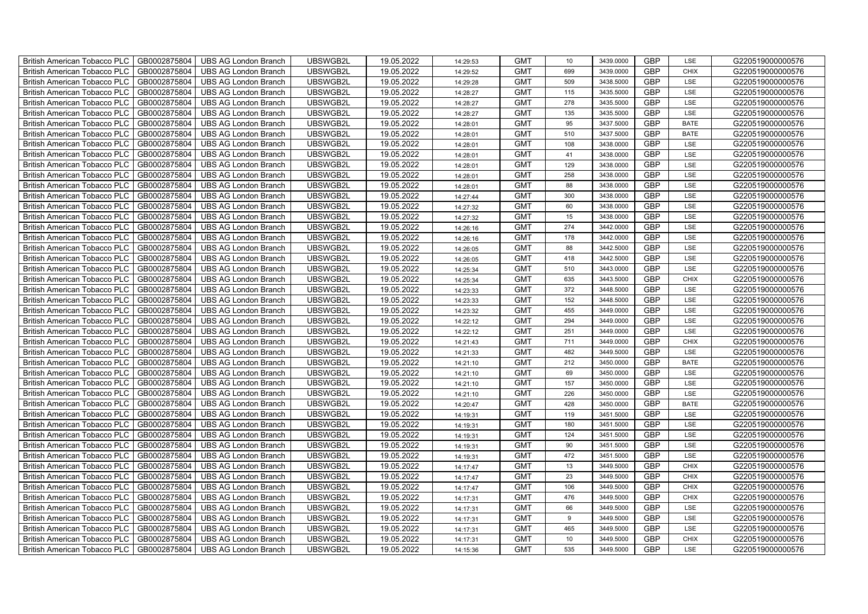| British American Tobacco PLC<br>GB0002875804        | <b>UBS AG London Branch</b> | UBSWGB2L | 19.05.2022 | 14:29:53 | <b>GMT</b> | 10              | 3439.0000 | <b>GBP</b> | LSE         | G220519000000576 |
|-----------------------------------------------------|-----------------------------|----------|------------|----------|------------|-----------------|-----------|------------|-------------|------------------|
| GB0002875804<br><b>British American Tobacco PLC</b> | <b>UBS AG London Branch</b> | UBSWGB2L | 19.05.2022 | 14:29:52 | <b>GMT</b> | 699             | 3439.0000 | <b>GBP</b> | <b>CHIX</b> | G220519000000576 |
| GB0002875804<br><b>British American Tobacco PLC</b> | <b>UBS AG London Branch</b> | UBSWGB2L | 19.05.2022 | 14:29:28 | <b>GMT</b> | 509             | 3438.5000 | <b>GBP</b> | LSE         | G220519000000576 |
| GB0002875804<br>British American Tobacco PLC        | <b>UBS AG London Branch</b> | UBSWGB2L | 19.05.2022 | 14:28:27 | <b>GMT</b> | 115             | 3435.5000 | <b>GBP</b> | LSE         | G220519000000576 |
| GB0002875804<br>British American Tobacco PLC        | <b>UBS AG London Branch</b> | UBSWGB2L | 19.05.2022 | 14:28:27 | <b>GMT</b> | 278             | 3435.5000 | <b>GBP</b> | LSE         | G220519000000576 |
| GB0002875804<br>British American Tobacco PLC        | <b>UBS AG London Branch</b> | UBSWGB2L | 19.05.2022 | 14:28:27 | <b>GMT</b> | 135             | 3435.5000 | <b>GBP</b> | LSE         | G220519000000576 |
| GB0002875804<br><b>British American Tobacco PLC</b> | <b>UBS AG London Branch</b> | UBSWGB2L | 19.05.2022 | 14:28:01 | <b>GMT</b> | 95              | 3437.5000 | <b>GBP</b> | <b>BATE</b> | G220519000000576 |
| British American Tobacco PLC<br>GB0002875804        | <b>UBS AG London Branch</b> | UBSWGB2L | 19.05.2022 | 14:28:01 | <b>GMT</b> | 510             | 3437.5000 | <b>GBP</b> | <b>BATE</b> | G220519000000576 |
| GB0002875804<br>British American Tobacco PLC        | <b>UBS AG London Branch</b> | UBSWGB2L | 19.05.2022 | 14:28:01 | <b>GMT</b> | 108             | 3438.0000 | <b>GBP</b> | LSE         | G220519000000576 |
| GB0002875804<br>British American Tobacco PLC        | <b>UBS AG London Branch</b> | UBSWGB2L | 19.05.2022 | 14:28:01 | <b>GMT</b> | 41              | 3438.0000 | <b>GBP</b> | LSE         | G220519000000576 |
| <b>British American Tobacco PLC</b><br>GB0002875804 | <b>UBS AG London Branch</b> | UBSWGB2L | 19.05.2022 | 14:28:01 | <b>GMT</b> | 129             | 3438.0000 | <b>GBP</b> | LSE         | G220519000000576 |
| GB0002875804<br><b>British American Tobacco PLC</b> | <b>UBS AG London Branch</b> | UBSWGB2L | 19.05.2022 | 14:28:01 | <b>GMT</b> | 258             | 3438.0000 | <b>GBP</b> | LSE         | G220519000000576 |
| GB0002875804<br>British American Tobacco PLC        | <b>UBS AG London Branch</b> | UBSWGB2L | 19.05.2022 | 14:28:01 | <b>GMT</b> | 88              | 3438.0000 | <b>GBP</b> | LSE         | G220519000000576 |
| GB0002875804<br>British American Tobacco PLC        | <b>UBS AG London Branch</b> | UBSWGB2L | 19.05.2022 | 14:27:44 | <b>GMT</b> | 300             | 3438.0000 | <b>GBP</b> | LSE         | G220519000000576 |
| GB0002875804<br>British American Tobacco PLC        | <b>UBS AG London Branch</b> | UBSWGB2L | 19.05.2022 | 14:27:32 | <b>GMT</b> | 60              | 3438.0000 | <b>GBP</b> | LSE         | G220519000000576 |
| GB0002875804<br>British American Tobacco PLC        | <b>UBS AG London Branch</b> | UBSWGB2L | 19.05.2022 | 14:27:32 | <b>GMT</b> | 15              | 3438.0000 | GBP        | LSE         | G220519000000576 |
| British American Tobacco PLC<br>GB0002875804        | <b>UBS AG London Branch</b> | UBSWGB2L | 19.05.2022 | 14:26:16 | <b>GMT</b> | 274             | 3442.0000 | <b>GBP</b> | LSE         | G220519000000576 |
| GB0002875804<br>British American Tobacco PLC        | <b>UBS AG London Branch</b> | UBSWGB2L | 19.05.2022 | 14:26:16 | <b>GMT</b> | 178             | 3442.0000 | <b>GBP</b> | LSE         | G220519000000576 |
| GB0002875804<br>British American Tobacco PLC        | <b>UBS AG London Branch</b> | UBSWGB2L | 19.05.2022 | 14:26:05 | <b>GMT</b> | 88              | 3442.5000 | <b>GBP</b> | LSE         | G220519000000576 |
| <b>British American Tobacco PLC</b><br>GB0002875804 | <b>UBS AG London Branch</b> | UBSWGB2L | 19.05.2022 | 14:26:05 | <b>GMT</b> | 418             | 3442.5000 | GBP        | LSE         | G220519000000576 |
| GB0002875804<br><b>British American Tobacco PLC</b> | <b>UBS AG London Branch</b> | UBSWGB2L | 19.05.2022 | 14:25:34 | <b>GMT</b> | 510             | 3443.0000 | <b>GBP</b> | LSE         | G220519000000576 |
| GB0002875804<br>British American Tobacco PLC        | <b>UBS AG London Branch</b> | UBSWGB2L | 19.05.2022 | 14:25:34 | <b>GMT</b> | 635             | 3443.5000 | GBP        | CHIX        | G220519000000576 |
| GB0002875804<br>British American Tobacco PLC        | <b>UBS AG London Branch</b> | UBSWGB2L | 19.05.2022 | 14:23:33 | <b>GMT</b> | 372             | 3448.5000 | GBP        | LSE         | G220519000000576 |
| GB0002875804<br>British American Tobacco PLC        | <b>UBS AG London Branch</b> | UBSWGB2L | 19.05.2022 | 14:23:33 | <b>GMT</b> | 152             | 3448.5000 | GBP        | LSE         | G220519000000576 |
| British American Tobacco PLC<br>GB0002875804        | <b>UBS AG London Branch</b> | UBSWGB2L | 19.05.2022 | 14:23:32 | <b>GMT</b> | 455             | 3449.0000 | <b>GBP</b> | LSE         | G220519000000576 |
| GB0002875804<br>British American Tobacco PLC        | <b>UBS AG London Branch</b> | UBSWGB2L | 19.05.2022 | 14:22:12 | <b>GMT</b> | 294             | 3449.0000 | <b>GBP</b> | LSE         | G220519000000576 |
| GB0002875804<br>British American Tobacco PLC        | <b>UBS AG London Branch</b> | UBSWGB2L | 19.05.2022 | 14:22:12 | <b>GMT</b> | 251             | 3449.0000 | GBP        | LSE         | G220519000000576 |
| GB0002875804<br>British American Tobacco PLC        | <b>UBS AG London Branch</b> | UBSWGB2L | 19.05.2022 | 14:21:43 | <b>GMT</b> | 711             | 3449.0000 | <b>GBP</b> | <b>CHIX</b> | G220519000000576 |
| <b>British American Tobacco PLC</b><br>GB0002875804 | <b>UBS AG London Branch</b> | UBSWGB2L | 19.05.2022 | 14:21:33 | <b>GMT</b> | 482             | 3449.5000 | <b>GBP</b> | LSE         | G220519000000576 |
| GB0002875804<br><b>British American Tobacco PLC</b> | <b>UBS AG London Branch</b> | UBSWGB2L | 19.05.2022 | 14:21:10 | <b>GMT</b> | 212             | 3450.0000 | <b>GBP</b> | <b>BATE</b> | G220519000000576 |
| GB0002875804<br>British American Tobacco PLC        | <b>UBS AG London Branch</b> | UBSWGB2L | 19.05.2022 | 14:21:10 | <b>GMT</b> | 69              | 3450.0000 | GBP        | LSE         | G220519000000576 |
| GB0002875804<br>British American Tobacco PLC        | <b>UBS AG London Branch</b> | UBSWGB2L | 19.05.2022 | 14:21:10 | <b>GMT</b> | 157             | 3450.0000 | GBP        | LSE         | G220519000000576 |
| British American Tobacco PLC<br>GB0002875804        | <b>UBS AG London Branch</b> | UBSWGB2L | 19.05.2022 | 14:21:10 | <b>GMT</b> | 226             | 3450.0000 | GBP        | LSE         | G220519000000576 |
| British American Tobacco PLC<br>GB0002875804        | <b>UBS AG London Branch</b> | UBSWGB2L | 19.05.2022 | 14:20:47 | <b>GMT</b> | 428             | 3450.0000 | <b>GBP</b> | <b>BATE</b> | G220519000000576 |
| GB0002875804<br>British American Tobacco PLC        | <b>UBS AG London Branch</b> | UBSWGB2L | 19.05.2022 | 14:19:31 | <b>GMT</b> | 119             | 3451.5000 | <b>GBP</b> | LSE         | G220519000000576 |
| GB0002875804<br>British American Tobacco PLC        | <b>UBS AG London Branch</b> | UBSWGB2L | 19.05.2022 | 14:19:31 | <b>GMT</b> | 180             | 3451.5000 | GBP        | LSE         | G220519000000576 |
| GB0002875804<br>British American Tobacco PLC        | <b>UBS AG London Branch</b> | UBSWGB2L | 19.05.2022 | 14:19:31 | <b>GMT</b> | 124             | 3451.5000 | GBP        | LSE         | G220519000000576 |
| <b>British American Tobacco PLC</b><br>GB0002875804 | <b>UBS AG London Branch</b> | UBSWGB2L | 19.05.2022 | 14:19:31 | <b>GMT</b> | 90              | 3451.5000 | <b>GBP</b> | LSE         | G220519000000576 |
| GB0002875804<br><b>British American Tobacco PLC</b> | <b>UBS AG London Branch</b> | UBSWGB2L | 19.05.2022 | 14:19:31 | <b>GMT</b> | 472             | 3451.5000 | <b>GBP</b> | LSE         | G220519000000576 |
| GB0002875804<br><b>British American Tobacco PLC</b> | <b>UBS AG London Branch</b> | UBSWGB2L | 19.05.2022 | 14:17:47 | <b>GMT</b> | 13              | 3449.5000 | <b>GBP</b> | <b>CHIX</b> | G220519000000576 |
| British American Tobacco PLC<br>GB0002875804        | <b>UBS AG London Branch</b> | UBSWGB2L | 19.05.2022 | 14:17:47 | <b>GMT</b> | 23              | 3449.5000 | GBP        | <b>CHIX</b> | G220519000000576 |
| British American Tobacco PLC<br>GB0002875804        | <b>UBS AG London Branch</b> | UBSWGB2L | 19.05.2022 | 14:17:47 | <b>GMT</b> | 106             | 3449.5000 | GBP        | <b>CHIX</b> | G220519000000576 |
| British American Tobacco PLC<br>GB0002875804        | <b>UBS AG London Branch</b> | UBSWGB2L | 19.05.2022 | 14:17:31 | <b>GMT</b> | 476             | 3449.5000 | <b>GBP</b> | <b>CHIX</b> | G220519000000576 |
| GB0002875804<br><b>British American Tobacco PLC</b> | <b>UBS AG London Branch</b> | UBSWGB2L | 19.05.2022 | 14:17:31 | <b>GMT</b> | 66              | 3449.5000 | <b>GBP</b> | LSE         | G220519000000576 |
| GB0002875804<br><b>British American Tobacco PLC</b> | <b>UBS AG London Branch</b> | UBSWGB2L | 19.05.2022 | 14:17:31 | <b>GMT</b> | 9               | 3449.5000 | GBP        | LSE         | G220519000000576 |
| GB0002875804<br><b>British American Tobacco PLC</b> | <b>UBS AG London Branch</b> | UBSWGB2L | 19.05.2022 | 14:17:31 | <b>GMT</b> | 465             | 3449.5000 | GBP        | LSE         | G220519000000576 |
| <b>British American Tobacco PLC</b><br>GB0002875804 | <b>UBS AG London Branch</b> | UBSWGB2L | 19.05.2022 | 14:17:31 | <b>GMT</b> | 10 <sup>1</sup> | 3449.5000 | <b>GBP</b> | <b>CHIX</b> | G220519000000576 |
| GB0002875804<br>British American Tobacco PLC        | <b>UBS AG London Branch</b> | UBSWGB2L | 19.05.2022 | 14:15:36 | <b>GMT</b> | 535             | 3449.5000 | <b>GBP</b> | LSE         | G220519000000576 |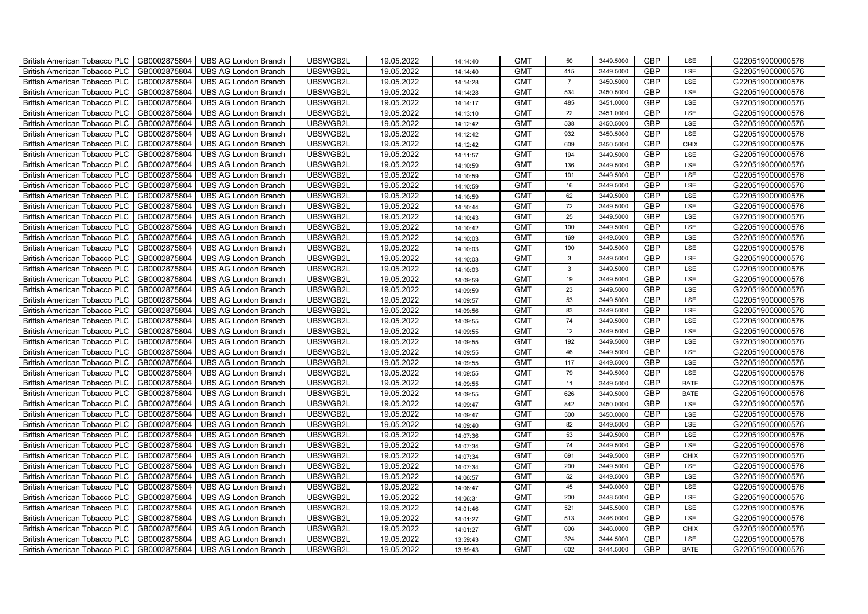| British American Tobacco PLC   GB0002875804 |              | <b>UBS AG London Branch</b> | UBSWGB2L | 19.05.2022 | 14:14:40 | <b>GMT</b> | 50             | 3449.5000 | <b>GBP</b> | LSE         | G220519000000576 |
|---------------------------------------------|--------------|-----------------------------|----------|------------|----------|------------|----------------|-----------|------------|-------------|------------------|
| <b>British American Tobacco PLC</b>         | GB0002875804 | <b>UBS AG London Branch</b> | UBSWGB2L | 19.05.2022 | 14:14:40 | <b>GMT</b> | 415            | 3449.5000 | <b>GBP</b> | LSE         | G220519000000576 |
| <b>British American Tobacco PLC</b>         | GB0002875804 | UBS AG London Branch        | UBSWGB2L | 19.05.2022 | 14:14:28 | <b>GMT</b> | $\overline{7}$ | 3450.5000 | <b>GBP</b> | LSE         | G220519000000576 |
| <b>British American Tobacco PLC</b>         | GB0002875804 | <b>UBS AG London Branch</b> | UBSWGB2L | 19.05.2022 | 14:14:28 | <b>GMT</b> | 534            | 3450.5000 | <b>GBP</b> | LSE         | G220519000000576 |
| <b>British American Tobacco PLC</b>         | GB0002875804 | UBS AG London Branch        | UBSWGB2L | 19.05.2022 | 14:14:17 | <b>GMT</b> | 485            | 3451.0000 | <b>GBP</b> | LSE         | G220519000000576 |
| <b>British American Tobacco PLC</b>         | GB0002875804 | <b>UBS AG London Branch</b> | UBSWGB2L | 19.05.2022 | 14:13:10 | <b>GMT</b> | 22             | 3451.0000 | <b>GBP</b> | LSE         | G220519000000576 |
| <b>British American Tobacco PLC</b>         | GB0002875804 | <b>UBS AG London Branch</b> | UBSWGB2L | 19.05.2022 | 14:12:42 | <b>GMT</b> | 538            | 3450.5000 | <b>GBP</b> | LSE         | G220519000000576 |
| <b>British American Tobacco PLC</b>         | GB0002875804 | UBS AG London Branch        | UBSWGB2L | 19.05.2022 | 14:12:42 | <b>GMT</b> | 932            | 3450.5000 | <b>GBP</b> | LSE         | G220519000000576 |
| <b>British American Tobacco PLC</b>         | GB0002875804 | <b>UBS AG London Branch</b> | UBSWGB2L | 19.05.2022 | 14:12:42 | <b>GMT</b> | 609            | 3450.5000 | <b>GBP</b> | <b>CHIX</b> | G220519000000576 |
| <b>British American Tobacco PLC</b>         | GB0002875804 | <b>UBS AG London Branch</b> | UBSWGB2L | 19.05.2022 | 14:11:57 | <b>GMT</b> | 194            | 3449.5000 | <b>GBP</b> | LSE         | G220519000000576 |
| British American Tobacco PLC                | GB0002875804 | <b>UBS AG London Branch</b> | UBSWGB2L | 19.05.2022 | 14:10:59 | <b>GMT</b> | 136            | 3449.5000 | <b>GBP</b> | LSE         | G220519000000576 |
| British American Tobacco PLC                | GB0002875804 | UBS AG London Branch        | UBSWGB2L | 19.05.2022 | 14:10:59 | <b>GMT</b> | 101            | 3449.5000 | <b>GBP</b> | LSE         | G220519000000576 |
| British American Tobacco PLC                | GB0002875804 | UBS AG London Branch        | UBSWGB2L | 19.05.2022 | 14:10:59 | <b>GMT</b> | 16             | 3449.5000 | <b>GBP</b> | LSE         | G220519000000576 |
| British American Tobacco PLC                | GB0002875804 | <b>UBS AG London Branch</b> | UBSWGB2L | 19.05.2022 | 14:10:59 | <b>GMT</b> | 62             | 3449.5000 | <b>GBP</b> | LSE         | G220519000000576 |
| British American Tobacco PLC                | GB0002875804 | <b>UBS AG London Branch</b> | UBSWGB2L | 19.05.2022 | 14:10:44 | <b>GMT</b> | 72             | 3449.5000 | <b>GBP</b> | LSE         | G220519000000576 |
| British American Tobacco PLC                | GB0002875804 | <b>UBS AG London Branch</b> | UBSWGB2L | 19.05.2022 | 14:10:43 | <b>GMT</b> | 25             | 3449.5000 | <b>GBP</b> | LSE         | G220519000000576 |
| British American Tobacco PLC                | GB0002875804 | <b>UBS AG London Branch</b> | UBSWGB2L | 19.05.2022 | 14:10:42 | <b>GMT</b> | 100            | 3449.5000 | <b>GBP</b> | LSE         | G220519000000576 |
| British American Tobacco PLC                | GB0002875804 | <b>UBS AG London Branch</b> | UBSWGB2L | 19.05.2022 | 14:10:03 | <b>GMT</b> | 169            | 3449.5000 | <b>GBP</b> | LSE         | G220519000000576 |
| British American Tobacco PLC                | GB0002875804 | <b>UBS AG London Branch</b> | UBSWGB2L | 19.05.2022 | 14:10:03 | <b>GMT</b> | 100            | 3449.5000 | <b>GBP</b> | LSE         | G220519000000576 |
| <b>British American Tobacco PLC</b>         | GB0002875804 | <b>UBS AG London Branch</b> | UBSWGB2L | 19.05.2022 | 14:10:03 | <b>GMT</b> | $\mathbf{3}$   | 3449.5000 | <b>GBP</b> | LSE         | G220519000000576 |
| British American Tobacco PLC                | GB0002875804 | UBS AG London Branch        | UBSWGB2L | 19.05.2022 | 14:10:03 | <b>GMT</b> | $\mathbf{3}$   | 3449.5000 | <b>GBP</b> | <b>LSE</b>  | G220519000000576 |
| British American Tobacco PLC                | GB0002875804 | UBS AG London Branch        | UBSWGB2L | 19.05.2022 | 14:09:59 | <b>GMT</b> | 19             | 3449.5000 | GBP        | LSE         | G220519000000576 |
| British American Tobacco PLC                | GB0002875804 | <b>UBS AG London Branch</b> | UBSWGB2L | 19.05.2022 | 14:09:59 | <b>GMT</b> | 23             | 3449.5000 | <b>GBP</b> | LSE         | G220519000000576 |
| British American Tobacco PLC                | GB0002875804 | <b>UBS AG London Branch</b> | UBSWGB2L | 19.05.2022 | 14:09:57 | <b>GMT</b> | 53             | 3449.5000 | GBP        | LSE         | G220519000000576 |
| British American Tobacco PLC                | GB0002875804 | <b>UBS AG London Branch</b> | UBSWGB2L | 19.05.2022 | 14:09:56 | <b>GMT</b> | 83             | 3449.5000 | <b>GBP</b> | LSE         | G220519000000576 |
| British American Tobacco PLC                | GB0002875804 | <b>UBS AG London Branch</b> | UBSWGB2L | 19.05.2022 | 14:09:55 | <b>GMT</b> | 74             | 3449.5000 | <b>GBP</b> | LSE         | G220519000000576 |
| British American Tobacco PLC                | GB0002875804 | <b>UBS AG London Branch</b> | UBSWGB2L | 19.05.2022 | 14:09:55 | <b>GMT</b> | 12             | 3449.5000 | <b>GBP</b> | LSE         | G220519000000576 |
| British American Tobacco PLC                | GB0002875804 | <b>UBS AG London Branch</b> | UBSWGB2L | 19.05.2022 | 14:09:55 | <b>GMT</b> | 192            | 3449.5000 | <b>GBP</b> | LSE         | G220519000000576 |
| <b>British American Tobacco PLC</b>         | GB0002875804 | <b>UBS AG London Branch</b> | UBSWGB2L | 19.05.2022 | 14:09:55 | <b>GMT</b> | 46             | 3449.5000 | <b>GBP</b> | LSE         | G220519000000576 |
| British American Tobacco PLC                | GB0002875804 | UBS AG London Branch        | UBSWGB2L | 19.05.2022 | 14:09:55 | <b>GMT</b> | 117            | 3449.5000 | <b>GBP</b> | LSE         | G220519000000576 |
| British American Tobacco PLC                | GB0002875804 | <b>UBS AG London Branch</b> | UBSWGB2L | 19.05.2022 | 14:09:55 | <b>GMT</b> | 79             | 3449.5000 | GBP        | LSE         | G220519000000576 |
| British American Tobacco PLC                | GB0002875804 | <b>UBS AG London Branch</b> | UBSWGB2L | 19.05.2022 | 14:09:55 | <b>GMT</b> | 11             | 3449.5000 | <b>GBP</b> | <b>BATE</b> | G220519000000576 |
| British American Tobacco PLC                | GB0002875804 | UBS AG London Branch        | UBSWGB2L | 19.05.2022 | 14:09:55 | <b>GMT</b> | 626            | 3449.5000 | GBP        | <b>BATE</b> | G220519000000576 |
| British American Tobacco PLC                | GB0002875804 | UBS AG London Branch        | UBSWGB2L | 19.05.2022 | 14:09:47 | <b>GMT</b> | 842            | 3450.0000 | <b>GBP</b> | LSE         | G220519000000576 |
| British American Tobacco PLC                | GB0002875804 | UBS AG London Branch        | UBSWGB2L | 19.05.2022 | 14:09:47 | <b>GMT</b> | 500            | 3450.0000 | <b>GBP</b> | LSE         | G220519000000576 |
| British American Tobacco PLC                | GB0002875804 | <b>UBS AG London Branch</b> | UBSWGB2L | 19.05.2022 | 14:09:40 | <b>GMT</b> | 82             | 3449.5000 | GBP        | LSE         | G220519000000576 |
| British American Tobacco PLC                | GB0002875804 | <b>UBS AG London Branch</b> | UBSWGB2L | 19.05.2022 | 14:07:36 | <b>GMT</b> | 53             | 3449.5000 | <b>GBP</b> | LSE         | G220519000000576 |
| <b>British American Tobacco PLC</b>         | GB0002875804 | <b>UBS AG London Branch</b> | UBSWGB2L | 19.05.2022 | 14:07:34 | <b>GMT</b> | 74             | 3449.5000 | <b>GBP</b> | LSE         | G220519000000576 |
| British American Tobacco PLC                | GB0002875804 | UBS AG London Branch        | UBSWGB2L | 19.05.2022 | 14:07:34 | <b>GMT</b> | 691            | 3449.5000 | <b>GBP</b> | <b>CHIX</b> | G220519000000576 |
| <b>British American Tobacco PLC</b>         | GB0002875804 | UBS AG London Branch        | UBSWGB2L | 19.05.2022 | 14:07:34 | <b>GMT</b> | 200            | 3449.5000 | GBP        | LSE         | G220519000000576 |
| British American Tobacco PLC                | GB0002875804 | UBS AG London Branch        | UBSWGB2L | 19.05.2022 | 14:06:57 | <b>GMT</b> | 52             | 3449.5000 | <b>GBP</b> | LSE         | G220519000000576 |
| British American Tobacco PLC                | GB0002875804 | <b>UBS AG London Branch</b> | UBSWGB2L | 19.05.2022 | 14:06:47 | <b>GMT</b> | 45             | 3449.0000 | GBP        | LSE         | G220519000000576 |
| British American Tobacco PLC                | GB0002875804 | UBS AG London Branch        | UBSWGB2L | 19.05.2022 | 14:06:31 | <b>GMT</b> | 200            | 3448.5000 | <b>GBP</b> | LSE         | G220519000000576 |
| <b>British American Tobacco PLC</b>         | GB0002875804 | UBS AG London Branch        | UBSWGB2L | 19.05.2022 | 14:01:46 | <b>GMT</b> | 521            | 3445.5000 | <b>GBP</b> | LSE         | G220519000000576 |
| <b>British American Tobacco PLC</b>         | GB0002875804 | UBS AG London Branch        | UBSWGB2L | 19.05.2022 | 14:01:27 | <b>GMT</b> | 513            | 3446.0000 | GBP        | LSE         | G220519000000576 |
| <b>British American Tobacco PLC</b>         | GB0002875804 | UBS AG London Branch        | UBSWGB2L | 19.05.2022 | 14:01:27 | <b>GMT</b> | 606            | 3446.0000 | <b>GBP</b> | <b>CHIX</b> | G220519000000576 |
| <b>British American Tobacco PLC</b>         | GB0002875804 | <b>UBS AG London Branch</b> | UBSWGB2L | 19.05.2022 | 13:59:43 | <b>GMT</b> | 324            | 3444.5000 | <b>GBP</b> | LSE         | G220519000000576 |
| British American Tobacco PLC                | GB0002875804 | <b>UBS AG London Branch</b> | UBSWGB2L | 19.05.2022 | 13:59:43 | <b>GMT</b> | 602            | 3444.5000 | <b>GBP</b> | <b>BATE</b> | G220519000000576 |
|                                             |              |                             |          |            |          |            |                |           |            |             |                  |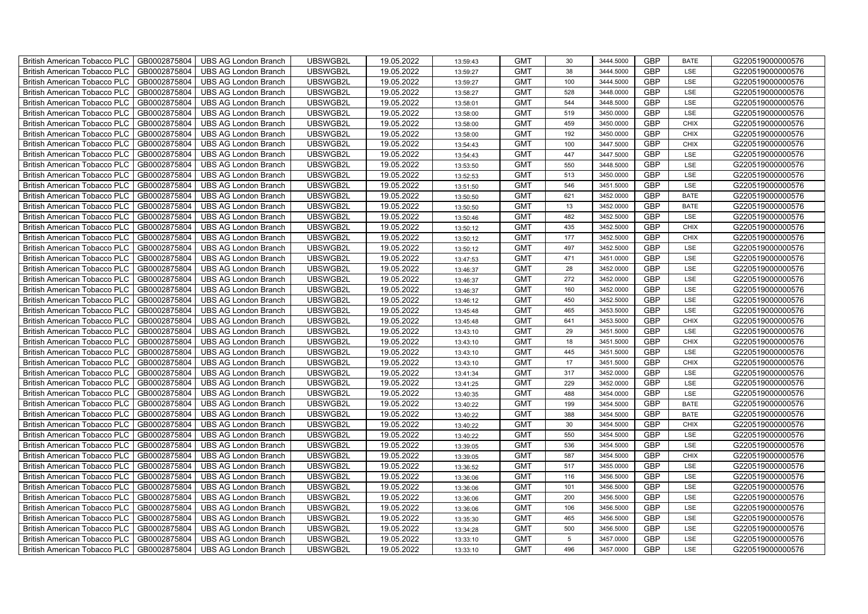| British American Tobacco PLC   GB0002875804 |              | <b>UBS AG London Branch</b> | UBSWGB2L | 19.05.2022 | 13:59:43 | <b>GMT</b> | 30              | 3444.5000 | <b>GBP</b> | <b>BATE</b> | G220519000000576 |
|---------------------------------------------|--------------|-----------------------------|----------|------------|----------|------------|-----------------|-----------|------------|-------------|------------------|
| <b>British American Tobacco PLC</b>         | GB0002875804 | <b>UBS AG London Branch</b> | UBSWGB2L | 19.05.2022 | 13:59:27 | <b>GMT</b> | 38              | 3444.5000 | <b>GBP</b> | LSE         | G220519000000576 |
| <b>British American Tobacco PLC</b>         | GB0002875804 | UBS AG London Branch        | UBSWGB2L | 19.05.2022 | 13:59:27 | <b>GMT</b> | 100             | 3444.5000 | <b>GBP</b> | LSE         | G220519000000576 |
| <b>British American Tobacco PLC</b>         | GB0002875804 | <b>UBS AG London Branch</b> | UBSWGB2L | 19.05.2022 | 13:58:27 | <b>GMT</b> | 528             | 3448.0000 | <b>GBP</b> | LSE         | G220519000000576 |
| <b>British American Tobacco PLC</b>         | GB0002875804 | UBS AG London Branch        | UBSWGB2L | 19.05.2022 | 13:58:01 | <b>GMT</b> | 544             | 3448.5000 | <b>GBP</b> | LSE         | G220519000000576 |
| <b>British American Tobacco PLC</b>         | GB0002875804 | <b>UBS AG London Branch</b> | UBSWGB2L | 19.05.2022 | 13:58:00 | <b>GMT</b> | 519             | 3450.0000 | <b>GBP</b> | LSE         | G220519000000576 |
| <b>British American Tobacco PLC</b>         | GB0002875804 | <b>UBS AG London Branch</b> | UBSWGB2L | 19.05.2022 | 13:58:00 | <b>GMT</b> | 459             | 3450.0000 | <b>GBP</b> | <b>CHIX</b> | G220519000000576 |
| <b>British American Tobacco PLC</b>         | GB0002875804 | UBS AG London Branch        | UBSWGB2L | 19.05.2022 | 13:58:00 | <b>GMT</b> | 192             | 3450.0000 | <b>GBP</b> | <b>CHIX</b> | G220519000000576 |
| <b>British American Tobacco PLC</b>         | GB0002875804 | <b>UBS AG London Branch</b> | UBSWGB2L | 19.05.2022 | 13:54:43 | <b>GMT</b> | 100             | 3447.5000 | <b>GBP</b> | <b>CHIX</b> | G220519000000576 |
| <b>British American Tobacco PLC</b>         | GB0002875804 | <b>UBS AG London Branch</b> | UBSWGB2L | 19.05.2022 | 13:54:43 | <b>GMT</b> | 447             | 3447.5000 | <b>GBP</b> | LSE         | G220519000000576 |
| British American Tobacco PLC                | GB0002875804 | <b>UBS AG London Branch</b> | UBSWGB2L | 19.05.2022 | 13:53:50 | <b>GMT</b> | 550             | 3448.5000 | <b>GBP</b> | LSE         | G220519000000576 |
| British American Tobacco PLC                | GB0002875804 | UBS AG London Branch        | UBSWGB2L | 19.05.2022 | 13:52:53 | <b>GMT</b> | 513             | 3450.0000 | <b>GBP</b> | LSE         | G220519000000576 |
| British American Tobacco PLC                | GB0002875804 | <b>UBS AG London Branch</b> | UBSWGB2L | 19.05.2022 | 13:51:50 | <b>GMT</b> | 546             | 3451.5000 | <b>GBP</b> | LSE         | G220519000000576 |
| British American Tobacco PLC                | GB0002875804 | <b>UBS AG London Branch</b> | UBSWGB2L | 19.05.2022 | 13:50:50 | <b>GMT</b> | 621             | 3452.0000 | <b>GBP</b> | <b>BATE</b> | G220519000000576 |
| British American Tobacco PLC                | GB0002875804 | <b>UBS AG London Branch</b> | UBSWGB2L | 19.05.2022 | 13:50:50 | <b>GMT</b> | 13              | 3452.0000 | <b>GBP</b> | <b>BATE</b> | G220519000000576 |
| British American Tobacco PLC                | GB0002875804 | <b>UBS AG London Branch</b> | UBSWGB2L | 19.05.2022 | 13:50:46 | <b>GMT</b> | 482             | 3452.5000 | <b>GBP</b> | <b>LSE</b>  | G220519000000576 |
| British American Tobacco PLC                | GB0002875804 | <b>UBS AG London Branch</b> | UBSWGB2L | 19.05.2022 | 13:50:12 | <b>GMT</b> | 435             | 3452.5000 | <b>GBP</b> | <b>CHIX</b> | G220519000000576 |
| British American Tobacco PLC                | GB0002875804 | <b>UBS AG London Branch</b> | UBSWGB2L | 19.05.2022 | 13:50:12 | <b>GMT</b> | 177             | 3452.5000 | <b>GBP</b> | <b>CHIX</b> | G220519000000576 |
| British American Tobacco PLC                | GB0002875804 | <b>UBS AG London Branch</b> | UBSWGB2L | 19.05.2022 | 13:50:12 | <b>GMT</b> | 497             | 3452.5000 | <b>GBP</b> | LSE         | G220519000000576 |
| <b>British American Tobacco PLC</b>         | GB0002875804 | <b>UBS AG London Branch</b> | UBSWGB2L | 19.05.2022 | 13:47:53 | <b>GMT</b> | 471             | 3451.0000 | <b>GBP</b> | LSE         | G220519000000576 |
| British American Tobacco PLC                | GB0002875804 | UBS AG London Branch        | UBSWGB2L | 19.05.2022 | 13:46:37 | <b>GMT</b> | 28              | 3452.0000 | <b>GBP</b> | <b>LSE</b>  | G220519000000576 |
| British American Tobacco PLC                | GB0002875804 | UBS AG London Branch        | UBSWGB2L | 19.05.2022 | 13:46:37 | <b>GMT</b> | 272             | 3452.0000 | GBP        | LSE         | G220519000000576 |
| British American Tobacco PLC                | GB0002875804 | <b>UBS AG London Branch</b> | UBSWGB2L | 19.05.2022 | 13:46:37 | <b>GMT</b> | 160             | 3452.0000 | <b>GBP</b> | LSE         | G220519000000576 |
| British American Tobacco PLC                | GB0002875804 | <b>UBS AG London Branch</b> | UBSWGB2L | 19.05.2022 | 13:46:12 | <b>GMT</b> | 450             | 3452.5000 | GBP        | LSE         | G220519000000576 |
| British American Tobacco PLC                | GB0002875804 | <b>UBS AG London Branch</b> | UBSWGB2L | 19.05.2022 | 13:45:48 | <b>GMT</b> | 465             | 3453.5000 | <b>GBP</b> | LSE         | G220519000000576 |
| British American Tobacco PLC                | GB0002875804 | <b>UBS AG London Branch</b> | UBSWGB2L | 19.05.2022 | 13:45:48 | <b>GMT</b> | 641             | 3453.5000 | <b>GBP</b> | <b>CHIX</b> | G220519000000576 |
| British American Tobacco PLC                | GB0002875804 | <b>UBS AG London Branch</b> | UBSWGB2L | 19.05.2022 | 13:43:10 | <b>GMT</b> | 29              | 3451.5000 | <b>GBP</b> | LSE         | G220519000000576 |
| British American Tobacco PLC                | GB0002875804 | <b>UBS AG London Branch</b> | UBSWGB2L | 19.05.2022 | 13:43:10 | <b>GMT</b> | 18              | 3451.5000 | <b>GBP</b> | <b>CHIX</b> | G220519000000576 |
| <b>British American Tobacco PLC</b>         | GB0002875804 | <b>UBS AG London Branch</b> | UBSWGB2L | 19.05.2022 | 13:43:10 | <b>GMT</b> | 445             | 3451.5000 | <b>GBP</b> | LSE         | G220519000000576 |
| British American Tobacco PLC                | GB0002875804 | UBS AG London Branch        | UBSWGB2L | 19.05.2022 | 13:43:10 | <b>GMT</b> | 17              | 3451.5000 | <b>GBP</b> | <b>CHIX</b> | G220519000000576 |
| British American Tobacco PLC                | GB0002875804 | <b>UBS AG London Branch</b> | UBSWGB2L | 19.05.2022 | 13:41:34 | <b>GMT</b> | 317             | 3452.0000 | GBP        | LSE         | G220519000000576 |
| British American Tobacco PLC                | GB0002875804 | <b>UBS AG London Branch</b> | UBSWGB2L | 19.05.2022 | 13:41:25 | <b>GMT</b> | 229             | 3452.0000 | <b>GBP</b> | LSE         | G220519000000576 |
| British American Tobacco PLC                | GB0002875804 | UBS AG London Branch        | UBSWGB2L | 19.05.2022 | 13:40:35 | <b>GMT</b> | 488             | 3454.0000 | GBP        | LSE         | G220519000000576 |
| British American Tobacco PLC                | GB0002875804 | UBS AG London Branch        | UBSWGB2L | 19.05.2022 | 13:40:22 | <b>GMT</b> | 199             | 3454.5000 | <b>GBP</b> | <b>BATE</b> | G220519000000576 |
| British American Tobacco PLC                | GB0002875804 | UBS AG London Branch        | UBSWGB2L | 19.05.2022 | 13:40:22 | <b>GMT</b> | 388             | 3454.5000 | <b>GBP</b> | <b>BATE</b> | G220519000000576 |
| British American Tobacco PLC                | GB0002875804 | <b>UBS AG London Branch</b> | UBSWGB2L | 19.05.2022 | 13:40:22 | <b>GMT</b> | 30              | 3454.5000 | <b>GBP</b> | <b>CHIX</b> | G220519000000576 |
| British American Tobacco PLC                | GB0002875804 | <b>UBS AG London Branch</b> | UBSWGB2L | 19.05.2022 | 13:40:22 | <b>GMT</b> | 550             | 3454.5000 | <b>GBP</b> | LSE         | G220519000000576 |
| <b>British American Tobacco PLC</b>         | GB0002875804 | <b>UBS AG London Branch</b> | UBSWGB2L | 19.05.2022 | 13:39:05 | <b>GMT</b> | 536             | 3454.5000 | <b>GBP</b> | LSE         | G220519000000576 |
| British American Tobacco PLC                | GB0002875804 | UBS AG London Branch        | UBSWGB2L | 19.05.2022 | 13:39:05 | <b>GMT</b> | 587             | 3454.5000 | <b>GBP</b> | <b>CHIX</b> | G220519000000576 |
| <b>British American Tobacco PLC</b>         | GB0002875804 | UBS AG London Branch        | UBSWGB2L | 19.05.2022 | 13:36:52 | <b>GMT</b> | 517             | 3455.0000 | GBP        | LSE         | G220519000000576 |
| British American Tobacco PLC                | GB0002875804 | UBS AG London Branch        | UBSWGB2L | 19.05.2022 | 13:36:06 | <b>GMT</b> | 116             | 3456.5000 | <b>GBP</b> | LSE         | G220519000000576 |
| British American Tobacco PLC                | GB0002875804 | <b>UBS AG London Branch</b> | UBSWGB2L | 19.05.2022 | 13:36:06 | <b>GMT</b> | 101             | 3456.5000 | GBP        | LSE         | G220519000000576 |
| British American Tobacco PLC                | GB0002875804 | UBS AG London Branch        | UBSWGB2L | 19.05.2022 | 13:36:06 | <b>GMT</b> | 200             | 3456.5000 | <b>GBP</b> | LSE         | G220519000000576 |
| <b>British American Tobacco PLC</b>         | GB0002875804 | UBS AG London Branch        | UBSWGB2L | 19.05.2022 | 13:36:06 | <b>GMT</b> | 106             | 3456.5000 | <b>GBP</b> | LSE         | G220519000000576 |
| British American Tobacco PLC                | GB0002875804 | UBS AG London Branch        | UBSWGB2L | 19.05.2022 | 13:35:30 | <b>GMT</b> | 465             | 3456.5000 | <b>GBP</b> | LSE         | G220519000000576 |
| <b>British American Tobacco PLC</b>         | GB0002875804 | UBS AG London Branch        | UBSWGB2L | 19.05.2022 | 13:34:28 | <b>GMT</b> | 500             | 3456.5000 | <b>GBP</b> | LSE         | G220519000000576 |
| <b>British American Tobacco PLC</b>         | GB0002875804 | <b>UBS AG London Branch</b> | UBSWGB2L | 19.05.2022 | 13:33:10 | <b>GMT</b> | $5\phantom{.0}$ | 3457.0000 | <b>GBP</b> | LSE         | G220519000000576 |
| British American Tobacco PLC                | GB0002875804 | <b>UBS AG London Branch</b> | UBSWGB2L | 19.05.2022 | 13:33:10 | <b>GMT</b> | 496             | 3457.0000 | <b>GBP</b> | LSE         | G220519000000576 |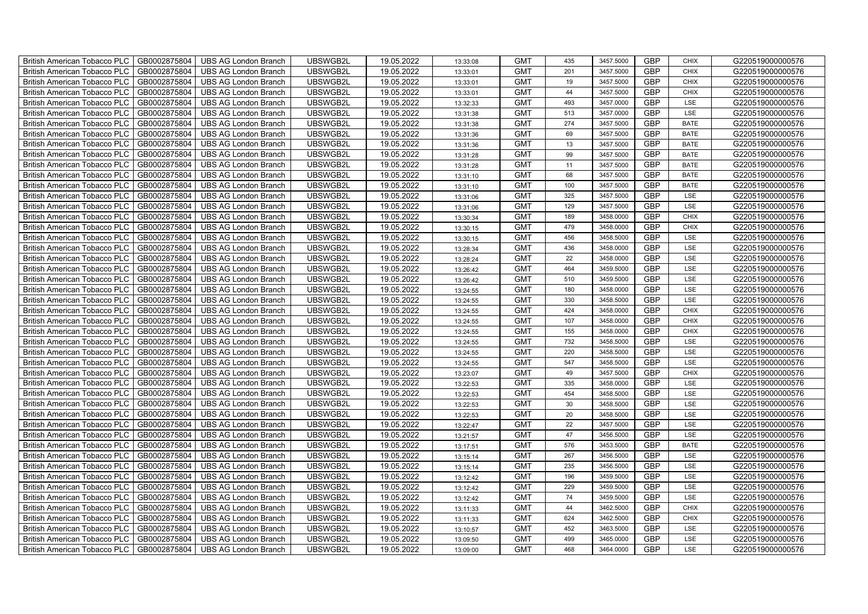| British American Tobacco PLC<br>GB0002875804        | <b>UBS AG London Branch</b> | UBSWGB2L | 19.05.2022 | 13:33:08 | <b>GMT</b> | 435 | 3457.5000 | <b>GBP</b> | <b>CHIX</b> | G220519000000576 |
|-----------------------------------------------------|-----------------------------|----------|------------|----------|------------|-----|-----------|------------|-------------|------------------|
| GB0002875804<br><b>British American Tobacco PLC</b> | <b>UBS AG London Branch</b> | UBSWGB2L | 19.05.2022 | 13:33:01 | <b>GMT</b> | 201 | 3457.5000 | <b>GBP</b> | <b>CHIX</b> | G220519000000576 |
| GB0002875804<br><b>British American Tobacco PLC</b> | <b>UBS AG London Branch</b> | UBSWGB2L | 19.05.2022 | 13:33:01 | <b>GMT</b> | 19  | 3457.5000 | <b>GBP</b> | <b>CHIX</b> | G220519000000576 |
| GB0002875804<br>British American Tobacco PLC        | <b>UBS AG London Branch</b> | UBSWGB2L | 19.05.2022 | 13:33:01 | <b>GMT</b> | 44  | 3457.5000 | <b>GBP</b> | <b>CHIX</b> | G220519000000576 |
| GB0002875804<br>British American Tobacco PLC        | <b>UBS AG London Branch</b> | UBSWGB2L | 19.05.2022 | 13:32:33 | <b>GMT</b> | 493 | 3457.0000 | <b>GBP</b> | LSE         | G220519000000576 |
| GB0002875804<br>British American Tobacco PLC        | <b>UBS AG London Branch</b> | UBSWGB2L | 19.05.2022 | 13:31:38 | <b>GMT</b> | 513 | 3457.0000 | <b>GBP</b> | LSE         | G220519000000576 |
| GB0002875804<br><b>British American Tobacco PLC</b> | <b>UBS AG London Branch</b> | UBSWGB2L | 19.05.2022 | 13:31:38 | <b>GMT</b> | 274 | 3457.5000 | <b>GBP</b> | <b>BATE</b> | G220519000000576 |
| British American Tobacco PLC<br>GB0002875804        | <b>UBS AG London Branch</b> | UBSWGB2L | 19.05.2022 | 13:31:36 | <b>GMT</b> | 69  | 3457.5000 | <b>GBP</b> | <b>BATE</b> | G220519000000576 |
| GB0002875804<br>British American Tobacco PLC        | <b>UBS AG London Branch</b> | UBSWGB2L | 19.05.2022 | 13:31:36 | <b>GMT</b> | 13  | 3457.5000 | <b>GBP</b> | <b>BATE</b> | G220519000000576 |
| GB0002875804<br>British American Tobacco PLC        | <b>UBS AG London Branch</b> | UBSWGB2L | 19.05.2022 | 13:31:28 | <b>GMT</b> | 99  | 3457.5000 | <b>GBP</b> | <b>BATE</b> | G220519000000576 |
| <b>British American Tobacco PLC</b><br>GB0002875804 | <b>UBS AG London Branch</b> | UBSWGB2L | 19.05.2022 | 13:31:28 | <b>GMT</b> | 11  | 3457.5000 | <b>GBP</b> | <b>BATE</b> | G220519000000576 |
| GB0002875804<br><b>British American Tobacco PLC</b> | <b>UBS AG London Branch</b> | UBSWGB2L | 19.05.2022 | 13:31:10 | <b>GMT</b> | 68  | 3457.5000 | <b>GBP</b> | <b>BATE</b> | G220519000000576 |
| GB0002875804<br>British American Tobacco PLC        | <b>UBS AG London Branch</b> | UBSWGB2L | 19.05.2022 | 13:31:10 | <b>GMT</b> | 100 | 3457.5000 | <b>GBP</b> | <b>BATE</b> | G220519000000576 |
| GB0002875804<br>British American Tobacco PLC        | <b>UBS AG London Branch</b> | UBSWGB2L | 19.05.2022 | 13:31:06 | <b>GMT</b> | 325 | 3457.5000 | <b>GBP</b> | LSE         | G220519000000576 |
| GB0002875804<br>British American Tobacco PLC        | <b>UBS AG London Branch</b> | UBSWGB2L | 19.05.2022 | 13:31:06 | <b>GMT</b> | 129 | 3457.5000 | <b>GBP</b> | LSE         | G220519000000576 |
| GB0002875804<br>British American Tobacco PLC        | <b>UBS AG London Branch</b> | UBSWGB2L | 19.05.2022 | 13:30:34 | <b>GMT</b> | 189 | 3458.0000 | GBP        | <b>CHIX</b> | G220519000000576 |
| British American Tobacco PLC<br>GB0002875804        | <b>UBS AG London Branch</b> | UBSWGB2L | 19.05.2022 | 13:30:15 | <b>GMT</b> | 479 | 3458.0000 | <b>GBP</b> | <b>CHIX</b> | G220519000000576 |
| GB0002875804<br>British American Tobacco PLC        | <b>UBS AG London Branch</b> | UBSWGB2L | 19.05.2022 | 13:30:15 | <b>GMT</b> | 456 | 3458.5000 | <b>GBP</b> | LSE         | G220519000000576 |
| GB0002875804<br>British American Tobacco PLC        | <b>UBS AG London Branch</b> | UBSWGB2L | 19.05.2022 | 13:28:34 | <b>GMT</b> | 436 | 3458.0000 | <b>GBP</b> | LSE         | G220519000000576 |
| <b>British American Tobacco PLC</b><br>GB0002875804 | <b>UBS AG London Branch</b> | UBSWGB2L | 19.05.2022 | 13:28:24 | <b>GMT</b> | 22  | 3458.0000 | GBP        | LSE         | G220519000000576 |
| GB0002875804<br><b>British American Tobacco PLC</b> | <b>UBS AG London Branch</b> | UBSWGB2L | 19.05.2022 | 13:26:42 | <b>GMT</b> | 464 | 3459.5000 | <b>GBP</b> | LSE         | G220519000000576 |
| GB0002875804<br>British American Tobacco PLC        | <b>UBS AG London Branch</b> | UBSWGB2L | 19.05.2022 | 13:26:42 | <b>GMT</b> | 510 | 3459.5000 | GBP        | LSE         | G220519000000576 |
| GB0002875804<br>British American Tobacco PLC        | <b>UBS AG London Branch</b> | UBSWGB2L | 19.05.2022 | 13:24:55 | <b>GMT</b> | 180 | 3458.0000 | GBP        | LSE         | G220519000000576 |
| GB0002875804<br>British American Tobacco PLC        | <b>UBS AG London Branch</b> | UBSWGB2L | 19.05.2022 | 13:24:55 | <b>GMT</b> | 330 | 3458.5000 | GBP        | LSE         | G220519000000576 |
| British American Tobacco PLC<br>GB0002875804        | <b>UBS AG London Branch</b> | UBSWGB2L | 19.05.2022 | 13:24:55 | <b>GMT</b> | 424 | 3458.0000 | GBP        | <b>CHIX</b> | G220519000000576 |
| GB0002875804<br>British American Tobacco PLC        | <b>UBS AG London Branch</b> | UBSWGB2L | 19.05.2022 | 13:24:55 | <b>GMT</b> | 107 | 3458.0000 | <b>GBP</b> | <b>CHIX</b> | G220519000000576 |
| GB0002875804<br>British American Tobacco PLC        | <b>UBS AG London Branch</b> | UBSWGB2L | 19.05.2022 | 13:24:55 | <b>GMT</b> | 155 | 3458.0000 | GBP        | CHIX        | G220519000000576 |
| GB0002875804<br>British American Tobacco PLC        | <b>UBS AG London Branch</b> | UBSWGB2L | 19.05.2022 | 13:24:55 | <b>GMT</b> | 732 | 3458.5000 | <b>GBP</b> | LSE         | G220519000000576 |
| <b>British American Tobacco PLC</b><br>GB0002875804 | <b>UBS AG London Branch</b> | UBSWGB2L | 19.05.2022 | 13:24:55 | <b>GMT</b> | 220 | 3458.5000 | <b>GBP</b> | LSE         | G220519000000576 |
| GB0002875804<br><b>British American Tobacco PLC</b> | <b>UBS AG London Branch</b> | UBSWGB2L | 19.05.2022 | 13:24:55 | <b>GMT</b> | 547 | 3458.5000 | <b>GBP</b> | LSE         | G220519000000576 |
| GB0002875804<br>British American Tobacco PLC        | <b>UBS AG London Branch</b> | UBSWGB2L | 19.05.2022 | 13:23:07 | <b>GMT</b> | 49  | 3457.5000 | <b>GBP</b> | CHIX        | G220519000000576 |
| GB0002875804<br>British American Tobacco PLC        | <b>UBS AG London Branch</b> | UBSWGB2L | 19.05.2022 | 13:22:53 | <b>GMT</b> | 335 | 3458.0000 | GBP        | LSE         | G220519000000576 |
| British American Tobacco PLC<br>GB0002875804        | <b>UBS AG London Branch</b> | UBSWGB2L | 19.05.2022 | 13:22:53 | <b>GMT</b> | 454 | 3458.5000 | GBP        | LSE         | G220519000000576 |
| British American Tobacco PLC<br>GB0002875804        | <b>UBS AG London Branch</b> | UBSWGB2L | 19.05.2022 | 13:22:53 | <b>GMT</b> | 30  | 3458.5000 | <b>GBP</b> | LSE         | G220519000000576 |
| GB0002875804<br>British American Tobacco PLC        | <b>UBS AG London Branch</b> | UBSWGB2L | 19.05.2022 | 13:22:53 | <b>GMT</b> | 20  | 3458.5000 | <b>GBP</b> | LSE         | G220519000000576 |
| GB0002875804<br>British American Tobacco PLC        | <b>UBS AG London Branch</b> | UBSWGB2L | 19.05.2022 | 13:22:47 | <b>GMT</b> | 22  | 3457.5000 | GBP        | LSE         | G220519000000576 |
| GB0002875804<br>British American Tobacco PLC        | <b>UBS AG London Branch</b> | UBSWGB2L | 19.05.2022 | 13:21:57 | <b>GMT</b> | 47  | 3456.5000 | GBP        | LSE         | G220519000000576 |
| <b>British American Tobacco PLC</b><br>GB0002875804 | <b>UBS AG London Branch</b> | UBSWGB2L | 19.05.2022 | 13:17:51 | <b>GMT</b> | 576 | 3453.5000 | <b>GBP</b> | <b>BATE</b> | G220519000000576 |
| GB0002875804<br><b>British American Tobacco PLC</b> | <b>UBS AG London Branch</b> | UBSWGB2L | 19.05.2022 | 13:15:14 | <b>GMT</b> | 267 | 3456.5000 | <b>GBP</b> | LSE         | G220519000000576 |
| GB0002875804<br><b>British American Tobacco PLC</b> | <b>UBS AG London Branch</b> | UBSWGB2L | 19.05.2022 | 13:15:14 | <b>GMT</b> | 235 | 3456.5000 | GBP        | LSE         | G220519000000576 |
| British American Tobacco PLC<br>GB0002875804        | <b>UBS AG London Branch</b> | UBSWGB2L | 19.05.2022 | 13:12:42 | <b>GMT</b> | 196 | 3459.5000 | GBP        | LSE         | G220519000000576 |
| British American Tobacco PLC<br>GB0002875804        | <b>UBS AG London Branch</b> | UBSWGB2L | 19.05.2022 | 13:12:42 | <b>GMT</b> | 229 | 3459.5000 | GBP        | LSE         | G220519000000576 |
| British American Tobacco PLC<br>GB0002875804        | <b>UBS AG London Branch</b> | UBSWGB2L | 19.05.2022 | 13:12:42 | <b>GMT</b> | 74  | 3459.5000 | <b>GBP</b> | LSE         | G220519000000576 |
| GB0002875804<br><b>British American Tobacco PLC</b> | <b>UBS AG London Branch</b> | UBSWGB2L | 19.05.2022 | 13:11:33 | <b>GMT</b> | 44  | 3462.5000 | <b>GBP</b> | <b>CHIX</b> | G220519000000576 |
| GB0002875804<br><b>British American Tobacco PLC</b> | <b>UBS AG London Branch</b> | UBSWGB2L | 19.05.2022 | 13:11:33 | <b>GMT</b> | 624 | 3462.5000 | GBP        | <b>CHIX</b> | G220519000000576 |
| GB0002875804<br><b>British American Tobacco PLC</b> | <b>UBS AG London Branch</b> | UBSWGB2L | 19.05.2022 | 13:10:57 | <b>GMT</b> | 452 | 3463.5000 | GBP        | LSE         | G220519000000576 |
| <b>British American Tobacco PLC</b><br>GB0002875804 | <b>UBS AG London Branch</b> | UBSWGB2L | 19.05.2022 | 13:09:50 | <b>GMT</b> | 499 | 3465.0000 | <b>GBP</b> | LSE         | G220519000000576 |
| GB0002875804<br>British American Tobacco PLC        | <b>UBS AG London Branch</b> | UBSWGB2L | 19.05.2022 | 13:09:00 | <b>GMT</b> | 468 | 3464.0000 | <b>GBP</b> | LSE         | G220519000000576 |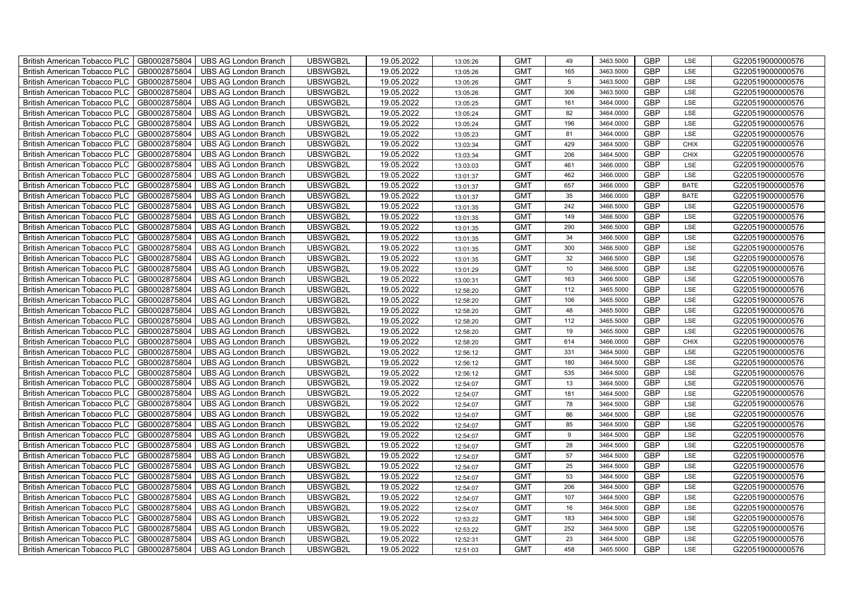| British American Tobacco PLC        | GB0002875804 | <b>UBS AG London Branch</b> | UBSWGB2L | 19.05.2022 | 13:05:26 | <b>GMT</b> | 49              | 3463.5000 | <b>GBP</b> | LSE         | G220519000000576 |
|-------------------------------------|--------------|-----------------------------|----------|------------|----------|------------|-----------------|-----------|------------|-------------|------------------|
| <b>British American Tobacco PLC</b> | GB0002875804 | <b>UBS AG London Branch</b> | UBSWGB2L | 19.05.2022 | 13:05:26 | <b>GMT</b> | 165             | 3463.5000 | <b>GBP</b> | <b>LSE</b>  | G220519000000576 |
| <b>British American Tobacco PLC</b> | GB0002875804 | <b>UBS AG London Branch</b> | UBSWGB2L | 19.05.2022 | 13:05:26 | <b>GMT</b> | $5\phantom{.0}$ | 3463.5000 | <b>GBP</b> | LSE         | G220519000000576 |
| British American Tobacco PLC        | GB0002875804 | <b>UBS AG London Branch</b> | UBSWGB2L | 19.05.2022 | 13:05:26 | <b>GMT</b> | 306             | 3463.5000 | <b>GBP</b> | LSE         | G220519000000576 |
| <b>British American Tobacco PLC</b> | GB0002875804 | UBS AG London Branch        | UBSWGB2L | 19.05.2022 | 13:05:25 | <b>GMT</b> | 161             | 3464.0000 | <b>GBP</b> | LSE         | G220519000000576 |
| British American Tobacco PLC        | GB0002875804 | <b>UBS AG London Branch</b> | UBSWGB2L | 19.05.2022 | 13:05:24 | <b>GMT</b> | 82              | 3464.0000 | <b>GBP</b> | LSE         | G220519000000576 |
| <b>British American Tobacco PLC</b> | GB0002875804 | <b>UBS AG London Branch</b> | UBSWGB2L | 19.05.2022 | 13:05:24 | <b>GMT</b> | 196             | 3464.0000 | <b>GBP</b> | LSE         | G220519000000576 |
| British American Tobacco PLC        | GB0002875804 | <b>UBS AG London Branch</b> | UBSWGB2L | 19.05.2022 | 13:05:23 | <b>GMT</b> | 81              | 3464.0000 | <b>GBP</b> | LSE         | G220519000000576 |
| <b>British American Tobacco PLC</b> | GB0002875804 | <b>UBS AG London Branch</b> | UBSWGB2L | 19.05.2022 | 13:03:34 | <b>GMT</b> | 429             | 3464.5000 | <b>GBP</b> | <b>CHIX</b> | G220519000000576 |
| British American Tobacco PLC        | GB0002875804 | <b>UBS AG London Branch</b> | UBSWGB2L | 19.05.2022 | 13:03:34 | <b>GMT</b> | 206             | 3464.5000 | <b>GBP</b> | <b>CHIX</b> | G220519000000576 |
| <b>British American Tobacco PLC</b> | GB0002875804 | <b>UBS AG London Branch</b> | UBSWGB2L | 19.05.2022 | 13:03:03 | <b>GMT</b> | 461             | 3466.0000 | <b>GBP</b> | LSE         | G220519000000576 |
| <b>British American Tobacco PLC</b> | GB0002875804 | <b>UBS AG London Branch</b> | UBSWGB2L | 19.05.2022 | 13:01:37 | <b>GMT</b> | 462             | 3466.0000 | <b>GBP</b> | LSE         | G220519000000576 |
| British American Tobacco PLC        | GB0002875804 | <b>UBS AG London Branch</b> | UBSWGB2L | 19.05.2022 | 13:01:37 | <b>GMT</b> | 657             | 3466.0000 | <b>GBP</b> | <b>BATE</b> | G220519000000576 |
| British American Tobacco PLC        | GB0002875804 | <b>UBS AG London Branch</b> | UBSWGB2L | 19.05.2022 | 13:01:37 | <b>GMT</b> | 35              | 3466.0000 | <b>GBP</b> | <b>BATE</b> | G220519000000576 |
| British American Tobacco PLC        | GB0002875804 | <b>UBS AG London Branch</b> | UBSWGB2L | 19.05.2022 | 13:01:35 | <b>GMT</b> | 242             | 3466.5000 | <b>GBP</b> | LSE         | G220519000000576 |
| British American Tobacco PLC        | GB0002875804 | <b>UBS AG London Branch</b> | UBSWGB2L | 19.05.2022 | 13:01:35 | <b>GMT</b> | 149             | 3466.5000 | <b>GBP</b> | LSE         | G220519000000576 |
| British American Tobacco PLC        | GB0002875804 | <b>UBS AG London Branch</b> | UBSWGB2L | 19.05.2022 | 13:01:35 | <b>GMT</b> | 290             | 3466.5000 | <b>GBP</b> | LSE         | G220519000000576 |
| British American Tobacco PLC        | GB0002875804 | <b>UBS AG London Branch</b> | UBSWGB2L | 19.05.2022 | 13:01:35 | <b>GMT</b> | 34              | 3466.5000 | <b>GBP</b> | LSE         | G220519000000576 |
| British American Tobacco PLC        | GB0002875804 | <b>UBS AG London Branch</b> | UBSWGB2L | 19.05.2022 | 13:01:35 | <b>GMT</b> | 300             | 3466.5000 | <b>GBP</b> | LSE         | G220519000000576 |
| <b>British American Tobacco PLC</b> | GB0002875804 | <b>UBS AG London Branch</b> | UBSWGB2L | 19.05.2022 | 13:01:35 | <b>GMT</b> | 32              | 3466.5000 | <b>GBP</b> | LSE         | G220519000000576 |
| <b>British American Tobacco PLC</b> | GB0002875804 | <b>UBS AG London Branch</b> | UBSWGB2L | 19.05.2022 | 13:01:29 | <b>GMT</b> | 10              | 3466.5000 | <b>GBP</b> | <b>LSE</b>  | G220519000000576 |
| British American Tobacco PLC        | GB0002875804 | <b>UBS AG London Branch</b> | UBSWGB2L | 19.05.2022 | 13:00:31 | <b>GMT</b> | 163             | 3466.5000 | <b>GBP</b> | LSE         | G220519000000576 |
| British American Tobacco PLC        | GB0002875804 | <b>UBS AG London Branch</b> | UBSWGB2L | 19.05.2022 | 12:58:20 | <b>GMT</b> | 112             | 3465.5000 | GBP        | LSE         | G220519000000576 |
| British American Tobacco PLC        | GB0002875804 | <b>UBS AG London Branch</b> | UBSWGB2L | 19.05.2022 | 12:58:20 | <b>GMT</b> | 106             | 3465.5000 | <b>GBP</b> | LSE         | G220519000000576 |
| British American Tobacco PLC        | GB0002875804 | <b>UBS AG London Branch</b> | UBSWGB2L | 19.05.2022 | 12:58:20 | <b>GMT</b> | 48              | 3465.5000 | <b>GBP</b> | LSE         | G220519000000576 |
| British American Tobacco PLC        | GB0002875804 | <b>UBS AG London Branch</b> | UBSWGB2L | 19.05.2022 | 12:58:20 | <b>GMT</b> | 112             | 3465.5000 | <b>GBP</b> | LSE         | G220519000000576 |
| British American Tobacco PLC        | GB0002875804 | <b>UBS AG London Branch</b> | UBSWGB2L | 19.05.2022 | 12:58:20 | <b>GMT</b> | 19              | 3465.5000 | <b>GBP</b> | LSE         | G220519000000576 |
| British American Tobacco PLC        | GB0002875804 | <b>UBS AG London Branch</b> | UBSWGB2L | 19.05.2022 | 12:58:20 | <b>GMT</b> | 614             | 3466.0000 | <b>GBP</b> | <b>CHIX</b> | G220519000000576 |
| <b>British American Tobacco PLC</b> | GB0002875804 | <b>UBS AG London Branch</b> | UBSWGB2L | 19.05.2022 | 12:56:12 | <b>GMT</b> | 331             | 3464.5000 | <b>GBP</b> | LSE         | G220519000000576 |
| <b>British American Tobacco PLC</b> | GB0002875804 | <b>UBS AG London Branch</b> | UBSWGB2L | 19.05.2022 | 12:56:12 | <b>GMT</b> | 180             | 3464.5000 | <b>GBP</b> | LSE         | G220519000000576 |
| British American Tobacco PLC        | GB0002875804 | <b>UBS AG London Branch</b> | UBSWGB2L | 19.05.2022 | 12:56:12 | <b>GMT</b> | 535             | 3464.5000 | <b>GBP</b> | LSE         | G220519000000576 |
| British American Tobacco PLC        | GB0002875804 | <b>UBS AG London Branch</b> | UBSWGB2L | 19.05.2022 | 12:54:07 | <b>GMT</b> | 13              | 3464.5000 | <b>GBP</b> | LSE         | G220519000000576 |
| British American Tobacco PLC        | GB0002875804 | <b>UBS AG London Branch</b> | UBSWGB2L | 19.05.2022 | 12:54:07 | <b>GMT</b> | 181             | 3464.5000 | <b>GBP</b> | LSE         | G220519000000576 |
| British American Tobacco PLC        | GB0002875804 | <b>UBS AG London Branch</b> | UBSWGB2L | 19.05.2022 | 12:54:07 | <b>GMT</b> | 78              | 3464.5000 | <b>GBP</b> | LSE         | G220519000000576 |
| British American Tobacco PLC        | GB0002875804 | <b>UBS AG London Branch</b> | UBSWGB2L | 19.05.2022 | 12:54:07 | <b>GMT</b> | 86              | 3464.5000 | <b>GBP</b> | LSE         | G220519000000576 |
| British American Tobacco PLC        | GB0002875804 | <b>UBS AG London Branch</b> | UBSWGB2L | 19.05.2022 | 12:54:07 | <b>GMT</b> | 85              | 3464.5000 | <b>GBP</b> | LSE         | G220519000000576 |
| British American Tobacco PLC        | GB0002875804 | <b>UBS AG London Branch</b> | UBSWGB2L | 19.05.2022 | 12:54:07 | <b>GMT</b> | 9               | 3464.5000 | <b>GBP</b> | LSE         | G220519000000576 |
| <b>British American Tobacco PLC</b> | GB0002875804 | <b>UBS AG London Branch</b> | UBSWGB2L | 19.05.2022 | 12:54:07 | <b>GMT</b> | 28              | 3464.5000 | <b>GBP</b> | LSE         | G220519000000576 |
| <b>British American Tobacco PLC</b> | GB0002875804 | <b>UBS AG London Branch</b> | UBSWGB2L | 19.05.2022 | 12:54:07 | <b>GMT</b> | 57              | 3464.5000 | <b>GBP</b> | LSE         | G220519000000576 |
| British American Tobacco PLC        | GB0002875804 | <b>UBS AG London Branch</b> | UBSWGB2L | 19.05.2022 | 12:54:07 | <b>GMT</b> | 25              | 3464.5000 | <b>GBP</b> | LSE         | G220519000000576 |
| British American Tobacco PLC        | GB0002875804 | UBS AG London Branch        | UBSWGB2L | 19.05.2022 | 12:54:07 | <b>GMT</b> | 53              | 3464.5000 | <b>GBP</b> | LSE         | G220519000000576 |
| British American Tobacco PLC        | GB0002875804 | <b>UBS AG London Branch</b> | UBSWGB2L | 19.05.2022 | 12:54:07 | <b>GMT</b> | 206             | 3464.5000 | <b>GBP</b> | LSE         | G220519000000576 |
| British American Tobacco PLC        | GB0002875804 | <b>UBS AG London Branch</b> | UBSWGB2L | 19.05.2022 | 12:54:07 | <b>GMT</b> | 107             | 3464.5000 | <b>GBP</b> | LSE         | G220519000000576 |
| British American Tobacco PLC        | GB0002875804 | <b>UBS AG London Branch</b> | UBSWGB2L | 19.05.2022 | 12:54:07 | <b>GMT</b> | 16              | 3464.5000 | <b>GBP</b> | LSE         | G220519000000576 |
| <b>British American Tobacco PLC</b> | GB0002875804 | <b>UBS AG London Branch</b> | UBSWGB2L | 19.05.2022 | 12:53:22 | <b>GMT</b> | 183             | 3464.5000 | <b>GBP</b> | LSE         | G220519000000576 |
| <b>British American Tobacco PLC</b> | GB0002875804 | <b>UBS AG London Branch</b> | UBSWGB2L | 19.05.2022 | 12:53:22 | <b>GMT</b> | 252             | 3464.5000 | <b>GBP</b> | LSE         | G220519000000576 |
| British American Tobacco PLC        | GB0002875804 | <b>UBS AG London Branch</b> | UBSWGB2L | 19.05.2022 | 12:52:31 | <b>GMT</b> | 23              | 3464.5000 | <b>GBP</b> | LSE         | G220519000000576 |
| British American Tobacco PLC        | GB0002875804 | UBS AG London Branch        | UBSWGB2L | 19.05.2022 | 12:51:03 | <b>GMT</b> | 458             | 3465.5000 | <b>GBP</b> | <b>LSE</b>  | G220519000000576 |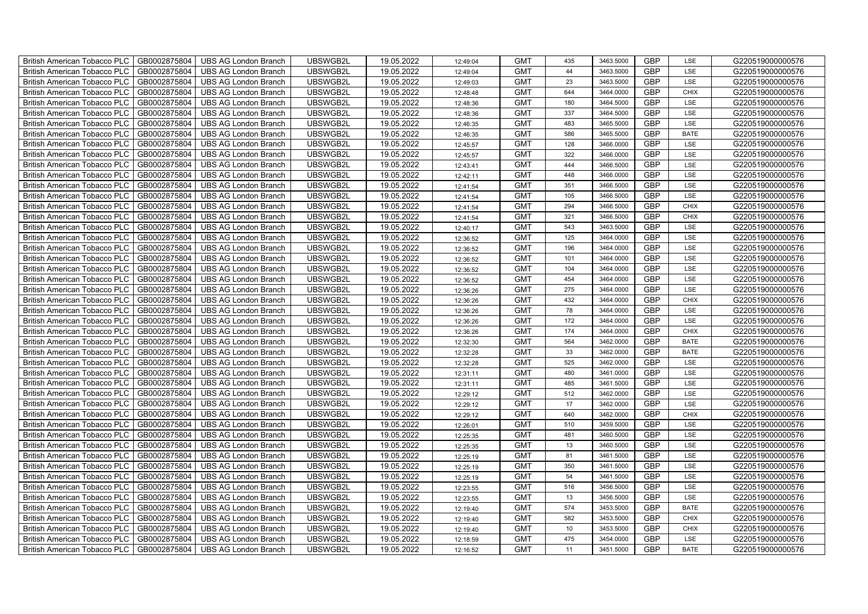| British American Tobacco PLC<br>GB0002875804        | <b>UBS AG London Branch</b> | UBSWGB2L | 19.05.2022 | 12:49:04 | <b>GMT</b> | 435 | 3463.5000 | <b>GBP</b> | LSE         | G220519000000576 |
|-----------------------------------------------------|-----------------------------|----------|------------|----------|------------|-----|-----------|------------|-------------|------------------|
| GB0002875804<br><b>British American Tobacco PLC</b> | <b>UBS AG London Branch</b> | UBSWGB2L | 19.05.2022 | 12:49:04 | <b>GMT</b> | 44  | 3463.5000 | <b>GBP</b> | LSE         | G220519000000576 |
| GB0002875804<br><b>British American Tobacco PLC</b> | <b>UBS AG London Branch</b> | UBSWGB2L | 19.05.2022 | 12:49:03 | <b>GMT</b> | 23  | 3463.5000 | <b>GBP</b> | LSE         | G220519000000576 |
| GB0002875804<br>British American Tobacco PLC        | <b>UBS AG London Branch</b> | UBSWGB2L | 19.05.2022 | 12:48:48 | <b>GMT</b> | 644 | 3464.0000 | <b>GBP</b> | <b>CHIX</b> | G220519000000576 |
| GB0002875804<br>British American Tobacco PLC        | <b>UBS AG London Branch</b> | UBSWGB2L | 19.05.2022 | 12:48:36 | <b>GMT</b> | 180 | 3464.5000 | <b>GBP</b> | LSE         | G220519000000576 |
| GB0002875804<br>British American Tobacco PLC        | <b>UBS AG London Branch</b> | UBSWGB2L | 19.05.2022 | 12:48:36 | <b>GMT</b> | 337 | 3464.5000 | <b>GBP</b> | LSE         | G220519000000576 |
| GB0002875804<br><b>British American Tobacco PLC</b> | <b>UBS AG London Branch</b> | UBSWGB2L | 19.05.2022 | 12:46:35 | <b>GMT</b> | 483 | 3465.5000 | <b>GBP</b> | LSE         | G220519000000576 |
| British American Tobacco PLC<br>GB0002875804        | <b>UBS AG London Branch</b> | UBSWGB2L | 19.05.2022 | 12:46:35 | <b>GMT</b> | 586 | 3465.5000 | <b>GBP</b> | <b>BATE</b> | G220519000000576 |
| GB0002875804<br>British American Tobacco PLC        | <b>UBS AG London Branch</b> | UBSWGB2L | 19.05.2022 | 12:45:57 | <b>GMT</b> | 128 | 3466.0000 | <b>GBP</b> | LSE         | G220519000000576 |
| GB0002875804<br>British American Tobacco PLC        | <b>UBS AG London Branch</b> | UBSWGB2L | 19.05.2022 | 12:45:57 | <b>GMT</b> | 322 | 3466.0000 | <b>GBP</b> | LSE         | G220519000000576 |
| <b>British American Tobacco PLC</b><br>GB0002875804 | <b>UBS AG London Branch</b> | UBSWGB2L | 19.05.2022 | 12:43:41 | <b>GMT</b> | 444 | 3466.5000 | <b>GBP</b> | LSE         | G220519000000576 |
| GB0002875804<br><b>British American Tobacco PLC</b> | <b>UBS AG London Branch</b> | UBSWGB2L | 19.05.2022 | 12:42:11 | <b>GMT</b> | 448 | 3466.0000 | <b>GBP</b> | LSE         | G220519000000576 |
| GB0002875804<br>British American Tobacco PLC        | <b>UBS AG London Branch</b> | UBSWGB2L | 19.05.2022 | 12:41:54 | <b>GMT</b> | 351 | 3466.5000 | <b>GBP</b> | LSE         | G220519000000576 |
| GB0002875804<br>British American Tobacco PLC        | <b>UBS AG London Branch</b> | UBSWGB2L | 19.05.2022 | 12:41:54 | <b>GMT</b> | 105 | 3466.5000 | <b>GBP</b> | LSE         | G220519000000576 |
| GB0002875804<br>British American Tobacco PLC        | <b>UBS AG London Branch</b> | UBSWGB2L | 19.05.2022 | 12:41:54 | <b>GMT</b> | 294 | 3466.5000 | <b>GBP</b> | <b>CHIX</b> | G220519000000576 |
| GB0002875804<br>British American Tobacco PLC        | <b>UBS AG London Branch</b> | UBSWGB2L | 19.05.2022 | 12:41:54 | <b>GMT</b> | 321 | 3466.5000 | GBP        | <b>CHIX</b> | G220519000000576 |
| British American Tobacco PLC<br>GB0002875804        | <b>UBS AG London Branch</b> | UBSWGB2L | 19.05.2022 | 12:40:17 | <b>GMT</b> | 543 | 3463.5000 | <b>GBP</b> | LSE         | G220519000000576 |
| GB0002875804<br>British American Tobacco PLC        | <b>UBS AG London Branch</b> | UBSWGB2L | 19.05.2022 | 12:36:52 | <b>GMT</b> | 125 | 3464.0000 | <b>GBP</b> | LSE         | G220519000000576 |
| GB0002875804<br>British American Tobacco PLC        | <b>UBS AG London Branch</b> | UBSWGB2L | 19.05.2022 | 12:36:52 | <b>GMT</b> | 196 | 3464.0000 | <b>GBP</b> | LSE         | G220519000000576 |
| <b>British American Tobacco PLC</b><br>GB0002875804 | <b>UBS AG London Branch</b> | UBSWGB2L | 19.05.2022 | 12:36:52 | <b>GMT</b> | 101 | 3464.0000 | GBP        | LSE         | G220519000000576 |
| GB0002875804<br><b>British American Tobacco PLC</b> | <b>UBS AG London Branch</b> | UBSWGB2L | 19.05.2022 | 12:36:52 | <b>GMT</b> | 104 | 3464.0000 | <b>GBP</b> | LSE         | G220519000000576 |
| GB0002875804<br>British American Tobacco PLC        | <b>UBS AG London Branch</b> | UBSWGB2L | 19.05.2022 | 12:36:52 | <b>GMT</b> | 454 | 3464.0000 | GBP        | LSE         | G220519000000576 |
| GB0002875804<br>British American Tobacco PLC        | <b>UBS AG London Branch</b> | UBSWGB2L | 19.05.2022 | 12:36:26 | <b>GMT</b> | 275 | 3464.0000 | GBP        | LSE         | G220519000000576 |
| GB0002875804<br>British American Tobacco PLC        | <b>UBS AG London Branch</b> | UBSWGB2L | 19.05.2022 | 12:36:26 | <b>GMT</b> | 432 | 3464.0000 | GBP        | <b>CHIX</b> | G220519000000576 |
| British American Tobacco PLC<br>GB0002875804        | <b>UBS AG London Branch</b> | UBSWGB2L | 19.05.2022 | 12:36:26 | <b>GMT</b> | 78  | 3464.0000 | <b>GBP</b> | LSE         | G220519000000576 |
| GB0002875804<br>British American Tobacco PLC        | <b>UBS AG London Branch</b> | UBSWGB2L | 19.05.2022 | 12:36:26 | <b>GMT</b> | 172 | 3464.0000 | <b>GBP</b> | LSE         | G220519000000576 |
| GB0002875804<br>British American Tobacco PLC        | <b>UBS AG London Branch</b> | UBSWGB2L | 19.05.2022 | 12:36:26 | <b>GMT</b> | 174 | 3464.0000 | <b>GBP</b> | CHIX        | G220519000000576 |
| GB0002875804<br>British American Tobacco PLC        | <b>UBS AG London Branch</b> | UBSWGB2L | 19.05.2022 | 12:32:30 | <b>GMT</b> | 564 | 3462.0000 | <b>GBP</b> | <b>BATE</b> | G220519000000576 |
| <b>British American Tobacco PLC</b><br>GB0002875804 | <b>UBS AG London Branch</b> | UBSWGB2L | 19.05.2022 | 12:32:28 | <b>GMT</b> | 33  | 3462.0000 | <b>GBP</b> | <b>BATE</b> | G220519000000576 |
| GB0002875804<br><b>British American Tobacco PLC</b> | <b>UBS AG London Branch</b> | UBSWGB2L | 19.05.2022 | 12:32:28 | <b>GMT</b> | 525 | 3462.0000 | <b>GBP</b> | LSE         | G220519000000576 |
| GB0002875804<br>British American Tobacco PLC        | <b>UBS AG London Branch</b> | UBSWGB2L | 19.05.2022 | 12:31:11 | <b>GMT</b> | 480 | 3461.0000 | GBP        | LSE         | G220519000000576 |
| GB0002875804<br>British American Tobacco PLC        | <b>UBS AG London Branch</b> | UBSWGB2L | 19.05.2022 | 12:31:11 | <b>GMT</b> | 485 | 3461.5000 | GBP        | LSE         | G220519000000576 |
| British American Tobacco PLC<br>GB0002875804        | <b>UBS AG London Branch</b> | UBSWGB2L | 19.05.2022 | 12:29:12 | <b>GMT</b> | 512 | 3462.0000 | GBP        | LSE         | G220519000000576 |
| British American Tobacco PLC<br>GB0002875804        | <b>UBS AG London Branch</b> | UBSWGB2L | 19.05.2022 | 12:29:12 | <b>GMT</b> | 17  | 3462.0000 | <b>GBP</b> | LSE         | G220519000000576 |
| GB0002875804<br>British American Tobacco PLC        | <b>UBS AG London Branch</b> | UBSWGB2L | 19.05.2022 | 12:29:12 | <b>GMT</b> | 640 | 3462.0000 | <b>GBP</b> | <b>CHIX</b> | G220519000000576 |
| GB0002875804<br>British American Tobacco PLC        | <b>UBS AG London Branch</b> | UBSWGB2L | 19.05.2022 | 12:26:01 | <b>GMT</b> | 510 | 3459.5000 | GBP        | LSE         | G220519000000576 |
| GB0002875804<br>British American Tobacco PLC        | <b>UBS AG London Branch</b> | UBSWGB2L | 19.05.2022 | 12:25:35 | <b>GMT</b> | 481 | 3460.5000 | GBP        | LSE         | G220519000000576 |
| <b>British American Tobacco PLC</b><br>GB0002875804 | <b>UBS AG London Branch</b> | UBSWGB2L | 19.05.2022 | 12:25:35 | <b>GMT</b> | 13  | 3460.5000 | <b>GBP</b> | LSE         | G220519000000576 |
| GB0002875804<br>British American Tobacco PLC        | <b>UBS AG London Branch</b> | UBSWGB2L | 19.05.2022 | 12:25:19 | <b>GMT</b> | 81  | 3461.5000 | <b>GBP</b> | LSE         | G220519000000576 |
| GB0002875804<br><b>British American Tobacco PLC</b> | <b>UBS AG London Branch</b> | UBSWGB2L | 19.05.2022 | 12:25:19 | <b>GMT</b> | 350 | 3461.5000 | GBP        | LSE         | G220519000000576 |
| British American Tobacco PLC<br>GB0002875804        | <b>UBS AG London Branch</b> | UBSWGB2L | 19.05.2022 | 12:25:19 | <b>GMT</b> | 54  | 3461.5000 | GBP        | LSE         | G220519000000576 |
| British American Tobacco PLC<br>GB0002875804        | <b>UBS AG London Branch</b> | UBSWGB2L | 19.05.2022 | 12:23:55 | <b>GMT</b> | 516 | 3456.5000 | GBP        | LSE         | G220519000000576 |
| British American Tobacco PLC<br>GB0002875804        | <b>UBS AG London Branch</b> | UBSWGB2L | 19.05.2022 | 12:23:55 | <b>GMT</b> | 13  | 3456.5000 | <b>GBP</b> | LSE         | G220519000000576 |
| GB0002875804<br><b>British American Tobacco PLC</b> | <b>UBS AG London Branch</b> | UBSWGB2L | 19.05.2022 | 12:19:40 | <b>GMT</b> | 574 | 3453.5000 | <b>GBP</b> | <b>BATE</b> | G220519000000576 |
| GB0002875804<br><b>British American Tobacco PLC</b> | <b>UBS AG London Branch</b> | UBSWGB2L | 19.05.2022 | 12:19:40 | <b>GMT</b> | 582 | 3453.5000 | <b>GBP</b> | <b>CHIX</b> | G220519000000576 |
| GB0002875804<br><b>British American Tobacco PLC</b> | <b>UBS AG London Branch</b> | UBSWGB2L | 19.05.2022 | 12:19:40 | <b>GMT</b> | 10  | 3453.5000 | GBP        | <b>CHIX</b> | G220519000000576 |
| <b>British American Tobacco PLC</b><br>GB0002875804 | <b>UBS AG London Branch</b> | UBSWGB2L | 19.05.2022 | 12:18:59 | <b>GMT</b> | 475 | 3454.0000 | <b>GBP</b> | LSE         | G220519000000576 |
| GB0002875804<br>British American Tobacco PLC        | <b>UBS AG London Branch</b> | UBSWGB2L | 19.05.2022 | 12:16:52 | <b>GMT</b> | 11  | 3451.5000 | <b>GBP</b> | <b>BATE</b> | G220519000000576 |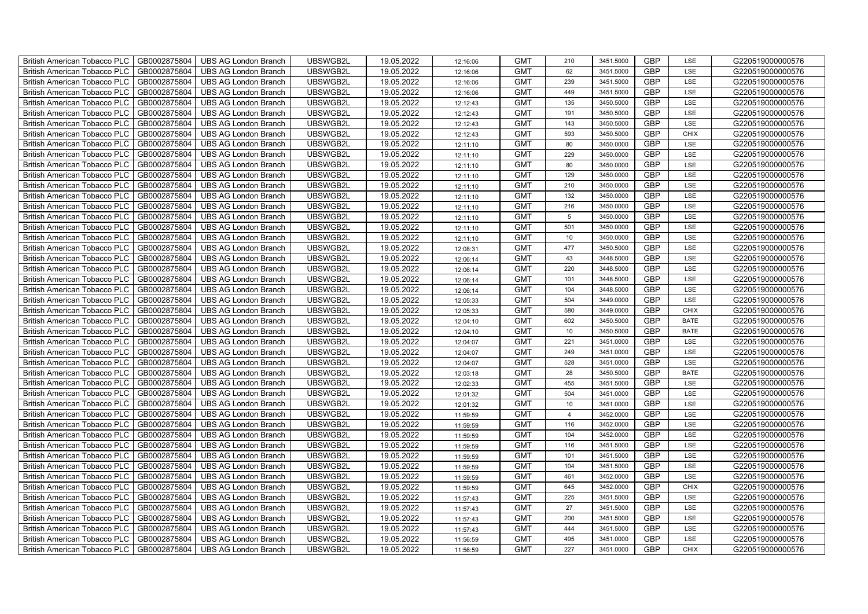| British American Tobacco PLC   GB0002875804 |              | <b>UBS AG London Branch</b> | UBSWGB2L | 19.05.2022 | 12:16:06 | <b>GMT</b> | 210            | 3451.5000 | <b>GBP</b> | LSE         | G220519000000576 |
|---------------------------------------------|--------------|-----------------------------|----------|------------|----------|------------|----------------|-----------|------------|-------------|------------------|
| <b>British American Tobacco PLC</b>         | GB0002875804 | <b>UBS AG London Branch</b> | UBSWGB2L | 19.05.2022 | 12:16:06 | <b>GMT</b> | 62             | 3451.5000 | <b>GBP</b> | LSE         | G220519000000576 |
| <b>British American Tobacco PLC</b>         | GB0002875804 | UBS AG London Branch        | UBSWGB2L | 19.05.2022 | 12:16:06 | <b>GMT</b> | 239            | 3451.5000 | <b>GBP</b> | LSE         | G220519000000576 |
| <b>British American Tobacco PLC</b>         | GB0002875804 | <b>UBS AG London Branch</b> | UBSWGB2L | 19.05.2022 | 12:16:06 | <b>GMT</b> | 449            | 3451.5000 | <b>GBP</b> | LSE         | G220519000000576 |
| <b>British American Tobacco PLC</b>         | GB0002875804 | UBS AG London Branch        | UBSWGB2L | 19.05.2022 | 12:12:43 | <b>GMT</b> | 135            | 3450.5000 | <b>GBP</b> | LSE         | G220519000000576 |
| <b>British American Tobacco PLC</b>         | GB0002875804 | <b>UBS AG London Branch</b> | UBSWGB2L | 19.05.2022 | 12:12:43 | <b>GMT</b> | 191            | 3450.5000 | <b>GBP</b> | LSE         | G220519000000576 |
| <b>British American Tobacco PLC</b>         | GB0002875804 | <b>UBS AG London Branch</b> | UBSWGB2L | 19.05.2022 | 12:12:43 | <b>GMT</b> | 143            | 3450.5000 | <b>GBP</b> | LSE         | G220519000000576 |
| <b>British American Tobacco PLC</b>         | GB0002875804 | UBS AG London Branch        | UBSWGB2L | 19.05.2022 | 12:12:43 | <b>GMT</b> | 593            | 3450.5000 | <b>GBP</b> | <b>CHIX</b> | G220519000000576 |
| <b>British American Tobacco PLC</b>         | GB0002875804 | <b>UBS AG London Branch</b> | UBSWGB2L | 19.05.2022 | 12:11:10 | <b>GMT</b> | 80             | 3450.0000 | <b>GBP</b> | LSE         | G220519000000576 |
| <b>British American Tobacco PLC</b>         | GB0002875804 | <b>UBS AG London Branch</b> | UBSWGB2L | 19.05.2022 | 12:11:10 | <b>GMT</b> | 229            | 3450.0000 | <b>GBP</b> | LSE         | G220519000000576 |
| British American Tobacco PLC                | GB0002875804 | <b>UBS AG London Branch</b> | UBSWGB2L | 19.05.2022 | 12:11:10 | <b>GMT</b> | 80             | 3450.0000 | <b>GBP</b> | LSE         | G220519000000576 |
| British American Tobacco PLC                | GB0002875804 | UBS AG London Branch        | UBSWGB2L | 19.05.2022 | 12:11:10 | <b>GMT</b> | 129            | 3450.0000 | <b>GBP</b> | LSE         | G220519000000576 |
| British American Tobacco PLC                | GB0002875804 | <b>UBS AG London Branch</b> | UBSWGB2L | 19.05.2022 | 12:11:10 | <b>GMT</b> | 210            | 3450.0000 | <b>GBP</b> | LSE         | G220519000000576 |
| British American Tobacco PLC                | GB0002875804 | <b>UBS AG London Branch</b> | UBSWGB2L | 19.05.2022 | 12:11:10 | <b>GMT</b> | 132            | 3450.0000 | <b>GBP</b> | LSE         | G220519000000576 |
| British American Tobacco PLC                | GB0002875804 | <b>UBS AG London Branch</b> | UBSWGB2L | 19.05.2022 | 12:11:10 | <b>GMT</b> | 216            | 3450.0000 | <b>GBP</b> | LSE         | G220519000000576 |
| British American Tobacco PLC                | GB0002875804 | <b>UBS AG London Branch</b> | UBSWGB2L | 19.05.2022 | 12:11:10 | <b>GMT</b> | 5              | 3450.0000 | <b>GBP</b> | LSE         | G220519000000576 |
| British American Tobacco PLC                | GB0002875804 | <b>UBS AG London Branch</b> | UBSWGB2L | 19.05.2022 | 12:11:10 | <b>GMT</b> | 501            | 3450.0000 | <b>GBP</b> | LSE         | G220519000000576 |
| British American Tobacco PLC                | GB0002875804 | <b>UBS AG London Branch</b> | UBSWGB2L | 19.05.2022 | 12:11:10 | <b>GMT</b> | 10             | 3450.0000 | <b>GBP</b> | LSE         | G220519000000576 |
| British American Tobacco PLC                | GB0002875804 | <b>UBS AG London Branch</b> | UBSWGB2L | 19.05.2022 | 12:08:31 | <b>GMT</b> | 477            | 3450.5000 | <b>GBP</b> | LSE         | G220519000000576 |
| <b>British American Tobacco PLC</b>         | GB0002875804 | <b>UBS AG London Branch</b> | UBSWGB2L | 19.05.2022 | 12:06:14 | <b>GMT</b> | 43             | 3448.5000 | <b>GBP</b> | LSE         | G220519000000576 |
| British American Tobacco PLC                | GB0002875804 | UBS AG London Branch        | UBSWGB2L | 19.05.2022 | 12:06:14 | <b>GMT</b> | 220            | 3448.5000 | <b>GBP</b> | <b>LSE</b>  | G220519000000576 |
| British American Tobacco PLC                | GB0002875804 | UBS AG London Branch        | UBSWGB2L | 19.05.2022 | 12:06:14 | <b>GMT</b> | 101            | 3448.5000 | GBP        | LSE         | G220519000000576 |
| British American Tobacco PLC                | GB0002875804 | <b>UBS AG London Branch</b> | UBSWGB2L | 19.05.2022 | 12:06:14 | <b>GMT</b> | 104            | 3448.5000 | <b>GBP</b> | LSE         | G220519000000576 |
| British American Tobacco PLC                | GB0002875804 | <b>UBS AG London Branch</b> | UBSWGB2L | 19.05.2022 | 12:05:33 | <b>GMT</b> | 504            | 3449.0000 | GBP        | LSE         | G220519000000576 |
| British American Tobacco PLC                | GB0002875804 | <b>UBS AG London Branch</b> | UBSWGB2L | 19.05.2022 | 12:05:33 | <b>GMT</b> | 580            | 3449.0000 | <b>GBP</b> | <b>CHIX</b> | G220519000000576 |
| British American Tobacco PLC                | GB0002875804 | <b>UBS AG London Branch</b> | UBSWGB2L | 19.05.2022 | 12:04:10 | <b>GMT</b> | 602            | 3450.5000 | <b>GBP</b> | <b>BATE</b> | G220519000000576 |
| British American Tobacco PLC                | GB0002875804 | <b>UBS AG London Branch</b> | UBSWGB2L | 19.05.2022 | 12:04:10 | <b>GMT</b> | $10$           | 3450.5000 | <b>GBP</b> | <b>BATE</b> | G220519000000576 |
| British American Tobacco PLC                | GB0002875804 | <b>UBS AG London Branch</b> | UBSWGB2L | 19.05.2022 | 12:04:07 | <b>GMT</b> | 221            | 3451.0000 | <b>GBP</b> | LSE         | G220519000000576 |
| <b>British American Tobacco PLC</b>         | GB0002875804 | <b>UBS AG London Branch</b> | UBSWGB2L | 19.05.2022 | 12:04:07 | <b>GMT</b> | 249            | 3451.0000 | <b>GBP</b> | LSE         | G220519000000576 |
| British American Tobacco PLC                | GB0002875804 | UBS AG London Branch        | UBSWGB2L | 19.05.2022 | 12:04:07 | <b>GMT</b> | 528            | 3451.0000 | <b>GBP</b> | LSE         | G220519000000576 |
| British American Tobacco PLC                | GB0002875804 | <b>UBS AG London Branch</b> | UBSWGB2L | 19.05.2022 | 12:03:18 | <b>GMT</b> | 28             | 3450.5000 | GBP        | <b>BATE</b> | G220519000000576 |
| British American Tobacco PLC                | GB0002875804 | <b>UBS AG London Branch</b> | UBSWGB2L | 19.05.2022 | 12:02:33 | <b>GMT</b> | 455            | 3451.5000 | <b>GBP</b> | LSE         | G220519000000576 |
| British American Tobacco PLC                | GB0002875804 | UBS AG London Branch        | UBSWGB2L | 19.05.2022 | 12:01:32 | <b>GMT</b> | 504            | 3451.0000 | GBP        | LSE         | G220519000000576 |
| British American Tobacco PLC                | GB0002875804 | UBS AG London Branch        | UBSWGB2L | 19.05.2022 | 12:01:32 | <b>GMT</b> | 10             | 3451.0000 | <b>GBP</b> | LSE         | G220519000000576 |
| British American Tobacco PLC                | GB0002875804 | UBS AG London Branch        | UBSWGB2L | 19.05.2022 | 11:59:59 | <b>GMT</b> | $\overline{4}$ | 3452.0000 | <b>GBP</b> | LSE         | G220519000000576 |
| British American Tobacco PLC                | GB0002875804 | <b>UBS AG London Branch</b> | UBSWGB2L | 19.05.2022 | 11:59:59 | <b>GMT</b> | 116            | 3452.0000 | <b>GBP</b> | LSE         | G220519000000576 |
| British American Tobacco PLC                | GB0002875804 | <b>UBS AG London Branch</b> | UBSWGB2L | 19.05.2022 | 11:59:59 | <b>GMT</b> | 104            | 3452.0000 | <b>GBP</b> | LSE         | G220519000000576 |
| <b>British American Tobacco PLC</b>         | GB0002875804 | <b>UBS AG London Branch</b> | UBSWGB2L | 19.05.2022 | 11:59:59 | <b>GMT</b> | 116            | 3451.5000 | <b>GBP</b> | LSE         | G220519000000576 |
| British American Tobacco PLC                | GB0002875804 | UBS AG London Branch        | UBSWGB2L | 19.05.2022 | 11:59:59 | <b>GMT</b> | 101            | 3451.5000 | <b>GBP</b> | LSE         | G220519000000576 |
| <b>British American Tobacco PLC</b>         | GB0002875804 | UBS AG London Branch        | UBSWGB2L | 19.05.2022 | 11:59:59 | <b>GMT</b> | 104            | 3451.5000 | <b>GBP</b> | LSE         | G220519000000576 |
| British American Tobacco PLC                | GB0002875804 | UBS AG London Branch        | UBSWGB2L | 19.05.2022 | 11:59:59 | <b>GMT</b> | 461            | 3452.0000 | <b>GBP</b> | LSE         | G220519000000576 |
| British American Tobacco PLC                | GB0002875804 | <b>UBS AG London Branch</b> | UBSWGB2L | 19.05.2022 | 11:59:59 | <b>GMT</b> | 645            | 3452.0000 | GBP        | <b>CHIX</b> | G220519000000576 |
| British American Tobacco PLC                | GB0002875804 | UBS AG London Branch        | UBSWGB2L | 19.05.2022 | 11:57:43 | <b>GMT</b> | 225            | 3451.5000 | <b>GBP</b> | LSE         | G220519000000576 |
| <b>British American Tobacco PLC</b>         | GB0002875804 | UBS AG London Branch        | UBSWGB2L | 19.05.2022 | 11:57:43 | <b>GMT</b> | 27             | 3451.5000 | <b>GBP</b> | LSE         | G220519000000576 |
| <b>British American Tobacco PLC</b>         | GB0002875804 | UBS AG London Branch        | UBSWGB2L | 19.05.2022 | 11:57:43 | <b>GMT</b> | 200            | 3451.5000 | GBP        | LSE         | G220519000000576 |
| <b>British American Tobacco PLC</b>         | GB0002875804 | UBS AG London Branch        | UBSWGB2L | 19.05.2022 | 11:57:43 | <b>GMT</b> | 444            | 3451.5000 | <b>GBP</b> | LSE         | G220519000000576 |
| <b>British American Tobacco PLC</b>         | GB0002875804 | <b>UBS AG London Branch</b> | UBSWGB2L | 19.05.2022 | 11:56:59 | <b>GMT</b> | 495            | 3451.0000 | <b>GBP</b> | LSE         | G220519000000576 |
| British American Tobacco PLC                | GB0002875804 | <b>UBS AG London Branch</b> | UBSWGB2L | 19.05.2022 | 11:56:59 | <b>GMT</b> | 227            | 3451.0000 | <b>GBP</b> | <b>CHIX</b> | G220519000000576 |
|                                             |              |                             |          |            |          |            |                |           |            |             |                  |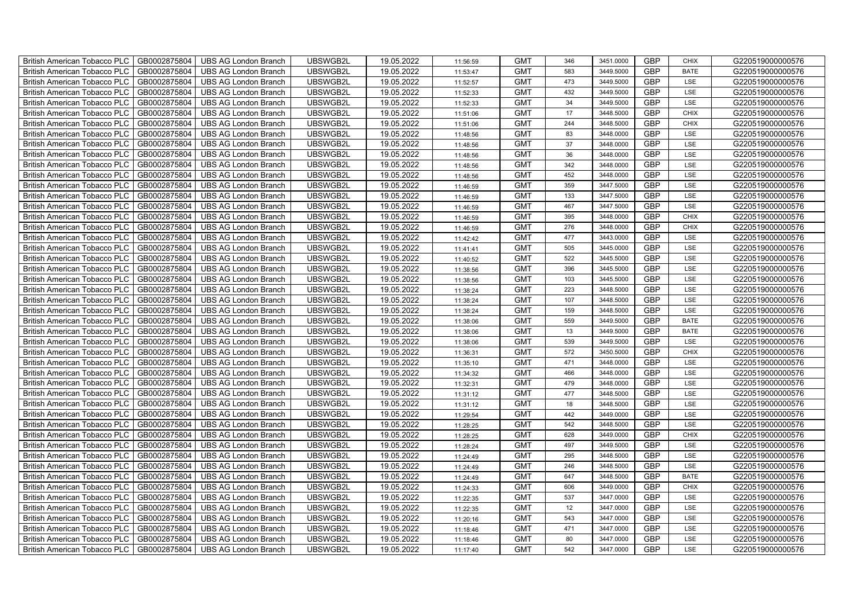| British American Tobacco PLC<br>GB0002875804        | <b>UBS AG London Branch</b> | UBSWGB2L | 19.05.2022 | 11:56:59 | <b>GMT</b> | 346 | 3451.0000 | <b>GBP</b> | <b>CHIX</b> | G220519000000576 |
|-----------------------------------------------------|-----------------------------|----------|------------|----------|------------|-----|-----------|------------|-------------|------------------|
| GB0002875804<br><b>British American Tobacco PLC</b> | <b>UBS AG London Branch</b> | UBSWGB2L | 19.05.2022 | 11:53:47 | <b>GMT</b> | 583 | 3449.5000 | <b>GBP</b> | <b>BATE</b> | G220519000000576 |
| GB0002875804<br><b>British American Tobacco PLC</b> | <b>UBS AG London Branch</b> | UBSWGB2L | 19.05.2022 | 11:52:57 | <b>GMT</b> | 473 | 3449.5000 | <b>GBP</b> | LSE         | G220519000000576 |
| GB0002875804<br>British American Tobacco PLC        | <b>UBS AG London Branch</b> | UBSWGB2L | 19.05.2022 | 11:52:33 | <b>GMT</b> | 432 | 3449.5000 | <b>GBP</b> | LSE         | G220519000000576 |
| GB0002875804<br>British American Tobacco PLC        | <b>UBS AG London Branch</b> | UBSWGB2L | 19.05.2022 | 11:52:33 | <b>GMT</b> | 34  | 3449.5000 | <b>GBP</b> | LSE         | G220519000000576 |
| GB0002875804<br>British American Tobacco PLC        | <b>UBS AG London Branch</b> | UBSWGB2L | 19.05.2022 | 11:51:06 | <b>GMT</b> | 17  | 3448.5000 | <b>GBP</b> | <b>CHIX</b> | G220519000000576 |
| GB0002875804<br><b>British American Tobacco PLC</b> | <b>UBS AG London Branch</b> | UBSWGB2L | 19.05.2022 | 11:51:06 | <b>GMT</b> | 244 | 3448.5000 | <b>GBP</b> | <b>CHIX</b> | G220519000000576 |
| British American Tobacco PLC<br>GB0002875804        | <b>UBS AG London Branch</b> | UBSWGB2L | 19.05.2022 | 11:48:56 | <b>GMT</b> | 83  | 3448.0000 | <b>GBP</b> | LSE         | G220519000000576 |
| GB0002875804<br>British American Tobacco PLC        | <b>UBS AG London Branch</b> | UBSWGB2L | 19.05.2022 | 11:48:56 | <b>GMT</b> | 37  | 3448.0000 | <b>GBP</b> | LSE         | G220519000000576 |
| GB0002875804<br>British American Tobacco PLC        | <b>UBS AG London Branch</b> | UBSWGB2L | 19.05.2022 | 11:48:56 | <b>GMT</b> | 36  | 3448.0000 | <b>GBP</b> | LSE         | G220519000000576 |
| <b>British American Tobacco PLC</b><br>GB0002875804 | <b>UBS AG London Branch</b> | UBSWGB2L | 19.05.2022 | 11:48:56 | <b>GMT</b> | 342 | 3448.0000 | <b>GBP</b> | LSE         | G220519000000576 |
| GB0002875804<br><b>British American Tobacco PLC</b> | <b>UBS AG London Branch</b> | UBSWGB2L | 19.05.2022 | 11:48:56 | <b>GMT</b> | 452 | 3448.0000 | <b>GBP</b> | LSE         | G220519000000576 |
| GB0002875804<br>British American Tobacco PLC        | <b>UBS AG London Branch</b> | UBSWGB2L | 19.05.2022 | 11:46:59 | <b>GMT</b> | 359 | 3447.5000 | <b>GBP</b> | LSE         | G220519000000576 |
| GB0002875804<br>British American Tobacco PLC        | <b>UBS AG London Branch</b> | UBSWGB2L | 19.05.2022 | 11:46:59 | <b>GMT</b> | 133 | 3447.5000 | <b>GBP</b> | LSE         | G220519000000576 |
| GB0002875804<br>British American Tobacco PLC        | <b>UBS AG London Branch</b> | UBSWGB2L | 19.05.2022 | 11:46:59 | <b>GMT</b> | 467 | 3447.5000 | <b>GBP</b> | LSE         | G220519000000576 |
| GB0002875804<br>British American Tobacco PLC        | <b>UBS AG London Branch</b> | UBSWGB2L | 19.05.2022 | 11:46:59 | <b>GMT</b> | 395 | 3448.0000 | <b>GBP</b> | <b>CHIX</b> | G220519000000576 |
| British American Tobacco PLC<br>GB0002875804        | <b>UBS AG London Branch</b> | UBSWGB2L | 19.05.2022 | 11:46:59 | <b>GMT</b> | 276 | 3448.0000 | <b>GBP</b> | <b>CHIX</b> | G220519000000576 |
| GB0002875804<br>British American Tobacco PLC        | <b>UBS AG London Branch</b> | UBSWGB2L | 19.05.2022 | 11:42:42 | <b>GMT</b> | 477 | 3443.0000 | <b>GBP</b> | LSE         | G220519000000576 |
| GB0002875804<br>British American Tobacco PLC        | <b>UBS AG London Branch</b> | UBSWGB2L | 19.05.2022 | 11:41:41 | <b>GMT</b> | 505 | 3445.0000 | <b>GBP</b> | LSE         | G220519000000576 |
| <b>British American Tobacco PLC</b><br>GB0002875804 | <b>UBS AG London Branch</b> | UBSWGB2L | 19.05.2022 | 11:40:52 | <b>GMT</b> | 522 | 3445.5000 | GBP        | LSE         | G220519000000576 |
| GB0002875804<br><b>British American Tobacco PLC</b> | <b>UBS AG London Branch</b> | UBSWGB2L | 19.05.2022 | 11:38:56 | <b>GMT</b> | 396 | 3445.5000 | <b>GBP</b> | LSE         | G220519000000576 |
| GB0002875804<br>British American Tobacco PLC        | <b>UBS AG London Branch</b> | UBSWGB2L | 19.05.2022 | 11:38:56 | <b>GMT</b> | 103 | 3445.5000 | GBP        | LSE         | G220519000000576 |
| GB0002875804<br>British American Tobacco PLC        | <b>UBS AG London Branch</b> | UBSWGB2L | 19.05.2022 | 11:38:24 | <b>GMT</b> | 223 | 3448.5000 | GBP        | LSE         | G220519000000576 |
| GB0002875804<br>British American Tobacco PLC        | <b>UBS AG London Branch</b> | UBSWGB2L | 19.05.2022 | 11:38:24 | <b>GMT</b> | 107 | 3448.5000 | <b>GBP</b> | LSE         | G220519000000576 |
| British American Tobacco PLC<br>GB0002875804        | <b>UBS AG London Branch</b> | UBSWGB2L | 19.05.2022 | 11:38:24 | <b>GMT</b> | 159 | 3448.5000 | <b>GBP</b> | LSE         | G220519000000576 |
| GB0002875804<br>British American Tobacco PLC        | <b>UBS AG London Branch</b> | UBSWGB2L | 19.05.2022 | 11:38:06 | <b>GMT</b> | 559 | 3449.5000 | <b>GBP</b> | <b>BATE</b> | G220519000000576 |
| GB0002875804<br>British American Tobacco PLC        | <b>UBS AG London Branch</b> | UBSWGB2L | 19.05.2022 | 11:38:06 | <b>GMT</b> | 13  | 3449.5000 | GBP        | <b>BATE</b> | G220519000000576 |
| GB0002875804<br>British American Tobacco PLC        | <b>UBS AG London Branch</b> | UBSWGB2L | 19.05.2022 | 11:38:06 | <b>GMT</b> | 539 | 3449.5000 | <b>GBP</b> | LSE         | G220519000000576 |
| <b>British American Tobacco PLC</b><br>GB0002875804 | <b>UBS AG London Branch</b> | UBSWGB2L | 19.05.2022 | 11:36:31 | <b>GMT</b> | 572 | 3450.5000 | <b>GBP</b> | CHIX        | G220519000000576 |
| GB0002875804<br><b>British American Tobacco PLC</b> | <b>UBS AG London Branch</b> | UBSWGB2L | 19.05.2022 | 11:35:10 | <b>GMT</b> | 471 | 3448.0000 | <b>GBP</b> | LSE         | G220519000000576 |
| GB0002875804<br>British American Tobacco PLC        | <b>UBS AG London Branch</b> | UBSWGB2L | 19.05.2022 | 11:34:32 | <b>GMT</b> | 466 | 3448.0000 | GBP        | LSE         | G220519000000576 |
| GB0002875804<br>British American Tobacco PLC        | <b>UBS AG London Branch</b> | UBSWGB2L | 19.05.2022 | 11:32:31 | <b>GMT</b> | 479 | 3448.0000 | GBP        | LSE         | G220519000000576 |
| British American Tobacco PLC<br>GB0002875804        | <b>UBS AG London Branch</b> | UBSWGB2L | 19.05.2022 | 11:31:12 | <b>GMT</b> | 477 | 3448.5000 | <b>GBP</b> | LSE         | G220519000000576 |
| British American Tobacco PLC<br>GB0002875804        | <b>UBS AG London Branch</b> | UBSWGB2L | 19.05.2022 | 11:31:12 | <b>GMT</b> | 18  | 3448.5000 | <b>GBP</b> | LSE         | G220519000000576 |
| GB0002875804<br>British American Tobacco PLC        | <b>UBS AG London Branch</b> | UBSWGB2L | 19.05.2022 | 11:29:54 | <b>GMT</b> | 442 | 3449.0000 | <b>GBP</b> | LSE         | G220519000000576 |
| GB0002875804<br>British American Tobacco PLC        | <b>UBS AG London Branch</b> | UBSWGB2L | 19.05.2022 | 11:28:25 | <b>GMT</b> | 542 | 3448.5000 | GBP        | LSE         | G220519000000576 |
| GB0002875804<br>British American Tobacco PLC        | <b>UBS AG London Branch</b> | UBSWGB2L | 19.05.2022 | 11:28:25 | <b>GMT</b> | 628 | 3449.0000 | <b>GBP</b> | <b>CHIX</b> | G220519000000576 |
| <b>British American Tobacco PLC</b><br>GB0002875804 | <b>UBS AG London Branch</b> | UBSWGB2L | 19.05.2022 | 11:28:24 | <b>GMT</b> | 497 | 3449.5000 | <b>GBP</b> | LSE         | G220519000000576 |
| GB0002875804<br>British American Tobacco PLC        | <b>UBS AG London Branch</b> | UBSWGB2L | 19.05.2022 | 11:24:49 | <b>GMT</b> | 295 | 3448.5000 | <b>GBP</b> | LSE         | G220519000000576 |
| GB0002875804<br><b>British American Tobacco PLC</b> | <b>UBS AG London Branch</b> | UBSWGB2L | 19.05.2022 | 11:24:49 | <b>GMT</b> | 246 | 3448.5000 | <b>GBP</b> | LSE         | G220519000000576 |
| British American Tobacco PLC<br>GB0002875804        | <b>UBS AG London Branch</b> | UBSWGB2L | 19.05.2022 | 11:24:49 | <b>GMT</b> | 647 | 3448.5000 | GBP        | <b>BATE</b> | G220519000000576 |
| British American Tobacco PLC<br>GB0002875804        | <b>UBS AG London Branch</b> | UBSWGB2L | 19.05.2022 | 11:24:33 | <b>GMT</b> | 606 | 3449.0000 | <b>GBP</b> | <b>CHIX</b> | G220519000000576 |
| British American Tobacco PLC<br>GB0002875804        | <b>UBS AG London Branch</b> | UBSWGB2L | 19.05.2022 | 11:22:35 | <b>GMT</b> | 537 | 3447.0000 | <b>GBP</b> | LSE         | G220519000000576 |
| GB0002875804<br><b>British American Tobacco PLC</b> | <b>UBS AG London Branch</b> | UBSWGB2L | 19.05.2022 | 11:22:35 | <b>GMT</b> | 12  | 3447.0000 | <b>GBP</b> | LSE         | G220519000000576 |
| GB0002875804<br><b>British American Tobacco PLC</b> | <b>UBS AG London Branch</b> | UBSWGB2L | 19.05.2022 | 11:20:16 | <b>GMT</b> | 543 | 3447.0000 | GBP        | LSE         | G220519000000576 |
| GB0002875804<br><b>British American Tobacco PLC</b> | <b>UBS AG London Branch</b> | UBSWGB2L | 19.05.2022 | 11:18:46 | <b>GMT</b> | 471 | 3447.0000 | <b>GBP</b> | LSE         | G220519000000576 |
| <b>British American Tobacco PLC</b><br>GB0002875804 | <b>UBS AG London Branch</b> | UBSWGB2L | 19.05.2022 | 11:18:46 | <b>GMT</b> | 80  | 3447.0000 | <b>GBP</b> | LSE         | G220519000000576 |
| GB0002875804<br>British American Tobacco PLC        | <b>UBS AG London Branch</b> | UBSWGB2L | 19.05.2022 | 11:17:40 | <b>GMT</b> | 542 | 3447.0000 | <b>GBP</b> | LSE         | G220519000000576 |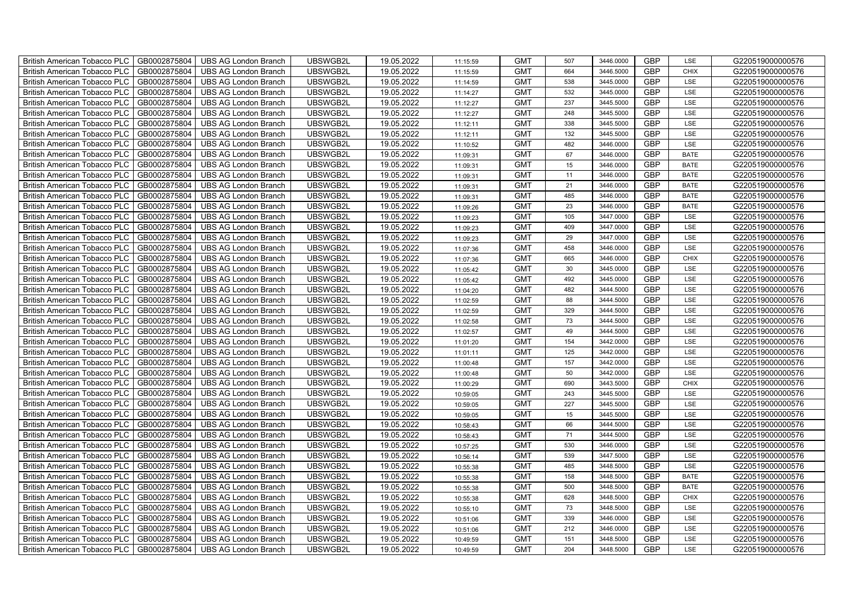| British American Tobacco PLC<br>GB0002875804        | <b>UBS AG London Branch</b> | UBSWGB2L | 19.05.2022 | 11:15:59 | <b>GMT</b> | 507 | 3446.0000 | <b>GBP</b> | LSE         | G220519000000576 |
|-----------------------------------------------------|-----------------------------|----------|------------|----------|------------|-----|-----------|------------|-------------|------------------|
| GB0002875804<br><b>British American Tobacco PLC</b> | <b>UBS AG London Branch</b> | UBSWGB2L | 19.05.2022 | 11:15:59 | <b>GMT</b> | 664 | 3446.5000 | <b>GBP</b> | <b>CHIX</b> | G220519000000576 |
| GB0002875804<br><b>British American Tobacco PLC</b> | <b>UBS AG London Branch</b> | UBSWGB2L | 19.05.2022 | 11:14:59 | <b>GMT</b> | 538 | 3445.0000 | <b>GBP</b> | LSE         | G220519000000576 |
| GB0002875804<br>British American Tobacco PLC        | <b>UBS AG London Branch</b> | UBSWGB2L | 19.05.2022 | 11:14:27 | <b>GMT</b> | 532 | 3445.0000 | <b>GBP</b> | LSE         | G220519000000576 |
| GB0002875804<br>British American Tobacco PLC        | <b>UBS AG London Branch</b> | UBSWGB2L | 19.05.2022 | 11:12:27 | <b>GMT</b> | 237 | 3445.5000 | <b>GBP</b> | LSE         | G220519000000576 |
| GB0002875804<br>British American Tobacco PLC        | <b>UBS AG London Branch</b> | UBSWGB2L | 19.05.2022 | 11:12:27 | <b>GMT</b> | 248 | 3445.5000 | <b>GBP</b> | LSE         | G220519000000576 |
| GB0002875804<br><b>British American Tobacco PLC</b> | <b>UBS AG London Branch</b> | UBSWGB2L | 19.05.2022 | 11:12:11 | <b>GMT</b> | 338 | 3445.5000 | <b>GBP</b> | LSE         | G220519000000576 |
| British American Tobacco PLC<br>GB0002875804        | <b>UBS AG London Branch</b> | UBSWGB2L | 19.05.2022 | 11:12:11 | <b>GMT</b> | 132 | 3445.5000 | <b>GBP</b> | LSE         | G220519000000576 |
| GB0002875804<br>British American Tobacco PLC        | <b>UBS AG London Branch</b> | UBSWGB2L | 19.05.2022 | 11:10:52 | <b>GMT</b> | 482 | 3446.0000 | <b>GBP</b> | LSE         | G220519000000576 |
| GB0002875804<br>British American Tobacco PLC        | <b>UBS AG London Branch</b> | UBSWGB2L | 19.05.2022 | 11:09:31 | <b>GMT</b> | 67  | 3446.0000 | <b>GBP</b> | <b>BATE</b> | G220519000000576 |
| <b>British American Tobacco PLC</b><br>GB0002875804 | <b>UBS AG London Branch</b> | UBSWGB2L | 19.05.2022 | 11:09:31 | <b>GMT</b> | 15  | 3446.0000 | <b>GBP</b> | <b>BATE</b> | G220519000000576 |
| GB0002875804<br><b>British American Tobacco PLC</b> | <b>UBS AG London Branch</b> | UBSWGB2L | 19.05.2022 | 11:09:31 | <b>GMT</b> | 11  | 3446.0000 | <b>GBP</b> | <b>BATE</b> | G220519000000576 |
| GB0002875804<br>British American Tobacco PLC        | <b>UBS AG London Branch</b> | UBSWGB2L | 19.05.2022 | 11:09:31 | <b>GMT</b> | 21  | 3446.0000 | <b>GBP</b> | <b>BATE</b> | G220519000000576 |
| GB0002875804<br>British American Tobacco PLC        | <b>UBS AG London Branch</b> | UBSWGB2L | 19.05.2022 | 11:09:31 | <b>GMT</b> | 485 | 3446.0000 | <b>GBP</b> | <b>BATE</b> | G220519000000576 |
| GB0002875804<br>British American Tobacco PLC        | <b>UBS AG London Branch</b> | UBSWGB2L | 19.05.2022 | 11:09:26 | <b>GMT</b> | 23  | 3446.0000 | <b>GBP</b> | <b>BATE</b> | G220519000000576 |
| GB0002875804<br>British American Tobacco PLC        | <b>UBS AG London Branch</b> | UBSWGB2L | 19.05.2022 | 11:09:23 | <b>GMT</b> | 105 | 3447.0000 | <b>GBP</b> | LSE         | G220519000000576 |
| British American Tobacco PLC<br>GB0002875804        | <b>UBS AG London Branch</b> | UBSWGB2L | 19.05.2022 | 11:09:23 | <b>GMT</b> | 409 | 3447.0000 | <b>GBP</b> | LSE         | G220519000000576 |
| GB0002875804<br>British American Tobacco PLC        | <b>UBS AG London Branch</b> | UBSWGB2L | 19.05.2022 | 11:09:23 | <b>GMT</b> | 29  | 3447.0000 | <b>GBP</b> | LSE         | G220519000000576 |
| GB0002875804<br>British American Tobacco PLC        | <b>UBS AG London Branch</b> | UBSWGB2L | 19.05.2022 | 11:07:36 | <b>GMT</b> | 458 | 3446.0000 | <b>GBP</b> | LSE         | G220519000000576 |
| <b>British American Tobacco PLC</b><br>GB0002875804 | <b>UBS AG London Branch</b> | UBSWGB2L | 19.05.2022 | 11:07:36 | <b>GMT</b> | 665 | 3446.0000 | GBP        | CHIX        | G220519000000576 |
| GB0002875804<br><b>British American Tobacco PLC</b> | <b>UBS AG London Branch</b> | UBSWGB2L | 19.05.2022 | 11:05:42 | <b>GMT</b> | 30  | 3445.0000 | <b>GBP</b> | LSE         | G220519000000576 |
| GB0002875804<br>British American Tobacco PLC        | <b>UBS AG London Branch</b> | UBSWGB2L | 19.05.2022 | 11:05:42 | <b>GMT</b> | 492 | 3445.0000 | GBP        | LSE         | G220519000000576 |
| GB0002875804<br>British American Tobacco PLC        | <b>UBS AG London Branch</b> | UBSWGB2L | 19.05.2022 | 11:04:20 | <b>GMT</b> | 482 | 3444.5000 | GBP        | LSE         | G220519000000576 |
| GB0002875804<br>British American Tobacco PLC        | <b>UBS AG London Branch</b> | UBSWGB2L | 19.05.2022 | 11:02:59 | <b>GMT</b> | 88  | 3444.5000 | <b>GBP</b> | LSE         | G220519000000576 |
| British American Tobacco PLC<br>GB0002875804        | <b>UBS AG London Branch</b> | UBSWGB2L | 19.05.2022 | 11:02:59 | <b>GMT</b> | 329 | 3444.5000 | <b>GBP</b> | LSE         | G220519000000576 |
| GB0002875804<br>British American Tobacco PLC        | <b>UBS AG London Branch</b> | UBSWGB2L | 19.05.2022 | 11:02:58 | <b>GMT</b> | 73  | 3444.5000 | <b>GBP</b> | LSE         | G220519000000576 |
| GB0002875804<br>British American Tobacco PLC        | <b>UBS AG London Branch</b> | UBSWGB2L | 19.05.2022 | 11:02:57 | <b>GMT</b> | 49  | 3444.5000 | GBP        | LSE         | G220519000000576 |
| GB0002875804<br>British American Tobacco PLC        | <b>UBS AG London Branch</b> | UBSWGB2L | 19.05.2022 | 11:01:20 | <b>GMT</b> | 154 | 3442.0000 | <b>GBP</b> | LSE         | G220519000000576 |
| <b>British American Tobacco PLC</b><br>GB0002875804 | <b>UBS AG London Branch</b> | UBSWGB2L | 19.05.2022 | 11:01:11 | <b>GMT</b> | 125 | 3442.0000 | <b>GBP</b> | LSE         | G220519000000576 |
| GB0002875804<br><b>British American Tobacco PLC</b> | <b>UBS AG London Branch</b> | UBSWGB2L | 19.05.2022 | 11:00:48 | <b>GMT</b> | 157 | 3442.0000 | <b>GBP</b> | LSE         | G220519000000576 |
| GB0002875804<br>British American Tobacco PLC        | <b>UBS AG London Branch</b> | UBSWGB2L | 19.05.2022 | 11:00:48 | <b>GMT</b> | 50  | 3442.0000 | <b>GBP</b> | LSE         | G220519000000576 |
| GB0002875804<br>British American Tobacco PLC        | <b>UBS AG London Branch</b> | UBSWGB2L | 19.05.2022 | 11:00:29 | <b>GMT</b> | 690 | 3443.5000 | GBP        | CHIX        | G220519000000576 |
| British American Tobacco PLC<br>GB0002875804        | <b>UBS AG London Branch</b> | UBSWGB2L | 19.05.2022 | 10:59:05 | <b>GMT</b> | 243 | 3445.5000 | <b>GBP</b> | LSE         | G220519000000576 |
| British American Tobacco PLC<br>GB0002875804        | <b>UBS AG London Branch</b> | UBSWGB2L | 19.05.2022 | 10:59:05 | <b>GMT</b> | 227 | 3445.5000 | <b>GBP</b> | LSE         | G220519000000576 |
| GB0002875804<br>British American Tobacco PLC        | <b>UBS AG London Branch</b> | UBSWGB2L | 19.05.2022 | 10:59:05 | <b>GMT</b> | 15  | 3445.5000 | <b>GBP</b> | LSE         | G220519000000576 |
| GB0002875804<br>British American Tobacco PLC        | <b>UBS AG London Branch</b> | UBSWGB2L | 19.05.2022 | 10:58:43 | <b>GMT</b> | 66  | 3444.5000 | GBP        | LSE         | G220519000000576 |
| GB0002875804<br>British American Tobacco PLC        | <b>UBS AG London Branch</b> | UBSWGB2L | 19.05.2022 | 10:58:43 | <b>GMT</b> | 71  | 3444.5000 | <b>GBP</b> | LSE         | G220519000000576 |
| <b>British American Tobacco PLC</b><br>GB0002875804 | <b>UBS AG London Branch</b> | UBSWGB2L | 19.05.2022 | 10:57:25 | <b>GMT</b> | 530 | 3446.0000 | <b>GBP</b> | LSE         | G220519000000576 |
| GB0002875804<br>British American Tobacco PLC        | <b>UBS AG London Branch</b> | UBSWGB2L | 19.05.2022 | 10:56:14 | <b>GMT</b> | 539 | 3447.5000 | <b>GBP</b> | LSE         | G220519000000576 |
| GB0002875804<br><b>British American Tobacco PLC</b> | <b>UBS AG London Branch</b> | UBSWGB2L | 19.05.2022 | 10:55:38 | <b>GMT</b> | 485 | 3448.5000 | <b>GBP</b> | LSE         | G220519000000576 |
| British American Tobacco PLC<br>GB0002875804        | <b>UBS AG London Branch</b> | UBSWGB2L | 19.05.2022 | 10:55:38 | <b>GMT</b> | 158 | 3448.5000 | GBP        | <b>BATE</b> | G220519000000576 |
| British American Tobacco PLC<br>GB0002875804        | <b>UBS AG London Branch</b> | UBSWGB2L | 19.05.2022 | 10:55:38 | <b>GMT</b> | 500 | 3448.5000 | <b>GBP</b> | <b>BATE</b> | G220519000000576 |
| British American Tobacco PLC<br>GB0002875804        | <b>UBS AG London Branch</b> | UBSWGB2L | 19.05.2022 | 10:55:38 | <b>GMT</b> | 628 | 3448.5000 | <b>GBP</b> | <b>CHIX</b> | G220519000000576 |
| GB0002875804<br><b>British American Tobacco PLC</b> | <b>UBS AG London Branch</b> | UBSWGB2L | 19.05.2022 | 10:55:10 | <b>GMT</b> | 73  | 3448.5000 | <b>GBP</b> | LSE         | G220519000000576 |
| GB0002875804<br><b>British American Tobacco PLC</b> | <b>UBS AG London Branch</b> | UBSWGB2L | 19.05.2022 | 10:51:06 | <b>GMT</b> | 339 | 3446.0000 | GBP        | LSE         | G220519000000576 |
| GB0002875804<br><b>British American Tobacco PLC</b> | <b>UBS AG London Branch</b> | UBSWGB2L | 19.05.2022 | 10:51:06 | <b>GMT</b> | 212 | 3446.0000 | <b>GBP</b> | LSE         | G220519000000576 |
| <b>British American Tobacco PLC</b><br>GB0002875804 | <b>UBS AG London Branch</b> | UBSWGB2L | 19.05.2022 | 10:49:59 | <b>GMT</b> | 151 | 3448.5000 | <b>GBP</b> | LSE         | G220519000000576 |
| GB0002875804<br>British American Tobacco PLC        | <b>UBS AG London Branch</b> | UBSWGB2L | 19.05.2022 | 10:49:59 | <b>GMT</b> | 204 | 3448.5000 | <b>GBP</b> | LSE         | G220519000000576 |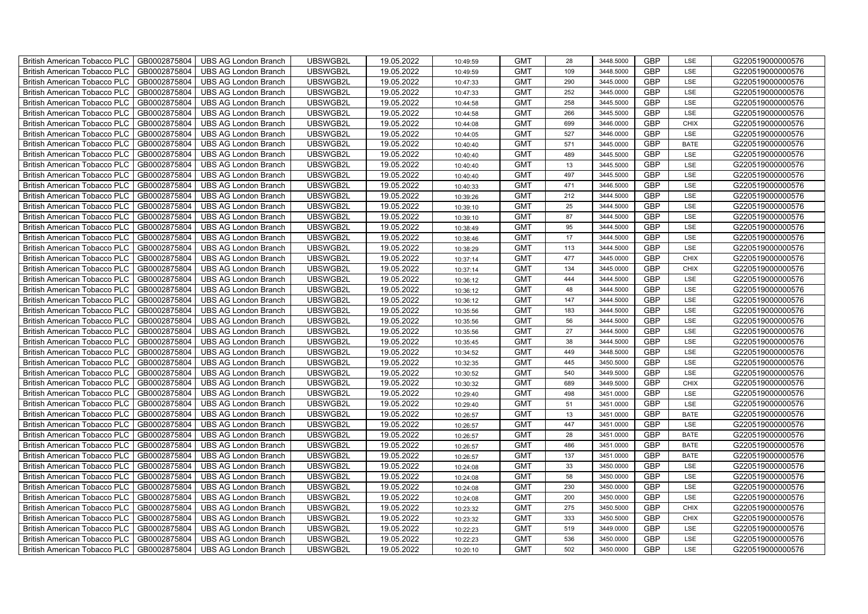| British American Tobacco PLC<br>GB0002875804        | <b>UBS AG London Branch</b> | UBSWGB2L | 19.05.2022 | 10:49:59 | <b>GMT</b> | 28  | 3448.5000 | <b>GBP</b> | LSE         | G220519000000576 |
|-----------------------------------------------------|-----------------------------|----------|------------|----------|------------|-----|-----------|------------|-------------|------------------|
| GB0002875804<br><b>British American Tobacco PLC</b> | <b>UBS AG London Branch</b> | UBSWGB2L | 19.05.2022 | 10:49:59 | <b>GMT</b> | 109 | 3448.5000 | <b>GBP</b> | LSE         | G220519000000576 |
| GB0002875804<br><b>British American Tobacco PLC</b> | <b>UBS AG London Branch</b> | UBSWGB2L | 19.05.2022 | 10:47:33 | <b>GMT</b> | 290 | 3445.0000 | <b>GBP</b> | LSE         | G220519000000576 |
| GB0002875804<br>British American Tobacco PLC        | <b>UBS AG London Branch</b> | UBSWGB2L | 19.05.2022 | 10:47:33 | <b>GMT</b> | 252 | 3445.0000 | <b>GBP</b> | LSE         | G220519000000576 |
| GB0002875804<br>British American Tobacco PLC        | <b>UBS AG London Branch</b> | UBSWGB2L | 19.05.2022 | 10:44:58 | <b>GMT</b> | 258 | 3445.5000 | <b>GBP</b> | LSE         | G220519000000576 |
| GB0002875804<br>British American Tobacco PLC        | <b>UBS AG London Branch</b> | UBSWGB2L | 19.05.2022 | 10:44:58 | <b>GMT</b> | 266 | 3445.5000 | <b>GBP</b> | LSE         | G220519000000576 |
| GB0002875804<br><b>British American Tobacco PLC</b> | <b>UBS AG London Branch</b> | UBSWGB2L | 19.05.2022 | 10:44:08 | <b>GMT</b> | 699 | 3446.0000 | <b>GBP</b> | <b>CHIX</b> | G220519000000576 |
| British American Tobacco PLC<br>GB0002875804        | <b>UBS AG London Branch</b> | UBSWGB2L | 19.05.2022 | 10:44:05 | <b>GMT</b> | 527 | 3446.0000 | <b>GBP</b> | LSE         | G220519000000576 |
| GB0002875804<br>British American Tobacco PLC        | <b>UBS AG London Branch</b> | UBSWGB2L | 19.05.2022 | 10:40:40 | <b>GMT</b> | 571 | 3445.0000 | <b>GBP</b> | <b>BATE</b> | G220519000000576 |
| GB0002875804<br>British American Tobacco PLC        | <b>UBS AG London Branch</b> | UBSWGB2L | 19.05.2022 | 10:40:40 | <b>GMT</b> | 489 | 3445.5000 | <b>GBP</b> | LSE         | G220519000000576 |
| <b>British American Tobacco PLC</b><br>GB0002875804 | <b>UBS AG London Branch</b> | UBSWGB2L | 19.05.2022 | 10:40:40 | <b>GMT</b> | 13  | 3445.5000 | <b>GBP</b> | LSE         | G220519000000576 |
| GB0002875804<br><b>British American Tobacco PLC</b> | <b>UBS AG London Branch</b> | UBSWGB2L | 19.05.2022 | 10:40:40 | <b>GMT</b> | 497 | 3445.5000 | <b>GBP</b> | LSE         | G220519000000576 |
| GB0002875804<br>British American Tobacco PLC        | <b>UBS AG London Branch</b> | UBSWGB2L | 19.05.2022 | 10:40:33 | <b>GMT</b> | 471 | 3446.5000 | <b>GBP</b> | LSE         | G220519000000576 |
| GB0002875804<br>British American Tobacco PLC        | <b>UBS AG London Branch</b> | UBSWGB2L | 19.05.2022 | 10:39:26 | <b>GMT</b> | 212 | 3444.5000 | <b>GBP</b> | LSE         | G220519000000576 |
| GB0002875804<br>British American Tobacco PLC        | <b>UBS AG London Branch</b> | UBSWGB2L | 19.05.2022 | 10:39:10 | <b>GMT</b> | 25  | 3444.5000 | <b>GBP</b> | LSE         | G220519000000576 |
| GB0002875804<br>British American Tobacco PLC        | <b>UBS AG London Branch</b> | UBSWGB2L | 19.05.2022 | 10:39:10 | <b>GMT</b> | 87  | 3444.5000 | GBP        | LSE         | G220519000000576 |
| British American Tobacco PLC<br>GB0002875804        | <b>UBS AG London Branch</b> | UBSWGB2L | 19.05.2022 | 10:38:49 | <b>GMT</b> | 95  | 3444.5000 | <b>GBP</b> | LSE         | G220519000000576 |
| GB0002875804<br>British American Tobacco PLC        | <b>UBS AG London Branch</b> | UBSWGB2L | 19.05.2022 | 10:38:46 | <b>GMT</b> | 17  | 3444.5000 | <b>GBP</b> | LSE         | G220519000000576 |
| GB0002875804<br>British American Tobacco PLC        | <b>UBS AG London Branch</b> | UBSWGB2L | 19.05.2022 | 10:38:29 | <b>GMT</b> | 113 | 3444.5000 | <b>GBP</b> | LSE         | G220519000000576 |
| <b>British American Tobacco PLC</b><br>GB0002875804 | <b>UBS AG London Branch</b> | UBSWGB2L | 19.05.2022 | 10:37:14 | <b>GMT</b> | 477 | 3445.0000 | GBP        | CHIX        | G220519000000576 |
| GB0002875804<br><b>British American Tobacco PLC</b> | <b>UBS AG London Branch</b> | UBSWGB2L | 19.05.2022 | 10:37:14 | <b>GMT</b> | 134 | 3445.0000 | <b>GBP</b> | <b>CHIX</b> | G220519000000576 |
| GB0002875804<br>British American Tobacco PLC        | <b>UBS AG London Branch</b> | UBSWGB2L | 19.05.2022 | 10:36:12 | <b>GMT</b> | 444 | 3444.5000 | GBP        | LSE         | G220519000000576 |
| GB0002875804<br>British American Tobacco PLC        | <b>UBS AG London Branch</b> | UBSWGB2L | 19.05.2022 | 10:36:12 | <b>GMT</b> | 48  | 3444.5000 | GBP        | LSE         | G220519000000576 |
| GB0002875804<br>British American Tobacco PLC        | <b>UBS AG London Branch</b> | UBSWGB2L | 19.05.2022 | 10:36:12 | <b>GMT</b> | 147 | 3444.5000 | GBP        | LSE         | G220519000000576 |
| British American Tobacco PLC<br>GB0002875804        | <b>UBS AG London Branch</b> | UBSWGB2L | 19.05.2022 | 10:35:56 | <b>GMT</b> | 183 | 3444.5000 | GBP        | LSE         | G220519000000576 |
| GB0002875804<br>British American Tobacco PLC        | <b>UBS AG London Branch</b> | UBSWGB2L | 19.05.2022 | 10:35:56 | <b>GMT</b> | 56  | 3444.5000 | <b>GBP</b> | LSE         | G220519000000576 |
| GB0002875804<br>British American Tobacco PLC        | <b>UBS AG London Branch</b> | UBSWGB2L | 19.05.2022 | 10:35:56 | <b>GMT</b> | 27  | 3444.5000 | GBP        | LSE         | G220519000000576 |
| GB0002875804<br>British American Tobacco PLC        | <b>UBS AG London Branch</b> | UBSWGB2L | 19.05.2022 | 10:35:45 | <b>GMT</b> | 38  | 3444.5000 | GBP        | LSE         | G220519000000576 |
| <b>British American Tobacco PLC</b><br>GB0002875804 | <b>UBS AG London Branch</b> | UBSWGB2L | 19.05.2022 | 10:34:52 | <b>GMT</b> | 449 | 3448.5000 | <b>GBP</b> | LSE         | G220519000000576 |
| GB0002875804<br><b>British American Tobacco PLC</b> | <b>UBS AG London Branch</b> | UBSWGB2L | 19.05.2022 | 10:32:35 | <b>GMT</b> | 445 | 3450.5000 | <b>GBP</b> | LSE         | G220519000000576 |
| GB0002875804<br>British American Tobacco PLC        | <b>UBS AG London Branch</b> | UBSWGB2L | 19.05.2022 | 10:30:52 | <b>GMT</b> | 540 | 3449.5000 | GBP        | LSE         | G220519000000576 |
| GB0002875804<br>British American Tobacco PLC        | <b>UBS AG London Branch</b> | UBSWGB2L | 19.05.2022 | 10:30:32 | <b>GMT</b> | 689 | 3449.5000 | GBP        | CHIX        | G220519000000576 |
| British American Tobacco PLC<br>GB0002875804        | <b>UBS AG London Branch</b> | UBSWGB2L | 19.05.2022 | 10:29:40 | <b>GMT</b> | 498 | 3451.0000 | GBP        | LSE         | G220519000000576 |
| British American Tobacco PLC<br>GB0002875804        | <b>UBS AG London Branch</b> | UBSWGB2L | 19.05.2022 | 10:29:40 | <b>GMT</b> | 51  | 3451.0000 | <b>GBP</b> | LSE         | G220519000000576 |
| GB0002875804<br>British American Tobacco PLC        | <b>UBS AG London Branch</b> | UBSWGB2L | 19.05.2022 | 10:26:57 | <b>GMT</b> | 13  | 3451.0000 | <b>GBP</b> | <b>BATE</b> | G220519000000576 |
| GB0002875804<br>British American Tobacco PLC        | <b>UBS AG London Branch</b> | UBSWGB2L | 19.05.2022 | 10:26:57 | <b>GMT</b> | 447 | 3451.0000 | GBP        | LSE         | G220519000000576 |
| GB0002875804<br>British American Tobacco PLC        | <b>UBS AG London Branch</b> | UBSWGB2L | 19.05.2022 | 10:26:57 | <b>GMT</b> | 28  | 3451.0000 | GBP        | <b>BATE</b> | G220519000000576 |
| <b>British American Tobacco PLC</b><br>GB0002875804 | <b>UBS AG London Branch</b> | UBSWGB2L | 19.05.2022 | 10:26:57 | <b>GMT</b> | 486 | 3451.0000 | <b>GBP</b> | <b>BATE</b> | G220519000000576 |
| GB0002875804<br>British American Tobacco PLC        | <b>UBS AG London Branch</b> | UBSWGB2L | 19.05.2022 | 10:26:57 | <b>GMT</b> | 137 | 3451.0000 | <b>GBP</b> | <b>BATE</b> | G220519000000576 |
| GB0002875804<br><b>British American Tobacco PLC</b> | <b>UBS AG London Branch</b> | UBSWGB2L | 19.05.2022 | 10:24:08 | <b>GMT</b> | 33  | 3450.0000 | <b>GBP</b> | LSE         | G220519000000576 |
| British American Tobacco PLC<br>GB0002875804        | <b>UBS AG London Branch</b> | UBSWGB2L | 19.05.2022 | 10:24:08 | <b>GMT</b> | 58  | 3450.0000 | GBP        | LSE         | G220519000000576 |
| British American Tobacco PLC<br>GB0002875804        | <b>UBS AG London Branch</b> | UBSWGB2L | 19.05.2022 | 10:24:08 | <b>GMT</b> | 230 | 3450.0000 | GBP        | LSE         | G220519000000576 |
| British American Tobacco PLC<br>GB0002875804        | <b>UBS AG London Branch</b> | UBSWGB2L | 19.05.2022 | 10:24:08 | <b>GMT</b> | 200 | 3450.0000 | <b>GBP</b> | LSE         | G220519000000576 |
| GB0002875804<br><b>British American Tobacco PLC</b> | <b>UBS AG London Branch</b> | UBSWGB2L | 19.05.2022 | 10:23:32 | <b>GMT</b> | 275 | 3450.5000 | <b>GBP</b> | <b>CHIX</b> | G220519000000576 |
| GB0002875804<br><b>British American Tobacco PLC</b> | <b>UBS AG London Branch</b> | UBSWGB2L | 19.05.2022 | 10:23:32 | <b>GMT</b> | 333 | 3450.5000 | GBP        | <b>CHIX</b> | G220519000000576 |
| GB0002875804<br><b>British American Tobacco PLC</b> | <b>UBS AG London Branch</b> | UBSWGB2L | 19.05.2022 | 10:22:23 | <b>GMT</b> | 519 | 3449.0000 | GBP        | LSE         | G220519000000576 |
| <b>British American Tobacco PLC</b><br>GB0002875804 | <b>UBS AG London Branch</b> | UBSWGB2L | 19.05.2022 | 10:22:23 | <b>GMT</b> | 536 | 3450.0000 | <b>GBP</b> | LSE         | G220519000000576 |
| GB0002875804<br>British American Tobacco PLC        | <b>UBS AG London Branch</b> | UBSWGB2L | 19.05.2022 | 10:20:10 | <b>GMT</b> | 502 | 3450.0000 | <b>GBP</b> | LSE         | G220519000000576 |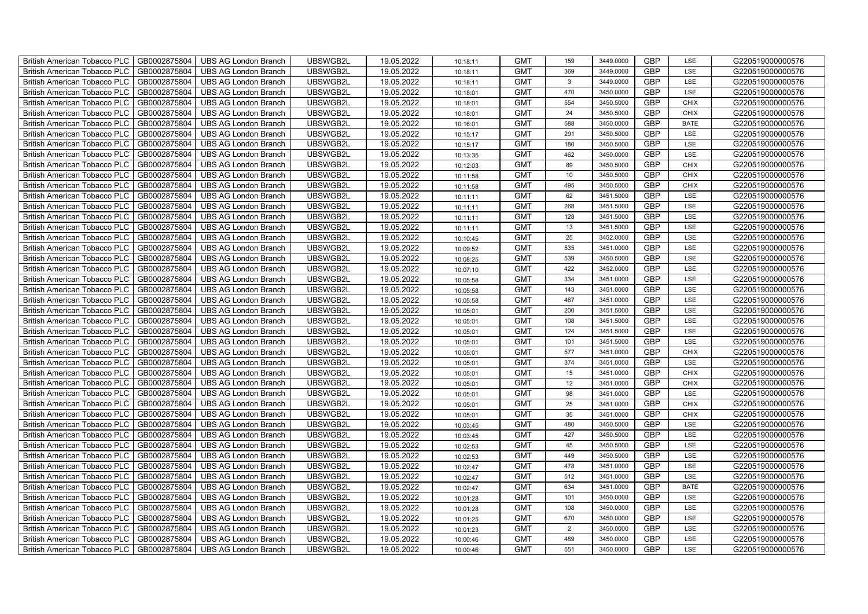| British American Tobacco PLC   GB0002875804 |              | <b>UBS AG London Branch</b> | UBSWGB2L | 19.05.2022 | 10:18:11 | <b>GMT</b> | 159            | 3449.0000 | <b>GBP</b> | LSE         | G220519000000576 |
|---------------------------------------------|--------------|-----------------------------|----------|------------|----------|------------|----------------|-----------|------------|-------------|------------------|
| <b>British American Tobacco PLC</b>         | GB0002875804 | <b>UBS AG London Branch</b> | UBSWGB2L | 19.05.2022 | 10:18:11 | <b>GMT</b> | 369            | 3449.0000 | <b>GBP</b> | LSE         | G220519000000576 |
| <b>British American Tobacco PLC</b>         | GB0002875804 | UBS AG London Branch        | UBSWGB2L | 19.05.2022 | 10:18:11 | <b>GMT</b> | $\mathbf{3}$   | 3449.0000 | <b>GBP</b> | LSE         | G220519000000576 |
| <b>British American Tobacco PLC</b>         | GB0002875804 | <b>UBS AG London Branch</b> | UBSWGB2L | 19.05.2022 | 10:18:01 | <b>GMT</b> | 470            | 3450.0000 | <b>GBP</b> | LSE         | G220519000000576 |
| <b>British American Tobacco PLC</b>         | GB0002875804 | UBS AG London Branch        | UBSWGB2L | 19.05.2022 | 10:18:01 | <b>GMT</b> | 554            | 3450.5000 | <b>GBP</b> | <b>CHIX</b> | G220519000000576 |
| <b>British American Tobacco PLC</b>         | GB0002875804 | <b>UBS AG London Branch</b> | UBSWGB2L | 19.05.2022 | 10:18:01 | <b>GMT</b> | 24             | 3450.5000 | <b>GBP</b> | <b>CHIX</b> | G220519000000576 |
| <b>British American Tobacco PLC</b>         | GB0002875804 | <b>UBS AG London Branch</b> | UBSWGB2L | 19.05.2022 | 10:16:01 | <b>GMT</b> | 588            | 3450.0000 | <b>GBP</b> | <b>BATE</b> | G220519000000576 |
| <b>British American Tobacco PLC</b>         | GB0002875804 | UBS AG London Branch        | UBSWGB2L | 19.05.2022 | 10:15:17 | <b>GMT</b> | 291            | 3450.5000 | <b>GBP</b> | LSE         | G220519000000576 |
| <b>British American Tobacco PLC</b>         | GB0002875804 | <b>UBS AG London Branch</b> | UBSWGB2L | 19.05.2022 | 10:15:17 | <b>GMT</b> | 180            | 3450.5000 | <b>GBP</b> | LSE         | G220519000000576 |
| <b>British American Tobacco PLC</b>         | GB0002875804 | <b>UBS AG London Branch</b> | UBSWGB2L | 19.05.2022 | 10:13:35 | <b>GMT</b> | 462            | 3450.0000 | <b>GBP</b> | LSE         | G220519000000576 |
| British American Tobacco PLC                | GB0002875804 | <b>UBS AG London Branch</b> | UBSWGB2L | 19.05.2022 | 10:12:03 | <b>GMT</b> | 89             | 3450.5000 | <b>GBP</b> | <b>CHIX</b> | G220519000000576 |
| British American Tobacco PLC                | GB0002875804 | UBS AG London Branch        | UBSWGB2L | 19.05.2022 | 10:11:58 | <b>GMT</b> | 10             | 3450.5000 | <b>GBP</b> | <b>CHIX</b> | G220519000000576 |
| British American Tobacco PLC                | GB0002875804 | <b>UBS AG London Branch</b> | UBSWGB2L | 19.05.2022 | 10:11:58 | <b>GMT</b> | 495            | 3450.5000 | <b>GBP</b> | <b>CHIX</b> | G220519000000576 |
| British American Tobacco PLC                | GB0002875804 | <b>UBS AG London Branch</b> | UBSWGB2L | 19.05.2022 | 10:11:11 | <b>GMT</b> | 62             | 3451.5000 | <b>GBP</b> | LSE         | G220519000000576 |
| British American Tobacco PLC                | GB0002875804 | <b>UBS AG London Branch</b> | UBSWGB2L | 19.05.2022 | 10:11:11 | <b>GMT</b> | 268            | 3451.5000 | <b>GBP</b> | LSE         | G220519000000576 |
| British American Tobacco PLC                | GB0002875804 | <b>UBS AG London Branch</b> | UBSWGB2L | 19.05.2022 | 10:11:11 | <b>GMT</b> | 128            | 3451.5000 | <b>GBP</b> | LSE         | G220519000000576 |
| British American Tobacco PLC                | GB0002875804 | <b>UBS AG London Branch</b> | UBSWGB2L | 19.05.2022 | 10:11:11 | <b>GMT</b> | 13             | 3451.5000 | <b>GBP</b> | LSE         | G220519000000576 |
| British American Tobacco PLC                | GB0002875804 | <b>UBS AG London Branch</b> | UBSWGB2L | 19.05.2022 | 10:10:45 | <b>GMT</b> | 25             | 3452.0000 | <b>GBP</b> | LSE         | G220519000000576 |
| British American Tobacco PLC                | GB0002875804 | <b>UBS AG London Branch</b> | UBSWGB2L | 19.05.2022 | 10:09:52 | <b>GMT</b> | 535            | 3451.0000 | <b>GBP</b> | LSE         | G220519000000576 |
| <b>British American Tobacco PLC</b>         | GB0002875804 | <b>UBS AG London Branch</b> | UBSWGB2L | 19.05.2022 | 10:08:25 | <b>GMT</b> | 539            | 3450.5000 | <b>GBP</b> | LSE         | G220519000000576 |
| British American Tobacco PLC                | GB0002875804 | UBS AG London Branch        | UBSWGB2L | 19.05.2022 | 10:07:10 | <b>GMT</b> | 422            | 3452.0000 | <b>GBP</b> | <b>LSE</b>  | G220519000000576 |
| British American Tobacco PLC                | GB0002875804 | UBS AG London Branch        | UBSWGB2L | 19.05.2022 | 10:05:58 | <b>GMT</b> | 334            | 3451.0000 | GBP        | LSE         | G220519000000576 |
| British American Tobacco PLC                | GB0002875804 | <b>UBS AG London Branch</b> | UBSWGB2L | 19.05.2022 | 10:05:58 | <b>GMT</b> | 143            | 3451.0000 | <b>GBP</b> | LSE         | G220519000000576 |
| British American Tobacco PLC                | GB0002875804 | <b>UBS AG London Branch</b> | UBSWGB2L | 19.05.2022 | 10:05:58 | <b>GMT</b> | 467            | 3451.0000 | GBP        | LSE         | G220519000000576 |
| British American Tobacco PLC                | GB0002875804 | <b>UBS AG London Branch</b> | UBSWGB2L | 19.05.2022 | 10:05:01 | <b>GMT</b> | 200            | 3451.5000 | <b>GBP</b> | LSE         | G220519000000576 |
| British American Tobacco PLC                | GB0002875804 | <b>UBS AG London Branch</b> | UBSWGB2L | 19.05.2022 | 10:05:01 | <b>GMT</b> | 108            | 3451.5000 | <b>GBP</b> | LSE         | G220519000000576 |
| British American Tobacco PLC                | GB0002875804 | <b>UBS AG London Branch</b> | UBSWGB2L | 19.05.2022 | 10:05:01 | <b>GMT</b> | 124            | 3451.5000 | <b>GBP</b> | LSE         | G220519000000576 |
| British American Tobacco PLC                | GB0002875804 | <b>UBS AG London Branch</b> | UBSWGB2L | 19.05.2022 | 10:05:01 | <b>GMT</b> | 101            | 3451.5000 | <b>GBP</b> | LSE         | G220519000000576 |
| <b>British American Tobacco PLC</b>         | GB0002875804 | <b>UBS AG London Branch</b> | UBSWGB2L | 19.05.2022 | 10:05:01 | <b>GMT</b> | 577            | 3451.0000 | <b>GBP</b> | CHIX        | G220519000000576 |
| British American Tobacco PLC                | GB0002875804 | UBS AG London Branch        | UBSWGB2L | 19.05.2022 | 10:05:01 | <b>GMT</b> | 374            | 3451.0000 | <b>GBP</b> | LSE         | G220519000000576 |
| British American Tobacco PLC                | GB0002875804 | <b>UBS AG London Branch</b> | UBSWGB2L | 19.05.2022 | 10:05:01 | <b>GMT</b> | 15             | 3451.0000 | GBP        | <b>CHIX</b> | G220519000000576 |
| British American Tobacco PLC                | GB0002875804 | <b>UBS AG London Branch</b> | UBSWGB2L | 19.05.2022 | 10:05:01 | <b>GMT</b> | 12             | 3451.0000 | <b>GBP</b> | <b>CHIX</b> | G220519000000576 |
| British American Tobacco PLC                | GB0002875804 | UBS AG London Branch        | UBSWGB2L | 19.05.2022 | 10:05:01 | <b>GMT</b> | 98             | 3451.0000 | GBP        | LSE         | G220519000000576 |
| British American Tobacco PLC                | GB0002875804 | UBS AG London Branch        | UBSWGB2L | 19.05.2022 | 10:05:01 | <b>GMT</b> | 25             | 3451.0000 | <b>GBP</b> | <b>CHIX</b> | G220519000000576 |
| British American Tobacco PLC                | GB0002875804 | UBS AG London Branch        | UBSWGB2L | 19.05.2022 | 10:05:01 | <b>GMT</b> | 35             | 3451.0000 | <b>GBP</b> | <b>CHIX</b> | G220519000000576 |
| British American Tobacco PLC                | GB0002875804 | <b>UBS AG London Branch</b> | UBSWGB2L | 19.05.2022 | 10:03:45 | <b>GMT</b> | 480            | 3450.5000 | <b>GBP</b> | LSE         | G220519000000576 |
| British American Tobacco PLC                | GB0002875804 | <b>UBS AG London Branch</b> | UBSWGB2L | 19.05.2022 | 10:03:45 | <b>GMT</b> | 427            | 3450.5000 | <b>GBP</b> | LSE         | G220519000000576 |
| <b>British American Tobacco PLC</b>         | GB0002875804 | <b>UBS AG London Branch</b> | UBSWGB2L | 19.05.2022 | 10:02:53 | <b>GMT</b> | 45             | 3450.5000 | <b>GBP</b> | LSE         | G220519000000576 |
| British American Tobacco PLC                | GB0002875804 | UBS AG London Branch        | UBSWGB2L | 19.05.2022 | 10:02:53 | <b>GMT</b> | 449            | 3450.5000 | <b>GBP</b> | LSE         | G220519000000576 |
| <b>British American Tobacco PLC</b>         | GB0002875804 | UBS AG London Branch        | UBSWGB2L | 19.05.2022 | 10:02:47 | <b>GMT</b> | 478            | 3451.0000 | GBP        | LSE         | G220519000000576 |
| British American Tobacco PLC                | GB0002875804 | UBS AG London Branch        | UBSWGB2L | 19.05.2022 | 10:02:47 | <b>GMT</b> | 512            | 3451.0000 | <b>GBP</b> | LSE         | G220519000000576 |
| British American Tobacco PLC                | GB0002875804 | <b>UBS AG London Branch</b> | UBSWGB2L | 19.05.2022 | 10:02:47 | <b>GMT</b> | 634            | 3451.0000 | GBP        | <b>BATE</b> | G220519000000576 |
| British American Tobacco PLC                | GB0002875804 | UBS AG London Branch        | UBSWGB2L | 19.05.2022 | 10:01:28 | <b>GMT</b> | 101            | 3450.0000 | <b>GBP</b> | LSE         | G220519000000576 |
| <b>British American Tobacco PLC</b>         | GB0002875804 | UBS AG London Branch        | UBSWGB2L | 19.05.2022 | 10:01:28 | <b>GMT</b> | 108            | 3450.0000 | <b>GBP</b> | LSE         | G220519000000576 |
| <b>British American Tobacco PLC</b>         | GB0002875804 | UBS AG London Branch        | UBSWGB2L | 19.05.2022 | 10:01:25 | <b>GMT</b> | 670            | 3450.0000 | GBP        | LSE         | G220519000000576 |
| <b>British American Tobacco PLC</b>         | GB0002875804 | UBS AG London Branch        | UBSWGB2L | 19.05.2022 | 10:01:23 | <b>GMT</b> | $\overline{2}$ | 3450.0000 | <b>GBP</b> | LSE         | G220519000000576 |
| <b>British American Tobacco PLC</b>         | GB0002875804 | <b>UBS AG London Branch</b> | UBSWGB2L | 19.05.2022 | 10:00:46 | <b>GMT</b> | 489            | 3450.0000 | <b>GBP</b> | LSE         | G220519000000576 |
| British American Tobacco PLC                | GB0002875804 | <b>UBS AG London Branch</b> | UBSWGB2L | 19.05.2022 | 10:00:46 | <b>GMT</b> | 551            | 3450.0000 | <b>GBP</b> | LSE         | G220519000000576 |
|                                             |              |                             |          |            |          |            |                |           |            |             |                  |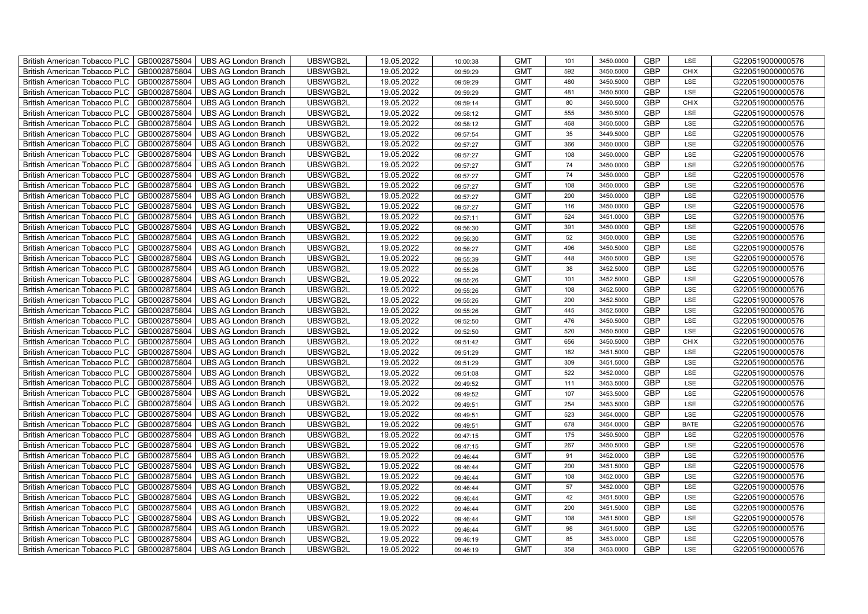| British American Tobacco PLC   GB0002875804 |              | <b>UBS AG London Branch</b> | UBSWGB2L | 19.05.2022 | 10:00:38 | <b>GMT</b> | 101 | 3450.0000 | <b>GBP</b> | LSE         | G220519000000576 |
|---------------------------------------------|--------------|-----------------------------|----------|------------|----------|------------|-----|-----------|------------|-------------|------------------|
| <b>British American Tobacco PLC</b>         | GB0002875804 | <b>UBS AG London Branch</b> | UBSWGB2L | 19.05.2022 | 09:59:29 | <b>GMT</b> | 592 | 3450.5000 | <b>GBP</b> | <b>CHIX</b> | G220519000000576 |
| <b>British American Tobacco PLC</b>         | GB0002875804 | UBS AG London Branch        | UBSWGB2L | 19.05.2022 | 09:59:29 | <b>GMT</b> | 480 | 3450.5000 | <b>GBP</b> | LSE         | G220519000000576 |
| <b>British American Tobacco PLC</b>         | GB0002875804 | <b>UBS AG London Branch</b> | UBSWGB2L | 19.05.2022 | 09:59:29 | <b>GMT</b> | 481 | 3450.5000 | <b>GBP</b> | LSE         | G220519000000576 |
| <b>British American Tobacco PLC</b>         | GB0002875804 | UBS AG London Branch        | UBSWGB2L | 19.05.2022 | 09:59:14 | <b>GMT</b> | 80  | 3450.5000 | <b>GBP</b> | <b>CHIX</b> | G220519000000576 |
| <b>British American Tobacco PLC</b>         | GB0002875804 | <b>UBS AG London Branch</b> | UBSWGB2L | 19.05.2022 | 09:58:12 | <b>GMT</b> | 555 | 3450.5000 | <b>GBP</b> | LSE         | G220519000000576 |
| <b>British American Tobacco PLC</b>         | GB0002875804 | <b>UBS AG London Branch</b> | UBSWGB2L | 19.05.2022 | 09:58:12 | <b>GMT</b> | 468 | 3450.5000 | <b>GBP</b> | LSE         | G220519000000576 |
| <b>British American Tobacco PLC</b>         | GB0002875804 | UBS AG London Branch        | UBSWGB2L | 19.05.2022 | 09:57:54 | <b>GMT</b> | 35  | 3449.5000 | <b>GBP</b> | LSE         | G220519000000576 |
| <b>British American Tobacco PLC</b>         | GB0002875804 | <b>UBS AG London Branch</b> | UBSWGB2L | 19.05.2022 | 09:57:27 | <b>GMT</b> | 366 | 3450.0000 | <b>GBP</b> | LSE         | G220519000000576 |
| <b>British American Tobacco PLC</b>         | GB0002875804 | <b>UBS AG London Branch</b> | UBSWGB2L | 19.05.2022 | 09:57:27 | <b>GMT</b> | 108 | 3450.0000 | <b>GBP</b> | LSE         | G220519000000576 |
| British American Tobacco PLC                | GB0002875804 | <b>UBS AG London Branch</b> | UBSWGB2L | 19.05.2022 | 09:57:27 | <b>GMT</b> | 74  | 3450.0000 | <b>GBP</b> | LSE         | G220519000000576 |
| British American Tobacco PLC                | GB0002875804 | UBS AG London Branch        | UBSWGB2L | 19.05.2022 | 09:57:27 | <b>GMT</b> | 74  | 3450.0000 | <b>GBP</b> | LSE         | G220519000000576 |
| British American Tobacco PLC                | GB0002875804 | <b>UBS AG London Branch</b> | UBSWGB2L | 19.05.2022 | 09:57:27 | <b>GMT</b> | 108 | 3450.0000 | <b>GBP</b> | LSE         | G220519000000576 |
| British American Tobacco PLC                | GB0002875804 | <b>UBS AG London Branch</b> | UBSWGB2L | 19.05.2022 | 09:57:27 | <b>GMT</b> | 200 | 3450.0000 | <b>GBP</b> | LSE         | G220519000000576 |
| British American Tobacco PLC                | GB0002875804 | <b>UBS AG London Branch</b> | UBSWGB2L | 19.05.2022 | 09:57:27 | <b>GMT</b> | 116 | 3450.0000 | <b>GBP</b> | LSE         | G220519000000576 |
| British American Tobacco PLC                | GB0002875804 | <b>UBS AG London Branch</b> | UBSWGB2L | 19.05.2022 | 09:57:11 | <b>GMT</b> | 524 | 3451.0000 | <b>GBP</b> | LSE         | G220519000000576 |
| British American Tobacco PLC                | GB0002875804 | <b>UBS AG London Branch</b> | UBSWGB2L | 19.05.2022 | 09:56:30 | <b>GMT</b> | 391 | 3450.0000 | <b>GBP</b> | LSE         | G220519000000576 |
| British American Tobacco PLC                | GB0002875804 | <b>UBS AG London Branch</b> | UBSWGB2L | 19.05.2022 | 09:56:30 | <b>GMT</b> | 52  | 3450.0000 | <b>GBP</b> | LSE         | G220519000000576 |
| British American Tobacco PLC                | GB0002875804 | <b>UBS AG London Branch</b> | UBSWGB2L | 19.05.2022 | 09:56:27 | <b>GMT</b> | 496 | 3450.5000 | <b>GBP</b> | <b>LSE</b>  | G220519000000576 |
| <b>British American Tobacco PLC</b>         | GB0002875804 | <b>UBS AG London Branch</b> | UBSWGB2L | 19.05.2022 | 09:55:39 | <b>GMT</b> | 448 | 3450.5000 | <b>GBP</b> | LSE         | G220519000000576 |
| British American Tobacco PLC                | GB0002875804 | UBS AG London Branch        | UBSWGB2L | 19.05.2022 | 09:55:26 | <b>GMT</b> | 38  | 3452.5000 | <b>GBP</b> | <b>LSE</b>  | G220519000000576 |
| British American Tobacco PLC                | GB0002875804 | UBS AG London Branch        | UBSWGB2L | 19.05.2022 | 09:55:26 | <b>GMT</b> | 101 | 3452.5000 | GBP        | LSE         | G220519000000576 |
| British American Tobacco PLC                | GB0002875804 | <b>UBS AG London Branch</b> | UBSWGB2L | 19.05.2022 | 09:55:26 | <b>GMT</b> | 108 | 3452.5000 | <b>GBP</b> | LSE         | G220519000000576 |
| British American Tobacco PLC                | GB0002875804 | <b>UBS AG London Branch</b> | UBSWGB2L | 19.05.2022 | 09:55:26 | <b>GMT</b> | 200 | 3452.5000 | GBP        | LSE         | G220519000000576 |
| British American Tobacco PLC                | GB0002875804 | <b>UBS AG London Branch</b> | UBSWGB2L | 19.05.2022 | 09:55:26 | <b>GMT</b> | 445 | 3452.5000 | <b>GBP</b> | LSE         | G220519000000576 |
| British American Tobacco PLC                | GB0002875804 | <b>UBS AG London Branch</b> | UBSWGB2L | 19.05.2022 | 09:52:50 | <b>GMT</b> | 476 | 3450.5000 | <b>GBP</b> | LSE         | G220519000000576 |
| British American Tobacco PLC                | GB0002875804 | <b>UBS AG London Branch</b> | UBSWGB2L | 19.05.2022 | 09:52:50 | <b>GMT</b> | 520 | 3450.5000 | <b>GBP</b> | LSE         | G220519000000576 |
| British American Tobacco PLC                | GB0002875804 | <b>UBS AG London Branch</b> | UBSWGB2L | 19.05.2022 | 09:51:42 | <b>GMT</b> | 656 | 3450.5000 | <b>GBP</b> | <b>CHIX</b> | G220519000000576 |
| <b>British American Tobacco PLC</b>         | GB0002875804 | <b>UBS AG London Branch</b> | UBSWGB2L | 19.05.2022 | 09:51:29 | <b>GMT</b> | 182 | 3451.5000 | <b>GBP</b> | LSE         | G220519000000576 |
| British American Tobacco PLC                | GB0002875804 | UBS AG London Branch        | UBSWGB2L | 19.05.2022 | 09:51:29 | <b>GMT</b> | 309 | 3451.5000 | <b>GBP</b> | LSE         | G220519000000576 |
| British American Tobacco PLC                | GB0002875804 | <b>UBS AG London Branch</b> | UBSWGB2L | 19.05.2022 | 09:51:08 | <b>GMT</b> | 522 | 3452.0000 | GBP        | LSE         | G220519000000576 |
| British American Tobacco PLC                | GB0002875804 | <b>UBS AG London Branch</b> | UBSWGB2L | 19.05.2022 | 09:49:52 | <b>GMT</b> | 111 | 3453.5000 | <b>GBP</b> | LSE         | G220519000000576 |
| British American Tobacco PLC                | GB0002875804 | UBS AG London Branch        | UBSWGB2L | 19.05.2022 | 09:49:52 | <b>GMT</b> | 107 | 3453.5000 | GBP        | LSE         | G220519000000576 |
| British American Tobacco PLC                | GB0002875804 | UBS AG London Branch        | UBSWGB2L | 19.05.2022 | 09:49:51 | <b>GMT</b> | 254 | 3453.5000 | <b>GBP</b> | LSE         | G220519000000576 |
| British American Tobacco PLC                | GB0002875804 | UBS AG London Branch        | UBSWGB2L | 19.05.2022 | 09:49:51 | <b>GMT</b> | 523 | 3454.0000 | <b>GBP</b> | LSE         | G220519000000576 |
| British American Tobacco PLC                | GB0002875804 | <b>UBS AG London Branch</b> | UBSWGB2L | 19.05.2022 | 09:49:51 | <b>GMT</b> | 678 | 3454.0000 | <b>GBP</b> | <b>BATE</b> | G220519000000576 |
| British American Tobacco PLC                | GB0002875804 | <b>UBS AG London Branch</b> | UBSWGB2L | 19.05.2022 | 09:47:15 | <b>GMT</b> | 175 | 3450.5000 | <b>GBP</b> | LSE         | G220519000000576 |
| <b>British American Tobacco PLC</b>         | GB0002875804 | <b>UBS AG London Branch</b> | UBSWGB2L | 19.05.2022 | 09:47:15 | <b>GMT</b> | 267 | 3450.5000 | <b>GBP</b> | LSE         | G220519000000576 |
| British American Tobacco PLC                | GB0002875804 | UBS AG London Branch        | UBSWGB2L | 19.05.2022 | 09:46:44 | <b>GMT</b> | 91  | 3452.0000 | <b>GBP</b> | LSE         | G220519000000576 |
| <b>British American Tobacco PLC</b>         | GB0002875804 | UBS AG London Branch        | UBSWGB2L | 19.05.2022 | 09:46:44 | <b>GMT</b> | 200 | 3451.5000 | <b>GBP</b> | LSE         | G220519000000576 |
| British American Tobacco PLC                | GB0002875804 | UBS AG London Branch        | UBSWGB2L | 19.05.2022 | 09:46:44 | <b>GMT</b> | 108 | 3452.0000 | <b>GBP</b> | LSE         | G220519000000576 |
| British American Tobacco PLC                | GB0002875804 | <b>UBS AG London Branch</b> | UBSWGB2L | 19.05.2022 | 09:46:44 | <b>GMT</b> | 57  | 3452.0000 | GBP        | LSE         | G220519000000576 |
| British American Tobacco PLC                | GB0002875804 | UBS AG London Branch        | UBSWGB2L | 19.05.2022 | 09:46:44 | <b>GMT</b> | 42  | 3451.5000 | <b>GBP</b> | LSE         | G220519000000576 |
| <b>British American Tobacco PLC</b>         | GB0002875804 | UBS AG London Branch        | UBSWGB2L | 19.05.2022 | 09:46:44 | <b>GMT</b> | 200 | 3451.5000 | <b>GBP</b> | LSE         | G220519000000576 |
| <b>British American Tobacco PLC</b>         | GB0002875804 | UBS AG London Branch        | UBSWGB2L | 19.05.2022 | 09:46:44 | <b>GMT</b> | 108 | 3451.5000 | GBP        | LSE         | G220519000000576 |
| <b>British American Tobacco PLC</b>         | GB0002875804 | UBS AG London Branch        | UBSWGB2L | 19.05.2022 | 09:46:44 | <b>GMT</b> | 98  | 3451.5000 | <b>GBP</b> | LSE         | G220519000000576 |
| <b>British American Tobacco PLC</b>         | GB0002875804 | <b>UBS AG London Branch</b> | UBSWGB2L | 19.05.2022 | 09:46:19 | <b>GMT</b> | 85  | 3453.0000 | <b>GBP</b> | LSE         | G220519000000576 |
| British American Tobacco PLC                | GB0002875804 | <b>UBS AG London Branch</b> | UBSWGB2L | 19.05.2022 | 09:46:19 | <b>GMT</b> | 358 | 3453.0000 | <b>GBP</b> | LSE         | G220519000000576 |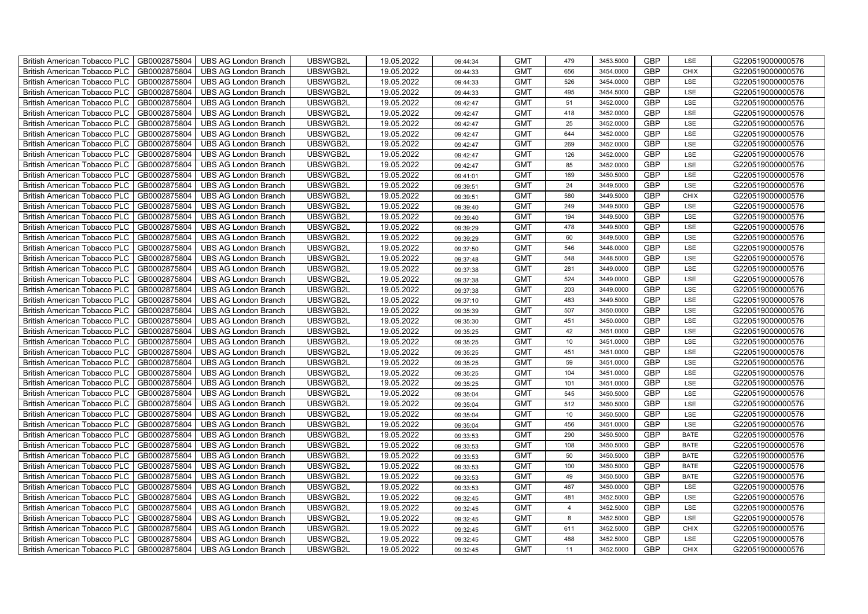| British American Tobacco PLC   GB0002875804 |              | <b>UBS AG London Branch</b> | UBSWGB2L | 19.05.2022 | 09:44:34 | <b>GMT</b> | 479            | 3453.5000 | <b>GBP</b> | LSE         | G220519000000576 |
|---------------------------------------------|--------------|-----------------------------|----------|------------|----------|------------|----------------|-----------|------------|-------------|------------------|
| <b>British American Tobacco PLC</b>         | GB0002875804 | <b>UBS AG London Branch</b> | UBSWGB2L | 19.05.2022 | 09:44:33 | <b>GMT</b> | 656            | 3454.0000 | <b>GBP</b> | <b>CHIX</b> | G220519000000576 |
| <b>British American Tobacco PLC</b>         | GB0002875804 | UBS AG London Branch        | UBSWGB2L | 19.05.2022 | 09:44:33 | <b>GMT</b> | 526            | 3454.0000 | <b>GBP</b> | LSE         | G220519000000576 |
| <b>British American Tobacco PLC</b>         | GB0002875804 | <b>UBS AG London Branch</b> | UBSWGB2L | 19.05.2022 | 09:44:33 | <b>GMT</b> | 495            | 3454.5000 | <b>GBP</b> | LSE         | G220519000000576 |
| <b>British American Tobacco PLC</b>         | GB0002875804 | UBS AG London Branch        | UBSWGB2L | 19.05.2022 | 09:42:47 | <b>GMT</b> | 51             | 3452.0000 | <b>GBP</b> | LSE         | G220519000000576 |
| <b>British American Tobacco PLC</b>         | GB0002875804 | <b>UBS AG London Branch</b> | UBSWGB2L | 19.05.2022 | 09:42:47 | <b>GMT</b> | 418            | 3452.0000 | <b>GBP</b> | LSE         | G220519000000576 |
| <b>British American Tobacco PLC</b>         | GB0002875804 | <b>UBS AG London Branch</b> | UBSWGB2L | 19.05.2022 | 09:42:47 | <b>GMT</b> | 25             | 3452.0000 | <b>GBP</b> | LSE         | G220519000000576 |
| <b>British American Tobacco PLC</b>         | GB0002875804 | UBS AG London Branch        | UBSWGB2L | 19.05.2022 | 09:42:47 | <b>GMT</b> | 644            | 3452.0000 | <b>GBP</b> | LSE         | G220519000000576 |
| <b>British American Tobacco PLC</b>         | GB0002875804 | <b>UBS AG London Branch</b> | UBSWGB2L | 19.05.2022 | 09:42:47 | <b>GMT</b> | 269            | 3452.0000 | <b>GBP</b> | LSE         | G220519000000576 |
| <b>British American Tobacco PLC</b>         | GB0002875804 | <b>UBS AG London Branch</b> | UBSWGB2L | 19.05.2022 | 09:42:47 | <b>GMT</b> | 126            | 3452.0000 | <b>GBP</b> | LSE         | G220519000000576 |
| British American Tobacco PLC                | GB0002875804 | <b>UBS AG London Branch</b> | UBSWGB2L | 19.05.2022 | 09:42:47 | <b>GMT</b> | 85             | 3452.0000 | <b>GBP</b> | LSE         | G220519000000576 |
| British American Tobacco PLC                | GB0002875804 | UBS AG London Branch        | UBSWGB2L | 19.05.2022 | 09:41:01 | <b>GMT</b> | 169            | 3450.5000 | <b>GBP</b> | LSE         | G220519000000576 |
| British American Tobacco PLC                | GB0002875804 | UBS AG London Branch        | UBSWGB2L | 19.05.2022 | 09:39:51 | <b>GMT</b> | 24             | 3449.5000 | <b>GBP</b> | LSE         | G220519000000576 |
| British American Tobacco PLC                | GB0002875804 | <b>UBS AG London Branch</b> | UBSWGB2L | 19.05.2022 | 09:39:51 | <b>GMT</b> | 580            | 3449.5000 | <b>GBP</b> | <b>CHIX</b> | G220519000000576 |
| British American Tobacco PLC                | GB0002875804 | <b>UBS AG London Branch</b> | UBSWGB2L | 19.05.2022 | 09:39:40 | <b>GMT</b> | 249            | 3449.5000 | <b>GBP</b> | LSE         | G220519000000576 |
| British American Tobacco PLC                | GB0002875804 | <b>UBS AG London Branch</b> | UBSWGB2L | 19.05.2022 | 09:39:40 | <b>GMT</b> | 194            | 3449.5000 | <b>GBP</b> | LSE         | G220519000000576 |
| British American Tobacco PLC                | GB0002875804 | <b>UBS AG London Branch</b> | UBSWGB2L | 19.05.2022 | 09:39:29 | <b>GMT</b> | 478            | 3449.5000 | <b>GBP</b> | LSE         | G220519000000576 |
| British American Tobacco PLC                | GB0002875804 | <b>UBS AG London Branch</b> | UBSWGB2L | 19.05.2022 | 09:39:29 | <b>GMT</b> | 60             | 3449.5000 | <b>GBP</b> | LSE         | G220519000000576 |
| British American Tobacco PLC                | GB0002875804 | <b>UBS AG London Branch</b> | UBSWGB2L | 19.05.2022 | 09:37:50 | <b>GMT</b> | 546            | 3448.0000 | <b>GBP</b> | <b>LSE</b>  | G220519000000576 |
| <b>British American Tobacco PLC</b>         | GB0002875804 | <b>UBS AG London Branch</b> | UBSWGB2L | 19.05.2022 | 09:37:48 | <b>GMT</b> | 548            | 3448.5000 | <b>GBP</b> | LSE         | G220519000000576 |
| British American Tobacco PLC                | GB0002875804 | UBS AG London Branch        | UBSWGB2L | 19.05.2022 | 09:37:38 | <b>GMT</b> | 281            | 3449.0000 | <b>GBP</b> | <b>LSE</b>  | G220519000000576 |
| British American Tobacco PLC                | GB0002875804 | UBS AG London Branch        | UBSWGB2L | 19.05.2022 | 09:37:38 | <b>GMT</b> | 524            | 3449.0000 | GBP        | LSE         | G220519000000576 |
| British American Tobacco PLC                | GB0002875804 | <b>UBS AG London Branch</b> | UBSWGB2L | 19.05.2022 | 09:37:38 | <b>GMT</b> | 203            | 3449.0000 | <b>GBP</b> | LSE         | G220519000000576 |
| British American Tobacco PLC                | GB0002875804 | <b>UBS AG London Branch</b> | UBSWGB2L | 19.05.2022 | 09:37:10 | <b>GMT</b> | 483            | 3449.5000 | GBP        | LSE         | G220519000000576 |
| British American Tobacco PLC                | GB0002875804 | <b>UBS AG London Branch</b> | UBSWGB2L | 19.05.2022 | 09:35:39 | <b>GMT</b> | 507            | 3450.0000 | <b>GBP</b> | LSE         | G220519000000576 |
| British American Tobacco PLC                | GB0002875804 | <b>UBS AG London Branch</b> | UBSWGB2L | 19.05.2022 | 09:35:30 | <b>GMT</b> | 451            | 3450.0000 | <b>GBP</b> | LSE         | G220519000000576 |
| British American Tobacco PLC                | GB0002875804 | <b>UBS AG London Branch</b> | UBSWGB2L | 19.05.2022 | 09:35:25 | <b>GMT</b> | 42             | 3451.0000 | <b>GBP</b> | LSE         | G220519000000576 |
| British American Tobacco PLC                | GB0002875804 | <b>UBS AG London Branch</b> | UBSWGB2L | 19.05.2022 | 09:35:25 | <b>GMT</b> | 10             | 3451.0000 | <b>GBP</b> | LSE         | G220519000000576 |
| <b>British American Tobacco PLC</b>         | GB0002875804 | <b>UBS AG London Branch</b> | UBSWGB2L | 19.05.2022 | 09:35:25 | <b>GMT</b> | 451            | 3451.0000 | <b>GBP</b> | LSE         | G220519000000576 |
| British American Tobacco PLC                | GB0002875804 | UBS AG London Branch        | UBSWGB2L | 19.05.2022 | 09:35:25 | <b>GMT</b> | 59             | 3451.0000 | <b>GBP</b> | LSE         | G220519000000576 |
| British American Tobacco PLC                | GB0002875804 | <b>UBS AG London Branch</b> | UBSWGB2L | 19.05.2022 | 09:35:25 | <b>GMT</b> | 104            | 3451.0000 | GBP        | LSE         | G220519000000576 |
| British American Tobacco PLC                | GB0002875804 | <b>UBS AG London Branch</b> | UBSWGB2L | 19.05.2022 | 09:35:25 | <b>GMT</b> | 101            | 3451.0000 | <b>GBP</b> | LSE         | G220519000000576 |
| British American Tobacco PLC                | GB0002875804 | UBS AG London Branch        | UBSWGB2L | 19.05.2022 | 09:35:04 | <b>GMT</b> | 545            | 3450.5000 | GBP        | LSE         | G220519000000576 |
| British American Tobacco PLC                | GB0002875804 | UBS AG London Branch        | UBSWGB2L | 19.05.2022 | 09:35:04 | <b>GMT</b> | 512            | 3450.5000 | <b>GBP</b> | LSE         | G220519000000576 |
| British American Tobacco PLC                | GB0002875804 | UBS AG London Branch        | UBSWGB2L | 19.05.2022 | 09:35:04 | <b>GMT</b> | $10$           | 3450.5000 | <b>GBP</b> | LSE         | G220519000000576 |
| British American Tobacco PLC                | GB0002875804 | <b>UBS AG London Branch</b> | UBSWGB2L | 19.05.2022 | 09:35:04 | <b>GMT</b> | 456            | 3451.0000 | <b>GBP</b> | LSE         | G220519000000576 |
| British American Tobacco PLC                | GB0002875804 | <b>UBS AG London Branch</b> | UBSWGB2L | 19.05.2022 | 09:33:53 | <b>GMT</b> | 290            | 3450.5000 | <b>GBP</b> | <b>BATE</b> | G220519000000576 |
| <b>British American Tobacco PLC</b>         | GB0002875804 | <b>UBS AG London Branch</b> | UBSWGB2L | 19.05.2022 | 09:33:53 | <b>GMT</b> | 108            | 3450.5000 | <b>GBP</b> | <b>BATE</b> | G220519000000576 |
| British American Tobacco PLC                | GB0002875804 | UBS AG London Branch        | UBSWGB2L | 19.05.2022 | 09:33:53 | <b>GMT</b> | 50             | 3450.5000 | <b>GBP</b> | <b>BATE</b> | G220519000000576 |
| <b>British American Tobacco PLC</b>         | GB0002875804 | UBS AG London Branch        | UBSWGB2L | 19.05.2022 | 09:33:53 | <b>GMT</b> | 100            | 3450.5000 | GBP        | <b>BATE</b> | G220519000000576 |
| British American Tobacco PLC                | GB0002875804 | UBS AG London Branch        | UBSWGB2L | 19.05.2022 | 09:33:53 | <b>GMT</b> | 49             | 3450.5000 | <b>GBP</b> | <b>BATE</b> | G220519000000576 |
| British American Tobacco PLC                | GB0002875804 | UBS AG London Branch        | UBSWGB2L | 19.05.2022 | 09:33:53 | <b>GMT</b> | 467            | 3450.0000 | GBP        | LSE         | G220519000000576 |
| British American Tobacco PLC                | GB0002875804 | UBS AG London Branch        | UBSWGB2L | 19.05.2022 | 09:32:45 | <b>GMT</b> | 481            | 3452.5000 | <b>GBP</b> | LSE         | G220519000000576 |
| <b>British American Tobacco PLC</b>         | GB0002875804 | UBS AG London Branch        | UBSWGB2L | 19.05.2022 | 09:32:45 | <b>GMT</b> | $\overline{4}$ | 3452.5000 | <b>GBP</b> | LSE         | G220519000000576 |
| British American Tobacco PLC                | GB0002875804 | UBS AG London Branch        | UBSWGB2L | 19.05.2022 | 09:32:45 | <b>GMT</b> | $\bf8$         | 3452.5000 | <b>GBP</b> | LSE         | G220519000000576 |
| <b>British American Tobacco PLC</b>         | GB0002875804 | UBS AG London Branch        | UBSWGB2L | 19.05.2022 | 09:32:45 | <b>GMT</b> | 611            | 3452.5000 | <b>GBP</b> | <b>CHIX</b> | G220519000000576 |
| <b>British American Tobacco PLC</b>         | GB0002875804 | <b>UBS AG London Branch</b> | UBSWGB2L | 19.05.2022 | 09:32:45 | <b>GMT</b> | 488            | 3452.5000 | <b>GBP</b> | LSE         | G220519000000576 |
| British American Tobacco PLC                | GB0002875804 | <b>UBS AG London Branch</b> | UBSWGB2L | 19.05.2022 | 09:32:45 | <b>GMT</b> | 11             | 3452.5000 | <b>GBP</b> | <b>CHIX</b> | G220519000000576 |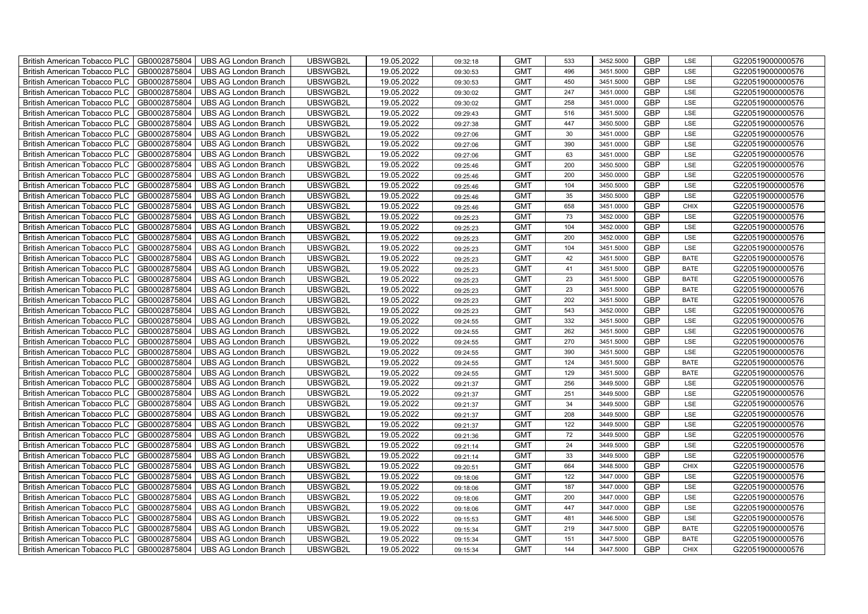| British American Tobacco PLC<br>GB0002875804        | <b>UBS AG London Branch</b> | UBSWGB2L | 19.05.2022 | 09:32:18 | <b>GMT</b> | 533 | 3452.5000 | <b>GBP</b> | LSE         | G220519000000576 |
|-----------------------------------------------------|-----------------------------|----------|------------|----------|------------|-----|-----------|------------|-------------|------------------|
| GB0002875804<br><b>British American Tobacco PLC</b> | <b>UBS AG London Branch</b> | UBSWGB2L | 19.05.2022 | 09:30:53 | <b>GMT</b> | 496 | 3451.5000 | <b>GBP</b> | LSE         | G220519000000576 |
| GB0002875804<br><b>British American Tobacco PLC</b> | <b>UBS AG London Branch</b> | UBSWGB2L | 19.05.2022 | 09:30:53 | <b>GMT</b> | 450 | 3451.5000 | <b>GBP</b> | LSE         | G220519000000576 |
| GB0002875804<br>British American Tobacco PLC        | <b>UBS AG London Branch</b> | UBSWGB2L | 19.05.2022 | 09:30:02 | <b>GMT</b> | 247 | 3451.0000 | <b>GBP</b> | LSE         | G220519000000576 |
| GB0002875804<br>British American Tobacco PLC        | <b>UBS AG London Branch</b> | UBSWGB2L | 19.05.2022 | 09:30:02 | <b>GMT</b> | 258 | 3451.0000 | <b>GBP</b> | LSE         | G220519000000576 |
| GB0002875804<br>British American Tobacco PLC        | <b>UBS AG London Branch</b> | UBSWGB2L | 19.05.2022 | 09:29:43 | <b>GMT</b> | 516 | 3451.5000 | <b>GBP</b> | LSE         | G220519000000576 |
| GB0002875804<br><b>British American Tobacco PLC</b> | <b>UBS AG London Branch</b> | UBSWGB2L | 19.05.2022 | 09:27:38 | <b>GMT</b> | 447 | 3450.5000 | <b>GBP</b> | LSE         | G220519000000576 |
| British American Tobacco PLC<br>GB0002875804        | <b>UBS AG London Branch</b> | UBSWGB2L | 19.05.2022 | 09:27:06 | <b>GMT</b> | 30  | 3451.0000 | <b>GBP</b> | LSE         | G220519000000576 |
| GB0002875804<br>British American Tobacco PLC        | <b>UBS AG London Branch</b> | UBSWGB2L | 19.05.2022 | 09:27:06 | <b>GMT</b> | 390 | 3451.0000 | <b>GBP</b> | LSE         | G220519000000576 |
| GB0002875804<br>British American Tobacco PLC        | <b>UBS AG London Branch</b> | UBSWGB2L | 19.05.2022 | 09:27:06 | <b>GMT</b> | 63  | 3451.0000 | <b>GBP</b> | LSE         | G220519000000576 |
| <b>British American Tobacco PLC</b><br>GB0002875804 | <b>UBS AG London Branch</b> | UBSWGB2L | 19.05.2022 | 09:25:46 | <b>GMT</b> | 200 | 3450.5000 | <b>GBP</b> | LSE         | G220519000000576 |
| GB0002875804<br><b>British American Tobacco PLC</b> | <b>UBS AG London Branch</b> | UBSWGB2L | 19.05.2022 | 09:25:46 | <b>GMT</b> | 200 | 3450.0000 | <b>GBP</b> | LSE         | G220519000000576 |
| GB0002875804<br>British American Tobacco PLC        | <b>UBS AG London Branch</b> | UBSWGB2L | 19.05.2022 | 09:25:46 | <b>GMT</b> | 104 | 3450.5000 | <b>GBP</b> | LSE         | G220519000000576 |
| GB0002875804<br>British American Tobacco PLC        | <b>UBS AG London Branch</b> | UBSWGB2L | 19.05.2022 | 09:25:46 | <b>GMT</b> | 35  | 3450.5000 | <b>GBP</b> | LSE         | G220519000000576 |
| GB0002875804<br>British American Tobacco PLC        | <b>UBS AG London Branch</b> | UBSWGB2L | 19.05.2022 | 09:25:46 | <b>GMT</b> | 658 | 3451.0000 | <b>GBP</b> | <b>CHIX</b> | G220519000000576 |
| GB0002875804<br>British American Tobacco PLC        | <b>UBS AG London Branch</b> | UBSWGB2L | 19.05.2022 | 09:25:23 | <b>GMT</b> | 73  | 3452.0000 | <b>GBP</b> | LSE         | G220519000000576 |
| British American Tobacco PLC<br>GB0002875804        | <b>UBS AG London Branch</b> | UBSWGB2L | 19.05.2022 | 09:25:23 | <b>GMT</b> | 104 | 3452.0000 | <b>GBP</b> | LSE         | G220519000000576 |
| GB0002875804<br>British American Tobacco PLC        | <b>UBS AG London Branch</b> | UBSWGB2L | 19.05.2022 | 09:25:23 | <b>GMT</b> | 200 | 3452.0000 | <b>GBP</b> | LSE         | G220519000000576 |
| GB0002875804<br>British American Tobacco PLC        | <b>UBS AG London Branch</b> | UBSWGB2L | 19.05.2022 | 09:25:23 | <b>GMT</b> | 104 | 3451.5000 | <b>GBP</b> | LSE         | G220519000000576 |
| <b>British American Tobacco PLC</b><br>GB0002875804 | <b>UBS AG London Branch</b> | UBSWGB2L | 19.05.2022 | 09:25:23 | <b>GMT</b> | 42  | 3451.5000 | GBP        | <b>BATE</b> | G220519000000576 |
| GB0002875804<br><b>British American Tobacco PLC</b> | <b>UBS AG London Branch</b> | UBSWGB2L | 19.05.2022 | 09:25:23 | <b>GMT</b> | 41  | 3451.5000 | <b>GBP</b> | <b>BATE</b> | G220519000000576 |
| GB0002875804<br>British American Tobacco PLC        | <b>UBS AG London Branch</b> | UBSWGB2L | 19.05.2022 | 09:25:23 | <b>GMT</b> | 23  | 3451.5000 | GBP        | <b>BATE</b> | G220519000000576 |
| GB0002875804<br>British American Tobacco PLC        | <b>UBS AG London Branch</b> | UBSWGB2L | 19.05.2022 | 09:25:23 | <b>GMT</b> | 23  | 3451.5000 | GBP        | <b>BATE</b> | G220519000000576 |
| GB0002875804<br>British American Tobacco PLC        | <b>UBS AG London Branch</b> | UBSWGB2L | 19.05.2022 | 09:25:23 | <b>GMT</b> | 202 | 3451.5000 | <b>GBP</b> | <b>BATE</b> | G220519000000576 |
| British American Tobacco PLC<br>GB0002875804        | <b>UBS AG London Branch</b> | UBSWGB2L | 19.05.2022 | 09:25:23 | <b>GMT</b> | 543 | 3452.0000 | <b>GBP</b> | LSE         | G220519000000576 |
| GB0002875804<br>British American Tobacco PLC        | <b>UBS AG London Branch</b> | UBSWGB2L | 19.05.2022 | 09:24:55 | <b>GMT</b> | 332 | 3451.5000 | <b>GBP</b> | LSE         | G220519000000576 |
| GB0002875804<br>British American Tobacco PLC        | <b>UBS AG London Branch</b> | UBSWGB2L | 19.05.2022 | 09:24:55 | <b>GMT</b> | 262 | 3451.5000 | GBP        | LSE         | G220519000000576 |
| GB0002875804<br>British American Tobacco PLC        | <b>UBS AG London Branch</b> | UBSWGB2L | 19.05.2022 | 09:24:55 | <b>GMT</b> | 270 | 3451.5000 | <b>GBP</b> | LSE         | G220519000000576 |
| <b>British American Tobacco PLC</b><br>GB0002875804 | <b>UBS AG London Branch</b> | UBSWGB2L | 19.05.2022 | 09:24:55 | <b>GMT</b> | 390 | 3451.5000 | <b>GBP</b> | LSE         | G220519000000576 |
| GB0002875804<br><b>British American Tobacco PLC</b> | <b>UBS AG London Branch</b> | UBSWGB2L | 19.05.2022 | 09:24:55 | <b>GMT</b> | 124 | 3451.5000 | <b>GBP</b> | <b>BATE</b> | G220519000000576 |
| GB0002875804<br>British American Tobacco PLC        | <b>UBS AG London Branch</b> | UBSWGB2L | 19.05.2022 | 09:24:55 | <b>GMT</b> | 129 | 3451.5000 | <b>GBP</b> | <b>BATE</b> | G220519000000576 |
| GB0002875804<br>British American Tobacco PLC        | <b>UBS AG London Branch</b> | UBSWGB2L | 19.05.2022 | 09:21:37 | <b>GMT</b> | 256 | 3449.5000 | GBP        | LSE         | G220519000000576 |
| British American Tobacco PLC<br>GB0002875804        | <b>UBS AG London Branch</b> | UBSWGB2L | 19.05.2022 | 09:21:37 | <b>GMT</b> | 251 | 3449.5000 | <b>GBP</b> | LSE         | G220519000000576 |
| British American Tobacco PLC<br>GB0002875804        | <b>UBS AG London Branch</b> | UBSWGB2L | 19.05.2022 | 09:21:37 | <b>GMT</b> | 34  | 3449.5000 | <b>GBP</b> | LSE         | G220519000000576 |
| GB0002875804<br>British American Tobacco PLC        | <b>UBS AG London Branch</b> | UBSWGB2L | 19.05.2022 | 09:21:37 | <b>GMT</b> | 208 | 3449.5000 | <b>GBP</b> | LSE         | G220519000000576 |
| GB0002875804<br>British American Tobacco PLC        | <b>UBS AG London Branch</b> | UBSWGB2L | 19.05.2022 | 09:21:37 | <b>GMT</b> | 122 | 3449.5000 | GBP        | LSE         | G220519000000576 |
| GB0002875804<br>British American Tobacco PLC        | <b>UBS AG London Branch</b> | UBSWGB2L | 19.05.2022 | 09:21:36 | <b>GMT</b> | 72  | 3449.5000 | <b>GBP</b> | LSE         | G220519000000576 |
| <b>British American Tobacco PLC</b><br>GB0002875804 | <b>UBS AG London Branch</b> | UBSWGB2L | 19.05.2022 | 09:21:14 | <b>GMT</b> | 24  | 3449.5000 | <b>GBP</b> | LSE         | G220519000000576 |
| GB0002875804<br>British American Tobacco PLC        | <b>UBS AG London Branch</b> | UBSWGB2L | 19.05.2022 | 09:21:14 | <b>GMT</b> | 33  | 3449.5000 | <b>GBP</b> | LSE         | G220519000000576 |
| GB0002875804<br><b>British American Tobacco PLC</b> | <b>UBS AG London Branch</b> | UBSWGB2L | 19.05.2022 | 09:20:51 | <b>GMT</b> | 664 | 3448.5000 | <b>GBP</b> | <b>CHIX</b> | G220519000000576 |
| British American Tobacco PLC<br>GB0002875804        | <b>UBS AG London Branch</b> | UBSWGB2L | 19.05.2022 | 09:18:06 | <b>GMT</b> | 122 | 3447.0000 | GBP        | LSE         | G220519000000576 |
| British American Tobacco PLC<br>GB0002875804        | <b>UBS AG London Branch</b> | UBSWGB2L | 19.05.2022 | 09:18:06 | <b>GMT</b> | 187 | 3447.0000 | <b>GBP</b> | LSE         | G220519000000576 |
| British American Tobacco PLC<br>GB0002875804        | <b>UBS AG London Branch</b> | UBSWGB2L | 19.05.2022 | 09:18:06 | <b>GMT</b> | 200 | 3447.0000 | <b>GBP</b> | LSE         | G220519000000576 |
| GB0002875804<br><b>British American Tobacco PLC</b> | <b>UBS AG London Branch</b> | UBSWGB2L | 19.05.2022 | 09:18:06 | <b>GMT</b> | 447 | 3447.0000 | <b>GBP</b> | LSE         | G220519000000576 |
| GB0002875804<br><b>British American Tobacco PLC</b> | <b>UBS AG London Branch</b> | UBSWGB2L | 19.05.2022 | 09:15:53 | <b>GMT</b> | 481 | 3446.5000 | GBP        | LSE         | G220519000000576 |
| GB0002875804<br><b>British American Tobacco PLC</b> | <b>UBS AG London Branch</b> | UBSWGB2L | 19.05.2022 | 09:15:34 | <b>GMT</b> | 219 | 3447.5000 | <b>GBP</b> | <b>BATE</b> | G220519000000576 |
| <b>British American Tobacco PLC</b><br>GB0002875804 | <b>UBS AG London Branch</b> | UBSWGB2L | 19.05.2022 | 09:15:34 | <b>GMT</b> | 151 | 3447.5000 | <b>GBP</b> | <b>BATE</b> | G220519000000576 |
| GB0002875804<br>British American Tobacco PLC        | <b>UBS AG London Branch</b> | UBSWGB2L | 19.05.2022 | 09:15:34 | <b>GMT</b> | 144 | 3447.5000 | <b>GBP</b> | <b>CHIX</b> | G220519000000576 |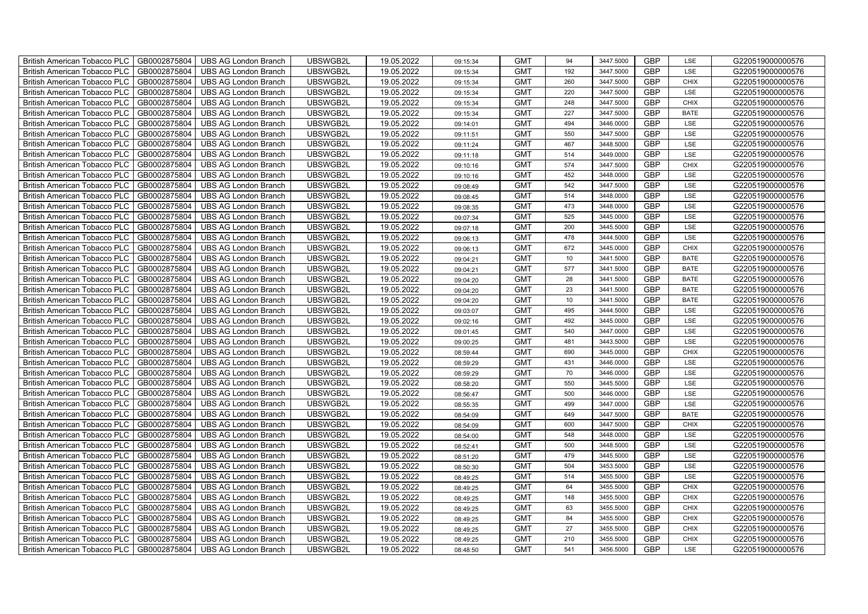| British American Tobacco PLC<br>GB0002875804        | <b>UBS AG London Branch</b> | UBSWGB2L | 19.05.2022 | 09:15:34 | <b>GMT</b> | 94              | 3447.5000 | <b>GBP</b> | LSE         | G220519000000576 |
|-----------------------------------------------------|-----------------------------|----------|------------|----------|------------|-----------------|-----------|------------|-------------|------------------|
| GB0002875804<br><b>British American Tobacco PLC</b> | <b>UBS AG London Branch</b> | UBSWGB2L | 19.05.2022 | 09:15:34 | <b>GMT</b> | 192             | 3447.5000 | <b>GBP</b> | LSE         | G220519000000576 |
| GB0002875804<br><b>British American Tobacco PLC</b> | <b>UBS AG London Branch</b> | UBSWGB2L | 19.05.2022 | 09:15:34 | <b>GMT</b> | 260             | 3447.5000 | <b>GBP</b> | <b>CHIX</b> | G220519000000576 |
| GB0002875804<br>British American Tobacco PLC        | <b>UBS AG London Branch</b> | UBSWGB2L | 19.05.2022 | 09:15:34 | <b>GMT</b> | 220             | 3447.5000 | <b>GBP</b> | LSE         | G220519000000576 |
| GB0002875804<br>British American Tobacco PLC        | <b>UBS AG London Branch</b> | UBSWGB2L | 19.05.2022 | 09:15:34 | <b>GMT</b> | 248             | 3447.5000 | <b>GBP</b> | <b>CHIX</b> | G220519000000576 |
| GB0002875804<br>British American Tobacco PLC        | <b>UBS AG London Branch</b> | UBSWGB2L | 19.05.2022 | 09:15:34 | <b>GMT</b> | 227             | 3447.5000 | <b>GBP</b> | <b>BATE</b> | G220519000000576 |
| GB0002875804<br><b>British American Tobacco PLC</b> | <b>UBS AG London Branch</b> | UBSWGB2L | 19.05.2022 | 09:14:01 | <b>GMT</b> | 494             | 3446.0000 | <b>GBP</b> | LSE         | G220519000000576 |
| British American Tobacco PLC<br>GB0002875804        | <b>UBS AG London Branch</b> | UBSWGB2L | 19.05.2022 | 09:11:51 | <b>GMT</b> | 550             | 3447.5000 | <b>GBP</b> | LSE         | G220519000000576 |
| GB0002875804<br>British American Tobacco PLC        | <b>UBS AG London Branch</b> | UBSWGB2L | 19.05.2022 | 09:11:24 | <b>GMT</b> | 467             | 3448.5000 | <b>GBP</b> | LSE         | G220519000000576 |
| GB0002875804<br>British American Tobacco PLC        | <b>UBS AG London Branch</b> | UBSWGB2L | 19.05.2022 | 09:11:18 | <b>GMT</b> | 514             | 3449.0000 | <b>GBP</b> | LSE         | G220519000000576 |
| <b>British American Tobacco PLC</b><br>GB0002875804 | <b>UBS AG London Branch</b> | UBSWGB2L | 19.05.2022 | 09:10:16 | <b>GMT</b> | 574             | 3447.5000 | <b>GBP</b> | <b>CHIX</b> | G220519000000576 |
| GB0002875804<br><b>British American Tobacco PLC</b> | <b>UBS AG London Branch</b> | UBSWGB2L | 19.05.2022 | 09:10:16 | <b>GMT</b> | 452             | 3448.0000 | <b>GBP</b> | LSE         | G220519000000576 |
| GB0002875804<br>British American Tobacco PLC        | <b>UBS AG London Branch</b> | UBSWGB2L | 19.05.2022 | 09:08:49 | <b>GMT</b> | 542             | 3447.5000 | <b>GBP</b> | LSE         | G220519000000576 |
| GB0002875804<br>British American Tobacco PLC        | <b>UBS AG London Branch</b> | UBSWGB2L | 19.05.2022 | 09:08:45 | <b>GMT</b> | 514             | 3448.0000 | <b>GBP</b> | LSE         | G220519000000576 |
| GB0002875804<br>British American Tobacco PLC        | <b>UBS AG London Branch</b> | UBSWGB2L | 19.05.2022 | 09:08:35 | <b>GMT</b> | 473             | 3448.0000 | <b>GBP</b> | LSE         | G220519000000576 |
| GB0002875804<br>British American Tobacco PLC        | <b>UBS AG London Branch</b> | UBSWGB2L | 19.05.2022 | 09:07:34 | <b>GMT</b> | 525             | 3445.0000 | GBP        | LSE         | G220519000000576 |
| British American Tobacco PLC<br>GB0002875804        | <b>UBS AG London Branch</b> | UBSWGB2L | 19.05.2022 | 09:07:18 | <b>GMT</b> | 200             | 3445.5000 | <b>GBP</b> | LSE         | G220519000000576 |
| GB0002875804<br>British American Tobacco PLC        | <b>UBS AG London Branch</b> | UBSWGB2L | 19.05.2022 | 09:06:13 | <b>GMT</b> | 478             | 3444.5000 | <b>GBP</b> | LSE         | G220519000000576 |
| GB0002875804<br>British American Tobacco PLC        | <b>UBS AG London Branch</b> | UBSWGB2L | 19.05.2022 | 09:06:13 | <b>GMT</b> | 672             | 3445.0000 | <b>GBP</b> | <b>CHIX</b> | G220519000000576 |
| <b>British American Tobacco PLC</b><br>GB0002875804 | <b>UBS AG London Branch</b> | UBSWGB2L | 19.05.2022 | 09:04:21 | <b>GMT</b> | 10 <sup>1</sup> | 3441.5000 | GBP        | <b>BATE</b> | G220519000000576 |
| GB0002875804<br><b>British American Tobacco PLC</b> | <b>UBS AG London Branch</b> | UBSWGB2L | 19.05.2022 | 09:04:21 | <b>GMT</b> | 577             | 3441.5000 | <b>GBP</b> | <b>BATE</b> | G220519000000576 |
| GB0002875804<br>British American Tobacco PLC        | <b>UBS AG London Branch</b> | UBSWGB2L | 19.05.2022 | 09:04:20 | <b>GMT</b> | 28              | 3441.5000 | GBP        | <b>BATE</b> | G220519000000576 |
| GB0002875804<br>British American Tobacco PLC        | <b>UBS AG London Branch</b> | UBSWGB2L | 19.05.2022 | 09:04:20 | <b>GMT</b> | 23              | 3441.5000 | GBP        | <b>BATE</b> | G220519000000576 |
| GB0002875804<br>British American Tobacco PLC        | <b>UBS AG London Branch</b> | UBSWGB2L | 19.05.2022 | 09:04:20 | <b>GMT</b> | 10              | 3441.5000 | GBP        | <b>BATE</b> | G220519000000576 |
| British American Tobacco PLC<br>GB0002875804        | <b>UBS AG London Branch</b> | UBSWGB2L | 19.05.2022 | 09:03:07 | <b>GMT</b> | 495             | 3444.5000 | GBP        | LSE         | G220519000000576 |
| GB0002875804<br>British American Tobacco PLC        | <b>UBS AG London Branch</b> | UBSWGB2L | 19.05.2022 | 09:02:16 | <b>GMT</b> | 492             | 3445.0000 | <b>GBP</b> | LSE         | G220519000000576 |
| GB0002875804<br>British American Tobacco PLC        | <b>UBS AG London Branch</b> | UBSWGB2L | 19.05.2022 | 09:01:45 | <b>GMT</b> | 540             | 3447.0000 | GBP        | LSE         | G220519000000576 |
| GB0002875804<br>British American Tobacco PLC        | <b>UBS AG London Branch</b> | UBSWGB2L | 19.05.2022 | 09:00:25 | <b>GMT</b> | 481             | 3443.5000 | <b>GBP</b> | LSE         | G220519000000576 |
| <b>British American Tobacco PLC</b><br>GB0002875804 | <b>UBS AG London Branch</b> | UBSWGB2L | 19.05.2022 | 08:59:44 | <b>GMT</b> | 690             | 3445.0000 | <b>GBP</b> | CHIX        | G220519000000576 |
| GB0002875804<br><b>British American Tobacco PLC</b> | <b>UBS AG London Branch</b> | UBSWGB2L | 19.05.2022 | 08:59:29 | <b>GMT</b> | 431             | 3446.0000 | <b>GBP</b> | LSE         | G220519000000576 |
| GB0002875804<br>British American Tobacco PLC        | <b>UBS AG London Branch</b> | UBSWGB2L | 19.05.2022 | 08:59:29 | <b>GMT</b> | 70              | 3446.0000 | GBP        | LSE         | G220519000000576 |
| GB0002875804<br>British American Tobacco PLC        | <b>UBS AG London Branch</b> | UBSWGB2L | 19.05.2022 | 08:58:20 | <b>GMT</b> | 550             | 3445.5000 | GBP        | LSE         | G220519000000576 |
| British American Tobacco PLC<br>GB0002875804        | <b>UBS AG London Branch</b> | UBSWGB2L | 19.05.2022 | 08:56:47 | <b>GMT</b> | 500             | 3446.0000 | GBP        | LSE         | G220519000000576 |
| British American Tobacco PLC<br>GB0002875804        | <b>UBS AG London Branch</b> | UBSWGB2L | 19.05.2022 | 08:55:35 | <b>GMT</b> | 499             | 3447.0000 | <b>GBP</b> | LSE         | G220519000000576 |
| GB0002875804<br>British American Tobacco PLC        | <b>UBS AG London Branch</b> | UBSWGB2L | 19.05.2022 | 08:54:09 | <b>GMT</b> | 649             | 3447.5000 | <b>GBP</b> | <b>BATE</b> | G220519000000576 |
| GB0002875804<br>British American Tobacco PLC        | <b>UBS AG London Branch</b> | UBSWGB2L | 19.05.2022 | 08:54:09 | <b>GMT</b> | 600             | 3447.5000 | GBP        | CHIX        | G220519000000576 |
| GB0002875804<br>British American Tobacco PLC        | <b>UBS AG London Branch</b> | UBSWGB2L | 19.05.2022 | 08:54:00 | <b>GMT</b> | 548             | 3448.0000 | GBP        | LSE         | G220519000000576 |
| <b>British American Tobacco PLC</b><br>GB0002875804 | <b>UBS AG London Branch</b> | UBSWGB2L | 19.05.2022 | 08:52:41 | <b>GMT</b> | 500             | 3448.5000 | <b>GBP</b> | LSE         | G220519000000576 |
| GB0002875804<br>British American Tobacco PLC        | <b>UBS AG London Branch</b> | UBSWGB2L | 19.05.2022 | 08:51:20 | <b>GMT</b> | 479             | 3445.5000 | <b>GBP</b> | LSE         | G220519000000576 |
| GB0002875804<br>British American Tobacco PLC        | <b>UBS AG London Branch</b> | UBSWGB2L | 19.05.2022 | 08:50:30 | <b>GMT</b> | 504             | 3453.5000 | GBP        | LSE         | G220519000000576 |
| British American Tobacco PLC<br>GB0002875804        | <b>UBS AG London Branch</b> | UBSWGB2L | 19.05.2022 | 08:49:25 | <b>GMT</b> | 514             | 3455.5000 | GBP        | LSE         | G220519000000576 |
| British American Tobacco PLC<br>GB0002875804        | <b>UBS AG London Branch</b> | UBSWGB2L | 19.05.2022 | 08:49:25 | <b>GMT</b> | 64              | 3455.5000 | GBP        | <b>CHIX</b> | G220519000000576 |
| British American Tobacco PLC<br>GB0002875804        | <b>UBS AG London Branch</b> | UBSWGB2L | 19.05.2022 | 08:49:25 | <b>GMT</b> | 148             | 3455.5000 | <b>GBP</b> | <b>CHIX</b> | G220519000000576 |
| GB0002875804<br>British American Tobacco PLC        | <b>UBS AG London Branch</b> | UBSWGB2L | 19.05.2022 | 08:49:25 | <b>GMT</b> | 63              | 3455.5000 | <b>GBP</b> | <b>CHIX</b> | G220519000000576 |
| GB0002875804<br><b>British American Tobacco PLC</b> | <b>UBS AG London Branch</b> | UBSWGB2L | 19.05.2022 | 08:49:25 | <b>GMT</b> | 84              | 3455.5000 | <b>GBP</b> | <b>CHIX</b> | G220519000000576 |
| GB0002875804<br><b>British American Tobacco PLC</b> | <b>UBS AG London Branch</b> | UBSWGB2L | 19.05.2022 | 08:49:25 | <b>GMT</b> | 27              | 3455.5000 | GBP        | <b>CHIX</b> | G220519000000576 |
| <b>British American Tobacco PLC</b><br>GB0002875804 | <b>UBS AG London Branch</b> | UBSWGB2L | 19.05.2022 | 08:49:25 | <b>GMT</b> | 210             | 3455.5000 | <b>GBP</b> | <b>CHIX</b> | G220519000000576 |
| GB0002875804<br>British American Tobacco PLC        | <b>UBS AG London Branch</b> | UBSWGB2L | 19.05.2022 | 08:48:50 | <b>GMT</b> | 541             | 3456.5000 | <b>GBP</b> | LSE         | G220519000000576 |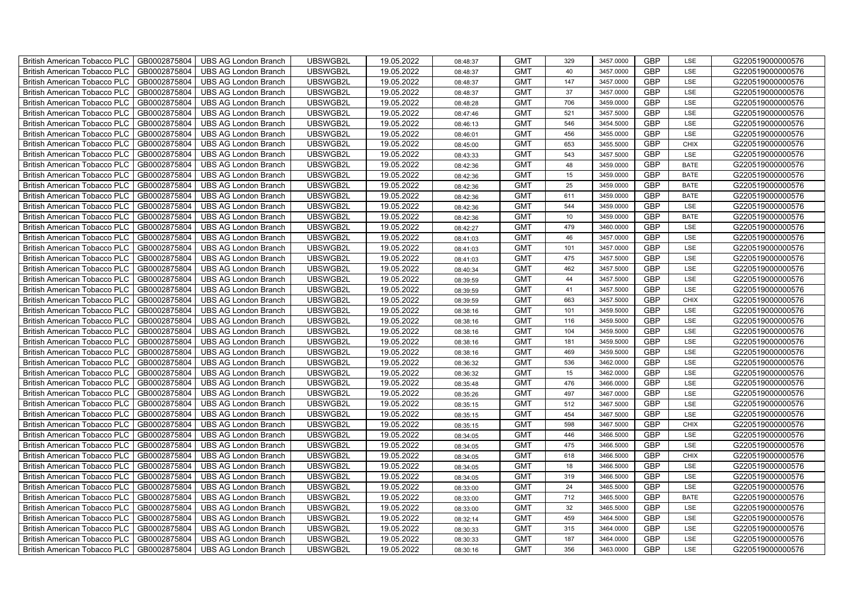| British American Tobacco PLC   GB0002875804 |              | <b>UBS AG London Branch</b> | UBSWGB2L | 19.05.2022 | 08:48:37 | <b>GMT</b> | 329 | 3457.0000 | <b>GBP</b> | LSE         | G220519000000576 |
|---------------------------------------------|--------------|-----------------------------|----------|------------|----------|------------|-----|-----------|------------|-------------|------------------|
| <b>British American Tobacco PLC</b>         | GB0002875804 | <b>UBS AG London Branch</b> | UBSWGB2L | 19.05.2022 | 08:48:37 | <b>GMT</b> | 40  | 3457.0000 | <b>GBP</b> | LSE         | G220519000000576 |
| <b>British American Tobacco PLC</b>         | GB0002875804 | UBS AG London Branch        | UBSWGB2L | 19.05.2022 | 08:48:37 | <b>GMT</b> | 147 | 3457.0000 | <b>GBP</b> | LSE         | G220519000000576 |
| British American Tobacco PLC                | GB0002875804 | <b>UBS AG London Branch</b> | UBSWGB2L | 19.05.2022 | 08:48:37 | <b>GMT</b> | 37  | 3457.0000 | <b>GBP</b> | LSE         | G220519000000576 |
| British American Tobacco PLC                | GB0002875804 | <b>UBS AG London Branch</b> | UBSWGB2L | 19.05.2022 | 08:48:28 | <b>GMT</b> | 706 | 3459.0000 | <b>GBP</b> | LSE         | G220519000000576 |
| British American Tobacco PLC                | GB0002875804 | <b>UBS AG London Branch</b> | UBSWGB2L | 19.05.2022 | 08:47:46 | <b>GMT</b> | 521 | 3457.5000 | GBP        | LSE         | G220519000000576 |
| British American Tobacco PLC                | GB0002875804 | <b>UBS AG London Branch</b> | UBSWGB2L | 19.05.2022 | 08:46:13 | <b>GMT</b> | 546 | 3454.5000 | <b>GBP</b> | LSE         | G220519000000576 |
| British American Tobacco PLC                | GB0002875804 | <b>UBS AG London Branch</b> | UBSWGB2L | 19.05.2022 | 08:46:01 | <b>GMT</b> | 456 | 3455.0000 | <b>GBP</b> | LSE         | G220519000000576 |
| British American Tobacco PLC                | GB0002875804 | <b>UBS AG London Branch</b> | UBSWGB2L | 19.05.2022 | 08:45:00 | <b>GMT</b> | 653 | 3455.5000 | <b>GBP</b> | <b>CHIX</b> | G220519000000576 |
| British American Tobacco PLC                | GB0002875804 | <b>UBS AG London Branch</b> | UBSWGB2L | 19.05.2022 | 08:43:33 | <b>GMT</b> | 543 | 3457.5000 | <b>GBP</b> | LSE         | G220519000000576 |
| <b>British American Tobacco PLC</b>         | GB0002875804 | <b>UBS AG London Branch</b> | UBSWGB2L | 19.05.2022 | 08:42:36 | <b>GMT</b> | 48  | 3459.0000 | <b>GBP</b> | <b>BATE</b> | G220519000000576 |
| British American Tobacco PLC                | GB0002875804 | UBS AG London Branch        | UBSWGB2L | 19.05.2022 | 08:42:36 | <b>GMT</b> | 15  | 3459.0000 | <b>GBP</b> | <b>BATE</b> | G220519000000576 |
| British American Tobacco PLC                | GB0002875804 | UBS AG London Branch        | UBSWGB2L | 19.05.2022 | 08:42:36 | <b>GMT</b> | 25  | 3459.0000 | GBP        | <b>BATE</b> | G220519000000576 |
| British American Tobacco PLC                | GB0002875804 | UBS AG London Branch        | UBSWGB2L | 19.05.2022 | 08:42:36 | <b>GMT</b> | 611 | 3459.0000 | <b>GBP</b> | <b>BATE</b> | G220519000000576 |
| British American Tobacco PLC                | GB0002875804 | UBS AG London Branch        | UBSWGB2L | 19.05.2022 | 08:42:36 | <b>GMT</b> | 544 | 3459.0000 | GBP        | LSE         | G220519000000576 |
| British American Tobacco PLC                | GB0002875804 | UBS AG London Branch        | UBSWGB2L | 19.05.2022 | 08:42:36 | <b>GMT</b> | 10  | 3459.0000 | <b>GBP</b> | <b>BATE</b> | G220519000000576 |
| British American Tobacco PLC                | GB0002875804 | UBS AG London Branch        | UBSWGB2L | 19.05.2022 | 08:42:27 | <b>GMT</b> | 479 | 3460.0000 | <b>GBP</b> | LSE         | G220519000000576 |
| <b>British American Tobacco PLC</b>         | GB0002875804 | UBS AG London Branch        | UBSWGB2L | 19.05.2022 | 08:41:03 | <b>GMT</b> | 46  | 3457.0000 | GBP        | LSE         | G220519000000576 |
| <b>British American Tobacco PLC</b>         | GB0002875804 | <b>UBS AG London Branch</b> | UBSWGB2L | 19.05.2022 | 08:41:03 | <b>GMT</b> | 101 | 3457.0000 | <b>GBP</b> | LSE         | G220519000000576 |
| <b>British American Tobacco PLC</b>         | GB0002875804 | <b>UBS AG London Branch</b> | UBSWGB2L | 19.05.2022 | 08:41:03 | <b>GMT</b> | 475 | 3457.5000 | <b>GBP</b> | LSE         | G220519000000576 |
| British American Tobacco PLC                | GB0002875804 | <b>UBS AG London Branch</b> | UBSWGB2L | 19.05.2022 | 08:40:34 | <b>GMT</b> | 462 | 3457.5000 | <b>GBP</b> | LSE         | G220519000000576 |
| British American Tobacco PLC                | GB0002875804 | UBS AG London Branch        | UBSWGB2L | 19.05.2022 | 08:39:59 | <b>GMT</b> | 44  | 3457.5000 | <b>GBP</b> | LSE         | G220519000000576 |
| British American Tobacco PLC                | GB0002875804 | UBS AG London Branch        | UBSWGB2L | 19.05.2022 | 08:39:59 | <b>GMT</b> | 41  | 3457.5000 | <b>GBP</b> | LSE         | G220519000000576 |
| <b>British American Tobacco PLC</b>         | GB0002875804 | UBS AG London Branch        | UBSWGB2L | 19.05.2022 | 08:39:59 | <b>GMT</b> | 663 | 3457.5000 | <b>GBP</b> | <b>CHIX</b> | G220519000000576 |
| <b>British American Tobacco PLC</b>         | GB0002875804 | UBS AG London Branch        | UBSWGB2L | 19.05.2022 | 08:38:16 | <b>GMT</b> | 101 | 3459.5000 | <b>GBP</b> | LSE         | G220519000000576 |
| <b>British American Tobacco PLC</b>         | GB0002875804 | <b>UBS AG London Branch</b> | UBSWGB2L | 19.05.2022 | 08:38:16 | <b>GMT</b> | 116 | 3459.5000 | <b>GBP</b> | LSE         | G220519000000576 |
| <b>British American Tobacco PLC</b>         | GB0002875804 | <b>UBS AG London Branch</b> | UBSWGB2L | 19.05.2022 | 08:38:16 | <b>GMT</b> | 104 | 3459.5000 | <b>GBP</b> | LSE         | G220519000000576 |
| <b>British American Tobacco PLC</b>         | GB0002875804 | <b>UBS AG London Branch</b> | UBSWGB2L | 19.05.2022 | 08:38:16 | <b>GMT</b> | 181 | 3459.5000 | <b>GBP</b> | LSE         | G220519000000576 |
| <b>British American Tobacco PLC</b>         | GB0002875804 | <b>UBS AG London Branch</b> | UBSWGB2L | 19.05.2022 | 08:38:16 | <b>GMT</b> | 469 | 3459.5000 | <b>GBP</b> | LSE         | G220519000000576 |
| <b>British American Tobacco PLC</b>         | GB0002875804 | <b>UBS AG London Branch</b> | UBSWGB2L | 19.05.2022 | 08:36:32 | <b>GMT</b> | 536 | 3462.0000 | <b>GBP</b> | LSE         | G220519000000576 |
| <b>British American Tobacco PLC</b>         | GB0002875804 | UBS AG London Branch        | UBSWGB2L | 19.05.2022 | 08:36:32 | <b>GMT</b> | 15  | 3462.0000 | <b>GBP</b> | LSE         | G220519000000576 |
| British American Tobacco PLC                | GB0002875804 | UBS AG London Branch        | UBSWGB2L | 19.05.2022 | 08:35:48 | <b>GMT</b> | 476 | 3466.0000 | <b>GBP</b> | LSE         | G220519000000576 |
| <b>British American Tobacco PLC</b>         | GB0002875804 | <b>UBS AG London Branch</b> | UBSWGB2L | 19.05.2022 | 08:35:26 | <b>GMT</b> | 497 | 3467.0000 | <b>GBP</b> | LSE         | G220519000000576 |
| <b>British American Tobacco PLC</b>         | GB0002875804 | <b>UBS AG London Branch</b> | UBSWGB2L | 19.05.2022 | 08:35:15 | <b>GMT</b> | 512 | 3467.5000 | <b>GBP</b> | LSE         | G220519000000576 |
| <b>British American Tobacco PLC</b>         | GB0002875804 | <b>UBS AG London Branch</b> | UBSWGB2L | 19.05.2022 | 08:35:15 | <b>GMT</b> | 454 | 3467.5000 | <b>GBP</b> | LSE         | G220519000000576 |
| <b>British American Tobacco PLC</b>         | GB0002875804 | <b>UBS AG London Branch</b> | UBSWGB2L | 19.05.2022 | 08:35:15 | <b>GMT</b> | 598 | 3467.5000 | <b>GBP</b> | <b>CHIX</b> | G220519000000576 |
| <b>British American Tobacco PLC</b>         | GB0002875804 | <b>UBS AG London Branch</b> | UBSWGB2L | 19.05.2022 | 08:34:05 | <b>GMT</b> | 446 | 3466.5000 | <b>GBP</b> | LSE         | G220519000000576 |
| <b>British American Tobacco PLC</b>         | GB0002875804 | <b>UBS AG London Branch</b> | UBSWGB2L | 19.05.2022 | 08:34:05 | <b>GMT</b> | 475 | 3466.5000 | <b>GBP</b> | LSE         | G220519000000576 |
| British American Tobacco PLC                | GB0002875804 | <b>UBS AG London Branch</b> | UBSWGB2L | 19.05.2022 | 08:34:05 | <b>GMT</b> | 618 | 3466.5000 | <b>GBP</b> | <b>CHIX</b> | G220519000000576 |
| British American Tobacco PLC                | GB0002875804 | <b>UBS AG London Branch</b> | UBSWGB2L | 19.05.2022 | 08:34:05 | <b>GMT</b> | 18  | 3466.5000 | <b>GBP</b> | LSE         | G220519000000576 |
| British American Tobacco PLC                | GB0002875804 | <b>UBS AG London Branch</b> | UBSWGB2L | 19.05.2022 | 08:34:05 | <b>GMT</b> | 319 | 3466.5000 | <b>GBP</b> | LSE         | G220519000000576 |
| British American Tobacco PLC                | GB0002875804 | <b>UBS AG London Branch</b> | UBSWGB2L | 19.05.2022 | 08:33:00 | <b>GMT</b> | 24  | 3465.5000 | <b>GBP</b> | LSE         | G220519000000576 |
| British American Tobacco PLC                | GB0002875804 | <b>UBS AG London Branch</b> | UBSWGB2L | 19.05.2022 | 08:33:00 | <b>GMT</b> | 712 | 3465.5000 | <b>GBP</b> | <b>BATE</b> | G220519000000576 |
| British American Tobacco PLC                | GB0002875804 | <b>UBS AG London Branch</b> | UBSWGB2L | 19.05.2022 | 08:33:00 | <b>GMT</b> | 32  | 3465.5000 | <b>GBP</b> | LSE         | G220519000000576 |
| British American Tobacco PLC                | GB0002875804 | <b>UBS AG London Branch</b> | UBSWGB2L | 19.05.2022 | 08:32:14 | <b>GMT</b> | 459 | 3464.5000 | <b>GBP</b> | LSE         | G220519000000576 |
| British American Tobacco PLC                | GB0002875804 | <b>UBS AG London Branch</b> | UBSWGB2L | 19.05.2022 | 08:30:33 | <b>GMT</b> | 315 | 3464.0000 | <b>GBP</b> | LSE         | G220519000000576 |
| <b>British American Tobacco PLC</b>         | GB0002875804 | <b>UBS AG London Branch</b> | UBSWGB2L | 19.05.2022 | 08:30:33 | <b>GMT</b> | 187 | 3464.0000 | <b>GBP</b> | LSE         | G220519000000576 |
| British American Tobacco PLC                | GB0002875804 | <b>UBS AG London Branch</b> | UBSWGB2L | 19.05.2022 | 08:30:16 | <b>GMT</b> | 356 | 3463.0000 | <b>GBP</b> | LSE         | G220519000000576 |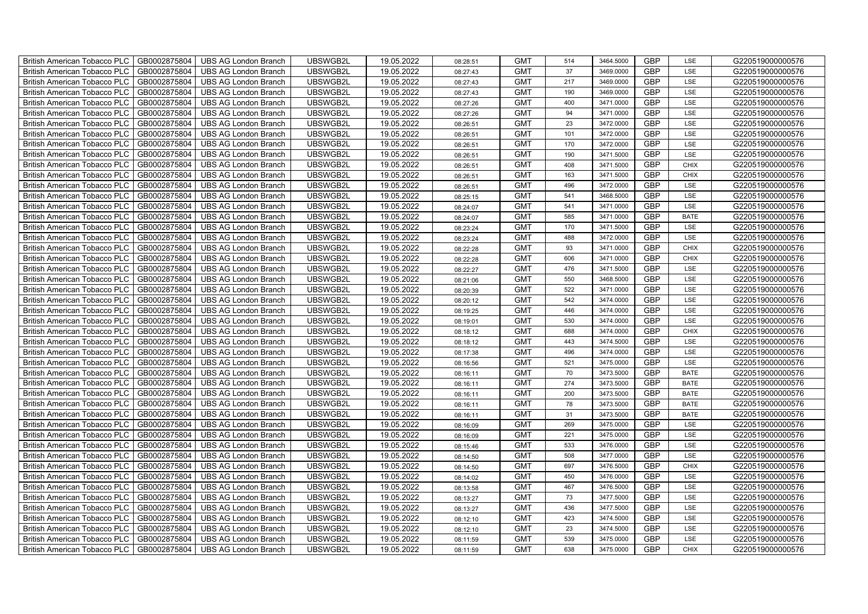| British American Tobacco PLC   GB0002875804 |              | <b>UBS AG London Branch</b> | UBSWGB2L | 19.05.2022 | 08:28:51 | <b>GMT</b> | 514 | 3464.5000 | <b>GBP</b> | LSE         | G220519000000576 |
|---------------------------------------------|--------------|-----------------------------|----------|------------|----------|------------|-----|-----------|------------|-------------|------------------|
| <b>British American Tobacco PLC</b>         | GB0002875804 | <b>UBS AG London Branch</b> | UBSWGB2L | 19.05.2022 | 08:27:43 | <b>GMT</b> | 37  | 3469.0000 | <b>GBP</b> | LSE         | G220519000000576 |
| <b>British American Tobacco PLC</b>         | GB0002875804 | UBS AG London Branch        | UBSWGB2L | 19.05.2022 | 08:27:43 | <b>GMT</b> | 217 | 3469.0000 | <b>GBP</b> | LSE         | G220519000000576 |
| <b>British American Tobacco PLC</b>         | GB0002875804 | <b>UBS AG London Branch</b> | UBSWGB2L | 19.05.2022 | 08:27:43 | <b>GMT</b> | 190 | 3469.0000 | <b>GBP</b> | LSE         | G220519000000576 |
| <b>British American Tobacco PLC</b>         | GB0002875804 | UBS AG London Branch        | UBSWGB2L | 19.05.2022 | 08:27:26 | <b>GMT</b> | 400 | 3471.0000 | <b>GBP</b> | LSE         | G220519000000576 |
| <b>British American Tobacco PLC</b>         | GB0002875804 | <b>UBS AG London Branch</b> | UBSWGB2L | 19.05.2022 | 08:27:26 | <b>GMT</b> | 94  | 3471.0000 | <b>GBP</b> | LSE         | G220519000000576 |
| <b>British American Tobacco PLC</b>         | GB0002875804 | <b>UBS AG London Branch</b> | UBSWGB2L | 19.05.2022 | 08:26:51 | <b>GMT</b> | 23  | 3472.0000 | <b>GBP</b> | LSE         | G220519000000576 |
| <b>British American Tobacco PLC</b>         | GB0002875804 | UBS AG London Branch        | UBSWGB2L | 19.05.2022 | 08:26:51 | <b>GMT</b> | 101 | 3472.0000 | <b>GBP</b> | LSE         | G220519000000576 |
| <b>British American Tobacco PLC</b>         | GB0002875804 | <b>UBS AG London Branch</b> | UBSWGB2L | 19.05.2022 | 08:26:51 | <b>GMT</b> | 170 | 3472.0000 | <b>GBP</b> | LSE         | G220519000000576 |
| <b>British American Tobacco PLC</b>         | GB0002875804 | <b>UBS AG London Branch</b> | UBSWGB2L | 19.05.2022 | 08:26:51 | <b>GMT</b> | 190 | 3471.5000 | <b>GBP</b> | LSE         | G220519000000576 |
| British American Tobacco PLC                | GB0002875804 | <b>UBS AG London Branch</b> | UBSWGB2L | 19.05.2022 | 08:26:51 | <b>GMT</b> | 408 | 3471.5000 | <b>GBP</b> | <b>CHIX</b> | G220519000000576 |
| British American Tobacco PLC                | GB0002875804 | UBS AG London Branch        | UBSWGB2L | 19.05.2022 | 08:26:51 | <b>GMT</b> | 163 | 3471.5000 | <b>GBP</b> | <b>CHIX</b> | G220519000000576 |
| British American Tobacco PLC                | GB0002875804 | <b>UBS AG London Branch</b> | UBSWGB2L | 19.05.2022 | 08:26:51 | <b>GMT</b> | 496 | 3472.0000 | <b>GBP</b> | LSE         | G220519000000576 |
| British American Tobacco PLC                | GB0002875804 | <b>UBS AG London Branch</b> | UBSWGB2L | 19.05.2022 | 08:25:15 | <b>GMT</b> | 541 | 3468.5000 | <b>GBP</b> | LSE         | G220519000000576 |
| British American Tobacco PLC                | GB0002875804 | <b>UBS AG London Branch</b> | UBSWGB2L | 19.05.2022 | 08:24:07 | <b>GMT</b> | 541 | 3471.0000 | <b>GBP</b> | LSE         | G220519000000576 |
| British American Tobacco PLC                | GB0002875804 | <b>UBS AG London Branch</b> | UBSWGB2L | 19.05.2022 | 08:24:07 | <b>GMT</b> | 585 | 3471.0000 | <b>GBP</b> | <b>BATE</b> | G220519000000576 |
| British American Tobacco PLC                | GB0002875804 | <b>UBS AG London Branch</b> | UBSWGB2L | 19.05.2022 | 08:23:24 | <b>GMT</b> | 170 | 3471.5000 | <b>GBP</b> | LSE         | G220519000000576 |
| British American Tobacco PLC                | GB0002875804 | <b>UBS AG London Branch</b> | UBSWGB2L | 19.05.2022 | 08:23:24 | <b>GMT</b> | 488 | 3472.0000 | <b>GBP</b> | LSE         | G220519000000576 |
| British American Tobacco PLC                | GB0002875804 | <b>UBS AG London Branch</b> | UBSWGB2L | 19.05.2022 | 08:22:28 | <b>GMT</b> | 93  | 3471.0000 | <b>GBP</b> | <b>CHIX</b> | G220519000000576 |
| <b>British American Tobacco PLC</b>         | GB0002875804 | <b>UBS AG London Branch</b> | UBSWGB2L | 19.05.2022 | 08:22:28 | <b>GMT</b> | 606 | 3471.0000 | <b>GBP</b> | CHIX        | G220519000000576 |
| British American Tobacco PLC                | GB0002875804 | UBS AG London Branch        | UBSWGB2L | 19.05.2022 | 08:22:27 | <b>GMT</b> | 476 | 3471.5000 | <b>GBP</b> | LSE         | G220519000000576 |
| British American Tobacco PLC                | GB0002875804 | UBS AG London Branch        | UBSWGB2L | 19.05.2022 | 08:21:06 | <b>GMT</b> | 550 | 3468.5000 | GBP        | LSE         | G220519000000576 |
| British American Tobacco PLC                | GB0002875804 | <b>UBS AG London Branch</b> | UBSWGB2L | 19.05.2022 | 08:20:39 | <b>GMT</b> | 522 | 3471.0000 | <b>GBP</b> | LSE         | G220519000000576 |
| British American Tobacco PLC                | GB0002875804 | <b>UBS AG London Branch</b> | UBSWGB2L | 19.05.2022 | 08:20:12 | <b>GMT</b> | 542 | 3474.0000 | GBP        | LSE         | G220519000000576 |
| British American Tobacco PLC                | GB0002875804 | <b>UBS AG London Branch</b> | UBSWGB2L | 19.05.2022 | 08:19:25 | <b>GMT</b> | 446 | 3474.0000 | <b>GBP</b> | LSE         | G220519000000576 |
| British American Tobacco PLC                | GB0002875804 | <b>UBS AG London Branch</b> | UBSWGB2L | 19.05.2022 | 08:19:01 | <b>GMT</b> | 530 | 3474.0000 | <b>GBP</b> | LSE         | G220519000000576 |
| British American Tobacco PLC                | GB0002875804 | <b>UBS AG London Branch</b> | UBSWGB2L | 19.05.2022 | 08:18:12 | <b>GMT</b> | 688 | 3474.0000 | <b>GBP</b> | <b>CHIX</b> | G220519000000576 |
| British American Tobacco PLC                | GB0002875804 | <b>UBS AG London Branch</b> | UBSWGB2L | 19.05.2022 | 08:18:12 | <b>GMT</b> | 443 | 3474.5000 | <b>GBP</b> | LSE         | G220519000000576 |
| <b>British American Tobacco PLC</b>         | GB0002875804 | <b>UBS AG London Branch</b> | UBSWGB2L | 19.05.2022 | 08:17:38 | <b>GMT</b> | 496 | 3474.0000 | <b>GBP</b> | LSE         | G220519000000576 |
| British American Tobacco PLC                | GB0002875804 | UBS AG London Branch        | UBSWGB2L | 19.05.2022 | 08:16:56 | <b>GMT</b> | 521 | 3475.0000 | <b>GBP</b> | LSE         | G220519000000576 |
| British American Tobacco PLC                | GB0002875804 | <b>UBS AG London Branch</b> | UBSWGB2L | 19.05.2022 | 08:16:11 | <b>GMT</b> | 70  | 3473.5000 | GBP        | <b>BATE</b> | G220519000000576 |
| British American Tobacco PLC                | GB0002875804 | <b>UBS AG London Branch</b> | UBSWGB2L | 19.05.2022 | 08:16:11 | <b>GMT</b> | 274 | 3473.5000 | <b>GBP</b> | <b>BATE</b> | G220519000000576 |
| British American Tobacco PLC                | GB0002875804 | UBS AG London Branch        | UBSWGB2L | 19.05.2022 | 08:16:11 | <b>GMT</b> | 200 | 3473.5000 | GBP        | <b>BATE</b> | G220519000000576 |
| British American Tobacco PLC                | GB0002875804 | UBS AG London Branch        | UBSWGB2L | 19.05.2022 | 08:16:11 | <b>GMT</b> | 78  | 3473.5000 | <b>GBP</b> | <b>BATE</b> | G220519000000576 |
| British American Tobacco PLC                | GB0002875804 | UBS AG London Branch        | UBSWGB2L | 19.05.2022 | 08:16:11 | <b>GMT</b> | 31  | 3473.5000 | <b>GBP</b> | <b>BATE</b> | G220519000000576 |
| British American Tobacco PLC                | GB0002875804 | <b>UBS AG London Branch</b> | UBSWGB2L | 19.05.2022 | 08:16:09 | <b>GMT</b> | 269 | 3475.0000 | GBP        | LSE         | G220519000000576 |
| British American Tobacco PLC                | GB0002875804 | <b>UBS AG London Branch</b> | UBSWGB2L | 19.05.2022 | 08:16:09 | <b>GMT</b> | 221 | 3475.0000 | <b>GBP</b> | LSE         | G220519000000576 |
| <b>British American Tobacco PLC</b>         | GB0002875804 | <b>UBS AG London Branch</b> | UBSWGB2L | 19.05.2022 | 08:15:46 | <b>GMT</b> | 533 | 3476.0000 | <b>GBP</b> | LSE         | G220519000000576 |
| British American Tobacco PLC                | GB0002875804 | UBS AG London Branch        | UBSWGB2L | 19.05.2022 | 08:14:50 | <b>GMT</b> | 508 | 3477.0000 | <b>GBP</b> | LSE         | G220519000000576 |
| <b>British American Tobacco PLC</b>         | GB0002875804 | UBS AG London Branch        | UBSWGB2L | 19.05.2022 | 08:14:50 | <b>GMT</b> | 697 | 3476.5000 | <b>GBP</b> | <b>CHIX</b> | G220519000000576 |
| British American Tobacco PLC                | GB0002875804 | UBS AG London Branch        | UBSWGB2L | 19.05.2022 | 08:14:02 | <b>GMT</b> | 450 | 3476.0000 | <b>GBP</b> | LSE         | G220519000000576 |
| British American Tobacco PLC                | GB0002875804 | <b>UBS AG London Branch</b> | UBSWGB2L | 19.05.2022 | 08:13:58 | <b>GMT</b> | 467 | 3476.5000 | GBP        | LSE         | G220519000000576 |
| British American Tobacco PLC                | GB0002875804 | UBS AG London Branch        | UBSWGB2L | 19.05.2022 | 08:13:27 | <b>GMT</b> | 73  | 3477.5000 | <b>GBP</b> | LSE         | G220519000000576 |
| <b>British American Tobacco PLC</b>         | GB0002875804 | UBS AG London Branch        | UBSWGB2L | 19.05.2022 | 08:13:27 | <b>GMT</b> | 436 | 3477.5000 | <b>GBP</b> | LSE         | G220519000000576 |
| <b>British American Tobacco PLC</b>         | GB0002875804 | UBS AG London Branch        | UBSWGB2L | 19.05.2022 | 08:12:10 | <b>GMT</b> | 423 | 3474.5000 | GBP        | LSE         | G220519000000576 |
| <b>British American Tobacco PLC</b>         | GB0002875804 | UBS AG London Branch        | UBSWGB2L | 19.05.2022 | 08:12:10 | <b>GMT</b> | 23  | 3474.5000 | <b>GBP</b> | LSE         | G220519000000576 |
| <b>British American Tobacco PLC</b>         | GB0002875804 | <b>UBS AG London Branch</b> | UBSWGB2L | 19.05.2022 | 08:11:59 | <b>GMT</b> | 539 | 3475.0000 | <b>GBP</b> | LSE         | G220519000000576 |
| British American Tobacco PLC                | GB0002875804 | <b>UBS AG London Branch</b> | UBSWGB2L | 19.05.2022 | 08:11:59 | <b>GMT</b> | 638 | 3475.0000 | <b>GBP</b> | <b>CHIX</b> | G220519000000576 |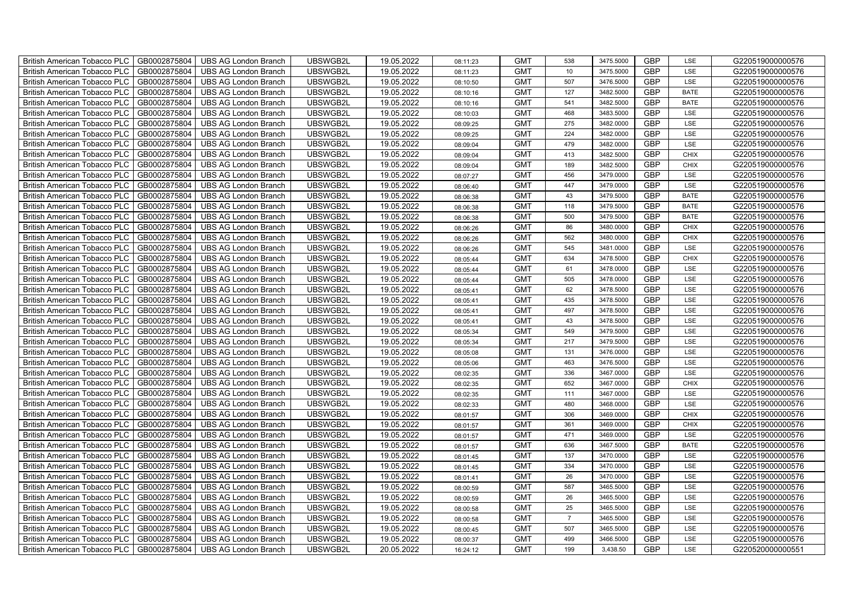| British American Tobacco PLC   GB0002875804 |              | <b>UBS AG London Branch</b> | UBSWGB2L | 19.05.2022 | 08:11:23 | <b>GMT</b> | 538             | 3475.5000 | <b>GBP</b> | LSE         | G220519000000576 |
|---------------------------------------------|--------------|-----------------------------|----------|------------|----------|------------|-----------------|-----------|------------|-------------|------------------|
| <b>British American Tobacco PLC</b>         | GB0002875804 | <b>UBS AG London Branch</b> | UBSWGB2L | 19.05.2022 | 08:11:23 | <b>GMT</b> | 10 <sup>1</sup> | 3475.5000 | <b>GBP</b> | LSE         | G220519000000576 |
| <b>British American Tobacco PLC</b>         | GB0002875804 | UBS AG London Branch        | UBSWGB2L | 19.05.2022 | 08:10:50 | <b>GMT</b> | 507             | 3476.5000 | <b>GBP</b> | LSE         | G220519000000576 |
| <b>British American Tobacco PLC</b>         | GB0002875804 | <b>UBS AG London Branch</b> | UBSWGB2L | 19.05.2022 | 08:10:16 | <b>GMT</b> | 127             | 3482.5000 | <b>GBP</b> | <b>BATE</b> | G220519000000576 |
| <b>British American Tobacco PLC</b>         | GB0002875804 | UBS AG London Branch        | UBSWGB2L | 19.05.2022 | 08:10:16 | <b>GMT</b> | 541             | 3482.5000 | <b>GBP</b> | <b>BATE</b> | G220519000000576 |
| <b>British American Tobacco PLC</b>         | GB0002875804 | <b>UBS AG London Branch</b> | UBSWGB2L | 19.05.2022 | 08:10:03 | <b>GMT</b> | 468             | 3483.5000 | <b>GBP</b> | LSE         | G220519000000576 |
| <b>British American Tobacco PLC</b>         | GB0002875804 | <b>UBS AG London Branch</b> | UBSWGB2L | 19.05.2022 | 08:09:25 | <b>GMT</b> | 275             | 3482.0000 | <b>GBP</b> | LSE         | G220519000000576 |
| <b>British American Tobacco PLC</b>         | GB0002875804 | UBS AG London Branch        | UBSWGB2L | 19.05.2022 | 08:09:25 | <b>GMT</b> | 224             | 3482.0000 | <b>GBP</b> | LSE         | G220519000000576 |
| <b>British American Tobacco PLC</b>         | GB0002875804 | <b>UBS AG London Branch</b> | UBSWGB2L | 19.05.2022 | 08:09:04 | <b>GMT</b> | 479             | 3482.0000 | <b>GBP</b> | LSE         | G220519000000576 |
| <b>British American Tobacco PLC</b>         | GB0002875804 | <b>UBS AG London Branch</b> | UBSWGB2L | 19.05.2022 | 08:09:04 | <b>GMT</b> | 413             | 3482.5000 | <b>GBP</b> | <b>CHIX</b> | G220519000000576 |
| British American Tobacco PLC                | GB0002875804 | <b>UBS AG London Branch</b> | UBSWGB2L | 19.05.2022 | 08:09:04 | <b>GMT</b> | 189             | 3482.5000 | <b>GBP</b> | <b>CHIX</b> | G220519000000576 |
| British American Tobacco PLC                | GB0002875804 | UBS AG London Branch        | UBSWGB2L | 19.05.2022 | 08:07:27 | <b>GMT</b> | 456             | 3479.0000 | <b>GBP</b> | <b>LSE</b>  | G220519000000576 |
| British American Tobacco PLC                | GB0002875804 | UBS AG London Branch        | UBSWGB2L | 19.05.2022 | 08:06:40 | <b>GMT</b> | 447             | 3479.0000 | <b>GBP</b> | LSE         | G220519000000576 |
| British American Tobacco PLC                | GB0002875804 | <b>UBS AG London Branch</b> | UBSWGB2L | 19.05.2022 | 08:06:38 | <b>GMT</b> | 43              | 3479.5000 | <b>GBP</b> | <b>BATE</b> | G220519000000576 |
| British American Tobacco PLC                | GB0002875804 | <b>UBS AG London Branch</b> | UBSWGB2L | 19.05.2022 | 08:06:38 | <b>GMT</b> | 118             | 3479.5000 | <b>GBP</b> | <b>BATE</b> | G220519000000576 |
| British American Tobacco PLC                | GB0002875804 | <b>UBS AG London Branch</b> | UBSWGB2L | 19.05.2022 | 08:06:38 | <b>GMT</b> | 500             | 3479.5000 | <b>GBP</b> | <b>BATE</b> | G220519000000576 |
| British American Tobacco PLC                | GB0002875804 | <b>UBS AG London Branch</b> | UBSWGB2L | 19.05.2022 | 08:06:26 | <b>GMT</b> | 86              | 3480.0000 | <b>GBP</b> | <b>CHIX</b> | G220519000000576 |
| British American Tobacco PLC                | GB0002875804 | <b>UBS AG London Branch</b> | UBSWGB2L | 19.05.2022 | 08:06:26 | <b>GMT</b> | 562             | 3480.0000 | <b>GBP</b> | <b>CHIX</b> | G220519000000576 |
| British American Tobacco PLC                | GB0002875804 | <b>UBS AG London Branch</b> | UBSWGB2L | 19.05.2022 | 08:06:26 | <b>GMT</b> | 545             | 3481.0000 | <b>GBP</b> | <b>LSE</b>  | G220519000000576 |
| <b>British American Tobacco PLC</b>         | GB0002875804 | <b>UBS AG London Branch</b> | UBSWGB2L | 19.05.2022 | 08:05:44 | <b>GMT</b> | 634             | 3478.5000 | <b>GBP</b> | CHIX        | G220519000000576 |
| British American Tobacco PLC                | GB0002875804 | UBS AG London Branch        | UBSWGB2L | 19.05.2022 | 08:05:44 | <b>GMT</b> | 61              | 3478.0000 | <b>GBP</b> | <b>LSE</b>  | G220519000000576 |
| British American Tobacco PLC                | GB0002875804 | UBS AG London Branch        | UBSWGB2L | 19.05.2022 | 08:05:44 | <b>GMT</b> | 505             | 3478.0000 | GBP        | LSE         | G220519000000576 |
| British American Tobacco PLC                | GB0002875804 | <b>UBS AG London Branch</b> | UBSWGB2L | 19.05.2022 | 08:05:41 | <b>GMT</b> | 62              | 3478.5000 | <b>GBP</b> | LSE         | G220519000000576 |
| British American Tobacco PLC                | GB0002875804 | <b>UBS AG London Branch</b> | UBSWGB2L | 19.05.2022 | 08:05:41 | <b>GMT</b> | 435             | 3478.5000 | GBP        | LSE         | G220519000000576 |
| British American Tobacco PLC                | GB0002875804 | <b>UBS AG London Branch</b> | UBSWGB2L | 19.05.2022 | 08:05:41 | <b>GMT</b> | 497             | 3478.5000 | <b>GBP</b> | LSE         | G220519000000576 |
| British American Tobacco PLC                | GB0002875804 | <b>UBS AG London Branch</b> | UBSWGB2L | 19.05.2022 | 08:05:41 | <b>GMT</b> | 43              | 3478.5000 | <b>GBP</b> | LSE         | G220519000000576 |
| British American Tobacco PLC                | GB0002875804 | <b>UBS AG London Branch</b> | UBSWGB2L | 19.05.2022 | 08:05:34 | <b>GMT</b> | 549             | 3479.5000 | <b>GBP</b> | LSE         | G220519000000576 |
| British American Tobacco PLC                | GB0002875804 | <b>UBS AG London Branch</b> | UBSWGB2L | 19.05.2022 | 08:05:34 | <b>GMT</b> | 217             | 3479.5000 | <b>GBP</b> | LSE         | G220519000000576 |
| <b>British American Tobacco PLC</b>         | GB0002875804 | <b>UBS AG London Branch</b> | UBSWGB2L | 19.05.2022 | 08:05:08 | <b>GMT</b> | 131             | 3476.0000 | <b>GBP</b> | LSE         | G220519000000576 |
| British American Tobacco PLC                | GB0002875804 | UBS AG London Branch        | UBSWGB2L | 19.05.2022 | 08:05:06 | <b>GMT</b> | 463             | 3476.5000 | <b>GBP</b> | LSE         | G220519000000576 |
| British American Tobacco PLC                | GB0002875804 | <b>UBS AG London Branch</b> | UBSWGB2L | 19.05.2022 | 08:02:35 | <b>GMT</b> | 336             | 3467.0000 | GBP        | LSE         | G220519000000576 |
| British American Tobacco PLC                | GB0002875804 | <b>UBS AG London Branch</b> | UBSWGB2L | 19.05.2022 | 08:02:35 | <b>GMT</b> | 652             | 3467.0000 | <b>GBP</b> | <b>CHIX</b> | G220519000000576 |
| British American Tobacco PLC                | GB0002875804 | UBS AG London Branch        | UBSWGB2L | 19.05.2022 | 08:02:35 | <b>GMT</b> | 111             | 3467.0000 | GBP        | LSE         | G220519000000576 |
| British American Tobacco PLC                | GB0002875804 | UBS AG London Branch        | UBSWGB2L | 19.05.2022 | 08:02:33 | <b>GMT</b> | 480             | 3468.0000 | <b>GBP</b> | LSE         | G220519000000576 |
| British American Tobacco PLC                | GB0002875804 | UBS AG London Branch        | UBSWGB2L | 19.05.2022 | 08:01:57 | <b>GMT</b> | 306             | 3469.0000 | <b>GBP</b> | <b>CHIX</b> | G220519000000576 |
| British American Tobacco PLC                | GB0002875804 | <b>UBS AG London Branch</b> | UBSWGB2L | 19.05.2022 | 08:01:57 | <b>GMT</b> | 361             | 3469.0000 | <b>GBP</b> | <b>CHIX</b> | G220519000000576 |
| British American Tobacco PLC                | GB0002875804 | <b>UBS AG London Branch</b> | UBSWGB2L | 19.05.2022 | 08:01:57 | <b>GMT</b> | 471             | 3469.0000 | <b>GBP</b> | LSE         | G220519000000576 |
| <b>British American Tobacco PLC</b>         | GB0002875804 | <b>UBS AG London Branch</b> | UBSWGB2L | 19.05.2022 | 08:01:57 | <b>GMT</b> | 636             | 3467.5000 | <b>GBP</b> | <b>BATE</b> | G220519000000576 |
| British American Tobacco PLC                | GB0002875804 | UBS AG London Branch        | UBSWGB2L | 19.05.2022 | 08:01:45 | <b>GMT</b> | 137             | 3470.0000 | <b>GBP</b> | LSE         | G220519000000576 |
| <b>British American Tobacco PLC</b>         | GB0002875804 | UBS AG London Branch        | UBSWGB2L | 19.05.2022 | 08:01:45 | <b>GMT</b> | 334             | 3470.0000 | GBP        | LSE         | G220519000000576 |
| British American Tobacco PLC                | GB0002875804 | UBS AG London Branch        | UBSWGB2L | 19.05.2022 | 08:01:41 | <b>GMT</b> | 26              | 3470.0000 | <b>GBP</b> | LSE         | G220519000000576 |
| British American Tobacco PLC                | GB0002875804 | <b>UBS AG London Branch</b> | UBSWGB2L | 19.05.2022 | 08:00:59 | <b>GMT</b> | 587             | 3465.5000 | GBP        | LSE         | G220519000000576 |
| British American Tobacco PLC                | GB0002875804 | UBS AG London Branch        | UBSWGB2L | 19.05.2022 | 08:00:59 | <b>GMT</b> | 26              | 3465.5000 | <b>GBP</b> | LSE         | G220519000000576 |
| <b>British American Tobacco PLC</b>         | GB0002875804 | UBS AG London Branch        | UBSWGB2L | 19.05.2022 | 08:00:58 | <b>GMT</b> | 25              | 3465.5000 | <b>GBP</b> | LSE         | G220519000000576 |
| <b>British American Tobacco PLC</b>         | GB0002875804 | UBS AG London Branch        | UBSWGB2L | 19.05.2022 | 08:00:58 | <b>GMT</b> | $\overline{7}$  | 3465.5000 | GBP        | LSE         | G220519000000576 |
| <b>British American Tobacco PLC</b>         | GB0002875804 | UBS AG London Branch        | UBSWGB2L | 19.05.2022 | 08:00:45 | <b>GMT</b> | 507             | 3465.5000 | <b>GBP</b> | LSE         | G220519000000576 |
| <b>British American Tobacco PLC</b>         | GB0002875804 | <b>UBS AG London Branch</b> | UBSWGB2L | 19.05.2022 | 08:00:37 | <b>GMT</b> | 499             | 3466.5000 | <b>GBP</b> | LSE         | G220519000000576 |
| British American Tobacco PLC                | GB0002875804 | <b>UBS AG London Branch</b> | UBSWGB2L | 20.05.2022 | 16:24:12 | <b>GMT</b> | 199             | 3,438.50  | <b>GBP</b> | LSE         | G220520000000551 |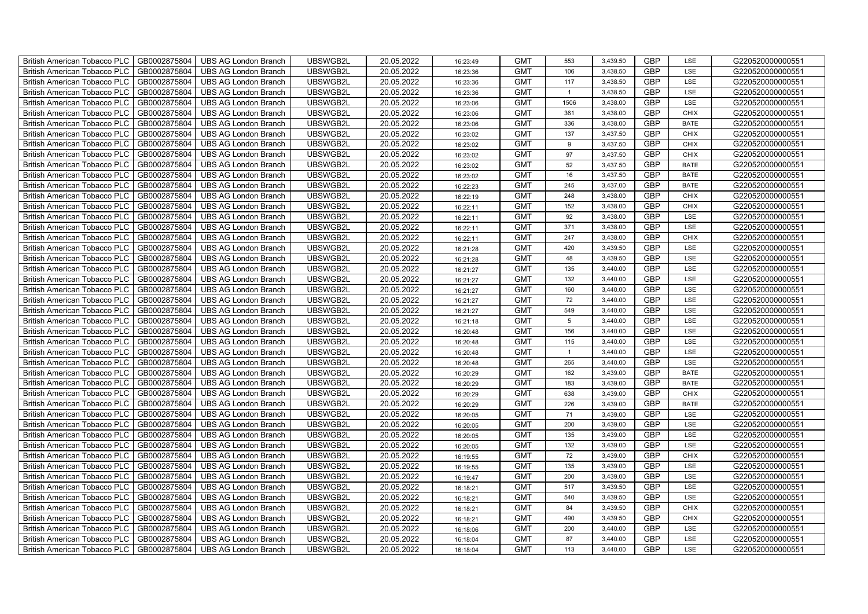| British American Tobacco PLC<br>GB0002875804        | <b>UBS AG London Branch</b> | UBSWGB2L | 20.05.2022 | 16:23:49 | <b>GMT</b> | 553            | 3,439.50 | <b>GBP</b> | LSE         | G220520000000551 |
|-----------------------------------------------------|-----------------------------|----------|------------|----------|------------|----------------|----------|------------|-------------|------------------|
| <b>British American Tobacco PLC</b><br>GB0002875804 | <b>UBS AG London Branch</b> | UBSWGB2L | 20.05.2022 | 16:23:36 | <b>GMT</b> | 106            | 3,438.50 | <b>GBP</b> | LSE         | G220520000000551 |
| GB0002875804<br><b>British American Tobacco PLC</b> | <b>UBS AG London Branch</b> | UBSWGB2L | 20.05.2022 | 16:23:36 | <b>GMT</b> | 117            | 3,438.50 | <b>GBP</b> | <b>LSE</b>  | G220520000000551 |
| GB0002875804<br><b>British American Tobacco PLC</b> | <b>UBS AG London Branch</b> | UBSWGB2L | 20.05.2022 | 16:23:36 | <b>GMT</b> | $\overline{1}$ | 3,438.50 | <b>GBP</b> | LSE         | G220520000000551 |
| GB0002875804<br>British American Tobacco PLC        | <b>UBS AG London Branch</b> | UBSWGB2L | 20.05.2022 | 16:23:06 | <b>GMT</b> | 1506           | 3,438.00 | <b>GBP</b> | LSE         | G220520000000551 |
| GB0002875804<br>British American Tobacco PLC        | <b>UBS AG London Branch</b> | UBSWGB2L | 20.05.2022 | 16:23:06 | <b>GMT</b> | 361            | 3,438.00 | <b>GBP</b> | <b>CHIX</b> | G220520000000551 |
| GB0002875804<br>British American Tobacco PLC        | <b>UBS AG London Branch</b> | UBSWGB2L | 20.05.2022 | 16:23:06 | <b>GMT</b> | 336            | 3,438.00 | <b>GBP</b> | <b>BATE</b> | G220520000000551 |
| <b>British American Tobacco PLC</b><br>GB0002875804 | <b>UBS AG London Branch</b> | UBSWGB2L | 20.05.2022 | 16:23:02 | <b>GMT</b> | 137            | 3,437.50 | <b>GBP</b> | <b>CHIX</b> | G220520000000551 |
| GB0002875804<br><b>British American Tobacco PLC</b> | <b>UBS AG London Branch</b> | UBSWGB2L | 20.05.2022 | 16:23:02 | <b>GMT</b> | 9              | 3,437.50 | <b>GBP</b> | <b>CHIX</b> | G220520000000551 |
| GB0002875804<br>British American Tobacco PLC        | <b>UBS AG London Branch</b> | UBSWGB2L | 20.05.2022 | 16:23:02 | <b>GMT</b> | 97             | 3,437.50 | <b>GBP</b> | <b>CHIX</b> | G220520000000551 |
| GB0002875804<br><b>British American Tobacco PLC</b> | <b>UBS AG London Branch</b> | UBSWGB2L | 20.05.2022 | 16:23:02 | <b>GMT</b> | 52             | 3,437.50 | <b>GBP</b> | <b>BATE</b> | G220520000000551 |
| GB0002875804<br><b>British American Tobacco PLC</b> | <b>UBS AG London Branch</b> | UBSWGB2L | 20.05.2022 | 16:23:02 | <b>GMT</b> | 16             | 3,437.50 | <b>GBP</b> | <b>BATE</b> | G220520000000551 |
| GB0002875804<br><b>British American Tobacco PLC</b> | <b>UBS AG London Branch</b> | UBSWGB2L | 20.05.2022 | 16:22:23 | <b>GMT</b> | 245            | 3,437.00 | GBP        | <b>BATE</b> | G220520000000551 |
| <b>British American Tobacco PLC</b><br>GB0002875804 | <b>UBS AG London Branch</b> | UBSWGB2L | 20.05.2022 | 16:22:19 | <b>GMT</b> | 248            | 3,438.00 | <b>GBP</b> | <b>CHIX</b> | G220520000000551 |
| GB0002875804<br>British American Tobacco PLC        | <b>UBS AG London Branch</b> | UBSWGB2L | 20.05.2022 | 16:22:11 | <b>GMT</b> | 152            | 3,438.00 | <b>GBP</b> | <b>CHIX</b> | G220520000000551 |
| GB0002875804<br>British American Tobacco PLC        | <b>UBS AG London Branch</b> | UBSWGB2L | 20.05.2022 | 16:22:11 | <b>GMT</b> | 92             | 3,438.00 | <b>GBP</b> | LSE         | G220520000000551 |
| <b>British American Tobacco PLC</b><br>GB0002875804 | <b>UBS AG London Branch</b> | UBSWGB2L | 20.05.2022 | 16:22:11 | <b>GMT</b> | 371            | 3,438.00 | <b>GBP</b> | LSE         | G220520000000551 |
| <b>British American Tobacco PLC</b><br>GB0002875804 | <b>UBS AG London Branch</b> | UBSWGB2L | 20.05.2022 | 16:22:11 | <b>GMT</b> | 247            | 3,438.00 | <b>GBP</b> | <b>CHIX</b> | G220520000000551 |
| British American Tobacco PLC<br>GB0002875804        | <b>UBS AG London Branch</b> | UBSWGB2L | 20.05.2022 | 16:21:28 | <b>GMT</b> | 420            | 3,439.50 | <b>GBP</b> | LSE         | G220520000000551 |
| <b>British American Tobacco PLC</b><br>GB0002875804 | <b>UBS AG London Branch</b> | UBSWGB2L | 20.05.2022 | 16:21:28 | <b>GMT</b> | 48             | 3,439.50 | <b>GBP</b> | LSE         | G220520000000551 |
| GB0002875804<br><b>British American Tobacco PLC</b> | <b>UBS AG London Branch</b> | UBSWGB2L | 20.05.2022 | 16:21:27 | <b>GMT</b> | 135            | 3,440.00 | <b>GBP</b> | LSE         | G220520000000551 |
| GB0002875804<br><b>British American Tobacco PLC</b> | <b>UBS AG London Branch</b> | UBSWGB2L | 20.05.2022 | 16:21:27 | <b>GMT</b> | 132            | 3,440.00 | GBP        | LSE         | G220520000000551 |
| <b>British American Tobacco PLC</b><br>GB0002875804 | <b>UBS AG London Branch</b> | UBSWGB2L | 20.05.2022 | 16:21:27 | <b>GMT</b> | 160            | 3,440.00 | <b>GBP</b> | LSE         | G220520000000551 |
| GB0002875804<br><b>British American Tobacco PLC</b> | <b>UBS AG London Branch</b> | UBSWGB2L | 20.05.2022 | 16:21:27 | <b>GMT</b> | 72             | 3,440.00 | <b>GBP</b> | LSE         | G220520000000551 |
| GB0002875804<br>British American Tobacco PLC        | <b>UBS AG London Branch</b> | UBSWGB2L | 20.05.2022 | 16:21:27 | <b>GMT</b> | 549            | 3,440.00 | <b>GBP</b> | LSE         | G220520000000551 |
| GB0002875804<br>British American Tobacco PLC        | <b>UBS AG London Branch</b> | UBSWGB2L | 20.05.2022 | 16:21:18 | <b>GMT</b> | 5              | 3,440.00 | <b>GBP</b> | LSE         | G220520000000551 |
| GB0002875804<br>British American Tobacco PLC        | <b>UBS AG London Branch</b> | UBSWGB2L | 20.05.2022 | 16:20:48 | <b>GMT</b> | 156            | 3,440.00 | <b>GBP</b> | LSE         | G220520000000551 |
| British American Tobacco PLC<br>GB0002875804        | <b>UBS AG London Branch</b> | UBSWGB2L | 20.05.2022 | 16:20:48 | <b>GMT</b> | 115            | 3,440.00 | <b>GBP</b> | LSE         | G220520000000551 |
| <b>British American Tobacco PLC</b><br>GB0002875804 | <b>UBS AG London Branch</b> | UBSWGB2L | 20.05.2022 | 16:20:48 | <b>GMT</b> | $\overline{1}$ | 3,440.00 | GBP        | LSE         | G220520000000551 |
| GB0002875804<br><b>British American Tobacco PLC</b> | <b>UBS AG London Branch</b> | UBSWGB2L | 20.05.2022 | 16:20:48 | <b>GMT</b> | 265            | 3,440.00 | <b>GBP</b> | LSE         | G220520000000551 |
| GB0002875804<br><b>British American Tobacco PLC</b> | <b>UBS AG London Branch</b> | UBSWGB2L | 20.05.2022 | 16:20:29 | <b>GMT</b> | 162            | 3,439.00 | GBP        | <b>BATE</b> | G220520000000551 |
| British American Tobacco PLC<br>GB0002875804        | <b>UBS AG London Branch</b> | UBSWGB2L | 20.05.2022 | 16:20:29 | <b>GMT</b> | 183            | 3,439.00 | <b>GBP</b> | <b>BATE</b> | G220520000000551 |
| <b>British American Tobacco PLC</b><br>GB0002875804 | <b>UBS AG London Branch</b> | UBSWGB2L | 20.05.2022 | 16:20:29 | <b>GMT</b> | 638            | 3,439.00 | <b>GBP</b> | <b>CHIX</b> | G220520000000551 |
| GB0002875804<br>British American Tobacco PLC        | <b>UBS AG London Branch</b> | UBSWGB2L | 20.05.2022 | 16:20:29 | <b>GMT</b> | 226            | 3,439.00 | <b>GBP</b> | <b>BATE</b> | G220520000000551 |
| GB0002875804<br><b>British American Tobacco PLC</b> | <b>UBS AG London Branch</b> | UBSWGB2L | 20.05.2022 | 16:20:05 | <b>GMT</b> | 71             | 3,439.00 | <b>GBP</b> | LSE         | G220520000000551 |
| GB0002875804<br>British American Tobacco PLC        | <b>UBS AG London Branch</b> | UBSWGB2L | 20.05.2022 | 16:20:05 | <b>GMT</b> | 200            | 3,439.00 | <b>GBP</b> | LSE         | G220520000000551 |
| British American Tobacco PLC<br>GB0002875804        | <b>UBS AG London Branch</b> | UBSWGB2L | 20.05.2022 | 16:20:05 | <b>GMT</b> | 135            | 3,439.00 | GBP        | LSE         | G220520000000551 |
| <b>British American Tobacco PLC</b><br>GB0002875804 | <b>UBS AG London Branch</b> | UBSWGB2L | 20.05.2022 | 16:20:05 | <b>GMT</b> | 132            | 3,439.00 | <b>GBP</b> | LSE         | G220520000000551 |
| GB0002875804<br><b>British American Tobacco PLC</b> | <b>UBS AG London Branch</b> | UBSWGB2L | 20.05.2022 | 16:19:55 | <b>GMT</b> | 72             | 3,439.00 | <b>GBP</b> | <b>CHIX</b> | G220520000000551 |
| British American Tobacco PLC<br>GB0002875804        | <b>UBS AG London Branch</b> | UBSWGB2L | 20.05.2022 | 16:19:55 | <b>GMT</b> | 135            | 3,439.00 | GBP        | LSE         | G220520000000551 |
| British American Tobacco PLC<br>GB0002875804        | <b>UBS AG London Branch</b> | UBSWGB2L | 20.05.2022 | 16:19:47 | <b>GMT</b> | 200            | 3,439.00 | <b>GBP</b> | LSE         | G220520000000551 |
| <b>British American Tobacco PLC</b><br>GB0002875804 | <b>UBS AG London Branch</b> | UBSWGB2L | 20.05.2022 | 16:18:21 | <b>GMT</b> | 517            | 3,439.50 | GBP        | LSE         | G220520000000551 |
| British American Tobacco PLC<br>GB0002875804        | <b>UBS AG London Branch</b> | UBSWGB2L | 20.05.2022 | 16:18:21 | <b>GMT</b> | 540            | 3,439.50 | <b>GBP</b> | LSE         | G220520000000551 |
| GB0002875804<br><b>British American Tobacco PLC</b> | <b>UBS AG London Branch</b> | UBSWGB2L | 20.05.2022 | 16:18:21 | <b>GMT</b> | 84             | 3,439.50 | <b>GBP</b> | <b>CHIX</b> | G220520000000551 |
| GB0002875804<br><b>British American Tobacco PLC</b> | <b>UBS AG London Branch</b> | UBSWGB2L | 20.05.2022 | 16:18:21 | <b>GMT</b> | 490            | 3,439.50 | <b>GBP</b> | <b>CHIX</b> | G220520000000551 |
| GB0002875804<br><b>British American Tobacco PLC</b> | <b>UBS AG London Branch</b> | UBSWGB2L | 20.05.2022 | 16:18:06 | <b>GMT</b> | 200            | 3,440.00 | GBP        | LSE         | G220520000000551 |
| <b>British American Tobacco PLC</b><br>GB0002875804 | <b>UBS AG London Branch</b> | UBSWGB2L | 20.05.2022 | 16:18:04 | <b>GMT</b> | 87             | 3,440.00 | <b>GBP</b> | LSE         | G220520000000551 |
| GB0002875804<br>British American Tobacco PLC        | <b>UBS AG London Branch</b> | UBSWGB2L | 20.05.2022 | 16:18:04 | <b>GMT</b> | 113            | 3,440.00 | <b>GBP</b> | LSE         | G220520000000551 |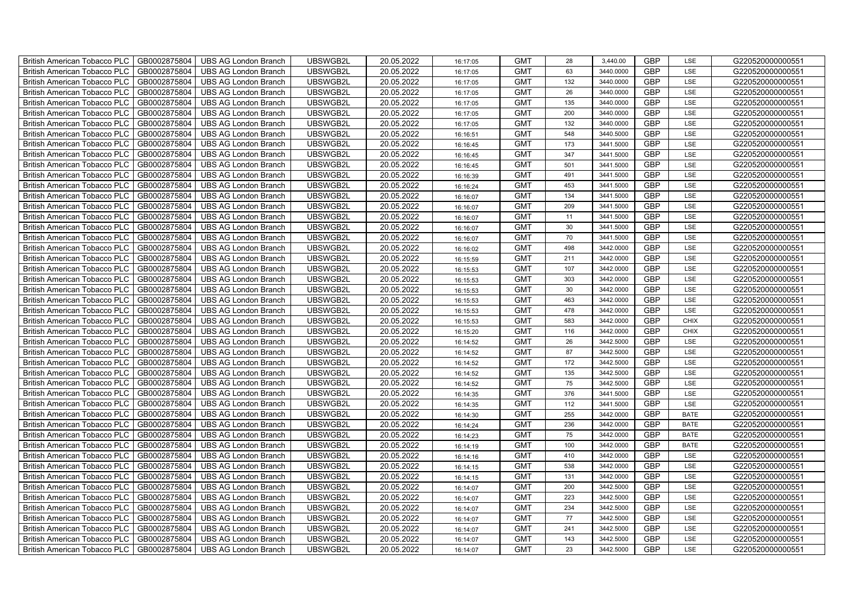| GB0002875804<br>UBSWGB2L<br>20.05.2022<br><b>GMT</b><br><b>GBP</b><br><b>British American Tobacco PLC</b><br><b>UBS AG London Branch</b><br>63<br>3440.0000<br>LSE<br>16:17:05<br><b>GBP</b><br>GB0002875804<br>UBS AG London Branch<br>UBSWGB2L<br>20.05.2022<br><b>GMT</b><br><b>British American Tobacco PLC</b><br>132<br>3440.0000<br>LSE<br>16:17:05<br>GB0002875804<br><b>GMT</b><br><b>GBP</b><br><b>British American Tobacco PLC</b><br><b>UBS AG London Branch</b><br>UBSWGB2L<br>20.05.2022<br>26<br>3440.0000<br>LSE<br>16:17:05<br>GB0002875804<br>UBSWGB2L<br>20.05.2022<br>135<br>3440.0000<br><b>GBP</b><br>LSE<br><b>British American Tobacco PLC</b><br>UBS AG London Branch<br><b>GMT</b><br>16:17:05<br><b>GBP</b><br>GB0002875804<br>UBSWGB2L<br>20.05.2022<br><b>GMT</b><br>200<br>3440.0000<br>LSE<br><b>British American Tobacco PLC</b><br><b>UBS AG London Branch</b><br>16:17:05 | G220520000000551                     |
|-------------------------------------------------------------------------------------------------------------------------------------------------------------------------------------------------------------------------------------------------------------------------------------------------------------------------------------------------------------------------------------------------------------------------------------------------------------------------------------------------------------------------------------------------------------------------------------------------------------------------------------------------------------------------------------------------------------------------------------------------------------------------------------------------------------------------------------------------------------------------------------------------------------|--------------------------------------|
|                                                                                                                                                                                                                                                                                                                                                                                                                                                                                                                                                                                                                                                                                                                                                                                                                                                                                                             | G220520000000551                     |
|                                                                                                                                                                                                                                                                                                                                                                                                                                                                                                                                                                                                                                                                                                                                                                                                                                                                                                             | G220520000000551                     |
|                                                                                                                                                                                                                                                                                                                                                                                                                                                                                                                                                                                                                                                                                                                                                                                                                                                                                                             | G220520000000551                     |
|                                                                                                                                                                                                                                                                                                                                                                                                                                                                                                                                                                                                                                                                                                                                                                                                                                                                                                             | G220520000000551                     |
|                                                                                                                                                                                                                                                                                                                                                                                                                                                                                                                                                                                                                                                                                                                                                                                                                                                                                                             | G220520000000551                     |
| <b>GBP</b><br>132<br>3440.0000<br>LSE<br><b>British American Tobacco PLC</b><br>GB0002875804<br><b>UBS AG London Branch</b><br>UBSWGB2L<br>20.05.2022<br><b>GMT</b><br>16:17:05                                                                                                                                                                                                                                                                                                                                                                                                                                                                                                                                                                                                                                                                                                                             | G220520000000551                     |
| <b>GBP</b><br><b>GMT</b><br>British American Tobacco PLC<br>GB0002875804<br>UBSWGB2L<br>20.05.2022<br>548<br>3440.5000<br>LSE<br><b>UBS AG London Branch</b><br>16:16:51                                                                                                                                                                                                                                                                                                                                                                                                                                                                                                                                                                                                                                                                                                                                    | G220520000000551                     |
| <b>GBP</b><br>GB0002875804<br>UBSWGB2L<br>20.05.2022<br><b>GMT</b><br>173<br><b>British American Tobacco PLC</b><br><b>UBS AG London Branch</b><br>3441.5000<br>LSE<br>16:16:45                                                                                                                                                                                                                                                                                                                                                                                                                                                                                                                                                                                                                                                                                                                             | G220520000000551                     |
| <b>GBP</b><br>GB0002875804<br>UBSWGB2L<br>20.05.2022<br><b>GMT</b><br>347<br><b>British American Tobacco PLC</b><br><b>UBS AG London Branch</b><br>3441.5000<br>LSE<br>16:16:45                                                                                                                                                                                                                                                                                                                                                                                                                                                                                                                                                                                                                                                                                                                             | G220520000000551                     |
| GB0002875804<br>UBSWGB2L<br>20.05.2022<br><b>GMT</b><br><b>GBP</b><br><b>British American Tobacco PLC</b><br><b>UBS AG London Branch</b><br>501<br>3441.5000<br>LSE<br>16:16:45                                                                                                                                                                                                                                                                                                                                                                                                                                                                                                                                                                                                                                                                                                                             | G220520000000551                     |
| GB0002875804<br>UBSWGB2L<br>20.05.2022<br><b>GMT</b><br><b>GBP</b><br>British American Tobacco PLC<br><b>UBS AG London Branch</b><br>491<br>3441.5000<br>LSE<br>16:16:39                                                                                                                                                                                                                                                                                                                                                                                                                                                                                                                                                                                                                                                                                                                                    | G220520000000551                     |
| <b>GMT</b><br><b>GBP</b><br>British American Tobacco PLC<br>GB0002875804<br><b>UBS AG London Branch</b><br>UBSWGB2L<br>20.05.2022<br>453<br>3441.5000<br>LSE<br>16:16:24                                                                                                                                                                                                                                                                                                                                                                                                                                                                                                                                                                                                                                                                                                                                    | G220520000000551                     |
| GB0002875804<br>UBSWGB2L<br>20.05.2022<br><b>GBP</b><br>British American Tobacco PLC<br>UBS AG London Branch<br><b>GMT</b><br>134<br>3441.5000<br>LSE<br>16:16:07                                                                                                                                                                                                                                                                                                                                                                                                                                                                                                                                                                                                                                                                                                                                           | G220520000000551                     |
| <b>GBP</b><br>British American Tobacco PLC<br>GB0002875804<br>UBSWGB2L<br>20.05.2022<br><b>GMT</b><br>209<br>3441.5000<br>LSE<br><b>UBS AG London Branch</b><br>16:16:07                                                                                                                                                                                                                                                                                                                                                                                                                                                                                                                                                                                                                                                                                                                                    | G220520000000551                     |
| 3441.5000<br><b>GBP</b><br>UBSWGB2L<br>20.05.2022<br><b>GMT</b><br>11<br>LSE<br>British American Tobacco PLC<br>GB0002875804<br><b>UBS AG London Branch</b><br>16:16:07                                                                                                                                                                                                                                                                                                                                                                                                                                                                                                                                                                                                                                                                                                                                     | G220520000000551                     |
| <b>GBP</b><br>UBSWGB2L<br><b>GMT</b><br>30<br>3441.5000<br>British American Tobacco PLC<br>GB0002875804<br><b>UBS AG London Branch</b><br>20.05.2022<br>LSE<br>16:16:07                                                                                                                                                                                                                                                                                                                                                                                                                                                                                                                                                                                                                                                                                                                                     | G220520000000551                     |
| <b>GBP</b><br>GB0002875804<br>UBSWGB2L<br>20.05.2022<br><b>GMT</b><br>British American Tobacco PLC<br><b>UBS AG London Branch</b><br>70<br>3441.5000<br>LSE<br>16:16:07                                                                                                                                                                                                                                                                                                                                                                                                                                                                                                                                                                                                                                                                                                                                     | G220520000000551                     |
| <b>GBP</b><br>GB0002875804<br>UBSWGB2L<br>20.05.2022<br><b>GMT</b><br>498<br>British American Tobacco PLC<br><b>UBS AG London Branch</b><br>3442.0000<br>LSE<br>16:16:02                                                                                                                                                                                                                                                                                                                                                                                                                                                                                                                                                                                                                                                                                                                                    | G220520000000551                     |
| <b>GBP</b><br><b>British American Tobacco PLC</b><br>GB0002875804<br>UBSWGB2L<br>20.05.2022<br><b>GMT</b><br><b>UBS AG London Branch</b><br>211<br>3442.0000<br><b>LSE</b><br>16:15:59                                                                                                                                                                                                                                                                                                                                                                                                                                                                                                                                                                                                                                                                                                                      | G220520000000551                     |
| <b>GBP</b><br>GB0002875804<br>UBSWGB2L<br>20.05.2022<br><b>GMT</b><br>British American Tobacco PLC<br>UBS AG London Branch<br>107<br>3442.0000<br>LSE<br>16:15:53                                                                                                                                                                                                                                                                                                                                                                                                                                                                                                                                                                                                                                                                                                                                           | G220520000000551                     |
| GB0002875804<br>UBSWGB2L<br><b>GMT</b><br>303<br>GBP<br>British American Tobacco PLC<br><b>UBS AG London Branch</b><br>20.05.2022<br>3442.0000<br>LSE<br>16:15:53                                                                                                                                                                                                                                                                                                                                                                                                                                                                                                                                                                                                                                                                                                                                           | G220520000000551                     |
| British American Tobacco PLC<br>GB0002875804<br>UBSWGB2L<br>20.05.2022<br><b>GMT</b><br>30<br>GBP<br><b>UBS AG London Branch</b><br>3442.0000<br>LSE<br>16:15:53                                                                                                                                                                                                                                                                                                                                                                                                                                                                                                                                                                                                                                                                                                                                            | G220520000000551                     |
| <b>GBP</b><br>British American Tobacco PLC<br>GB0002875804<br>UBSWGB2L<br>20.05.2022<br><b>GMT</b><br>463<br>3442.0000<br>LSE<br><b>UBS AG London Branch</b><br>16:15:53                                                                                                                                                                                                                                                                                                                                                                                                                                                                                                                                                                                                                                                                                                                                    | G220520000000551                     |
| <b>GBP</b><br>British American Tobacco PLC<br>GB0002875804<br>UBSWGB2L<br>20.05.2022<br><b>GMT</b><br>478<br>3442.0000<br>LSE<br><b>UBS AG London Branch</b><br>16:15:53                                                                                                                                                                                                                                                                                                                                                                                                                                                                                                                                                                                                                                                                                                                                    | G220520000000551                     |
| 583<br><b>GBP</b><br>GB0002875804<br>UBSWGB2L<br><b>GMT</b><br>3442.0000<br>British American Tobacco PLC<br><b>UBS AG London Branch</b><br>20.05.2022<br><b>CHIX</b><br>16:15:53                                                                                                                                                                                                                                                                                                                                                                                                                                                                                                                                                                                                                                                                                                                            | G220520000000551                     |
| <b>GBP</b><br>GB0002875804<br>UBSWGB2L<br>20.05.2022<br><b>GMT</b><br>British American Tobacco PLC<br><b>UBS AG London Branch</b><br>116<br>3442.0000<br><b>CHIX</b><br>16:15:20                                                                                                                                                                                                                                                                                                                                                                                                                                                                                                                                                                                                                                                                                                                            | G220520000000551                     |
| GB0002875804<br>UBSWGB2L<br>20.05.2022<br><b>GMT</b><br>26<br>GBP<br>British American Tobacco PLC<br><b>UBS AG London Branch</b><br>3442.5000<br>LSE<br>16:14:52                                                                                                                                                                                                                                                                                                                                                                                                                                                                                                                                                                                                                                                                                                                                            | G220520000000551                     |
| <b>GBP</b><br>GB0002875804<br>UBSWGB2L<br>20.05.2022<br><b>GMT</b><br>87<br><b>British American Tobacco PLC</b><br><b>UBS AG London Branch</b><br>3442.5000<br>LSE<br>16:14:52                                                                                                                                                                                                                                                                                                                                                                                                                                                                                                                                                                                                                                                                                                                              | G220520000000551                     |
| <b>GBP</b><br>GB0002875804<br>UBS AG London Branch<br>UBSWGB2L<br>20.05.2022<br><b>GMT</b><br>172<br>British American Tobacco PLC<br>3442.5000<br>LSE<br>16:14:52                                                                                                                                                                                                                                                                                                                                                                                                                                                                                                                                                                                                                                                                                                                                           | G220520000000551                     |
| GB0002875804<br><b>GMT</b><br>GBP<br>British American Tobacco PLC<br><b>UBS AG London Branch</b><br>UBSWGB2L<br>20.05.2022<br>135<br>3442.5000<br>LSE<br>16:14:52                                                                                                                                                                                                                                                                                                                                                                                                                                                                                                                                                                                                                                                                                                                                           | G220520000000551                     |
| British American Tobacco PLC<br>GB0002875804<br>UBSWGB2L<br>20.05.2022<br><b>GMT</b><br>75<br>3442.5000<br>GBP<br><b>UBS AG London Branch</b><br>LSE<br>16:14:52                                                                                                                                                                                                                                                                                                                                                                                                                                                                                                                                                                                                                                                                                                                                            | G220520000000551                     |
| 3441.5000<br><b>GBP</b><br>GB0002875804<br>UBSWGB2L<br>20.05.2022<br><b>GMT</b><br>376<br>LSE<br>British American Tobacco PLC<br><b>UBS AG London Branch</b><br>16:14:35                                                                                                                                                                                                                                                                                                                                                                                                                                                                                                                                                                                                                                                                                                                                    | G220520000000551                     |
| 3441.5000<br><b>GBP</b><br>British American Tobacco PLC<br>GB0002875804<br>UBSWGB2L<br>20.05.2022<br><b>GMT</b><br>112<br>LSE<br><b>UBS AG London Branch</b><br>16:14:35                                                                                                                                                                                                                                                                                                                                                                                                                                                                                                                                                                                                                                                                                                                                    | G220520000000551                     |
| <b>GBP</b><br>GB0002875804<br>UBSWGB2L<br>20.05.2022<br><b>GMT</b><br>255<br>3442.0000<br><b>BATE</b><br>British American Tobacco PLC<br><b>UBS AG London Branch</b><br>16:14:30                                                                                                                                                                                                                                                                                                                                                                                                                                                                                                                                                                                                                                                                                                                            | G220520000000551                     |
| <b>GBP</b><br>GB0002875804<br>UBSWGB2L<br>20.05.2022<br><b>GMT</b><br>236<br>British American Tobacco PLC<br><b>UBS AG London Branch</b><br>3442.0000<br><b>BATE</b><br>16:14:24                                                                                                                                                                                                                                                                                                                                                                                                                                                                                                                                                                                                                                                                                                                            | G220520000000551                     |
| GB0002875804<br>UBSWGB2L<br>20.05.2022<br><b>GMT</b><br>75<br>GBP<br>British American Tobacco PLC<br><b>UBS AG London Branch</b><br>3442.0000<br><b>BATE</b><br>16:14:23                                                                                                                                                                                                                                                                                                                                                                                                                                                                                                                                                                                                                                                                                                                                    | G220520000000551                     |
| <b>GBP</b><br><b>British American Tobacco PLC</b><br>GB0002875804<br>UBSWGB2L<br>20.05.2022<br><b>GMT</b><br><b>UBS AG London Branch</b><br>100<br>3442.0000<br>BATE<br>16:14:19                                                                                                                                                                                                                                                                                                                                                                                                                                                                                                                                                                                                                                                                                                                            | G220520000000551                     |
|                                                                                                                                                                                                                                                                                                                                                                                                                                                                                                                                                                                                                                                                                                                                                                                                                                                                                                             | G220520000000551                     |
| <b>GBP</b><br>GB0002875804<br>20.05.2022<br><b>GMT</b><br>410<br><b>British American Tobacco PLC</b><br>3442.0000<br>LSE                                                                                                                                                                                                                                                                                                                                                                                                                                                                                                                                                                                                                                                                                                                                                                                    | G220520000000551                     |
| UBSWGB2L<br>UBS AG London Branch<br>16:14:16<br><b>GBP</b><br>British American Tobacco PLC<br>GB0002875804<br>UBSWGB2L<br>20.05.2022<br><b>GMT</b><br>538<br><b>UBS AG London Branch</b><br>3442.0000<br>LSE<br>16:14:15                                                                                                                                                                                                                                                                                                                                                                                                                                                                                                                                                                                                                                                                                    | G220520000000551                     |
| British American Tobacco PLC<br>GB0002875804<br>UBSWGB2L<br>20.05.2022<br><b>GMT</b><br>131<br>3442.0000<br>GBP<br><b>UBS AG London Branch</b><br>LSE                                                                                                                                                                                                                                                                                                                                                                                                                                                                                                                                                                                                                                                                                                                                                       |                                      |
| 16:14:15<br><b>GBP</b><br>British American Tobacco PLC<br>GB0002875804<br>UBSWGB2L<br>20.05.2022<br><b>GMT</b><br>200<br>3442.5000<br>LSE<br>16:14:07                                                                                                                                                                                                                                                                                                                                                                                                                                                                                                                                                                                                                                                                                                                                                       | G220520000000551                     |
| UBS AG London Branch<br>223<br>3442.5000<br><b>GBP</b><br>GB0002875804<br>UBSWGB2L<br>20.05.2022<br><b>GMT</b><br>LSE<br><b>UBS AG London Branch</b><br>16:14:07                                                                                                                                                                                                                                                                                                                                                                                                                                                                                                                                                                                                                                                                                                                                            |                                      |
| British American Tobacco PLC<br>234<br>3442.5000<br><b>GBP</b><br>GB0002875804<br>UBSWGB2L<br><b>GMT</b><br>LSE<br><b>UBS AG London Branch</b>                                                                                                                                                                                                                                                                                                                                                                                                                                                                                                                                                                                                                                                                                                                                                              | G220520000000551<br>G220520000000551 |
| 20.05.2022<br><b>British American Tobacco PLC</b><br>16:14:07<br><b>GBP</b><br><b>GMT</b><br>77<br>3442.5000<br>LSE                                                                                                                                                                                                                                                                                                                                                                                                                                                                                                                                                                                                                                                                                                                                                                                         |                                      |
| GB0002875804<br>UBSWGB2L<br>20.05.2022<br><b>British American Tobacco PLC</b><br><b>UBS AG London Branch</b><br>16:14:07<br><b>GBP</b><br>GB0002875804<br>UBSWGB2L<br>20.05.2022<br><b>GMT</b><br>241<br>3442.5000<br>LSE<br><b>British American Tobacco PLC</b><br><b>UBS AG London Branch</b><br>16:14:07                                                                                                                                                                                                                                                                                                                                                                                                                                                                                                                                                                                                 | G220520000000551<br>G220520000000551 |
| <b>GBP</b><br><b>British American Tobacco PLC</b><br>GB0002875804<br><b>UBS AG London Branch</b><br>UBSWGB2L<br>20.05.2022<br><b>GMT</b><br>143<br>3442.5000<br>LSE<br>16:14:07                                                                                                                                                                                                                                                                                                                                                                                                                                                                                                                                                                                                                                                                                                                             | G220520000000551                     |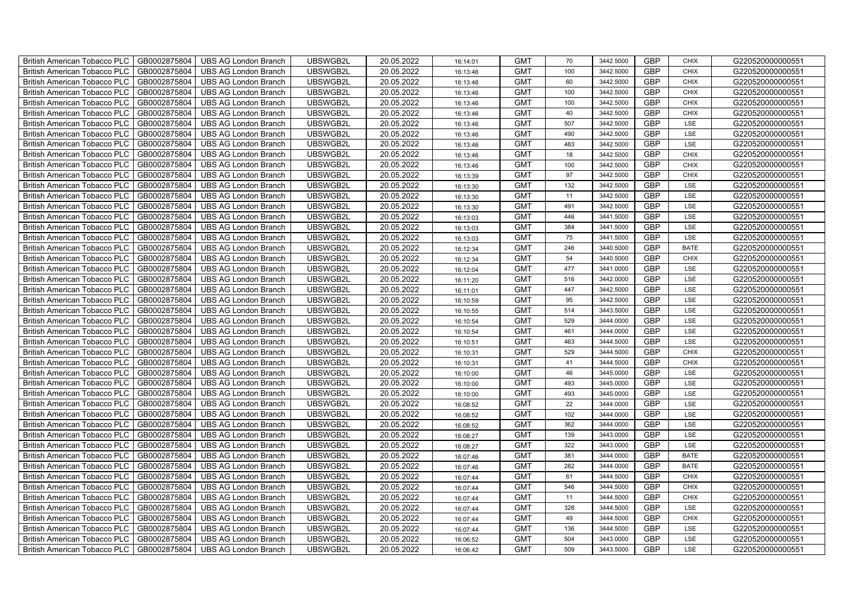| British American Tobacco PLC<br>GB0002875804        | <b>UBS AG London Branch</b> | UBSWGB2L | 20.05.2022 | 16:14:01 | <b>GMT</b> | 70  | 3442.5000 | <b>GBP</b> | <b>CHIX</b> | G220520000000551 |
|-----------------------------------------------------|-----------------------------|----------|------------|----------|------------|-----|-----------|------------|-------------|------------------|
| GB0002875804<br><b>British American Tobacco PLC</b> | <b>UBS AG London Branch</b> | UBSWGB2L | 20.05.2022 | 16:13:46 | <b>GMT</b> | 100 | 3442.5000 | <b>GBP</b> | <b>CHIX</b> | G220520000000551 |
| GB0002875804<br><b>British American Tobacco PLC</b> | <b>UBS AG London Branch</b> | UBSWGB2L | 20.05.2022 | 16:13:46 | <b>GMT</b> | 60  | 3442.5000 | <b>GBP</b> | <b>CHIX</b> | G220520000000551 |
| GB0002875804<br>British American Tobacco PLC        | <b>UBS AG London Branch</b> | UBSWGB2L | 20.05.2022 | 16:13:46 | <b>GMT</b> | 100 | 3442.5000 | <b>GBP</b> | <b>CHIX</b> | G220520000000551 |
| GB0002875804<br><b>British American Tobacco PLC</b> | <b>UBS AG London Branch</b> | UBSWGB2L | 20.05.2022 | 16:13:46 | <b>GMT</b> | 100 | 3442.5000 | <b>GBP</b> | <b>CHIX</b> | G220520000000551 |
| GB0002875804<br>British American Tobacco PLC        | <b>UBS AG London Branch</b> | UBSWGB2L | 20.05.2022 | 16:13:46 | <b>GMT</b> | 40  | 3442.5000 | <b>GBP</b> | <b>CHIX</b> | G220520000000551 |
| GB0002875804<br><b>British American Tobacco PLC</b> | <b>UBS AG London Branch</b> | UBSWGB2L | 20.05.2022 | 16:13:46 | <b>GMT</b> | 507 | 3442.5000 | <b>GBP</b> | LSE         | G220520000000551 |
| British American Tobacco PLC<br>GB0002875804        | <b>UBS AG London Branch</b> | UBSWGB2L | 20.05.2022 | 16:13:46 | <b>GMT</b> | 490 | 3442.5000 | <b>GBP</b> | LSE         | G220520000000551 |
| GB0002875804<br><b>British American Tobacco PLC</b> | <b>UBS AG London Branch</b> | UBSWGB2L | 20.05.2022 | 16:13:46 | <b>GMT</b> | 483 | 3442.5000 | <b>GBP</b> | LSE         | G220520000000551 |
| GB0002875804<br>British American Tobacco PLC        | <b>UBS AG London Branch</b> | UBSWGB2L | 20.05.2022 | 16:13:46 | <b>GMT</b> | 18  | 3442.5000 | <b>GBP</b> | <b>CHIX</b> | G220520000000551 |
| <b>British American Tobacco PLC</b><br>GB0002875804 | <b>UBS AG London Branch</b> | UBSWGB2L | 20.05.2022 | 16:13:46 | <b>GMT</b> | 100 | 3442.5000 | <b>GBP</b> | <b>CHIX</b> | G220520000000551 |
| GB0002875804<br><b>British American Tobacco PLC</b> | <b>UBS AG London Branch</b> | UBSWGB2L | 20.05.2022 | 16:13:39 | <b>GMT</b> | 97  | 3442.5000 | <b>GBP</b> | <b>CHIX</b> | G220520000000551 |
| GB0002875804<br>British American Tobacco PLC        | <b>UBS AG London Branch</b> | UBSWGB2L | 20.05.2022 | 16:13:30 | <b>GMT</b> | 132 | 3442.5000 | <b>GBP</b> | LSE         | G220520000000551 |
| GB0002875804<br>British American Tobacco PLC        | <b>UBS AG London Branch</b> | UBSWGB2L | 20.05.2022 | 16:13:30 | <b>GMT</b> | 11  | 3442.5000 | <b>GBP</b> | LSE         | G220520000000551 |
| GB0002875804<br>British American Tobacco PLC        | <b>UBS AG London Branch</b> | UBSWGB2L | 20.05.2022 | 16:13:30 | <b>GMT</b> | 491 | 3442.5000 | <b>GBP</b> | LSE         | G220520000000551 |
| GB0002875804<br>British American Tobacco PLC        | <b>UBS AG London Branch</b> | UBSWGB2L | 20.05.2022 | 16:13:03 | <b>GMT</b> | 446 | 3441.5000 | <b>GBP</b> | LSE         | G220520000000551 |
| British American Tobacco PLC<br>GB0002875804        | <b>UBS AG London Branch</b> | UBSWGB2L | 20.05.2022 | 16:13:03 | <b>GMT</b> | 384 | 3441.5000 | <b>GBP</b> | LSE         | G220520000000551 |
| GB0002875804<br>British American Tobacco PLC        | <b>UBS AG London Branch</b> | UBSWGB2L | 20.05.2022 | 16:13:03 | <b>GMT</b> | 75  | 3441.5000 | <b>GBP</b> | LSE         | G220520000000551 |
| GB0002875804<br>British American Tobacco PLC        | <b>UBS AG London Branch</b> | UBSWGB2L | 20.05.2022 | 16:12:34 | <b>GMT</b> | 246 | 3440.5000 | <b>GBP</b> | <b>BATE</b> | G220520000000551 |
| <b>British American Tobacco PLC</b><br>GB0002875804 | <b>UBS AG London Branch</b> | UBSWGB2L | 20.05.2022 | 16:12:34 | <b>GMT</b> | 54  | 3440.5000 | GBP        | CHIX        | G220520000000551 |
| GB0002875804<br><b>British American Tobacco PLC</b> | <b>UBS AG London Branch</b> | UBSWGB2L | 20.05.2022 | 16:12:04 | <b>GMT</b> | 477 | 3441.0000 | <b>GBP</b> | LSE         | G220520000000551 |
| GB0002875804<br>British American Tobacco PLC        | <b>UBS AG London Branch</b> | UBSWGB2L | 20.05.2022 | 16:11:20 | <b>GMT</b> | 516 | 3442.0000 | GBP        | LSE         | G220520000000551 |
| GB0002875804<br>British American Tobacco PLC        | <b>UBS AG London Branch</b> | UBSWGB2L | 20.05.2022 | 16:11:01 | <b>GMT</b> | 447 | 3442.5000 | GBP        | LSE         | G220520000000551 |
| GB0002875804<br>British American Tobacco PLC        | <b>UBS AG London Branch</b> | UBSWGB2L | 20.05.2022 | 16:10:59 | <b>GMT</b> | 95  | 3442.5000 | <b>GBP</b> | LSE         | G220520000000551 |
| GB0002875804<br>British American Tobacco PLC        | <b>UBS AG London Branch</b> | UBSWGB2L | 20.05.2022 | 16:10:55 | <b>GMT</b> | 514 | 3443.5000 | <b>GBP</b> | LSE         | G220520000000551 |
| GB0002875804<br>British American Tobacco PLC        | <b>UBS AG London Branch</b> | UBSWGB2L | 20.05.2022 | 16:10:54 | <b>GMT</b> | 529 | 3444.0000 | <b>GBP</b> | LSE         | G220520000000551 |
| GB0002875804<br>British American Tobacco PLC        | <b>UBS AG London Branch</b> | UBSWGB2L | 20.05.2022 | 16:10:54 | <b>GMT</b> | 461 | 3444.0000 | GBP        | LSE         | G220520000000551 |
| GB0002875804<br>British American Tobacco PLC        | <b>UBS AG London Branch</b> | UBSWGB2L | 20.05.2022 | 16:10:51 | <b>GMT</b> | 463 | 3444.5000 | <b>GBP</b> | LSE         | G220520000000551 |
| <b>British American Tobacco PLC</b><br>GB0002875804 | <b>UBS AG London Branch</b> | UBSWGB2L | 20.05.2022 | 16:10:31 | <b>GMT</b> | 529 | 3444.5000 | <b>GBP</b> | CHIX        | G220520000000551 |
| GB0002875804<br><b>British American Tobacco PLC</b> | <b>UBS AG London Branch</b> | UBSWGB2L | 20.05.2022 | 16:10:31 | <b>GMT</b> | 41  | 3444.5000 | <b>GBP</b> | <b>CHIX</b> | G220520000000551 |
| GB0002875804<br>British American Tobacco PLC        | <b>UBS AG London Branch</b> | UBSWGB2L | 20.05.2022 | 16:10:00 | <b>GMT</b> | 46  | 3445.0000 | GBP        | LSE         | G220520000000551 |
| GB0002875804<br>British American Tobacco PLC        | <b>UBS AG London Branch</b> | UBSWGB2L | 20.05.2022 | 16:10:00 | <b>GMT</b> | 493 | 3445.0000 | GBP        | LSE         | G220520000000551 |
| GB0002875804<br>British American Tobacco PLC        | <b>UBS AG London Branch</b> | UBSWGB2L | 20.05.2022 | 16:10:00 | <b>GMT</b> | 493 | 3445.0000 | <b>GBP</b> | LSE         | G220520000000551 |
| British American Tobacco PLC<br>GB0002875804        | <b>UBS AG London Branch</b> | UBSWGB2L | 20.05.2022 | 16:08:52 | <b>GMT</b> | 22  | 3444.0000 | <b>GBP</b> | LSE         | G220520000000551 |
| GB0002875804<br>British American Tobacco PLC        | <b>UBS AG London Branch</b> | UBSWGB2L | 20.05.2022 | 16:08:52 | <b>GMT</b> | 102 | 3444.0000 | <b>GBP</b> | LSE         | G220520000000551 |
| GB0002875804<br>British American Tobacco PLC        | <b>UBS AG London Branch</b> | UBSWGB2L | 20.05.2022 | 16:08:52 | <b>GMT</b> | 362 | 3444.0000 | GBP        | LSE         | G220520000000551 |
| GB0002875804<br>British American Tobacco PLC        | <b>UBS AG London Branch</b> | UBSWGB2L | 20.05.2022 | 16:08:27 | <b>GMT</b> | 139 | 3443.0000 | <b>GBP</b> | LSE         | G220520000000551 |
| <b>British American Tobacco PLC</b><br>GB0002875804 | <b>UBS AG London Branch</b> | UBSWGB2L | 20.05.2022 | 16:08:27 | <b>GMT</b> | 322 | 3443.0000 | <b>GBP</b> | LSE         | G220520000000551 |
| GB0002875804<br><b>British American Tobacco PLC</b> | UBS AG London Branch        | UBSWGB2L | 20.05.2022 | 16:07:46 | <b>GMT</b> | 381 | 3444.0000 | <b>GBP</b> | <b>BATE</b> | G220520000000551 |
| GB0002875804<br>British American Tobacco PLC        | <b>UBS AG London Branch</b> | UBSWGB2L | 20.05.2022 | 16:07:46 | <b>GMT</b> | 282 | 3444.0000 | <b>GBP</b> | <b>BATE</b> | G220520000000551 |
| British American Tobacco PLC<br>GB0002875804        | <b>UBS AG London Branch</b> | UBSWGB2L | 20.05.2022 | 16:07:44 | <b>GMT</b> | 61  | 3444.5000 | GBP        | <b>CHIX</b> | G220520000000551 |
| British American Tobacco PLC<br>GB0002875804        | <b>UBS AG London Branch</b> | UBSWGB2L | 20.05.2022 | 16:07:44 | <b>GMT</b> | 546 | 3444.5000 | <b>GBP</b> | <b>CHIX</b> | G220520000000551 |
| British American Tobacco PLC<br>GB0002875804        | <b>UBS AG London Branch</b> | UBSWGB2L | 20.05.2022 | 16:07:44 | <b>GMT</b> | 11  | 3444.5000 | <b>GBP</b> | <b>CHIX</b> | G220520000000551 |
| GB0002875804<br>British American Tobacco PLC        | <b>UBS AG London Branch</b> | UBSWGB2L | 20.05.2022 | 16:07:44 | <b>GMT</b> | 328 | 3444.5000 | <b>GBP</b> | LSE         | G220520000000551 |
| GB0002875804<br><b>British American Tobacco PLC</b> | <b>UBS AG London Branch</b> | UBSWGB2L | 20.05.2022 | 16:07:44 | <b>GMT</b> | 49  | 3444.5000 | <b>GBP</b> | <b>CHIX</b> | G220520000000551 |
| GB0002875804<br><b>British American Tobacco PLC</b> | <b>UBS AG London Branch</b> | UBSWGB2L | 20.05.2022 | 16:07:44 | <b>GMT</b> | 136 | 3444.5000 | <b>GBP</b> | LSE         | G220520000000551 |
| <b>British American Tobacco PLC</b><br>GB0002875804 | <b>UBS AG London Branch</b> | UBSWGB2L | 20.05.2022 | 16:06:52 | <b>GMT</b> | 504 | 3443.0000 | <b>GBP</b> | LSE         | G220520000000551 |
| GB0002875804<br>British American Tobacco PLC        | <b>UBS AG London Branch</b> | UBSWGB2L | 20.05.2022 | 16:06:42 | <b>GMT</b> | 509 | 3443.5000 | <b>GBP</b> | LSE         | G220520000000551 |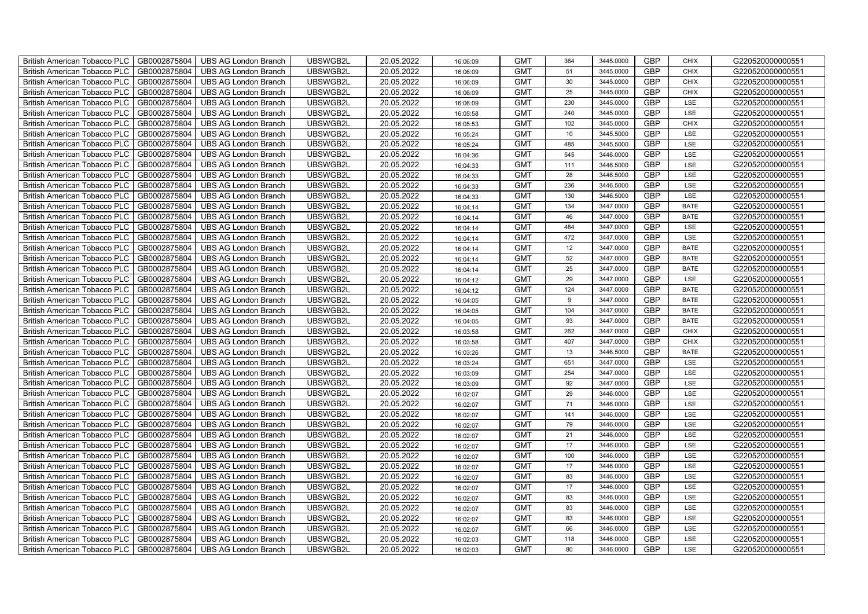| British American Tobacco PLC<br>GB0002875804        | <b>UBS AG London Branch</b> | UBSWGB2L | 20.05.2022 | 16:06:09 | <b>GMT</b> | 364 | 3445.0000 | <b>GBP</b> | <b>CHIX</b> | G220520000000551 |
|-----------------------------------------------------|-----------------------------|----------|------------|----------|------------|-----|-----------|------------|-------------|------------------|
| GB0002875804<br><b>British American Tobacco PLC</b> | <b>UBS AG London Branch</b> | UBSWGB2L | 20.05.2022 | 16:06:09 | <b>GMT</b> | 51  | 3445.0000 | <b>GBP</b> | <b>CHIX</b> | G220520000000551 |
| GB0002875804<br><b>British American Tobacco PLC</b> | <b>UBS AG London Branch</b> | UBSWGB2L | 20.05.2022 | 16:06:09 | <b>GMT</b> | 30  | 3445.0000 | <b>GBP</b> | <b>CHIX</b> | G220520000000551 |
| GB0002875804<br>British American Tobacco PLC        | <b>UBS AG London Branch</b> | UBSWGB2L | 20.05.2022 | 16:06:09 | <b>GMT</b> | 25  | 3445.0000 | <b>GBP</b> | <b>CHIX</b> | G220520000000551 |
| GB0002875804<br>British American Tobacco PLC        | <b>UBS AG London Branch</b> | UBSWGB2L | 20.05.2022 | 16:06:09 | <b>GMT</b> | 230 | 3445.0000 | <b>GBP</b> | LSE         | G220520000000551 |
| GB0002875804<br>British American Tobacco PLC        | <b>UBS AG London Branch</b> | UBSWGB2L | 20.05.2022 | 16:05:58 | <b>GMT</b> | 240 | 3445.0000 | <b>GBP</b> | LSE         | G220520000000551 |
| GB0002875804<br>British American Tobacco PLC        | <b>UBS AG London Branch</b> | UBSWGB2L | 20.05.2022 | 16:05:53 | <b>GMT</b> | 102 | 3445.0000 | <b>GBP</b> | <b>CHIX</b> | G220520000000551 |
| GB0002875804<br>British American Tobacco PLC        | <b>UBS AG London Branch</b> | UBSWGB2L | 20.05.2022 | 16:05:24 | <b>GMT</b> | 10  | 3445.5000 | <b>GBP</b> | LSE         | G220520000000551 |
| GB0002875804<br>British American Tobacco PLC        | <b>UBS AG London Branch</b> | UBSWGB2L | 20.05.2022 | 16:05:24 | <b>GMT</b> | 485 | 3445.5000 | GBP        | LSE         | G220520000000551 |
| GB0002875804<br>British American Tobacco PLC        | <b>UBS AG London Branch</b> | UBSWGB2L | 20.05.2022 | 16:04:36 | <b>GMT</b> | 545 | 3446.0000 | GBP        | LSE         | G220520000000551 |
| <b>British American Tobacco PLC</b><br>GB0002875804 | <b>UBS AG London Branch</b> | UBSWGB2L | 20.05.2022 | 16:04:33 | <b>GMT</b> | 111 | 3446.5000 | GBP        | LSE         | G220520000000551 |
| GB0002875804<br><b>British American Tobacco PLC</b> | <b>UBS AG London Branch</b> | UBSWGB2L | 20.05.2022 | 16:04:33 | <b>GMT</b> | 28  | 3446.5000 | <b>GBP</b> | LSE         | G220520000000551 |
| GB0002875804<br>British American Tobacco PLC        | <b>UBS AG London Branch</b> | UBSWGB2L | 20.05.2022 | 16:04:33 | <b>GMT</b> | 236 | 3446.5000 | GBP        | LSE         | G220520000000551 |
| GB0002875804<br><b>British American Tobacco PLC</b> | <b>UBS AG London Branch</b> | UBSWGB2L | 20.05.2022 | 16:04:33 | <b>GMT</b> | 130 | 3446.5000 | GBP        | LSE         | G220520000000551 |
| British American Tobacco PLC<br>GB0002875804        | <b>UBS AG London Branch</b> | UBSWGB2L | 20.05.2022 | 16:04:14 | <b>GMT</b> | 134 | 3447.0000 | <b>GBP</b> | <b>BATE</b> | G220520000000551 |
| British American Tobacco PLC<br>GB0002875804        | <b>UBS AG London Branch</b> | UBSWGB2L | 20.05.2022 | 16:04:14 | <b>GMT</b> | 46  | 3447.0000 | <b>GBP</b> | <b>BATE</b> | G220520000000551 |
| GB0002875804<br><b>British American Tobacco PLC</b> | <b>UBS AG London Branch</b> | UBSWGB2L | 20.05.2022 | 16:04:14 | <b>GMT</b> | 484 | 3447.0000 | <b>GBP</b> | LSE         | G220520000000551 |
| GB0002875804<br><b>British American Tobacco PLC</b> | <b>UBS AG London Branch</b> | UBSWGB2L | 20.05.2022 | 16:04:14 | <b>GMT</b> | 472 | 3447.0000 | GBP        | LSE         | G220520000000551 |
| British American Tobacco PLC<br>GB0002875804        | <b>UBS AG London Branch</b> | UBSWGB2L | 20.05.2022 | 16:04:14 | <b>GMT</b> | 12  | 3447.0000 | <b>GBP</b> | <b>BATE</b> | G220520000000551 |
| <b>British American Tobacco PLC</b><br>GB0002875804 | <b>UBS AG London Branch</b> | UBSWGB2L | 20.05.2022 | 16:04:14 | <b>GMT</b> | 52  | 3447.0000 | <b>GBP</b> | <b>BATE</b> | G220520000000551 |
| GB0002875804<br><b>British American Tobacco PLC</b> | <b>UBS AG London Branch</b> | UBSWGB2L | 20.05.2022 | 16:04:14 | <b>GMT</b> | 25  | 3447.0000 | <b>GBP</b> | <b>BATE</b> | G220520000000551 |
| British American Tobacco PLC<br>GB0002875804        | <b>UBS AG London Branch</b> | UBSWGB2L | 20.05.2022 | 16:04:12 | <b>GMT</b> | 29  | 3447.0000 | GBP        | LSE         | G220520000000551 |
| British American Tobacco PLC<br>GB0002875804        | <b>UBS AG London Branch</b> | UBSWGB2L | 20.05.2022 | 16:04:12 | <b>GMT</b> | 124 | 3447.0000 | <b>GBP</b> | <b>BATE</b> | G220520000000551 |
| <b>British American Tobacco PLC</b><br>GB0002875804 | <b>UBS AG London Branch</b> | UBSWGB2L | 20.05.2022 | 16:04:05 | <b>GMT</b> | 9   | 3447.0000 | <b>GBP</b> | <b>BATE</b> | G220520000000551 |
| GB0002875804<br>British American Tobacco PLC        | <b>UBS AG London Branch</b> | UBSWGB2L | 20.05.2022 | 16:04:05 | <b>GMT</b> | 104 | 3447.0000 | <b>GBP</b> | <b>BATE</b> | G220520000000551 |
| <b>British American Tobacco PLC</b><br>GB0002875804 | <b>UBS AG London Branch</b> | UBSWGB2L | 20.05.2022 | 16:04:05 | <b>GMT</b> | 93  | 3447.0000 | <b>GBP</b> | <b>BATE</b> | G220520000000551 |
| GB0002875804<br><b>British American Tobacco PLC</b> | <b>UBS AG London Branch</b> | UBSWGB2L | 20.05.2022 | 16:03:58 | <b>GMT</b> | 262 | 3447.0000 | <b>GBP</b> | <b>CHIX</b> | G220520000000551 |
| GB0002875804<br>British American Tobacco PLC        | <b>UBS AG London Branch</b> | UBSWGB2L | 20.05.2022 | 16:03:58 | <b>GMT</b> | 407 | 3447.0000 | <b>GBP</b> | <b>CHIX</b> | G220520000000551 |
| GB0002875804<br><b>British American Tobacco PLC</b> | <b>UBS AG London Branch</b> | UBSWGB2L | 20.05.2022 | 16:03:26 | <b>GMT</b> | 13  | 3446.5000 | <b>GBP</b> | <b>BATE</b> | G220520000000551 |
| GB0002875804<br><b>British American Tobacco PLC</b> | <b>UBS AG London Branch</b> | UBSWGB2L | 20.05.2022 | 16:03:24 | <b>GMT</b> | 651 | 3447.0000 | <b>GBP</b> | LSE         | G220520000000551 |
| GB0002875804<br><b>British American Tobacco PLC</b> | <b>UBS AG London Branch</b> | UBSWGB2L | 20.05.2022 | 16:03:09 | <b>GMT</b> | 254 | 3447.0000 | <b>GBP</b> | LSE         | G220520000000551 |
| GB0002875804<br>British American Tobacco PLC        | UBS AG London Branch        | UBSWGB2L | 20.05.2022 | 16:03:09 | <b>GMT</b> | 92  | 3447.0000 | GBP        | LSE         | G220520000000551 |
| GB0002875804<br>British American Tobacco PLC        | <b>UBS AG London Branch</b> | UBSWGB2L | 20.05.2022 | 16:02:07 | <b>GMT</b> | 29  | 3446.0000 | <b>GBP</b> | LSE         | G220520000000551 |
| GB0002875804<br>British American Tobacco PLC        | <b>UBS AG London Branch</b> | UBSWGB2L | 20.05.2022 | 16:02:07 | <b>GMT</b> | 71  | 3446.0000 | <b>GBP</b> | LSE         | G220520000000551 |
| GB0002875804<br><b>British American Tobacco PLC</b> | <b>UBS AG London Branch</b> | UBSWGB2L | 20.05.2022 | 16:02:07 | <b>GMT</b> | 141 | 3446.0000 | <b>GBP</b> | LSE         | G220520000000551 |
| GB0002875804<br><b>British American Tobacco PLC</b> | <b>UBS AG London Branch</b> | UBSWGB2L | 20.05.2022 | 16:02:07 | <b>GMT</b> | 79  | 3446.0000 | <b>GBP</b> | LSE         | G220520000000551 |
| GB0002875804<br>British American Tobacco PLC        | <b>UBS AG London Branch</b> | UBSWGB2L | 20.05.2022 | 16:02:07 | <b>GMT</b> | 21  | 3446.0000 | <b>GBP</b> | LSE         | G220520000000551 |
| GB0002875804<br><b>British American Tobacco PLC</b> | <b>UBS AG London Branch</b> | UBSWGB2L | 20.05.2022 | 16:02:07 | <b>GMT</b> | 17  | 3446.0000 | <b>GBP</b> | LSE         | G220520000000551 |
| GB0002875804<br>British American Tobacco PLC        | <b>UBS AG London Branch</b> | UBSWGB2L | 20.05.2022 | 16:02:07 | <b>GMT</b> | 100 | 3446.0000 | <b>GBP</b> | <b>LSE</b>  | G220520000000551 |
| GB0002875804<br>British American Tobacco PLC        | <b>UBS AG London Branch</b> | UBSWGB2L | 20.05.2022 | 16:02:07 | <b>GMT</b> | 17  | 3446.0000 | GBP        | LSE         | G220520000000551 |
| GB0002875804<br>British American Tobacco PLC        | <b>UBS AG London Branch</b> | UBSWGB2L | 20.05.2022 | 16:02:07 | <b>GMT</b> | 83  | 3446.0000 | GBP        | LSE         | G220520000000551 |
| GB0002875804<br>British American Tobacco PLC        | <b>UBS AG London Branch</b> | UBSWGB2L | 20.05.2022 | 16:02:07 | <b>GMT</b> | 17  | 3446.0000 | GBP        | LSE         | G220520000000551 |
| British American Tobacco PLC<br>GB0002875804        | <b>UBS AG London Branch</b> | UBSWGB2L | 20.05.2022 | 16:02:07 | <b>GMT</b> | 83  | 3446.0000 | <b>GBP</b> | LSE         | G220520000000551 |
| GB0002875804<br>British American Tobacco PLC        | <b>UBS AG London Branch</b> | UBSWGB2L | 20.05.2022 | 16:02:07 | <b>GMT</b> | 83  | 3446.0000 | <b>GBP</b> | LSE         | G220520000000551 |
| GB0002875804<br>British American Tobacco PLC        | <b>UBS AG London Branch</b> | UBSWGB2L | 20.05.2022 | 16:02:07 | <b>GMT</b> | 83  | 3446.0000 | GBP        | LSE         | G220520000000551 |
| GB0002875804<br>British American Tobacco PLC        | <b>UBS AG London Branch</b> | UBSWGB2L | 20.05.2022 | 16:02:07 | <b>GMT</b> | 66  | 3446.0000 | <b>GBP</b> | LSE         | G220520000000551 |
| GB0002875804<br><b>British American Tobacco PLC</b> | <b>UBS AG London Branch</b> | UBSWGB2L | 20.05.2022 | 16:02:03 | <b>GMT</b> | 118 | 3446.0000 | GBP        | LSE         | G220520000000551 |
| British American Tobacco PLC<br>GB0002875804        | <b>UBS AG London Branch</b> | UBSWGB2L | 20.05.2022 | 16:02:03 | <b>GMT</b> | 80  | 3446.0000 | <b>GBP</b> | LSE         | G220520000000551 |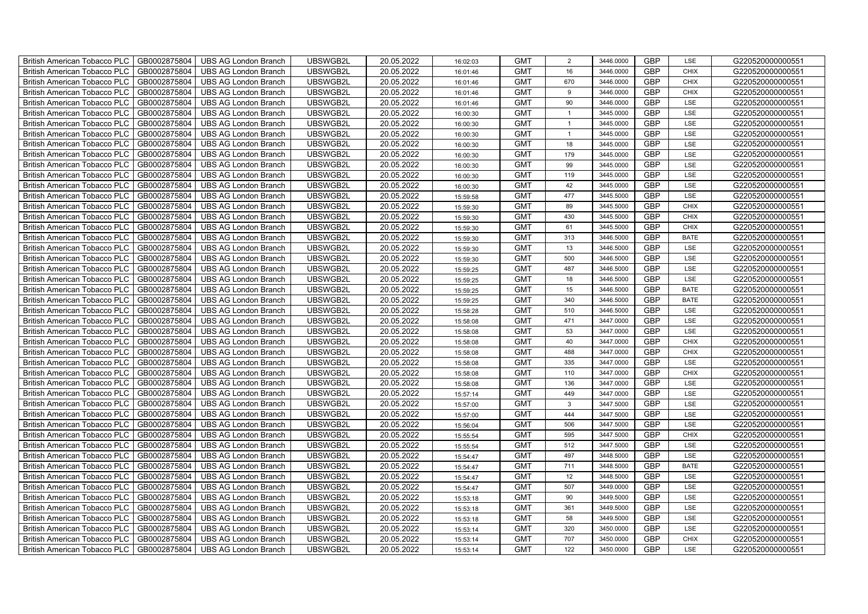| British American Tobacco PLC<br>GB0002875804        | <b>UBS AG London Branch</b> | UBSWGB2L | 20.05.2022 | 16:02:03 | <b>GMT</b> | $\overline{2}$ | 3446.0000 | <b>GBP</b> | LSE         | G220520000000551 |
|-----------------------------------------------------|-----------------------------|----------|------------|----------|------------|----------------|-----------|------------|-------------|------------------|
| GB0002875804<br><b>British American Tobacco PLC</b> | <b>UBS AG London Branch</b> | UBSWGB2L | 20.05.2022 | 16:01:46 | <b>GMT</b> | 16             | 3446.0000 | <b>GBP</b> | <b>CHIX</b> | G220520000000551 |
| GB0002875804<br><b>British American Tobacco PLC</b> | <b>UBS AG London Branch</b> | UBSWGB2L | 20.05.2022 | 16:01:46 | <b>GMT</b> | 670            | 3446.0000 | <b>GBP</b> | <b>CHIX</b> | G220520000000551 |
| GB0002875804<br>British American Tobacco PLC        | <b>UBS AG London Branch</b> | UBSWGB2L | 20.05.2022 | 16:01:46 | <b>GMT</b> | 9              | 3446.0000 | <b>GBP</b> | <b>CHIX</b> | G220520000000551 |
| GB0002875804<br><b>British American Tobacco PLC</b> | <b>UBS AG London Branch</b> | UBSWGB2L | 20.05.2022 | 16:01:46 | <b>GMT</b> | 90             | 3446.0000 | <b>GBP</b> | LSE         | G220520000000551 |
| GB0002875804<br>British American Tobacco PLC        | <b>UBS AG London Branch</b> | UBSWGB2L | 20.05.2022 | 16:00:30 | <b>GMT</b> | $\mathbf{1}$   | 3445.0000 | <b>GBP</b> | LSE         | G220520000000551 |
| GB0002875804<br><b>British American Tobacco PLC</b> | <b>UBS AG London Branch</b> | UBSWGB2L | 20.05.2022 | 16:00:30 | <b>GMT</b> | $\overline{1}$ | 3445.0000 | <b>GBP</b> | LSE         | G220520000000551 |
| British American Tobacco PLC<br>GB0002875804        | <b>UBS AG London Branch</b> | UBSWGB2L | 20.05.2022 | 16:00:30 | <b>GMT</b> | $\mathbf{1}$   | 3445.0000 | <b>GBP</b> | LSE         | G220520000000551 |
| GB0002875804<br><b>British American Tobacco PLC</b> | <b>UBS AG London Branch</b> | UBSWGB2L | 20.05.2022 | 16:00:30 | <b>GMT</b> | 18             | 3445.0000 | <b>GBP</b> | LSE         | G220520000000551 |
| GB0002875804<br>British American Tobacco PLC        | <b>UBS AG London Branch</b> | UBSWGB2L | 20.05.2022 | 16:00:30 | <b>GMT</b> | 179            | 3445.0000 | <b>GBP</b> | LSE         | G220520000000551 |
| <b>British American Tobacco PLC</b><br>GB0002875804 | <b>UBS AG London Branch</b> | UBSWGB2L | 20.05.2022 | 16:00:30 | <b>GMT</b> | 99             | 3445.0000 | <b>GBP</b> | LSE         | G220520000000551 |
| GB0002875804<br><b>British American Tobacco PLC</b> | <b>UBS AG London Branch</b> | UBSWGB2L | 20.05.2022 | 16:00:30 | <b>GMT</b> | 119            | 3445.0000 | <b>GBP</b> | LSE         | G220520000000551 |
| GB0002875804<br>British American Tobacco PLC        | <b>UBS AG London Branch</b> | UBSWGB2L | 20.05.2022 | 16:00:30 | <b>GMT</b> | 42             | 3445.0000 | <b>GBP</b> | LSE         | G220520000000551 |
| GB0002875804<br>British American Tobacco PLC        | <b>UBS AG London Branch</b> | UBSWGB2L | 20.05.2022 | 15:59:58 | <b>GMT</b> | 477            | 3445.5000 | <b>GBP</b> | LSE         | G220520000000551 |
| GB0002875804<br>British American Tobacco PLC        | <b>UBS AG London Branch</b> | UBSWGB2L | 20.05.2022 | 15:59:30 | <b>GMT</b> | 89             | 3445.5000 | <b>GBP</b> | <b>CHIX</b> | G220520000000551 |
| GB0002875804<br>British American Tobacco PLC        | <b>UBS AG London Branch</b> | UBSWGB2L | 20.05.2022 | 15:59:30 | <b>GMT</b> | 430            | 3445.5000 | <b>GBP</b> | <b>CHIX</b> | G220520000000551 |
| British American Tobacco PLC<br>GB0002875804        | <b>UBS AG London Branch</b> | UBSWGB2L | 20.05.2022 | 15:59:30 | <b>GMT</b> | 61             | 3445.5000 | <b>GBP</b> | <b>CHIX</b> | G220520000000551 |
| GB0002875804<br>British American Tobacco PLC        | <b>UBS AG London Branch</b> | UBSWGB2L | 20.05.2022 | 15:59:30 | <b>GMT</b> | 313            | 3446.5000 | <b>GBP</b> | <b>BATE</b> | G220520000000551 |
| GB0002875804<br>British American Tobacco PLC        | <b>UBS AG London Branch</b> | UBSWGB2L | 20.05.2022 | 15:59:30 | <b>GMT</b> | 13             | 3446.5000 | <b>GBP</b> | LSE         | G220520000000551 |
| <b>British American Tobacco PLC</b><br>GB0002875804 | <b>UBS AG London Branch</b> | UBSWGB2L | 20.05.2022 | 15:59:30 | <b>GMT</b> | 500            | 3446.5000 | GBP        | LSE         | G220520000000551 |
| GB0002875804<br><b>British American Tobacco PLC</b> | <b>UBS AG London Branch</b> | UBSWGB2L | 20.05.2022 | 15:59:25 | <b>GMT</b> | 487            | 3446.5000 | <b>GBP</b> | LSE         | G220520000000551 |
| GB0002875804<br>British American Tobacco PLC        | <b>UBS AG London Branch</b> | UBSWGB2L | 20.05.2022 | 15:59:25 | <b>GMT</b> | 18             | 3446.5000 | GBP        | LSE         | G220520000000551 |
| GB0002875804<br>British American Tobacco PLC        | <b>UBS AG London Branch</b> | UBSWGB2L | 20.05.2022 | 15:59:25 | <b>GMT</b> | 15             | 3446.5000 | GBP        | <b>BATE</b> | G220520000000551 |
| GB0002875804<br>British American Tobacco PLC        | <b>UBS AG London Branch</b> | UBSWGB2L | 20.05.2022 | 15:59:25 | <b>GMT</b> | 340            | 3446.5000 | GBP        | <b>BATE</b> | G220520000000551 |
| British American Tobacco PLC<br>GB0002875804        | <b>UBS AG London Branch</b> | UBSWGB2L | 20.05.2022 | 15:58:28 | <b>GMT</b> | 510            | 3446.5000 | <b>GBP</b> | LSE         | G220520000000551 |
| GB0002875804<br>British American Tobacco PLC        | <b>UBS AG London Branch</b> | UBSWGB2L | 20.05.2022 | 15:58:08 | <b>GMT</b> | 471            | 3447.0000 | <b>GBP</b> | LSE         | G220520000000551 |
| GB0002875804<br>British American Tobacco PLC        | <b>UBS AG London Branch</b> | UBSWGB2L | 20.05.2022 | 15:58:08 | <b>GMT</b> | 53             | 3447.0000 | GBP        | LSE         | G220520000000551 |
| GB0002875804<br>British American Tobacco PLC        | <b>UBS AG London Branch</b> | UBSWGB2L | 20.05.2022 | 15:58:08 | <b>GMT</b> | 40             | 3447.0000 | <b>GBP</b> | <b>CHIX</b> | G220520000000551 |
| <b>British American Tobacco PLC</b><br>GB0002875804 | <b>UBS AG London Branch</b> | UBSWGB2L | 20.05.2022 | 15:58:08 | <b>GMT</b> | 488            | 3447.0000 | <b>GBP</b> | CHIX        | G220520000000551 |
| GB0002875804<br><b>British American Tobacco PLC</b> | <b>UBS AG London Branch</b> | UBSWGB2L | 20.05.2022 | 15:58:08 | <b>GMT</b> | 335            | 3447.0000 | <b>GBP</b> | LSE         | G220520000000551 |
| GB0002875804<br>British American Tobacco PLC        | <b>UBS AG London Branch</b> | UBSWGB2L | 20.05.2022 | 15:58:08 | <b>GMT</b> | 110            | 3447.0000 | GBP        | <b>CHIX</b> | G220520000000551 |
| GB0002875804<br>British American Tobacco PLC        | <b>UBS AG London Branch</b> | UBSWGB2L | 20.05.2022 | 15:58:08 | <b>GMT</b> | 136            | 3447.0000 | GBP        | LSE         | G220520000000551 |
| British American Tobacco PLC<br>GB0002875804        | <b>UBS AG London Branch</b> | UBSWGB2L | 20.05.2022 | 15:57:14 | <b>GMT</b> | 449            | 3447.0000 | GBP        | LSE         | G220520000000551 |
| British American Tobacco PLC<br>GB0002875804        | <b>UBS AG London Branch</b> | UBSWGB2L | 20.05.2022 | 15:57:00 | <b>GMT</b> | $\mathbf{3}$   | 3447.5000 | <b>GBP</b> | LSE         | G220520000000551 |
| GB0002875804<br>British American Tobacco PLC        | <b>UBS AG London Branch</b> | UBSWGB2L | 20.05.2022 | 15:57:00 | <b>GMT</b> | 444            | 3447.5000 | <b>GBP</b> | LSE         | G220520000000551 |
| GB0002875804<br>British American Tobacco PLC        | <b>UBS AG London Branch</b> | UBSWGB2L | 20.05.2022 | 15:56:04 | <b>GMT</b> | 506            | 3447.5000 | GBP        | LSE         | G220520000000551 |
| GB0002875804<br>British American Tobacco PLC        | <b>UBS AG London Branch</b> | UBSWGB2L | 20.05.2022 | 15:55:54 | <b>GMT</b> | 595            | 3447.5000 | <b>GBP</b> | <b>CHIX</b> | G220520000000551 |
| <b>British American Tobacco PLC</b><br>GB0002875804 | <b>UBS AG London Branch</b> | UBSWGB2L | 20.05.2022 | 15:55:54 | <b>GMT</b> | 512            | 3447.5000 | <b>GBP</b> | LSE         | G220520000000551 |
| GB0002875804<br><b>British American Tobacco PLC</b> | <b>UBS AG London Branch</b> | UBSWGB2L | 20.05.2022 | 15:54:47 | <b>GMT</b> | 497            | 3448.5000 | <b>GBP</b> | LSE         | G220520000000551 |
| GB0002875804<br><b>British American Tobacco PLC</b> | <b>UBS AG London Branch</b> | UBSWGB2L | 20.05.2022 | 15:54:47 | <b>GMT</b> | 711            | 3448.5000 | <b>GBP</b> | <b>BATE</b> | G220520000000551 |
| British American Tobacco PLC<br>GB0002875804        | <b>UBS AG London Branch</b> | UBSWGB2L | 20.05.2022 | 15:54:47 | <b>GMT</b> | 12             | 3448.5000 | GBP        | LSE         | G220520000000551 |
| British American Tobacco PLC<br>GB0002875804        | <b>UBS AG London Branch</b> | UBSWGB2L | 20.05.2022 | 15:54:47 | <b>GMT</b> | 507            | 3449.0000 | <b>GBP</b> | LSE         | G220520000000551 |
| British American Tobacco PLC<br>GB0002875804        | <b>UBS AG London Branch</b> | UBSWGB2L | 20.05.2022 | 15:53:18 | <b>GMT</b> | 90             | 3449.5000 | <b>GBP</b> | LSE         | G220520000000551 |
| GB0002875804<br><b>British American Tobacco PLC</b> | <b>UBS AG London Branch</b> | UBSWGB2L | 20.05.2022 | 15:53:18 | <b>GMT</b> | 361            | 3449.5000 | <b>GBP</b> | LSE         | G220520000000551 |
| GB0002875804<br><b>British American Tobacco PLC</b> | <b>UBS AG London Branch</b> | UBSWGB2L | 20.05.2022 | 15:53:18 | <b>GMT</b> | 58             | 3449.5000 | GBP        | LSE         | G220520000000551 |
| GB0002875804<br><b>British American Tobacco PLC</b> | <b>UBS AG London Branch</b> | UBSWGB2L | 20.05.2022 | 15:53:14 | <b>GMT</b> | 320            | 3450.0000 | <b>GBP</b> | LSE         | G220520000000551 |
| <b>British American Tobacco PLC</b><br>GB0002875804 | <b>UBS AG London Branch</b> | UBSWGB2L | 20.05.2022 | 15:53:14 | <b>GMT</b> | 707            | 3450.0000 | <b>GBP</b> | <b>CHIX</b> | G220520000000551 |
| GB0002875804<br>British American Tobacco PLC        | <b>UBS AG London Branch</b> | UBSWGB2L | 20.05.2022 | 15:53:14 | <b>GMT</b> | 122            | 3450.0000 | <b>GBP</b> | LSE         | G220520000000551 |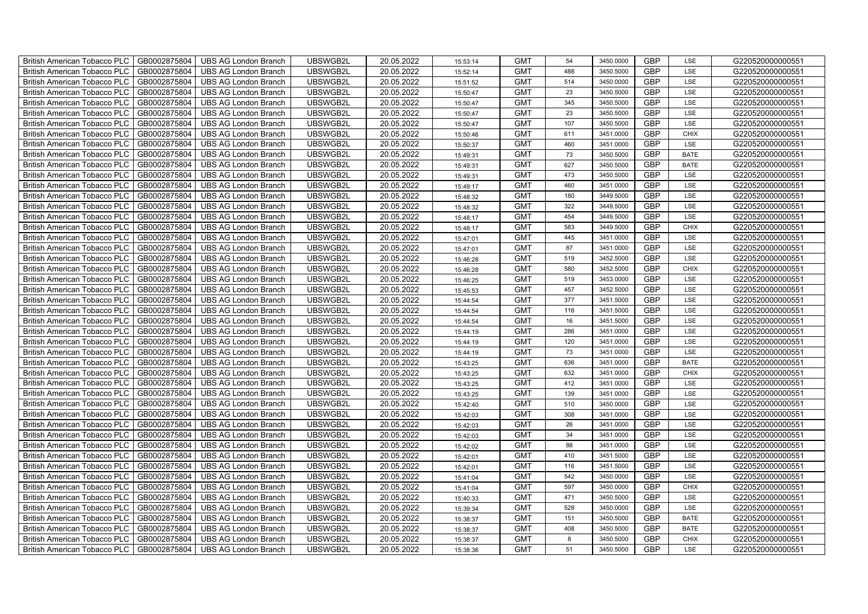| British American Tobacco PLC   GB0002875804 |              | <b>UBS AG London Branch</b> | UBSWGB2L | 20.05.2022 | 15:53:14 | <b>GMT</b> | 54  | 3450.0000 | <b>GBP</b> | LSE         | G220520000000551 |
|---------------------------------------------|--------------|-----------------------------|----------|------------|----------|------------|-----|-----------|------------|-------------|------------------|
| <b>British American Tobacco PLC</b>         | GB0002875804 | <b>UBS AG London Branch</b> | UBSWGB2L | 20.05.2022 | 15:52:14 | <b>GMT</b> | 488 | 3450.5000 | <b>GBP</b> | LSE         | G220520000000551 |
| <b>British American Tobacco PLC</b>         | GB0002875804 | <b>UBS AG London Branch</b> | UBSWGB2L | 20.05.2022 | 15:51:52 | <b>GMT</b> | 514 | 3450.0000 | <b>GBP</b> | LSE         | G220520000000551 |
| <b>British American Tobacco PLC</b>         | GB0002875804 | <b>UBS AG London Branch</b> | UBSWGB2L | 20.05.2022 | 15:50:47 | <b>GMT</b> | 23  | 3450.5000 | <b>GBP</b> | LSE         | G220520000000551 |
| <b>British American Tobacco PLC</b>         | GB0002875804 | <b>UBS AG London Branch</b> | UBSWGB2L | 20.05.2022 | 15:50:47 | <b>GMT</b> | 345 | 3450.5000 | <b>GBP</b> | LSE         | G220520000000551 |
| <b>British American Tobacco PLC</b>         | GB0002875804 | <b>UBS AG London Branch</b> | UBSWGB2L | 20.05.2022 | 15:50:47 | <b>GMT</b> | 23  | 3450.5000 | <b>GBP</b> | LSE         | G220520000000551 |
| <b>British American Tobacco PLC</b>         | GB0002875804 | <b>UBS AG London Branch</b> | UBSWGB2L | 20.05.2022 | 15:50:47 | <b>GMT</b> | 107 | 3450.5000 | <b>GBP</b> | LSE         | G220520000000551 |
| <b>British American Tobacco PLC</b>         | GB0002875804 | <b>UBS AG London Branch</b> | UBSWGB2L | 20.05.2022 | 15:50:46 | <b>GMT</b> | 611 | 3451.0000 | <b>GBP</b> | <b>CHIX</b> | G220520000000551 |
| <b>British American Tobacco PLC</b>         | GB0002875804 | <b>UBS AG London Branch</b> | UBSWGB2L | 20.05.2022 | 15:50:37 | <b>GMT</b> | 460 | 3451.0000 | <b>GBP</b> | LSE         | G220520000000551 |
| <b>British American Tobacco PLC</b>         | GB0002875804 | <b>UBS AG London Branch</b> | UBSWGB2L | 20.05.2022 | 15:49:31 | <b>GMT</b> | 73  | 3450.5000 | <b>GBP</b> | <b>BATE</b> | G220520000000551 |
| <b>British American Tobacco PLC</b>         | GB0002875804 | <b>UBS AG London Branch</b> | UBSWGB2L | 20.05.2022 | 15:49:31 | <b>GMT</b> | 627 | 3450.5000 | <b>GBP</b> | <b>BATE</b> | G220520000000551 |
| British American Tobacco PLC                | GB0002875804 | <b>UBS AG London Branch</b> | UBSWGB2L | 20.05.2022 | 15:49:31 | <b>GMT</b> | 473 | 3450.5000 | <b>GBP</b> | LSE         | G220520000000551 |
| British American Tobacco PLC                | GB0002875804 | <b>UBS AG London Branch</b> | UBSWGB2L | 20.05.2022 | 15:49:17 | <b>GMT</b> | 460 | 3451.0000 | <b>GBP</b> | LSE         | G220520000000551 |
| British American Tobacco PLC                | GB0002875804 | <b>UBS AG London Branch</b> | UBSWGB2L | 20.05.2022 | 15:48:32 | <b>GMT</b> | 180 | 3449.5000 | <b>GBP</b> | LSE         | G220520000000551 |
| British American Tobacco PLC                | GB0002875804 | <b>UBS AG London Branch</b> | UBSWGB2L | 20.05.2022 | 15:48:32 | <b>GMT</b> | 322 | 3449.5000 | <b>GBP</b> | LSE         | G220520000000551 |
| British American Tobacco PLC                | GB0002875804 | <b>UBS AG London Branch</b> | UBSWGB2L | 20.05.2022 | 15:48:17 | <b>GMT</b> | 454 | 3449.5000 | <b>GBP</b> | LSE         | G220520000000551 |
| British American Tobacco PLC                | GB0002875804 | <b>UBS AG London Branch</b> | UBSWGB2L | 20.05.2022 | 15:48:17 | <b>GMT</b> | 583 | 3449.5000 | <b>GBP</b> | <b>CHIX</b> | G220520000000551 |
| British American Tobacco PLC                | GB0002875804 | <b>UBS AG London Branch</b> | UBSWGB2L | 20.05.2022 | 15:47:01 | <b>GMT</b> | 445 | 3451.0000 | <b>GBP</b> | LSE         | G220520000000551 |
| British American Tobacco PLC                | GB0002875804 | <b>UBS AG London Branch</b> | UBSWGB2L | 20.05.2022 | 15:47:01 | <b>GMT</b> | 87  | 3451.0000 | <b>GBP</b> | LSE         | G220520000000551 |
| <b>British American Tobacco PLC</b>         | GB0002875804 | <b>UBS AG London Branch</b> | UBSWGB2L | 20.05.2022 | 15:46:28 | <b>GMT</b> | 519 | 3452.5000 | <b>GBP</b> | <b>LSE</b>  | G220520000000551 |
| British American Tobacco PLC                | GB0002875804 | UBS AG London Branch        | UBSWGB2L | 20.05.2022 | 15:46:28 | <b>GMT</b> | 580 | 3452.5000 | <b>GBP</b> | <b>CHIX</b> | G220520000000551 |
| British American Tobacco PLC                | GB0002875804 | <b>UBS AG London Branch</b> | UBSWGB2L | 20.05.2022 | 15:46:25 | <b>GMT</b> | 519 | 3453.0000 | GBP        | LSE         | G220520000000551 |
| British American Tobacco PLC                | GB0002875804 | <b>UBS AG London Branch</b> | UBSWGB2L | 20.05.2022 | 15:45:53 | <b>GMT</b> | 457 | 3452.5000 | GBP        | LSE         | G220520000000551 |
| British American Tobacco PLC                | GB0002875804 | UBS AG London Branch        | UBSWGB2L | 20.05.2022 | 15:44:54 | <b>GMT</b> | 377 | 3451.5000 | <b>GBP</b> | LSE         | G220520000000551 |
| British American Tobacco PLC                | GB0002875804 | <b>UBS AG London Branch</b> | UBSWGB2L | 20.05.2022 | 15:44:54 | <b>GMT</b> | 116 | 3451.5000 | <b>GBP</b> | LSE         | G220520000000551 |
| British American Tobacco PLC                | GB0002875804 | <b>UBS AG London Branch</b> | UBSWGB2L | 20.05.2022 | 15:44:54 | <b>GMT</b> | 16  | 3451.5000 | <b>GBP</b> | LSE         | G220520000000551 |
| British American Tobacco PLC                | GB0002875804 | <b>UBS AG London Branch</b> | UBSWGB2L | 20.05.2022 | 15:44:19 | <b>GMT</b> | 286 | 3451.0000 | <b>GBP</b> | LSE         | G220520000000551 |
| British American Tobacco PLC                | GB0002875804 | <b>UBS AG London Branch</b> | UBSWGB2L | 20.05.2022 | 15:44:19 | <b>GMT</b> | 120 | 3451.0000 | <b>GBP</b> | LSE         | G220520000000551 |
| <b>British American Tobacco PLC</b>         | GB0002875804 | <b>UBS AG London Branch</b> | UBSWGB2L | 20.05.2022 | 15:44:19 | <b>GMT</b> | 73  | 3451.0000 | <b>GBP</b> | LSE         | G220520000000551 |
| British American Tobacco PLC                | GB0002875804 | UBS AG London Branch        | UBSWGB2L | 20.05.2022 | 15:43:25 | <b>GMT</b> | 636 | 3451.0000 | <b>GBP</b> | <b>BATE</b> | G220520000000551 |
| British American Tobacco PLC                | GB0002875804 | <b>UBS AG London Branch</b> | UBSWGB2L | 20.05.2022 | 15:43:25 | <b>GMT</b> | 632 | 3451.0000 | GBP        | CHIX        | G220520000000551 |
| British American Tobacco PLC                | GB0002875804 | <b>UBS AG London Branch</b> | UBSWGB2L | 20.05.2022 | 15:43:25 | <b>GMT</b> | 412 | 3451.0000 | GBP        | LSE         | G220520000000551 |
| British American Tobacco PLC                | GB0002875804 | <b>UBS AG London Branch</b> | UBSWGB2L | 20.05.2022 | 15:43:25 | <b>GMT</b> | 139 | 3451.0000 | <b>GBP</b> | LSE         | G220520000000551 |
| British American Tobacco PLC                | GB0002875804 | <b>UBS AG London Branch</b> | UBSWGB2L | 20.05.2022 | 15:42:40 | <b>GMT</b> | 510 | 3450.0000 | <b>GBP</b> | LSE         | G220520000000551 |
| British American Tobacco PLC                | GB0002875804 | <b>UBS AG London Branch</b> | UBSWGB2L | 20.05.2022 | 15:42:03 | <b>GMT</b> | 308 | 3451.0000 | <b>GBP</b> | LSE         | G220520000000551 |
| British American Tobacco PLC                | GB0002875804 | <b>UBS AG London Branch</b> | UBSWGB2L | 20.05.2022 | 15:42:03 | <b>GMT</b> | 26  | 3451.0000 | <b>GBP</b> | LSE         | G220520000000551 |
| British American Tobacco PLC                | GB0002875804 | <b>UBS AG London Branch</b> | UBSWGB2L | 20.05.2022 | 15:42:03 | <b>GMT</b> | 34  | 3451.0000 | <b>GBP</b> | LSE         | G220520000000551 |
| <b>British American Tobacco PLC</b>         | GB0002875804 | <b>UBS AG London Branch</b> | UBSWGB2L | 20.05.2022 | 15:42:02 | <b>GMT</b> | 88  | 3451.0000 | <b>GBP</b> | LSE         | G220520000000551 |
| <b>British American Tobacco PLC</b>         | GB0002875804 | UBS AG London Branch        | UBSWGB2L | 20.05.2022 | 15:42:01 | <b>GMT</b> | 410 | 3451.5000 | <b>GBP</b> | LSE         | G220520000000551 |
| British American Tobacco PLC                | GB0002875804 | <b>UBS AG London Branch</b> | UBSWGB2L | 20.05.2022 | 15:42:01 | <b>GMT</b> | 116 | 3451.5000 | <b>GBP</b> | LSE         | G220520000000551 |
| British American Tobacco PLC                | GB0002875804 | <b>UBS AG London Branch</b> | UBSWGB2L | 20.05.2022 | 15:41:04 | <b>GMT</b> | 542 | 3450.0000 | GBP        | LSE         | G220520000000551 |
| British American Tobacco PLC                | GB0002875804 | UBS AG London Branch        | UBSWGB2L | 20.05.2022 | 15:41:04 | <b>GMT</b> | 597 | 3450.0000 | <b>GBP</b> | <b>CHIX</b> | G220520000000551 |
| British American Tobacco PLC                | GB0002875804 | <b>UBS AG London Branch</b> | UBSWGB2L | 20.05.2022 | 15:40:33 | <b>GMT</b> | 471 | 3450.5000 | <b>GBP</b> | LSE         | G220520000000551 |
| <b>British American Tobacco PLC</b>         | GB0002875804 | <b>UBS AG London Branch</b> | UBSWGB2L | 20.05.2022 | 15:39:34 | <b>GMT</b> | 528 | 3450.0000 | <b>GBP</b> | LSE         | G220520000000551 |
| <b>British American Tobacco PLC</b>         | GB0002875804 | <b>UBS AG London Branch</b> | UBSWGB2L | 20.05.2022 | 15:38:37 | <b>GMT</b> | 151 | 3450.5000 | <b>GBP</b> | <b>BATE</b> | G220520000000551 |
| <b>British American Tobacco PLC</b>         | GB0002875804 | <b>UBS AG London Branch</b> | UBSWGB2L | 20.05.2022 | 15:38:37 | <b>GMT</b> | 408 | 3450.5000 | <b>GBP</b> | <b>BATE</b> | G220520000000551 |
| <b>British American Tobacco PLC</b>         | GB0002875804 | <b>UBS AG London Branch</b> | UBSWGB2L | 20.05.2022 | 15:38:37 | <b>GMT</b> | 8   | 3450.5000 | <b>GBP</b> | <b>CHIX</b> | G220520000000551 |
| British American Tobacco PLC                | GB0002875804 | <b>UBS AG London Branch</b> | UBSWGB2L | 20.05.2022 | 15:38:36 | <b>GMT</b> | 51  | 3450.5000 | <b>GBP</b> | LSE         | G220520000000551 |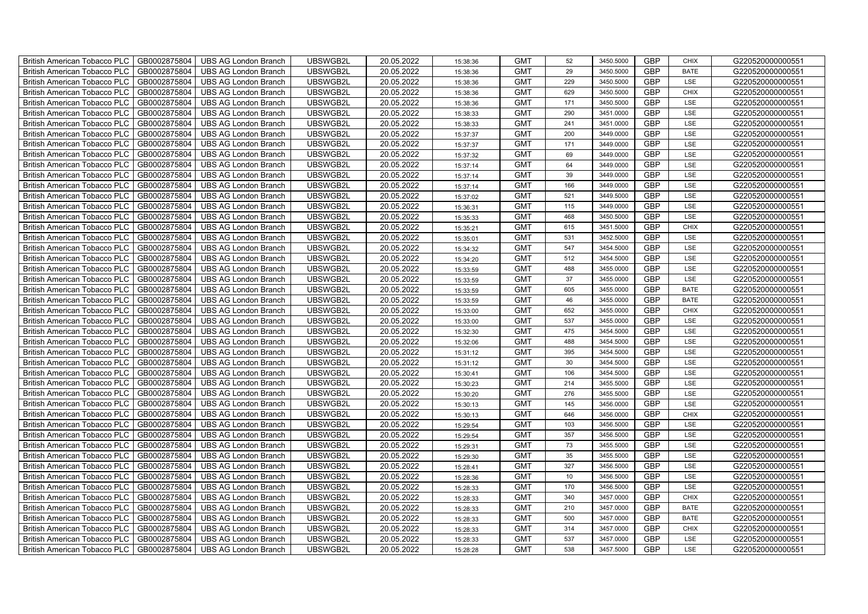| GB0002875804<br>UBSWGB2L<br>20.05.2022<br><b>GMT</b><br><b>GBP</b><br>G220520000000551<br><b>British American Tobacco PLC</b><br><b>UBS AG London Branch</b><br>29<br>3450.5000<br><b>BATE</b><br>15:38:36<br><b>GBP</b><br>GB0002875804<br><b>UBS AG London Branch</b><br>UBSWGB2L<br>20.05.2022<br><b>GMT</b><br>G220520000000551<br><b>British American Tobacco PLC</b><br>229<br>3450.5000<br>LSE<br>15:38:36<br>GB0002875804<br><b>GMT</b><br><b>GBP</b><br>G220520000000551<br>British American Tobacco PLC<br><b>UBS AG London Branch</b><br>UBSWGB2L<br>20.05.2022<br>629<br>3450.5000<br><b>CHIX</b><br>15:38:36<br>GB0002875804<br>UBSWGB2L<br>20.05.2022<br><b>GMT</b><br>171<br>3450.5000<br><b>GBP</b><br>LSE<br>G220520000000551<br><b>British American Tobacco PLC</b><br><b>UBS AG London Branch</b><br>15:38:36<br><b>GBP</b><br>GB0002875804<br>UBSWGB2L<br>20.05.2022<br><b>GMT</b><br>290<br>3451.0000<br>LSE<br>G220520000000551<br>British American Tobacco PLC<br><b>UBS AG London Branch</b><br>15:38:33<br><b>GBP</b><br>GB0002875804<br>20.05.2022<br>241<br>3451.0000<br><b>British American Tobacco PLC</b><br><b>UBS AG London Branch</b><br>UBSWGB2L<br><b>GMT</b><br>LSE<br>G220520000000551<br>15:38:33<br><b>GBP</b><br>British American Tobacco PLC<br>GB0002875804<br>UBSWGB2L<br>20.05.2022<br><b>GMT</b><br>200<br>3449.0000<br>LSE<br>G220520000000551<br><b>UBS AG London Branch</b><br>15:37:37<br><b>GBP</b><br>GB0002875804<br>UBSWGB2L<br>20.05.2022<br><b>GMT</b><br>171<br>G220520000000551<br><b>British American Tobacco PLC</b><br><b>UBS AG London Branch</b><br>3449.0000<br>LSE<br>15:37:37<br>GB0002875804<br>UBSWGB2L<br>20.05.2022<br><b>GMT</b><br>69<br><b>GBP</b><br>G220520000000551<br>British American Tobacco PLC<br><b>UBS AG London Branch</b><br>3449.0000<br>LSE<br>15:37:32<br><b>British American Tobacco PLC</b><br>GB0002875804<br>UBSWGB2L<br>20.05.2022<br><b>GMT</b><br><b>GBP</b><br>G220520000000551<br><b>UBS AG London Branch</b><br>64<br>3449.0000<br>LSE<br>15:37:14<br><b>GBP</b><br>GB0002875804<br>UBSWGB2L<br>20.05.2022<br><b>GMT</b><br>39<br>G220520000000551<br><b>British American Tobacco PLC</b><br><b>UBS AG London Branch</b><br>3449.0000<br>LSE<br>15:37:14<br>GB0002875804<br><b>GMT</b><br><b>GBP</b><br>British American Tobacco PLC<br><b>UBS AG London Branch</b><br>UBSWGB2L<br>20.05.2022<br>166<br>3449.0000<br>LSE<br>G220520000000551<br>15:37:14<br>GB0002875804<br>UBSWGB2L<br>20.05.2022<br><b>GMT</b><br><b>GBP</b><br>G220520000000551<br>British American Tobacco PLC<br><b>UBS AG London Branch</b><br>521<br>3449.5000<br>LSE<br>15:37:02<br><b>GBP</b><br>GB0002875804<br>UBSWGB2L<br>20.05.2022<br><b>GMT</b><br>115<br>3449.0000<br>G220520000000551<br>British American Tobacco PLC<br><b>UBS AG London Branch</b><br>LSE<br>15:36:31<br><b>GBP</b><br>GB0002875804<br>20.05.2022<br><b>GMT</b><br>468<br>3450.5000<br>British American Tobacco PLC<br><b>UBS AG London Branch</b><br>UBSWGB2L<br>LSE<br>G220520000000551<br>15:35:33<br><b>GBP</b><br><b>GMT</b><br>British American Tobacco PLC<br>GB0002875804<br>UBSWGB2L<br>20.05.2022<br>615<br>3451.5000<br>G220520000000551<br><b>UBS AG London Branch</b><br><b>CHIX</b><br>15:35:21<br><b>GBP</b><br>GB0002875804<br>UBSWGB2L<br>20.05.2022<br><b>GMT</b><br>531<br>G220520000000551<br>British American Tobacco PLC<br><b>UBS AG London Branch</b><br>3452.5000<br>LSE<br>15:35:01<br>GB0002875804<br>UBSWGB2L<br>20.05.2022<br><b>GMT</b><br>547<br><b>GBP</b><br>G220520000000551<br>British American Tobacco PLC<br><b>UBS AG London Branch</b><br>3454.5000<br>LSE<br>15:34:32<br><b>British American Tobacco PLC</b><br>GB0002875804<br><b>UBS AG London Branch</b><br>UBSWGB2L<br>20.05.2022<br><b>GMT</b><br>GBP<br>G220520000000551<br>512<br>3454.5000<br>LSE<br>15:34:20<br><b>GBP</b><br>GB0002875804<br><b>UBS AG London Branch</b><br>UBSWGB2L<br>20.05.2022<br><b>GMT</b><br>488<br><b>British American Tobacco PLC</b><br>3455.0000<br>LSE<br>G220520000000551<br>15:33:59<br>GB0002875804<br><b>GMT</b><br>GBP<br>G220520000000551<br>British American Tobacco PLC<br><b>UBS AG London Branch</b><br>UBSWGB2L<br>20.05.2022<br>37<br>3455.0000<br>LSE<br>15:33:59<br>GB0002875804<br>UBSWGB2L<br>20.05.2022<br><b>GMT</b><br>605<br>GBP<br>G220520000000551<br>British American Tobacco PLC<br><b>UBS AG London Branch</b><br>3455.0000<br><b>BATE</b><br>15:33:59<br>GBP<br>GB0002875804<br>UBSWGB2L<br>20.05.2022<br><b>GMT</b><br>46<br>3455.0000<br>G220520000000551<br>British American Tobacco PLC<br><b>UBS AG London Branch</b><br><b>BATE</b><br>15:33:59<br><b>GBP</b><br>British American Tobacco PLC<br>GB0002875804<br>20.05.2022<br><b>GMT</b><br>652<br>3455.0000<br><b>UBS AG London Branch</b><br>UBSWGB2L<br><b>CHIX</b><br>G220520000000551<br>15:33:00<br>537<br><b>GBP</b><br>GB0002875804<br>UBSWGB2L<br>20.05.2022<br><b>GMT</b><br>3455.0000<br>LSE<br>British American Tobacco PLC<br><b>UBS AG London Branch</b><br>G220520000000551<br>15:33:00<br><b>GBP</b><br>GB0002875804<br>UBSWGB2L<br>20.05.2022<br><b>GMT</b><br>475<br>3454.5000<br>G220520000000551<br>British American Tobacco PLC<br><b>UBS AG London Branch</b><br>LSE<br>15:32:30<br><b>GBP</b><br>GB0002875804<br>UBSWGB2L<br>20.05.2022<br><b>GMT</b><br>488<br>3454.5000<br>LSE<br>G220520000000551<br>British American Tobacco PLC<br><b>UBS AG London Branch</b><br>15:32:06 |
|---------------------------------------------------------------------------------------------------------------------------------------------------------------------------------------------------------------------------------------------------------------------------------------------------------------------------------------------------------------------------------------------------------------------------------------------------------------------------------------------------------------------------------------------------------------------------------------------------------------------------------------------------------------------------------------------------------------------------------------------------------------------------------------------------------------------------------------------------------------------------------------------------------------------------------------------------------------------------------------------------------------------------------------------------------------------------------------------------------------------------------------------------------------------------------------------------------------------------------------------------------------------------------------------------------------------------------------------------------------------------------------------------------------------------------------------------------------------------------------------------------------------------------------------------------------------------------------------------------------------------------------------------------------------------------------------------------------------------------------------------------------------------------------------------------------------------------------------------------------------------------------------------------------------------------------------------------------------------------------------------------------------------------------------------------------------------------------------------------------------------------------------------------------------------------------------------------------------------------------------------------------------------------------------------------------------------------------------------------------------------------------------------------------------------------------------------------------------------------------------------------------------------------------------------------------------------------------------------------------------------------------------------------------------------------------------------------------------------------------------------------------------------------------------------------------------------------------------------------------------------------------------------------------------------------------------------------------------------------------------------------------------------------------------------------------------------------------------------------------------------------------------------------------------------------------------------------------------------------------------------------------------------------------------------------------------------------------------------------------------------------------------------------------------------------------------------------------------------------------------------------------------------------------------------------------------------------------------------------------------------------------------------------------------------------------------------------------------------------------------------------------------------------------------------------------------------------------------------------------------------------------------------------------------------------------------------------------------------------------------------------------------------------------------------------------------------------------------------------------------------------------------------------------------------------------------------------------------------------------------------------------------------------------------------------------------------------------------------------------------------------------------------------------------------------------------------------------------------------------------------------------------------------------------------------------------------------------------------------------------------------------------------------------------------------------------------------------------------------------------------------------------------------------------------------------------------------------------------------------------------------------------------------------------------------------------------------------------------------------------------------------------------------------------------------------------------------------------------------------------------------------------------------------------------------------------------------------------------------------------------------------------------------------------------------------------------------------------------------------------------------------------------------------------------------------------------------------------------|
|                                                                                                                                                                                                                                                                                                                                                                                                                                                                                                                                                                                                                                                                                                                                                                                                                                                                                                                                                                                                                                                                                                                                                                                                                                                                                                                                                                                                                                                                                                                                                                                                                                                                                                                                                                                                                                                                                                                                                                                                                                                                                                                                                                                                                                                                                                                                                                                                                                                                                                                                                                                                                                                                                                                                                                                                                                                                                                                                                                                                                                                                                                                                                                                                                                                                                                                                                                                                                                                                                                                                                                                                                                                                                                                                                                                                                                                                                                                                                                                                                                                                                                                                                                                                                                                                                                                                                                                                                                                                                                                                                                                                                                                                                                                                                                                                                                                                                                                                                                                                                                                                                                                                                                                                                                                                                                                                                                                                                                                                           |
|                                                                                                                                                                                                                                                                                                                                                                                                                                                                                                                                                                                                                                                                                                                                                                                                                                                                                                                                                                                                                                                                                                                                                                                                                                                                                                                                                                                                                                                                                                                                                                                                                                                                                                                                                                                                                                                                                                                                                                                                                                                                                                                                                                                                                                                                                                                                                                                                                                                                                                                                                                                                                                                                                                                                                                                                                                                                                                                                                                                                                                                                                                                                                                                                                                                                                                                                                                                                                                                                                                                                                                                                                                                                                                                                                                                                                                                                                                                                                                                                                                                                                                                                                                                                                                                                                                                                                                                                                                                                                                                                                                                                                                                                                                                                                                                                                                                                                                                                                                                                                                                                                                                                                                                                                                                                                                                                                                                                                                                                           |
|                                                                                                                                                                                                                                                                                                                                                                                                                                                                                                                                                                                                                                                                                                                                                                                                                                                                                                                                                                                                                                                                                                                                                                                                                                                                                                                                                                                                                                                                                                                                                                                                                                                                                                                                                                                                                                                                                                                                                                                                                                                                                                                                                                                                                                                                                                                                                                                                                                                                                                                                                                                                                                                                                                                                                                                                                                                                                                                                                                                                                                                                                                                                                                                                                                                                                                                                                                                                                                                                                                                                                                                                                                                                                                                                                                                                                                                                                                                                                                                                                                                                                                                                                                                                                                                                                                                                                                                                                                                                                                                                                                                                                                                                                                                                                                                                                                                                                                                                                                                                                                                                                                                                                                                                                                                                                                                                                                                                                                                                           |
|                                                                                                                                                                                                                                                                                                                                                                                                                                                                                                                                                                                                                                                                                                                                                                                                                                                                                                                                                                                                                                                                                                                                                                                                                                                                                                                                                                                                                                                                                                                                                                                                                                                                                                                                                                                                                                                                                                                                                                                                                                                                                                                                                                                                                                                                                                                                                                                                                                                                                                                                                                                                                                                                                                                                                                                                                                                                                                                                                                                                                                                                                                                                                                                                                                                                                                                                                                                                                                                                                                                                                                                                                                                                                                                                                                                                                                                                                                                                                                                                                                                                                                                                                                                                                                                                                                                                                                                                                                                                                                                                                                                                                                                                                                                                                                                                                                                                                                                                                                                                                                                                                                                                                                                                                                                                                                                                                                                                                                                                           |
|                                                                                                                                                                                                                                                                                                                                                                                                                                                                                                                                                                                                                                                                                                                                                                                                                                                                                                                                                                                                                                                                                                                                                                                                                                                                                                                                                                                                                                                                                                                                                                                                                                                                                                                                                                                                                                                                                                                                                                                                                                                                                                                                                                                                                                                                                                                                                                                                                                                                                                                                                                                                                                                                                                                                                                                                                                                                                                                                                                                                                                                                                                                                                                                                                                                                                                                                                                                                                                                                                                                                                                                                                                                                                                                                                                                                                                                                                                                                                                                                                                                                                                                                                                                                                                                                                                                                                                                                                                                                                                                                                                                                                                                                                                                                                                                                                                                                                                                                                                                                                                                                                                                                                                                                                                                                                                                                                                                                                                                                           |
|                                                                                                                                                                                                                                                                                                                                                                                                                                                                                                                                                                                                                                                                                                                                                                                                                                                                                                                                                                                                                                                                                                                                                                                                                                                                                                                                                                                                                                                                                                                                                                                                                                                                                                                                                                                                                                                                                                                                                                                                                                                                                                                                                                                                                                                                                                                                                                                                                                                                                                                                                                                                                                                                                                                                                                                                                                                                                                                                                                                                                                                                                                                                                                                                                                                                                                                                                                                                                                                                                                                                                                                                                                                                                                                                                                                                                                                                                                                                                                                                                                                                                                                                                                                                                                                                                                                                                                                                                                                                                                                                                                                                                                                                                                                                                                                                                                                                                                                                                                                                                                                                                                                                                                                                                                                                                                                                                                                                                                                                           |
|                                                                                                                                                                                                                                                                                                                                                                                                                                                                                                                                                                                                                                                                                                                                                                                                                                                                                                                                                                                                                                                                                                                                                                                                                                                                                                                                                                                                                                                                                                                                                                                                                                                                                                                                                                                                                                                                                                                                                                                                                                                                                                                                                                                                                                                                                                                                                                                                                                                                                                                                                                                                                                                                                                                                                                                                                                                                                                                                                                                                                                                                                                                                                                                                                                                                                                                                                                                                                                                                                                                                                                                                                                                                                                                                                                                                                                                                                                                                                                                                                                                                                                                                                                                                                                                                                                                                                                                                                                                                                                                                                                                                                                                                                                                                                                                                                                                                                                                                                                                                                                                                                                                                                                                                                                                                                                                                                                                                                                                                           |
|                                                                                                                                                                                                                                                                                                                                                                                                                                                                                                                                                                                                                                                                                                                                                                                                                                                                                                                                                                                                                                                                                                                                                                                                                                                                                                                                                                                                                                                                                                                                                                                                                                                                                                                                                                                                                                                                                                                                                                                                                                                                                                                                                                                                                                                                                                                                                                                                                                                                                                                                                                                                                                                                                                                                                                                                                                                                                                                                                                                                                                                                                                                                                                                                                                                                                                                                                                                                                                                                                                                                                                                                                                                                                                                                                                                                                                                                                                                                                                                                                                                                                                                                                                                                                                                                                                                                                                                                                                                                                                                                                                                                                                                                                                                                                                                                                                                                                                                                                                                                                                                                                                                                                                                                                                                                                                                                                                                                                                                                           |
|                                                                                                                                                                                                                                                                                                                                                                                                                                                                                                                                                                                                                                                                                                                                                                                                                                                                                                                                                                                                                                                                                                                                                                                                                                                                                                                                                                                                                                                                                                                                                                                                                                                                                                                                                                                                                                                                                                                                                                                                                                                                                                                                                                                                                                                                                                                                                                                                                                                                                                                                                                                                                                                                                                                                                                                                                                                                                                                                                                                                                                                                                                                                                                                                                                                                                                                                                                                                                                                                                                                                                                                                                                                                                                                                                                                                                                                                                                                                                                                                                                                                                                                                                                                                                                                                                                                                                                                                                                                                                                                                                                                                                                                                                                                                                                                                                                                                                                                                                                                                                                                                                                                                                                                                                                                                                                                                                                                                                                                                           |
|                                                                                                                                                                                                                                                                                                                                                                                                                                                                                                                                                                                                                                                                                                                                                                                                                                                                                                                                                                                                                                                                                                                                                                                                                                                                                                                                                                                                                                                                                                                                                                                                                                                                                                                                                                                                                                                                                                                                                                                                                                                                                                                                                                                                                                                                                                                                                                                                                                                                                                                                                                                                                                                                                                                                                                                                                                                                                                                                                                                                                                                                                                                                                                                                                                                                                                                                                                                                                                                                                                                                                                                                                                                                                                                                                                                                                                                                                                                                                                                                                                                                                                                                                                                                                                                                                                                                                                                                                                                                                                                                                                                                                                                                                                                                                                                                                                                                                                                                                                                                                                                                                                                                                                                                                                                                                                                                                                                                                                                                           |
|                                                                                                                                                                                                                                                                                                                                                                                                                                                                                                                                                                                                                                                                                                                                                                                                                                                                                                                                                                                                                                                                                                                                                                                                                                                                                                                                                                                                                                                                                                                                                                                                                                                                                                                                                                                                                                                                                                                                                                                                                                                                                                                                                                                                                                                                                                                                                                                                                                                                                                                                                                                                                                                                                                                                                                                                                                                                                                                                                                                                                                                                                                                                                                                                                                                                                                                                                                                                                                                                                                                                                                                                                                                                                                                                                                                                                                                                                                                                                                                                                                                                                                                                                                                                                                                                                                                                                                                                                                                                                                                                                                                                                                                                                                                                                                                                                                                                                                                                                                                                                                                                                                                                                                                                                                                                                                                                                                                                                                                                           |
|                                                                                                                                                                                                                                                                                                                                                                                                                                                                                                                                                                                                                                                                                                                                                                                                                                                                                                                                                                                                                                                                                                                                                                                                                                                                                                                                                                                                                                                                                                                                                                                                                                                                                                                                                                                                                                                                                                                                                                                                                                                                                                                                                                                                                                                                                                                                                                                                                                                                                                                                                                                                                                                                                                                                                                                                                                                                                                                                                                                                                                                                                                                                                                                                                                                                                                                                                                                                                                                                                                                                                                                                                                                                                                                                                                                                                                                                                                                                                                                                                                                                                                                                                                                                                                                                                                                                                                                                                                                                                                                                                                                                                                                                                                                                                                                                                                                                                                                                                                                                                                                                                                                                                                                                                                                                                                                                                                                                                                                                           |
|                                                                                                                                                                                                                                                                                                                                                                                                                                                                                                                                                                                                                                                                                                                                                                                                                                                                                                                                                                                                                                                                                                                                                                                                                                                                                                                                                                                                                                                                                                                                                                                                                                                                                                                                                                                                                                                                                                                                                                                                                                                                                                                                                                                                                                                                                                                                                                                                                                                                                                                                                                                                                                                                                                                                                                                                                                                                                                                                                                                                                                                                                                                                                                                                                                                                                                                                                                                                                                                                                                                                                                                                                                                                                                                                                                                                                                                                                                                                                                                                                                                                                                                                                                                                                                                                                                                                                                                                                                                                                                                                                                                                                                                                                                                                                                                                                                                                                                                                                                                                                                                                                                                                                                                                                                                                                                                                                                                                                                                                           |
|                                                                                                                                                                                                                                                                                                                                                                                                                                                                                                                                                                                                                                                                                                                                                                                                                                                                                                                                                                                                                                                                                                                                                                                                                                                                                                                                                                                                                                                                                                                                                                                                                                                                                                                                                                                                                                                                                                                                                                                                                                                                                                                                                                                                                                                                                                                                                                                                                                                                                                                                                                                                                                                                                                                                                                                                                                                                                                                                                                                                                                                                                                                                                                                                                                                                                                                                                                                                                                                                                                                                                                                                                                                                                                                                                                                                                                                                                                                                                                                                                                                                                                                                                                                                                                                                                                                                                                                                                                                                                                                                                                                                                                                                                                                                                                                                                                                                                                                                                                                                                                                                                                                                                                                                                                                                                                                                                                                                                                                                           |
|                                                                                                                                                                                                                                                                                                                                                                                                                                                                                                                                                                                                                                                                                                                                                                                                                                                                                                                                                                                                                                                                                                                                                                                                                                                                                                                                                                                                                                                                                                                                                                                                                                                                                                                                                                                                                                                                                                                                                                                                                                                                                                                                                                                                                                                                                                                                                                                                                                                                                                                                                                                                                                                                                                                                                                                                                                                                                                                                                                                                                                                                                                                                                                                                                                                                                                                                                                                                                                                                                                                                                                                                                                                                                                                                                                                                                                                                                                                                                                                                                                                                                                                                                                                                                                                                                                                                                                                                                                                                                                                                                                                                                                                                                                                                                                                                                                                                                                                                                                                                                                                                                                                                                                                                                                                                                                                                                                                                                                                                           |
|                                                                                                                                                                                                                                                                                                                                                                                                                                                                                                                                                                                                                                                                                                                                                                                                                                                                                                                                                                                                                                                                                                                                                                                                                                                                                                                                                                                                                                                                                                                                                                                                                                                                                                                                                                                                                                                                                                                                                                                                                                                                                                                                                                                                                                                                                                                                                                                                                                                                                                                                                                                                                                                                                                                                                                                                                                                                                                                                                                                                                                                                                                                                                                                                                                                                                                                                                                                                                                                                                                                                                                                                                                                                                                                                                                                                                                                                                                                                                                                                                                                                                                                                                                                                                                                                                                                                                                                                                                                                                                                                                                                                                                                                                                                                                                                                                                                                                                                                                                                                                                                                                                                                                                                                                                                                                                                                                                                                                                                                           |
|                                                                                                                                                                                                                                                                                                                                                                                                                                                                                                                                                                                                                                                                                                                                                                                                                                                                                                                                                                                                                                                                                                                                                                                                                                                                                                                                                                                                                                                                                                                                                                                                                                                                                                                                                                                                                                                                                                                                                                                                                                                                                                                                                                                                                                                                                                                                                                                                                                                                                                                                                                                                                                                                                                                                                                                                                                                                                                                                                                                                                                                                                                                                                                                                                                                                                                                                                                                                                                                                                                                                                                                                                                                                                                                                                                                                                                                                                                                                                                                                                                                                                                                                                                                                                                                                                                                                                                                                                                                                                                                                                                                                                                                                                                                                                                                                                                                                                                                                                                                                                                                                                                                                                                                                                                                                                                                                                                                                                                                                           |
|                                                                                                                                                                                                                                                                                                                                                                                                                                                                                                                                                                                                                                                                                                                                                                                                                                                                                                                                                                                                                                                                                                                                                                                                                                                                                                                                                                                                                                                                                                                                                                                                                                                                                                                                                                                                                                                                                                                                                                                                                                                                                                                                                                                                                                                                                                                                                                                                                                                                                                                                                                                                                                                                                                                                                                                                                                                                                                                                                                                                                                                                                                                                                                                                                                                                                                                                                                                                                                                                                                                                                                                                                                                                                                                                                                                                                                                                                                                                                                                                                                                                                                                                                                                                                                                                                                                                                                                                                                                                                                                                                                                                                                                                                                                                                                                                                                                                                                                                                                                                                                                                                                                                                                                                                                                                                                                                                                                                                                                                           |
|                                                                                                                                                                                                                                                                                                                                                                                                                                                                                                                                                                                                                                                                                                                                                                                                                                                                                                                                                                                                                                                                                                                                                                                                                                                                                                                                                                                                                                                                                                                                                                                                                                                                                                                                                                                                                                                                                                                                                                                                                                                                                                                                                                                                                                                                                                                                                                                                                                                                                                                                                                                                                                                                                                                                                                                                                                                                                                                                                                                                                                                                                                                                                                                                                                                                                                                                                                                                                                                                                                                                                                                                                                                                                                                                                                                                                                                                                                                                                                                                                                                                                                                                                                                                                                                                                                                                                                                                                                                                                                                                                                                                                                                                                                                                                                                                                                                                                                                                                                                                                                                                                                                                                                                                                                                                                                                                                                                                                                                                           |
|                                                                                                                                                                                                                                                                                                                                                                                                                                                                                                                                                                                                                                                                                                                                                                                                                                                                                                                                                                                                                                                                                                                                                                                                                                                                                                                                                                                                                                                                                                                                                                                                                                                                                                                                                                                                                                                                                                                                                                                                                                                                                                                                                                                                                                                                                                                                                                                                                                                                                                                                                                                                                                                                                                                                                                                                                                                                                                                                                                                                                                                                                                                                                                                                                                                                                                                                                                                                                                                                                                                                                                                                                                                                                                                                                                                                                                                                                                                                                                                                                                                                                                                                                                                                                                                                                                                                                                                                                                                                                                                                                                                                                                                                                                                                                                                                                                                                                                                                                                                                                                                                                                                                                                                                                                                                                                                                                                                                                                                                           |
|                                                                                                                                                                                                                                                                                                                                                                                                                                                                                                                                                                                                                                                                                                                                                                                                                                                                                                                                                                                                                                                                                                                                                                                                                                                                                                                                                                                                                                                                                                                                                                                                                                                                                                                                                                                                                                                                                                                                                                                                                                                                                                                                                                                                                                                                                                                                                                                                                                                                                                                                                                                                                                                                                                                                                                                                                                                                                                                                                                                                                                                                                                                                                                                                                                                                                                                                                                                                                                                                                                                                                                                                                                                                                                                                                                                                                                                                                                                                                                                                                                                                                                                                                                                                                                                                                                                                                                                                                                                                                                                                                                                                                                                                                                                                                                                                                                                                                                                                                                                                                                                                                                                                                                                                                                                                                                                                                                                                                                                                           |
|                                                                                                                                                                                                                                                                                                                                                                                                                                                                                                                                                                                                                                                                                                                                                                                                                                                                                                                                                                                                                                                                                                                                                                                                                                                                                                                                                                                                                                                                                                                                                                                                                                                                                                                                                                                                                                                                                                                                                                                                                                                                                                                                                                                                                                                                                                                                                                                                                                                                                                                                                                                                                                                                                                                                                                                                                                                                                                                                                                                                                                                                                                                                                                                                                                                                                                                                                                                                                                                                                                                                                                                                                                                                                                                                                                                                                                                                                                                                                                                                                                                                                                                                                                                                                                                                                                                                                                                                                                                                                                                                                                                                                                                                                                                                                                                                                                                                                                                                                                                                                                                                                                                                                                                                                                                                                                                                                                                                                                                                           |
|                                                                                                                                                                                                                                                                                                                                                                                                                                                                                                                                                                                                                                                                                                                                                                                                                                                                                                                                                                                                                                                                                                                                                                                                                                                                                                                                                                                                                                                                                                                                                                                                                                                                                                                                                                                                                                                                                                                                                                                                                                                                                                                                                                                                                                                                                                                                                                                                                                                                                                                                                                                                                                                                                                                                                                                                                                                                                                                                                                                                                                                                                                                                                                                                                                                                                                                                                                                                                                                                                                                                                                                                                                                                                                                                                                                                                                                                                                                                                                                                                                                                                                                                                                                                                                                                                                                                                                                                                                                                                                                                                                                                                                                                                                                                                                                                                                                                                                                                                                                                                                                                                                                                                                                                                                                                                                                                                                                                                                                                           |
|                                                                                                                                                                                                                                                                                                                                                                                                                                                                                                                                                                                                                                                                                                                                                                                                                                                                                                                                                                                                                                                                                                                                                                                                                                                                                                                                                                                                                                                                                                                                                                                                                                                                                                                                                                                                                                                                                                                                                                                                                                                                                                                                                                                                                                                                                                                                                                                                                                                                                                                                                                                                                                                                                                                                                                                                                                                                                                                                                                                                                                                                                                                                                                                                                                                                                                                                                                                                                                                                                                                                                                                                                                                                                                                                                                                                                                                                                                                                                                                                                                                                                                                                                                                                                                                                                                                                                                                                                                                                                                                                                                                                                                                                                                                                                                                                                                                                                                                                                                                                                                                                                                                                                                                                                                                                                                                                                                                                                                                                           |
|                                                                                                                                                                                                                                                                                                                                                                                                                                                                                                                                                                                                                                                                                                                                                                                                                                                                                                                                                                                                                                                                                                                                                                                                                                                                                                                                                                                                                                                                                                                                                                                                                                                                                                                                                                                                                                                                                                                                                                                                                                                                                                                                                                                                                                                                                                                                                                                                                                                                                                                                                                                                                                                                                                                                                                                                                                                                                                                                                                                                                                                                                                                                                                                                                                                                                                                                                                                                                                                                                                                                                                                                                                                                                                                                                                                                                                                                                                                                                                                                                                                                                                                                                                                                                                                                                                                                                                                                                                                                                                                                                                                                                                                                                                                                                                                                                                                                                                                                                                                                                                                                                                                                                                                                                                                                                                                                                                                                                                                                           |
|                                                                                                                                                                                                                                                                                                                                                                                                                                                                                                                                                                                                                                                                                                                                                                                                                                                                                                                                                                                                                                                                                                                                                                                                                                                                                                                                                                                                                                                                                                                                                                                                                                                                                                                                                                                                                                                                                                                                                                                                                                                                                                                                                                                                                                                                                                                                                                                                                                                                                                                                                                                                                                                                                                                                                                                                                                                                                                                                                                                                                                                                                                                                                                                                                                                                                                                                                                                                                                                                                                                                                                                                                                                                                                                                                                                                                                                                                                                                                                                                                                                                                                                                                                                                                                                                                                                                                                                                                                                                                                                                                                                                                                                                                                                                                                                                                                                                                                                                                                                                                                                                                                                                                                                                                                                                                                                                                                                                                                                                           |
|                                                                                                                                                                                                                                                                                                                                                                                                                                                                                                                                                                                                                                                                                                                                                                                                                                                                                                                                                                                                                                                                                                                                                                                                                                                                                                                                                                                                                                                                                                                                                                                                                                                                                                                                                                                                                                                                                                                                                                                                                                                                                                                                                                                                                                                                                                                                                                                                                                                                                                                                                                                                                                                                                                                                                                                                                                                                                                                                                                                                                                                                                                                                                                                                                                                                                                                                                                                                                                                                                                                                                                                                                                                                                                                                                                                                                                                                                                                                                                                                                                                                                                                                                                                                                                                                                                                                                                                                                                                                                                                                                                                                                                                                                                                                                                                                                                                                                                                                                                                                                                                                                                                                                                                                                                                                                                                                                                                                                                                                           |
| <b>GBP</b><br><b>British American Tobacco PLC</b><br>GB0002875804<br><b>UBS AG London Branch</b><br>UBSWGB2L<br>20.05.2022<br><b>GMT</b><br>395<br>G220520000000551<br>3454.5000<br>LSE<br>15:31:12                                                                                                                                                                                                                                                                                                                                                                                                                                                                                                                                                                                                                                                                                                                                                                                                                                                                                                                                                                                                                                                                                                                                                                                                                                                                                                                                                                                                                                                                                                                                                                                                                                                                                                                                                                                                                                                                                                                                                                                                                                                                                                                                                                                                                                                                                                                                                                                                                                                                                                                                                                                                                                                                                                                                                                                                                                                                                                                                                                                                                                                                                                                                                                                                                                                                                                                                                                                                                                                                                                                                                                                                                                                                                                                                                                                                                                                                                                                                                                                                                                                                                                                                                                                                                                                                                                                                                                                                                                                                                                                                                                                                                                                                                                                                                                                                                                                                                                                                                                                                                                                                                                                                                                                                                                                                       |
| <b>GBP</b><br>GB0002875804<br><b>UBS AG London Branch</b><br>UBSWGB2L<br>20.05.2022<br><b>GMT</b><br>30<br>G220520000000551<br><b>British American Tobacco PLC</b><br>3454.5000<br>LSE<br>15:31:12                                                                                                                                                                                                                                                                                                                                                                                                                                                                                                                                                                                                                                                                                                                                                                                                                                                                                                                                                                                                                                                                                                                                                                                                                                                                                                                                                                                                                                                                                                                                                                                                                                                                                                                                                                                                                                                                                                                                                                                                                                                                                                                                                                                                                                                                                                                                                                                                                                                                                                                                                                                                                                                                                                                                                                                                                                                                                                                                                                                                                                                                                                                                                                                                                                                                                                                                                                                                                                                                                                                                                                                                                                                                                                                                                                                                                                                                                                                                                                                                                                                                                                                                                                                                                                                                                                                                                                                                                                                                                                                                                                                                                                                                                                                                                                                                                                                                                                                                                                                                                                                                                                                                                                                                                                                                        |
| GB0002875804<br>UBSWGB2L<br>20.05.2022<br><b>GMT</b><br>GBP<br>G220520000000551<br>British American Tobacco PLC<br><b>UBS AG London Branch</b><br>106<br>3454.5000<br>LSE<br>15:30:41                                                                                                                                                                                                                                                                                                                                                                                                                                                                                                                                                                                                                                                                                                                                                                                                                                                                                                                                                                                                                                                                                                                                                                                                                                                                                                                                                                                                                                                                                                                                                                                                                                                                                                                                                                                                                                                                                                                                                                                                                                                                                                                                                                                                                                                                                                                                                                                                                                                                                                                                                                                                                                                                                                                                                                                                                                                                                                                                                                                                                                                                                                                                                                                                                                                                                                                                                                                                                                                                                                                                                                                                                                                                                                                                                                                                                                                                                                                                                                                                                                                                                                                                                                                                                                                                                                                                                                                                                                                                                                                                                                                                                                                                                                                                                                                                                                                                                                                                                                                                                                                                                                                                                                                                                                                                                     |
| GB0002875804<br>UBSWGB2L<br>20.05.2022<br><b>GMT</b><br>GBP<br>G220520000000551<br>British American Tobacco PLC<br><b>UBS AG London Branch</b><br>214<br>3455.5000<br>LSE<br>15:30:23                                                                                                                                                                                                                                                                                                                                                                                                                                                                                                                                                                                                                                                                                                                                                                                                                                                                                                                                                                                                                                                                                                                                                                                                                                                                                                                                                                                                                                                                                                                                                                                                                                                                                                                                                                                                                                                                                                                                                                                                                                                                                                                                                                                                                                                                                                                                                                                                                                                                                                                                                                                                                                                                                                                                                                                                                                                                                                                                                                                                                                                                                                                                                                                                                                                                                                                                                                                                                                                                                                                                                                                                                                                                                                                                                                                                                                                                                                                                                                                                                                                                                                                                                                                                                                                                                                                                                                                                                                                                                                                                                                                                                                                                                                                                                                                                                                                                                                                                                                                                                                                                                                                                                                                                                                                                                     |
| GBP<br>British American Tobacco PLC<br>GB0002875804<br><b>UBS AG London Branch</b><br>UBSWGB2L<br>20.05.2022<br><b>GMT</b><br>276<br>3455.5000<br>LSE<br>G220520000000551<br>15:30:20                                                                                                                                                                                                                                                                                                                                                                                                                                                                                                                                                                                                                                                                                                                                                                                                                                                                                                                                                                                                                                                                                                                                                                                                                                                                                                                                                                                                                                                                                                                                                                                                                                                                                                                                                                                                                                                                                                                                                                                                                                                                                                                                                                                                                                                                                                                                                                                                                                                                                                                                                                                                                                                                                                                                                                                                                                                                                                                                                                                                                                                                                                                                                                                                                                                                                                                                                                                                                                                                                                                                                                                                                                                                                                                                                                                                                                                                                                                                                                                                                                                                                                                                                                                                                                                                                                                                                                                                                                                                                                                                                                                                                                                                                                                                                                                                                                                                                                                                                                                                                                                                                                                                                                                                                                                                                     |
| 3456.0000<br><b>GBP</b><br>British American Tobacco PLC<br>GB0002875804<br>UBSWGB2L<br>20.05.2022<br><b>GMT</b><br>145<br>LSE<br>G220520000000551<br><b>UBS AG London Branch</b><br>15:30:13                                                                                                                                                                                                                                                                                                                                                                                                                                                                                                                                                                                                                                                                                                                                                                                                                                                                                                                                                                                                                                                                                                                                                                                                                                                                                                                                                                                                                                                                                                                                                                                                                                                                                                                                                                                                                                                                                                                                                                                                                                                                                                                                                                                                                                                                                                                                                                                                                                                                                                                                                                                                                                                                                                                                                                                                                                                                                                                                                                                                                                                                                                                                                                                                                                                                                                                                                                                                                                                                                                                                                                                                                                                                                                                                                                                                                                                                                                                                                                                                                                                                                                                                                                                                                                                                                                                                                                                                                                                                                                                                                                                                                                                                                                                                                                                                                                                                                                                                                                                                                                                                                                                                                                                                                                                                              |
| 646<br><b>GBP</b><br>GB0002875804<br>UBSWGB2L<br>20.05.2022<br><b>GMT</b><br>3456.0000<br><b>CHIX</b><br>British American Tobacco PLC<br><b>UBS AG London Branch</b><br>G220520000000551<br>15:30:13                                                                                                                                                                                                                                                                                                                                                                                                                                                                                                                                                                                                                                                                                                                                                                                                                                                                                                                                                                                                                                                                                                                                                                                                                                                                                                                                                                                                                                                                                                                                                                                                                                                                                                                                                                                                                                                                                                                                                                                                                                                                                                                                                                                                                                                                                                                                                                                                                                                                                                                                                                                                                                                                                                                                                                                                                                                                                                                                                                                                                                                                                                                                                                                                                                                                                                                                                                                                                                                                                                                                                                                                                                                                                                                                                                                                                                                                                                                                                                                                                                                                                                                                                                                                                                                                                                                                                                                                                                                                                                                                                                                                                                                                                                                                                                                                                                                                                                                                                                                                                                                                                                                                                                                                                                                                      |
| <b>GBP</b><br>GB0002875804<br>UBSWGB2L<br>20.05.2022<br><b>GMT</b><br>103<br>G220520000000551<br>British American Tobacco PLC<br><b>UBS AG London Branch</b><br>3456.5000<br>LSE<br>15:29:54                                                                                                                                                                                                                                                                                                                                                                                                                                                                                                                                                                                                                                                                                                                                                                                                                                                                                                                                                                                                                                                                                                                                                                                                                                                                                                                                                                                                                                                                                                                                                                                                                                                                                                                                                                                                                                                                                                                                                                                                                                                                                                                                                                                                                                                                                                                                                                                                                                                                                                                                                                                                                                                                                                                                                                                                                                                                                                                                                                                                                                                                                                                                                                                                                                                                                                                                                                                                                                                                                                                                                                                                                                                                                                                                                                                                                                                                                                                                                                                                                                                                                                                                                                                                                                                                                                                                                                                                                                                                                                                                                                                                                                                                                                                                                                                                                                                                                                                                                                                                                                                                                                                                                                                                                                                                              |
| GBP<br>GB0002875804<br>UBSWGB2L<br>20.05.2022<br><b>GMT</b><br>357<br>LSE<br>G220520000000551<br>British American Tobacco PLC<br><b>UBS AG London Branch</b><br>3456.5000<br>15:29:54                                                                                                                                                                                                                                                                                                                                                                                                                                                                                                                                                                                                                                                                                                                                                                                                                                                                                                                                                                                                                                                                                                                                                                                                                                                                                                                                                                                                                                                                                                                                                                                                                                                                                                                                                                                                                                                                                                                                                                                                                                                                                                                                                                                                                                                                                                                                                                                                                                                                                                                                                                                                                                                                                                                                                                                                                                                                                                                                                                                                                                                                                                                                                                                                                                                                                                                                                                                                                                                                                                                                                                                                                                                                                                                                                                                                                                                                                                                                                                                                                                                                                                                                                                                                                                                                                                                                                                                                                                                                                                                                                                                                                                                                                                                                                                                                                                                                                                                                                                                                                                                                                                                                                                                                                                                                                     |
| <b>GBP</b><br><b>British American Tobacco PLC</b><br>GB0002875804<br><b>UBS AG London Branch</b><br>UBSWGB2L<br>20.05.2022<br><b>GMT</b><br>73<br>G220520000000551<br>3455.5000<br>LSE<br>15:29:31                                                                                                                                                                                                                                                                                                                                                                                                                                                                                                                                                                                                                                                                                                                                                                                                                                                                                                                                                                                                                                                                                                                                                                                                                                                                                                                                                                                                                                                                                                                                                                                                                                                                                                                                                                                                                                                                                                                                                                                                                                                                                                                                                                                                                                                                                                                                                                                                                                                                                                                                                                                                                                                                                                                                                                                                                                                                                                                                                                                                                                                                                                                                                                                                                                                                                                                                                                                                                                                                                                                                                                                                                                                                                                                                                                                                                                                                                                                                                                                                                                                                                                                                                                                                                                                                                                                                                                                                                                                                                                                                                                                                                                                                                                                                                                                                                                                                                                                                                                                                                                                                                                                                                                                                                                                                        |
| GB0002875804<br>20.05.2022<br><b>GBP</b><br><b>UBS AG London Branch</b><br>UBSWGB2L<br><b>GMT</b><br>35<br>3455.5000<br>G220520000000551<br>British American Tobacco PLC<br>LSE<br>15:29:30                                                                                                                                                                                                                                                                                                                                                                                                                                                                                                                                                                                                                                                                                                                                                                                                                                                                                                                                                                                                                                                                                                                                                                                                                                                                                                                                                                                                                                                                                                                                                                                                                                                                                                                                                                                                                                                                                                                                                                                                                                                                                                                                                                                                                                                                                                                                                                                                                                                                                                                                                                                                                                                                                                                                                                                                                                                                                                                                                                                                                                                                                                                                                                                                                                                                                                                                                                                                                                                                                                                                                                                                                                                                                                                                                                                                                                                                                                                                                                                                                                                                                                                                                                                                                                                                                                                                                                                                                                                                                                                                                                                                                                                                                                                                                                                                                                                                                                                                                                                                                                                                                                                                                                                                                                                                               |
| <b>GMT</b><br><b>GBP</b><br>GB0002875804<br>UBSWGB2L<br>20.05.2022<br>327<br>3456.5000<br>LSE<br>G220520000000551<br><b>British American Tobacco PLC</b><br><b>UBS AG London Branch</b><br>15:28:41                                                                                                                                                                                                                                                                                                                                                                                                                                                                                                                                                                                                                                                                                                                                                                                                                                                                                                                                                                                                                                                                                                                                                                                                                                                                                                                                                                                                                                                                                                                                                                                                                                                                                                                                                                                                                                                                                                                                                                                                                                                                                                                                                                                                                                                                                                                                                                                                                                                                                                                                                                                                                                                                                                                                                                                                                                                                                                                                                                                                                                                                                                                                                                                                                                                                                                                                                                                                                                                                                                                                                                                                                                                                                                                                                                                                                                                                                                                                                                                                                                                                                                                                                                                                                                                                                                                                                                                                                                                                                                                                                                                                                                                                                                                                                                                                                                                                                                                                                                                                                                                                                                                                                                                                                                                                       |
| British American Tobacco PLC<br>GB0002875804<br>UBSWGB2L<br>20.05.2022<br><b>GMT</b><br>10 <sub>1</sub><br>3456.5000<br>GBP<br>G220520000000551<br><b>UBS AG London Branch</b><br>LSE<br>15:28:36                                                                                                                                                                                                                                                                                                                                                                                                                                                                                                                                                                                                                                                                                                                                                                                                                                                                                                                                                                                                                                                                                                                                                                                                                                                                                                                                                                                                                                                                                                                                                                                                                                                                                                                                                                                                                                                                                                                                                                                                                                                                                                                                                                                                                                                                                                                                                                                                                                                                                                                                                                                                                                                                                                                                                                                                                                                                                                                                                                                                                                                                                                                                                                                                                                                                                                                                                                                                                                                                                                                                                                                                                                                                                                                                                                                                                                                                                                                                                                                                                                                                                                                                                                                                                                                                                                                                                                                                                                                                                                                                                                                                                                                                                                                                                                                                                                                                                                                                                                                                                                                                                                                                                                                                                                                                         |
| GBP<br>British American Tobacco PLC<br>GB0002875804<br><b>UBS AG London Branch</b><br>UBSWGB2L<br>20.05.2022<br><b>GMT</b><br>170<br>3456.5000<br>G220520000000551<br>LSE<br>15:28:33                                                                                                                                                                                                                                                                                                                                                                                                                                                                                                                                                                                                                                                                                                                                                                                                                                                                                                                                                                                                                                                                                                                                                                                                                                                                                                                                                                                                                                                                                                                                                                                                                                                                                                                                                                                                                                                                                                                                                                                                                                                                                                                                                                                                                                                                                                                                                                                                                                                                                                                                                                                                                                                                                                                                                                                                                                                                                                                                                                                                                                                                                                                                                                                                                                                                                                                                                                                                                                                                                                                                                                                                                                                                                                                                                                                                                                                                                                                                                                                                                                                                                                                                                                                                                                                                                                                                                                                                                                                                                                                                                                                                                                                                                                                                                                                                                                                                                                                                                                                                                                                                                                                                                                                                                                                                                     |
| 340<br>3457.0000<br><b>GBP</b><br><b>CHIX</b>                                                                                                                                                                                                                                                                                                                                                                                                                                                                                                                                                                                                                                                                                                                                                                                                                                                                                                                                                                                                                                                                                                                                                                                                                                                                                                                                                                                                                                                                                                                                                                                                                                                                                                                                                                                                                                                                                                                                                                                                                                                                                                                                                                                                                                                                                                                                                                                                                                                                                                                                                                                                                                                                                                                                                                                                                                                                                                                                                                                                                                                                                                                                                                                                                                                                                                                                                                                                                                                                                                                                                                                                                                                                                                                                                                                                                                                                                                                                                                                                                                                                                                                                                                                                                                                                                                                                                                                                                                                                                                                                                                                                                                                                                                                                                                                                                                                                                                                                                                                                                                                                                                                                                                                                                                                                                                                                                                                                                             |
| British American Tobacco PLC<br>GB0002875804<br>UBSWGB2L<br>20.05.2022<br><b>GMT</b><br>G220520000000551                                                                                                                                                                                                                                                                                                                                                                                                                                                                                                                                                                                                                                                                                                                                                                                                                                                                                                                                                                                                                                                                                                                                                                                                                                                                                                                                                                                                                                                                                                                                                                                                                                                                                                                                                                                                                                                                                                                                                                                                                                                                                                                                                                                                                                                                                                                                                                                                                                                                                                                                                                                                                                                                                                                                                                                                                                                                                                                                                                                                                                                                                                                                                                                                                                                                                                                                                                                                                                                                                                                                                                                                                                                                                                                                                                                                                                                                                                                                                                                                                                                                                                                                                                                                                                                                                                                                                                                                                                                                                                                                                                                                                                                                                                                                                                                                                                                                                                                                                                                                                                                                                                                                                                                                                                                                                                                                                                  |
| <b>UBS AG London Branch</b><br>15:28:33<br>210<br>3457.0000<br><b>GBP</b><br><b>BATE</b><br>GB0002875804<br>UBSWGB2L<br><b>GMT</b><br>G220520000000551                                                                                                                                                                                                                                                                                                                                                                                                                                                                                                                                                                                                                                                                                                                                                                                                                                                                                                                                                                                                                                                                                                                                                                                                                                                                                                                                                                                                                                                                                                                                                                                                                                                                                                                                                                                                                                                                                                                                                                                                                                                                                                                                                                                                                                                                                                                                                                                                                                                                                                                                                                                                                                                                                                                                                                                                                                                                                                                                                                                                                                                                                                                                                                                                                                                                                                                                                                                                                                                                                                                                                                                                                                                                                                                                                                                                                                                                                                                                                                                                                                                                                                                                                                                                                                                                                                                                                                                                                                                                                                                                                                                                                                                                                                                                                                                                                                                                                                                                                                                                                                                                                                                                                                                                                                                                                                                    |
| 20.05.2022<br><b>British American Tobacco PLC</b><br><b>UBS AG London Branch</b><br>15:28:33<br>GBP<br>GB0002875804<br>UBSWGB2L<br>20.05.2022<br><b>GMT</b><br>500<br>G220520000000551<br><b>British American Tobacco PLC</b><br><b>UBS AG London Branch</b><br>3457.0000<br><b>BATE</b>                                                                                                                                                                                                                                                                                                                                                                                                                                                                                                                                                                                                                                                                                                                                                                                                                                                                                                                                                                                                                                                                                                                                                                                                                                                                                                                                                                                                                                                                                                                                                                                                                                                                                                                                                                                                                                                                                                                                                                                                                                                                                                                                                                                                                                                                                                                                                                                                                                                                                                                                                                                                                                                                                                                                                                                                                                                                                                                                                                                                                                                                                                                                                                                                                                                                                                                                                                                                                                                                                                                                                                                                                                                                                                                                                                                                                                                                                                                                                                                                                                                                                                                                                                                                                                                                                                                                                                                                                                                                                                                                                                                                                                                                                                                                                                                                                                                                                                                                                                                                                                                                                                                                                                                  |
| 15:28:33<br>GBP<br>GB0002875804<br>UBSWGB2L<br>20.05.2022<br><b>GMT</b><br>314<br>3457.0000<br>G220520000000551<br><b>British American Tobacco PLC</b><br><b>UBS AG London Branch</b><br><b>CHIX</b><br>15:28:33                                                                                                                                                                                                                                                                                                                                                                                                                                                                                                                                                                                                                                                                                                                                                                                                                                                                                                                                                                                                                                                                                                                                                                                                                                                                                                                                                                                                                                                                                                                                                                                                                                                                                                                                                                                                                                                                                                                                                                                                                                                                                                                                                                                                                                                                                                                                                                                                                                                                                                                                                                                                                                                                                                                                                                                                                                                                                                                                                                                                                                                                                                                                                                                                                                                                                                                                                                                                                                                                                                                                                                                                                                                                                                                                                                                                                                                                                                                                                                                                                                                                                                                                                                                                                                                                                                                                                                                                                                                                                                                                                                                                                                                                                                                                                                                                                                                                                                                                                                                                                                                                                                                                                                                                                                                          |
| <b>GBP</b><br><b>British American Tobacco PLC</b><br>GB0002875804<br><b>UBS AG London Branch</b><br>UBSWGB2L<br>20.05.2022<br><b>GMT</b><br>537<br>3457.0000<br>LSE<br>G220520000000551<br>15:28:33                                                                                                                                                                                                                                                                                                                                                                                                                                                                                                                                                                                                                                                                                                                                                                                                                                                                                                                                                                                                                                                                                                                                                                                                                                                                                                                                                                                                                                                                                                                                                                                                                                                                                                                                                                                                                                                                                                                                                                                                                                                                                                                                                                                                                                                                                                                                                                                                                                                                                                                                                                                                                                                                                                                                                                                                                                                                                                                                                                                                                                                                                                                                                                                                                                                                                                                                                                                                                                                                                                                                                                                                                                                                                                                                                                                                                                                                                                                                                                                                                                                                                                                                                                                                                                                                                                                                                                                                                                                                                                                                                                                                                                                                                                                                                                                                                                                                                                                                                                                                                                                                                                                                                                                                                                                                       |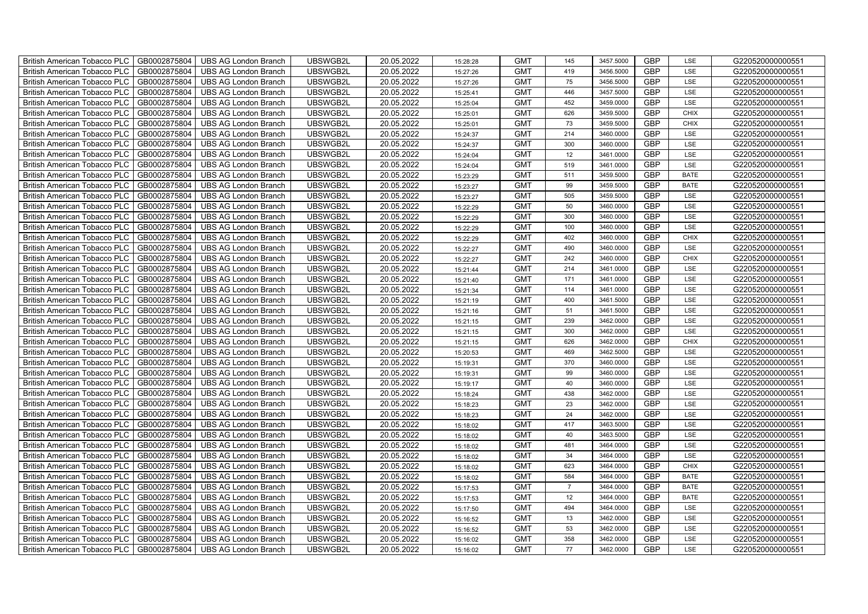| GB0002875804<br>UBSWGB2L<br>20.05.2022<br><b>GMT</b><br><b>GBP</b><br>G220520000000551<br><b>British American Tobacco PLC</b><br><b>UBS AG London Branch</b><br>419<br>3456.5000<br>LSE<br>15:27:26<br><b>GBP</b><br>GB0002875804<br>UBS AG London Branch<br>UBSWGB2L<br>20.05.2022<br><b>GMT</b><br>G220520000000551<br><b>British American Tobacco PLC</b><br>75<br>3456.5000<br>LSE<br>15:27:26<br>GB0002875804<br><b>GMT</b><br>446<br><b>GBP</b><br>G220520000000551<br>British American Tobacco PLC<br><b>UBS AG London Branch</b><br>UBSWGB2L<br>20.05.2022<br>3457.5000<br>LSE<br>15:25:41<br>GB0002875804<br>UBSWGB2L<br>20.05.2022<br><b>GMT</b><br>452<br>3459.0000<br><b>GBP</b><br>LSE<br>G220520000000551<br>British American Tobacco PLC<br><b>UBS AG London Branch</b><br>15:25:04<br>GBP<br>GB0002875804<br>UBSWGB2L<br>20.05.2022<br><b>GMT</b><br>626<br>3459.5000<br>G220520000000551<br>British American Tobacco PLC<br><b>UBS AG London Branch</b><br><b>CHIX</b><br>15:25:01<br><b>GBP</b><br>GB0002875804<br>20.05.2022<br>73<br>3459.5000<br><b>CHIX</b><br>British American Tobacco PLC<br><b>UBS AG London Branch</b><br>UBSWGB2L<br><b>GMT</b><br>G220520000000551<br>15:25:01<br><b>GMT</b><br>GBP<br>British American Tobacco PLC<br>GB0002875804<br>UBSWGB2L<br>20.05.2022<br>214<br>3460.0000<br>G220520000000551<br><b>UBS AG London Branch</b><br>LSE<br>15:24:37<br>GBP<br>GB0002875804<br>UBSWGB2L<br>20.05.2022<br><b>GMT</b><br>300<br>G220520000000551<br>British American Tobacco PLC<br><b>UBS AG London Branch</b><br>3460.0000<br>LSE<br>15:24:37<br>GB0002875804<br>UBSWGB2L<br>20.05.2022<br><b>GMT</b><br>12<br>GBP<br>G220520000000551<br>British American Tobacco PLC<br><b>UBS AG London Branch</b><br>3461.0000<br>LSE<br>15:24:04<br><b>British American Tobacco PLC</b><br>GB0002875804<br><b>UBS AG London Branch</b><br>UBSWGB2L<br>20.05.2022<br><b>GMT</b><br>GBP<br>G220520000000551<br>519<br>3461.0000<br>LSE<br>15:24:04<br><b>GBP</b><br><b>British American Tobacco PLC</b><br>GB0002875804<br><b>UBS AG London Branch</b><br>UBSWGB2L<br>20.05.2022<br><b>GMT</b><br>511<br>3459.5000<br>G220520000000551<br><b>BATE</b><br>15:23:29<br>GB0002875804<br>UBSWGB2L<br>20.05.2022<br><b>GMT</b><br>GBP<br>G220520000000551<br>British American Tobacco PLC<br><b>UBS AG London Branch</b><br>99<br>3459.5000<br>15:23:27<br><b>BATE</b><br>GB0002875804<br>UBSWGB2L<br>20.05.2022<br><b>GMT</b><br>505<br>3459.5000<br>GBP<br>G220520000000551<br>British American Tobacco PLC<br><b>UBS AG London Branch</b><br>LSE<br>15:23:27<br>GBP<br>British American Tobacco PLC<br>GB0002875804<br><b>UBS AG London Branch</b><br>UBSWGB2L<br>20.05.2022<br><b>GMT</b><br>50<br>3460.0000<br>LSE<br>G220520000000551<br>15:22:29<br>300<br>3460.0000<br><b>GBP</b><br>British American Tobacco PLC<br>GB0002875804<br>UBSWGB2L<br>20.05.2022<br><b>GMT</b><br>LSE<br>G220520000000551<br><b>UBS AG London Branch</b><br>15:22:29<br><b>GBP</b><br>GB0002875804<br>20.05.2022<br><b>GMT</b><br>100<br>3460.0000<br><b>British American Tobacco PLC</b><br><b>UBS AG London Branch</b><br>UBSWGB2L<br>LSE<br>G220520000000551<br>15:22:29<br>GBP<br>GB0002875804<br>UBSWGB2L<br>20.05.2022<br><b>GMT</b><br>402<br>G220520000000551<br>British American Tobacco PLC<br><b>UBS AG London Branch</b><br>3460.0000<br><b>CHIX</b><br>15:22:29<br><b>GBP</b><br>British American Tobacco PLC<br>GB0002875804<br>UBSWGB2L<br>20.05.2022<br><b>GMT</b><br>490<br>LSE<br>G220520000000551<br><b>UBS AG London Branch</b><br>3460.0000<br>15:22:27<br><b>GBP</b><br><b>British American Tobacco PLC</b><br>GB0002875804<br><b>UBS AG London Branch</b><br>UBSWGB2L<br>20.05.2022<br><b>GMT</b><br>242<br>G220520000000551<br>3460.0000<br><b>CHIX</b><br>15:22:27<br>GB0002875804<br>20.05.2022<br><b>GMT</b><br><b>GBP</b><br><b>British American Tobacco PLC</b><br><b>UBS AG London Branch</b><br>UBSWGB2L<br>214<br>3461.0000<br>G220520000000551<br>LSE<br>15:21:44<br>GBP<br>British American Tobacco PLC<br>GB0002875804<br><b>UBS AG London Branch</b><br>UBSWGB2L<br>20.05.2022<br><b>GMT</b><br>G220520000000551<br>171<br>3461.0000<br>LSE<br>15:21:40<br>British American Tobacco PLC<br>GB0002875804<br>UBSWGB2L<br>20.05.2022<br><b>GMT</b><br>114<br>3461.0000<br><b>GBP</b><br>LSE<br>G220520000000551<br><b>UBS AG London Branch</b><br>15:21:34<br>400<br>3461.5000<br><b>GBP</b><br><b>British American Tobacco PLC</b><br>GB0002875804<br><b>UBS AG London Branch</b><br>UBSWGB2L<br>20.05.2022<br><b>GMT</b><br>LSE<br>G220520000000551<br>15:21:19<br>GB0002875804<br>20.05.2022<br>51<br>3461.5000<br><b>GBP</b><br>British American Tobacco PLC<br><b>UBS AG London Branch</b><br>UBSWGB2L<br><b>GMT</b><br>LSE<br>G220520000000551<br>15:21:16<br><b>GBP</b><br>239<br>3462.0000<br>LSE<br><b>British American Tobacco PLC</b><br>GB0002875804<br><b>UBS AG London Branch</b><br>UBSWGB2L<br>20.05.2022<br><b>GMT</b><br>G220520000000551<br>15:21:15<br><b>GBP</b><br>GB0002875804<br>UBSWGB2L<br>20.05.2022<br><b>GMT</b><br>300<br>G220520000000551<br><b>British American Tobacco PLC</b><br><b>UBS AG London Branch</b><br>3462.0000<br>LSE<br>15:21:15<br><b>GBP</b><br>GB0002875804<br>626<br>British American Tobacco PLC<br><b>UBS AG London Branch</b><br>UBSWGB2L<br>20.05.2022<br><b>GMT</b><br>3462.0000<br><b>CHIX</b><br>G220520000000551<br>15:21:15<br>GB0002875804<br>20.05.2022<br><b>GMT</b><br><b>GBP</b><br><b>British American Tobacco PLC</b><br><b>UBS AG London Branch</b><br>UBSWGB2L<br>469<br>3462.5000<br>LSE<br>G220520000000551<br>15:20:53<br>GB0002875804<br>UBSWGB2L<br>20.05.2022<br><b>GMT</b><br><b>GBP</b><br>G220520000000551<br>British American Tobacco PLC<br><b>UBS AG London Branch</b><br>370<br>3460.0000<br>LSE<br>15:19:31<br>GB0002875804<br>20.05.2022<br><b>GMT</b><br><b>GBP</b><br><b>British American Tobacco PLC</b><br><b>UBS AG London Branch</b><br>UBSWGB2L<br>99<br>LSE<br>G220520000000551<br>3460.0000<br>15:19:31<br>GBP<br>British American Tobacco PLC<br>GB0002875804<br>UBS AG London Branch<br>UBSWGB2L<br>20.05.2022<br><b>GMT</b><br>40<br>3460.0000<br>LSE<br>G220520000000551<br>15:19:17<br>GB0002875804<br>20.05.2022<br><b>GMT</b><br>438<br>3462.0000<br><b>GBP</b><br>LSE<br>British American Tobacco PLC<br><b>UBS AG London Branch</b><br>UBSWGB2L<br>G220520000000551<br>15:18:24<br>GB0002875804<br>UBSWGB2L<br>20.05.2022<br><b>GMT</b><br>23<br>3462.0000<br><b>GBP</b><br>G220520000000551<br>British American Tobacco PLC<br><b>UBS AG London Branch</b><br>LSE<br>15:18:23<br>24<br>3462.0000<br><b>GBP</b><br>GB0002875804<br>20.05.2022<br><b>GMT</b><br>LSE<br><b>British American Tobacco PLC</b><br><b>UBS AG London Branch</b><br>UBSWGB2L<br>G220520000000551<br>15:18:23<br>GB0002875804<br>417<br><b>GBP</b><br><b>British American Tobacco PLC</b><br>UBSWGB2L<br>20.05.2022<br><b>GMT</b><br>3463.5000<br>LSE<br>G220520000000551<br><b>UBS AG London Branch</b><br>15:18:02<br><b>GBP</b><br>GB0002875804<br>UBSWGB2L<br>20.05.2022<br><b>GMT</b><br>40<br>G220520000000551<br>British American Tobacco PLC<br><b>UBS AG London Branch</b><br>3463.5000<br>LSE<br>15:18:02<br>GB0002875804<br><b>GMT</b><br><b>GBP</b><br>G220520000000551<br><b>British American Tobacco PLC</b><br><b>UBS AG London Branch</b><br>UBSWGB2L<br>20.05.2022<br>481<br>3464.0000<br>LSE<br>15:18:02<br><b>GBP</b><br>GB0002875804<br><b>UBS AG London Branch</b><br>UBSWGB2L<br>20.05.2022<br><b>GMT</b><br>34<br>G220520000000551<br>British American Tobacco PLC<br>3464.0000<br><b>LSE</b><br>15:18:02<br>GB0002875804<br>20.05.2022<br><b>GMT</b><br>GBP<br>G220520000000551<br>British American Tobacco PLC<br><b>UBS AG London Branch</b><br>UBSWGB2L<br>623<br>3464.0000<br><b>CHIX</b><br>15:18:02<br>GB0002875804<br>GBP<br>G220520000000551<br>British American Tobacco PLC<br><b>UBS AG London Branch</b><br>UBSWGB2L<br>20.05.2022<br><b>GMT</b><br>584<br>3464.0000<br><b>BATE</b><br>15:18:02<br>GB0002875804<br>UBSWGB2L<br>20.05.2022<br><b>GMT</b><br>3464.0000<br>GBP<br>G220520000000551<br>British American Tobacco PLC<br><b>UBS AG London Branch</b><br>$\overline{7}$<br><b>BATE</b><br>15:17:53<br>British American Tobacco PLC<br>GB0002875804<br>UBSWGB2L<br>20.05.2022<br><b>GMT</b><br>12<br>3464.0000<br><b>GBP</b><br>G220520000000551<br><b>UBS AG London Branch</b><br><b>BATE</b><br>15:17:53<br>494<br>3464.0000<br>GBP<br>GB0002875804<br>UBSWGB2L<br>20.05.2022<br><b>GMT</b><br>LSE<br>G220520000000551<br>British American Tobacco PLC<br><b>UBS AG London Branch</b><br>15:17:50<br><b>GBP</b><br>GB0002875804<br>20.05.2022<br>British American Tobacco PLC<br>UBS AG London Branch<br>UBSWGB2L<br><b>GMT</b><br>13<br>3462.0000<br>LSE<br>G220520000000551<br>15:16:52<br><b>GBP</b><br>GB0002875804<br>UBSWGB2L<br>20.05.2022<br><b>GMT</b><br>53<br>G220520000000551<br>British American Tobacco PLC<br><b>UBS AG London Branch</b><br>3462.0000<br>LSE<br>15:16:52<br>GBP<br>GB0002875804<br>UBSWGB2L<br>20.05.2022<br><b>GMT</b><br>358<br>G220520000000551<br><b>British American Tobacco PLC</b><br><b>UBS AG London Branch</b><br>3462.0000<br>LSE<br>15:16:02<br>77<br><b>GBP</b><br>British American Tobacco PLC<br>GB0002875804<br><b>UBS AG London Branch</b><br>UBSWGB2L<br>20.05.2022<br><b>GMT</b><br>3462.0000<br>LSE<br>G220520000000551<br>15:16:02 | British American Tobacco PLC<br>GB0002875804 | <b>UBS AG London Branch</b> | UBSWGB2L | 20.05.2022 | 15:28:28 | <b>GMT</b> | 145 | 3457.5000 | <b>GBP</b> | LSE | G220520000000551 |
|-------------------------------------------------------------------------------------------------------------------------------------------------------------------------------------------------------------------------------------------------------------------------------------------------------------------------------------------------------------------------------------------------------------------------------------------------------------------------------------------------------------------------------------------------------------------------------------------------------------------------------------------------------------------------------------------------------------------------------------------------------------------------------------------------------------------------------------------------------------------------------------------------------------------------------------------------------------------------------------------------------------------------------------------------------------------------------------------------------------------------------------------------------------------------------------------------------------------------------------------------------------------------------------------------------------------------------------------------------------------------------------------------------------------------------------------------------------------------------------------------------------------------------------------------------------------------------------------------------------------------------------------------------------------------------------------------------------------------------------------------------------------------------------------------------------------------------------------------------------------------------------------------------------------------------------------------------------------------------------------------------------------------------------------------------------------------------------------------------------------------------------------------------------------------------------------------------------------------------------------------------------------------------------------------------------------------------------------------------------------------------------------------------------------------------------------------------------------------------------------------------------------------------------------------------------------------------------------------------------------------------------------------------------------------------------------------------------------------------------------------------------------------------------------------------------------------------------------------------------------------------------------------------------------------------------------------------------------------------------------------------------------------------------------------------------------------------------------------------------------------------------------------------------------------------------------------------------------------------------------------------------------------------------------------------------------------------------------------------------------------------------------------------------------------------------------------------------------------------------------------------------------------------------------------------------------------------------------------------------------------------------------------------------------------------------------------------------------------------------------------------------------------------------------------------------------------------------------------------------------------------------------------------------------------------------------------------------------------------------------------------------------------------------------------------------------------------------------------------------------------------------------------------------------------------------------------------------------------------------------------------------------------------------------------------------------------------------------------------------------------------------------------------------------------------------------------------------------------------------------------------------------------------------------------------------------------------------------------------------------------------------------------------------------------------------------------------------------------------------------------------------------------------------------------------------------------------------------------------------------------------------------------------------------------------------------------------------------------------------------------------------------------------------------------------------------------------------------------------------------------------------------------------------------------------------------------------------------------------------------------------------------------------------------------------------------------------------------------------------------------------------------------------------------------------------------------------------------------------------------------------------------------------------------------------------------------------------------------------------------------------------------------------------------------------------------------------------------------------------------------------------------------------------------------------------------------------------------------------------------------------------------------------------------------------------------------------------------------------------------------------------------------------------------------------------------------------------------------------------------------------------------------------------------------------------------------------------------------------------------------------------------------------------------------------------------------------------------------------------------------------------------------------------------------------------------------------------------------------------------------------------------------------------------------------------------------------------------------------------------------------------------------------------------------------------------------------------------------------------------------------------------------------------------------------------------------------------------------------------------------------------------------------------------------------------------------------------------------------------------------------------------------------------------------------------------------------------------------------------------------------------------------------------------------------------------------------------------------------------------------------------------------------------------------------------------------------------------------------------------------------------------------------------------------------------------------------------------------------------------------------------------------------------------------------------------------------------------------------------------------------------------------------------------------------------------------------------------------------------------------------------------------------------------------------------------------------------------------------------------------------------------------------------------------------------------------------------------------------------------------------------------------------------------------------------------------------------------------------------------------------------------------------------------------------------------------------------------------------------------------------------------------------------------------------------------------------------------------------------------------------------------------------------------------------------------------------------------------------------------------------------------------------------------------------------------------------------------------------------------------------------------------------------------------------------------------------------------------------------------------------------------------------------------------------------------------------------------------------------------------------------------------------------------------------------------------------------------------------------------------------------------------------------------------------------------------------------------------------------------------------------------------------------------------------------------------------------------------------------------------------------------------------------------------------------------------------------------------------------------------------------------------------------------------------------------------------------------|----------------------------------------------|-----------------------------|----------|------------|----------|------------|-----|-----------|------------|-----|------------------|
|                                                                                                                                                                                                                                                                                                                                                                                                                                                                                                                                                                                                                                                                                                                                                                                                                                                                                                                                                                                                                                                                                                                                                                                                                                                                                                                                                                                                                                                                                                                                                                                                                                                                                                                                                                                                                                                                                                                                                                                                                                                                                                                                                                                                                                                                                                                                                                                                                                                                                                                                                                                                                                                                                                                                                                                                                                                                                                                                                                                                                                                                                                                                                                                                                                                                                                                                                                                                                                                                                                                                                                                                                                                                                                                                                                                                                                                                                                                                                                                                                                                                                                                                                                                                                                                                                                                                                                                                                                                                                                                                                                                                                                                                                                                                                                                                                                                                                                                                                                                                                                                                                                                                                                                                                                                                                                                                                                                                                                                                                                                                                                                                                                                                                                                                                                                                                                                                                                                                                                                                                                                                                                                                                                                                                                                                                                                                                                                                                                                                                                                                                                                                                                                                                                                                                                                                                                                                                                                                                                                                                                                                                                                                                                                                                                                                                                                                                                                                                                                                                                                                                                                                                                                                                                                                                                                                                                                                                                                                                                                                                                                                                                                                                                                                                                                                                                                                                                                                                                                                                                                                                                                                                                                                                                                                                                                                                                                                                                                                                                                                                                                                                                                                                                                                                                                                                                                                                                                                                                                                   |                                              |                             |          |            |          |            |     |           |            |     |                  |
|                                                                                                                                                                                                                                                                                                                                                                                                                                                                                                                                                                                                                                                                                                                                                                                                                                                                                                                                                                                                                                                                                                                                                                                                                                                                                                                                                                                                                                                                                                                                                                                                                                                                                                                                                                                                                                                                                                                                                                                                                                                                                                                                                                                                                                                                                                                                                                                                                                                                                                                                                                                                                                                                                                                                                                                                                                                                                                                                                                                                                                                                                                                                                                                                                                                                                                                                                                                                                                                                                                                                                                                                                                                                                                                                                                                                                                                                                                                                                                                                                                                                                                                                                                                                                                                                                                                                                                                                                                                                                                                                                                                                                                                                                                                                                                                                                                                                                                                                                                                                                                                                                                                                                                                                                                                                                                                                                                                                                                                                                                                                                                                                                                                                                                                                                                                                                                                                                                                                                                                                                                                                                                                                                                                                                                                                                                                                                                                                                                                                                                                                                                                                                                                                                                                                                                                                                                                                                                                                                                                                                                                                                                                                                                                                                                                                                                                                                                                                                                                                                                                                                                                                                                                                                                                                                                                                                                                                                                                                                                                                                                                                                                                                                                                                                                                                                                                                                                                                                                                                                                                                                                                                                                                                                                                                                                                                                                                                                                                                                                                                                                                                                                                                                                                                                                                                                                                                                                                                                                                                   |                                              |                             |          |            |          |            |     |           |            |     |                  |
|                                                                                                                                                                                                                                                                                                                                                                                                                                                                                                                                                                                                                                                                                                                                                                                                                                                                                                                                                                                                                                                                                                                                                                                                                                                                                                                                                                                                                                                                                                                                                                                                                                                                                                                                                                                                                                                                                                                                                                                                                                                                                                                                                                                                                                                                                                                                                                                                                                                                                                                                                                                                                                                                                                                                                                                                                                                                                                                                                                                                                                                                                                                                                                                                                                                                                                                                                                                                                                                                                                                                                                                                                                                                                                                                                                                                                                                                                                                                                                                                                                                                                                                                                                                                                                                                                                                                                                                                                                                                                                                                                                                                                                                                                                                                                                                                                                                                                                                                                                                                                                                                                                                                                                                                                                                                                                                                                                                                                                                                                                                                                                                                                                                                                                                                                                                                                                                                                                                                                                                                                                                                                                                                                                                                                                                                                                                                                                                                                                                                                                                                                                                                                                                                                                                                                                                                                                                                                                                                                                                                                                                                                                                                                                                                                                                                                                                                                                                                                                                                                                                                                                                                                                                                                                                                                                                                                                                                                                                                                                                                                                                                                                                                                                                                                                                                                                                                                                                                                                                                                                                                                                                                                                                                                                                                                                                                                                                                                                                                                                                                                                                                                                                                                                                                                                                                                                                                                                                                                                                                   |                                              |                             |          |            |          |            |     |           |            |     |                  |
|                                                                                                                                                                                                                                                                                                                                                                                                                                                                                                                                                                                                                                                                                                                                                                                                                                                                                                                                                                                                                                                                                                                                                                                                                                                                                                                                                                                                                                                                                                                                                                                                                                                                                                                                                                                                                                                                                                                                                                                                                                                                                                                                                                                                                                                                                                                                                                                                                                                                                                                                                                                                                                                                                                                                                                                                                                                                                                                                                                                                                                                                                                                                                                                                                                                                                                                                                                                                                                                                                                                                                                                                                                                                                                                                                                                                                                                                                                                                                                                                                                                                                                                                                                                                                                                                                                                                                                                                                                                                                                                                                                                                                                                                                                                                                                                                                                                                                                                                                                                                                                                                                                                                                                                                                                                                                                                                                                                                                                                                                                                                                                                                                                                                                                                                                                                                                                                                                                                                                                                                                                                                                                                                                                                                                                                                                                                                                                                                                                                                                                                                                                                                                                                                                                                                                                                                                                                                                                                                                                                                                                                                                                                                                                                                                                                                                                                                                                                                                                                                                                                                                                                                                                                                                                                                                                                                                                                                                                                                                                                                                                                                                                                                                                                                                                                                                                                                                                                                                                                                                                                                                                                                                                                                                                                                                                                                                                                                                                                                                                                                                                                                                                                                                                                                                                                                                                                                                                                                                                                                   |                                              |                             |          |            |          |            |     |           |            |     |                  |
|                                                                                                                                                                                                                                                                                                                                                                                                                                                                                                                                                                                                                                                                                                                                                                                                                                                                                                                                                                                                                                                                                                                                                                                                                                                                                                                                                                                                                                                                                                                                                                                                                                                                                                                                                                                                                                                                                                                                                                                                                                                                                                                                                                                                                                                                                                                                                                                                                                                                                                                                                                                                                                                                                                                                                                                                                                                                                                                                                                                                                                                                                                                                                                                                                                                                                                                                                                                                                                                                                                                                                                                                                                                                                                                                                                                                                                                                                                                                                                                                                                                                                                                                                                                                                                                                                                                                                                                                                                                                                                                                                                                                                                                                                                                                                                                                                                                                                                                                                                                                                                                                                                                                                                                                                                                                                                                                                                                                                                                                                                                                                                                                                                                                                                                                                                                                                                                                                                                                                                                                                                                                                                                                                                                                                                                                                                                                                                                                                                                                                                                                                                                                                                                                                                                                                                                                                                                                                                                                                                                                                                                                                                                                                                                                                                                                                                                                                                                                                                                                                                                                                                                                                                                                                                                                                                                                                                                                                                                                                                                                                                                                                                                                                                                                                                                                                                                                                                                                                                                                                                                                                                                                                                                                                                                                                                                                                                                                                                                                                                                                                                                                                                                                                                                                                                                                                                                                                                                                                                                                   |                                              |                             |          |            |          |            |     |           |            |     |                  |
|                                                                                                                                                                                                                                                                                                                                                                                                                                                                                                                                                                                                                                                                                                                                                                                                                                                                                                                                                                                                                                                                                                                                                                                                                                                                                                                                                                                                                                                                                                                                                                                                                                                                                                                                                                                                                                                                                                                                                                                                                                                                                                                                                                                                                                                                                                                                                                                                                                                                                                                                                                                                                                                                                                                                                                                                                                                                                                                                                                                                                                                                                                                                                                                                                                                                                                                                                                                                                                                                                                                                                                                                                                                                                                                                                                                                                                                                                                                                                                                                                                                                                                                                                                                                                                                                                                                                                                                                                                                                                                                                                                                                                                                                                                                                                                                                                                                                                                                                                                                                                                                                                                                                                                                                                                                                                                                                                                                                                                                                                                                                                                                                                                                                                                                                                                                                                                                                                                                                                                                                                                                                                                                                                                                                                                                                                                                                                                                                                                                                                                                                                                                                                                                                                                                                                                                                                                                                                                                                                                                                                                                                                                                                                                                                                                                                                                                                                                                                                                                                                                                                                                                                                                                                                                                                                                                                                                                                                                                                                                                                                                                                                                                                                                                                                                                                                                                                                                                                                                                                                                                                                                                                                                                                                                                                                                                                                                                                                                                                                                                                                                                                                                                                                                                                                                                                                                                                                                                                                                                                   |                                              |                             |          |            |          |            |     |           |            |     |                  |
|                                                                                                                                                                                                                                                                                                                                                                                                                                                                                                                                                                                                                                                                                                                                                                                                                                                                                                                                                                                                                                                                                                                                                                                                                                                                                                                                                                                                                                                                                                                                                                                                                                                                                                                                                                                                                                                                                                                                                                                                                                                                                                                                                                                                                                                                                                                                                                                                                                                                                                                                                                                                                                                                                                                                                                                                                                                                                                                                                                                                                                                                                                                                                                                                                                                                                                                                                                                                                                                                                                                                                                                                                                                                                                                                                                                                                                                                                                                                                                                                                                                                                                                                                                                                                                                                                                                                                                                                                                                                                                                                                                                                                                                                                                                                                                                                                                                                                                                                                                                                                                                                                                                                                                                                                                                                                                                                                                                                                                                                                                                                                                                                                                                                                                                                                                                                                                                                                                                                                                                                                                                                                                                                                                                                                                                                                                                                                                                                                                                                                                                                                                                                                                                                                                                                                                                                                                                                                                                                                                                                                                                                                                                                                                                                                                                                                                                                                                                                                                                                                                                                                                                                                                                                                                                                                                                                                                                                                                                                                                                                                                                                                                                                                                                                                                                                                                                                                                                                                                                                                                                                                                                                                                                                                                                                                                                                                                                                                                                                                                                                                                                                                                                                                                                                                                                                                                                                                                                                                                                                   |                                              |                             |          |            |          |            |     |           |            |     |                  |
|                                                                                                                                                                                                                                                                                                                                                                                                                                                                                                                                                                                                                                                                                                                                                                                                                                                                                                                                                                                                                                                                                                                                                                                                                                                                                                                                                                                                                                                                                                                                                                                                                                                                                                                                                                                                                                                                                                                                                                                                                                                                                                                                                                                                                                                                                                                                                                                                                                                                                                                                                                                                                                                                                                                                                                                                                                                                                                                                                                                                                                                                                                                                                                                                                                                                                                                                                                                                                                                                                                                                                                                                                                                                                                                                                                                                                                                                                                                                                                                                                                                                                                                                                                                                                                                                                                                                                                                                                                                                                                                                                                                                                                                                                                                                                                                                                                                                                                                                                                                                                                                                                                                                                                                                                                                                                                                                                                                                                                                                                                                                                                                                                                                                                                                                                                                                                                                                                                                                                                                                                                                                                                                                                                                                                                                                                                                                                                                                                                                                                                                                                                                                                                                                                                                                                                                                                                                                                                                                                                                                                                                                                                                                                                                                                                                                                                                                                                                                                                                                                                                                                                                                                                                                                                                                                                                                                                                                                                                                                                                                                                                                                                                                                                                                                                                                                                                                                                                                                                                                                                                                                                                                                                                                                                                                                                                                                                                                                                                                                                                                                                                                                                                                                                                                                                                                                                                                                                                                                                                                   |                                              |                             |          |            |          |            |     |           |            |     |                  |
|                                                                                                                                                                                                                                                                                                                                                                                                                                                                                                                                                                                                                                                                                                                                                                                                                                                                                                                                                                                                                                                                                                                                                                                                                                                                                                                                                                                                                                                                                                                                                                                                                                                                                                                                                                                                                                                                                                                                                                                                                                                                                                                                                                                                                                                                                                                                                                                                                                                                                                                                                                                                                                                                                                                                                                                                                                                                                                                                                                                                                                                                                                                                                                                                                                                                                                                                                                                                                                                                                                                                                                                                                                                                                                                                                                                                                                                                                                                                                                                                                                                                                                                                                                                                                                                                                                                                                                                                                                                                                                                                                                                                                                                                                                                                                                                                                                                                                                                                                                                                                                                                                                                                                                                                                                                                                                                                                                                                                                                                                                                                                                                                                                                                                                                                                                                                                                                                                                                                                                                                                                                                                                                                                                                                                                                                                                                                                                                                                                                                                                                                                                                                                                                                                                                                                                                                                                                                                                                                                                                                                                                                                                                                                                                                                                                                                                                                                                                                                                                                                                                                                                                                                                                                                                                                                                                                                                                                                                                                                                                                                                                                                                                                                                                                                                                                                                                                                                                                                                                                                                                                                                                                                                                                                                                                                                                                                                                                                                                                                                                                                                                                                                                                                                                                                                                                                                                                                                                                                                                                   |                                              |                             |          |            |          |            |     |           |            |     |                  |
|                                                                                                                                                                                                                                                                                                                                                                                                                                                                                                                                                                                                                                                                                                                                                                                                                                                                                                                                                                                                                                                                                                                                                                                                                                                                                                                                                                                                                                                                                                                                                                                                                                                                                                                                                                                                                                                                                                                                                                                                                                                                                                                                                                                                                                                                                                                                                                                                                                                                                                                                                                                                                                                                                                                                                                                                                                                                                                                                                                                                                                                                                                                                                                                                                                                                                                                                                                                                                                                                                                                                                                                                                                                                                                                                                                                                                                                                                                                                                                                                                                                                                                                                                                                                                                                                                                                                                                                                                                                                                                                                                                                                                                                                                                                                                                                                                                                                                                                                                                                                                                                                                                                                                                                                                                                                                                                                                                                                                                                                                                                                                                                                                                                                                                                                                                                                                                                                                                                                                                                                                                                                                                                                                                                                                                                                                                                                                                                                                                                                                                                                                                                                                                                                                                                                                                                                                                                                                                                                                                                                                                                                                                                                                                                                                                                                                                                                                                                                                                                                                                                                                                                                                                                                                                                                                                                                                                                                                                                                                                                                                                                                                                                                                                                                                                                                                                                                                                                                                                                                                                                                                                                                                                                                                                                                                                                                                                                                                                                                                                                                                                                                                                                                                                                                                                                                                                                                                                                                                                                                   |                                              |                             |          |            |          |            |     |           |            |     |                  |
|                                                                                                                                                                                                                                                                                                                                                                                                                                                                                                                                                                                                                                                                                                                                                                                                                                                                                                                                                                                                                                                                                                                                                                                                                                                                                                                                                                                                                                                                                                                                                                                                                                                                                                                                                                                                                                                                                                                                                                                                                                                                                                                                                                                                                                                                                                                                                                                                                                                                                                                                                                                                                                                                                                                                                                                                                                                                                                                                                                                                                                                                                                                                                                                                                                                                                                                                                                                                                                                                                                                                                                                                                                                                                                                                                                                                                                                                                                                                                                                                                                                                                                                                                                                                                                                                                                                                                                                                                                                                                                                                                                                                                                                                                                                                                                                                                                                                                                                                                                                                                                                                                                                                                                                                                                                                                                                                                                                                                                                                                                                                                                                                                                                                                                                                                                                                                                                                                                                                                                                                                                                                                                                                                                                                                                                                                                                                                                                                                                                                                                                                                                                                                                                                                                                                                                                                                                                                                                                                                                                                                                                                                                                                                                                                                                                                                                                                                                                                                                                                                                                                                                                                                                                                                                                                                                                                                                                                                                                                                                                                                                                                                                                                                                                                                                                                                                                                                                                                                                                                                                                                                                                                                                                                                                                                                                                                                                                                                                                                                                                                                                                                                                                                                                                                                                                                                                                                                                                                                                                                   |                                              |                             |          |            |          |            |     |           |            |     |                  |
|                                                                                                                                                                                                                                                                                                                                                                                                                                                                                                                                                                                                                                                                                                                                                                                                                                                                                                                                                                                                                                                                                                                                                                                                                                                                                                                                                                                                                                                                                                                                                                                                                                                                                                                                                                                                                                                                                                                                                                                                                                                                                                                                                                                                                                                                                                                                                                                                                                                                                                                                                                                                                                                                                                                                                                                                                                                                                                                                                                                                                                                                                                                                                                                                                                                                                                                                                                                                                                                                                                                                                                                                                                                                                                                                                                                                                                                                                                                                                                                                                                                                                                                                                                                                                                                                                                                                                                                                                                                                                                                                                                                                                                                                                                                                                                                                                                                                                                                                                                                                                                                                                                                                                                                                                                                                                                                                                                                                                                                                                                                                                                                                                                                                                                                                                                                                                                                                                                                                                                                                                                                                                                                                                                                                                                                                                                                                                                                                                                                                                                                                                                                                                                                                                                                                                                                                                                                                                                                                                                                                                                                                                                                                                                                                                                                                                                                                                                                                                                                                                                                                                                                                                                                                                                                                                                                                                                                                                                                                                                                                                                                                                                                                                                                                                                                                                                                                                                                                                                                                                                                                                                                                                                                                                                                                                                                                                                                                                                                                                                                                                                                                                                                                                                                                                                                                                                                                                                                                                                                                   |                                              |                             |          |            |          |            |     |           |            |     |                  |
|                                                                                                                                                                                                                                                                                                                                                                                                                                                                                                                                                                                                                                                                                                                                                                                                                                                                                                                                                                                                                                                                                                                                                                                                                                                                                                                                                                                                                                                                                                                                                                                                                                                                                                                                                                                                                                                                                                                                                                                                                                                                                                                                                                                                                                                                                                                                                                                                                                                                                                                                                                                                                                                                                                                                                                                                                                                                                                                                                                                                                                                                                                                                                                                                                                                                                                                                                                                                                                                                                                                                                                                                                                                                                                                                                                                                                                                                                                                                                                                                                                                                                                                                                                                                                                                                                                                                                                                                                                                                                                                                                                                                                                                                                                                                                                                                                                                                                                                                                                                                                                                                                                                                                                                                                                                                                                                                                                                                                                                                                                                                                                                                                                                                                                                                                                                                                                                                                                                                                                                                                                                                                                                                                                                                                                                                                                                                                                                                                                                                                                                                                                                                                                                                                                                                                                                                                                                                                                                                                                                                                                                                                                                                                                                                                                                                                                                                                                                                                                                                                                                                                                                                                                                                                                                                                                                                                                                                                                                                                                                                                                                                                                                                                                                                                                                                                                                                                                                                                                                                                                                                                                                                                                                                                                                                                                                                                                                                                                                                                                                                                                                                                                                                                                                                                                                                                                                                                                                                                                                                   |                                              |                             |          |            |          |            |     |           |            |     |                  |
|                                                                                                                                                                                                                                                                                                                                                                                                                                                                                                                                                                                                                                                                                                                                                                                                                                                                                                                                                                                                                                                                                                                                                                                                                                                                                                                                                                                                                                                                                                                                                                                                                                                                                                                                                                                                                                                                                                                                                                                                                                                                                                                                                                                                                                                                                                                                                                                                                                                                                                                                                                                                                                                                                                                                                                                                                                                                                                                                                                                                                                                                                                                                                                                                                                                                                                                                                                                                                                                                                                                                                                                                                                                                                                                                                                                                                                                                                                                                                                                                                                                                                                                                                                                                                                                                                                                                                                                                                                                                                                                                                                                                                                                                                                                                                                                                                                                                                                                                                                                                                                                                                                                                                                                                                                                                                                                                                                                                                                                                                                                                                                                                                                                                                                                                                                                                                                                                                                                                                                                                                                                                                                                                                                                                                                                                                                                                                                                                                                                                                                                                                                                                                                                                                                                                                                                                                                                                                                                                                                                                                                                                                                                                                                                                                                                                                                                                                                                                                                                                                                                                                                                                                                                                                                                                                                                                                                                                                                                                                                                                                                                                                                                                                                                                                                                                                                                                                                                                                                                                                                                                                                                                                                                                                                                                                                                                                                                                                                                                                                                                                                                                                                                                                                                                                                                                                                                                                                                                                                                                   |                                              |                             |          |            |          |            |     |           |            |     |                  |
|                                                                                                                                                                                                                                                                                                                                                                                                                                                                                                                                                                                                                                                                                                                                                                                                                                                                                                                                                                                                                                                                                                                                                                                                                                                                                                                                                                                                                                                                                                                                                                                                                                                                                                                                                                                                                                                                                                                                                                                                                                                                                                                                                                                                                                                                                                                                                                                                                                                                                                                                                                                                                                                                                                                                                                                                                                                                                                                                                                                                                                                                                                                                                                                                                                                                                                                                                                                                                                                                                                                                                                                                                                                                                                                                                                                                                                                                                                                                                                                                                                                                                                                                                                                                                                                                                                                                                                                                                                                                                                                                                                                                                                                                                                                                                                                                                                                                                                                                                                                                                                                                                                                                                                                                                                                                                                                                                                                                                                                                                                                                                                                                                                                                                                                                                                                                                                                                                                                                                                                                                                                                                                                                                                                                                                                                                                                                                                                                                                                                                                                                                                                                                                                                                                                                                                                                                                                                                                                                                                                                                                                                                                                                                                                                                                                                                                                                                                                                                                                                                                                                                                                                                                                                                                                                                                                                                                                                                                                                                                                                                                                                                                                                                                                                                                                                                                                                                                                                                                                                                                                                                                                                                                                                                                                                                                                                                                                                                                                                                                                                                                                                                                                                                                                                                                                                                                                                                                                                                                                                   |                                              |                             |          |            |          |            |     |           |            |     |                  |
|                                                                                                                                                                                                                                                                                                                                                                                                                                                                                                                                                                                                                                                                                                                                                                                                                                                                                                                                                                                                                                                                                                                                                                                                                                                                                                                                                                                                                                                                                                                                                                                                                                                                                                                                                                                                                                                                                                                                                                                                                                                                                                                                                                                                                                                                                                                                                                                                                                                                                                                                                                                                                                                                                                                                                                                                                                                                                                                                                                                                                                                                                                                                                                                                                                                                                                                                                                                                                                                                                                                                                                                                                                                                                                                                                                                                                                                                                                                                                                                                                                                                                                                                                                                                                                                                                                                                                                                                                                                                                                                                                                                                                                                                                                                                                                                                                                                                                                                                                                                                                                                                                                                                                                                                                                                                                                                                                                                                                                                                                                                                                                                                                                                                                                                                                                                                                                                                                                                                                                                                                                                                                                                                                                                                                                                                                                                                                                                                                                                                                                                                                                                                                                                                                                                                                                                                                                                                                                                                                                                                                                                                                                                                                                                                                                                                                                                                                                                                                                                                                                                                                                                                                                                                                                                                                                                                                                                                                                                                                                                                                                                                                                                                                                                                                                                                                                                                                                                                                                                                                                                                                                                                                                                                                                                                                                                                                                                                                                                                                                                                                                                                                                                                                                                                                                                                                                                                                                                                                                                                   |                                              |                             |          |            |          |            |     |           |            |     |                  |
|                                                                                                                                                                                                                                                                                                                                                                                                                                                                                                                                                                                                                                                                                                                                                                                                                                                                                                                                                                                                                                                                                                                                                                                                                                                                                                                                                                                                                                                                                                                                                                                                                                                                                                                                                                                                                                                                                                                                                                                                                                                                                                                                                                                                                                                                                                                                                                                                                                                                                                                                                                                                                                                                                                                                                                                                                                                                                                                                                                                                                                                                                                                                                                                                                                                                                                                                                                                                                                                                                                                                                                                                                                                                                                                                                                                                                                                                                                                                                                                                                                                                                                                                                                                                                                                                                                                                                                                                                                                                                                                                                                                                                                                                                                                                                                                                                                                                                                                                                                                                                                                                                                                                                                                                                                                                                                                                                                                                                                                                                                                                                                                                                                                                                                                                                                                                                                                                                                                                                                                                                                                                                                                                                                                                                                                                                                                                                                                                                                                                                                                                                                                                                                                                                                                                                                                                                                                                                                                                                                                                                                                                                                                                                                                                                                                                                                                                                                                                                                                                                                                                                                                                                                                                                                                                                                                                                                                                                                                                                                                                                                                                                                                                                                                                                                                                                                                                                                                                                                                                                                                                                                                                                                                                                                                                                                                                                                                                                                                                                                                                                                                                                                                                                                                                                                                                                                                                                                                                                                                                   |                                              |                             |          |            |          |            |     |           |            |     |                  |
|                                                                                                                                                                                                                                                                                                                                                                                                                                                                                                                                                                                                                                                                                                                                                                                                                                                                                                                                                                                                                                                                                                                                                                                                                                                                                                                                                                                                                                                                                                                                                                                                                                                                                                                                                                                                                                                                                                                                                                                                                                                                                                                                                                                                                                                                                                                                                                                                                                                                                                                                                                                                                                                                                                                                                                                                                                                                                                                                                                                                                                                                                                                                                                                                                                                                                                                                                                                                                                                                                                                                                                                                                                                                                                                                                                                                                                                                                                                                                                                                                                                                                                                                                                                                                                                                                                                                                                                                                                                                                                                                                                                                                                                                                                                                                                                                                                                                                                                                                                                                                                                                                                                                                                                                                                                                                                                                                                                                                                                                                                                                                                                                                                                                                                                                                                                                                                                                                                                                                                                                                                                                                                                                                                                                                                                                                                                                                                                                                                                                                                                                                                                                                                                                                                                                                                                                                                                                                                                                                                                                                                                                                                                                                                                                                                                                                                                                                                                                                                                                                                                                                                                                                                                                                                                                                                                                                                                                                                                                                                                                                                                                                                                                                                                                                                                                                                                                                                                                                                                                                                                                                                                                                                                                                                                                                                                                                                                                                                                                                                                                                                                                                                                                                                                                                                                                                                                                                                                                                                                                   |                                              |                             |          |            |          |            |     |           |            |     |                  |
|                                                                                                                                                                                                                                                                                                                                                                                                                                                                                                                                                                                                                                                                                                                                                                                                                                                                                                                                                                                                                                                                                                                                                                                                                                                                                                                                                                                                                                                                                                                                                                                                                                                                                                                                                                                                                                                                                                                                                                                                                                                                                                                                                                                                                                                                                                                                                                                                                                                                                                                                                                                                                                                                                                                                                                                                                                                                                                                                                                                                                                                                                                                                                                                                                                                                                                                                                                                                                                                                                                                                                                                                                                                                                                                                                                                                                                                                                                                                                                                                                                                                                                                                                                                                                                                                                                                                                                                                                                                                                                                                                                                                                                                                                                                                                                                                                                                                                                                                                                                                                                                                                                                                                                                                                                                                                                                                                                                                                                                                                                                                                                                                                                                                                                                                                                                                                                                                                                                                                                                                                                                                                                                                                                                                                                                                                                                                                                                                                                                                                                                                                                                                                                                                                                                                                                                                                                                                                                                                                                                                                                                                                                                                                                                                                                                                                                                                                                                                                                                                                                                                                                                                                                                                                                                                                                                                                                                                                                                                                                                                                                                                                                                                                                                                                                                                                                                                                                                                                                                                                                                                                                                                                                                                                                                                                                                                                                                                                                                                                                                                                                                                                                                                                                                                                                                                                                                                                                                                                                                                   |                                              |                             |          |            |          |            |     |           |            |     |                  |
|                                                                                                                                                                                                                                                                                                                                                                                                                                                                                                                                                                                                                                                                                                                                                                                                                                                                                                                                                                                                                                                                                                                                                                                                                                                                                                                                                                                                                                                                                                                                                                                                                                                                                                                                                                                                                                                                                                                                                                                                                                                                                                                                                                                                                                                                                                                                                                                                                                                                                                                                                                                                                                                                                                                                                                                                                                                                                                                                                                                                                                                                                                                                                                                                                                                                                                                                                                                                                                                                                                                                                                                                                                                                                                                                                                                                                                                                                                                                                                                                                                                                                                                                                                                                                                                                                                                                                                                                                                                                                                                                                                                                                                                                                                                                                                                                                                                                                                                                                                                                                                                                                                                                                                                                                                                                                                                                                                                                                                                                                                                                                                                                                                                                                                                                                                                                                                                                                                                                                                                                                                                                                                                                                                                                                                                                                                                                                                                                                                                                                                                                                                                                                                                                                                                                                                                                                                                                                                                                                                                                                                                                                                                                                                                                                                                                                                                                                                                                                                                                                                                                                                                                                                                                                                                                                                                                                                                                                                                                                                                                                                                                                                                                                                                                                                                                                                                                                                                                                                                                                                                                                                                                                                                                                                                                                                                                                                                                                                                                                                                                                                                                                                                                                                                                                                                                                                                                                                                                                                                                   |                                              |                             |          |            |          |            |     |           |            |     |                  |
|                                                                                                                                                                                                                                                                                                                                                                                                                                                                                                                                                                                                                                                                                                                                                                                                                                                                                                                                                                                                                                                                                                                                                                                                                                                                                                                                                                                                                                                                                                                                                                                                                                                                                                                                                                                                                                                                                                                                                                                                                                                                                                                                                                                                                                                                                                                                                                                                                                                                                                                                                                                                                                                                                                                                                                                                                                                                                                                                                                                                                                                                                                                                                                                                                                                                                                                                                                                                                                                                                                                                                                                                                                                                                                                                                                                                                                                                                                                                                                                                                                                                                                                                                                                                                                                                                                                                                                                                                                                                                                                                                                                                                                                                                                                                                                                                                                                                                                                                                                                                                                                                                                                                                                                                                                                                                                                                                                                                                                                                                                                                                                                                                                                                                                                                                                                                                                                                                                                                                                                                                                                                                                                                                                                                                                                                                                                                                                                                                                                                                                                                                                                                                                                                                                                                                                                                                                                                                                                                                                                                                                                                                                                                                                                                                                                                                                                                                                                                                                                                                                                                                                                                                                                                                                                                                                                                                                                                                                                                                                                                                                                                                                                                                                                                                                                                                                                                                                                                                                                                                                                                                                                                                                                                                                                                                                                                                                                                                                                                                                                                                                                                                                                                                                                                                                                                                                                                                                                                                                                                   |                                              |                             |          |            |          |            |     |           |            |     |                  |
|                                                                                                                                                                                                                                                                                                                                                                                                                                                                                                                                                                                                                                                                                                                                                                                                                                                                                                                                                                                                                                                                                                                                                                                                                                                                                                                                                                                                                                                                                                                                                                                                                                                                                                                                                                                                                                                                                                                                                                                                                                                                                                                                                                                                                                                                                                                                                                                                                                                                                                                                                                                                                                                                                                                                                                                                                                                                                                                                                                                                                                                                                                                                                                                                                                                                                                                                                                                                                                                                                                                                                                                                                                                                                                                                                                                                                                                                                                                                                                                                                                                                                                                                                                                                                                                                                                                                                                                                                                                                                                                                                                                                                                                                                                                                                                                                                                                                                                                                                                                                                                                                                                                                                                                                                                                                                                                                                                                                                                                                                                                                                                                                                                                                                                                                                                                                                                                                                                                                                                                                                                                                                                                                                                                                                                                                                                                                                                                                                                                                                                                                                                                                                                                                                                                                                                                                                                                                                                                                                                                                                                                                                                                                                                                                                                                                                                                                                                                                                                                                                                                                                                                                                                                                                                                                                                                                                                                                                                                                                                                                                                                                                                                                                                                                                                                                                                                                                                                                                                                                                                                                                                                                                                                                                                                                                                                                                                                                                                                                                                                                                                                                                                                                                                                                                                                                                                                                                                                                                                                                   |                                              |                             |          |            |          |            |     |           |            |     |                  |
|                                                                                                                                                                                                                                                                                                                                                                                                                                                                                                                                                                                                                                                                                                                                                                                                                                                                                                                                                                                                                                                                                                                                                                                                                                                                                                                                                                                                                                                                                                                                                                                                                                                                                                                                                                                                                                                                                                                                                                                                                                                                                                                                                                                                                                                                                                                                                                                                                                                                                                                                                                                                                                                                                                                                                                                                                                                                                                                                                                                                                                                                                                                                                                                                                                                                                                                                                                                                                                                                                                                                                                                                                                                                                                                                                                                                                                                                                                                                                                                                                                                                                                                                                                                                                                                                                                                                                                                                                                                                                                                                                                                                                                                                                                                                                                                                                                                                                                                                                                                                                                                                                                                                                                                                                                                                                                                                                                                                                                                                                                                                                                                                                                                                                                                                                                                                                                                                                                                                                                                                                                                                                                                                                                                                                                                                                                                                                                                                                                                                                                                                                                                                                                                                                                                                                                                                                                                                                                                                                                                                                                                                                                                                                                                                                                                                                                                                                                                                                                                                                                                                                                                                                                                                                                                                                                                                                                                                                                                                                                                                                                                                                                                                                                                                                                                                                                                                                                                                                                                                                                                                                                                                                                                                                                                                                                                                                                                                                                                                                                                                                                                                                                                                                                                                                                                                                                                                                                                                                                                                   |                                              |                             |          |            |          |            |     |           |            |     |                  |
|                                                                                                                                                                                                                                                                                                                                                                                                                                                                                                                                                                                                                                                                                                                                                                                                                                                                                                                                                                                                                                                                                                                                                                                                                                                                                                                                                                                                                                                                                                                                                                                                                                                                                                                                                                                                                                                                                                                                                                                                                                                                                                                                                                                                                                                                                                                                                                                                                                                                                                                                                                                                                                                                                                                                                                                                                                                                                                                                                                                                                                                                                                                                                                                                                                                                                                                                                                                                                                                                                                                                                                                                                                                                                                                                                                                                                                                                                                                                                                                                                                                                                                                                                                                                                                                                                                                                                                                                                                                                                                                                                                                                                                                                                                                                                                                                                                                                                                                                                                                                                                                                                                                                                                                                                                                                                                                                                                                                                                                                                                                                                                                                                                                                                                                                                                                                                                                                                                                                                                                                                                                                                                                                                                                                                                                                                                                                                                                                                                                                                                                                                                                                                                                                                                                                                                                                                                                                                                                                                                                                                                                                                                                                                                                                                                                                                                                                                                                                                                                                                                                                                                                                                                                                                                                                                                                                                                                                                                                                                                                                                                                                                                                                                                                                                                                                                                                                                                                                                                                                                                                                                                                                                                                                                                                                                                                                                                                                                                                                                                                                                                                                                                                                                                                                                                                                                                                                                                                                                                                                   |                                              |                             |          |            |          |            |     |           |            |     |                  |
|                                                                                                                                                                                                                                                                                                                                                                                                                                                                                                                                                                                                                                                                                                                                                                                                                                                                                                                                                                                                                                                                                                                                                                                                                                                                                                                                                                                                                                                                                                                                                                                                                                                                                                                                                                                                                                                                                                                                                                                                                                                                                                                                                                                                                                                                                                                                                                                                                                                                                                                                                                                                                                                                                                                                                                                                                                                                                                                                                                                                                                                                                                                                                                                                                                                                                                                                                                                                                                                                                                                                                                                                                                                                                                                                                                                                                                                                                                                                                                                                                                                                                                                                                                                                                                                                                                                                                                                                                                                                                                                                                                                                                                                                                                                                                                                                                                                                                                                                                                                                                                                                                                                                                                                                                                                                                                                                                                                                                                                                                                                                                                                                                                                                                                                                                                                                                                                                                                                                                                                                                                                                                                                                                                                                                                                                                                                                                                                                                                                                                                                                                                                                                                                                                                                                                                                                                                                                                                                                                                                                                                                                                                                                                                                                                                                                                                                                                                                                                                                                                                                                                                                                                                                                                                                                                                                                                                                                                                                                                                                                                                                                                                                                                                                                                                                                                                                                                                                                                                                                                                                                                                                                                                                                                                                                                                                                                                                                                                                                                                                                                                                                                                                                                                                                                                                                                                                                                                                                                                                                   |                                              |                             |          |            |          |            |     |           |            |     |                  |
|                                                                                                                                                                                                                                                                                                                                                                                                                                                                                                                                                                                                                                                                                                                                                                                                                                                                                                                                                                                                                                                                                                                                                                                                                                                                                                                                                                                                                                                                                                                                                                                                                                                                                                                                                                                                                                                                                                                                                                                                                                                                                                                                                                                                                                                                                                                                                                                                                                                                                                                                                                                                                                                                                                                                                                                                                                                                                                                                                                                                                                                                                                                                                                                                                                                                                                                                                                                                                                                                                                                                                                                                                                                                                                                                                                                                                                                                                                                                                                                                                                                                                                                                                                                                                                                                                                                                                                                                                                                                                                                                                                                                                                                                                                                                                                                                                                                                                                                                                                                                                                                                                                                                                                                                                                                                                                                                                                                                                                                                                                                                                                                                                                                                                                                                                                                                                                                                                                                                                                                                                                                                                                                                                                                                                                                                                                                                                                                                                                                                                                                                                                                                                                                                                                                                                                                                                                                                                                                                                                                                                                                                                                                                                                                                                                                                                                                                                                                                                                                                                                                                                                                                                                                                                                                                                                                                                                                                                                                                                                                                                                                                                                                                                                                                                                                                                                                                                                                                                                                                                                                                                                                                                                                                                                                                                                                                                                                                                                                                                                                                                                                                                                                                                                                                                                                                                                                                                                                                                                                                   |                                              |                             |          |            |          |            |     |           |            |     |                  |
|                                                                                                                                                                                                                                                                                                                                                                                                                                                                                                                                                                                                                                                                                                                                                                                                                                                                                                                                                                                                                                                                                                                                                                                                                                                                                                                                                                                                                                                                                                                                                                                                                                                                                                                                                                                                                                                                                                                                                                                                                                                                                                                                                                                                                                                                                                                                                                                                                                                                                                                                                                                                                                                                                                                                                                                                                                                                                                                                                                                                                                                                                                                                                                                                                                                                                                                                                                                                                                                                                                                                                                                                                                                                                                                                                                                                                                                                                                                                                                                                                                                                                                                                                                                                                                                                                                                                                                                                                                                                                                                                                                                                                                                                                                                                                                                                                                                                                                                                                                                                                                                                                                                                                                                                                                                                                                                                                                                                                                                                                                                                                                                                                                                                                                                                                                                                                                                                                                                                                                                                                                                                                                                                                                                                                                                                                                                                                                                                                                                                                                                                                                                                                                                                                                                                                                                                                                                                                                                                                                                                                                                                                                                                                                                                                                                                                                                                                                                                                                                                                                                                                                                                                                                                                                                                                                                                                                                                                                                                                                                                                                                                                                                                                                                                                                                                                                                                                                                                                                                                                                                                                                                                                                                                                                                                                                                                                                                                                                                                                                                                                                                                                                                                                                                                                                                                                                                                                                                                                                                                   |                                              |                             |          |            |          |            |     |           |            |     |                  |
|                                                                                                                                                                                                                                                                                                                                                                                                                                                                                                                                                                                                                                                                                                                                                                                                                                                                                                                                                                                                                                                                                                                                                                                                                                                                                                                                                                                                                                                                                                                                                                                                                                                                                                                                                                                                                                                                                                                                                                                                                                                                                                                                                                                                                                                                                                                                                                                                                                                                                                                                                                                                                                                                                                                                                                                                                                                                                                                                                                                                                                                                                                                                                                                                                                                                                                                                                                                                                                                                                                                                                                                                                                                                                                                                                                                                                                                                                                                                                                                                                                                                                                                                                                                                                                                                                                                                                                                                                                                                                                                                                                                                                                                                                                                                                                                                                                                                                                                                                                                                                                                                                                                                                                                                                                                                                                                                                                                                                                                                                                                                                                                                                                                                                                                                                                                                                                                                                                                                                                                                                                                                                                                                                                                                                                                                                                                                                                                                                                                                                                                                                                                                                                                                                                                                                                                                                                                                                                                                                                                                                                                                                                                                                                                                                                                                                                                                                                                                                                                                                                                                                                                                                                                                                                                                                                                                                                                                                                                                                                                                                                                                                                                                                                                                                                                                                                                                                                                                                                                                                                                                                                                                                                                                                                                                                                                                                                                                                                                                                                                                                                                                                                                                                                                                                                                                                                                                                                                                                                                                   |                                              |                             |          |            |          |            |     |           |            |     |                  |
|                                                                                                                                                                                                                                                                                                                                                                                                                                                                                                                                                                                                                                                                                                                                                                                                                                                                                                                                                                                                                                                                                                                                                                                                                                                                                                                                                                                                                                                                                                                                                                                                                                                                                                                                                                                                                                                                                                                                                                                                                                                                                                                                                                                                                                                                                                                                                                                                                                                                                                                                                                                                                                                                                                                                                                                                                                                                                                                                                                                                                                                                                                                                                                                                                                                                                                                                                                                                                                                                                                                                                                                                                                                                                                                                                                                                                                                                                                                                                                                                                                                                                                                                                                                                                                                                                                                                                                                                                                                                                                                                                                                                                                                                                                                                                                                                                                                                                                                                                                                                                                                                                                                                                                                                                                                                                                                                                                                                                                                                                                                                                                                                                                                                                                                                                                                                                                                                                                                                                                                                                                                                                                                                                                                                                                                                                                                                                                                                                                                                                                                                                                                                                                                                                                                                                                                                                                                                                                                                                                                                                                                                                                                                                                                                                                                                                                                                                                                                                                                                                                                                                                                                                                                                                                                                                                                                                                                                                                                                                                                                                                                                                                                                                                                                                                                                                                                                                                                                                                                                                                                                                                                                                                                                                                                                                                                                                                                                                                                                                                                                                                                                                                                                                                                                                                                                                                                                                                                                                                                                   |                                              |                             |          |            |          |            |     |           |            |     |                  |
|                                                                                                                                                                                                                                                                                                                                                                                                                                                                                                                                                                                                                                                                                                                                                                                                                                                                                                                                                                                                                                                                                                                                                                                                                                                                                                                                                                                                                                                                                                                                                                                                                                                                                                                                                                                                                                                                                                                                                                                                                                                                                                                                                                                                                                                                                                                                                                                                                                                                                                                                                                                                                                                                                                                                                                                                                                                                                                                                                                                                                                                                                                                                                                                                                                                                                                                                                                                                                                                                                                                                                                                                                                                                                                                                                                                                                                                                                                                                                                                                                                                                                                                                                                                                                                                                                                                                                                                                                                                                                                                                                                                                                                                                                                                                                                                                                                                                                                                                                                                                                                                                                                                                                                                                                                                                                                                                                                                                                                                                                                                                                                                                                                                                                                                                                                                                                                                                                                                                                                                                                                                                                                                                                                                                                                                                                                                                                                                                                                                                                                                                                                                                                                                                                                                                                                                                                                                                                                                                                                                                                                                                                                                                                                                                                                                                                                                                                                                                                                                                                                                                                                                                                                                                                                                                                                                                                                                                                                                                                                                                                                                                                                                                                                                                                                                                                                                                                                                                                                                                                                                                                                                                                                                                                                                                                                                                                                                                                                                                                                                                                                                                                                                                                                                                                                                                                                                                                                                                                                                                   |                                              |                             |          |            |          |            |     |           |            |     |                  |
|                                                                                                                                                                                                                                                                                                                                                                                                                                                                                                                                                                                                                                                                                                                                                                                                                                                                                                                                                                                                                                                                                                                                                                                                                                                                                                                                                                                                                                                                                                                                                                                                                                                                                                                                                                                                                                                                                                                                                                                                                                                                                                                                                                                                                                                                                                                                                                                                                                                                                                                                                                                                                                                                                                                                                                                                                                                                                                                                                                                                                                                                                                                                                                                                                                                                                                                                                                                                                                                                                                                                                                                                                                                                                                                                                                                                                                                                                                                                                                                                                                                                                                                                                                                                                                                                                                                                                                                                                                                                                                                                                                                                                                                                                                                                                                                                                                                                                                                                                                                                                                                                                                                                                                                                                                                                                                                                                                                                                                                                                                                                                                                                                                                                                                                                                                                                                                                                                                                                                                                                                                                                                                                                                                                                                                                                                                                                                                                                                                                                                                                                                                                                                                                                                                                                                                                                                                                                                                                                                                                                                                                                                                                                                                                                                                                                                                                                                                                                                                                                                                                                                                                                                                                                                                                                                                                                                                                                                                                                                                                                                                                                                                                                                                                                                                                                                                                                                                                                                                                                                                                                                                                                                                                                                                                                                                                                                                                                                                                                                                                                                                                                                                                                                                                                                                                                                                                                                                                                                                                                   |                                              |                             |          |            |          |            |     |           |            |     |                  |
|                                                                                                                                                                                                                                                                                                                                                                                                                                                                                                                                                                                                                                                                                                                                                                                                                                                                                                                                                                                                                                                                                                                                                                                                                                                                                                                                                                                                                                                                                                                                                                                                                                                                                                                                                                                                                                                                                                                                                                                                                                                                                                                                                                                                                                                                                                                                                                                                                                                                                                                                                                                                                                                                                                                                                                                                                                                                                                                                                                                                                                                                                                                                                                                                                                                                                                                                                                                                                                                                                                                                                                                                                                                                                                                                                                                                                                                                                                                                                                                                                                                                                                                                                                                                                                                                                                                                                                                                                                                                                                                                                                                                                                                                                                                                                                                                                                                                                                                                                                                                                                                                                                                                                                                                                                                                                                                                                                                                                                                                                                                                                                                                                                                                                                                                                                                                                                                                                                                                                                                                                                                                                                                                                                                                                                                                                                                                                                                                                                                                                                                                                                                                                                                                                                                                                                                                                                                                                                                                                                                                                                                                                                                                                                                                                                                                                                                                                                                                                                                                                                                                                                                                                                                                                                                                                                                                                                                                                                                                                                                                                                                                                                                                                                                                                                                                                                                                                                                                                                                                                                                                                                                                                                                                                                                                                                                                                                                                                                                                                                                                                                                                                                                                                                                                                                                                                                                                                                                                                                                                   |                                              |                             |          |            |          |            |     |           |            |     |                  |
|                                                                                                                                                                                                                                                                                                                                                                                                                                                                                                                                                                                                                                                                                                                                                                                                                                                                                                                                                                                                                                                                                                                                                                                                                                                                                                                                                                                                                                                                                                                                                                                                                                                                                                                                                                                                                                                                                                                                                                                                                                                                                                                                                                                                                                                                                                                                                                                                                                                                                                                                                                                                                                                                                                                                                                                                                                                                                                                                                                                                                                                                                                                                                                                                                                                                                                                                                                                                                                                                                                                                                                                                                                                                                                                                                                                                                                                                                                                                                                                                                                                                                                                                                                                                                                                                                                                                                                                                                                                                                                                                                                                                                                                                                                                                                                                                                                                                                                                                                                                                                                                                                                                                                                                                                                                                                                                                                                                                                                                                                                                                                                                                                                                                                                                                                                                                                                                                                                                                                                                                                                                                                                                                                                                                                                                                                                                                                                                                                                                                                                                                                                                                                                                                                                                                                                                                                                                                                                                                                                                                                                                                                                                                                                                                                                                                                                                                                                                                                                                                                                                                                                                                                                                                                                                                                                                                                                                                                                                                                                                                                                                                                                                                                                                                                                                                                                                                                                                                                                                                                                                                                                                                                                                                                                                                                                                                                                                                                                                                                                                                                                                                                                                                                                                                                                                                                                                                                                                                                                                                   |                                              |                             |          |            |          |            |     |           |            |     |                  |
|                                                                                                                                                                                                                                                                                                                                                                                                                                                                                                                                                                                                                                                                                                                                                                                                                                                                                                                                                                                                                                                                                                                                                                                                                                                                                                                                                                                                                                                                                                                                                                                                                                                                                                                                                                                                                                                                                                                                                                                                                                                                                                                                                                                                                                                                                                                                                                                                                                                                                                                                                                                                                                                                                                                                                                                                                                                                                                                                                                                                                                                                                                                                                                                                                                                                                                                                                                                                                                                                                                                                                                                                                                                                                                                                                                                                                                                                                                                                                                                                                                                                                                                                                                                                                                                                                                                                                                                                                                                                                                                                                                                                                                                                                                                                                                                                                                                                                                                                                                                                                                                                                                                                                                                                                                                                                                                                                                                                                                                                                                                                                                                                                                                                                                                                                                                                                                                                                                                                                                                                                                                                                                                                                                                                                                                                                                                                                                                                                                                                                                                                                                                                                                                                                                                                                                                                                                                                                                                                                                                                                                                                                                                                                                                                                                                                                                                                                                                                                                                                                                                                                                                                                                                                                                                                                                                                                                                                                                                                                                                                                                                                                                                                                                                                                                                                                                                                                                                                                                                                                                                                                                                                                                                                                                                                                                                                                                                                                                                                                                                                                                                                                                                                                                                                                                                                                                                                                                                                                                                                   |                                              |                             |          |            |          |            |     |           |            |     |                  |
|                                                                                                                                                                                                                                                                                                                                                                                                                                                                                                                                                                                                                                                                                                                                                                                                                                                                                                                                                                                                                                                                                                                                                                                                                                                                                                                                                                                                                                                                                                                                                                                                                                                                                                                                                                                                                                                                                                                                                                                                                                                                                                                                                                                                                                                                                                                                                                                                                                                                                                                                                                                                                                                                                                                                                                                                                                                                                                                                                                                                                                                                                                                                                                                                                                                                                                                                                                                                                                                                                                                                                                                                                                                                                                                                                                                                                                                                                                                                                                                                                                                                                                                                                                                                                                                                                                                                                                                                                                                                                                                                                                                                                                                                                                                                                                                                                                                                                                                                                                                                                                                                                                                                                                                                                                                                                                                                                                                                                                                                                                                                                                                                                                                                                                                                                                                                                                                                                                                                                                                                                                                                                                                                                                                                                                                                                                                                                                                                                                                                                                                                                                                                                                                                                                                                                                                                                                                                                                                                                                                                                                                                                                                                                                                                                                                                                                                                                                                                                                                                                                                                                                                                                                                                                                                                                                                                                                                                                                                                                                                                                                                                                                                                                                                                                                                                                                                                                                                                                                                                                                                                                                                                                                                                                                                                                                                                                                                                                                                                                                                                                                                                                                                                                                                                                                                                                                                                                                                                                                                                   |                                              |                             |          |            |          |            |     |           |            |     |                  |
|                                                                                                                                                                                                                                                                                                                                                                                                                                                                                                                                                                                                                                                                                                                                                                                                                                                                                                                                                                                                                                                                                                                                                                                                                                                                                                                                                                                                                                                                                                                                                                                                                                                                                                                                                                                                                                                                                                                                                                                                                                                                                                                                                                                                                                                                                                                                                                                                                                                                                                                                                                                                                                                                                                                                                                                                                                                                                                                                                                                                                                                                                                                                                                                                                                                                                                                                                                                                                                                                                                                                                                                                                                                                                                                                                                                                                                                                                                                                                                                                                                                                                                                                                                                                                                                                                                                                                                                                                                                                                                                                                                                                                                                                                                                                                                                                                                                                                                                                                                                                                                                                                                                                                                                                                                                                                                                                                                                                                                                                                                                                                                                                                                                                                                                                                                                                                                                                                                                                                                                                                                                                                                                                                                                                                                                                                                                                                                                                                                                                                                                                                                                                                                                                                                                                                                                                                                                                                                                                                                                                                                                                                                                                                                                                                                                                                                                                                                                                                                                                                                                                                                                                                                                                                                                                                                                                                                                                                                                                                                                                                                                                                                                                                                                                                                                                                                                                                                                                                                                                                                                                                                                                                                                                                                                                                                                                                                                                                                                                                                                                                                                                                                                                                                                                                                                                                                                                                                                                                                                                   |                                              |                             |          |            |          |            |     |           |            |     |                  |
|                                                                                                                                                                                                                                                                                                                                                                                                                                                                                                                                                                                                                                                                                                                                                                                                                                                                                                                                                                                                                                                                                                                                                                                                                                                                                                                                                                                                                                                                                                                                                                                                                                                                                                                                                                                                                                                                                                                                                                                                                                                                                                                                                                                                                                                                                                                                                                                                                                                                                                                                                                                                                                                                                                                                                                                                                                                                                                                                                                                                                                                                                                                                                                                                                                                                                                                                                                                                                                                                                                                                                                                                                                                                                                                                                                                                                                                                                                                                                                                                                                                                                                                                                                                                                                                                                                                                                                                                                                                                                                                                                                                                                                                                                                                                                                                                                                                                                                                                                                                                                                                                                                                                                                                                                                                                                                                                                                                                                                                                                                                                                                                                                                                                                                                                                                                                                                                                                                                                                                                                                                                                                                                                                                                                                                                                                                                                                                                                                                                                                                                                                                                                                                                                                                                                                                                                                                                                                                                                                                                                                                                                                                                                                                                                                                                                                                                                                                                                                                                                                                                                                                                                                                                                                                                                                                                                                                                                                                                                                                                                                                                                                                                                                                                                                                                                                                                                                                                                                                                                                                                                                                                                                                                                                                                                                                                                                                                                                                                                                                                                                                                                                                                                                                                                                                                                                                                                                                                                                                                                   |                                              |                             |          |            |          |            |     |           |            |     |                  |
|                                                                                                                                                                                                                                                                                                                                                                                                                                                                                                                                                                                                                                                                                                                                                                                                                                                                                                                                                                                                                                                                                                                                                                                                                                                                                                                                                                                                                                                                                                                                                                                                                                                                                                                                                                                                                                                                                                                                                                                                                                                                                                                                                                                                                                                                                                                                                                                                                                                                                                                                                                                                                                                                                                                                                                                                                                                                                                                                                                                                                                                                                                                                                                                                                                                                                                                                                                                                                                                                                                                                                                                                                                                                                                                                                                                                                                                                                                                                                                                                                                                                                                                                                                                                                                                                                                                                                                                                                                                                                                                                                                                                                                                                                                                                                                                                                                                                                                                                                                                                                                                                                                                                                                                                                                                                                                                                                                                                                                                                                                                                                                                                                                                                                                                                                                                                                                                                                                                                                                                                                                                                                                                                                                                                                                                                                                                                                                                                                                                                                                                                                                                                                                                                                                                                                                                                                                                                                                                                                                                                                                                                                                                                                                                                                                                                                                                                                                                                                                                                                                                                                                                                                                                                                                                                                                                                                                                                                                                                                                                                                                                                                                                                                                                                                                                                                                                                                                                                                                                                                                                                                                                                                                                                                                                                                                                                                                                                                                                                                                                                                                                                                                                                                                                                                                                                                                                                                                                                                                                                   |                                              |                             |          |            |          |            |     |           |            |     |                  |
|                                                                                                                                                                                                                                                                                                                                                                                                                                                                                                                                                                                                                                                                                                                                                                                                                                                                                                                                                                                                                                                                                                                                                                                                                                                                                                                                                                                                                                                                                                                                                                                                                                                                                                                                                                                                                                                                                                                                                                                                                                                                                                                                                                                                                                                                                                                                                                                                                                                                                                                                                                                                                                                                                                                                                                                                                                                                                                                                                                                                                                                                                                                                                                                                                                                                                                                                                                                                                                                                                                                                                                                                                                                                                                                                                                                                                                                                                                                                                                                                                                                                                                                                                                                                                                                                                                                                                                                                                                                                                                                                                                                                                                                                                                                                                                                                                                                                                                                                                                                                                                                                                                                                                                                                                                                                                                                                                                                                                                                                                                                                                                                                                                                                                                                                                                                                                                                                                                                                                                                                                                                                                                                                                                                                                                                                                                                                                                                                                                                                                                                                                                                                                                                                                                                                                                                                                                                                                                                                                                                                                                                                                                                                                                                                                                                                                                                                                                                                                                                                                                                                                                                                                                                                                                                                                                                                                                                                                                                                                                                                                                                                                                                                                                                                                                                                                                                                                                                                                                                                                                                                                                                                                                                                                                                                                                                                                                                                                                                                                                                                                                                                                                                                                                                                                                                                                                                                                                                                                                                                   |                                              |                             |          |            |          |            |     |           |            |     |                  |
|                                                                                                                                                                                                                                                                                                                                                                                                                                                                                                                                                                                                                                                                                                                                                                                                                                                                                                                                                                                                                                                                                                                                                                                                                                                                                                                                                                                                                                                                                                                                                                                                                                                                                                                                                                                                                                                                                                                                                                                                                                                                                                                                                                                                                                                                                                                                                                                                                                                                                                                                                                                                                                                                                                                                                                                                                                                                                                                                                                                                                                                                                                                                                                                                                                                                                                                                                                                                                                                                                                                                                                                                                                                                                                                                                                                                                                                                                                                                                                                                                                                                                                                                                                                                                                                                                                                                                                                                                                                                                                                                                                                                                                                                                                                                                                                                                                                                                                                                                                                                                                                                                                                                                                                                                                                                                                                                                                                                                                                                                                                                                                                                                                                                                                                                                                                                                                                                                                                                                                                                                                                                                                                                                                                                                                                                                                                                                                                                                                                                                                                                                                                                                                                                                                                                                                                                                                                                                                                                                                                                                                                                                                                                                                                                                                                                                                                                                                                                                                                                                                                                                                                                                                                                                                                                                                                                                                                                                                                                                                                                                                                                                                                                                                                                                                                                                                                                                                                                                                                                                                                                                                                                                                                                                                                                                                                                                                                                                                                                                                                                                                                                                                                                                                                                                                                                                                                                                                                                                                                                   |                                              |                             |          |            |          |            |     |           |            |     |                  |
|                                                                                                                                                                                                                                                                                                                                                                                                                                                                                                                                                                                                                                                                                                                                                                                                                                                                                                                                                                                                                                                                                                                                                                                                                                                                                                                                                                                                                                                                                                                                                                                                                                                                                                                                                                                                                                                                                                                                                                                                                                                                                                                                                                                                                                                                                                                                                                                                                                                                                                                                                                                                                                                                                                                                                                                                                                                                                                                                                                                                                                                                                                                                                                                                                                                                                                                                                                                                                                                                                                                                                                                                                                                                                                                                                                                                                                                                                                                                                                                                                                                                                                                                                                                                                                                                                                                                                                                                                                                                                                                                                                                                                                                                                                                                                                                                                                                                                                                                                                                                                                                                                                                                                                                                                                                                                                                                                                                                                                                                                                                                                                                                                                                                                                                                                                                                                                                                                                                                                                                                                                                                                                                                                                                                                                                                                                                                                                                                                                                                                                                                                                                                                                                                                                                                                                                                                                                                                                                                                                                                                                                                                                                                                                                                                                                                                                                                                                                                                                                                                                                                                                                                                                                                                                                                                                                                                                                                                                                                                                                                                                                                                                                                                                                                                                                                                                                                                                                                                                                                                                                                                                                                                                                                                                                                                                                                                                                                                                                                                                                                                                                                                                                                                                                                                                                                                                                                                                                                                                                                   |                                              |                             |          |            |          |            |     |           |            |     |                  |
|                                                                                                                                                                                                                                                                                                                                                                                                                                                                                                                                                                                                                                                                                                                                                                                                                                                                                                                                                                                                                                                                                                                                                                                                                                                                                                                                                                                                                                                                                                                                                                                                                                                                                                                                                                                                                                                                                                                                                                                                                                                                                                                                                                                                                                                                                                                                                                                                                                                                                                                                                                                                                                                                                                                                                                                                                                                                                                                                                                                                                                                                                                                                                                                                                                                                                                                                                                                                                                                                                                                                                                                                                                                                                                                                                                                                                                                                                                                                                                                                                                                                                                                                                                                                                                                                                                                                                                                                                                                                                                                                                                                                                                                                                                                                                                                                                                                                                                                                                                                                                                                                                                                                                                                                                                                                                                                                                                                                                                                                                                                                                                                                                                                                                                                                                                                                                                                                                                                                                                                                                                                                                                                                                                                                                                                                                                                                                                                                                                                                                                                                                                                                                                                                                                                                                                                                                                                                                                                                                                                                                                                                                                                                                                                                                                                                                                                                                                                                                                                                                                                                                                                                                                                                                                                                                                                                                                                                                                                                                                                                                                                                                                                                                                                                                                                                                                                                                                                                                                                                                                                                                                                                                                                                                                                                                                                                                                                                                                                                                                                                                                                                                                                                                                                                                                                                                                                                                                                                                                                                   |                                              |                             |          |            |          |            |     |           |            |     |                  |
|                                                                                                                                                                                                                                                                                                                                                                                                                                                                                                                                                                                                                                                                                                                                                                                                                                                                                                                                                                                                                                                                                                                                                                                                                                                                                                                                                                                                                                                                                                                                                                                                                                                                                                                                                                                                                                                                                                                                                                                                                                                                                                                                                                                                                                                                                                                                                                                                                                                                                                                                                                                                                                                                                                                                                                                                                                                                                                                                                                                                                                                                                                                                                                                                                                                                                                                                                                                                                                                                                                                                                                                                                                                                                                                                                                                                                                                                                                                                                                                                                                                                                                                                                                                                                                                                                                                                                                                                                                                                                                                                                                                                                                                                                                                                                                                                                                                                                                                                                                                                                                                                                                                                                                                                                                                                                                                                                                                                                                                                                                                                                                                                                                                                                                                                                                                                                                                                                                                                                                                                                                                                                                                                                                                                                                                                                                                                                                                                                                                                                                                                                                                                                                                                                                                                                                                                                                                                                                                                                                                                                                                                                                                                                                                                                                                                                                                                                                                                                                                                                                                                                                                                                                                                                                                                                                                                                                                                                                                                                                                                                                                                                                                                                                                                                                                                                                                                                                                                                                                                                                                                                                                                                                                                                                                                                                                                                                                                                                                                                                                                                                                                                                                                                                                                                                                                                                                                                                                                                                                                   |                                              |                             |          |            |          |            |     |           |            |     |                  |
|                                                                                                                                                                                                                                                                                                                                                                                                                                                                                                                                                                                                                                                                                                                                                                                                                                                                                                                                                                                                                                                                                                                                                                                                                                                                                                                                                                                                                                                                                                                                                                                                                                                                                                                                                                                                                                                                                                                                                                                                                                                                                                                                                                                                                                                                                                                                                                                                                                                                                                                                                                                                                                                                                                                                                                                                                                                                                                                                                                                                                                                                                                                                                                                                                                                                                                                                                                                                                                                                                                                                                                                                                                                                                                                                                                                                                                                                                                                                                                                                                                                                                                                                                                                                                                                                                                                                                                                                                                                                                                                                                                                                                                                                                                                                                                                                                                                                                                                                                                                                                                                                                                                                                                                                                                                                                                                                                                                                                                                                                                                                                                                                                                                                                                                                                                                                                                                                                                                                                                                                                                                                                                                                                                                                                                                                                                                                                                                                                                                                                                                                                                                                                                                                                                                                                                                                                                                                                                                                                                                                                                                                                                                                                                                                                                                                                                                                                                                                                                                                                                                                                                                                                                                                                                                                                                                                                                                                                                                                                                                                                                                                                                                                                                                                                                                                                                                                                                                                                                                                                                                                                                                                                                                                                                                                                                                                                                                                                                                                                                                                                                                                                                                                                                                                                                                                                                                                                                                                                                                                   |                                              |                             |          |            |          |            |     |           |            |     |                  |
|                                                                                                                                                                                                                                                                                                                                                                                                                                                                                                                                                                                                                                                                                                                                                                                                                                                                                                                                                                                                                                                                                                                                                                                                                                                                                                                                                                                                                                                                                                                                                                                                                                                                                                                                                                                                                                                                                                                                                                                                                                                                                                                                                                                                                                                                                                                                                                                                                                                                                                                                                                                                                                                                                                                                                                                                                                                                                                                                                                                                                                                                                                                                                                                                                                                                                                                                                                                                                                                                                                                                                                                                                                                                                                                                                                                                                                                                                                                                                                                                                                                                                                                                                                                                                                                                                                                                                                                                                                                                                                                                                                                                                                                                                                                                                                                                                                                                                                                                                                                                                                                                                                                                                                                                                                                                                                                                                                                                                                                                                                                                                                                                                                                                                                                                                                                                                                                                                                                                                                                                                                                                                                                                                                                                                                                                                                                                                                                                                                                                                                                                                                                                                                                                                                                                                                                                                                                                                                                                                                                                                                                                                                                                                                                                                                                                                                                                                                                                                                                                                                                                                                                                                                                                                                                                                                                                                                                                                                                                                                                                                                                                                                                                                                                                                                                                                                                                                                                                                                                                                                                                                                                                                                                                                                                                                                                                                                                                                                                                                                                                                                                                                                                                                                                                                                                                                                                                                                                                                                                                   |                                              |                             |          |            |          |            |     |           |            |     |                  |
|                                                                                                                                                                                                                                                                                                                                                                                                                                                                                                                                                                                                                                                                                                                                                                                                                                                                                                                                                                                                                                                                                                                                                                                                                                                                                                                                                                                                                                                                                                                                                                                                                                                                                                                                                                                                                                                                                                                                                                                                                                                                                                                                                                                                                                                                                                                                                                                                                                                                                                                                                                                                                                                                                                                                                                                                                                                                                                                                                                                                                                                                                                                                                                                                                                                                                                                                                                                                                                                                                                                                                                                                                                                                                                                                                                                                                                                                                                                                                                                                                                                                                                                                                                                                                                                                                                                                                                                                                                                                                                                                                                                                                                                                                                                                                                                                                                                                                                                                                                                                                                                                                                                                                                                                                                                                                                                                                                                                                                                                                                                                                                                                                                                                                                                                                                                                                                                                                                                                                                                                                                                                                                                                                                                                                                                                                                                                                                                                                                                                                                                                                                                                                                                                                                                                                                                                                                                                                                                                                                                                                                                                                                                                                                                                                                                                                                                                                                                                                                                                                                                                                                                                                                                                                                                                                                                                                                                                                                                                                                                                                                                                                                                                                                                                                                                                                                                                                                                                                                                                                                                                                                                                                                                                                                                                                                                                                                                                                                                                                                                                                                                                                                                                                                                                                                                                                                                                                                                                                                                                   |                                              |                             |          |            |          |            |     |           |            |     |                  |
|                                                                                                                                                                                                                                                                                                                                                                                                                                                                                                                                                                                                                                                                                                                                                                                                                                                                                                                                                                                                                                                                                                                                                                                                                                                                                                                                                                                                                                                                                                                                                                                                                                                                                                                                                                                                                                                                                                                                                                                                                                                                                                                                                                                                                                                                                                                                                                                                                                                                                                                                                                                                                                                                                                                                                                                                                                                                                                                                                                                                                                                                                                                                                                                                                                                                                                                                                                                                                                                                                                                                                                                                                                                                                                                                                                                                                                                                                                                                                                                                                                                                                                                                                                                                                                                                                                                                                                                                                                                                                                                                                                                                                                                                                                                                                                                                                                                                                                                                                                                                                                                                                                                                                                                                                                                                                                                                                                                                                                                                                                                                                                                                                                                                                                                                                                                                                                                                                                                                                                                                                                                                                                                                                                                                                                                                                                                                                                                                                                                                                                                                                                                                                                                                                                                                                                                                                                                                                                                                                                                                                                                                                                                                                                                                                                                                                                                                                                                                                                                                                                                                                                                                                                                                                                                                                                                                                                                                                                                                                                                                                                                                                                                                                                                                                                                                                                                                                                                                                                                                                                                                                                                                                                                                                                                                                                                                                                                                                                                                                                                                                                                                                                                                                                                                                                                                                                                                                                                                                                                                   |                                              |                             |          |            |          |            |     |           |            |     |                  |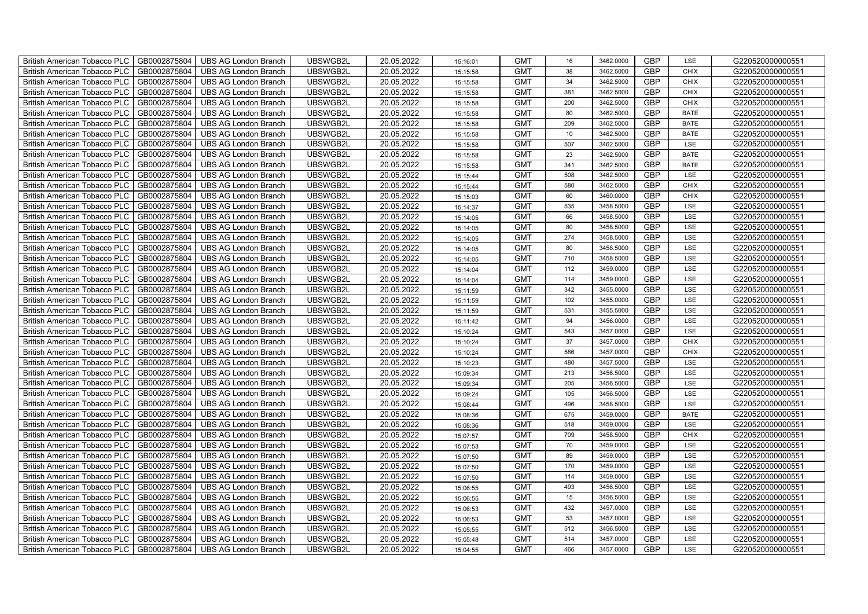| British American Tobacco PLC   GB0002875804 |              | <b>UBS AG London Branch</b> | UBSWGB2L | 20.05.2022 | 15:16:01 | <b>GMT</b> | 16  | 3462.0000 | <b>GBP</b> | LSE         | G220520000000551 |
|---------------------------------------------|--------------|-----------------------------|----------|------------|----------|------------|-----|-----------|------------|-------------|------------------|
| <b>British American Tobacco PLC</b>         | GB0002875804 | <b>UBS AG London Branch</b> | UBSWGB2L | 20.05.2022 | 15:15:58 | <b>GMT</b> | 38  | 3462.5000 | <b>GBP</b> | <b>CHIX</b> | G220520000000551 |
| <b>British American Tobacco PLC</b>         | GB0002875804 | UBS AG London Branch        | UBSWGB2L | 20.05.2022 | 15:15:58 | <b>GMT</b> | 34  | 3462.5000 | <b>GBP</b> | <b>CHIX</b> | G220520000000551 |
| <b>British American Tobacco PLC</b>         | GB0002875804 | <b>UBS AG London Branch</b> | UBSWGB2L | 20.05.2022 | 15:15:58 | <b>GMT</b> | 381 | 3462.5000 | <b>GBP</b> | <b>CHIX</b> | G220520000000551 |
| <b>British American Tobacco PLC</b>         | GB0002875804 | UBS AG London Branch        | UBSWGB2L | 20.05.2022 | 15:15:58 | <b>GMT</b> | 200 | 3462.5000 | <b>GBP</b> | <b>CHIX</b> | G220520000000551 |
| <b>British American Tobacco PLC</b>         | GB0002875804 | <b>UBS AG London Branch</b> | UBSWGB2L | 20.05.2022 | 15:15:58 | <b>GMT</b> | 80  | 3462.5000 | <b>GBP</b> | <b>BATE</b> | G220520000000551 |
| <b>British American Tobacco PLC</b>         | GB0002875804 | <b>UBS AG London Branch</b> | UBSWGB2L | 20.05.2022 | 15:15:58 | <b>GMT</b> | 209 | 3462.5000 | <b>GBP</b> | <b>BATE</b> | G220520000000551 |
| British American Tobacco PLC                | GB0002875804 | <b>UBS AG London Branch</b> | UBSWGB2L | 20.05.2022 | 15:15:58 | <b>GMT</b> | 10  | 3462.5000 | <b>GBP</b> | <b>BATE</b> | G220520000000551 |
| <b>British American Tobacco PLC</b>         | GB0002875804 | <b>UBS AG London Branch</b> | UBSWGB2L | 20.05.2022 | 15:15:58 | <b>GMT</b> | 507 | 3462.5000 | <b>GBP</b> | LSE         | G220520000000551 |
| <b>British American Tobacco PLC</b>         | GB0002875804 | <b>UBS AG London Branch</b> | UBSWGB2L | 20.05.2022 | 15:15:58 | <b>GMT</b> | 23  | 3462.5000 | <b>GBP</b> | <b>BATE</b> | G220520000000551 |
| <b>British American Tobacco PLC</b>         | GB0002875804 | <b>UBS AG London Branch</b> | UBSWGB2L | 20.05.2022 | 15:15:58 | <b>GMT</b> | 341 | 3462.5000 | <b>GBP</b> | <b>BATE</b> | G220520000000551 |
| British American Tobacco PLC                | GB0002875804 | <b>UBS AG London Branch</b> | UBSWGB2L | 20.05.2022 | 15:15:44 | <b>GMT</b> | 508 | 3462.5000 | <b>GBP</b> | LSE         | G220520000000551 |
| British American Tobacco PLC                | GB0002875804 | <b>UBS AG London Branch</b> | UBSWGB2L | 20.05.2022 | 15:15:44 | <b>GMT</b> | 580 | 3462.5000 | <b>GBP</b> | CHIX        | G220520000000551 |
| British American Tobacco PLC                | GB0002875804 | UBS AG London Branch        | UBSWGB2L | 20.05.2022 | 15:15:03 | <b>GMT</b> | 60  | 3460.0000 | <b>GBP</b> | <b>CHIX</b> | G220520000000551 |
| British American Tobacco PLC                | GB0002875804 | <b>UBS AG London Branch</b> | UBSWGB2L | 20.05.2022 | 15:14:37 | <b>GMT</b> | 535 | 3458.5000 | <b>GBP</b> | LSE         | G220520000000551 |
| British American Tobacco PLC                | GB0002875804 | <b>UBS AG London Branch</b> | UBSWGB2L | 20.05.2022 | 15:14:05 | <b>GMT</b> | 66  | 3458.5000 | <b>GBP</b> | LSE         | G220520000000551 |
| British American Tobacco PLC                | GB0002875804 | <b>UBS AG London Branch</b> | UBSWGB2L | 20.05.2022 | 15:14:05 | <b>GMT</b> | 80  | 3458.5000 | <b>GBP</b> | LSE         | G220520000000551 |
| British American Tobacco PLC                | GB0002875804 | <b>UBS AG London Branch</b> | UBSWGB2L | 20.05.2022 | 15:14:05 | <b>GMT</b> | 274 | 3458.5000 | <b>GBP</b> | LSE         | G220520000000551 |
| British American Tobacco PLC                | GB0002875804 | <b>UBS AG London Branch</b> | UBSWGB2L | 20.05.2022 | 15:14:05 | <b>GMT</b> | 80  | 3458.5000 | <b>GBP</b> | LSE         | G220520000000551 |
| <b>British American Tobacco PLC</b>         | GB0002875804 | <b>UBS AG London Branch</b> | UBSWGB2L | 20.05.2022 | 15:14:05 | <b>GMT</b> | 710 | 3458.5000 | <b>GBP</b> | <b>LSE</b>  | G220520000000551 |
| British American Tobacco PLC                | GB0002875804 | UBS AG London Branch        | UBSWGB2L | 20.05.2022 | 15:14:04 | <b>GMT</b> | 112 | 3459.0000 | <b>GBP</b> | LSE         | G220520000000551 |
| British American Tobacco PLC                | GB0002875804 | <b>UBS AG London Branch</b> | UBSWGB2L | 20.05.2022 | 15:14:04 | <b>GMT</b> | 114 | 3459.0000 | GBP        | LSE         | G220520000000551 |
| British American Tobacco PLC                | GB0002875804 | <b>UBS AG London Branch</b> | UBSWGB2L | 20.05.2022 | 15:11:59 | <b>GMT</b> | 342 | 3455.0000 | GBP        | LSE         | G220520000000551 |
| British American Tobacco PLC                | GB0002875804 | UBS AG London Branch        | UBSWGB2L | 20.05.2022 | 15:11:59 | <b>GMT</b> | 102 | 3455.0000 | <b>GBP</b> | LSE         | G220520000000551 |
| British American Tobacco PLC                | GB0002875804 | <b>UBS AG London Branch</b> | UBSWGB2L | 20.05.2022 | 15:11:59 | <b>GMT</b> | 531 | 3455.5000 | <b>GBP</b> | LSE         | G220520000000551 |
| British American Tobacco PLC                | GB0002875804 | <b>UBS AG London Branch</b> | UBSWGB2L | 20.05.2022 | 15:11:42 | <b>GMT</b> | 94  | 3456.0000 | <b>GBP</b> | LSE         | G220520000000551 |
| British American Tobacco PLC                | GB0002875804 | <b>UBS AG London Branch</b> | UBSWGB2L | 20.05.2022 | 15:10:24 | <b>GMT</b> | 543 | 3457.0000 | <b>GBP</b> | LSE         | G220520000000551 |
| British American Tobacco PLC                | GB0002875804 | <b>UBS AG London Branch</b> | UBSWGB2L | 20.05.2022 | 15:10:24 | <b>GMT</b> | 37  | 3457.0000 | <b>GBP</b> | <b>CHIX</b> | G220520000000551 |
| <b>British American Tobacco PLC</b>         | GB0002875804 | <b>UBS AG London Branch</b> | UBSWGB2L | 20.05.2022 | 15:10:24 | <b>GMT</b> | 586 | 3457.0000 | <b>GBP</b> | <b>CHIX</b> | G220520000000551 |
| British American Tobacco PLC                | GB0002875804 | UBS AG London Branch        | UBSWGB2L | 20.05.2022 | 15:10:23 | <b>GMT</b> | 480 | 3457.5000 | <b>GBP</b> | LSE         | G220520000000551 |
| British American Tobacco PLC                | GB0002875804 | <b>UBS AG London Branch</b> | UBSWGB2L | 20.05.2022 | 15:09:34 | <b>GMT</b> | 213 | 3456.5000 | GBP        | LSE         | G220520000000551 |
| British American Tobacco PLC                | GB0002875804 | <b>UBS AG London Branch</b> | UBSWGB2L | 20.05.2022 | 15:09:34 | <b>GMT</b> | 205 | 3456.5000 | GBP        | LSE         | G220520000000551 |
| British American Tobacco PLC                | GB0002875804 | <b>UBS AG London Branch</b> | UBSWGB2L | 20.05.2022 | 15:09:24 | <b>GMT</b> | 105 | 3456.5000 | <b>GBP</b> | LSE         | G220520000000551 |
| British American Tobacco PLC                | GB0002875804 | <b>UBS AG London Branch</b> | UBSWGB2L | 20.05.2022 | 15:08:44 | <b>GMT</b> | 496 | 3458.5000 | <b>GBP</b> | LSE         | G220520000000551 |
| British American Tobacco PLC                | GB0002875804 | <b>UBS AG London Branch</b> | UBSWGB2L | 20.05.2022 | 15:08:36 | <b>GMT</b> | 675 | 3459.0000 | <b>GBP</b> | <b>BATE</b> | G220520000000551 |
| British American Tobacco PLC                | GB0002875804 | <b>UBS AG London Branch</b> | UBSWGB2L | 20.05.2022 | 15:08:36 | <b>GMT</b> | 518 | 3459.0000 | <b>GBP</b> | LSE         | G220520000000551 |
| British American Tobacco PLC                | GB0002875804 | <b>UBS AG London Branch</b> | UBSWGB2L | 20.05.2022 | 15:07:57 | <b>GMT</b> | 709 | 3458.5000 | GBP        | <b>CHIX</b> | G220520000000551 |
| <b>British American Tobacco PLC</b>         | GB0002875804 | <b>UBS AG London Branch</b> | UBSWGB2L | 20.05.2022 | 15:07:53 | <b>GMT</b> | 70  | 3459.0000 | <b>GBP</b> | LSE         | G220520000000551 |
| <b>British American Tobacco PLC</b>         | GB0002875804 | UBS AG London Branch        | UBSWGB2L | 20.05.2022 | 15:07:50 | <b>GMT</b> | 89  | 3459.0000 | <b>GBP</b> | LSE         | G220520000000551 |
| British American Tobacco PLC                | GB0002875804 | <b>UBS AG London Branch</b> | UBSWGB2L | 20.05.2022 | 15:07:50 | <b>GMT</b> | 170 | 3459.0000 | <b>GBP</b> | LSE         | G220520000000551 |
| British American Tobacco PLC                | GB0002875804 | <b>UBS AG London Branch</b> | UBSWGB2L | 20.05.2022 | 15:07:50 | <b>GMT</b> | 114 | 3459.0000 | GBP        | LSE         | G220520000000551 |
| British American Tobacco PLC                | GB0002875804 | UBS AG London Branch        | UBSWGB2L | 20.05.2022 | 15:06:55 | <b>GMT</b> | 493 | 3456.5000 | <b>GBP</b> | LSE         | G220520000000551 |
| British American Tobacco PLC                | GB0002875804 | <b>UBS AG London Branch</b> | UBSWGB2L | 20.05.2022 | 15:06:55 | <b>GMT</b> | 15  | 3456.5000 | <b>GBP</b> | LSE         | G220520000000551 |
| <b>British American Tobacco PLC</b>         | GB0002875804 | <b>UBS AG London Branch</b> | UBSWGB2L | 20.05.2022 | 15:06:53 | <b>GMT</b> | 432 | 3457.0000 | <b>GBP</b> | LSE         | G220520000000551 |
| <b>British American Tobacco PLC</b>         | GB0002875804 | <b>UBS AG London Branch</b> | UBSWGB2L | 20.05.2022 | 15:06:53 | <b>GMT</b> | 53  | 3457.0000 | <b>GBP</b> | LSE         | G220520000000551 |
| <b>British American Tobacco PLC</b>         | GB0002875804 | <b>UBS AG London Branch</b> | UBSWGB2L | 20.05.2022 | 15:05:55 | <b>GMT</b> | 512 | 3456.5000 | <b>GBP</b> | LSE         | G220520000000551 |
| <b>British American Tobacco PLC</b>         | GB0002875804 | <b>UBS AG London Branch</b> | UBSWGB2L | 20.05.2022 | 15:05:48 | <b>GMT</b> | 514 | 3457.0000 | <b>GBP</b> | LSE         | G220520000000551 |
| British American Tobacco PLC                | GB0002875804 | <b>UBS AG London Branch</b> | UBSWGB2L | 20.05.2022 | 15:04:55 | <b>GMT</b> | 466 | 3457.0000 | <b>GBP</b> | LSE         | G220520000000551 |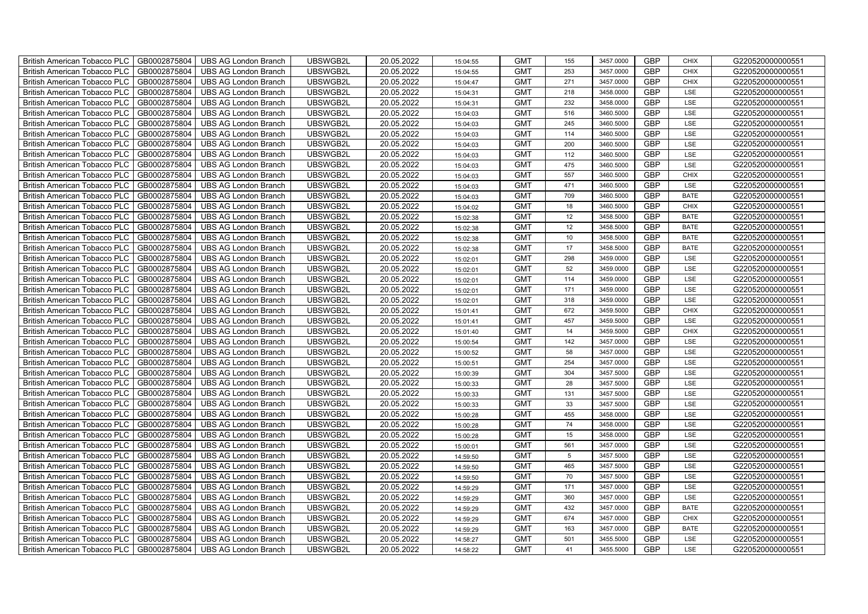| <b>British American Tobacco PLC</b><br>GB0002875804 | <b>UBS AG London Branch</b> | UBSWGB2L | 20.05.2022 | 15:04:55 | <b>GMT</b> | 155 | 3457.0000 | <b>GBP</b> | <b>CHIX</b> | G220520000000551 |
|-----------------------------------------------------|-----------------------------|----------|------------|----------|------------|-----|-----------|------------|-------------|------------------|
| GB0002875804<br><b>British American Tobacco PLC</b> | <b>UBS AG London Branch</b> | UBSWGB2L | 20.05.2022 | 15:04:55 | <b>GMT</b> | 253 | 3457.0000 | <b>GBP</b> | <b>CHIX</b> | G220520000000551 |
| GB0002875804<br><b>British American Tobacco PLC</b> | <b>UBS AG London Branch</b> | UBSWGB2L | 20.05.2022 | 15:04:47 | <b>GMT</b> | 271 | 3457.0000 | <b>GBP</b> | <b>CHIX</b> | G220520000000551 |
| GB0002875804<br><b>British American Tobacco PLC</b> | <b>UBS AG London Branch</b> | UBSWGB2L | 20.05.2022 | 15:04:31 | <b>GMT</b> | 218 | 3458.0000 | <b>GBP</b> | LSE         | G220520000000551 |
| GB0002875804<br><b>British American Tobacco PLC</b> | <b>UBS AG London Branch</b> | UBSWGB2L | 20.05.2022 | 15:04:31 | <b>GMT</b> | 232 | 3458.0000 | <b>GBP</b> | LSE         | G220520000000551 |
| GB0002875804<br><b>British American Tobacco PLC</b> | <b>UBS AG London Branch</b> | UBSWGB2L | 20.05.2022 | 15:04:03 | <b>GMT</b> | 516 | 3460.5000 | <b>GBP</b> | LSE         | G220520000000551 |
| GB0002875804<br><b>British American Tobacco PLC</b> | <b>UBS AG London Branch</b> | UBSWGB2L | 20.05.2022 | 15:04:03 | <b>GMT</b> | 245 | 3460.5000 | <b>GBP</b> | LSE         | G220520000000551 |
| <b>British American Tobacco PLC</b><br>GB0002875804 | <b>UBS AG London Branch</b> | UBSWGB2L | 20.05.2022 | 15:04:03 | <b>GMT</b> | 114 | 3460.5000 | <b>GBP</b> | LSE         | G220520000000551 |
| GB0002875804<br><b>British American Tobacco PLC</b> | <b>UBS AG London Branch</b> | UBSWGB2L | 20.05.2022 | 15:04:03 | <b>GMT</b> | 200 | 3460.5000 | <b>GBP</b> | LSE         | G220520000000551 |
| GB0002875804<br><b>British American Tobacco PLC</b> | <b>UBS AG London Branch</b> | UBSWGB2L | 20.05.2022 | 15:04:03 | <b>GMT</b> | 112 | 3460.5000 | <b>GBP</b> | LSE         | G220520000000551 |
| GB0002875804<br><b>British American Tobacco PLC</b> | <b>UBS AG London Branch</b> | UBSWGB2L | 20.05.2022 | 15:04:03 | <b>GMT</b> | 475 | 3460.5000 | <b>GBP</b> | LSE         | G220520000000551 |
| British American Tobacco PLC<br>GB0002875804        | <b>UBS AG London Branch</b> | UBSWGB2L | 20.05.2022 | 15:04:03 | <b>GMT</b> | 557 | 3460.5000 | <b>GBP</b> | <b>CHIX</b> | G220520000000551 |
| GB0002875804<br><b>British American Tobacco PLC</b> | <b>UBS AG London Branch</b> | UBSWGB2L | 20.05.2022 | 15:04:03 | <b>GMT</b> | 471 | 3460.5000 | <b>GBP</b> | LSE         | G220520000000551 |
| GB0002875804<br><b>British American Tobacco PLC</b> | <b>UBS AG London Branch</b> | UBSWGB2L | 20.05.2022 | 15:04:03 | <b>GMT</b> | 709 | 3460.5000 | <b>GBP</b> | <b>BATE</b> | G220520000000551 |
| GB0002875804<br><b>British American Tobacco PLC</b> | <b>UBS AG London Branch</b> | UBSWGB2L | 20.05.2022 | 15:04:02 | <b>GMT</b> | 18  | 3460.5000 | <b>GBP</b> | <b>CHIX</b> | G220520000000551 |
| GB0002875804<br><b>British American Tobacco PLC</b> | <b>UBS AG London Branch</b> | UBSWGB2L | 20.05.2022 | 15:02:38 | <b>GMT</b> | 12  | 3458.5000 | <b>GBP</b> | <b>BATE</b> | G220520000000551 |
| <b>British American Tobacco PLC</b><br>GB0002875804 | <b>UBS AG London Branch</b> | UBSWGB2L | 20.05.2022 | 15:02:38 | <b>GMT</b> | 12  | 3458.5000 | <b>GBP</b> | <b>BATE</b> | G220520000000551 |
| GB0002875804<br><b>British American Tobacco PLC</b> | <b>UBS AG London Branch</b> | UBSWGB2L | 20.05.2022 | 15:02:38 | <b>GMT</b> | 10  | 3458.5000 | <b>GBP</b> | <b>BATE</b> | G220520000000551 |
| GB0002875804<br><b>British American Tobacco PLC</b> | <b>UBS AG London Branch</b> | UBSWGB2L | 20.05.2022 | 15:02:38 | <b>GMT</b> | 17  | 3458.5000 | <b>GBP</b> | <b>BATE</b> | G220520000000551 |
| <b>British American Tobacco PLC</b><br>GB0002875804 | <b>UBS AG London Branch</b> | UBSWGB2L | 20.05.2022 | 15:02:01 | <b>GMT</b> | 298 | 3459.0000 | GBP        | LSE         | G220520000000551 |
| British American Tobacco PLC<br>GB0002875804        | <b>UBS AG London Branch</b> | UBSWGB2L | 20.05.2022 | 15:02:01 | <b>GMT</b> | 52  | 3459.0000 | <b>GBP</b> | LSE         | G220520000000551 |
| GB0002875804<br><b>British American Tobacco PLC</b> | <b>UBS AG London Branch</b> | UBSWGB2L | 20.05.2022 | 15:02:01 | <b>GMT</b> | 114 | 3459.0000 | GBP        | LSE         | G220520000000551 |
| GB0002875804<br>British American Tobacco PLC        | <b>UBS AG London Branch</b> | UBSWGB2L | 20.05.2022 | 15:02:01 | <b>GMT</b> | 171 | 3459.0000 | GBP        | LSE         | G220520000000551 |
| British American Tobacco PLC<br>GB0002875804        | <b>UBS AG London Branch</b> | UBSWGB2L | 20.05.2022 | 15:02:01 | <b>GMT</b> | 318 | 3459.0000 | <b>GBP</b> | LSE         | G220520000000551 |
| British American Tobacco PLC<br>GB0002875804        | <b>UBS AG London Branch</b> | UBSWGB2L | 20.05.2022 | 15:01:41 | <b>GMT</b> | 672 | 3459.5000 | <b>GBP</b> | <b>CHIX</b> | G220520000000551 |
| GB0002875804<br><b>British American Tobacco PLC</b> | <b>UBS AG London Branch</b> | UBSWGB2L | 20.05.2022 | 15:01:41 | <b>GMT</b> | 457 | 3459.5000 | GBP        | LSE         | G220520000000551 |
| GB0002875804<br><b>British American Tobacco PLC</b> | <b>UBS AG London Branch</b> | UBSWGB2L | 20.05.2022 | 15:01:40 | <b>GMT</b> | 14  | 3459.5000 | GBP        | <b>CHIX</b> | G220520000000551 |
| GB0002875804<br><b>British American Tobacco PLC</b> | <b>UBS AG London Branch</b> | UBSWGB2L | 20.05.2022 | 15:00:54 | <b>GMT</b> | 142 | 3457.0000 | <b>GBP</b> | LSE         | G220520000000551 |
| <b>British American Tobacco PLC</b><br>GB0002875804 | <b>UBS AG London Branch</b> | UBSWGB2L | 20.05.2022 | 15:00:52 | <b>GMT</b> | 58  | 3457.0000 | <b>GBP</b> | LSE         | G220520000000551 |
| British American Tobacco PLC<br>GB0002875804        | <b>UBS AG London Branch</b> | UBSWGB2L | 20.05.2022 | 15:00:51 | <b>GMT</b> | 254 | 3457.0000 | <b>GBP</b> | LSE         | G220520000000551 |
| GB0002875804<br><b>British American Tobacco PLC</b> | <b>UBS AG London Branch</b> | UBSWGB2L | 20.05.2022 | 15:00:39 | <b>GMT</b> | 304 | 3457.5000 | GBP        | LSE         | G220520000000551 |
| GB0002875804<br>British American Tobacco PLC        | <b>UBS AG London Branch</b> | UBSWGB2L | 20.05.2022 | 15:00:33 | <b>GMT</b> | 28  | 3457.5000 | GBP        | LSE         | G220520000000551 |
| British American Tobacco PLC<br>GB0002875804        | <b>UBS AG London Branch</b> | UBSWGB2L | 20.05.2022 | 15:00:33 | <b>GMT</b> | 131 | 3457.5000 | <b>GBP</b> | LSE         | G220520000000551 |
| British American Tobacco PLC<br>GB0002875804        | <b>UBS AG London Branch</b> | UBSWGB2L | 20.05.2022 | 15:00:33 | <b>GMT</b> | 33  | 3457.5000 | <b>GBP</b> | LSE         | G220520000000551 |
| GB0002875804<br><b>British American Tobacco PLC</b> | <b>UBS AG London Branch</b> | UBSWGB2L | 20.05.2022 | 15:00:28 | <b>GMT</b> | 455 | 3458.0000 | <b>GBP</b> | LSE         | G220520000000551 |
| GB0002875804<br><b>British American Tobacco PLC</b> | <b>UBS AG London Branch</b> | UBSWGB2L | 20.05.2022 | 15:00:28 | <b>GMT</b> | 74  | 3458.0000 | GBP        | LSE         | G220520000000551 |
| GB0002875804<br><b>British American Tobacco PLC</b> | <b>UBS AG London Branch</b> | UBSWGB2L | 20.05.2022 | 15:00:28 | <b>GMT</b> | 15  | 3458.0000 | <b>GBP</b> | LSE         | G220520000000551 |
| <b>British American Tobacco PLC</b><br>GB0002875804 | <b>UBS AG London Branch</b> | UBSWGB2L | 20.05.2022 | 15:00:01 | <b>GMT</b> | 561 | 3457.0000 | <b>GBP</b> | LSE         | G220520000000551 |
| British American Tobacco PLC<br>GB0002875804        | UBS AG London Branch        | UBSWGB2L | 20.05.2022 | 14:59:50 | <b>GMT</b> | 5   | 3457.5000 | <b>GBP</b> | LSE         | G220520000000551 |
| British American Tobacco PLC<br>GB0002875804        | <b>UBS AG London Branch</b> | UBSWGB2L | 20.05.2022 | 14:59:50 | <b>GMT</b> | 465 | 3457.5000 | <b>GBP</b> | LSE         | G220520000000551 |
| British American Tobacco PLC<br>GB0002875804        | <b>UBS AG London Branch</b> | UBSWGB2L | 20.05.2022 | 14:59:50 | <b>GMT</b> | 70  | 3457.5000 | GBP        | LSE         | G220520000000551 |
| <b>British American Tobacco PLC</b><br>GB0002875804 | <b>UBS AG London Branch</b> | UBSWGB2L | 20.05.2022 | 14:59:29 | <b>GMT</b> | 171 | 3457.0000 | GBP        | LSE         | G220520000000551 |
| <b>British American Tobacco PLC</b><br>GB0002875804 | <b>UBS AG London Branch</b> | UBSWGB2L | 20.05.2022 | 14:59:29 | <b>GMT</b> | 360 | 3457.0000 | <b>GBP</b> | LSE         | G220520000000551 |
| GB0002875804<br><b>British American Tobacco PLC</b> | <b>UBS AG London Branch</b> | UBSWGB2L | 20.05.2022 | 14:59:29 | <b>GMT</b> | 432 | 3457.0000 | <b>GBP</b> | <b>BATE</b> | G220520000000551 |
| GB0002875804<br><b>British American Tobacco PLC</b> | <b>UBS AG London Branch</b> | UBSWGB2L | 20.05.2022 | 14:59:29 | <b>GMT</b> | 674 | 3457.0000 | GBP        | <b>CHIX</b> | G220520000000551 |
| GB0002875804<br><b>British American Tobacco PLC</b> | <b>UBS AG London Branch</b> | UBSWGB2L | 20.05.2022 | 14:59:29 | <b>GMT</b> | 163 | 3457.0000 | GBP        | <b>BATE</b> | G220520000000551 |
| <b>British American Tobacco PLC</b><br>GB0002875804 | <b>UBS AG London Branch</b> | UBSWGB2L | 20.05.2022 | 14:58:27 | <b>GMT</b> | 501 | 3455.5000 | <b>GBP</b> | LSE         | G220520000000551 |
| GB0002875804<br><b>British American Tobacco PLC</b> | <b>UBS AG London Branch</b> | UBSWGB2L | 20.05.2022 | 14:58:22 | <b>GMT</b> | 41  | 3455.5000 | <b>GBP</b> | LSE         | G220520000000551 |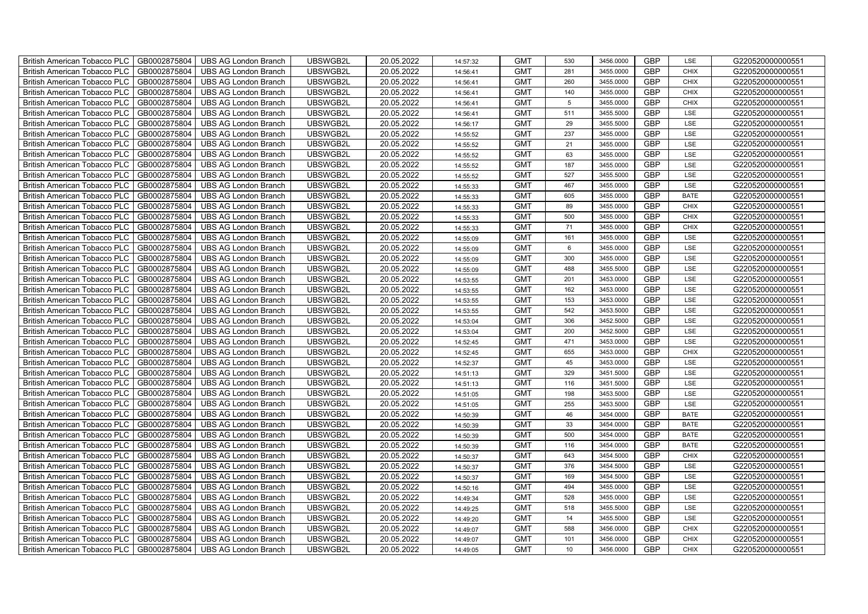| British American Tobacco PLC<br>GB0002875804        | <b>UBS AG London Branch</b> | UBSWGB2L | 20.05.2022 | 14:57:32 | <b>GMT</b> | 530             | 3456.0000 | <b>GBP</b> | LSE         | G220520000000551 |
|-----------------------------------------------------|-----------------------------|----------|------------|----------|------------|-----------------|-----------|------------|-------------|------------------|
| GB0002875804<br><b>British American Tobacco PLC</b> | <b>UBS AG London Branch</b> | UBSWGB2L | 20.05.2022 | 14:56:41 | <b>GMT</b> | 281             | 3455.0000 | <b>GBP</b> | <b>CHIX</b> | G220520000000551 |
| GB0002875804<br><b>British American Tobacco PLC</b> | <b>UBS AG London Branch</b> | UBSWGB2L | 20.05.2022 | 14:56:41 | <b>GMT</b> | 260             | 3455.0000 | <b>GBP</b> | <b>CHIX</b> | G220520000000551 |
| GB0002875804<br>British American Tobacco PLC        | <b>UBS AG London Branch</b> | UBSWGB2L | 20.05.2022 | 14:56:41 | <b>GMT</b> | 140             | 3455.0000 | <b>GBP</b> | <b>CHIX</b> | G220520000000551 |
| GB0002875804<br><b>British American Tobacco PLC</b> | <b>UBS AG London Branch</b> | UBSWGB2L | 20.05.2022 | 14:56:41 | <b>GMT</b> | $5\phantom{.0}$ | 3455.0000 | <b>GBP</b> | <b>CHIX</b> | G220520000000551 |
| GB0002875804<br>British American Tobacco PLC        | <b>UBS AG London Branch</b> | UBSWGB2L | 20.05.2022 | 14:56:41 | <b>GMT</b> | 511             | 3455.5000 | <b>GBP</b> | LSE         | G220520000000551 |
| GB0002875804<br><b>British American Tobacco PLC</b> | <b>UBS AG London Branch</b> | UBSWGB2L | 20.05.2022 | 14:56:17 | <b>GMT</b> | 29              | 3455.5000 | <b>GBP</b> | LSE         | G220520000000551 |
| British American Tobacco PLC<br>GB0002875804        | <b>UBS AG London Branch</b> | UBSWGB2L | 20.05.2022 | 14:55:52 | <b>GMT</b> | 237             | 3455.0000 | <b>GBP</b> | LSE         | G220520000000551 |
| GB0002875804<br><b>British American Tobacco PLC</b> | <b>UBS AG London Branch</b> | UBSWGB2L | 20.05.2022 | 14:55:52 | <b>GMT</b> | 21              | 3455.0000 | <b>GBP</b> | LSE         | G220520000000551 |
| GB0002875804<br>British American Tobacco PLC        | <b>UBS AG London Branch</b> | UBSWGB2L | 20.05.2022 | 14:55:52 | <b>GMT</b> | 63              | 3455.0000 | <b>GBP</b> | LSE         | G220520000000551 |
| <b>British American Tobacco PLC</b><br>GB0002875804 | <b>UBS AG London Branch</b> | UBSWGB2L | 20.05.2022 | 14:55:52 | <b>GMT</b> | 187             | 3455.0000 | <b>GBP</b> | LSE         | G220520000000551 |
| GB0002875804<br><b>British American Tobacco PLC</b> | <b>UBS AG London Branch</b> | UBSWGB2L | 20.05.2022 | 14:55:52 | <b>GMT</b> | 527             | 3455.5000 | <b>GBP</b> | LSE         | G220520000000551 |
| GB0002875804<br>British American Tobacco PLC        | <b>UBS AG London Branch</b> | UBSWGB2L | 20.05.2022 | 14:55:33 | <b>GMT</b> | 467             | 3455.0000 | <b>GBP</b> | LSE         | G220520000000551 |
| GB0002875804<br>British American Tobacco PLC        | <b>UBS AG London Branch</b> | UBSWGB2L | 20.05.2022 | 14:55:33 | <b>GMT</b> | 605             | 3455.0000 | <b>GBP</b> | <b>BATE</b> | G220520000000551 |
| GB0002875804<br>British American Tobacco PLC        | <b>UBS AG London Branch</b> | UBSWGB2L | 20.05.2022 | 14:55:33 | <b>GMT</b> | 89              | 3455.0000 | <b>GBP</b> | <b>CHIX</b> | G220520000000551 |
| GB0002875804<br>British American Tobacco PLC        | <b>UBS AG London Branch</b> | UBSWGB2L | 20.05.2022 | 14:55:33 | <b>GMT</b> | 500             | 3455.0000 | <b>GBP</b> | <b>CHIX</b> | G220520000000551 |
| British American Tobacco PLC<br>GB0002875804        | <b>UBS AG London Branch</b> | UBSWGB2L | 20.05.2022 | 14:55:33 | <b>GMT</b> | 71              | 3455.0000 | <b>GBP</b> | <b>CHIX</b> | G220520000000551 |
| GB0002875804<br>British American Tobacco PLC        | <b>UBS AG London Branch</b> | UBSWGB2L | 20.05.2022 | 14:55:09 | <b>GMT</b> | 161             | 3455.0000 | <b>GBP</b> | LSE         | G220520000000551 |
| GB0002875804<br>British American Tobacco PLC        | <b>UBS AG London Branch</b> | UBSWGB2L | 20.05.2022 | 14:55:09 | <b>GMT</b> | $6\phantom{1}$  | 3455.0000 | <b>GBP</b> | LSE         | G220520000000551 |
| <b>British American Tobacco PLC</b><br>GB0002875804 | <b>UBS AG London Branch</b> | UBSWGB2L | 20.05.2022 | 14:55:09 | <b>GMT</b> | 300             | 3455.0000 | GBP        | LSE         | G220520000000551 |
| GB0002875804<br><b>British American Tobacco PLC</b> | <b>UBS AG London Branch</b> | UBSWGB2L | 20.05.2022 | 14:55:09 | <b>GMT</b> | 488             | 3455.5000 | <b>GBP</b> | LSE         | G220520000000551 |
| GB0002875804<br>British American Tobacco PLC        | <b>UBS AG London Branch</b> | UBSWGB2L | 20.05.2022 | 14:53:55 | <b>GMT</b> | 201             | 3453.0000 | GBP        | LSE         | G220520000000551 |
| GB0002875804<br>British American Tobacco PLC        | <b>UBS AG London Branch</b> | UBSWGB2L | 20.05.2022 | 14:53:55 | <b>GMT</b> | 162             | 3453.0000 | GBP        | LSE         | G220520000000551 |
| GB0002875804<br>British American Tobacco PLC        | <b>UBS AG London Branch</b> | UBSWGB2L | 20.05.2022 | 14:53:55 | <b>GMT</b> | 153             | 3453.0000 | GBP        | LSE         | G220520000000551 |
| British American Tobacco PLC<br>GB0002875804        | <b>UBS AG London Branch</b> | UBSWGB2L | 20.05.2022 | 14:53:55 | <b>GMT</b> | 542             | 3453.5000 | <b>GBP</b> | LSE         | G220520000000551 |
| GB0002875804<br>British American Tobacco PLC        | <b>UBS AG London Branch</b> | UBSWGB2L | 20.05.2022 | 14:53:04 | <b>GMT</b> | 306             | 3452.5000 | <b>GBP</b> | LSE         | G220520000000551 |
| GB0002875804<br>British American Tobacco PLC        | <b>UBS AG London Branch</b> | UBSWGB2L | 20.05.2022 | 14:53:04 | <b>GMT</b> | 200             | 3452.5000 | <b>GBP</b> | LSE         | G220520000000551 |
| GB0002875804<br>British American Tobacco PLC        | <b>UBS AG London Branch</b> | UBSWGB2L | 20.05.2022 | 14:52:45 | <b>GMT</b> | 471             | 3453.0000 | <b>GBP</b> | LSE         | G220520000000551 |
| <b>British American Tobacco PLC</b><br>GB0002875804 | <b>UBS AG London Branch</b> | UBSWGB2L | 20.05.2022 | 14:52:45 | <b>GMT</b> | 655             | 3453.0000 | <b>GBP</b> | CHIX        | G220520000000551 |
| GB0002875804<br><b>British American Tobacco PLC</b> | <b>UBS AG London Branch</b> | UBSWGB2L | 20.05.2022 | 14:52:37 | <b>GMT</b> | 45              | 3453.0000 | <b>GBP</b> | LSE         | G220520000000551 |
| GB0002875804<br>British American Tobacco PLC        | <b>UBS AG London Branch</b> | UBSWGB2L | 20.05.2022 | 14:51:13 | <b>GMT</b> | 329             | 3451.5000 | GBP        | LSE         | G220520000000551 |
| GB0002875804<br>British American Tobacco PLC        | <b>UBS AG London Branch</b> | UBSWGB2L | 20.05.2022 | 14:51:13 | <b>GMT</b> | 116             | 3451.5000 | GBP        | LSE         | G220520000000551 |
| British American Tobacco PLC<br>GB0002875804        | <b>UBS AG London Branch</b> | UBSWGB2L | 20.05.2022 | 14:51:05 | <b>GMT</b> | 198             | 3453.5000 | GBP        | LSE         | G220520000000551 |
| British American Tobacco PLC<br>GB0002875804        | <b>UBS AG London Branch</b> | UBSWGB2L | 20.05.2022 | 14:51:05 | <b>GMT</b> | 255             | 3453.5000 | <b>GBP</b> | LSE         | G220520000000551 |
| GB0002875804<br>British American Tobacco PLC        | <b>UBS AG London Branch</b> | UBSWGB2L | 20.05.2022 | 14:50:39 | <b>GMT</b> | 46              | 3454.0000 | <b>GBP</b> | <b>BATE</b> | G220520000000551 |
| GB0002875804<br>British American Tobacco PLC        | <b>UBS AG London Branch</b> | UBSWGB2L | 20.05.2022 | 14:50:39 | <b>GMT</b> | 33              | 3454.0000 | <b>GBP</b> | <b>BATE</b> | G220520000000551 |
| GB0002875804<br>British American Tobacco PLC        | <b>UBS AG London Branch</b> | UBSWGB2L | 20.05.2022 | 14:50:39 | <b>GMT</b> | 500             | 3454.0000 | <b>GBP</b> | <b>BATE</b> | G220520000000551 |
| <b>British American Tobacco PLC</b><br>GB0002875804 | <b>UBS AG London Branch</b> | UBSWGB2L | 20.05.2022 | 14:50:39 | <b>GMT</b> | 116             | 3454.0000 | <b>GBP</b> | <b>BATE</b> | G220520000000551 |
| GB0002875804<br><b>British American Tobacco PLC</b> | <b>UBS AG London Branch</b> | UBSWGB2L | 20.05.2022 | 14:50:37 | <b>GMT</b> | 643             | 3454.5000 | <b>GBP</b> | <b>CHIX</b> | G220520000000551 |
| GB0002875804<br>British American Tobacco PLC        | <b>UBS AG London Branch</b> | UBSWGB2L | 20.05.2022 | 14:50:37 | <b>GMT</b> | 376             | 3454.5000 | <b>GBP</b> | LSE         | G220520000000551 |
| British American Tobacco PLC<br>GB0002875804        | <b>UBS AG London Branch</b> | UBSWGB2L | 20.05.2022 | 14:50:37 | <b>GMT</b> | 169             | 3454.5000 | GBP        | LSE         | G220520000000551 |
| British American Tobacco PLC<br>GB0002875804        | <b>UBS AG London Branch</b> | UBSWGB2L | 20.05.2022 | 14:50:16 | <b>GMT</b> | 494             | 3455.0000 | <b>GBP</b> | LSE         | G220520000000551 |
| British American Tobacco PLC<br>GB0002875804        | <b>UBS AG London Branch</b> | UBSWGB2L | 20.05.2022 | 14:49:34 | <b>GMT</b> | 528             | 3455.0000 | <b>GBP</b> | LSE         | G220520000000551 |
| GB0002875804<br><b>British American Tobacco PLC</b> | <b>UBS AG London Branch</b> | UBSWGB2L | 20.05.2022 | 14:49:25 | <b>GMT</b> | 518             | 3455.5000 | <b>GBP</b> | LSE         | G220520000000551 |
| GB0002875804<br><b>British American Tobacco PLC</b> | <b>UBS AG London Branch</b> | UBSWGB2L | 20.05.2022 | 14:49:20 | <b>GMT</b> | 14              | 3455.5000 | GBP        | LSE         | G220520000000551 |
| GB0002875804<br><b>British American Tobacco PLC</b> | <b>UBS AG London Branch</b> | UBSWGB2L | 20.05.2022 | 14:49:07 | <b>GMT</b> | 588             | 3456.0000 | <b>GBP</b> | <b>CHIX</b> | G220520000000551 |
| <b>British American Tobacco PLC</b><br>GB0002875804 | <b>UBS AG London Branch</b> | UBSWGB2L | 20.05.2022 | 14:49:07 | <b>GMT</b> | 101             | 3456.0000 | <b>GBP</b> | <b>CHIX</b> | G220520000000551 |
| GB0002875804<br>British American Tobacco PLC        | <b>UBS AG London Branch</b> | UBSWGB2L | 20.05.2022 | 14:49:05 | <b>GMT</b> | 10 <sup>1</sup> | 3456.0000 | <b>GBP</b> | <b>CHIX</b> | G220520000000551 |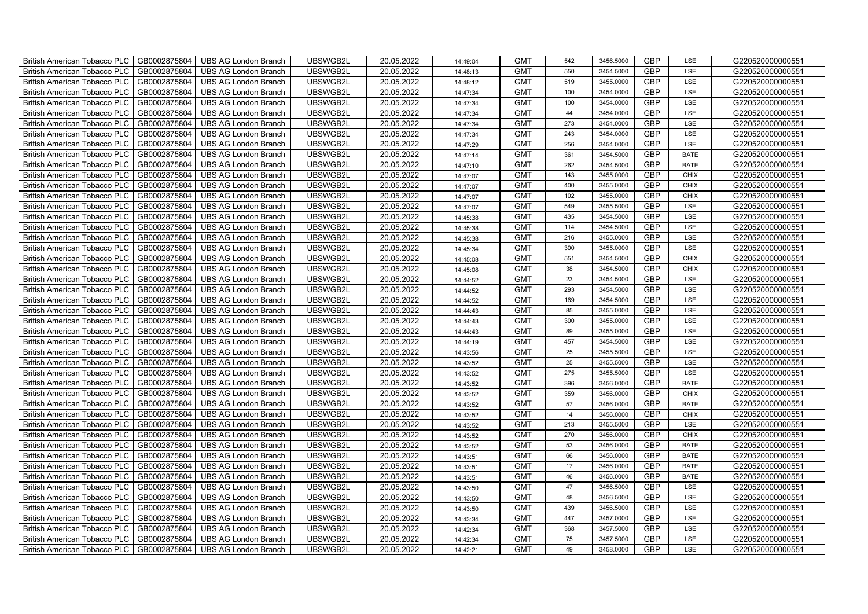| British American Tobacco PLC<br>GB0002875804        | <b>UBS AG London Branch</b> | UBSWGB2L | 20.05.2022 | 14:49:04 | <b>GMT</b> | 542 | 3456.5000 | <b>GBP</b> | LSE         | G220520000000551 |
|-----------------------------------------------------|-----------------------------|----------|------------|----------|------------|-----|-----------|------------|-------------|------------------|
| GB0002875804<br><b>British American Tobacco PLC</b> | <b>UBS AG London Branch</b> | UBSWGB2L | 20.05.2022 | 14:48:13 | <b>GMT</b> | 550 | 3454.5000 | <b>GBP</b> | LSE         | G220520000000551 |
| GB0002875804<br><b>British American Tobacco PLC</b> | <b>UBS AG London Branch</b> | UBSWGB2L | 20.05.2022 | 14:48:12 | <b>GMT</b> | 519 | 3455.0000 | <b>GBP</b> | LSE         | G220520000000551 |
| GB0002875804<br>British American Tobacco PLC        | <b>UBS AG London Branch</b> | UBSWGB2L | 20.05.2022 | 14:47:34 | <b>GMT</b> | 100 | 3454.0000 | <b>GBP</b> | LSE         | G220520000000551 |
| GB0002875804<br><b>British American Tobacco PLC</b> | <b>UBS AG London Branch</b> | UBSWGB2L | 20.05.2022 | 14:47:34 | <b>GMT</b> | 100 | 3454.0000 | <b>GBP</b> | LSE         | G220520000000551 |
| GB0002875804<br>British American Tobacco PLC        | <b>UBS AG London Branch</b> | UBSWGB2L | 20.05.2022 | 14:47:34 | <b>GMT</b> | 44  | 3454.0000 | <b>GBP</b> | LSE         | G220520000000551 |
| GB0002875804<br><b>British American Tobacco PLC</b> | <b>UBS AG London Branch</b> | UBSWGB2L | 20.05.2022 | 14:47:34 | <b>GMT</b> | 273 | 3454.0000 | <b>GBP</b> | LSE         | G220520000000551 |
| British American Tobacco PLC<br>GB0002875804        | <b>UBS AG London Branch</b> | UBSWGB2L | 20.05.2022 | 14:47:34 | <b>GMT</b> | 243 | 3454.0000 | <b>GBP</b> | LSE         | G220520000000551 |
| GB0002875804<br><b>British American Tobacco PLC</b> | <b>UBS AG London Branch</b> | UBSWGB2L | 20.05.2022 | 14:47:29 | <b>GMT</b> | 256 | 3454.0000 | <b>GBP</b> | LSE         | G220520000000551 |
| GB0002875804<br>British American Tobacco PLC        | <b>UBS AG London Branch</b> | UBSWGB2L | 20.05.2022 | 14:47:14 | <b>GMT</b> | 361 | 3454.5000 | <b>GBP</b> | <b>BATE</b> | G220520000000551 |
| <b>British American Tobacco PLC</b><br>GB0002875804 | <b>UBS AG London Branch</b> | UBSWGB2L | 20.05.2022 | 14:47:10 | <b>GMT</b> | 262 | 3454.5000 | <b>GBP</b> | <b>BATE</b> | G220520000000551 |
| GB0002875804<br><b>British American Tobacco PLC</b> | <b>UBS AG London Branch</b> | UBSWGB2L | 20.05.2022 | 14:47:07 | <b>GMT</b> | 143 | 3455.0000 | <b>GBP</b> | <b>CHIX</b> | G220520000000551 |
| GB0002875804<br>British American Tobacco PLC        | <b>UBS AG London Branch</b> | UBSWGB2L | 20.05.2022 | 14:47:07 | <b>GMT</b> | 400 | 3455.0000 | <b>GBP</b> | <b>CHIX</b> | G220520000000551 |
| GB0002875804<br>British American Tobacco PLC        | <b>UBS AG London Branch</b> | UBSWGB2L | 20.05.2022 | 14:47:07 | <b>GMT</b> | 102 | 3455.0000 | <b>GBP</b> | <b>CHIX</b> | G220520000000551 |
| GB0002875804<br>British American Tobacco PLC        | <b>UBS AG London Branch</b> | UBSWGB2L | 20.05.2022 | 14:47:07 | <b>GMT</b> | 549 | 3455.5000 | <b>GBP</b> | LSE         | G220520000000551 |
| GB0002875804<br>British American Tobacco PLC        | <b>UBS AG London Branch</b> | UBSWGB2L | 20.05.2022 | 14:45:38 | <b>GMT</b> | 435 | 3454.5000 | GBP        | LSE         | G220520000000551 |
| British American Tobacco PLC<br>GB0002875804        | <b>UBS AG London Branch</b> | UBSWGB2L | 20.05.2022 | 14:45:38 | <b>GMT</b> | 114 | 3454.5000 | <b>GBP</b> | LSE         | G220520000000551 |
| GB0002875804<br>British American Tobacco PLC        | <b>UBS AG London Branch</b> | UBSWGB2L | 20.05.2022 | 14:45:38 | <b>GMT</b> | 216 | 3455.0000 | <b>GBP</b> | LSE         | G220520000000551 |
| GB0002875804<br>British American Tobacco PLC        | <b>UBS AG London Branch</b> | UBSWGB2L | 20.05.2022 | 14:45:34 | <b>GMT</b> | 300 | 3455.0000 | <b>GBP</b> | LSE         | G220520000000551 |
| <b>British American Tobacco PLC</b><br>GB0002875804 | <b>UBS AG London Branch</b> | UBSWGB2L | 20.05.2022 | 14:45:08 | <b>GMT</b> | 551 | 3454.5000 | GBP        | CHIX        | G220520000000551 |
| GB0002875804<br><b>British American Tobacco PLC</b> | <b>UBS AG London Branch</b> | UBSWGB2L | 20.05.2022 | 14:45:08 | <b>GMT</b> | 38  | 3454.5000 | <b>GBP</b> | <b>CHIX</b> | G220520000000551 |
| GB0002875804<br>British American Tobacco PLC        | <b>UBS AG London Branch</b> | UBSWGB2L | 20.05.2022 | 14:44:52 | <b>GMT</b> | 23  | 3454.5000 | GBP        | LSE         | G220520000000551 |
| GB0002875804<br>British American Tobacco PLC        | <b>UBS AG London Branch</b> | UBSWGB2L | 20.05.2022 | 14:44:52 | <b>GMT</b> | 293 | 3454.5000 | GBP        | LSE         | G220520000000551 |
| GB0002875804<br>British American Tobacco PLC        | <b>UBS AG London Branch</b> | UBSWGB2L | 20.05.2022 | 14:44:52 | <b>GMT</b> | 169 | 3454.5000 | <b>GBP</b> | LSE         | G220520000000551 |
| GB0002875804<br>British American Tobacco PLC        | <b>UBS AG London Branch</b> | UBSWGB2L | 20.05.2022 | 14:44:43 | <b>GMT</b> | 85  | 3455.0000 | GBP        | LSE         | G220520000000551 |
| GB0002875804<br>British American Tobacco PLC        | <b>UBS AG London Branch</b> | UBSWGB2L | 20.05.2022 | 14:44:43 | <b>GMT</b> | 300 | 3455.0000 | <b>GBP</b> | LSE         | G220520000000551 |
| GB0002875804<br>British American Tobacco PLC        | <b>UBS AG London Branch</b> | UBSWGB2L | 20.05.2022 | 14:44:43 | <b>GMT</b> | 89  | 3455.0000 | GBP        | LSE         | G220520000000551 |
| GB0002875804<br>British American Tobacco PLC        | <b>UBS AG London Branch</b> | UBSWGB2L | 20.05.2022 | 14:44:19 | <b>GMT</b> | 457 | 3454.5000 | <b>GBP</b> | LSE         | G220520000000551 |
| <b>British American Tobacco PLC</b><br>GB0002875804 | <b>UBS AG London Branch</b> | UBSWGB2L | 20.05.2022 | 14:43:56 | <b>GMT</b> | 25  | 3455.5000 | <b>GBP</b> | LSE         | G220520000000551 |
| GB0002875804<br><b>British American Tobacco PLC</b> | <b>UBS AG London Branch</b> | UBSWGB2L | 20.05.2022 | 14:43:52 | <b>GMT</b> | 25  | 3455.5000 | <b>GBP</b> | LSE         | G220520000000551 |
| GB0002875804<br>British American Tobacco PLC        | <b>UBS AG London Branch</b> | UBSWGB2L | 20.05.2022 | 14:43:52 | <b>GMT</b> | 275 | 3455.5000 | GBP        | LSE         | G220520000000551 |
| GB0002875804<br>British American Tobacco PLC        | <b>UBS AG London Branch</b> | UBSWGB2L | 20.05.2022 | 14:43:52 | <b>GMT</b> | 396 | 3456.0000 | GBP        | <b>BATE</b> | G220520000000551 |
| British American Tobacco PLC<br>GB0002875804        | <b>UBS AG London Branch</b> | UBSWGB2L | 20.05.2022 | 14:43:52 | <b>GMT</b> | 359 | 3456.0000 | <b>GBP</b> | <b>CHIX</b> | G220520000000551 |
| British American Tobacco PLC<br>GB0002875804        | <b>UBS AG London Branch</b> | UBSWGB2L | 20.05.2022 | 14:43:52 | <b>GMT</b> | 57  | 3456.0000 | <b>GBP</b> | <b>BATE</b> | G220520000000551 |
| GB0002875804<br>British American Tobacco PLC        | <b>UBS AG London Branch</b> | UBSWGB2L | 20.05.2022 | 14:43:52 | <b>GMT</b> | 14  | 3456.0000 | <b>GBP</b> | CHIX        | G220520000000551 |
| GB0002875804<br>British American Tobacco PLC        | <b>UBS AG London Branch</b> | UBSWGB2L | 20.05.2022 | 14:43:52 | <b>GMT</b> | 213 | 3455.5000 | GBP        | LSE         | G220520000000551 |
| GB0002875804<br>British American Tobacco PLC        | <b>UBS AG London Branch</b> | UBSWGB2L | 20.05.2022 | 14:43:52 | <b>GMT</b> | 270 | 3456.0000 | <b>GBP</b> | <b>CHIX</b> | G220520000000551 |
| <b>British American Tobacco PLC</b><br>GB0002875804 | <b>UBS AG London Branch</b> | UBSWGB2L | 20.05.2022 | 14:43:52 | <b>GMT</b> | 53  | 3456.0000 | <b>GBP</b> | <b>BATE</b> | G220520000000551 |
| GB0002875804<br><b>British American Tobacco PLC</b> | UBS AG London Branch        | UBSWGB2L | 20.05.2022 | 14:43:51 | <b>GMT</b> | 66  | 3456.0000 | <b>GBP</b> | <b>BATE</b> | G220520000000551 |
| GB0002875804<br><b>British American Tobacco PLC</b> | <b>UBS AG London Branch</b> | UBSWGB2L | 20.05.2022 | 14:43:51 | <b>GMT</b> | 17  | 3456.0000 | <b>GBP</b> | <b>BATE</b> | G220520000000551 |
| British American Tobacco PLC<br>GB0002875804        | <b>UBS AG London Branch</b> | UBSWGB2L | 20.05.2022 | 14:43:51 | <b>GMT</b> | 46  | 3456.0000 | GBP        | <b>BATE</b> | G220520000000551 |
| British American Tobacco PLC<br>GB0002875804        | <b>UBS AG London Branch</b> | UBSWGB2L | 20.05.2022 | 14:43:50 | <b>GMT</b> | 47  | 3456.5000 | <b>GBP</b> | LSE         | G220520000000551 |
| British American Tobacco PLC<br>GB0002875804        | <b>UBS AG London Branch</b> | UBSWGB2L | 20.05.2022 | 14:43:50 | <b>GMT</b> | 48  | 3456.5000 | <b>GBP</b> | LSE         | G220520000000551 |
| GB0002875804<br><b>British American Tobacco PLC</b> | <b>UBS AG London Branch</b> | UBSWGB2L | 20.05.2022 | 14:43:50 | <b>GMT</b> | 439 | 3456.5000 | <b>GBP</b> | LSE         | G220520000000551 |
| GB0002875804<br><b>British American Tobacco PLC</b> | <b>UBS AG London Branch</b> | UBSWGB2L | 20.05.2022 | 14:43:34 | <b>GMT</b> | 447 | 3457.0000 | GBP        | LSE         | G220520000000551 |
| GB0002875804<br><b>British American Tobacco PLC</b> | <b>UBS AG London Branch</b> | UBSWGB2L | 20.05.2022 | 14:42:34 | <b>GMT</b> | 368 | 3457.5000 | <b>GBP</b> | LSE         | G220520000000551 |
| <b>British American Tobacco PLC</b><br>GB0002875804 | <b>UBS AG London Branch</b> | UBSWGB2L | 20.05.2022 | 14:42:34 | <b>GMT</b> | 75  | 3457.5000 | <b>GBP</b> | LSE         | G220520000000551 |
| GB0002875804<br>British American Tobacco PLC        | <b>UBS AG London Branch</b> | UBSWGB2L | 20.05.2022 | 14:42:21 | <b>GMT</b> | 49  | 3458.0000 | <b>GBP</b> | LSE         | G220520000000551 |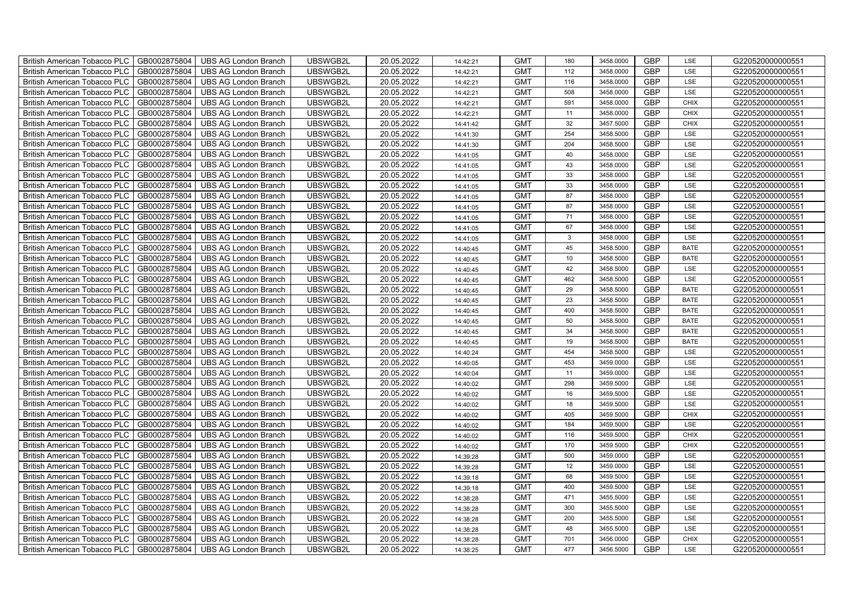| British American Tobacco PLC<br>GB0002875804        | <b>UBS AG London Branch</b> | UBSWGB2L | 20.05.2022 | 14:42:21 | <b>GMT</b> | 180             | 3458.0000 | <b>GBP</b> | LSE         | G220520000000551 |
|-----------------------------------------------------|-----------------------------|----------|------------|----------|------------|-----------------|-----------|------------|-------------|------------------|
| GB0002875804<br><b>British American Tobacco PLC</b> | <b>UBS AG London Branch</b> | UBSWGB2L | 20.05.2022 | 14:42:21 | <b>GMT</b> | 112             | 3458.0000 | <b>GBP</b> | LSE         | G220520000000551 |
| GB0002875804<br><b>British American Tobacco PLC</b> | <b>UBS AG London Branch</b> | UBSWGB2L | 20.05.2022 | 14:42:21 | <b>GMT</b> | 116             | 3458.0000 | <b>GBP</b> | LSE         | G220520000000551 |
| GB0002875804<br>British American Tobacco PLC        | <b>UBS AG London Branch</b> | UBSWGB2L | 20.05.2022 | 14:42:21 | <b>GMT</b> | 508             | 3458.0000 | <b>GBP</b> | LSE         | G220520000000551 |
| GB0002875804<br><b>British American Tobacco PLC</b> | <b>UBS AG London Branch</b> | UBSWGB2L | 20.05.2022 | 14:42:21 | <b>GMT</b> | 591             | 3458.0000 | <b>GBP</b> | <b>CHIX</b> | G220520000000551 |
| GB0002875804<br>British American Tobacco PLC        | <b>UBS AG London Branch</b> | UBSWGB2L | 20.05.2022 | 14:42:21 | <b>GMT</b> | 11              | 3458.0000 | <b>GBP</b> | <b>CHIX</b> | G220520000000551 |
| GB0002875804<br><b>British American Tobacco PLC</b> | <b>UBS AG London Branch</b> | UBSWGB2L | 20.05.2022 | 14:41:42 | <b>GMT</b> | 32              | 3457.5000 | <b>GBP</b> | <b>CHIX</b> | G220520000000551 |
| British American Tobacco PLC<br>GB0002875804        | <b>UBS AG London Branch</b> | UBSWGB2L | 20.05.2022 | 14:41:30 | <b>GMT</b> | 254             | 3458.5000 | <b>GBP</b> | LSE         | G220520000000551 |
| GB0002875804<br><b>British American Tobacco PLC</b> | <b>UBS AG London Branch</b> | UBSWGB2L | 20.05.2022 | 14:41:30 | <b>GMT</b> | 204             | 3458.5000 | <b>GBP</b> | LSE         | G220520000000551 |
| GB0002875804<br>British American Tobacco PLC        | <b>UBS AG London Branch</b> | UBSWGB2L | 20.05.2022 | 14:41:05 | <b>GMT</b> | 40              | 3458.0000 | <b>GBP</b> | LSE         | G220520000000551 |
| <b>British American Tobacco PLC</b><br>GB0002875804 | <b>UBS AG London Branch</b> | UBSWGB2L | 20.05.2022 | 14:41:05 | <b>GMT</b> | 43              | 3458.0000 | <b>GBP</b> | LSE         | G220520000000551 |
| GB0002875804<br><b>British American Tobacco PLC</b> | <b>UBS AG London Branch</b> | UBSWGB2L | 20.05.2022 | 14:41:05 | <b>GMT</b> | 33              | 3458.0000 | <b>GBP</b> | LSE         | G220520000000551 |
| GB0002875804<br>British American Tobacco PLC        | <b>UBS AG London Branch</b> | UBSWGB2L | 20.05.2022 | 14:41:05 | <b>GMT</b> | 33              | 3458.0000 | <b>GBP</b> | LSE         | G220520000000551 |
| GB0002875804<br>British American Tobacco PLC        | <b>UBS AG London Branch</b> | UBSWGB2L | 20.05.2022 | 14:41:05 | <b>GMT</b> | 87              | 3458.0000 | <b>GBP</b> | LSE         | G220520000000551 |
| GB0002875804<br>British American Tobacco PLC        | <b>UBS AG London Branch</b> | UBSWGB2L | 20.05.2022 | 14:41:05 | <b>GMT</b> | 87              | 3458.0000 | <b>GBP</b> | LSE         | G220520000000551 |
| GB0002875804<br>British American Tobacco PLC        | <b>UBS AG London Branch</b> | UBSWGB2L | 20.05.2022 | 14:41:05 | <b>GMT</b> | 71              | 3458.0000 | GBP        | LSE         | G220520000000551 |
| British American Tobacco PLC<br>GB0002875804        | <b>UBS AG London Branch</b> | UBSWGB2L | 20.05.2022 | 14:41:05 | <b>GMT</b> | 67              | 3458.0000 | <b>GBP</b> | LSE         | G220520000000551 |
| GB0002875804<br>British American Tobacco PLC        | <b>UBS AG London Branch</b> | UBSWGB2L | 20.05.2022 | 14:41:05 | <b>GMT</b> | $\mathbf{3}$    | 3458.0000 | <b>GBP</b> | LSE         | G220520000000551 |
| GB0002875804<br>British American Tobacco PLC        | <b>UBS AG London Branch</b> | UBSWGB2L | 20.05.2022 | 14:40:45 | <b>GMT</b> | 45              | 3458.5000 | <b>GBP</b> | <b>BATE</b> | G220520000000551 |
| <b>British American Tobacco PLC</b><br>GB0002875804 | <b>UBS AG London Branch</b> | UBSWGB2L | 20.05.2022 | 14:40:45 | <b>GMT</b> | 10 <sup>1</sup> | 3458.5000 | GBP        | <b>BATE</b> | G220520000000551 |
| GB0002875804<br><b>British American Tobacco PLC</b> | <b>UBS AG London Branch</b> | UBSWGB2L | 20.05.2022 | 14:40:45 | <b>GMT</b> | 42              | 3458.5000 | <b>GBP</b> | LSE         | G220520000000551 |
| GB0002875804<br>British American Tobacco PLC        | <b>UBS AG London Branch</b> | UBSWGB2L | 20.05.2022 | 14:40:45 | <b>GMT</b> | 462             | 3458.5000 | GBP        | LSE         | G220520000000551 |
| GB0002875804<br>British American Tobacco PLC        | <b>UBS AG London Branch</b> | UBSWGB2L | 20.05.2022 | 14:40:45 | <b>GMT</b> | 29              | 3458.5000 | GBP        | <b>BATE</b> | G220520000000551 |
| GB0002875804<br>British American Tobacco PLC        | <b>UBS AG London Branch</b> | UBSWGB2L | 20.05.2022 | 14:40:45 | <b>GMT</b> | 23              | 3458.5000 | <b>GBP</b> | <b>BATE</b> | G220520000000551 |
| GB0002875804<br>British American Tobacco PLC        | <b>UBS AG London Branch</b> | UBSWGB2L | 20.05.2022 | 14:40:45 | <b>GMT</b> | 400             | 3458.5000 | <b>GBP</b> | <b>BATE</b> | G220520000000551 |
| GB0002875804<br>British American Tobacco PLC        | <b>UBS AG London Branch</b> | UBSWGB2L | 20.05.2022 | 14:40:45 | <b>GMT</b> | 50              | 3458.5000 | <b>GBP</b> | <b>BATE</b> | G220520000000551 |
| GB0002875804<br>British American Tobacco PLC        | <b>UBS AG London Branch</b> | UBSWGB2L | 20.05.2022 | 14:40:45 | <b>GMT</b> | 34              | 3458.5000 | <b>GBP</b> | <b>BATE</b> | G220520000000551 |
| GB0002875804<br>British American Tobacco PLC        | <b>UBS AG London Branch</b> | UBSWGB2L | 20.05.2022 | 14:40:45 | <b>GMT</b> | 19              | 3458.5000 | GBP        | <b>BATE</b> | G220520000000551 |
| <b>British American Tobacco PLC</b><br>GB0002875804 | <b>UBS AG London Branch</b> | UBSWGB2L | 20.05.2022 | 14:40:24 | <b>GMT</b> | 454             | 3458.5000 | <b>GBP</b> | LSE         | G220520000000551 |
| GB0002875804<br><b>British American Tobacco PLC</b> | <b>UBS AG London Branch</b> | UBSWGB2L | 20.05.2022 | 14:40:05 | <b>GMT</b> | 453             | 3459.0000 | <b>GBP</b> | LSE         | G220520000000551 |
| GB0002875804<br>British American Tobacco PLC        | <b>UBS AG London Branch</b> | UBSWGB2L | 20.05.2022 | 14:40:04 | <b>GMT</b> | 11              | 3459.0000 | GBP        | LSE         | G220520000000551 |
| GB0002875804<br>British American Tobacco PLC        | <b>UBS AG London Branch</b> | UBSWGB2L | 20.05.2022 | 14:40:02 | <b>GMT</b> | 298             | 3459.5000 | GBP        | LSE         | G220520000000551 |
| British American Tobacco PLC<br>GB0002875804        | <b>UBS AG London Branch</b> | UBSWGB2L | 20.05.2022 | 14:40:02 | <b>GMT</b> | 16              | 3459.5000 | <b>GBP</b> | LSE         | G220520000000551 |
| British American Tobacco PLC<br>GB0002875804        | <b>UBS AG London Branch</b> | UBSWGB2L | 20.05.2022 | 14:40:02 | <b>GMT</b> | 18              | 3459.5000 | <b>GBP</b> | LSE         | G220520000000551 |
| GB0002875804<br>British American Tobacco PLC        | <b>UBS AG London Branch</b> | UBSWGB2L | 20.05.2022 | 14:40:02 | <b>GMT</b> | 405             | 3459.5000 | <b>GBP</b> | <b>CHIX</b> | G220520000000551 |
| GB0002875804<br>British American Tobacco PLC        | <b>UBS AG London Branch</b> | UBSWGB2L | 20.05.2022 | 14:40:02 | <b>GMT</b> | 184             | 3459.5000 | GBP        | LSE         | G220520000000551 |
| GB0002875804<br>British American Tobacco PLC        | <b>UBS AG London Branch</b> | UBSWGB2L | 20.05.2022 | 14:40:02 | <b>GMT</b> | 116             | 3459.5000 | <b>GBP</b> | <b>CHIX</b> | G220520000000551 |
| <b>British American Tobacco PLC</b><br>GB0002875804 | <b>UBS AG London Branch</b> | UBSWGB2L | 20.05.2022 | 14:40:02 | <b>GMT</b> | 170             | 3459.5000 | <b>GBP</b> | <b>CHIX</b> | G220520000000551 |
| GB0002875804<br><b>British American Tobacco PLC</b> | <b>UBS AG London Branch</b> | UBSWGB2L | 20.05.2022 | 14:39:28 | <b>GMT</b> | 500             | 3459.0000 | <b>GBP</b> | LSE         | G220520000000551 |
| GB0002875804<br>British American Tobacco PLC        | <b>UBS AG London Branch</b> | UBSWGB2L | 20.05.2022 | 14:39:28 | <b>GMT</b> | 12              | 3459.0000 | <b>GBP</b> | LSE         | G220520000000551 |
| British American Tobacco PLC<br>GB0002875804        | <b>UBS AG London Branch</b> | UBSWGB2L | 20.05.2022 | 14:39:18 | <b>GMT</b> | 68              | 3459.5000 | GBP        | LSE         | G220520000000551 |
| British American Tobacco PLC<br>GB0002875804        | <b>UBS AG London Branch</b> | UBSWGB2L | 20.05.2022 | 14:39:18 | <b>GMT</b> | 400             | 3459.5000 | <b>GBP</b> | LSE         | G220520000000551 |
| British American Tobacco PLC<br>GB0002875804        | <b>UBS AG London Branch</b> | UBSWGB2L | 20.05.2022 | 14:38:28 | <b>GMT</b> | 471             | 3455.5000 | <b>GBP</b> | LSE         | G220520000000551 |
| GB0002875804<br><b>British American Tobacco PLC</b> | <b>UBS AG London Branch</b> | UBSWGB2L | 20.05.2022 | 14:38:28 | <b>GMT</b> | 300             | 3455.5000 | <b>GBP</b> | LSE         | G220520000000551 |
| GB0002875804<br><b>British American Tobacco PLC</b> | <b>UBS AG London Branch</b> | UBSWGB2L | 20.05.2022 | 14:38:28 | <b>GMT</b> | 200             | 3455.5000 | GBP        | LSE         | G220520000000551 |
| GB0002875804<br><b>British American Tobacco PLC</b> | <b>UBS AG London Branch</b> | UBSWGB2L | 20.05.2022 | 14:38:28 | <b>GMT</b> | 48              | 3455.5000 | <b>GBP</b> | LSE         | G220520000000551 |
| <b>British American Tobacco PLC</b><br>GB0002875804 | <b>UBS AG London Branch</b> | UBSWGB2L | 20.05.2022 | 14:38:28 | <b>GMT</b> | 701             | 3456.0000 | <b>GBP</b> | <b>CHIX</b> | G220520000000551 |
| GB0002875804<br>British American Tobacco PLC        | <b>UBS AG London Branch</b> | UBSWGB2L | 20.05.2022 | 14:38:25 | <b>GMT</b> | 477             | 3456.5000 | <b>GBP</b> | LSE         | G220520000000551 |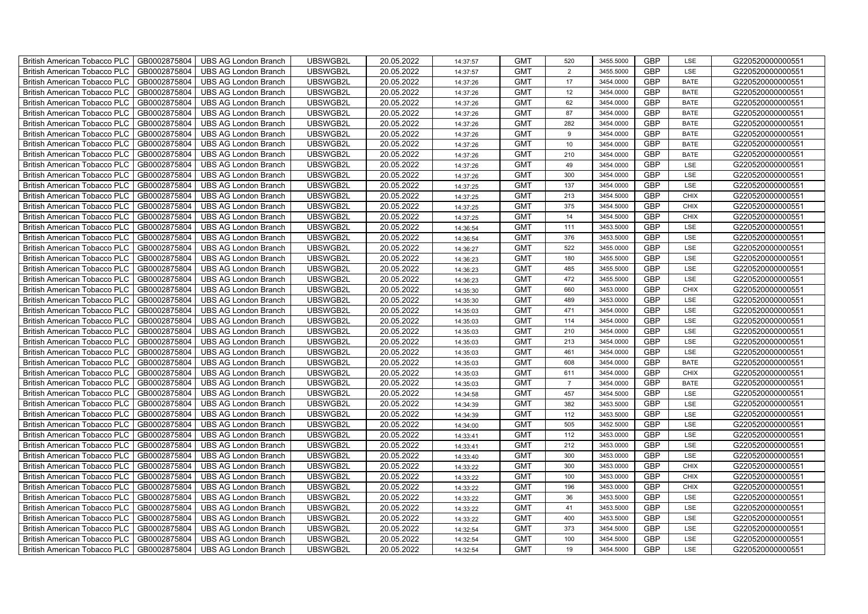| <b>British American Tobacco PLC</b><br>GB0002875804 | <b>UBS AG London Branch</b> | UBSWGB2L | 20.05.2022 | 14:37:57 | <b>GMT</b> | 520            | 3455.5000 | <b>GBP</b> | LSE         | G220520000000551 |
|-----------------------------------------------------|-----------------------------|----------|------------|----------|------------|----------------|-----------|------------|-------------|------------------|
| GB0002875804<br><b>British American Tobacco PLC</b> | <b>UBS AG London Branch</b> | UBSWGB2L | 20.05.2022 | 14:37:57 | <b>GMT</b> | $\overline{2}$ | 3455.5000 | <b>GBP</b> | LSE         | G220520000000551 |
| GB0002875804<br><b>British American Tobacco PLC</b> | <b>UBS AG London Branch</b> | UBSWGB2L | 20.05.2022 | 14:37:26 | <b>GMT</b> | 17             | 3454.0000 | <b>GBP</b> | <b>BATE</b> | G220520000000551 |
| GB0002875804<br><b>British American Tobacco PLC</b> | <b>UBS AG London Branch</b> | UBSWGB2L | 20.05.2022 | 14:37:26 | <b>GMT</b> | 12             | 3454.0000 | <b>GBP</b> | <b>BATE</b> | G220520000000551 |
| GB0002875804<br><b>British American Tobacco PLC</b> | <b>UBS AG London Branch</b> | UBSWGB2L | 20.05.2022 | 14:37:26 | <b>GMT</b> | 62             | 3454.0000 | <b>GBP</b> | <b>BATE</b> | G220520000000551 |
| GB0002875804<br><b>British American Tobacco PLC</b> | <b>UBS AG London Branch</b> | UBSWGB2L | 20.05.2022 | 14:37:26 | <b>GMT</b> | 87             | 3454.0000 | <b>GBP</b> | <b>BATE</b> | G220520000000551 |
| GB0002875804<br><b>British American Tobacco PLC</b> | <b>UBS AG London Branch</b> | UBSWGB2L | 20.05.2022 | 14:37:26 | <b>GMT</b> | 282            | 3454.0000 | <b>GBP</b> | <b>BATE</b> | G220520000000551 |
| <b>British American Tobacco PLC</b><br>GB0002875804 | <b>UBS AG London Branch</b> | UBSWGB2L | 20.05.2022 | 14:37:26 | <b>GMT</b> | 9              | 3454.0000 | <b>GBP</b> | <b>BATE</b> | G220520000000551 |
| GB0002875804<br><b>British American Tobacco PLC</b> | <b>UBS AG London Branch</b> | UBSWGB2L | 20.05.2022 | 14:37:26 | <b>GMT</b> | 10             | 3454.0000 | <b>GBP</b> | <b>BATE</b> | G220520000000551 |
| GB0002875804<br><b>British American Tobacco PLC</b> | <b>UBS AG London Branch</b> | UBSWGB2L | 20.05.2022 | 14:37:26 | <b>GMT</b> | 210            | 3454.0000 | <b>GBP</b> | <b>BATE</b> | G220520000000551 |
| GB0002875804<br><b>British American Tobacco PLC</b> | <b>UBS AG London Branch</b> | UBSWGB2L | 20.05.2022 | 14:37:26 | <b>GMT</b> | 49             | 3454.0000 | <b>GBP</b> | LSE         | G220520000000551 |
| British American Tobacco PLC<br>GB0002875804        | <b>UBS AG London Branch</b> | UBSWGB2L | 20.05.2022 | 14:37:26 | <b>GMT</b> | 300            | 3454.0000 | <b>GBP</b> | LSE         | G220520000000551 |
| GB0002875804<br><b>British American Tobacco PLC</b> | <b>UBS AG London Branch</b> | UBSWGB2L | 20.05.2022 | 14:37:25 | <b>GMT</b> | 137            | 3454.0000 | <b>GBP</b> | LSE         | G220520000000551 |
| GB0002875804<br><b>British American Tobacco PLC</b> | <b>UBS AG London Branch</b> | UBSWGB2L | 20.05.2022 | 14:37:25 | <b>GMT</b> | 213            | 3454.5000 | <b>GBP</b> | <b>CHIX</b> | G220520000000551 |
| GB0002875804<br><b>British American Tobacco PLC</b> | <b>UBS AG London Branch</b> | UBSWGB2L | 20.05.2022 | 14:37:25 | <b>GMT</b> | 375            | 3454.5000 | <b>GBP</b> | <b>CHIX</b> | G220520000000551 |
| GB0002875804<br><b>British American Tobacco PLC</b> | <b>UBS AG London Branch</b> | UBSWGB2L | 20.05.2022 | 14:37:25 | <b>GMT</b> | 14             | 3454.5000 | GBP        | <b>CHIX</b> | G220520000000551 |
| <b>British American Tobacco PLC</b><br>GB0002875804 | <b>UBS AG London Branch</b> | UBSWGB2L | 20.05.2022 | 14:36:54 | <b>GMT</b> | 111            | 3453.5000 | <b>GBP</b> | LSE         | G220520000000551 |
| GB0002875804<br><b>British American Tobacco PLC</b> | <b>UBS AG London Branch</b> | UBSWGB2L | 20.05.2022 | 14:36:54 | <b>GMT</b> | 376            | 3453.5000 | <b>GBP</b> | LSE         | G220520000000551 |
| GB0002875804<br><b>British American Tobacco PLC</b> | <b>UBS AG London Branch</b> | UBSWGB2L | 20.05.2022 | 14:36:27 | <b>GMT</b> | 522            | 3455.0000 | <b>GBP</b> | LSE         | G220520000000551 |
| <b>British American Tobacco PLC</b><br>GB0002875804 | <b>UBS AG London Branch</b> | UBSWGB2L | 20.05.2022 | 14:36:23 | <b>GMT</b> | 180            | 3455.5000 | GBP        | LSE         | G220520000000551 |
| British American Tobacco PLC<br>GB0002875804        | <b>UBS AG London Branch</b> | UBSWGB2L | 20.05.2022 | 14:36:23 | <b>GMT</b> | 485            | 3455.5000 | <b>GBP</b> | LSE         | G220520000000551 |
| GB0002875804<br><b>British American Tobacco PLC</b> | <b>UBS AG London Branch</b> | UBSWGB2L | 20.05.2022 | 14:36:23 | <b>GMT</b> | 472            | 3455.5000 | GBP        | LSE         | G220520000000551 |
| GB0002875804<br>British American Tobacco PLC        | <b>UBS AG London Branch</b> | UBSWGB2L | 20.05.2022 | 14:35:30 | <b>GMT</b> | 660            | 3453.0000 | GBP        | <b>CHIX</b> | G220520000000551 |
| British American Tobacco PLC<br>GB0002875804        | <b>UBS AG London Branch</b> | UBSWGB2L | 20.05.2022 | 14:35:30 | <b>GMT</b> | 489            | 3453.0000 | GBP        | LSE         | G220520000000551 |
| British American Tobacco PLC<br>GB0002875804        | <b>UBS AG London Branch</b> | UBSWGB2L | 20.05.2022 | 14:35:03 | <b>GMT</b> | 471            | 3454.0000 | GBP        | LSE         | G220520000000551 |
| GB0002875804<br><b>British American Tobacco PLC</b> | <b>UBS AG London Branch</b> | UBSWGB2L | 20.05.2022 | 14:35:03 | <b>GMT</b> | 114            | 3454.0000 | GBP        | LSE         | G220520000000551 |
| GB0002875804<br><b>British American Tobacco PLC</b> | <b>UBS AG London Branch</b> | UBSWGB2L | 20.05.2022 | 14:35:03 | <b>GMT</b> | 210            | 3454.0000 | GBP        | LSE         | G220520000000551 |
| GB0002875804<br><b>British American Tobacco PLC</b> | <b>UBS AG London Branch</b> | UBSWGB2L | 20.05.2022 | 14:35:03 | <b>GMT</b> | 213            | 3454.0000 | GBP        | LSE         | G220520000000551 |
| <b>British American Tobacco PLC</b><br>GB0002875804 | <b>UBS AG London Branch</b> | UBSWGB2L | 20.05.2022 | 14:35:03 | <b>GMT</b> | 461            | 3454.0000 | <b>GBP</b> | LSE         | G220520000000551 |
| British American Tobacco PLC<br>GB0002875804        | <b>UBS AG London Branch</b> | UBSWGB2L | 20.05.2022 | 14:35:03 | <b>GMT</b> | 608            | 3454.0000 | <b>GBP</b> | <b>BATE</b> | G220520000000551 |
| GB0002875804<br><b>British American Tobacco PLC</b> | <b>UBS AG London Branch</b> | UBSWGB2L | 20.05.2022 | 14:35:03 | <b>GMT</b> | 611            | 3454.0000 | GBP        | <b>CHIX</b> | G220520000000551 |
| GB0002875804<br>British American Tobacco PLC        | <b>UBS AG London Branch</b> | UBSWGB2L | 20.05.2022 | 14:35:03 | <b>GMT</b> | $\overline{7}$ | 3454.0000 | GBP        | <b>BATE</b> | G220520000000551 |
| British American Tobacco PLC<br>GB0002875804        | <b>UBS AG London Branch</b> | UBSWGB2L | 20.05.2022 | 14:34:58 | <b>GMT</b> | 457            | 3454.5000 | GBP        | LSE         | G220520000000551 |
| British American Tobacco PLC<br>GB0002875804        | <b>UBS AG London Branch</b> | UBSWGB2L | 20.05.2022 | 14:34:39 | <b>GMT</b> | 382            | 3453.5000 | GBP        | LSE         | G220520000000551 |
| GB0002875804<br><b>British American Tobacco PLC</b> | <b>UBS AG London Branch</b> | UBSWGB2L | 20.05.2022 | 14:34:39 | <b>GMT</b> | 112            | 3453.5000 | <b>GBP</b> | LSE         | G220520000000551 |
| GB0002875804<br><b>British American Tobacco PLC</b> | <b>UBS AG London Branch</b> | UBSWGB2L | 20.05.2022 | 14:34:00 | <b>GMT</b> | 505            | 3452.5000 | GBP        | LSE         | G220520000000551 |
| GB0002875804<br><b>British American Tobacco PLC</b> | <b>UBS AG London Branch</b> | UBSWGB2L | 20.05.2022 | 14:33:41 | <b>GMT</b> | 112            | 3453.0000 | <b>GBP</b> | LSE         | G220520000000551 |
| <b>British American Tobacco PLC</b><br>GB0002875804 | <b>UBS AG London Branch</b> | UBSWGB2L | 20.05.2022 | 14:33:41 | <b>GMT</b> | 212            | 3453.0000 | <b>GBP</b> | LSE         | G220520000000551 |
| British American Tobacco PLC<br>GB0002875804        | UBS AG London Branch        | UBSWGB2L | 20.05.2022 | 14:33:40 | <b>GMT</b> | 300            | 3453.0000 | <b>GBP</b> | LSE         | G220520000000551 |
| British American Tobacco PLC<br>GB0002875804        | <b>UBS AG London Branch</b> | UBSWGB2L | 20.05.2022 | 14:33:22 | <b>GMT</b> | 300            | 3453.0000 | <b>GBP</b> | <b>CHIX</b> | G220520000000551 |
| British American Tobacco PLC<br>GB0002875804        | <b>UBS AG London Branch</b> | UBSWGB2L | 20.05.2022 | 14:33:22 | <b>GMT</b> | 100            | 3453.0000 | GBP        | <b>CHIX</b> | G220520000000551 |
| <b>British American Tobacco PLC</b><br>GB0002875804 | <b>UBS AG London Branch</b> | UBSWGB2L | 20.05.2022 | 14:33:22 | <b>GMT</b> | 196            | 3453.0000 | <b>GBP</b> | <b>CHIX</b> | G220520000000551 |
| <b>British American Tobacco PLC</b><br>GB0002875804 | <b>UBS AG London Branch</b> | UBSWGB2L | 20.05.2022 | 14:33:22 | <b>GMT</b> | 36             | 3453.5000 | <b>GBP</b> | LSE         | G220520000000551 |
| GB0002875804<br><b>British American Tobacco PLC</b> | <b>UBS AG London Branch</b> | UBSWGB2L | 20.05.2022 | 14:33:22 | <b>GMT</b> | 41             | 3453.5000 | <b>GBP</b> | LSE         | G220520000000551 |
| GB0002875804<br><b>British American Tobacco PLC</b> | <b>UBS AG London Branch</b> | UBSWGB2L | 20.05.2022 | 14:33:22 | <b>GMT</b> | 400            | 3453.5000 | GBP        | LSE         | G220520000000551 |
| GB0002875804<br><b>British American Tobacco PLC</b> | <b>UBS AG London Branch</b> | UBSWGB2L | 20.05.2022 | 14:32:54 | <b>GMT</b> | 373            | 3454.5000 | <b>GBP</b> | LSE         | G220520000000551 |
| <b>British American Tobacco PLC</b><br>GB0002875804 | <b>UBS AG London Branch</b> | UBSWGB2L | 20.05.2022 | 14:32:54 | <b>GMT</b> | 100            | 3454.5000 | <b>GBP</b> | LSE         | G220520000000551 |
| GB0002875804<br><b>British American Tobacco PLC</b> | <b>UBS AG London Branch</b> | UBSWGB2L | 20.05.2022 | 14:32:54 | <b>GMT</b> | 19             | 3454.5000 | <b>GBP</b> | LSE         | G220520000000551 |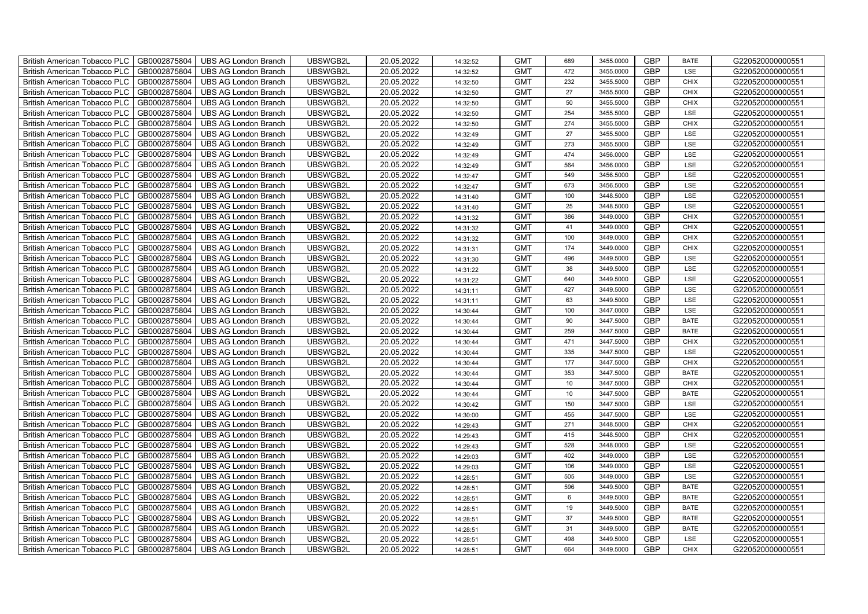| <b>British American Tobacco PLC</b><br>GB0002875804 | <b>UBS AG London Branch</b> | UBSWGB2L | 20.05.2022 | 14:32:52 | <b>GMT</b> | 689 | 3455.0000 | <b>GBP</b> | <b>BATE</b> | G220520000000551 |
|-----------------------------------------------------|-----------------------------|----------|------------|----------|------------|-----|-----------|------------|-------------|------------------|
| GB0002875804<br><b>British American Tobacco PLC</b> | <b>UBS AG London Branch</b> | UBSWGB2L | 20.05.2022 | 14:32:52 | <b>GMT</b> | 472 | 3455.0000 | <b>GBP</b> | LSE         | G220520000000551 |
| GB0002875804<br><b>British American Tobacco PLC</b> | <b>UBS AG London Branch</b> | UBSWGB2L | 20.05.2022 | 14:32:50 | <b>GMT</b> | 232 | 3455.5000 | <b>GBP</b> | <b>CHIX</b> | G220520000000551 |
| GB0002875804<br><b>British American Tobacco PLC</b> | <b>UBS AG London Branch</b> | UBSWGB2L | 20.05.2022 | 14:32:50 | <b>GMT</b> | 27  | 3455.5000 | <b>GBP</b> | <b>CHIX</b> | G220520000000551 |
| GB0002875804<br><b>British American Tobacco PLC</b> | <b>UBS AG London Branch</b> | UBSWGB2L | 20.05.2022 | 14:32:50 | <b>GMT</b> | 50  | 3455.5000 | <b>GBP</b> | <b>CHIX</b> | G220520000000551 |
| GB0002875804<br><b>British American Tobacco PLC</b> | <b>UBS AG London Branch</b> | UBSWGB2L | 20.05.2022 | 14:32:50 | <b>GMT</b> | 254 | 3455.5000 | <b>GBP</b> | LSE         | G220520000000551 |
| GB0002875804<br><b>British American Tobacco PLC</b> | <b>UBS AG London Branch</b> | UBSWGB2L | 20.05.2022 | 14:32:50 | <b>GMT</b> | 274 | 3455.5000 | <b>GBP</b> | <b>CHIX</b> | G220520000000551 |
| <b>British American Tobacco PLC</b><br>GB0002875804 | <b>UBS AG London Branch</b> | UBSWGB2L | 20.05.2022 | 14:32:49 | <b>GMT</b> | 27  | 3455.5000 | <b>GBP</b> | LSE         | G220520000000551 |
| GB0002875804<br><b>British American Tobacco PLC</b> | <b>UBS AG London Branch</b> | UBSWGB2L | 20.05.2022 | 14:32:49 | <b>GMT</b> | 273 | 3455.5000 | <b>GBP</b> | LSE         | G220520000000551 |
| GB0002875804<br><b>British American Tobacco PLC</b> | <b>UBS AG London Branch</b> | UBSWGB2L | 20.05.2022 | 14:32:49 | <b>GMT</b> | 474 | 3456.0000 | <b>GBP</b> | LSE         | G220520000000551 |
| GB0002875804<br><b>British American Tobacco PLC</b> | <b>UBS AG London Branch</b> | UBSWGB2L | 20.05.2022 | 14:32:49 | <b>GMT</b> | 564 | 3456.0000 | <b>GBP</b> | LSE         | G220520000000551 |
| British American Tobacco PLC<br>GB0002875804        | <b>UBS AG London Branch</b> | UBSWGB2L | 20.05.2022 | 14:32:47 | <b>GMT</b> | 549 | 3456.5000 | <b>GBP</b> | LSE         | G220520000000551 |
| GB0002875804<br><b>British American Tobacco PLC</b> | <b>UBS AG London Branch</b> | UBSWGB2L | 20.05.2022 | 14:32:47 | <b>GMT</b> | 673 | 3456.5000 | <b>GBP</b> | LSE         | G220520000000551 |
| GB0002875804<br><b>British American Tobacco PLC</b> | <b>UBS AG London Branch</b> | UBSWGB2L | 20.05.2022 | 14:31:40 | <b>GMT</b> | 100 | 3448.5000 | <b>GBP</b> | LSE         | G220520000000551 |
| GB0002875804<br><b>British American Tobacco PLC</b> | <b>UBS AG London Branch</b> | UBSWGB2L | 20.05.2022 | 14:31:40 | <b>GMT</b> | 25  | 3448.5000 | <b>GBP</b> | LSE         | G220520000000551 |
| GB0002875804<br><b>British American Tobacco PLC</b> | <b>UBS AG London Branch</b> | UBSWGB2L | 20.05.2022 | 14:31:32 | <b>GMT</b> | 386 | 3449.0000 | <b>GBP</b> | <b>CHIX</b> | G220520000000551 |
| <b>British American Tobacco PLC</b><br>GB0002875804 | <b>UBS AG London Branch</b> | UBSWGB2L | 20.05.2022 | 14:31:32 | <b>GMT</b> | 41  | 3449.0000 | <b>GBP</b> | <b>CHIX</b> | G220520000000551 |
| GB0002875804<br><b>British American Tobacco PLC</b> | <b>UBS AG London Branch</b> | UBSWGB2L | 20.05.2022 | 14:31:32 | <b>GMT</b> | 100 | 3449.0000 | <b>GBP</b> | <b>CHIX</b> | G220520000000551 |
| GB0002875804<br><b>British American Tobacco PLC</b> | <b>UBS AG London Branch</b> | UBSWGB2L | 20.05.2022 | 14:31:31 | <b>GMT</b> | 174 | 3449.0000 | <b>GBP</b> | <b>CHIX</b> | G220520000000551 |
| <b>British American Tobacco PLC</b><br>GB0002875804 | <b>UBS AG London Branch</b> | UBSWGB2L | 20.05.2022 | 14:31:30 | <b>GMT</b> | 496 | 3449.5000 | GBP        | LSE         | G220520000000551 |
| British American Tobacco PLC<br>GB0002875804        | <b>UBS AG London Branch</b> | UBSWGB2L | 20.05.2022 | 14:31:22 | <b>GMT</b> | 38  | 3449.5000 | <b>GBP</b> | <b>LSE</b>  | G220520000000551 |
| GB0002875804<br><b>British American Tobacco PLC</b> | <b>UBS AG London Branch</b> | UBSWGB2L | 20.05.2022 | 14:31:22 | <b>GMT</b> | 640 | 3449.5000 | GBP        | LSE         | G220520000000551 |
| GB0002875804<br>British American Tobacco PLC        | <b>UBS AG London Branch</b> | UBSWGB2L | 20.05.2022 | 14:31:11 | <b>GMT</b> | 427 | 3449.5000 | <b>GBP</b> | LSE         | G220520000000551 |
| British American Tobacco PLC<br>GB0002875804        | <b>UBS AG London Branch</b> | UBSWGB2L | 20.05.2022 | 14:31:11 | <b>GMT</b> | 63  | 3449.5000 | <b>GBP</b> | LSE         | G220520000000551 |
| British American Tobacco PLC<br>GB0002875804        | <b>UBS AG London Branch</b> | UBSWGB2L | 20.05.2022 | 14:30:44 | <b>GMT</b> | 100 | 3447.0000 | <b>GBP</b> | LSE         | G220520000000551 |
| GB0002875804<br><b>British American Tobacco PLC</b> | <b>UBS AG London Branch</b> | UBSWGB2L | 20.05.2022 | 14:30:44 | <b>GMT</b> | 90  | 3447.5000 | GBP        | <b>BATE</b> | G220520000000551 |
| GB0002875804<br><b>British American Tobacco PLC</b> | <b>UBS AG London Branch</b> | UBSWGB2L | 20.05.2022 | 14:30:44 | <b>GMT</b> | 259 | 3447.5000 | GBP        | <b>BATE</b> | G220520000000551 |
| GB0002875804<br><b>British American Tobacco PLC</b> | <b>UBS AG London Branch</b> | UBSWGB2L | 20.05.2022 | 14:30:44 | <b>GMT</b> | 471 | 3447.5000 | <b>GBP</b> | CHIX        | G220520000000551 |
| <b>British American Tobacco PLC</b><br>GB0002875804 | <b>UBS AG London Branch</b> | UBSWGB2L | 20.05.2022 | 14:30:44 | <b>GMT</b> | 335 | 3447.5000 | <b>GBP</b> | LSE         | G220520000000551 |
| British American Tobacco PLC<br>GB0002875804        | <b>UBS AG London Branch</b> | UBSWGB2L | 20.05.2022 | 14:30:44 | <b>GMT</b> | 177 | 3447.5000 | <b>GBP</b> | <b>CHIX</b> | G220520000000551 |
| GB0002875804<br><b>British American Tobacco PLC</b> | <b>UBS AG London Branch</b> | UBSWGB2L | 20.05.2022 | 14:30:44 | <b>GMT</b> | 353 | 3447.5000 | GBP        | <b>BATE</b> | G220520000000551 |
| GB0002875804<br>British American Tobacco PLC        | <b>UBS AG London Branch</b> | UBSWGB2L | 20.05.2022 | 14:30:44 | <b>GMT</b> | 10  | 3447.5000 | GBP        | <b>CHIX</b> | G220520000000551 |
| British American Tobacco PLC<br>GB0002875804        | <b>UBS AG London Branch</b> | UBSWGB2L | 20.05.2022 | 14:30:44 | <b>GMT</b> | 10  | 3447.5000 | <b>GBP</b> | <b>BATE</b> | G220520000000551 |
| British American Tobacco PLC<br>GB0002875804        | <b>UBS AG London Branch</b> | UBSWGB2L | 20.05.2022 | 14:30:42 | <b>GMT</b> | 150 | 3447.5000 | <b>GBP</b> | LSE         | G220520000000551 |
| GB0002875804<br><b>British American Tobacco PLC</b> | <b>UBS AG London Branch</b> | UBSWGB2L | 20.05.2022 | 14:30:00 | <b>GMT</b> | 455 | 3447.5000 | <b>GBP</b> | LSE         | G220520000000551 |
| GB0002875804<br><b>British American Tobacco PLC</b> | <b>UBS AG London Branch</b> | UBSWGB2L | 20.05.2022 | 14:29:43 | <b>GMT</b> | 271 | 3448.5000 | GBP        | <b>CHIX</b> | G220520000000551 |
| GB0002875804<br><b>British American Tobacco PLC</b> | <b>UBS AG London Branch</b> | UBSWGB2L | 20.05.2022 | 14:29:43 | <b>GMT</b> | 415 | 3448.5000 | <b>GBP</b> | CHIX        | G220520000000551 |
| <b>British American Tobacco PLC</b><br>GB0002875804 | <b>UBS AG London Branch</b> | UBSWGB2L | 20.05.2022 | 14:29:43 | <b>GMT</b> | 528 | 3448.0000 | <b>GBP</b> | LSE         | G220520000000551 |
| British American Tobacco PLC<br>GB0002875804        | UBS AG London Branch        | UBSWGB2L | 20.05.2022 | 14:29:03 | <b>GMT</b> | 402 | 3449.0000 | <b>GBP</b> | LSE         | G220520000000551 |
| British American Tobacco PLC<br>GB0002875804        | <b>UBS AG London Branch</b> | UBSWGB2L | 20.05.2022 | 14:29:03 | <b>GMT</b> | 106 | 3449.0000 | <b>GBP</b> | LSE         | G220520000000551 |
| British American Tobacco PLC<br>GB0002875804        | <b>UBS AG London Branch</b> | UBSWGB2L | 20.05.2022 | 14:28:51 | <b>GMT</b> | 505 | 3449.0000 | GBP        | LSE         | G220520000000551 |
| <b>British American Tobacco PLC</b><br>GB0002875804 | <b>UBS AG London Branch</b> | UBSWGB2L | 20.05.2022 | 14:28:51 | <b>GMT</b> | 596 | 3449.5000 | <b>GBP</b> | <b>BATE</b> | G220520000000551 |
| <b>British American Tobacco PLC</b><br>GB0002875804 | <b>UBS AG London Branch</b> | UBSWGB2L | 20.05.2022 | 14:28:51 | <b>GMT</b> | 6   | 3449.5000 | <b>GBP</b> | <b>BATE</b> | G220520000000551 |
| GB0002875804<br><b>British American Tobacco PLC</b> | <b>UBS AG London Branch</b> | UBSWGB2L | 20.05.2022 | 14:28:51 | <b>GMT</b> | 19  | 3449.5000 | <b>GBP</b> | <b>BATE</b> | G220520000000551 |
| GB0002875804<br><b>British American Tobacco PLC</b> | <b>UBS AG London Branch</b> | UBSWGB2L | 20.05.2022 | 14:28:51 | <b>GMT</b> | 37  | 3449.5000 | GBP        | <b>BATE</b> | G220520000000551 |
| GB0002875804<br><b>British American Tobacco PLC</b> | <b>UBS AG London Branch</b> | UBSWGB2L | 20.05.2022 | 14:28:51 | <b>GMT</b> | 31  | 3449.5000 | <b>GBP</b> | <b>BATE</b> | G220520000000551 |
| <b>British American Tobacco PLC</b><br>GB0002875804 | <b>UBS AG London Branch</b> | UBSWGB2L | 20.05.2022 | 14:28:51 | <b>GMT</b> | 498 | 3449.5000 | <b>GBP</b> | LSE         | G220520000000551 |
| GB0002875804<br><b>British American Tobacco PLC</b> | <b>UBS AG London Branch</b> | UBSWGB2L | 20.05.2022 | 14:28:51 | <b>GMT</b> | 664 | 3449.5000 | <b>GBP</b> | <b>CHIX</b> | G220520000000551 |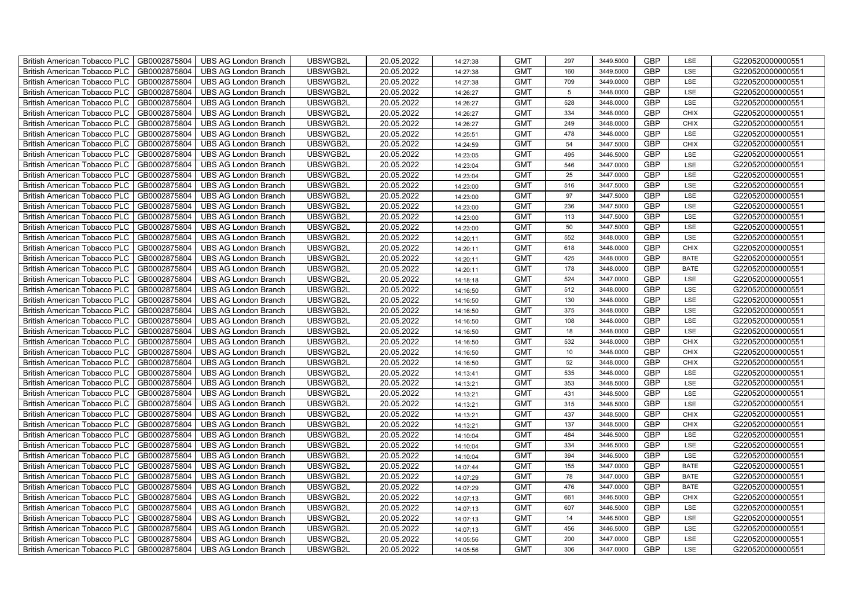| British American Tobacco PLC<br>GB0002875804        | <b>UBS AG London Branch</b> | UBSWGB2L | 20.05.2022 | 14:27:38 | <b>GMT</b> | 297             | 3449.5000 | <b>GBP</b> | LSE         | G220520000000551 |
|-----------------------------------------------------|-----------------------------|----------|------------|----------|------------|-----------------|-----------|------------|-------------|------------------|
| GB0002875804<br><b>British American Tobacco PLC</b> | <b>UBS AG London Branch</b> | UBSWGB2L | 20.05.2022 | 14:27:38 | <b>GMT</b> | 160             | 3449.5000 | <b>GBP</b> | LSE         | G220520000000551 |
| GB0002875804<br><b>British American Tobacco PLC</b> | <b>UBS AG London Branch</b> | UBSWGB2L | 20.05.2022 | 14:27:38 | <b>GMT</b> | 709             | 3449.0000 | <b>GBP</b> | LSE         | G220520000000551 |
| GB0002875804<br>British American Tobacco PLC        | <b>UBS AG London Branch</b> | UBSWGB2L | 20.05.2022 | 14:26:27 | <b>GMT</b> | $5\phantom{.0}$ | 3448.0000 | <b>GBP</b> | LSE         | G220520000000551 |
| GB0002875804<br><b>British American Tobacco PLC</b> | <b>UBS AG London Branch</b> | UBSWGB2L | 20.05.2022 | 14:26:27 | <b>GMT</b> | 528             | 3448.0000 | <b>GBP</b> | LSE         | G220520000000551 |
| GB0002875804<br>British American Tobacco PLC        | <b>UBS AG London Branch</b> | UBSWGB2L | 20.05.2022 | 14:26:27 | <b>GMT</b> | 334             | 3448.0000 | <b>GBP</b> | <b>CHIX</b> | G220520000000551 |
| GB0002875804<br><b>British American Tobacco PLC</b> | <b>UBS AG London Branch</b> | UBSWGB2L | 20.05.2022 | 14:26:27 | <b>GMT</b> | 249             | 3448.0000 | <b>GBP</b> | <b>CHIX</b> | G220520000000551 |
| British American Tobacco PLC<br>GB0002875804        | <b>UBS AG London Branch</b> | UBSWGB2L | 20.05.2022 | 14:25:51 | <b>GMT</b> | 478             | 3448.0000 | <b>GBP</b> | LSE         | G220520000000551 |
| GB0002875804<br><b>British American Tobacco PLC</b> | <b>UBS AG London Branch</b> | UBSWGB2L | 20.05.2022 | 14:24:59 | <b>GMT</b> | 54              | 3447.5000 | <b>GBP</b> | <b>CHIX</b> | G220520000000551 |
| GB0002875804<br>British American Tobacco PLC        | <b>UBS AG London Branch</b> | UBSWGB2L | 20.05.2022 | 14:23:05 | <b>GMT</b> | 495             | 3446.5000 | <b>GBP</b> | LSE         | G220520000000551 |
| <b>British American Tobacco PLC</b><br>GB0002875804 | <b>UBS AG London Branch</b> | UBSWGB2L | 20.05.2022 | 14:23:04 | <b>GMT</b> | 546             | 3447.0000 | <b>GBP</b> | LSE         | G220520000000551 |
| GB0002875804<br><b>British American Tobacco PLC</b> | <b>UBS AG London Branch</b> | UBSWGB2L | 20.05.2022 | 14:23:04 | <b>GMT</b> | 25              | 3447.0000 | <b>GBP</b> | LSE         | G220520000000551 |
| GB0002875804<br>British American Tobacco PLC        | <b>UBS AG London Branch</b> | UBSWGB2L | 20.05.2022 | 14:23:00 | <b>GMT</b> | 516             | 3447.5000 | <b>GBP</b> | LSE         | G220520000000551 |
| GB0002875804<br>British American Tobacco PLC        | <b>UBS AG London Branch</b> | UBSWGB2L | 20.05.2022 | 14:23:00 | <b>GMT</b> | 97              | 3447.5000 | <b>GBP</b> | LSE         | G220520000000551 |
| GB0002875804<br>British American Tobacco PLC        | <b>UBS AG London Branch</b> | UBSWGB2L | 20.05.2022 | 14:23:00 | <b>GMT</b> | 236             | 3447.5000 | <b>GBP</b> | LSE         | G220520000000551 |
| GB0002875804<br>British American Tobacco PLC        | <b>UBS AG London Branch</b> | UBSWGB2L | 20.05.2022 | 14:23:00 | <b>GMT</b> | 113             | 3447.5000 | <b>GBP</b> | LSE         | G220520000000551 |
| British American Tobacco PLC<br>GB0002875804        | <b>UBS AG London Branch</b> | UBSWGB2L | 20.05.2022 | 14:23:00 | <b>GMT</b> | 50              | 3447.5000 | <b>GBP</b> | LSE         | G220520000000551 |
| GB0002875804<br>British American Tobacco PLC        | <b>UBS AG London Branch</b> | UBSWGB2L | 20.05.2022 | 14:20:11 | <b>GMT</b> | 552             | 3448.0000 | <b>GBP</b> | LSE         | G220520000000551 |
| GB0002875804<br>British American Tobacco PLC        | <b>UBS AG London Branch</b> | UBSWGB2L | 20.05.2022 | 14:20:11 | <b>GMT</b> | 618             | 3448.0000 | <b>GBP</b> | <b>CHIX</b> | G220520000000551 |
| <b>British American Tobacco PLC</b><br>GB0002875804 | <b>UBS AG London Branch</b> | UBSWGB2L | 20.05.2022 | 14:20:11 | <b>GMT</b> | 425             | 3448.0000 | GBP        | <b>BATE</b> | G220520000000551 |
| GB0002875804<br><b>British American Tobacco PLC</b> | <b>UBS AG London Branch</b> | UBSWGB2L | 20.05.2022 | 14:20:11 | <b>GMT</b> | 178             | 3448.0000 | <b>GBP</b> | <b>BATE</b> | G220520000000551 |
| GB0002875804<br>British American Tobacco PLC        | <b>UBS AG London Branch</b> | UBSWGB2L | 20.05.2022 | 14:18:18 | <b>GMT</b> | 524             | 3447.0000 | GBP        | LSE         | G220520000000551 |
| GB0002875804<br>British American Tobacco PLC        | <b>UBS AG London Branch</b> | UBSWGB2L | 20.05.2022 | 14:16:50 | <b>GMT</b> | 512             | 3448.0000 | GBP        | LSE         | G220520000000551 |
| GB0002875804<br>British American Tobacco PLC        | <b>UBS AG London Branch</b> | UBSWGB2L | 20.05.2022 | 14:16:50 | <b>GMT</b> | 130             | 3448.0000 | <b>GBP</b> | LSE         | G220520000000551 |
| GB0002875804<br>British American Tobacco PLC        | <b>UBS AG London Branch</b> | UBSWGB2L | 20.05.2022 | 14:16:50 | <b>GMT</b> | 375             | 3448.0000 | <b>GBP</b> | LSE         | G220520000000551 |
| GB0002875804<br>British American Tobacco PLC        | <b>UBS AG London Branch</b> | UBSWGB2L | 20.05.2022 | 14:16:50 | <b>GMT</b> | 108             | 3448.0000 | <b>GBP</b> | LSE         | G220520000000551 |
| GB0002875804<br>British American Tobacco PLC        | <b>UBS AG London Branch</b> | UBSWGB2L | 20.05.2022 | 14:16:50 | <b>GMT</b> | 18              | 3448.0000 | GBP        | LSE         | G220520000000551 |
| GB0002875804<br>British American Tobacco PLC        | <b>UBS AG London Branch</b> | UBSWGB2L | 20.05.2022 | 14:16:50 | <b>GMT</b> | 532             | 3448.0000 | <b>GBP</b> | <b>CHIX</b> | G220520000000551 |
| <b>British American Tobacco PLC</b><br>GB0002875804 | <b>UBS AG London Branch</b> | UBSWGB2L | 20.05.2022 | 14:16:50 | <b>GMT</b> | 10 <sup>1</sup> | 3448.0000 | <b>GBP</b> | CHIX        | G220520000000551 |
| GB0002875804<br><b>British American Tobacco PLC</b> | <b>UBS AG London Branch</b> | UBSWGB2L | 20.05.2022 | 14:16:50 | <b>GMT</b> | 52              | 3448.0000 | <b>GBP</b> | <b>CHIX</b> | G220520000000551 |
| GB0002875804<br>British American Tobacco PLC        | <b>UBS AG London Branch</b> | UBSWGB2L | 20.05.2022 | 14:13:41 | <b>GMT</b> | 535             | 3448.0000 | GBP        | LSE         | G220520000000551 |
| GB0002875804<br>British American Tobacco PLC        | <b>UBS AG London Branch</b> | UBSWGB2L | 20.05.2022 | 14:13:21 | <b>GMT</b> | 353             | 3448.5000 | GBP        | LSE         | G220520000000551 |
| GB0002875804<br>British American Tobacco PLC        | <b>UBS AG London Branch</b> | UBSWGB2L | 20.05.2022 | 14:13:21 | <b>GMT</b> | 431             | 3448.5000 | GBP        | LSE         | G220520000000551 |
| British American Tobacco PLC<br>GB0002875804        | <b>UBS AG London Branch</b> | UBSWGB2L | 20.05.2022 | 14:13:21 | <b>GMT</b> | 315             | 3448.5000 | <b>GBP</b> | LSE         | G220520000000551 |
| GB0002875804<br>British American Tobacco PLC        | <b>UBS AG London Branch</b> | UBSWGB2L | 20.05.2022 | 14:13:21 | <b>GMT</b> | 437             | 3448.5000 | <b>GBP</b> | <b>CHIX</b> | G220520000000551 |
| GB0002875804<br>British American Tobacco PLC        | <b>UBS AG London Branch</b> | UBSWGB2L | 20.05.2022 | 14:13:21 | <b>GMT</b> | 137             | 3448.5000 | GBP        | CHIX        | G220520000000551 |
| GB0002875804<br>British American Tobacco PLC        | <b>UBS AG London Branch</b> | UBSWGB2L | 20.05.2022 | 14:10:04 | <b>GMT</b> | 484             | 3446.5000 | GBP        | LSE         | G220520000000551 |
| <b>British American Tobacco PLC</b><br>GB0002875804 | <b>UBS AG London Branch</b> | UBSWGB2L | 20.05.2022 | 14:10:04 | <b>GMT</b> | 334             | 3446.5000 | <b>GBP</b> | LSE         | G220520000000551 |
| GB0002875804<br><b>British American Tobacco PLC</b> | UBS AG London Branch        | UBSWGB2L | 20.05.2022 | 14:10:04 | <b>GMT</b> | 394             | 3446.5000 | <b>GBP</b> | LSE         | G220520000000551 |
| GB0002875804<br>British American Tobacco PLC        | <b>UBS AG London Branch</b> | UBSWGB2L | 20.05.2022 | 14:07:44 | <b>GMT</b> | 155             | 3447.0000 | <b>GBP</b> | <b>BATE</b> | G220520000000551 |
| British American Tobacco PLC<br>GB0002875804        | <b>UBS AG London Branch</b> | UBSWGB2L | 20.05.2022 | 14:07:29 | <b>GMT</b> | 78              | 3447.0000 | GBP        | <b>BATE</b> | G220520000000551 |
| British American Tobacco PLC<br>GB0002875804        | <b>UBS AG London Branch</b> | UBSWGB2L | 20.05.2022 | 14:07:29 | <b>GMT</b> | 476             | 3447.0000 | GBP        | <b>BATE</b> | G220520000000551 |
| British American Tobacco PLC<br>GB0002875804        | <b>UBS AG London Branch</b> | UBSWGB2L | 20.05.2022 | 14:07:13 | <b>GMT</b> | 661             | 3446.5000 | <b>GBP</b> | <b>CHIX</b> | G220520000000551 |
| GB0002875804<br>British American Tobacco PLC        | <b>UBS AG London Branch</b> | UBSWGB2L | 20.05.2022 | 14:07:13 | <b>GMT</b> | 607             | 3446.5000 | <b>GBP</b> | LSE         | G220520000000551 |
| GB0002875804<br><b>British American Tobacco PLC</b> | <b>UBS AG London Branch</b> | UBSWGB2L | 20.05.2022 | 14:07:13 | <b>GMT</b> | 14              | 3446.5000 | GBP        | LSE         | G220520000000551 |
| GB0002875804<br><b>British American Tobacco PLC</b> | <b>UBS AG London Branch</b> | UBSWGB2L | 20.05.2022 | 14:07:13 | <b>GMT</b> | 456             | 3446.5000 | GBP        | LSE         | G220520000000551 |
| <b>British American Tobacco PLC</b><br>GB0002875804 | <b>UBS AG London Branch</b> | UBSWGB2L | 20.05.2022 | 14:05:56 | <b>GMT</b> | 200             | 3447.0000 | <b>GBP</b> | LSE         | G220520000000551 |
| GB0002875804<br>British American Tobacco PLC        | <b>UBS AG London Branch</b> | UBSWGB2L | 20.05.2022 | 14:05:56 | <b>GMT</b> | 306             | 3447.0000 | <b>GBP</b> | LSE         | G220520000000551 |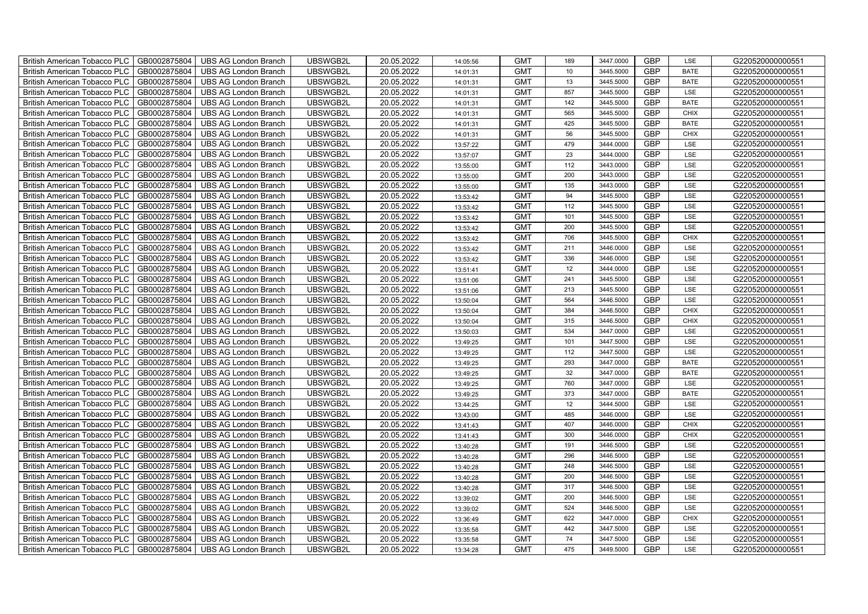| British American Tobacco PLC<br>GB0002875804        | <b>UBS AG London Branch</b> | UBSWGB2L | 20.05.2022 | 14:05:56 | <b>GMT</b> | 189             | 3447.0000 | <b>GBP</b> | LSE         | G220520000000551 |
|-----------------------------------------------------|-----------------------------|----------|------------|----------|------------|-----------------|-----------|------------|-------------|------------------|
| GB0002875804<br><b>British American Tobacco PLC</b> | <b>UBS AG London Branch</b> | UBSWGB2L | 20.05.2022 | 14:01:31 | <b>GMT</b> | 10 <sup>1</sup> | 3445.5000 | <b>GBP</b> | <b>BATE</b> | G220520000000551 |
| GB0002875804<br><b>British American Tobacco PLC</b> | <b>UBS AG London Branch</b> | UBSWGB2L | 20.05.2022 | 14:01:31 | <b>GMT</b> | 13              | 3445.5000 | <b>GBP</b> | <b>BATE</b> | G220520000000551 |
| GB0002875804<br>British American Tobacco PLC        | <b>UBS AG London Branch</b> | UBSWGB2L | 20.05.2022 | 14:01:31 | <b>GMT</b> | 857             | 3445.5000 | <b>GBP</b> | LSE         | G220520000000551 |
| GB0002875804<br><b>British American Tobacco PLC</b> | <b>UBS AG London Branch</b> | UBSWGB2L | 20.05.2022 | 14:01:31 | <b>GMT</b> | 142             | 3445.5000 | <b>GBP</b> | <b>BATE</b> | G220520000000551 |
| GB0002875804<br>British American Tobacco PLC        | <b>UBS AG London Branch</b> | UBSWGB2L | 20.05.2022 | 14:01:31 | <b>GMT</b> | 565             | 3445.5000 | <b>GBP</b> | <b>CHIX</b> | G220520000000551 |
| GB0002875804<br><b>British American Tobacco PLC</b> | <b>UBS AG London Branch</b> | UBSWGB2L | 20.05.2022 | 14:01:31 | <b>GMT</b> | 425             | 3445.5000 | <b>GBP</b> | <b>BATE</b> | G220520000000551 |
| British American Tobacco PLC<br>GB0002875804        | <b>UBS AG London Branch</b> | UBSWGB2L | 20.05.2022 | 14:01:31 | <b>GMT</b> | 56              | 3445.5000 | <b>GBP</b> | <b>CHIX</b> | G220520000000551 |
| GB0002875804<br><b>British American Tobacco PLC</b> | <b>UBS AG London Branch</b> | UBSWGB2L | 20.05.2022 | 13:57:22 | <b>GMT</b> | 479             | 3444.0000 | <b>GBP</b> | LSE         | G220520000000551 |
| GB0002875804<br>British American Tobacco PLC        | <b>UBS AG London Branch</b> | UBSWGB2L | 20.05.2022 | 13:57:07 | <b>GMT</b> | 23              | 3444.0000 | <b>GBP</b> | LSE         | G220520000000551 |
| <b>British American Tobacco PLC</b><br>GB0002875804 | <b>UBS AG London Branch</b> | UBSWGB2L | 20.05.2022 | 13:55:00 | <b>GMT</b> | 112             | 3443.0000 | <b>GBP</b> | LSE         | G220520000000551 |
| GB0002875804<br><b>British American Tobacco PLC</b> | <b>UBS AG London Branch</b> | UBSWGB2L | 20.05.2022 | 13:55:00 | <b>GMT</b> | 200             | 3443.0000 | <b>GBP</b> | LSE         | G220520000000551 |
| GB0002875804<br>British American Tobacco PLC        | <b>UBS AG London Branch</b> | UBSWGB2L | 20.05.2022 | 13:55:00 | <b>GMT</b> | 135             | 3443.0000 | <b>GBP</b> | LSE         | G220520000000551 |
| GB0002875804<br>British American Tobacco PLC        | <b>UBS AG London Branch</b> | UBSWGB2L | 20.05.2022 | 13:53:42 | <b>GMT</b> | 94              | 3445.5000 | <b>GBP</b> | LSE         | G220520000000551 |
| GB0002875804<br>British American Tobacco PLC        | <b>UBS AG London Branch</b> | UBSWGB2L | 20.05.2022 | 13:53:42 | <b>GMT</b> | 112             | 3445.5000 | <b>GBP</b> | LSE         | G220520000000551 |
| GB0002875804<br>British American Tobacco PLC        | <b>UBS AG London Branch</b> | UBSWGB2L | 20.05.2022 | 13:53:42 | <b>GMT</b> | 101             | 3445.5000 | <b>GBP</b> | LSE         | G220520000000551 |
| British American Tobacco PLC<br>GB0002875804        | <b>UBS AG London Branch</b> | UBSWGB2L | 20.05.2022 | 13:53:42 | <b>GMT</b> | 200             | 3445.5000 | <b>GBP</b> | LSE         | G220520000000551 |
| GB0002875804<br>British American Tobacco PLC        | <b>UBS AG London Branch</b> | UBSWGB2L | 20.05.2022 | 13:53:42 | <b>GMT</b> | 706             | 3445.5000 | <b>GBP</b> | <b>CHIX</b> | G220520000000551 |
| GB0002875804<br>British American Tobacco PLC        | <b>UBS AG London Branch</b> | UBSWGB2L | 20.05.2022 | 13:53:42 | <b>GMT</b> | 211             | 3446.0000 | <b>GBP</b> | LSE         | G220520000000551 |
| <b>British American Tobacco PLC</b><br>GB0002875804 | <b>UBS AG London Branch</b> | UBSWGB2L | 20.05.2022 | 13:53:42 | <b>GMT</b> | 336             | 3446.0000 | GBP        | LSE         | G220520000000551 |
| GB0002875804<br><b>British American Tobacco PLC</b> | <b>UBS AG London Branch</b> | UBSWGB2L | 20.05.2022 | 13:51:41 | <b>GMT</b> | 12              | 3444.0000 | <b>GBP</b> | LSE         | G220520000000551 |
| GB0002875804<br>British American Tobacco PLC        | <b>UBS AG London Branch</b> | UBSWGB2L | 20.05.2022 | 13:51:06 | <b>GMT</b> | 241             | 3445.5000 | GBP        | LSE         | G220520000000551 |
| GB0002875804<br>British American Tobacco PLC        | <b>UBS AG London Branch</b> | UBSWGB2L | 20.05.2022 | 13:51:06 | <b>GMT</b> | 213             | 3445.5000 | GBP        | LSE         | G220520000000551 |
| GB0002875804<br>British American Tobacco PLC        | <b>UBS AG London Branch</b> | UBSWGB2L | 20.05.2022 | 13:50:04 | <b>GMT</b> | 564             | 3446.5000 | <b>GBP</b> | LSE         | G220520000000551 |
| GB0002875804<br>British American Tobacco PLC        | <b>UBS AG London Branch</b> | UBSWGB2L | 20.05.2022 | 13:50:04 | <b>GMT</b> | 384             | 3446.5000 | <b>GBP</b> | <b>CHIX</b> | G220520000000551 |
| GB0002875804<br>British American Tobacco PLC        | <b>UBS AG London Branch</b> | UBSWGB2L | 20.05.2022 | 13:50:04 | <b>GMT</b> | 315             | 3446.5000 | <b>GBP</b> | <b>CHIX</b> | G220520000000551 |
| GB0002875804<br>British American Tobacco PLC        | <b>UBS AG London Branch</b> | UBSWGB2L | 20.05.2022 | 13:50:03 | <b>GMT</b> | 534             | 3447.0000 | GBP        | LSE         | G220520000000551 |
| GB0002875804<br>British American Tobacco PLC        | <b>UBS AG London Branch</b> | UBSWGB2L | 20.05.2022 | 13:49:25 | <b>GMT</b> | 101             | 3447.5000 | <b>GBP</b> | LSE         | G220520000000551 |
| <b>British American Tobacco PLC</b><br>GB0002875804 | <b>UBS AG London Branch</b> | UBSWGB2L | 20.05.2022 | 13:49:25 | <b>GMT</b> | 112             | 3447.5000 | <b>GBP</b> | LSE         | G220520000000551 |
| GB0002875804<br><b>British American Tobacco PLC</b> | <b>UBS AG London Branch</b> | UBSWGB2L | 20.05.2022 | 13:49:25 | <b>GMT</b> | 293             | 3447.0000 | <b>GBP</b> | <b>BATE</b> | G220520000000551 |
| GB0002875804<br>British American Tobacco PLC        | <b>UBS AG London Branch</b> | UBSWGB2L | 20.05.2022 | 13:49:25 | <b>GMT</b> | 32              | 3447.0000 | GBP        | <b>BATE</b> | G220520000000551 |
| GB0002875804<br>British American Tobacco PLC        | <b>UBS AG London Branch</b> | UBSWGB2L | 20.05.2022 | 13:49:25 | <b>GMT</b> | 760             | 3447.0000 | GBP        | LSE         | G220520000000551 |
| British American Tobacco PLC<br>GB0002875804        | <b>UBS AG London Branch</b> | UBSWGB2L | 20.05.2022 | 13:49:25 | <b>GMT</b> | 373             | 3447.0000 | <b>GBP</b> | <b>BATE</b> | G220520000000551 |
| British American Tobacco PLC<br>GB0002875804        | <b>UBS AG London Branch</b> | UBSWGB2L | 20.05.2022 | 13:44:25 | <b>GMT</b> | 12              | 3444.5000 | <b>GBP</b> | LSE         | G220520000000551 |
| GB0002875804<br>British American Tobacco PLC        | <b>UBS AG London Branch</b> | UBSWGB2L | 20.05.2022 | 13:43:00 | <b>GMT</b> | 485             | 3446.0000 | <b>GBP</b> | LSE         | G220520000000551 |
| GB0002875804<br>British American Tobacco PLC        | <b>UBS AG London Branch</b> | UBSWGB2L | 20.05.2022 | 13:41:43 | <b>GMT</b> | 407             | 3446.0000 | GBP        | CHIX        | G220520000000551 |
| GB0002875804<br>British American Tobacco PLC        | <b>UBS AG London Branch</b> | UBSWGB2L | 20.05.2022 | 13:41:43 | <b>GMT</b> | 300             | 3446.0000 | <b>GBP</b> | <b>CHIX</b> | G220520000000551 |
| <b>British American Tobacco PLC</b><br>GB0002875804 | <b>UBS AG London Branch</b> | UBSWGB2L | 20.05.2022 | 13:40:28 | <b>GMT</b> | 191             | 3446.5000 | <b>GBP</b> | LSE         | G220520000000551 |
| GB0002875804<br><b>British American Tobacco PLC</b> | <b>UBS AG London Branch</b> | UBSWGB2L | 20.05.2022 | 13:40:28 | <b>GMT</b> | 296             | 3446.5000 | <b>GBP</b> | LSE         | G220520000000551 |
| GB0002875804<br>British American Tobacco PLC        | <b>UBS AG London Branch</b> | UBSWGB2L | 20.05.2022 | 13:40:28 | <b>GMT</b> | 248             | 3446.5000 | <b>GBP</b> | LSE         | G220520000000551 |
| British American Tobacco PLC<br>GB0002875804        | <b>UBS AG London Branch</b> | UBSWGB2L | 20.05.2022 | 13:40:28 | <b>GMT</b> | 200             | 3446.5000 | GBP        | LSE         | G220520000000551 |
| British American Tobacco PLC<br>GB0002875804        | <b>UBS AG London Branch</b> | UBSWGB2L | 20.05.2022 | 13:40:28 | <b>GMT</b> | 317             | 3446.5000 | <b>GBP</b> | LSE         | G220520000000551 |
| British American Tobacco PLC<br>GB0002875804        | <b>UBS AG London Branch</b> | UBSWGB2L | 20.05.2022 | 13:39:02 | <b>GMT</b> | 200             | 3446.5000 | <b>GBP</b> | LSE         | G220520000000551 |
| GB0002875804<br>British American Tobacco PLC        | <b>UBS AG London Branch</b> | UBSWGB2L | 20.05.2022 | 13:39:02 | <b>GMT</b> | 524             | 3446.5000 | <b>GBP</b> | LSE         | G220520000000551 |
| GB0002875804<br><b>British American Tobacco PLC</b> | <b>UBS AG London Branch</b> | UBSWGB2L | 20.05.2022 | 13:36:49 | <b>GMT</b> | 622             | 3447.0000 | GBP        | <b>CHIX</b> | G220520000000551 |
| GB0002875804<br><b>British American Tobacco PLC</b> | <b>UBS AG London Branch</b> | UBSWGB2L | 20.05.2022 | 13:35:58 | <b>GMT</b> | 442             | 3447.5000 | <b>GBP</b> | LSE         | G220520000000551 |
| <b>British American Tobacco PLC</b><br>GB0002875804 | <b>UBS AG London Branch</b> | UBSWGB2L | 20.05.2022 | 13:35:58 | <b>GMT</b> | 74              | 3447.5000 | <b>GBP</b> | LSE         | G220520000000551 |
| GB0002875804<br>British American Tobacco PLC        | <b>UBS AG London Branch</b> | UBSWGB2L | 20.05.2022 | 13:34:28 | <b>GMT</b> | 475             | 3449.5000 | <b>GBP</b> | LSE         | G220520000000551 |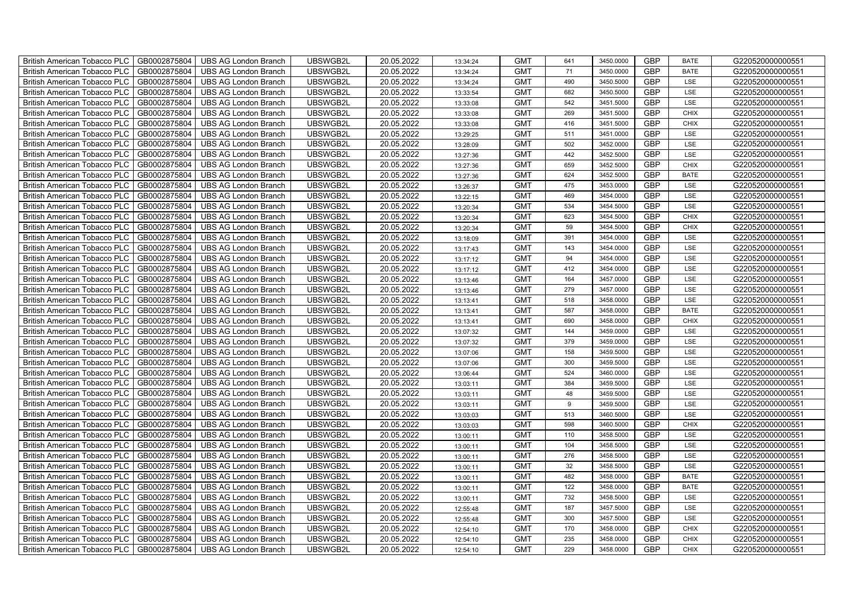| British American Tobacco PLC<br>GB0002875804        | <b>UBS AG London Branch</b> | UBSWGB2L | 20.05.2022 | 13:34:24 | <b>GMT</b> | 641 | 3450.0000 | <b>GBP</b> | <b>BATE</b> | G220520000000551 |
|-----------------------------------------------------|-----------------------------|----------|------------|----------|------------|-----|-----------|------------|-------------|------------------|
| <b>British American Tobacco PLC</b><br>GB0002875804 | <b>UBS AG London Branch</b> | UBSWGB2L | 20.05.2022 | 13:34:24 | <b>GMT</b> | 71  | 3450.0000 | <b>GBP</b> | <b>BATE</b> | G220520000000551 |
| GB0002875804<br><b>British American Tobacco PLC</b> | <b>UBS AG London Branch</b> | UBSWGB2L | 20.05.2022 | 13:34:24 | <b>GMT</b> | 490 | 3450.5000 | <b>GBP</b> | LSE         | G220520000000551 |
| GB0002875804<br><b>British American Tobacco PLC</b> | <b>UBS AG London Branch</b> | UBSWGB2L | 20.05.2022 | 13:33:54 | <b>GMT</b> | 682 | 3450.5000 | <b>GBP</b> | LSE         | G220520000000551 |
| GB0002875804<br>British American Tobacco PLC        | <b>UBS AG London Branch</b> | UBSWGB2L | 20.05.2022 | 13:33:08 | <b>GMT</b> | 542 | 3451.5000 | <b>GBP</b> | LSE         | G220520000000551 |
| GB0002875804<br>British American Tobacco PLC        | <b>UBS AG London Branch</b> | UBSWGB2L | 20.05.2022 | 13:33:08 | <b>GMT</b> | 269 | 3451.5000 | <b>GBP</b> | <b>CHIX</b> | G220520000000551 |
| GB0002875804<br>British American Tobacco PLC        | <b>UBS AG London Branch</b> | UBSWGB2L | 20.05.2022 | 13:33:08 | <b>GMT</b> | 416 | 3451.5000 | <b>GBP</b> | <b>CHIX</b> | G220520000000551 |
| <b>British American Tobacco PLC</b><br>GB0002875804 | <b>UBS AG London Branch</b> | UBSWGB2L | 20.05.2022 | 13:29:25 | <b>GMT</b> | 511 | 3451.0000 | <b>GBP</b> | LSE         | G220520000000551 |
| GB0002875804<br><b>British American Tobacco PLC</b> | <b>UBS AG London Branch</b> | UBSWGB2L | 20.05.2022 | 13:28:09 | <b>GMT</b> | 502 | 3452.0000 | <b>GBP</b> | LSE         | G220520000000551 |
| GB0002875804<br>British American Tobacco PLC        | <b>UBS AG London Branch</b> | UBSWGB2L | 20.05.2022 | 13:27:36 | <b>GMT</b> | 442 | 3452.5000 | <b>GBP</b> | LSE         | G220520000000551 |
| GB0002875804<br><b>British American Tobacco PLC</b> | <b>UBS AG London Branch</b> | UBSWGB2L | 20.05.2022 | 13:27:36 | <b>GMT</b> | 659 | 3452.5000 | <b>GBP</b> | <b>CHIX</b> | G220520000000551 |
| GB0002875804<br><b>British American Tobacco PLC</b> | <b>UBS AG London Branch</b> | UBSWGB2L | 20.05.2022 | 13:27:36 | <b>GMT</b> | 624 | 3452.5000 | <b>GBP</b> | <b>BATE</b> | G220520000000551 |
| GB0002875804<br><b>British American Tobacco PLC</b> | <b>UBS AG London Branch</b> | UBSWGB2L | 20.05.2022 | 13:26:37 | <b>GMT</b> | 475 | 3453.0000 | <b>GBP</b> | LSE         | G220520000000551 |
| British American Tobacco PLC<br>GB0002875804        | <b>UBS AG London Branch</b> | UBSWGB2L | 20.05.2022 | 13:22:15 | <b>GMT</b> | 469 | 3454.0000 | GBP        | LSE         | G220520000000551 |
| GB0002875804<br>British American Tobacco PLC        | <b>UBS AG London Branch</b> | UBSWGB2L | 20.05.2022 | 13:20:34 | <b>GMT</b> | 534 | 3454.5000 | <b>GBP</b> | LSE         | G220520000000551 |
| GB0002875804<br>British American Tobacco PLC        | <b>UBS AG London Branch</b> | UBSWGB2L | 20.05.2022 | 13:20:34 | <b>GMT</b> | 623 | 3454.5000 | <b>GBP</b> | <b>CHIX</b> | G220520000000551 |
| <b>British American Tobacco PLC</b><br>GB0002875804 | <b>UBS AG London Branch</b> | UBSWGB2L | 20.05.2022 | 13:20:34 | <b>GMT</b> | 59  | 3454.5000 | <b>GBP</b> | <b>CHIX</b> | G220520000000551 |
| <b>British American Tobacco PLC</b><br>GB0002875804 | <b>UBS AG London Branch</b> | UBSWGB2L | 20.05.2022 | 13:18:09 | <b>GMT</b> | 391 | 3454.0000 | <b>GBP</b> | LSE         | G220520000000551 |
| British American Tobacco PLC<br>GB0002875804        | <b>UBS AG London Branch</b> | UBSWGB2L | 20.05.2022 | 13:17:43 | <b>GMT</b> | 143 | 3454.0000 | <b>GBP</b> | LSE         | G220520000000551 |
| <b>British American Tobacco PLC</b><br>GB0002875804 | <b>UBS AG London Branch</b> | UBSWGB2L | 20.05.2022 | 13:17:12 | <b>GMT</b> | 94  | 3454.0000 | <b>GBP</b> | LSE         | G220520000000551 |
| GB0002875804<br><b>British American Tobacco PLC</b> | <b>UBS AG London Branch</b> | UBSWGB2L | 20.05.2022 | 13:17:12 | <b>GMT</b> | 412 | 3454.0000 | <b>GBP</b> | LSE         | G220520000000551 |
| GB0002875804<br><b>British American Tobacco PLC</b> | <b>UBS AG London Branch</b> | UBSWGB2L | 20.05.2022 | 13:13:46 | <b>GMT</b> | 164 | 3457.0000 | <b>GBP</b> | LSE         | G220520000000551 |
| <b>British American Tobacco PLC</b><br>GB0002875804 | <b>UBS AG London Branch</b> | UBSWGB2L | 20.05.2022 | 13:13:46 | <b>GMT</b> | 279 | 3457.0000 | GBP        | LSE         | G220520000000551 |
| GB0002875804<br><b>British American Tobacco PLC</b> | <b>UBS AG London Branch</b> | UBSWGB2L | 20.05.2022 | 13:13:41 | <b>GMT</b> | 518 | 3458.0000 | <b>GBP</b> | LSE         | G220520000000551 |
| GB0002875804<br>British American Tobacco PLC        | <b>UBS AG London Branch</b> | UBSWGB2L | 20.05.2022 | 13:13:41 | <b>GMT</b> | 587 | 3458.0000 | <b>GBP</b> | <b>BATE</b> | G220520000000551 |
| GB0002875804<br>British American Tobacco PLC        | <b>UBS AG London Branch</b> | UBSWGB2L | 20.05.2022 | 13:13:41 | <b>GMT</b> | 690 | 3458.0000 | <b>GBP</b> | <b>CHIX</b> | G220520000000551 |
| GB0002875804<br>British American Tobacco PLC        | <b>UBS AG London Branch</b> | UBSWGB2L | 20.05.2022 | 13:07:32 | <b>GMT</b> | 144 | 3459.0000 | <b>GBP</b> | LSE         | G220520000000551 |
| British American Tobacco PLC<br>GB0002875804        | <b>UBS AG London Branch</b> | UBSWGB2L | 20.05.2022 | 13:07:32 | <b>GMT</b> | 379 | 3459.0000 | <b>GBP</b> | LSE         | G220520000000551 |
| <b>British American Tobacco PLC</b><br>GB0002875804 | <b>UBS AG London Branch</b> | UBSWGB2L | 20.05.2022 | 13:07:06 | <b>GMT</b> | 158 | 3459.5000 | <b>GBP</b> | LSE         | G220520000000551 |
| GB0002875804<br><b>British American Tobacco PLC</b> | <b>UBS AG London Branch</b> | UBSWGB2L | 20.05.2022 | 13:07:06 | <b>GMT</b> | 300 | 3459.5000 | <b>GBP</b> | LSE         | G220520000000551 |
| GB0002875804<br><b>British American Tobacco PLC</b> | <b>UBS AG London Branch</b> | UBSWGB2L | 20.05.2022 | 13:06:44 | <b>GMT</b> | 524 | 3460.0000 | GBP        | LSE         | G220520000000551 |
| British American Tobacco PLC<br>GB0002875804        | <b>UBS AG London Branch</b> | UBSWGB2L | 20.05.2022 | 13:03:11 | <b>GMT</b> | 384 | 3459.5000 | GBP        | LSE         | G220520000000551 |
| <b>British American Tobacco PLC</b><br>GB0002875804 | <b>UBS AG London Branch</b> | UBSWGB2L | 20.05.2022 | 13:03:11 | <b>GMT</b> | 48  | 3459.5000 | <b>GBP</b> | LSE         | G220520000000551 |
| GB0002875804<br>British American Tobacco PLC        | <b>UBS AG London Branch</b> | UBSWGB2L | 20.05.2022 | 13:03:11 | <b>GMT</b> | 9   | 3459.5000 | <b>GBP</b> | LSE         | G220520000000551 |
| GB0002875804<br>British American Tobacco PLC        | <b>UBS AG London Branch</b> | UBSWGB2L | 20.05.2022 | 13:03:03 | <b>GMT</b> | 513 | 3460.5000 | <b>GBP</b> | LSE         | G220520000000551 |
| GB0002875804<br>British American Tobacco PLC        | <b>UBS AG London Branch</b> | UBSWGB2L | 20.05.2022 | 13:03:03 | <b>GMT</b> | 598 | 3460.5000 | <b>GBP</b> | <b>CHIX</b> | G220520000000551 |
| British American Tobacco PLC<br>GB0002875804        | <b>UBS AG London Branch</b> | UBSWGB2L | 20.05.2022 | 13:00:11 | <b>GMT</b> | 110 | 3458.5000 | <b>GBP</b> | LSE         | G220520000000551 |
| <b>British American Tobacco PLC</b><br>GB0002875804 | <b>UBS AG London Branch</b> | UBSWGB2L | 20.05.2022 | 13:00:11 | <b>GMT</b> | 104 | 3458.5000 | <b>GBP</b> | LSE         | G220520000000551 |
| GB0002875804<br><b>British American Tobacco PLC</b> | <b>UBS AG London Branch</b> | UBSWGB2L | 20.05.2022 | 13:00:11 | <b>GMT</b> | 276 | 3458.5000 | <b>GBP</b> | LSE         | G220520000000551 |
| GB0002875804<br><b>British American Tobacco PLC</b> | <b>UBS AG London Branch</b> | UBSWGB2L | 20.05.2022 | 13:00:11 | <b>GMT</b> | 32  | 3458.5000 | GBP        | LSE         | G220520000000551 |
| British American Tobacco PLC<br>GB0002875804        | <b>UBS AG London Branch</b> | UBSWGB2L | 20.05.2022 | 13:00:11 | <b>GMT</b> | 482 | 3458.0000 | <b>GBP</b> | <b>BATE</b> | G220520000000551 |
| <b>British American Tobacco PLC</b><br>GB0002875804 | <b>UBS AG London Branch</b> | UBSWGB2L | 20.05.2022 | 13:00:11 | <b>GMT</b> | 122 | 3458.0000 | GBP        | <b>BATE</b> | G220520000000551 |
| <b>British American Tobacco PLC</b><br>GB0002875804 | <b>UBS AG London Branch</b> | UBSWGB2L | 20.05.2022 | 13:00:11 | <b>GMT</b> | 732 | 3458.5000 | <b>GBP</b> | LSE         | G220520000000551 |
| GB0002875804<br><b>British American Tobacco PLC</b> | <b>UBS AG London Branch</b> | UBSWGB2L | 20.05.2022 | 12:55:48 | <b>GMT</b> | 187 | 3457.5000 | <b>GBP</b> | LSE         | G220520000000551 |
| GB0002875804<br><b>British American Tobacco PLC</b> | <b>UBS AG London Branch</b> | UBSWGB2L | 20.05.2022 | 12:55:48 | <b>GMT</b> | 300 | 3457.5000 | GBP        | LSE         | G220520000000551 |
| GB0002875804<br><b>British American Tobacco PLC</b> | <b>UBS AG London Branch</b> | UBSWGB2L | 20.05.2022 | 12:54:10 | <b>GMT</b> | 170 | 3458.0000 | GBP        | <b>CHIX</b> | G220520000000551 |
| <b>British American Tobacco PLC</b><br>GB0002875804 | <b>UBS AG London Branch</b> | UBSWGB2L | 20.05.2022 | 12:54:10 | <b>GMT</b> | 235 | 3458.0000 | <b>GBP</b> | <b>CHIX</b> | G220520000000551 |
| GB0002875804<br>British American Tobacco PLC        | <b>UBS AG London Branch</b> | UBSWGB2L | 20.05.2022 | 12:54:10 | <b>GMT</b> | 229 | 3458.0000 | <b>GBP</b> | <b>CHIX</b> | G220520000000551 |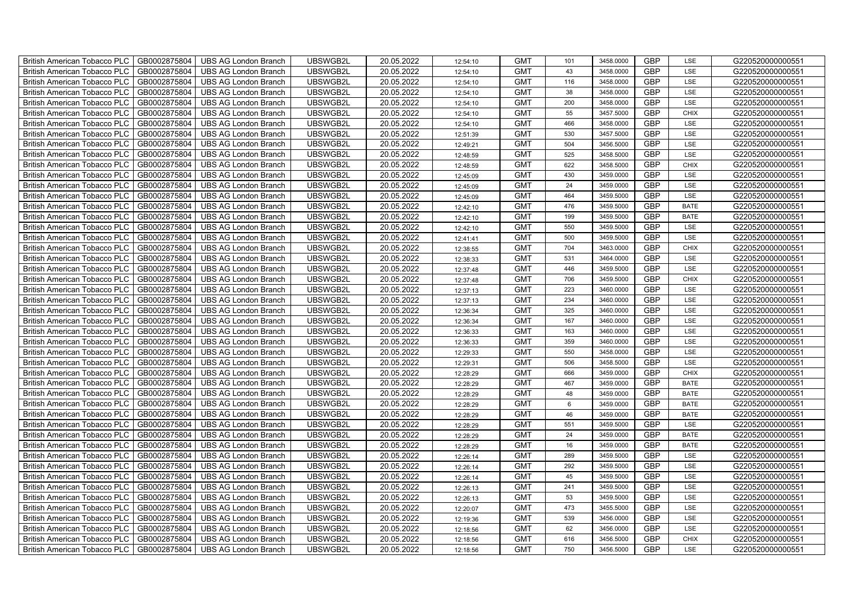| British American Tobacco PLC<br>GB0002875804        | <b>UBS AG London Branch</b> | UBSWGB2L | 20.05.2022 | 12:54:10 | <b>GMT</b> | 101 | 3458.0000 | <b>GBP</b> | LSE         | G220520000000551 |
|-----------------------------------------------------|-----------------------------|----------|------------|----------|------------|-----|-----------|------------|-------------|------------------|
| GB0002875804<br><b>British American Tobacco PLC</b> | <b>UBS AG London Branch</b> | UBSWGB2L | 20.05.2022 | 12:54:10 | <b>GMT</b> | 43  | 3458.0000 | <b>GBP</b> | LSE         | G220520000000551 |
| GB0002875804<br><b>British American Tobacco PLC</b> | <b>UBS AG London Branch</b> | UBSWGB2L | 20.05.2022 | 12:54:10 | <b>GMT</b> | 116 | 3458.0000 | <b>GBP</b> | LSE         | G220520000000551 |
| GB0002875804<br>British American Tobacco PLC        | <b>UBS AG London Branch</b> | UBSWGB2L | 20.05.2022 | 12:54:10 | <b>GMT</b> | 38  | 3458.0000 | <b>GBP</b> | LSE         | G220520000000551 |
| GB0002875804<br><b>British American Tobacco PLC</b> | <b>UBS AG London Branch</b> | UBSWGB2L | 20.05.2022 | 12:54:10 | <b>GMT</b> | 200 | 3458.0000 | <b>GBP</b> | LSE         | G220520000000551 |
| GB0002875804<br>British American Tobacco PLC        | <b>UBS AG London Branch</b> | UBSWGB2L | 20.05.2022 | 12:54:10 | <b>GMT</b> | 55  | 3457.5000 | <b>GBP</b> | <b>CHIX</b> | G220520000000551 |
| GB0002875804<br><b>British American Tobacco PLC</b> | <b>UBS AG London Branch</b> | UBSWGB2L | 20.05.2022 | 12:54:10 | <b>GMT</b> | 466 | 3458.0000 | <b>GBP</b> | LSE         | G220520000000551 |
| British American Tobacco PLC<br>GB0002875804        | <b>UBS AG London Branch</b> | UBSWGB2L | 20.05.2022 | 12:51:39 | <b>GMT</b> | 530 | 3457.5000 | <b>GBP</b> | LSE         | G220520000000551 |
| GB0002875804<br><b>British American Tobacco PLC</b> | <b>UBS AG London Branch</b> | UBSWGB2L | 20.05.2022 | 12:49:21 | <b>GMT</b> | 504 | 3456.5000 | <b>GBP</b> | LSE         | G220520000000551 |
| GB0002875804<br>British American Tobacco PLC        | <b>UBS AG London Branch</b> | UBSWGB2L | 20.05.2022 | 12:48:59 | <b>GMT</b> | 525 | 3458.5000 | <b>GBP</b> | LSE         | G220520000000551 |
| <b>British American Tobacco PLC</b><br>GB0002875804 | <b>UBS AG London Branch</b> | UBSWGB2L | 20.05.2022 | 12:48:59 | <b>GMT</b> | 622 | 3458.5000 | <b>GBP</b> | <b>CHIX</b> | G220520000000551 |
| GB0002875804<br><b>British American Tobacco PLC</b> | <b>UBS AG London Branch</b> | UBSWGB2L | 20.05.2022 | 12:45:09 | <b>GMT</b> | 430 | 3459.0000 | <b>GBP</b> | LSE         | G220520000000551 |
| GB0002875804<br>British American Tobacco PLC        | <b>UBS AG London Branch</b> | UBSWGB2L | 20.05.2022 | 12:45:09 | <b>GMT</b> | 24  | 3459.0000 | <b>GBP</b> | LSE         | G220520000000551 |
| GB0002875804<br>British American Tobacco PLC        | <b>UBS AG London Branch</b> | UBSWGB2L | 20.05.2022 | 12:45:09 | <b>GMT</b> | 464 | 3459.5000 | <b>GBP</b> | LSE         | G220520000000551 |
| GB0002875804<br>British American Tobacco PLC        | <b>UBS AG London Branch</b> | UBSWGB2L | 20.05.2022 | 12:42:10 | <b>GMT</b> | 476 | 3459.5000 | <b>GBP</b> | <b>BATE</b> | G220520000000551 |
| GB0002875804<br>British American Tobacco PLC        | <b>UBS AG London Branch</b> | UBSWGB2L | 20.05.2022 | 12:42:10 | <b>GMT</b> | 199 | 3459.5000 | <b>GBP</b> | <b>BATE</b> | G220520000000551 |
| British American Tobacco PLC<br>GB0002875804        | <b>UBS AG London Branch</b> | UBSWGB2L | 20.05.2022 | 12:42:10 | <b>GMT</b> | 550 | 3459.5000 | <b>GBP</b> | LSE         | G220520000000551 |
| GB0002875804<br>British American Tobacco PLC        | <b>UBS AG London Branch</b> | UBSWGB2L | 20.05.2022 | 12:41:41 | <b>GMT</b> | 500 | 3459.5000 | <b>GBP</b> | LSE         | G220520000000551 |
| GB0002875804<br>British American Tobacco PLC        | <b>UBS AG London Branch</b> | UBSWGB2L | 20.05.2022 | 12:38:55 | <b>GMT</b> | 704 | 3463.0000 | <b>GBP</b> | <b>CHIX</b> | G220520000000551 |
| <b>British American Tobacco PLC</b><br>GB0002875804 | <b>UBS AG London Branch</b> | UBSWGB2L | 20.05.2022 | 12:38:33 | <b>GMT</b> | 531 | 3464.0000 | GBP        | LSE         | G220520000000551 |
| GB0002875804<br><b>British American Tobacco PLC</b> | <b>UBS AG London Branch</b> | UBSWGB2L | 20.05.2022 | 12:37:48 | <b>GMT</b> | 446 | 3459.5000 | <b>GBP</b> | LSE         | G220520000000551 |
| GB0002875804<br>British American Tobacco PLC        | <b>UBS AG London Branch</b> | UBSWGB2L | 20.05.2022 | 12:37:48 | <b>GMT</b> | 706 | 3459.5000 | GBP        | <b>CHIX</b> | G220520000000551 |
| GB0002875804<br>British American Tobacco PLC        | <b>UBS AG London Branch</b> | UBSWGB2L | 20.05.2022 | 12:37:13 | <b>GMT</b> | 223 | 3460.0000 | GBP        | LSE         | G220520000000551 |
| GB0002875804<br>British American Tobacco PLC        | <b>UBS AG London Branch</b> | UBSWGB2L | 20.05.2022 | 12:37:13 | <b>GMT</b> | 234 | 3460.0000 | <b>GBP</b> | LSE         | G220520000000551 |
| GB0002875804<br>British American Tobacco PLC        | <b>UBS AG London Branch</b> | UBSWGB2L | 20.05.2022 | 12:36:34 | <b>GMT</b> | 325 | 3460.0000 | <b>GBP</b> | LSE         | G220520000000551 |
| GB0002875804<br>British American Tobacco PLC        | <b>UBS AG London Branch</b> | UBSWGB2L | 20.05.2022 | 12:36:34 | <b>GMT</b> | 167 | 3460.0000 | <b>GBP</b> | LSE         | G220520000000551 |
| GB0002875804<br>British American Tobacco PLC        | <b>UBS AG London Branch</b> | UBSWGB2L | 20.05.2022 | 12:36:33 | <b>GMT</b> | 163 | 3460.0000 | GBP        | LSE         | G220520000000551 |
| GB0002875804<br>British American Tobacco PLC        | <b>UBS AG London Branch</b> | UBSWGB2L | 20.05.2022 | 12:36:33 | <b>GMT</b> | 359 | 3460.0000 | <b>GBP</b> | LSE         | G220520000000551 |
| <b>British American Tobacco PLC</b><br>GB0002875804 | <b>UBS AG London Branch</b> | UBSWGB2L | 20.05.2022 | 12:29:33 | <b>GMT</b> | 550 | 3458.0000 | <b>GBP</b> | LSE         | G220520000000551 |
| GB0002875804<br><b>British American Tobacco PLC</b> | <b>UBS AG London Branch</b> | UBSWGB2L | 20.05.2022 | 12:29:31 | <b>GMT</b> | 506 | 3458.5000 | <b>GBP</b> | LSE         | G220520000000551 |
| GB0002875804<br>British American Tobacco PLC        | <b>UBS AG London Branch</b> | UBSWGB2L | 20.05.2022 | 12:28:29 | <b>GMT</b> | 666 | 3459.0000 | GBP        | CHIX        | G220520000000551 |
| GB0002875804<br>British American Tobacco PLC        | <b>UBS AG London Branch</b> | UBSWGB2L | 20.05.2022 | 12:28:29 | <b>GMT</b> | 467 | 3459.0000 | GBP        | <b>BATE</b> | G220520000000551 |
| GB0002875804<br>British American Tobacco PLC        | <b>UBS AG London Branch</b> | UBSWGB2L | 20.05.2022 | 12:28:29 | <b>GMT</b> | 48  | 3459.0000 | <b>GBP</b> | <b>BATE</b> | G220520000000551 |
| British American Tobacco PLC<br>GB0002875804        | <b>UBS AG London Branch</b> | UBSWGB2L | 20.05.2022 | 12:28:29 | <b>GMT</b> | 6   | 3459.0000 | <b>GBP</b> | <b>BATE</b> | G220520000000551 |
| GB0002875804<br>British American Tobacco PLC        | <b>UBS AG London Branch</b> | UBSWGB2L | 20.05.2022 | 12:28:29 | <b>GMT</b> | 46  | 3459.0000 | <b>GBP</b> | <b>BATE</b> | G220520000000551 |
| GB0002875804<br>British American Tobacco PLC        | <b>UBS AG London Branch</b> | UBSWGB2L | 20.05.2022 | 12:28:29 | <b>GMT</b> | 551 | 3459.5000 | <b>GBP</b> | LSE         | G220520000000551 |
| GB0002875804<br>British American Tobacco PLC        | <b>UBS AG London Branch</b> | UBSWGB2L | 20.05.2022 | 12:28:29 | <b>GMT</b> | 24  | 3459.0000 | <b>GBP</b> | <b>BATE</b> | G220520000000551 |
| <b>British American Tobacco PLC</b><br>GB0002875804 | <b>UBS AG London Branch</b> | UBSWGB2L | 20.05.2022 | 12:28:29 | <b>GMT</b> | 16  | 3459.0000 | <b>GBP</b> | <b>BATE</b> | G220520000000551 |
| GB0002875804<br>British American Tobacco PLC        | <b>UBS AG London Branch</b> | UBSWGB2L | 20.05.2022 | 12:26:14 | <b>GMT</b> | 289 | 3459.5000 | <b>GBP</b> | LSE         | G220520000000551 |
| GB0002875804<br><b>British American Tobacco PLC</b> | <b>UBS AG London Branch</b> | UBSWGB2L | 20.05.2022 | 12:26:14 | <b>GMT</b> | 292 | 3459.5000 | <b>GBP</b> | LSE         | G220520000000551 |
| British American Tobacco PLC<br>GB0002875804        | <b>UBS AG London Branch</b> | UBSWGB2L | 20.05.2022 | 12:26:14 | <b>GMT</b> | 45  | 3459.5000 | GBP        | LSE         | G220520000000551 |
| British American Tobacco PLC<br>GB0002875804        | <b>UBS AG London Branch</b> | UBSWGB2L | 20.05.2022 | 12:26:13 | <b>GMT</b> | 241 | 3459.5000 | <b>GBP</b> | LSE         | G220520000000551 |
| British American Tobacco PLC<br>GB0002875804        | <b>UBS AG London Branch</b> | UBSWGB2L | 20.05.2022 | 12:26:13 | <b>GMT</b> | 53  | 3459.5000 | <b>GBP</b> | LSE         | G220520000000551 |
| GB0002875804<br><b>British American Tobacco PLC</b> | <b>UBS AG London Branch</b> | UBSWGB2L | 20.05.2022 | 12:20:07 | <b>GMT</b> | 473 | 3455.5000 | <b>GBP</b> | LSE         | G220520000000551 |
| GB0002875804<br><b>British American Tobacco PLC</b> | <b>UBS AG London Branch</b> | UBSWGB2L | 20.05.2022 | 12:19:36 | <b>GMT</b> | 539 | 3456.0000 | GBP        | LSE         | G220520000000551 |
| GB0002875804<br><b>British American Tobacco PLC</b> | <b>UBS AG London Branch</b> | UBSWGB2L | 20.05.2022 | 12:18:56 | <b>GMT</b> | 62  | 3456.0000 | <b>GBP</b> | LSE         | G220520000000551 |
| <b>British American Tobacco PLC</b><br>GB0002875804 | <b>UBS AG London Branch</b> | UBSWGB2L | 20.05.2022 | 12:18:56 | <b>GMT</b> | 616 | 3456.5000 | <b>GBP</b> | <b>CHIX</b> | G220520000000551 |
| GB0002875804<br>British American Tobacco PLC        | <b>UBS AG London Branch</b> | UBSWGB2L | 20.05.2022 | 12:18:56 | <b>GMT</b> | 750 | 3456.5000 | <b>GBP</b> | LSE         | G220520000000551 |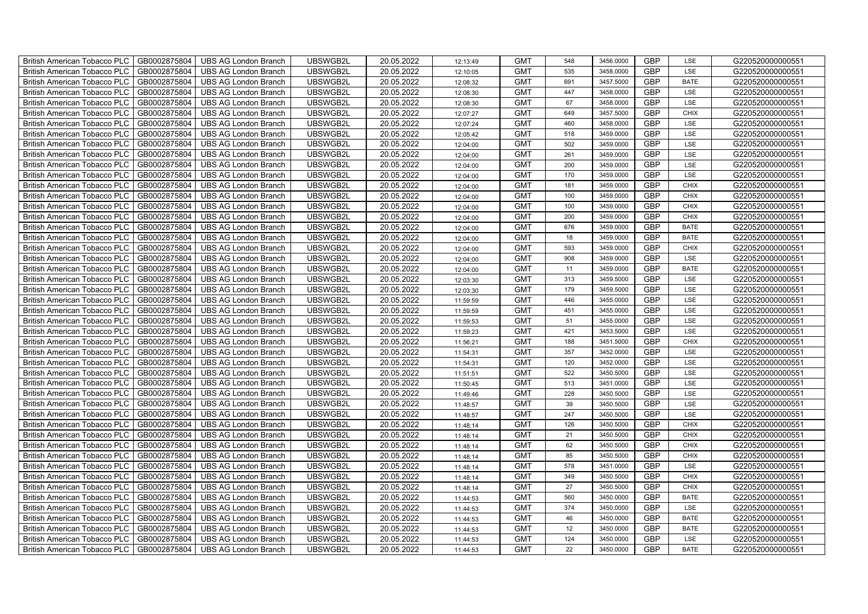| British American Tobacco PLC<br>GB0002875804        | <b>UBS AG London Branch</b> | UBSWGB2L | 20.05.2022 | 12:13:49 | <b>GMT</b> | 548 | 3456.0000 | <b>GBP</b> | LSE         | G220520000000551 |
|-----------------------------------------------------|-----------------------------|----------|------------|----------|------------|-----|-----------|------------|-------------|------------------|
| GB0002875804<br><b>British American Tobacco PLC</b> | <b>UBS AG London Branch</b> | UBSWGB2L | 20.05.2022 | 12:10:05 | <b>GMT</b> | 535 | 3458.0000 | <b>GBP</b> | LSE         | G220520000000551 |
| GB0002875804<br><b>British American Tobacco PLC</b> | UBS AG London Branch        | UBSWGB2L | 20.05.2022 | 12:08:32 | <b>GMT</b> | 691 | 3457.5000 | <b>GBP</b> | <b>BATE</b> | G220520000000551 |
| GB0002875804<br>British American Tobacco PLC        | <b>UBS AG London Branch</b> | UBSWGB2L | 20.05.2022 | 12:08:30 | <b>GMT</b> | 447 | 3458.0000 | <b>GBP</b> | LSE         | G220520000000551 |
| GB0002875804<br><b>British American Tobacco PLC</b> | <b>UBS AG London Branch</b> | UBSWGB2L | 20.05.2022 | 12:08:30 | <b>GMT</b> | 67  | 3458.0000 | <b>GBP</b> | LSE         | G220520000000551 |
| GB0002875804<br>British American Tobacco PLC        | <b>UBS AG London Branch</b> | UBSWGB2L | 20.05.2022 | 12:07:27 | <b>GMT</b> | 649 | 3457.5000 | <b>GBP</b> | <b>CHIX</b> | G220520000000551 |
| GB0002875804<br><b>British American Tobacco PLC</b> | <b>UBS AG London Branch</b> | UBSWGB2L | 20.05.2022 | 12:07:24 | <b>GMT</b> | 460 | 3458.0000 | <b>GBP</b> | LSE         | G220520000000551 |
| British American Tobacco PLC<br>GB0002875804        | <b>UBS AG London Branch</b> | UBSWGB2L | 20.05.2022 | 12:05:42 | <b>GMT</b> | 518 | 3459.0000 | <b>GBP</b> | LSE         | G220520000000551 |
| GB0002875804<br><b>British American Tobacco PLC</b> | <b>UBS AG London Branch</b> | UBSWGB2L | 20.05.2022 | 12:04:00 | <b>GMT</b> | 502 | 3459.0000 | <b>GBP</b> | LSE         | G220520000000551 |
| GB0002875804<br>British American Tobacco PLC        | <b>UBS AG London Branch</b> | UBSWGB2L | 20.05.2022 | 12:04:00 | <b>GMT</b> | 261 | 3459.0000 | <b>GBP</b> | LSE         | G220520000000551 |
| <b>British American Tobacco PLC</b><br>GB0002875804 | <b>UBS AG London Branch</b> | UBSWGB2L | 20.05.2022 | 12:04:00 | <b>GMT</b> | 200 | 3459.0000 | <b>GBP</b> | LSE         | G220520000000551 |
| GB0002875804<br><b>British American Tobacco PLC</b> | <b>UBS AG London Branch</b> | UBSWGB2L | 20.05.2022 | 12:04:00 | <b>GMT</b> | 170 | 3459.0000 | <b>GBP</b> | LSE         | G220520000000551 |
| GB0002875804<br>British American Tobacco PLC        | <b>UBS AG London Branch</b> | UBSWGB2L | 20.05.2022 | 12:04:00 | <b>GMT</b> | 181 | 3459.0000 | <b>GBP</b> | <b>CHIX</b> | G220520000000551 |
| GB0002875804<br>British American Tobacco PLC        | <b>UBS AG London Branch</b> | UBSWGB2L | 20.05.2022 | 12:04:00 | <b>GMT</b> | 100 | 3459.0000 | <b>GBP</b> | <b>CHIX</b> | G220520000000551 |
| GB0002875804<br>British American Tobacco PLC        | <b>UBS AG London Branch</b> | UBSWGB2L | 20.05.2022 | 12:04:00 | <b>GMT</b> | 100 | 3459.0000 | <b>GBP</b> | <b>CHIX</b> | G220520000000551 |
| GB0002875804<br>British American Tobacco PLC        | <b>UBS AG London Branch</b> | UBSWGB2L | 20.05.2022 | 12:04:00 | <b>GMT</b> | 200 | 3459.0000 | <b>GBP</b> | <b>CHIX</b> | G220520000000551 |
| British American Tobacco PLC<br>GB0002875804        | <b>UBS AG London Branch</b> | UBSWGB2L | 20.05.2022 | 12:04:00 | <b>GMT</b> | 676 | 3459.0000 | <b>GBP</b> | <b>BATE</b> | G220520000000551 |
| GB0002875804<br>British American Tobacco PLC        | <b>UBS AG London Branch</b> | UBSWGB2L | 20.05.2022 | 12:04:00 | <b>GMT</b> | 18  | 3459.0000 | <b>GBP</b> | <b>BATE</b> | G220520000000551 |
| GB0002875804<br>British American Tobacco PLC        | <b>UBS AG London Branch</b> | UBSWGB2L | 20.05.2022 | 12:04:00 | <b>GMT</b> | 593 | 3459.0000 | <b>GBP</b> | <b>CHIX</b> | G220520000000551 |
| <b>British American Tobacco PLC</b><br>GB0002875804 | <b>UBS AG London Branch</b> | UBSWGB2L | 20.05.2022 | 12:04:00 | <b>GMT</b> | 908 | 3459.0000 | GBP        | LSE         | G220520000000551 |
| GB0002875804<br><b>British American Tobacco PLC</b> | <b>UBS AG London Branch</b> | UBSWGB2L | 20.05.2022 | 12:04:00 | <b>GMT</b> | 11  | 3459.0000 | <b>GBP</b> | <b>BATE</b> | G220520000000551 |
| GB0002875804<br>British American Tobacco PLC        | <b>UBS AG London Branch</b> | UBSWGB2L | 20.05.2022 | 12:03:30 | <b>GMT</b> | 313 | 3459.5000 | GBP        | LSE         | G220520000000551 |
| GB0002875804<br>British American Tobacco PLC        | <b>UBS AG London Branch</b> | UBSWGB2L | 20.05.2022 | 12:03:30 | <b>GMT</b> | 179 | 3459.5000 | GBP        | LSE         | G220520000000551 |
| GB0002875804<br>British American Tobacco PLC        | <b>UBS AG London Branch</b> | UBSWGB2L | 20.05.2022 | 11:59:59 | <b>GMT</b> | 446 | 3455.0000 | GBP        | LSE         | G220520000000551 |
| British American Tobacco PLC<br>GB0002875804        | <b>UBS AG London Branch</b> | UBSWGB2L | 20.05.2022 | 11:59:59 | <b>GMT</b> | 451 | 3455.0000 | GBP        | LSE         | G220520000000551 |
| GB0002875804<br>British American Tobacco PLC        | <b>UBS AG London Branch</b> | UBSWGB2L | 20.05.2022 | 11:59:53 | <b>GMT</b> | 51  | 3455.0000 | <b>GBP</b> | LSE         | G220520000000551 |
| GB0002875804<br>British American Tobacco PLC        | <b>UBS AG London Branch</b> | UBSWGB2L | 20.05.2022 | 11:59:23 | <b>GMT</b> | 421 | 3453.5000 | GBP        | LSE         | G220520000000551 |
| GB0002875804<br>British American Tobacco PLC        | <b>UBS AG London Branch</b> | UBSWGB2L | 20.05.2022 | 11:56:21 | <b>GMT</b> | 188 | 3451.5000 | <b>GBP</b> | <b>CHIX</b> | G220520000000551 |
| <b>British American Tobacco PLC</b><br>GB0002875804 | <b>UBS AG London Branch</b> | UBSWGB2L | 20.05.2022 | 11:54:31 | <b>GMT</b> | 357 | 3452.0000 | <b>GBP</b> | LSE         | G220520000000551 |
| GB0002875804<br><b>British American Tobacco PLC</b> | <b>UBS AG London Branch</b> | UBSWGB2L | 20.05.2022 | 11:54:31 | <b>GMT</b> | 120 | 3452.0000 | <b>GBP</b> | LSE         | G220520000000551 |
| GB0002875804<br>British American Tobacco PLC        | <b>UBS AG London Branch</b> | UBSWGB2L | 20.05.2022 | 11:51:51 | <b>GMT</b> | 522 | 3450.5000 | GBP        | LSE         | G220520000000551 |
| GB0002875804<br>British American Tobacco PLC        | <b>UBS AG London Branch</b> | UBSWGB2L | 20.05.2022 | 11:50:45 | <b>GMT</b> | 513 | 3451.0000 | GBP        | LSE         | G220520000000551 |
| British American Tobacco PLC<br>GB0002875804        | <b>UBS AG London Branch</b> | UBSWGB2L | 20.05.2022 | 11:49:46 | <b>GMT</b> | 228 | 3450.5000 | GBP        | LSE         | G220520000000551 |
| British American Tobacco PLC<br>GB0002875804        | <b>UBS AG London Branch</b> | UBSWGB2L | 20.05.2022 | 11:48:57 | <b>GMT</b> | 39  | 3450.5000 | <b>GBP</b> | LSE         | G220520000000551 |
| GB0002875804<br>British American Tobacco PLC        | <b>UBS AG London Branch</b> | UBSWGB2L | 20.05.2022 | 11:48:57 | <b>GMT</b> | 247 | 3450.5000 | <b>GBP</b> | LSE         | G220520000000551 |
| GB0002875804<br>British American Tobacco PLC        | <b>UBS AG London Branch</b> | UBSWGB2L | 20.05.2022 | 11:48:14 | <b>GMT</b> | 126 | 3450.5000 | GBP        | CHIX        | G220520000000551 |
| GB0002875804<br>British American Tobacco PLC        | <b>UBS AG London Branch</b> | UBSWGB2L | 20.05.2022 | 11:48:14 | <b>GMT</b> | 21  | 3450.5000 | GBP        | <b>CHIX</b> | G220520000000551 |
| <b>British American Tobacco PLC</b><br>GB0002875804 | <b>UBS AG London Branch</b> | UBSWGB2L | 20.05.2022 | 11:48:14 | <b>GMT</b> | 62  | 3450.5000 | <b>GBP</b> | <b>CHIX</b> | G220520000000551 |
| GB0002875804<br><b>British American Tobacco PLC</b> | <b>UBS AG London Branch</b> | UBSWGB2L | 20.05.2022 | 11:48:14 | <b>GMT</b> | 85  | 3450.5000 | <b>GBP</b> | <b>CHIX</b> | G220520000000551 |
| GB0002875804<br><b>British American Tobacco PLC</b> | <b>UBS AG London Branch</b> | UBSWGB2L | 20.05.2022 | 11:48:14 | <b>GMT</b> | 578 | 3451.0000 | <b>GBP</b> | LSE         | G220520000000551 |
| British American Tobacco PLC<br>GB0002875804        | <b>UBS AG London Branch</b> | UBSWGB2L | 20.05.2022 | 11:48:14 | <b>GMT</b> | 349 | 3450.5000 | GBP        | <b>CHIX</b> | G220520000000551 |
| British American Tobacco PLC<br>GB0002875804        | <b>UBS AG London Branch</b> | UBSWGB2L | 20.05.2022 | 11:48:14 | <b>GMT</b> | 27  | 3450.5000 | GBP        | <b>CHIX</b> | G220520000000551 |
| British American Tobacco PLC<br>GB0002875804        | <b>UBS AG London Branch</b> | UBSWGB2L | 20.05.2022 | 11:44:53 | <b>GMT</b> | 560 | 3450.0000 | <b>GBP</b> | <b>BATE</b> | G220520000000551 |
| GB0002875804<br><b>British American Tobacco PLC</b> | <b>UBS AG London Branch</b> | UBSWGB2L | 20.05.2022 | 11:44:53 | <b>GMT</b> | 374 | 3450.0000 | <b>GBP</b> | LSE         | G220520000000551 |
| GB0002875804<br><b>British American Tobacco PLC</b> | <b>UBS AG London Branch</b> | UBSWGB2L | 20.05.2022 | 11:44:53 | <b>GMT</b> | 46  | 3450.0000 | GBP        | <b>BATE</b> | G220520000000551 |
| GB0002875804<br><b>British American Tobacco PLC</b> | <b>UBS AG London Branch</b> | UBSWGB2L | 20.05.2022 | 11:44:53 | <b>GMT</b> | 12  | 3450.0000 | GBP        | <b>BATE</b> | G220520000000551 |
| <b>British American Tobacco PLC</b><br>GB0002875804 | <b>UBS AG London Branch</b> | UBSWGB2L | 20.05.2022 | 11:44:53 | <b>GMT</b> | 124 | 3450.0000 | <b>GBP</b> | LSE         | G220520000000551 |
| GB0002875804<br>British American Tobacco PLC        | <b>UBS AG London Branch</b> | UBSWGB2L | 20.05.2022 | 11:44:53 | <b>GMT</b> | 22  | 3450.0000 | <b>GBP</b> | <b>BATE</b> | G220520000000551 |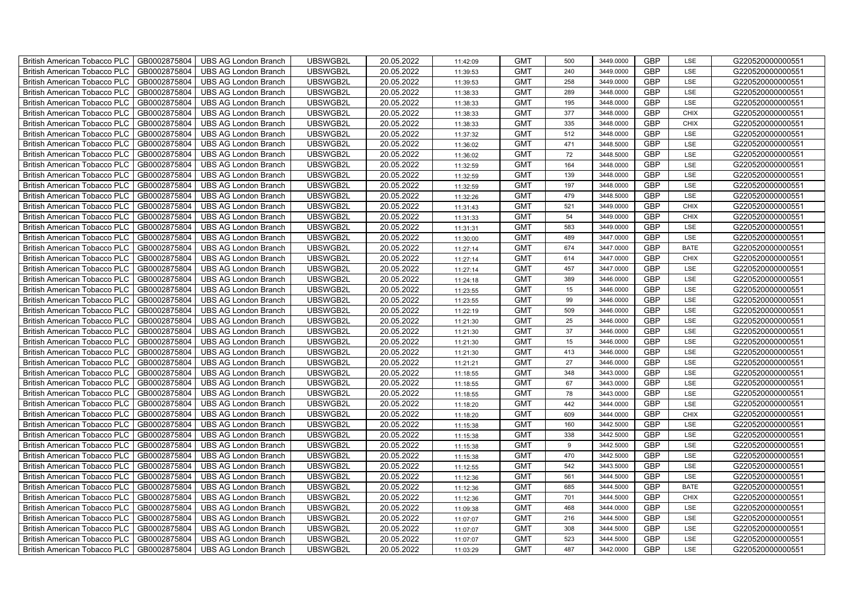| British American Tobacco PLC   GB0002875804 |              | <b>UBS AG London Branch</b> | UBSWGB2L | 20.05.2022 | 11:42:09 | <b>GMT</b> | 500 | 3449.0000 | <b>GBP</b> | LSE         | G220520000000551 |
|---------------------------------------------|--------------|-----------------------------|----------|------------|----------|------------|-----|-----------|------------|-------------|------------------|
| <b>British American Tobacco PLC</b>         | GB0002875804 | <b>UBS AG London Branch</b> | UBSWGB2L | 20.05.2022 | 11:39:53 | <b>GMT</b> | 240 | 3449.0000 | <b>GBP</b> | LSE         | G220520000000551 |
| <b>British American Tobacco PLC</b>         | GB0002875804 | UBS AG London Branch        | UBSWGB2L | 20.05.2022 | 11:39:53 | <b>GMT</b> | 258 | 3449.0000 | <b>GBP</b> | LSE         | G220520000000551 |
| <b>British American Tobacco PLC</b>         | GB0002875804 | <b>UBS AG London Branch</b> | UBSWGB2L | 20.05.2022 | 11:38:33 | <b>GMT</b> | 289 | 3448.0000 | <b>GBP</b> | LSE         | G220520000000551 |
| <b>British American Tobacco PLC</b>         | GB0002875804 | UBS AG London Branch        | UBSWGB2L | 20.05.2022 | 11:38:33 | <b>GMT</b> | 195 | 3448.0000 | <b>GBP</b> | LSE         | G220520000000551 |
| <b>British American Tobacco PLC</b>         | GB0002875804 | <b>UBS AG London Branch</b> | UBSWGB2L | 20.05.2022 | 11:38:33 | <b>GMT</b> | 377 | 3448.0000 | <b>GBP</b> | <b>CHIX</b> | G220520000000551 |
| <b>British American Tobacco PLC</b>         | GB0002875804 | <b>UBS AG London Branch</b> | UBSWGB2L | 20.05.2022 | 11:38:33 | <b>GMT</b> | 335 | 3448.0000 | <b>GBP</b> | <b>CHIX</b> | G220520000000551 |
| British American Tobacco PLC                | GB0002875804 | <b>UBS AG London Branch</b> | UBSWGB2L | 20.05.2022 | 11:37:32 | <b>GMT</b> | 512 | 3448.0000 | <b>GBP</b> | LSE         | G220520000000551 |
| <b>British American Tobacco PLC</b>         | GB0002875804 | <b>UBS AG London Branch</b> | UBSWGB2L | 20.05.2022 | 11:36:02 | <b>GMT</b> | 471 | 3448.5000 | <b>GBP</b> | LSE         | G220520000000551 |
| <b>British American Tobacco PLC</b>         | GB0002875804 | <b>UBS AG London Branch</b> | UBSWGB2L | 20.05.2022 | 11:36:02 | <b>GMT</b> | 72  | 3448.5000 | <b>GBP</b> | LSE         | G220520000000551 |
| <b>British American Tobacco PLC</b>         | GB0002875804 | <b>UBS AG London Branch</b> | UBSWGB2L | 20.05.2022 | 11:32:59 | <b>GMT</b> | 164 | 3448.0000 | <b>GBP</b> | LSE         | G220520000000551 |
| British American Tobacco PLC                | GB0002875804 | <b>UBS AG London Branch</b> | UBSWGB2L | 20.05.2022 | 11:32:59 | <b>GMT</b> | 139 | 3448.0000 | <b>GBP</b> | LSE         | G220520000000551 |
| British American Tobacco PLC                | GB0002875804 | <b>UBS AG London Branch</b> | UBSWGB2L | 20.05.2022 | 11:32:59 | <b>GMT</b> | 197 | 3448.0000 | <b>GBP</b> | LSE         | G220520000000551 |
| British American Tobacco PLC                | GB0002875804 | UBS AG London Branch        | UBSWGB2L | 20.05.2022 | 11:32:26 | <b>GMT</b> | 479 | 3448.5000 | <b>GBP</b> | LSE         | G220520000000551 |
| British American Tobacco PLC                | GB0002875804 | <b>UBS AG London Branch</b> | UBSWGB2L | 20.05.2022 | 11:31:43 | <b>GMT</b> | 521 | 3449.0000 | <b>GBP</b> | <b>CHIX</b> | G220520000000551 |
| British American Tobacco PLC                | GB0002875804 | <b>UBS AG London Branch</b> | UBSWGB2L | 20.05.2022 | 11:31:33 | <b>GMT</b> | 54  | 3449.0000 | GBP        | <b>CHIX</b> | G220520000000551 |
| British American Tobacco PLC                | GB0002875804 | <b>UBS AG London Branch</b> | UBSWGB2L | 20.05.2022 | 11:31:31 | <b>GMT</b> | 583 | 3449.0000 | <b>GBP</b> | LSE         | G220520000000551 |
| British American Tobacco PLC                | GB0002875804 | <b>UBS AG London Branch</b> | UBSWGB2L | 20.05.2022 | 11:30:00 | <b>GMT</b> | 489 | 3447.0000 | <b>GBP</b> | LSE         | G220520000000551 |
| British American Tobacco PLC                | GB0002875804 | <b>UBS AG London Branch</b> | UBSWGB2L | 20.05.2022 | 11:27:14 | <b>GMT</b> | 674 | 3447.0000 | <b>GBP</b> | <b>BATE</b> | G220520000000551 |
| <b>British American Tobacco PLC</b>         | GB0002875804 | <b>UBS AG London Branch</b> | UBSWGB2L | 20.05.2022 | 11:27:14 | <b>GMT</b> | 614 | 3447.0000 | <b>GBP</b> | <b>CHIX</b> | G220520000000551 |
| British American Tobacco PLC                | GB0002875804 | UBS AG London Branch        | UBSWGB2L | 20.05.2022 | 11:27:14 | <b>GMT</b> | 457 | 3447.0000 | <b>GBP</b> | LSE         | G220520000000551 |
| British American Tobacco PLC                | GB0002875804 | <b>UBS AG London Branch</b> | UBSWGB2L | 20.05.2022 | 11:24:18 | <b>GMT</b> | 389 | 3446.0000 | GBP        | LSE         | G220520000000551 |
| British American Tobacco PLC                | GB0002875804 | <b>UBS AG London Branch</b> | UBSWGB2L | 20.05.2022 | 11:23:55 | <b>GMT</b> | 15  | 3446.0000 | GBP        | LSE         | G220520000000551 |
| British American Tobacco PLC                | GB0002875804 | <b>UBS AG London Branch</b> | UBSWGB2L | 20.05.2022 | 11:23:55 | <b>GMT</b> | 99  | 3446.0000 | <b>GBP</b> | LSE         | G220520000000551 |
| British American Tobacco PLC                | GB0002875804 | <b>UBS AG London Branch</b> | UBSWGB2L | 20.05.2022 | 11:22:19 | <b>GMT</b> | 509 | 3446.0000 | GBP        | LSE         | G220520000000551 |
| British American Tobacco PLC                | GB0002875804 | <b>UBS AG London Branch</b> | UBSWGB2L | 20.05.2022 | 11:21:30 | <b>GMT</b> | 25  | 3446.0000 | GBP        | LSE         | G220520000000551 |
| British American Tobacco PLC                | GB0002875804 | <b>UBS AG London Branch</b> | UBSWGB2L | 20.05.2022 | 11:21:30 | <b>GMT</b> | 37  | 3446.0000 | GBP        | LSE         | G220520000000551 |
| British American Tobacco PLC                | GB0002875804 | <b>UBS AG London Branch</b> | UBSWGB2L | 20.05.2022 | 11:21:30 | <b>GMT</b> | 15  | 3446.0000 | <b>GBP</b> | LSE         | G220520000000551 |
| <b>British American Tobacco PLC</b>         | GB0002875804 | <b>UBS AG London Branch</b> | UBSWGB2L | 20.05.2022 | 11:21:30 | <b>GMT</b> | 413 | 3446.0000 | GBP        | LSE         | G220520000000551 |
| British American Tobacco PLC                | GB0002875804 | UBS AG London Branch        | UBSWGB2L | 20.05.2022 | 11:21:21 | <b>GMT</b> | 27  | 3446.0000 | <b>GBP</b> | LSE         | G220520000000551 |
| British American Tobacco PLC                | GB0002875804 | <b>UBS AG London Branch</b> | UBSWGB2L | 20.05.2022 | 11:18:55 | <b>GMT</b> | 348 | 3443.0000 | GBP        | LSE         | G220520000000551 |
| British American Tobacco PLC                | GB0002875804 | <b>UBS AG London Branch</b> | UBSWGB2L | 20.05.2022 | 11:18:55 | <b>GMT</b> | 67  | 3443.0000 | GBP        | LSE         | G220520000000551 |
| British American Tobacco PLC                | GB0002875804 | <b>UBS AG London Branch</b> | UBSWGB2L | 20.05.2022 | 11:18:55 | <b>GMT</b> | 78  | 3443.0000 | <b>GBP</b> | LSE         | G220520000000551 |
| British American Tobacco PLC                | GB0002875804 | <b>UBS AG London Branch</b> | UBSWGB2L | 20.05.2022 | 11:18:20 | <b>GMT</b> | 442 | 3444.0000 | <b>GBP</b> | LSE         | G220520000000551 |
| British American Tobacco PLC                | GB0002875804 | <b>UBS AG London Branch</b> | UBSWGB2L | 20.05.2022 | 11:18:20 | <b>GMT</b> | 609 | 3444.0000 | GBP        | <b>CHIX</b> | G220520000000551 |
| British American Tobacco PLC                | GB0002875804 | <b>UBS AG London Branch</b> | UBSWGB2L | 20.05.2022 | 11:15:38 | <b>GMT</b> | 160 | 3442.5000 | GBP        | LSE         | G220520000000551 |
| British American Tobacco PLC                | GB0002875804 | <b>UBS AG London Branch</b> | UBSWGB2L | 20.05.2022 | 11:15:38 | <b>GMT</b> | 338 | 3442.5000 | GBP        | LSE         | G220520000000551 |
| <b>British American Tobacco PLC</b>         | GB0002875804 | <b>UBS AG London Branch</b> | UBSWGB2L | 20.05.2022 | 11:15:38 | <b>GMT</b> | 9   | 3442.5000 | <b>GBP</b> | LSE         | G220520000000551 |
| <b>British American Tobacco PLC</b>         | GB0002875804 | UBS AG London Branch        | UBSWGB2L | 20.05.2022 | 11:15:38 | <b>GMT</b> | 470 | 3442.5000 | <b>GBP</b> | LSE         | G220520000000551 |
| British American Tobacco PLC                | GB0002875804 | <b>UBS AG London Branch</b> | UBSWGB2L | 20.05.2022 | 11:12:55 | <b>GMT</b> | 542 | 3443.5000 | <b>GBP</b> | LSE         | G220520000000551 |
| British American Tobacco PLC                | GB0002875804 | <b>UBS AG London Branch</b> | UBSWGB2L | 20.05.2022 | 11:12:36 | <b>GMT</b> | 561 | 3444.5000 | GBP        | LSE         | G220520000000551 |
| British American Tobacco PLC                | GB0002875804 | UBS AG London Branch        | UBSWGB2L | 20.05.2022 | 11:12:36 | <b>GMT</b> | 685 | 3444.5000 | <b>GBP</b> | <b>BATE</b> | G220520000000551 |
| British American Tobacco PLC                | GB0002875804 | <b>UBS AG London Branch</b> | UBSWGB2L | 20.05.2022 | 11:12:36 | <b>GMT</b> | 701 | 3444.5000 | <b>GBP</b> | <b>CHIX</b> | G220520000000551 |
| <b>British American Tobacco PLC</b>         | GB0002875804 | <b>UBS AG London Branch</b> | UBSWGB2L | 20.05.2022 | 11:09:38 | <b>GMT</b> | 468 | 3444.0000 | <b>GBP</b> | LSE         | G220520000000551 |
| <b>British American Tobacco PLC</b>         | GB0002875804 | <b>UBS AG London Branch</b> | UBSWGB2L | 20.05.2022 | 11:07:07 | <b>GMT</b> | 216 | 3444.5000 | GBP        | LSE         | G220520000000551 |
| <b>British American Tobacco PLC</b>         | GB0002875804 | <b>UBS AG London Branch</b> | UBSWGB2L | 20.05.2022 | 11:07:07 | <b>GMT</b> | 308 | 3444.5000 | <b>GBP</b> | LSE         | G220520000000551 |
| <b>British American Tobacco PLC</b>         | GB0002875804 | <b>UBS AG London Branch</b> | UBSWGB2L | 20.05.2022 | 11:07:07 | <b>GMT</b> | 523 | 3444.5000 | <b>GBP</b> | LSE         | G220520000000551 |
| British American Tobacco PLC                | GB0002875804 | <b>UBS AG London Branch</b> | UBSWGB2L | 20.05.2022 | 11:03:29 | <b>GMT</b> | 487 | 3442.0000 | <b>GBP</b> | LSE         | G220520000000551 |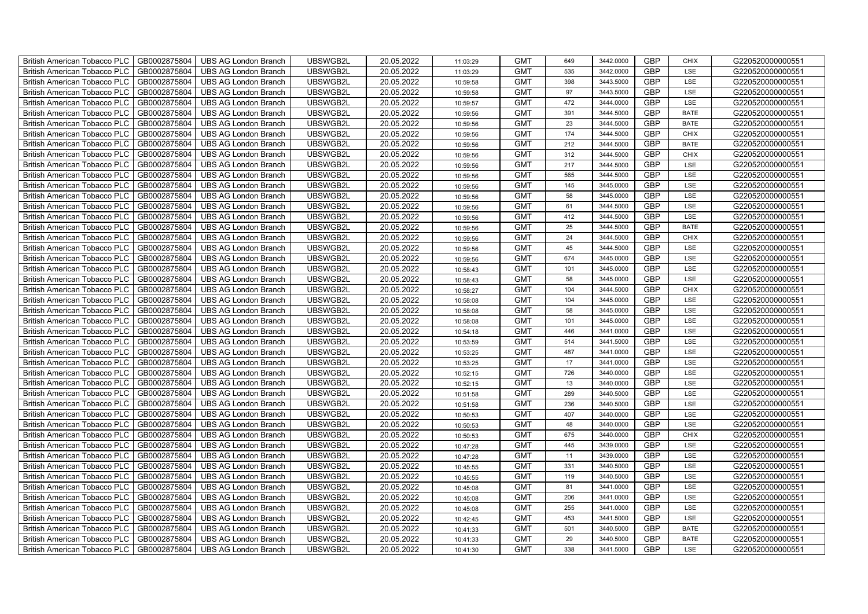| British American Tobacco PLC<br>GB0002875804        | <b>UBS AG London Branch</b> | UBSWGB2L | 20.05.2022 | 11:03:29 | <b>GMT</b> | 649 | 3442.0000 | <b>GBP</b> | <b>CHIX</b> | G220520000000551 |
|-----------------------------------------------------|-----------------------------|----------|------------|----------|------------|-----|-----------|------------|-------------|------------------|
| GB0002875804<br><b>British American Tobacco PLC</b> | <b>UBS AG London Branch</b> | UBSWGB2L | 20.05.2022 | 11:03:29 | <b>GMT</b> | 535 | 3442.0000 | <b>GBP</b> | LSE         | G220520000000551 |
| GB0002875804<br><b>British American Tobacco PLC</b> | <b>UBS AG London Branch</b> | UBSWGB2L | 20.05.2022 | 10:59:58 | <b>GMT</b> | 398 | 3443.5000 | <b>GBP</b> | LSE         | G220520000000551 |
| GB0002875804<br>British American Tobacco PLC        | <b>UBS AG London Branch</b> | UBSWGB2L | 20.05.2022 | 10:59:58 | <b>GMT</b> | 97  | 3443.5000 | <b>GBP</b> | LSE         | G220520000000551 |
| GB0002875804<br><b>British American Tobacco PLC</b> | <b>UBS AG London Branch</b> | UBSWGB2L | 20.05.2022 | 10:59:57 | <b>GMT</b> | 472 | 3444.0000 | <b>GBP</b> | LSE         | G220520000000551 |
| GB0002875804<br>British American Tobacco PLC        | <b>UBS AG London Branch</b> | UBSWGB2L | 20.05.2022 | 10:59:56 | <b>GMT</b> | 391 | 3444.5000 | <b>GBP</b> | <b>BATE</b> | G220520000000551 |
| GB0002875804<br><b>British American Tobacco PLC</b> | <b>UBS AG London Branch</b> | UBSWGB2L | 20.05.2022 | 10:59:56 | <b>GMT</b> | 23  | 3444.5000 | <b>GBP</b> | <b>BATE</b> | G220520000000551 |
| British American Tobacco PLC<br>GB0002875804        | <b>UBS AG London Branch</b> | UBSWGB2L | 20.05.2022 | 10:59:56 | <b>GMT</b> | 174 | 3444.5000 | <b>GBP</b> | <b>CHIX</b> | G220520000000551 |
| GB0002875804<br><b>British American Tobacco PLC</b> | <b>UBS AG London Branch</b> | UBSWGB2L | 20.05.2022 | 10:59:56 | <b>GMT</b> | 212 | 3444.5000 | <b>GBP</b> | <b>BATE</b> | G220520000000551 |
| GB0002875804<br>British American Tobacco PLC        | <b>UBS AG London Branch</b> | UBSWGB2L | 20.05.2022 | 10:59:56 | <b>GMT</b> | 312 | 3444.5000 | <b>GBP</b> | <b>CHIX</b> | G220520000000551 |
| <b>British American Tobacco PLC</b><br>GB0002875804 | <b>UBS AG London Branch</b> | UBSWGB2L | 20.05.2022 | 10:59:56 | <b>GMT</b> | 217 | 3444.5000 | <b>GBP</b> | LSE         | G220520000000551 |
| GB0002875804<br><b>British American Tobacco PLC</b> | <b>UBS AG London Branch</b> | UBSWGB2L | 20.05.2022 | 10:59:56 | <b>GMT</b> | 565 | 3444.5000 | <b>GBP</b> | LSE         | G220520000000551 |
| GB0002875804<br>British American Tobacco PLC        | <b>UBS AG London Branch</b> | UBSWGB2L | 20.05.2022 | 10:59:56 | <b>GMT</b> | 145 | 3445.0000 | <b>GBP</b> | LSE         | G220520000000551 |
| GB0002875804<br>British American Tobacco PLC        | <b>UBS AG London Branch</b> | UBSWGB2L | 20.05.2022 | 10:59:56 | <b>GMT</b> | 58  | 3445.0000 | <b>GBP</b> | LSE         | G220520000000551 |
| GB0002875804<br>British American Tobacco PLC        | <b>UBS AG London Branch</b> | UBSWGB2L | 20.05.2022 | 10:59:56 | <b>GMT</b> | 61  | 3444.5000 | <b>GBP</b> | LSE         | G220520000000551 |
| GB0002875804<br>British American Tobacco PLC        | <b>UBS AG London Branch</b> | UBSWGB2L | 20.05.2022 | 10:59:56 | <b>GMT</b> | 412 | 3444.5000 | GBP        | LSE         | G220520000000551 |
| British American Tobacco PLC<br>GB0002875804        | <b>UBS AG London Branch</b> | UBSWGB2L | 20.05.2022 | 10:59:56 | <b>GMT</b> | 25  | 3444.5000 | <b>GBP</b> | <b>BATE</b> | G220520000000551 |
| GB0002875804<br>British American Tobacco PLC        | <b>UBS AG London Branch</b> | UBSWGB2L | 20.05.2022 | 10:59:56 | <b>GMT</b> | 24  | 3444.5000 | <b>GBP</b> | <b>CHIX</b> | G220520000000551 |
| GB0002875804<br>British American Tobacco PLC        | <b>UBS AG London Branch</b> | UBSWGB2L | 20.05.2022 | 10:59:56 | <b>GMT</b> | 45  | 3444.5000 | <b>GBP</b> | LSE         | G220520000000551 |
| <b>British American Tobacco PLC</b><br>GB0002875804 | <b>UBS AG London Branch</b> | UBSWGB2L | 20.05.2022 | 10:59:56 | <b>GMT</b> | 674 | 3445.0000 | GBP        | LSE         | G220520000000551 |
| GB0002875804<br><b>British American Tobacco PLC</b> | <b>UBS AG London Branch</b> | UBSWGB2L | 20.05.2022 | 10:58:43 | <b>GMT</b> | 101 | 3445.0000 | <b>GBP</b> | LSE         | G220520000000551 |
| GB0002875804<br>British American Tobacco PLC        | <b>UBS AG London Branch</b> | UBSWGB2L | 20.05.2022 | 10:58:43 | <b>GMT</b> | 58  | 3445.0000 | GBP        | LSE         | G220520000000551 |
| GB0002875804<br>British American Tobacco PLC        | <b>UBS AG London Branch</b> | UBSWGB2L | 20.05.2022 | 10:58:27 | <b>GMT</b> | 104 | 3444.5000 | GBP        | CHIX        | G220520000000551 |
| GB0002875804<br>British American Tobacco PLC        | <b>UBS AG London Branch</b> | UBSWGB2L | 20.05.2022 | 10:58:08 | <b>GMT</b> | 104 | 3445.0000 | GBP        | LSE         | G220520000000551 |
| British American Tobacco PLC<br>GB0002875804        | <b>UBS AG London Branch</b> | UBSWGB2L | 20.05.2022 | 10:58:08 | <b>GMT</b> | 58  | 3445.0000 | GBP        | LSE         | G220520000000551 |
| GB0002875804<br>British American Tobacco PLC        | <b>UBS AG London Branch</b> | UBSWGB2L | 20.05.2022 | 10:58:08 | <b>GMT</b> | 101 | 3445.0000 | <b>GBP</b> | LSE         | G220520000000551 |
| GB0002875804<br>British American Tobacco PLC        | <b>UBS AG London Branch</b> | UBSWGB2L | 20.05.2022 | 10:54:18 | <b>GMT</b> | 446 | 3441.0000 | GBP        | LSE         | G220520000000551 |
| GB0002875804<br>British American Tobacco PLC        | <b>UBS AG London Branch</b> | UBSWGB2L | 20.05.2022 | 10:53:59 | <b>GMT</b> | 514 | 3441.5000 | <b>GBP</b> | LSE         | G220520000000551 |
| <b>British American Tobacco PLC</b><br>GB0002875804 | <b>UBS AG London Branch</b> | UBSWGB2L | 20.05.2022 | 10:53:25 | <b>GMT</b> | 487 | 3441.0000 | <b>GBP</b> | LSE         | G220520000000551 |
| GB0002875804<br><b>British American Tobacco PLC</b> | <b>UBS AG London Branch</b> | UBSWGB2L | 20.05.2022 | 10:53:25 | <b>GMT</b> | 17  | 3441.0000 | <b>GBP</b> | LSE         | G220520000000551 |
| GB0002875804<br>British American Tobacco PLC        | <b>UBS AG London Branch</b> | UBSWGB2L | 20.05.2022 | 10:52:15 | <b>GMT</b> | 726 | 3440.0000 | GBP        | LSE         | G220520000000551 |
| GB0002875804<br>British American Tobacco PLC        | <b>UBS AG London Branch</b> | UBSWGB2L | 20.05.2022 | 10:52:15 | <b>GMT</b> | 13  | 3440.0000 | GBP        | LSE         | G220520000000551 |
| British American Tobacco PLC<br>GB0002875804        | <b>UBS AG London Branch</b> | UBSWGB2L | 20.05.2022 | 10:51:58 | <b>GMT</b> | 289 | 3440.5000 | GBP        | LSE         | G220520000000551 |
| British American Tobacco PLC<br>GB0002875804        | <b>UBS AG London Branch</b> | UBSWGB2L | 20.05.2022 | 10:51:58 | <b>GMT</b> | 236 | 3440.5000 | <b>GBP</b> | LSE         | G220520000000551 |
| GB0002875804<br>British American Tobacco PLC        | <b>UBS AG London Branch</b> | UBSWGB2L | 20.05.2022 | 10:50:53 | <b>GMT</b> | 407 | 3440.0000 | <b>GBP</b> | LSE         | G220520000000551 |
| GB0002875804<br>British American Tobacco PLC        | <b>UBS AG London Branch</b> | UBSWGB2L | 20.05.2022 | 10:50:53 | <b>GMT</b> | 48  | 3440.0000 | GBP        | LSE         | G220520000000551 |
| GB0002875804<br>British American Tobacco PLC        | <b>UBS AG London Branch</b> | UBSWGB2L | 20.05.2022 | 10:50:53 | <b>GMT</b> | 675 | 3440.0000 | GBP        | <b>CHIX</b> | G220520000000551 |
| <b>British American Tobacco PLC</b><br>GB0002875804 | <b>UBS AG London Branch</b> | UBSWGB2L | 20.05.2022 | 10:47:28 | <b>GMT</b> | 445 | 3439.0000 | <b>GBP</b> | LSE         | G220520000000551 |
| GB0002875804<br><b>British American Tobacco PLC</b> | <b>UBS AG London Branch</b> | UBSWGB2L | 20.05.2022 | 10:47:28 | <b>GMT</b> | 11  | 3439.0000 | <b>GBP</b> | LSE         | G220520000000551 |
| GB0002875804<br>British American Tobacco PLC        | <b>UBS AG London Branch</b> | UBSWGB2L | 20.05.2022 | 10:45:55 | <b>GMT</b> | 331 | 3440.5000 | <b>GBP</b> | LSE         | G220520000000551 |
| British American Tobacco PLC<br>GB0002875804        | <b>UBS AG London Branch</b> | UBSWGB2L | 20.05.2022 | 10:45:55 | <b>GMT</b> | 119 | 3440.5000 | GBP        | LSE         | G220520000000551 |
| British American Tobacco PLC<br>GB0002875804        | <b>UBS AG London Branch</b> | UBSWGB2L | 20.05.2022 | 10:45:08 | <b>GMT</b> | 81  | 3441.0000 | GBP        | LSE         | G220520000000551 |
| British American Tobacco PLC<br>GB0002875804        | <b>UBS AG London Branch</b> | UBSWGB2L | 20.05.2022 | 10:45:08 | <b>GMT</b> | 206 | 3441.0000 | <b>GBP</b> | LSE         | G220520000000551 |
| GB0002875804<br>British American Tobacco PLC        | <b>UBS AG London Branch</b> | UBSWGB2L | 20.05.2022 | 10:45:08 | <b>GMT</b> | 255 | 3441.0000 | <b>GBP</b> | LSE         | G220520000000551 |
| GB0002875804<br><b>British American Tobacco PLC</b> | <b>UBS AG London Branch</b> | UBSWGB2L | 20.05.2022 | 10:42:45 | <b>GMT</b> | 453 | 3441.5000 | GBP        | LSE         | G220520000000551 |
| GB0002875804<br><b>British American Tobacco PLC</b> | <b>UBS AG London Branch</b> | UBSWGB2L | 20.05.2022 | 10:41:33 | <b>GMT</b> | 501 | 3440.5000 | GBP        | <b>BATE</b> | G220520000000551 |
| <b>British American Tobacco PLC</b><br>GB0002875804 | <b>UBS AG London Branch</b> | UBSWGB2L | 20.05.2022 | 10:41:33 | <b>GMT</b> | 29  | 3440.5000 | <b>GBP</b> | <b>BATE</b> | G220520000000551 |
| GB0002875804<br>British American Tobacco PLC        | <b>UBS AG London Branch</b> | UBSWGB2L | 20.05.2022 | 10:41:30 | <b>GMT</b> | 338 | 3441.5000 | <b>GBP</b> | LSE         | G220520000000551 |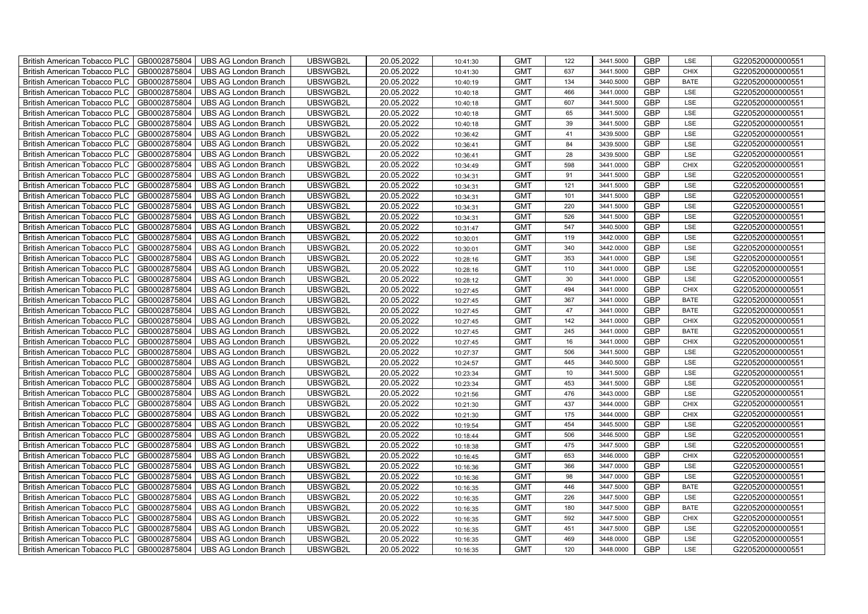| <b>British American Tobacco PLC</b><br>GB0002875804 | <b>UBS AG London Branch</b> | UBSWGB2L | 20.05.2022 | 10:41:30 | <b>GMT</b> | 122 | 3441.5000 | <b>GBP</b> | LSE         | G220520000000551 |
|-----------------------------------------------------|-----------------------------|----------|------------|----------|------------|-----|-----------|------------|-------------|------------------|
| GB0002875804<br><b>British American Tobacco PLC</b> | <b>UBS AG London Branch</b> | UBSWGB2L | 20.05.2022 | 10:41:30 | <b>GMT</b> | 637 | 3441.5000 | <b>GBP</b> | <b>CHIX</b> | G220520000000551 |
| GB0002875804<br><b>British American Tobacco PLC</b> | <b>UBS AG London Branch</b> | UBSWGB2L | 20.05.2022 | 10:40:19 | <b>GMT</b> | 134 | 3440.5000 | <b>GBP</b> | <b>BATE</b> | G220520000000551 |
| GB0002875804<br><b>British American Tobacco PLC</b> | <b>UBS AG London Branch</b> | UBSWGB2L | 20.05.2022 | 10:40:18 | <b>GMT</b> | 466 | 3441.0000 | <b>GBP</b> | LSE         | G220520000000551 |
| GB0002875804<br><b>British American Tobacco PLC</b> | <b>UBS AG London Branch</b> | UBSWGB2L | 20.05.2022 | 10:40:18 | <b>GMT</b> | 607 | 3441.5000 | <b>GBP</b> | LSE         | G220520000000551 |
| GB0002875804<br><b>British American Tobacco PLC</b> | <b>UBS AG London Branch</b> | UBSWGB2L | 20.05.2022 | 10:40:18 | <b>GMT</b> | 65  | 3441.5000 | <b>GBP</b> | LSE         | G220520000000551 |
| GB0002875804<br><b>British American Tobacco PLC</b> | <b>UBS AG London Branch</b> | UBSWGB2L | 20.05.2022 | 10:40:18 | <b>GMT</b> | 39  | 3441.5000 | <b>GBP</b> | LSE         | G220520000000551 |
| <b>British American Tobacco PLC</b><br>GB0002875804 | <b>UBS AG London Branch</b> | UBSWGB2L | 20.05.2022 | 10:36:42 | <b>GMT</b> | 41  | 3439.5000 | <b>GBP</b> | LSE         | G220520000000551 |
| GB0002875804<br><b>British American Tobacco PLC</b> | <b>UBS AG London Branch</b> | UBSWGB2L | 20.05.2022 | 10:36:41 | <b>GMT</b> | 84  | 3439.5000 | <b>GBP</b> | LSE         | G220520000000551 |
| GB0002875804<br><b>British American Tobacco PLC</b> | <b>UBS AG London Branch</b> | UBSWGB2L | 20.05.2022 | 10:36:41 | <b>GMT</b> | 28  | 3439.5000 | <b>GBP</b> | LSE         | G220520000000551 |
| GB0002875804<br><b>British American Tobacco PLC</b> | <b>UBS AG London Branch</b> | UBSWGB2L | 20.05.2022 | 10:34:49 | <b>GMT</b> | 598 | 3441.0000 | <b>GBP</b> | <b>CHIX</b> | G220520000000551 |
| British American Tobacco PLC<br>GB0002875804        | <b>UBS AG London Branch</b> | UBSWGB2L | 20.05.2022 | 10:34:31 | <b>GMT</b> | 91  | 3441.5000 | <b>GBP</b> | LSE         | G220520000000551 |
| GB0002875804<br><b>British American Tobacco PLC</b> | <b>UBS AG London Branch</b> | UBSWGB2L | 20.05.2022 | 10:34:31 | <b>GMT</b> | 121 | 3441.5000 | <b>GBP</b> | LSE         | G220520000000551 |
| GB0002875804<br><b>British American Tobacco PLC</b> | <b>UBS AG London Branch</b> | UBSWGB2L | 20.05.2022 | 10:34:31 | <b>GMT</b> | 101 | 3441.5000 | <b>GBP</b> | LSE         | G220520000000551 |
| GB0002875804<br><b>British American Tobacco PLC</b> | <b>UBS AG London Branch</b> | UBSWGB2L | 20.05.2022 | 10:34:31 | <b>GMT</b> | 220 | 3441.5000 | <b>GBP</b> | LSE         | G220520000000551 |
| GB0002875804<br><b>British American Tobacco PLC</b> | <b>UBS AG London Branch</b> | UBSWGB2L | 20.05.2022 | 10:34:31 | <b>GMT</b> | 526 | 3441.5000 | GBP        | LSE         | G220520000000551 |
| <b>British American Tobacco PLC</b><br>GB0002875804 | <b>UBS AG London Branch</b> | UBSWGB2L | 20.05.2022 | 10:31:47 | <b>GMT</b> | 547 | 3440.5000 | <b>GBP</b> | LSE         | G220520000000551 |
| GB0002875804<br><b>British American Tobacco PLC</b> | <b>UBS AG London Branch</b> | UBSWGB2L | 20.05.2022 | 10:30:01 | <b>GMT</b> | 119 | 3442.0000 | <b>GBP</b> | LSE         | G220520000000551 |
| GB0002875804<br><b>British American Tobacco PLC</b> | <b>UBS AG London Branch</b> | UBSWGB2L | 20.05.2022 | 10:30:01 | <b>GMT</b> | 340 | 3442.0000 | <b>GBP</b> | LSE         | G220520000000551 |
| <b>British American Tobacco PLC</b><br>GB0002875804 | <b>UBS AG London Branch</b> | UBSWGB2L | 20.05.2022 | 10:28:16 | <b>GMT</b> | 353 | 3441.0000 | GBP        | LSE         | G220520000000551 |
| British American Tobacco PLC<br>GB0002875804        | <b>UBS AG London Branch</b> | UBSWGB2L | 20.05.2022 | 10:28:16 | <b>GMT</b> | 110 | 3441.0000 | <b>GBP</b> | LSE         | G220520000000551 |
| GB0002875804<br><b>British American Tobacco PLC</b> | <b>UBS AG London Branch</b> | UBSWGB2L | 20.05.2022 | 10:28:12 | <b>GMT</b> | 30  | 3441.0000 | GBP        | LSE         | G220520000000551 |
| GB0002875804<br>British American Tobacco PLC        | <b>UBS AG London Branch</b> | UBSWGB2L | 20.05.2022 | 10:27:45 | <b>GMT</b> | 494 | 3441.0000 | GBP        | <b>CHIX</b> | G220520000000551 |
| British American Tobacco PLC<br>GB0002875804        | <b>UBS AG London Branch</b> | UBSWGB2L | 20.05.2022 | 10:27:45 | <b>GMT</b> | 367 | 3441.0000 | GBP        | <b>BATE</b> | G220520000000551 |
| British American Tobacco PLC<br>GB0002875804        | <b>UBS AG London Branch</b> | UBSWGB2L | 20.05.2022 | 10:27:45 | <b>GMT</b> | 47  | 3441.0000 | GBP        | <b>BATE</b> | G220520000000551 |
| GB0002875804<br><b>British American Tobacco PLC</b> | <b>UBS AG London Branch</b> | UBSWGB2L | 20.05.2022 | 10:27:45 | <b>GMT</b> | 142 | 3441.0000 | GBP        | <b>CHIX</b> | G220520000000551 |
| GB0002875804<br><b>British American Tobacco PLC</b> | <b>UBS AG London Branch</b> | UBSWGB2L | 20.05.2022 | 10:27:45 | <b>GMT</b> | 245 | 3441.0000 | GBP        | <b>BATE</b> | G220520000000551 |
| GB0002875804<br><b>British American Tobacco PLC</b> | <b>UBS AG London Branch</b> | UBSWGB2L | 20.05.2022 | 10:27:45 | <b>GMT</b> | 16  | 3441.0000 | GBP        | CHIX        | G220520000000551 |
| <b>British American Tobacco PLC</b><br>GB0002875804 | <b>UBS AG London Branch</b> | UBSWGB2L | 20.05.2022 | 10:27:37 | <b>GMT</b> | 506 | 3441.5000 | GBP        | LSE         | G220520000000551 |
| British American Tobacco PLC<br>GB0002875804        | <b>UBS AG London Branch</b> | UBSWGB2L | 20.05.2022 | 10:24:57 | <b>GMT</b> | 445 | 3440.5000 | <b>GBP</b> | LSE         | G220520000000551 |
| GB0002875804<br><b>British American Tobacco PLC</b> | <b>UBS AG London Branch</b> | UBSWGB2L | 20.05.2022 | 10:23:34 | <b>GMT</b> | 10  | 3441.5000 | GBP        | LSE         | G220520000000551 |
| GB0002875804<br>British American Tobacco PLC        | <b>UBS AG London Branch</b> | UBSWGB2L | 20.05.2022 | 10:23:34 | <b>GMT</b> | 453 | 3441.5000 | GBP        | LSE         | G220520000000551 |
| British American Tobacco PLC<br>GB0002875804        | <b>UBS AG London Branch</b> | UBSWGB2L | 20.05.2022 | 10:21:56 | <b>GMT</b> | 476 | 3443.0000 | GBP        | LSE         | G220520000000551 |
| British American Tobacco PLC<br>GB0002875804        | <b>UBS AG London Branch</b> | UBSWGB2L | 20.05.2022 | 10:21:30 | <b>GMT</b> | 437 | 3444.0000 | GBP        | <b>CHIX</b> | G220520000000551 |
| GB0002875804<br><b>British American Tobacco PLC</b> | <b>UBS AG London Branch</b> | UBSWGB2L | 20.05.2022 | 10:21:30 | <b>GMT</b> | 175 | 3444.0000 | <b>GBP</b> | <b>CHIX</b> | G220520000000551 |
| GB0002875804<br><b>British American Tobacco PLC</b> | <b>UBS AG London Branch</b> | UBSWGB2L | 20.05.2022 | 10:19:54 | <b>GMT</b> | 454 | 3445.5000 | GBP        | LSE         | G220520000000551 |
| GB0002875804<br><b>British American Tobacco PLC</b> | <b>UBS AG London Branch</b> | UBSWGB2L | 20.05.2022 | 10:18:44 | <b>GMT</b> | 506 | 3446.5000 | GBP        | LSE         | G220520000000551 |
| <b>British American Tobacco PLC</b><br>GB0002875804 | <b>UBS AG London Branch</b> | UBSWGB2L | 20.05.2022 | 10:18:38 | <b>GMT</b> | 475 | 3447.5000 | <b>GBP</b> | LSE         | G220520000000551 |
| British American Tobacco PLC<br>GB0002875804        | <b>UBS AG London Branch</b> | UBSWGB2L | 20.05.2022 | 10:16:45 | <b>GMT</b> | 653 | 3446.0000 | <b>GBP</b> | <b>CHIX</b> | G220520000000551 |
| <b>British American Tobacco PLC</b><br>GB0002875804 | <b>UBS AG London Branch</b> | UBSWGB2L | 20.05.2022 | 10:16:36 | <b>GMT</b> | 366 | 3447.0000 | GBP        | LSE         | G220520000000551 |
| British American Tobacco PLC<br>GB0002875804        | <b>UBS AG London Branch</b> | UBSWGB2L | 20.05.2022 | 10:16:36 | <b>GMT</b> | 98  | 3447.0000 | GBP        | LSE         | G220520000000551 |
| <b>British American Tobacco PLC</b><br>GB0002875804 | <b>UBS AG London Branch</b> | UBSWGB2L | 20.05.2022 | 10:16:35 | <b>GMT</b> | 446 | 3447.5000 | GBP        | <b>BATE</b> | G220520000000551 |
| <b>British American Tobacco PLC</b><br>GB0002875804 | <b>UBS AG London Branch</b> | UBSWGB2L | 20.05.2022 | 10:16:35 | <b>GMT</b> | 226 | 3447.5000 | GBP        | LSE         | G220520000000551 |
| GB0002875804<br><b>British American Tobacco PLC</b> | <b>UBS AG London Branch</b> | UBSWGB2L | 20.05.2022 | 10:16:35 | <b>GMT</b> | 180 | 3447.5000 | <b>GBP</b> | <b>BATE</b> | G220520000000551 |
| GB0002875804<br><b>British American Tobacco PLC</b> | <b>UBS AG London Branch</b> | UBSWGB2L | 20.05.2022 | 10:16:35 | <b>GMT</b> | 592 | 3447.5000 | GBP        | <b>CHIX</b> | G220520000000551 |
| GB0002875804<br><b>British American Tobacco PLC</b> | <b>UBS AG London Branch</b> | UBSWGB2L | 20.05.2022 | 10:16:35 | <b>GMT</b> | 451 | 3447.5000 | GBP        | LSE         | G220520000000551 |
| <b>British American Tobacco PLC</b><br>GB0002875804 | <b>UBS AG London Branch</b> | UBSWGB2L | 20.05.2022 | 10:16:35 | <b>GMT</b> | 469 | 3448.0000 | <b>GBP</b> | LSE         | G220520000000551 |
| GB0002875804<br><b>British American Tobacco PLC</b> | <b>UBS AG London Branch</b> | UBSWGB2L | 20.05.2022 | 10:16:35 | <b>GMT</b> | 120 | 3448.0000 | <b>GBP</b> | LSE         | G220520000000551 |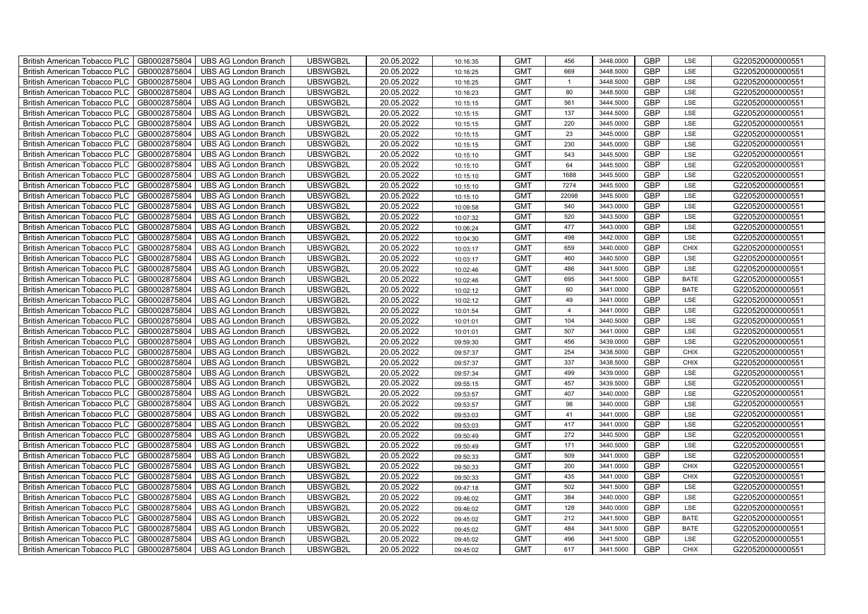| GB0002875804<br>UBSWGB2L<br>20.05.2022<br><b>GMT</b><br><b>GBP</b><br>G220520000000551<br><b>British American Tobacco PLC</b><br><b>UBS AG London Branch</b><br>669<br>3448.5000<br>LSE<br>10:16:25<br><b>GBP</b><br>GB0002875804<br><b>UBS AG London Branch</b><br>UBSWGB2L<br>20.05.2022<br><b>GMT</b><br>G220520000000551<br><b>British American Tobacco PLC</b><br>3448.5000<br>LSE<br>10:16:25<br>GB0002875804<br><b>GMT</b><br>80<br><b>GBP</b><br>G220520000000551<br>British American Tobacco PLC<br><b>UBS AG London Branch</b><br>UBSWGB2L<br>20.05.2022<br>3448.5000<br>LSE<br>10:16:23<br>GB0002875804<br>UBSWGB2L<br>20.05.2022<br><b>GMT</b><br>561<br>3444.5000<br><b>GBP</b><br>LSE<br>G220520000000551<br><b>British American Tobacco PLC</b><br><b>UBS AG London Branch</b><br>10:15:15<br><b>GBP</b><br>GB0002875804<br>UBSWGB2L<br>20.05.2022<br><b>GMT</b><br>137<br>3444.5000<br>LSE<br>G220520000000551<br>British American Tobacco PLC<br><b>UBS AG London Branch</b><br>10:15:15<br><b>GBP</b><br>GB0002875804<br>20.05.2022<br>220<br>3445.0000<br><b>British American Tobacco PLC</b><br><b>UBS AG London Branch</b><br>UBSWGB2L<br><b>GMT</b><br>LSE<br>G220520000000551<br>10:15:15<br><b>GBP</b><br>British American Tobacco PLC<br>GB0002875804<br>UBSWGB2L<br>20.05.2022<br><b>GMT</b><br>23<br>3445.0000<br>LSE<br>G220520000000551<br><b>UBS AG London Branch</b><br>10:15:15<br><b>GBP</b><br>GB0002875804<br>UBSWGB2L<br>20.05.2022<br><b>GMT</b><br>G220520000000551<br><b>British American Tobacco PLC</b><br><b>UBS AG London Branch</b><br>230<br>3445.0000<br>LSE<br>10:15:15<br>GB0002875804<br>UBSWGB2L<br>20.05.2022<br><b>GMT</b><br>543<br><b>GBP</b><br>G220520000000551<br>British American Tobacco PLC<br><b>UBS AG London Branch</b><br>3445.5000<br>LSE<br>10:15:10<br><b>British American Tobacco PLC</b><br>GB0002875804<br>UBSWGB2L<br>20.05.2022<br><b>GMT</b><br><b>GBP</b><br>G220520000000551<br><b>UBS AG London Branch</b><br>64<br>3445.5000<br>LSE<br>10:15:10<br><b>GBP</b><br>GB0002875804<br>UBSWGB2L<br>20.05.2022<br><b>GMT</b><br>G220520000000551<br><b>British American Tobacco PLC</b><br><b>UBS AG London Branch</b><br>1688<br>3445.5000<br>LSE<br>10:15:10<br>GB0002875804<br><b>GMT</b><br><b>GBP</b><br>British American Tobacco PLC<br><b>UBS AG London Branch</b><br>UBSWGB2L<br>20.05.2022<br>7274<br>3445.5000<br>LSE<br>G220520000000551<br>10:15:10<br>GB0002875804<br>UBSWGB2L<br>20.05.2022<br><b>GMT</b><br><b>GBP</b><br>G220520000000551<br>British American Tobacco PLC<br><b>UBS AG London Branch</b><br>22098<br>3445.5000<br>LSE<br>10:15:10<br><b>GBP</b><br>GB0002875804<br>UBSWGB2L<br>20.05.2022<br><b>GMT</b><br>540<br>3443.0000<br>G220520000000551<br>British American Tobacco PLC<br><b>UBS AG London Branch</b><br>LSE<br>10:09:58<br><b>GBP</b><br>GB0002875804<br>20.05.2022<br>520<br>3443.5000<br>LSE<br>British American Tobacco PLC<br><b>UBS AG London Branch</b><br>UBSWGB2L<br><b>GMT</b><br>G220520000000551<br>10:07:32<br><b>GBP</b><br><b>GMT</b><br>477<br>British American Tobacco PLC<br>GB0002875804<br>UBSWGB2L<br>20.05.2022<br>3443.0000<br>LSE<br>G220520000000551<br><b>UBS AG London Branch</b><br>10:06:24<br><b>GBP</b><br>GB0002875804<br>UBSWGB2L<br>20.05.2022<br><b>GMT</b><br>498<br>G220520000000551<br>British American Tobacco PLC<br><b>UBS AG London Branch</b><br>3442.0000<br>LSE<br>10:04:30<br>GB0002875804<br>UBSWGB2L<br>20.05.2022<br><b>GMT</b><br>659<br><b>GBP</b><br>G220520000000551<br>British American Tobacco PLC<br><b>UBS AG London Branch</b><br>3440.0000<br><b>CHIX</b><br>10:03:17<br><b>British American Tobacco PLC</b><br>GB0002875804<br><b>UBS AG London Branch</b><br>UBSWGB2L<br>20.05.2022<br><b>GMT</b><br>GBP<br>G220520000000551<br>460<br>3440.5000<br>LSE<br>10:03:17<br><b>GBP</b><br>GB0002875804<br><b>UBS AG London Branch</b><br>UBSWGB2L<br>20.05.2022<br><b>GMT</b><br>486<br><b>British American Tobacco PLC</b><br>3441.5000<br>LSE<br>G220520000000551<br>10:02:46<br>GB0002875804<br><b>GMT</b><br>GBP<br>G220520000000551<br>British American Tobacco PLC<br><b>UBS AG London Branch</b><br>UBSWGB2L<br>20.05.2022<br>695<br>3441.5000<br><b>BATE</b><br>10:02:46<br>GB0002875804<br>UBSWGB2L<br>20.05.2022<br><b>GMT</b><br>60<br>3441.0000<br>GBP<br>G220520000000551<br>British American Tobacco PLC<br><b>UBS AG London Branch</b><br><b>BATE</b><br>10:02:12<br>3441.0000<br>GBP<br>GB0002875804<br>UBSWGB2L<br>20.05.2022<br><b>GMT</b><br>49<br>G220520000000551<br>British American Tobacco PLC<br><b>UBS AG London Branch</b><br>LSE<br>10:02:12<br><b>GBP</b><br>GB0002875804<br>20.05.2022<br><b>GMT</b><br>$\overline{4}$<br>3441.0000<br>LSE<br>British American Tobacco PLC<br><b>UBS AG London Branch</b><br>UBSWGB2L<br>G220520000000551<br>10:01:54<br><b>GBP</b><br>GB0002875804<br>UBSWGB2L<br>20.05.2022<br><b>GMT</b><br>104<br>3440.5000<br>LSE<br>British American Tobacco PLC<br><b>UBS AG London Branch</b><br>G220520000000551<br>10:01:01<br>GBP<br>GB0002875804<br>UBSWGB2L<br>20.05.2022<br><b>GMT</b><br>507<br>3441.0000<br>G220520000000551<br>British American Tobacco PLC<br><b>UBS AG London Branch</b><br>LSE<br>10:01:01<br><b>GBP</b><br>GB0002875804<br>UBSWGB2L<br>20.05.2022<br><b>GMT</b><br>456<br>LSE<br>G220520000000551<br>British American Tobacco PLC<br><b>UBS AG London Branch</b><br>3439.0000<br>09:59:30<br><b>GBP</b><br><b>British American Tobacco PLC</b><br>GB0002875804<br><b>UBS AG London Branch</b><br>UBSWGB2L<br>20.05.2022<br><b>GMT</b><br>254<br>G220520000000551<br>3438.5000<br>CHIX<br>09:57:37<br><b>GBP</b><br>GB0002875804<br><b>UBS AG London Branch</b><br>UBSWGB2L<br>20.05.2022<br><b>GMT</b><br>337<br>G220520000000551<br><b>British American Tobacco PLC</b><br>3438.5000<br><b>CHIX</b><br>09:57:37 |
|----------------------------------------------------------------------------------------------------------------------------------------------------------------------------------------------------------------------------------------------------------------------------------------------------------------------------------------------------------------------------------------------------------------------------------------------------------------------------------------------------------------------------------------------------------------------------------------------------------------------------------------------------------------------------------------------------------------------------------------------------------------------------------------------------------------------------------------------------------------------------------------------------------------------------------------------------------------------------------------------------------------------------------------------------------------------------------------------------------------------------------------------------------------------------------------------------------------------------------------------------------------------------------------------------------------------------------------------------------------------------------------------------------------------------------------------------------------------------------------------------------------------------------------------------------------------------------------------------------------------------------------------------------------------------------------------------------------------------------------------------------------------------------------------------------------------------------------------------------------------------------------------------------------------------------------------------------------------------------------------------------------------------------------------------------------------------------------------------------------------------------------------------------------------------------------------------------------------------------------------------------------------------------------------------------------------------------------------------------------------------------------------------------------------------------------------------------------------------------------------------------------------------------------------------------------------------------------------------------------------------------------------------------------------------------------------------------------------------------------------------------------------------------------------------------------------------------------------------------------------------------------------------------------------------------------------------------------------------------------------------------------------------------------------------------------------------------------------------------------------------------------------------------------------------------------------------------------------------------------------------------------------------------------------------------------------------------------------------------------------------------------------------------------------------------------------------------------------------------------------------------------------------------------------------------------------------------------------------------------------------------------------------------------------------------------------------------------------------------------------------------------------------------------------------------------------------------------------------------------------------------------------------------------------------------------------------------------------------------------------------------------------------------------------------------------------------------------------------------------------------------------------------------------------------------------------------------------------------------------------------------------------------------------------------------------------------------------------------------------------------------------------------------------------------------------------------------------------------------------------------------------------------------------------------------------------------------------------------------------------------------------------------------------------------------------------------------------------------------------------------------------------------------------------------------------------------------------------------------------------------------------------------------------------------------------------------------------------------------------------------------------------------------------------------------------------------------------------------------------------------------------------------------------------------------------------------------------------------------------------------------------------------------------------------------------------------------------------------------------------------------------------------------------------------------------------------------------------------------------------------------------------------------------------------------------------------------------------------------------------------------------------------------------------------------------------------------------------------------------------------------------------------------------------------------------------------------------------------------------------------|
|                                                                                                                                                                                                                                                                                                                                                                                                                                                                                                                                                                                                                                                                                                                                                                                                                                                                                                                                                                                                                                                                                                                                                                                                                                                                                                                                                                                                                                                                                                                                                                                                                                                                                                                                                                                                                                                                                                                                                                                                                                                                                                                                                                                                                                                                                                                                                                                                                                                                                                                                                                                                                                                                                                                                                                                                                                                                                                                                                                                                                                                                                                                                                                                                                                                                                                                                                                                                                                                                                                                                                                                                                                                                                                                                                                                                                                                                                                                                                                                                                                                                                                                                                                                                                                                                                                                                                                                                                                                                                                                                                                                                                                                                                                                                                                                                                                                                                                                                                                                                                                                                                                                                                                                                                                                                                                                                                                                                                                                                                                                                                                                                                                                                                                                                                                                                                                                                            |
|                                                                                                                                                                                                                                                                                                                                                                                                                                                                                                                                                                                                                                                                                                                                                                                                                                                                                                                                                                                                                                                                                                                                                                                                                                                                                                                                                                                                                                                                                                                                                                                                                                                                                                                                                                                                                                                                                                                                                                                                                                                                                                                                                                                                                                                                                                                                                                                                                                                                                                                                                                                                                                                                                                                                                                                                                                                                                                                                                                                                                                                                                                                                                                                                                                                                                                                                                                                                                                                                                                                                                                                                                                                                                                                                                                                                                                                                                                                                                                                                                                                                                                                                                                                                                                                                                                                                                                                                                                                                                                                                                                                                                                                                                                                                                                                                                                                                                                                                                                                                                                                                                                                                                                                                                                                                                                                                                                                                                                                                                                                                                                                                                                                                                                                                                                                                                                                                            |
|                                                                                                                                                                                                                                                                                                                                                                                                                                                                                                                                                                                                                                                                                                                                                                                                                                                                                                                                                                                                                                                                                                                                                                                                                                                                                                                                                                                                                                                                                                                                                                                                                                                                                                                                                                                                                                                                                                                                                                                                                                                                                                                                                                                                                                                                                                                                                                                                                                                                                                                                                                                                                                                                                                                                                                                                                                                                                                                                                                                                                                                                                                                                                                                                                                                                                                                                                                                                                                                                                                                                                                                                                                                                                                                                                                                                                                                                                                                                                                                                                                                                                                                                                                                                                                                                                                                                                                                                                                                                                                                                                                                                                                                                                                                                                                                                                                                                                                                                                                                                                                                                                                                                                                                                                                                                                                                                                                                                                                                                                                                                                                                                                                                                                                                                                                                                                                                                            |
|                                                                                                                                                                                                                                                                                                                                                                                                                                                                                                                                                                                                                                                                                                                                                                                                                                                                                                                                                                                                                                                                                                                                                                                                                                                                                                                                                                                                                                                                                                                                                                                                                                                                                                                                                                                                                                                                                                                                                                                                                                                                                                                                                                                                                                                                                                                                                                                                                                                                                                                                                                                                                                                                                                                                                                                                                                                                                                                                                                                                                                                                                                                                                                                                                                                                                                                                                                                                                                                                                                                                                                                                                                                                                                                                                                                                                                                                                                                                                                                                                                                                                                                                                                                                                                                                                                                                                                                                                                                                                                                                                                                                                                                                                                                                                                                                                                                                                                                                                                                                                                                                                                                                                                                                                                                                                                                                                                                                                                                                                                                                                                                                                                                                                                                                                                                                                                                                            |
|                                                                                                                                                                                                                                                                                                                                                                                                                                                                                                                                                                                                                                                                                                                                                                                                                                                                                                                                                                                                                                                                                                                                                                                                                                                                                                                                                                                                                                                                                                                                                                                                                                                                                                                                                                                                                                                                                                                                                                                                                                                                                                                                                                                                                                                                                                                                                                                                                                                                                                                                                                                                                                                                                                                                                                                                                                                                                                                                                                                                                                                                                                                                                                                                                                                                                                                                                                                                                                                                                                                                                                                                                                                                                                                                                                                                                                                                                                                                                                                                                                                                                                                                                                                                                                                                                                                                                                                                                                                                                                                                                                                                                                                                                                                                                                                                                                                                                                                                                                                                                                                                                                                                                                                                                                                                                                                                                                                                                                                                                                                                                                                                                                                                                                                                                                                                                                                                            |
|                                                                                                                                                                                                                                                                                                                                                                                                                                                                                                                                                                                                                                                                                                                                                                                                                                                                                                                                                                                                                                                                                                                                                                                                                                                                                                                                                                                                                                                                                                                                                                                                                                                                                                                                                                                                                                                                                                                                                                                                                                                                                                                                                                                                                                                                                                                                                                                                                                                                                                                                                                                                                                                                                                                                                                                                                                                                                                                                                                                                                                                                                                                                                                                                                                                                                                                                                                                                                                                                                                                                                                                                                                                                                                                                                                                                                                                                                                                                                                                                                                                                                                                                                                                                                                                                                                                                                                                                                                                                                                                                                                                                                                                                                                                                                                                                                                                                                                                                                                                                                                                                                                                                                                                                                                                                                                                                                                                                                                                                                                                                                                                                                                                                                                                                                                                                                                                                            |
|                                                                                                                                                                                                                                                                                                                                                                                                                                                                                                                                                                                                                                                                                                                                                                                                                                                                                                                                                                                                                                                                                                                                                                                                                                                                                                                                                                                                                                                                                                                                                                                                                                                                                                                                                                                                                                                                                                                                                                                                                                                                                                                                                                                                                                                                                                                                                                                                                                                                                                                                                                                                                                                                                                                                                                                                                                                                                                                                                                                                                                                                                                                                                                                                                                                                                                                                                                                                                                                                                                                                                                                                                                                                                                                                                                                                                                                                                                                                                                                                                                                                                                                                                                                                                                                                                                                                                                                                                                                                                                                                                                                                                                                                                                                                                                                                                                                                                                                                                                                                                                                                                                                                                                                                                                                                                                                                                                                                                                                                                                                                                                                                                                                                                                                                                                                                                                                                            |
|                                                                                                                                                                                                                                                                                                                                                                                                                                                                                                                                                                                                                                                                                                                                                                                                                                                                                                                                                                                                                                                                                                                                                                                                                                                                                                                                                                                                                                                                                                                                                                                                                                                                                                                                                                                                                                                                                                                                                                                                                                                                                                                                                                                                                                                                                                                                                                                                                                                                                                                                                                                                                                                                                                                                                                                                                                                                                                                                                                                                                                                                                                                                                                                                                                                                                                                                                                                                                                                                                                                                                                                                                                                                                                                                                                                                                                                                                                                                                                                                                                                                                                                                                                                                                                                                                                                                                                                                                                                                                                                                                                                                                                                                                                                                                                                                                                                                                                                                                                                                                                                                                                                                                                                                                                                                                                                                                                                                                                                                                                                                                                                                                                                                                                                                                                                                                                                                            |
|                                                                                                                                                                                                                                                                                                                                                                                                                                                                                                                                                                                                                                                                                                                                                                                                                                                                                                                                                                                                                                                                                                                                                                                                                                                                                                                                                                                                                                                                                                                                                                                                                                                                                                                                                                                                                                                                                                                                                                                                                                                                                                                                                                                                                                                                                                                                                                                                                                                                                                                                                                                                                                                                                                                                                                                                                                                                                                                                                                                                                                                                                                                                                                                                                                                                                                                                                                                                                                                                                                                                                                                                                                                                                                                                                                                                                                                                                                                                                                                                                                                                                                                                                                                                                                                                                                                                                                                                                                                                                                                                                                                                                                                                                                                                                                                                                                                                                                                                                                                                                                                                                                                                                                                                                                                                                                                                                                                                                                                                                                                                                                                                                                                                                                                                                                                                                                                                            |
|                                                                                                                                                                                                                                                                                                                                                                                                                                                                                                                                                                                                                                                                                                                                                                                                                                                                                                                                                                                                                                                                                                                                                                                                                                                                                                                                                                                                                                                                                                                                                                                                                                                                                                                                                                                                                                                                                                                                                                                                                                                                                                                                                                                                                                                                                                                                                                                                                                                                                                                                                                                                                                                                                                                                                                                                                                                                                                                                                                                                                                                                                                                                                                                                                                                                                                                                                                                                                                                                                                                                                                                                                                                                                                                                                                                                                                                                                                                                                                                                                                                                                                                                                                                                                                                                                                                                                                                                                                                                                                                                                                                                                                                                                                                                                                                                                                                                                                                                                                                                                                                                                                                                                                                                                                                                                                                                                                                                                                                                                                                                                                                                                                                                                                                                                                                                                                                                            |
|                                                                                                                                                                                                                                                                                                                                                                                                                                                                                                                                                                                                                                                                                                                                                                                                                                                                                                                                                                                                                                                                                                                                                                                                                                                                                                                                                                                                                                                                                                                                                                                                                                                                                                                                                                                                                                                                                                                                                                                                                                                                                                                                                                                                                                                                                                                                                                                                                                                                                                                                                                                                                                                                                                                                                                                                                                                                                                                                                                                                                                                                                                                                                                                                                                                                                                                                                                                                                                                                                                                                                                                                                                                                                                                                                                                                                                                                                                                                                                                                                                                                                                                                                                                                                                                                                                                                                                                                                                                                                                                                                                                                                                                                                                                                                                                                                                                                                                                                                                                                                                                                                                                                                                                                                                                                                                                                                                                                                                                                                                                                                                                                                                                                                                                                                                                                                                                                            |
|                                                                                                                                                                                                                                                                                                                                                                                                                                                                                                                                                                                                                                                                                                                                                                                                                                                                                                                                                                                                                                                                                                                                                                                                                                                                                                                                                                                                                                                                                                                                                                                                                                                                                                                                                                                                                                                                                                                                                                                                                                                                                                                                                                                                                                                                                                                                                                                                                                                                                                                                                                                                                                                                                                                                                                                                                                                                                                                                                                                                                                                                                                                                                                                                                                                                                                                                                                                                                                                                                                                                                                                                                                                                                                                                                                                                                                                                                                                                                                                                                                                                                                                                                                                                                                                                                                                                                                                                                                                                                                                                                                                                                                                                                                                                                                                                                                                                                                                                                                                                                                                                                                                                                                                                                                                                                                                                                                                                                                                                                                                                                                                                                                                                                                                                                                                                                                                                            |
|                                                                                                                                                                                                                                                                                                                                                                                                                                                                                                                                                                                                                                                                                                                                                                                                                                                                                                                                                                                                                                                                                                                                                                                                                                                                                                                                                                                                                                                                                                                                                                                                                                                                                                                                                                                                                                                                                                                                                                                                                                                                                                                                                                                                                                                                                                                                                                                                                                                                                                                                                                                                                                                                                                                                                                                                                                                                                                                                                                                                                                                                                                                                                                                                                                                                                                                                                                                                                                                                                                                                                                                                                                                                                                                                                                                                                                                                                                                                                                                                                                                                                                                                                                                                                                                                                                                                                                                                                                                                                                                                                                                                                                                                                                                                                                                                                                                                                                                                                                                                                                                                                                                                                                                                                                                                                                                                                                                                                                                                                                                                                                                                                                                                                                                                                                                                                                                                            |
|                                                                                                                                                                                                                                                                                                                                                                                                                                                                                                                                                                                                                                                                                                                                                                                                                                                                                                                                                                                                                                                                                                                                                                                                                                                                                                                                                                                                                                                                                                                                                                                                                                                                                                                                                                                                                                                                                                                                                                                                                                                                                                                                                                                                                                                                                                                                                                                                                                                                                                                                                                                                                                                                                                                                                                                                                                                                                                                                                                                                                                                                                                                                                                                                                                                                                                                                                                                                                                                                                                                                                                                                                                                                                                                                                                                                                                                                                                                                                                                                                                                                                                                                                                                                                                                                                                                                                                                                                                                                                                                                                                                                                                                                                                                                                                                                                                                                                                                                                                                                                                                                                                                                                                                                                                                                                                                                                                                                                                                                                                                                                                                                                                                                                                                                                                                                                                                                            |
|                                                                                                                                                                                                                                                                                                                                                                                                                                                                                                                                                                                                                                                                                                                                                                                                                                                                                                                                                                                                                                                                                                                                                                                                                                                                                                                                                                                                                                                                                                                                                                                                                                                                                                                                                                                                                                                                                                                                                                                                                                                                                                                                                                                                                                                                                                                                                                                                                                                                                                                                                                                                                                                                                                                                                                                                                                                                                                                                                                                                                                                                                                                                                                                                                                                                                                                                                                                                                                                                                                                                                                                                                                                                                                                                                                                                                                                                                                                                                                                                                                                                                                                                                                                                                                                                                                                                                                                                                                                                                                                                                                                                                                                                                                                                                                                                                                                                                                                                                                                                                                                                                                                                                                                                                                                                                                                                                                                                                                                                                                                                                                                                                                                                                                                                                                                                                                                                            |
|                                                                                                                                                                                                                                                                                                                                                                                                                                                                                                                                                                                                                                                                                                                                                                                                                                                                                                                                                                                                                                                                                                                                                                                                                                                                                                                                                                                                                                                                                                                                                                                                                                                                                                                                                                                                                                                                                                                                                                                                                                                                                                                                                                                                                                                                                                                                                                                                                                                                                                                                                                                                                                                                                                                                                                                                                                                                                                                                                                                                                                                                                                                                                                                                                                                                                                                                                                                                                                                                                                                                                                                                                                                                                                                                                                                                                                                                                                                                                                                                                                                                                                                                                                                                                                                                                                                                                                                                                                                                                                                                                                                                                                                                                                                                                                                                                                                                                                                                                                                                                                                                                                                                                                                                                                                                                                                                                                                                                                                                                                                                                                                                                                                                                                                                                                                                                                                                            |
|                                                                                                                                                                                                                                                                                                                                                                                                                                                                                                                                                                                                                                                                                                                                                                                                                                                                                                                                                                                                                                                                                                                                                                                                                                                                                                                                                                                                                                                                                                                                                                                                                                                                                                                                                                                                                                                                                                                                                                                                                                                                                                                                                                                                                                                                                                                                                                                                                                                                                                                                                                                                                                                                                                                                                                                                                                                                                                                                                                                                                                                                                                                                                                                                                                                                                                                                                                                                                                                                                                                                                                                                                                                                                                                                                                                                                                                                                                                                                                                                                                                                                                                                                                                                                                                                                                                                                                                                                                                                                                                                                                                                                                                                                                                                                                                                                                                                                                                                                                                                                                                                                                                                                                                                                                                                                                                                                                                                                                                                                                                                                                                                                                                                                                                                                                                                                                                                            |
|                                                                                                                                                                                                                                                                                                                                                                                                                                                                                                                                                                                                                                                                                                                                                                                                                                                                                                                                                                                                                                                                                                                                                                                                                                                                                                                                                                                                                                                                                                                                                                                                                                                                                                                                                                                                                                                                                                                                                                                                                                                                                                                                                                                                                                                                                                                                                                                                                                                                                                                                                                                                                                                                                                                                                                                                                                                                                                                                                                                                                                                                                                                                                                                                                                                                                                                                                                                                                                                                                                                                                                                                                                                                                                                                                                                                                                                                                                                                                                                                                                                                                                                                                                                                                                                                                                                                                                                                                                                                                                                                                                                                                                                                                                                                                                                                                                                                                                                                                                                                                                                                                                                                                                                                                                                                                                                                                                                                                                                                                                                                                                                                                                                                                                                                                                                                                                                                            |
|                                                                                                                                                                                                                                                                                                                                                                                                                                                                                                                                                                                                                                                                                                                                                                                                                                                                                                                                                                                                                                                                                                                                                                                                                                                                                                                                                                                                                                                                                                                                                                                                                                                                                                                                                                                                                                                                                                                                                                                                                                                                                                                                                                                                                                                                                                                                                                                                                                                                                                                                                                                                                                                                                                                                                                                                                                                                                                                                                                                                                                                                                                                                                                                                                                                                                                                                                                                                                                                                                                                                                                                                                                                                                                                                                                                                                                                                                                                                                                                                                                                                                                                                                                                                                                                                                                                                                                                                                                                                                                                                                                                                                                                                                                                                                                                                                                                                                                                                                                                                                                                                                                                                                                                                                                                                                                                                                                                                                                                                                                                                                                                                                                                                                                                                                                                                                                                                            |
|                                                                                                                                                                                                                                                                                                                                                                                                                                                                                                                                                                                                                                                                                                                                                                                                                                                                                                                                                                                                                                                                                                                                                                                                                                                                                                                                                                                                                                                                                                                                                                                                                                                                                                                                                                                                                                                                                                                                                                                                                                                                                                                                                                                                                                                                                                                                                                                                                                                                                                                                                                                                                                                                                                                                                                                                                                                                                                                                                                                                                                                                                                                                                                                                                                                                                                                                                                                                                                                                                                                                                                                                                                                                                                                                                                                                                                                                                                                                                                                                                                                                                                                                                                                                                                                                                                                                                                                                                                                                                                                                                                                                                                                                                                                                                                                                                                                                                                                                                                                                                                                                                                                                                                                                                                                                                                                                                                                                                                                                                                                                                                                                                                                                                                                                                                                                                                                                            |
|                                                                                                                                                                                                                                                                                                                                                                                                                                                                                                                                                                                                                                                                                                                                                                                                                                                                                                                                                                                                                                                                                                                                                                                                                                                                                                                                                                                                                                                                                                                                                                                                                                                                                                                                                                                                                                                                                                                                                                                                                                                                                                                                                                                                                                                                                                                                                                                                                                                                                                                                                                                                                                                                                                                                                                                                                                                                                                                                                                                                                                                                                                                                                                                                                                                                                                                                                                                                                                                                                                                                                                                                                                                                                                                                                                                                                                                                                                                                                                                                                                                                                                                                                                                                                                                                                                                                                                                                                                                                                                                                                                                                                                                                                                                                                                                                                                                                                                                                                                                                                                                                                                                                                                                                                                                                                                                                                                                                                                                                                                                                                                                                                                                                                                                                                                                                                                                                            |
|                                                                                                                                                                                                                                                                                                                                                                                                                                                                                                                                                                                                                                                                                                                                                                                                                                                                                                                                                                                                                                                                                                                                                                                                                                                                                                                                                                                                                                                                                                                                                                                                                                                                                                                                                                                                                                                                                                                                                                                                                                                                                                                                                                                                                                                                                                                                                                                                                                                                                                                                                                                                                                                                                                                                                                                                                                                                                                                                                                                                                                                                                                                                                                                                                                                                                                                                                                                                                                                                                                                                                                                                                                                                                                                                                                                                                                                                                                                                                                                                                                                                                                                                                                                                                                                                                                                                                                                                                                                                                                                                                                                                                                                                                                                                                                                                                                                                                                                                                                                                                                                                                                                                                                                                                                                                                                                                                                                                                                                                                                                                                                                                                                                                                                                                                                                                                                                                            |
|                                                                                                                                                                                                                                                                                                                                                                                                                                                                                                                                                                                                                                                                                                                                                                                                                                                                                                                                                                                                                                                                                                                                                                                                                                                                                                                                                                                                                                                                                                                                                                                                                                                                                                                                                                                                                                                                                                                                                                                                                                                                                                                                                                                                                                                                                                                                                                                                                                                                                                                                                                                                                                                                                                                                                                                                                                                                                                                                                                                                                                                                                                                                                                                                                                                                                                                                                                                                                                                                                                                                                                                                                                                                                                                                                                                                                                                                                                                                                                                                                                                                                                                                                                                                                                                                                                                                                                                                                                                                                                                                                                                                                                                                                                                                                                                                                                                                                                                                                                                                                                                                                                                                                                                                                                                                                                                                                                                                                                                                                                                                                                                                                                                                                                                                                                                                                                                                            |
|                                                                                                                                                                                                                                                                                                                                                                                                                                                                                                                                                                                                                                                                                                                                                                                                                                                                                                                                                                                                                                                                                                                                                                                                                                                                                                                                                                                                                                                                                                                                                                                                                                                                                                                                                                                                                                                                                                                                                                                                                                                                                                                                                                                                                                                                                                                                                                                                                                                                                                                                                                                                                                                                                                                                                                                                                                                                                                                                                                                                                                                                                                                                                                                                                                                                                                                                                                                                                                                                                                                                                                                                                                                                                                                                                                                                                                                                                                                                                                                                                                                                                                                                                                                                                                                                                                                                                                                                                                                                                                                                                                                                                                                                                                                                                                                                                                                                                                                                                                                                                                                                                                                                                                                                                                                                                                                                                                                                                                                                                                                                                                                                                                                                                                                                                                                                                                                                            |
|                                                                                                                                                                                                                                                                                                                                                                                                                                                                                                                                                                                                                                                                                                                                                                                                                                                                                                                                                                                                                                                                                                                                                                                                                                                                                                                                                                                                                                                                                                                                                                                                                                                                                                                                                                                                                                                                                                                                                                                                                                                                                                                                                                                                                                                                                                                                                                                                                                                                                                                                                                                                                                                                                                                                                                                                                                                                                                                                                                                                                                                                                                                                                                                                                                                                                                                                                                                                                                                                                                                                                                                                                                                                                                                                                                                                                                                                                                                                                                                                                                                                                                                                                                                                                                                                                                                                                                                                                                                                                                                                                                                                                                                                                                                                                                                                                                                                                                                                                                                                                                                                                                                                                                                                                                                                                                                                                                                                                                                                                                                                                                                                                                                                                                                                                                                                                                                                            |
|                                                                                                                                                                                                                                                                                                                                                                                                                                                                                                                                                                                                                                                                                                                                                                                                                                                                                                                                                                                                                                                                                                                                                                                                                                                                                                                                                                                                                                                                                                                                                                                                                                                                                                                                                                                                                                                                                                                                                                                                                                                                                                                                                                                                                                                                                                                                                                                                                                                                                                                                                                                                                                                                                                                                                                                                                                                                                                                                                                                                                                                                                                                                                                                                                                                                                                                                                                                                                                                                                                                                                                                                                                                                                                                                                                                                                                                                                                                                                                                                                                                                                                                                                                                                                                                                                                                                                                                                                                                                                                                                                                                                                                                                                                                                                                                                                                                                                                                                                                                                                                                                                                                                                                                                                                                                                                                                                                                                                                                                                                                                                                                                                                                                                                                                                                                                                                                                            |
|                                                                                                                                                                                                                                                                                                                                                                                                                                                                                                                                                                                                                                                                                                                                                                                                                                                                                                                                                                                                                                                                                                                                                                                                                                                                                                                                                                                                                                                                                                                                                                                                                                                                                                                                                                                                                                                                                                                                                                                                                                                                                                                                                                                                                                                                                                                                                                                                                                                                                                                                                                                                                                                                                                                                                                                                                                                                                                                                                                                                                                                                                                                                                                                                                                                                                                                                                                                                                                                                                                                                                                                                                                                                                                                                                                                                                                                                                                                                                                                                                                                                                                                                                                                                                                                                                                                                                                                                                                                                                                                                                                                                                                                                                                                                                                                                                                                                                                                                                                                                                                                                                                                                                                                                                                                                                                                                                                                                                                                                                                                                                                                                                                                                                                                                                                                                                                                                            |
|                                                                                                                                                                                                                                                                                                                                                                                                                                                                                                                                                                                                                                                                                                                                                                                                                                                                                                                                                                                                                                                                                                                                                                                                                                                                                                                                                                                                                                                                                                                                                                                                                                                                                                                                                                                                                                                                                                                                                                                                                                                                                                                                                                                                                                                                                                                                                                                                                                                                                                                                                                                                                                                                                                                                                                                                                                                                                                                                                                                                                                                                                                                                                                                                                                                                                                                                                                                                                                                                                                                                                                                                                                                                                                                                                                                                                                                                                                                                                                                                                                                                                                                                                                                                                                                                                                                                                                                                                                                                                                                                                                                                                                                                                                                                                                                                                                                                                                                                                                                                                                                                                                                                                                                                                                                                                                                                                                                                                                                                                                                                                                                                                                                                                                                                                                                                                                                                            |
|                                                                                                                                                                                                                                                                                                                                                                                                                                                                                                                                                                                                                                                                                                                                                                                                                                                                                                                                                                                                                                                                                                                                                                                                                                                                                                                                                                                                                                                                                                                                                                                                                                                                                                                                                                                                                                                                                                                                                                                                                                                                                                                                                                                                                                                                                                                                                                                                                                                                                                                                                                                                                                                                                                                                                                                                                                                                                                                                                                                                                                                                                                                                                                                                                                                                                                                                                                                                                                                                                                                                                                                                                                                                                                                                                                                                                                                                                                                                                                                                                                                                                                                                                                                                                                                                                                                                                                                                                                                                                                                                                                                                                                                                                                                                                                                                                                                                                                                                                                                                                                                                                                                                                                                                                                                                                                                                                                                                                                                                                                                                                                                                                                                                                                                                                                                                                                                                            |
| GB0002875804<br>UBSWGB2L<br>20.05.2022<br><b>GMT</b><br>GBP<br>G220520000000551<br>British American Tobacco PLC<br><b>UBS AG London Branch</b><br>499<br>3439.0000<br>LSE<br>09:57:34                                                                                                                                                                                                                                                                                                                                                                                                                                                                                                                                                                                                                                                                                                                                                                                                                                                                                                                                                                                                                                                                                                                                                                                                                                                                                                                                                                                                                                                                                                                                                                                                                                                                                                                                                                                                                                                                                                                                                                                                                                                                                                                                                                                                                                                                                                                                                                                                                                                                                                                                                                                                                                                                                                                                                                                                                                                                                                                                                                                                                                                                                                                                                                                                                                                                                                                                                                                                                                                                                                                                                                                                                                                                                                                                                                                                                                                                                                                                                                                                                                                                                                                                                                                                                                                                                                                                                                                                                                                                                                                                                                                                                                                                                                                                                                                                                                                                                                                                                                                                                                                                                                                                                                                                                                                                                                                                                                                                                                                                                                                                                                                                                                                                                      |
| GB0002875804<br>UBSWGB2L<br>20.05.2022<br><b>GMT</b><br>3439.5000<br>GBP<br>G220520000000551<br>British American Tobacco PLC<br><b>UBS AG London Branch</b><br>457<br>LSE<br>09:55:15                                                                                                                                                                                                                                                                                                                                                                                                                                                                                                                                                                                                                                                                                                                                                                                                                                                                                                                                                                                                                                                                                                                                                                                                                                                                                                                                                                                                                                                                                                                                                                                                                                                                                                                                                                                                                                                                                                                                                                                                                                                                                                                                                                                                                                                                                                                                                                                                                                                                                                                                                                                                                                                                                                                                                                                                                                                                                                                                                                                                                                                                                                                                                                                                                                                                                                                                                                                                                                                                                                                                                                                                                                                                                                                                                                                                                                                                                                                                                                                                                                                                                                                                                                                                                                                                                                                                                                                                                                                                                                                                                                                                                                                                                                                                                                                                                                                                                                                                                                                                                                                                                                                                                                                                                                                                                                                                                                                                                                                                                                                                                                                                                                                                                      |
| 3440.0000<br>GBP<br>British American Tobacco PLC<br>GB0002875804<br><b>UBS AG London Branch</b><br>UBSWGB2L<br>20.05.2022<br><b>GMT</b><br>407<br>LSE<br>G220520000000551<br>09:53:57                                                                                                                                                                                                                                                                                                                                                                                                                                                                                                                                                                                                                                                                                                                                                                                                                                                                                                                                                                                                                                                                                                                                                                                                                                                                                                                                                                                                                                                                                                                                                                                                                                                                                                                                                                                                                                                                                                                                                                                                                                                                                                                                                                                                                                                                                                                                                                                                                                                                                                                                                                                                                                                                                                                                                                                                                                                                                                                                                                                                                                                                                                                                                                                                                                                                                                                                                                                                                                                                                                                                                                                                                                                                                                                                                                                                                                                                                                                                                                                                                                                                                                                                                                                                                                                                                                                                                                                                                                                                                                                                                                                                                                                                                                                                                                                                                                                                                                                                                                                                                                                                                                                                                                                                                                                                                                                                                                                                                                                                                                                                                                                                                                                                                      |
| 3440.0000<br><b>GBP</b><br>British American Tobacco PLC<br>GB0002875804<br>UBSWGB2L<br>20.05.2022<br><b>GMT</b><br>98<br>LSE<br>G220520000000551<br><b>UBS AG London Branch</b><br>09:53:57                                                                                                                                                                                                                                                                                                                                                                                                                                                                                                                                                                                                                                                                                                                                                                                                                                                                                                                                                                                                                                                                                                                                                                                                                                                                                                                                                                                                                                                                                                                                                                                                                                                                                                                                                                                                                                                                                                                                                                                                                                                                                                                                                                                                                                                                                                                                                                                                                                                                                                                                                                                                                                                                                                                                                                                                                                                                                                                                                                                                                                                                                                                                                                                                                                                                                                                                                                                                                                                                                                                                                                                                                                                                                                                                                                                                                                                                                                                                                                                                                                                                                                                                                                                                                                                                                                                                                                                                                                                                                                                                                                                                                                                                                                                                                                                                                                                                                                                                                                                                                                                                                                                                                                                                                                                                                                                                                                                                                                                                                                                                                                                                                                                                                |
| 3441.0000<br><b>GBP</b><br>GB0002875804<br>UBSWGB2L<br>20.05.2022<br><b>GMT</b><br>41<br>LSE<br>British American Tobacco PLC<br><b>UBS AG London Branch</b><br>G220520000000551<br>09:53:03                                                                                                                                                                                                                                                                                                                                                                                                                                                                                                                                                                                                                                                                                                                                                                                                                                                                                                                                                                                                                                                                                                                                                                                                                                                                                                                                                                                                                                                                                                                                                                                                                                                                                                                                                                                                                                                                                                                                                                                                                                                                                                                                                                                                                                                                                                                                                                                                                                                                                                                                                                                                                                                                                                                                                                                                                                                                                                                                                                                                                                                                                                                                                                                                                                                                                                                                                                                                                                                                                                                                                                                                                                                                                                                                                                                                                                                                                                                                                                                                                                                                                                                                                                                                                                                                                                                                                                                                                                                                                                                                                                                                                                                                                                                                                                                                                                                                                                                                                                                                                                                                                                                                                                                                                                                                                                                                                                                                                                                                                                                                                                                                                                                                                |
| GBP<br>GB0002875804<br>UBSWGB2L<br>20.05.2022<br><b>GMT</b><br>417<br>3441.0000<br>G220520000000551<br>British American Tobacco PLC<br><b>UBS AG London Branch</b><br>LSE<br>09:53:03                                                                                                                                                                                                                                                                                                                                                                                                                                                                                                                                                                                                                                                                                                                                                                                                                                                                                                                                                                                                                                                                                                                                                                                                                                                                                                                                                                                                                                                                                                                                                                                                                                                                                                                                                                                                                                                                                                                                                                                                                                                                                                                                                                                                                                                                                                                                                                                                                                                                                                                                                                                                                                                                                                                                                                                                                                                                                                                                                                                                                                                                                                                                                                                                                                                                                                                                                                                                                                                                                                                                                                                                                                                                                                                                                                                                                                                                                                                                                                                                                                                                                                                                                                                                                                                                                                                                                                                                                                                                                                                                                                                                                                                                                                                                                                                                                                                                                                                                                                                                                                                                                                                                                                                                                                                                                                                                                                                                                                                                                                                                                                                                                                                                                      |
| GBP<br>GB0002875804<br>UBSWGB2L<br>20.05.2022<br><b>GMT</b><br>272<br>3440.5000<br>LSE<br>G220520000000551<br>British American Tobacco PLC<br><b>UBS AG London Branch</b><br>09:50:49                                                                                                                                                                                                                                                                                                                                                                                                                                                                                                                                                                                                                                                                                                                                                                                                                                                                                                                                                                                                                                                                                                                                                                                                                                                                                                                                                                                                                                                                                                                                                                                                                                                                                                                                                                                                                                                                                                                                                                                                                                                                                                                                                                                                                                                                                                                                                                                                                                                                                                                                                                                                                                                                                                                                                                                                                                                                                                                                                                                                                                                                                                                                                                                                                                                                                                                                                                                                                                                                                                                                                                                                                                                                                                                                                                                                                                                                                                                                                                                                                                                                                                                                                                                                                                                                                                                                                                                                                                                                                                                                                                                                                                                                                                                                                                                                                                                                                                                                                                                                                                                                                                                                                                                                                                                                                                                                                                                                                                                                                                                                                                                                                                                                                      |
| <b>GBP</b><br><b>British American Tobacco PLC</b><br>GB0002875804<br><b>UBS AG London Branch</b><br>UBSWGB2L<br>20.05.2022<br><b>GMT</b><br>G220520000000551<br>171<br>3440.5000<br>LSE<br>09:50:49                                                                                                                                                                                                                                                                                                                                                                                                                                                                                                                                                                                                                                                                                                                                                                                                                                                                                                                                                                                                                                                                                                                                                                                                                                                                                                                                                                                                                                                                                                                                                                                                                                                                                                                                                                                                                                                                                                                                                                                                                                                                                                                                                                                                                                                                                                                                                                                                                                                                                                                                                                                                                                                                                                                                                                                                                                                                                                                                                                                                                                                                                                                                                                                                                                                                                                                                                                                                                                                                                                                                                                                                                                                                                                                                                                                                                                                                                                                                                                                                                                                                                                                                                                                                                                                                                                                                                                                                                                                                                                                                                                                                                                                                                                                                                                                                                                                                                                                                                                                                                                                                                                                                                                                                                                                                                                                                                                                                                                                                                                                                                                                                                                                                        |
| GB0002875804<br>20.05.2022<br><b>GBP</b><br>UBS AG London Branch<br>UBSWGB2L<br><b>GMT</b><br>509<br>3441.0000<br>G220520000000551<br><b>British American Tobacco PLC</b><br>LSE<br>09:50:33                                                                                                                                                                                                                                                                                                                                                                                                                                                                                                                                                                                                                                                                                                                                                                                                                                                                                                                                                                                                                                                                                                                                                                                                                                                                                                                                                                                                                                                                                                                                                                                                                                                                                                                                                                                                                                                                                                                                                                                                                                                                                                                                                                                                                                                                                                                                                                                                                                                                                                                                                                                                                                                                                                                                                                                                                                                                                                                                                                                                                                                                                                                                                                                                                                                                                                                                                                                                                                                                                                                                                                                                                                                                                                                                                                                                                                                                                                                                                                                                                                                                                                                                                                                                                                                                                                                                                                                                                                                                                                                                                                                                                                                                                                                                                                                                                                                                                                                                                                                                                                                                                                                                                                                                                                                                                                                                                                                                                                                                                                                                                                                                                                                                               |
| <b>GMT</b><br><b>GBP</b><br>GB0002875804<br>UBSWGB2L<br>20.05.2022<br>200<br>3441.0000<br>G220520000000551<br>British American Tobacco PLC<br><b>UBS AG London Branch</b><br><b>CHIX</b><br>09:50:33                                                                                                                                                                                                                                                                                                                                                                                                                                                                                                                                                                                                                                                                                                                                                                                                                                                                                                                                                                                                                                                                                                                                                                                                                                                                                                                                                                                                                                                                                                                                                                                                                                                                                                                                                                                                                                                                                                                                                                                                                                                                                                                                                                                                                                                                                                                                                                                                                                                                                                                                                                                                                                                                                                                                                                                                                                                                                                                                                                                                                                                                                                                                                                                                                                                                                                                                                                                                                                                                                                                                                                                                                                                                                                                                                                                                                                                                                                                                                                                                                                                                                                                                                                                                                                                                                                                                                                                                                                                                                                                                                                                                                                                                                                                                                                                                                                                                                                                                                                                                                                                                                                                                                                                                                                                                                                                                                                                                                                                                                                                                                                                                                                                                       |
| British American Tobacco PLC<br>GB0002875804<br>UBSWGB2L<br>20.05.2022<br><b>GMT</b><br>435<br>3441.0000<br>GBP<br>G220520000000551<br><b>UBS AG London Branch</b><br><b>CHIX</b><br>09:50:33                                                                                                                                                                                                                                                                                                                                                                                                                                                                                                                                                                                                                                                                                                                                                                                                                                                                                                                                                                                                                                                                                                                                                                                                                                                                                                                                                                                                                                                                                                                                                                                                                                                                                                                                                                                                                                                                                                                                                                                                                                                                                                                                                                                                                                                                                                                                                                                                                                                                                                                                                                                                                                                                                                                                                                                                                                                                                                                                                                                                                                                                                                                                                                                                                                                                                                                                                                                                                                                                                                                                                                                                                                                                                                                                                                                                                                                                                                                                                                                                                                                                                                                                                                                                                                                                                                                                                                                                                                                                                                                                                                                                                                                                                                                                                                                                                                                                                                                                                                                                                                                                                                                                                                                                                                                                                                                                                                                                                                                                                                                                                                                                                                                                              |
| GBP<br>British American Tobacco PLC<br>GB0002875804<br><b>UBS AG London Branch</b><br>UBSWGB2L<br>20.05.2022<br><b>GMT</b><br>502<br>3441.5000<br>G220520000000551<br>LSE<br>09:47:18                                                                                                                                                                                                                                                                                                                                                                                                                                                                                                                                                                                                                                                                                                                                                                                                                                                                                                                                                                                                                                                                                                                                                                                                                                                                                                                                                                                                                                                                                                                                                                                                                                                                                                                                                                                                                                                                                                                                                                                                                                                                                                                                                                                                                                                                                                                                                                                                                                                                                                                                                                                                                                                                                                                                                                                                                                                                                                                                                                                                                                                                                                                                                                                                                                                                                                                                                                                                                                                                                                                                                                                                                                                                                                                                                                                                                                                                                                                                                                                                                                                                                                                                                                                                                                                                                                                                                                                                                                                                                                                                                                                                                                                                                                                                                                                                                                                                                                                                                                                                                                                                                                                                                                                                                                                                                                                                                                                                                                                                                                                                                                                                                                                                                      |
| 384<br>3440.0000<br><b>GBP</b><br>British American Tobacco PLC<br>GB0002875804<br><b>UBS AG London Branch</b><br>UBSWGB2L<br>20.05.2022<br><b>GMT</b><br>LSE<br>G220520000000551<br>09:46:02                                                                                                                                                                                                                                                                                                                                                                                                                                                                                                                                                                                                                                                                                                                                                                                                                                                                                                                                                                                                                                                                                                                                                                                                                                                                                                                                                                                                                                                                                                                                                                                                                                                                                                                                                                                                                                                                                                                                                                                                                                                                                                                                                                                                                                                                                                                                                                                                                                                                                                                                                                                                                                                                                                                                                                                                                                                                                                                                                                                                                                                                                                                                                                                                                                                                                                                                                                                                                                                                                                                                                                                                                                                                                                                                                                                                                                                                                                                                                                                                                                                                                                                                                                                                                                                                                                                                                                                                                                                                                                                                                                                                                                                                                                                                                                                                                                                                                                                                                                                                                                                                                                                                                                                                                                                                                                                                                                                                                                                                                                                                                                                                                                                                               |
|                                                                                                                                                                                                                                                                                                                                                                                                                                                                                                                                                                                                                                                                                                                                                                                                                                                                                                                                                                                                                                                                                                                                                                                                                                                                                                                                                                                                                                                                                                                                                                                                                                                                                                                                                                                                                                                                                                                                                                                                                                                                                                                                                                                                                                                                                                                                                                                                                                                                                                                                                                                                                                                                                                                                                                                                                                                                                                                                                                                                                                                                                                                                                                                                                                                                                                                                                                                                                                                                                                                                                                                                                                                                                                                                                                                                                                                                                                                                                                                                                                                                                                                                                                                                                                                                                                                                                                                                                                                                                                                                                                                                                                                                                                                                                                                                                                                                                                                                                                                                                                                                                                                                                                                                                                                                                                                                                                                                                                                                                                                                                                                                                                                                                                                                                                                                                                                                            |
| 128<br>3440.0000<br><b>GBP</b><br>GB0002875804<br>UBSWGB2L<br><b>GMT</b><br>LSE<br>G220520000000551                                                                                                                                                                                                                                                                                                                                                                                                                                                                                                                                                                                                                                                                                                                                                                                                                                                                                                                                                                                                                                                                                                                                                                                                                                                                                                                                                                                                                                                                                                                                                                                                                                                                                                                                                                                                                                                                                                                                                                                                                                                                                                                                                                                                                                                                                                                                                                                                                                                                                                                                                                                                                                                                                                                                                                                                                                                                                                                                                                                                                                                                                                                                                                                                                                                                                                                                                                                                                                                                                                                                                                                                                                                                                                                                                                                                                                                                                                                                                                                                                                                                                                                                                                                                                                                                                                                                                                                                                                                                                                                                                                                                                                                                                                                                                                                                                                                                                                                                                                                                                                                                                                                                                                                                                                                                                                                                                                                                                                                                                                                                                                                                                                                                                                                                                                        |
| 20.05.2022<br>British American Tobacco PLC<br><b>UBS AG London Branch</b><br>09:46:02<br>GBP<br>UBSWGB2L<br><b>GMT</b><br>212<br>3441.5000<br><b>BATE</b>                                                                                                                                                                                                                                                                                                                                                                                                                                                                                                                                                                                                                                                                                                                                                                                                                                                                                                                                                                                                                                                                                                                                                                                                                                                                                                                                                                                                                                                                                                                                                                                                                                                                                                                                                                                                                                                                                                                                                                                                                                                                                                                                                                                                                                                                                                                                                                                                                                                                                                                                                                                                                                                                                                                                                                                                                                                                                                                                                                                                                                                                                                                                                                                                                                                                                                                                                                                                                                                                                                                                                                                                                                                                                                                                                                                                                                                                                                                                                                                                                                                                                                                                                                                                                                                                                                                                                                                                                                                                                                                                                                                                                                                                                                                                                                                                                                                                                                                                                                                                                                                                                                                                                                                                                                                                                                                                                                                                                                                                                                                                                                                                                                                                                                                  |
| GB0002875804<br>20.05.2022<br>G220520000000551<br><b>British American Tobacco PLC</b><br><b>UBS AG London Branch</b><br>09:45:02<br>GBP<br>GB0002875804<br>UBSWGB2L<br>20.05.2022<br><b>GMT</b><br>484<br>3441.5000<br>G220520000000551<br><b>British American Tobacco PLC</b><br><b>UBS AG London Branch</b><br><b>BATE</b><br>09:45:02                                                                                                                                                                                                                                                                                                                                                                                                                                                                                                                                                                                                                                                                                                                                                                                                                                                                                                                                                                                                                                                                                                                                                                                                                                                                                                                                                                                                                                                                                                                                                                                                                                                                                                                                                                                                                                                                                                                                                                                                                                                                                                                                                                                                                                                                                                                                                                                                                                                                                                                                                                                                                                                                                                                                                                                                                                                                                                                                                                                                                                                                                                                                                                                                                                                                                                                                                                                                                                                                                                                                                                                                                                                                                                                                                                                                                                                                                                                                                                                                                                                                                                                                                                                                                                                                                                                                                                                                                                                                                                                                                                                                                                                                                                                                                                                                                                                                                                                                                                                                                                                                                                                                                                                                                                                                                                                                                                                                                                                                                                                                   |
| <b>GBP</b><br><b>British American Tobacco PLC</b><br>GB0002875804<br><b>UBS AG London Branch</b><br>UBSWGB2L<br>20.05.2022<br><b>GMT</b><br>496<br>3441.5000<br>LSE<br>G220520000000551<br>09:45:02                                                                                                                                                                                                                                                                                                                                                                                                                                                                                                                                                                                                                                                                                                                                                                                                                                                                                                                                                                                                                                                                                                                                                                                                                                                                                                                                                                                                                                                                                                                                                                                                                                                                                                                                                                                                                                                                                                                                                                                                                                                                                                                                                                                                                                                                                                                                                                                                                                                                                                                                                                                                                                                                                                                                                                                                                                                                                                                                                                                                                                                                                                                                                                                                                                                                                                                                                                                                                                                                                                                                                                                                                                                                                                                                                                                                                                                                                                                                                                                                                                                                                                                                                                                                                                                                                                                                                                                                                                                                                                                                                                                                                                                                                                                                                                                                                                                                                                                                                                                                                                                                                                                                                                                                                                                                                                                                                                                                                                                                                                                                                                                                                                                                        |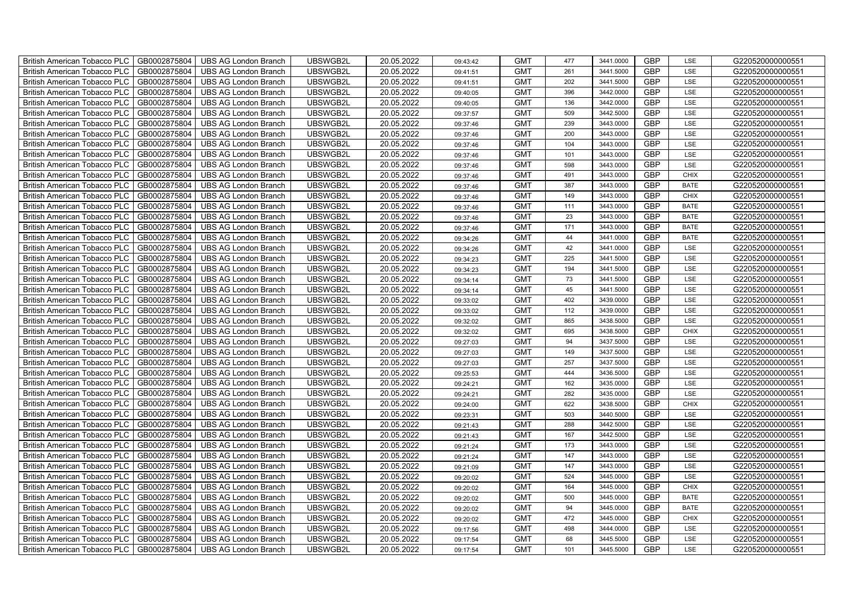| British American Tobacco PLC   GB0002875804 |              | <b>UBS AG London Branch</b> | UBSWGB2L | 20.05.2022 | 09:43:42 | <b>GMT</b> | 477 | 3441.0000 | <b>GBP</b> | LSE         | G220520000000551 |
|---------------------------------------------|--------------|-----------------------------|----------|------------|----------|------------|-----|-----------|------------|-------------|------------------|
| <b>British American Tobacco PLC</b>         | GB0002875804 | <b>UBS AG London Branch</b> | UBSWGB2L | 20.05.2022 | 09:41:51 | <b>GMT</b> | 261 | 3441.5000 | <b>GBP</b> | LSE         | G220520000000551 |
| <b>British American Tobacco PLC</b>         | GB0002875804 | <b>UBS AG London Branch</b> | UBSWGB2L | 20.05.2022 | 09:41:51 | <b>GMT</b> | 202 | 3441.5000 | <b>GBP</b> | LSE         | G220520000000551 |
| <b>British American Tobacco PLC</b>         | GB0002875804 | <b>UBS AG London Branch</b> | UBSWGB2L | 20.05.2022 | 09:40:05 | <b>GMT</b> | 396 | 3442.0000 | <b>GBP</b> | LSE         | G220520000000551 |
| <b>British American Tobacco PLC</b>         | GB0002875804 | UBS AG London Branch        | UBSWGB2L | 20.05.2022 | 09:40:05 | <b>GMT</b> | 136 | 3442.0000 | <b>GBP</b> | LSE         | G220520000000551 |
| <b>British American Tobacco PLC</b>         | GB0002875804 | <b>UBS AG London Branch</b> | UBSWGB2L | 20.05.2022 | 09:37:57 | <b>GMT</b> | 509 | 3442.5000 | <b>GBP</b> | LSE         | G220520000000551 |
| <b>British American Tobacco PLC</b>         | GB0002875804 | <b>UBS AG London Branch</b> | UBSWGB2L | 20.05.2022 | 09:37:46 | <b>GMT</b> | 239 | 3443.0000 | <b>GBP</b> | LSE         | G220520000000551 |
| <b>British American Tobacco PLC</b>         | GB0002875804 | <b>UBS AG London Branch</b> | UBSWGB2L | 20.05.2022 | 09:37:46 | <b>GMT</b> | 200 | 3443.0000 | <b>GBP</b> | LSE         | G220520000000551 |
| <b>British American Tobacco PLC</b>         | GB0002875804 | <b>UBS AG London Branch</b> | UBSWGB2L | 20.05.2022 | 09:37:46 | <b>GMT</b> | 104 | 3443.0000 | <b>GBP</b> | LSE         | G220520000000551 |
| <b>British American Tobacco PLC</b>         | GB0002875804 | <b>UBS AG London Branch</b> | UBSWGB2L | 20.05.2022 | 09:37:46 | <b>GMT</b> | 101 | 3443.0000 | <b>GBP</b> | LSE         | G220520000000551 |
| <b>British American Tobacco PLC</b>         | GB0002875804 | <b>UBS AG London Branch</b> | UBSWGB2L | 20.05.2022 | 09:37:46 | <b>GMT</b> | 598 | 3443.0000 | <b>GBP</b> | LSE         | G220520000000551 |
| British American Tobacco PLC                | GB0002875804 | <b>UBS AG London Branch</b> | UBSWGB2L | 20.05.2022 | 09:37:46 | <b>GMT</b> | 491 | 3443.0000 | <b>GBP</b> | <b>CHIX</b> | G220520000000551 |
| British American Tobacco PLC                | GB0002875804 | <b>UBS AG London Branch</b> | UBSWGB2L | 20.05.2022 | 09:37:46 | <b>GMT</b> | 387 | 3443.0000 | <b>GBP</b> | <b>BATE</b> | G220520000000551 |
| British American Tobacco PLC                | GB0002875804 | UBS AG London Branch        | UBSWGB2L | 20.05.2022 | 09:37:46 | <b>GMT</b> | 149 | 3443.0000 | <b>GBP</b> | <b>CHIX</b> | G220520000000551 |
| British American Tobacco PLC                | GB0002875804 | <b>UBS AG London Branch</b> | UBSWGB2L | 20.05.2022 | 09:37:46 | <b>GMT</b> | 111 | 3443.0000 | <b>GBP</b> | <b>BATE</b> | G220520000000551 |
| British American Tobacco PLC                | GB0002875804 | <b>UBS AG London Branch</b> | UBSWGB2L | 20.05.2022 | 09:37:46 | <b>GMT</b> | 23  | 3443.0000 | GBP        | <b>BATE</b> | G220520000000551 |
| British American Tobacco PLC                | GB0002875804 | <b>UBS AG London Branch</b> | UBSWGB2L | 20.05.2022 | 09:37:46 | <b>GMT</b> | 171 | 3443.0000 | <b>GBP</b> | <b>BATE</b> | G220520000000551 |
| British American Tobacco PLC                | GB0002875804 | <b>UBS AG London Branch</b> | UBSWGB2L | 20.05.2022 | 09:34:26 | <b>GMT</b> | 44  | 3441.0000 | <b>GBP</b> | <b>BATE</b> | G220520000000551 |
| British American Tobacco PLC                | GB0002875804 | <b>UBS AG London Branch</b> | UBSWGB2L | 20.05.2022 | 09:34:26 | <b>GMT</b> | 42  | 3441.0000 | <b>GBP</b> | LSE         | G220520000000551 |
| <b>British American Tobacco PLC</b>         | GB0002875804 | <b>UBS AG London Branch</b> | UBSWGB2L | 20.05.2022 | 09:34:23 | <b>GMT</b> | 225 | 3441.5000 | <b>GBP</b> | <b>LSE</b>  | G220520000000551 |
| British American Tobacco PLC                | GB0002875804 | UBS AG London Branch        | UBSWGB2L | 20.05.2022 | 09:34:23 | <b>GMT</b> | 194 | 3441.5000 | <b>GBP</b> | LSE         | G220520000000551 |
| British American Tobacco PLC                | GB0002875804 | <b>UBS AG London Branch</b> | UBSWGB2L | 20.05.2022 | 09:34:14 | <b>GMT</b> | 73  | 3441.5000 | GBP        | LSE         | G220520000000551 |
| British American Tobacco PLC                | GB0002875804 | <b>UBS AG London Branch</b> | UBSWGB2L | 20.05.2022 | 09:34:14 | <b>GMT</b> | 45  | 3441.5000 | GBP        | LSE         | G220520000000551 |
| British American Tobacco PLC                | GB0002875804 | UBS AG London Branch        | UBSWGB2L | 20.05.2022 | 09:33:02 | <b>GMT</b> | 402 | 3439.0000 | <b>GBP</b> | LSE         | G220520000000551 |
| British American Tobacco PLC                | GB0002875804 | <b>UBS AG London Branch</b> | UBSWGB2L | 20.05.2022 | 09:33:02 | <b>GMT</b> | 112 | 3439.0000 | GBP        | LSE         | G220520000000551 |
| British American Tobacco PLC                | GB0002875804 | <b>UBS AG London Branch</b> | UBSWGB2L | 20.05.2022 | 09:32:02 | <b>GMT</b> | 865 | 3438.5000 | GBP        | LSE         | G220520000000551 |
| British American Tobacco PLC                | GB0002875804 | <b>UBS AG London Branch</b> | UBSWGB2L | 20.05.2022 | 09:32:02 | <b>GMT</b> | 695 | 3438.5000 | GBP        | <b>CHIX</b> | G220520000000551 |
| British American Tobacco PLC                | GB0002875804 | <b>UBS AG London Branch</b> | UBSWGB2L | 20.05.2022 | 09:27:03 | <b>GMT</b> | 94  | 3437.5000 | <b>GBP</b> | LSE         | G220520000000551 |
| <b>British American Tobacco PLC</b>         | GB0002875804 | <b>UBS AG London Branch</b> | UBSWGB2L | 20.05.2022 | 09:27:03 | <b>GMT</b> | 149 | 3437.5000 | GBP        | LSE         | G220520000000551 |
| British American Tobacco PLC                | GB0002875804 | UBS AG London Branch        | UBSWGB2L | 20.05.2022 | 09:27:03 | <b>GMT</b> | 257 | 3437.5000 | <b>GBP</b> | LSE         | G220520000000551 |
| British American Tobacco PLC                | GB0002875804 | <b>UBS AG London Branch</b> | UBSWGB2L | 20.05.2022 | 09:25:53 | <b>GMT</b> | 444 | 3436.5000 | GBP        | LSE         | G220520000000551 |
| British American Tobacco PLC                | GB0002875804 | <b>UBS AG London Branch</b> | UBSWGB2L | 20.05.2022 | 09:24:21 | <b>GMT</b> | 162 | 3435.0000 | GBP        | LSE         | G220520000000551 |
| British American Tobacco PLC                | GB0002875804 | <b>UBS AG London Branch</b> | UBSWGB2L | 20.05.2022 | 09:24:21 | <b>GMT</b> | 282 | 3435.0000 | <b>GBP</b> | LSE         | G220520000000551 |
| British American Tobacco PLC                | GB0002875804 | <b>UBS AG London Branch</b> | UBSWGB2L | 20.05.2022 | 09:24:00 | <b>GMT</b> | 622 | 3438.5000 | <b>GBP</b> | <b>CHIX</b> | G220520000000551 |
| British American Tobacco PLC                | GB0002875804 | <b>UBS AG London Branch</b> | UBSWGB2L | 20.05.2022 | 09:23:31 | <b>GMT</b> | 503 | 3440.5000 | <b>GBP</b> | LSE         | G220520000000551 |
| British American Tobacco PLC                | GB0002875804 | <b>UBS AG London Branch</b> | UBSWGB2L | 20.05.2022 | 09:21:43 | <b>GMT</b> | 288 | 3442.5000 | <b>GBP</b> | LSE         | G220520000000551 |
| British American Tobacco PLC                | GB0002875804 | <b>UBS AG London Branch</b> | UBSWGB2L | 20.05.2022 | 09:21:43 | <b>GMT</b> | 167 | 3442.5000 | GBP        | LSE         | G220520000000551 |
| <b>British American Tobacco PLC</b>         | GB0002875804 | <b>UBS AG London Branch</b> | UBSWGB2L | 20.05.2022 | 09:21:24 | <b>GMT</b> | 173 | 3443.0000 | <b>GBP</b> | LSE         | G220520000000551 |
| <b>British American Tobacco PLC</b>         | GB0002875804 | UBS AG London Branch        | UBSWGB2L | 20.05.2022 | 09:21:24 | <b>GMT</b> | 147 | 3443.0000 | <b>GBP</b> | LSE         | G220520000000551 |
| British American Tobacco PLC                | GB0002875804 | <b>UBS AG London Branch</b> | UBSWGB2L | 20.05.2022 | 09:21:09 | <b>GMT</b> | 147 | 3443.0000 | <b>GBP</b> | LSE         | G220520000000551 |
| British American Tobacco PLC                | GB0002875804 | <b>UBS AG London Branch</b> | UBSWGB2L | 20.05.2022 | 09:20:02 | <b>GMT</b> | 524 | 3445.0000 | GBP        | LSE         | G220520000000551 |
| British American Tobacco PLC                | GB0002875804 | UBS AG London Branch        | UBSWGB2L | 20.05.2022 | 09:20:02 | <b>GMT</b> | 164 | 3445.0000 | <b>GBP</b> | <b>CHIX</b> | G220520000000551 |
| British American Tobacco PLC                | GB0002875804 | <b>UBS AG London Branch</b> | UBSWGB2L | 20.05.2022 | 09:20:02 | <b>GMT</b> | 500 | 3445.0000 | <b>GBP</b> | <b>BATE</b> | G220520000000551 |
| British American Tobacco PLC                | GB0002875804 | <b>UBS AG London Branch</b> | UBSWGB2L | 20.05.2022 | 09:20:02 | <b>GMT</b> | 94  | 3445.0000 | <b>GBP</b> | <b>BATE</b> | G220520000000551 |
| British American Tobacco PLC                | GB0002875804 | <b>UBS AG London Branch</b> | UBSWGB2L | 20.05.2022 | 09:20:02 | <b>GMT</b> | 472 | 3445.0000 | <b>GBP</b> | <b>CHIX</b> | G220520000000551 |
| <b>British American Tobacco PLC</b>         | GB0002875804 | <b>UBS AG London Branch</b> | UBSWGB2L | 20.05.2022 | 09:17:56 | <b>GMT</b> | 498 | 3444.0000 | <b>GBP</b> | LSE         | G220520000000551 |
| <b>British American Tobacco PLC</b>         | GB0002875804 | <b>UBS AG London Branch</b> | UBSWGB2L | 20.05.2022 | 09:17:54 | <b>GMT</b> | 68  | 3445.5000 | <b>GBP</b> | LSE         | G220520000000551 |
| British American Tobacco PLC                | GB0002875804 | <b>UBS AG London Branch</b> | UBSWGB2L | 20.05.2022 | 09:17:54 | <b>GMT</b> | 101 | 3445.5000 | <b>GBP</b> | LSE         | G220520000000551 |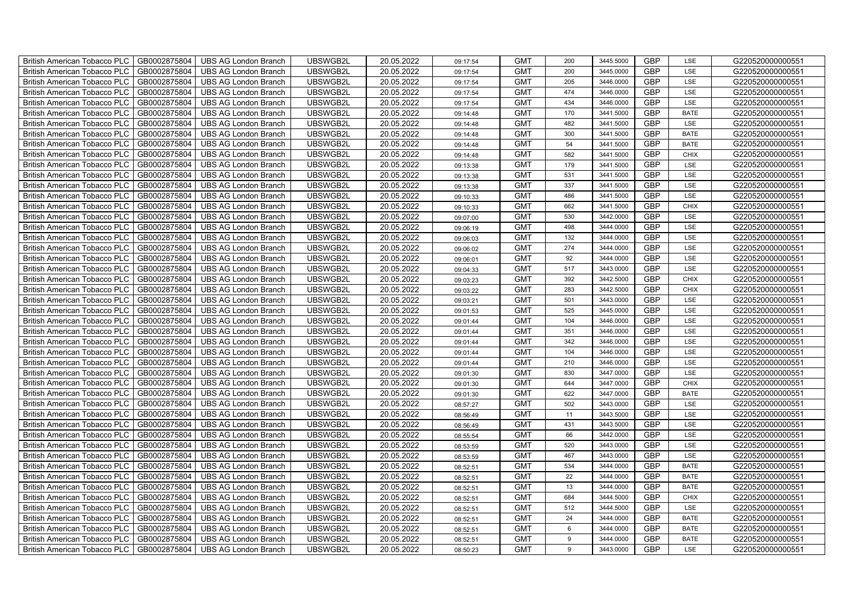| British American Tobacco PLC<br>GB0002875804        | <b>UBS AG London Branch</b> | UBSWGB2L | 20.05.2022 | 09:17:54 | <b>GMT</b> | 200     | 3445.5000 | <b>GBP</b> | LSE         | G220520000000551 |
|-----------------------------------------------------|-----------------------------|----------|------------|----------|------------|---------|-----------|------------|-------------|------------------|
| GB0002875804<br><b>British American Tobacco PLC</b> | <b>UBS AG London Branch</b> | UBSWGB2L | 20.05.2022 | 09:17:54 | <b>GMT</b> | 200     | 3445.0000 | <b>GBP</b> | LSE         | G220520000000551 |
| GB0002875804<br><b>British American Tobacco PLC</b> | UBS AG London Branch        | UBSWGB2L | 20.05.2022 | 09:17:54 | <b>GMT</b> | 205     | 3446.0000 | <b>GBP</b> | LSE         | G220520000000551 |
| GB0002875804<br>British American Tobacco PLC        | <b>UBS AG London Branch</b> | UBSWGB2L | 20.05.2022 | 09:17:54 | <b>GMT</b> | 474     | 3446.0000 | <b>GBP</b> | LSE         | G220520000000551 |
| GB0002875804<br>British American Tobacco PLC        | <b>UBS AG London Branch</b> | UBSWGB2L | 20.05.2022 | 09:17:54 | <b>GMT</b> | 434     | 3446.0000 | <b>GBP</b> | LSE         | G220520000000551 |
| GB0002875804<br>British American Tobacco PLC        | <b>UBS AG London Branch</b> | UBSWGB2L | 20.05.2022 | 09:14:48 | <b>GMT</b> | 170     | 3441.5000 | GBP        | <b>BATE</b> | G220520000000551 |
| GB0002875804<br>British American Tobacco PLC        | <b>UBS AG London Branch</b> | UBSWGB2L | 20.05.2022 | 09:14:48 | <b>GMT</b> | 482     | 3441.5000 | <b>GBP</b> | LSE         | G220520000000551 |
| British American Tobacco PLC<br>GB0002875804        | <b>UBS AG London Branch</b> | UBSWGB2L | 20.05.2022 | 09:14:48 | <b>GMT</b> | 300     | 3441.5000 | <b>GBP</b> | <b>BATE</b> | G220520000000551 |
| GB0002875804<br>British American Tobacco PLC        | <b>UBS AG London Branch</b> | UBSWGB2L | 20.05.2022 | 09:14:48 | <b>GMT</b> | 54      | 3441.5000 | GBP        | <b>BATE</b> | G220520000000551 |
| GB0002875804<br>British American Tobacco PLC        | <b>UBS AG London Branch</b> | UBSWGB2L | 20.05.2022 | 09:14:48 | <b>GMT</b> | 582     | 3441.5000 | GBP        | CHIX        | G220520000000551 |
| <b>British American Tobacco PLC</b><br>GB0002875804 | <b>UBS AG London Branch</b> | UBSWGB2L | 20.05.2022 | 09:13:38 | <b>GMT</b> | 179     | 3441.5000 | GBP        | LSE         | G220520000000551 |
| GB0002875804<br><b>British American Tobacco PLC</b> | <b>UBS AG London Branch</b> | UBSWGB2L | 20.05.2022 | 09:13:38 | <b>GMT</b> | 531     | 3441.5000 | <b>GBP</b> | LSE         | G220520000000551 |
| GB0002875804<br>British American Tobacco PLC        | <b>UBS AG London Branch</b> | UBSWGB2L | 20.05.2022 | 09:13:38 | <b>GMT</b> | 337     | 3441.5000 | GBP        | LSE         | G220520000000551 |
| GB0002875804<br>British American Tobacco PLC        | <b>UBS AG London Branch</b> | UBSWGB2L | 20.05.2022 | 09:10:33 | <b>GMT</b> | 486     | 3441.5000 | GBP        | LSE         | G220520000000551 |
| British American Tobacco PLC<br>GB0002875804        | UBS AG London Branch        | UBSWGB2L | 20.05.2022 | 09:10:33 | <b>GMT</b> | 662     | 3441.5000 | GBP        | CHIX        | G220520000000551 |
| British American Tobacco PLC<br>GB0002875804        | <b>UBS AG London Branch</b> | UBSWGB2L | 20.05.2022 | 09:07:00 | <b>GMT</b> | 530     | 3442.0000 | <b>GBP</b> | LSE         | G220520000000551 |
| GB0002875804<br>British American Tobacco PLC        | <b>UBS AG London Branch</b> | UBSWGB2L | 20.05.2022 | 09:06:19 | <b>GMT</b> | 498     | 3444.0000 | <b>GBP</b> | LSE         | G220520000000551 |
| GB0002875804<br>British American Tobacco PLC        | <b>UBS AG London Branch</b> | UBSWGB2L | 20.05.2022 | 09:06:03 | <b>GMT</b> | 132     | 3444.0000 | GBP        | LSE         | G220520000000551 |
| British American Tobacco PLC<br>GB0002875804        | <b>UBS AG London Branch</b> | UBSWGB2L | 20.05.2022 | 09:06:02 | <b>GMT</b> | 274     | 3444.0000 | GBP        | LSE         | G220520000000551 |
| <b>British American Tobacco PLC</b><br>GB0002875804 | <b>UBS AG London Branch</b> | UBSWGB2L | 20.05.2022 | 09:06:01 | <b>GMT</b> | 92      | 3444.0000 | <b>GBP</b> | LSE         | G220520000000551 |
| GB0002875804<br><b>British American Tobacco PLC</b> | <b>UBS AG London Branch</b> | UBSWGB2L | 20.05.2022 | 09:04:33 | <b>GMT</b> | 517     | 3443.0000 | <b>GBP</b> | LSE         | G220520000000551 |
| GB0002875804<br><b>British American Tobacco PLC</b> | <b>UBS AG London Branch</b> | UBSWGB2L | 20.05.2022 | 09:03:23 | <b>GMT</b> | 392     | 3442.5000 | GBP        | <b>CHIX</b> | G220520000000551 |
| British American Tobacco PLC<br>GB0002875804        | <b>UBS AG London Branch</b> | UBSWGB2L | 20.05.2022 | 09:03:22 | <b>GMT</b> | 283     | 3442.5000 | <b>GBP</b> | <b>CHIX</b> | G220520000000551 |
| <b>British American Tobacco PLC</b><br>GB0002875804 | <b>UBS AG London Branch</b> | UBSWGB2L | 20.05.2022 | 09:03:21 | <b>GMT</b> | 501     | 3443.0000 | <b>GBP</b> | LSE         | G220520000000551 |
| GB0002875804<br>British American Tobacco PLC        | <b>UBS AG London Branch</b> | UBSWGB2L | 20.05.2022 | 09:01:53 | <b>GMT</b> | 525     | 3445.0000 | <b>GBP</b> | LSE         | G220520000000551 |
| <b>British American Tobacco PLC</b><br>GB0002875804 | <b>UBS AG London Branch</b> | UBSWGB2L | 20.05.2022 | 09:01:44 | <b>GMT</b> | 104     | 3446.0000 | <b>GBP</b> | LSE         | G220520000000551 |
| GB0002875804<br><b>British American Tobacco PLC</b> | <b>UBS AG London Branch</b> | UBSWGB2L | 20.05.2022 | 09:01:44 | <b>GMT</b> | 351     | 3446.0000 | <b>GBP</b> | LSE         | G220520000000551 |
| GB0002875804<br>British American Tobacco PLC        | <b>UBS AG London Branch</b> | UBSWGB2L | 20.05.2022 | 09:01:44 | <b>GMT</b> | 342     | 3446.0000 | <b>GBP</b> | LSE         | G220520000000551 |
| GB0002875804<br><b>British American Tobacco PLC</b> | <b>UBS AG London Branch</b> | UBSWGB2L | 20.05.2022 | 09:01:44 | <b>GMT</b> | 104     | 3446.0000 | <b>GBP</b> | LSE         | G220520000000551 |
| GB0002875804<br><b>British American Tobacco PLC</b> | <b>UBS AG London Branch</b> | UBSWGB2L | 20.05.2022 | 09:01:44 | <b>GMT</b> | 210     | 3446.0000 | <b>GBP</b> | LSE         | G220520000000551 |
| GB0002875804<br><b>British American Tobacco PLC</b> | <b>UBS AG London Branch</b> | UBSWGB2L | 20.05.2022 | 09:01:30 | <b>GMT</b> | 830     | 3447.0000 | <b>GBP</b> | LSE         | G220520000000551 |
| GB0002875804<br>British American Tobacco PLC        | UBS AG London Branch        | UBSWGB2L | 20.05.2022 | 09:01:30 | <b>GMT</b> | 644     | 3447.0000 | GBP        | <b>CHIX</b> | G220520000000551 |
| GB0002875804<br>British American Tobacco PLC        | <b>UBS AG London Branch</b> | UBSWGB2L | 20.05.2022 | 09:01:30 | <b>GMT</b> | 622     | 3447.0000 | <b>GBP</b> | <b>BATE</b> | G220520000000551 |
| GB0002875804<br>British American Tobacco PLC        | <b>UBS AG London Branch</b> | UBSWGB2L | 20.05.2022 | 08:57:27 | <b>GMT</b> | 502     | 3443.0000 | <b>GBP</b> | LSE         | G220520000000551 |
| GB0002875804<br><b>British American Tobacco PLC</b> | <b>UBS AG London Branch</b> | UBSWGB2L | 20.05.2022 | 08:56:49 | <b>GMT</b> | 11      | 3443.5000 | <b>GBP</b> | LSE         | G220520000000551 |
| GB0002875804<br><b>British American Tobacco PLC</b> | <b>UBS AG London Branch</b> | UBSWGB2L | 20.05.2022 | 08:56:49 | <b>GMT</b> | 431     | 3443.5000 | <b>GBP</b> | LSE         | G220520000000551 |
| GB0002875804<br>British American Tobacco PLC        | <b>UBS AG London Branch</b> | UBSWGB2L | 20.05.2022 | 08:55:54 | <b>GMT</b> | 66      | 3442.0000 | <b>GBP</b> | LSE         | G220520000000551 |
| GB0002875804<br><b>British American Tobacco PLC</b> | <b>UBS AG London Branch</b> | UBSWGB2L | 20.05.2022 | 08:53:59 | <b>GMT</b> | 520     | 3443.0000 | <b>GBP</b> | LSE         | G220520000000551 |
| GB0002875804<br>British American Tobacco PLC        | <b>UBS AG London Branch</b> | UBSWGB2L | 20.05.2022 | 08:53:59 | <b>GMT</b> | 467     | 3443.0000 | <b>GBP</b> | LSE         | G220520000000551 |
| GB0002875804<br>British American Tobacco PLC        | <b>UBS AG London Branch</b> | UBSWGB2L | 20.05.2022 | 08:52:51 | <b>GMT</b> | 534     | 3444.0000 | GBP        | <b>BATE</b> | G220520000000551 |
| GB0002875804<br>British American Tobacco PLC        | <b>UBS AG London Branch</b> | UBSWGB2L | 20.05.2022 | 08:52:51 | <b>GMT</b> | 22      | 3444.0000 | <b>GBP</b> | <b>BATE</b> | G220520000000551 |
| GB0002875804<br>British American Tobacco PLC        | <b>UBS AG London Branch</b> | UBSWGB2L | 20.05.2022 | 08:52:51 | <b>GMT</b> | 13      | 3444.0000 | GBP        | <b>BATE</b> | G220520000000551 |
| British American Tobacco PLC<br>GB0002875804        | <b>UBS AG London Branch</b> | UBSWGB2L | 20.05.2022 | 08:52:51 | <b>GMT</b> | 684     | 3444.5000 | <b>GBP</b> | CHIX        | G220520000000551 |
| GB0002875804<br>British American Tobacco PLC        | <b>UBS AG London Branch</b> | UBSWGB2L | 20.05.2022 | 08:52:51 | <b>GMT</b> | 512     | 3444.5000 | <b>GBP</b> | LSE         | G220520000000551 |
| GB0002875804<br>British American Tobacco PLC        | <b>UBS AG London Branch</b> | UBSWGB2L | 20.05.2022 | 08:52:51 | <b>GMT</b> | 24      | 3444.0000 | <b>GBP</b> | <b>BATE</b> | G220520000000551 |
| GB0002875804<br>British American Tobacco PLC        | <b>UBS AG London Branch</b> | UBSWGB2L | 20.05.2022 | 08:52:51 | <b>GMT</b> | $\,6\,$ | 3444.0000 | <b>GBP</b> | <b>BATE</b> | G220520000000551 |
| GB0002875804<br><b>British American Tobacco PLC</b> | <b>UBS AG London Branch</b> | UBSWGB2L | 20.05.2022 | 08:52:51 | <b>GMT</b> | 9       | 3444.0000 | <b>GBP</b> | <b>BATE</b> | G220520000000551 |
| British American Tobacco PLC<br>GB0002875804        | <b>UBS AG London Branch</b> | UBSWGB2L | 20.05.2022 | 08:50:23 | <b>GMT</b> | 9       | 3443.0000 | <b>GBP</b> | LSE         | G220520000000551 |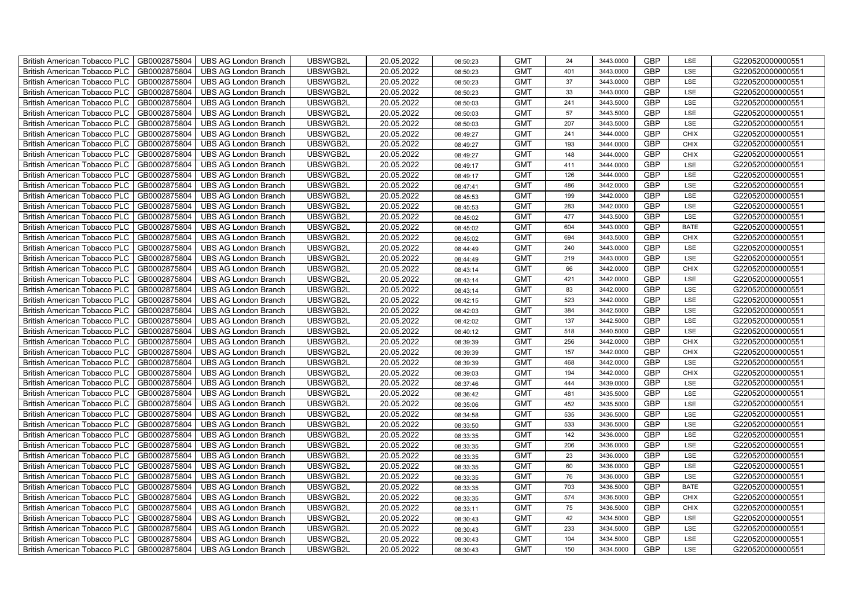| British American Tobacco PLC   GB0002875804 |              | <b>UBS AG London Branch</b> | UBSWGB2L | 20.05.2022 | 08:50:23 | <b>GMT</b> | 24  | 3443.0000 | <b>GBP</b> | LSE         | G220520000000551 |
|---------------------------------------------|--------------|-----------------------------|----------|------------|----------|------------|-----|-----------|------------|-------------|------------------|
| <b>British American Tobacco PLC</b>         | GB0002875804 | <b>UBS AG London Branch</b> | UBSWGB2L | 20.05.2022 | 08:50:23 | <b>GMT</b> | 401 | 3443.0000 | <b>GBP</b> | LSE         | G220520000000551 |
| <b>British American Tobacco PLC</b>         | GB0002875804 | <b>UBS AG London Branch</b> | UBSWGB2L | 20.05.2022 | 08:50:23 | <b>GMT</b> | 37  | 3443.0000 | <b>GBP</b> | LSE         | G220520000000551 |
| <b>British American Tobacco PLC</b>         | GB0002875804 | <b>UBS AG London Branch</b> | UBSWGB2L | 20.05.2022 | 08:50:23 | <b>GMT</b> | 33  | 3443.0000 | <b>GBP</b> | LSE         | G220520000000551 |
| <b>British American Tobacco PLC</b>         | GB0002875804 | UBS AG London Branch        | UBSWGB2L | 20.05.2022 | 08:50:03 | <b>GMT</b> | 241 | 3443.5000 | <b>GBP</b> | LSE         | G220520000000551 |
| <b>British American Tobacco PLC</b>         | GB0002875804 | <b>UBS AG London Branch</b> | UBSWGB2L | 20.05.2022 | 08:50:03 | <b>GMT</b> | 57  | 3443.5000 | <b>GBP</b> | LSE         | G220520000000551 |
| <b>British American Tobacco PLC</b>         | GB0002875804 | <b>UBS AG London Branch</b> | UBSWGB2L | 20.05.2022 | 08:50:03 | <b>GMT</b> | 207 | 3443.5000 | <b>GBP</b> | LSE         | G220520000000551 |
| <b>British American Tobacco PLC</b>         | GB0002875804 | <b>UBS AG London Branch</b> | UBSWGB2L | 20.05.2022 | 08:49:27 | <b>GMT</b> | 241 | 3444.0000 | <b>GBP</b> | <b>CHIX</b> | G220520000000551 |
| <b>British American Tobacco PLC</b>         | GB0002875804 | <b>UBS AG London Branch</b> | UBSWGB2L | 20.05.2022 | 08:49:27 | <b>GMT</b> | 193 | 3444.0000 | <b>GBP</b> | CHIX        | G220520000000551 |
| <b>British American Tobacco PLC</b>         | GB0002875804 | <b>UBS AG London Branch</b> | UBSWGB2L | 20.05.2022 | 08:49:27 | <b>GMT</b> | 148 | 3444.0000 | <b>GBP</b> | <b>CHIX</b> | G220520000000551 |
| <b>British American Tobacco PLC</b>         | GB0002875804 | <b>UBS AG London Branch</b> | UBSWGB2L | 20.05.2022 | 08:49:17 | <b>GMT</b> | 411 | 3444.0000 | <b>GBP</b> | LSE         | G220520000000551 |
| British American Tobacco PLC                | GB0002875804 | <b>UBS AG London Branch</b> | UBSWGB2L | 20.05.2022 | 08:49:17 | <b>GMT</b> | 126 | 3444.0000 | <b>GBP</b> | LSE         | G220520000000551 |
| British American Tobacco PLC                | GB0002875804 | <b>UBS AG London Branch</b> | UBSWGB2L | 20.05.2022 | 08:47:41 | <b>GMT</b> | 486 | 3442.0000 | <b>GBP</b> | LSE         | G220520000000551 |
| British American Tobacco PLC                | GB0002875804 | UBS AG London Branch        | UBSWGB2L | 20.05.2022 | 08:45:53 | <b>GMT</b> | 199 | 3442.0000 | <b>GBP</b> | LSE         | G220520000000551 |
| British American Tobacco PLC                | GB0002875804 | <b>UBS AG London Branch</b> | UBSWGB2L | 20.05.2022 | 08:45:53 | <b>GMT</b> | 283 | 3442.0000 | <b>GBP</b> | LSE         | G220520000000551 |
| British American Tobacco PLC                | GB0002875804 | <b>UBS AG London Branch</b> | UBSWGB2L | 20.05.2022 | 08:45:02 | <b>GMT</b> | 477 | 3443.5000 | GBP        | LSE         | G220520000000551 |
| British American Tobacco PLC                | GB0002875804 | <b>UBS AG London Branch</b> | UBSWGB2L | 20.05.2022 | 08:45:02 | <b>GMT</b> | 604 | 3443.0000 | <b>GBP</b> | <b>BATE</b> | G220520000000551 |
| British American Tobacco PLC                | GB0002875804 | <b>UBS AG London Branch</b> | UBSWGB2L | 20.05.2022 | 08:45:02 | <b>GMT</b> | 694 | 3443.5000 | <b>GBP</b> | <b>CHIX</b> | G220520000000551 |
| British American Tobacco PLC                | GB0002875804 | <b>UBS AG London Branch</b> | UBSWGB2L | 20.05.2022 | 08:44:49 | <b>GMT</b> | 240 | 3443.0000 | <b>GBP</b> | LSE         | G220520000000551 |
| <b>British American Tobacco PLC</b>         | GB0002875804 | <b>UBS AG London Branch</b> | UBSWGB2L | 20.05.2022 | 08:44:49 | <b>GMT</b> | 219 | 3443.0000 | <b>GBP</b> | <b>LSE</b>  | G220520000000551 |
| British American Tobacco PLC                | GB0002875804 | UBS AG London Branch        | UBSWGB2L | 20.05.2022 | 08:43:14 | <b>GMT</b> | 66  | 3442.0000 | <b>GBP</b> | <b>CHIX</b> | G220520000000551 |
| British American Tobacco PLC                | GB0002875804 | <b>UBS AG London Branch</b> | UBSWGB2L | 20.05.2022 | 08:43:14 | <b>GMT</b> | 421 | 3442.0000 | GBP        | LSE         | G220520000000551 |
| British American Tobacco PLC                | GB0002875804 | <b>UBS AG London Branch</b> | UBSWGB2L | 20.05.2022 | 08:43:14 | <b>GMT</b> | 83  | 3442.0000 | GBP        | LSE         | G220520000000551 |
| British American Tobacco PLC                | GB0002875804 | UBS AG London Branch        | UBSWGB2L | 20.05.2022 | 08:42:15 | <b>GMT</b> | 523 | 3442.0000 | <b>GBP</b> | LSE         | G220520000000551 |
| British American Tobacco PLC                | GB0002875804 | <b>UBS AG London Branch</b> | UBSWGB2L | 20.05.2022 | 08:42:03 | <b>GMT</b> | 384 | 3442.5000 | GBP        | LSE         | G220520000000551 |
| British American Tobacco PLC                | GB0002875804 | <b>UBS AG London Branch</b> | UBSWGB2L | 20.05.2022 | 08:42:02 | <b>GMT</b> | 137 | 3442.5000 | GBP        | LSE         | G220520000000551 |
| British American Tobacco PLC                | GB0002875804 | <b>UBS AG London Branch</b> | UBSWGB2L | 20.05.2022 | 08:40:12 | <b>GMT</b> | 518 | 3440.5000 | GBP        | LSE         | G220520000000551 |
| British American Tobacco PLC                | GB0002875804 | <b>UBS AG London Branch</b> | UBSWGB2L | 20.05.2022 | 08:39:39 | <b>GMT</b> | 256 | 3442.0000 | GBP        | <b>CHIX</b> | G220520000000551 |
| <b>British American Tobacco PLC</b>         | GB0002875804 | <b>UBS AG London Branch</b> | UBSWGB2L | 20.05.2022 | 08:39:39 | <b>GMT</b> | 157 | 3442.0000 | GBP        | <b>CHIX</b> | G220520000000551 |
| British American Tobacco PLC                | GB0002875804 | UBS AG London Branch        | UBSWGB2L | 20.05.2022 | 08:39:39 | <b>GMT</b> | 468 | 3442.0000 | <b>GBP</b> | LSE         | G220520000000551 |
| British American Tobacco PLC                | GB0002875804 | <b>UBS AG London Branch</b> | UBSWGB2L | 20.05.2022 | 08:39:03 | <b>GMT</b> | 194 | 3442.0000 | GBP        | <b>CHIX</b> | G220520000000551 |
| British American Tobacco PLC                | GB0002875804 | <b>UBS AG London Branch</b> | UBSWGB2L | 20.05.2022 | 08:37:46 | <b>GMT</b> | 444 | 3439.0000 | GBP        | LSE         | G220520000000551 |
| British American Tobacco PLC                | GB0002875804 | <b>UBS AG London Branch</b> | UBSWGB2L | 20.05.2022 | 08:36:42 | <b>GMT</b> | 481 | 3435.5000 | <b>GBP</b> | LSE         | G220520000000551 |
| British American Tobacco PLC                | GB0002875804 | <b>UBS AG London Branch</b> | UBSWGB2L | 20.05.2022 | 08:35:06 | <b>GMT</b> | 452 | 3435.5000 | <b>GBP</b> | LSE         | G220520000000551 |
| British American Tobacco PLC                | GB0002875804 | <b>UBS AG London Branch</b> | UBSWGB2L | 20.05.2022 | 08:34:58 | <b>GMT</b> | 535 | 3436.5000 | GBP        | LSE         | G220520000000551 |
| British American Tobacco PLC                | GB0002875804 | <b>UBS AG London Branch</b> | UBSWGB2L | 20.05.2022 | 08:33:50 | <b>GMT</b> | 533 | 3436.5000 | GBP        | LSE         | G220520000000551 |
| British American Tobacco PLC                | GB0002875804 | <b>UBS AG London Branch</b> | UBSWGB2L | 20.05.2022 | 08:33:35 | <b>GMT</b> | 142 | 3436.0000 | GBP        | LSE         | G220520000000551 |
| <b>British American Tobacco PLC</b>         | GB0002875804 | <b>UBS AG London Branch</b> | UBSWGB2L | 20.05.2022 | 08:33:35 | <b>GMT</b> | 206 | 3436.0000 | <b>GBP</b> | LSE         | G220520000000551 |
| <b>British American Tobacco PLC</b>         | GB0002875804 | UBS AG London Branch        | UBSWGB2L | 20.05.2022 | 08:33:35 | <b>GMT</b> | 23  | 3436.0000 | <b>GBP</b> | LSE         | G220520000000551 |
| British American Tobacco PLC                | GB0002875804 | <b>UBS AG London Branch</b> | UBSWGB2L | 20.05.2022 | 08:33:35 | <b>GMT</b> | 60  | 3436.0000 | <b>GBP</b> | LSE         | G220520000000551 |
| British American Tobacco PLC                | GB0002875804 | <b>UBS AG London Branch</b> | UBSWGB2L | 20.05.2022 | 08:33:35 | <b>GMT</b> | 76  | 3436.0000 | GBP        | LSE         | G220520000000551 |
| British American Tobacco PLC                | GB0002875804 | UBS AG London Branch        | UBSWGB2L | 20.05.2022 | 08:33:35 | <b>GMT</b> | 703 | 3436.5000 | <b>GBP</b> | <b>BATE</b> | G220520000000551 |
| British American Tobacco PLC                | GB0002875804 | <b>UBS AG London Branch</b> | UBSWGB2L | 20.05.2022 | 08:33:35 | <b>GMT</b> | 574 | 3436.5000 | <b>GBP</b> | <b>CHIX</b> | G220520000000551 |
| British American Tobacco PLC                | GB0002875804 | <b>UBS AG London Branch</b> | UBSWGB2L | 20.05.2022 | 08:33:11 | <b>GMT</b> | 75  | 3436.5000 | <b>GBP</b> | <b>CHIX</b> | G220520000000551 |
| British American Tobacco PLC                | GB0002875804 | <b>UBS AG London Branch</b> | UBSWGB2L | 20.05.2022 | 08:30:43 | <b>GMT</b> | 42  | 3434.5000 | GBP        | LSE         | G220520000000551 |
| <b>British American Tobacco PLC</b>         | GB0002875804 | <b>UBS AG London Branch</b> | UBSWGB2L | 20.05.2022 | 08:30:43 | <b>GMT</b> | 233 | 3434.5000 | <b>GBP</b> | LSE         | G220520000000551 |
| <b>British American Tobacco PLC</b>         | GB0002875804 | <b>UBS AG London Branch</b> | UBSWGB2L | 20.05.2022 | 08:30:43 | <b>GMT</b> | 104 | 3434.5000 | <b>GBP</b> | LSE         | G220520000000551 |
| British American Tobacco PLC                | GB0002875804 | <b>UBS AG London Branch</b> | UBSWGB2L | 20.05.2022 | 08:30:43 | <b>GMT</b> | 150 | 3434.5000 | <b>GBP</b> | LSE         | G220520000000551 |
|                                             |              |                             |          |            |          |            |     |           |            |             |                  |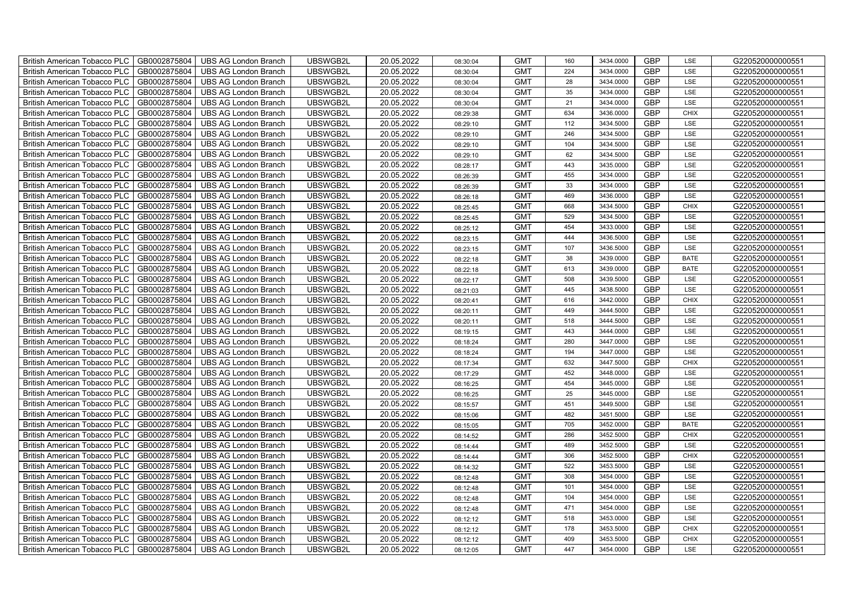| GB0002875804<br>UBSWGB2L<br>20.05.2022<br><b>GMT</b><br><b>GBP</b><br>G220520000000551<br><b>British American Tobacco PLC</b><br><b>UBS AG London Branch</b><br>224<br>3434.0000<br>LSE<br>08:30:04<br><b>GBP</b><br>GB0002875804<br><b>UBS AG London Branch</b><br>UBSWGB2L<br>20.05.2022<br><b>GMT</b><br><b>British American Tobacco PLC</b><br>28<br>3434.0000<br>LSE<br>G220520000000551<br>08:30:04<br>GB0002875804<br><b>GMT</b><br>35<br><b>GBP</b><br>G220520000000551<br>British American Tobacco PLC<br><b>UBS AG London Branch</b><br>UBSWGB2L<br>20.05.2022<br>3434.0000<br>LSE<br>08:30:04<br>GB0002875804<br>UBSWGB2L<br>20.05.2022<br><b>GMT</b><br>21<br>3434.0000<br><b>GBP</b><br>LSE<br>G220520000000551<br><b>British American Tobacco PLC</b><br><b>UBS AG London Branch</b><br>08:30:04<br><b>GBP</b><br>GB0002875804<br>UBSWGB2L<br>20.05.2022<br><b>GMT</b><br>634<br>3436.0000<br>G220520000000551<br>British American Tobacco PLC<br><b>UBS AG London Branch</b><br><b>CHIX</b><br>08:29:38<br>GB0002875804<br>20.05.2022<br>112<br>3434.5000<br><b>GBP</b><br>LSE<br><b>British American Tobacco PLC</b><br><b>UBS AG London Branch</b><br>UBSWGB2L<br><b>GMT</b><br>G220520000000551<br>08:29:10<br><b>GBP</b><br>British American Tobacco PLC<br>GB0002875804<br>UBSWGB2L<br>20.05.2022<br><b>GMT</b><br>246<br>3434.5000<br>G220520000000551<br><b>UBS AG London Branch</b><br>LSE<br>08:29:10<br><b>GBP</b><br>GB0002875804<br>UBSWGB2L<br>20.05.2022<br><b>GMT</b><br>104<br>G220520000000551<br><b>British American Tobacco PLC</b><br><b>UBS AG London Branch</b><br>3434.5000<br>LSE<br>08:29:10<br>GB0002875804<br>UBSWGB2L<br>20.05.2022<br><b>GMT</b><br>62<br><b>GBP</b><br>G220520000000551<br>British American Tobacco PLC<br><b>UBS AG London Branch</b><br>3434.5000<br>LSE<br>08:29:10<br><b>British American Tobacco PLC</b><br>GB0002875804<br>UBSWGB2L<br>20.05.2022<br><b>GMT</b><br>443<br><b>GBP</b><br>G220520000000551<br><b>UBS AG London Branch</b><br>3435.0000<br>LSE<br>08:28:17<br><b>GBP</b><br>GB0002875804<br>UBSWGB2L<br>20.05.2022<br><b>GMT</b><br>455<br>G220520000000551<br><b>British American Tobacco PLC</b><br><b>UBS AG London Branch</b><br>3434.0000<br>LSE<br>08:26:39<br>GB0002875804<br><b>GMT</b><br><b>GBP</b><br>British American Tobacco PLC<br><b>UBS AG London Branch</b><br>UBSWGB2L<br>20.05.2022<br>33<br>3434.0000<br>LSE<br>G220520000000551<br>08:26:39<br>GB0002875804<br>UBSWGB2L<br>20.05.2022<br><b>GMT</b><br><b>GBP</b><br>G220520000000551<br>British American Tobacco PLC<br><b>UBS AG London Branch</b><br>469<br>3436.0000<br>LSE<br>08:26:18<br><b>GBP</b><br>GB0002875804<br>UBSWGB2L<br>20.05.2022<br><b>GMT</b><br>668<br>3434.5000<br>G220520000000551<br>British American Tobacco PLC<br><b>UBS AG London Branch</b><br><b>CHIX</b><br>08:25:45<br><b>GBP</b><br>GB0002875804<br>20.05.2022<br>529<br>3434.5000<br>LSE<br>British American Tobacco PLC<br><b>UBS AG London Branch</b><br>UBSWGB2L<br><b>GMT</b><br>G220520000000551<br>08:25:45<br><b>GBP</b><br><b>GMT</b><br>British American Tobacco PLC<br>GB0002875804<br>UBSWGB2L<br>20.05.2022<br>454<br>3433.0000<br>LSE<br>G220520000000551<br><b>UBS AG London Branch</b><br>08:25:12<br><b>GBP</b><br>GB0002875804<br>UBSWGB2L<br>20.05.2022<br><b>GMT</b><br>444<br>G220520000000551<br>British American Tobacco PLC<br><b>UBS AG London Branch</b><br>3436.5000<br>LSE<br>08:23:15<br>GB0002875804<br>UBSWGB2L<br>20.05.2022<br><b>GMT</b><br>107<br><b>GBP</b><br>G220520000000551<br>British American Tobacco PLC<br><b>UBS AG London Branch</b><br>3436.5000<br>LSE<br>08:23:15<br><b>British American Tobacco PLC</b><br>GB0002875804<br><b>UBS AG London Branch</b><br>UBSWGB2L<br>20.05.2022<br><b>GMT</b><br>38<br>GBP<br>G220520000000551<br>3439.0000<br><b>BATE</b><br>08:22:18<br><b>GBP</b><br>GB0002875804<br><b>UBS AG London Branch</b><br>UBSWGB2L<br>20.05.2022<br><b>GMT</b><br><b>British American Tobacco PLC</b><br>613<br>3439.0000<br><b>BATE</b><br>G220520000000551<br>08:22:18<br>GB0002875804<br><b>GMT</b><br>GBP<br>G220520000000551<br>British American Tobacco PLC<br><b>UBS AG London Branch</b><br>UBSWGB2L<br>20.05.2022<br>508<br>3439.5000<br>LSE<br>08:22:17 |  |
|-------------------------------------------------------------------------------------------------------------------------------------------------------------------------------------------------------------------------------------------------------------------------------------------------------------------------------------------------------------------------------------------------------------------------------------------------------------------------------------------------------------------------------------------------------------------------------------------------------------------------------------------------------------------------------------------------------------------------------------------------------------------------------------------------------------------------------------------------------------------------------------------------------------------------------------------------------------------------------------------------------------------------------------------------------------------------------------------------------------------------------------------------------------------------------------------------------------------------------------------------------------------------------------------------------------------------------------------------------------------------------------------------------------------------------------------------------------------------------------------------------------------------------------------------------------------------------------------------------------------------------------------------------------------------------------------------------------------------------------------------------------------------------------------------------------------------------------------------------------------------------------------------------------------------------------------------------------------------------------------------------------------------------------------------------------------------------------------------------------------------------------------------------------------------------------------------------------------------------------------------------------------------------------------------------------------------------------------------------------------------------------------------------------------------------------------------------------------------------------------------------------------------------------------------------------------------------------------------------------------------------------------------------------------------------------------------------------------------------------------------------------------------------------------------------------------------------------------------------------------------------------------------------------------------------------------------------------------------------------------------------------------------------------------------------------------------------------------------------------------------------------------------------------------------------------------------------------------------------------------------------------------------------------------------------------------------------------------------------------------------------------------------------------------------------------------------------------------------------------------------------------------------------------------------------------------------------------------------------------------------------------------------------------------------------------------------------------------------------------------------------------------------------------------------------------------------------------------------------------------------------------------------------------------------------------------------------------------------------------------------------------------------------------------------------------------------------------------------------------------------------------------------------------------------------------------------------------------------------------------------------------------------|--|
|                                                                                                                                                                                                                                                                                                                                                                                                                                                                                                                                                                                                                                                                                                                                                                                                                                                                                                                                                                                                                                                                                                                                                                                                                                                                                                                                                                                                                                                                                                                                                                                                                                                                                                                                                                                                                                                                                                                                                                                                                                                                                                                                                                                                                                                                                                                                                                                                                                                                                                                                                                                                                                                                                                                                                                                                                                                                                                                                                                                                                                                                                                                                                                                                                                                                                                                                                                                                                                                                                                                                                                                                                                                                                                                                                                                                                                                                                                                                                                                                                                                                                                                                                                                                                                                                         |  |
|                                                                                                                                                                                                                                                                                                                                                                                                                                                                                                                                                                                                                                                                                                                                                                                                                                                                                                                                                                                                                                                                                                                                                                                                                                                                                                                                                                                                                                                                                                                                                                                                                                                                                                                                                                                                                                                                                                                                                                                                                                                                                                                                                                                                                                                                                                                                                                                                                                                                                                                                                                                                                                                                                                                                                                                                                                                                                                                                                                                                                                                                                                                                                                                                                                                                                                                                                                                                                                                                                                                                                                                                                                                                                                                                                                                                                                                                                                                                                                                                                                                                                                                                                                                                                                                                         |  |
|                                                                                                                                                                                                                                                                                                                                                                                                                                                                                                                                                                                                                                                                                                                                                                                                                                                                                                                                                                                                                                                                                                                                                                                                                                                                                                                                                                                                                                                                                                                                                                                                                                                                                                                                                                                                                                                                                                                                                                                                                                                                                                                                                                                                                                                                                                                                                                                                                                                                                                                                                                                                                                                                                                                                                                                                                                                                                                                                                                                                                                                                                                                                                                                                                                                                                                                                                                                                                                                                                                                                                                                                                                                                                                                                                                                                                                                                                                                                                                                                                                                                                                                                                                                                                                                                         |  |
|                                                                                                                                                                                                                                                                                                                                                                                                                                                                                                                                                                                                                                                                                                                                                                                                                                                                                                                                                                                                                                                                                                                                                                                                                                                                                                                                                                                                                                                                                                                                                                                                                                                                                                                                                                                                                                                                                                                                                                                                                                                                                                                                                                                                                                                                                                                                                                                                                                                                                                                                                                                                                                                                                                                                                                                                                                                                                                                                                                                                                                                                                                                                                                                                                                                                                                                                                                                                                                                                                                                                                                                                                                                                                                                                                                                                                                                                                                                                                                                                                                                                                                                                                                                                                                                                         |  |
|                                                                                                                                                                                                                                                                                                                                                                                                                                                                                                                                                                                                                                                                                                                                                                                                                                                                                                                                                                                                                                                                                                                                                                                                                                                                                                                                                                                                                                                                                                                                                                                                                                                                                                                                                                                                                                                                                                                                                                                                                                                                                                                                                                                                                                                                                                                                                                                                                                                                                                                                                                                                                                                                                                                                                                                                                                                                                                                                                                                                                                                                                                                                                                                                                                                                                                                                                                                                                                                                                                                                                                                                                                                                                                                                                                                                                                                                                                                                                                                                                                                                                                                                                                                                                                                                         |  |
|                                                                                                                                                                                                                                                                                                                                                                                                                                                                                                                                                                                                                                                                                                                                                                                                                                                                                                                                                                                                                                                                                                                                                                                                                                                                                                                                                                                                                                                                                                                                                                                                                                                                                                                                                                                                                                                                                                                                                                                                                                                                                                                                                                                                                                                                                                                                                                                                                                                                                                                                                                                                                                                                                                                                                                                                                                                                                                                                                                                                                                                                                                                                                                                                                                                                                                                                                                                                                                                                                                                                                                                                                                                                                                                                                                                                                                                                                                                                                                                                                                                                                                                                                                                                                                                                         |  |
|                                                                                                                                                                                                                                                                                                                                                                                                                                                                                                                                                                                                                                                                                                                                                                                                                                                                                                                                                                                                                                                                                                                                                                                                                                                                                                                                                                                                                                                                                                                                                                                                                                                                                                                                                                                                                                                                                                                                                                                                                                                                                                                                                                                                                                                                                                                                                                                                                                                                                                                                                                                                                                                                                                                                                                                                                                                                                                                                                                                                                                                                                                                                                                                                                                                                                                                                                                                                                                                                                                                                                                                                                                                                                                                                                                                                                                                                                                                                                                                                                                                                                                                                                                                                                                                                         |  |
|                                                                                                                                                                                                                                                                                                                                                                                                                                                                                                                                                                                                                                                                                                                                                                                                                                                                                                                                                                                                                                                                                                                                                                                                                                                                                                                                                                                                                                                                                                                                                                                                                                                                                                                                                                                                                                                                                                                                                                                                                                                                                                                                                                                                                                                                                                                                                                                                                                                                                                                                                                                                                                                                                                                                                                                                                                                                                                                                                                                                                                                                                                                                                                                                                                                                                                                                                                                                                                                                                                                                                                                                                                                                                                                                                                                                                                                                                                                                                                                                                                                                                                                                                                                                                                                                         |  |
|                                                                                                                                                                                                                                                                                                                                                                                                                                                                                                                                                                                                                                                                                                                                                                                                                                                                                                                                                                                                                                                                                                                                                                                                                                                                                                                                                                                                                                                                                                                                                                                                                                                                                                                                                                                                                                                                                                                                                                                                                                                                                                                                                                                                                                                                                                                                                                                                                                                                                                                                                                                                                                                                                                                                                                                                                                                                                                                                                                                                                                                                                                                                                                                                                                                                                                                                                                                                                                                                                                                                                                                                                                                                                                                                                                                                                                                                                                                                                                                                                                                                                                                                                                                                                                                                         |  |
|                                                                                                                                                                                                                                                                                                                                                                                                                                                                                                                                                                                                                                                                                                                                                                                                                                                                                                                                                                                                                                                                                                                                                                                                                                                                                                                                                                                                                                                                                                                                                                                                                                                                                                                                                                                                                                                                                                                                                                                                                                                                                                                                                                                                                                                                                                                                                                                                                                                                                                                                                                                                                                                                                                                                                                                                                                                                                                                                                                                                                                                                                                                                                                                                                                                                                                                                                                                                                                                                                                                                                                                                                                                                                                                                                                                                                                                                                                                                                                                                                                                                                                                                                                                                                                                                         |  |
|                                                                                                                                                                                                                                                                                                                                                                                                                                                                                                                                                                                                                                                                                                                                                                                                                                                                                                                                                                                                                                                                                                                                                                                                                                                                                                                                                                                                                                                                                                                                                                                                                                                                                                                                                                                                                                                                                                                                                                                                                                                                                                                                                                                                                                                                                                                                                                                                                                                                                                                                                                                                                                                                                                                                                                                                                                                                                                                                                                                                                                                                                                                                                                                                                                                                                                                                                                                                                                                                                                                                                                                                                                                                                                                                                                                                                                                                                                                                                                                                                                                                                                                                                                                                                                                                         |  |
|                                                                                                                                                                                                                                                                                                                                                                                                                                                                                                                                                                                                                                                                                                                                                                                                                                                                                                                                                                                                                                                                                                                                                                                                                                                                                                                                                                                                                                                                                                                                                                                                                                                                                                                                                                                                                                                                                                                                                                                                                                                                                                                                                                                                                                                                                                                                                                                                                                                                                                                                                                                                                                                                                                                                                                                                                                                                                                                                                                                                                                                                                                                                                                                                                                                                                                                                                                                                                                                                                                                                                                                                                                                                                                                                                                                                                                                                                                                                                                                                                                                                                                                                                                                                                                                                         |  |
|                                                                                                                                                                                                                                                                                                                                                                                                                                                                                                                                                                                                                                                                                                                                                                                                                                                                                                                                                                                                                                                                                                                                                                                                                                                                                                                                                                                                                                                                                                                                                                                                                                                                                                                                                                                                                                                                                                                                                                                                                                                                                                                                                                                                                                                                                                                                                                                                                                                                                                                                                                                                                                                                                                                                                                                                                                                                                                                                                                                                                                                                                                                                                                                                                                                                                                                                                                                                                                                                                                                                                                                                                                                                                                                                                                                                                                                                                                                                                                                                                                                                                                                                                                                                                                                                         |  |
|                                                                                                                                                                                                                                                                                                                                                                                                                                                                                                                                                                                                                                                                                                                                                                                                                                                                                                                                                                                                                                                                                                                                                                                                                                                                                                                                                                                                                                                                                                                                                                                                                                                                                                                                                                                                                                                                                                                                                                                                                                                                                                                                                                                                                                                                                                                                                                                                                                                                                                                                                                                                                                                                                                                                                                                                                                                                                                                                                                                                                                                                                                                                                                                                                                                                                                                                                                                                                                                                                                                                                                                                                                                                                                                                                                                                                                                                                                                                                                                                                                                                                                                                                                                                                                                                         |  |
|                                                                                                                                                                                                                                                                                                                                                                                                                                                                                                                                                                                                                                                                                                                                                                                                                                                                                                                                                                                                                                                                                                                                                                                                                                                                                                                                                                                                                                                                                                                                                                                                                                                                                                                                                                                                                                                                                                                                                                                                                                                                                                                                                                                                                                                                                                                                                                                                                                                                                                                                                                                                                                                                                                                                                                                                                                                                                                                                                                                                                                                                                                                                                                                                                                                                                                                                                                                                                                                                                                                                                                                                                                                                                                                                                                                                                                                                                                                                                                                                                                                                                                                                                                                                                                                                         |  |
|                                                                                                                                                                                                                                                                                                                                                                                                                                                                                                                                                                                                                                                                                                                                                                                                                                                                                                                                                                                                                                                                                                                                                                                                                                                                                                                                                                                                                                                                                                                                                                                                                                                                                                                                                                                                                                                                                                                                                                                                                                                                                                                                                                                                                                                                                                                                                                                                                                                                                                                                                                                                                                                                                                                                                                                                                                                                                                                                                                                                                                                                                                                                                                                                                                                                                                                                                                                                                                                                                                                                                                                                                                                                                                                                                                                                                                                                                                                                                                                                                                                                                                                                                                                                                                                                         |  |
|                                                                                                                                                                                                                                                                                                                                                                                                                                                                                                                                                                                                                                                                                                                                                                                                                                                                                                                                                                                                                                                                                                                                                                                                                                                                                                                                                                                                                                                                                                                                                                                                                                                                                                                                                                                                                                                                                                                                                                                                                                                                                                                                                                                                                                                                                                                                                                                                                                                                                                                                                                                                                                                                                                                                                                                                                                                                                                                                                                                                                                                                                                                                                                                                                                                                                                                                                                                                                                                                                                                                                                                                                                                                                                                                                                                                                                                                                                                                                                                                                                                                                                                                                                                                                                                                         |  |
|                                                                                                                                                                                                                                                                                                                                                                                                                                                                                                                                                                                                                                                                                                                                                                                                                                                                                                                                                                                                                                                                                                                                                                                                                                                                                                                                                                                                                                                                                                                                                                                                                                                                                                                                                                                                                                                                                                                                                                                                                                                                                                                                                                                                                                                                                                                                                                                                                                                                                                                                                                                                                                                                                                                                                                                                                                                                                                                                                                                                                                                                                                                                                                                                                                                                                                                                                                                                                                                                                                                                                                                                                                                                                                                                                                                                                                                                                                                                                                                                                                                                                                                                                                                                                                                                         |  |
|                                                                                                                                                                                                                                                                                                                                                                                                                                                                                                                                                                                                                                                                                                                                                                                                                                                                                                                                                                                                                                                                                                                                                                                                                                                                                                                                                                                                                                                                                                                                                                                                                                                                                                                                                                                                                                                                                                                                                                                                                                                                                                                                                                                                                                                                                                                                                                                                                                                                                                                                                                                                                                                                                                                                                                                                                                                                                                                                                                                                                                                                                                                                                                                                                                                                                                                                                                                                                                                                                                                                                                                                                                                                                                                                                                                                                                                                                                                                                                                                                                                                                                                                                                                                                                                                         |  |
|                                                                                                                                                                                                                                                                                                                                                                                                                                                                                                                                                                                                                                                                                                                                                                                                                                                                                                                                                                                                                                                                                                                                                                                                                                                                                                                                                                                                                                                                                                                                                                                                                                                                                                                                                                                                                                                                                                                                                                                                                                                                                                                                                                                                                                                                                                                                                                                                                                                                                                                                                                                                                                                                                                                                                                                                                                                                                                                                                                                                                                                                                                                                                                                                                                                                                                                                                                                                                                                                                                                                                                                                                                                                                                                                                                                                                                                                                                                                                                                                                                                                                                                                                                                                                                                                         |  |
|                                                                                                                                                                                                                                                                                                                                                                                                                                                                                                                                                                                                                                                                                                                                                                                                                                                                                                                                                                                                                                                                                                                                                                                                                                                                                                                                                                                                                                                                                                                                                                                                                                                                                                                                                                                                                                                                                                                                                                                                                                                                                                                                                                                                                                                                                                                                                                                                                                                                                                                                                                                                                                                                                                                                                                                                                                                                                                                                                                                                                                                                                                                                                                                                                                                                                                                                                                                                                                                                                                                                                                                                                                                                                                                                                                                                                                                                                                                                                                                                                                                                                                                                                                                                                                                                         |  |
| GB0002875804<br>UBSWGB2L<br>20.05.2022<br><b>GMT</b><br>445<br>GBP<br>G220520000000551<br>British American Tobacco PLC<br><b>UBS AG London Branch</b><br>3438.5000<br>LSE<br>08:21:03                                                                                                                                                                                                                                                                                                                                                                                                                                                                                                                                                                                                                                                                                                                                                                                                                                                                                                                                                                                                                                                                                                                                                                                                                                                                                                                                                                                                                                                                                                                                                                                                                                                                                                                                                                                                                                                                                                                                                                                                                                                                                                                                                                                                                                                                                                                                                                                                                                                                                                                                                                                                                                                                                                                                                                                                                                                                                                                                                                                                                                                                                                                                                                                                                                                                                                                                                                                                                                                                                                                                                                                                                                                                                                                                                                                                                                                                                                                                                                                                                                                                                   |  |
| GBP<br>GB0002875804<br>UBSWGB2L<br>20.05.2022<br><b>GMT</b><br>616<br>3442.0000<br>G220520000000551<br>British American Tobacco PLC<br><b>UBS AG London Branch</b><br><b>CHIX</b><br>08:20:41                                                                                                                                                                                                                                                                                                                                                                                                                                                                                                                                                                                                                                                                                                                                                                                                                                                                                                                                                                                                                                                                                                                                                                                                                                                                                                                                                                                                                                                                                                                                                                                                                                                                                                                                                                                                                                                                                                                                                                                                                                                                                                                                                                                                                                                                                                                                                                                                                                                                                                                                                                                                                                                                                                                                                                                                                                                                                                                                                                                                                                                                                                                                                                                                                                                                                                                                                                                                                                                                                                                                                                                                                                                                                                                                                                                                                                                                                                                                                                                                                                                                           |  |
| 3444.5000<br><b>GBP</b><br>GB0002875804<br>20.05.2022<br><b>GMT</b><br>449<br>LSE<br>British American Tobacco PLC<br><b>UBS AG London Branch</b><br>UBSWGB2L<br>G220520000000551<br>08:20:11                                                                                                                                                                                                                                                                                                                                                                                                                                                                                                                                                                                                                                                                                                                                                                                                                                                                                                                                                                                                                                                                                                                                                                                                                                                                                                                                                                                                                                                                                                                                                                                                                                                                                                                                                                                                                                                                                                                                                                                                                                                                                                                                                                                                                                                                                                                                                                                                                                                                                                                                                                                                                                                                                                                                                                                                                                                                                                                                                                                                                                                                                                                                                                                                                                                                                                                                                                                                                                                                                                                                                                                                                                                                                                                                                                                                                                                                                                                                                                                                                                                                            |  |
| <b>GBP</b><br>GB0002875804<br>UBSWGB2L<br>20.05.2022<br><b>GMT</b><br>518<br>3444.5000<br>LSE<br>British American Tobacco PLC<br><b>UBS AG London Branch</b><br>G220520000000551<br>08:20:11                                                                                                                                                                                                                                                                                                                                                                                                                                                                                                                                                                                                                                                                                                                                                                                                                                                                                                                                                                                                                                                                                                                                                                                                                                                                                                                                                                                                                                                                                                                                                                                                                                                                                                                                                                                                                                                                                                                                                                                                                                                                                                                                                                                                                                                                                                                                                                                                                                                                                                                                                                                                                                                                                                                                                                                                                                                                                                                                                                                                                                                                                                                                                                                                                                                                                                                                                                                                                                                                                                                                                                                                                                                                                                                                                                                                                                                                                                                                                                                                                                                                            |  |
| GBP<br>GB0002875804<br>UBSWGB2L<br>20.05.2022<br><b>GMT</b><br>443<br>G220520000000551<br>British American Tobacco PLC<br><b>UBS AG London Branch</b><br>3444.0000<br>LSE<br>08:19:15                                                                                                                                                                                                                                                                                                                                                                                                                                                                                                                                                                                                                                                                                                                                                                                                                                                                                                                                                                                                                                                                                                                                                                                                                                                                                                                                                                                                                                                                                                                                                                                                                                                                                                                                                                                                                                                                                                                                                                                                                                                                                                                                                                                                                                                                                                                                                                                                                                                                                                                                                                                                                                                                                                                                                                                                                                                                                                                                                                                                                                                                                                                                                                                                                                                                                                                                                                                                                                                                                                                                                                                                                                                                                                                                                                                                                                                                                                                                                                                                                                                                                   |  |
| <b>GBP</b><br>GB0002875804<br>UBSWGB2L<br>20.05.2022<br><b>GMT</b><br>280<br>LSE<br>G220520000000551<br>British American Tobacco PLC<br><b>UBS AG London Branch</b><br>3447.0000<br>08:18:24                                                                                                                                                                                                                                                                                                                                                                                                                                                                                                                                                                                                                                                                                                                                                                                                                                                                                                                                                                                                                                                                                                                                                                                                                                                                                                                                                                                                                                                                                                                                                                                                                                                                                                                                                                                                                                                                                                                                                                                                                                                                                                                                                                                                                                                                                                                                                                                                                                                                                                                                                                                                                                                                                                                                                                                                                                                                                                                                                                                                                                                                                                                                                                                                                                                                                                                                                                                                                                                                                                                                                                                                                                                                                                                                                                                                                                                                                                                                                                                                                                                                            |  |
| <b>GBP</b><br><b>British American Tobacco PLC</b><br>GB0002875804<br><b>UBS AG London Branch</b><br>UBSWGB2L<br>20.05.2022<br><b>GMT</b><br>G220520000000551<br>194<br>3447.0000<br>LSE<br>08:18:24                                                                                                                                                                                                                                                                                                                                                                                                                                                                                                                                                                                                                                                                                                                                                                                                                                                                                                                                                                                                                                                                                                                                                                                                                                                                                                                                                                                                                                                                                                                                                                                                                                                                                                                                                                                                                                                                                                                                                                                                                                                                                                                                                                                                                                                                                                                                                                                                                                                                                                                                                                                                                                                                                                                                                                                                                                                                                                                                                                                                                                                                                                                                                                                                                                                                                                                                                                                                                                                                                                                                                                                                                                                                                                                                                                                                                                                                                                                                                                                                                                                                     |  |
| <b>GBP</b><br>GB0002875804<br><b>UBS AG London Branch</b><br>UBSWGB2L<br>20.05.2022<br><b>GMT</b><br>632<br>G220520000000551<br><b>British American Tobacco PLC</b><br>3447.5000<br><b>CHIX</b><br>08:17:34                                                                                                                                                                                                                                                                                                                                                                                                                                                                                                                                                                                                                                                                                                                                                                                                                                                                                                                                                                                                                                                                                                                                                                                                                                                                                                                                                                                                                                                                                                                                                                                                                                                                                                                                                                                                                                                                                                                                                                                                                                                                                                                                                                                                                                                                                                                                                                                                                                                                                                                                                                                                                                                                                                                                                                                                                                                                                                                                                                                                                                                                                                                                                                                                                                                                                                                                                                                                                                                                                                                                                                                                                                                                                                                                                                                                                                                                                                                                                                                                                                                             |  |
| GB0002875804<br>UBSWGB2L<br>20.05.2022<br><b>GMT</b><br>GBP<br>G220520000000551<br>British American Tobacco PLC<br><b>UBS AG London Branch</b><br>452<br>3448.0000<br>LSE<br>08:17:29                                                                                                                                                                                                                                                                                                                                                                                                                                                                                                                                                                                                                                                                                                                                                                                                                                                                                                                                                                                                                                                                                                                                                                                                                                                                                                                                                                                                                                                                                                                                                                                                                                                                                                                                                                                                                                                                                                                                                                                                                                                                                                                                                                                                                                                                                                                                                                                                                                                                                                                                                                                                                                                                                                                                                                                                                                                                                                                                                                                                                                                                                                                                                                                                                                                                                                                                                                                                                                                                                                                                                                                                                                                                                                                                                                                                                                                                                                                                                                                                                                                                                   |  |
| GB0002875804<br>UBSWGB2L<br>20.05.2022<br><b>GMT</b><br>454<br>GBP<br>G220520000000551<br>British American Tobacco PLC<br><b>UBS AG London Branch</b><br>3445.0000<br>LSE<br>08:16:25                                                                                                                                                                                                                                                                                                                                                                                                                                                                                                                                                                                                                                                                                                                                                                                                                                                                                                                                                                                                                                                                                                                                                                                                                                                                                                                                                                                                                                                                                                                                                                                                                                                                                                                                                                                                                                                                                                                                                                                                                                                                                                                                                                                                                                                                                                                                                                                                                                                                                                                                                                                                                                                                                                                                                                                                                                                                                                                                                                                                                                                                                                                                                                                                                                                                                                                                                                                                                                                                                                                                                                                                                                                                                                                                                                                                                                                                                                                                                                                                                                                                                   |  |
| 25<br>GBP<br>British American Tobacco PLC<br>GB0002875804<br><b>UBS AG London Branch</b><br>UBSWGB2L<br>20.05.2022<br><b>GMT</b><br>3445.0000<br>LSE<br>G220520000000551<br>08:16:25                                                                                                                                                                                                                                                                                                                                                                                                                                                                                                                                                                                                                                                                                                                                                                                                                                                                                                                                                                                                                                                                                                                                                                                                                                                                                                                                                                                                                                                                                                                                                                                                                                                                                                                                                                                                                                                                                                                                                                                                                                                                                                                                                                                                                                                                                                                                                                                                                                                                                                                                                                                                                                                                                                                                                                                                                                                                                                                                                                                                                                                                                                                                                                                                                                                                                                                                                                                                                                                                                                                                                                                                                                                                                                                                                                                                                                                                                                                                                                                                                                                                                    |  |
| 3449.5000<br><b>GBP</b><br>British American Tobacco PLC<br>GB0002875804<br>UBSWGB2L<br>20.05.2022<br><b>GMT</b><br>451<br>LSE<br>G220520000000551<br><b>UBS AG London Branch</b><br>08:15:57                                                                                                                                                                                                                                                                                                                                                                                                                                                                                                                                                                                                                                                                                                                                                                                                                                                                                                                                                                                                                                                                                                                                                                                                                                                                                                                                                                                                                                                                                                                                                                                                                                                                                                                                                                                                                                                                                                                                                                                                                                                                                                                                                                                                                                                                                                                                                                                                                                                                                                                                                                                                                                                                                                                                                                                                                                                                                                                                                                                                                                                                                                                                                                                                                                                                                                                                                                                                                                                                                                                                                                                                                                                                                                                                                                                                                                                                                                                                                                                                                                                                            |  |
| 482<br>3451.5000<br><b>GBP</b><br>GB0002875804<br>UBSWGB2L<br>20.05.2022<br><b>GMT</b><br>LSE<br>British American Tobacco PLC<br><b>UBS AG London Branch</b><br>G220520000000551<br>08:15:06                                                                                                                                                                                                                                                                                                                                                                                                                                                                                                                                                                                                                                                                                                                                                                                                                                                                                                                                                                                                                                                                                                                                                                                                                                                                                                                                                                                                                                                                                                                                                                                                                                                                                                                                                                                                                                                                                                                                                                                                                                                                                                                                                                                                                                                                                                                                                                                                                                                                                                                                                                                                                                                                                                                                                                                                                                                                                                                                                                                                                                                                                                                                                                                                                                                                                                                                                                                                                                                                                                                                                                                                                                                                                                                                                                                                                                                                                                                                                                                                                                                                            |  |
| <b>GBP</b><br>GB0002875804<br>UBSWGB2L<br>20.05.2022<br><b>GMT</b><br>705<br>G220520000000551<br>British American Tobacco PLC<br><b>UBS AG London Branch</b><br>3452.0000<br><b>BATE</b><br>08:15:05                                                                                                                                                                                                                                                                                                                                                                                                                                                                                                                                                                                                                                                                                                                                                                                                                                                                                                                                                                                                                                                                                                                                                                                                                                                                                                                                                                                                                                                                                                                                                                                                                                                                                                                                                                                                                                                                                                                                                                                                                                                                                                                                                                                                                                                                                                                                                                                                                                                                                                                                                                                                                                                                                                                                                                                                                                                                                                                                                                                                                                                                                                                                                                                                                                                                                                                                                                                                                                                                                                                                                                                                                                                                                                                                                                                                                                                                                                                                                                                                                                                                    |  |
| GBP<br>GB0002875804<br>UBSWGB2L<br>20.05.2022<br><b>GMT</b><br>286<br>3452.5000<br>G220520000000551<br>British American Tobacco PLC<br><b>UBS AG London Branch</b><br><b>CHIX</b><br>08:14:52                                                                                                                                                                                                                                                                                                                                                                                                                                                                                                                                                                                                                                                                                                                                                                                                                                                                                                                                                                                                                                                                                                                                                                                                                                                                                                                                                                                                                                                                                                                                                                                                                                                                                                                                                                                                                                                                                                                                                                                                                                                                                                                                                                                                                                                                                                                                                                                                                                                                                                                                                                                                                                                                                                                                                                                                                                                                                                                                                                                                                                                                                                                                                                                                                                                                                                                                                                                                                                                                                                                                                                                                                                                                                                                                                                                                                                                                                                                                                                                                                                                                           |  |
| <b>GBP</b><br><b>British American Tobacco PLC</b><br>GB0002875804<br><b>UBS AG London Branch</b><br>UBSWGB2L<br>20.05.2022<br><b>GMT</b><br>G220520000000551<br>489<br>3452.5000<br>LSE<br>08:14:44                                                                                                                                                                                                                                                                                                                                                                                                                                                                                                                                                                                                                                                                                                                                                                                                                                                                                                                                                                                                                                                                                                                                                                                                                                                                                                                                                                                                                                                                                                                                                                                                                                                                                                                                                                                                                                                                                                                                                                                                                                                                                                                                                                                                                                                                                                                                                                                                                                                                                                                                                                                                                                                                                                                                                                                                                                                                                                                                                                                                                                                                                                                                                                                                                                                                                                                                                                                                                                                                                                                                                                                                                                                                                                                                                                                                                                                                                                                                                                                                                                                                     |  |
| GB0002875804<br>20.05.2022<br><b>GBP</b><br><b>UBS AG London Branch</b><br>UBSWGB2L<br><b>GMT</b><br>306<br>3452.5000<br>G220520000000551<br>British American Tobacco PLC<br><b>CHIX</b><br>08:14:44                                                                                                                                                                                                                                                                                                                                                                                                                                                                                                                                                                                                                                                                                                                                                                                                                                                                                                                                                                                                                                                                                                                                                                                                                                                                                                                                                                                                                                                                                                                                                                                                                                                                                                                                                                                                                                                                                                                                                                                                                                                                                                                                                                                                                                                                                                                                                                                                                                                                                                                                                                                                                                                                                                                                                                                                                                                                                                                                                                                                                                                                                                                                                                                                                                                                                                                                                                                                                                                                                                                                                                                                                                                                                                                                                                                                                                                                                                                                                                                                                                                                    |  |
| <b>GMT</b><br>522<br><b>GBP</b><br>GB0002875804<br>UBSWGB2L<br>20.05.2022<br>3453.5000<br>G220520000000551<br>British American Tobacco PLC<br><b>UBS AG London Branch</b><br>LSE<br>08:14:32                                                                                                                                                                                                                                                                                                                                                                                                                                                                                                                                                                                                                                                                                                                                                                                                                                                                                                                                                                                                                                                                                                                                                                                                                                                                                                                                                                                                                                                                                                                                                                                                                                                                                                                                                                                                                                                                                                                                                                                                                                                                                                                                                                                                                                                                                                                                                                                                                                                                                                                                                                                                                                                                                                                                                                                                                                                                                                                                                                                                                                                                                                                                                                                                                                                                                                                                                                                                                                                                                                                                                                                                                                                                                                                                                                                                                                                                                                                                                                                                                                                                            |  |
|                                                                                                                                                                                                                                                                                                                                                                                                                                                                                                                                                                                                                                                                                                                                                                                                                                                                                                                                                                                                                                                                                                                                                                                                                                                                                                                                                                                                                                                                                                                                                                                                                                                                                                                                                                                                                                                                                                                                                                                                                                                                                                                                                                                                                                                                                                                                                                                                                                                                                                                                                                                                                                                                                                                                                                                                                                                                                                                                                                                                                                                                                                                                                                                                                                                                                                                                                                                                                                                                                                                                                                                                                                                                                                                                                                                                                                                                                                                                                                                                                                                                                                                                                                                                                                                                         |  |
| British American Tobacco PLC<br>GB0002875804<br>UBSWGB2L<br>20.05.2022<br><b>GMT</b><br>308<br>3454.0000<br>GBP<br>G220520000000551<br>LSE                                                                                                                                                                                                                                                                                                                                                                                                                                                                                                                                                                                                                                                                                                                                                                                                                                                                                                                                                                                                                                                                                                                                                                                                                                                                                                                                                                                                                                                                                                                                                                                                                                                                                                                                                                                                                                                                                                                                                                                                                                                                                                                                                                                                                                                                                                                                                                                                                                                                                                                                                                                                                                                                                                                                                                                                                                                                                                                                                                                                                                                                                                                                                                                                                                                                                                                                                                                                                                                                                                                                                                                                                                                                                                                                                                                                                                                                                                                                                                                                                                                                                                                              |  |
| <b>UBS AG London Branch</b><br>08:12:48<br>GBP<br>UBSWGB2L<br>101<br>3454.0000<br>LSE                                                                                                                                                                                                                                                                                                                                                                                                                                                                                                                                                                                                                                                                                                                                                                                                                                                                                                                                                                                                                                                                                                                                                                                                                                                                                                                                                                                                                                                                                                                                                                                                                                                                                                                                                                                                                                                                                                                                                                                                                                                                                                                                                                                                                                                                                                                                                                                                                                                                                                                                                                                                                                                                                                                                                                                                                                                                                                                                                                                                                                                                                                                                                                                                                                                                                                                                                                                                                                                                                                                                                                                                                                                                                                                                                                                                                                                                                                                                                                                                                                                                                                                                                                                   |  |
| British American Tobacco PLC<br>GB0002875804<br><b>UBS AG London Branch</b><br>20.05.2022<br><b>GMT</b><br>G220520000000551<br>08:12:48<br>3454.0000<br><b>GBP</b><br>British American Tobacco PLC<br>GB0002875804<br>UBSWGB2L<br>20.05.2022<br><b>GMT</b><br>104<br>LSE<br>G220520000000551<br>08:12:48                                                                                                                                                                                                                                                                                                                                                                                                                                                                                                                                                                                                                                                                                                                                                                                                                                                                                                                                                                                                                                                                                                                                                                                                                                                                                                                                                                                                                                                                                                                                                                                                                                                                                                                                                                                                                                                                                                                                                                                                                                                                                                                                                                                                                                                                                                                                                                                                                                                                                                                                                                                                                                                                                                                                                                                                                                                                                                                                                                                                                                                                                                                                                                                                                                                                                                                                                                                                                                                                                                                                                                                                                                                                                                                                                                                                                                                                                                                                                                |  |
| <b>UBS AG London Branch</b><br>471<br>3454.0000<br><b>GBP</b><br>GB0002875804<br>UBSWGB2L<br><b>GMT</b><br>LSE<br>G220520000000551                                                                                                                                                                                                                                                                                                                                                                                                                                                                                                                                                                                                                                                                                                                                                                                                                                                                                                                                                                                                                                                                                                                                                                                                                                                                                                                                                                                                                                                                                                                                                                                                                                                                                                                                                                                                                                                                                                                                                                                                                                                                                                                                                                                                                                                                                                                                                                                                                                                                                                                                                                                                                                                                                                                                                                                                                                                                                                                                                                                                                                                                                                                                                                                                                                                                                                                                                                                                                                                                                                                                                                                                                                                                                                                                                                                                                                                                                                                                                                                                                                                                                                                                      |  |
| 20.05.2022<br>British American Tobacco PLC<br><b>UBS AG London Branch</b><br>08:12:48<br>GBP<br>GB0002875804<br>UBSWGB2L<br>20.05.2022<br><b>GMT</b><br>518<br>G220520000000551<br><b>British American Tobacco PLC</b><br><b>UBS AG London Branch</b><br>3453.0000<br>LSE                                                                                                                                                                                                                                                                                                                                                                                                                                                                                                                                                                                                                                                                                                                                                                                                                                                                                                                                                                                                                                                                                                                                                                                                                                                                                                                                                                                                                                                                                                                                                                                                                                                                                                                                                                                                                                                                                                                                                                                                                                                                                                                                                                                                                                                                                                                                                                                                                                                                                                                                                                                                                                                                                                                                                                                                                                                                                                                                                                                                                                                                                                                                                                                                                                                                                                                                                                                                                                                                                                                                                                                                                                                                                                                                                                                                                                                                                                                                                                                               |  |
| 08:12:12<br>GBP<br>GB0002875804<br>UBSWGB2L<br>20.05.2022<br><b>GMT</b><br>178<br>3453.5000<br>G220520000000551<br><b>British American Tobacco PLC</b><br><b>UBS AG London Branch</b><br><b>CHIX</b><br>08:12:12                                                                                                                                                                                                                                                                                                                                                                                                                                                                                                                                                                                                                                                                                                                                                                                                                                                                                                                                                                                                                                                                                                                                                                                                                                                                                                                                                                                                                                                                                                                                                                                                                                                                                                                                                                                                                                                                                                                                                                                                                                                                                                                                                                                                                                                                                                                                                                                                                                                                                                                                                                                                                                                                                                                                                                                                                                                                                                                                                                                                                                                                                                                                                                                                                                                                                                                                                                                                                                                                                                                                                                                                                                                                                                                                                                                                                                                                                                                                                                                                                                                        |  |
| <b>GBP</b><br><b>British American Tobacco PLC</b><br>GB0002875804<br><b>UBS AG London Branch</b><br>UBSWGB2L<br>20.05.2022<br><b>GMT</b><br>409<br>3453.5000<br>G220520000000551<br><b>CHIX</b><br>08:12:12                                                                                                                                                                                                                                                                                                                                                                                                                                                                                                                                                                                                                                                                                                                                                                                                                                                                                                                                                                                                                                                                                                                                                                                                                                                                                                                                                                                                                                                                                                                                                                                                                                                                                                                                                                                                                                                                                                                                                                                                                                                                                                                                                                                                                                                                                                                                                                                                                                                                                                                                                                                                                                                                                                                                                                                                                                                                                                                                                                                                                                                                                                                                                                                                                                                                                                                                                                                                                                                                                                                                                                                                                                                                                                                                                                                                                                                                                                                                                                                                                                                             |  |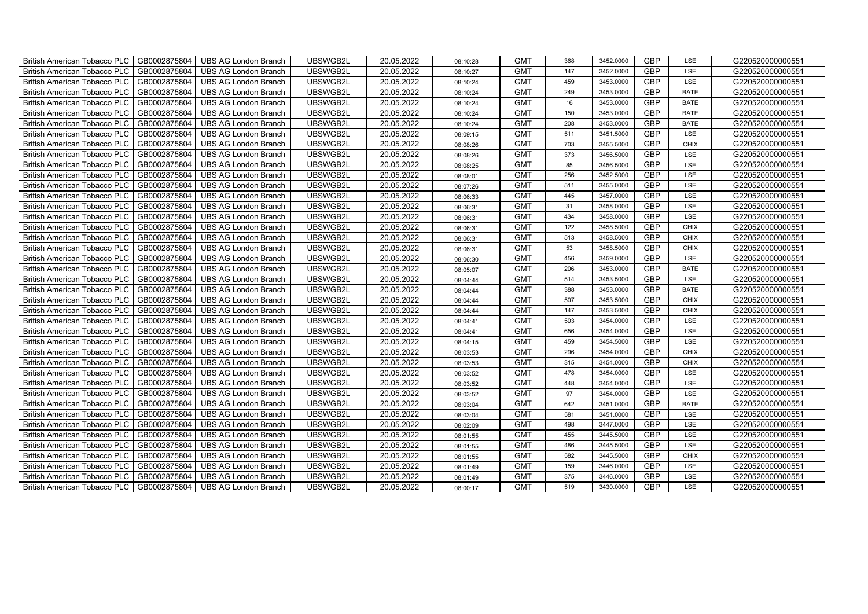| British American Tobacco PLC   GB0002875804         | <b>UBS AG London Branch</b> | UBSWGB2L | 20.05.2022 | 08:10:28 | <b>GMT</b> | 368 | 3452.0000 | <b>GBP</b> | LSE         | G220520000000551 |
|-----------------------------------------------------|-----------------------------|----------|------------|----------|------------|-----|-----------|------------|-------------|------------------|
| <b>British American Tobacco PLC</b><br>GB0002875804 | <b>UBS AG London Branch</b> | UBSWGB2L | 20.05.2022 | 08:10:27 | <b>GMT</b> | 147 | 3452.0000 | GBP        | LSE         | G220520000000551 |
| <b>British American Tobacco PLC</b><br>GB0002875804 | <b>UBS AG London Branch</b> | UBSWGB2L | 20.05.2022 | 08:10:24 | <b>GMT</b> | 459 | 3453.0000 | <b>GBP</b> | LSE         | G220520000000551 |
| <b>British American Tobacco PLC</b><br>GB0002875804 | <b>UBS AG London Branch</b> | UBSWGB2L | 20.05.2022 | 08:10:24 | <b>GMT</b> | 249 | 3453.0000 | <b>GBP</b> | <b>BATE</b> | G220520000000551 |
| GB0002875804<br><b>British American Tobacco PLC</b> | UBS AG London Branch        | UBSWGB2L | 20.05.2022 | 08:10:24 | <b>GMT</b> | 16  | 3453.0000 | <b>GBP</b> | <b>BATE</b> | G220520000000551 |
| GB0002875804<br><b>British American Tobacco PLC</b> | <b>UBS AG London Branch</b> | UBSWGB2L | 20.05.2022 | 08:10:24 | <b>GMT</b> | 150 | 3453.0000 | <b>GBP</b> | <b>BATE</b> | G220520000000551 |
| GB0002875804<br><b>British American Tobacco PLC</b> | <b>UBS AG London Branch</b> | UBSWGB2L | 20.05.2022 | 08:10:24 | <b>GMT</b> | 208 | 3453.0000 | <b>GBP</b> | <b>BATE</b> | G220520000000551 |
| GB0002875804<br><b>British American Tobacco PLC</b> | <b>UBS AG London Branch</b> | UBSWGB2L | 20.05.2022 | 08:09:15 | <b>GMT</b> | 511 | 3451.5000 | <b>GBP</b> | LSE         | G220520000000551 |
| GB0002875804<br><b>British American Tobacco PLC</b> | <b>UBS AG London Branch</b> | UBSWGB2L | 20.05.2022 | 08:08:26 | <b>GMT</b> | 703 | 3455.5000 | GBP        | <b>CHIX</b> | G220520000000551 |
| <b>British American Tobacco PLC</b><br>GB0002875804 | <b>UBS AG London Branch</b> | UBSWGB2L | 20.05.2022 | 08:08:26 | <b>GMT</b> | 373 | 3456.5000 | <b>GBP</b> | LSE         | G220520000000551 |
| GB0002875804<br><b>British American Tobacco PLC</b> | <b>UBS AG London Branch</b> | UBSWGB2L | 20.05.2022 | 08:08:25 | <b>GMT</b> | 85  | 3456.5000 | <b>GBP</b> | LSE         | G220520000000551 |
| GB0002875804<br>British American Tobacco PLC        | <b>UBS AG London Branch</b> | UBSWGB2L | 20.05.2022 | 08:08:01 | <b>GMT</b> | 256 | 3452.5000 | <b>GBP</b> | LSE         | G220520000000551 |
| <b>British American Tobacco PLC</b><br>GB0002875804 | <b>UBS AG London Branch</b> | UBSWGB2L | 20.05.2022 | 08:07:26 | <b>GMT</b> | 511 | 3455.0000 | <b>GBP</b> | LSE         | G220520000000551 |
| <b>British American Tobacco PLC</b><br>GB0002875804 | <b>UBS AG London Branch</b> | UBSWGB2L | 20.05.2022 | 08:06:33 | <b>GMT</b> | 445 | 3457.0000 | <b>GBP</b> | LSE         | G220520000000551 |
| GB0002875804<br><b>British American Tobacco PLC</b> | <b>UBS AG London Branch</b> | UBSWGB2L | 20.05.2022 | 08:06:31 | <b>GMT</b> | 31  | 3458.0000 | <b>GBP</b> | LSE         | G220520000000551 |
| GB0002875804<br><b>British American Tobacco PLC</b> | <b>UBS AG London Branch</b> | UBSWGB2L | 20.05.2022 | 08:06:31 | <b>GMT</b> | 434 | 3458.0000 | <b>GBP</b> | LSE         | G220520000000551 |
| GB0002875804<br><b>British American Tobacco PLC</b> | <b>UBS AG London Branch</b> | UBSWGB2L | 20.05.2022 | 08:06:31 | <b>GMT</b> | 122 | 3458.5000 | <b>GBP</b> | <b>CHIX</b> | G220520000000551 |
| GB0002875804<br><b>British American Tobacco PLC</b> | <b>UBS AG London Branch</b> | UBSWGB2L | 20.05.2022 | 08:06:31 | <b>GMT</b> | 513 | 3458.5000 | GBP        | <b>CHIX</b> | G220520000000551 |
| British American Tobacco PLC<br>GB0002875804        | <b>UBS AG London Branch</b> | UBSWGB2L | 20.05.2022 | 08:06:31 | <b>GMT</b> | 53  | 3458.5000 | <b>GBP</b> | <b>CHIX</b> | G220520000000551 |
| GB0002875804<br><b>British American Tobacco PLC</b> | <b>UBS AG London Branch</b> | UBSWGB2L | 20.05.2022 | 08:06:30 | <b>GMT</b> | 456 | 3459.0000 | <b>GBP</b> | LSE         | G220520000000551 |
| GB0002875804<br>British American Tobacco PLC        | <b>UBS AG London Branch</b> | UBSWGB2L | 20.05.2022 | 08:05:07 | <b>GMT</b> | 206 | 3453.0000 | <b>GBP</b> | <b>BATE</b> | G220520000000551 |
| <b>British American Tobacco PLC</b><br>GB0002875804 | <b>UBS AG London Branch</b> | UBSWGB2L | 20.05.2022 | 08:04:44 | <b>GMT</b> | 514 | 3453.5000 | <b>GBP</b> | LSE         | G220520000000551 |
| <b>British American Tobacco PLC</b><br>GB0002875804 | UBS AG London Branch        | UBSWGB2L | 20.05.2022 | 08:04:44 | <b>GMT</b> | 388 | 3453.0000 | <b>GBP</b> | BATE        | G220520000000551 |
| GB0002875804<br><b>British American Tobacco PLC</b> | <b>UBS AG London Branch</b> | UBSWGB2L | 20.05.2022 | 08:04:44 | <b>GMT</b> | 507 | 3453.5000 | <b>GBP</b> | <b>CHIX</b> | G220520000000551 |
| GB0002875804<br><b>British American Tobacco PLC</b> | <b>UBS AG London Branch</b> | UBSWGB2L | 20.05.2022 | 08:04:44 | <b>GMT</b> | 147 | 3453.5000 | <b>GBP</b> | CHIX        | G220520000000551 |
| <b>British American Tobacco PLC</b><br>GB0002875804 | <b>UBS AG London Branch</b> | UBSWGB2L | 20.05.2022 | 08:04:41 | <b>GMT</b> | 503 | 3454.0000 | <b>GBP</b> | LSE         | G220520000000551 |
| GB0002875804<br><b>British American Tobacco PLC</b> | <b>UBS AG London Branch</b> | UBSWGB2L | 20.05.2022 | 08:04:41 | <b>GMT</b> | 656 | 3454.0000 | <b>GBP</b> | LSE         | G220520000000551 |
| British American Tobacco PLC<br>GB0002875804        | UBS AG London Branch        | UBSWGB2L | 20.05.2022 | 08:04:15 | <b>GMT</b> | 459 | 3454.5000 | GBP        | LSE         | G220520000000551 |
| GB0002875804<br><b>British American Tobacco PLC</b> | <b>UBS AG London Branch</b> | UBSWGB2L | 20.05.2022 | 08:03:53 | <b>GMT</b> | 296 | 3454.0000 | <b>GBP</b> | <b>CHIX</b> | G220520000000551 |
| GB0002875804<br><b>British American Tobacco PLC</b> | <b>UBS AG London Branch</b> | UBSWGB2L | 20.05.2022 | 08:03:53 | <b>GMT</b> | 315 | 3454.0000 | <b>GBP</b> | <b>CHIX</b> | G220520000000551 |
| <b>British American Tobacco PLC</b><br>GB0002875804 | <b>UBS AG London Branch</b> | UBSWGB2L | 20.05.2022 | 08:03:52 | <b>GMT</b> | 478 | 3454.0000 | <b>GBP</b> | LSE         | G220520000000551 |
| <b>British American Tobacco PLC</b><br>GB0002875804 | <b>UBS AG London Branch</b> | UBSWGB2L | 20.05.2022 | 08:03:52 | <b>GMT</b> | 448 | 3454.0000 | <b>GBP</b> | LSE         | G220520000000551 |
| <b>British American Tobacco PLC</b><br>GB0002875804 | <b>UBS AG London Branch</b> | UBSWGB2L | 20.05.2022 | 08:03:52 | <b>GMT</b> | 97  | 3454.0000 | <b>GBP</b> | LSE         | G220520000000551 |
| GB0002875804<br><b>British American Tobacco PLC</b> | UBS AG London Branch        | UBSWGB2L | 20.05.2022 | 08:03:04 | <b>GMT</b> | 642 | 3451.0000 | <b>GBP</b> | <b>BATE</b> | G220520000000551 |
| GB0002875804<br><b>British American Tobacco PLC</b> | <b>UBS AG London Branch</b> | UBSWGB2L | 20.05.2022 | 08:03:04 | <b>GMT</b> | 581 | 3451.0000 | <b>GBP</b> | LSE         | G220520000000551 |
| GB0002875804<br><b>British American Tobacco PLC</b> | <b>UBS AG London Branch</b> | UBSWGB2L | 20.05.2022 | 08:02:09 | <b>GMT</b> | 498 | 3447.0000 | <b>GBP</b> | LSE         | G220520000000551 |
| British American Tobacco PLC<br>GB0002875804        | UBS AG London Branch        | UBSWGB2L | 20.05.2022 | 08:01:55 | <b>GMT</b> | 455 | 3445.5000 | GBP        | LSE         | G220520000000551 |
| <b>British American Tobacco PLC</b><br>GB0002875804 | <b>UBS AG London Branch</b> | UBSWGB2L | 20.05.2022 | 08:01:55 | <b>GMT</b> | 486 | 3445.5000 | <b>GBP</b> | LSE         | G220520000000551 |
| <b>British American Tobacco PLC</b><br>GB0002875804 | UBS AG London Branch        | UBSWGB2L | 20.05.2022 | 08:01:55 | <b>GMT</b> | 582 | 3445.5000 | <b>GBP</b> | <b>CHIX</b> | G220520000000551 |
| <b>British American Tobacco PLC</b><br>GB0002875804 | <b>UBS AG London Branch</b> | UBSWGB2L | 20.05.2022 | 08:01:49 | <b>GMT</b> | 159 | 3446.0000 | <b>GBP</b> | LSE         | G220520000000551 |
| <b>British American Tobacco PLC</b><br>GB0002875804 | <b>UBS AG London Branch</b> | UBSWGB2L | 20.05.2022 | 08:01:49 | <b>GMT</b> | 375 | 3446.0000 | <b>GBP</b> | LSE         | G220520000000551 |
| <b>British American Tobacco PLC</b><br>GB0002875804 | <b>UBS AG London Branch</b> | UBSWGB2L | 20.05.2022 | 08:00:17 | <b>GMT</b> | 519 | 3430.0000 | <b>GBP</b> | <b>LSE</b>  | G220520000000551 |